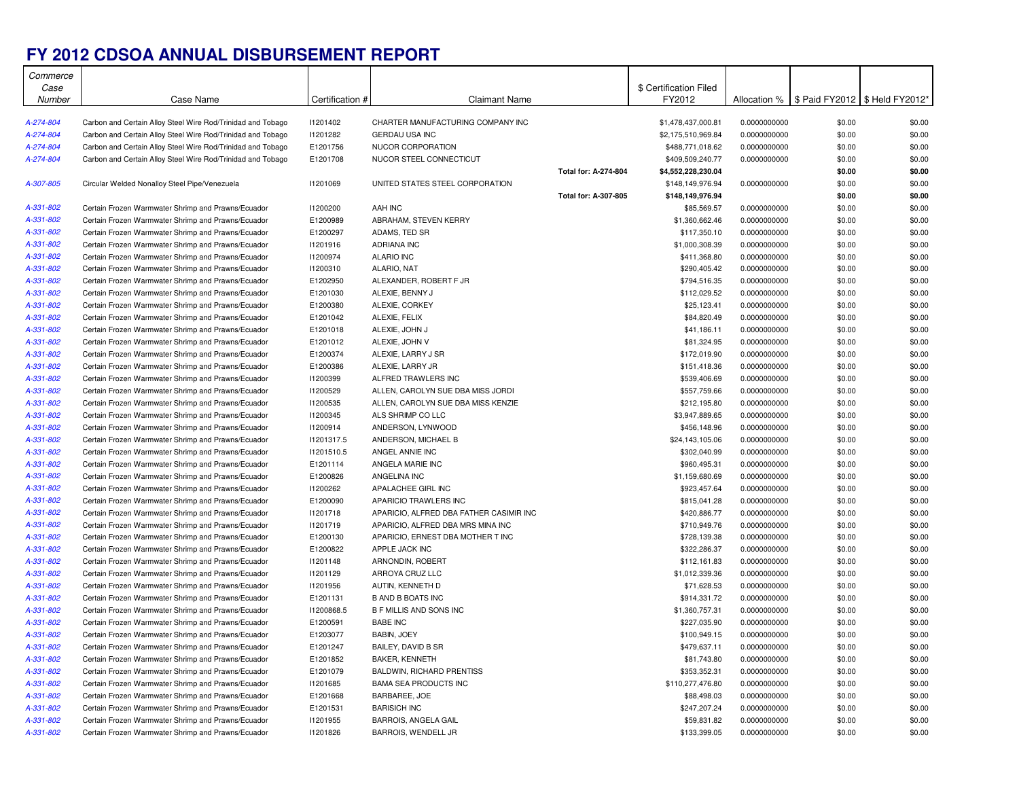## **FY 2012 CDSOA ANNUAL DISBURSEMENT REPORT**

| Commerce               |                                                                                                          |                      |                                         |                      |                             |                              |                                                 |                  |
|------------------------|----------------------------------------------------------------------------------------------------------|----------------------|-----------------------------------------|----------------------|-----------------------------|------------------------------|-------------------------------------------------|------------------|
| Case                   |                                                                                                          |                      |                                         |                      | \$ Certification Filed      |                              |                                                 |                  |
| Number                 | Case Name                                                                                                | Certification #      | Claimant Name                           |                      | FY2012                      |                              | Allocation %   \$ Paid FY2012   \$ Held FY2012* |                  |
|                        |                                                                                                          |                      |                                         |                      |                             |                              |                                                 |                  |
| A-274-804              | Carbon and Certain Alloy Steel Wire Rod/Trinidad and Tobago                                              | 11201402             | CHARTER MANUFACTURING COMPANY INC       |                      | \$1,478,437,000.81          | 0.0000000000                 | \$0.00                                          | \$0.00           |
| A-274-804              | Carbon and Certain Alloy Steel Wire Rod/Trinidad and Tobago                                              | 11201282             | <b>GERDAU USA INC</b>                   |                      | \$2,175,510,969.84          | 0.0000000000                 | \$0.00                                          | \$0.00           |
| A-274-804              | Carbon and Certain Alloy Steel Wire Rod/Trinidad and Tobago                                              | E1201756             | NUCOR CORPORATION                       |                      | \$488,771,018.62            | 0.0000000000                 | \$0.00                                          | \$0.00           |
| A-274-804              | Carbon and Certain Alloy Steel Wire Rod/Trinidad and Tobago                                              | E1201708             | NUCOR STEEL CONNECTICUT                 |                      | \$409,509,240.77            | 0.0000000000                 | \$0.00                                          | \$0.00           |
|                        |                                                                                                          |                      |                                         | Total for: A-274-804 | \$4,552,228,230.04          |                              | \$0.00                                          | \$0.00           |
| A-307-805              | Circular Welded Nonalloy Steel Pipe/Venezuela                                                            | 11201069             | UNITED STATES STEEL CORPORATION         |                      | \$148,149,976.94            | 0.0000000000                 | \$0.00                                          | \$0.00           |
|                        |                                                                                                          |                      |                                         | Total for: A-307-805 | \$148,149,976.94            |                              | \$0.00                                          | \$0.00           |
| A-331-802              | Certain Frozen Warmwater Shrimp and Prawns/Ecuador                                                       | 11200200             | AAH INC                                 |                      | \$85,569.57                 | 0.0000000000                 | \$0.00                                          | \$0.00           |
| A-331-802              | Certain Frozen Warmwater Shrimp and Prawns/Ecuador                                                       | E1200989             | ABRAHAM, STEVEN KERRY                   |                      | \$1,360,662.46              | 0.0000000000                 | \$0.00                                          | \$0.00           |
| A-331-802              | Certain Frozen Warmwater Shrimp and Prawns/Ecuador                                                       | E1200297             | ADAMS. TED SR                           |                      | \$117,350.10                | 0.0000000000                 | \$0.00                                          | \$0.00           |
| A-331-802              | Certain Frozen Warmwater Shrimp and Prawns/Ecuador                                                       | 11201916             | <b>ADRIANA INC</b>                      |                      | \$1,000,308.39              | 0.0000000000                 | \$0.00                                          | \$0.00           |
| A-331-802              | Certain Frozen Warmwater Shrimp and Prawns/Ecuador                                                       | 11200974             | <b>ALARIO INC</b>                       |                      | \$411,368.80                | 0.0000000000                 | \$0.00                                          | \$0.00           |
| A-331-802              | Certain Frozen Warmwater Shrimp and Prawns/Ecuador                                                       | 11200310             | ALARIO, NAT                             |                      | \$290,405.42                | 0.0000000000                 | \$0.00                                          | \$0.00           |
| A-331-802              | Certain Frozen Warmwater Shrimp and Prawns/Ecuador                                                       | E1202950             | ALEXANDER, ROBERT F JR                  |                      | \$794,516.35                | 0.0000000000                 | \$0.00                                          | \$0.00           |
| A-331-802              | Certain Frozen Warmwater Shrimp and Prawns/Ecuador                                                       | E1201030             | ALEXIE, BENNY J                         |                      | \$112,029.52                | 0.0000000000                 | \$0.00                                          | \$0.00           |
| A-331-802              | Certain Frozen Warmwater Shrimp and Prawns/Ecuador                                                       | E1200380             | ALEXIE, CORKEY                          |                      | \$25,123.41                 | 0.0000000000                 | \$0.00                                          | \$0.00           |
| A-331-802              | Certain Frozen Warmwater Shrimp and Prawns/Ecuador                                                       | E1201042             | ALEXIE, FELIX                           |                      | \$84,820.49                 | 0.0000000000                 | \$0.00                                          | \$0.00           |
| A-331-802              | Certain Frozen Warmwater Shrimp and Prawns/Ecuador                                                       | E1201018             | ALEXIE, JOHN J                          |                      | \$41,186.11                 | 0.0000000000                 | \$0.00                                          | \$0.00           |
| A-331-802              | Certain Frozen Warmwater Shrimp and Prawns/Ecuador                                                       | E1201012             | ALEXIE, JOHN V                          |                      | \$81,324.95                 | 0.0000000000                 | \$0.00                                          | \$0.00           |
| A-331-802              | Certain Frozen Warmwater Shrimp and Prawns/Ecuador                                                       | E1200374             | ALEXIE, LARRY J SR                      |                      | \$172,019.90                | 0.0000000000                 | \$0.00                                          | \$0.00           |
| A-331-802              | Certain Frozen Warmwater Shrimp and Prawns/Ecuador                                                       | E1200386             | ALEXIE, LARRY JR                        |                      | \$151,418.36                | 0.0000000000                 | \$0.00                                          | \$0.00           |
| A-331-802              | Certain Frozen Warmwater Shrimp and Prawns/Ecuador                                                       | 11200399             | ALFRED TRAWLERS INC                     |                      | \$539,406.69                | 0.0000000000                 | \$0.00                                          | \$0.00           |
| A-331-802              | Certain Frozen Warmwater Shrimp and Prawns/Ecuador                                                       | I1200529             | ALLEN, CAROLYN SUE DBA MISS JORDI       |                      | \$557,759.66                | 0.0000000000                 | \$0.00                                          | \$0.00           |
| A-331-802              | Certain Frozen Warmwater Shrimp and Prawns/Ecuador                                                       | <b>I1200535</b>      | ALLEN. CAROLYN SUE DBA MISS KENZIE      |                      | \$212,195.80                | 0.0000000000                 | \$0.00                                          | \$0.00           |
| A-331-802              | Certain Frozen Warmwater Shrimp and Prawns/Ecuador                                                       | I1200345             | ALS SHRIMP CO LLC                       |                      | \$3,947,889.65              | 0.0000000000                 | \$0.00                                          | \$0.00           |
| A-331-802              | Certain Frozen Warmwater Shrimp and Prawns/Ecuador                                                       | 11200914             | ANDERSON, LYNWOOD                       |                      | \$456,148.96                | 0.0000000000                 | \$0.00                                          | \$0.00           |
| A-331-802              | Certain Frozen Warmwater Shrimp and Prawns/Ecuador                                                       | 11201317.5           | ANDERSON, MICHAEL B                     |                      | \$24,143,105.06             | 0.0000000000                 | \$0.00                                          | \$0.00           |
| A-331-802              | Certain Frozen Warmwater Shrimp and Prawns/Ecuador                                                       | 11201510.5           | ANGEL ANNIE INC                         |                      | \$302,040.99                | 0.0000000000                 | \$0.00                                          | \$0.00           |
| A-331-802              | Certain Frozen Warmwater Shrimp and Prawns/Ecuador                                                       | E1201114             | ANGELA MARIE INC                        |                      | \$960,495.31                | 0.0000000000                 | \$0.00                                          | \$0.00           |
| A-331-802              | Certain Frozen Warmwater Shrimp and Prawns/Ecuador                                                       | E1200826             | ANGELINA INC                            |                      | \$1,159,680.69              | 0.0000000000                 | \$0.00                                          | \$0.00           |
| A-331-802              | Certain Frozen Warmwater Shrimp and Prawns/Ecuador                                                       | 11200262             | APALACHEE GIRL INC                      |                      | \$923,457.64                | 0.0000000000                 | \$0.00                                          | \$0.00           |
| A-331-802              | Certain Frozen Warmwater Shrimp and Prawns/Ecuador                                                       | E1200090             | APARICIO TRAWLERS INC                   |                      | \$815,041.28                | 0.0000000000                 | \$0.00                                          | \$0.00           |
| A-331-802              | Certain Frozen Warmwater Shrimp and Prawns/Ecuador                                                       | 11201718             | APARICIO, ALFRED DBA FATHER CASIMIR INC |                      | \$420,886.77                | 0.0000000000                 | \$0.00                                          | \$0.00           |
| A-331-802              | Certain Frozen Warmwater Shrimp and Prawns/Ecuador                                                       | 11201719             | APARICIO, ALFRED DBA MRS MINA INC       |                      | \$710,949.76                | 0.0000000000                 | \$0.00                                          | \$0.00           |
| A-331-802              | Certain Frozen Warmwater Shrimp and Prawns/Ecuador                                                       | E1200130             | APARICIO, ERNEST DBA MOTHER T INC       |                      | \$728,139.38                | 0.0000000000                 | \$0.00                                          | \$0.00           |
| A-331-802              | Certain Frozen Warmwater Shrimp and Prawns/Ecuador                                                       | E1200822             | APPLE JACK INC                          |                      | \$322,286.37                | 0.0000000000                 | \$0.00                                          | \$0.00           |
| A-331-802              | Certain Frozen Warmwater Shrimp and Prawns/Ecuador                                                       | 11201148             | ARNONDIN, ROBERT                        |                      | \$112,161.83                | 0.0000000000                 | \$0.00                                          | \$0.00           |
| A-331-802              | Certain Frozen Warmwater Shrimp and Prawns/Ecuador                                                       | 11201129             | ARROYA CRUZ LLC                         |                      | \$1,012,339.36              | 0.0000000000                 | \$0.00                                          | \$0.00           |
| A-331-802              | Certain Frozen Warmwater Shrimp and Prawns/Ecuador                                                       | 11201956             | AUTIN, KENNETH D                        |                      | \$71,628.53                 | 0.0000000000                 | \$0.00                                          | \$0.00           |
| A-331-802              | Certain Frozen Warmwater Shrimp and Prawns/Ecuador                                                       | E1201131             | <b>B AND B BOATS INC</b>                |                      | \$914,331.72                | 0.0000000000                 | \$0.00                                          | \$0.00           |
| A-331-802              | Certain Frozen Warmwater Shrimp and Prawns/Ecuador                                                       | 11200868.5           | <b>B F MILLIS AND SONS INC</b>          |                      | \$1,360,757.31              | 0.0000000000                 | \$0.00                                          | \$0.00           |
| A-331-802              | Certain Frozen Warmwater Shrimp and Prawns/Ecuador                                                       | E1200591             | <b>BABE INC</b>                         |                      | \$227,035.90                | 0.0000000000                 | \$0.00                                          | \$0.00           |
| A-331-802              | Certain Frozen Warmwater Shrimp and Prawns/Ecuador                                                       | E1203077             | <b>BABIN, JOEY</b>                      |                      | \$100,949.15                | 0.0000000000                 | \$0.00                                          | \$0.00           |
|                        | Certain Frozen Warmwater Shrimp and Prawns/Ecuador                                                       | E1201247             | BAILEY, DAVID B SR                      |                      | \$479,637.11                | 0.0000000000                 | \$0.00                                          | \$0.00           |
| A-331-802              |                                                                                                          |                      | BAKER, KENNETH                          |                      |                             |                              | \$0.00                                          | \$0.00           |
| A-331-802<br>A-331-802 | Certain Frozen Warmwater Shrimp and Prawns/Ecuador<br>Certain Frozen Warmwater Shrimp and Prawns/Ecuador | E1201852<br>E1201079 | <b>BALDWIN, RICHARD PRENTISS</b>        |                      | \$81,743.80<br>\$353,352.31 | 0.0000000000<br>0.0000000000 | \$0.00                                          | \$0.00           |
| A-331-802              |                                                                                                          |                      | <b>BAMA SEA PRODUCTS INC</b>            |                      |                             |                              |                                                 |                  |
|                        | Certain Frozen Warmwater Shrimp and Prawns/Ecuador                                                       | 11201685             |                                         |                      | \$110,277,476.80            | 0.0000000000                 | \$0.00                                          | \$0.00           |
| A-331-802              | Certain Frozen Warmwater Shrimp and Prawns/Ecuador                                                       | E1201668             | BARBAREE, JOE<br><b>BARISICH INC</b>    |                      | \$88,498.03                 | 0.0000000000                 | \$0.00                                          | \$0.00<br>\$0.00 |
| A-331-802              | Certain Frozen Warmwater Shrimp and Prawns/Ecuador                                                       | E1201531             |                                         |                      | \$247,207.24                | 0.0000000000                 | \$0.00                                          |                  |
| A-331-802              | Certain Frozen Warmwater Shrimp and Prawns/Ecuador                                                       | I1201955             | <b>BARROIS, ANGELA GAIL</b>             |                      | \$59,831.82                 | 0.0000000000                 | \$0.00                                          | \$0.00           |
| A-331-802              | Certain Frozen Warmwater Shrimp and Prawns/Ecuador                                                       | 11201826             | BARROIS, WENDELL JR                     |                      | \$133,399.05                | 0.0000000000                 | \$0.00                                          | \$0.00           |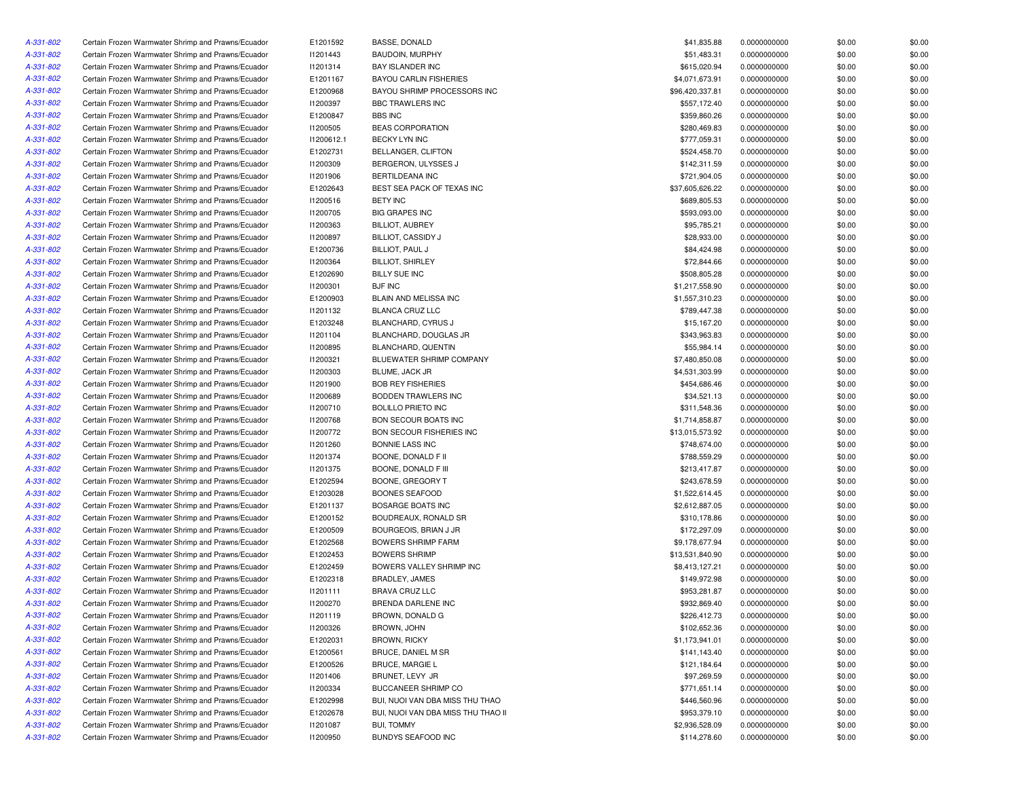| A-331-802 | Certain Frozen Warmwater Shrimp and Prawns/Ecuador                                                       | E1201592        | BASSE, DONALD                      | \$41,835.88     | 0.0000000000 | \$0.00 | \$0.00 |
|-----------|----------------------------------------------------------------------------------------------------------|-----------------|------------------------------------|-----------------|--------------|--------|--------|
| A-331-802 | Certain Frozen Warmwater Shrimp and Prawns/Ecuador                                                       | 11201443        | <b>BAUDOIN, MURPHY</b>             | \$51,483.31     | 0.0000000000 | \$0.00 | \$0.00 |
| A-331-802 | Certain Frozen Warmwater Shrimp and Prawns/Ecuador                                                       | 11201314        | BAY ISLANDER INC                   | \$615,020.94    | 0.0000000000 | \$0.00 | \$0.00 |
| A-331-802 | Certain Frozen Warmwater Shrimp and Prawns/Ecuador                                                       | E1201167        | <b>BAYOU CARLIN FISHERIES</b>      | \$4,071,673.91  | 0.0000000000 | \$0.00 | \$0.00 |
| A-331-802 | Certain Frozen Warmwater Shrimp and Prawns/Ecuador                                                       | E1200968        | BAYOU SHRIMP PROCESSORS INC        | \$96,420,337.81 | 0.0000000000 | \$0.00 | \$0.00 |
| A-331-802 | Certain Frozen Warmwater Shrimp and Prawns/Ecuador                                                       | I1200397        | <b>BBC TRAWLERS INC</b>            | \$557,172.40    | 0.0000000000 | \$0.00 | \$0.00 |
| A-331-802 | Certain Frozen Warmwater Shrimp and Prawns/Ecuador                                                       | E1200847        | <b>BBS INC</b>                     | \$359,860.26    | 0.0000000000 | \$0.00 | \$0.00 |
| A-331-802 | Certain Frozen Warmwater Shrimp and Prawns/Ecuador                                                       | I1200505        | <b>BEAS CORPORATION</b>            | \$280,469.83    | 0.0000000000 | \$0.00 | \$0.00 |
| A-331-802 | Certain Frozen Warmwater Shrimp and Prawns/Ecuador                                                       | 11200612.1      | BECKY LYN INC                      | \$777,059.31    | 0.0000000000 | \$0.00 | \$0.00 |
| A-331-802 | Certain Frozen Warmwater Shrimp and Prawns/Ecuador                                                       | E1202731        | BELLANGER, CLIFTON                 | \$524,458.70    | 0.0000000000 | \$0.00 | \$0.00 |
| A-331-802 | Certain Frozen Warmwater Shrimp and Prawns/Ecuador                                                       | 11200309        | BERGERON, ULYSSES J                | \$142,311.59    | 0.0000000000 | \$0.00 | \$0.00 |
| A-331-802 | Certain Frozen Warmwater Shrimp and Prawns/Ecuador                                                       | 11201906        | BERTILDEANA INC                    | \$721,904.05    | 0.0000000000 | \$0.00 | \$0.00 |
| A-331-802 | Certain Frozen Warmwater Shrimp and Prawns/Ecuador                                                       | E1202643        | BEST SEA PACK OF TEXAS INC         | \$37,605,626.22 | 0.0000000000 | \$0.00 | \$0.00 |
| A-331-802 | Certain Frozen Warmwater Shrimp and Prawns/Ecuador                                                       | 11200516        | <b>BETY INC</b>                    | \$689,805.53    | 0.0000000000 | \$0.00 | \$0.00 |
| A-331-802 | Certain Frozen Warmwater Shrimp and Prawns/Ecuador                                                       | 11200705        | <b>BIG GRAPES INC</b>              | \$593,093.00    | 0.0000000000 | \$0.00 | \$0.00 |
| A-331-802 | Certain Frozen Warmwater Shrimp and Prawns/Ecuador                                                       | 11200363        | <b>BILLIOT, AUBREY</b>             | \$95,785.21     | 0.0000000000 | \$0.00 | \$0.00 |
| A-331-802 | Certain Frozen Warmwater Shrimp and Prawns/Ecuador                                                       | I1200897        | <b>BILLIOT, CASSIDY J</b>          | \$28,933.00     | 0.0000000000 | \$0.00 | \$0.00 |
| A-331-802 | Certain Frozen Warmwater Shrimp and Prawns/Ecuador                                                       | E1200736        | BILLIOT, PAUL J                    | \$84,424.98     | 0.0000000000 | \$0.00 | \$0.00 |
| A-331-802 | Certain Frozen Warmwater Shrimp and Prawns/Ecuador                                                       | 11200364        | <b>BILLIOT, SHIRLEY</b>            | \$72,844.66     | 0.0000000000 | \$0.00 | \$0.00 |
| A-331-802 | Certain Frozen Warmwater Shrimp and Prawns/Ecuador                                                       | E1202690        | <b>BILLY SUE INC</b>               | \$508,805.28    | 0.0000000000 | \$0.00 | \$0.00 |
| A-331-802 | Certain Frozen Warmwater Shrimp and Prawns/Ecuador                                                       | 11200301        | <b>BJF INC</b>                     | \$1,217,558.90  | 0.0000000000 | \$0.00 | \$0.00 |
| A-331-802 | Certain Frozen Warmwater Shrimp and Prawns/Ecuador                                                       | E1200903        | BLAIN AND MELISSA INC              | \$1,557,310.23  | 0.0000000000 | \$0.00 | \$0.00 |
| A-331-802 | Certain Frozen Warmwater Shrimp and Prawns/Ecuador                                                       | 11201132        | <b>BLANCA CRUZ LLC</b>             | \$789,447.38    | 0.0000000000 | \$0.00 | \$0.00 |
| A-331-802 | Certain Frozen Warmwater Shrimp and Prawns/Ecuador                                                       | E1203248        | BLANCHARD, CYRUS J                 | \$15,167.20     | 0.0000000000 | \$0.00 | \$0.00 |
| A-331-802 | Certain Frozen Warmwater Shrimp and Prawns/Ecuador                                                       | 11201104        | BLANCHARD, DOUGLAS JR              | \$343,963.83    | 0.0000000000 | \$0.00 | \$0.00 |
| A-331-802 | Certain Frozen Warmwater Shrimp and Prawns/Ecuador                                                       | I1200895        | BLANCHARD, QUENTIN                 | \$55,984.14     | 0.0000000000 | \$0.00 | \$0.00 |
| A-331-802 | Certain Frozen Warmwater Shrimp and Prawns/Ecuador                                                       | 11200321        | BLUEWATER SHRIMP COMPANY           | \$7,480,850.08  | 0.0000000000 | \$0.00 | \$0.00 |
| A-331-802 | Certain Frozen Warmwater Shrimp and Prawns/Ecuador                                                       | 11200303        | BLUME, JACK JR                     | \$4,531,303.99  | 0.0000000000 | \$0.00 | \$0.00 |
| A-331-802 | Certain Frozen Warmwater Shrimp and Prawns/Ecuador                                                       | 11201900        | <b>BOB REY FISHERIES</b>           | \$454,686.46    | 0.0000000000 | \$0.00 | \$0.00 |
| A-331-802 | Certain Frozen Warmwater Shrimp and Prawns/Ecuador                                                       | <b>I1200689</b> | BODDEN TRAWLERS INC                | \$34,521.13     | 0.0000000000 | \$0.00 | \$0.00 |
| A-331-802 | Certain Frozen Warmwater Shrimp and Prawns/Ecuador                                                       | 11200710        | <b>BOLILLO PRIETO INC</b>          | \$311,548.36    | 0.0000000000 | \$0.00 | \$0.00 |
| A-331-802 | Certain Frozen Warmwater Shrimp and Prawns/Ecuador                                                       | 11200768        | <b>BON SECOUR BOATS INC</b>        | \$1,714,858.87  | 0.0000000000 | \$0.00 | \$0.00 |
| A-331-802 | Certain Frozen Warmwater Shrimp and Prawns/Ecuador                                                       | 11200772        | BON SECOUR FISHERIES INC           | \$13,015,573.92 | 0.0000000000 | \$0.00 | \$0.00 |
| A-331-802 |                                                                                                          |                 | BONNIE LASS INC                    | \$748,674.00    |              |        | \$0.00 |
|           | Certain Frozen Warmwater Shrimp and Prawns/Ecuador<br>Certain Frozen Warmwater Shrimp and Prawns/Ecuador | 11201260        | BOONE, DONALD F II                 | \$788,559.29    | 0.0000000000 | \$0.00 |        |
| A-331-802 |                                                                                                          | 11201374        | BOONE, DONALD F III                |                 | 0.0000000000 | \$0.00 | \$0.00 |
| A-331-802 | Certain Frozen Warmwater Shrimp and Prawns/Ecuador                                                       | 11201375        |                                    | \$213,417.87    | 0.0000000000 | \$0.00 | \$0.00 |
| A-331-802 | Certain Frozen Warmwater Shrimp and Prawns/Ecuador                                                       | E1202594        | BOONE, GREGORY T                   | \$243,678.59    | 0.0000000000 | \$0.00 | \$0.00 |
| A-331-802 | Certain Frozen Warmwater Shrimp and Prawns/Ecuador                                                       | E1203028        | <b>BOONES SEAFOOD</b>              | \$1,522,614.45  | 0.0000000000 | \$0.00 | \$0.00 |
| A-331-802 | Certain Frozen Warmwater Shrimp and Prawns/Ecuador                                                       | E1201137        | <b>BOSARGE BOATS INC</b>           | \$2,612,887.05  | 0.0000000000 | \$0.00 | \$0.00 |
| A-331-802 | Certain Frozen Warmwater Shrimp and Prawns/Ecuador                                                       | E1200152        | BOUDREAUX, RONALD SR               | \$310,178.86    | 0.0000000000 | \$0.00 | \$0.00 |
| A-331-802 | Certain Frozen Warmwater Shrimp and Prawns/Ecuador                                                       | E1200509        | BOURGEOIS, BRIAN J JR              | \$172,297.09    | 0.0000000000 | \$0.00 | \$0.00 |
| A-331-802 | Certain Frozen Warmwater Shrimp and Prawns/Ecuador                                                       | E1202568        | <b>BOWERS SHRIMP FARM</b>          | \$9,178,677.94  | 0.0000000000 | \$0.00 | \$0.00 |
| A-331-802 | Certain Frozen Warmwater Shrimp and Prawns/Ecuador                                                       | E1202453        | <b>BOWERS SHRIMP</b>               | \$13,531,840.90 | 0.0000000000 | \$0.00 | \$0.00 |
| A-331-802 | Certain Frozen Warmwater Shrimp and Prawns/Ecuador                                                       | E1202459        | BOWERS VALLEY SHRIMP INC           | \$8,413,127.21  | 0.0000000000 | \$0.00 | \$0.00 |
| A-331-802 | Certain Frozen Warmwater Shrimp and Prawns/Ecuador                                                       | E1202318        | BRADLEY, JAMES                     | \$149,972.98    | 0.0000000000 | \$0.00 | \$0.00 |
| A-331-802 | Certain Frozen Warmwater Shrimp and Prawns/Ecuador                                                       | 11201111        | <b>BRAVA CRUZ LLC</b>              | \$953,281.87    | 0.0000000000 | \$0.00 | \$0.00 |
| A-331-802 | Certain Frozen Warmwater Shrimp and Prawns/Ecuador                                                       | I1200270        | BRENDA DARLENE INC                 | \$932,869.40    | 0.0000000000 | \$0.00 | \$0.00 |
| A-331-802 | Certain Frozen Warmwater Shrimp and Prawns/Ecuador                                                       | 11201119        | BROWN, DONALD G                    | \$226,412.73    | 0.0000000000 | \$0.00 | \$0.00 |
| A-331-802 | Certain Frozen Warmwater Shrimp and Prawns/Ecuador                                                       | 11200326        | BROWN, JOHN                        | \$102,652.36    | 0.0000000000 | \$0.00 | \$0.00 |
| A-331-802 | Certain Frozen Warmwater Shrimp and Prawns/Ecuador                                                       | E1202031        | BROWN, RICKY                       | \$1,173,941.01  | 0.0000000000 | \$0.00 | \$0.00 |
| A-331-802 | Certain Frozen Warmwater Shrimp and Prawns/Ecuador                                                       | E1200561        | BRUCE, DANIEL M SR                 | \$141,143.40    | 0.0000000000 | \$0.00 | \$0.00 |
| A-331-802 | Certain Frozen Warmwater Shrimp and Prawns/Ecuador                                                       | E1200526        | <b>BRUCE, MARGIE L</b>             | \$121,184.64    | 0.0000000000 | \$0.00 | \$0.00 |
| A-331-802 | Certain Frozen Warmwater Shrimp and Prawns/Ecuador                                                       | 11201406        | BRUNET, LEVY JR                    | \$97,269.59     | 0.0000000000 | \$0.00 | \$0.00 |
| A-331-802 | Certain Frozen Warmwater Shrimp and Prawns/Ecuador                                                       | 11200334        | BUCCANEER SHRIMP CO                | \$771,651.14    | 0.0000000000 | \$0.00 | \$0.00 |
| A-331-802 | Certain Frozen Warmwater Shrimp and Prawns/Ecuador                                                       | E1202998        | BUI, NUOI VAN DBA MISS THU THAO    | \$446,560.96    | 0.0000000000 | \$0.00 | \$0.00 |
| A-331-802 | Certain Frozen Warmwater Shrimp and Prawns/Ecuador                                                       | E1202678        | BUI, NUOI VAN DBA MISS THU THAO II | \$953,379.10    | 0.0000000000 | \$0.00 | \$0.00 |
| A-331-802 | Certain Frozen Warmwater Shrimp and Prawns/Ecuador                                                       | 11201087        | <b>BUI, TOMMY</b>                  | \$2,936,528.09  | 0.0000000000 | \$0.00 | \$0.00 |
| A-331-802 | Certain Frozen Warmwater Shrimp and Prawns/Ecuador                                                       | I1200950        | BUNDYS SEAFOOD INC                 | \$114,278.60    | 0.0000000000 | \$0.00 | \$0.00 |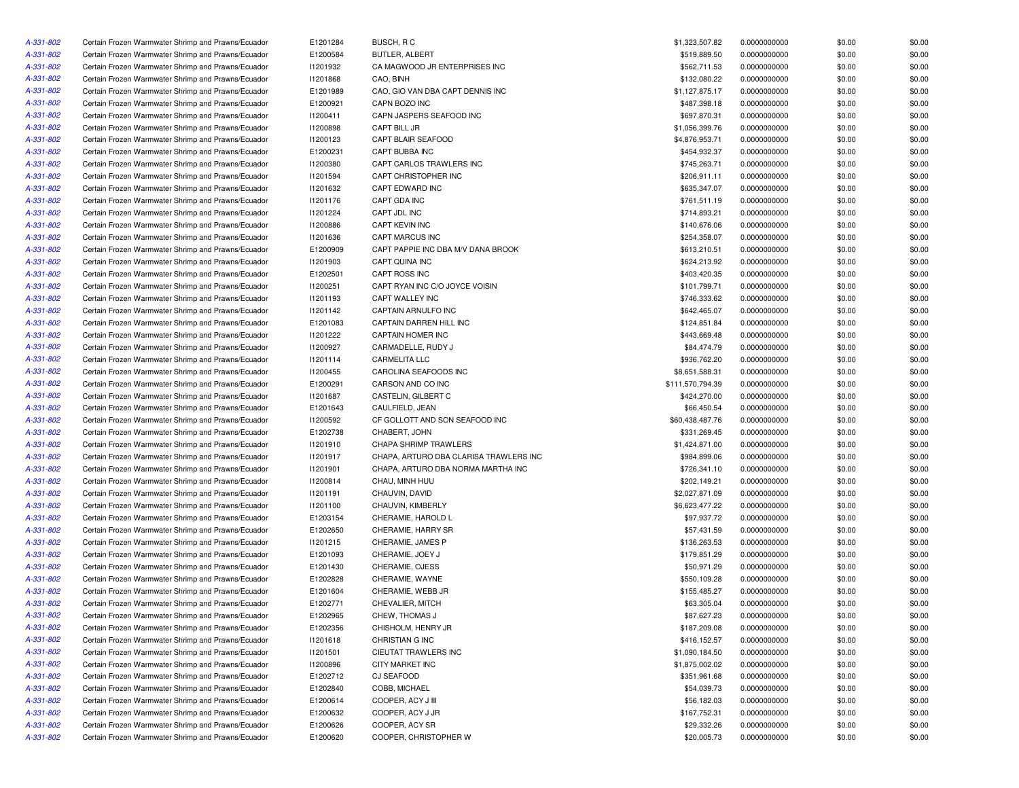| A-331-802 | Certain Frozen Warmwater Shrimp and Prawns/Ecuador | E1201284 | BUSCH, R C                             | \$1,323,507.82   | 0.0000000000 | \$0.00 | \$0.00 |
|-----------|----------------------------------------------------|----------|----------------------------------------|------------------|--------------|--------|--------|
| A-331-802 | Certain Frozen Warmwater Shrimp and Prawns/Ecuador | E1200584 | BUTLER, ALBERT                         | \$519,889.50     | 0.0000000000 | \$0.00 | \$0.00 |
| A-331-802 | Certain Frozen Warmwater Shrimp and Prawns/Ecuador | 11201932 | CA MAGWOOD JR ENTERPRISES INC          | \$562,711.53     | 0.0000000000 | \$0.00 | \$0.00 |
| A-331-802 | Certain Frozen Warmwater Shrimp and Prawns/Ecuador | 11201868 | CAO, BINH                              | \$132,080.22     | 0.0000000000 | \$0.00 | \$0.00 |
| A-331-802 | Certain Frozen Warmwater Shrimp and Prawns/Ecuador | E1201989 | CAO, GIO VAN DBA CAPT DENNIS INC       | \$1,127,875.17   | 0.0000000000 | \$0.00 | \$0.00 |
| A-331-802 | Certain Frozen Warmwater Shrimp and Prawns/Ecuador | E1200921 | CAPN BOZO INC                          | \$487,398.18     | 0.0000000000 | \$0.00 | \$0.00 |
| A-331-802 | Certain Frozen Warmwater Shrimp and Prawns/Ecuador | 11200411 | CAPN JASPERS SEAFOOD INC               | \$697,870.31     | 0.0000000000 | \$0.00 | \$0.00 |
| A-331-802 | Certain Frozen Warmwater Shrimp and Prawns/Ecuador | 11200898 | CAPT BILL JR                           | \$1,056,399.76   | 0.0000000000 | \$0.00 | \$0.00 |
| A-331-802 | Certain Frozen Warmwater Shrimp and Prawns/Ecuador | 11200123 | CAPT BLAIR SEAFOOD                     | \$4,876,953.71   | 0.0000000000 | \$0.00 | \$0.00 |
| A-331-802 | Certain Frozen Warmwater Shrimp and Prawns/Ecuador | E1200231 | CAPT BUBBA INC                         | \$454,932.37     | 0.0000000000 | \$0.00 | \$0.00 |
| A-331-802 | Certain Frozen Warmwater Shrimp and Prawns/Ecuador | 11200380 | CAPT CARLOS TRAWLERS INC               | \$745,263.71     | 0.0000000000 | \$0.00 | \$0.00 |
| A-331-802 | Certain Frozen Warmwater Shrimp and Prawns/Ecuador | 11201594 | CAPT CHRISTOPHER INC                   | \$206,911.11     | 0.0000000000 | \$0.00 | \$0.00 |
| A-331-802 | Certain Frozen Warmwater Shrimp and Prawns/Ecuador | 11201632 | CAPT EDWARD INC                        | \$635,347.07     | 0.0000000000 | \$0.00 | \$0.00 |
| A-331-802 | Certain Frozen Warmwater Shrimp and Prawns/Ecuador | 11201176 | CAPT GDA INC                           | \$761,511.19     | 0.0000000000 | \$0.00 | \$0.00 |
| A-331-802 | Certain Frozen Warmwater Shrimp and Prawns/Ecuador | 11201224 | CAPT JDL INC                           | \$714,893.21     | 0.0000000000 | \$0.00 | \$0.00 |
| A-331-802 | Certain Frozen Warmwater Shrimp and Prawns/Ecuador | 11200886 | CAPT KEVIN INC                         | \$140,676.06     | 0.0000000000 | \$0.00 | \$0.00 |
| A-331-802 | Certain Frozen Warmwater Shrimp and Prawns/Ecuador | 11201636 | CAPT MARCUS INC                        | \$254,358.07     | 0.0000000000 | \$0.00 | \$0.00 |
| A-331-802 | Certain Frozen Warmwater Shrimp and Prawns/Ecuador | E1200909 | CAPT PAPPIE INC DBA M/V DANA BROOK     | \$613,210.51     | 0.0000000000 | \$0.00 | \$0.00 |
| A-331-802 | Certain Frozen Warmwater Shrimp and Prawns/Ecuador | 11201903 | CAPT QUINA INC                         | \$624,213.92     | 0.0000000000 | \$0.00 | \$0.00 |
| A-331-802 | Certain Frozen Warmwater Shrimp and Prawns/Ecuador | E1202501 | CAPT ROSS INC                          | \$403,420.35     | 0.0000000000 | \$0.00 | \$0.00 |
| A-331-802 | Certain Frozen Warmwater Shrimp and Prawns/Ecuador | I1200251 | CAPT RYAN INC C/O JOYCE VOISIN         | \$101,799.71     | 0.0000000000 | \$0.00 | \$0.00 |
|           | Certain Frozen Warmwater Shrimp and Prawns/Ecuador |          | CAPT WALLEY INC                        | \$746,333.62     |              |        |        |
| A-331-802 |                                                    | 11201193 |                                        |                  | 0.0000000000 | \$0.00 | \$0.00 |
| A-331-802 | Certain Frozen Warmwater Shrimp and Prawns/Ecuador | 11201142 | CAPTAIN ARNULFO INC                    | \$642,465.07     | 0.0000000000 | \$0.00 | \$0.00 |
| A-331-802 | Certain Frozen Warmwater Shrimp and Prawns/Ecuador | E1201083 | CAPTAIN DARREN HILL INC                | \$124,851.84     | 0.0000000000 | \$0.00 | \$0.00 |
| A-331-802 | Certain Frozen Warmwater Shrimp and Prawns/Ecuador | 11201222 | CAPTAIN HOMER INC                      | \$443,669.48     | 0.0000000000 | \$0.00 | \$0.00 |
| A-331-802 | Certain Frozen Warmwater Shrimp and Prawns/Ecuador | I1200927 | CARMADELLE, RUDY J                     | \$84,474.79      | 0.0000000000 | \$0.00 | \$0.00 |
| A-331-802 | Certain Frozen Warmwater Shrimp and Prawns/Ecuador | 11201114 | <b>CARMELITA LLC</b>                   | \$936,762.20     | 0.0000000000 | \$0.00 | \$0.00 |
| A-331-802 | Certain Frozen Warmwater Shrimp and Prawns/Ecuador | 11200455 | CAROLINA SEAFOODS INC                  | \$8,651,588.31   | 0.0000000000 | \$0.00 | \$0.00 |
| A-331-802 | Certain Frozen Warmwater Shrimp and Prawns/Ecuador | E1200291 | CARSON AND CO INC                      | \$111,570,794.39 | 0.0000000000 | \$0.00 | \$0.00 |
| A-331-802 | Certain Frozen Warmwater Shrimp and Prawns/Ecuador | I1201687 | CASTELIN, GILBERT C                    | \$424,270.00     | 0.0000000000 | \$0.00 | \$0.00 |
| A-331-802 | Certain Frozen Warmwater Shrimp and Prawns/Ecuador | E1201643 | CAULFIELD, JEAN                        | \$66,450.54      | 0.0000000000 | \$0.00 | \$0.00 |
| A-331-802 | Certain Frozen Warmwater Shrimp and Prawns/Ecuador | 11200592 | CF GOLLOTT AND SON SEAFOOD INC         | \$60,438,487.76  | 0.0000000000 | \$0.00 | \$0.00 |
| A-331-802 | Certain Frozen Warmwater Shrimp and Prawns/Ecuador | E1202738 | CHABERT, JOHN                          | \$331,269.45     | 0.0000000000 | \$0.00 | \$0.00 |
| A-331-802 | Certain Frozen Warmwater Shrimp and Prawns/Ecuador | 11201910 | CHAPA SHRIMP TRAWLERS                  | \$1,424,871.00   | 0.0000000000 | \$0.00 | \$0.00 |
| A-331-802 | Certain Frozen Warmwater Shrimp and Prawns/Ecuador | 11201917 | CHAPA, ARTURO DBA CLARISA TRAWLERS INC | \$984,899.06     | 0.0000000000 | \$0.00 | \$0.00 |
| A-331-802 | Certain Frozen Warmwater Shrimp and Prawns/Ecuador | 11201901 | CHAPA, ARTURO DBA NORMA MARTHA INC     | \$726,341.10     | 0.0000000000 | \$0.00 | \$0.00 |
| A-331-802 | Certain Frozen Warmwater Shrimp and Prawns/Ecuador | 11200814 | CHAU, MINH HUU                         | \$202,149.21     | 0.0000000000 | \$0.00 | \$0.00 |
| A-331-802 | Certain Frozen Warmwater Shrimp and Prawns/Ecuador | 11201191 | CHAUVIN, DAVID                         | \$2,027,871.09   | 0.0000000000 | \$0.00 | \$0.00 |
| A-331-802 | Certain Frozen Warmwater Shrimp and Prawns/Ecuador | 11201100 | CHAUVIN, KIMBERLY                      | \$6,623,477.22   | 0.0000000000 | \$0.00 | \$0.00 |
| A-331-802 | Certain Frozen Warmwater Shrimp and Prawns/Ecuador | E1203154 | CHERAMIE, HAROLD L                     | \$97,937.72      | 0.0000000000 | \$0.00 | \$0.00 |
| A-331-802 | Certain Frozen Warmwater Shrimp and Prawns/Ecuador | E1202650 | CHERAMIE, HARRY SR                     | \$57,431.59      | 0.0000000000 | \$0.00 | \$0.00 |
| A-331-802 | Certain Frozen Warmwater Shrimp and Prawns/Ecuador | 11201215 | CHERAMIE, JAMES P                      | \$136,263.53     | 0.0000000000 | \$0.00 | \$0.00 |
| A-331-802 | Certain Frozen Warmwater Shrimp and Prawns/Ecuador | E1201093 | CHERAMIE, JOEY J                       | \$179,851.29     | 0.0000000000 | \$0.00 | \$0.00 |
| A-331-802 | Certain Frozen Warmwater Shrimp and Prawns/Ecuador | E1201430 | CHERAMIE, OJESS                        | \$50,971.29      | 0.0000000000 | \$0.00 | \$0.00 |
| A-331-802 | Certain Frozen Warmwater Shrimp and Prawns/Ecuador | E1202828 | CHERAMIE, WAYNE                        | \$550,109.28     | 0.0000000000 | \$0.00 | \$0.00 |
| A-331-802 | Certain Frozen Warmwater Shrimp and Prawns/Ecuador | E1201604 | CHERAMIE, WEBB JR                      | \$155,485.27     | 0.0000000000 | \$0.00 | \$0.00 |
| A-331-802 | Certain Frozen Warmwater Shrimp and Prawns/Ecuador | E1202771 | CHEVALIER, MITCH                       | \$63,305.04      | 0.0000000000 | \$0.00 | \$0.00 |
| A-331-802 | Certain Frozen Warmwater Shrimp and Prawns/Ecuador | E1202965 | CHEW, THOMAS J                         | \$87,627.23      | 0.0000000000 | \$0.00 | \$0.00 |
| A-331-802 | Certain Frozen Warmwater Shrimp and Prawns/Ecuador | E1202356 | CHISHOLM, HENRY JR                     | \$187,209.08     | 0.0000000000 | \$0.00 | \$0.00 |
| A-331-802 | Certain Frozen Warmwater Shrimp and Prawns/Ecuador | 11201618 | CHRISTIAN G INC                        | \$416,152.57     | 0.0000000000 | \$0.00 | \$0.00 |
| A-331-802 | Certain Frozen Warmwater Shrimp and Prawns/Ecuador | 11201501 | CIEUTAT TRAWLERS INC                   | \$1,090,184.50   | 0.0000000000 | \$0.00 | \$0.00 |
| A-331-802 | Certain Frozen Warmwater Shrimp and Prawns/Ecuador | 11200896 | CITY MARKET INC                        | \$1,875,002.02   | 0.0000000000 |        | \$0.00 |
|           |                                                    |          |                                        |                  |              | \$0.00 |        |
| A-331-802 | Certain Frozen Warmwater Shrimp and Prawns/Ecuador | E1202712 | <b>CJ SEAFOOD</b>                      | \$351,961.68     | 0.0000000000 | \$0.00 | \$0.00 |
| A-331-802 | Certain Frozen Warmwater Shrimp and Prawns/Ecuador | E1202840 | COBB, MICHAEL                          | \$54,039.73      | 0.0000000000 | \$0.00 | \$0.00 |
| A-331-802 | Certain Frozen Warmwater Shrimp and Prawns/Ecuador | E1200614 | COOPER, ACY J III                      | \$56,182.03      | 0.0000000000 | \$0.00 | \$0.00 |
| A-331-802 | Certain Frozen Warmwater Shrimp and Prawns/Ecuador | E1200632 | COOPER, ACY J JR                       | \$167,752.31     | 0.0000000000 | \$0.00 | \$0.00 |
| A-331-802 | Certain Frozen Warmwater Shrimp and Prawns/Ecuador | E1200626 | COOPER, ACY SR                         | \$29,332.26      | 0.0000000000 | \$0.00 | \$0.00 |
| A-331-802 | Certain Frozen Warmwater Shrimp and Prawns/Ecuador | E1200620 | COOPER, CHRISTOPHER W                  | \$20,005.73      | 0.0000000000 | \$0.00 | \$0.00 |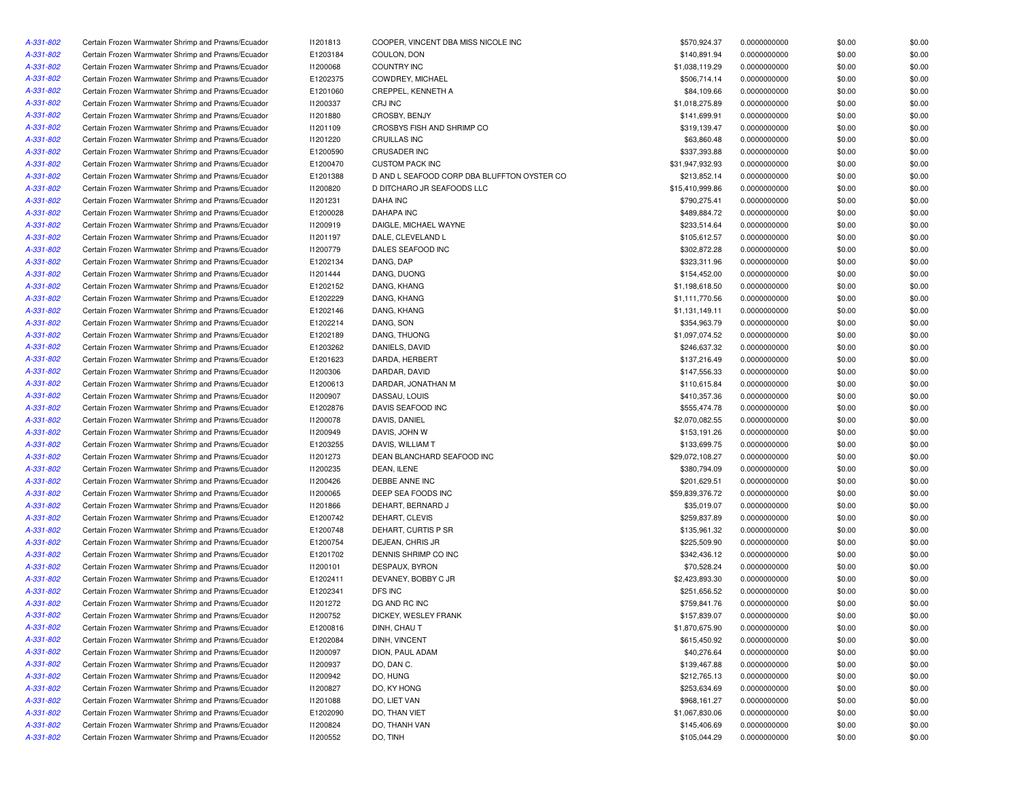| A-331-802 | Certain Frozen Warmwater Shrimp and Prawns/Ecuador | 11201813 | COOPER, VINCENT DBA MISS NICOLE INC         | \$570,924.37    | 0.0000000000 | \$0.00 | \$0.00 |
|-----------|----------------------------------------------------|----------|---------------------------------------------|-----------------|--------------|--------|--------|
| A-331-802 | Certain Frozen Warmwater Shrimp and Prawns/Ecuador | E1203184 | COULON, DON                                 | \$140,891.94    | 0.0000000000 | \$0.00 | \$0.00 |
| A-331-802 | Certain Frozen Warmwater Shrimp and Prawns/Ecuador | 11200068 | <b>COUNTRY INC</b>                          | \$1,038,119.29  | 0.0000000000 | \$0.00 | \$0.00 |
| A-331-802 | Certain Frozen Warmwater Shrimp and Prawns/Ecuador | E1202375 | COWDREY, MICHAEL                            | \$506,714.14    | 0.0000000000 | \$0.00 | \$0.00 |
| A-331-802 | Certain Frozen Warmwater Shrimp and Prawns/Ecuador | E1201060 | CREPPEL, KENNETH A                          | \$84,109.66     | 0.0000000000 | \$0.00 | \$0.00 |
| A-331-802 | Certain Frozen Warmwater Shrimp and Prawns/Ecuador | 11200337 | CRJ INC                                     | \$1,018,275.89  | 0.0000000000 | \$0.00 | \$0.00 |
| A-331-802 | Certain Frozen Warmwater Shrimp and Prawns/Ecuador | 11201880 | CROSBY, BENJY                               | \$141,699.91    | 0.0000000000 | \$0.00 | \$0.00 |
| A-331-802 | Certain Frozen Warmwater Shrimp and Prawns/Ecuador | 11201109 | CROSBYS FISH AND SHRIMP CO                  | \$319,139.47    | 0.0000000000 | \$0.00 | \$0.00 |
| A-331-802 | Certain Frozen Warmwater Shrimp and Prawns/Ecuador | 11201220 | CRUILLAS INC                                | \$63,860.48     | 0.0000000000 | \$0.00 | \$0.00 |
| A-331-802 | Certain Frozen Warmwater Shrimp and Prawns/Ecuador | E1200590 | <b>CRUSADER INC</b>                         | \$337,393.88    | 0.0000000000 | \$0.00 | \$0.00 |
| A-331-802 | Certain Frozen Warmwater Shrimp and Prawns/Ecuador | E1200470 | <b>CUSTOM PACK INC</b>                      | \$31,947,932.93 | 0.0000000000 | \$0.00 | \$0.00 |
| A-331-802 | Certain Frozen Warmwater Shrimp and Prawns/Ecuador | E1201388 | D AND L SEAFOOD CORP DBA BLUFFTON OYSTER CO | \$213,852.14    | 0.0000000000 | \$0.00 | \$0.00 |
| A-331-802 | Certain Frozen Warmwater Shrimp and Prawns/Ecuador | 11200820 | D DITCHARO JR SEAFOODS LLC                  | \$15,410,999.86 | 0.0000000000 | \$0.00 | \$0.00 |
| A-331-802 | Certain Frozen Warmwater Shrimp and Prawns/Ecuador | 11201231 | <b>DAHA INC</b>                             | \$790,275.41    | 0.0000000000 | \$0.00 | \$0.00 |
| A-331-802 | Certain Frozen Warmwater Shrimp and Prawns/Ecuador | E1200028 | <b>DAHAPA INC</b>                           | \$489,884.72    | 0.0000000000 | \$0.00 | \$0.00 |
| A-331-802 | Certain Frozen Warmwater Shrimp and Prawns/Ecuador | 11200919 | DAIGLE, MICHAEL WAYNE                       | \$233,514.64    | 0.0000000000 | \$0.00 | \$0.00 |
| A-331-802 | Certain Frozen Warmwater Shrimp and Prawns/Ecuador | 11201197 | DALE, CLEVELAND L                           | \$105,612.57    | 0.0000000000 | \$0.00 | \$0.00 |
| A-331-802 | Certain Frozen Warmwater Shrimp and Prawns/Ecuador | I1200779 | DALES SEAFOOD INC                           | \$302,872.28    | 0.0000000000 | \$0.00 | \$0.00 |
|           |                                                    |          | DANG, DAP                                   | \$323,311.96    |              |        | \$0.00 |
| A-331-802 | Certain Frozen Warmwater Shrimp and Prawns/Ecuador | E1202134 |                                             |                 | 0.0000000000 | \$0.00 |        |
| A-331-802 | Certain Frozen Warmwater Shrimp and Prawns/Ecuador | 11201444 | DANG, DUONG                                 | \$154,452.00    | 0.0000000000 | \$0.00 | \$0.00 |
| A-331-802 | Certain Frozen Warmwater Shrimp and Prawns/Ecuador | E1202152 | DANG, KHANG                                 | \$1,198,618.50  | 0.0000000000 | \$0.00 | \$0.00 |
| A-331-802 | Certain Frozen Warmwater Shrimp and Prawns/Ecuador | E1202229 | DANG, KHANG                                 | \$1,111,770.56  | 0.0000000000 | \$0.00 | \$0.00 |
| A-331-802 | Certain Frozen Warmwater Shrimp and Prawns/Ecuador | E1202146 | DANG, KHANG                                 | \$1,131,149.11  | 0.0000000000 | \$0.00 | \$0.00 |
| A-331-802 | Certain Frozen Warmwater Shrimp and Prawns/Ecuador | E1202214 | DANG, SON                                   | \$354,963.79    | 0.0000000000 | \$0.00 | \$0.00 |
| A-331-802 | Certain Frozen Warmwater Shrimp and Prawns/Ecuador | E1202189 | DANG, THUONG                                | \$1,097,074.52  | 0.0000000000 | \$0.00 | \$0.00 |
| A-331-802 | Certain Frozen Warmwater Shrimp and Prawns/Ecuador | E1203262 | DANIELS, DAVID                              | \$246,637.32    | 0.0000000000 | \$0.00 | \$0.00 |
| A-331-802 | Certain Frozen Warmwater Shrimp and Prawns/Ecuador | E1201623 | DARDA, HERBERT                              | \$137,216.49    | 0.0000000000 | \$0.00 | \$0.00 |
| A-331-802 | Certain Frozen Warmwater Shrimp and Prawns/Ecuador | 11200306 | DARDAR, DAVID                               | \$147,556.33    | 0.0000000000 | \$0.00 | \$0.00 |
| A-331-802 | Certain Frozen Warmwater Shrimp and Prawns/Ecuador | E1200613 | DARDAR, JONATHAN M                          | \$110,615.84    | 0.0000000000 | \$0.00 | \$0.00 |
| A-331-802 | Certain Frozen Warmwater Shrimp and Prawns/Ecuador | I1200907 | DASSAU, LOUIS                               | \$410,357.36    | 0.0000000000 | \$0.00 | \$0.00 |
| A-331-802 | Certain Frozen Warmwater Shrimp and Prawns/Ecuador | E1202876 | DAVIS SEAFOOD INC                           | \$555,474.78    | 0.0000000000 | \$0.00 | \$0.00 |
| A-331-802 | Certain Frozen Warmwater Shrimp and Prawns/Ecuador | 11200078 | DAVIS, DANIEL                               | \$2,070,082.55  | 0.0000000000 | \$0.00 | \$0.00 |
| A-331-802 | Certain Frozen Warmwater Shrimp and Prawns/Ecuador | I1200949 | DAVIS, JOHN W                               | \$153,191.26    | 0.0000000000 | \$0.00 | \$0.00 |
| A-331-802 | Certain Frozen Warmwater Shrimp and Prawns/Ecuador | E1203255 | DAVIS, WILLIAM T                            | \$133,699.75    | 0.0000000000 | \$0.00 | \$0.00 |
| A-331-802 | Certain Frozen Warmwater Shrimp and Prawns/Ecuador | 11201273 | DEAN BLANCHARD SEAFOOD INC                  | \$29,072,108.27 | 0.0000000000 | \$0.00 | \$0.00 |
| A-331-802 | Certain Frozen Warmwater Shrimp and Prawns/Ecuador | I1200235 | DEAN, ILENE                                 | \$380,794.09    | 0.0000000000 | \$0.00 | \$0.00 |
| A-331-802 | Certain Frozen Warmwater Shrimp and Prawns/Ecuador | 11200426 | DEBBE ANNE INC                              | \$201,629.51    | 0.0000000000 | \$0.00 | \$0.00 |
| A-331-802 | Certain Frozen Warmwater Shrimp and Prawns/Ecuador | I1200065 | DEEP SEA FOODS INC                          | \$59,839,376.72 | 0.0000000000 | \$0.00 | \$0.00 |
| A-331-802 | Certain Frozen Warmwater Shrimp and Prawns/Ecuador | 11201866 | DEHART, BERNARD J                           | \$35,019.07     | 0.0000000000 | \$0.00 | \$0.00 |
| A-331-802 | Certain Frozen Warmwater Shrimp and Prawns/Ecuador | E1200742 | DEHART, CLEVIS                              | \$259,837.89    | 0.0000000000 | \$0.00 | \$0.00 |
| A-331-802 | Certain Frozen Warmwater Shrimp and Prawns/Ecuador | E1200748 | DEHART, CURTIS P SR                         | \$135,961.32    | 0.0000000000 | \$0.00 | \$0.00 |
| A-331-802 | Certain Frozen Warmwater Shrimp and Prawns/Ecuador | E1200754 | DEJEAN, CHRIS JR                            | \$225,509.90    | 0.0000000000 | \$0.00 | \$0.00 |
| A-331-802 | Certain Frozen Warmwater Shrimp and Prawns/Ecuador | E1201702 | DENNIS SHRIMP CO INC                        | \$342,436.12    | 0.0000000000 | \$0.00 | \$0.00 |
| A-331-802 | Certain Frozen Warmwater Shrimp and Prawns/Ecuador | 11200101 | DESPAUX, BYRON                              | \$70,528.24     | 0.0000000000 | \$0.00 | \$0.00 |
| A-331-802 | Certain Frozen Warmwater Shrimp and Prawns/Ecuador | E1202411 | DEVANEY, BOBBY C JR                         | \$2,423,893.30  | 0.0000000000 | \$0.00 | \$0.00 |
| A-331-802 | Certain Frozen Warmwater Shrimp and Prawns/Ecuador | E1202341 | DFS INC                                     | \$251,656.52    | 0.0000000000 | \$0.00 | \$0.00 |
|           | Certain Frozen Warmwater Shrimp and Prawns/Ecuador | 11201272 | DG AND RC INC                               |                 |              | \$0.00 | \$0.00 |
| A-331-802 |                                                    |          |                                             | \$759,841.76    | 0.0000000000 |        |        |
| A-331-802 | Certain Frozen Warmwater Shrimp and Prawns/Ecuador | 11200752 | DICKEY, WESLEY FRANK                        | \$157,839.07    | 0.0000000000 | \$0.00 | \$0.00 |
| A-331-802 | Certain Frozen Warmwater Shrimp and Prawns/Ecuador | E1200816 | DINH, CHAU T                                | \$1,870,675.90  | 0.0000000000 | \$0.00 | \$0.00 |
| A-331-802 | Certain Frozen Warmwater Shrimp and Prawns/Ecuador | E1202084 | DINH, VINCENT                               | \$615,450.92    | 0.0000000000 | \$0.00 | \$0.00 |
| A-331-802 | Certain Frozen Warmwater Shrimp and Prawns/Ecuador | 11200097 | DION, PAUL ADAM                             | \$40,276.64     | 0.0000000000 | \$0.00 | \$0.00 |
| A-331-802 | Certain Frozen Warmwater Shrimp and Prawns/Ecuador | I1200937 | DO, DAN C.                                  | \$139,467.88    | 0.0000000000 | \$0.00 | \$0.00 |
| A-331-802 | Certain Frozen Warmwater Shrimp and Prawns/Ecuador | 11200942 | DO, HUNG                                    | \$212,765.13    | 0.0000000000 | \$0.00 | \$0.00 |
| A-331-802 | Certain Frozen Warmwater Shrimp and Prawns/Ecuador | I1200827 | DO, KY HONG                                 | \$253,634.69    | 0.0000000000 | \$0.00 | \$0.00 |
| A-331-802 | Certain Frozen Warmwater Shrimp and Prawns/Ecuador | 11201088 | DO, LIET VAN                                | \$968,161.27    | 0.0000000000 | \$0.00 | \$0.00 |
| A-331-802 | Certain Frozen Warmwater Shrimp and Prawns/Ecuador | E1202090 | DO, THAN VIET                               | \$1,067,830.06  | 0.0000000000 | \$0.00 | \$0.00 |
| A-331-802 | Certain Frozen Warmwater Shrimp and Prawns/Ecuador | 11200824 | DO, THANH VAN                               | \$145,406.69    | 0.0000000000 | \$0.00 | \$0.00 |
| A-331-802 | Certain Frozen Warmwater Shrimp and Prawns/Ecuador | I1200552 | DO, TINH                                    | \$105,044.29    | 0.0000000000 | \$0.00 | \$0.00 |
|           |                                                    |          |                                             |                 |              |        |        |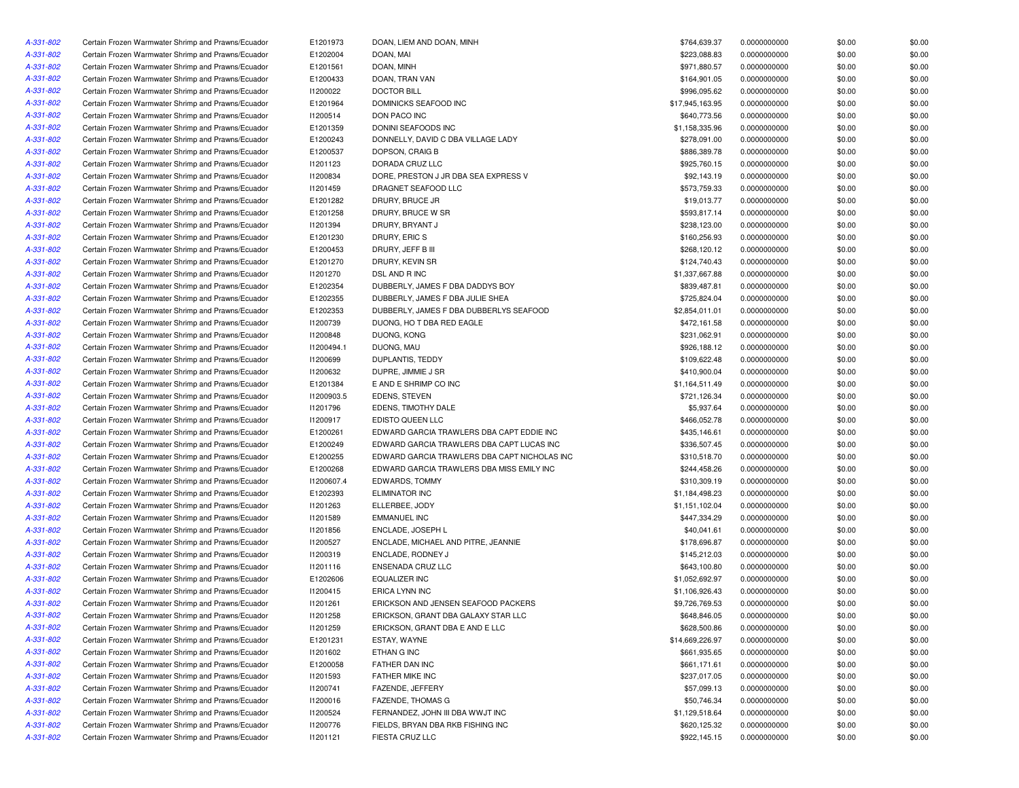| A-331-802 | Certain Frozen Warmwater Shrimp and Prawns/Ecuador | E1201973        | DOAN, LIEM AND DOAN, MINH                    | \$764,639.37    | 0.0000000000 | \$0.00 | \$0.00 |
|-----------|----------------------------------------------------|-----------------|----------------------------------------------|-----------------|--------------|--------|--------|
| A-331-802 | Certain Frozen Warmwater Shrimp and Prawns/Ecuador | E1202004        | DOAN, MAI                                    | \$223,088.83    | 0.0000000000 | \$0.00 | \$0.00 |
| A-331-802 | Certain Frozen Warmwater Shrimp and Prawns/Ecuador | E1201561        | DOAN, MINH                                   | \$971,880.57    | 0.0000000000 | \$0.00 | \$0.00 |
| A-331-802 | Certain Frozen Warmwater Shrimp and Prawns/Ecuador | E1200433        | DOAN, TRAN VAN                               | \$164,901.05    | 0.0000000000 | \$0.00 | \$0.00 |
| A-331-802 | Certain Frozen Warmwater Shrimp and Prawns/Ecuador | 11200022        | <b>DOCTOR BILL</b>                           | \$996,095.62    | 0.0000000000 | \$0.00 | \$0.00 |
| A-331-802 | Certain Frozen Warmwater Shrimp and Prawns/Ecuador | E1201964        | DOMINICKS SEAFOOD INC                        | \$17,945,163.95 | 0.0000000000 | \$0.00 | \$0.00 |
| A-331-802 | Certain Frozen Warmwater Shrimp and Prawns/Ecuador | 11200514        | DON PACO INC                                 | \$640,773.56    | 0.0000000000 | \$0.00 | \$0.00 |
| A-331-802 | Certain Frozen Warmwater Shrimp and Prawns/Ecuador | E1201359        | DONINI SEAFOODS INC                          | \$1,158,335.96  | 0.0000000000 | \$0.00 | \$0.00 |
| A-331-802 | Certain Frozen Warmwater Shrimp and Prawns/Ecuador | E1200243        | DONNELLY, DAVID C DBA VILLAGE LADY           | \$278,091.00    | 0.0000000000 | \$0.00 | \$0.00 |
| A-331-802 | Certain Frozen Warmwater Shrimp and Prawns/Ecuador | E1200537        | DOPSON, CRAIG B                              | \$886,389.78    | 0.0000000000 | \$0.00 | \$0.00 |
| A-331-802 | Certain Frozen Warmwater Shrimp and Prawns/Ecuador | 11201123        | DORADA CRUZ LLC                              | \$925,760.15    | 0.0000000000 | \$0.00 | \$0.00 |
| A-331-802 | Certain Frozen Warmwater Shrimp and Prawns/Ecuador | <b>I1200834</b> | DORE, PRESTON J JR DBA SEA EXPRESS V         | \$92,143.19     | 0.0000000000 | \$0.00 | \$0.00 |
| A-331-802 | Certain Frozen Warmwater Shrimp and Prawns/Ecuador | 11201459        | DRAGNET SEAFOOD LLC                          | \$573,759.33    | 0.0000000000 | \$0.00 | \$0.00 |
| A-331-802 | Certain Frozen Warmwater Shrimp and Prawns/Ecuador | E1201282        | DRURY, BRUCE JR                              | \$19,013.77     | 0.0000000000 | \$0.00 | \$0.00 |
| A-331-802 | Certain Frozen Warmwater Shrimp and Prawns/Ecuador | E1201258        | DRURY, BRUCE W SR                            | \$593,817.14    | 0.0000000000 | \$0.00 | \$0.00 |
| A-331-802 | Certain Frozen Warmwater Shrimp and Prawns/Ecuador | 11201394        | DRURY, BRYANT J                              | \$238,123.00    | 0.0000000000 | \$0.00 | \$0.00 |
| A-331-802 | Certain Frozen Warmwater Shrimp and Prawns/Ecuador | E1201230        | DRURY, ERIC S                                | \$160,256.93    | 0.0000000000 | \$0.00 | \$0.00 |
| A-331-802 | Certain Frozen Warmwater Shrimp and Prawns/Ecuador | E1200453        | DRURY, JEFF B III                            | \$268,120.12    | 0.0000000000 | \$0.00 | \$0.00 |
| A-331-802 | Certain Frozen Warmwater Shrimp and Prawns/Ecuador | E1201270        | DRURY, KEVIN SR                              | \$124,740.43    | 0.0000000000 | \$0.00 | \$0.00 |
| A-331-802 | Certain Frozen Warmwater Shrimp and Prawns/Ecuador | 11201270        | DSL AND R INC                                | \$1,337,667.88  | 0.0000000000 | \$0.00 | \$0.00 |
|           |                                                    | E1202354        |                                              |                 |              |        | \$0.00 |
| A-331-802 | Certain Frozen Warmwater Shrimp and Prawns/Ecuador |                 | DUBBERLY, JAMES F DBA DADDYS BOY             | \$839,487.81    | 0.0000000000 | \$0.00 |        |
| A-331-802 | Certain Frozen Warmwater Shrimp and Prawns/Ecuador | E1202355        | DUBBERLY, JAMES F DBA JULIE SHEA             | \$725,824.04    | 0.0000000000 | \$0.00 | \$0.00 |
| A-331-802 | Certain Frozen Warmwater Shrimp and Prawns/Ecuador | E1202353        | DUBBERLY, JAMES F DBA DUBBERLYS SEAFOOD      | \$2,854,011.01  | 0.0000000000 | \$0.00 | \$0.00 |
| A-331-802 | Certain Frozen Warmwater Shrimp and Prawns/Ecuador | 11200739        | DUONG, HO T DBA RED EAGLE                    | \$472,161.58    | 0.0000000000 | \$0.00 | \$0.00 |
| A-331-802 | Certain Frozen Warmwater Shrimp and Prawns/Ecuador | 11200848        | DUONG, KONG                                  | \$231,062.91    | 0.0000000000 | \$0.00 | \$0.00 |
| A-331-802 | Certain Frozen Warmwater Shrimp and Prawns/Ecuador | 11200494.1      | DUONG, MAU                                   | \$926,188.12    | 0.0000000000 | \$0.00 | \$0.00 |
| A-331-802 | Certain Frozen Warmwater Shrimp and Prawns/Ecuador | 11200699        | DUPLANTIS, TEDDY                             | \$109,622.48    | 0.0000000000 | \$0.00 | \$0.00 |
| A-331-802 | Certain Frozen Warmwater Shrimp and Prawns/Ecuador | 11200632        | DUPRE, JIMMIE J SR                           | \$410,900.04    | 0.0000000000 | \$0.00 | \$0.00 |
| A-331-802 | Certain Frozen Warmwater Shrimp and Prawns/Ecuador | E1201384        | E AND E SHRIMP CO INC                        | \$1,164,511.49  | 0.0000000000 | \$0.00 | \$0.00 |
| A-331-802 | Certain Frozen Warmwater Shrimp and Prawns/Ecuador | 11200903.5      | <b>EDENS, STEVEN</b>                         | \$721,126.34    | 0.0000000000 | \$0.00 | \$0.00 |
| A-331-802 | Certain Frozen Warmwater Shrimp and Prawns/Ecuador | 11201796        | EDENS, TIMOTHY DALE                          | \$5,937.64      | 0.0000000000 | \$0.00 | \$0.00 |
| A-331-802 | Certain Frozen Warmwater Shrimp and Prawns/Ecuador | 11200917        | <b>EDISTO QUEEN LLC</b>                      | \$466,052.78    | 0.0000000000 | \$0.00 | \$0.00 |
| A-331-802 | Certain Frozen Warmwater Shrimp and Prawns/Ecuador | E1200261        | EDWARD GARCIA TRAWLERS DBA CAPT EDDIE INC    | \$435,146.61    | 0.0000000000 | \$0.00 | \$0.00 |
| A-331-802 | Certain Frozen Warmwater Shrimp and Prawns/Ecuador | E1200249        | EDWARD GARCIA TRAWLERS DBA CAPT LUCAS INC    | \$336,507.45    | 0.0000000000 | \$0.00 | \$0.00 |
| A-331-802 | Certain Frozen Warmwater Shrimp and Prawns/Ecuador | E1200255        | EDWARD GARCIA TRAWLERS DBA CAPT NICHOLAS INC | \$310,518.70    | 0.0000000000 | \$0.00 | \$0.00 |
| A-331-802 | Certain Frozen Warmwater Shrimp and Prawns/Ecuador | E1200268        | EDWARD GARCIA TRAWLERS DBA MISS EMILY INC    | \$244,458.26    | 0.0000000000 | \$0.00 | \$0.00 |
| A-331-802 | Certain Frozen Warmwater Shrimp and Prawns/Ecuador | I1200607.4      | EDWARDS, TOMMY                               | \$310,309.19    | 0.0000000000 | \$0.00 | \$0.00 |
| A-331-802 | Certain Frozen Warmwater Shrimp and Prawns/Ecuador | E1202393        | <b>ELIMINATOR INC</b>                        | \$1,184,498.23  | 0.0000000000 | \$0.00 | \$0.00 |
| A-331-802 | Certain Frozen Warmwater Shrimp and Prawns/Ecuador | 11201263        | ELLERBEE, JODY                               | \$1,151,102.04  | 0.0000000000 | \$0.00 | \$0.00 |
| A-331-802 | Certain Frozen Warmwater Shrimp and Prawns/Ecuador | 11201589        | <b>EMMANUEL INC</b>                          | \$447,334.29    | 0.0000000000 | \$0.00 | \$0.00 |
| A-331-802 | Certain Frozen Warmwater Shrimp and Prawns/Ecuador | 11201856        | ENCLADE, JOSEPH L                            | \$40,041.61     | 0.0000000000 | \$0.00 | \$0.00 |
| A-331-802 | Certain Frozen Warmwater Shrimp and Prawns/Ecuador | I1200527        | ENCLADE, MICHAEL AND PITRE, JEANNIE          | \$178,696.87    | 0.0000000000 | \$0.00 | \$0.00 |
| A-331-802 | Certain Frozen Warmwater Shrimp and Prawns/Ecuador | 11200319        | ENCLADE, RODNEY J                            | \$145,212.03    | 0.0000000000 | \$0.00 | \$0.00 |
| A-331-802 | Certain Frozen Warmwater Shrimp and Prawns/Ecuador | 11201116        | ENSENADA CRUZ LLC                            | \$643,100.80    | 0.0000000000 | \$0.00 | \$0.00 |
| A-331-802 | Certain Frozen Warmwater Shrimp and Prawns/Ecuador | E1202606        | <b>EQUALIZER INC</b>                         | \$1,052,692.97  | 0.0000000000 | \$0.00 | \$0.00 |
| A-331-802 | Certain Frozen Warmwater Shrimp and Prawns/Ecuador | I1200415        | ERICA LYNN INC                               | \$1,106,926.43  | 0.0000000000 | \$0.00 | \$0.00 |
| A-331-802 | Certain Frozen Warmwater Shrimp and Prawns/Ecuador | 11201261        | ERICKSON AND JENSEN SEAFOOD PACKERS          | \$9,726,769.53  | 0.0000000000 | \$0.00 | \$0.00 |
| A-331-802 | Certain Frozen Warmwater Shrimp and Prawns/Ecuador | 11201258        | ERICKSON, GRANT DBA GALAXY STAR LLC          | \$648,846.05    | 0.0000000000 | \$0.00 | \$0.00 |
| A-331-802 | Certain Frozen Warmwater Shrimp and Prawns/Ecuador | 11201259        | ERICKSON, GRANT DBA E AND E LLC              | \$628,500.86    | 0.0000000000 | \$0.00 | \$0.00 |
| A-331-802 | Certain Frozen Warmwater Shrimp and Prawns/Ecuador | E1201231        | ESTAY, WAYNE                                 | \$14,669,226.97 | 0.0000000000 | \$0.00 | \$0.00 |
|           | Certain Frozen Warmwater Shrimp and Prawns/Ecuador |                 | ETHAN G INC                                  | \$661,935.65    | 0.0000000000 |        |        |
| A-331-802 |                                                    | 11201602        | FATHER DAN INC                               |                 |              | \$0.00 | \$0.00 |
| A-331-802 | Certain Frozen Warmwater Shrimp and Prawns/Ecuador | E1200058        |                                              | \$661,171.61    | 0.0000000000 | \$0.00 | \$0.00 |
| A-331-802 | Certain Frozen Warmwater Shrimp and Prawns/Ecuador | 11201593        | FATHER MIKE INC                              | \$237,017.05    | 0.0000000000 | \$0.00 | \$0.00 |
| A-331-802 | Certain Frozen Warmwater Shrimp and Prawns/Ecuador | 11200741        | FAZENDE, JEFFERY                             | \$57,099.13     | 0.0000000000 | \$0.00 | \$0.00 |
| A-331-802 | Certain Frozen Warmwater Shrimp and Prawns/Ecuador | 11200016        | <b>FAZENDE, THOMAS G</b>                     | \$50,746.34     | 0.0000000000 | \$0.00 | \$0.00 |
| A-331-802 | Certain Frozen Warmwater Shrimp and Prawns/Ecuador | 11200524        | FERNANDEZ, JOHN III DBA WWJT INC             | \$1,129,518.64  | 0.0000000000 | \$0.00 | \$0.00 |
| A-331-802 | Certain Frozen Warmwater Shrimp and Prawns/Ecuador | 11200776        | FIELDS, BRYAN DBA RKB FISHING INC            | \$620,125.32    | 0.0000000000 | \$0.00 | \$0.00 |
| A-331-802 | Certain Frozen Warmwater Shrimp and Prawns/Ecuador | 11201121        | FIESTA CRUZ LLC                              | \$922,145.15    | 0.0000000000 | \$0.00 | \$0.00 |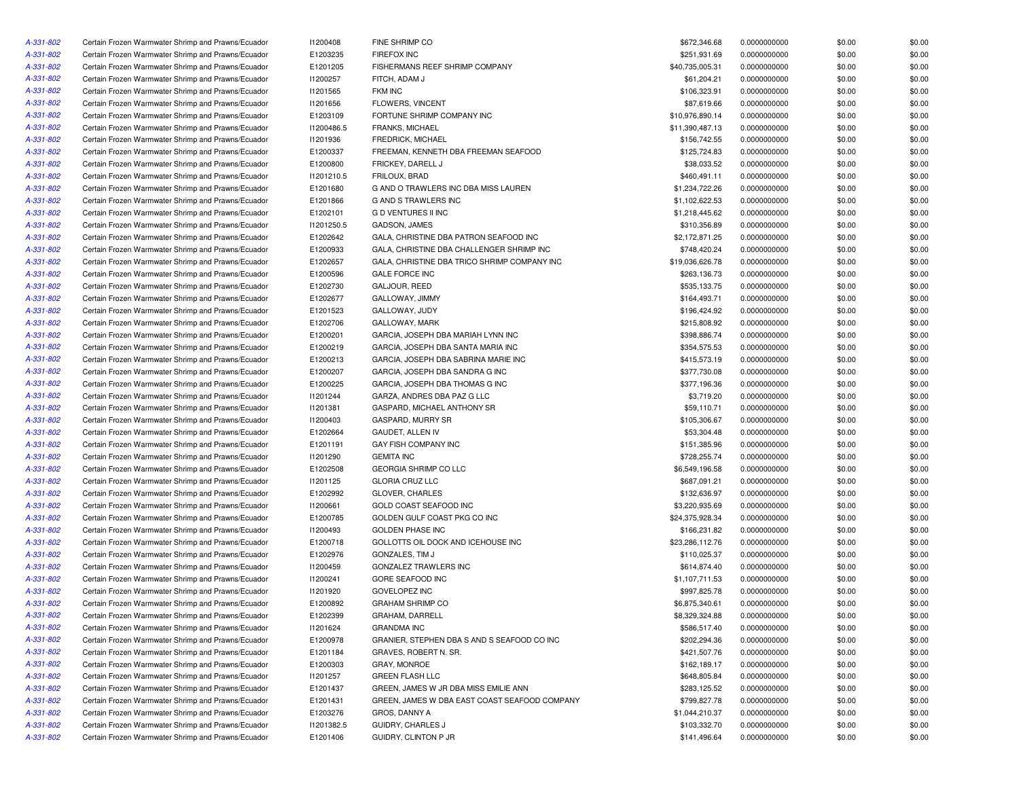| A-331-802 | Certain Frozen Warmwater Shrimp and Prawns/Ecuador | 11200408        | FINE SHRIMP CO                                | \$672,346.68    | 0.0000000000 | \$0.00 | \$0.00 |
|-----------|----------------------------------------------------|-----------------|-----------------------------------------------|-----------------|--------------|--------|--------|
| A-331-802 | Certain Frozen Warmwater Shrimp and Prawns/Ecuador | E1203235        | <b>FIREFOX INC</b>                            | \$251,931.69    | 0.0000000000 | \$0.00 | \$0.00 |
| A-331-802 | Certain Frozen Warmwater Shrimp and Prawns/Ecuador | E1201205        | FISHERMANS REEF SHRIMP COMPANY                | \$40,735,005.31 | 0.0000000000 | \$0.00 | \$0.00 |
| A-331-802 | Certain Frozen Warmwater Shrimp and Prawns/Ecuador | I1200257        | FITCH, ADAM J                                 | \$61,204.21     | 0.0000000000 | \$0.00 | \$0.00 |
| A-331-802 | Certain Frozen Warmwater Shrimp and Prawns/Ecuador | I1201565        | <b>FKM INC</b>                                | \$106,323.91    | 0.0000000000 | \$0.00 | \$0.00 |
| A-331-802 | Certain Frozen Warmwater Shrimp and Prawns/Ecuador | 11201656        | FLOWERS, VINCENT                              | \$87,619.66     | 0.0000000000 | \$0.00 | \$0.00 |
| A-331-802 | Certain Frozen Warmwater Shrimp and Prawns/Ecuador | E1203109        | FORTUNE SHRIMP COMPANY INC                    | \$10,976,890.14 | 0.0000000000 | \$0.00 | \$0.00 |
| A-331-802 | Certain Frozen Warmwater Shrimp and Prawns/Ecuador | I1200486.5      | <b>FRANKS, MICHAEL</b>                        | \$11,390,487.13 | 0.0000000000 | \$0.00 | \$0.00 |
| A-331-802 | Certain Frozen Warmwater Shrimp and Prawns/Ecuador | 11201936        | FREDRICK, MICHAEL                             | \$156,742.55    | 0.0000000000 | \$0.00 | \$0.00 |
| A-331-802 | Certain Frozen Warmwater Shrimp and Prawns/Ecuador | E1200337        | FREEMAN, KENNETH DBA FREEMAN SEAFOOD          | \$125,724.83    | 0.0000000000 | \$0.00 | \$0.00 |
| A-331-802 | Certain Frozen Warmwater Shrimp and Prawns/Ecuador | E1200800        | FRICKEY, DARELL J                             | \$38,033.52     | 0.0000000000 | \$0.00 | \$0.00 |
| A-331-802 | Certain Frozen Warmwater Shrimp and Prawns/Ecuador | 11201210.5      | FRILOUX, BRAD                                 | \$460,491.11    | 0.0000000000 | \$0.00 | \$0.00 |
| A-331-802 | Certain Frozen Warmwater Shrimp and Prawns/Ecuador | E1201680        | G AND O TRAWLERS INC DBA MISS LAUREN          | \$1,234,722.26  | 0.0000000000 | \$0.00 | \$0.00 |
| A-331-802 | Certain Frozen Warmwater Shrimp and Prawns/Ecuador | E1201866        | G AND S TRAWLERS INC                          | \$1,102,622.53  | 0.0000000000 | \$0.00 | \$0.00 |
|           |                                                    | E1202101        |                                               |                 |              |        | \$0.00 |
| A-331-802 | Certain Frozen Warmwater Shrimp and Prawns/Ecuador |                 | G D VENTURES II INC                           | \$1,218,445.62  | 0.0000000000 | \$0.00 |        |
| A-331-802 | Certain Frozen Warmwater Shrimp and Prawns/Ecuador | 11201250.5      | GADSON, JAMES                                 | \$310,356.89    | 0.0000000000 | \$0.00 | \$0.00 |
| A-331-802 | Certain Frozen Warmwater Shrimp and Prawns/Ecuador | E1202642        | GALA, CHRISTINE DBA PATRON SEAFOOD INC        | \$2,172,871.25  | 0.0000000000 | \$0.00 | \$0.00 |
| A-331-802 | Certain Frozen Warmwater Shrimp and Prawns/Ecuador | E1200933        | GALA, CHRISTINE DBA CHALLENGER SHRIMP INC     | \$748,420.24    | 0.0000000000 | \$0.00 | \$0.00 |
| A-331-802 | Certain Frozen Warmwater Shrimp and Prawns/Ecuador | E1202657        | GALA, CHRISTINE DBA TRICO SHRIMP COMPANY INC  | \$19,036,626.78 | 0.0000000000 | \$0.00 | \$0.00 |
| A-331-802 | Certain Frozen Warmwater Shrimp and Prawns/Ecuador | E1200596        | <b>GALE FORCE INC</b>                         | \$263,136.73    | 0.0000000000 | \$0.00 | \$0.00 |
| A-331-802 | Certain Frozen Warmwater Shrimp and Prawns/Ecuador | E1202730        | GALJOUR, REED                                 | \$535,133.75    | 0.0000000000 | \$0.00 | \$0.00 |
| A-331-802 | Certain Frozen Warmwater Shrimp and Prawns/Ecuador | E1202677        | GALLOWAY, JIMMY                               | \$164,493.71    | 0.0000000000 | \$0.00 | \$0.00 |
| A-331-802 | Certain Frozen Warmwater Shrimp and Prawns/Ecuador | E1201523        | GALLOWAY, JUDY                                | \$196,424.92    | 0.0000000000 | \$0.00 | \$0.00 |
| A-331-802 | Certain Frozen Warmwater Shrimp and Prawns/Ecuador | E1202706        | <b>GALLOWAY, MARK</b>                         | \$215,808.92    | 0.0000000000 | \$0.00 | \$0.00 |
| A-331-802 | Certain Frozen Warmwater Shrimp and Prawns/Ecuador | E1200201        | GARCIA, JOSEPH DBA MARIAH LYNN INC            | \$398,886.74    | 0.0000000000 | \$0.00 | \$0.00 |
| A-331-802 | Certain Frozen Warmwater Shrimp and Prawns/Ecuador | E1200219        | GARCIA, JOSEPH DBA SANTA MARIA INC            | \$354,575.53    | 0.0000000000 | \$0.00 | \$0.00 |
| A-331-802 | Certain Frozen Warmwater Shrimp and Prawns/Ecuador | E1200213        | GARCIA, JOSEPH DBA SABRINA MARIE INC          | \$415,573.19    | 0.0000000000 | \$0.00 | \$0.00 |
| A-331-802 | Certain Frozen Warmwater Shrimp and Prawns/Ecuador | E1200207        | GARCIA, JOSEPH DBA SANDRA G INC               | \$377,730.08    | 0.0000000000 | \$0.00 | \$0.00 |
| A-331-802 | Certain Frozen Warmwater Shrimp and Prawns/Ecuador | E1200225        | GARCIA, JOSEPH DBA THOMAS G INC               | \$377,196.36    | 0.0000000000 | \$0.00 | \$0.00 |
| A-331-802 | Certain Frozen Warmwater Shrimp and Prawns/Ecuador | 11201244        | GARZA, ANDRES DBA PAZ G LLC                   | \$3,719.20      | 0.0000000000 | \$0.00 | \$0.00 |
| A-331-802 | Certain Frozen Warmwater Shrimp and Prawns/Ecuador | 11201381        | GASPARD, MICHAEL ANTHONY SR                   | \$59,110.71     | 0.0000000000 | \$0.00 | \$0.00 |
| A-331-802 | Certain Frozen Warmwater Shrimp and Prawns/Ecuador | 11200403        | GASPARD, MURRY SR                             | \$105,306.67    | 0.0000000000 | \$0.00 | \$0.00 |
| A-331-802 | Certain Frozen Warmwater Shrimp and Prawns/Ecuador | E1202664        | GAUDET, ALLEN IV                              | \$53,304.48     | 0.0000000000 | \$0.00 | \$0.00 |
| A-331-802 | Certain Frozen Warmwater Shrimp and Prawns/Ecuador | E1201191        | GAY FISH COMPANY INC                          | \$151,385.96    | 0.0000000000 | \$0.00 | \$0.00 |
| A-331-802 | Certain Frozen Warmwater Shrimp and Prawns/Ecuador | 11201290        | <b>GEMITA INC</b>                             | \$728,255.74    | 0.0000000000 | \$0.00 | \$0.00 |
| A-331-802 | Certain Frozen Warmwater Shrimp and Prawns/Ecuador | E1202508        | GEORGIA SHRIMP CO LLC                         | \$6,549,196.58  | 0.0000000000 | \$0.00 | \$0.00 |
| A-331-802 | Certain Frozen Warmwater Shrimp and Prawns/Ecuador | 11201125        | <b>GLORIA CRUZ LLC</b>                        | \$687,091.21    | 0.0000000000 | \$0.00 | \$0.00 |
| A-331-802 | Certain Frozen Warmwater Shrimp and Prawns/Ecuador | E1202992        | GLOVER, CHARLES                               | \$132,636.97    | 0.0000000000 | \$0.00 | \$0.00 |
| A-331-802 | Certain Frozen Warmwater Shrimp and Prawns/Ecuador | <b>I1200661</b> | GOLD COAST SEAFOOD INC                        | \$3,220,935.69  | 0.0000000000 | \$0.00 | \$0.00 |
| A-331-802 | Certain Frozen Warmwater Shrimp and Prawns/Ecuador | E1200785        | GOLDEN GULF COAST PKG CO INC                  | \$24,375,928.34 | 0.0000000000 | \$0.00 | \$0.00 |
| A-331-802 | Certain Frozen Warmwater Shrimp and Prawns/Ecuador | 11200493        | <b>GOLDEN PHASE INC</b>                       | \$166,231.82    | 0.0000000000 | \$0.00 | \$0.00 |
| A-331-802 | Certain Frozen Warmwater Shrimp and Prawns/Ecuador | E1200718        | GOLLOTTS OIL DOCK AND ICEHOUSE INC            | \$23,286,112.76 | 0.0000000000 | \$0.00 | \$0.00 |
| A-331-802 | Certain Frozen Warmwater Shrimp and Prawns/Ecuador | E1202976        | GONZALES, TIM J                               | \$110,025.37    | 0.0000000000 | \$0.00 | \$0.00 |
| A-331-802 | Certain Frozen Warmwater Shrimp and Prawns/Ecuador | I1200459        | GONZALEZ TRAWLERS INC                         | \$614,874.40    | 0.0000000000 | \$0.00 | \$0.00 |
| A-331-802 | Certain Frozen Warmwater Shrimp and Prawns/Ecuador | I1200241        | GORE SEAFOOD INC                              | \$1,107,711.53  | 0.0000000000 | \$0.00 | \$0.00 |
| A-331-802 | Certain Frozen Warmwater Shrimp and Prawns/Ecuador | 11201920        | <b>GOVELOPEZ INC</b>                          | \$997,825.78    | 0.0000000000 | \$0.00 | \$0.00 |
| A-331-802 | Certain Frozen Warmwater Shrimp and Prawns/Ecuador | E1200892        | <b>GRAHAM SHRIMP CO</b>                       | \$6,875,340.61  | 0.0000000000 | \$0.00 | \$0.00 |
| A-331-802 | Certain Frozen Warmwater Shrimp and Prawns/Ecuador | E1202399        | GRAHAM, DARRELL                               | \$8,329,324.88  | 0.0000000000 | \$0.00 | \$0.00 |
| A-331-802 | Certain Frozen Warmwater Shrimp and Prawns/Ecuador | 11201624        | <b>GRANDMA INC</b>                            | \$586,517.40    | 0.0000000000 | \$0.00 | \$0.00 |
| A-331-802 | Certain Frozen Warmwater Shrimp and Prawns/Ecuador | E1200978        | GRANIER, STEPHEN DBA S AND S SEAFOOD CO INC   | \$202,294.36    | 0.0000000000 | \$0.00 | \$0.00 |
| A-331-802 | Certain Frozen Warmwater Shrimp and Prawns/Ecuador | E1201184        | GRAVES, ROBERT N. SR.                         | \$421,507.76    | 0.0000000000 | \$0.00 | \$0.00 |
| A-331-802 | Certain Frozen Warmwater Shrimp and Prawns/Ecuador | E1200303        | GRAY, MONROE                                  | \$162,189.17    | 0.0000000000 | \$0.00 | \$0.00 |
| A-331-802 | Certain Frozen Warmwater Shrimp and Prawns/Ecuador | 11201257        | <b>GREEN FLASH LLC</b>                        | \$648,805.84    | 0.0000000000 | \$0.00 | \$0.00 |
| A-331-802 | Certain Frozen Warmwater Shrimp and Prawns/Ecuador | E1201437        | GREEN, JAMES W JR DBA MISS EMILIE ANN         | \$283,125.52    | 0.0000000000 | \$0.00 | \$0.00 |
| A-331-802 | Certain Frozen Warmwater Shrimp and Prawns/Ecuador | E1201431        | GREEN, JAMES W DBA EAST COAST SEAFOOD COMPANY | \$799,827.78    | 0.0000000000 | \$0.00 | \$0.00 |
| A-331-802 | Certain Frozen Warmwater Shrimp and Prawns/Ecuador | E1203276        | GROS, DANNY A                                 | \$1,044,210.37  | 0.0000000000 | \$0.00 | \$0.00 |
| A-331-802 | Certain Frozen Warmwater Shrimp and Prawns/Ecuador | 11201382.5      | GUIDRY, CHARLES J                             | \$103,332.70    | 0.0000000000 | \$0.00 | \$0.00 |
| A-331-802 | Certain Frozen Warmwater Shrimp and Prawns/Ecuador | E1201406        | GUIDRY, CLINTON P JR                          | \$141,496.64    | 0.0000000000 | \$0.00 | \$0.00 |
|           |                                                    |                 |                                               |                 |              |        |        |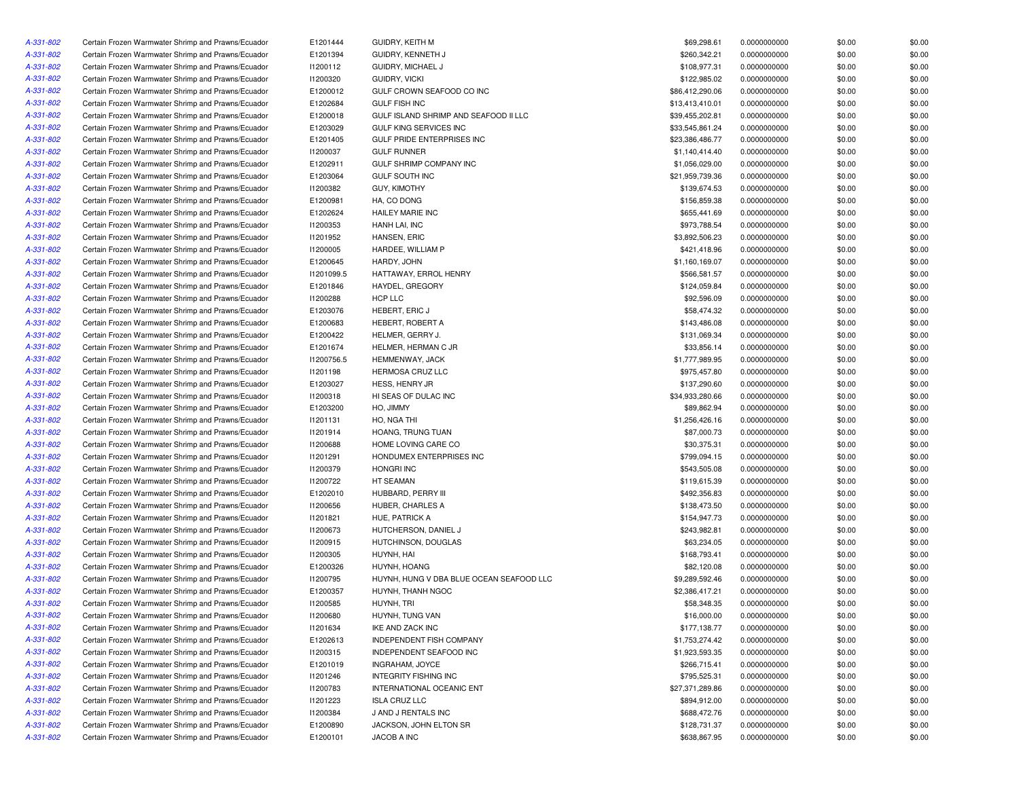| A-331-802 | Certain Frozen Warmwater Shrimp and Prawns/Ecuador | E1201444        | GUIDRY, KEITH M                          | \$69,298.61     | 0.0000000000 | \$0.00 | \$0.00 |
|-----------|----------------------------------------------------|-----------------|------------------------------------------|-----------------|--------------|--------|--------|
| A-331-802 | Certain Frozen Warmwater Shrimp and Prawns/Ecuador | E1201394        | GUIDRY, KENNETH J                        | \$260,342.21    | 0.0000000000 | \$0.00 | \$0.00 |
| A-331-802 | Certain Frozen Warmwater Shrimp and Prawns/Ecuador | 11200112        | GUIDRY, MICHAEL J                        | \$108,977.31    | 0.0000000000 | \$0.00 | \$0.00 |
| A-331-802 | Certain Frozen Warmwater Shrimp and Prawns/Ecuador | 11200320        | <b>GUIDRY, VICKI</b>                     | \$122,985.02    | 0.0000000000 | \$0.00 | \$0.00 |
| A-331-802 | Certain Frozen Warmwater Shrimp and Prawns/Ecuador | E1200012        | GULF CROWN SEAFOOD CO INC                | \$86,412,290.06 | 0.0000000000 | \$0.00 | \$0.00 |
| A-331-802 | Certain Frozen Warmwater Shrimp and Prawns/Ecuador | E1202684        | <b>GULF FISH INC</b>                     | \$13,413,410.01 | 0.0000000000 | \$0.00 | \$0.00 |
| A-331-802 | Certain Frozen Warmwater Shrimp and Prawns/Ecuador | E1200018        | GULF ISLAND SHRIMP AND SEAFOOD II LLC    | \$39,455,202.81 | 0.0000000000 | \$0.00 | \$0.00 |
| A-331-802 | Certain Frozen Warmwater Shrimp and Prawns/Ecuador | E1203029        | <b>GULF KING SERVICES INC</b>            | \$33,545,861.24 | 0.0000000000 | \$0.00 | \$0.00 |
| A-331-802 | Certain Frozen Warmwater Shrimp and Prawns/Ecuador | E1201405        | GULF PRIDE ENTERPRISES INC               | \$23,386,486.77 | 0.0000000000 | \$0.00 | \$0.00 |
| A-331-802 | Certain Frozen Warmwater Shrimp and Prawns/Ecuador | I1200037        | <b>GULF RUNNER</b>                       | \$1,140,414.40  | 0.0000000000 | \$0.00 | \$0.00 |
|           |                                                    |                 |                                          |                 |              |        | \$0.00 |
| A-331-802 | Certain Frozen Warmwater Shrimp and Prawns/Ecuador | E1202911        | GULF SHRIMP COMPANY INC                  | \$1,056,029.00  | 0.0000000000 | \$0.00 |        |
| A-331-802 | Certain Frozen Warmwater Shrimp and Prawns/Ecuador | E1203064        | <b>GULF SOUTH INC</b>                    | \$21,959,739.36 | 0.0000000000 | \$0.00 | \$0.00 |
| A-331-802 | Certain Frozen Warmwater Shrimp and Prawns/Ecuador | 11200382        | <b>GUY, KIMOTHY</b>                      | \$139,674.53    | 0.0000000000 | \$0.00 | \$0.00 |
| A-331-802 | Certain Frozen Warmwater Shrimp and Prawns/Ecuador | E1200981        | HA, CO DONG                              | \$156,859.38    | 0.0000000000 | \$0.00 | \$0.00 |
| A-331-802 | Certain Frozen Warmwater Shrimp and Prawns/Ecuador | E1202624        | <b>HAILEY MARIE INC</b>                  | \$655,441.69    | 0.0000000000 | \$0.00 | \$0.00 |
| A-331-802 | Certain Frozen Warmwater Shrimp and Prawns/Ecuador | <b>I1200353</b> | HANH LAI, INC                            | \$973,788.54    | 0.0000000000 | \$0.00 | \$0.00 |
| A-331-802 | Certain Frozen Warmwater Shrimp and Prawns/Ecuador | 11201952        | HANSEN, ERIC                             | \$3,892,506.23  | 0.0000000000 | \$0.00 | \$0.00 |
| A-331-802 | Certain Frozen Warmwater Shrimp and Prawns/Ecuador | <b>I1200005</b> | HARDEE, WILLIAM P                        | \$421,418.96    | 0.0000000000 | \$0.00 | \$0.00 |
| A-331-802 | Certain Frozen Warmwater Shrimp and Prawns/Ecuador | E1200645        | HARDY, JOHN                              | \$1,160,169.07  | 0.0000000000 | \$0.00 | \$0.00 |
| A-331-802 | Certain Frozen Warmwater Shrimp and Prawns/Ecuador | 11201099.5      | HATTAWAY, ERROL HENRY                    | \$566,581.57    | 0.0000000000 | \$0.00 | \$0.00 |
| A-331-802 | Certain Frozen Warmwater Shrimp and Prawns/Ecuador | E1201846        | HAYDEL, GREGORY                          | \$124,059.84    | 0.0000000000 | \$0.00 | \$0.00 |
| A-331-802 | Certain Frozen Warmwater Shrimp and Prawns/Ecuador | 11200288        | HCP LLC                                  | \$92,596.09     | 0.0000000000 | \$0.00 | \$0.00 |
| A-331-802 | Certain Frozen Warmwater Shrimp and Prawns/Ecuador | E1203076        | HEBERT, ERIC J                           | \$58,474.32     | 0.0000000000 | \$0.00 | \$0.00 |
| A-331-802 | Certain Frozen Warmwater Shrimp and Prawns/Ecuador | E1200683        | HEBERT, ROBERT A                         | \$143,486.08    | 0.0000000000 | \$0.00 | \$0.00 |
| A-331-802 | Certain Frozen Warmwater Shrimp and Prawns/Ecuador | E1200422        | HELMER, GERRY J.                         | \$131,069.34    | 0.0000000000 | \$0.00 | \$0.00 |
| A-331-802 | Certain Frozen Warmwater Shrimp and Prawns/Ecuador | E1201674        | HELMER, HERMAN C JR                      | \$33,856.14     | 0.0000000000 | \$0.00 | \$0.00 |
| A-331-802 | Certain Frozen Warmwater Shrimp and Prawns/Ecuador | I1200756.5      | HEMMENWAY, JACK                          | \$1,777,989.95  | 0.0000000000 | \$0.00 | \$0.00 |
| A-331-802 | Certain Frozen Warmwater Shrimp and Prawns/Ecuador | 11201198        | <b>HERMOSA CRUZ LLC</b>                  | \$975,457.80    | 0.0000000000 | \$0.00 | \$0.00 |
| A-331-802 | Certain Frozen Warmwater Shrimp and Prawns/Ecuador | E1203027        | <b>HESS, HENRY JR</b>                    | \$137,290.60    | 0.0000000000 | \$0.00 | \$0.00 |
| A-331-802 | Certain Frozen Warmwater Shrimp and Prawns/Ecuador | 11200318        | HI SEAS OF DULAC INC                     | \$34,933,280.66 | 0.0000000000 | \$0.00 | \$0.00 |
| A-331-802 | Certain Frozen Warmwater Shrimp and Prawns/Ecuador | E1203200        | HO, JIMMY                                | \$89,862.94     | 0.0000000000 | \$0.00 | \$0.00 |
| A-331-802 | Certain Frozen Warmwater Shrimp and Prawns/Ecuador | 11201131        | HO, NGA THI                              | \$1,256,426.16  | 0.0000000000 | \$0.00 | \$0.00 |
| A-331-802 | Certain Frozen Warmwater Shrimp and Prawns/Ecuador | 11201914        | HOANG, TRUNG TUAN                        | \$87,000.73     | 0.0000000000 | \$0.00 | \$0.00 |
| A-331-802 | Certain Frozen Warmwater Shrimp and Prawns/Ecuador | 11200688        | HOME LOVING CARE CO                      | \$30,375.31     | 0.0000000000 | \$0.00 | \$0.00 |
|           | Certain Frozen Warmwater Shrimp and Prawns/Ecuador | 11201291        | HONDUMEX ENTERPRISES INC                 | \$799,094.15    | 0.0000000000 | \$0.00 | \$0.00 |
| A-331-802 |                                                    |                 |                                          |                 |              |        |        |
| A-331-802 | Certain Frozen Warmwater Shrimp and Prawns/Ecuador | <b>I1200379</b> | <b>HONGRI INC</b>                        | \$543,505.08    | 0.0000000000 | \$0.00 | \$0.00 |
| A-331-802 | Certain Frozen Warmwater Shrimp and Prawns/Ecuador | 11200722        | HT SEAMAN                                | \$119,615.39    | 0.0000000000 | \$0.00 | \$0.00 |
| A-331-802 | Certain Frozen Warmwater Shrimp and Prawns/Ecuador | E1202010        | HUBBARD, PERRY III                       | \$492,356.83    | 0.0000000000 | \$0.00 | \$0.00 |
| A-331-802 | Certain Frozen Warmwater Shrimp and Prawns/Ecuador | 11200656        | HUBER, CHARLES A                         | \$138,473.50    | 0.0000000000 | \$0.00 | \$0.00 |
| A-331-802 | Certain Frozen Warmwater Shrimp and Prawns/Ecuador | 11201821        | HUE, PATRICK A                           | \$154,947.73    | 0.0000000000 | \$0.00 | \$0.00 |
| A-331-802 | Certain Frozen Warmwater Shrimp and Prawns/Ecuador | <b>I1200673</b> | HUTCHERSON, DANIEL J                     | \$243,982.81    | 0.0000000000 | \$0.00 | \$0.00 |
| A-331-802 | Certain Frozen Warmwater Shrimp and Prawns/Ecuador | 11200915        | HUTCHINSON, DOUGLAS                      | \$63,234.05     | 0.0000000000 | \$0.00 | \$0.00 |
| A-331-802 | Certain Frozen Warmwater Shrimp and Prawns/Ecuador | 11200305        | HUYNH, HAI                               | \$168,793.41    | 0.0000000000 | \$0.00 | \$0.00 |
| A-331-802 | Certain Frozen Warmwater Shrimp and Prawns/Ecuador | E1200326        | HUYNH, HOANG                             | \$82,120.08     | 0.0000000000 | \$0.00 | \$0.00 |
| A-331-802 | Certain Frozen Warmwater Shrimp and Prawns/Ecuador | I1200795        | HUYNH, HUNG V DBA BLUE OCEAN SEAFOOD LLC | \$9,289,592.46  | 0.0000000000 | \$0.00 | \$0.00 |
| A-331-802 | Certain Frozen Warmwater Shrimp and Prawns/Ecuador | E1200357        | HUYNH, THANH NGOC                        | \$2,386,417.21  | 0.0000000000 | \$0.00 | \$0.00 |
| A-331-802 | Certain Frozen Warmwater Shrimp and Prawns/Ecuador | <b>I1200585</b> | HUYNH, TRI                               | \$58,348.35     | 0.0000000000 | \$0.00 | \$0.00 |
| A-331-802 | Certain Frozen Warmwater Shrimp and Prawns/Ecuador | 11200680        | HUYNH, TUNG VAN                          | \$16,000.00     | 0.0000000000 | \$0.00 | \$0.00 |
| A-331-802 | Certain Frozen Warmwater Shrimp and Prawns/Ecuador | 11201634        | IKE AND ZACK INC                         | \$177,138.77    | 0.0000000000 | \$0.00 | \$0.00 |
| A-331-802 | Certain Frozen Warmwater Shrimp and Prawns/Ecuador | E1202613        | INDEPENDENT FISH COMPANY                 | \$1,753,274.42  | 0.0000000000 | \$0.00 | \$0.00 |
| A-331-802 | Certain Frozen Warmwater Shrimp and Prawns/Ecuador | 11200315        | INDEPENDENT SEAFOOD INC                  | \$1,923,593.35  | 0.0000000000 | \$0.00 | \$0.00 |
| A-331-802 | Certain Frozen Warmwater Shrimp and Prawns/Ecuador | E1201019        | INGRAHAM, JOYCE                          | \$266,715.41    | 0.0000000000 | \$0.00 | \$0.00 |
| A-331-802 | Certain Frozen Warmwater Shrimp and Prawns/Ecuador | 11201246        | <b>INTEGRITY FISHING INC</b>             | \$795,525.31    | 0.0000000000 | \$0.00 | \$0.00 |
| A-331-802 | Certain Frozen Warmwater Shrimp and Prawns/Ecuador | 11200783        | INTERNATIONAL OCEANIC ENT                | \$27,371,289.86 | 0.0000000000 | \$0.00 | \$0.00 |
| A-331-802 | Certain Frozen Warmwater Shrimp and Prawns/Ecuador | 11201223        | <b>ISLA CRUZ LLC</b>                     | \$894,912.00    | 0.0000000000 | \$0.00 | \$0.00 |
| A-331-802 | Certain Frozen Warmwater Shrimp and Prawns/Ecuador | 11200384        | J AND J RENTALS INC                      | \$688,472.76    | 0.0000000000 | \$0.00 | \$0.00 |
| A-331-802 | Certain Frozen Warmwater Shrimp and Prawns/Ecuador | E1200890        | JACKSON, JOHN ELTON SR                   | \$128,731.37    | 0.0000000000 | \$0.00 | \$0.00 |
| A-331-802 | Certain Frozen Warmwater Shrimp and Prawns/Ecuador | E1200101        | JACOB A INC                              | \$638,867.95    | 0.0000000000 | \$0.00 | \$0.00 |
|           |                                                    |                 |                                          |                 |              |        |        |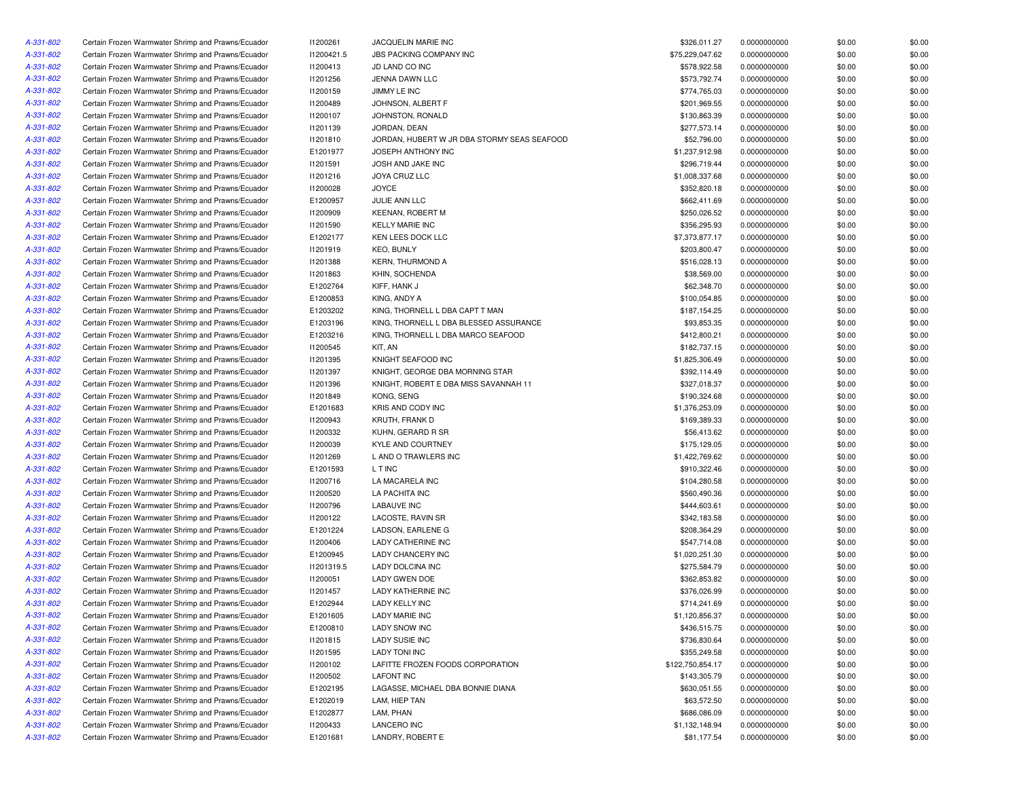| A-331-802 | Certain Frozen Warmwater Shrimp and Prawns/Ecuador | 11200261        | JACQUELIN MARIE INC                         | \$326,011.27     | 0.0000000000 | \$0.00 | \$0.00 |
|-----------|----------------------------------------------------|-----------------|---------------------------------------------|------------------|--------------|--------|--------|
| A-331-802 | Certain Frozen Warmwater Shrimp and Prawns/Ecuador | I1200421.5      | JBS PACKING COMPANY INC                     | \$75,229,047.62  | 0.0000000000 | \$0.00 | \$0.00 |
| A-331-802 | Certain Frozen Warmwater Shrimp and Prawns/Ecuador | 11200413        | JD LAND CO INC                              | \$578,922.58     | 0.0000000000 | \$0.00 | \$0.00 |
| A-331-802 | Certain Frozen Warmwater Shrimp and Prawns/Ecuador | 11201256        | JENNA DAWN LLC                              | \$573,792.74     | 0.0000000000 | \$0.00 | \$0.00 |
| A-331-802 | Certain Frozen Warmwater Shrimp and Prawns/Ecuador | 11200159        | JIMMY LE INC                                | \$774,765.03     | 0.0000000000 | \$0.00 | \$0.00 |
| A-331-802 | Certain Frozen Warmwater Shrimp and Prawns/Ecuador | I1200489        | JOHNSON, ALBERT F                           | \$201,969.55     | 0.0000000000 | \$0.00 | \$0.00 |
| A-331-802 | Certain Frozen Warmwater Shrimp and Prawns/Ecuador | 11200107        | JOHNSTON, RONALD                            | \$130,863.39     | 0.0000000000 | \$0.00 | \$0.00 |
| A-331-802 | Certain Frozen Warmwater Shrimp and Prawns/Ecuador | 11201139        | JORDAN, DEAN                                | \$277,573.14     | 0.0000000000 | \$0.00 | \$0.00 |
| A-331-802 | Certain Frozen Warmwater Shrimp and Prawns/Ecuador | 11201810        | JORDAN, HUBERT W JR DBA STORMY SEAS SEAFOOD | \$52,796.00      | 0.0000000000 | \$0.00 | \$0.00 |
| A-331-802 | Certain Frozen Warmwater Shrimp and Prawns/Ecuador | E1201977        | JOSEPH ANTHONY INC                          | \$1,237,912.98   | 0.0000000000 | \$0.00 | \$0.00 |
| A-331-802 | Certain Frozen Warmwater Shrimp and Prawns/Ecuador | 11201591        | JOSH AND JAKE INC                           | \$296,719.44     | 0.0000000000 | \$0.00 | \$0.00 |
| A-331-802 | Certain Frozen Warmwater Shrimp and Prawns/Ecuador | 11201216        | JOYA CRUZ LLC                               | \$1,008,337.68   | 0.0000000000 | \$0.00 | \$0.00 |
| A-331-802 | Certain Frozen Warmwater Shrimp and Prawns/Ecuador | 11200028        | <b>JOYCE</b>                                | \$352,820.18     | 0.0000000000 | \$0.00 | \$0.00 |
| A-331-802 | Certain Frozen Warmwater Shrimp and Prawns/Ecuador | E1200957        | JULIE ANN LLC                               | \$662,411.69     | 0.0000000000 | \$0.00 | \$0.00 |
| A-331-802 | Certain Frozen Warmwater Shrimp and Prawns/Ecuador | <b>I1200909</b> | <b>KEENAN, ROBERT M</b>                     | \$250,026.52     | 0.0000000000 | \$0.00 | \$0.00 |
| A-331-802 | Certain Frozen Warmwater Shrimp and Prawns/Ecuador | 11201590        | <b>KELLY MARIE INC</b>                      | \$356,295.93     | 0.0000000000 | \$0.00 | \$0.00 |
| A-331-802 | Certain Frozen Warmwater Shrimp and Prawns/Ecuador | E1202177        | KEN LEES DOCK LLC                           | \$7,373,877.17   | 0.0000000000 | \$0.00 | \$0.00 |
| A-331-802 | Certain Frozen Warmwater Shrimp and Prawns/Ecuador | 11201919        | <b>KEO, BUNLY</b>                           | \$203,800.47     | 0.0000000000 | \$0.00 | \$0.00 |
| A-331-802 | Certain Frozen Warmwater Shrimp and Prawns/Ecuador | 11201388        | <b>KERN, THURMOND A</b>                     | \$516,028.13     | 0.0000000000 | \$0.00 | \$0.00 |
| A-331-802 | Certain Frozen Warmwater Shrimp and Prawns/Ecuador | 11201863        | KHIN, SOCHENDA                              | \$38,569.00      | 0.0000000000 | \$0.00 | \$0.00 |
| A-331-802 | Certain Frozen Warmwater Shrimp and Prawns/Ecuador | E1202764        | KIFF, HANK J                                | \$62,348.70      | 0.0000000000 | \$0.00 | \$0.00 |
| A-331-802 | Certain Frozen Warmwater Shrimp and Prawns/Ecuador | E1200853        | KING, ANDY A                                | \$100,054.85     | 0.0000000000 | \$0.00 | \$0.00 |
|           |                                                    |                 |                                             |                  |              |        |        |
| A-331-802 | Certain Frozen Warmwater Shrimp and Prawns/Ecuador | E1203202        | KING, THORNELL L DBA CAPT T MAN             | \$187,154.25     | 0.0000000000 | \$0.00 | \$0.00 |
| A-331-802 | Certain Frozen Warmwater Shrimp and Prawns/Ecuador | E1203196        | KING, THORNELL L DBA BLESSED ASSURANCE      | \$93,853.35      | 0.0000000000 | \$0.00 | \$0.00 |
| A-331-802 | Certain Frozen Warmwater Shrimp and Prawns/Ecuador | E1203216        | KING, THORNELL L DBA MARCO SEAFOOD          | \$412,800.21     | 0.0000000000 | \$0.00 | \$0.00 |
| A-331-802 | Certain Frozen Warmwater Shrimp and Prawns/Ecuador | I1200545        | KIT, AN                                     | \$182,737.15     | 0.0000000000 | \$0.00 | \$0.00 |
| A-331-802 | Certain Frozen Warmwater Shrimp and Prawns/Ecuador | 11201395        | KNIGHT SEAFOOD INC                          | \$1,825,306.49   | 0.0000000000 | \$0.00 | \$0.00 |
| A-331-802 | Certain Frozen Warmwater Shrimp and Prawns/Ecuador | 11201397        | KNIGHT, GEORGE DBA MORNING STAR             | \$392,114.49     | 0.0000000000 | \$0.00 | \$0.00 |
| A-331-802 | Certain Frozen Warmwater Shrimp and Prawns/Ecuador | 11201396        | KNIGHT, ROBERT E DBA MISS SAVANNAH 11       | \$327,018.37     | 0.0000000000 | \$0.00 | \$0.00 |
| A-331-802 | Certain Frozen Warmwater Shrimp and Prawns/Ecuador | 11201849        | KONG, SENG                                  | \$190,324.68     | 0.0000000000 | \$0.00 | \$0.00 |
| A-331-802 | Certain Frozen Warmwater Shrimp and Prawns/Ecuador | E1201683        | <b>KRIS AND CODY INC</b>                    | \$1,376,253.09   | 0.0000000000 | \$0.00 | \$0.00 |
| A-331-802 | Certain Frozen Warmwater Shrimp and Prawns/Ecuador | 11200943        | KRUTH, FRANK D                              | \$169,389.33     | 0.0000000000 | \$0.00 | \$0.00 |
| A-331-802 | Certain Frozen Warmwater Shrimp and Prawns/Ecuador | 11200332        | KUHN, GERARD R SR                           | \$56,413.62      | 0.0000000000 | \$0.00 | \$0.00 |
| A-331-802 | Certain Frozen Warmwater Shrimp and Prawns/Ecuador | 11200039        | KYLE AND COURTNEY                           | \$175,129.05     | 0.0000000000 | \$0.00 | \$0.00 |
| A-331-802 | Certain Frozen Warmwater Shrimp and Prawns/Ecuador | 11201269        | L AND O TRAWLERS INC                        | \$1,422,769.62   | 0.0000000000 | \$0.00 | \$0.00 |
| A-331-802 | Certain Frozen Warmwater Shrimp and Prawns/Ecuador | E1201593        | L T INC                                     | \$910,322.46     | 0.0000000000 | \$0.00 | \$0.00 |
| A-331-802 | Certain Frozen Warmwater Shrimp and Prawns/Ecuador | 11200716        | LA MACARELA INC                             | \$104,280.58     | 0.0000000000 | \$0.00 | \$0.00 |
| A-331-802 | Certain Frozen Warmwater Shrimp and Prawns/Ecuador | I1200520        | LA PACHITA INC                              | \$560,490.36     | 0.0000000000 | \$0.00 | \$0.00 |
| A-331-802 | Certain Frozen Warmwater Shrimp and Prawns/Ecuador | 11200796        | LABAUVE INC                                 | \$444,603.61     | 0.0000000000 | \$0.00 | \$0.00 |
| A-331-802 | Certain Frozen Warmwater Shrimp and Prawns/Ecuador | 11200122        | LACOSTE, RAVIN SR                           | \$342,183.58     | 0.0000000000 | \$0.00 | \$0.00 |
| A-331-802 | Certain Frozen Warmwater Shrimp and Prawns/Ecuador | E1201224        | LADSON, EARLENE G                           | \$208,364.29     | 0.0000000000 | \$0.00 | \$0.00 |
| A-331-802 | Certain Frozen Warmwater Shrimp and Prawns/Ecuador | 11200406        | LADY CATHERINE INC                          | \$547,714.08     | 0.0000000000 | \$0.00 | \$0.00 |
| A-331-802 | Certain Frozen Warmwater Shrimp and Prawns/Ecuador | E1200945        | LADY CHANCERY INC                           | \$1,020,251.30   | 0.0000000000 | \$0.00 | \$0.00 |
| A-331-802 | Certain Frozen Warmwater Shrimp and Prawns/Ecuador | 11201319.5      | LADY DOLCINA INC                            | \$275,584.79     | 0.0000000000 | \$0.00 | \$0.00 |
| A-331-802 | Certain Frozen Warmwater Shrimp and Prawns/Ecuador | 11200051        | <b>LADY GWEN DOE</b>                        | \$362,853.82     | 0.0000000000 | \$0.00 | \$0.00 |
| A-331-802 | Certain Frozen Warmwater Shrimp and Prawns/Ecuador | I1201457        | <b>LADY KATHERINE INC</b>                   | \$376,026.99     | 0.0000000000 | \$0.00 | \$0.00 |
| A-331-802 | Certain Frozen Warmwater Shrimp and Prawns/Ecuador | E1202944        | <b>LADY KELLY INC</b>                       | \$714,241.69     | 0.0000000000 | \$0.00 | \$0.00 |
| A-331-802 | Certain Frozen Warmwater Shrimp and Prawns/Ecuador | E1201605        | <b>LADY MARIE INC</b>                       | \$1,120,856.37   | 0.0000000000 | \$0.00 | \$0.00 |
| A-331-802 | Certain Frozen Warmwater Shrimp and Prawns/Ecuador | E1200810        | LADY SNOW INC                               | \$436,515.75     | 0.0000000000 | \$0.00 | \$0.00 |
| A-331-802 | Certain Frozen Warmwater Shrimp and Prawns/Ecuador | 11201815        | <b>LADY SUSIE INC</b>                       | \$736,830.64     | 0.0000000000 | \$0.00 | \$0.00 |
| A-331-802 | Certain Frozen Warmwater Shrimp and Prawns/Ecuador | 11201595        | <b>LADY TONI INC</b>                        | \$355,249.58     | 0.0000000000 | \$0.00 | \$0.00 |
| A-331-802 | Certain Frozen Warmwater Shrimp and Prawns/Ecuador | 11200102        | LAFITTE FROZEN FOODS CORPORATION            | \$122,750,854.17 | 0.0000000000 | \$0.00 | \$0.00 |
| A-331-802 | Certain Frozen Warmwater Shrimp and Prawns/Ecuador | 11200502        | <b>LAFONT INC</b>                           | \$143,305.79     | 0.0000000000 | \$0.00 | \$0.00 |
| A-331-802 | Certain Frozen Warmwater Shrimp and Prawns/Ecuador | E1202195        | LAGASSE, MICHAEL DBA BONNIE DIANA           | \$630,051.55     | 0.0000000000 | \$0.00 | \$0.00 |
| A-331-802 | Certain Frozen Warmwater Shrimp and Prawns/Ecuador | E1202019        | LAM, HIEP TAN                               | \$63,572.50      | 0.0000000000 | \$0.00 | \$0.00 |
| A-331-802 | Certain Frozen Warmwater Shrimp and Prawns/Ecuador | E1202877        | LAM, PHAN                                   | \$686,086.09     | 0.0000000000 | \$0.00 | \$0.00 |
| A-331-802 | Certain Frozen Warmwater Shrimp and Prawns/Ecuador | 11200433        | <b>LANCERO INC</b>                          | \$1,132,148.94   | 0.0000000000 | \$0.00 | \$0.00 |
| A-331-802 | Certain Frozen Warmwater Shrimp and Prawns/Ecuador | E1201681        | LANDRY, ROBERT E                            | \$81,177.54      | 0.0000000000 | \$0.00 | \$0.00 |
|           |                                                    |                 |                                             |                  |              |        |        |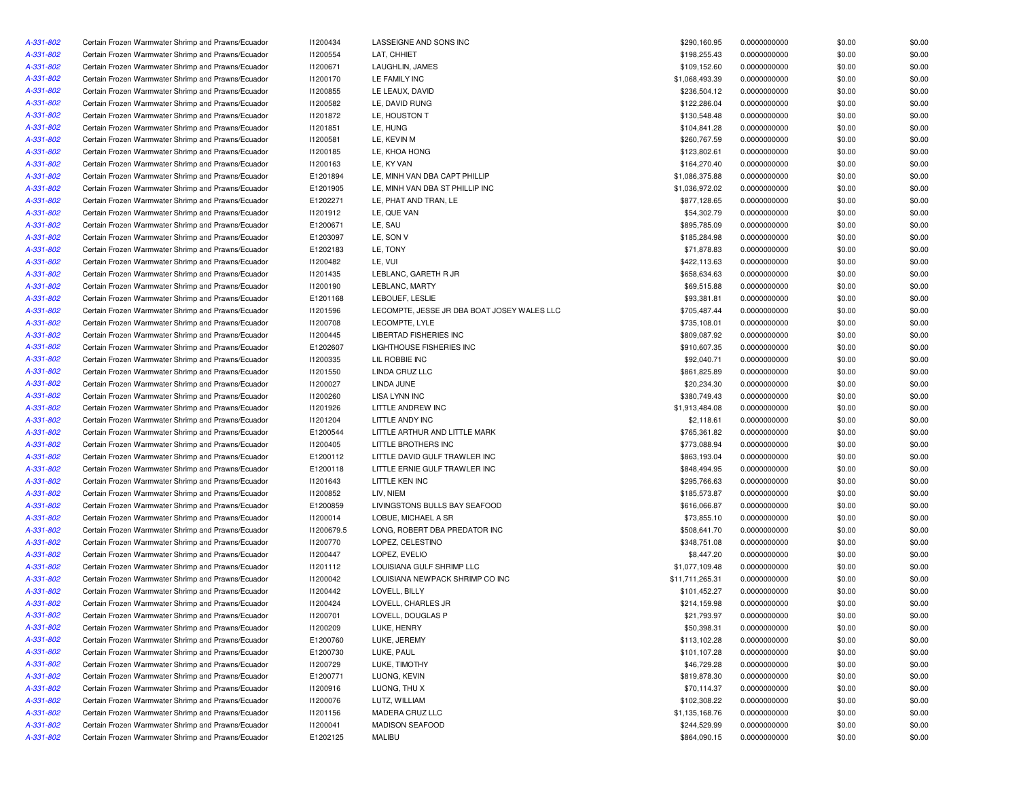| A-331-802 | Certain Frozen Warmwater Shrimp and Prawns/Ecuador                                                       | I1200434   | LASSEIGNE AND SONS INC                                    | \$290,160.95    | 0.0000000000 | \$0.00 | \$0.00 |
|-----------|----------------------------------------------------------------------------------------------------------|------------|-----------------------------------------------------------|-----------------|--------------|--------|--------|
| A-331-802 | Certain Frozen Warmwater Shrimp and Prawns/Ecuador                                                       | I1200554   | LAT, CHHIET                                               | \$198,255.43    | 0.0000000000 | \$0.00 | \$0.00 |
| A-331-802 | Certain Frozen Warmwater Shrimp and Prawns/Ecuador                                                       | I1200671   | LAUGHLIN, JAMES                                           | \$109,152.60    | 0.0000000000 | \$0.00 | \$0.00 |
| A-331-802 | Certain Frozen Warmwater Shrimp and Prawns/Ecuador                                                       | 11200170   | LE FAMILY INC                                             | \$1,068,493.39  | 0.0000000000 | \$0.00 | \$0.00 |
| A-331-802 | Certain Frozen Warmwater Shrimp and Prawns/Ecuador                                                       | 11200855   | LE LEAUX, DAVID                                           | \$236,504.12    | 0.0000000000 | \$0.00 | \$0.00 |
| A-331-802 | Certain Frozen Warmwater Shrimp and Prawns/Ecuador                                                       | 11200582   | LE. DAVID RUNG                                            | \$122,286.04    | 0.0000000000 | \$0.00 | \$0.00 |
| A-331-802 | Certain Frozen Warmwater Shrimp and Prawns/Ecuador                                                       | 11201872   | LE, HOUSTON T                                             | \$130,548.48    | 0.0000000000 | \$0.00 | \$0.00 |
| A-331-802 | Certain Frozen Warmwater Shrimp and Prawns/Ecuador                                                       | 11201851   | LE, HUNG                                                  | \$104,841.28    | 0.0000000000 | \$0.00 | \$0.00 |
| A-331-802 | Certain Frozen Warmwater Shrimp and Prawns/Ecuador                                                       | 11200581   | LE, KEVIN M                                               | \$260,767.59    | 0.0000000000 | \$0.00 | \$0.00 |
| A-331-802 | Certain Frozen Warmwater Shrimp and Prawns/Ecuador                                                       | 11200185   | LE, KHOA HONG                                             | \$123,802.61    | 0.0000000000 | \$0.00 | \$0.00 |
| A-331-802 | Certain Frozen Warmwater Shrimp and Prawns/Ecuador                                                       | 11200163   | LE, KY VAN                                                | \$164,270.40    | 0.0000000000 | \$0.00 | \$0.00 |
| A-331-802 | Certain Frozen Warmwater Shrimp and Prawns/Ecuador                                                       | E1201894   | LE, MINH VAN DBA CAPT PHILLIP                             | \$1,086,375.88  | 0.0000000000 | \$0.00 | \$0.00 |
| A-331-802 | Certain Frozen Warmwater Shrimp and Prawns/Ecuador                                                       | E1201905   | LE, MINH VAN DBA ST PHILLIP INC                           | \$1,036,972.02  | 0.0000000000 | \$0.00 | \$0.00 |
| A-331-802 | Certain Frozen Warmwater Shrimp and Prawns/Ecuador                                                       | E1202271   | LE, PHAT AND TRAN, LE                                     | \$877,128.65    | 0.0000000000 | \$0.00 | \$0.00 |
| A-331-802 | Certain Frozen Warmwater Shrimp and Prawns/Ecuador                                                       | 11201912   | LE, QUE VAN                                               | \$54,302.79     | 0.0000000000 | \$0.00 | \$0.00 |
| A-331-802 | Certain Frozen Warmwater Shrimp and Prawns/Ecuador                                                       | E1200671   | LE, SAU                                                   | \$895,785.09    | 0.0000000000 | \$0.00 | \$0.00 |
| A-331-802 | Certain Frozen Warmwater Shrimp and Prawns/Ecuador                                                       | E1203097   | LE, SON V                                                 | \$185,284.98    | 0.0000000000 | \$0.00 | \$0.00 |
| A-331-802 | Certain Frozen Warmwater Shrimp and Prawns/Ecuador                                                       | E1202183   | LE, TONY                                                  | \$71,878.83     | 0.0000000000 | \$0.00 | \$0.00 |
| A-331-802 | Certain Frozen Warmwater Shrimp and Prawns/Ecuador                                                       | 11200482   | LE, VUI                                                   | \$422,113.63    | 0.0000000000 | \$0.00 | \$0.00 |
| A-331-802 | Certain Frozen Warmwater Shrimp and Prawns/Ecuador                                                       | 11201435   | LEBLANC, GARETH R JR                                      | \$658,634.63    | 0.0000000000 | \$0.00 | \$0.00 |
| A-331-802 | Certain Frozen Warmwater Shrimp and Prawns/Ecuador                                                       | 11200190   | LEBLANC, MARTY                                            | \$69,515.88     | 0.0000000000 | \$0.00 | \$0.00 |
| A-331-802 | Certain Frozen Warmwater Shrimp and Prawns/Ecuador                                                       | E1201168   | LEBOUEF, LESLIE                                           | \$93,381.81     | 0.0000000000 | \$0.00 | \$0.00 |
|           |                                                                                                          |            |                                                           | \$705,487.44    |              |        |        |
| A-331-802 | Certain Frozen Warmwater Shrimp and Prawns/Ecuador<br>Certain Frozen Warmwater Shrimp and Prawns/Ecuador | 11201596   | LECOMPTE, JESSE JR DBA BOAT JOSEY WALES LLC               |                 | 0.0000000000 | \$0.00 | \$0.00 |
| A-331-802 |                                                                                                          | 11200708   | LECOMPTE, LYLE                                            | \$735,108.01    | 0.0000000000 | \$0.00 | \$0.00 |
| A-331-802 | Certain Frozen Warmwater Shrimp and Prawns/Ecuador                                                       | I1200445   | LIBERTAD FISHERIES INC<br><b>LIGHTHOUSE FISHERIES INC</b> | \$809,087.92    | 0.0000000000 | \$0.00 | \$0.00 |
| A-331-802 | Certain Frozen Warmwater Shrimp and Prawns/Ecuador                                                       | E1202607   |                                                           | \$910,607.35    | 0.0000000000 | \$0.00 | \$0.00 |
| A-331-802 | Certain Frozen Warmwater Shrimp and Prawns/Ecuador                                                       | 11200335   | LIL ROBBIE INC                                            | \$92,040.71     | 0.0000000000 | \$0.00 | \$0.00 |
| A-331-802 | Certain Frozen Warmwater Shrimp and Prawns/Ecuador                                                       | 11201550   | LINDA CRUZ LLC                                            | \$861,825.89    | 0.0000000000 | \$0.00 | \$0.00 |
| A-331-802 | Certain Frozen Warmwater Shrimp and Prawns/Ecuador                                                       | I1200027   | LINDA JUNE                                                | \$20,234.30     | 0.0000000000 | \$0.00 | \$0.00 |
| A-331-802 | Certain Frozen Warmwater Shrimp and Prawns/Ecuador                                                       | 11200260   | LISA LYNN INC                                             | \$380,749.43    | 0.0000000000 | \$0.00 | \$0.00 |
| A-331-802 | Certain Frozen Warmwater Shrimp and Prawns/Ecuador                                                       | 11201926   | LITTLE ANDREW INC                                         | \$1,913,484.08  | 0.0000000000 | \$0.00 | \$0.00 |
| A-331-802 | Certain Frozen Warmwater Shrimp and Prawns/Ecuador                                                       | 11201204   | LITTLE ANDY INC                                           | \$2,118.61      | 0.0000000000 | \$0.00 | \$0.00 |
| A-331-802 | Certain Frozen Warmwater Shrimp and Prawns/Ecuador                                                       | E1200544   | LITTLE ARTHUR AND LITTLE MARK                             | \$765,361.82    | 0.0000000000 | \$0.00 | \$0.00 |
| A-331-802 | Certain Frozen Warmwater Shrimp and Prawns/Ecuador                                                       | 11200405   | LITTLE BROTHERS INC                                       | \$773,088.94    | 0.0000000000 | \$0.00 | \$0.00 |
| A-331-802 | Certain Frozen Warmwater Shrimp and Prawns/Ecuador                                                       | E1200112   | LITTLE DAVID GULF TRAWLER INC                             | \$863,193.04    | 0.0000000000 | \$0.00 | \$0.00 |
| A-331-802 | Certain Frozen Warmwater Shrimp and Prawns/Ecuador                                                       | E1200118   | LITTLE ERNIE GULF TRAWLER INC                             | \$848,494.95    | 0.0000000000 | \$0.00 | \$0.00 |
| A-331-802 | Certain Frozen Warmwater Shrimp and Prawns/Ecuador                                                       | 11201643   | LITTLE KEN INC                                            | \$295,766.63    | 0.0000000000 | \$0.00 | \$0.00 |
| A-331-802 | Certain Frozen Warmwater Shrimp and Prawns/Ecuador                                                       | 11200852   | LIV, NIEM                                                 | \$185,573.87    | 0.0000000000 | \$0.00 | \$0.00 |
| A-331-802 | Certain Frozen Warmwater Shrimp and Prawns/Ecuador                                                       | E1200859   | LIVINGSTONS BULLS BAY SEAFOOD                             | \$616,066.87    | 0.0000000000 | \$0.00 | \$0.00 |
| A-331-802 | Certain Frozen Warmwater Shrimp and Prawns/Ecuador                                                       | 11200014   | LOBUE, MICHAEL A SR                                       | \$73,855.10     | 0.0000000000 | \$0.00 | \$0.00 |
| A-331-802 | Certain Frozen Warmwater Shrimp and Prawns/Ecuador                                                       | I1200679.5 | LONG, ROBERT DBA PREDATOR INC                             | \$508,641.70    | 0.0000000000 | \$0.00 | \$0.00 |
| A-331-802 | Certain Frozen Warmwater Shrimp and Prawns/Ecuador                                                       | 11200770   | LOPEZ, CELESTINO                                          | \$348,751.08    | 0.0000000000 | \$0.00 | \$0.00 |
| A-331-802 | Certain Frozen Warmwater Shrimp and Prawns/Ecuador                                                       | I1200447   | LOPEZ, EVELIO                                             | \$8,447.20      | 0.0000000000 | \$0.00 | \$0.00 |
| A-331-802 | Certain Frozen Warmwater Shrimp and Prawns/Ecuador                                                       | 11201112   | LOUISIANA GULF SHRIMP LLC                                 | \$1,077,109.48  | 0.0000000000 | \$0.00 | \$0.00 |
| A-331-802 | Certain Frozen Warmwater Shrimp and Prawns/Ecuador                                                       | 11200042   | LOUISIANA NEWPACK SHRIMP CO INC                           | \$11,711,265.31 | 0.0000000000 | \$0.00 | \$0.00 |
| A-331-802 | Certain Frozen Warmwater Shrimp and Prawns/Ecuador                                                       | 11200442   | LOVELL, BILLY                                             | \$101,452.27    | 0.0000000000 | \$0.00 | \$0.00 |
| A-331-802 | Certain Frozen Warmwater Shrimp and Prawns/Ecuador                                                       | I1200424   | LOVELL, CHARLES JR                                        | \$214,159.98    | 0.0000000000 | \$0.00 | \$0.00 |
| A-331-802 | Certain Frozen Warmwater Shrimp and Prawns/Ecuador                                                       | 11200701   | LOVELL, DOUGLAS P                                         | \$21,793.97     | 0.0000000000 | \$0.00 | \$0.00 |
| A-331-802 | Certain Frozen Warmwater Shrimp and Prawns/Ecuador                                                       | 11200209   | LUKE, HENRY                                               | \$50,398.31     | 0.0000000000 | \$0.00 | \$0.00 |
| A-331-802 | Certain Frozen Warmwater Shrimp and Prawns/Ecuador                                                       | E1200760   | LUKE, JEREMY                                              | \$113,102.28    | 0.0000000000 | \$0.00 | \$0.00 |
| A-331-802 | Certain Frozen Warmwater Shrimp and Prawns/Ecuador                                                       | E1200730   | LUKE, PAUL                                                | \$101,107.28    | 0.0000000000 | \$0.00 | \$0.00 |
| A-331-802 | Certain Frozen Warmwater Shrimp and Prawns/Ecuador                                                       | 11200729   | LUKE, TIMOTHY                                             | \$46,729.28     | 0.0000000000 | \$0.00 | \$0.00 |
| A-331-802 | Certain Frozen Warmwater Shrimp and Prawns/Ecuador                                                       | E1200771   | LUONG, KEVIN                                              | \$819,878.30    | 0.0000000000 | \$0.00 | \$0.00 |
| A-331-802 | Certain Frozen Warmwater Shrimp and Prawns/Ecuador                                                       | 11200916   | LUONG, THU X                                              | \$70,114.37     | 0.0000000000 | \$0.00 | \$0.00 |
| A-331-802 | Certain Frozen Warmwater Shrimp and Prawns/Ecuador                                                       | 11200076   | LUTZ, WILLIAM                                             | \$102,308.22    | 0.0000000000 | \$0.00 | \$0.00 |
| A-331-802 | Certain Frozen Warmwater Shrimp and Prawns/Ecuador                                                       | 11201156   | MADERA CRUZ LLC                                           | \$1,135,168.76  | 0.0000000000 | \$0.00 | \$0.00 |
| A-331-802 | Certain Frozen Warmwater Shrimp and Prawns/Ecuador                                                       | I1200041   | MADISON SEAFOOD                                           | \$244,529.99    | 0.0000000000 | \$0.00 | \$0.00 |
| A-331-802 | Certain Frozen Warmwater Shrimp and Prawns/Ecuador                                                       | E1202125   | MALIBU                                                    | \$864,090.15    | 0.0000000000 | \$0.00 | \$0.00 |
|           |                                                                                                          |            |                                                           |                 |              |        |        |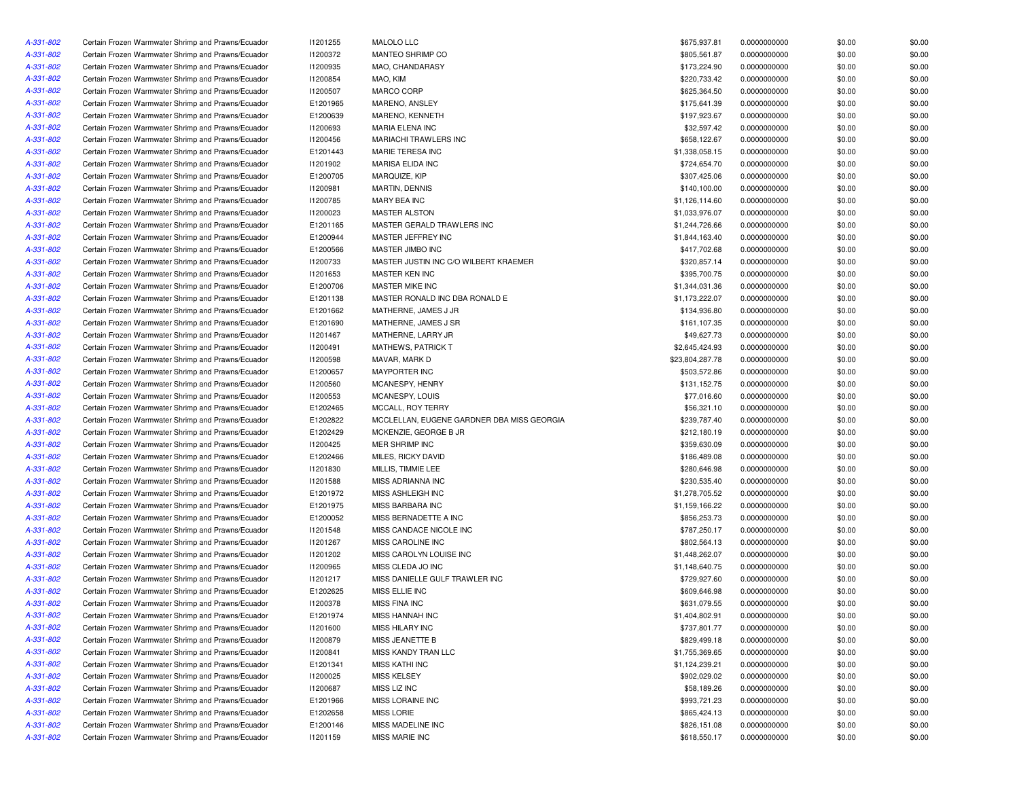| A-331-802 | Certain Frozen Warmwater Shrimp and Prawns/Ecuador | I1201255        | MALOLO LLC                                 | \$675,937.81    | 0.0000000000 | \$0.00 | \$0.00 |
|-----------|----------------------------------------------------|-----------------|--------------------------------------------|-----------------|--------------|--------|--------|
| A-331-802 | Certain Frozen Warmwater Shrimp and Prawns/Ecuador | 11200372        | MANTEO SHRIMP CO                           | \$805,561.87    | 0.0000000000 | \$0.00 | \$0.00 |
| A-331-802 | Certain Frozen Warmwater Shrimp and Prawns/Ecuador | 11200935        | MAO, CHANDARASY                            | \$173,224.90    | 0.0000000000 | \$0.00 | \$0.00 |
| A-331-802 | Certain Frozen Warmwater Shrimp and Prawns/Ecuador | I1200854        | MAO, KIM                                   | \$220,733.42    | 0.0000000000 | \$0.00 | \$0.00 |
| A-331-802 | Certain Frozen Warmwater Shrimp and Prawns/Ecuador | I1200507        | MARCO CORP                                 | \$625,364.50    | 0.0000000000 | \$0.00 | \$0.00 |
| A-331-802 | Certain Frozen Warmwater Shrimp and Prawns/Ecuador | E1201965        | MARENO, ANSLEY                             | \$175,641.39    | 0.0000000000 | \$0.00 | \$0.00 |
| A-331-802 | Certain Frozen Warmwater Shrimp and Prawns/Ecuador | E1200639        | MARENO, KENNETH                            | \$197,923.67    | 0.0000000000 | \$0.00 | \$0.00 |
| A-331-802 | Certain Frozen Warmwater Shrimp and Prawns/Ecuador | 11200693        | MARIA ELENA INC                            | \$32,597.42     | 0.0000000000 | \$0.00 | \$0.00 |
| A-331-802 | Certain Frozen Warmwater Shrimp and Prawns/Ecuador | 11200456        | MARIACHI TRAWLERS INC                      | \$658,122.67    | 0.0000000000 | \$0.00 | \$0.00 |
| A-331-802 | Certain Frozen Warmwater Shrimp and Prawns/Ecuador | E1201443        | MARIE TERESA INC                           | \$1,338,058.15  | 0.0000000000 | \$0.00 | \$0.00 |
| A-331-802 | Certain Frozen Warmwater Shrimp and Prawns/Ecuador | 11201902        | <b>MARISA ELIDA INC</b>                    | \$724,654.70    | 0.0000000000 | \$0.00 | \$0.00 |
| A-331-802 | Certain Frozen Warmwater Shrimp and Prawns/Ecuador | E1200705        | MARQUIZE, KIP                              | \$307,425.06    | 0.0000000000 | \$0.00 | \$0.00 |
| A-331-802 | Certain Frozen Warmwater Shrimp and Prawns/Ecuador | 11200981        | MARTIN, DENNIS                             | \$140,100.00    | 0.0000000000 | \$0.00 | \$0.00 |
| A-331-802 | Certain Frozen Warmwater Shrimp and Prawns/Ecuador | I1200785        | MARY BEA INC                               | \$1,126,114.60  | 0.0000000000 | \$0.00 | \$0.00 |
| A-331-802 | Certain Frozen Warmwater Shrimp and Prawns/Ecuador | 11200023        | <b>MASTER ALSTON</b>                       | \$1,033,976.07  | 0.0000000000 | \$0.00 | \$0.00 |
| A-331-802 | Certain Frozen Warmwater Shrimp and Prawns/Ecuador | E1201165        | MASTER GERALD TRAWLERS INC                 | \$1,244,726.66  | 0.0000000000 | \$0.00 | \$0.00 |
| A-331-802 | Certain Frozen Warmwater Shrimp and Prawns/Ecuador | E1200944        | MASTER JEFFREY INC                         | \$1,844,163.40  | 0.0000000000 | \$0.00 | \$0.00 |
| A-331-802 | Certain Frozen Warmwater Shrimp and Prawns/Ecuador | E1200566        | MASTER JIMBO INC                           | \$417,702.68    |              | \$0.00 | \$0.00 |
|           |                                                    |                 | MASTER JUSTIN INC C/O WILBERT KRAEMER      |                 | 0.0000000000 |        |        |
| A-331-802 | Certain Frozen Warmwater Shrimp and Prawns/Ecuador | 11200733        |                                            | \$320,857.14    | 0.0000000000 | \$0.00 | \$0.00 |
| A-331-802 | Certain Frozen Warmwater Shrimp and Prawns/Ecuador | 11201653        | MASTER KEN INC                             | \$395,700.75    | 0.0000000000 | \$0.00 | \$0.00 |
| A-331-802 | Certain Frozen Warmwater Shrimp and Prawns/Ecuador | E1200706        | MASTER MIKE INC                            | \$1,344,031.36  | 0.0000000000 | \$0.00 | \$0.00 |
| A-331-802 | Certain Frozen Warmwater Shrimp and Prawns/Ecuador | E1201138        | MASTER RONALD INC DBA RONALD E             | \$1,173,222.07  | 0.0000000000 | \$0.00 | \$0.00 |
| A-331-802 | Certain Frozen Warmwater Shrimp and Prawns/Ecuador | E1201662        | MATHERNE, JAMES J JR                       | \$134,936.80    | 0.0000000000 | \$0.00 | \$0.00 |
| A-331-802 | Certain Frozen Warmwater Shrimp and Prawns/Ecuador | E1201690        | MATHERNE, JAMES J SR                       | \$161,107.35    | 0.0000000000 | \$0.00 | \$0.00 |
| A-331-802 | Certain Frozen Warmwater Shrimp and Prawns/Ecuador | 11201467        | MATHERNE, LARRY JR                         | \$49,627.73     | 0.0000000000 | \$0.00 | \$0.00 |
| A-331-802 | Certain Frozen Warmwater Shrimp and Prawns/Ecuador | 11200491        | MATHEWS, PATRICK T                         | \$2,645,424.93  | 0.0000000000 | \$0.00 | \$0.00 |
| A-331-802 | Certain Frozen Warmwater Shrimp and Prawns/Ecuador | 11200598        | MAVAR, MARK D                              | \$23,804,287.78 | 0.0000000000 | \$0.00 | \$0.00 |
| A-331-802 | Certain Frozen Warmwater Shrimp and Prawns/Ecuador | E1200657        | <b>MAYPORTER INC</b>                       | \$503,572.86    | 0.0000000000 | \$0.00 | \$0.00 |
| A-331-802 | Certain Frozen Warmwater Shrimp and Prawns/Ecuador | <b>I1200560</b> | MCANESPY, HENRY                            | \$131,152.75    | 0.0000000000 | \$0.00 | \$0.00 |
| A-331-802 | Certain Frozen Warmwater Shrimp and Prawns/Ecuador | I1200553        | MCANESPY, LOUIS                            | \$77,016.60     | 0.0000000000 | \$0.00 | \$0.00 |
| A-331-802 | Certain Frozen Warmwater Shrimp and Prawns/Ecuador | E1202465        | MCCALL, ROY TERRY                          | \$56,321.10     | 0.0000000000 | \$0.00 | \$0.00 |
| A-331-802 | Certain Frozen Warmwater Shrimp and Prawns/Ecuador | E1202822        | MCCLELLAN, EUGENE GARDNER DBA MISS GEORGIA | \$239,787.40    | 0.0000000000 | \$0.00 | \$0.00 |
| A-331-802 | Certain Frozen Warmwater Shrimp and Prawns/Ecuador | E1202429        | MCKENZIE, GEORGE B JR                      | \$212,180.19    | 0.0000000000 | \$0.00 | \$0.00 |
| A-331-802 | Certain Frozen Warmwater Shrimp and Prawns/Ecuador | 11200425        | MER SHRIMP INC                             | \$359,630.09    | 0.0000000000 | \$0.00 | \$0.00 |
| A-331-802 | Certain Frozen Warmwater Shrimp and Prawns/Ecuador | E1202466        | MILES, RICKY DAVID                         | \$186,489.08    | 0.0000000000 | \$0.00 | \$0.00 |
| A-331-802 | Certain Frozen Warmwater Shrimp and Prawns/Ecuador | 11201830        | MILLIS, TIMMIE LEE                         | \$280,646.98    | 0.0000000000 | \$0.00 | \$0.00 |
| A-331-802 | Certain Frozen Warmwater Shrimp and Prawns/Ecuador | 11201588        | MISS ADRIANNA INC                          | \$230,535.40    | 0.0000000000 | \$0.00 | \$0.00 |
| A-331-802 | Certain Frozen Warmwater Shrimp and Prawns/Ecuador | E1201972        | MISS ASHLEIGH INC                          | \$1,278,705.52  | 0.0000000000 | \$0.00 | \$0.00 |
| A-331-802 | Certain Frozen Warmwater Shrimp and Prawns/Ecuador | E1201975        | MISS BARBARA INC                           | \$1,159,166.22  | 0.0000000000 | \$0.00 | \$0.00 |
| A-331-802 | Certain Frozen Warmwater Shrimp and Prawns/Ecuador | E1200052        | MISS BERNADETTE A INC                      | \$856,253.73    | 0.0000000000 | \$0.00 | \$0.00 |
| A-331-802 | Certain Frozen Warmwater Shrimp and Prawns/Ecuador | 11201548        | MISS CANDACE NICOLE INC                    | \$787,250.17    | 0.0000000000 | \$0.00 | \$0.00 |
| A-331-802 | Certain Frozen Warmwater Shrimp and Prawns/Ecuador | 11201267        | MISS CAROLINE INC                          | \$802,564.13    | 0.0000000000 | \$0.00 | \$0.00 |
| A-331-802 | Certain Frozen Warmwater Shrimp and Prawns/Ecuador | 11201202        | MISS CAROLYN LOUISE INC                    | \$1,448,262.07  | 0.0000000000 | \$0.00 | \$0.00 |
| A-331-802 | Certain Frozen Warmwater Shrimp and Prawns/Ecuador | 11200965        | MISS CLEDA JO INC                          | \$1,148,640.75  | 0.0000000000 | \$0.00 | \$0.00 |
| A-331-802 | Certain Frozen Warmwater Shrimp and Prawns/Ecuador | 11201217        | MISS DANIELLE GULF TRAWLER INC             | \$729,927.60    | 0.0000000000 | \$0.00 | \$0.00 |
| A-331-802 | Certain Frozen Warmwater Shrimp and Prawns/Ecuador | E1202625        | MISS ELLIE INC                             | \$609,646.98    | 0.0000000000 | \$0.00 | \$0.00 |
| A-331-802 | Certain Frozen Warmwater Shrimp and Prawns/Ecuador | 11200378        | <b>MISS FINA INC</b>                       | \$631,079.55    | 0.0000000000 | \$0.00 | \$0.00 |
| A-331-802 | Certain Frozen Warmwater Shrimp and Prawns/Ecuador | E1201974        | MISS HANNAH INC                            | \$1,404,802.91  | 0.0000000000 | \$0.00 | \$0.00 |
|           |                                                    |                 |                                            |                 |              |        |        |
| A-331-802 | Certain Frozen Warmwater Shrimp and Prawns/Ecuador | 11201600        | MISS HILARY INC<br>MISS JEANETTE B         | \$737,801.77    | 0.0000000000 | \$0.00 | \$0.00 |
| A-331-802 | Certain Frozen Warmwater Shrimp and Prawns/Ecuador | 11200879        |                                            | \$829,499.18    | 0.0000000000 | \$0.00 | \$0.00 |
| A-331-802 | Certain Frozen Warmwater Shrimp and Prawns/Ecuador | 11200841        | MISS KANDY TRAN LLC                        | \$1,755,369.65  | 0.0000000000 | \$0.00 | \$0.00 |
| A-331-802 | Certain Frozen Warmwater Shrimp and Prawns/Ecuador | E1201341        | MISS KATHI INC                             | \$1,124,239.21  | 0.0000000000 | \$0.00 | \$0.00 |
| A-331-802 | Certain Frozen Warmwater Shrimp and Prawns/Ecuador | 11200025        | <b>MISS KELSEY</b>                         | \$902,029.02    | 0.0000000000 | \$0.00 | \$0.00 |
| A-331-802 | Certain Frozen Warmwater Shrimp and Prawns/Ecuador | 11200687        | MISS LIZ INC                               | \$58,189.26     | 0.0000000000 | \$0.00 | \$0.00 |
| A-331-802 | Certain Frozen Warmwater Shrimp and Prawns/Ecuador | E1201966        | MISS LORAINE INC                           | \$993,721.23    | 0.0000000000 | \$0.00 | \$0.00 |
| A-331-802 | Certain Frozen Warmwater Shrimp and Prawns/Ecuador | E1202658        | <b>MISS LORIE</b>                          | \$865,424.13    | 0.0000000000 | \$0.00 | \$0.00 |
| A-331-802 | Certain Frozen Warmwater Shrimp and Prawns/Ecuador | E1200146        | MISS MADELINE INC                          | \$826,151.08    | 0.0000000000 | \$0.00 | \$0.00 |
| A-331-802 | Certain Frozen Warmwater Shrimp and Prawns/Ecuador | 11201159        | MISS MARIE INC                             | \$618,550.17    | 0.0000000000 | \$0.00 | \$0.00 |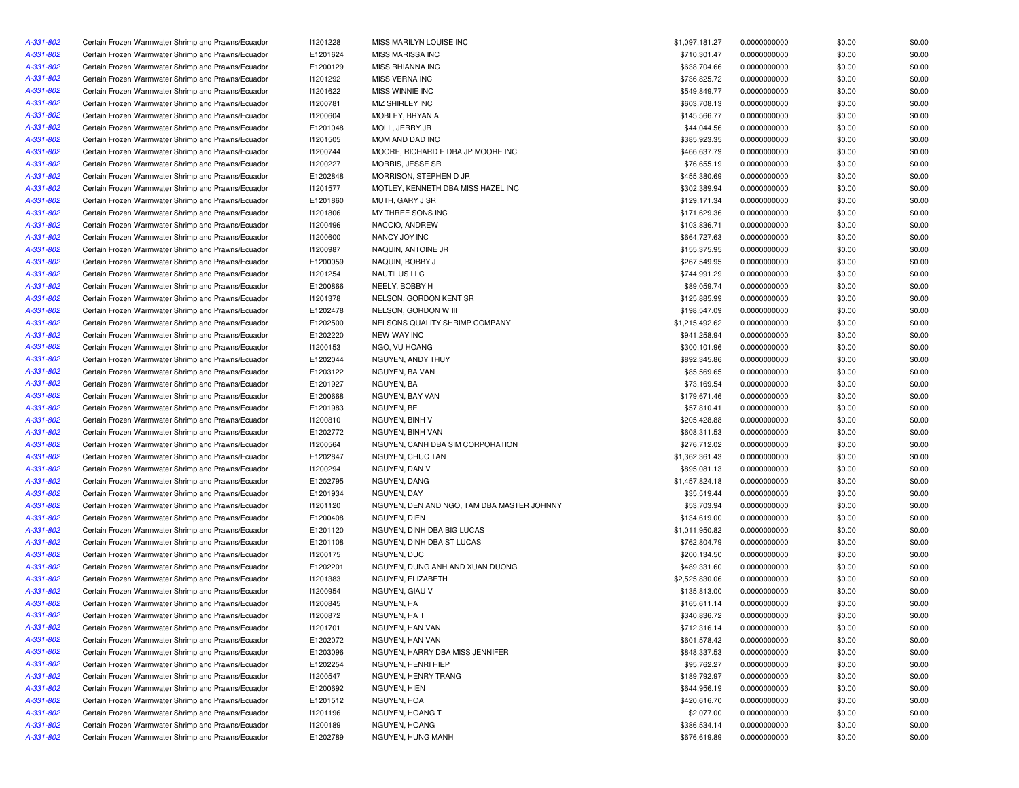| A-331-802 | Certain Frozen Warmwater Shrimp and Prawns/Ecuador | 11201228 | MISS MARILYN LOUISE INC                    | \$1,097,181.27 | 0.0000000000 | \$0.00 | \$0.00 |
|-----------|----------------------------------------------------|----------|--------------------------------------------|----------------|--------------|--------|--------|
| A-331-802 | Certain Frozen Warmwater Shrimp and Prawns/Ecuador | E1201624 | MISS MARISSA INC                           | \$710,301.47   | 0.0000000000 | \$0.00 | \$0.00 |
| A-331-802 | Certain Frozen Warmwater Shrimp and Prawns/Ecuador | E1200129 | MISS RHIANNA INC                           | \$638,704.66   | 0.0000000000 | \$0.00 | \$0.00 |
| A-331-802 | Certain Frozen Warmwater Shrimp and Prawns/Ecuador | 11201292 | MISS VERNA INC                             | \$736,825.72   | 0.0000000000 | \$0.00 | \$0.00 |
| A-331-802 | Certain Frozen Warmwater Shrimp and Prawns/Ecuador | 11201622 | MISS WINNIE INC                            | \$549,849.77   | 0.0000000000 | \$0.00 | \$0.00 |
| A-331-802 | Certain Frozen Warmwater Shrimp and Prawns/Ecuador | 11200781 | MIZ SHIRLEY INC                            | \$603,708.13   | 0.0000000000 | \$0.00 | \$0.00 |
| A-331-802 | Certain Frozen Warmwater Shrimp and Prawns/Ecuador | I1200604 | MOBLEY, BRYAN A                            | \$145,566.77   | 0.0000000000 | \$0.00 | \$0.00 |
| A-331-802 | Certain Frozen Warmwater Shrimp and Prawns/Ecuador | E1201048 | MOLL, JERRY JR                             | \$44,044.56    | 0.0000000000 | \$0.00 | \$0.00 |
| A-331-802 | Certain Frozen Warmwater Shrimp and Prawns/Ecuador | 11201505 | MOM AND DAD INC                            | \$385,923.35   | 0.0000000000 | \$0.00 | \$0.00 |
| A-331-802 | Certain Frozen Warmwater Shrimp and Prawns/Ecuador | I1200744 | MOORE, RICHARD E DBA JP MOORE INC          | \$466,637.79   | 0.0000000000 | \$0.00 | \$0.00 |
| A-331-802 | Certain Frozen Warmwater Shrimp and Prawns/Ecuador | I1200227 | MORRIS, JESSE SR                           | \$76,655.19    | 0.0000000000 | \$0.00 | \$0.00 |
| A-331-802 | Certain Frozen Warmwater Shrimp and Prawns/Ecuador | E1202848 | MORRISON, STEPHEN D JR                     | \$455,380.69   | 0.0000000000 | \$0.00 | \$0.00 |
| A-331-802 | Certain Frozen Warmwater Shrimp and Prawns/Ecuador | I1201577 | MOTLEY, KENNETH DBA MISS HAZEL INC         | \$302,389.94   | 0.0000000000 | \$0.00 | \$0.00 |
| A-331-802 | Certain Frozen Warmwater Shrimp and Prawns/Ecuador | E1201860 | MUTH, GARY J SR                            | \$129,171.34   | 0.0000000000 | \$0.00 | \$0.00 |
| A-331-802 | Certain Frozen Warmwater Shrimp and Prawns/Ecuador | 11201806 | MY THREE SONS INC                          | \$171,629.36   | 0.0000000000 | \$0.00 | \$0.00 |
| A-331-802 | Certain Frozen Warmwater Shrimp and Prawns/Ecuador | 11200496 | NACCIO, ANDREW                             | \$103,836.71   | 0.0000000000 | \$0.00 | \$0.00 |
|           |                                                    |          |                                            | \$664,727.63   |              |        | \$0.00 |
| A-331-802 | Certain Frozen Warmwater Shrimp and Prawns/Ecuador | 11200600 | NANCY JOY INC                              |                | 0.0000000000 | \$0.00 |        |
| A-331-802 | Certain Frozen Warmwater Shrimp and Prawns/Ecuador | I1200987 | NAQUIN, ANTOINE JR                         | \$155,375.95   | 0.0000000000 | \$0.00 | \$0.00 |
| A-331-802 | Certain Frozen Warmwater Shrimp and Prawns/Ecuador | E1200059 | NAQUIN, BOBBY J                            | \$267,549.95   | 0.0000000000 | \$0.00 | \$0.00 |
| A-331-802 | Certain Frozen Warmwater Shrimp and Prawns/Ecuador | 11201254 | NAUTILUS LLC                               | \$744,991.29   | 0.0000000000 | \$0.00 | \$0.00 |
| A-331-802 | Certain Frozen Warmwater Shrimp and Prawns/Ecuador | E1200866 | NEELY, BOBBY H                             | \$89,059.74    | 0.0000000000 | \$0.00 | \$0.00 |
| A-331-802 | Certain Frozen Warmwater Shrimp and Prawns/Ecuador | 11201378 | NELSON, GORDON KENT SR                     | \$125,885.99   | 0.0000000000 | \$0.00 | \$0.00 |
| A-331-802 | Certain Frozen Warmwater Shrimp and Prawns/Ecuador | E1202478 | NELSON, GORDON W III                       | \$198,547.09   | 0.0000000000 | \$0.00 | \$0.00 |
| A-331-802 | Certain Frozen Warmwater Shrimp and Prawns/Ecuador | E1202500 | NELSONS QUALITY SHRIMP COMPANY             | \$1,215,492.62 | 0.0000000000 | \$0.00 | \$0.00 |
| A-331-802 | Certain Frozen Warmwater Shrimp and Prawns/Ecuador | E1202220 | <b>NEW WAY INC</b>                         | \$941,258.94   | 0.0000000000 | \$0.00 | \$0.00 |
| A-331-802 | Certain Frozen Warmwater Shrimp and Prawns/Ecuador | 11200153 | NGO, VU HOANG                              | \$300,101.96   | 0.0000000000 | \$0.00 | \$0.00 |
| A-331-802 | Certain Frozen Warmwater Shrimp and Prawns/Ecuador | E1202044 | NGUYEN, ANDY THUY                          | \$892,345.86   | 0.0000000000 | \$0.00 | \$0.00 |
| A-331-802 | Certain Frozen Warmwater Shrimp and Prawns/Ecuador | E1203122 | NGUYEN, BA VAN                             | \$85,569.65    | 0.0000000000 | \$0.00 | \$0.00 |
| A-331-802 | Certain Frozen Warmwater Shrimp and Prawns/Ecuador | E1201927 | NGUYEN, BA                                 | \$73,169.54    | 0.0000000000 | \$0.00 | \$0.00 |
| A-331-802 | Certain Frozen Warmwater Shrimp and Prawns/Ecuador | E1200668 | NGUYEN, BAY VAN                            | \$179,671.46   | 0.0000000000 | \$0.00 | \$0.00 |
| A-331-802 | Certain Frozen Warmwater Shrimp and Prawns/Ecuador | E1201983 | NGUYEN, BE                                 | \$57,810.41    | 0.0000000000 | \$0.00 | \$0.00 |
| A-331-802 | Certain Frozen Warmwater Shrimp and Prawns/Ecuador | 11200810 | NGUYEN, BINH V                             | \$205,428.88   | 0.0000000000 | \$0.00 | \$0.00 |
| A-331-802 | Certain Frozen Warmwater Shrimp and Prawns/Ecuador | E1202772 | NGUYEN, BINH VAN                           | \$608,311.53   | 0.0000000000 | \$0.00 | \$0.00 |
| A-331-802 | Certain Frozen Warmwater Shrimp and Prawns/Ecuador | I1200564 | NGUYEN, CANH DBA SIM CORPORATION           | \$276,712.02   | 0.0000000000 | \$0.00 | \$0.00 |
| A-331-802 | Certain Frozen Warmwater Shrimp and Prawns/Ecuador | E1202847 | NGUYEN, CHUC TAN                           | \$1,362,361.43 | 0.0000000000 | \$0.00 | \$0.00 |
| A-331-802 | Certain Frozen Warmwater Shrimp and Prawns/Ecuador | 11200294 | NGUYEN, DAN V                              | \$895,081.13   | 0.0000000000 | \$0.00 | \$0.00 |
| A-331-802 | Certain Frozen Warmwater Shrimp and Prawns/Ecuador | E1202795 | NGUYEN, DANG                               | \$1,457,824.18 | 0.0000000000 | \$0.00 | \$0.00 |
| A-331-802 | Certain Frozen Warmwater Shrimp and Prawns/Ecuador | E1201934 | NGUYEN, DAY                                | \$35,519.44    | 0.0000000000 | \$0.00 | \$0.00 |
| A-331-802 | Certain Frozen Warmwater Shrimp and Prawns/Ecuador | 11201120 | NGUYEN, DEN AND NGO, TAM DBA MASTER JOHNNY | \$53,703.94    | 0.0000000000 | \$0.00 | \$0.00 |
| A-331-802 | Certain Frozen Warmwater Shrimp and Prawns/Ecuador | E1200408 | NGUYEN, DIEN                               | \$134,619.00   | 0.0000000000 | \$0.00 | \$0.00 |
| A-331-802 | Certain Frozen Warmwater Shrimp and Prawns/Ecuador | E1201120 | NGUYEN, DINH DBA BIG LUCAS                 | \$1,011,950.82 | 0.0000000000 | \$0.00 | \$0.00 |
| A-331-802 | Certain Frozen Warmwater Shrimp and Prawns/Ecuador | E1201108 | NGUYEN, DINH DBA ST LUCAS                  | \$762,804.79   | 0.0000000000 | \$0.00 | \$0.00 |
| A-331-802 | Certain Frozen Warmwater Shrimp and Prawns/Ecuador | I1200175 | NGUYEN, DUC                                | \$200,134.50   | 0.0000000000 | \$0.00 | \$0.00 |
| A-331-802 | Certain Frozen Warmwater Shrimp and Prawns/Ecuador | E1202201 | NGUYEN, DUNG ANH AND XUAN DUONG            | \$489,331.60   | 0.0000000000 | \$0.00 | \$0.00 |
|           |                                                    |          |                                            |                |              |        |        |
| A-331-802 | Certain Frozen Warmwater Shrimp and Prawns/Ecuador | 11201383 | NGUYEN, ELIZABETH                          | \$2,525,830.06 | 0.0000000000 | \$0.00 | \$0.00 |
| A-331-802 | Certain Frozen Warmwater Shrimp and Prawns/Ecuador | I1200954 | NGUYEN, GIAU V                             | \$135,813.00   | 0.0000000000 | \$0.00 | \$0.00 |
| A-331-802 | Certain Frozen Warmwater Shrimp and Prawns/Ecuador | I1200845 | NGUYEN, HA                                 | \$165,611.14   | 0.0000000000 | \$0.00 | \$0.00 |
| A-331-802 | Certain Frozen Warmwater Shrimp and Prawns/Ecuador | 11200872 | NGUYEN, HA T                               | \$340,836.72   | 0.0000000000 | \$0.00 | \$0.00 |
| A-331-802 | Certain Frozen Warmwater Shrimp and Prawns/Ecuador | 11201701 | NGUYEN, HAN VAN                            | \$712,316.14   | 0.0000000000 | \$0.00 | \$0.00 |
| A-331-802 | Certain Frozen Warmwater Shrimp and Prawns/Ecuador | E1202072 | NGUYEN, HAN VAN                            | \$601,578.42   | 0.0000000000 | \$0.00 | \$0.00 |
| A-331-802 | Certain Frozen Warmwater Shrimp and Prawns/Ecuador | E1203096 | NGUYEN, HARRY DBA MISS JENNIFER            | \$848,337.53   | 0.0000000000 | \$0.00 | \$0.00 |
| A-331-802 | Certain Frozen Warmwater Shrimp and Prawns/Ecuador | E1202254 | NGUYEN, HENRI HIEP                         | \$95,762.27    | 0.0000000000 | \$0.00 | \$0.00 |
| A-331-802 | Certain Frozen Warmwater Shrimp and Prawns/Ecuador | I1200547 | NGUYEN, HENRY TRANG                        | \$189,792.97   | 0.0000000000 | \$0.00 | \$0.00 |
| A-331-802 | Certain Frozen Warmwater Shrimp and Prawns/Ecuador | E1200692 | NGUYEN, HIEN                               | \$644,956.19   | 0.0000000000 | \$0.00 | \$0.00 |
| A-331-802 | Certain Frozen Warmwater Shrimp and Prawns/Ecuador | E1201512 | NGUYEN, HOA                                | \$420,616.70   | 0.0000000000 | \$0.00 | \$0.00 |
| A-331-802 | Certain Frozen Warmwater Shrimp and Prawns/Ecuador | 11201196 | NGUYEN, HOANG T                            | \$2,077.00     | 0.0000000000 | \$0.00 | \$0.00 |
| A-331-802 | Certain Frozen Warmwater Shrimp and Prawns/Ecuador | 11200189 | NGUYEN, HOANG                              | \$386,534.14   | 0.0000000000 | \$0.00 | \$0.00 |
| A-331-802 | Certain Frozen Warmwater Shrimp and Prawns/Ecuador | E1202789 | NGUYEN, HUNG MANH                          | \$676,619.89   | 0.0000000000 | \$0.00 | \$0.00 |
|           |                                                    |          |                                            |                |              |        |        |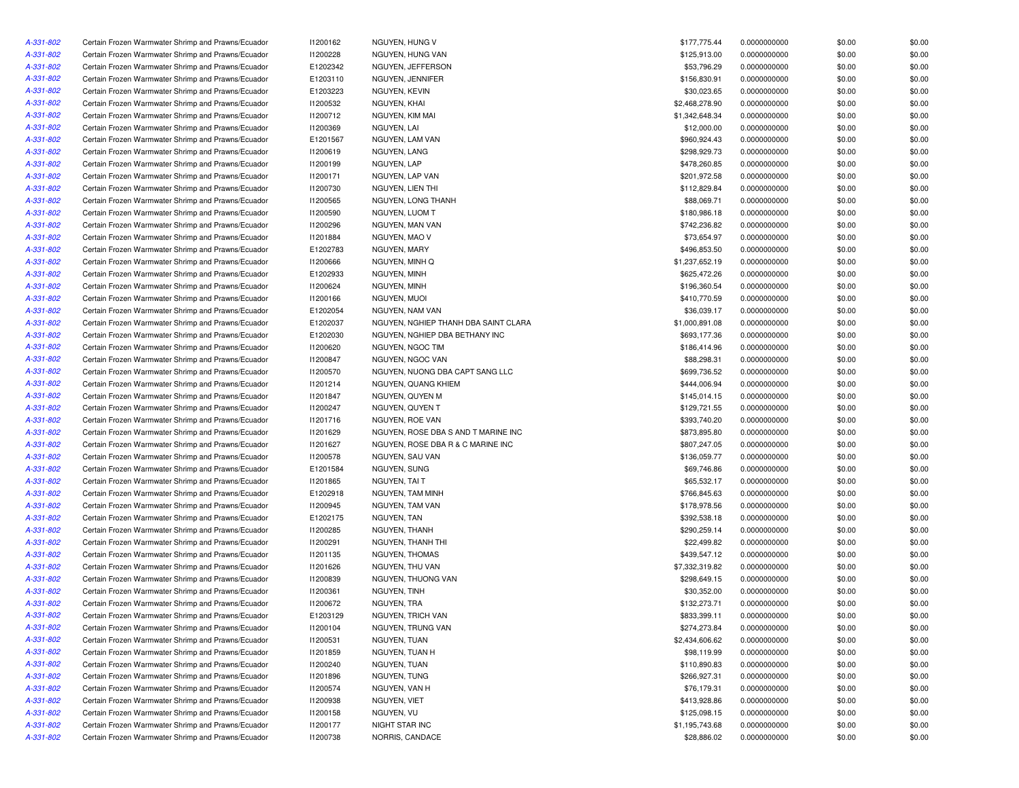| A-331-802              | Certain Frozen Warmwater Shrimp and Prawns/Ecuador | 11200162 | NGUYEN, HUNG V                       | \$177,775.44   | 0.0000000000 | \$0.00           | \$0.00           |
|------------------------|----------------------------------------------------|----------|--------------------------------------|----------------|--------------|------------------|------------------|
| A-331-802              | Certain Frozen Warmwater Shrimp and Prawns/Ecuador | 11200228 | NGUYEN, HUNG VAN                     | \$125,913.00   | 0.0000000000 | \$0.00           | \$0.00           |
| A-331-802              | Certain Frozen Warmwater Shrimp and Prawns/Ecuador | E1202342 | NGUYEN, JEFFERSON                    | \$53,796.29    | 0.0000000000 | \$0.00           | \$0.00           |
| A-331-802              | Certain Frozen Warmwater Shrimp and Prawns/Ecuador | E1203110 | NGUYEN, JENNIFER                     | \$156,830.91   | 0.0000000000 | \$0.00           | \$0.00           |
| A-331-802              | Certain Frozen Warmwater Shrimp and Prawns/Ecuador | E1203223 | NGUYEN, KEVIN                        | \$30,023.65    | 0.0000000000 | \$0.00           | \$0.00           |
| A-331-802              | Certain Frozen Warmwater Shrimp and Prawns/Ecuador | 11200532 | NGUYEN, KHAI                         | \$2,468,278.90 | 0.0000000000 | \$0.00           | \$0.00           |
| A-331-802              | Certain Frozen Warmwater Shrimp and Prawns/Ecuador | 11200712 | NGUYEN, KIM MAI                      | \$1,342,648.34 | 0.0000000000 | \$0.00           | \$0.00           |
| A-331-802              | Certain Frozen Warmwater Shrimp and Prawns/Ecuador | 11200369 | NGUYEN, LAI                          | \$12,000.00    | 0.0000000000 | \$0.00           | \$0.00           |
| A-331-802              | Certain Frozen Warmwater Shrimp and Prawns/Ecuador | E1201567 | NGUYEN, LAM VAN                      | \$960,924.43   | 0.0000000000 | \$0.00           | \$0.00           |
| A-331-802              | Certain Frozen Warmwater Shrimp and Prawns/Ecuador | 11200619 | NGUYEN, LANG                         | \$298,929.73   | 0.0000000000 | \$0.00           | \$0.00           |
| A-331-802              | Certain Frozen Warmwater Shrimp and Prawns/Ecuador | 11200199 | NGUYEN, LAP                          | \$478,260.85   | 0.0000000000 | \$0.00           | \$0.00           |
| A-331-802              | Certain Frozen Warmwater Shrimp and Prawns/Ecuador | 11200171 | NGUYEN, LAP VAN                      | \$201,972.58   | 0.0000000000 | \$0.00           | \$0.00           |
| A-331-802              | Certain Frozen Warmwater Shrimp and Prawns/Ecuador | 11200730 | NGUYEN. LIEN THI                     | \$112,829.84   | 0.0000000000 | \$0.00           | \$0.00           |
| A-331-802              | Certain Frozen Warmwater Shrimp and Prawns/Ecuador | I1200565 | NGUYEN, LONG THANH                   | \$88,069.71    | 0.0000000000 | \$0.00           | \$0.00           |
| A-331-802              | Certain Frozen Warmwater Shrimp and Prawns/Ecuador | 11200590 | NGUYEN. LUOM T                       | \$180,986.18   | 0.0000000000 | \$0.00           | \$0.00           |
| A-331-802              | Certain Frozen Warmwater Shrimp and Prawns/Ecuador | 11200296 | NGUYEN, MAN VAN                      | \$742,236.82   | 0.0000000000 | \$0.00           | \$0.00           |
| A-331-802              | Certain Frozen Warmwater Shrimp and Prawns/Ecuador | 11201884 | NGUYEN, MAO V                        | \$73,654.97    | 0.0000000000 | \$0.00           | \$0.00           |
| A-331-802              | Certain Frozen Warmwater Shrimp and Prawns/Ecuador | E1202783 | NGUYEN, MARY                         | \$496,853.50   | 0.0000000000 | \$0.00           | \$0.00           |
| A-331-802              | Certain Frozen Warmwater Shrimp and Prawns/Ecuador | 11200666 | NGUYEN, MINH Q                       | \$1,237,652.19 | 0.0000000000 | \$0.00           | \$0.00           |
| A-331-802              | Certain Frozen Warmwater Shrimp and Prawns/Ecuador | E1202933 | NGUYEN, MINH                         | \$625,472.26   | 0.0000000000 | \$0.00           | \$0.00           |
| A-331-802              | Certain Frozen Warmwater Shrimp and Prawns/Ecuador | 11200624 | NGUYEN, MINH                         | \$196,360.54   | 0.0000000000 | \$0.00           | \$0.00           |
| A-331-802              | Certain Frozen Warmwater Shrimp and Prawns/Ecuador | 11200166 | NGUYEN, MUOI                         | \$410,770.59   | 0.0000000000 | \$0.00           | \$0.00           |
| A-331-802              | Certain Frozen Warmwater Shrimp and Prawns/Ecuador | E1202054 | NGUYEN, NAM VAN                      | \$36,039.17    | 0.0000000000 | \$0.00           | \$0.00           |
| A-331-802              | Certain Frozen Warmwater Shrimp and Prawns/Ecuador | E1202037 | NGUYEN, NGHIEP THANH DBA SAINT CLARA | \$1,000,891.08 | 0.0000000000 | \$0.00           | \$0.00           |
| A-331-802              | Certain Frozen Warmwater Shrimp and Prawns/Ecuador | E1202030 | NGUYEN, NGHIEP DBA BETHANY INC       | \$693,177.36   | 0.0000000000 | \$0.00           | \$0.00           |
| A-331-802              | Certain Frozen Warmwater Shrimp and Prawns/Ecuador | 11200620 | NGUYEN, NGOC TIM                     | \$186,414.96   | 0.0000000000 | \$0.00           | \$0.00           |
| A-331-802              | Certain Frozen Warmwater Shrimp and Prawns/Ecuador | I1200847 | NGUYEN, NGOC VAN                     | \$88,298.31    | 0.0000000000 | \$0.00           | \$0.00           |
| A-331-802              | Certain Frozen Warmwater Shrimp and Prawns/Ecuador | 11200570 | NGUYEN, NUONG DBA CAPT SANG LLC      | \$699,736.52   | 0.0000000000 | \$0.00           | \$0.00           |
| A-331-802              | Certain Frozen Warmwater Shrimp and Prawns/Ecuador | 11201214 | NGUYEN, QUANG KHIEM                  | \$444,006.94   | 0.0000000000 | \$0.00           | \$0.00           |
| A-331-802              | Certain Frozen Warmwater Shrimp and Prawns/Ecuador | 11201847 | NGUYEN, QUYEN M                      | \$145,014.15   | 0.0000000000 | \$0.00           | \$0.00           |
| A-331-802              | Certain Frozen Warmwater Shrimp and Prawns/Ecuador | I1200247 | NGUYEN, QUYEN T                      | \$129,721.55   | 0.0000000000 | \$0.00           | \$0.00           |
| A-331-802              | Certain Frozen Warmwater Shrimp and Prawns/Ecuador | 11201716 | NGUYEN, ROE VAN                      | \$393,740.20   | 0.0000000000 | \$0.00           | \$0.00           |
| A-331-802              | Certain Frozen Warmwater Shrimp and Prawns/Ecuador | 11201629 | NGUYEN, ROSE DBA S AND T MARINE INC  | \$873,895.80   | 0.0000000000 | \$0.00           | \$0.00           |
| A-331-802              | Certain Frozen Warmwater Shrimp and Prawns/Ecuador | 11201627 | NGUYEN, ROSE DBA R & C MARINE INC    | \$807,247.05   | 0.0000000000 | \$0.00           | \$0.00           |
| A-331-802              | Certain Frozen Warmwater Shrimp and Prawns/Ecuador | 11200578 | NGUYEN, SAU VAN                      | \$136,059.77   | 0.0000000000 | \$0.00           | \$0.00           |
| A-331-802              | Certain Frozen Warmwater Shrimp and Prawns/Ecuador | E1201584 | NGUYEN, SUNG                         | \$69,746.86    | 0.0000000000 | \$0.00           | \$0.00           |
| A-331-802              | Certain Frozen Warmwater Shrimp and Prawns/Ecuador | 11201865 | NGUYEN, TAI T                        | \$65,532.17    | 0.0000000000 | \$0.00           | \$0.00           |
| A-331-802              | Certain Frozen Warmwater Shrimp and Prawns/Ecuador | E1202918 | NGUYEN, TAM MINH                     | \$766,845.63   | 0.0000000000 | \$0.00           | \$0.00           |
| A-331-802              | Certain Frozen Warmwater Shrimp and Prawns/Ecuador | 11200945 | NGUYEN, TAM VAN                      | \$178,978.56   | 0.0000000000 | \$0.00           | \$0.00           |
| A-331-802              | Certain Frozen Warmwater Shrimp and Prawns/Ecuador | E1202175 | NGUYEN, TAN                          | \$392,538.18   | 0.0000000000 | \$0.00           | \$0.00           |
| A-331-802              | Certain Frozen Warmwater Shrimp and Prawns/Ecuador | I1200285 | NGUYEN, THANH                        | \$290,259.14   | 0.0000000000 | \$0.00           | \$0.00           |
| A-331-802              | Certain Frozen Warmwater Shrimp and Prawns/Ecuador | 11200291 | NGUYEN, THANH THI                    | \$22,499.82    | 0.0000000000 | \$0.00           | \$0.00           |
| A-331-802              | Certain Frozen Warmwater Shrimp and Prawns/Ecuador | 11201135 | NGUYEN, THOMAS                       | \$439,547.12   | 0.0000000000 | \$0.00           | \$0.00           |
| A-331-802              | Certain Frozen Warmwater Shrimp and Prawns/Ecuador | 11201626 | NGUYEN, THU VAN                      | \$7,332,319.82 | 0.0000000000 | \$0.00           | \$0.00           |
| A-331-802              | Certain Frozen Warmwater Shrimp and Prawns/Ecuador | 11200839 | NGUYEN. THUONG VAN                   | \$298,649.15   | 0.0000000000 |                  | \$0.00           |
|                        | Certain Frozen Warmwater Shrimp and Prawns/Ecuador |          | NGUYEN, TINH                         |                | 0.0000000000 | \$0.00           |                  |
| A-331-802<br>A-331-802 |                                                    | 11200361 |                                      | \$30,352.00    |              | \$0.00<br>\$0.00 | \$0.00<br>\$0.00 |
|                        | Certain Frozen Warmwater Shrimp and Prawns/Ecuador | 11200672 | NGUYEN, TRA                          | \$132,273.71   | 0.0000000000 |                  |                  |
| A-331-802              | Certain Frozen Warmwater Shrimp and Prawns/Ecuador | E1203129 | NGUYEN, TRICH VAN                    | \$833,399.11   | 0.0000000000 | \$0.00           | \$0.00           |
| A-331-802              | Certain Frozen Warmwater Shrimp and Prawns/Ecuador | 11200104 | NGUYEN, TRUNG VAN                    | \$274,273.84   | 0.0000000000 | \$0.00           | \$0.00           |
| A-331-802              | Certain Frozen Warmwater Shrimp and Prawns/Ecuador | 11200531 | NGUYEN, TUAN                         | \$2,434,606.62 | 0.0000000000 | \$0.00           | \$0.00           |
| A-331-802              | Certain Frozen Warmwater Shrimp and Prawns/Ecuador | 11201859 | NGUYEN, TUAN H                       | \$98,119.99    | 0.0000000000 | \$0.00           | \$0.00           |
| A-331-802              | Certain Frozen Warmwater Shrimp and Prawns/Ecuador | 11200240 | NGUYEN, TUAN                         | \$110,890.83   | 0.0000000000 | \$0.00           | \$0.00           |
| A-331-802              | Certain Frozen Warmwater Shrimp and Prawns/Ecuador | 11201896 | NGUYEN, TUNG                         | \$266,927.31   | 0.0000000000 | \$0.00           | \$0.00           |
| A-331-802              | Certain Frozen Warmwater Shrimp and Prawns/Ecuador | 11200574 | NGUYEN, VAN H                        | \$76,179.31    | 0.0000000000 | \$0.00           | \$0.00           |
| A-331-802              | Certain Frozen Warmwater Shrimp and Prawns/Ecuador | 11200938 | NGUYEN, VIET                         | \$413,928.86   | 0.0000000000 | \$0.00           | \$0.00           |
| A-331-802              | Certain Frozen Warmwater Shrimp and Prawns/Ecuador | 11200158 | NGUYEN, VU                           | \$125,098.15   | 0.0000000000 | \$0.00           | \$0.00           |
| A-331-802              | Certain Frozen Warmwater Shrimp and Prawns/Ecuador | 11200177 | NIGHT STAR INC                       | \$1,195,743.68 | 0.0000000000 | \$0.00           | \$0.00           |
| A-331-802              | Certain Frozen Warmwater Shrimp and Prawns/Ecuador | 11200738 | NORRIS, CANDACE                      | \$28,886.02    | 0.0000000000 | \$0.00           | \$0.00           |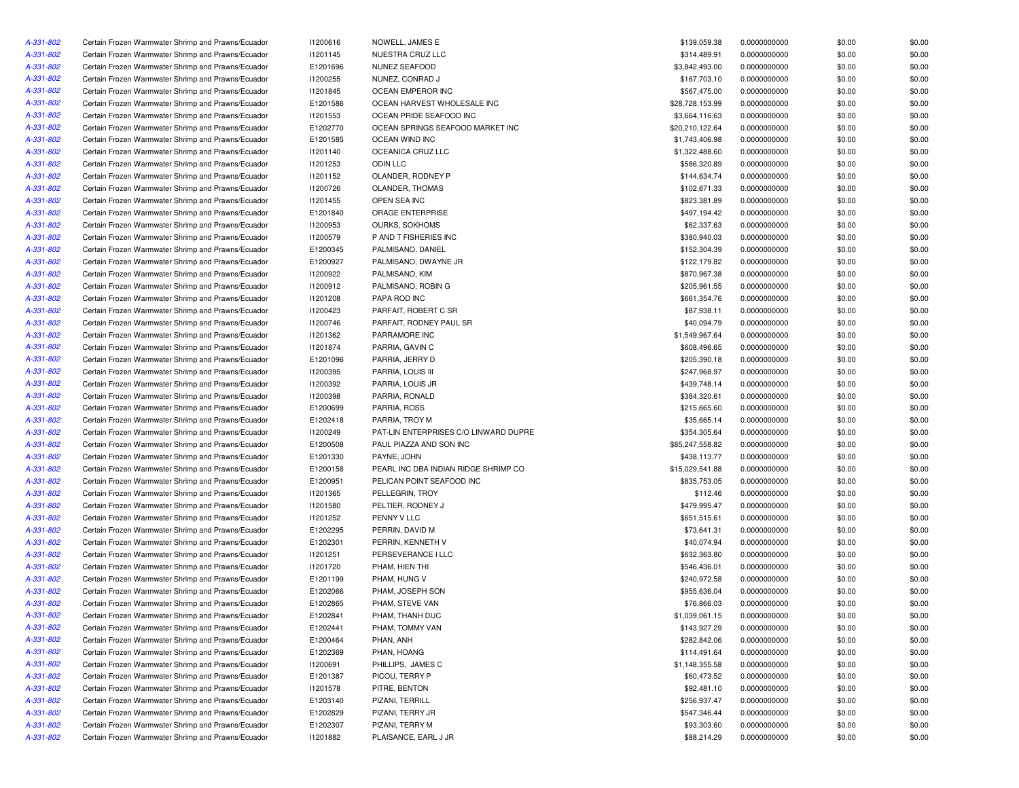| A-331-802 | Certain Frozen Warmwater Shrimp and Prawns/Ecuador | 11200616 | NOWELL, JAMES E                       | \$139,059.38    | 0.0000000000 | \$0.00 | \$0.00 |
|-----------|----------------------------------------------------|----------|---------------------------------------|-----------------|--------------|--------|--------|
| A-331-802 | Certain Frozen Warmwater Shrimp and Prawns/Ecuador | 11201145 | NUESTRA CRUZ LLC                      | \$314,489.91    | 0.0000000000 | \$0.00 | \$0.00 |
| A-331-802 | Certain Frozen Warmwater Shrimp and Prawns/Ecuador | E1201696 | NUNEZ SEAFOOD                         | \$3,842,493.00  | 0.0000000000 | \$0.00 | \$0.00 |
| A-331-802 | Certain Frozen Warmwater Shrimp and Prawns/Ecuador | 11200255 | NUNEZ, CONRAD J                       | \$167,703.10    | 0.0000000000 | \$0.00 | \$0.00 |
| A-331-802 | Certain Frozen Warmwater Shrimp and Prawns/Ecuador | 11201845 | OCEAN EMPEROR INC                     | \$567,475.00    | 0.0000000000 | \$0.00 | \$0.00 |
| A-331-802 | Certain Frozen Warmwater Shrimp and Prawns/Ecuador | E1201586 | OCEAN HARVEST WHOLESALE INC           | \$28,728,153.99 | 0.0000000000 | \$0.00 | \$0.00 |
| A-331-802 | Certain Frozen Warmwater Shrimp and Prawns/Ecuador | 11201553 | OCEAN PRIDE SEAFOOD INC               | \$3,664,116.63  | 0.0000000000 | \$0.00 | \$0.00 |
| A-331-802 | Certain Frozen Warmwater Shrimp and Prawns/Ecuador | E1202770 | OCEAN SPRINGS SEAFOOD MARKET INC      | \$20,210,122.64 | 0.0000000000 | \$0.00 | \$0.00 |
| A-331-802 | Certain Frozen Warmwater Shrimp and Prawns/Ecuador | E1201585 | OCEAN WIND INC                        | \$1,743,406.98  | 0.0000000000 | \$0.00 | \$0.00 |
| A-331-802 | Certain Frozen Warmwater Shrimp and Prawns/Ecuador | 11201140 | OCEANICA CRUZ LLC                     | \$1,322,488.60  | 0.0000000000 | \$0.00 | \$0.00 |
| A-331-802 | Certain Frozen Warmwater Shrimp and Prawns/Ecuador | 11201253 | ODIN LLC                              | \$586,320.89    | 0.0000000000 | \$0.00 | \$0.00 |
| A-331-802 | Certain Frozen Warmwater Shrimp and Prawns/Ecuador | 11201152 | OLANDER, RODNEY P                     | \$144,634.74    | 0.0000000000 | \$0.00 | \$0.00 |
| A-331-802 | Certain Frozen Warmwater Shrimp and Prawns/Ecuador | 11200726 | OLANDER, THOMAS                       | \$102,671.33    | 0.0000000000 | \$0.00 | \$0.00 |
| A-331-802 | Certain Frozen Warmwater Shrimp and Prawns/Ecuador | 11201455 | OPEN SEA INC                          | \$823,381.89    | 0.0000000000 | \$0.00 | \$0.00 |
| A-331-802 | Certain Frozen Warmwater Shrimp and Prawns/Ecuador | E1201840 | ORAGE ENTERPRISE                      | \$497,194.42    | 0.0000000000 | \$0.00 | \$0.00 |
| A-331-802 | Certain Frozen Warmwater Shrimp and Prawns/Ecuador | 11200953 | <b>OURKS, SOKHOMS</b>                 | \$62,337.63     | 0.0000000000 | \$0.00 | \$0.00 |
| A-331-802 | Certain Frozen Warmwater Shrimp and Prawns/Ecuador | 11200579 | P AND T FISHERIES INC                 | \$380,940.03    | 0.0000000000 | \$0.00 | \$0.00 |
| A-331-802 | Certain Frozen Warmwater Shrimp and Prawns/Ecuador | E1200345 | PALMISANO, DANIEL                     | \$152,304.39    | 0.0000000000 | \$0.00 | \$0.00 |
| A-331-802 | Certain Frozen Warmwater Shrimp and Prawns/Ecuador | E1200927 | PALMISANO, DWAYNE JR                  | \$122,179.82    | 0.0000000000 | \$0.00 | \$0.00 |
| A-331-802 | Certain Frozen Warmwater Shrimp and Prawns/Ecuador | 11200922 | PALMISANO, KIM                        | \$870,967.38    | 0.0000000000 | \$0.00 | \$0.00 |
|           |                                                    |          |                                       |                 |              |        |        |
| A-331-802 | Certain Frozen Warmwater Shrimp and Prawns/Ecuador | 11200912 | PALMISANO, ROBIN G                    | \$205,961.55    | 0.0000000000 | \$0.00 | \$0.00 |
| A-331-802 | Certain Frozen Warmwater Shrimp and Prawns/Ecuador | 11201208 | PAPA ROD INC                          | \$661,354.76    | 0.0000000000 | \$0.00 | \$0.00 |
| A-331-802 | Certain Frozen Warmwater Shrimp and Prawns/Ecuador | 11200423 | PARFAIT, ROBERT C SR                  | \$87,938.11     | 0.0000000000 | \$0.00 | \$0.00 |
| A-331-802 | Certain Frozen Warmwater Shrimp and Prawns/Ecuador | 11200746 | PARFAIT, RODNEY PAUL SR               | \$40,094.79     | 0.0000000000 | \$0.00 | \$0.00 |
| A-331-802 | Certain Frozen Warmwater Shrimp and Prawns/Ecuador | 11201362 | PARRAMORE INC                         | \$1,549,967.64  | 0.0000000000 | \$0.00 | \$0.00 |
| A-331-802 | Certain Frozen Warmwater Shrimp and Prawns/Ecuador | 11201874 | PARRIA, GAVIN C                       | \$608,496.65    | 0.0000000000 | \$0.00 | \$0.00 |
| A-331-802 | Certain Frozen Warmwater Shrimp and Prawns/Ecuador | E1201096 | PARRIA, JERRY D                       | \$205,390.18    | 0.0000000000 | \$0.00 | \$0.00 |
| A-331-802 | Certain Frozen Warmwater Shrimp and Prawns/Ecuador | 11200395 | PARRIA, LOUIS III                     | \$247.968.97    | 0.0000000000 | \$0.00 | \$0.00 |
| A-331-802 | Certain Frozen Warmwater Shrimp and Prawns/Ecuador | 11200392 | PARRIA, LOUIS JR                      | \$439,748.14    | 0.0000000000 | \$0.00 | \$0.00 |
| A-331-802 | Certain Frozen Warmwater Shrimp and Prawns/Ecuador | 11200398 | PARRIA, RONALD                        | \$384,320.61    | 0.0000000000 | \$0.00 | \$0.00 |
| A-331-802 | Certain Frozen Warmwater Shrimp and Prawns/Ecuador | E1200699 | PARRIA, ROSS                          | \$215,665.60    | 0.0000000000 | \$0.00 | \$0.00 |
| A-331-802 | Certain Frozen Warmwater Shrimp and Prawns/Ecuador | E1202418 | PARRIA, TROY M                        | \$35,665.14     | 0.0000000000 | \$0.00 | \$0.00 |
| A-331-802 | Certain Frozen Warmwater Shrimp and Prawns/Ecuador | 11200249 | PAT-LIN ENTERPRISES C/O LINWARD DUPRE | \$354,305.64    | 0.0000000000 | \$0.00 | \$0.00 |
| A-331-802 | Certain Frozen Warmwater Shrimp and Prawns/Ecuador | E1200508 | PAUL PIAZZA AND SON INC               | \$85,247,558.82 | 0.0000000000 | \$0.00 | \$0.00 |
| A-331-802 | Certain Frozen Warmwater Shrimp and Prawns/Ecuador | E1201330 | PAYNE, JOHN                           | \$438,113.77    | 0.0000000000 | \$0.00 | \$0.00 |
| A-331-802 | Certain Frozen Warmwater Shrimp and Prawns/Ecuador | E1200158 | PEARL INC DBA INDIAN RIDGE SHRIMP CO  | \$15,029,541.88 | 0.0000000000 | \$0.00 | \$0.00 |
| A-331-802 | Certain Frozen Warmwater Shrimp and Prawns/Ecuador | E1200951 | PELICAN POINT SEAFOOD INC             | \$835,753.05    | 0.0000000000 | \$0.00 | \$0.00 |
| A-331-802 | Certain Frozen Warmwater Shrimp and Prawns/Ecuador | 11201365 | PELLEGRIN, TROY                       | \$112.46        | 0.0000000000 | \$0.00 | \$0.00 |
| A-331-802 | Certain Frozen Warmwater Shrimp and Prawns/Ecuador | 11201580 | PELTIER, RODNEY J                     | \$479,995.47    | 0.0000000000 | \$0.00 | \$0.00 |
| A-331-802 | Certain Frozen Warmwater Shrimp and Prawns/Ecuador | 11201252 | PENNY V LLC                           | \$651,515.61    | 0.0000000000 | \$0.00 | \$0.00 |
| A-331-802 | Certain Frozen Warmwater Shrimp and Prawns/Ecuador | E1202295 | PERRIN, DAVID M                       | \$73,641.31     | 0.0000000000 | \$0.00 | \$0.00 |
| A-331-802 | Certain Frozen Warmwater Shrimp and Prawns/Ecuador | E1202301 | PERRIN, KENNETH V                     | \$40,074.94     | 0.0000000000 | \$0.00 | \$0.00 |
| A-331-802 | Certain Frozen Warmwater Shrimp and Prawns/Ecuador | 11201251 | PERSEVERANCE I LLC                    | \$632,363.80    | 0.0000000000 | \$0.00 | \$0.00 |
| A-331-802 | Certain Frozen Warmwater Shrimp and Prawns/Ecuador | 11201720 | PHAM, HIEN THI                        | \$546,436.01    | 0.0000000000 | \$0.00 | \$0.00 |
| A-331-802 | Certain Frozen Warmwater Shrimp and Prawns/Ecuador | E1201199 | PHAM, HUNG V                          | \$240,972.58    | 0.0000000000 | \$0.00 | \$0.00 |
| A-331-802 | Certain Frozen Warmwater Shrimp and Prawns/Ecuador | E1202066 | PHAM, JOSEPH SON                      | \$955,636.04    | 0.0000000000 | \$0.00 | \$0.00 |
| A-331-802 | Certain Frozen Warmwater Shrimp and Prawns/Ecuador | E1202865 | PHAM, STEVE VAN                       | \$76,866.03     | 0.0000000000 | \$0.00 | \$0.00 |
| A-331-802 | Certain Frozen Warmwater Shrimp and Prawns/Ecuador | E1202841 | PHAM, THANH DUC                       | \$1,039,061.15  | 0.0000000000 | \$0.00 | \$0.00 |
| A-331-802 | Certain Frozen Warmwater Shrimp and Prawns/Ecuador | E1202441 | PHAM, TOMMY VAN                       | \$143,927.29    | 0.0000000000 | \$0.00 | \$0.00 |
| A-331-802 | Certain Frozen Warmwater Shrimp and Prawns/Ecuador | E1200464 | PHAN, ANH                             | \$282,842.06    | 0.0000000000 | \$0.00 | \$0.00 |
| A-331-802 | Certain Frozen Warmwater Shrimp and Prawns/Ecuador | E1202369 | PHAN, HOANG                           | \$114,491.64    | 0.0000000000 | \$0.00 | \$0.00 |
| A-331-802 | Certain Frozen Warmwater Shrimp and Prawns/Ecuador | 11200691 | PHILLIPS, JAMES C                     | \$1,148,355.58  | 0.0000000000 |        | \$0.00 |
|           |                                                    |          |                                       |                 |              | \$0.00 |        |
| A-331-802 | Certain Frozen Warmwater Shrimp and Prawns/Ecuador | E1201387 | PICOU, TERRY P                        | \$60,473.52     | 0.0000000000 | \$0.00 | \$0.00 |
| A-331-802 | Certain Frozen Warmwater Shrimp and Prawns/Ecuador | 11201578 | PITRE, BENTON                         | \$92,481.10     | 0.0000000000 | \$0.00 | \$0.00 |
| A-331-802 | Certain Frozen Warmwater Shrimp and Prawns/Ecuador | E1203140 | PIZANI, TERRILL                       | \$256,937.47    | 0.0000000000 | \$0.00 | \$0.00 |
| A-331-802 | Certain Frozen Warmwater Shrimp and Prawns/Ecuador | E1202829 | PIZANI, TERRY JR                      | \$547,346.44    | 0.0000000000 | \$0.00 | \$0.00 |
| A-331-802 | Certain Frozen Warmwater Shrimp and Prawns/Ecuador | E1202307 | PIZANI, TERRY M                       | \$93,303.60     | 0.0000000000 | \$0.00 | \$0.00 |
| A-331-802 | Certain Frozen Warmwater Shrimp and Prawns/Ecuador | 11201882 | PLAISANCE, EARL J JR                  | \$88,214.29     | 0.0000000000 | \$0.00 | \$0.00 |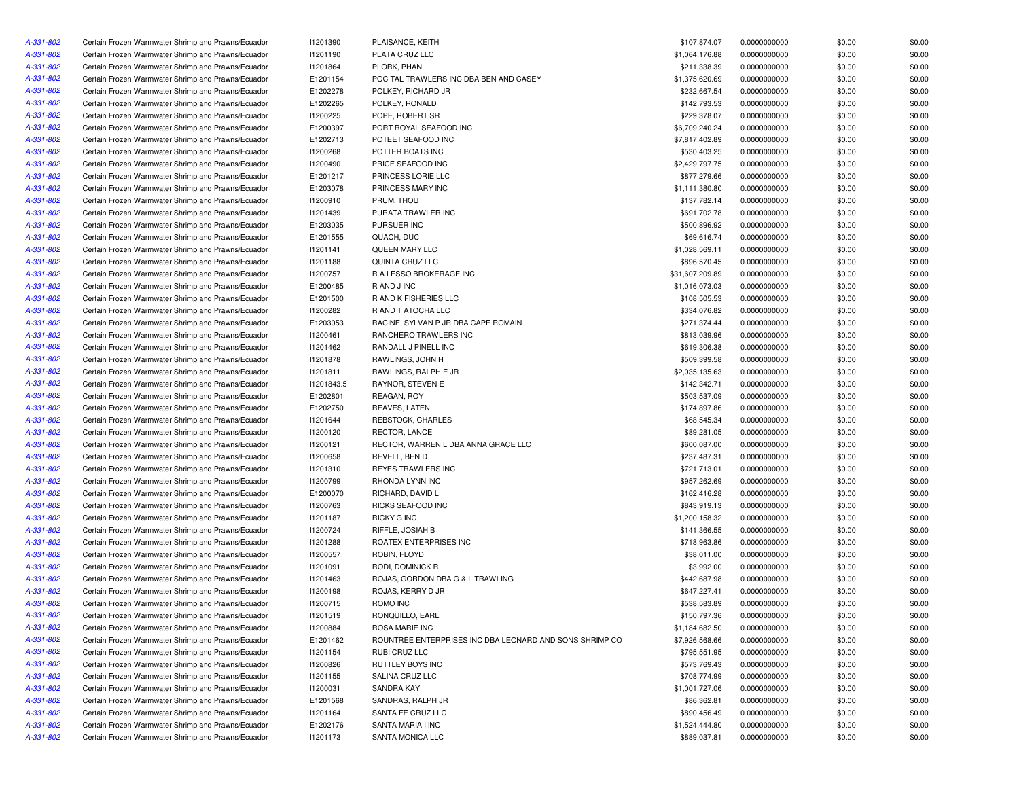| A-331-802 | Certain Frozen Warmwater Shrimp and Prawns/Ecuador | 11201390        | PLAISANCE, KEITH                                        | \$107,874.07    | 0.0000000000 | \$0.00 | \$0.00 |
|-----------|----------------------------------------------------|-----------------|---------------------------------------------------------|-----------------|--------------|--------|--------|
| A-331-802 | Certain Frozen Warmwater Shrimp and Prawns/Ecuador | 11201190        | PLATA CRUZ LLC                                          | \$1,064,176.88  | 0.0000000000 | \$0.00 | \$0.00 |
| A-331-802 | Certain Frozen Warmwater Shrimp and Prawns/Ecuador | I1201864        | PLORK, PHAN                                             | \$211,338.39    | 0.0000000000 | \$0.00 | \$0.00 |
| A-331-802 | Certain Frozen Warmwater Shrimp and Prawns/Ecuador | E1201154        | POC TAL TRAWLERS INC DBA BEN AND CASEY                  | \$1,375,620.69  | 0.0000000000 | \$0.00 | \$0.00 |
| A-331-802 | Certain Frozen Warmwater Shrimp and Prawns/Ecuador | E1202278        | POLKEY, RICHARD JR                                      | \$232,667.54    | 0.0000000000 | \$0.00 | \$0.00 |
| A-331-802 | Certain Frozen Warmwater Shrimp and Prawns/Ecuador | E1202265        | POLKEY, RONALD                                          | \$142,793.53    | 0.0000000000 | \$0.00 | \$0.00 |
| A-331-802 | Certain Frozen Warmwater Shrimp and Prawns/Ecuador | I1200225        | POPE, ROBERT SR                                         | \$229,378.07    | 0.0000000000 | \$0.00 | \$0.00 |
| A-331-802 | Certain Frozen Warmwater Shrimp and Prawns/Ecuador | E1200397        | PORT ROYAL SEAFOOD INC                                  | \$6,709,240.24  | 0.0000000000 | \$0.00 | \$0.00 |
| A-331-802 | Certain Frozen Warmwater Shrimp and Prawns/Ecuador | E1202713        | POTEET SEAFOOD INC                                      | \$7,817,402.89  | 0.0000000000 | \$0.00 | \$0.00 |
| A-331-802 | Certain Frozen Warmwater Shrimp and Prawns/Ecuador | 11200268        | POTTER BOATS INC                                        | \$530,403.25    | 0.0000000000 | \$0.00 | \$0.00 |
| A-331-802 | Certain Frozen Warmwater Shrimp and Prawns/Ecuador | 11200490        | PRICE SEAFOOD INC                                       | \$2,429,797.75  | 0.0000000000 | \$0.00 | \$0.00 |
| A-331-802 | Certain Frozen Warmwater Shrimp and Prawns/Ecuador | E1201217        | PRINCESS LORIE LLC                                      | \$877,279.66    | 0.0000000000 | \$0.00 | \$0.00 |
| A-331-802 | Certain Frozen Warmwater Shrimp and Prawns/Ecuador | E1203078        | PRINCESS MARY INC                                       | \$1,111,380.80  | 0.0000000000 | \$0.00 | \$0.00 |
| A-331-802 | Certain Frozen Warmwater Shrimp and Prawns/Ecuador | 11200910        | PRUM. THOU                                              | \$137,782.14    | 0.0000000000 | \$0.00 | \$0.00 |
| A-331-802 | Certain Frozen Warmwater Shrimp and Prawns/Ecuador | 11201439        | PURATA TRAWLER INC                                      | \$691,702.78    | 0.0000000000 | \$0.00 | \$0.00 |
| A-331-802 | Certain Frozen Warmwater Shrimp and Prawns/Ecuador | E1203035        | PURSUER INC                                             | \$500,896.92    | 0.0000000000 | \$0.00 | \$0.00 |
|           |                                                    |                 | QUACH, DUC                                              |                 |              |        | \$0.00 |
| A-331-802 | Certain Frozen Warmwater Shrimp and Prawns/Ecuador | E1201555        |                                                         | \$69,616.74     | 0.0000000000 | \$0.00 |        |
| A-331-802 | Certain Frozen Warmwater Shrimp and Prawns/Ecuador | 11201141        | QUEEN MARY LLC                                          | \$1,028,569.11  | 0.0000000000 | \$0.00 | \$0.00 |
| A-331-802 | Certain Frozen Warmwater Shrimp and Prawns/Ecuador | 11201188        | QUINTA CRUZ LLC                                         | \$896,570.45    | 0.0000000000 | \$0.00 | \$0.00 |
| A-331-802 | Certain Frozen Warmwater Shrimp and Prawns/Ecuador | I1200757        | R A LESSO BROKERAGE INC                                 | \$31,607,209.89 | 0.0000000000 | \$0.00 | \$0.00 |
| A-331-802 | Certain Frozen Warmwater Shrimp and Prawns/Ecuador | E1200485        | R AND J INC                                             | \$1,016,073.03  | 0.0000000000 | \$0.00 | \$0.00 |
| A-331-802 | Certain Frozen Warmwater Shrimp and Prawns/Ecuador | E1201500        | R AND K FISHERIES LLC                                   | \$108,505.53    | 0.0000000000 | \$0.00 | \$0.00 |
| A-331-802 | Certain Frozen Warmwater Shrimp and Prawns/Ecuador | 11200282        | R AND T ATOCHA LLC                                      | \$334,076.82    | 0.0000000000 | \$0.00 | \$0.00 |
| A-331-802 | Certain Frozen Warmwater Shrimp and Prawns/Ecuador | E1203053        | RACINE, SYLVAN P JR DBA CAPE ROMAIN                     | \$271,374.44    | 0.0000000000 | \$0.00 | \$0.00 |
| A-331-802 | Certain Frozen Warmwater Shrimp and Prawns/Ecuador | I1200461        | RANCHERO TRAWLERS INC                                   | \$813,039.96    | 0.0000000000 | \$0.00 | \$0.00 |
| A-331-802 | Certain Frozen Warmwater Shrimp and Prawns/Ecuador | 11201462        | RANDALL J PINELL INC                                    | \$619,306.38    | 0.0000000000 | \$0.00 | \$0.00 |
| A-331-802 | Certain Frozen Warmwater Shrimp and Prawns/Ecuador | 11201878        | RAWLINGS, JOHN H                                        | \$509,399.58    | 0.0000000000 | \$0.00 | \$0.00 |
| A-331-802 | Certain Frozen Warmwater Shrimp and Prawns/Ecuador | 11201811        | RAWLINGS, RALPH E JR                                    | \$2,035,135.63  | 0.0000000000 | \$0.00 | \$0.00 |
| A-331-802 | Certain Frozen Warmwater Shrimp and Prawns/Ecuador | 11201843.5      | RAYNOR, STEVEN E                                        | \$142,342.71    | 0.0000000000 | \$0.00 | \$0.00 |
| A-331-802 | Certain Frozen Warmwater Shrimp and Prawns/Ecuador | E1202801        | REAGAN, ROY                                             | \$503,537.09    | 0.0000000000 | \$0.00 | \$0.00 |
| A-331-802 | Certain Frozen Warmwater Shrimp and Prawns/Ecuador | E1202750        | REAVES, LATEN                                           | \$174,897.86    | 0.0000000000 | \$0.00 | \$0.00 |
| A-331-802 | Certain Frozen Warmwater Shrimp and Prawns/Ecuador | I1201644        | REBSTOCK, CHARLES                                       | \$68,545.34     | 0.0000000000 | \$0.00 | \$0.00 |
| A-331-802 | Certain Frozen Warmwater Shrimp and Prawns/Ecuador | 11200120        | RECTOR, LANCE                                           | \$89,281.05     | 0.0000000000 | \$0.00 | \$0.00 |
| A-331-802 | Certain Frozen Warmwater Shrimp and Prawns/Ecuador | 11200121        | RECTOR, WARREN L DBA ANNA GRACE LLC                     | \$600,087.00    | 0.0000000000 | \$0.00 | \$0.00 |
| A-331-802 | Certain Frozen Warmwater Shrimp and Prawns/Ecuador | 11200658        | REVELL, BEN D                                           | \$237,487.31    | 0.0000000000 | \$0.00 | \$0.00 |
| A-331-802 | Certain Frozen Warmwater Shrimp and Prawns/Ecuador | 11201310        | REYES TRAWLERS INC                                      | \$721,713.01    | 0.0000000000 | \$0.00 | \$0.00 |
| A-331-802 | Certain Frozen Warmwater Shrimp and Prawns/Ecuador | 11200799        | RHONDA LYNN INC                                         | \$957,262.69    | 0.0000000000 | \$0.00 | \$0.00 |
| A-331-802 | Certain Frozen Warmwater Shrimp and Prawns/Ecuador | E1200070        | RICHARD, DAVID L                                        | \$162,416.28    | 0.0000000000 | \$0.00 | \$0.00 |
| A-331-802 | Certain Frozen Warmwater Shrimp and Prawns/Ecuador | 11200763        | RICKS SEAFOOD INC                                       | \$843,919.13    | 0.0000000000 | \$0.00 | \$0.00 |
| A-331-802 | Certain Frozen Warmwater Shrimp and Prawns/Ecuador | I1201187        | <b>RICKY G INC</b>                                      | \$1,200,158.32  | 0.0000000000 | \$0.00 | \$0.00 |
| A-331-802 | Certain Frozen Warmwater Shrimp and Prawns/Ecuador | 11200724        | RIFFLE, JOSIAH B                                        | \$141,366.55    | 0.0000000000 | \$0.00 | \$0.00 |
| A-331-802 | Certain Frozen Warmwater Shrimp and Prawns/Ecuador | 11201288        | ROATEX ENTERPRISES INC                                  | \$718,963.86    | 0.0000000000 | \$0.00 | \$0.00 |
| A-331-802 | Certain Frozen Warmwater Shrimp and Prawns/Ecuador | I1200557        | ROBIN, FLOYD                                            | \$38,011.00     | 0.0000000000 | \$0.00 | \$0.00 |
| A-331-802 | Certain Frozen Warmwater Shrimp and Prawns/Ecuador | 11201091        | RODI, DOMINICK R                                        | \$3,992.00      | 0.0000000000 | \$0.00 | \$0.00 |
| A-331-802 | Certain Frozen Warmwater Shrimp and Prawns/Ecuador | 11201463        | ROJAS, GORDON DBA G & L TRAWLING                        | \$442,687.98    | 0.0000000000 | \$0.00 | \$0.00 |
| A-331-802 | Certain Frozen Warmwater Shrimp and Prawns/Ecuador | 11200198        | ROJAS, KERRY D JR                                       | \$647,227.41    | 0.0000000000 | \$0.00 | \$0.00 |
| A-331-802 | Certain Frozen Warmwater Shrimp and Prawns/Ecuador | 11200715        | ROMO INC                                                | \$538,583.89    | 0.0000000000 | \$0.00 | \$0.00 |
| A-331-802 | Certain Frozen Warmwater Shrimp and Prawns/Ecuador | 11201519        | RONQUILLO, EARL                                         | \$150,797.36    | 0.0000000000 | \$0.00 | \$0.00 |
| A-331-802 | Certain Frozen Warmwater Shrimp and Prawns/Ecuador | <b>I1200884</b> | ROSA MARIE INC                                          | \$1,184,682.50  | 0.0000000000 | \$0.00 | \$0.00 |
| A-331-802 | Certain Frozen Warmwater Shrimp and Prawns/Ecuador | E1201462        | ROUNTREE ENTERPRISES INC DBA LEONARD AND SONS SHRIMP CO | \$7,926,568.66  | 0.0000000000 | \$0.00 | \$0.00 |
| A-331-802 | Certain Frozen Warmwater Shrimp and Prawns/Ecuador | 11201154        | RUBI CRUZ LLC                                           | \$795,551.95    | 0.0000000000 | \$0.00 | \$0.00 |
| A-331-802 | Certain Frozen Warmwater Shrimp and Prawns/Ecuador | 11200826        | RUTTLEY BOYS INC                                        | \$573,769.43    | 0.0000000000 | \$0.00 | \$0.00 |
| A-331-802 | Certain Frozen Warmwater Shrimp and Prawns/Ecuador | 11201155        | SALINA CRUZ LLC                                         | \$708,774.99    | 0.0000000000 | \$0.00 | \$0.00 |
| A-331-802 | Certain Frozen Warmwater Shrimp and Prawns/Ecuador | 11200031        | SANDRA KAY                                              | \$1,001,727.06  | 0.0000000000 | \$0.00 | \$0.00 |
| A-331-802 | Certain Frozen Warmwater Shrimp and Prawns/Ecuador | E1201568        | SANDRAS, RALPH JR                                       | \$86,362.81     | 0.0000000000 | \$0.00 | \$0.00 |
| A-331-802 | Certain Frozen Warmwater Shrimp and Prawns/Ecuador | 11201164        | SANTA FE CRUZ LLC                                       | \$890,456.49    | 0.0000000000 | \$0.00 | \$0.00 |
| A-331-802 | Certain Frozen Warmwater Shrimp and Prawns/Ecuador | E1202176        | SANTA MARIA I INC                                       | \$1,524,444.80  | 0.0000000000 | \$0.00 | \$0.00 |
| A-331-802 | Certain Frozen Warmwater Shrimp and Prawns/Ecuador | 11201173        | SANTA MONICA LLC                                        | \$889,037.81    | 0.0000000000 | \$0.00 | \$0.00 |
|           |                                                    |                 |                                                         |                 |              |        |        |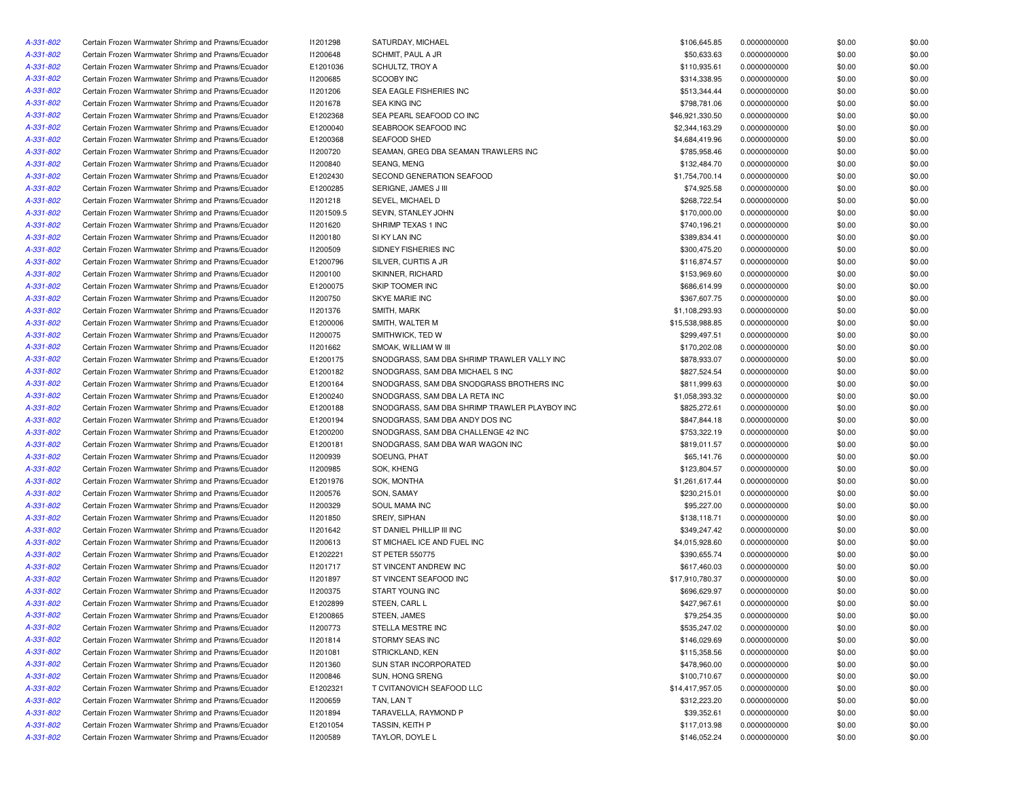| A-331-802 | Certain Frozen Warmwater Shrimp and Prawns/Ecuador                                                       | 11201298   | SATURDAY, MICHAEL                             | \$106,645.85    | 0.0000000000 | \$0.00 | \$0.00 |
|-----------|----------------------------------------------------------------------------------------------------------|------------|-----------------------------------------------|-----------------|--------------|--------|--------|
| A-331-802 | Certain Frozen Warmwater Shrimp and Prawns/Ecuador                                                       | 11200648   | SCHMIT, PAUL A JR                             | \$50,633.63     | 0.0000000000 | \$0.00 | \$0.00 |
| A-331-802 | Certain Frozen Warmwater Shrimp and Prawns/Ecuador                                                       | E1201036   | SCHULTZ, TROY A                               | \$110,935.61    | 0.0000000000 | \$0.00 | \$0.00 |
| A-331-802 | Certain Frozen Warmwater Shrimp and Prawns/Ecuador                                                       | 11200685   | <b>SCOOBY INC</b>                             | \$314,338.95    | 0.0000000000 | \$0.00 | \$0.00 |
| A-331-802 | Certain Frozen Warmwater Shrimp and Prawns/Ecuador                                                       | 11201206   | SEA EAGLE FISHERIES INC                       | \$513,344.44    | 0.0000000000 | \$0.00 | \$0.00 |
| A-331-802 | Certain Frozen Warmwater Shrimp and Prawns/Ecuador                                                       | 11201678   | <b>SEA KING INC</b>                           | \$798,781.06    | 0.0000000000 | \$0.00 | \$0.00 |
| A-331-802 | Certain Frozen Warmwater Shrimp and Prawns/Ecuador                                                       | E1202368   | SEA PEARL SEAFOOD CO INC                      | \$46,921,330.50 | 0.0000000000 | \$0.00 | \$0.00 |
| A-331-802 | Certain Frozen Warmwater Shrimp and Prawns/Ecuador                                                       | E1200040   | SEABROOK SEAFOOD INC                          | \$2,344,163.29  | 0.0000000000 | \$0.00 | \$0.00 |
| A-331-802 | Certain Frozen Warmwater Shrimp and Prawns/Ecuador                                                       | E1200368   | SEAFOOD SHED                                  | \$4,684,419.96  | 0.0000000000 | \$0.00 | \$0.00 |
| A-331-802 | Certain Frozen Warmwater Shrimp and Prawns/Ecuador                                                       | 11200720   | SEAMAN, GREG DBA SEAMAN TRAWLERS INC          | \$785,958.46    | 0.0000000000 | \$0.00 | \$0.00 |
| A-331-802 | Certain Frozen Warmwater Shrimp and Prawns/Ecuador                                                       | 11200840   | SEANG, MENG                                   | \$132,484.70    | 0.0000000000 | \$0.00 | \$0.00 |
| A-331-802 | Certain Frozen Warmwater Shrimp and Prawns/Ecuador                                                       | E1202430   | SECOND GENERATION SEAFOOD                     | \$1,754,700.14  | 0.0000000000 | \$0.00 | \$0.00 |
| A-331-802 | Certain Frozen Warmwater Shrimp and Prawns/Ecuador                                                       | E1200285   | SERIGNE, JAMES J III                          | \$74,925.58     | 0.0000000000 | \$0.00 | \$0.00 |
| A-331-802 | Certain Frozen Warmwater Shrimp and Prawns/Ecuador                                                       | 11201218   | SEVEL, MICHAEL D                              | \$268,722.54    | 0.0000000000 | \$0.00 | \$0.00 |
| A-331-802 | Certain Frozen Warmwater Shrimp and Prawns/Ecuador                                                       | 11201509.5 | SEVIN, STANLEY JOHN                           | \$170,000.00    | 0.0000000000 | \$0.00 | \$0.00 |
| A-331-802 | Certain Frozen Warmwater Shrimp and Prawns/Ecuador                                                       | 11201620   | SHRIMP TEXAS 1 INC                            | \$740,196.21    | 0.0000000000 | \$0.00 | \$0.00 |
| A-331-802 | Certain Frozen Warmwater Shrimp and Prawns/Ecuador                                                       | 11200180   | SI KY LAN INC                                 | \$389,834.41    | 0.0000000000 | \$0.00 | \$0.00 |
| A-331-802 | Certain Frozen Warmwater Shrimp and Prawns/Ecuador                                                       | 11200509   | SIDNEY FISHERIES INC                          | \$300,475.20    | 0.0000000000 | \$0.00 | \$0.00 |
| A-331-802 | Certain Frozen Warmwater Shrimp and Prawns/Ecuador                                                       | E1200796   | SILVER, CURTIS A JR                           | \$116,874.57    | 0.0000000000 | \$0.00 | \$0.00 |
| A-331-802 | Certain Frozen Warmwater Shrimp and Prawns/Ecuador                                                       | 11200100   | SKINNER, RICHARD                              | \$153,969.60    | 0.0000000000 | \$0.00 | \$0.00 |
| A-331-802 | Certain Frozen Warmwater Shrimp and Prawns/Ecuador                                                       | E1200075   | SKIP TOOMER INC                               | \$686,614.99    | 0.0000000000 | \$0.00 | \$0.00 |
|           |                                                                                                          |            | SKYE MARIE INC                                | \$367,607.75    |              |        |        |
| A-331-802 | Certain Frozen Warmwater Shrimp and Prawns/Ecuador                                                       | 11200750   |                                               |                 | 0.0000000000 | \$0.00 | \$0.00 |
| A-331-802 | Certain Frozen Warmwater Shrimp and Prawns/Ecuador                                                       | 11201376   | SMITH, MARK                                   | \$1,108,293.93  | 0.0000000000 | \$0.00 | \$0.00 |
| A-331-802 | Certain Frozen Warmwater Shrimp and Prawns/Ecuador                                                       | E1200006   | SMITH, WALTER M                               | \$15,538,988.85 | 0.0000000000 | \$0.00 | \$0.00 |
| A-331-802 | Certain Frozen Warmwater Shrimp and Prawns/Ecuador                                                       | 11200075   | SMITHWICK, TED W                              | \$299,497.51    | 0.0000000000 | \$0.00 | \$0.00 |
| A-331-802 | Certain Frozen Warmwater Shrimp and Prawns/Ecuador                                                       | 11201662   | SMOAK, WILLIAM W III                          | \$170,202.08    | 0.0000000000 | \$0.00 | \$0.00 |
| A-331-802 | Certain Frozen Warmwater Shrimp and Prawns/Ecuador                                                       | E1200175   | SNODGRASS, SAM DBA SHRIMP TRAWLER VALLY INC   | \$878,933.07    | 0.0000000000 | \$0.00 | \$0.00 |
| A-331-802 | Certain Frozen Warmwater Shrimp and Prawns/Ecuador                                                       | E1200182   | SNODGRASS, SAM DBA MICHAEL S INC              | \$827.524.54    | 0.0000000000 | \$0.00 | \$0.00 |
| A-331-802 | Certain Frozen Warmwater Shrimp and Prawns/Ecuador                                                       | E1200164   | SNODGRASS, SAM DBA SNODGRASS BROTHERS INC     | \$811,999.63    | 0.0000000000 | \$0.00 | \$0.00 |
| A-331-802 | Certain Frozen Warmwater Shrimp and Prawns/Ecuador                                                       | E1200240   | SNODGRASS, SAM DBA LA RETA INC                | \$1,058,393.32  | 0.0000000000 | \$0.00 | \$0.00 |
| A-331-802 | Certain Frozen Warmwater Shrimp and Prawns/Ecuador                                                       | E1200188   | SNODGRASS, SAM DBA SHRIMP TRAWLER PLAYBOY INC | \$825,272.61    | 0.0000000000 | \$0.00 | \$0.00 |
| A-331-802 | Certain Frozen Warmwater Shrimp and Prawns/Ecuador                                                       | E1200194   | SNODGRASS, SAM DBA ANDY DOS INC               | \$847,844.18    | 0.0000000000 | \$0.00 | \$0.00 |
| A-331-802 | Certain Frozen Warmwater Shrimp and Prawns/Ecuador                                                       | E1200200   | SNODGRASS, SAM DBA CHALLENGE 42 INC           | \$753,322.19    | 0.0000000000 | \$0.00 | \$0.00 |
| A-331-802 | Certain Frozen Warmwater Shrimp and Prawns/Ecuador                                                       | E1200181   | SNODGRASS, SAM DBA WAR WAGON INC              | \$819,011.57    | 0.0000000000 | \$0.00 | \$0.00 |
| A-331-802 | Certain Frozen Warmwater Shrimp and Prawns/Ecuador                                                       | 11200939   | SOEUNG, PHAT                                  | \$65,141.76     | 0.0000000000 | \$0.00 | \$0.00 |
| A-331-802 | Certain Frozen Warmwater Shrimp and Prawns/Ecuador                                                       | 11200985   | SOK, KHENG                                    | \$123,804.57    | 0.0000000000 | \$0.00 | \$0.00 |
| A-331-802 | Certain Frozen Warmwater Shrimp and Prawns/Ecuador                                                       | E1201976   | SOK, MONTHA                                   | \$1,261,617.44  | 0.0000000000 | \$0.00 | \$0.00 |
| A-331-802 | Certain Frozen Warmwater Shrimp and Prawns/Ecuador                                                       | 11200576   | SON, SAMAY                                    | \$230,215.01    | 0.0000000000 | \$0.00 | \$0.00 |
| A-331-802 | Certain Frozen Warmwater Shrimp and Prawns/Ecuador                                                       | 11200329   | SOUL MAMA INC                                 | \$95,227.00     | 0.0000000000 | \$0.00 | \$0.00 |
| A-331-802 | Certain Frozen Warmwater Shrimp and Prawns/Ecuador                                                       | 11201850   | SREIY, SIPHAN                                 | \$138,118.71    | 0.0000000000 | \$0.00 | \$0.00 |
| A-331-802 | Certain Frozen Warmwater Shrimp and Prawns/Ecuador                                                       | 11201642   | ST DANIEL PHILLIP III INC                     | \$349,247.42    | 0.0000000000 | \$0.00 | \$0.00 |
| A-331-802 | Certain Frozen Warmwater Shrimp and Prawns/Ecuador                                                       | 11200613   | ST MICHAEL ICE AND FUEL INC                   | \$4,015,928.60  | 0.0000000000 | \$0.00 | \$0.00 |
| A-331-802 | Certain Frozen Warmwater Shrimp and Prawns/Ecuador                                                       | E1202221   | <b>ST PETER 550775</b>                        | \$390,655.74    | 0.0000000000 | \$0.00 | \$0.00 |
| A-331-802 | Certain Frozen Warmwater Shrimp and Prawns/Ecuador                                                       | 11201717   | ST VINCENT ANDREW INC                         | \$617,460.03    | 0.0000000000 | \$0.00 | \$0.00 |
| A-331-802 | Certain Frozen Warmwater Shrimp and Prawns/Ecuador                                                       | 11201897   | ST VINCENT SEAFOOD INC                        | \$17,910,780.37 | 0.0000000000 | \$0.00 | \$0.00 |
| A-331-802 | Certain Frozen Warmwater Shrimp and Prawns/Ecuador                                                       | 11200375   | START YOUNG INC                               | \$696,629.97    | 0.0000000000 | \$0.00 | \$0.00 |
| A-331-802 | Certain Frozen Warmwater Shrimp and Prawns/Ecuador                                                       | E1202899   | STEEN, CARL L                                 | \$427,967.61    | 0.0000000000 | \$0.00 | \$0.00 |
| A-331-802 | Certain Frozen Warmwater Shrimp and Prawns/Ecuador                                                       | E1200865   | STEEN, JAMES                                  | \$79,254.35     | 0.0000000000 | \$0.00 | \$0.00 |
| A-331-802 | Certain Frozen Warmwater Shrimp and Prawns/Ecuador                                                       | 11200773   | STELLA MESTRE INC                             | \$535,247.02    | 0.0000000000 | \$0.00 | \$0.00 |
| A-331-802 | Certain Frozen Warmwater Shrimp and Prawns/Ecuador                                                       | 11201814   | STORMY SEAS INC                               | \$146,029.69    | 0.0000000000 | \$0.00 | \$0.00 |
| A-331-802 | Certain Frozen Warmwater Shrimp and Prawns/Ecuador                                                       | 11201081   | STRICKLAND, KEN                               | \$115,358.56    | 0.0000000000 | \$0.00 | \$0.00 |
| A-331-802 | Certain Frozen Warmwater Shrimp and Prawns/Ecuador                                                       | 11201360   | SUN STAR INCORPORATED                         | \$478,960.00    | 0.0000000000 | \$0.00 | \$0.00 |
| A-331-802 | Certain Frozen Warmwater Shrimp and Prawns/Ecuador                                                       | 11200846   | SUN, HONG SRENG                               | \$100,710.67    | 0.0000000000 | \$0.00 | \$0.00 |
| A-331-802 | Certain Frozen Warmwater Shrimp and Prawns/Ecuador                                                       | E1202321   | T CVITANOVICH SEAFOOD LLC                     | \$14,417,957.05 | 0.0000000000 | \$0.00 | \$0.00 |
|           |                                                                                                          |            |                                               |                 | 0.0000000000 |        |        |
| A-331-802 | Certain Frozen Warmwater Shrimp and Prawns/Ecuador<br>Certain Frozen Warmwater Shrimp and Prawns/Ecuador | I1200659   | TAN, LAN T                                    | \$312,223.20    |              | \$0.00 | \$0.00 |
| A-331-802 |                                                                                                          | 11201894   | TARAVELLA, RAYMOND P                          | \$39,352.61     | 0.0000000000 | \$0.00 | \$0.00 |
| A-331-802 | Certain Frozen Warmwater Shrimp and Prawns/Ecuador                                                       | E1201054   | TASSIN, KEITH P                               | \$117,013.98    | 0.0000000000 | \$0.00 | \$0.00 |
| A-331-802 | Certain Frozen Warmwater Shrimp and Prawns/Ecuador                                                       | 11200589   | TAYLOR, DOYLE L                               | \$146,052.24    | 0.0000000000 | \$0.00 | \$0.00 |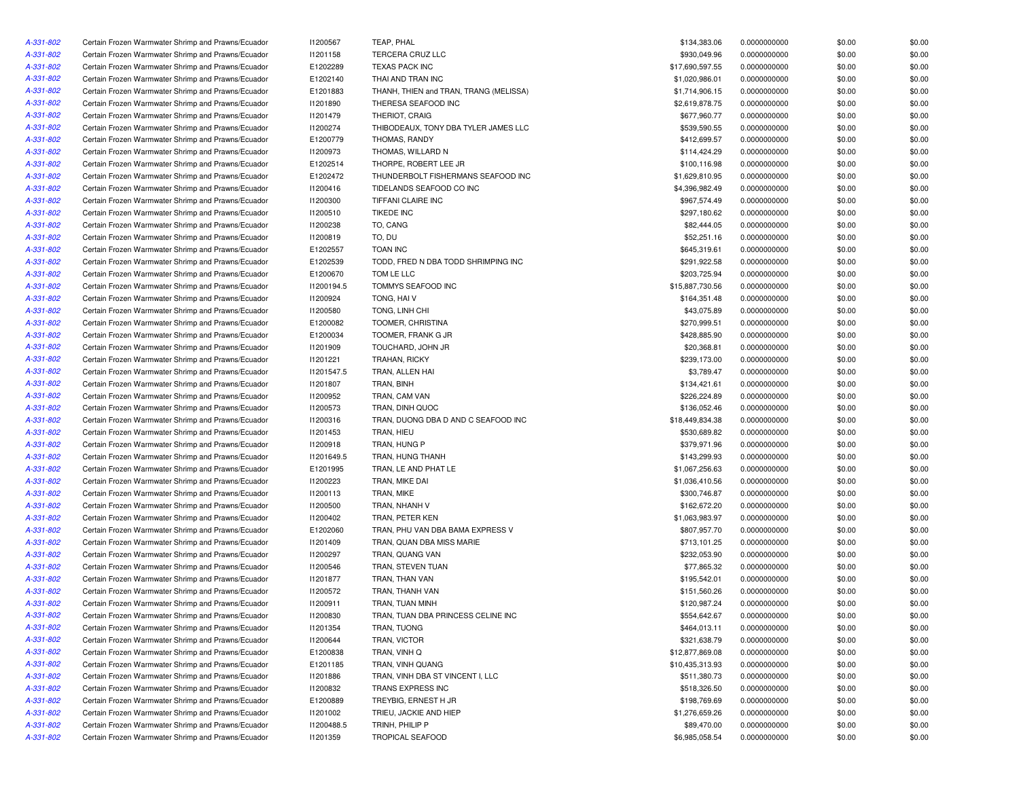| A-331-802 | Certain Frozen Warmwater Shrimp and Prawns/Ecuador | I1200567   | TEAP, PHAL                             | \$134,383.06    | 0.0000000000 | \$0.00 | \$0.00 |
|-----------|----------------------------------------------------|------------|----------------------------------------|-----------------|--------------|--------|--------|
| A-331-802 | Certain Frozen Warmwater Shrimp and Prawns/Ecuador | 11201158   | TERCERA CRUZ LLC                       | \$930,049.96    | 0.0000000000 | \$0.00 | \$0.00 |
| A-331-802 | Certain Frozen Warmwater Shrimp and Prawns/Ecuador | E1202289   | <b>TEXAS PACK INC</b>                  | \$17,690,597.55 | 0.0000000000 | \$0.00 | \$0.00 |
| A-331-802 | Certain Frozen Warmwater Shrimp and Prawns/Ecuador | E1202140   | THAI AND TRAN INC                      | \$1,020,986.01  | 0.0000000000 | \$0.00 | \$0.00 |
| A-331-802 | Certain Frozen Warmwater Shrimp and Prawns/Ecuador | E1201883   | THANH, THIEN and TRAN, TRANG (MELISSA) | \$1,714,906.15  | 0.0000000000 | \$0.00 | \$0.00 |
| A-331-802 | Certain Frozen Warmwater Shrimp and Prawns/Ecuador | 11201890   | THERESA SEAFOOD INC                    | \$2,619,878.75  | 0.0000000000 | \$0.00 | \$0.00 |
| A-331-802 | Certain Frozen Warmwater Shrimp and Prawns/Ecuador | 11201479   | <b>THERIOT, CRAIG</b>                  | \$677,960.77    | 0.0000000000 | \$0.00 | \$0.00 |
| A-331-802 | Certain Frozen Warmwater Shrimp and Prawns/Ecuador | 11200274   | THIBODEAUX, TONY DBA TYLER JAMES LLC   | \$539,590.55    | 0.0000000000 | \$0.00 | \$0.00 |
| A-331-802 | Certain Frozen Warmwater Shrimp and Prawns/Ecuador | E1200779   | THOMAS, RANDY                          | \$412,699.57    | 0.0000000000 | \$0.00 | \$0.00 |
| A-331-802 | Certain Frozen Warmwater Shrimp and Prawns/Ecuador | 11200973   | THOMAS, WILLARD N                      | \$114,424.29    | 0.0000000000 | \$0.00 | \$0.00 |
| A-331-802 | Certain Frozen Warmwater Shrimp and Prawns/Ecuador | E1202514   | THORPE, ROBERT LEE JR                  | \$100,116.98    | 0.0000000000 | \$0.00 | \$0.00 |
| A-331-802 | Certain Frozen Warmwater Shrimp and Prawns/Ecuador | E1202472   | THUNDERBOLT FISHERMANS SEAFOOD INC     | \$1,629,810.95  | 0.0000000000 | \$0.00 | \$0.00 |
| A-331-802 | Certain Frozen Warmwater Shrimp and Prawns/Ecuador | 11200416   | TIDELANDS SEAFOOD CO INC               | \$4,396,982.49  | 0.0000000000 | \$0.00 | \$0.00 |
| A-331-802 | Certain Frozen Warmwater Shrimp and Prawns/Ecuador | 11200300   | TIFFANI CLAIRE INC                     | \$967,574.49    | 0.0000000000 | \$0.00 | \$0.00 |
| A-331-802 | Certain Frozen Warmwater Shrimp and Prawns/Ecuador | 11200510   | <b>TIKEDE INC</b>                      | \$297,180.62    | 0.0000000000 | \$0.00 | \$0.00 |
| A-331-802 | Certain Frozen Warmwater Shrimp and Prawns/Ecuador | 11200238   | TO, CANG                               | \$82,444.05     | 0.0000000000 | \$0.00 | \$0.00 |
| A-331-802 |                                                    |            | TO, DU                                 | \$52,251.16     |              |        | \$0.00 |
|           | Certain Frozen Warmwater Shrimp and Prawns/Ecuador | 11200819   |                                        |                 | 0.0000000000 | \$0.00 |        |
| A-331-802 | Certain Frozen Warmwater Shrimp and Prawns/Ecuador | E1202557   | <b>TOAN INC</b>                        | \$645,319.61    | 0.0000000000 | \$0.00 | \$0.00 |
| A-331-802 | Certain Frozen Warmwater Shrimp and Prawns/Ecuador | E1202539   | TODD, FRED N DBA TODD SHRIMPING INC    | \$291,922.58    | 0.0000000000 | \$0.00 | \$0.00 |
| A-331-802 | Certain Frozen Warmwater Shrimp and Prawns/Ecuador | E1200670   | TOM LE LLC                             | \$203,725.94    | 0.0000000000 | \$0.00 | \$0.00 |
| A-331-802 | Certain Frozen Warmwater Shrimp and Prawns/Ecuador | 11200194.5 | TOMMYS SEAFOOD INC                     | \$15,887,730.56 | 0.0000000000 | \$0.00 | \$0.00 |
| A-331-802 | Certain Frozen Warmwater Shrimp and Prawns/Ecuador | 11200924   | TONG, HAIV                             | \$164,351.48    | 0.0000000000 | \$0.00 | \$0.00 |
| A-331-802 | Certain Frozen Warmwater Shrimp and Prawns/Ecuador | 11200580   | TONG, LINH CHI                         | \$43,075.89     | 0.0000000000 | \$0.00 | \$0.00 |
| A-331-802 | Certain Frozen Warmwater Shrimp and Prawns/Ecuador | E1200082   | TOOMER, CHRISTINA                      | \$270,999.51    | 0.0000000000 | \$0.00 | \$0.00 |
| A-331-802 | Certain Frozen Warmwater Shrimp and Prawns/Ecuador | E1200034   | TOOMER, FRANK G JR                     | \$428,885.90    | 0.0000000000 | \$0.00 | \$0.00 |
| A-331-802 | Certain Frozen Warmwater Shrimp and Prawns/Ecuador | 11201909   | TOUCHARD, JOHN JR                      | \$20,368.81     | 0.0000000000 | \$0.00 | \$0.00 |
| A-331-802 | Certain Frozen Warmwater Shrimp and Prawns/Ecuador | 11201221   | <b>TRAHAN, RICKY</b>                   | \$239.173.00    | 0.0000000000 | \$0.00 | \$0.00 |
| A-331-802 | Certain Frozen Warmwater Shrimp and Prawns/Ecuador | 11201547.5 | TRAN, ALLEN HAI                        | \$3,789.47      | 0.0000000000 | \$0.00 | \$0.00 |
| A-331-802 | Certain Frozen Warmwater Shrimp and Prawns/Ecuador | 11201807   | TRAN, BINH                             | \$134,421.61    | 0.0000000000 | \$0.00 | \$0.00 |
| A-331-802 | Certain Frozen Warmwater Shrimp and Prawns/Ecuador | 11200952   | TRAN, CAM VAN                          | \$226,224.89    | 0.0000000000 | \$0.00 | \$0.00 |
| A-331-802 | Certain Frozen Warmwater Shrimp and Prawns/Ecuador | 11200573   | TRAN, DINH QUOC                        | \$136,052.46    | 0.0000000000 | \$0.00 | \$0.00 |
| A-331-802 | Certain Frozen Warmwater Shrimp and Prawns/Ecuador | 11200316   | TRAN, DUONG DBA D AND C SEAFOOD INC    | \$18,449,834.38 | 0.0000000000 | \$0.00 | \$0.00 |
| A-331-802 | Certain Frozen Warmwater Shrimp and Prawns/Ecuador | 11201453   | TRAN, HIEU                             | \$530,689.82    | 0.0000000000 | \$0.00 | \$0.00 |
| A-331-802 | Certain Frozen Warmwater Shrimp and Prawns/Ecuador | 11200918   | TRAN, HUNG P                           | \$379,971.96    | 0.0000000000 | \$0.00 | \$0.00 |
| A-331-802 | Certain Frozen Warmwater Shrimp and Prawns/Ecuador | 11201649.5 | TRAN, HUNG THANH                       | \$143,299.93    | 0.0000000000 | \$0.00 | \$0.00 |
| A-331-802 | Certain Frozen Warmwater Shrimp and Prawns/Ecuador | E1201995   | TRAN, LE AND PHAT LE                   | \$1,067,256.63  | 0.0000000000 | \$0.00 | \$0.00 |
| A-331-802 | Certain Frozen Warmwater Shrimp and Prawns/Ecuador | I1200223   | TRAN, MIKE DAI                         | \$1,036,410.56  | 0.0000000000 | \$0.00 | \$0.00 |
| A-331-802 | Certain Frozen Warmwater Shrimp and Prawns/Ecuador | 11200113   | TRAN, MIKE                             | \$300,746.87    | 0.0000000000 | \$0.00 | \$0.00 |
| A-331-802 | Certain Frozen Warmwater Shrimp and Prawns/Ecuador | 11200500   | TRAN, NHANH V                          | \$162,672.20    | 0.0000000000 | \$0.00 | \$0.00 |
| A-331-802 | Certain Frozen Warmwater Shrimp and Prawns/Ecuador | 11200402   | TRAN, PETER KEN                        | \$1,063,983.97  | 0.0000000000 | \$0.00 | \$0.00 |
| A-331-802 | Certain Frozen Warmwater Shrimp and Prawns/Ecuador | E1202060   | TRAN, PHU VAN DBA BAMA EXPRESS V       | \$807,957.70    | 0.0000000000 | \$0.00 | \$0.00 |
| A-331-802 | Certain Frozen Warmwater Shrimp and Prawns/Ecuador | 11201409   | TRAN, QUAN DBA MISS MARIE              | \$713,101.25    | 0.0000000000 | \$0.00 | \$0.00 |
| A-331-802 | Certain Frozen Warmwater Shrimp and Prawns/Ecuador | I1200297   | TRAN, QUANG VAN                        | \$232,053.90    | 0.0000000000 | \$0.00 | \$0.00 |
| A-331-802 | Certain Frozen Warmwater Shrimp and Prawns/Ecuador | 11200546   | TRAN, STEVEN TUAN                      | \$77,865.32     | 0.0000000000 | \$0.00 | \$0.00 |
|           |                                                    |            |                                        |                 |              |        |        |
| A-331-802 | Certain Frozen Warmwater Shrimp and Prawns/Ecuador | 11201877   | TRAN, THAN VAN                         | \$195,542.01    | 0.0000000000 | \$0.00 | \$0.00 |
| A-331-802 | Certain Frozen Warmwater Shrimp and Prawns/Ecuador | 11200572   | TRAN, THANH VAN                        | \$151,560.26    | 0.0000000000 | \$0.00 | \$0.00 |
| A-331-802 | Certain Frozen Warmwater Shrimp and Prawns/Ecuador | 11200911   | TRAN, TUAN MINH                        | \$120,987.24    | 0.0000000000 | \$0.00 | \$0.00 |
| A-331-802 | Certain Frozen Warmwater Shrimp and Prawns/Ecuador | 11200830   | TRAN, TUAN DBA PRINCESS CELINE INC     | \$554,642.67    | 0.0000000000 | \$0.00 | \$0.00 |
| A-331-802 | Certain Frozen Warmwater Shrimp and Prawns/Ecuador | 11201354   | TRAN, TUONG                            | \$464,013.11    | 0.0000000000 | \$0.00 | \$0.00 |
| A-331-802 | Certain Frozen Warmwater Shrimp and Prawns/Ecuador | 11200644   | TRAN, VICTOR                           | \$321,638.79    | 0.0000000000 | \$0.00 | \$0.00 |
| A-331-802 | Certain Frozen Warmwater Shrimp and Prawns/Ecuador | E1200838   | TRAN, VINH Q                           | \$12,877,869.08 | 0.0000000000 | \$0.00 | \$0.00 |
| A-331-802 | Certain Frozen Warmwater Shrimp and Prawns/Ecuador | E1201185   | TRAN, VINH QUANG                       | \$10,435,313.93 | 0.0000000000 | \$0.00 | \$0.00 |
| A-331-802 | Certain Frozen Warmwater Shrimp and Prawns/Ecuador | 11201886   | TRAN, VINH DBA ST VINCENT I, LLC       | \$511,380.73    | 0.0000000000 | \$0.00 | \$0.00 |
| A-331-802 | Certain Frozen Warmwater Shrimp and Prawns/Ecuador | 11200832   | TRANS EXPRESS INC                      | \$518,326.50    | 0.0000000000 | \$0.00 | \$0.00 |
| A-331-802 | Certain Frozen Warmwater Shrimp and Prawns/Ecuador | E1200889   | TREYBIG, ERNEST H JR                   | \$198,769.69    | 0.0000000000 | \$0.00 | \$0.00 |
| A-331-802 | Certain Frozen Warmwater Shrimp and Prawns/Ecuador | 11201002   | TRIEU, JACKIE AND HIEP                 | \$1,276,659.26  | 0.0000000000 | \$0.00 | \$0.00 |
| A-331-802 | Certain Frozen Warmwater Shrimp and Prawns/Ecuador | I1200488.5 | TRINH, PHILIP P                        | \$89,470.00     | 0.0000000000 | \$0.00 | \$0.00 |
| A-331-802 | Certain Frozen Warmwater Shrimp and Prawns/Ecuador | 11201359   | <b>TROPICAL SEAFOOD</b>                | \$6,985,058.54  | 0.0000000000 | \$0.00 | \$0.00 |
|           |                                                    |            |                                        |                 |              |        |        |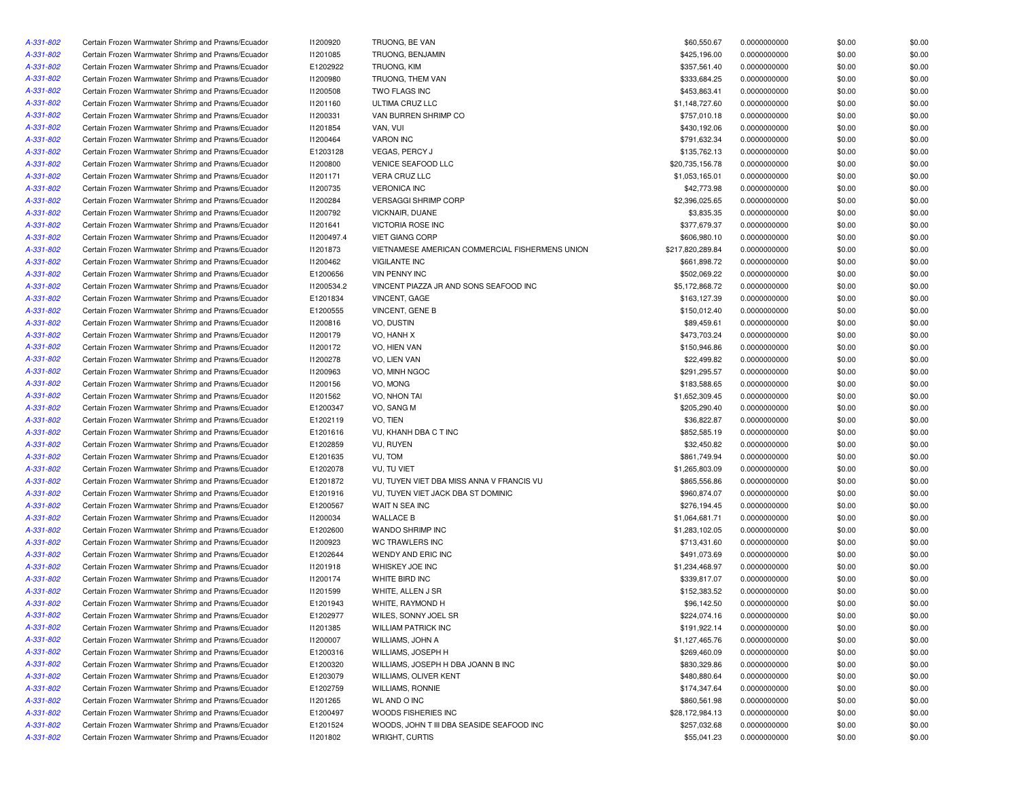| A-331-802              | Certain Frozen Warmwater Shrimp and Prawns/Ecuador                                                       | <b>I1200920</b>      | TRUONG, BE VAN                                     | \$60,550.67                 | 0.0000000000                 | \$0.00           | \$0.00 |
|------------------------|----------------------------------------------------------------------------------------------------------|----------------------|----------------------------------------------------|-----------------------------|------------------------------|------------------|--------|
| A-331-802              | Certain Frozen Warmwater Shrimp and Prawns/Ecuador                                                       | 11201085             | TRUONG, BENJAMIN                                   | \$425,196.00                | 0.0000000000                 | \$0.00           | \$0.00 |
| A-331-802              | Certain Frozen Warmwater Shrimp and Prawns/Ecuador                                                       | E1202922             | TRUONG, KIM                                        | \$357,561.40                | 0.0000000000                 | \$0.00           | \$0.00 |
| A-331-802              | Certain Frozen Warmwater Shrimp and Prawns/Ecuador                                                       | <b>I1200980</b>      | TRUONG, THEM VAN                                   | \$333,684.25                | 0.0000000000                 | \$0.00           | \$0.00 |
| A-331-802              | Certain Frozen Warmwater Shrimp and Prawns/Ecuador                                                       | 11200508             | TWO FLAGS INC                                      | \$453,863.41                | 0.0000000000                 | \$0.00           | \$0.00 |
| A-331-802              | Certain Frozen Warmwater Shrimp and Prawns/Ecuador                                                       | 11201160             | ULTIMA CRUZ LLC                                    | \$1,148,727.60              | 0.0000000000                 | \$0.00           | \$0.00 |
| A-331-802              | Certain Frozen Warmwater Shrimp and Prawns/Ecuador                                                       | 11200331             | VAN BURREN SHRIMP CO                               | \$757,010.18                | 0.0000000000                 | \$0.00           | \$0.00 |
| A-331-802              | Certain Frozen Warmwater Shrimp and Prawns/Ecuador                                                       | I1201854             | VAN, VUI                                           | \$430,192.06                | 0.0000000000                 | \$0.00           | \$0.00 |
| A-331-802              | Certain Frozen Warmwater Shrimp and Prawns/Ecuador                                                       | I1200464             | <b>VARON INC</b>                                   | \$791,632.34                | 0.0000000000                 | \$0.00           | \$0.00 |
| A-331-802              | Certain Frozen Warmwater Shrimp and Prawns/Ecuador                                                       | E1203128             | <b>VEGAS, PERCY J</b>                              | \$135,762.13                | 0.0000000000                 | \$0.00           | \$0.00 |
| A-331-802              | Certain Frozen Warmwater Shrimp and Prawns/Ecuador                                                       | 11200800             | <b>VENICE SEAFOOD LLC</b>                          | \$20,735,156.78             | 0.0000000000                 | \$0.00           | \$0.00 |
| A-331-802              | Certain Frozen Warmwater Shrimp and Prawns/Ecuador                                                       | 11201171             | VERA CRUZ LLC                                      | \$1,053,165.01              | 0.0000000000                 | \$0.00           | \$0.00 |
| A-331-802              | Certain Frozen Warmwater Shrimp and Prawns/Ecuador                                                       | I1200735             | <b>VERONICA INC</b>                                | \$42,773.98                 | 0.0000000000                 | \$0.00           | \$0.00 |
| A-331-802              | Certain Frozen Warmwater Shrimp and Prawns/Ecuador                                                       | 11200284             | <b>VERSAGGI SHRIMP CORP</b>                        | \$2,396,025.65              | 0.0000000000                 | \$0.00           | \$0.00 |
| A-331-802              | Certain Frozen Warmwater Shrimp and Prawns/Ecuador                                                       | 11200792             | VICKNAIR, DUANE                                    | \$3,835.35                  | 0.0000000000                 | \$0.00           | \$0.00 |
| A-331-802              | Certain Frozen Warmwater Shrimp and Prawns/Ecuador                                                       | 11201641             | <b>VICTORIA ROSE INC</b>                           | \$377,679.37                | 0.0000000000                 | \$0.00           | \$0.00 |
| A-331-802              | Certain Frozen Warmwater Shrimp and Prawns/Ecuador                                                       | 11200497.4           | <b>VIET GIANG CORP</b>                             | \$606,980.10                | 0.0000000000                 | \$0.00           | \$0.00 |
| A-331-802              | Certain Frozen Warmwater Shrimp and Prawns/Ecuador                                                       | 11201873             | VIETNAMESE AMERICAN COMMERCIAL FISHERMENS UNION    | \$217,820,289.84            | 0.0000000000                 | \$0.00           | \$0.00 |
| A-331-802              | Certain Frozen Warmwater Shrimp and Prawns/Ecuador                                                       | I1200462             | <b>VIGILANTE INC</b>                               | \$661,898.72                | 0.0000000000                 | \$0.00           | \$0.00 |
| A-331-802              | Certain Frozen Warmwater Shrimp and Prawns/Ecuador                                                       | E1200656             | <b>VIN PENNY INC</b>                               | \$502,069.22                | 0.0000000000                 | \$0.00           | \$0.00 |
| A-331-802              | Certain Frozen Warmwater Shrimp and Prawns/Ecuador                                                       | 11200534.2           | VINCENT PIAZZA JR AND SONS SEAFOOD INC             | \$5,172,868.72              | 0.0000000000                 | \$0.00           | \$0.00 |
| A-331-802              | Certain Frozen Warmwater Shrimp and Prawns/Ecuador                                                       | E1201834             | VINCENT, GAGE                                      | \$163,127.39                | 0.0000000000                 | \$0.00           | \$0.00 |
| A-331-802              | Certain Frozen Warmwater Shrimp and Prawns/Ecuador                                                       | E1200555             | VINCENT, GENE B                                    | \$150,012.40                | 0.0000000000                 | \$0.00           | \$0.00 |
| A-331-802              | Certain Frozen Warmwater Shrimp and Prawns/Ecuador                                                       | 11200816             | VO, DUSTIN                                         | \$89,459.61                 | 0.0000000000                 | \$0.00           | \$0.00 |
| A-331-802              | Certain Frozen Warmwater Shrimp and Prawns/Ecuador                                                       | 11200179             | VO, HANH X                                         | \$473,703.24                | 0.0000000000                 | \$0.00           | \$0.00 |
| A-331-802              | Certain Frozen Warmwater Shrimp and Prawns/Ecuador                                                       | 11200172             | VO, HIEN VAN                                       | \$150,946.86                | 0.0000000000                 | \$0.00           | \$0.00 |
| A-331-802              | Certain Frozen Warmwater Shrimp and Prawns/Ecuador                                                       | 11200278             | VO, LIEN VAN                                       | \$22,499.82                 | 0.0000000000                 | \$0.00           | \$0.00 |
| A-331-802              | Certain Frozen Warmwater Shrimp and Prawns/Ecuador                                                       | <b>I1200963</b>      | VO, MINH NGOC                                      | \$291,295.57                | 0.0000000000                 | \$0.00           | \$0.00 |
| A-331-802              | Certain Frozen Warmwater Shrimp and Prawns/Ecuador                                                       | 11200156             | VO, MONG                                           | \$183,588.65                | 0.0000000000                 | \$0.00           | \$0.00 |
| A-331-802              | Certain Frozen Warmwater Shrimp and Prawns/Ecuador                                                       | 11201562             | VO, NHON TAI                                       | \$1,652,309.45              | 0.0000000000                 | \$0.00           | \$0.00 |
| A-331-802              | Certain Frozen Warmwater Shrimp and Prawns/Ecuador                                                       | E1200347             | VO, SANG M                                         | \$205,290.40                | 0.0000000000                 | \$0.00           | \$0.00 |
| A-331-802              | Certain Frozen Warmwater Shrimp and Prawns/Ecuador                                                       | E1202119             | VO, TIEN                                           | \$36,822.87                 | 0.0000000000                 | \$0.00           | \$0.00 |
| A-331-802              | Certain Frozen Warmwater Shrimp and Prawns/Ecuador                                                       | E1201616             | VU, KHANH DBA C T INC                              | \$852,585.19                | 0.0000000000                 | \$0.00           | \$0.00 |
| A-331-802              | Certain Frozen Warmwater Shrimp and Prawns/Ecuador                                                       | E1202859             | <b>VU, RUYEN</b>                                   | \$32,450.82                 | 0.0000000000                 | \$0.00           | \$0.00 |
| A-331-802              | Certain Frozen Warmwater Shrimp and Prawns/Ecuador                                                       | E1201635             | VU, TOM                                            | \$861,749.94                | 0.0000000000                 | \$0.00           | \$0.00 |
| A-331-802              | Certain Frozen Warmwater Shrimp and Prawns/Ecuador                                                       | E1202078             | VU, TU VIET                                        | \$1,265,803.09              | 0.0000000000                 | \$0.00           | \$0.00 |
| A-331-802              | Certain Frozen Warmwater Shrimp and Prawns/Ecuador                                                       | E1201872             | VU, TUYEN VIET DBA MISS ANNA V FRANCIS VU          | \$865,556.86                | 0.0000000000                 | \$0.00           | \$0.00 |
| A-331-802              | Certain Frozen Warmwater Shrimp and Prawns/Ecuador                                                       | E1201916             | VU, TUYEN VIET JACK DBA ST DOMINIC                 | \$960,874.07                | 0.0000000000                 | \$0.00           | \$0.00 |
| A-331-802              | Certain Frozen Warmwater Shrimp and Prawns/Ecuador                                                       | E1200567             | WAIT N SEA INC                                     | \$276,194.45                | 0.0000000000                 | \$0.00           | \$0.00 |
| A-331-802              | Certain Frozen Warmwater Shrimp and Prawns/Ecuador                                                       | 11200034             | <b>WALLACE B</b>                                   | \$1,064,681.71              | 0.0000000000                 | \$0.00           | \$0.00 |
| A-331-802              | Certain Frozen Warmwater Shrimp and Prawns/Ecuador                                                       | E1202600             | WANDO SHRIMP INC                                   | \$1,283,102.05              | 0.0000000000                 | \$0.00           | \$0.00 |
| A-331-802              | Certain Frozen Warmwater Shrimp and Prawns/Ecuador                                                       | 11200923             | WC TRAWLERS INC                                    | \$713,431.60                | 0.0000000000                 | \$0.00           | \$0.00 |
| A-331-802              | Certain Frozen Warmwater Shrimp and Prawns/Ecuador                                                       | E1202644             | WENDY AND ERIC INC                                 | \$491,073.69                | 0.0000000000                 | \$0.00           | \$0.00 |
| A-331-802              | Certain Frozen Warmwater Shrimp and Prawns/Ecuador                                                       | 11201918             | WHISKEY JOE INC                                    | \$1,234,468.97              | 0.0000000000                 | \$0.00           | \$0.00 |
| A-331-802              | Certain Frozen Warmwater Shrimp and Prawns/Ecuador                                                       | 11200174             | WHITE BIRD INC                                     | \$339,817.07                | 0.0000000000                 | \$0.00           | \$0.00 |
|                        |                                                                                                          |                      |                                                    |                             |                              |                  | \$0.00 |
| A-331-802<br>A-331-802 | Certain Frozen Warmwater Shrimp and Prawns/Ecuador<br>Certain Frozen Warmwater Shrimp and Prawns/Ecuador | I1201599<br>E1201943 | WHITE, ALLEN J SR<br>WHITE, RAYMOND H              | \$152,383.52<br>\$96,142.50 | 0.0000000000<br>0.0000000000 | \$0.00<br>\$0.00 | \$0.00 |
| A-331-802              |                                                                                                          |                      |                                                    |                             |                              |                  |        |
|                        | Certain Frozen Warmwater Shrimp and Prawns/Ecuador                                                       | E1202977             | WILES, SONNY JOEL SR<br><b>WILLIAM PATRICK INC</b> | \$224,074.16                | 0.0000000000                 | \$0.00           | \$0.00 |
| A-331-802              | Certain Frozen Warmwater Shrimp and Prawns/Ecuador                                                       | 11201385             |                                                    | \$191,922.14                | 0.0000000000                 | \$0.00           | \$0.00 |
| A-331-802              | Certain Frozen Warmwater Shrimp and Prawns/Ecuador                                                       | I1200007             | WILLIAMS, JOHN A                                   | \$1,127,465.76              | 0.0000000000                 | \$0.00           | \$0.00 |
| A-331-802              | Certain Frozen Warmwater Shrimp and Prawns/Ecuador                                                       | E1200316             | WILLIAMS, JOSEPH H                                 | \$269,460.09                | 0.0000000000                 | \$0.00           | \$0.00 |
| A-331-802              | Certain Frozen Warmwater Shrimp and Prawns/Ecuador                                                       | E1200320             | WILLIAMS, JOSEPH H DBA JOANN B INC                 | \$830,329.86                | 0.0000000000                 | \$0.00           | \$0.00 |
| A-331-802              | Certain Frozen Warmwater Shrimp and Prawns/Ecuador                                                       | E1203079             | WILLIAMS, OLIVER KENT                              | \$480,880.64                | 0.0000000000                 | \$0.00           | \$0.00 |
| A-331-802              | Certain Frozen Warmwater Shrimp and Prawns/Ecuador                                                       | E1202759             | <b>WILLIAMS, RONNIE</b>                            | \$174,347.64                | 0.0000000000                 | \$0.00           | \$0.00 |
| A-331-802              | Certain Frozen Warmwater Shrimp and Prawns/Ecuador                                                       | 11201265             | WL AND O INC                                       | \$860,561.98                | 0.0000000000                 | \$0.00           | \$0.00 |
| A-331-802              | Certain Frozen Warmwater Shrimp and Prawns/Ecuador                                                       | E1200497             | WOODS FISHERIES INC                                | \$28,172,984.13             | 0.0000000000                 | \$0.00           | \$0.00 |
| A-331-802              | Certain Frozen Warmwater Shrimp and Prawns/Ecuador                                                       | E1201524             | WOODS, JOHN T III DBA SEASIDE SEAFOOD INC          | \$257,032.68                | 0.0000000000                 | \$0.00           | \$0.00 |
| A-331-802              | Certain Frozen Warmwater Shrimp and Prawns/Ecuador                                                       | 11201802             | <b>WRIGHT, CURTIS</b>                              | \$55,041.23                 | 0.0000000000                 | \$0.00           | \$0.00 |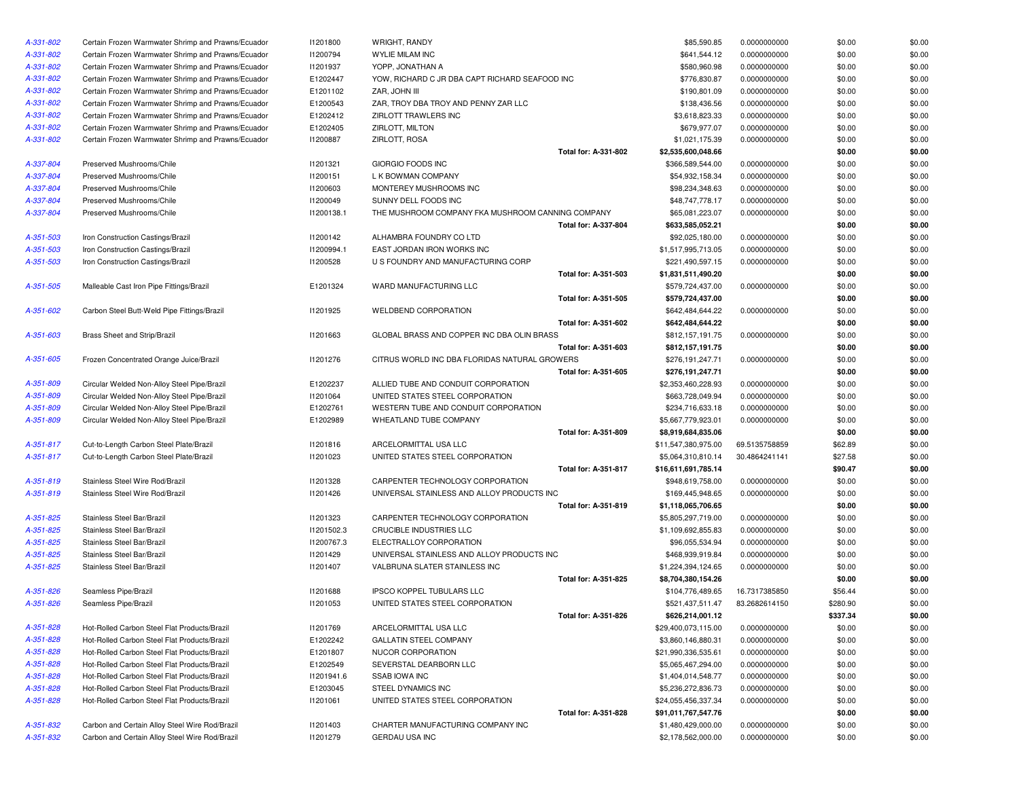| A-331-802 | Certain Frozen Warmwater Shrimp and Prawns/Ecuador | 11201800        | WRIGHT, RANDY                                     | \$85,590.85         | 0.0000000000  | \$0.00   | \$0.00 |
|-----------|----------------------------------------------------|-----------------|---------------------------------------------------|---------------------|---------------|----------|--------|
| A-331-802 | Certain Frozen Warmwater Shrimp and Prawns/Ecuador | 11200794        | WYLIE MILAM INC                                   | \$641,544.12        | 0.0000000000  | \$0.00   | \$0.00 |
| A-331-802 | Certain Frozen Warmwater Shrimp and Prawns/Ecuador | 11201937        | YOPP, JONATHAN A                                  | \$580,960.98        | 0.0000000000  | \$0.00   | \$0.00 |
| A-331-802 | Certain Frozen Warmwater Shrimp and Prawns/Ecuador | E1202447        | YOW, RICHARD C JR DBA CAPT RICHARD SEAFOOD INC    | \$776,830.87        | 0.0000000000  | \$0.00   | \$0.00 |
| A-331-802 | Certain Frozen Warmwater Shrimp and Prawns/Ecuador | E1201102        | ZAR, JOHN III                                     | \$190,801.09        | 0.0000000000  | \$0.00   | \$0.00 |
| A-331-802 | Certain Frozen Warmwater Shrimp and Prawns/Ecuador | E1200543        | ZAR, TROY DBA TROY AND PENNY ZAR LLC              | \$138,436.56        | 0.0000000000  | \$0.00   | \$0.00 |
| A-331-802 | Certain Frozen Warmwater Shrimp and Prawns/Ecuador | E1202412        | ZIRLOTT TRAWLERS INC                              | \$3,618,823.33      | 0.0000000000  | \$0.00   | \$0.00 |
| A-331-802 | Certain Frozen Warmwater Shrimp and Prawns/Ecuador | E1202405        | ZIRLOTT, MILTON                                   | \$679,977.07        | 0.0000000000  | \$0.00   | \$0.00 |
| A-331-802 | Certain Frozen Warmwater Shrimp and Prawns/Ecuador | <b>I1200887</b> | ZIRLOTT, ROSA                                     | \$1,021,175.39      | 0.0000000000  | \$0.00   | \$0.00 |
|           |                                                    |                 | Total for: A-331-802                              | \$2,535,600,048.66  |               | \$0.00   | \$0.00 |
| A-337-804 | Preserved Mushrooms/Chile                          | 11201321        | GIORGIO FOODS INC                                 | \$366,589,544.00    | 0.0000000000  | \$0.00   | \$0.00 |
| A-337-804 | Preserved Mushrooms/Chile                          | 11200151        | L K BOWMAN COMPANY                                | \$54,932,158.34     | 0.0000000000  | \$0.00   | \$0.00 |
| A-337-804 | Preserved Mushrooms/Chile                          | 11200603        | MONTEREY MUSHROOMS INC                            | \$98,234,348.63     | 0.0000000000  | \$0.00   | \$0.00 |
| A-337-804 | Preserved Mushrooms/Chile                          | 11200049        | SUNNY DELL FOODS INC                              | \$48,747,778.17     | 0.0000000000  | \$0.00   | \$0.00 |
| A-337-804 | Preserved Mushrooms/Chile                          | 11200138.1      | THE MUSHROOM COMPANY FKA MUSHROOM CANNING COMPANY | \$65,081,223.07     | 0.0000000000  | \$0.00   | \$0.00 |
|           |                                                    |                 | <b>Total for: A-337-804</b>                       | \$633,585,052.21    |               | \$0.00   | \$0.00 |
| A-351-503 | Iron Construction Castings/Brazil                  | 11200142        | ALHAMBRA FOUNDRY CO LTD                           | \$92,025,180.00     | 0.0000000000  | \$0.00   | \$0.00 |
| A-351-503 | Iron Construction Castings/Brazil                  | I1200994.1      | EAST JORDAN IRON WORKS INC                        | \$1,517,995,713.05  | 0.0000000000  | \$0.00   | \$0.00 |
| A-351-503 | Iron Construction Castings/Brazil                  | 11200528        | U S FOUNDRY AND MANUFACTURING CORP                | \$221,490,597.15    | 0.0000000000  | \$0.00   | \$0.00 |
|           |                                                    |                 | Total for: A-351-503                              | \$1,831,511,490.20  |               | \$0.00   | \$0.00 |
| A-351-505 | Malleable Cast Iron Pipe Fittings/Brazil           | E1201324        | WARD MANUFACTURING LLC                            | \$579,724,437.00    | 0.0000000000  | \$0.00   | \$0.00 |
|           |                                                    |                 | Total for: A-351-505                              | \$579,724,437.00    |               | \$0.00   | \$0.00 |
| A-351-602 | Carbon Steel Butt-Weld Pipe Fittings/Brazil        | I1201925        | <b>WELDBEND CORPORATION</b>                       | \$642,484,644.22    | 0.0000000000  | \$0.00   | \$0.00 |
|           |                                                    |                 | Total for: A-351-602                              | \$642,484,644.22    |               | \$0.00   | \$0.00 |
| A-351-603 | Brass Sheet and Strip/Brazil                       | 11201663        | GLOBAL BRASS AND COPPER INC DBA OLIN BRASS        | \$812,157,191.75    | 0.0000000000  | \$0.00   | \$0.00 |
|           |                                                    |                 | Total for: A-351-603                              | \$812,157,191.75    |               | \$0.00   | \$0.00 |
| A-351-605 | Frozen Concentrated Orange Juice/Brazil            | 11201276        | CITRUS WORLD INC DBA FLORIDAS NATURAL GROWERS     | \$276,191,247.71    |               | \$0.00   | \$0.00 |
|           |                                                    |                 | Total for: A-351-605                              |                     | 0.0000000000  | \$0.00   | \$0.00 |
|           |                                                    | E1202237        | ALLIED TUBE AND CONDUIT CORPORATION               | \$276,191,247.71    | 0.0000000000  |          |        |
| A-351-809 | Circular Welded Non-Alloy Steel Pipe/Brazil        |                 |                                                   | \$2,353,460,228.93  |               | \$0.00   | \$0.00 |
| A-351-809 | Circular Welded Non-Alloy Steel Pipe/Brazil        | 11201064        | UNITED STATES STEEL CORPORATION                   | \$663,728,049.94    | 0.0000000000  | \$0.00   | \$0.00 |
| A-351-809 | Circular Welded Non-Alloy Steel Pipe/Brazil        | E1202761        | WESTERN TUBE AND CONDUIT CORPORATION              | \$234,716,633.18    | 0.0000000000  | \$0.00   | \$0.00 |
| A-351-809 | Circular Welded Non-Alloy Steel Pipe/Brazil        | E1202989        | WHEATLAND TUBE COMPANY                            | \$5,667,779,923.01  | 0.0000000000  | \$0.00   | \$0.00 |
|           |                                                    |                 | Total for: A-351-809                              | \$8,919,684,835.06  |               | \$0.00   | \$0.00 |
| A-351-817 | Cut-to-Length Carbon Steel Plate/Brazil            | 11201816        | ARCELORMITTAL USA LLC                             | \$11,547,380,975.00 | 69.5135758859 | \$62.89  | \$0.00 |
| A-351-817 | Cut-to-Length Carbon Steel Plate/Brazil            | 11201023        | UNITED STATES STEEL CORPORATION                   | \$5,064,310,810.14  | 30.4864241141 | \$27.58  | \$0.00 |
|           |                                                    |                 | Total for: A-351-817                              | \$16,611,691,785.14 |               | \$90.47  | \$0.00 |
| A-351-819 | Stainless Steel Wire Rod/Brazil                    | 11201328        | CARPENTER TECHNOLOGY CORPORATION                  | \$948,619,758.00    | 0.0000000000  | \$0.00   | \$0.00 |
| A-351-819 | Stainless Steel Wire Rod/Brazil                    | 11201426        | UNIVERSAL STAINLESS AND ALLOY PRODUCTS INC        | \$169,445,948.65    | 0.0000000000  | \$0.00   | \$0.00 |
|           |                                                    |                 | Total for: A-351-819                              | \$1,118,065,706.65  |               | \$0.00   | \$0.00 |
| A-351-825 | Stainless Steel Bar/Brazil                         | 11201323        | CARPENTER TECHNOLOGY CORPORATION                  | \$5,805,297,719.00  | 0.0000000000  | \$0.00   | \$0.00 |
| A-351-825 | Stainless Steel Bar/Brazil                         | 11201502.3      | CRUCIBLE INDUSTRIES LLC                           | \$1,109,692,855.83  | 0.0000000000  | \$0.00   | \$0.00 |
| A-351-825 | Stainless Steel Bar/Brazil                         | I1200767.3      | ELECTRALLOY CORPORATION                           | \$96,055,534.94     | 0.0000000000  | \$0.00   | \$0.00 |
| A-351-825 | Stainless Steel Bar/Brazil                         | 11201429        | UNIVERSAL STAINLESS AND ALLOY PRODUCTS INC        | \$468,939,919.84    | 0.0000000000  | \$0.00   | \$0.00 |
| A-351-825 | Stainless Steel Bar/Brazil                         | 11201407        | VALBRUNA SLATER STAINLESS INC                     | \$1,224,394,124.65  | 0.0000000000  | \$0.00   | \$0.00 |
|           |                                                    |                 | Total for: A-351-825                              | \$8,704,380,154.26  |               | \$0.00   | \$0.00 |
| A-351-826 | Seamless Pipe/Brazil                               | 11201688        | IPSCO KOPPEL TUBULARS LLC                         | \$104,776,489.65    | 16.7317385850 | \$56.44  | \$0.00 |
| A-351-826 | Seamless Pipe/Brazil                               | 11201053        | UNITED STATES STEEL CORPORATION                   | \$521,437,511.47    | 83.2682614150 | \$280.90 | \$0.00 |
|           |                                                    |                 | Total for: A-351-826                              | \$626,214,001.12    |               | \$337.34 | \$0.00 |
| A-351-828 | Hot-Rolled Carbon Steel Flat Products/Brazil       | 11201769        | ARCELORMITTAL USA LLC                             | \$29,400,073,115.00 | 0.0000000000  | \$0.00   | \$0.00 |
| A-351-828 | Hot-Rolled Carbon Steel Flat Products/Brazil       | E1202242        | GALLATIN STEEL COMPANY                            | \$3,860,146,880.31  | 0.0000000000  | \$0.00   | \$0.00 |
| A-351-828 | Hot-Rolled Carbon Steel Flat Products/Brazil       | E1201807        | NUCOR CORPORATION                                 | \$21,990,336,535.61 | 0.0000000000  | \$0.00   | \$0.00 |
| A-351-828 | Hot-Rolled Carbon Steel Flat Products/Brazil       | E1202549        | SEVERSTAL DEARBORN LLC                            | \$5,065,467,294.00  | 0.0000000000  | \$0.00   | \$0.00 |
| A-351-828 | Hot-Rolled Carbon Steel Flat Products/Brazil       | 11201941.6      | <b>SSAB IOWA INC</b>                              | \$1,404,014,548.77  | 0.0000000000  | \$0.00   | \$0.00 |
| A-351-828 | Hot-Rolled Carbon Steel Flat Products/Brazil       | E1203045        | STEEL DYNAMICS INC                                | \$5,236,272,836.73  | 0.0000000000  | \$0.00   | \$0.00 |
| A-351-828 | Hot-Rolled Carbon Steel Flat Products/Brazil       | 11201061        | UNITED STATES STEEL CORPORATION                   | \$24,055,456,337.34 | 0.0000000000  | \$0.00   | \$0.00 |
|           |                                                    |                 | <b>Total for: A-351-828</b>                       | \$91,011,767,547.76 |               | \$0.00   | \$0.00 |
| A-351-832 | Carbon and Certain Alloy Steel Wire Rod/Brazil     | 11201403        | CHARTER MANUFACTURING COMPANY INC                 | \$1,480,429,000.00  | 0.0000000000  | \$0.00   | \$0.00 |
| A-351-832 | Carbon and Certain Alloy Steel Wire Rod/Brazil     | 11201279        | GERDAU USA INC                                    | \$2,178,562,000.00  | 0.0000000000  | \$0.00   | \$0.00 |
|           |                                                    |                 |                                                   |                     |               |          |        |

| DY                                      | \$85,590.85         | 0.0000000000  | \$0.00   | \$0.00 |
|-----------------------------------------|---------------------|---------------|----------|--------|
| INC                                     | \$641,544.12        | 0.0000000000  | \$0.00   | \$0.00 |
| A VAH                                   | \$580,960.98        | 0.0000000000  | \$0.00   | \$0.00 |
| D C JR DBA CAPT RICHARD SEAFOOD INC     | \$776,830.87        | 0.0000000000  | \$0.00   | \$0.00 |
|                                         | \$190,801.09        | 0.0000000000  | \$0.00   | \$0.00 |
| A TROY AND PENNY ZAR LLC                | \$138,436.56        | 0.0000000000  | \$0.00   | \$0.00 |
| <b>VLERS INC</b>                        | \$3,618,823.33      | 0.0000000000  | \$0.00   | \$0.00 |
| ON                                      | \$679,977.07        | 0.0000000000  | \$0.00   | \$0.00 |
| А                                       | \$1,021,175.39      | 0.0000000000  | \$0.00   | \$0.00 |
| Total for: A-331-802                    | \$2,535,600,048.66  |               | \$0.00   | \$0.00 |
| DS INC                                  | \$366,589,544.00    | 0.0000000000  | \$0.00   | \$0.00 |
| COMPANY                                 | \$54,932,158.34     | 0.0000000000  | \$0.00   | \$0.00 |
| USHROOMS INC                            | \$98,234,348.63     | 0.0000000000  | \$0.00   | \$0.00 |
| <b>FOODS INC</b>                        |                     |               |          |        |
|                                         | \$48,747,778.17     | 0.0000000000  | \$0.00   | \$0.00 |
| OM COMPANY FKA MUSHROOM CANNING COMPANY | \$65,081,223.07     | 0.0000000000  | \$0.00   | \$0.00 |
| Total for: A-337-804                    | \$633,585,052.21    |               | \$0.00   | \$0.00 |
| )UNDRY CO LTD                           | \$92,025,180.00     | 0.0000000000  | \$0.00   | \$0.00 |
| I IRON WORKS INC                        | \$1,517,995,713.05  | 0.0000000000  | \$0.00   | \$0.00 |
| AND MANUFACTURING CORP                  | \$221,490,597.15    | 0.0000000000  | \$0.00   | \$0.00 |
| Total for: A-351-503                    | \$1,831,511,490.20  |               | \$0.00   | \$0.00 |
| ACTURING LLC                            | \$579,724,437.00    | 0.0000000000  | \$0.00   | \$0.00 |
| <b>Total for: A-351-505</b>             | \$579,724,437.00    |               | \$0.00   | \$0.00 |
| ORPORATION                              | \$642,484,644.22    | 0.0000000000  | \$0.00   | \$0.00 |
| Total for: A-351-602                    | \$642,484,644.22    |               | \$0.00   | \$0.00 |
| IS AND COPPER INC DBA OLIN BRASS        | \$812,157,191.75    | 0.0000000000  | \$0.00   | \$0.00 |
| Total for: A-351-603                    | \$812,157,191.75    |               | \$0.00   | \$0.00 |
| D INC DBA FLORIDAS NATURAL GROWERS      | \$276,191,247.71    | 0.0000000000  | \$0.00   | \$0.00 |
| Total for: A-351-605                    | \$276,191,247.71    |               | \$0.00   | \$0.00 |
| AND CONDUIT CORPORATION                 | \$2,353,460,228.93  | 0.0000000000  | \$0.00   | \$0.00 |
| <b>ES STEEL CORPORATION</b>             | \$663,728,049.94    | 0.0000000000  | \$0.00   | \$0.00 |
| <b>BE AND CONDUIT CORPORATION</b>       | \$234,716,633.18    | 0.0000000000  | \$0.00   | \$0.00 |
| <b>TUBE COMPANY</b>                     | \$5,667,779,923.01  | 0.0000000000  | \$0.00   | \$0.00 |
| Total for: A-351-809                    | \$8,919,684,835.06  |               | \$0.00   | \$0.00 |
| <b>TAL USA LLC</b>                      | \$11,547,380,975.00 | 69.5135758859 | \$62.89  | \$0.00 |
| <b>ES STEEL CORPORATION</b>             | \$5,064,310,810.14  | 30.4864241141 | \$27.58  | \$0.00 |
| Total for: A-351-817                    | \$16,611,691,785.14 |               | \$90.47  | \$0.00 |
| ECHNOLOGY CORPORATION                   | \$948,619,758.00    | 0.0000000000  | \$0.00   | \$0.00 |
| TAINLESS AND ALLOY PRODUCTS INC         | \$169,445,948.65    | 0.0000000000  | \$0.00   | \$0.00 |
| Total for: A-351-819                    | \$1,118,065,706.65  |               | \$0.00   | \$0.00 |
| ECHNOLOGY CORPORATION                   | \$5,805,297,719.00  | 0.0000000000  | \$0.00   | \$0.00 |
| <b>USTRIES LLC</b>                      |                     |               |          |        |
|                                         | \$1,109,692,855.83  | 0.0000000000  | \$0.00   | \$0.00 |
| <b>CORPORATION</b>                      | \$96,055,534.94     | 0.0000000000  | \$0.00   | \$0.00 |
| TAINLESS AND ALLOY PRODUCTS INC         | \$468,939,919.84    | 0.0000000000  | \$0.00   | \$0.00 |
| ATER STAINLESS INC                      | \$1,224,394,124.65  | 0.0000000000  | \$0.00   | \$0.00 |
| Total for: A-351-825                    | \$8,704,380,154.26  |               | \$0.00   | \$0.00 |
| L TUBULARS LLC                          | \$104,776,489.65    | 16.7317385850 | \$56.44  | \$0.00 |
| <b>ES STEEL CORPORATION</b>             | \$521,437,511.47    | 83.2682614150 | \$280.90 | \$0.00 |
| Total for: A-351-826                    | \$626,214,001.12    |               | \$337.34 | \$0.00 |
| <b>TAL USA LLC</b>                      | \$29,400,073,115.00 | 0.0000000000  | \$0.00   | \$0.00 |
| <b>EL COMPANY</b>                       | \$3,860,146,880.31  | 0.0000000000  | \$0.00   | \$0.00 |
| ORATION                                 | \$21,990,336,535.61 | 0.0000000000  | \$0.00   | \$0.00 |
| <b>EARBORN LLC</b>                      | \$5,065,467,294.00  | 0.0000000000  | \$0.00   | \$0.00 |
| С                                       | \$1,404,014,548.77  | 0.0000000000  | \$0.00   | \$0.00 |
| IICS INC                                | \$5,236,272,836.73  | 0.0000000000  | \$0.00   | \$0.00 |
| <b>ES STEEL CORPORATION</b>             | \$24,055,456,337.34 | 0.0000000000  | \$0.00   | \$0.00 |
| <b>Total for: A-351-828</b>             | \$91,011,767,547.76 |               | \$0.00   | \$0.00 |
| <b>NUFACTURING COMPANY INC</b>          | \$1,480,429,000.00  | 0.0000000000  | \$0.00   | \$0.00 |
| INC                                     | \$2,178,562,000.00  | 0.0000000000  | \$0.00   | \$0.00 |
|                                         |                     |               |          |        |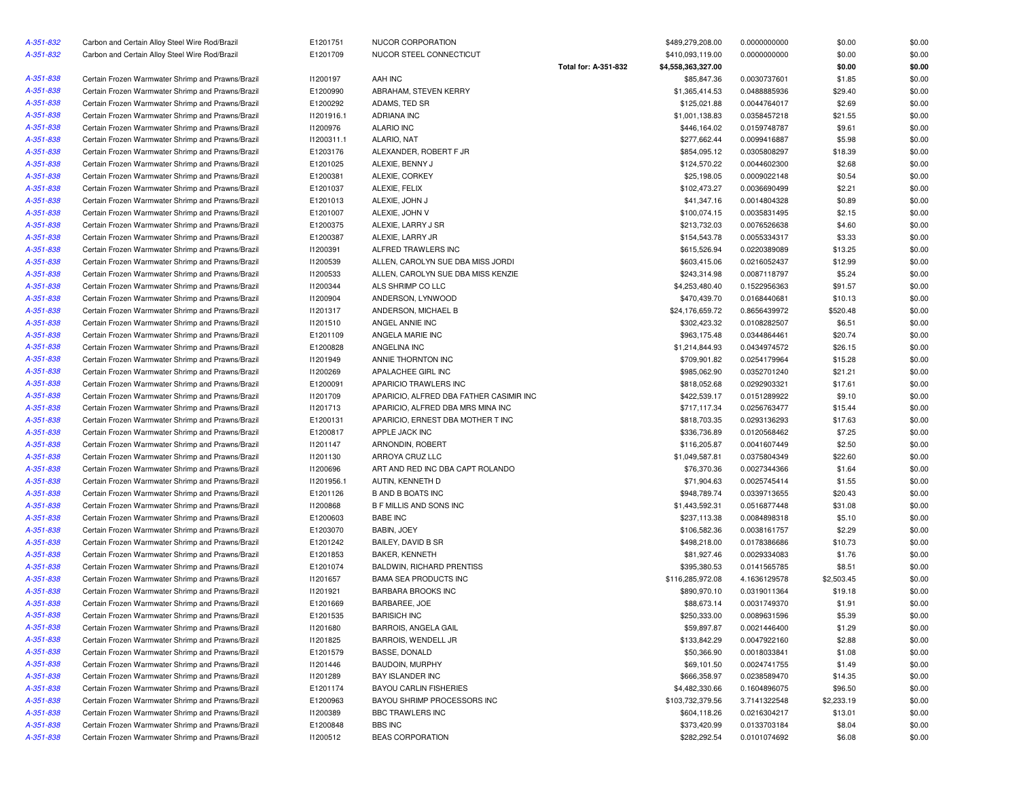| A-351-832 | Carbon and Certain Alloy Steel Wire Rod/Brazil    | E1201751   | NUCOR CORPORATION                       |                      | \$489,279,208.00   | 0.0000000000 | \$0.00     | \$0.00 |
|-----------|---------------------------------------------------|------------|-----------------------------------------|----------------------|--------------------|--------------|------------|--------|
| A-351-832 | Carbon and Certain Alloy Steel Wire Rod/Brazil    | E1201709   | NUCOR STEEL CONNECTICUT                 |                      | \$410,093,119.00   | 0.0000000000 | \$0.00     | \$0.00 |
|           |                                                   |            |                                         | Total for: A-351-832 | \$4,558,363,327.00 |              | \$0.00     | \$0.00 |
| A-351-838 | Certain Frozen Warmwater Shrimp and Prawns/Brazil | 11200197   | AAH INC                                 |                      | \$85,847.36        | 0.0030737601 | \$1.85     | \$0.00 |
| A-351-838 | Certain Frozen Warmwater Shrimp and Prawns/Brazil | E1200990   | ABRAHAM, STEVEN KERRY                   |                      | \$1,365,414.53     | 0.0488885936 | \$29.40    | \$0.00 |
| A-351-838 | Certain Frozen Warmwater Shrimp and Prawns/Brazil | E1200292   | ADAMS, TED SR                           |                      | \$125,021.88       | 0.0044764017 | \$2.69     | \$0.00 |
| A-351-838 | Certain Frozen Warmwater Shrimp and Prawns/Brazil | 11201916.1 | <b>ADRIANA INC</b>                      |                      | \$1,001,138.83     | 0.0358457218 | \$21.55    | \$0.00 |
| A-351-838 | Certain Frozen Warmwater Shrimp and Prawns/Brazil | 11200976   | <b>ALARIO INC</b>                       |                      | \$446,164.02       | 0.0159748787 | \$9.61     | \$0.00 |
| A-351-838 | Certain Frozen Warmwater Shrimp and Prawns/Brazil | 11200311.1 | ALARIO, NAT                             |                      | \$277,662.44       | 0.0099416887 | \$5.98     | \$0.00 |
| A-351-838 | Certain Frozen Warmwater Shrimp and Prawns/Brazil | E1203176   | ALEXANDER, ROBERT F JR                  |                      | \$854,095.12       | 0.0305808297 | \$18.39    | \$0.00 |
| A-351-838 | Certain Frozen Warmwater Shrimp and Prawns/Brazil | E1201025   | ALEXIE, BENNY J                         |                      | \$124,570.22       | 0.0044602300 | \$2.68     | \$0.00 |
| A-351-838 | Certain Frozen Warmwater Shrimp and Prawns/Brazil | E1200381   | ALEXIE, CORKEY                          |                      | \$25,198.05        | 0.0009022148 | \$0.54     | \$0.00 |
| A-351-838 | Certain Frozen Warmwater Shrimp and Prawns/Brazil | E1201037   | ALEXIE, FELIX                           |                      | \$102,473.27       | 0.0036690499 | \$2.21     | \$0.00 |
| A-351-838 | Certain Frozen Warmwater Shrimp and Prawns/Brazil | E1201013   | ALEXIE, JOHN J                          |                      | \$41,347.16        | 0.0014804328 | \$0.89     | \$0.00 |
| A-351-838 | Certain Frozen Warmwater Shrimp and Prawns/Brazil | E1201007   | ALEXIE, JOHN V                          |                      | \$100,074.15       | 0.0035831495 | \$2.15     | \$0.00 |
| A-351-838 | Certain Frozen Warmwater Shrimp and Prawns/Brazil | E1200375   | ALEXIE, LARRY J SR                      |                      | \$213,732.03       | 0.0076526638 | \$4.60     | \$0.00 |
| A-351-838 | Certain Frozen Warmwater Shrimp and Prawns/Brazil | E1200387   | ALEXIE, LARRY JR                        |                      | \$154,543.78       | 0.0055334317 | \$3.33     | \$0.00 |
| A-351-838 | Certain Frozen Warmwater Shrimp and Prawns/Brazil | 11200391   | ALFRED TRAWLERS INC                     |                      | \$615,526.94       | 0.0220389089 | \$13.25    | \$0.00 |
|           |                                                   |            |                                         |                      | \$603,415.06       |              |            | \$0.00 |
| A-351-838 | Certain Frozen Warmwater Shrimp and Prawns/Brazil | 11200539   | ALLEN, CAROLYN SUE DBA MISS JORDI       |                      |                    | 0.0216052437 | \$12.99    |        |
| A-351-838 | Certain Frozen Warmwater Shrimp and Prawns/Brazil | 11200533   | ALLEN, CAROLYN SUE DBA MISS KENZIE      |                      | \$243,314.98       | 0.0087118797 | \$5.24     | \$0.00 |
| A-351-838 | Certain Frozen Warmwater Shrimp and Prawns/Brazil | 11200344   | ALS SHRIMP CO LLC                       |                      | \$4,253,480.40     | 0.1522956363 | \$91.57    | \$0.00 |
| A-351-838 | Certain Frozen Warmwater Shrimp and Prawns/Brazil | 11200904   | ANDERSON, LYNWOOD                       |                      | \$470,439.70       | 0.0168440681 | \$10.13    | \$0.00 |
| A-351-838 | Certain Frozen Warmwater Shrimp and Prawns/Brazil | 11201317   | ANDERSON, MICHAEL B                     |                      | \$24,176,659.72    | 0.8656439972 | \$520.48   | \$0.00 |
| A-351-838 | Certain Frozen Warmwater Shrimp and Prawns/Brazil | 11201510   | ANGEL ANNIE INC                         |                      | \$302,423.32       | 0.0108282507 | \$6.51     | \$0.00 |
| A-351-838 | Certain Frozen Warmwater Shrimp and Prawns/Brazil | E1201109   | ANGELA MARIE INC                        |                      | \$963.175.48       | 0.0344864461 | \$20.74    | \$0.00 |
| A-351-838 | Certain Frozen Warmwater Shrimp and Prawns/Brazil | E1200828   | ANGELINA INC                            |                      | \$1,214,844.93     | 0.0434974572 | \$26.15    | \$0.00 |
| A-351-838 | Certain Frozen Warmwater Shrimp and Prawns/Brazil | 11201949   | ANNIE THORNTON INC                      |                      | \$709,901.82       | 0.0254179964 | \$15.28    | \$0.00 |
| A-351-838 | Certain Frozen Warmwater Shrimp and Prawns/Brazil | 11200269   | APALACHEE GIRL INC                      |                      | \$985,062.90       | 0.0352701240 | \$21.21    | \$0.00 |
| A-351-838 | Certain Frozen Warmwater Shrimp and Prawns/Brazil | E1200091   | APARICIO TRAWLERS INC                   |                      | \$818,052.68       | 0.0292903321 | \$17.61    | \$0.00 |
| A-351-838 | Certain Frozen Warmwater Shrimp and Prawns/Brazil | 11201709   | APARICIO, ALFRED DBA FATHER CASIMIR INC |                      | \$422,539.17       | 0.0151289922 | \$9.10     | \$0.00 |
| A-351-838 | Certain Frozen Warmwater Shrimp and Prawns/Brazil | 11201713   | APARICIO, ALFRED DBA MRS MINA INC       |                      | \$717,117.34       | 0.0256763477 | \$15.44    | \$0.00 |
| A-351-838 | Certain Frozen Warmwater Shrimp and Prawns/Brazil | E1200131   | APARICIO, ERNEST DBA MOTHER T INC       |                      | \$818,703.35       | 0.0293136293 | \$17.63    | \$0.00 |
| A-351-838 | Certain Frozen Warmwater Shrimp and Prawns/Brazil | E1200817   | APPLE JACK INC                          |                      | \$336,736.89       | 0.0120568462 | \$7.25     | \$0.00 |
| A-351-838 | Certain Frozen Warmwater Shrimp and Prawns/Brazil | 11201147   | ARNONDIN, ROBERT                        |                      | \$116,205.87       | 0.0041607449 | \$2.50     | \$0.00 |
| A-351-838 | Certain Frozen Warmwater Shrimp and Prawns/Brazil | 11201130   | ARROYA CRUZ LLC                         |                      | \$1,049,587.81     | 0.0375804349 | \$22.60    | \$0.00 |
| A-351-838 | Certain Frozen Warmwater Shrimp and Prawns/Brazil | 11200696   | ART AND RED INC DBA CAPT ROLANDO        |                      | \$76,370.36        | 0.0027344366 | \$1.64     | \$0.00 |
| A-351-838 | Certain Frozen Warmwater Shrimp and Prawns/Brazil | 11201956.1 | AUTIN, KENNETH D                        |                      | \$71,904.63        | 0.0025745414 | \$1.55     | \$0.00 |
| A-351-838 | Certain Frozen Warmwater Shrimp and Prawns/Brazil | E1201126   | <b>B AND B BOATS INC</b>                |                      | \$948,789.74       | 0.0339713655 | \$20.43    | \$0.00 |
| A-351-838 | Certain Frozen Warmwater Shrimp and Prawns/Brazil | 11200868   | <b>B F MILLIS AND SONS INC</b>          |                      | \$1,443,592.31     | 0.0516877448 | \$31.08    | \$0.00 |
| A-351-838 | Certain Frozen Warmwater Shrimp and Prawns/Brazil | E1200603   | <b>BABE INC</b>                         |                      | \$237,113.38       | 0.0084898318 | \$5.10     | \$0.00 |
| A-351-838 | Certain Frozen Warmwater Shrimp and Prawns/Brazil | E1203070   | BABIN, JOEY                             |                      | \$106,582.36       | 0.0038161757 | \$2.29     | \$0.00 |
| A-351-838 | Certain Frozen Warmwater Shrimp and Prawns/Brazil | E1201242   | BAILEY, DAVID B SR                      |                      | \$498,218.00       | 0.0178386686 | \$10.73    | \$0.00 |
| A-351-838 | Certain Frozen Warmwater Shrimp and Prawns/Brazil | E1201853   | BAKER, KENNETH                          |                      | \$81,927.46        | 0.0029334083 | \$1.76     | \$0.00 |
| A-351-838 | Certain Frozen Warmwater Shrimp and Prawns/Brazil | E1201074   | <b>BALDWIN, RICHARD PRENTISS</b>        |                      | \$395,380.53       | 0.0141565785 | \$8.51     | \$0.00 |
| A-351-838 | Certain Frozen Warmwater Shrimp and Prawns/Brazil | 11201657   | <b>BAMA SEA PRODUCTS INC</b>            |                      | \$116,285,972.08   | 4.1636129578 | \$2,503.45 | \$0.00 |
| A-351-838 | Certain Frozen Warmwater Shrimp and Prawns/Brazil | 11201921   | <b>BARBARA BROOKS INC</b>               |                      | \$890,970.10       | 0.0319011364 | \$19.18    | \$0.00 |
| A-351-838 | Certain Frozen Warmwater Shrimp and Prawns/Brazil | E1201669   | BARBAREE, JOE                           |                      | \$88,673.14        | 0.0031749370 | \$1.91     | \$0.00 |
| A-351-838 | Certain Frozen Warmwater Shrimp and Prawns/Brazil | E1201535   | <b>BARISICH INC</b>                     |                      | \$250,333.00       | 0.0089631596 | \$5.39     | \$0.00 |
| A-351-838 | Certain Frozen Warmwater Shrimp and Prawns/Brazil | 11201680   | <b>BARROIS, ANGELA GAIL</b>             |                      | \$59,897.87        | 0.0021446400 | \$1.29     | \$0.00 |
| A-351-838 | Certain Frozen Warmwater Shrimp and Prawns/Brazil | 11201825   | BARROIS, WENDELL JR                     |                      | \$133,842.29       | 0.0047922160 | \$2.88     | \$0.00 |
| A-351-838 | Certain Frozen Warmwater Shrimp and Prawns/Brazil | E1201579   | BASSE, DONALD                           |                      | \$50,366.90        | 0.0018033841 | \$1.08     | \$0.00 |
| A-351-838 |                                                   |            | BAUDOIN, MURPHY                         |                      |                    | 0.0024741755 |            |        |
|           | Certain Frozen Warmwater Shrimp and Prawns/Brazil | 11201446   |                                         |                      | \$69,101.50        |              | \$1.49     | \$0.00 |
| A-351-838 | Certain Frozen Warmwater Shrimp and Prawns/Brazil | 11201289   | <b>BAY ISLANDER INC</b>                 |                      | \$666,358.97       | 0.0238589470 | \$14.35    | \$0.00 |
| A-351-838 | Certain Frozen Warmwater Shrimp and Prawns/Brazil | E1201174   | <b>BAYOU CARLIN FISHERIES</b>           |                      | \$4,482,330.66     | 0.1604896075 | \$96.50    | \$0.00 |
| A-351-838 | Certain Frozen Warmwater Shrimp and Prawns/Brazil | E1200963   | BAYOU SHRIMP PROCESSORS INC             |                      | \$103,732,379.56   | 3.7141322548 | \$2,233.19 | \$0.00 |
| A-351-838 | Certain Frozen Warmwater Shrimp and Prawns/Brazil | 11200389   | <b>BBC TRAWLERS INC</b>                 |                      | \$604,118.26       | 0.0216304217 | \$13.01    | \$0.00 |
| A-351-838 | Certain Frozen Warmwater Shrimp and Prawns/Brazil | E1200848   | <b>BBS INC</b>                          |                      | \$373,420.99       | 0.0133703184 | \$8.04     | \$0.00 |
| A-351-838 | Certain Frozen Warmwater Shrimp and Prawns/Brazil | 11200512   | <b>BEAS CORPORATION</b>                 |                      | \$282,292.54       | 0.0101074692 | \$6.08     | \$0.00 |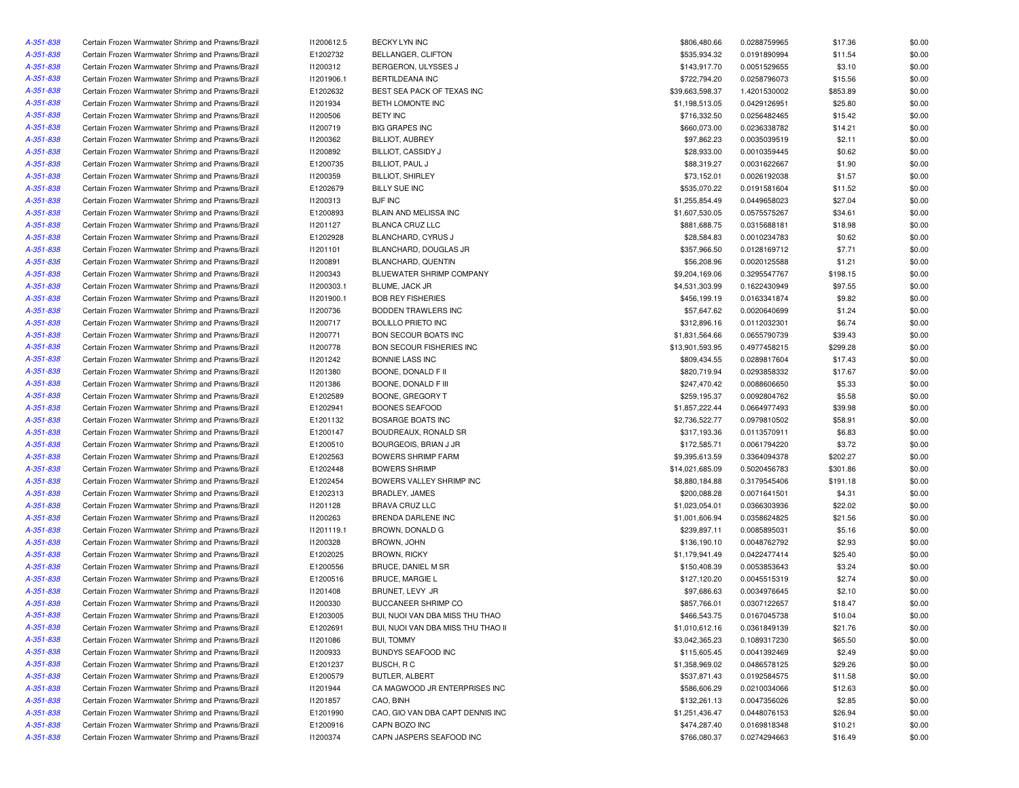| A-351-838 | Certain Frozen Warmwater Shrimp and Prawns/Brazil | 11200612.5 | BECKY LYN INC                      | \$806,480.66    | 0.0288759965 | \$17.36  | \$0.00 |
|-----------|---------------------------------------------------|------------|------------------------------------|-----------------|--------------|----------|--------|
| A-351-838 | Certain Frozen Warmwater Shrimp and Prawns/Brazil | E1202732   | BELLANGER, CLIFTON                 | \$535,934.32    | 0.0191890994 | \$11.54  | \$0.00 |
| A-351-838 | Certain Frozen Warmwater Shrimp and Prawns/Brazil | 11200312   | BERGERON, ULYSSES J                | \$143,917.70    | 0.0051529655 | \$3.10   | \$0.00 |
| A-351-838 | Certain Frozen Warmwater Shrimp and Prawns/Brazil | 11201906.1 | BERTILDEANA INC                    | \$722,794.20    | 0.0258796073 | \$15.56  | \$0.00 |
| A-351-838 | Certain Frozen Warmwater Shrimp and Prawns/Brazil | E1202632   | BEST SEA PACK OF TEXAS INC         | \$39,663,598.37 | 1.4201530002 | \$853.89 | \$0.00 |
| A-351-838 | Certain Frozen Warmwater Shrimp and Prawns/Brazil | 11201934   | BETH LOMONTE INC                   | \$1,198,513.05  | 0.0429126951 | \$25.80  | \$0.00 |
| A-351-838 | Certain Frozen Warmwater Shrimp and Prawns/Brazil | 11200506   | <b>BETY INC</b>                    | \$716,332.50    | 0.0256482465 | \$15.42  | \$0.00 |
| A-351-838 | Certain Frozen Warmwater Shrimp and Prawns/Brazil | 11200719   | <b>BIG GRAPES INC</b>              | \$660,073.00    | 0.0236338782 | \$14.21  | \$0.00 |
| A-351-838 | Certain Frozen Warmwater Shrimp and Prawns/Brazil | 11200362   | <b>BILLIOT, AUBREY</b>             | \$97,862.23     | 0.0035039519 | \$2.11   | \$0.00 |
| A-351-838 | Certain Frozen Warmwater Shrimp and Prawns/Brazil | 11200892   | <b>BILLIOT, CASSIDY J</b>          | \$28,933.00     | 0.0010359445 | \$0.62   | \$0.00 |
| A-351-838 | Certain Frozen Warmwater Shrimp and Prawns/Brazil | E1200735   | BILLIOT, PAUL J                    | \$88,319.27     | 0.0031622667 | \$1.90   | \$0.00 |
| A-351-838 | Certain Frozen Warmwater Shrimp and Prawns/Brazil | I1200359   | <b>BILLIOT, SHIRLEY</b>            | \$73,152.01     | 0.0026192038 | \$1.57   | \$0.00 |
| A-351-838 | Certain Frozen Warmwater Shrimp and Prawns/Brazil | E1202679   | <b>BILLY SUE INC</b>               | \$535,070.22    | 0.0191581604 | \$11.52  | \$0.00 |
| A-351-838 | Certain Frozen Warmwater Shrimp and Prawns/Brazil | 11200313   | <b>BJF INC</b>                     | \$1,255,854.49  | 0.0449658023 | \$27.04  | \$0.00 |
| A-351-838 | Certain Frozen Warmwater Shrimp and Prawns/Brazil | E1200893   | BLAIN AND MELISSA INC              | \$1,607,530.05  | 0.0575575267 | \$34.61  | \$0.00 |
| A-351-838 | Certain Frozen Warmwater Shrimp and Prawns/Brazil | I1201127   | BLANCA CRUZ LLC                    | \$881,688.75    | 0.0315688181 | \$18.98  | \$0.00 |
| A-351-838 | Certain Frozen Warmwater Shrimp and Prawns/Brazil | E1202928   | BLANCHARD, CYRUS J                 | \$28,584.83     | 0.0010234783 | \$0.62   | \$0.00 |
| A-351-838 | Certain Frozen Warmwater Shrimp and Prawns/Brazil | 11201101   | BLANCHARD, DOUGLAS JR              | \$357,966.50    | 0.0128169712 | \$7.71   | \$0.00 |
| A-351-838 | Certain Frozen Warmwater Shrimp and Prawns/Brazil | I1200891   | BLANCHARD, QUENTIN                 | \$56,208.96     | 0.0020125588 | \$1.21   | \$0.00 |
| A-351-838 |                                                   | 11200343   | BLUEWATER SHRIMP COMPANY           | \$9,204,169.06  |              | \$198.15 | \$0.00 |
|           | Certain Frozen Warmwater Shrimp and Prawns/Brazil |            |                                    |                 | 0.3295547767 |          |        |
| A-351-838 | Certain Frozen Warmwater Shrimp and Prawns/Brazil | 11200303.1 | BLUME, JACK JR                     | \$4,531,303.99  | 0.1622430949 | \$97.55  | \$0.00 |
| A-351-838 | Certain Frozen Warmwater Shrimp and Prawns/Brazil | 11201900.1 | <b>BOB REY FISHERIES</b>           | \$456,199.19    | 0.0163341874 | \$9.82   | \$0.00 |
| A-351-838 | Certain Frozen Warmwater Shrimp and Prawns/Brazil | 11200736   | BODDEN TRAWLERS INC                | \$57,647.62     | 0.0020640699 | \$1.24   | \$0.00 |
| A-351-838 | Certain Frozen Warmwater Shrimp and Prawns/Brazil | 11200717   | <b>BOLILLO PRIETO INC</b>          | \$312,896.16    | 0.0112032301 | \$6.74   | \$0.00 |
| A-351-838 | Certain Frozen Warmwater Shrimp and Prawns/Brazil | I1200771   | BON SECOUR BOATS INC               | \$1,831,564.66  | 0.0655790739 | \$39.43  | \$0.00 |
| A-351-838 | Certain Frozen Warmwater Shrimp and Prawns/Brazil | 11200778   | BON SECOUR FISHERIES INC           | \$13,901,593.95 | 0.4977458215 | \$299.28 | \$0.00 |
| A-351-838 | Certain Frozen Warmwater Shrimp and Prawns/Brazil | 11201242   | <b>BONNIE LASS INC</b>             | \$809,434.55    | 0.0289817604 | \$17.43  | \$0.00 |
| A-351-838 | Certain Frozen Warmwater Shrimp and Prawns/Brazil | 11201380   | BOONE, DONALD F II                 | \$820,719.94    | 0.0293858332 | \$17.67  | \$0.00 |
| A-351-838 | Certain Frozen Warmwater Shrimp and Prawns/Brazil | 11201386   | BOONE, DONALD F III                | \$247,470.42    | 0.0088606650 | \$5.33   | \$0.00 |
| A-351-838 | Certain Frozen Warmwater Shrimp and Prawns/Brazil | E1202589   | BOONE, GREGORY T                   | \$259,195.37    | 0.0092804762 | \$5.58   | \$0.00 |
| A-351-838 | Certain Frozen Warmwater Shrimp and Prawns/Brazil | E1202941   | <b>BOONES SEAFOOD</b>              | \$1,857,222.44  | 0.0664977493 | \$39.98  | \$0.00 |
| A-351-838 | Certain Frozen Warmwater Shrimp and Prawns/Brazil | E1201132   | <b>BOSARGE BOATS INC</b>           | \$2,736,522.77  | 0.0979810502 | \$58.91  | \$0.00 |
| A-351-838 | Certain Frozen Warmwater Shrimp and Prawns/Brazil | E1200147   | BOUDREAUX, RONALD SR               | \$317,193.36    | 0.0113570911 | \$6.83   | \$0.00 |
| A-351-838 | Certain Frozen Warmwater Shrimp and Prawns/Brazil | E1200510   | BOURGEOIS, BRIAN J JR              | \$172,585.71    | 0.0061794220 | \$3.72   | \$0.00 |
| A-351-838 | Certain Frozen Warmwater Shrimp and Prawns/Brazil | E1202563   | <b>BOWERS SHRIMP FARM</b>          | \$9,395,613.59  | 0.3364094378 | \$202.27 | \$0.00 |
| A-351-838 | Certain Frozen Warmwater Shrimp and Prawns/Brazil | E1202448   | <b>BOWERS SHRIMP</b>               | \$14,021,685.09 | 0.5020456783 | \$301.86 | \$0.00 |
| A-351-838 | Certain Frozen Warmwater Shrimp and Prawns/Brazil | E1202454   | BOWERS VALLEY SHRIMP INC           | \$8,880,184.88  | 0.3179545406 | \$191.18 | \$0.00 |
| A-351-838 | Certain Frozen Warmwater Shrimp and Prawns/Brazil | E1202313   | BRADLEY, JAMES                     | \$200,088.28    | 0.0071641501 | \$4.31   | \$0.00 |
| A-351-838 | Certain Frozen Warmwater Shrimp and Prawns/Brazil | 11201128   | <b>BRAVA CRUZ LLC</b>              | \$1,023,054.01  | 0.0366303936 | \$22.02  | \$0.00 |
| A-351-838 | Certain Frozen Warmwater Shrimp and Prawns/Brazil | 11200263   | BRENDA DARLENE INC                 | \$1,001,606.94  | 0.0358624825 | \$21.56  | \$0.00 |
| A-351-838 | Certain Frozen Warmwater Shrimp and Prawns/Brazil | 11201119.1 | BROWN, DONALD G                    | \$239,897.11    | 0.0085895031 | \$5.16   | \$0.00 |
| A-351-838 | Certain Frozen Warmwater Shrimp and Prawns/Brazil | 11200328   | BROWN, JOHN                        | \$136,190.10    | 0.0048762792 | \$2.93   | \$0.00 |
| A-351-838 | Certain Frozen Warmwater Shrimp and Prawns/Brazil | E1202025   | <b>BROWN, RICKY</b>                | \$1,179,941.49  | 0.0422477414 | \$25.40  | \$0.00 |
| A-351-838 | Certain Frozen Warmwater Shrimp and Prawns/Brazil | E1200556   | BRUCE, DANIEL M SR                 | \$150,408.39    | 0.0053853643 | \$3.24   | \$0.00 |
| A-351-838 | Certain Frozen Warmwater Shrimp and Prawns/Brazil | E1200516   | <b>BRUCE, MARGIE L</b>             | \$127,120.20    | 0.0045515319 | \$2.74   | \$0.00 |
| A-351-838 | Certain Frozen Warmwater Shrimp and Prawns/Brazil | 11201408   | BRUNET, LEVY JR                    | \$97,686.63     | 0.0034976645 | \$2.10   | \$0.00 |
| A-351-838 | Certain Frozen Warmwater Shrimp and Prawns/Brazil | 11200330   | <b>BUCCANEER SHRIMP CO</b>         | \$857,766.01    | 0.0307122657 | \$18.47  | \$0.00 |
| A-351-838 | Certain Frozen Warmwater Shrimp and Prawns/Brazil | E1203005   | BUI, NUOI VAN DBA MISS THU THAO    | \$466,543.75    | 0.0167045738 | \$10.04  | \$0.00 |
|           | Certain Frozen Warmwater Shrimp and Prawns/Brazil |            |                                    |                 |              |          |        |
| A-351-838 |                                                   | E1202691   | BUI, NUOI VAN DBA MISS THU THAO II | \$1,010,612.16  | 0.0361849139 | \$21.76  | \$0.00 |
| A-351-838 | Certain Frozen Warmwater Shrimp and Prawns/Brazil | 11201086   | <b>BUI, TOMMY</b>                  | \$3,042,365.23  | 0.1089317230 | \$65.50  | \$0.00 |
| A-351-838 | Certain Frozen Warmwater Shrimp and Prawns/Brazil | 11200933   | BUNDYS SEAFOOD INC                 | \$115,605.45    | 0.0041392469 | \$2.49   | \$0.00 |
| A-351-838 | Certain Frozen Warmwater Shrimp and Prawns/Brazil | E1201237   | BUSCH, RC                          | \$1,358,969.02  | 0.0486578125 | \$29.26  | \$0.00 |
| A-351-838 | Certain Frozen Warmwater Shrimp and Prawns/Brazil | E1200579   | BUTLER, ALBERT                     | \$537,871.43    | 0.0192584575 | \$11.58  | \$0.00 |
| A-351-838 | Certain Frozen Warmwater Shrimp and Prawns/Brazil | 11201944   | CA MAGWOOD JR ENTERPRISES INC      | \$586,606.29    | 0.0210034066 | \$12.63  | \$0.00 |
| A-351-838 | Certain Frozen Warmwater Shrimp and Prawns/Brazil | 11201857   | CAO, BINH                          | \$132,261.13    | 0.0047356026 | \$2.85   | \$0.00 |
| A-351-838 | Certain Frozen Warmwater Shrimp and Prawns/Brazil | E1201990   | CAO, GIO VAN DBA CAPT DENNIS INC   | \$1,251,436.47  | 0.0448076153 | \$26.94  | \$0.00 |
| A-351-838 | Certain Frozen Warmwater Shrimp and Prawns/Brazil | E1200916   | CAPN BOZO INC                      | \$474,287.40    | 0.0169818348 | \$10.21  | \$0.00 |
| A-351-838 | Certain Frozen Warmwater Shrimp and Prawns/Brazil | 11200374   | CAPN JASPERS SEAFOOD INC           | \$766,080.37    | 0.0274294663 | \$16.49  | \$0.00 |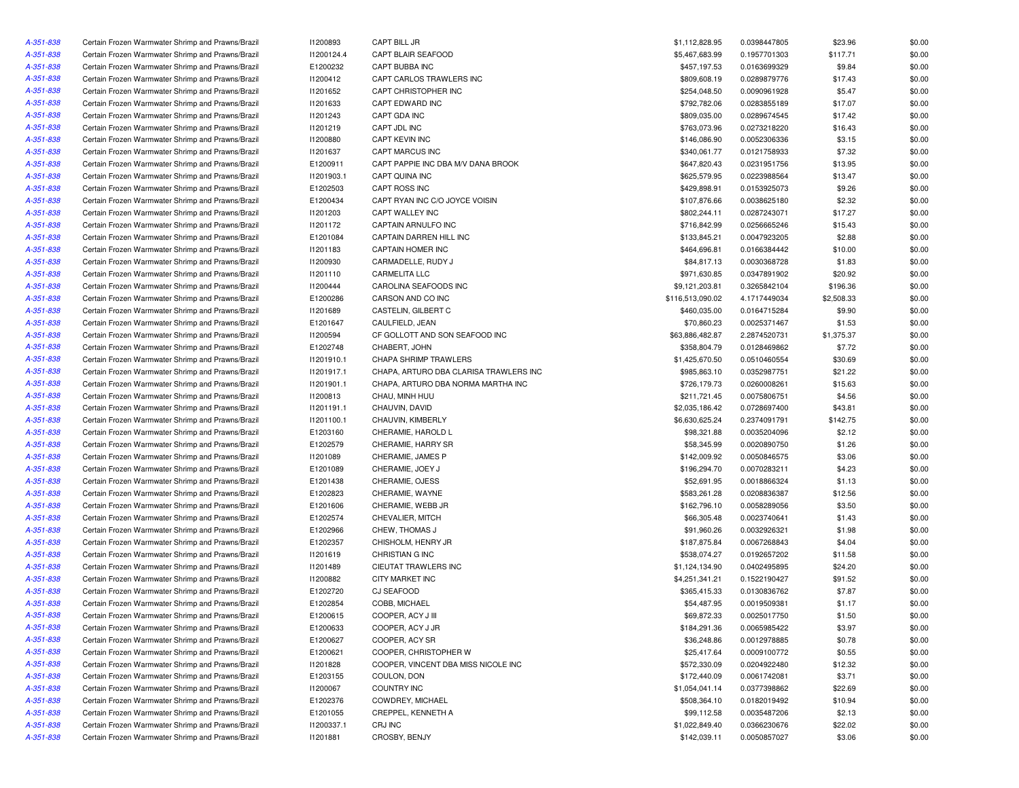| A-351-838 | Certain Frozen Warmwater Shrimp and Prawns/Brazil                                                      | 11200893                 | CAPT BILL JR                           | \$1,112,828.95   | 0.0398447805 | \$23.96             | \$0.00 |
|-----------|--------------------------------------------------------------------------------------------------------|--------------------------|----------------------------------------|------------------|--------------|---------------------|--------|
| A-351-838 | Certain Frozen Warmwater Shrimp and Prawns/Brazil                                                      | 11200124.4               | CAPT BLAIR SEAFOOD                     | \$5,467,683.99   | 0.1957701303 | \$117.71            | \$0.00 |
| A-351-838 | Certain Frozen Warmwater Shrimp and Prawns/Brazil                                                      | E1200232                 | CAPT BUBBA INC                         | \$457,197.53     | 0.0163699329 | \$9.84              | \$0.00 |
| A-351-838 | Certain Frozen Warmwater Shrimp and Prawns/Brazil                                                      | 11200412                 | CAPT CARLOS TRAWLERS INC               | \$809,608.19     | 0.0289879776 | \$17.43             | \$0.00 |
| A-351-838 | Certain Frozen Warmwater Shrimp and Prawns/Brazil                                                      | 11201652                 | CAPT CHRISTOPHER INC                   | \$254,048.50     | 0.0090961928 | \$5.47              | \$0.00 |
| A-351-838 | Certain Frozen Warmwater Shrimp and Prawns/Brazil                                                      | 11201633                 | CAPT EDWARD INC                        | \$792,782.06     | 0.0283855189 | \$17.07             | \$0.00 |
| A-351-838 | Certain Frozen Warmwater Shrimp and Prawns/Brazil                                                      | 11201243                 | CAPT GDA INC                           | \$809,035.00     | 0.0289674545 | \$17.42             | \$0.00 |
| A-351-838 | Certain Frozen Warmwater Shrimp and Prawns/Brazil                                                      | 11201219                 | CAPT JDL INC                           | \$763,073.96     | 0.0273218220 | \$16.43             | \$0.00 |
| A-351-838 | Certain Frozen Warmwater Shrimp and Prawns/Brazil                                                      | 11200880                 | CAPT KEVIN INC                         | \$146,086.90     | 0.0052306336 | \$3.15              | \$0.00 |
| A-351-838 | Certain Frozen Warmwater Shrimp and Prawns/Brazil                                                      | I1201637                 | CAPT MARCUS INC                        | \$340,061.77     | 0.0121758933 | \$7.32              | \$0.00 |
| A-351-838 | Certain Frozen Warmwater Shrimp and Prawns/Brazil                                                      | E1200911                 | CAPT PAPPIE INC DBA M/V DANA BROOK     | \$647,820.43     | 0.0231951756 | \$13.95             | \$0.00 |
| A-351-838 | Certain Frozen Warmwater Shrimp and Prawns/Brazil                                                      | 11201903.1               | CAPT QUINA INC                         | \$625,579.95     | 0.0223988564 | \$13.47             | \$0.00 |
| A-351-838 | Certain Frozen Warmwater Shrimp and Prawns/Brazil                                                      | E1202503                 | CAPT ROSS INC                          | \$429,898.91     | 0.0153925073 | \$9.26              | \$0.00 |
| A-351-838 | Certain Frozen Warmwater Shrimp and Prawns/Brazil                                                      | E1200434                 | CAPT RYAN INC C/O JOYCE VOISIN         | \$107,876.66     | 0.0038625180 | \$2.32              | \$0.00 |
| A-351-838 | Certain Frozen Warmwater Shrimp and Prawns/Brazil                                                      | 11201203                 | CAPT WALLEY INC                        | \$802,244.11     | 0.0287243071 | \$17.27             | \$0.00 |
| A-351-838 | Certain Frozen Warmwater Shrimp and Prawns/Brazil                                                      | 11201172                 | CAPTAIN ARNULFO INC                    | \$716,842.99     | 0.0256665246 | \$15.43             | \$0.00 |
| A-351-838 | Certain Frozen Warmwater Shrimp and Prawns/Brazil                                                      | E1201084                 | CAPTAIN DARREN HILL INC                | \$133,845.21     | 0.0047923205 | \$2.88              | \$0.00 |
| A-351-838 | Certain Frozen Warmwater Shrimp and Prawns/Brazil                                                      | 11201183                 | CAPTAIN HOMER INC                      | \$464,696.81     | 0.0166384442 | \$10.00             | \$0.00 |
| A-351-838 | Certain Frozen Warmwater Shrimp and Prawns/Brazil                                                      | 11200930                 | CARMADELLE, RUDY J                     | \$84,817.13      | 0.0030368728 | \$1.83              | \$0.00 |
| A-351-838 | Certain Frozen Warmwater Shrimp and Prawns/Brazil                                                      | 11201110                 | <b>CARMELITA LLC</b>                   | \$971,630.85     | 0.0347891902 | \$20.92             | \$0.00 |
| A-351-838 | Certain Frozen Warmwater Shrimp and Prawns/Brazil                                                      | 11200444                 | CAROLINA SEAFOODS INC                  | \$9,121,203.81   | 0.3265842104 | \$196.36            | \$0.00 |
| A-351-838 | Certain Frozen Warmwater Shrimp and Prawns/Brazil                                                      | E1200286                 | CARSON AND CO INC                      | \$116,513,090.02 | 4.1717449034 | \$2,508.33          | \$0.00 |
| A-351-838 | Certain Frozen Warmwater Shrimp and Prawns/Brazil                                                      | 11201689                 | CASTELIN, GILBERT C                    | \$460,035.00     | 0.0164715284 | \$9.90              | \$0.00 |
| A-351-838 | Certain Frozen Warmwater Shrimp and Prawns/Brazil                                                      | E1201647                 | CAULFIELD, JEAN                        | \$70,860.23      | 0.0025371467 | \$1.53              | \$0.00 |
| A-351-838 | Certain Frozen Warmwater Shrimp and Prawns/Brazil                                                      | 11200594                 | CF GOLLOTT AND SON SEAFOOD INC         | \$63,886,482.87  | 2.2874520731 | \$1,375.37          | \$0.00 |
| A-351-838 | Certain Frozen Warmwater Shrimp and Prawns/Brazil                                                      | E1202748                 | CHABERT, JOHN                          | \$358,804.79     | 0.0128469862 | \$7.72              | \$0.00 |
| A-351-838 | Certain Frozen Warmwater Shrimp and Prawns/Brazil                                                      | 11201910.1               | <b>CHAPA SHRIMP TRAWLERS</b>           | \$1,425,670.50   | 0.0510460554 | \$30.69             | \$0.00 |
| A-351-838 | Certain Frozen Warmwater Shrimp and Prawns/Brazil                                                      | 11201917.1               | CHAPA, ARTURO DBA CLARISA TRAWLERS INC | \$985,863.10     | 0.0352987751 | \$21.22             | \$0.00 |
| A-351-838 | Certain Frozen Warmwater Shrimp and Prawns/Brazil                                                      | 11201901.1               | CHAPA, ARTURO DBA NORMA MARTHA INC     | \$726,179.73     | 0.0260008261 | \$15.63             | \$0.00 |
| A-351-838 |                                                                                                        |                          | CHAU, MINH HUU                         |                  |              | \$4.56              | \$0.00 |
|           | Certain Frozen Warmwater Shrimp and Prawns/Brazil<br>Certain Frozen Warmwater Shrimp and Prawns/Brazil | 11200813                 | CHAUVIN, DAVID                         | \$211,721.45     | 0.0075806751 |                     | \$0.00 |
| A-351-838 | Certain Frozen Warmwater Shrimp and Prawns/Brazil                                                      | 11201191.1<br>11201100.1 | CHAUVIN, KIMBERLY                      | \$2,035,186.42   | 0.0728697400 | \$43.81<br>\$142.75 |        |
| A-351-838 |                                                                                                        |                          |                                        | \$6,630,625.24   | 0.2374091791 |                     | \$0.00 |
| A-351-838 | Certain Frozen Warmwater Shrimp and Prawns/Brazil                                                      | E1203160                 | CHERAMIE, HAROLD L                     | \$98,321.88      | 0.0035204096 | \$2.12              | \$0.00 |
| A-351-838 | Certain Frozen Warmwater Shrimp and Prawns/Brazil                                                      | E1202579                 | CHERAMIE, HARRY SR                     | \$58,345.99      | 0.0020890750 | \$1.26              | \$0.00 |
| A-351-838 | Certain Frozen Warmwater Shrimp and Prawns/Brazil                                                      | 11201089                 | CHERAMIE, JAMES P                      | \$142,009.92     | 0.0050846575 | \$3.06              | \$0.00 |
| A-351-838 | Certain Frozen Warmwater Shrimp and Prawns/Brazil                                                      | E1201089                 | CHERAMIE, JOEY J                       | \$196,294.70     | 0.0070283211 | \$4.23              | \$0.00 |
| A-351-838 | Certain Frozen Warmwater Shrimp and Prawns/Brazil                                                      | E1201438                 | CHERAMIE, OJESS                        | \$52,691.95      | 0.0018866324 | \$1.13              | \$0.00 |
| A-351-838 | Certain Frozen Warmwater Shrimp and Prawns/Brazil                                                      | E1202823                 | CHERAMIE, WAYNE                        | \$583,261.28     | 0.0208836387 | \$12.56             | \$0.00 |
| A-351-838 | Certain Frozen Warmwater Shrimp and Prawns/Brazil                                                      | E1201606                 | CHERAMIE, WEBB JR                      | \$162,796.10     | 0.0058289056 | \$3.50              | \$0.00 |
| A-351-838 | Certain Frozen Warmwater Shrimp and Prawns/Brazil                                                      | E1202574                 | CHEVALIER, MITCH                       | \$66,305.48      | 0.0023740641 | \$1.43              | \$0.00 |
| A-351-838 | Certain Frozen Warmwater Shrimp and Prawns/Brazil                                                      | E1202966                 | CHEW, THOMAS J                         | \$91,960.26      | 0.0032926321 | \$1.98              | \$0.00 |
| A-351-838 | Certain Frozen Warmwater Shrimp and Prawns/Brazil                                                      | E1202357                 | CHISHOLM, HENRY JR                     | \$187,875.84     | 0.0067268843 | \$4.04              | \$0.00 |
| A-351-838 | Certain Frozen Warmwater Shrimp and Prawns/Brazil                                                      | 11201619                 | CHRISTIAN G INC                        | \$538,074.27     | 0.0192657202 | \$11.58             | \$0.00 |
| A-351-838 | Certain Frozen Warmwater Shrimp and Prawns/Brazil                                                      | 11201489                 | CIEUTAT TRAWLERS INC                   | \$1,124,134.90   | 0.0402495895 | \$24.20             | \$0.00 |
| A-351-838 | Certain Frozen Warmwater Shrimp and Prawns/Brazil                                                      | 11200882                 | <b>CITY MARKET INC</b>                 | \$4,251,341.21   | 0.1522190427 | \$91.52             | \$0.00 |
| A-351-838 | Certain Frozen Warmwater Shrimp and Prawns/Brazil                                                      | E1202720                 | CJ SEAFOOD                             | \$365,415.33     | 0.0130836762 | \$7.87              | \$0.00 |
| A-351-838 | Certain Frozen Warmwater Shrimp and Prawns/Brazil                                                      | E1202854                 | COBB, MICHAEL                          | \$54,487.95      | 0.0019509381 | \$1.17              | \$0.00 |
| A-351-838 | Certain Frozen Warmwater Shrimp and Prawns/Brazil                                                      | E1200615                 | COOPER, ACY J III                      | \$69,872.33      | 0.0025017750 | \$1.50              | \$0.00 |
| A-351-838 | Certain Frozen Warmwater Shrimp and Prawns/Brazil                                                      | E1200633                 | COOPER, ACY J JR                       | \$184,291.36     | 0.0065985422 | \$3.97              | \$0.00 |
| A-351-838 | Certain Frozen Warmwater Shrimp and Prawns/Brazil                                                      | E1200627                 | COOPER, ACY SR                         | \$36,248.86      | 0.0012978885 | \$0.78              | \$0.00 |
| A-351-838 | Certain Frozen Warmwater Shrimp and Prawns/Brazil                                                      | E1200621                 | COOPER, CHRISTOPHER W                  | \$25,417.64      | 0.0009100772 | \$0.55              | \$0.00 |
| A-351-838 | Certain Frozen Warmwater Shrimp and Prawns/Brazil                                                      | 11201828                 | COOPER, VINCENT DBA MISS NICOLE INC    | \$572,330.09     | 0.0204922480 | \$12.32             | \$0.00 |
| A-351-838 | Certain Frozen Warmwater Shrimp and Prawns/Brazil                                                      | E1203155                 | COULON, DON                            | \$172,440.09     | 0.0061742081 | \$3.71              | \$0.00 |
| A-351-838 | Certain Frozen Warmwater Shrimp and Prawns/Brazil                                                      | I1200067                 | <b>COUNTRY INC</b>                     | \$1,054,041.14   | 0.0377398862 | \$22.69             | \$0.00 |
| A-351-838 | Certain Frozen Warmwater Shrimp and Prawns/Brazil                                                      | E1202376                 | COWDREY, MICHAEL                       | \$508,364.10     | 0.0182019492 | \$10.94             | \$0.00 |
| A-351-838 | Certain Frozen Warmwater Shrimp and Prawns/Brazil                                                      | E1201055                 | CREPPEL, KENNETH A                     | \$99,112.58      | 0.0035487206 | \$2.13              | \$0.00 |
| A-351-838 | Certain Frozen Warmwater Shrimp and Prawns/Brazil                                                      | 11200337.1               | CRJ INC                                | \$1,022,849.40   | 0.0366230676 | \$22.02             | \$0.00 |
| A-351-838 | Certain Frozen Warmwater Shrimp and Prawns/Brazil                                                      | 11201881                 | CROSBY, BENJY                          | \$142,039.11     | 0.0050857027 | \$3.06              | \$0.00 |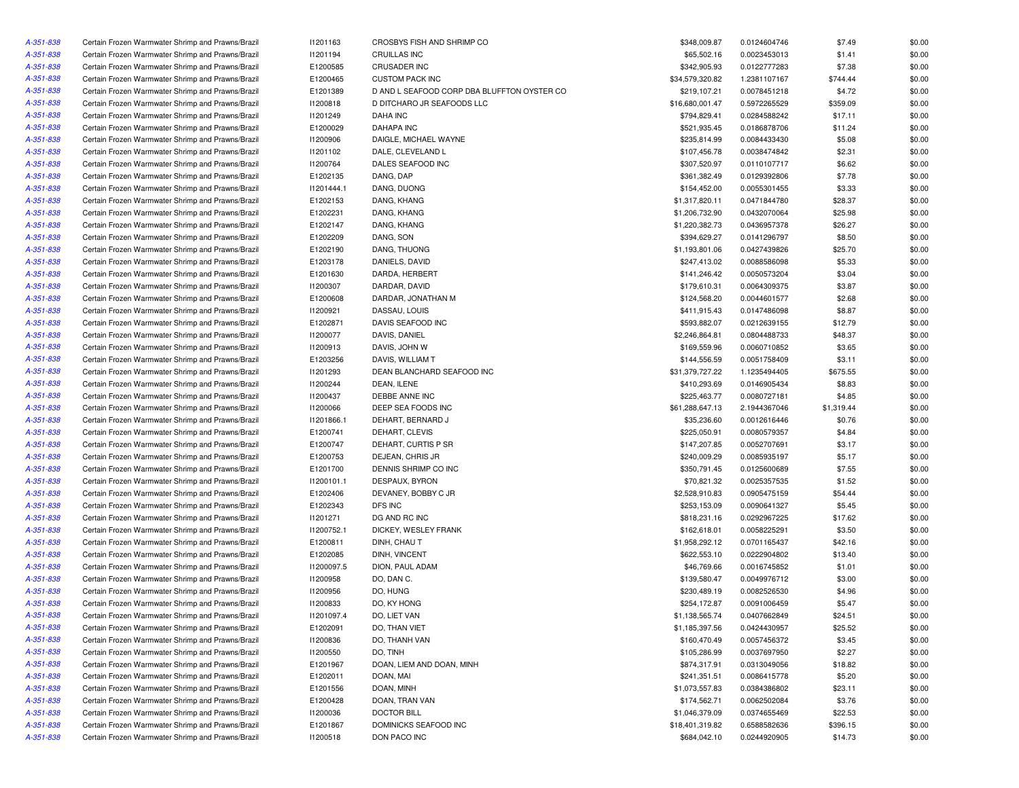| A-351-838 | Certain Frozen Warmwater Shrimp and Prawns/Brazil | 11201163        | CROSBYS FISH AND SHRIMP CO                  | \$348,009.87    | 0.0124604746                 | \$7.49     | \$0.00 |
|-----------|---------------------------------------------------|-----------------|---------------------------------------------|-----------------|------------------------------|------------|--------|
| A-351-838 | Certain Frozen Warmwater Shrimp and Prawns/Brazil | 11201194        | <b>CRUILLAS INC</b>                         | \$65,502.16     | 0.0023453013                 | \$1.41     | \$0.00 |
| A-351-838 | Certain Frozen Warmwater Shrimp and Prawns/Brazil | E1200585        | <b>CRUSADER INC</b>                         | \$342,905.93    | 0.0122777283                 | \$7.38     | \$0.00 |
| A-351-838 | Certain Frozen Warmwater Shrimp and Prawns/Brazil | E1200465        | <b>CUSTOM PACK INC</b>                      | \$34,579,320.82 | 1.2381107167                 | \$744.44   | \$0.00 |
| A-351-838 | Certain Frozen Warmwater Shrimp and Prawns/Brazil | E1201389        | D AND L SEAFOOD CORP DBA BLUFFTON OYSTER CO | \$219,107.21    | 0.0078451218                 | \$4.72     | \$0.00 |
| A-351-838 | Certain Frozen Warmwater Shrimp and Prawns/Brazil | 11200818        | D DITCHARO JR SEAFOODS LLC                  | \$16,680,001.47 | 0.5972265529                 | \$359.09   | \$0.00 |
| A-351-838 | Certain Frozen Warmwater Shrimp and Prawns/Brazil | 11201249        | <b>DAHA INC</b>                             | \$794,829.41    | 0.0284588242                 | \$17.11    | \$0.00 |
| A-351-838 | Certain Frozen Warmwater Shrimp and Prawns/Brazil | E1200029        | <b>DAHAPA INC</b>                           | \$521,935.45    | 0.0186878706                 | \$11.24    | \$0.00 |
| A-351-838 | Certain Frozen Warmwater Shrimp and Prawns/Brazil | 11200906        | DAIGLE, MICHAEL WAYNE                       | \$235,814.99    | 0.0084433430                 | \$5.08     | \$0.00 |
| A-351-838 | Certain Frozen Warmwater Shrimp and Prawns/Brazil | 11201102        | DALE, CLEVELAND L                           | \$107,456.78    | 0.0038474842                 | \$2.31     | \$0.00 |
| A-351-838 | Certain Frozen Warmwater Shrimp and Prawns/Brazil | 11200764        | DALES SEAFOOD INC                           | \$307,520.97    | 0.0110107717                 | \$6.62     | \$0.00 |
| A-351-838 | Certain Frozen Warmwater Shrimp and Prawns/Brazil | E1202135        | DANG, DAP                                   | \$361,382.49    | 0.0129392806                 | \$7.78     | \$0.00 |
| A-351-838 | Certain Frozen Warmwater Shrimp and Prawns/Brazil | 11201444.1      | DANG, DUONG                                 | \$154,452.00    | 0.0055301455                 | \$3.33     | \$0.00 |
| A-351-838 | Certain Frozen Warmwater Shrimp and Prawns/Brazil | E1202153        | DANG, KHANG                                 | \$1,317,820.11  | 0.0471844780                 | \$28.37    | \$0.00 |
| A-351-838 | Certain Frozen Warmwater Shrimp and Prawns/Brazil | E1202231        | DANG, KHANG                                 | \$1,206,732.90  | 0.0432070064                 | \$25.98    | \$0.00 |
| A-351-838 | Certain Frozen Warmwater Shrimp and Prawns/Brazil | E1202147        | DANG, KHANG                                 | \$1,220,382.73  | 0.0436957378                 | \$26.27    | \$0.00 |
| A-351-838 | Certain Frozen Warmwater Shrimp and Prawns/Brazil | E1202209        | DANG, SON                                   | \$394,629.27    | 0.0141296797                 | \$8.50     | \$0.00 |
| A-351-838 | Certain Frozen Warmwater Shrimp and Prawns/Brazil | E1202190        | DANG, THUONG                                | \$1,193,801.06  | 0.0427439826                 | \$25.70    | \$0.00 |
| A-351-838 | Certain Frozen Warmwater Shrimp and Prawns/Brazil | E1203178        | DANIELS, DAVID                              | \$247,413.02    | 0.0088586098                 | \$5.33     | \$0.00 |
| A-351-838 | Certain Frozen Warmwater Shrimp and Prawns/Brazil | E1201630        | DARDA, HERBERT                              | \$141,246.42    | 0.0050573204                 | \$3.04     | \$0.00 |
| A-351-838 | Certain Frozen Warmwater Shrimp and Prawns/Brazil | I1200307        | DARDAR, DAVID                               | \$179,610.31    | 0.0064309375                 | \$3.87     | \$0.00 |
| A-351-838 | Certain Frozen Warmwater Shrimp and Prawns/Brazil | E1200608        | DARDAR, JONATHAN M                          | \$124,568.20    | 0.0044601577                 | \$2.68     | \$0.00 |
| A-351-838 | Certain Frozen Warmwater Shrimp and Prawns/Brazil | 11200921        | DASSAU, LOUIS                               | \$411,915.43    | 0.0147486098                 | \$8.87     | \$0.00 |
| A-351-838 | Certain Frozen Warmwater Shrimp and Prawns/Brazil | E1202871        | DAVIS SEAFOOD INC                           | \$593,882.07    | 0.0212639155                 | \$12.79    | \$0.00 |
| A-351-838 | Certain Frozen Warmwater Shrimp and Prawns/Brazil | I1200077        | DAVIS, DANIEL                               | \$2,246,864.81  | 0.0804488733                 | \$48.37    | \$0.00 |
| A-351-838 | Certain Frozen Warmwater Shrimp and Prawns/Brazil | 11200913        | DAVIS, JOHN W                               | \$169,559.96    | 0.0060710852                 | \$3.65     | \$0.00 |
| A-351-838 | Certain Frozen Warmwater Shrimp and Prawns/Brazil | E1203256        | DAVIS, WILLIAM T                            | \$144,556.59    |                              | \$3.11     | \$0.00 |
| A-351-838 | Certain Frozen Warmwater Shrimp and Prawns/Brazil | <b>I1201293</b> | DEAN BLANCHARD SEAFOOD INC                  | \$31,379,727.22 | 0.0051758409<br>1.1235494405 | \$675.55   | \$0.00 |
|           | Certain Frozen Warmwater Shrimp and Prawns/Brazil | 11200244        | DEAN, ILENE                                 | \$410,293.69    | 0.0146905434                 | \$8.83     | \$0.00 |
| A-351-838 |                                                   |                 | <b>DEBBE ANNE INC</b>                       |                 |                              |            |        |
| A-351-838 | Certain Frozen Warmwater Shrimp and Prawns/Brazil | I1200437        |                                             | \$225,463.77    | 0.0080727181                 | \$4.85     | \$0.00 |
| A-351-838 | Certain Frozen Warmwater Shrimp and Prawns/Brazil | 11200066        | DEEP SEA FOODS INC                          | \$61,288,647.13 | 2.1944367046                 | \$1,319.44 | \$0.00 |
| A-351-838 | Certain Frozen Warmwater Shrimp and Prawns/Brazil | 11201866.1      | DEHART, BERNARD J                           | \$35,236.60     | 0.0012616446                 | \$0.76     | \$0.00 |
| A-351-838 | Certain Frozen Warmwater Shrimp and Prawns/Brazil | E1200741        | DEHART, CLEVIS                              | \$225,050.91    | 0.0080579357                 | \$4.84     | \$0.00 |
| A-351-838 | Certain Frozen Warmwater Shrimp and Prawns/Brazil | E1200747        | DEHART, CURTIS P SR                         | \$147,207.85    | 0.0052707691                 | \$3.17     | \$0.00 |
| A-351-838 | Certain Frozen Warmwater Shrimp and Prawns/Brazil | E1200753        | DEJEAN, CHRIS JR                            | \$240,009.29    | 0.0085935197                 | \$5.17     | \$0.00 |
| A-351-838 | Certain Frozen Warmwater Shrimp and Prawns/Brazil | E1201700        | DENNIS SHRIMP CO INC                        | \$350,791.45    | 0.0125600689                 | \$7.55     | \$0.00 |
| A-351-838 | Certain Frozen Warmwater Shrimp and Prawns/Brazil | 11200101.1      | DESPAUX, BYRON                              | \$70,821.32     | 0.0025357535                 | \$1.52     | \$0.00 |
| A-351-838 | Certain Frozen Warmwater Shrimp and Prawns/Brazil | E1202406        | DEVANEY, BOBBY C JR                         | \$2,528,910.83  | 0.0905475159                 | \$54.44    | \$0.00 |
| A-351-838 | Certain Frozen Warmwater Shrimp and Prawns/Brazil | E1202343        | DFS INC                                     | \$253,153.09    | 0.0090641327                 | \$5.45     | \$0.00 |
| A-351-838 | Certain Frozen Warmwater Shrimp and Prawns/Brazil | 11201271        | DG AND RC INC                               | \$818,231.16    | 0.0292967225                 | \$17.62    | \$0.00 |
| A-351-838 | Certain Frozen Warmwater Shrimp and Prawns/Brazil | 11200752.1      | DICKEY, WESLEY FRANK                        | \$162,618.01    | 0.0058225291                 | \$3.50     | \$0.00 |
| A-351-838 | Certain Frozen Warmwater Shrimp and Prawns/Brazil | E1200811        | DINH, CHAU T                                | \$1,958,292.12  | 0.0701165437                 | \$42.16    | \$0.00 |
| A-351-838 | Certain Frozen Warmwater Shrimp and Prawns/Brazil | E1202085        | DINH, VINCENT                               | \$622,553.10    | 0.0222904802                 | \$13.40    | \$0.00 |
| A-351-838 | Certain Frozen Warmwater Shrimp and Prawns/Brazil | I1200097.5      | DION, PAUL ADAM                             | \$46,769.66     | 0.0016745852                 | \$1.01     | \$0.00 |
| A-351-838 | Certain Frozen Warmwater Shrimp and Prawns/Brazil | 11200958        | DO, DAN C.                                  | \$139,580.47    | 0.0049976712                 | \$3.00     | \$0.00 |
| A-351-838 | Certain Frozen Warmwater Shrimp and Prawns/Brazil | <b>I1200956</b> | DO, HUNG                                    | \$230,489.19    | 0.0082526530                 | \$4.96     | \$0.00 |
| A-351-838 | Certain Frozen Warmwater Shrimp and Prawns/Brazil | 11200833        | DO, KY HONG                                 | \$254,172.87    | 0.0091006459                 | \$5.47     | \$0.00 |
| A-351-838 | Certain Frozen Warmwater Shrimp and Prawns/Brazil | 11201097.4      | DO, LIET VAN                                | \$1,138,565.74  | 0.0407662849                 | \$24.51    | \$0.00 |
| A-351-838 | Certain Frozen Warmwater Shrimp and Prawns/Brazil | E1202091        | DO, THAN VIET                               | \$1,185,397.56  | 0.0424430957                 | \$25.52    | \$0.00 |
| A-351-838 | Certain Frozen Warmwater Shrimp and Prawns/Brazil | 11200836        | DO, THANH VAN                               | \$160,470.49    | 0.0057456372                 | \$3.45     | \$0.00 |
| A-351-838 | Certain Frozen Warmwater Shrimp and Prawns/Brazil | 11200550        | DO, TINH                                    | \$105,286.99    | 0.0037697950                 | \$2.27     | \$0.00 |
| A-351-838 | Certain Frozen Warmwater Shrimp and Prawns/Brazil | E1201967        | DOAN, LIEM AND DOAN, MINH                   | \$874,317.91    | 0.0313049056                 | \$18.82    | \$0.00 |
| A-351-838 | Certain Frozen Warmwater Shrimp and Prawns/Brazil | E1202011        | DOAN, MAI                                   | \$241,351.51    | 0.0086415778                 | \$5.20     | \$0.00 |
| A-351-838 | Certain Frozen Warmwater Shrimp and Prawns/Brazil | E1201556        | DOAN, MINH                                  | \$1,073,557.83  | 0.0384386802                 | \$23.11    | \$0.00 |
| A-351-838 | Certain Frozen Warmwater Shrimp and Prawns/Brazil | E1200428        | DOAN, TRAN VAN                              | \$174,562.71    | 0.0062502084                 | \$3.76     | \$0.00 |
| A-351-838 | Certain Frozen Warmwater Shrimp and Prawns/Brazil | 11200036        | <b>DOCTOR BILL</b>                          | \$1,046,379.09  | 0.0374655469                 | \$22.53    | \$0.00 |
| A-351-838 | Certain Frozen Warmwater Shrimp and Prawns/Brazil | E1201867        | DOMINICKS SEAFOOD INC                       | \$18,401,319.82 | 0.6588582636                 | \$396.15   | \$0.00 |
| A-351-838 | Certain Frozen Warmwater Shrimp and Prawns/Brazil | 11200518        | DON PACO INC                                | \$684,042.10    | 0.0244920905                 | \$14.73    | \$0.00 |
|           |                                                   |                 |                                             |                 |                              |            |        |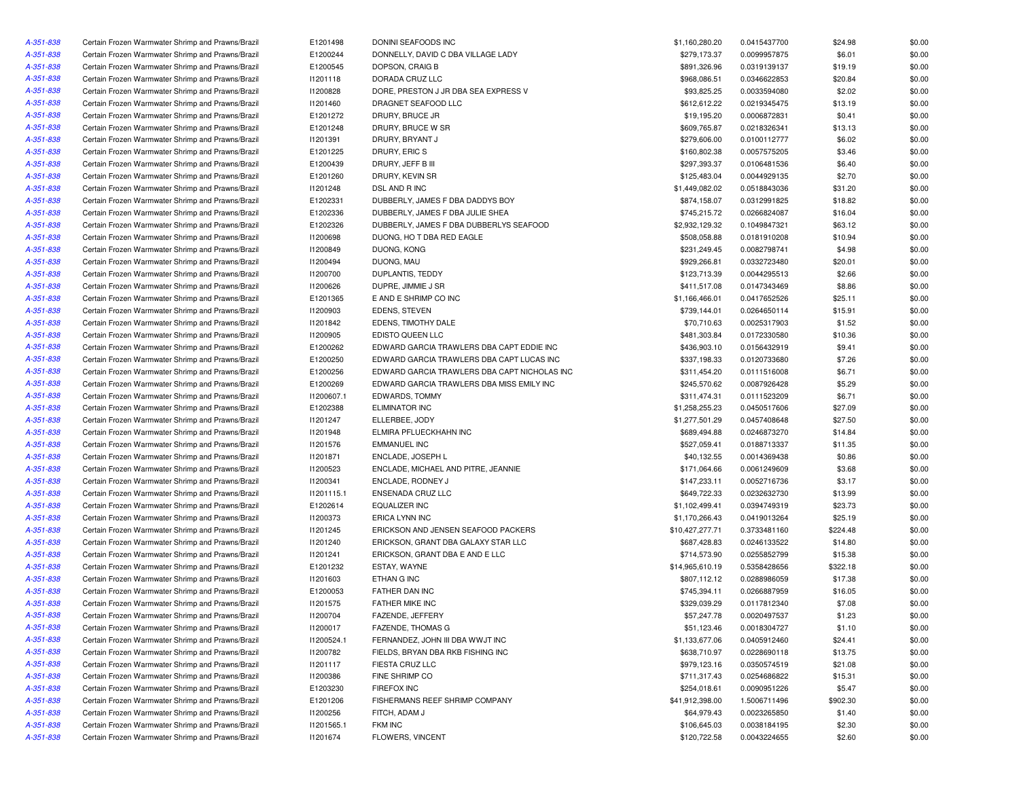| A-351-838 | Certain Frozen Warmwater Shrimp and Prawns/Brazil | E1201498   | DONINI SEAFOODS INC                          | \$1,160,280.20  | 0.0415437700 | \$24.98  | \$0.00 |
|-----------|---------------------------------------------------|------------|----------------------------------------------|-----------------|--------------|----------|--------|
| A-351-838 | Certain Frozen Warmwater Shrimp and Prawns/Brazil | E1200244   | DONNELLY, DAVID C DBA VILLAGE LADY           | \$279,173.37    | 0.0099957875 | \$6.01   | \$0.00 |
| A-351-838 | Certain Frozen Warmwater Shrimp and Prawns/Brazil | E1200545   | DOPSON, CRAIG B                              | \$891,326.96    | 0.0319139137 | \$19.19  | \$0.00 |
| A-351-838 | Certain Frozen Warmwater Shrimp and Prawns/Brazil | 11201118   | DORADA CRUZ LLC                              | \$968,086.51    | 0.0346622853 | \$20.84  | \$0.00 |
| A-351-838 | Certain Frozen Warmwater Shrimp and Prawns/Brazil | 11200828   | DORE, PRESTON J JR DBA SEA EXPRESS V         | \$93,825.25     | 0.0033594080 | \$2.02   | \$0.00 |
| A-351-838 | Certain Frozen Warmwater Shrimp and Prawns/Brazil | 11201460   | DRAGNET SEAFOOD LLC                          | \$612,612.22    | 0.0219345475 | \$13.19  | \$0.00 |
| A-351-838 | Certain Frozen Warmwater Shrimp and Prawns/Brazil | E1201272   | DRURY, BRUCE JR                              | \$19,195.20     | 0.0006872831 | \$0.41   | \$0.00 |
| A-351-838 | Certain Frozen Warmwater Shrimp and Prawns/Brazil | E1201248   | DRURY, BRUCE W SR                            | \$609,765.87    | 0.0218326341 | \$13.13  | \$0.00 |
| A-351-838 | Certain Frozen Warmwater Shrimp and Prawns/Brazil | 11201391   | DRURY, BRYANT J                              | \$279,606.00    | 0.0100112777 | \$6.02   | \$0.00 |
| A-351-838 | Certain Frozen Warmwater Shrimp and Prawns/Brazil | E1201225   | DRURY, ERIC S                                | \$160,802.38    | 0.0057575205 | \$3.46   | \$0.00 |
| A-351-838 | Certain Frozen Warmwater Shrimp and Prawns/Brazil | E1200439   | DRURY, JEFF B III                            | \$297,393.37    | 0.0106481536 | \$6.40   | \$0.00 |
|           |                                                   | E1201260   |                                              |                 |              |          |        |
| A-351-838 | Certain Frozen Warmwater Shrimp and Prawns/Brazil |            | DRURY, KEVIN SR                              | \$125,483.04    | 0.0044929135 | \$2.70   | \$0.00 |
| A-351-838 | Certain Frozen Warmwater Shrimp and Prawns/Brazil | 11201248   | DSL AND R INC                                | \$1,449,082.02  | 0.0518843036 | \$31.20  | \$0.00 |
| A-351-838 | Certain Frozen Warmwater Shrimp and Prawns/Brazil | E1202331   | DUBBERLY, JAMES F DBA DADDYS BOY             | \$874,158.07    | 0.0312991825 | \$18.82  | \$0.00 |
| A-351-838 | Certain Frozen Warmwater Shrimp and Prawns/Brazil | E1202336   | DUBBERLY, JAMES F DBA JULIE SHEA             | \$745,215.72    | 0.0266824087 | \$16.04  | \$0.00 |
| A-351-838 | Certain Frozen Warmwater Shrimp and Prawns/Brazil | E1202326   | DUBBERLY, JAMES F DBA DUBBERLYS SEAFOOD      | \$2,932,129.32  | 0.1049847321 | \$63.12  | \$0.00 |
| A-351-838 | Certain Frozen Warmwater Shrimp and Prawns/Brazil | 11200698   | DUONG, HO T DBA RED EAGLE                    | \$508,058.88    | 0.0181910208 | \$10.94  | \$0.00 |
| A-351-838 | Certain Frozen Warmwater Shrimp and Prawns/Brazil | 11200849   | DUONG, KONG                                  | \$231,249.45    | 0.0082798741 | \$4.98   | \$0.00 |
| A-351-838 | Certain Frozen Warmwater Shrimp and Prawns/Brazil | I1200494   | DUONG, MAU                                   | \$929,266.81    | 0.0332723480 | \$20.01  | \$0.00 |
| A-351-838 | Certain Frozen Warmwater Shrimp and Prawns/Brazil | 11200700   | DUPLANTIS, TEDDY                             | \$123,713.39    | 0.0044295513 | \$2.66   | \$0.00 |
| A-351-838 | Certain Frozen Warmwater Shrimp and Prawns/Brazil | 11200626   | DUPRE, JIMMIE J SR                           | \$411,517.08    | 0.0147343469 | \$8.86   | \$0.00 |
| A-351-838 | Certain Frozen Warmwater Shrimp and Prawns/Brazil | E1201365   | E AND E SHRIMP CO INC                        | \$1,166,466.01  | 0.0417652526 | \$25.11  | \$0.00 |
| A-351-838 | Certain Frozen Warmwater Shrimp and Prawns/Brazil | 11200903   | EDENS, STEVEN                                | \$739,144.01    | 0.0264650114 | \$15.91  | \$0.00 |
| A-351-838 | Certain Frozen Warmwater Shrimp and Prawns/Brazil | 11201842   | EDENS, TIMOTHY DALE                          | \$70,710.63     | 0.0025317903 | \$1.52   | \$0.00 |
| A-351-838 | Certain Frozen Warmwater Shrimp and Prawns/Brazil | I1200905   | EDISTO QUEEN LLC                             | \$481,303.84    | 0.0172330580 | \$10.36  | \$0.00 |
| A-351-838 | Certain Frozen Warmwater Shrimp and Prawns/Brazil | E1200262   | EDWARD GARCIA TRAWLERS DBA CAPT EDDIE INC    | \$436,903.10    | 0.0156432919 | \$9.41   | \$0.00 |
| A-351-838 | Certain Frozen Warmwater Shrimp and Prawns/Brazil | E1200250   | EDWARD GARCIA TRAWLERS DBA CAPT LUCAS INC    | \$337,198.33    | 0.0120733680 | \$7.26   | \$0.00 |
| A-351-838 | Certain Frozen Warmwater Shrimp and Prawns/Brazil | E1200256   | EDWARD GARCIA TRAWLERS DBA CAPT NICHOLAS INC | \$311,454.20    | 0.0111516008 | \$6.71   | \$0.00 |
| A-351-838 | Certain Frozen Warmwater Shrimp and Prawns/Brazil | E1200269   | EDWARD GARCIA TRAWLERS DBA MISS EMILY INC    | \$245,570.62    | 0.0087926428 | \$5.29   | \$0.00 |
| A-351-838 | Certain Frozen Warmwater Shrimp and Prawns/Brazil | I1200607.1 | <b>EDWARDS, TOMMY</b>                        | \$311,474.31    | 0.0111523209 | \$6.71   | \$0.00 |
| A-351-838 | Certain Frozen Warmwater Shrimp and Prawns/Brazil | E1202388   | <b>ELIMINATOR INC</b>                        | \$1,258,255.23  | 0.0450517606 | \$27.09  | \$0.00 |
| A-351-838 | Certain Frozen Warmwater Shrimp and Prawns/Brazil | 11201247   | ELLERBEE, JODY                               | \$1,277,501.29  | 0.0457408648 | \$27.50  | \$0.00 |
| A-351-838 | Certain Frozen Warmwater Shrimp and Prawns/Brazil | 11201948   | ELMIRA PFLUECKHAHN INC                       | \$689,494.88    | 0.0246873270 | \$14.84  | \$0.00 |
| A-351-838 |                                                   |            | <b>EMMANUEL INC</b>                          |                 |              |          |        |
|           | Certain Frozen Warmwater Shrimp and Prawns/Brazil | 11201576   |                                              | \$527,059.41    | 0.0188713337 | \$11.35  | \$0.00 |
| A-351-838 | Certain Frozen Warmwater Shrimp and Prawns/Brazil | 11201871   | ENCLADE, JOSEPH L                            | \$40,132.55     | 0.0014369438 | \$0.86   | \$0.00 |
| A-351-838 | Certain Frozen Warmwater Shrimp and Prawns/Brazil | 11200523   | ENCLADE, MICHAEL AND PITRE, JEANNIE          | \$171,064.66    | 0.0061249609 | \$3.68   | \$0.00 |
| A-351-838 | Certain Frozen Warmwater Shrimp and Prawns/Brazil | 11200341   | ENCLADE, RODNEY J                            | \$147,233.11    | 0.0052716736 | \$3.17   | \$0.00 |
| A-351-838 | Certain Frozen Warmwater Shrimp and Prawns/Brazil | 11201115.1 | ENSENADA CRUZ LLC                            | \$649,722.33    | 0.0232632730 | \$13.99  | \$0.00 |
| A-351-838 | Certain Frozen Warmwater Shrimp and Prawns/Brazil | E1202614   | <b>EQUALIZER INC</b>                         | \$1,102,499.41  | 0.0394749319 | \$23.73  | \$0.00 |
| A-351-838 | Certain Frozen Warmwater Shrimp and Prawns/Brazil | 11200373   | ERICA LYNN INC                               | \$1,170,266.43  | 0.0419013264 | \$25.19  | \$0.00 |
| A-351-838 | Certain Frozen Warmwater Shrimp and Prawns/Brazil | 11201245   | ERICKSON AND JENSEN SEAFOOD PACKERS          | \$10,427,277.71 | 0.3733481160 | \$224.48 | \$0.00 |
| A-351-838 | Certain Frozen Warmwater Shrimp and Prawns/Brazil | 11201240   | ERICKSON, GRANT DBA GALAXY STAR LLC          | \$687,428.83    | 0.0246133522 | \$14.80  | \$0.00 |
| A-351-838 | Certain Frozen Warmwater Shrimp and Prawns/Brazil | 11201241   | ERICKSON, GRANT DBA E AND E LLC              | \$714,573.90    | 0.0255852799 | \$15.38  | \$0.00 |
| A-351-838 | Certain Frozen Warmwater Shrimp and Prawns/Brazil | E1201232   | ESTAY, WAYNE                                 | \$14,965,610.19 | 0.5358428656 | \$322.18 | \$0.00 |
| A-351-838 | Certain Frozen Warmwater Shrimp and Prawns/Brazil | 11201603   | ETHAN G INC                                  | \$807,112.12    | 0.0288986059 | \$17.38  | \$0.00 |
| A-351-838 | Certain Frozen Warmwater Shrimp and Prawns/Brazil | E1200053   | FATHER DAN INC                               | \$745,394.11    | 0.0266887959 | \$16.05  | \$0.00 |
| A-351-838 | Certain Frozen Warmwater Shrimp and Prawns/Brazil | I1201575   | FATHER MIKE INC                              | \$329,039.29    | 0.0117812340 | \$7.08   | \$0.00 |
| A-351-838 | Certain Frozen Warmwater Shrimp and Prawns/Brazil | 11200704   | FAZENDE, JEFFERY                             | \$57,247.78     | 0.0020497537 | \$1.23   | \$0.00 |
| A-351-838 | Certain Frozen Warmwater Shrimp and Prawns/Brazil | 11200017   | FAZENDE, THOMAS G                            | \$51,123.46     | 0.0018304727 | \$1.10   | \$0.00 |
| A-351-838 | Certain Frozen Warmwater Shrimp and Prawns/Brazil | 11200524.1 | FERNANDEZ, JOHN III DBA WWJT INC             | \$1,133,677.06  | 0.0405912460 | \$24.41  | \$0.00 |
| A-351-838 | Certain Frozen Warmwater Shrimp and Prawns/Brazil | 11200782   | FIELDS, BRYAN DBA RKB FISHING INC            | \$638,710.97    | 0.0228690118 | \$13.75  | \$0.00 |
| A-351-838 | Certain Frozen Warmwater Shrimp and Prawns/Brazil | 11201117   | FIESTA CRUZ LLC                              | \$979,123.16    | 0.0350574519 | \$21.08  | \$0.00 |
| A-351-838 | Certain Frozen Warmwater Shrimp and Prawns/Brazil | 11200386   | FINE SHRIMP CO                               | \$711,317.43    | 0.0254686822 | \$15.31  | \$0.00 |
| A-351-838 | Certain Frozen Warmwater Shrimp and Prawns/Brazil | E1203230   | FIREFOX INC                                  | \$254,018.61    | 0.0090951226 | \$5.47   | \$0.00 |
| A-351-838 | Certain Frozen Warmwater Shrimp and Prawns/Brazil | E1201206   | FISHERMANS REEF SHRIMP COMPANY               | \$41,912,398.00 | 1.5006711496 | \$902.30 | \$0.00 |
| A-351-838 | Certain Frozen Warmwater Shrimp and Prawns/Brazil | 11200256   | FITCH, ADAM J                                | \$64,979.43     | 0.0023265850 | \$1.40   | \$0.00 |
| A-351-838 | Certain Frozen Warmwater Shrimp and Prawns/Brazil | 11201565.1 | FKM INC                                      | \$106,645.03    | 0.0038184195 | \$2.30   | \$0.00 |
| A-351-838 | Certain Frozen Warmwater Shrimp and Prawns/Brazil | 11201674   | FLOWERS, VINCENT                             | \$120,722.58    | 0.0043224655 | \$2.60   | \$0.00 |
|           |                                                   |            |                                              |                 |              |          |        |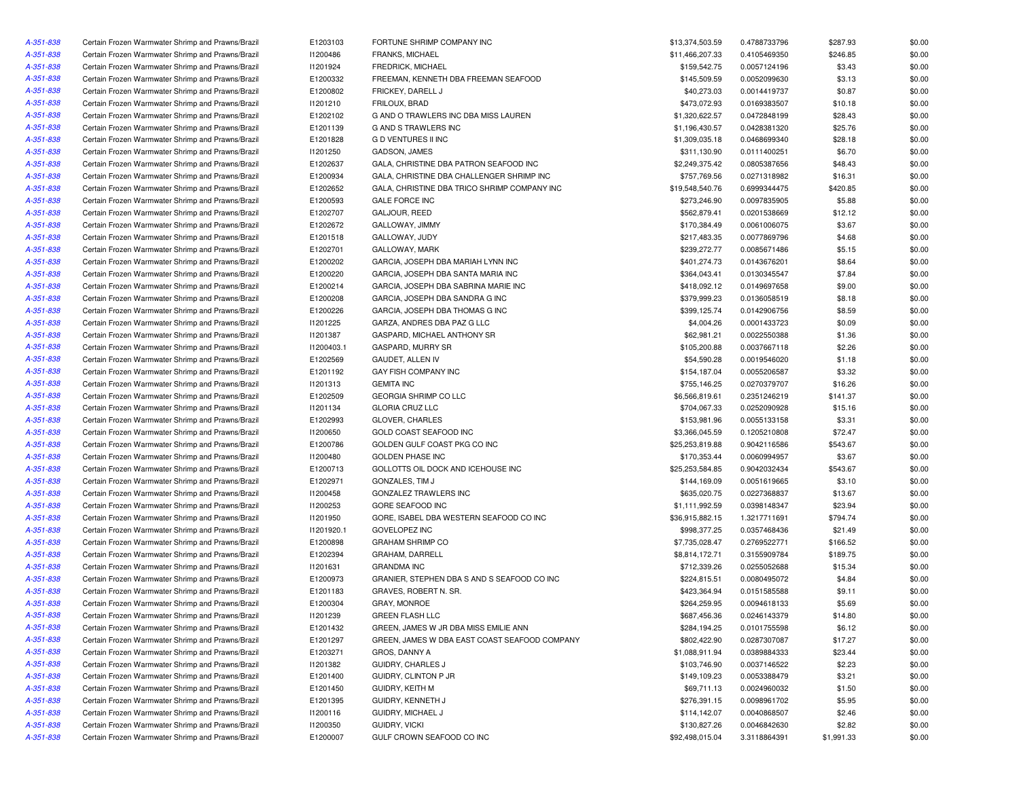| A-351-838 | Certain Frozen Warmwater Shrimp and Prawns/Brazil | E1203103   | FORTUNE SHRIMP COMPANY INC                                 | \$13,374,503.59 | 0.4788733796 | \$287.93   | \$0.00 |
|-----------|---------------------------------------------------|------------|------------------------------------------------------------|-----------------|--------------|------------|--------|
| A-351-838 | Certain Frozen Warmwater Shrimp and Prawns/Brazil | 11200486   | FRANKS, MICHAEL                                            | \$11,466,207.33 | 0.4105469350 | \$246.85   | \$0.00 |
| A-351-838 | Certain Frozen Warmwater Shrimp and Prawns/Brazil | I1201924   | <b>FREDRICK, MICHAEL</b>                                   | \$159,542.75    | 0.0057124196 | \$3.43     | \$0.00 |
| A-351-838 | Certain Frozen Warmwater Shrimp and Prawns/Brazil | E1200332   | FREEMAN, KENNETH DBA FREEMAN SEAFOOD                       | \$145,509.59    | 0.0052099630 | \$3.13     | \$0.00 |
| A-351-838 | Certain Frozen Warmwater Shrimp and Prawns/Brazil | E1200802   | FRICKEY, DARELL J                                          | \$40,273.03     | 0.0014419737 | \$0.87     | \$0.00 |
| A-351-838 | Certain Frozen Warmwater Shrimp and Prawns/Brazil | 11201210   | FRILOUX, BRAD                                              | \$473,072.93    | 0.0169383507 | \$10.18    | \$0.00 |
| A-351-838 | Certain Frozen Warmwater Shrimp and Prawns/Brazil | E1202102   | G AND O TRAWLERS INC DBA MISS LAUREN                       | \$1,320,622.57  | 0.0472848199 | \$28.43    | \$0.00 |
| A-351-838 | Certain Frozen Warmwater Shrimp and Prawns/Brazil | E1201139   | G AND S TRAWLERS INC                                       | \$1,196,430.57  | 0.0428381320 | \$25.76    | \$0.00 |
| A-351-838 | Certain Frozen Warmwater Shrimp and Prawns/Brazil | E1201828   | G D VENTURES II INC                                        | \$1,309,035.18  | 0.0468699340 | \$28.18    | \$0.00 |
| A-351-838 | Certain Frozen Warmwater Shrimp and Prawns/Brazil | 11201250   | GADSON, JAMES                                              | \$311,130.90    | 0.0111400251 | \$6.70     | \$0.00 |
| A-351-838 | Certain Frozen Warmwater Shrimp and Prawns/Brazil | E1202637   | GALA, CHRISTINE DBA PATRON SEAFOOD INC                     | \$2,249,375.42  | 0.0805387656 | \$48.43    | \$0.00 |
| A-351-838 | Certain Frozen Warmwater Shrimp and Prawns/Brazil | E1200934   | GALA, CHRISTINE DBA CHALLENGER SHRIMP INC                  | \$757,769.56    | 0.0271318982 | \$16.31    | \$0.00 |
| A-351-838 | Certain Frozen Warmwater Shrimp and Prawns/Brazil | E1202652   | GALA, CHRISTINE DBA TRICO SHRIMP COMPANY INC               | \$19,548,540.76 | 0.6999344475 | \$420.85   | \$0.00 |
| A-351-838 | Certain Frozen Warmwater Shrimp and Prawns/Brazil | E1200593   | <b>GALE FORCE INC</b>                                      | \$273,246.90    | 0.0097835905 | \$5.88     | \$0.00 |
| A-351-838 | Certain Frozen Warmwater Shrimp and Prawns/Brazil | E1202707   | GALJOUR, REED                                              | \$562,879.41    | 0.0201538669 | \$12.12    | \$0.00 |
| A-351-838 | Certain Frozen Warmwater Shrimp and Prawns/Brazil | E1202672   | GALLOWAY, JIMMY                                            | \$170,384.49    | 0.0061006075 | \$3.67     | \$0.00 |
| A-351-838 | Certain Frozen Warmwater Shrimp and Prawns/Brazil | E1201518   | GALLOWAY, JUDY                                             | \$217,483.35    | 0.0077869796 | \$4.68     | \$0.00 |
| A-351-838 | Certain Frozen Warmwater Shrimp and Prawns/Brazil | E1202701   | GALLOWAY, MARK                                             | \$239,272.77    | 0.0085671486 | \$5.15     | \$0.00 |
| A-351-838 | Certain Frozen Warmwater Shrimp and Prawns/Brazil | E1200202   | GARCIA, JOSEPH DBA MARIAH LYNN INC                         | \$401,274.73    | 0.0143676201 | \$8.64     | \$0.00 |
| A-351-838 | Certain Frozen Warmwater Shrimp and Prawns/Brazil | E1200220   | GARCIA, JOSEPH DBA SANTA MARIA INC                         | \$364,043.41    | 0.0130345547 | \$7.84     | \$0.00 |
| A-351-838 | Certain Frozen Warmwater Shrimp and Prawns/Brazil | E1200214   | GARCIA, JOSEPH DBA SABRINA MARIE INC                       | \$418,092.12    | 0.0149697658 | \$9.00     | \$0.00 |
| A-351-838 | Certain Frozen Warmwater Shrimp and Prawns/Brazil | E1200208   | GARCIA, JOSEPH DBA SANDRA G INC                            | \$379,999.23    | 0.0136058519 | \$8.18     | \$0.00 |
| A-351-838 | Certain Frozen Warmwater Shrimp and Prawns/Brazil | E1200226   | GARCIA, JOSEPH DBA THOMAS G INC                            | \$399,125.74    | 0.0142906756 | \$8.59     | \$0.00 |
| A-351-838 |                                                   | 11201225   |                                                            | \$4,004.26      | 0.0001433723 |            | \$0.00 |
|           | Certain Frozen Warmwater Shrimp and Prawns/Brazil |            | GARZA, ANDRES DBA PAZ G LLC<br>GASPARD, MICHAEL ANTHONY SR | \$62,981.21     |              | \$0.09     | \$0.00 |
| A-351-838 | Certain Frozen Warmwater Shrimp and Prawns/Brazil | I1201387   |                                                            | \$105,200.88    | 0.0022550388 | \$1.36     | \$0.00 |
| A-351-838 | Certain Frozen Warmwater Shrimp and Prawns/Brazil | I1200403.1 | GASPARD, MURRY SR                                          |                 | 0.0037667118 | \$2.26     |        |
| A-351-838 | Certain Frozen Warmwater Shrimp and Prawns/Brazil | E1202569   | GAUDET, ALLEN IV                                           | \$54,590.28     | 0.0019546020 | \$1.18     | \$0.00 |
| A-351-838 | Certain Frozen Warmwater Shrimp and Prawns/Brazil | E1201192   | GAY FISH COMPANY INC                                       | \$154,187.04    | 0.0055206587 | \$3.32     | \$0.00 |
| A-351-838 | Certain Frozen Warmwater Shrimp and Prawns/Brazil | 11201313   | <b>GEMITA INC</b>                                          | \$755,146.25    | 0.0270379707 | \$16.26    | \$0.00 |
| A-351-838 | Certain Frozen Warmwater Shrimp and Prawns/Brazil | E1202509   | <b>GEORGIA SHRIMP CO LLC</b>                               | \$6,566,819.61  | 0.2351246219 | \$141.37   | \$0.00 |
| A-351-838 | Certain Frozen Warmwater Shrimp and Prawns/Brazil | 11201134   | <b>GLORIA CRUZ LLC</b>                                     | \$704,067.33    | 0.0252090928 | \$15.16    | \$0.00 |
| A-351-838 | Certain Frozen Warmwater Shrimp and Prawns/Brazil | E1202993   | GLOVER, CHARLES                                            | \$153,981.96    | 0.0055133158 | \$3.31     | \$0.00 |
| A-351-838 | Certain Frozen Warmwater Shrimp and Prawns/Brazil | 11200650   | GOLD COAST SEAFOOD INC                                     | \$3,366,045.59  | 0.1205210808 | \$72.47    | \$0.00 |
| A-351-838 | Certain Frozen Warmwater Shrimp and Prawns/Brazil | E1200786   | GOLDEN GULF COAST PKG CO INC                               | \$25,253,819.88 | 0.9042116586 | \$543.67   | \$0.00 |
| A-351-838 | Certain Frozen Warmwater Shrimp and Prawns/Brazil | 11200480   | <b>GOLDEN PHASE INC</b>                                    | \$170,353.44    | 0.0060994957 | \$3.67     | \$0.00 |
| A-351-838 | Certain Frozen Warmwater Shrimp and Prawns/Brazil | E1200713   | GOLLOTTS OIL DOCK AND ICEHOUSE INC                         | \$25,253,584.85 | 0.9042032434 | \$543.67   | \$0.00 |
| A-351-838 | Certain Frozen Warmwater Shrimp and Prawns/Brazil | E1202971   | GONZALES, TIM J                                            | \$144,169.09    | 0.0051619665 | \$3.10     | \$0.00 |
| A-351-838 | Certain Frozen Warmwater Shrimp and Prawns/Brazil | I1200458   | GONZALEZ TRAWLERS INC                                      | \$635,020.75    | 0.0227368837 | \$13.67    | \$0.00 |
| A-351-838 | Certain Frozen Warmwater Shrimp and Prawns/Brazil | I1200253   | GORE SEAFOOD INC                                           | \$1,111,992.59  | 0.0398148347 | \$23.94    | \$0.00 |
| A-351-838 | Certain Frozen Warmwater Shrimp and Prawns/Brazil | 11201950   | GORE, ISABEL DBA WESTERN SEAFOOD CO INC                    | \$36,915,882.15 | 1.3217711691 | \$794.74   | \$0.00 |
| A-351-838 | Certain Frozen Warmwater Shrimp and Prawns/Brazil | 11201920.1 | <b>GOVELOPEZ INC</b>                                       | \$998,377.25    | 0.0357468436 | \$21.49    | \$0.00 |
| A-351-838 | Certain Frozen Warmwater Shrimp and Prawns/Brazil | E1200898   | <b>GRAHAM SHRIMP CO</b>                                    | \$7,735,028.47  | 0.2769522771 | \$166.52   | \$0.00 |
| A-351-838 | Certain Frozen Warmwater Shrimp and Prawns/Brazil | E1202394   | GRAHAM, DARRELL                                            | \$8,814,172.71  | 0.3155909784 | \$189.75   | \$0.00 |
| A-351-838 | Certain Frozen Warmwater Shrimp and Prawns/Brazil | 11201631   | <b>GRANDMA INC</b>                                         | \$712,339.26    | 0.0255052688 | \$15.34    | \$0.00 |
| A-351-838 | Certain Frozen Warmwater Shrimp and Prawns/Brazil | E1200973   | GRANIER, STEPHEN DBA S AND S SEAFOOD CO INC                | \$224,815.51    | 0.0080495072 | \$4.84     | \$0.00 |
| A-351-838 | Certain Frozen Warmwater Shrimp and Prawns/Brazil | E1201183   | GRAVES, ROBERT N. SR.                                      | \$423,364.94    | 0.0151585588 | \$9.11     | \$0.00 |
| A-351-838 | Certain Frozen Warmwater Shrimp and Prawns/Brazil | E1200304   | GRAY, MONROE                                               | \$264,259.95    | 0.0094618133 | \$5.69     | \$0.00 |
| A-351-838 | Certain Frozen Warmwater Shrimp and Prawns/Brazil | 11201239   | GREEN FLASH LLC                                            | \$687,456.36    | 0.0246143379 | \$14.80    | \$0.00 |
| A-351-838 | Certain Frozen Warmwater Shrimp and Prawns/Brazil | E1201432   | GREEN, JAMES W JR DBA MISS EMILIE ANN                      | \$284,194.25    | 0.0101755598 | \$6.12     | \$0.00 |
| A-351-838 | Certain Frozen Warmwater Shrimp and Prawns/Brazil | E1201297   | GREEN, JAMES W DBA EAST COAST SEAFOOD COMPANY              | \$802,422.90    | 0.0287307087 | \$17.27    | \$0.00 |
| A-351-838 | Certain Frozen Warmwater Shrimp and Prawns/Brazil | E1203271   | GROS, DANNY A                                              | \$1,088,911.94  | 0.0389884333 | \$23.44    | \$0.00 |
| A-351-838 | Certain Frozen Warmwater Shrimp and Prawns/Brazil | 11201382   | GUIDRY, CHARLES J                                          | \$103,746.90    | 0.0037146522 | \$2.23     | \$0.00 |
| A-351-838 | Certain Frozen Warmwater Shrimp and Prawns/Brazil | E1201400   | GUIDRY, CLINTON P JR                                       | \$149,109.23    | 0.0053388479 | \$3.21     | \$0.00 |
| A-351-838 | Certain Frozen Warmwater Shrimp and Prawns/Brazil | E1201450   | GUIDRY, KEITH M                                            | \$69,711.13     | 0.0024960032 | \$1.50     | \$0.00 |
| A-351-838 | Certain Frozen Warmwater Shrimp and Prawns/Brazil | E1201395   | GUIDRY, KENNETH J                                          | \$276,391.15    | 0.0098961702 | \$5.95     | \$0.00 |
| A-351-838 | Certain Frozen Warmwater Shrimp and Prawns/Brazil | 11200116   | GUIDRY, MICHAEL J                                          | \$114,142.07    | 0.0040868507 | \$2.46     | \$0.00 |
| A-351-838 | Certain Frozen Warmwater Shrimp and Prawns/Brazil | 11200350   | GUIDRY, VICKI                                              | \$130,827.26    | 0.0046842630 | \$2.82     | \$0.00 |
| A-351-838 | Certain Frozen Warmwater Shrimp and Prawns/Brazil | E1200007   | GULF CROWN SEAFOOD CO INC                                  | \$92,498,015.04 | 3.3118864391 | \$1,991.33 | \$0.00 |
|           |                                                   |            |                                                            |                 |              |            |        |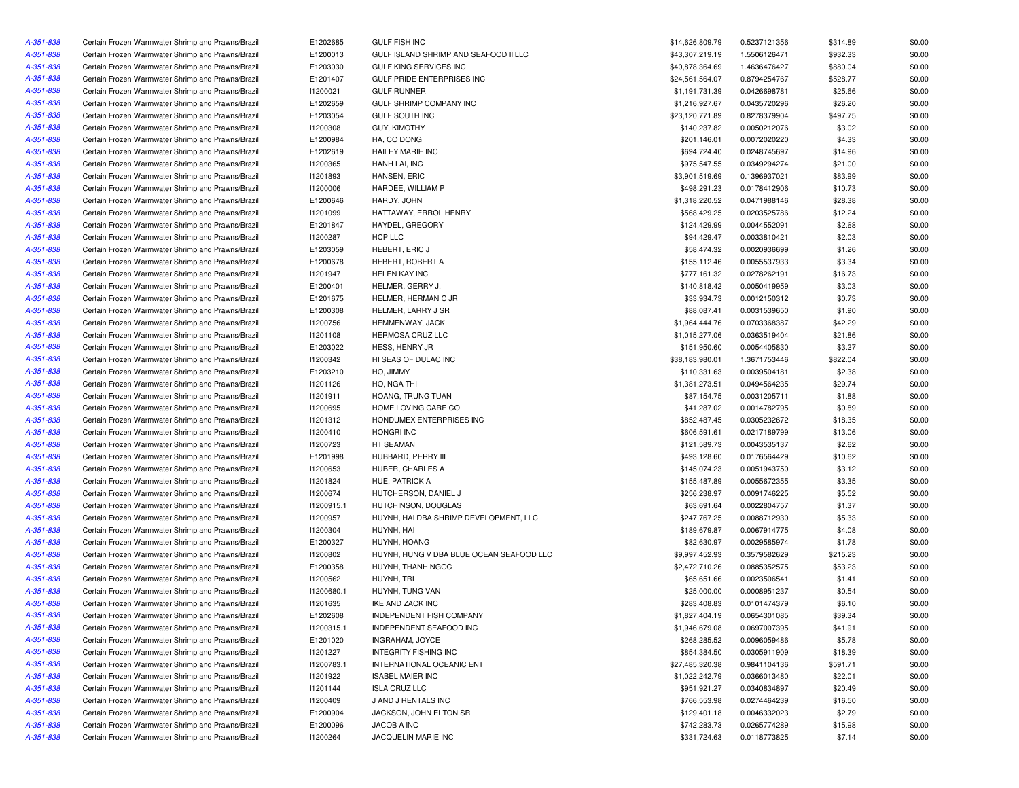| A-351-838              | Certain Frozen Warmwater Shrimp and Prawns/Brazil                                                      | E1202685             | <b>GULF FISH INC</b>                          | \$14,626,809.79 | 0.5237121356                 | \$314.89            | \$0.00           |
|------------------------|--------------------------------------------------------------------------------------------------------|----------------------|-----------------------------------------------|-----------------|------------------------------|---------------------|------------------|
| A-351-838              | Certain Frozen Warmwater Shrimp and Prawns/Brazil                                                      | E1200013             | GULF ISLAND SHRIMP AND SEAFOOD II LLC         | \$43,307,219.19 | 1.5506126471                 | \$932.33            | \$0.00           |
| A-351-838              | Certain Frozen Warmwater Shrimp and Prawns/Brazil                                                      | E1203030             | GULF KING SERVICES INC                        | \$40,878,364.69 | 1.4636476427                 | \$880.04            | \$0.00           |
| A-351-838              | Certain Frozen Warmwater Shrimp and Prawns/Brazil                                                      | E1201407             | <b>GULF PRIDE ENTERPRISES INC</b>             | \$24,561,564.07 | 0.8794254767                 | \$528.77            | \$0.00           |
| A-351-838              | Certain Frozen Warmwater Shrimp and Prawns/Brazil                                                      | 11200021             | <b>GULF RUNNER</b>                            | \$1,191,731.39  | 0.0426698781                 | \$25.66             | \$0.00           |
| A-351-838              | Certain Frozen Warmwater Shrimp and Prawns/Brazil                                                      | E1202659             | GULF SHRIMP COMPANY INC                       | \$1,216,927.67  | 0.0435720296                 | \$26.20             | \$0.00           |
| A-351-838              | Certain Frozen Warmwater Shrimp and Prawns/Brazil                                                      | E1203054             | <b>GULF SOUTH INC</b>                         | \$23,120,771.89 | 0.8278379904                 | \$497.75            | \$0.00           |
| A-351-838              | Certain Frozen Warmwater Shrimp and Prawns/Brazil                                                      | 11200308             | <b>GUY, KIMOTHY</b>                           | \$140,237.82    | 0.0050212076                 | \$3.02              | \$0.00           |
| A-351-838              | Certain Frozen Warmwater Shrimp and Prawns/Brazil                                                      | E1200984             | HA, CO DONG                                   | \$201,146.01    | 0.0072020220                 | \$4.33              | \$0.00           |
| A-351-838              | Certain Frozen Warmwater Shrimp and Prawns/Brazil                                                      | E1202619             | <b>HAILEY MARIE INC</b>                       | \$694,724.40    | 0.0248745697                 | \$14.96             | \$0.00           |
|                        |                                                                                                        |                      |                                               |                 |                              |                     |                  |
| A-351-838              | Certain Frozen Warmwater Shrimp and Prawns/Brazil                                                      | 11200365             | HANH LAI, INC                                 | \$975,547.55    | 0.0349294274                 | \$21.00             | \$0.00           |
| A-351-838              | Certain Frozen Warmwater Shrimp and Prawns/Brazil                                                      | 11201893             | HANSEN, ERIC                                  | \$3,901,519.69  | 0.1396937021                 | \$83.99             | \$0.00           |
| A-351-838              | Certain Frozen Warmwater Shrimp and Prawns/Brazil                                                      | 11200006             | HARDEE, WILLIAM P                             | \$498,291.23    | 0.0178412906                 | \$10.73             | \$0.00           |
| A-351-838              | Certain Frozen Warmwater Shrimp and Prawns/Brazil                                                      | E1200646             | HARDY, JOHN                                   | \$1,318,220.52  | 0.0471988146                 | \$28.38             | \$0.00           |
| A-351-838              | Certain Frozen Warmwater Shrimp and Prawns/Brazil                                                      | 11201099             | HATTAWAY, ERROL HENRY                         | \$568,429.25    | 0.0203525786                 | \$12.24             | \$0.00           |
| A-351-838              | Certain Frozen Warmwater Shrimp and Prawns/Brazil                                                      | E1201847             | HAYDEL, GREGORY                               | \$124,429.99    | 0.0044552091                 | \$2.68              | \$0.00           |
| A-351-838              | Certain Frozen Warmwater Shrimp and Prawns/Brazil                                                      | I1200287             | HCP LLC                                       | \$94,429.47     | 0.0033810421                 | \$2.03              | \$0.00           |
| A-351-838              | Certain Frozen Warmwater Shrimp and Prawns/Brazil                                                      | E1203059             | HEBERT, ERIC J                                | \$58,474.32     | 0.0020936699                 | \$1.26              | \$0.00           |
| A-351-838              | Certain Frozen Warmwater Shrimp and Prawns/Brazil                                                      | E1200678             | HEBERT, ROBERT A                              | \$155,112.46    | 0.0055537933                 | \$3.34              | \$0.00           |
| A-351-838              | Certain Frozen Warmwater Shrimp and Prawns/Brazil                                                      | I1201947             | <b>HELEN KAY INC</b>                          | \$777,161.32    | 0.0278262191                 | \$16.73             | \$0.00           |
| A-351-838              | Certain Frozen Warmwater Shrimp and Prawns/Brazil                                                      | E1200401             | HELMER, GERRY J.                              | \$140,818.42    | 0.0050419959                 | \$3.03              | \$0.00           |
| A-351-838              | Certain Frozen Warmwater Shrimp and Prawns/Brazil                                                      | E1201675             | HELMER, HERMAN C JR                           | \$33,934.73     | 0.0012150312                 | \$0.73              | \$0.00           |
| A-351-838              | Certain Frozen Warmwater Shrimp and Prawns/Brazil                                                      | E1200308             | HELMER, LARRY J SR                            | \$88,087.41     | 0.0031539650                 | \$1.90              | \$0.00           |
| A-351-838              | Certain Frozen Warmwater Shrimp and Prawns/Brazil                                                      | 11200756             | HEMMENWAY, JACK                               | \$1,964,444.76  | 0.0703368387                 | \$42.29             | \$0.00           |
| A-351-838              | Certain Frozen Warmwater Shrimp and Prawns/Brazil                                                      | 11201108             | HERMOSA CRUZ LLC                              | \$1,015,277.06  | 0.0363519404                 | \$21.86             | \$0.00           |
| A-351-838              | Certain Frozen Warmwater Shrimp and Prawns/Brazil                                                      | E1203022             | HESS, HENRY JR                                | \$151,950.60    | 0.0054405830                 | \$3.27              | \$0.00           |
| A-351-838              | Certain Frozen Warmwater Shrimp and Prawns/Brazil                                                      | 11200342             | HI SEAS OF DULAC INC                          | \$38,183,980.01 | 1.3671753446                 | \$822.04            | \$0.00           |
| A-351-838              | Certain Frozen Warmwater Shrimp and Prawns/Brazil                                                      | E1203210             | HO, JIMMY                                     | \$110,331.63    | 0.0039504181                 | \$2.38              | \$0.00           |
| A-351-838              | Certain Frozen Warmwater Shrimp and Prawns/Brazil                                                      | 11201126             | HO, NGA THI                                   | \$1,381,273.51  | 0.0494564235                 | \$29.74             | \$0.00           |
| A-351-838              | Certain Frozen Warmwater Shrimp and Prawns/Brazil                                                      | 11201911             | HOANG, TRUNG TUAN                             | \$87,154.75     | 0.0031205711                 | \$1.88              | \$0.00           |
| A-351-838              | Certain Frozen Warmwater Shrimp and Prawns/Brazil                                                      | 11200695             | HOME LOVING CARE CO                           | \$41,287.02     | 0.0014782795                 | \$0.89              | \$0.00           |
| A-351-838              | Certain Frozen Warmwater Shrimp and Prawns/Brazil                                                      | 11201312             | HONDUMEX ENTERPRISES INC                      | \$852,487.45    | 0.0305232672                 | \$18.35             | \$0.00           |
| A-351-838              | Certain Frozen Warmwater Shrimp and Prawns/Brazil                                                      | I1200410             | <b>HONGRI INC</b>                             | \$606,591.61    | 0.0217189799                 | \$13.06             | \$0.00           |
| A-351-838              | Certain Frozen Warmwater Shrimp and Prawns/Brazil                                                      | 11200723             | HT SEAMAN                                     | \$121,589.73    | 0.0043535137                 | \$2.62              | \$0.00           |
| A-351-838              | Certain Frozen Warmwater Shrimp and Prawns/Brazil                                                      | E1201998             | HUBBARD, PERRY III                            | \$493,128.60    | 0.0176564429                 | \$10.62             | \$0.00           |
| A-351-838              | Certain Frozen Warmwater Shrimp and Prawns/Brazil                                                      | I1200653             | HUBER, CHARLES A                              | \$145,074.23    | 0.0051943750                 | \$3.12              | \$0.00           |
| A-351-838              | Certain Frozen Warmwater Shrimp and Prawns/Brazil                                                      | 11201824             | HUE, PATRICK A                                | \$155,487.89    | 0.0055672355                 | \$3.35              | \$0.00           |
| A-351-838              | Certain Frozen Warmwater Shrimp and Prawns/Brazil                                                      | 11200674             | HUTCHERSON, DANIEL J                          | \$256,238.97    | 0.0091746225                 | \$5.52              | \$0.00           |
| A-351-838              | Certain Frozen Warmwater Shrimp and Prawns/Brazil                                                      | 11200915.1           | HUTCHINSON, DOUGLAS                           | \$63,691.64     | 0.0022804757                 | \$1.37              | \$0.00           |
| A-351-838              | Certain Frozen Warmwater Shrimp and Prawns/Brazil                                                      | I1200957             | HUYNH, HAI DBA SHRIMP DEVELOPMENT, LLC        | \$247,767.25    | 0.0088712930                 | \$5.33              | \$0.00           |
| A-351-838              | Certain Frozen Warmwater Shrimp and Prawns/Brazil                                                      | 11200304             | HUYNH, HAI                                    | \$189,679.87    | 0.0067914775                 | \$4.08              | \$0.00           |
| A-351-838              | Certain Frozen Warmwater Shrimp and Prawns/Brazil                                                      | E1200327             | HUYNH, HOANG                                  | \$82,630.97     | 0.0029585974                 | \$1.78              | \$0.00           |
| A-351-838              | Certain Frozen Warmwater Shrimp and Prawns/Brazil                                                      | 11200802             | HUYNH, HUNG V DBA BLUE OCEAN SEAFOOD LLC      | \$9,997,452.93  | 0.3579582629                 | \$215.23            | \$0.00           |
| A-351-838              | Certain Frozen Warmwater Shrimp and Prawns/Brazil                                                      | E1200358             | HUYNH, THANH NGOC                             | \$2,472,710.26  | 0.0885352575                 | \$53.23             | \$0.00           |
| A-351-838              | Certain Frozen Warmwater Shrimp and Prawns/Brazil                                                      | 11200562             | HUYNH, TRI                                    | \$65,651.66     | 0.0023506541                 | \$1.41              | \$0.00           |
| A-351-838              | Certain Frozen Warmwater Shrimp and Prawns/Brazil                                                      | 11200680.1           | HUYNH, TUNG VAN                               | \$25,000.00     | 0.0008951237                 | \$0.54              | \$0.00           |
| A-351-838              | Certain Frozen Warmwater Shrimp and Prawns/Brazil                                                      | 11201635             | IKE AND ZACK INC                              | \$283,408.83    | 0.0101474379                 | \$6.10              | \$0.00           |
| A-351-838              | Certain Frozen Warmwater Shrimp and Prawns/Brazil                                                      | E1202608             | INDEPENDENT FISH COMPANY                      | \$1,827,404.19  | 0.0654301085                 | \$39.34             | \$0.00           |
| A-351-838              | Certain Frozen Warmwater Shrimp and Prawns/Brazil                                                      | 11200315.1           | INDEPENDENT SEAFOOD INC                       | \$1,946,679.08  | 0.0697007395                 | \$41.91             | \$0.00           |
| A-351-838              | Certain Frozen Warmwater Shrimp and Prawns/Brazil                                                      | E1201020             | INGRAHAM, JOYCE                               | \$268,285.52    | 0.0096059486                 | \$5.78              | \$0.00           |
| A-351-838              | Certain Frozen Warmwater Shrimp and Prawns/Brazil                                                      | 11201227             | <b>INTEGRITY FISHING INC</b>                  | \$854,384.50    | 0.0305911909                 |                     | \$0.00           |
| A-351-838              | Certain Frozen Warmwater Shrimp and Prawns/Brazil                                                      | I1200783.1           | INTERNATIONAL OCEANIC ENT                     | \$27,485,320.38 | 0.9841104136                 | \$18.39             |                  |
| A-351-838              | Certain Frozen Warmwater Shrimp and Prawns/Brazil                                                      | 11201922             | <b>ISABEL MAIER INC</b>                       | \$1,022,242.79  | 0.0366013480                 | \$591.71<br>\$22.01 | \$0.00           |
|                        | Certain Frozen Warmwater Shrimp and Prawns/Brazil                                                      | 11201144             | <b>ISLA CRUZ LLC</b>                          | \$951,921.27    | 0.0340834897                 | \$20.49             | \$0.00           |
| A-351-838<br>A-351-838 |                                                                                                        |                      |                                               | \$766,553.98    |                              |                     | \$0.00           |
|                        | Certain Frozen Warmwater Shrimp and Prawns/Brazil<br>Certain Frozen Warmwater Shrimp and Prawns/Brazil | 11200409             | J AND J RENTALS INC<br>JACKSON, JOHN ELTON SR | \$129,401.18    | 0.0274464239<br>0.0046332023 | \$16.50<br>\$2.79   | \$0.00           |
| A-351-838<br>A-351-838 | Certain Frozen Warmwater Shrimp and Prawns/Brazil                                                      | E1200904<br>E1200096 | JACOB A INC                                   | \$742,283.73    | 0.0265774289                 | \$15.98             | \$0.00<br>\$0.00 |
| A-351-838              | Certain Frozen Warmwater Shrimp and Prawns/Brazil                                                      | 11200264             | JACQUELIN MARIE INC                           | \$331,724.63    | 0.0118773825                 | \$7.14              | \$0.00           |
|                        |                                                                                                        |                      |                                               |                 |                              |                     |                  |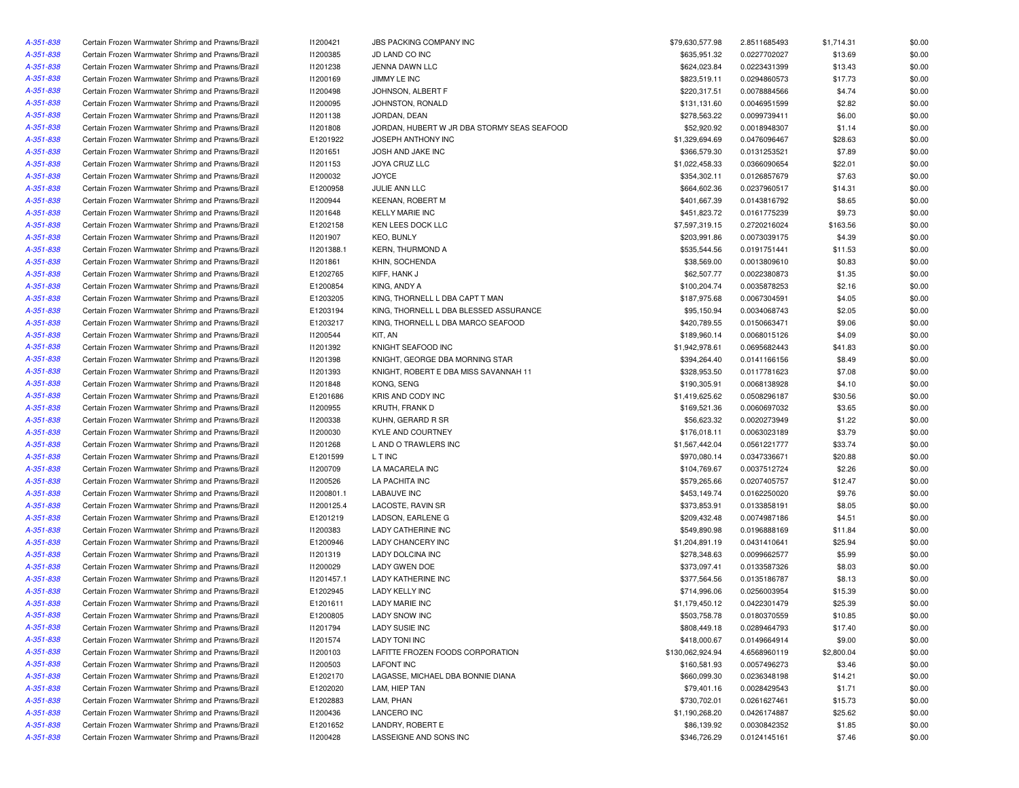| A-351-838 | Certain Frozen Warmwater Shrimp and Prawns/Brazil | 11200421   | <b>JBS PACKING COMPANY INC</b>              | \$79,630,577.98  | 2.8511685493 | \$1,714.31 | \$0.00 |
|-----------|---------------------------------------------------|------------|---------------------------------------------|------------------|--------------|------------|--------|
| A-351-838 | Certain Frozen Warmwater Shrimp and Prawns/Brazil | 11200385   | JD LAND CO INC                              | \$635,951.32     | 0.0227702027 | \$13.69    | \$0.00 |
| A-351-838 | Certain Frozen Warmwater Shrimp and Prawns/Brazil | 11201238   | JENNA DAWN LLC                              | \$624,023.84     | 0.0223431399 | \$13.43    | \$0.00 |
| A-351-838 | Certain Frozen Warmwater Shrimp and Prawns/Brazil | I1200169   | JIMMY LE INC                                | \$823,519.11     | 0.0294860573 | \$17.73    | \$0.00 |
| A-351-838 | Certain Frozen Warmwater Shrimp and Prawns/Brazil | 11200498   | JOHNSON, ALBERT F                           | \$220,317.51     | 0.0078884566 | \$4.74     | \$0.00 |
| A-351-838 | Certain Frozen Warmwater Shrimp and Prawns/Brazil | I1200095   | JOHNSTON, RONALD                            | \$131,131.60     | 0.0046951599 | \$2.82     | \$0.00 |
| A-351-838 | Certain Frozen Warmwater Shrimp and Prawns/Brazil | 11201138   | JORDAN, DEAN                                | \$278,563.22     | 0.0099739411 | \$6.00     | \$0.00 |
| A-351-838 | Certain Frozen Warmwater Shrimp and Prawns/Brazil | 11201808   | JORDAN, HUBERT W JR DBA STORMY SEAS SEAFOOD | \$52,920.92      | 0.0018948307 | \$1.14     | \$0.00 |
| A-351-838 | Certain Frozen Warmwater Shrimp and Prawns/Brazil | E1201922   | JOSEPH ANTHONY INC                          | \$1,329,694.69   | 0.0476096467 | \$28.63    | \$0.00 |
| A-351-838 | Certain Frozen Warmwater Shrimp and Prawns/Brazil | 11201651   | JOSH AND JAKE INC                           | \$366,579.30     | 0.0131253521 | \$7.89     | \$0.00 |
| A-351-838 | Certain Frozen Warmwater Shrimp and Prawns/Brazil | I1201153   | <b>JOYA CRUZ LLC</b>                        | \$1,022,458.33   | 0.0366090654 | \$22.01    | \$0.00 |
|           |                                                   |            | <b>JOYCE</b>                                |                  |              |            |        |
| A-351-838 | Certain Frozen Warmwater Shrimp and Prawns/Brazil | 11200032   |                                             | \$354,302.11     | 0.0126857679 | \$7.63     | \$0.00 |
| A-351-838 | Certain Frozen Warmwater Shrimp and Prawns/Brazil | E1200958   | JULIE ANN LLC                               | \$664,602.36     | 0.0237960517 | \$14.31    | \$0.00 |
| A-351-838 | Certain Frozen Warmwater Shrimp and Prawns/Brazil | I1200944   | <b>KEENAN, ROBERT M</b>                     | \$401,667.39     | 0.0143816792 | \$8.65     | \$0.00 |
| A-351-838 | Certain Frozen Warmwater Shrimp and Prawns/Brazil | 11201648   | <b>KELLY MARIE INC</b>                      | \$451,823.72     | 0.0161775239 | \$9.73     | \$0.00 |
| A-351-838 | Certain Frozen Warmwater Shrimp and Prawns/Brazil | E1202158   | KEN LEES DOCK LLC                           | \$7,597,319.15   | 0.2720216024 | \$163.56   | \$0.00 |
| A-351-838 | Certain Frozen Warmwater Shrimp and Prawns/Brazil | 11201907   | <b>KEO, BUNLY</b>                           | \$203,991.86     | 0.0073039175 | \$4.39     | \$0.00 |
| A-351-838 | Certain Frozen Warmwater Shrimp and Prawns/Brazil | 11201388.1 | <b>KERN, THURMOND A</b>                     | \$535,544.56     | 0.0191751441 | \$11.53    | \$0.00 |
| A-351-838 | Certain Frozen Warmwater Shrimp and Prawns/Brazil | 11201861   | KHIN, SOCHENDA                              | \$38,569.00      | 0.0013809610 | \$0.83     | \$0.00 |
| A-351-838 | Certain Frozen Warmwater Shrimp and Prawns/Brazil | E1202765   | KIFF, HANK J                                | \$62,507.77      | 0.0022380873 | \$1.35     | \$0.00 |
| A-351-838 | Certain Frozen Warmwater Shrimp and Prawns/Brazil | E1200854   | KING, ANDY A                                | \$100,204.74     | 0.0035878253 | \$2.16     | \$0.00 |
| A-351-838 | Certain Frozen Warmwater Shrimp and Prawns/Brazil | E1203205   | KING, THORNELL L DBA CAPT T MAN             | \$187,975.68     | 0.0067304591 | \$4.05     | \$0.00 |
| A-351-838 | Certain Frozen Warmwater Shrimp and Prawns/Brazil | E1203194   | KING, THORNELL L DBA BLESSED ASSURANCE      | \$95.150.94      | 0.0034068743 | \$2.05     | \$0.00 |
| A-351-838 | Certain Frozen Warmwater Shrimp and Prawns/Brazil | E1203217   | KING, THORNELL L DBA MARCO SEAFOOD          | \$420,789.55     | 0.0150663471 | \$9.06     | \$0.00 |
| A-351-838 | Certain Frozen Warmwater Shrimp and Prawns/Brazil | 11200544   | KIT, AN                                     | \$189,960.14     | 0.0068015126 | \$4.09     | \$0.00 |
| A-351-838 | Certain Frozen Warmwater Shrimp and Prawns/Brazil | 11201392   | KNIGHT SEAFOOD INC                          | \$1,942,978.61   | 0.0695682443 | \$41.83    | \$0.00 |
| A-351-838 | Certain Frozen Warmwater Shrimp and Prawns/Brazil | 11201398   | KNIGHT, GEORGE DBA MORNING STAR             | \$394,264.40     | 0.0141166156 | \$8.49     | \$0.00 |
| A-351-838 | Certain Frozen Warmwater Shrimp and Prawns/Brazil | 11201393   | KNIGHT, ROBERT E DBA MISS SAVANNAH 11       | \$328,953.50     | 0.0117781623 | \$7.08     | \$0.00 |
| A-351-838 | Certain Frozen Warmwater Shrimp and Prawns/Brazil | 11201848   | KONG, SENG                                  | \$190,305.91     | 0.0068138928 | \$4.10     | \$0.00 |
| A-351-838 | Certain Frozen Warmwater Shrimp and Prawns/Brazil | E1201686   | KRIS AND CODY INC                           | \$1,419,625.62   | 0.0508296187 | \$30.56    | \$0.00 |
| A-351-838 | Certain Frozen Warmwater Shrimp and Prawns/Brazil | I1200955   | KRUTH, FRANK D                              | \$169,521.36     | 0.0060697032 | \$3.65     | \$0.00 |
| A-351-838 | Certain Frozen Warmwater Shrimp and Prawns/Brazil | 11200338   | KUHN, GERARD R SR                           | \$56,623.32      | 0.0020273949 | \$1.22     | \$0.00 |
| A-351-838 | Certain Frozen Warmwater Shrimp and Prawns/Brazil | 11200030   | KYLE AND COURTNEY                           | \$176,018.11     | 0.0063023189 | \$3.79     | \$0.00 |
| A-351-838 | Certain Frozen Warmwater Shrimp and Prawns/Brazil | 11201268   | L AND O TRAWLERS INC                        | \$1,567,442.04   | 0.0561221777 | \$33.74    | \$0.00 |
| A-351-838 | Certain Frozen Warmwater Shrimp and Prawns/Brazil | E1201599   | L T INC                                     | \$970,080.14     | 0.0347336671 | \$20.88    | \$0.00 |
| A-351-838 | Certain Frozen Warmwater Shrimp and Prawns/Brazil | I1200709   | LA MACARELA INC                             | \$104,769.67     | 0.0037512724 | \$2.26     | \$0.00 |
| A-351-838 | Certain Frozen Warmwater Shrimp and Prawns/Brazil | 11200526   | LA PACHITA INC                              | \$579,265.66     | 0.0207405757 | \$12.47    | \$0.00 |
| A-351-838 | Certain Frozen Warmwater Shrimp and Prawns/Brazil | 11200801.1 | <b>LABAUVE INC</b>                          | \$453,149.74     | 0.0162250020 | \$9.76     | \$0.00 |
| A-351-838 | Certain Frozen Warmwater Shrimp and Prawns/Brazil | I1200125.4 | LACOSTE, RAVIN SR                           | \$373,853.91     | 0.0133858191 | \$8.05     | \$0.00 |
| A-351-838 | Certain Frozen Warmwater Shrimp and Prawns/Brazil | E1201219   | LADSON, EARLENE G                           | \$209,432.48     | 0.0074987186 | \$4.51     | \$0.00 |
| A-351-838 | Certain Frozen Warmwater Shrimp and Prawns/Brazil | 11200383   | <b>LADY CATHERINE INC</b>                   | \$549,890.98     | 0.0196888169 | \$11.84    | \$0.00 |
| A-351-838 | Certain Frozen Warmwater Shrimp and Prawns/Brazil | E1200946   | LADY CHANCERY INC                           | \$1,204,891.19   | 0.0431410641 | \$25.94    | \$0.00 |
| A-351-838 | Certain Frozen Warmwater Shrimp and Prawns/Brazil | 11201319   | LADY DOLCINA INC                            | \$278,348.63     | 0.0099662577 | \$5.99     | \$0.00 |
| A-351-838 | Certain Frozen Warmwater Shrimp and Prawns/Brazil | 11200029   | LADY GWEN DOE                               | \$373,097.41     | 0.0133587326 | \$8.03     | \$0.00 |
| A-351-838 | Certain Frozen Warmwater Shrimp and Prawns/Brazil | 11201457.1 | <b>LADY KATHERINE INC</b>                   | \$377,564.56     | 0.0135186787 | \$8.13     | \$0.00 |
| A-351-838 | Certain Frozen Warmwater Shrimp and Prawns/Brazil | E1202945   | <b>LADY KELLY INC</b>                       | \$714,996.06     | 0.0256003954 | \$15.39    | \$0.00 |
| A-351-838 | Certain Frozen Warmwater Shrimp and Prawns/Brazil | E1201611   | <b>LADY MARIE INC</b>                       | \$1,179,450.12   | 0.0422301479 | \$25.39    | \$0.00 |
| A-351-838 | Certain Frozen Warmwater Shrimp and Prawns/Brazil | E1200805   | LADY SNOW INC                               | \$503,758.78     | 0.0180370559 | \$10.85    | \$0.00 |
| A-351-838 | Certain Frozen Warmwater Shrimp and Prawns/Brazil | 11201794   | LADY SUSIE INC                              | \$808,449.18     | 0.0289464793 | \$17.40    | \$0.00 |
|           |                                                   |            | <b>LADY TONI INC</b>                        |                  |              |            |        |
| A-351-838 | Certain Frozen Warmwater Shrimp and Prawns/Brazil | I1201574   | LAFITTE FROZEN FOODS CORPORATION            | \$418,000.67     | 0.0149664914 | \$9.00     | \$0.00 |
| A-351-838 | Certain Frozen Warmwater Shrimp and Prawns/Brazil | 11200103   |                                             | \$130,062,924.94 | 4.6568960119 | \$2,800.04 | \$0.00 |
| A-351-838 | Certain Frozen Warmwater Shrimp and Prawns/Brazil | 11200503   | <b>LAFONT INC</b>                           | \$160,581.93     | 0.0057496273 | \$3.46     | \$0.00 |
| A-351-838 | Certain Frozen Warmwater Shrimp and Prawns/Brazil | E1202170   | LAGASSE, MICHAEL DBA BONNIE DIANA           | \$660,099.30     | 0.0236348198 | \$14.21    | \$0.00 |
| A-351-838 | Certain Frozen Warmwater Shrimp and Prawns/Brazil | E1202020   | LAM, HIEP TAN                               | \$79,401.16      | 0.0028429543 | \$1.71     | \$0.00 |
| A-351-838 | Certain Frozen Warmwater Shrimp and Prawns/Brazil | E1202883   | LAM, PHAN                                   | \$730,702.01     | 0.0261627461 | \$15.73    | \$0.00 |
| A-351-838 | Certain Frozen Warmwater Shrimp and Prawns/Brazil | 11200436   | <b>LANCERO INC</b>                          | \$1,190,268.20   | 0.0426174887 | \$25.62    | \$0.00 |
| A-351-838 | Certain Frozen Warmwater Shrimp and Prawns/Brazil | E1201652   | LANDRY, ROBERT E                            | \$86,139.92      | 0.0030842352 | \$1.85     | \$0.00 |
| A-351-838 | Certain Frozen Warmwater Shrimp and Prawns/Brazil | 11200428   | LASSEIGNE AND SONS INC                      | \$346,726.29     | 0.0124145161 | \$7.46     | \$0.00 |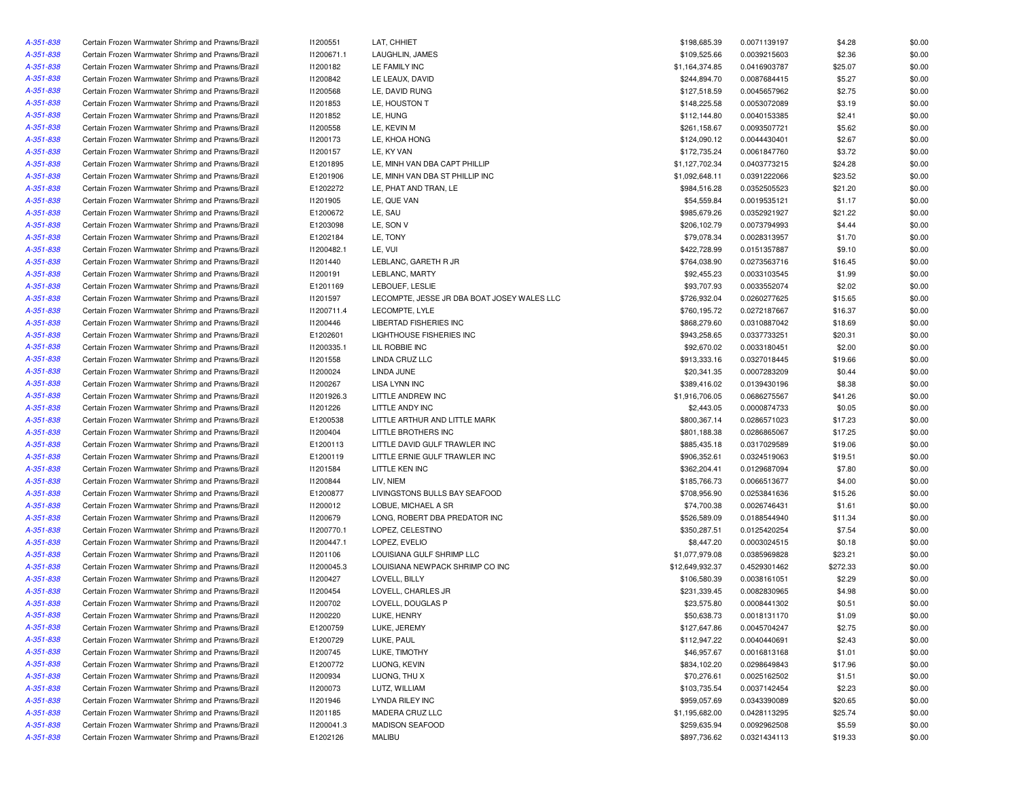| A-351-838 | Certain Frozen Warmwater Shrimp and Prawns/Brazil | I1200551        | LAT, CHHIET                                 | \$198,685.39    | 0.0071139197 | \$4.28   | \$0.00 |
|-----------|---------------------------------------------------|-----------------|---------------------------------------------|-----------------|--------------|----------|--------|
| A-351-838 | Certain Frozen Warmwater Shrimp and Prawns/Brazil | 11200671.1      | LAUGHLIN, JAMES                             | \$109,525.66    | 0.0039215603 | \$2.36   | \$0.00 |
| A-351-838 | Certain Frozen Warmwater Shrimp and Prawns/Brazil | 11200182        | LE FAMILY INC                               | \$1,164,374.85  | 0.0416903787 | \$25.07  | \$0.00 |
| A-351-838 | Certain Frozen Warmwater Shrimp and Prawns/Brazil | 11200842        | LE LEAUX, DAVID                             | \$244,894.70    | 0.0087684415 | \$5.27   | \$0.00 |
| A-351-838 | Certain Frozen Warmwater Shrimp and Prawns/Brazil | <b>I1200568</b> | LE, DAVID RUNG                              | \$127,518.59    | 0.0045657962 | \$2.75   | \$0.00 |
| A-351-838 | Certain Frozen Warmwater Shrimp and Prawns/Brazil | 11201853        | LE, HOUSTON T                               | \$148,225.58    | 0.0053072089 | \$3.19   | \$0.00 |
| A-351-838 | Certain Frozen Warmwater Shrimp and Prawns/Brazil | 11201852        | LE, HUNG                                    | \$112,144.80    | 0.0040153385 | \$2.41   | \$0.00 |
| A-351-838 | Certain Frozen Warmwater Shrimp and Prawns/Brazil | 11200558        | LE, KEVIN M                                 | \$261,158.67    | 0.0093507721 | \$5.62   | \$0.00 |
| A-351-838 | Certain Frozen Warmwater Shrimp and Prawns/Brazil | <b>I1200173</b> | LE, KHOA HONG                               | \$124,090.12    | 0.0044430401 | \$2.67   | \$0.00 |
| A-351-838 | Certain Frozen Warmwater Shrimp and Prawns/Brazil | I1200157        | LE, KY VAN                                  | \$172,735.24    | 0.0061847760 | \$3.72   | \$0.00 |
| A-351-838 | Certain Frozen Warmwater Shrimp and Prawns/Brazil | E1201895        | LE. MINH VAN DBA CAPT PHILLIP               | \$1,127,702.34  | 0.0403773215 | \$24.28  | \$0.00 |
| A-351-838 | Certain Frozen Warmwater Shrimp and Prawns/Brazil | E1201906        | LE, MINH VAN DBA ST PHILLIP INC             | \$1,092,648.11  | 0.0391222066 | \$23.52  | \$0.00 |
| A-351-838 | Certain Frozen Warmwater Shrimp and Prawns/Brazil | E1202272        | LE. PHAT AND TRAN. LE                       | \$984,516.28    | 0.0352505523 | \$21.20  | \$0.00 |
| A-351-838 | Certain Frozen Warmwater Shrimp and Prawns/Brazil | 11201905        | LE, QUE VAN                                 | \$54,559.84     | 0.0019535121 | \$1.17   | \$0.00 |
| A-351-838 | Certain Frozen Warmwater Shrimp and Prawns/Brazil | E1200672        | LE, SAU                                     | \$985,679.26    | 0.0352921927 | \$21.22  | \$0.00 |
| A-351-838 | Certain Frozen Warmwater Shrimp and Prawns/Brazil | E1203098        | LE, SON V                                   | \$206,102.79    | 0.0073794993 | \$4.44   | \$0.00 |
| A-351-838 | Certain Frozen Warmwater Shrimp and Prawns/Brazil | E1202184        | LE, TONY                                    | \$79,078.34     | 0.0028313957 | \$1.70   | \$0.00 |
| A-351-838 | Certain Frozen Warmwater Shrimp and Prawns/Brazil | 11200482.1      | LE, VUI                                     | \$422,728.99    | 0.0151357887 | \$9.10   | \$0.00 |
| A-351-838 | Certain Frozen Warmwater Shrimp and Prawns/Brazil | 11201440        | LEBLANC, GARETH R JR                        | \$764,038.90    | 0.0273563716 | \$16.45  | \$0.00 |
| A-351-838 | Certain Frozen Warmwater Shrimp and Prawns/Brazil | 11200191        | LEBLANC, MARTY                              | \$92,455.23     | 0.0033103545 | \$1.99   | \$0.00 |
| A-351-838 | Certain Frozen Warmwater Shrimp and Prawns/Brazil | E1201169        | LEBOUEF, LESLIE                             | \$93,707.93     | 0.0033552074 | \$2.02   | \$0.00 |
| A-351-838 | Certain Frozen Warmwater Shrimp and Prawns/Brazil | I1201597        | LECOMPTE, JESSE JR DBA BOAT JOSEY WALES LLC | \$726,932.04    | 0.0260277625 | \$15.65  | \$0.00 |
| A-351-838 | Certain Frozen Warmwater Shrimp and Prawns/Brazil | 11200711.4      | LECOMPTE, LYLE                              | \$760,195.72    | 0.0272187667 | \$16.37  | \$0.00 |
| A-351-838 | Certain Frozen Warmwater Shrimp and Prawns/Brazil | 11200446        | LIBERTAD FISHERIES INC                      | \$868,279.60    | 0.0310887042 | \$18.69  | \$0.00 |
| A-351-838 | Certain Frozen Warmwater Shrimp and Prawns/Brazil | E1202601        | LIGHTHOUSE FISHERIES INC                    | \$943,258.65    | 0.0337733251 | \$20.31  | \$0.00 |
| A-351-838 | Certain Frozen Warmwater Shrimp and Prawns/Brazil | 11200335.1      | LIL ROBBIE INC                              | \$92,670.02     | 0.0033180451 | \$2.00   | \$0.00 |
| A-351-838 | Certain Frozen Warmwater Shrimp and Prawns/Brazil | 11201558        | LINDA CRUZ LLC                              | \$913,333.16    | 0.0327018445 | \$19.66  | \$0.00 |
| A-351-838 | Certain Frozen Warmwater Shrimp and Prawns/Brazil | I1200024        | LINDA JUNE                                  | \$20,341.35     | 0.0007283209 | \$0.44   | \$0.00 |
| A-351-838 | Certain Frozen Warmwater Shrimp and Prawns/Brazil | I1200267        | LISA LYNN INC                               | \$389,416.02    | 0.0139430196 | \$8.38   | \$0.00 |
| A-351-838 | Certain Frozen Warmwater Shrimp and Prawns/Brazil | 11201926.3      | LITTLE ANDREW INC                           | \$1,916,706.05  | 0.0686275567 | \$41.26  | \$0.00 |
| A-351-838 | Certain Frozen Warmwater Shrimp and Prawns/Brazil | 11201226        | LITTLE ANDY INC                             | \$2,443.05      | 0.0000874733 | \$0.05   | \$0.00 |
| A-351-838 | Certain Frozen Warmwater Shrimp and Prawns/Brazil | E1200538        | LITTLE ARTHUR AND LITTLE MARK               | \$800,367.14    | 0.0286571023 | \$17.23  | \$0.00 |
| A-351-838 | Certain Frozen Warmwater Shrimp and Prawns/Brazil | I1200404        | LITTLE BROTHERS INC                         | \$801,188.38    | 0.0286865067 | \$17.25  | \$0.00 |
| A-351-838 |                                                   |                 |                                             |                 |              |          | \$0.00 |
|           | Certain Frozen Warmwater Shrimp and Prawns/Brazil | E1200113        | LITTLE DAVID GULF TRAWLER INC               | \$885,435.18    | 0.0317029589 | \$19.06  | \$0.00 |
| A-351-838 | Certain Frozen Warmwater Shrimp and Prawns/Brazil | E1200119        | LITTLE ERNIE GULF TRAWLER INC               | \$906,352.61    | 0.0324519063 | \$19.51  |        |
| A-351-838 | Certain Frozen Warmwater Shrimp and Prawns/Brazil | 11201584        | LITTLE KEN INC                              | \$362,204.41    | 0.0129687094 | \$7.80   | \$0.00 |
| A-351-838 | Certain Frozen Warmwater Shrimp and Prawns/Brazil | 11200844        | LIV, NIEM                                   | \$185,766.73    | 0.0066513677 | \$4.00   | \$0.00 |
| A-351-838 | Certain Frozen Warmwater Shrimp and Prawns/Brazil | E1200877        | LIVINGSTONS BULLS BAY SEAFOOD               | \$708,956.90    | 0.0253841636 | \$15.26  | \$0.00 |
| A-351-838 | Certain Frozen Warmwater Shrimp and Prawns/Brazil | 11200012        | LOBUE, MICHAEL A SR                         | \$74,700.38     | 0.0026746431 | \$1.61   | \$0.00 |
| A-351-838 | Certain Frozen Warmwater Shrimp and Prawns/Brazil | 11200679        | LONG, ROBERT DBA PREDATOR INC               | \$526,589.09    | 0.0188544940 | \$11.34  | \$0.00 |
| A-351-838 | Certain Frozen Warmwater Shrimp and Prawns/Brazil | 11200770.1      | LOPEZ, CELESTINO                            | \$350,287.51    | 0.0125420254 | \$7.54   | \$0.00 |
| A-351-838 | Certain Frozen Warmwater Shrimp and Prawns/Brazil | 11200447.1      | LOPEZ, EVELIO                               | \$8,447.20      | 0.0003024515 | \$0.18   | \$0.00 |
| A-351-838 | Certain Frozen Warmwater Shrimp and Prawns/Brazil | 11201106        | LOUISIANA GULF SHRIMP LLC                   | \$1,077,979.08  | 0.0385969828 | \$23.21  | \$0.00 |
| A-351-838 | Certain Frozen Warmwater Shrimp and Prawns/Brazil | I1200045.3      | LOUISIANA NEWPACK SHRIMP CO INC             | \$12,649,932.37 | 0.4529301462 | \$272.33 | \$0.00 |
| A-351-838 | Certain Frozen Warmwater Shrimp and Prawns/Brazil | I1200427        | LOVELL, BILLY                               | \$106,580.39    | 0.0038161051 | \$2.29   | \$0.00 |
| A-351-838 | Certain Frozen Warmwater Shrimp and Prawns/Brazil | I1200454        | LOVELL, CHARLES JR                          | \$231,339.45    | 0.0082830965 | \$4.98   | \$0.00 |
| A-351-838 | Certain Frozen Warmwater Shrimp and Prawns/Brazil | 11200702        | LOVELL, DOUGLAS P                           | \$23,575.80     | 0.0008441302 | \$0.51   | \$0.00 |
| A-351-838 | Certain Frozen Warmwater Shrimp and Prawns/Brazil | 11200220        | LUKE, HENRY                                 | \$50,638.73     | 0.0018131170 | \$1.09   | \$0.00 |
| A-351-838 | Certain Frozen Warmwater Shrimp and Prawns/Brazil | E1200759        | LUKE, JEREMY                                | \$127,647.86    | 0.0045704247 | \$2.75   | \$0.00 |
| A-351-838 | Certain Frozen Warmwater Shrimp and Prawns/Brazil | E1200729        | LUKE, PAUL                                  | \$112,947.22    | 0.0040440691 | \$2.43   | \$0.00 |
| A-351-838 | Certain Frozen Warmwater Shrimp and Prawns/Brazil | I1200745        | LUKE, TIMOTHY                               | \$46,957.67     | 0.0016813168 | \$1.01   | \$0.00 |
| A-351-838 | Certain Frozen Warmwater Shrimp and Prawns/Brazil | E1200772        | LUONG, KEVIN                                | \$834,102.20    | 0.0298649843 | \$17.96  | \$0.00 |
| A-351-838 | Certain Frozen Warmwater Shrimp and Prawns/Brazil | 11200934        | LUONG, THU X                                | \$70,276.61     | 0.0025162502 | \$1.51   | \$0.00 |
| A-351-838 | Certain Frozen Warmwater Shrimp and Prawns/Brazil | 11200073        | LUTZ, WILLIAM                               | \$103,735.54    | 0.0037142454 | \$2.23   | \$0.00 |
| A-351-838 | Certain Frozen Warmwater Shrimp and Prawns/Brazil | 11201946        | LYNDA RILEY INC                             | \$959,057.69    | 0.0343390089 | \$20.65  | \$0.00 |
| A-351-838 | Certain Frozen Warmwater Shrimp and Prawns/Brazil | 11201185        | MADERA CRUZ LLC                             | \$1,195,682.00  | 0.0428113295 | \$25.74  | \$0.00 |
| A-351-838 | Certain Frozen Warmwater Shrimp and Prawns/Brazil | 11200041.3      | MADISON SEAFOOD                             | \$259,635.94    | 0.0092962508 | \$5.59   | \$0.00 |
| A-351-838 | Certain Frozen Warmwater Shrimp and Prawns/Brazil | E1202126        | MALIBU                                      | \$897,736.62    | 0.0321434113 | \$19.33  | \$0.00 |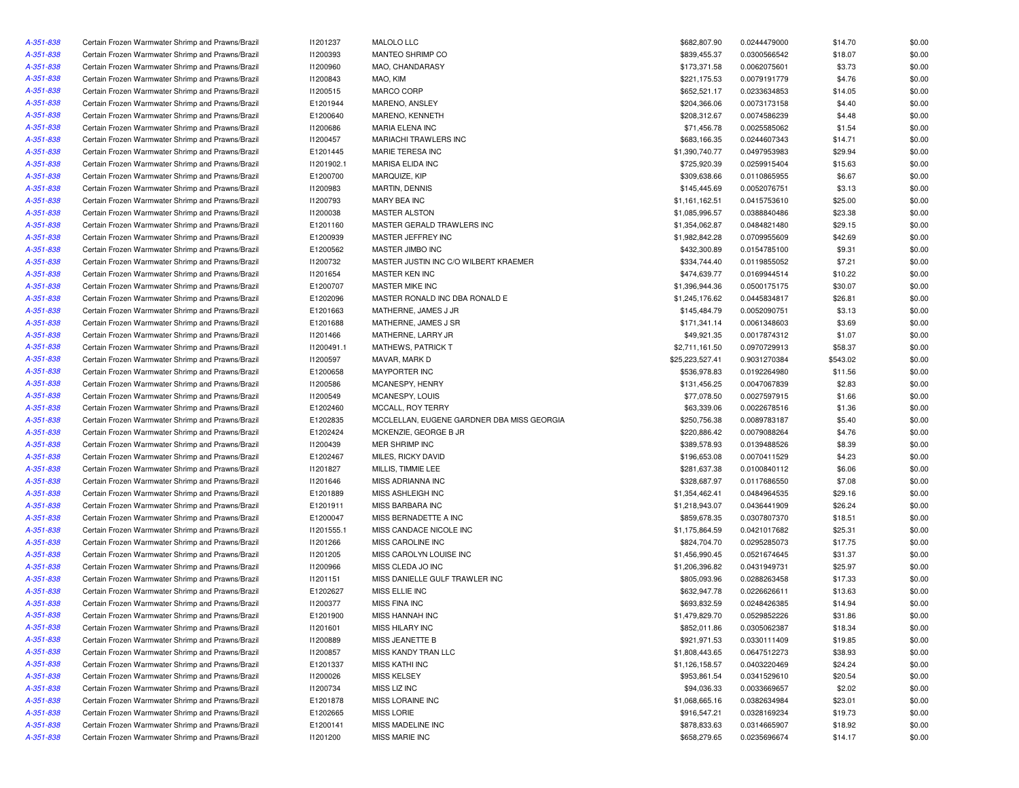| A-351-838 | Certain Frozen Warmwater Shrimp and Prawns/Brazil                                                      | 11201237   | MALOLO LLC                                 | \$682,807.90    | 0.0244479000 | \$14.70  | \$0.00 |
|-----------|--------------------------------------------------------------------------------------------------------|------------|--------------------------------------------|-----------------|--------------|----------|--------|
| A-351-838 | Certain Frozen Warmwater Shrimp and Prawns/Brazil                                                      | 11200393   | MANTEO SHRIMP CO                           | \$839,455.37    | 0.0300566542 | \$18.07  | \$0.00 |
| A-351-838 | Certain Frozen Warmwater Shrimp and Prawns/Brazil                                                      | 11200960   | MAO, CHANDARASY                            | \$173,371.58    | 0.0062075601 | \$3.73   | \$0.00 |
| A-351-838 | Certain Frozen Warmwater Shrimp and Prawns/Brazil                                                      | 11200843   | MAO, KIM                                   | \$221,175.53    | 0.0079191779 | \$4.76   | \$0.00 |
| A-351-838 | Certain Frozen Warmwater Shrimp and Prawns/Brazil                                                      | I1200515   | MARCO CORP                                 | \$652,521.17    | 0.0233634853 | \$14.05  | \$0.00 |
| A-351-838 | Certain Frozen Warmwater Shrimp and Prawns/Brazil                                                      | E1201944   | MARENO, ANSLEY                             | \$204,366.06    | 0.0073173158 | \$4.40   | \$0.00 |
| A-351-838 | Certain Frozen Warmwater Shrimp and Prawns/Brazil                                                      | E1200640   | MARENO, KENNETH                            | \$208,312.67    | 0.0074586239 | \$4.48   | \$0.00 |
| A-351-838 | Certain Frozen Warmwater Shrimp and Prawns/Brazil                                                      | 11200686   | MARIA ELENA INC                            | \$71,456.78     | 0.0025585062 | \$1.54   | \$0.00 |
| A-351-838 | Certain Frozen Warmwater Shrimp and Prawns/Brazil                                                      | I1200457   | <b>MARIACHI TRAWLERS INC</b>               | \$683,166.35    | 0.0244607343 | \$14.71  | \$0.00 |
| A-351-838 | Certain Frozen Warmwater Shrimp and Prawns/Brazil                                                      | E1201445   | MARIE TERESA INC                           | \$1,390,740.77  | 0.0497953983 | \$29.94  | \$0.00 |
| A-351-838 | Certain Frozen Warmwater Shrimp and Prawns/Brazil                                                      | 11201902.1 | MARISA ELIDA INC                           | \$725,920.39    | 0.0259915404 | \$15.63  | \$0.00 |
| A-351-838 | Certain Frozen Warmwater Shrimp and Prawns/Brazil                                                      | E1200700   | MARQUIZE, KIP                              | \$309,638.66    | 0.0110865955 | \$6.67   | \$0.00 |
| A-351-838 | Certain Frozen Warmwater Shrimp and Prawns/Brazil                                                      | 11200983   | MARTIN, DENNIS                             | \$145,445.69    | 0.0052076751 | \$3.13   | \$0.00 |
| A-351-838 | Certain Frozen Warmwater Shrimp and Prawns/Brazil                                                      | 11200793   | MARY BEA INC                               | \$1,161,162.51  | 0.0415753610 | \$25.00  | \$0.00 |
| A-351-838 | Certain Frozen Warmwater Shrimp and Prawns/Brazil                                                      | 11200038   | <b>MASTER ALSTON</b>                       | \$1,085,996.57  | 0.0388840486 | \$23.38  | \$0.00 |
| A-351-838 | Certain Frozen Warmwater Shrimp and Prawns/Brazil                                                      | E1201160   | MASTER GERALD TRAWLERS INC                 | \$1,354,062.87  | 0.0484821480 | \$29.15  | \$0.00 |
| A-351-838 | Certain Frozen Warmwater Shrimp and Prawns/Brazil                                                      | E1200939   | MASTER JEFFREY INC                         | \$1,982,842.28  | 0.0709955609 | \$42.69  | \$0.00 |
| A-351-838 | Certain Frozen Warmwater Shrimp and Prawns/Brazil                                                      | E1200562   | MASTER JIMBO INC                           | \$432,300.89    | 0.0154785100 | \$9.31   | \$0.00 |
| A-351-838 | Certain Frozen Warmwater Shrimp and Prawns/Brazil                                                      | 11200732   | MASTER JUSTIN INC C/O WILBERT KRAEMER      | \$334,744.40    | 0.0119855052 | \$7.21   | \$0.00 |
| A-351-838 |                                                                                                        | 11201654   | MASTER KEN INC                             | \$474,639.77    |              | \$10.22  | \$0.00 |
|           | Certain Frozen Warmwater Shrimp and Prawns/Brazil                                                      |            |                                            |                 | 0.0169944514 |          |        |
| A-351-838 | Certain Frozen Warmwater Shrimp and Prawns/Brazil                                                      | E1200707   | MASTER MIKE INC                            | \$1,396,944.36  | 0.0500175175 | \$30.07  | \$0.00 |
| A-351-838 | Certain Frozen Warmwater Shrimp and Prawns/Brazil                                                      | E1202096   | MASTER RONALD INC DBA RONALD E             | \$1,245,176.62  | 0.0445834817 | \$26.81  | \$0.00 |
| A-351-838 | Certain Frozen Warmwater Shrimp and Prawns/Brazil                                                      | E1201663   | MATHERNE, JAMES J JR                       | \$145,484.79    | 0.0052090751 | \$3.13   | \$0.00 |
| A-351-838 | Certain Frozen Warmwater Shrimp and Prawns/Brazil                                                      | E1201688   | MATHERNE, JAMES J SR                       | \$171,341.14    | 0.0061348603 | \$3.69   | \$0.00 |
| A-351-838 | Certain Frozen Warmwater Shrimp and Prawns/Brazil                                                      | 11201466   | MATHERNE, LARRY JR                         | \$49,921.35     | 0.0017874312 | \$1.07   | \$0.00 |
| A-351-838 | Certain Frozen Warmwater Shrimp and Prawns/Brazil                                                      | 11200491.1 | MATHEWS, PATRICK T                         | \$2,711,161.50  | 0.0970729913 | \$58.37  | \$0.00 |
| A-351-838 | Certain Frozen Warmwater Shrimp and Prawns/Brazil                                                      | I1200597   | MAVAR, MARK D                              | \$25,223,527.41 | 0.9031270384 | \$543.02 | \$0.00 |
| A-351-838 | Certain Frozen Warmwater Shrimp and Prawns/Brazil                                                      | E1200658   | <b>MAYPORTER INC</b>                       | \$536,978.83    | 0.0192264980 | \$11.56  | \$0.00 |
| A-351-838 | Certain Frozen Warmwater Shrimp and Prawns/Brazil                                                      | 11200586   | MCANESPY, HENRY                            | \$131,456.25    | 0.0047067839 | \$2.83   | \$0.00 |
| A-351-838 | Certain Frozen Warmwater Shrimp and Prawns/Brazil                                                      | 11200549   | MCANESPY, LOUIS                            | \$77,078.50     | 0.0027597915 | \$1.66   | \$0.00 |
| A-351-838 | Certain Frozen Warmwater Shrimp and Prawns/Brazil                                                      | E1202460   | MCCALL, ROY TERRY                          | \$63,339.06     | 0.0022678516 | \$1.36   | \$0.00 |
| A-351-838 | Certain Frozen Warmwater Shrimp and Prawns/Brazil                                                      | E1202835   | MCCLELLAN, EUGENE GARDNER DBA MISS GEORGIA | \$250,756.38    | 0.0089783187 | \$5.40   | \$0.00 |
| A-351-838 | Certain Frozen Warmwater Shrimp and Prawns/Brazil                                                      | E1202424   | MCKENZIE, GEORGE B JR                      | \$220,886.42    | 0.0079088264 | \$4.76   | \$0.00 |
| A-351-838 | Certain Frozen Warmwater Shrimp and Prawns/Brazil                                                      | 11200439   | MER SHRIMP INC                             | \$389,578.93    | 0.0139488526 | \$8.39   | \$0.00 |
| A-351-838 | Certain Frozen Warmwater Shrimp and Prawns/Brazil                                                      | E1202467   | MILES, RICKY DAVID                         | \$196,653.08    | 0.0070411529 | \$4.23   | \$0.00 |
| A-351-838 | Certain Frozen Warmwater Shrimp and Prawns/Brazil                                                      | 11201827   | MILLIS, TIMMIE LEE                         | \$281,637.38    | 0.0100840112 | \$6.06   | \$0.00 |
| A-351-838 | Certain Frozen Warmwater Shrimp and Prawns/Brazil                                                      | 11201646   | MISS ADRIANNA INC                          | \$328,687.97    | 0.0117686550 | \$7.08   | \$0.00 |
| A-351-838 | Certain Frozen Warmwater Shrimp and Prawns/Brazil                                                      | E1201889   | MISS ASHLEIGH INC                          | \$1,354,462.41  | 0.0484964535 | \$29.16  | \$0.00 |
| A-351-838 | Certain Frozen Warmwater Shrimp and Prawns/Brazil                                                      | E1201911   | MISS BARBARA INC                           | \$1,218,943.07  | 0.0436441909 | \$26.24  | \$0.00 |
| A-351-838 | Certain Frozen Warmwater Shrimp and Prawns/Brazil                                                      | E1200047   | MISS BERNADETTE A INC                      | \$859,678.35    | 0.0307807370 | \$18.51  | \$0.00 |
| A-351-838 | Certain Frozen Warmwater Shrimp and Prawns/Brazil                                                      | 11201555.1 | MISS CANDACE NICOLE INC                    | \$1,175,864.59  | 0.0421017682 | \$25.31  | \$0.00 |
| A-351-838 | Certain Frozen Warmwater Shrimp and Prawns/Brazil                                                      | 11201266   | MISS CAROLINE INC                          | \$824,704.70    | 0.0295285073 | \$17.75  | \$0.00 |
| A-351-838 | Certain Frozen Warmwater Shrimp and Prawns/Brazil                                                      | 11201205   | MISS CAROLYN LOUISE INC                    | \$1,456,990.45  | 0.0521674645 | \$31.37  | \$0.00 |
| A-351-838 | Certain Frozen Warmwater Shrimp and Prawns/Brazil                                                      | 11200966   | MISS CLEDA JO INC                          | \$1,206,396.82  | 0.0431949731 | \$25.97  | \$0.00 |
| A-351-838 | Certain Frozen Warmwater Shrimp and Prawns/Brazil                                                      | 11201151   | MISS DANIELLE GULF TRAWLER INC             | \$805,093.96    | 0.0288263458 | \$17.33  | \$0.00 |
| A-351-838 | Certain Frozen Warmwater Shrimp and Prawns/Brazil                                                      | E1202627   | MISS ELLIE INC                             | \$632,947.78    | 0.0226626611 | \$13.63  | \$0.00 |
| A-351-838 | Certain Frozen Warmwater Shrimp and Prawns/Brazil                                                      | 11200377   | <b>MISS FINA INC</b>                       | \$693,832.59    | 0.0248426385 | \$14.94  | \$0.00 |
| A-351-838 | Certain Frozen Warmwater Shrimp and Prawns/Brazil                                                      | E1201900   | MISS HANNAH INC                            | \$1,479,829.70  | 0.0529852226 | \$31.86  | \$0.00 |
|           |                                                                                                        |            |                                            |                 |              |          |        |
| A-351-838 | Certain Frozen Warmwater Shrimp and Prawns/Brazil<br>Certain Frozen Warmwater Shrimp and Prawns/Brazil | 11201601   | MISS HILARY INC                            | \$852,011.86    | 0.0305062387 | \$18.34  | \$0.00 |
| A-351-838 |                                                                                                        | 11200889   | MISS JEANETTE B                            | \$921,971.53    | 0.0330111409 | \$19.85  | \$0.00 |
| A-351-838 | Certain Frozen Warmwater Shrimp and Prawns/Brazil                                                      | 11200857   | MISS KANDY TRAN LLC                        | \$1,808,443.65  | 0.0647512273 | \$38.93  | \$0.00 |
| A-351-838 | Certain Frozen Warmwater Shrimp and Prawns/Brazil                                                      | E1201337   | <b>MISS KATHI INC</b>                      | \$1,126,158.57  | 0.0403220469 | \$24.24  | \$0.00 |
| A-351-838 | Certain Frozen Warmwater Shrimp and Prawns/Brazil                                                      | 11200026   | <b>MISS KELSEY</b>                         | \$953,861.54    | 0.0341529610 | \$20.54  | \$0.00 |
| A-351-838 | Certain Frozen Warmwater Shrimp and Prawns/Brazil                                                      | 11200734   | MISS LIZ INC                               | \$94,036.33     | 0.0033669657 | \$2.02   | \$0.00 |
| A-351-838 | Certain Frozen Warmwater Shrimp and Prawns/Brazil                                                      | E1201878   | MISS LORAINE INC                           | \$1,068,665.16  | 0.0382634984 | \$23.01  | \$0.00 |
| A-351-838 | Certain Frozen Warmwater Shrimp and Prawns/Brazil                                                      | E1202665   | MISS LORIE                                 | \$916,547.21    | 0.0328169234 | \$19.73  | \$0.00 |
| A-351-838 | Certain Frozen Warmwater Shrimp and Prawns/Brazil                                                      | E1200141   | MISS MADELINE INC                          | \$878,833.63    | 0.0314665907 | \$18.92  | \$0.00 |
| A-351-838 | Certain Frozen Warmwater Shrimp and Prawns/Brazil                                                      | 11201200   | MISS MARIE INC                             | \$658,279.65    | 0.0235696674 | \$14.17  | \$0.00 |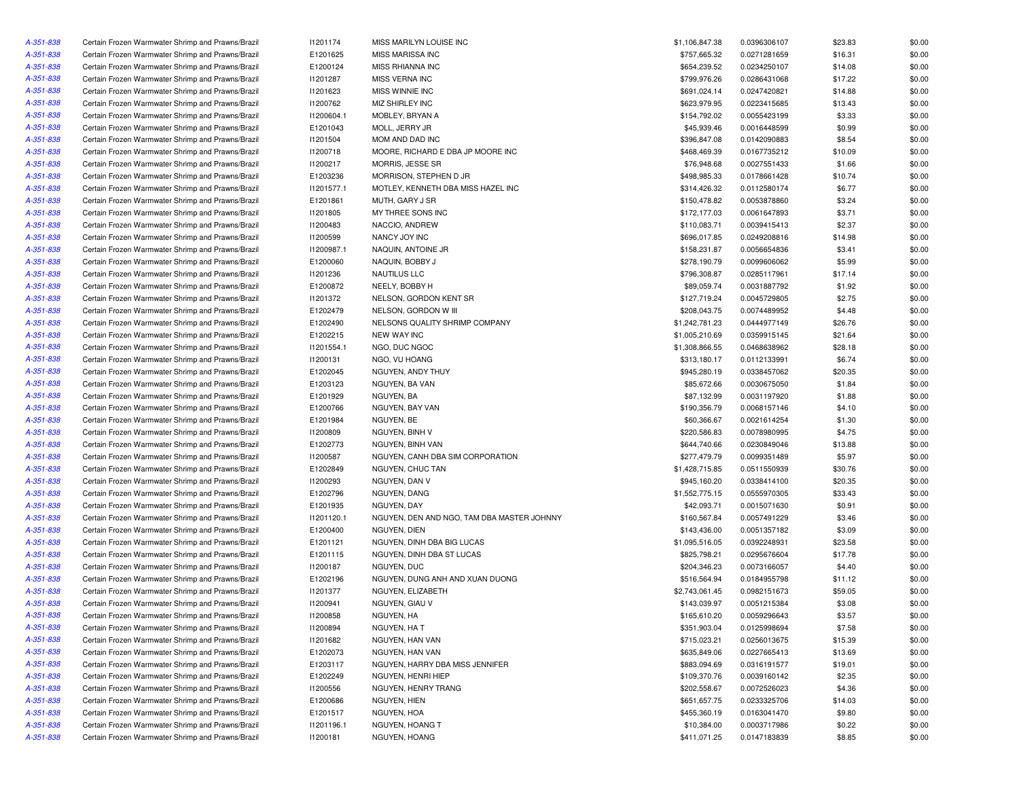| A-351-838 | Certain Frozen Warmwater Shrimp and Prawns/Brazil | 11201174   | MISS MARILYN LOUISE INC                    | \$1,106,847.38 | 0.0396306107 | \$23.83 | \$0.00 |
|-----------|---------------------------------------------------|------------|--------------------------------------------|----------------|--------------|---------|--------|
| A-351-838 | Certain Frozen Warmwater Shrimp and Prawns/Brazil | E1201625   | MISS MARISSA INC                           | \$757,665.32   | 0.0271281659 | \$16.31 | \$0.00 |
| A-351-838 | Certain Frozen Warmwater Shrimp and Prawns/Brazil | E1200124   | MISS RHIANNA INC                           | \$654,239.52   | 0.0234250107 | \$14.08 | \$0.00 |
| A-351-838 | Certain Frozen Warmwater Shrimp and Prawns/Brazil | 11201287   | <b>MISS VERNA INC</b>                      | \$799,976.26   | 0.0286431068 | \$17.22 | \$0.00 |
| A-351-838 | Certain Frozen Warmwater Shrimp and Prawns/Brazil | 11201623   | MISS WINNIE INC                            | \$691,024.14   | 0.0247420821 | \$14.88 | \$0.00 |
| A-351-838 | Certain Frozen Warmwater Shrimp and Prawns/Brazil | 11200762   | MIZ SHIRLEY INC                            | \$623,979.95   | 0.0223415685 | \$13.43 | \$0.00 |
| A-351-838 | Certain Frozen Warmwater Shrimp and Prawns/Brazil | 11200604.1 | MOBLEY, BRYAN A                            | \$154,792.02   | 0.0055423199 | \$3.33  | \$0.00 |
| A-351-838 | Certain Frozen Warmwater Shrimp and Prawns/Brazil | E1201043   | MOLL, JERRY JR                             | \$45,939.46    | 0.0016448599 | \$0.99  | \$0.00 |
| A-351-838 | Certain Frozen Warmwater Shrimp and Prawns/Brazil | 11201504   | MOM AND DAD INC                            | \$396,847.08   | 0.0142090883 | \$8.54  | \$0.00 |
| A-351-838 | Certain Frozen Warmwater Shrimp and Prawns/Brazil | 11200718   | MOORE, RICHARD E DBA JP MOORE INC          | \$468,469.39   | 0.0167735212 | \$10.09 | \$0.00 |
| A-351-838 | Certain Frozen Warmwater Shrimp and Prawns/Brazil | 11200217   | MORRIS, JESSE SR                           | \$76,948.68    | 0.0027551433 | \$1.66  | \$0.00 |
| A-351-838 | Certain Frozen Warmwater Shrimp and Prawns/Brazil | E1203236   | MORRISON, STEPHEN D JR                     | \$498,985.33   | 0.0178661428 | \$10.74 | \$0.00 |
| A-351-838 | Certain Frozen Warmwater Shrimp and Prawns/Brazil | 11201577.1 | MOTLEY, KENNETH DBA MISS HAZEL INC         | \$314,426.32   | 0.0112580174 | \$6.77  | \$0.00 |
| A-351-838 | Certain Frozen Warmwater Shrimp and Prawns/Brazil | E1201861   | MUTH, GARY J SR                            | \$150,478.82   | 0.0053878860 | \$3.24  | \$0.00 |
| A-351-838 | Certain Frozen Warmwater Shrimp and Prawns/Brazil | 11201805   | MY THREE SONS INC                          | \$172,177.03   | 0.0061647893 | \$3.71  | \$0.00 |
| A-351-838 | Certain Frozen Warmwater Shrimp and Prawns/Brazil | 11200483   | NACCIO, ANDREW                             | \$110,083.71   | 0.0039415413 | \$2.37  | \$0.00 |
| A-351-838 | Certain Frozen Warmwater Shrimp and Prawns/Brazil | I1200599   | NANCY JOY INC                              | \$696,017.85   | 0.0249208816 | \$14.98 | \$0.00 |
| A-351-838 | Certain Frozen Warmwater Shrimp and Prawns/Brazil | 11200987.1 | NAQUIN, ANTOINE JR                         | \$158,231.87   | 0.0056654836 | \$3.41  | \$0.00 |
| A-351-838 | Certain Frozen Warmwater Shrimp and Prawns/Brazil | E1200060   | NAQUIN, BOBBY J                            | \$278,190.79   | 0.0099606062 | \$5.99  | \$0.00 |
| A-351-838 | Certain Frozen Warmwater Shrimp and Prawns/Brazil | 11201236   | NAUTILUS LLC                               | \$796,308.87   | 0.0285117961 | \$17.14 | \$0.00 |
|           |                                                   |            |                                            |                |              |         |        |
| A-351-838 | Certain Frozen Warmwater Shrimp and Prawns/Brazil | E1200872   | NEELY, BOBBY H                             | \$89,059.74    | 0.0031887792 | \$1.92  | \$0.00 |
| A-351-838 | Certain Frozen Warmwater Shrimp and Prawns/Brazil | 11201372   | NELSON, GORDON KENT SR                     | \$127,719.24   | 0.0045729805 | \$2.75  | \$0.00 |
| A-351-838 | Certain Frozen Warmwater Shrimp and Prawns/Brazil | E1202479   | NELSON, GORDON W III                       | \$208,043.75   | 0.0074489952 | \$4.48  | \$0.00 |
| A-351-838 | Certain Frozen Warmwater Shrimp and Prawns/Brazil | E1202490   | NELSONS QUALITY SHRIMP COMPANY             | \$1,242,781.23 | 0.0444977149 | \$26.76 | \$0.00 |
| A-351-838 | Certain Frozen Warmwater Shrimp and Prawns/Brazil | E1202215   | <b>NEW WAY INC</b>                         | \$1,005,210.69 | 0.0359915145 | \$21.64 | \$0.00 |
| A-351-838 | Certain Frozen Warmwater Shrimp and Prawns/Brazil | 11201554.1 | NGO, DUC NGOC                              | \$1,308,866.55 | 0.0468638962 | \$28.18 | \$0.00 |
| A-351-838 | Certain Frozen Warmwater Shrimp and Prawns/Brazil | 11200131   | NGO. VU HOANG                              | \$313,180.17   | 0.0112133991 | \$6.74  | \$0.00 |
| A-351-838 | Certain Frozen Warmwater Shrimp and Prawns/Brazil | E1202045   | NGUYEN, ANDY THUY                          | \$945,280.19   | 0.0338457062 | \$20.35 | \$0.00 |
| A-351-838 | Certain Frozen Warmwater Shrimp and Prawns/Brazil | E1203123   | NGUYEN, BA VAN                             | \$85,672.66    | 0.0030675050 | \$1.84  | \$0.00 |
| A-351-838 | Certain Frozen Warmwater Shrimp and Prawns/Brazil | E1201929   | NGUYEN, BA                                 | \$87,132.99    | 0.0031197920 | \$1.88  | \$0.00 |
| A-351-838 | Certain Frozen Warmwater Shrimp and Prawns/Brazil | E1200766   | NGUYEN, BAY VAN                            | \$190,356.79   | 0.0068157146 | \$4.10  | \$0.00 |
| A-351-838 | Certain Frozen Warmwater Shrimp and Prawns/Brazil | E1201984   | NGUYEN, BE                                 | \$60,366.67    | 0.0021614254 | \$1.30  | \$0.00 |
| A-351-838 | Certain Frozen Warmwater Shrimp and Prawns/Brazil | 11200809   | NGUYEN, BINH V                             | \$220,586.83   | 0.0078980995 | \$4.75  | \$0.00 |
| A-351-838 | Certain Frozen Warmwater Shrimp and Prawns/Brazil | E1202773   | NGUYEN, BINH VAN                           | \$644,740.66   | 0.0230849046 | \$13.88 | \$0.00 |
| A-351-838 | Certain Frozen Warmwater Shrimp and Prawns/Brazil | I1200587   | NGUYEN, CANH DBA SIM CORPORATION           | \$277,479.79   | 0.0099351489 | \$5.97  | \$0.00 |
| A-351-838 | Certain Frozen Warmwater Shrimp and Prawns/Brazil | E1202849   | NGUYEN, CHUC TAN                           | \$1,428,715.85 | 0.0511550939 | \$30.76 | \$0.00 |
| A-351-838 | Certain Frozen Warmwater Shrimp and Prawns/Brazil | 11200293   | NGUYEN, DAN V                              | \$945,160.20   | 0.0338414100 | \$20.35 | \$0.00 |
| A-351-838 | Certain Frozen Warmwater Shrimp and Prawns/Brazil | E1202796   | NGUYEN, DANG                               | \$1,552,775.15 | 0.0555970305 | \$33.43 | \$0.00 |
| A-351-838 | Certain Frozen Warmwater Shrimp and Prawns/Brazil | E1201935   | NGUYEN, DAY                                | \$42,093.71    | 0.0015071630 | \$0.91  | \$0.00 |
| A-351-838 | Certain Frozen Warmwater Shrimp and Prawns/Brazil | 11201120.1 | NGUYEN, DEN AND NGO, TAM DBA MASTER JOHNNY | \$160,567.84   | 0.0057491229 | \$3.46  | \$0.00 |
| A-351-838 | Certain Frozen Warmwater Shrimp and Prawns/Brazil | E1200400   | NGUYEN, DIEN                               | \$143,436.00   | 0.0051357182 | \$3.09  | \$0.00 |
| A-351-838 | Certain Frozen Warmwater Shrimp and Prawns/Brazil | E1201121   | NGUYEN, DINH DBA BIG LUCAS                 | \$1,095,516.05 | 0.0392248931 | \$23.58 | \$0.00 |
| A-351-838 | Certain Frozen Warmwater Shrimp and Prawns/Brazil | E1201115   | NGUYEN, DINH DBA ST LUCAS                  | \$825,798.21   | 0.0295676604 | \$17.78 | \$0.00 |
| A-351-838 | Certain Frozen Warmwater Shrimp and Prawns/Brazil | 11200187   | NGUYEN, DUC                                | \$204,346.23   | 0.0073166057 | \$4.40  | \$0.00 |
| A-351-838 | Certain Frozen Warmwater Shrimp and Prawns/Brazil | E1202196   | NGUYEN, DUNG ANH AND XUAN DUONG            | \$516,564.94   | 0.0184955798 | \$11.12 | \$0.00 |
| A-351-838 | Certain Frozen Warmwater Shrimp and Prawns/Brazil | 11201377   | NGUYEN, ELIZABETH                          | \$2,743,061.45 | 0.0982151673 | \$59.05 | \$0.00 |
| A-351-838 | Certain Frozen Warmwater Shrimp and Prawns/Brazil | 11200941   | NGUYEN, GIAU V                             | \$143,039.97   | 0.0051215384 | \$3.08  | \$0.00 |
| A-351-838 | Certain Frozen Warmwater Shrimp and Prawns/Brazil | 11200858   | NGUYEN, HA                                 | \$165,610.20   | 0.0059296643 | \$3.57  | \$0.00 |
| A-351-838 | Certain Frozen Warmwater Shrimp and Prawns/Brazil | 11200894   | NGUYEN, HA T                               | \$351,903.04   | 0.0125998694 | \$7.58  | \$0.00 |
| A-351-838 | Certain Frozen Warmwater Shrimp and Prawns/Brazil |            | NGUYEN, HAN VAN                            | \$715,023.21   |              |         |        |
|           |                                                   | 11201682   |                                            |                | 0.0256013675 | \$15.39 | \$0.00 |
| A-351-838 | Certain Frozen Warmwater Shrimp and Prawns/Brazil | E1202073   | NGUYEN, HAN VAN                            | \$635,849.06   | 0.0227665413 | \$13.69 | \$0.00 |
| A-351-838 | Certain Frozen Warmwater Shrimp and Prawns/Brazil | E1203117   | NGUYEN, HARRY DBA MISS JENNIFER            | \$883,094.69   | 0.0316191577 | \$19.01 | \$0.00 |
| A-351-838 | Certain Frozen Warmwater Shrimp and Prawns/Brazil | E1202249   | NGUYEN, HENRI HIEP                         | \$109,370.76   | 0.0039160142 | \$2.35  | \$0.00 |
| A-351-838 | Certain Frozen Warmwater Shrimp and Prawns/Brazil | 11200556   | NGUYEN, HENRY TRANG                        | \$202,558.67   | 0.0072526023 | \$4.36  | \$0.00 |
| A-351-838 | Certain Frozen Warmwater Shrimp and Prawns/Brazil | E1200686   | NGUYEN, HIEN                               | \$651,657.75   | 0.0233325706 | \$14.03 | \$0.00 |
| A-351-838 | Certain Frozen Warmwater Shrimp and Prawns/Brazil | E1201517   | NGUYEN, HOA                                | \$455,360.19   | 0.0163041470 | \$9.80  | \$0.00 |
| A-351-838 | Certain Frozen Warmwater Shrimp and Prawns/Brazil | 11201196.1 | NGUYEN, HOANG T                            | \$10,384.00    | 0.0003717986 | \$0.22  | \$0.00 |
| A-351-838 | Certain Frozen Warmwater Shrimp and Prawns/Brazil | 11200181   | NGUYEN, HOANG                              | \$411,071.25   | 0.0147183839 | \$8.85  | \$0.00 |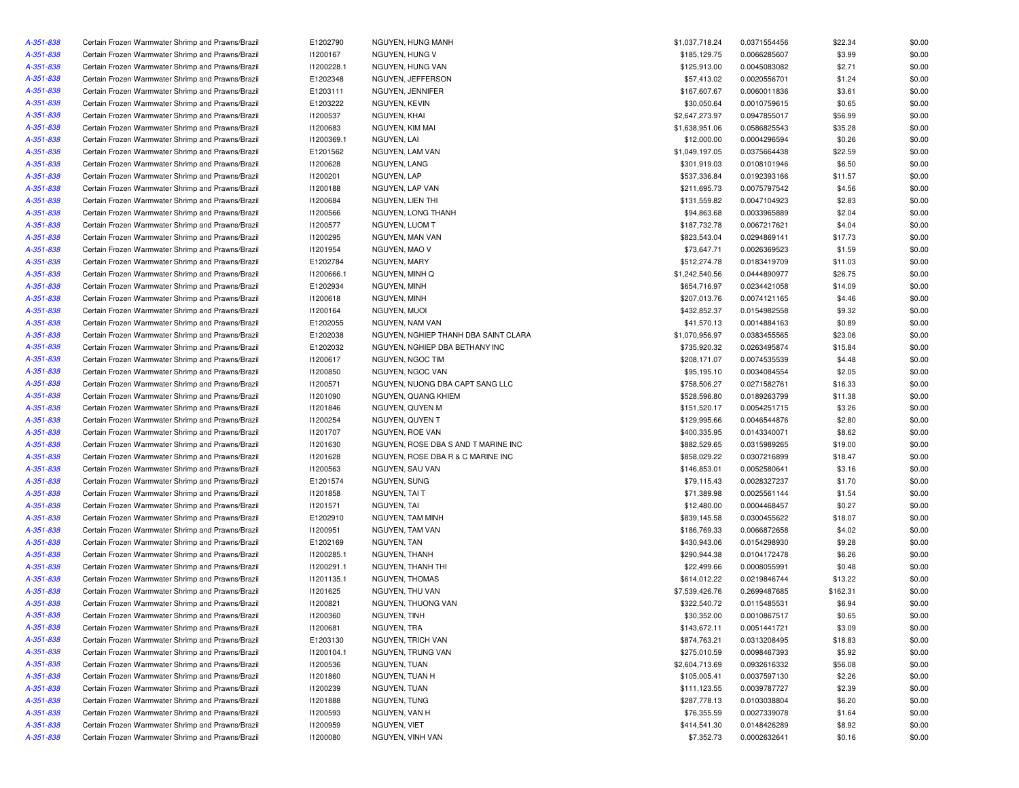| A-351-838 | Certain Frozen Warmwater Shrimp and Prawns/Brazil | E1202790   | NGUYEN, HUNG MANH                    | \$1,037,718.24 | 0.0371554456 | \$22.34  | \$0.00 |
|-----------|---------------------------------------------------|------------|--------------------------------------|----------------|--------------|----------|--------|
| A-351-838 | Certain Frozen Warmwater Shrimp and Prawns/Brazil | 11200167   | NGUYEN, HUNG V                       | \$185,129.75   | 0.0066285607 | \$3.99   | \$0.00 |
| A-351-838 | Certain Frozen Warmwater Shrimp and Prawns/Brazil | 11200228.1 | NGUYEN, HUNG VAN                     | \$125,913.00   | 0.0045083082 | \$2.71   | \$0.00 |
| A-351-838 | Certain Frozen Warmwater Shrimp and Prawns/Brazil | E1202348   | NGUYEN, JEFFERSON                    | \$57,413.02    | 0.0020556701 | \$1.24   | \$0.00 |
| A-351-838 | Certain Frozen Warmwater Shrimp and Prawns/Brazil | E1203111   | NGUYEN, JENNIFER                     | \$167,607.67   | 0.0060011836 | \$3.61   | \$0.00 |
| A-351-838 | Certain Frozen Warmwater Shrimp and Prawns/Brazil | E1203222   | NGUYEN, KEVIN                        | \$30,050.64    | 0.0010759615 | \$0.65   | \$0.00 |
| A-351-838 | Certain Frozen Warmwater Shrimp and Prawns/Brazil | 11200537   | NGUYEN, KHAI                         | \$2,647,273.97 | 0.0947855017 | \$56.99  | \$0.00 |
| A-351-838 | Certain Frozen Warmwater Shrimp and Prawns/Brazil | 11200683   | NGUYEN, KIM MAI                      | \$1,638,951.06 | 0.0586825543 | \$35.28  | \$0.00 |
| A-351-838 | Certain Frozen Warmwater Shrimp and Prawns/Brazil | 11200369.1 | NGUYEN, LAI                          | \$12,000.00    | 0.0004296594 | \$0.26   | \$0.00 |
| A-351-838 | Certain Frozen Warmwater Shrimp and Prawns/Brazil | E1201562   | NGUYEN, LAM VAN                      | \$1,049,197.05 | 0.0375664438 | \$22.59  | \$0.00 |
| A-351-838 | Certain Frozen Warmwater Shrimp and Prawns/Brazil | 11200628   | NGUYEN, LANG                         | \$301,919.03   | 0.0108101946 | \$6.50   | \$0.00 |
| A-351-838 | Certain Frozen Warmwater Shrimp and Prawns/Brazil | 11200201   | NGUYEN, LAP                          | \$537,336.84   | 0.0192393166 | \$11.57  | \$0.00 |
| A-351-838 | Certain Frozen Warmwater Shrimp and Prawns/Brazil | 11200188   | NGUYEN, LAP VAN                      | \$211,695.73   | 0.0075797542 | \$4.56   | \$0.00 |
| A-351-838 | Certain Frozen Warmwater Shrimp and Prawns/Brazil | 11200684   | NGUYEN, LIEN THI                     | \$131,559.82   | 0.0047104923 | \$2.83   | \$0.00 |
| A-351-838 | Certain Frozen Warmwater Shrimp and Prawns/Brazil | 11200566   | NGUYEN, LONG THANH                   | \$94,863.68    | 0.0033965889 | \$2.04   | \$0.00 |
| A-351-838 | Certain Frozen Warmwater Shrimp and Prawns/Brazil | 11200577   | NGUYEN, LUOM T                       | \$187,732.78   | 0.0067217621 | \$4.04   | \$0.00 |
| A-351-838 | Certain Frozen Warmwater Shrimp and Prawns/Brazil | 11200295   | NGUYEN, MAN VAN                      | \$823,543.04   | 0.0294869141 | \$17.73  | \$0.00 |
| A-351-838 | Certain Frozen Warmwater Shrimp and Prawns/Brazil | 11201954   | NGUYEN, MAO V                        | \$73,647.71    | 0.0026369523 | \$1.59   | \$0.00 |
| A-351-838 | Certain Frozen Warmwater Shrimp and Prawns/Brazil | E1202784   | NGUYEN, MARY                         | \$512,274.78   | 0.0183419709 | \$11.03  | \$0.00 |
|           |                                                   |            |                                      |                |              |          |        |
| A-351-838 | Certain Frozen Warmwater Shrimp and Prawns/Brazil | I1200666.1 | NGUYEN, MINH Q                       | \$1,242,540.56 | 0.0444890977 | \$26.75  | \$0.00 |
| A-351-838 | Certain Frozen Warmwater Shrimp and Prawns/Brazil | E1202934   | NGUYEN, MINH                         | \$654,716.97   | 0.0234421058 | \$14.09  | \$0.00 |
| A-351-838 | Certain Frozen Warmwater Shrimp and Prawns/Brazil | 11200618   | NGUYEN, MINH                         | \$207,013.76   | 0.0074121165 | \$4.46   | \$0.00 |
| A-351-838 | Certain Frozen Warmwater Shrimp and Prawns/Brazil | 11200164   | NGUYEN, MUOI                         | \$432,852.37   | 0.0154982558 | \$9.32   | \$0.00 |
| A-351-838 | Certain Frozen Warmwater Shrimp and Prawns/Brazil | E1202055   | NGUYEN. NAM VAN                      | \$41,570.13    | 0.0014884163 | \$0.89   | \$0.00 |
| A-351-838 | Certain Frozen Warmwater Shrimp and Prawns/Brazil | E1202038   | NGUYEN, NGHIEP THANH DBA SAINT CLARA | \$1,070,956.97 | 0.0383455565 | \$23.06  | \$0.00 |
| A-351-838 | Certain Frozen Warmwater Shrimp and Prawns/Brazil | E1202032   | NGUYEN, NGHIEP DBA BETHANY INC       | \$735,920.32   | 0.0263495874 | \$15.84  | \$0.00 |
| A-351-838 | Certain Frozen Warmwater Shrimp and Prawns/Brazil | 11200617   | NGUYEN, NGOC TIM                     | \$208,171.07   | 0.0074535539 | \$4.48   | \$0.00 |
| A-351-838 | Certain Frozen Warmwater Shrimp and Prawns/Brazil | 11200850   | NGUYEN, NGOC VAN                     | \$95,195.10    | 0.0034084554 | \$2.05   | \$0.00 |
| A-351-838 | Certain Frozen Warmwater Shrimp and Prawns/Brazil | 11200571   | NGUYEN, NUONG DBA CAPT SANG LLC      | \$758,506.27   | 0.0271582761 | \$16.33  | \$0.00 |
| A-351-838 | Certain Frozen Warmwater Shrimp and Prawns/Brazil | 11201090   | NGUYEN, QUANG KHIEM                  | \$528,596.80   | 0.0189263799 | \$11.38  | \$0.00 |
| A-351-838 | Certain Frozen Warmwater Shrimp and Prawns/Brazil | 11201846   | NGUYEN, QUYEN M                      | \$151,520.17   | 0.0054251715 | \$3.26   | \$0.00 |
| A-351-838 | Certain Frozen Warmwater Shrimp and Prawns/Brazil | 11200254   | NGUYEN, QUYEN T                      | \$129,995.66   | 0.0046544876 | \$2.80   | \$0.00 |
| A-351-838 | Certain Frozen Warmwater Shrimp and Prawns/Brazil | 11201707   | NGUYEN, ROE VAN                      | \$400,335.95   | 0.0143340071 | \$8.62   | \$0.00 |
| A-351-838 | Certain Frozen Warmwater Shrimp and Prawns/Brazil | 11201630   | NGUYEN, ROSE DBA S AND T MARINE INC  | \$882,529.65   | 0.0315989265 | \$19.00  | \$0.00 |
| A-351-838 | Certain Frozen Warmwater Shrimp and Prawns/Brazil | 11201628   | NGUYEN, ROSE DBA R & C MARINE INC    | \$858,029.22   | 0.0307216899 | \$18.47  | \$0.00 |
| A-351-838 | Certain Frozen Warmwater Shrimp and Prawns/Brazil | 11200563   | NGUYEN, SAU VAN                      | \$146,853.01   | 0.0052580641 | \$3.16   | \$0.00 |
| A-351-838 | Certain Frozen Warmwater Shrimp and Prawns/Brazil | E1201574   | NGUYEN, SUNG                         | \$79,115.43    | 0.0028327237 | \$1.70   | \$0.00 |
| A-351-838 | Certain Frozen Warmwater Shrimp and Prawns/Brazil | 11201858   | NGUYEN, TAI T                        | \$71,389.98    | 0.0025561144 | \$1.54   | \$0.00 |
| A-351-838 | Certain Frozen Warmwater Shrimp and Prawns/Brazil | 11201571   | NGUYEN, TAI                          | \$12,480.00    | 0.0004468457 | \$0.27   | \$0.00 |
| A-351-838 | Certain Frozen Warmwater Shrimp and Prawns/Brazil | E1202910   | NGUYEN, TAM MINH                     | \$839,145.58   | 0.0300455622 | \$18.07  | \$0.00 |
| A-351-838 | Certain Frozen Warmwater Shrimp and Prawns/Brazil | 11200951   | NGUYEN, TAM VAN                      | \$186,769.33   | 0.0066872658 | \$4.02   | \$0.00 |
| A-351-838 | Certain Frozen Warmwater Shrimp and Prawns/Brazil | E1202169   | NGUYEN, TAN                          | \$430,943.06   | 0.0154298930 | \$9.28   | \$0.00 |
| A-351-838 | Certain Frozen Warmwater Shrimp and Prawns/Brazil | 11200285.1 | NGUYEN, THANH                        | \$290,944.38   | 0.0104172478 | \$6.26   | \$0.00 |
| A-351-838 | Certain Frozen Warmwater Shrimp and Prawns/Brazil | 11200291.1 | NGUYEN, THANH THI                    | \$22,499.66    | 0.0008055991 | \$0.48   | \$0.00 |
| A-351-838 | Certain Frozen Warmwater Shrimp and Prawns/Brazil | 11201135.1 | NGUYEN, THOMAS                       | \$614,012.22   | 0.0219846744 | \$13.22  | \$0.00 |
| A-351-838 | Certain Frozen Warmwater Shrimp and Prawns/Brazil | 11201625   | NGUYEN, THU VAN                      | \$7,539,426.76 | 0.2699487685 | \$162.31 | \$0.00 |
| A-351-838 | Certain Frozen Warmwater Shrimp and Prawns/Brazil | 11200821   | NGUYEN, THUONG VAN                   | \$322,540.72   | 0.0115485531 | \$6.94   | \$0.00 |
| A-351-838 | Certain Frozen Warmwater Shrimp and Prawns/Brazil | 11200360   | NGUYEN, TINH                         | \$30,352.00    | 0.0010867517 | \$0.65   | \$0.00 |
| A-351-838 | Certain Frozen Warmwater Shrimp and Prawns/Brazil | 11200681   | NGUYEN, TRA                          | \$143,672.11   | 0.0051441721 | \$3.09   | \$0.00 |
| A-351-838 | Certain Frozen Warmwater Shrimp and Prawns/Brazil | E1203130   | NGUYEN, TRICH VAN                    | \$874,763.21   | 0.0313208495 | \$18.83  | \$0.00 |
| A-351-838 | Certain Frozen Warmwater Shrimp and Prawns/Brazil | 11200104.1 | NGUYEN, TRUNG VAN                    | \$275,010.59   | 0.0098467393 | \$5.92   | \$0.00 |
|           | Certain Frozen Warmwater Shrimp and Prawns/Brazil |            |                                      |                |              |          |        |
| A-351-838 |                                                   | 11200536   | NGUYEN, TUAN                         | \$2,604,713.69 | 0.0932616332 | \$56.08  | \$0.00 |
| A-351-838 | Certain Frozen Warmwater Shrimp and Prawns/Brazil | 11201860   | NGUYEN, TUAN H                       | \$105,005.41   | 0.0037597130 | \$2.26   | \$0.00 |
| A-351-838 | Certain Frozen Warmwater Shrimp and Prawns/Brazil | 11200239   | NGUYEN, TUAN                         | \$111,123.55   | 0.0039787727 | \$2.39   | \$0.00 |
| A-351-838 | Certain Frozen Warmwater Shrimp and Prawns/Brazil | 11201888   | NGUYEN, TUNG                         | \$287,778.13   | 0.0103038804 | \$6.20   | \$0.00 |
| A-351-838 | Certain Frozen Warmwater Shrimp and Prawns/Brazil | 11200593   | NGUYEN, VAN H                        | \$76,355.59    | 0.0027339078 | \$1.64   | \$0.00 |
| A-351-838 | Certain Frozen Warmwater Shrimp and Prawns/Brazil | 11200959   | NGUYEN, VIET                         | \$414,541.30   | 0.0148426289 | \$8.92   | \$0.00 |
| A-351-838 | Certain Frozen Warmwater Shrimp and Prawns/Brazil | 11200080   | NGUYEN, VINH VAN                     | \$7,352.73     | 0.0002632641 | \$0.16   | \$0.00 |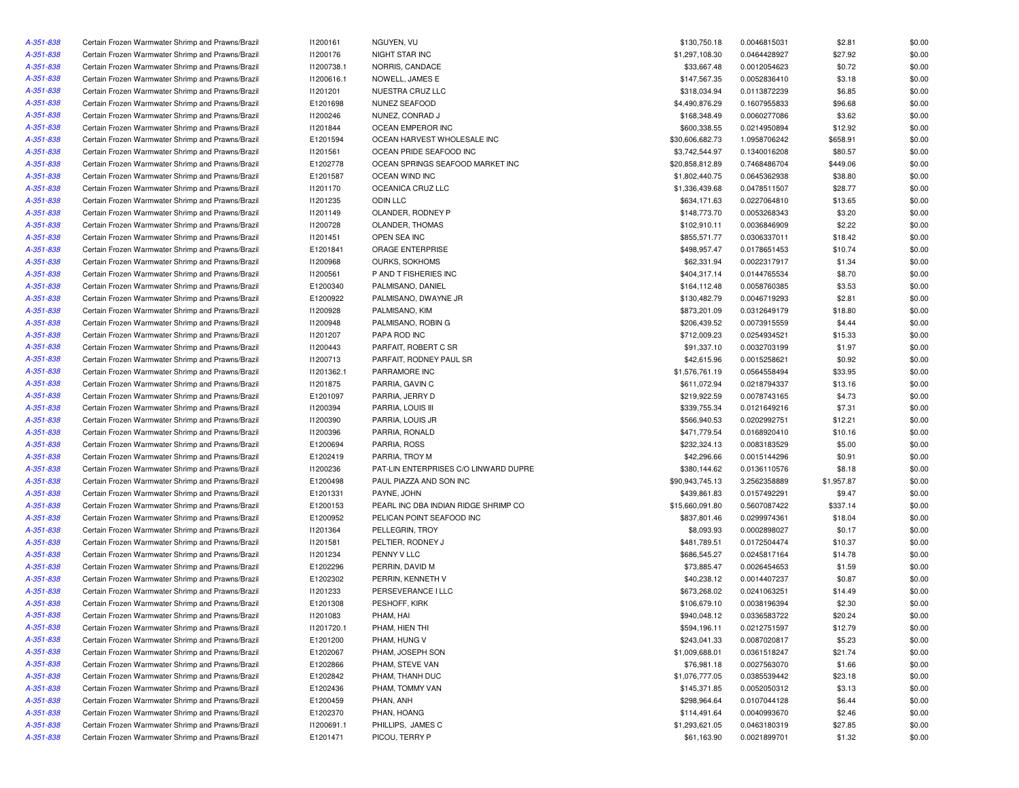| A-351-838              | Certain Frozen Warmwater Shrimp and Prawns/Brazil                                                      | 11200161             | NGUYEN, VU                            | \$130,750.18               | 0.0046815031                 | \$2.81            | \$0.00           |
|------------------------|--------------------------------------------------------------------------------------------------------|----------------------|---------------------------------------|----------------------------|------------------------------|-------------------|------------------|
| A-351-838              | Certain Frozen Warmwater Shrimp and Prawns/Brazil                                                      | 11200176             | NIGHT STAR INC                        | \$1,297,108.30             | 0.0464428927                 | \$27.92           | \$0.00           |
| A-351-838              | Certain Frozen Warmwater Shrimp and Prawns/Brazil                                                      | 11200738.1           | NORRIS, CANDACE                       | \$33,667.48                | 0.0012054623                 | \$0.72            | \$0.00           |
| A-351-838              | Certain Frozen Warmwater Shrimp and Prawns/Brazil                                                      | 11200616.1           | NOWELL, JAMES E                       | \$147,567.35               | 0.0052836410                 | \$3.18            | \$0.00           |
| A-351-838              | Certain Frozen Warmwater Shrimp and Prawns/Brazil                                                      | 11201201             | NUESTRA CRUZ LLC                      | \$318,034.94               | 0.0113872239                 | \$6.85            | \$0.00           |
| A-351-838              | Certain Frozen Warmwater Shrimp and Prawns/Brazil                                                      | E1201698             | NUNEZ SEAFOOD                         | \$4,490,876.29             | 0.1607955833                 | \$96.68           | \$0.00           |
| A-351-838              | Certain Frozen Warmwater Shrimp and Prawns/Brazil                                                      | 11200246             | NUNEZ, CONRAD J                       | \$168,348.49               | 0.0060277086                 | \$3.62            | \$0.00           |
| A-351-838              | Certain Frozen Warmwater Shrimp and Prawns/Brazil                                                      | 11201844             | OCEAN EMPEROR INC                     | \$600,338.55               | 0.0214950894                 | \$12.92           | \$0.00           |
| A-351-838              | Certain Frozen Warmwater Shrimp and Prawns/Brazil                                                      | E1201594             | OCEAN HARVEST WHOLESALE INC           | \$30,606,682.73            | 1.0958706242                 | \$658.91          | \$0.00           |
| A-351-838              | Certain Frozen Warmwater Shrimp and Prawns/Brazil                                                      | 11201561             | OCEAN PRIDE SEAFOOD INC               | \$3,742,544.97             | 0.1340016208                 | \$80.57           | \$0.00           |
| A-351-838              | Certain Frozen Warmwater Shrimp and Prawns/Brazil                                                      | E1202778             | OCEAN SPRINGS SEAFOOD MARKET INC      | \$20,858,812.89            | 0.7468486704                 | \$449.06          | \$0.00           |
| A-351-838              | Certain Frozen Warmwater Shrimp and Prawns/Brazil                                                      | E1201587             | OCEAN WIND INC                        | \$1,802,440.75             | 0.0645362938                 | \$38.80           | \$0.00           |
| A-351-838              | Certain Frozen Warmwater Shrimp and Prawns/Brazil                                                      | 11201170             | OCEANICA CRUZ LLC                     | \$1,336,439.68             | 0.0478511507                 | \$28.77           | \$0.00           |
| A-351-838              | Certain Frozen Warmwater Shrimp and Prawns/Brazil                                                      | 11201235             | ODIN LLC                              | \$634,171.63               | 0.0227064810                 | \$13.65           | \$0.00           |
| A-351-838              | Certain Frozen Warmwater Shrimp and Prawns/Brazil                                                      | 11201149             | OLANDER, RODNEY P                     | \$148,773.70               | 0.0053268343                 | \$3.20            | \$0.00           |
| A-351-838              | Certain Frozen Warmwater Shrimp and Prawns/Brazil                                                      | 11200728             | OLANDER, THOMAS                       | \$102,910.11               | 0.0036846909                 | \$2.22            | \$0.00           |
| A-351-838              | Certain Frozen Warmwater Shrimp and Prawns/Brazil                                                      | 11201451             | OPEN SEA INC                          | \$855,571.77               | 0.0306337011                 | \$18.42           | \$0.00           |
| A-351-838              | Certain Frozen Warmwater Shrimp and Prawns/Brazil                                                      | E1201841             | ORAGE ENTERPRISE                      | \$498,957.47               | 0.0178651453                 | \$10.74           | \$0.00           |
| A-351-838              | Certain Frozen Warmwater Shrimp and Prawns/Brazil                                                      | 11200968             | OURKS, SOKHOMS                        | \$62,331.94                | 0.0022317917                 | \$1.34            | \$0.00           |
| A-351-838              | Certain Frozen Warmwater Shrimp and Prawns/Brazil                                                      | 11200561             | P AND T FISHERIES INC                 | \$404,317.14               | 0.0144765534                 | \$8.70            | \$0.00           |
| A-351-838              | Certain Frozen Warmwater Shrimp and Prawns/Brazil                                                      | E1200340             | PALMISANO, DANIEL                     | \$164,112.48               | 0.0058760385                 | \$3.53            | \$0.00           |
| A-351-838              | Certain Frozen Warmwater Shrimp and Prawns/Brazil                                                      | E1200922             | PALMISANO, DWAYNE JR                  | \$130,482.79               | 0.0046719293                 | \$2.81            | \$0.00           |
| A-351-838              | Certain Frozen Warmwater Shrimp and Prawns/Brazil                                                      | 11200928             | PALMISANO, KIM                        | \$873,201.09               | 0.0312649179                 | \$18.80           | \$0.00           |
| A-351-838              | Certain Frozen Warmwater Shrimp and Prawns/Brazil                                                      | 11200948             | PALMISANO, ROBIN G                    | \$206,439.52               | 0.0073915559                 | \$4.44            | \$0.00           |
| A-351-838              | Certain Frozen Warmwater Shrimp and Prawns/Brazil                                                      | 11201207             | PAPA ROD INC                          | \$712,009.23               | 0.0254934521                 | \$15.33           | \$0.00           |
| A-351-838              | Certain Frozen Warmwater Shrimp and Prawns/Brazil                                                      | 11200443             | PARFAIT, ROBERT C SR                  | \$91,337.10                | 0.0032703199                 | \$1.97            | \$0.00           |
| A-351-838              | Certain Frozen Warmwater Shrimp and Prawns/Brazil                                                      | 11200713             | PARFAIT, RODNEY PAUL SR               | \$42,615.96                | 0.0015258621                 | \$0.92            | \$0.00           |
| A-351-838              | Certain Frozen Warmwater Shrimp and Prawns/Brazil                                                      | 11201362.1           | PARRAMORE INC                         | \$1,576,761.19             | 0.0564558494                 | \$33.95           | \$0.00           |
| A-351-838              | Certain Frozen Warmwater Shrimp and Prawns/Brazil                                                      | 11201875             | PARRIA, GAVIN C                       | \$611,072.94               | 0.0218794337                 | \$13.16           | \$0.00           |
| A-351-838              | Certain Frozen Warmwater Shrimp and Prawns/Brazil                                                      | E1201097             | PARRIA, JERRY D                       | \$219,922.59               | 0.0078743165                 | \$4.73            | \$0.00           |
| A-351-838              | Certain Frozen Warmwater Shrimp and Prawns/Brazil                                                      | 11200394             | PARRIA, LOUIS III                     | \$339,755.34               | 0.0121649216                 | \$7.31            | \$0.00           |
| A-351-838              | Certain Frozen Warmwater Shrimp and Prawns/Brazil                                                      | 11200390             | PARRIA, LOUIS JR                      | \$566,940.53               | 0.0202992751                 | \$12.21           | \$0.00           |
| A-351-838              | Certain Frozen Warmwater Shrimp and Prawns/Brazil                                                      | 11200396             | PARRIA, RONALD                        | \$471,779.54               | 0.0168920410                 | \$10.16           | \$0.00           |
| A-351-838              | Certain Frozen Warmwater Shrimp and Prawns/Brazil                                                      | E1200694             | PARRIA, ROSS                          | \$232,324.13               | 0.0083183529                 | \$5.00            | \$0.00           |
| A-351-838              | Certain Frozen Warmwater Shrimp and Prawns/Brazil                                                      | E1202419             | PARRIA, TROY M                        | \$42,296.66                | 0.0015144296                 | \$0.91            | \$0.00           |
| A-351-838              | Certain Frozen Warmwater Shrimp and Prawns/Brazil                                                      | 11200236             | PAT-LIN ENTERPRISES C/O LINWARD DUPRE | \$380,144.62               | 0.0136110576                 | \$8.18            | \$0.00           |
| A-351-838              | Certain Frozen Warmwater Shrimp and Prawns/Brazil                                                      | E1200498             | PAUL PIAZZA AND SON INC               | \$90,943,745.13            | 3.2562358889                 | \$1,957.87        | \$0.00           |
| A-351-838              | Certain Frozen Warmwater Shrimp and Prawns/Brazil                                                      | E1201331             | PAYNE, JOHN                           | \$439,861.83               | 0.0157492291                 | \$9.47            | \$0.00           |
| A-351-838              | Certain Frozen Warmwater Shrimp and Prawns/Brazil                                                      | E1200153             | PEARL INC DBA INDIAN RIDGE SHRIMP CO  | \$15,660,091.80            | 0.5607087422                 | \$337.14          | \$0.00           |
| A-351-838              | Certain Frozen Warmwater Shrimp and Prawns/Brazil                                                      | E1200952             | PELICAN POINT SEAFOOD INC             | \$837,801.46               | 0.0299974361                 | \$18.04           | \$0.00           |
| A-351-838              |                                                                                                        |                      | PELLEGRIN, TROY                       |                            |                              |                   |                  |
|                        | Certain Frozen Warmwater Shrimp and Prawns/Brazil                                                      | 11201364             | PELTIER, RODNEY J                     | \$8,093.93<br>\$481,789.51 | 0.0002898027                 | \$0.17            | \$0.00           |
| A-351-838              | Certain Frozen Warmwater Shrimp and Prawns/Brazil                                                      | 11201581             | PENNY V LLC                           | \$686,545.27               | 0.0172504474                 | \$10.37           | \$0.00<br>\$0.00 |
| A-351-838<br>A-351-838 | Certain Frozen Warmwater Shrimp and Prawns/Brazil<br>Certain Frozen Warmwater Shrimp and Prawns/Brazil | 11201234<br>E1202296 | PERRIN, DAVID M                       | \$73,885.47                | 0.0245817164<br>0.0026454653 | \$14.78<br>\$1.59 | \$0.00           |
|                        |                                                                                                        |                      |                                       |                            |                              |                   |                  |
| A-351-838              | Certain Frozen Warmwater Shrimp and Prawns/Brazil                                                      | E1202302             | PERRIN, KENNETH V                     | \$40,238.12                | 0.0014407237                 | \$0.87            | \$0.00           |
| A-351-838              | Certain Frozen Warmwater Shrimp and Prawns/Brazil                                                      | 11201233             | PERSEVERANCE I LLC                    | \$673,268.02               | 0.0241063251                 | \$14.49           | \$0.00           |
| A-351-838              | Certain Frozen Warmwater Shrimp and Prawns/Brazil                                                      | E1201308             | PESHOFF, KIRK                         | \$106,679.10               | 0.0038196394                 | \$2.30            | \$0.00           |
| A-351-838              | Certain Frozen Warmwater Shrimp and Prawns/Brazil                                                      | 11201083             | PHAM, HAI                             | \$940,048.12               | 0.0336583722                 | \$20.24           | \$0.00           |
| A-351-838              | Certain Frozen Warmwater Shrimp and Prawns/Brazil                                                      | 11201720.1           | PHAM, HIEN THI                        | \$594,196.11               | 0.0212751597                 | \$12.79           | \$0.00           |
| A-351-838              | Certain Frozen Warmwater Shrimp and Prawns/Brazil                                                      | E1201200             | PHAM, HUNG V                          | \$243,041.33               | 0.0087020817                 | \$5.23            | \$0.00           |
| A-351-838              | Certain Frozen Warmwater Shrimp and Prawns/Brazil                                                      | E1202067             | PHAM, JOSEPH SON                      | \$1,009,688.01             | 0.0361518247                 | \$21.74           | \$0.00           |
| A-351-838              | Certain Frozen Warmwater Shrimp and Prawns/Brazil                                                      | E1202866             | PHAM, STEVE VAN                       | \$76,981.18                | 0.0027563070                 | \$1.66            | \$0.00           |
| A-351-838              | Certain Frozen Warmwater Shrimp and Prawns/Brazil                                                      | E1202842             | PHAM, THANH DUC                       | \$1,076,777.05             | 0.0385539442                 | \$23.18           | \$0.00           |
| A-351-838              | Certain Frozen Warmwater Shrimp and Prawns/Brazil                                                      | E1202436             | PHAM, TOMMY VAN                       | \$145,371.85               | 0.0052050312                 | \$3.13            | \$0.00           |
| A-351-838              | Certain Frozen Warmwater Shrimp and Prawns/Brazil                                                      | E1200459             | PHAN, ANH                             | \$298,964.64               | 0.0107044128                 | \$6.44            | \$0.00           |
| A-351-838              | Certain Frozen Warmwater Shrimp and Prawns/Brazil                                                      | E1202370             | PHAN, HOANG                           | \$114,491.64               | 0.0040993670                 | \$2.46            | \$0.00           |
| A-351-838              | Certain Frozen Warmwater Shrimp and Prawns/Brazil                                                      | 11200691.1           | PHILLIPS, JAMES C                     | \$1,293,621.05             | 0.0463180319                 | \$27.85           | \$0.00           |
| A-351-838              | Certain Frozen Warmwater Shrimp and Prawns/Brazil                                                      | E1201471             | PICOU, TERRY P                        | \$61,163.90                | 0.0021899701                 | \$1.32            | \$0.00           |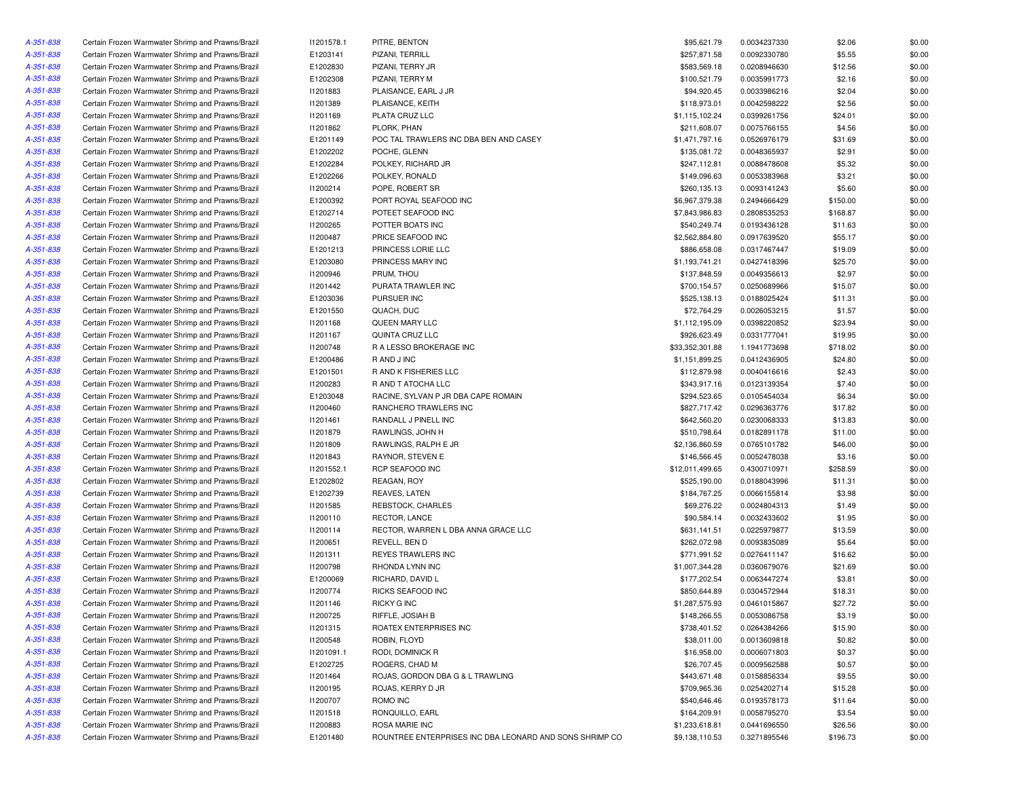| A-351-838 | Certain Frozen Warmwater Shrimp and Prawns/Brazil | 11201578.1      | PITRE, BENTON                                           | \$95,621.79     | 0.0034237330 | \$2.06   | \$0.00 |
|-----------|---------------------------------------------------|-----------------|---------------------------------------------------------|-----------------|--------------|----------|--------|
| A-351-838 | Certain Frozen Warmwater Shrimp and Prawns/Brazil | E1203141        | PIZANI, TERRILL                                         | \$257,871.58    | 0.0092330780 | \$5.55   | \$0.00 |
| A-351-838 | Certain Frozen Warmwater Shrimp and Prawns/Brazil | E1202830        | PIZANI, TERRY JR                                        | \$583,569.18    | 0.0208946630 | \$12.56  | \$0.00 |
| A-351-838 | Certain Frozen Warmwater Shrimp and Prawns/Brazil | E1202308        | PIZANI, TERRY M                                         | \$100,521.79    | 0.0035991773 | \$2.16   | \$0.00 |
| A-351-838 | Certain Frozen Warmwater Shrimp and Prawns/Brazil | 11201883        | PLAISANCE, EARL J JR                                    | \$94,920.45     | 0.0033986216 | \$2.04   | \$0.00 |
| A-351-838 | Certain Frozen Warmwater Shrimp and Prawns/Brazil | 11201389        | PLAISANCE, KEITH                                        | \$118,973.01    | 0.0042598222 | \$2.56   | \$0.00 |
| A-351-838 | Certain Frozen Warmwater Shrimp and Prawns/Brazil | 11201169        | PLATA CRUZ LLC                                          | \$1,115,102.24  | 0.0399261756 | \$24.01  | \$0.00 |
| A-351-838 | Certain Frozen Warmwater Shrimp and Prawns/Brazil | 11201862        | PLORK, PHAN                                             | \$211,608.07    | 0.0075766155 | \$4.56   | \$0.00 |
| A-351-838 | Certain Frozen Warmwater Shrimp and Prawns/Brazil | E1201149        | POC TAL TRAWLERS INC DBA BEN AND CASEY                  | \$1,471,797.16  | 0.0526976179 | \$31.69  | \$0.00 |
| A-351-838 | Certain Frozen Warmwater Shrimp and Prawns/Brazil | E1202202        | POCHE, GLENN                                            | \$135,081.72    | 0.0048365937 | \$2.91   | \$0.00 |
| A-351-838 | Certain Frozen Warmwater Shrimp and Prawns/Brazil | E1202284        | POLKEY, RICHARD JR                                      | \$247,112.81    | 0.0088478608 | \$5.32   | \$0.00 |
| A-351-838 | Certain Frozen Warmwater Shrimp and Prawns/Brazil | E1202266        | POLKEY, RONALD                                          | \$149,096.63    | 0.0053383968 | \$3.21   | \$0.00 |
| A-351-838 | Certain Frozen Warmwater Shrimp and Prawns/Brazil | 11200214        | POPE, ROBERT SR                                         | \$260,135.13    | 0.0093141243 | \$5.60   | \$0.00 |
| A-351-838 | Certain Frozen Warmwater Shrimp and Prawns/Brazil | E1200392        | PORT ROYAL SEAFOOD INC                                  | \$6,967,379.38  | 0.2494666429 | \$150.00 | \$0.00 |
| A-351-838 | Certain Frozen Warmwater Shrimp and Prawns/Brazil | E1202714        | POTEET SEAFOOD INC                                      | \$7,843,986.83  | 0.2808535253 | \$168.87 | \$0.00 |
| A-351-838 | Certain Frozen Warmwater Shrimp and Prawns/Brazil | I1200265        | POTTER BOATS INC                                        | \$540,249.74    | 0.0193436128 | \$11.63  | \$0.00 |
| A-351-838 | Certain Frozen Warmwater Shrimp and Prawns/Brazil | I1200487        | PRICE SEAFOOD INC                                       | \$2,562,884.80  | 0.0917639520 | \$55.17  | \$0.00 |
| A-351-838 | Certain Frozen Warmwater Shrimp and Prawns/Brazil | E1201213        | PRINCESS LORIE LLC                                      | \$886,658.08    | 0.0317467447 | \$19.09  | \$0.00 |
| A-351-838 | Certain Frozen Warmwater Shrimp and Prawns/Brazil | E1203080        | PRINCESS MARY INC                                       | \$1,193,741.21  | 0.0427418396 | \$25.70  | \$0.00 |
| A-351-838 |                                                   | 11200946        | PRUM, THOU                                              | \$137,848.59    |              | \$2.97   | \$0.00 |
|           | Certain Frozen Warmwater Shrimp and Prawns/Brazil |                 |                                                         |                 | 0.0049356613 |          |        |
| A-351-838 | Certain Frozen Warmwater Shrimp and Prawns/Brazil | 11201442        | PURATA TRAWLER INC                                      | \$700,154.57    | 0.0250689966 | \$15.07  | \$0.00 |
| A-351-838 | Certain Frozen Warmwater Shrimp and Prawns/Brazil | E1203036        | PURSUER INC                                             | \$525,138.13    | 0.0188025424 | \$11.31  | \$0.00 |
| A-351-838 | Certain Frozen Warmwater Shrimp and Prawns/Brazil | E1201550        | QUACH, DUC                                              | \$72,764.29     | 0.0026053215 | \$1.57   | \$0.00 |
| A-351-838 | Certain Frozen Warmwater Shrimp and Prawns/Brazil | 11201168        | QUEEN MARY LLC                                          | \$1,112,195.09  | 0.0398220852 | \$23.94  | \$0.00 |
| A-351-838 | Certain Frozen Warmwater Shrimp and Prawns/Brazil | 11201167        | QUINTA CRUZ LLC                                         | \$926,623.49    | 0.0331777041 | \$19.95  | \$0.00 |
| A-351-838 | Certain Frozen Warmwater Shrimp and Prawns/Brazil | 11200748        | R A LESSO BROKERAGE INC                                 | \$33,352,301.88 | 1.1941773698 | \$718.02 | \$0.00 |
| A-351-838 | Certain Frozen Warmwater Shrimp and Prawns/Brazil | E1200486        | R AND J INC                                             | \$1,151,899.25  | 0.0412436905 | \$24.80  | \$0.00 |
| A-351-838 | Certain Frozen Warmwater Shrimp and Prawns/Brazil | E1201501        | R AND K FISHERIES LLC                                   | \$112,879.98    | 0.0040416616 | \$2.43   | \$0.00 |
| A-351-838 | Certain Frozen Warmwater Shrimp and Prawns/Brazil | <b>I1200283</b> | R AND T ATOCHA LLC                                      | \$343,917.16    | 0.0123139354 | \$7.40   | \$0.00 |
| A-351-838 | Certain Frozen Warmwater Shrimp and Prawns/Brazil | E1203048        | RACINE, SYLVAN P JR DBA CAPE ROMAIN                     | \$294,523.65    | 0.0105454034 | \$6.34   | \$0.00 |
| A-351-838 | Certain Frozen Warmwater Shrimp and Prawns/Brazil | 11200460        | RANCHERO TRAWLERS INC                                   | \$827,717.42    | 0.0296363776 | \$17.82  | \$0.00 |
| A-351-838 | Certain Frozen Warmwater Shrimp and Prawns/Brazil | 11201461        | RANDALL J PINELL INC                                    | \$642,560.20    | 0.0230068333 | \$13.83  | \$0.00 |
| A-351-838 | Certain Frozen Warmwater Shrimp and Prawns/Brazil | 11201879        | RAWLINGS, JOHN H                                        | \$510,798.64    | 0.0182891178 | \$11.00  | \$0.00 |
| A-351-838 | Certain Frozen Warmwater Shrimp and Prawns/Brazil | 11201809        | RAWLINGS, RALPH E JR                                    | \$2,136,860.59  | 0.0765101782 | \$46.00  | \$0.00 |
| A-351-838 | Certain Frozen Warmwater Shrimp and Prawns/Brazil | 11201843        | RAYNOR, STEVEN E                                        | \$146,566.45    | 0.0052478038 | \$3.16   | \$0.00 |
| A-351-838 | Certain Frozen Warmwater Shrimp and Prawns/Brazil | 11201552.1      | RCP SEAFOOD INC                                         | \$12,011,499.65 | 0.4300710971 | \$258.59 | \$0.00 |
| A-351-838 | Certain Frozen Warmwater Shrimp and Prawns/Brazil | E1202802        | REAGAN, ROY                                             | \$525,190.00    | 0.0188043996 | \$11.31  | \$0.00 |
| A-351-838 | Certain Frozen Warmwater Shrimp and Prawns/Brazil | E1202739        | <b>REAVES, LATEN</b>                                    | \$184,767.25    | 0.0066155814 | \$3.98   | \$0.00 |
| A-351-838 | Certain Frozen Warmwater Shrimp and Prawns/Brazil | 11201585        | REBSTOCK, CHARLES                                       | \$69,276.22     | 0.0024804313 | \$1.49   | \$0.00 |
| A-351-838 | Certain Frozen Warmwater Shrimp and Prawns/Brazil | 11200110        | RECTOR, LANCE                                           | \$90,584.14     | 0.0032433602 | \$1.95   | \$0.00 |
| A-351-838 | Certain Frozen Warmwater Shrimp and Prawns/Brazil | 11200114        | RECTOR, WARREN L DBA ANNA GRACE LLC                     | \$631,141.51    | 0.0225979877 | \$13.59  | \$0.00 |
| A-351-838 | Certain Frozen Warmwater Shrimp and Prawns/Brazil | I1200651        | REVELL, BEN D                                           | \$262,072.98    | 0.0093835089 | \$5.64   | \$0.00 |
| A-351-838 | Certain Frozen Warmwater Shrimp and Prawns/Brazil | 11201311        | REYES TRAWLERS INC                                      | \$771,991.52    | 0.0276411147 | \$16.62  | \$0.00 |
| A-351-838 | Certain Frozen Warmwater Shrimp and Prawns/Brazil | 11200798        | RHONDA LYNN INC                                         | \$1,007,344.28  | 0.0360679076 | \$21.69  | \$0.00 |
| A-351-838 | Certain Frozen Warmwater Shrimp and Prawns/Brazil | E1200069        | RICHARD, DAVID L                                        | \$177,202.54    | 0.0063447274 | \$3.81   | \$0.00 |
| A-351-838 | Certain Frozen Warmwater Shrimp and Prawns/Brazil | 11200774        | <b>RICKS SEAFOOD INC</b>                                | \$850,644.89    | 0.0304572944 | \$18.31  | \$0.00 |
| A-351-838 | Certain Frozen Warmwater Shrimp and Prawns/Brazil | 11201146        | <b>RICKY G INC</b>                                      | \$1,287,575.93  | 0.0461015867 | \$27.72  | \$0.00 |
|           |                                                   |                 |                                                         |                 |              |          |        |
| A-351-838 | Certain Frozen Warmwater Shrimp and Prawns/Brazil | 11200725        | RIFFLE, JOSIAH B                                        | \$148,266.55    | 0.0053086758 | \$3.19   | \$0.00 |
| A-351-838 | Certain Frozen Warmwater Shrimp and Prawns/Brazil | 11201315        | ROATEX ENTERPRISES INC                                  | \$738,401.52    | 0.0264384266 | \$15.90  | \$0.00 |
| A-351-838 | Certain Frozen Warmwater Shrimp and Prawns/Brazil | 11200548        | ROBIN, FLOYD                                            | \$38,011.00     | 0.0013609818 | \$0.82   | \$0.00 |
| A-351-838 | Certain Frozen Warmwater Shrimp and Prawns/Brazil | 11201091.1      | RODI, DOMINICK R                                        | \$16,958.00     | 0.0006071803 | \$0.37   | \$0.00 |
| A-351-838 | Certain Frozen Warmwater Shrimp and Prawns/Brazil | E1202725        | ROGERS, CHAD M                                          | \$26,707.45     | 0.0009562588 | \$0.57   | \$0.00 |
| A-351-838 | Certain Frozen Warmwater Shrimp and Prawns/Brazil | 11201464        | ROJAS, GORDON DBA G & L TRAWLING                        | \$443,671.48    | 0.0158856334 | \$9.55   | \$0.00 |
| A-351-838 | Certain Frozen Warmwater Shrimp and Prawns/Brazil | 11200195        | ROJAS, KERRY D JR                                       | \$709,965.36    | 0.0254202714 | \$15.28  | \$0.00 |
| A-351-838 | Certain Frozen Warmwater Shrimp and Prawns/Brazil | I1200707        | ROMO INC                                                | \$540,646.46    | 0.0193578173 | \$11.64  | \$0.00 |
| A-351-838 | Certain Frozen Warmwater Shrimp and Prawns/Brazil | 11201518        | RONQUILLO, EARL                                         | \$164,209.91    | 0.0058795270 | \$3.54   | \$0.00 |
| A-351-838 | Certain Frozen Warmwater Shrimp and Prawns/Brazil | 11200883        | ROSA MARIE INC                                          | \$1,233,618.81  | 0.0441696550 | \$26.56  | \$0.00 |
| A-351-838 | Certain Frozen Warmwater Shrimp and Prawns/Brazil | E1201480        | ROUNTREE ENTERPRISES INC DBA LEONARD AND SONS SHRIMP CO | \$9,138,110.53  | 0.3271895546 | \$196.73 | \$0.00 |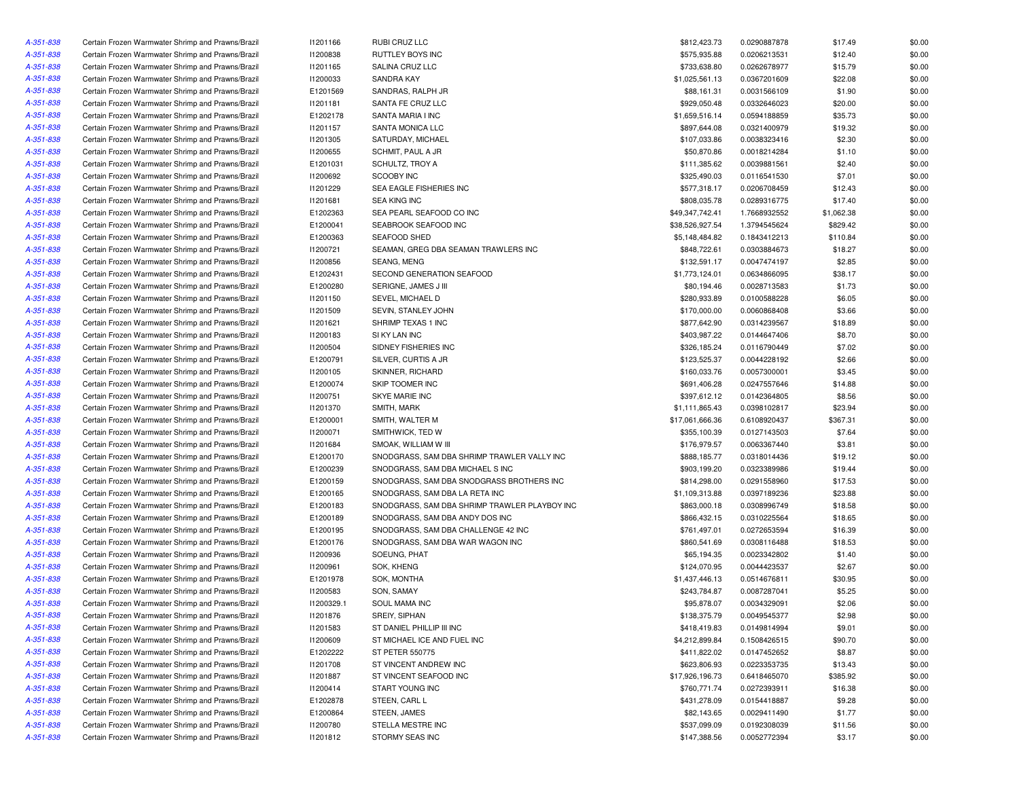| A-351-838              | Certain Frozen Warmwater Shrimp and Prawns/Brazil | 11201166        | RUBI CRUZ LLC                                 | \$812,423.73    | 0.0290887878 | \$17.49    | \$0.00 |
|------------------------|---------------------------------------------------|-----------------|-----------------------------------------------|-----------------|--------------|------------|--------|
| A-351-838              | Certain Frozen Warmwater Shrimp and Prawns/Brazil | 11200838        | RUTTLEY BOYS INC                              | \$575,935.88    | 0.0206213531 | \$12.40    | \$0.00 |
| A-351-838              | Certain Frozen Warmwater Shrimp and Prawns/Brazil | 11201165        | SALINA CRUZ LLC                               | \$733,638.80    | 0.0262678977 | \$15.79    | \$0.00 |
| A-351-838              | Certain Frozen Warmwater Shrimp and Prawns/Brazil | 11200033        | <b>SANDRA KAY</b>                             | \$1,025,561.13  | 0.0367201609 | \$22.08    | \$0.00 |
| A-351-838              | Certain Frozen Warmwater Shrimp and Prawns/Brazil | E1201569        | SANDRAS, RALPH JR                             | \$88,161.31     | 0.0031566109 | \$1.90     | \$0.00 |
| A-351-838              | Certain Frozen Warmwater Shrimp and Prawns/Brazil | 11201181        | SANTA FE CRUZ LLC                             | \$929,050.48    | 0.0332646023 | \$20.00    | \$0.00 |
| A-351-838              | Certain Frozen Warmwater Shrimp and Prawns/Brazil | E1202178        | SANTA MARIA I INC                             | \$1,659,516.14  | 0.0594188859 | \$35.73    | \$0.00 |
| A-351-838              | Certain Frozen Warmwater Shrimp and Prawns/Brazil | 11201157        | SANTA MONICA LLC                              | \$897,644.08    | 0.0321400979 | \$19.32    | \$0.00 |
| A-351-838              | Certain Frozen Warmwater Shrimp and Prawns/Brazil | 11201305        | SATURDAY, MICHAEL                             | \$107,033.86    | 0.0038323416 | \$2.30     | \$0.00 |
| A-351-838              | Certain Frozen Warmwater Shrimp and Prawns/Brazil | I1200655        | SCHMIT, PAUL A JR                             | \$50,870.86     | 0.0018214284 | \$1.10     | \$0.00 |
| A-351-838              | Certain Frozen Warmwater Shrimp and Prawns/Brazil | E1201031        | SCHULTZ, TROY A                               | \$111,385.62    | 0.0039881561 | \$2.40     | \$0.00 |
| A-351-838              | Certain Frozen Warmwater Shrimp and Prawns/Brazil | 11200692        | <b>SCOOBY INC</b>                             | \$325,490.03    | 0.0116541530 | \$7.01     | \$0.00 |
| A-351-838              | Certain Frozen Warmwater Shrimp and Prawns/Brazil | 11201229        | SEA EAGLE FISHERIES INC                       | \$577,318.17    | 0.0206708459 | \$12.43    | \$0.00 |
| A-351-838              | Certain Frozen Warmwater Shrimp and Prawns/Brazil | 11201681        | <b>SEA KING INC</b>                           | \$808,035.78    | 0.0289316775 | \$17.40    | \$0.00 |
| A-351-838              | Certain Frozen Warmwater Shrimp and Prawns/Brazil | E1202363        | SEA PEARL SEAFOOD CO INC                      | \$49,347,742.41 | 1.7668932552 | \$1,062.38 | \$0.00 |
| A-351-838              | Certain Frozen Warmwater Shrimp and Prawns/Brazil | E1200041        | SEABROOK SEAFOOD INC                          | \$38,526,927.54 | 1.3794545624 | \$829.42   | \$0.00 |
| A-351-838              | Certain Frozen Warmwater Shrimp and Prawns/Brazil | E1200363        | SEAFOOD SHED                                  | \$5,148,484.82  | 0.1843412213 | \$110.84   | \$0.00 |
|                        |                                                   |                 |                                               |                 |              |            | \$0.00 |
| A-351-838              | Certain Frozen Warmwater Shrimp and Prawns/Brazil | 11200721        | SEAMAN, GREG DBA SEAMAN TRAWLERS INC          | \$848,722.61    | 0.0303884673 | \$18.27    |        |
| A-351-838              | Certain Frozen Warmwater Shrimp and Prawns/Brazil | <b>I1200856</b> | SEANG, MENG                                   | \$132,591.17    | 0.0047474197 | \$2.85     | \$0.00 |
| A-351-838              | Certain Frozen Warmwater Shrimp and Prawns/Brazil | E1202431        | SECOND GENERATION SEAFOOD                     | \$1,773,124.01  | 0.0634866095 | \$38.17    | \$0.00 |
| A-351-838              | Certain Frozen Warmwater Shrimp and Prawns/Brazil | E1200280        | SERIGNE, JAMES J III                          | \$80,194.46     | 0.0028713583 | \$1.73     | \$0.00 |
| A-351-838              | Certain Frozen Warmwater Shrimp and Prawns/Brazil | 11201150        | SEVEL, MICHAEL D                              | \$280,933.89    | 0.0100588228 | \$6.05     | \$0.00 |
| A-351-838              | Certain Frozen Warmwater Shrimp and Prawns/Brazil | <b>I1201509</b> | SEVIN, STANLEY JOHN                           | \$170,000.00    | 0.0060868408 | \$3.66     | \$0.00 |
| A-351-838              | Certain Frozen Warmwater Shrimp and Prawns/Brazil | 11201621        | SHRIMP TEXAS 1 INC                            | \$877,642.90    | 0.0314239567 | \$18.89    | \$0.00 |
| A-351-838              | Certain Frozen Warmwater Shrimp and Prawns/Brazil | 11200183        | SI KY LAN INC                                 | \$403,987.22    | 0.0144647406 | \$8.70     | \$0.00 |
| A-351-838              | Certain Frozen Warmwater Shrimp and Prawns/Brazil | I1200504        | SIDNEY FISHERIES INC                          | \$326,185.24    | 0.0116790449 | \$7.02     | \$0.00 |
| A-351-838              | Certain Frozen Warmwater Shrimp and Prawns/Brazil | E1200791        | SILVER, CURTIS A JR                           | \$123,525.37    | 0.0044228192 | \$2.66     | \$0.00 |
| A-351-838              | Certain Frozen Warmwater Shrimp and Prawns/Brazil | 11200105        | SKINNER, RICHARD                              | \$160,033.76    | 0.0057300001 | \$3.45     | \$0.00 |
| A-351-838              | Certain Frozen Warmwater Shrimp and Prawns/Brazil | E1200074        | SKIP TOOMER INC                               | \$691,406.28    | 0.0247557646 | \$14.88    | \$0.00 |
| A-351-838              | Certain Frozen Warmwater Shrimp and Prawns/Brazil | I1200751        | <b>SKYE MARIE INC</b>                         | \$397,612.12    | 0.0142364805 | \$8.56     | \$0.00 |
| A-351-838              | Certain Frozen Warmwater Shrimp and Prawns/Brazil | 11201370        | SMITH, MARK                                   | \$1,111,865.43  | 0.0398102817 | \$23.94    | \$0.00 |
| A-351-838              | Certain Frozen Warmwater Shrimp and Prawns/Brazil | E1200001        | SMITH, WALTER M                               | \$17,061,666.36 | 0.6108920437 | \$367.31   | \$0.00 |
| A-351-838              | Certain Frozen Warmwater Shrimp and Prawns/Brazil | I1200071        | SMITHWICK, TED W                              | \$355,100.39    | 0.0127143503 | \$7.64     | \$0.00 |
| A-351-838              | Certain Frozen Warmwater Shrimp and Prawns/Brazil | 11201684        | SMOAK, WILLIAM W III                          | \$176,979.57    | 0.0063367440 | \$3.81     | \$0.00 |
| A-351-838              | Certain Frozen Warmwater Shrimp and Prawns/Brazil | E1200170        | SNODGRASS, SAM DBA SHRIMP TRAWLER VALLY INC   | \$888,185.77    | 0.0318014436 | \$19.12    | \$0.00 |
| A-351-838              | Certain Frozen Warmwater Shrimp and Prawns/Brazil | E1200239        | SNODGRASS, SAM DBA MICHAEL S INC              | \$903,199.20    | 0.0323389986 | \$19.44    | \$0.00 |
| A-351-838              | Certain Frozen Warmwater Shrimp and Prawns/Brazil | E1200159        | SNODGRASS, SAM DBA SNODGRASS BROTHERS INC     | \$814,298.00    | 0.0291558960 | \$17.53    | \$0.00 |
| A-351-838              | Certain Frozen Warmwater Shrimp and Prawns/Brazil | E1200165        | SNODGRASS, SAM DBA LA RETA INC                | \$1,109,313.88  | 0.0397189236 | \$23.88    | \$0.00 |
| A-351-838              | Certain Frozen Warmwater Shrimp and Prawns/Brazil | E1200183        | SNODGRASS, SAM DBA SHRIMP TRAWLER PLAYBOY INC | \$863,000.18    | 0.0308996749 | \$18.58    | \$0.00 |
| A-351-838              | Certain Frozen Warmwater Shrimp and Prawns/Brazil | E1200189        | SNODGRASS, SAM DBA ANDY DOS INC               | \$866,432.15    | 0.0310225564 | \$18.65    | \$0.00 |
| A-351-838              | Certain Frozen Warmwater Shrimp and Prawns/Brazil | E1200195        | SNODGRASS, SAM DBA CHALLENGE 42 INC           | \$761,497.01    | 0.0272653594 | \$16.39    | \$0.00 |
| A-351-838              | Certain Frozen Warmwater Shrimp and Prawns/Brazil | E1200176        | SNODGRASS, SAM DBA WAR WAGON INC              | \$860,541.69    | 0.0308116488 | \$18.53    | \$0.00 |
| A-351-838              | Certain Frozen Warmwater Shrimp and Prawns/Brazil | 11200936        | SOEUNG, PHAT                                  | \$65,194.35     | 0.0023342802 | \$1.40     | \$0.00 |
| A-351-838              | Certain Frozen Warmwater Shrimp and Prawns/Brazil | 11200961        | SOK, KHENG                                    | \$124,070.95    | 0.0044423537 | \$2.67     | \$0.00 |
| A-351-838              | Certain Frozen Warmwater Shrimp and Prawns/Brazil | E1201978        | SOK, MONTHA                                   | \$1,437,446.13  | 0.0514676811 | \$30.95    | \$0.00 |
|                        |                                                   |                 |                                               | \$243,784.87    |              |            | \$0.00 |
| A-351-838<br>A-351-838 | Certain Frozen Warmwater Shrimp and Prawns/Brazil | 11200583        | SON, SAMAY<br><b>SOUL MAMA INC</b>            |                 | 0.0087287041 | \$5.25     |        |
|                        | Certain Frozen Warmwater Shrimp and Prawns/Brazil | 11200329.1      |                                               | \$95,878.07     | 0.0034329091 | \$2.06     | \$0.00 |
| A-351-838              | Certain Frozen Warmwater Shrimp and Prawns/Brazil | 11201876        | SREIY, SIPHAN                                 | \$138,375.79    | 0.0049545377 | \$2.98     | \$0.00 |
| A-351-838              | Certain Frozen Warmwater Shrimp and Prawns/Brazil | 11201583        | ST DANIEL PHILLIP III INC                     | \$418,419.83    | 0.0149814994 | \$9.01     | \$0.00 |
| A-351-838              | Certain Frozen Warmwater Shrimp and Prawns/Brazil | 11200609        | ST MICHAEL ICE AND FUEL INC                   | \$4,212,899.84  | 0.1508426515 | \$90.70    | \$0.00 |
| A-351-838              | Certain Frozen Warmwater Shrimp and Prawns/Brazil | E1202222        | <b>ST PETER 550775</b>                        | \$411,822.02    | 0.0147452652 | \$8.87     | \$0.00 |
| A-351-838              | Certain Frozen Warmwater Shrimp and Prawns/Brazil | 11201708        | ST VINCENT ANDREW INC                         | \$623,806.93    | 0.0223353735 | \$13.43    | \$0.00 |
| A-351-838              | Certain Frozen Warmwater Shrimp and Prawns/Brazil | I1201887        | ST VINCENT SEAFOOD INC                        | \$17,926,196.73 | 0.6418465070 | \$385.92   | \$0.00 |
| A-351-838              | Certain Frozen Warmwater Shrimp and Prawns/Brazil | 11200414        | START YOUNG INC                               | \$760,771.74    | 0.0272393911 | \$16.38    | \$0.00 |
| A-351-838              | Certain Frozen Warmwater Shrimp and Prawns/Brazil | E1202878        | STEEN, CARL L                                 | \$431,278.09    | 0.0154418887 | \$9.28     | \$0.00 |
| A-351-838              | Certain Frozen Warmwater Shrimp and Prawns/Brazil | E1200864        | STEEN, JAMES                                  | \$82,143.65     | 0.0029411490 | \$1.77     | \$0.00 |
| A-351-838              | Certain Frozen Warmwater Shrimp and Prawns/Brazil | 11200780        | STELLA MESTRE INC                             | \$537,099.09    | 0.0192308039 | \$11.56    | \$0.00 |
| A-351-838              | Certain Frozen Warmwater Shrimp and Prawns/Brazil | 11201812        | STORMY SEAS INC                               | \$147,388.56    | 0.0052772394 | \$3.17     | \$0.00 |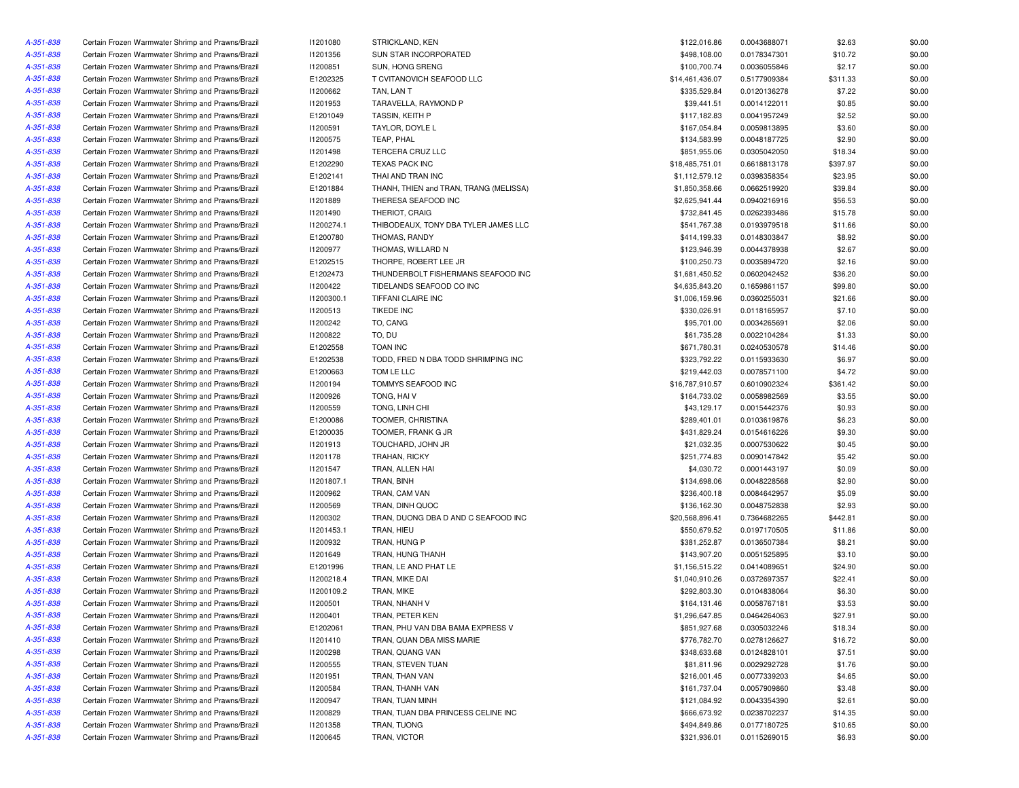| A-351-838 | Certain Frozen Warmwater Shrimp and Prawns/Brazil | 11201080        | STRICKLAND, KEN                        | \$122,016.86    | 0.0043688071 | \$2.63   | \$0.00 |
|-----------|---------------------------------------------------|-----------------|----------------------------------------|-----------------|--------------|----------|--------|
| A-351-838 | Certain Frozen Warmwater Shrimp and Prawns/Brazil | 11201356        | SUN STAR INCORPORATED                  | \$498,108.00    | 0.0178347301 | \$10.72  | \$0.00 |
| A-351-838 | Certain Frozen Warmwater Shrimp and Prawns/Brazil | 11200851        | SUN, HONG SRENG                        | \$100,700.74    | 0.0036055846 | \$2.17   | \$0.00 |
| A-351-838 | Certain Frozen Warmwater Shrimp and Prawns/Brazil | E1202325        | T CVITANOVICH SEAFOOD LLC              | \$14,461,436.07 | 0.5177909384 | \$311.33 | \$0.00 |
| A-351-838 | Certain Frozen Warmwater Shrimp and Prawns/Brazil | 11200662        | TAN, LAN T                             | \$335,529.84    | 0.0120136278 | \$7.22   | \$0.00 |
| A-351-838 | Certain Frozen Warmwater Shrimp and Prawns/Brazil | <b>I1201953</b> | TARAVELLA, RAYMOND P                   | \$39,441.51     | 0.0014122011 | \$0.85   | \$0.00 |
| A-351-838 | Certain Frozen Warmwater Shrimp and Prawns/Brazil | E1201049        | TASSIN, KEITH P                        | \$117,182.83    | 0.0041957249 | \$2.52   | \$0.00 |
| A-351-838 | Certain Frozen Warmwater Shrimp and Prawns/Brazil | 11200591        | TAYLOR, DOYLE L                        | \$167,054.84    | 0.0059813895 | \$3.60   | \$0.00 |
| A-351-838 | Certain Frozen Warmwater Shrimp and Prawns/Brazil | I1200575        | TEAP, PHAL                             | \$134,583.99    | 0.0048187725 | \$2.90   | \$0.00 |
| A-351-838 | Certain Frozen Warmwater Shrimp and Prawns/Brazil | 11201498        | TERCERA CRUZ LLC                       | \$851,955.06    | 0.0305042050 | \$18.34  | \$0.00 |
| A-351-838 | Certain Frozen Warmwater Shrimp and Prawns/Brazil | E1202290        | TEXAS PACK INC                         | \$18,485,751.01 | 0.6618813178 | \$397.97 | \$0.00 |
| A-351-838 | Certain Frozen Warmwater Shrimp and Prawns/Brazil | E1202141        | THAI AND TRAN INC                      | \$1,112,579.12  | 0.0398358354 | \$23.95  | \$0.00 |
| A-351-838 | Certain Frozen Warmwater Shrimp and Prawns/Brazil | E1201884        | THANH, THIEN and TRAN, TRANG (MELISSA) | \$1,850,358.66  | 0.0662519920 | \$39.84  | \$0.00 |
| A-351-838 | Certain Frozen Warmwater Shrimp and Prawns/Brazil | 11201889        | THERESA SEAFOOD INC                    | \$2,625,941.44  | 0.0940216916 | \$56.53  | \$0.00 |
| A-351-838 | Certain Frozen Warmwater Shrimp and Prawns/Brazil | 11201490        | <b>THERIOT, CRAIG</b>                  | \$732,841.45    | 0.0262393486 | \$15.78  | \$0.00 |
| A-351-838 | Certain Frozen Warmwater Shrimp and Prawns/Brazil | 11200274.1      | THIBODEAUX, TONY DBA TYLER JAMES LLC   | \$541,767.38    | 0.0193979518 | \$11.66  | \$0.00 |
| A-351-838 | Certain Frozen Warmwater Shrimp and Prawns/Brazil | E1200780        | THOMAS, RANDY                          | \$414,199.33    | 0.0148303847 | \$8.92   | \$0.00 |
| A-351-838 | Certain Frozen Warmwater Shrimp and Prawns/Brazil | 11200977        | THOMAS, WILLARD N                      | \$123,946.39    | 0.0044378938 | \$2.67   | \$0.00 |
|           |                                                   |                 |                                        | \$100,250.73    |              |          | \$0.00 |
| A-351-838 | Certain Frozen Warmwater Shrimp and Prawns/Brazil | E1202515        | THORPE, ROBERT LEE JR                  |                 | 0.0035894720 | \$2.16   |        |
| A-351-838 | Certain Frozen Warmwater Shrimp and Prawns/Brazil | E1202473        | THUNDERBOLT FISHERMANS SEAFOOD INC     | \$1,681,450.52  | 0.0602042452 | \$36.20  | \$0.00 |
| A-351-838 | Certain Frozen Warmwater Shrimp and Prawns/Brazil | 11200422        | TIDELANDS SEAFOOD CO INC               | \$4,635,843.20  | 0.1659861157 | \$99.80  | \$0.00 |
| A-351-838 | Certain Frozen Warmwater Shrimp and Prawns/Brazil | I1200300.1      | TIFFANI CLAIRE INC                     | \$1,006,159.96  | 0.0360255031 | \$21.66  | \$0.00 |
| A-351-838 | Certain Frozen Warmwater Shrimp and Prawns/Brazil | 11200513        | <b>TIKEDE INC</b>                      | \$330,026.91    | 0.0118165957 | \$7.10   | \$0.00 |
| A-351-838 | Certain Frozen Warmwater Shrimp and Prawns/Brazil | 11200242        | TO, CANG                               | \$95,701.00     | 0.0034265691 | \$2.06   | \$0.00 |
| A-351-838 | Certain Frozen Warmwater Shrimp and Prawns/Brazil | 11200822        | TO, DU                                 | \$61,735.28     | 0.0022104284 | \$1.33   | \$0.00 |
| A-351-838 | Certain Frozen Warmwater Shrimp and Prawns/Brazil | E1202558        | <b>TOAN INC</b>                        | \$671,780.31    | 0.0240530578 | \$14.46  | \$0.00 |
| A-351-838 | Certain Frozen Warmwater Shrimp and Prawns/Brazil | E1202538        | TODD, FRED N DBA TODD SHRIMPING INC    | \$323,792.22    | 0.0115933630 | \$6.97   | \$0.00 |
| A-351-838 | Certain Frozen Warmwater Shrimp and Prawns/Brazil | E1200663        | TOM LE LLC                             | \$219,442.03    | 0.0078571100 | \$4.72   | \$0.00 |
| A-351-838 | Certain Frozen Warmwater Shrimp and Prawns/Brazil | I1200194        | TOMMYS SEAFOOD INC                     | \$16,787,910.57 | 0.6010902324 | \$361.42 | \$0.00 |
| A-351-838 | Certain Frozen Warmwater Shrimp and Prawns/Brazil | <b>I1200926</b> | TONG, HAIV                             | \$164,733.02    | 0.0058982569 | \$3.55   | \$0.00 |
| A-351-838 | Certain Frozen Warmwater Shrimp and Prawns/Brazil | I1200559        | TONG, LINH CHI                         | \$43,129.17     | 0.0015442376 | \$0.93   | \$0.00 |
| A-351-838 | Certain Frozen Warmwater Shrimp and Prawns/Brazil | E1200086        | TOOMER, CHRISTINA                      | \$289,401.01    | 0.0103619876 | \$6.23   | \$0.00 |
| A-351-838 | Certain Frozen Warmwater Shrimp and Prawns/Brazil | E1200035        | TOOMER, FRANK G JR                     | \$431,829.24    | 0.0154616226 | \$9.30   | \$0.00 |
| A-351-838 | Certain Frozen Warmwater Shrimp and Prawns/Brazil | 11201913        | TOUCHARD, JOHN JR                      | \$21,032.35     | 0.0007530622 | \$0.45   | \$0.00 |
| A-351-838 | Certain Frozen Warmwater Shrimp and Prawns/Brazil | 11201178        | <b>TRAHAN, RICKY</b>                   | \$251,774.83    | 0.0090147842 | \$5.42   | \$0.00 |
| A-351-838 | Certain Frozen Warmwater Shrimp and Prawns/Brazil | I1201547        | TRAN, ALLEN HAI                        | \$4,030.72      | 0.0001443197 | \$0.09   | \$0.00 |
| A-351-838 | Certain Frozen Warmwater Shrimp and Prawns/Brazil | 11201807.1      | TRAN, BINH                             | \$134,698.06    | 0.0048228568 | \$2.90   | \$0.00 |
| A-351-838 | Certain Frozen Warmwater Shrimp and Prawns/Brazil | 11200962        | TRAN, CAM VAN                          | \$236,400.18    | 0.0084642957 | \$5.09   | \$0.00 |
| A-351-838 | Certain Frozen Warmwater Shrimp and Prawns/Brazil | 11200569        | TRAN, DINH QUOC                        | \$136,162.30    | 0.0048752838 | \$2.93   | \$0.00 |
| A-351-838 | Certain Frozen Warmwater Shrimp and Prawns/Brazil | 11200302        | TRAN, DUONG DBA D AND C SEAFOOD INC    | \$20,568,896.41 | 0.7364682265 | \$442.81 | \$0.00 |
| A-351-838 | Certain Frozen Warmwater Shrimp and Prawns/Brazil | 11201453.1      | TRAN, HIEU                             | \$550,679.52    | 0.0197170505 | \$11.86  | \$0.00 |
| A-351-838 | Certain Frozen Warmwater Shrimp and Prawns/Brazil | 11200932        | TRAN, HUNG P                           | \$381,252.87    | 0.0136507384 | \$8.21   | \$0.00 |
| A-351-838 | Certain Frozen Warmwater Shrimp and Prawns/Brazil | 11201649        | TRAN, HUNG THANH                       | \$143,907.20    | 0.0051525895 | \$3.10   | \$0.00 |
| A-351-838 | Certain Frozen Warmwater Shrimp and Prawns/Brazil | E1201996        | TRAN, LE AND PHAT LE                   | \$1,156,515.22  | 0.0414089651 | \$24.90  | \$0.00 |
| A-351-838 | Certain Frozen Warmwater Shrimp and Prawns/Brazil | 11200218.4      | TRAN, MIKE DAI                         | \$1,040,910.26  | 0.0372697357 | \$22.41  | \$0.00 |
| A-351-838 | Certain Frozen Warmwater Shrimp and Prawns/Brazil | 11200109.2      | TRAN, MIKE                             | \$292,803.30    | 0.0104838064 | \$6.30   | \$0.00 |
|           |                                                   |                 |                                        |                 |              |          |        |
| A-351-838 | Certain Frozen Warmwater Shrimp and Prawns/Brazil | I1200501        | TRAN, NHANH V                          | \$164,131.46    | 0.0058767181 | \$3.53   | \$0.00 |
| A-351-838 | Certain Frozen Warmwater Shrimp and Prawns/Brazil | 11200401        | TRAN, PETER KEN                        | \$1,296,647.85  | 0.0464264063 | \$27.91  | \$0.00 |
| A-351-838 | Certain Frozen Warmwater Shrimp and Prawns/Brazil | E1202061        | TRAN, PHU VAN DBA BAMA EXPRESS V       | \$851,927.68    | 0.0305032246 | \$18.34  | \$0.00 |
| A-351-838 | Certain Frozen Warmwater Shrimp and Prawns/Brazil | 11201410        | TRAN, QUAN DBA MISS MARIE              | \$776,782.70    | 0.0278126627 | \$16.72  | \$0.00 |
| A-351-838 | Certain Frozen Warmwater Shrimp and Prawns/Brazil | 11200298        | TRAN, QUANG VAN                        | \$348,633.68    | 0.0124828101 | \$7.51   | \$0.00 |
| A-351-838 | Certain Frozen Warmwater Shrimp and Prawns/Brazil | I1200555        | TRAN, STEVEN TUAN                      | \$81,811.96     | 0.0029292728 | \$1.76   | \$0.00 |
| A-351-838 | Certain Frozen Warmwater Shrimp and Prawns/Brazil | I1201951        | TRAN, THAN VAN                         | \$216,001.45    | 0.0077339203 | \$4.65   | \$0.00 |
| A-351-838 | Certain Frozen Warmwater Shrimp and Prawns/Brazil | I1200584        | TRAN, THANH VAN                        | \$161,737.04    | 0.0057909860 | \$3.48   | \$0.00 |
| A-351-838 | Certain Frozen Warmwater Shrimp and Prawns/Brazil | I1200947        | TRAN, TUAN MINH                        | \$121,084.92    | 0.0043354390 | \$2.61   | \$0.00 |
| A-351-838 | Certain Frozen Warmwater Shrimp and Prawns/Brazil | I1200829        | TRAN, TUAN DBA PRINCESS CELINE INC     | \$666,673.92    | 0.0238702237 | \$14.35  | \$0.00 |
| A-351-838 | Certain Frozen Warmwater Shrimp and Prawns/Brazil | 11201358        | TRAN, TUONG                            | \$494,849.86    | 0.0177180725 | \$10.65  | \$0.00 |
| A-351-838 | Certain Frozen Warmwater Shrimp and Prawns/Brazil | I1200645        | TRAN, VICTOR                           | \$321,936.01    | 0.0115269015 | \$6.93   | \$0.00 |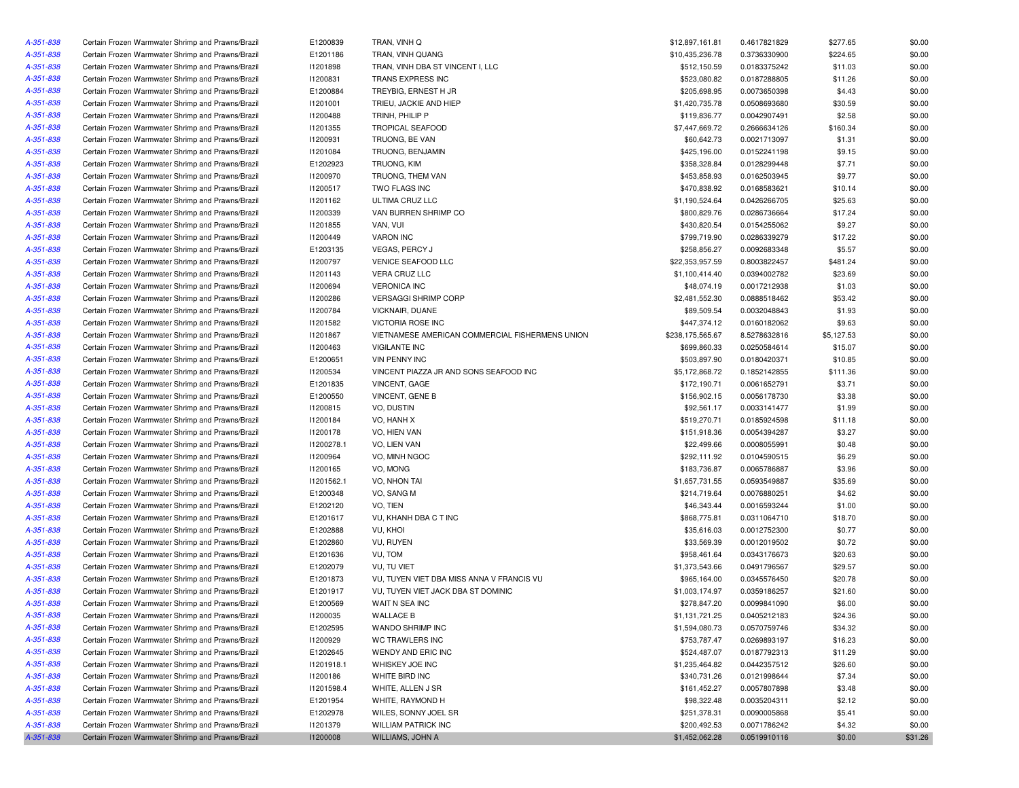| A-351-838              | Certain Frozen Warmwater Shrimp and Prawns/Brazil | E1200839        | TRAN, VINH Q                                    | \$12,897,161.81  | 0.4617821829 | \$277.65   | \$0.00  |
|------------------------|---------------------------------------------------|-----------------|-------------------------------------------------|------------------|--------------|------------|---------|
| A-351-838              | Certain Frozen Warmwater Shrimp and Prawns/Brazil | E1201186        | TRAN, VINH QUANG                                | \$10,435,236.78  | 0.3736330900 | \$224.65   | \$0.00  |
| A-351-838              | Certain Frozen Warmwater Shrimp and Prawns/Brazil | 11201898        | TRAN, VINH DBA ST VINCENT I, LLC                | \$512,150.59     | 0.0183375242 | \$11.03    | \$0.00  |
| A-351-838              | Certain Frozen Warmwater Shrimp and Prawns/Brazil | 11200831        | TRANS EXPRESS INC                               | \$523,080.82     | 0.0187288805 | \$11.26    | \$0.00  |
| A-351-838              | Certain Frozen Warmwater Shrimp and Prawns/Brazil | E1200884        | TREYBIG, ERNEST H JR                            | \$205,698.95     | 0.0073650398 | \$4.43     | \$0.00  |
| A-351-838              | Certain Frozen Warmwater Shrimp and Prawns/Brazil | 11201001        | TRIEU, JACKIE AND HIEP                          | \$1,420,735.78   | 0.0508693680 | \$30.59    | \$0.00  |
| A-351-838              | Certain Frozen Warmwater Shrimp and Prawns/Brazil | 11200488        | TRINH, PHILIP P                                 | \$119,836.77     | 0.0042907491 | \$2.58     | \$0.00  |
| A-351-838              | Certain Frozen Warmwater Shrimp and Prawns/Brazil | I1201355        | <b>TROPICAL SEAFOOD</b>                         | \$7,447,669.72   | 0.2666634126 | \$160.34   | \$0.00  |
| A-351-838              | Certain Frozen Warmwater Shrimp and Prawns/Brazil | 11200931        | TRUONG, BE VAN                                  | \$60,642.73      | 0.0021713097 | \$1.31     | \$0.00  |
| A-351-838              | Certain Frozen Warmwater Shrimp and Prawns/Brazil | 11201084        | TRUONG, BENJAMIN                                | \$425,196.00     | 0.0152241198 | \$9.15     | \$0.00  |
| A-351-838              | Certain Frozen Warmwater Shrimp and Prawns/Brazil | E1202923        | TRUONG, KIM                                     | \$358,328.84     | 0.0128299448 | \$7.71     | \$0.00  |
| A-351-838              | Certain Frozen Warmwater Shrimp and Prawns/Brazil | <b>I1200970</b> | TRUONG, THEM VAN                                | \$453,858.93     | 0.0162503945 | \$9.77     | \$0.00  |
| A-351-838              | Certain Frozen Warmwater Shrimp and Prawns/Brazil | 11200517        | TWO FLAGS INC                                   | \$470,838.92     | 0.0168583621 | \$10.14    | \$0.00  |
| A-351-838              | Certain Frozen Warmwater Shrimp and Prawns/Brazil | 11201162        | ULTIMA CRUZ LLC                                 | \$1,190,524.64   | 0.0426266705 | \$25.63    | \$0.00  |
| A-351-838              | Certain Frozen Warmwater Shrimp and Prawns/Brazil | 11200339        | VAN BURREN SHRIMP CO                            | \$800,829.76     | 0.0286736664 | \$17.24    | \$0.00  |
| A-351-838              | Certain Frozen Warmwater Shrimp and Prawns/Brazil | I1201855        | VAN, VUI                                        | \$430,820.54     | 0.0154255062 | \$9.27     | \$0.00  |
| A-351-838              | Certain Frozen Warmwater Shrimp and Prawns/Brazil | 11200449        | <b>VARON INC</b>                                | \$799,719.90     | 0.0286339279 | \$17.22    | \$0.00  |
| A-351-838              | Certain Frozen Warmwater Shrimp and Prawns/Brazil | E1203135        | VEGAS, PERCY J                                  | \$258,856.27     | 0.0092683348 | \$5.57     | \$0.00  |
| A-351-838              | Certain Frozen Warmwater Shrimp and Prawns/Brazil | 11200797        | VENICE SEAFOOD LLC                              | \$22,353,957.59  | 0.8003822457 | \$481.24   | \$0.00  |
| A-351-838              | Certain Frozen Warmwater Shrimp and Prawns/Brazil | 11201143        | VERA CRUZ LLC                                   | \$1,100,414.40   | 0.0394002782 | \$23.69    | \$0.00  |
| A-351-838              | Certain Frozen Warmwater Shrimp and Prawns/Brazil | I1200694        | <b>VERONICA INC</b>                             | \$48,074.19      | 0.0017212938 | \$1.03     | \$0.00  |
| A-351-838              | Certain Frozen Warmwater Shrimp and Prawns/Brazil | 11200286        | <b>VERSAGGI SHRIMP CORP</b>                     | \$2,481,552.30   | 0.0888518462 | \$53.42    | \$0.00  |
| A-351-838              | Certain Frozen Warmwater Shrimp and Prawns/Brazil | I1200784        | VICKNAIR, DUANE                                 | \$89,509.54      | 0.0032048843 | \$1.93     | \$0.00  |
| A-351-838              | Certain Frozen Warmwater Shrimp and Prawns/Brazil | 11201582        | <b>VICTORIA ROSE INC</b>                        | \$447,374.12     | 0.0160182062 | \$9.63     | \$0.00  |
| A-351-838              | Certain Frozen Warmwater Shrimp and Prawns/Brazil | 11201867        | VIETNAMESE AMERICAN COMMERCIAL FISHERMENS UNION | \$238,175,565.67 | 8.5278632816 | \$5,127.53 | \$0.00  |
| A-351-838              | Certain Frozen Warmwater Shrimp and Prawns/Brazil | I1200463        | <b>VIGILANTE INC</b>                            | \$699,860.33     | 0.0250584614 | \$15.07    | \$0.00  |
| A-351-838              | Certain Frozen Warmwater Shrimp and Prawns/Brazil | E1200651        | <b>VIN PENNY INC</b>                            | \$503,897.90     | 0.0180420371 | \$10.85    | \$0.00  |
| A-351-838              | Certain Frozen Warmwater Shrimp and Prawns/Brazil | I1200534        | VINCENT PIAZZA JR AND SONS SEAFOOD INC          | \$5,172,868.72   | 0.1852142855 | \$111.36   | \$0.00  |
| A-351-838              | Certain Frozen Warmwater Shrimp and Prawns/Brazil | E1201835        | <b>VINCENT, GAGE</b>                            | \$172,190.71     | 0.0061652791 | \$3.71     | \$0.00  |
| A-351-838              | Certain Frozen Warmwater Shrimp and Prawns/Brazil | E1200550        | VINCENT, GENE B                                 | \$156,902.15     | 0.0056178730 | \$3.38     | \$0.00  |
| A-351-838              | Certain Frozen Warmwater Shrimp and Prawns/Brazil | 11200815        | VO, DUSTIN                                      | \$92,561.17      | 0.0033141477 | \$1.99     | \$0.00  |
| A-351-838              | Certain Frozen Warmwater Shrimp and Prawns/Brazil | 11200184        | VO, HANH X                                      | \$519,270.71     | 0.0185924598 | \$11.18    | \$0.00  |
|                        | Certain Frozen Warmwater Shrimp and Prawns/Brazil | 11200178        | VO, HIEN VAN                                    | \$151,918.36     | 0.0054394287 | \$3.27     | \$0.00  |
| A-351-838<br>A-351-838 |                                                   | 11200278.1      |                                                 | \$22,499.66      |              |            | \$0.00  |
|                        | Certain Frozen Warmwater Shrimp and Prawns/Brazil |                 | VO, LIEN VAN                                    |                  | 0.0008055991 | \$0.48     |         |
| A-351-838              | Certain Frozen Warmwater Shrimp and Prawns/Brazil | I1200964        | VO, MINH NGOC                                   | \$292,111.92     | 0.0104590515 | \$6.29     | \$0.00  |
| A-351-838              | Certain Frozen Warmwater Shrimp and Prawns/Brazil | 11200165        | VO, MONG                                        | \$183,736.87     | 0.0065786887 | \$3.96     | \$0.00  |
| A-351-838              | Certain Frozen Warmwater Shrimp and Prawns/Brazil | 11201562.1      | VO, NHON TAI                                    | \$1,657,731.55   | 0.0593549887 | \$35.69    | \$0.00  |
| A-351-838              | Certain Frozen Warmwater Shrimp and Prawns/Brazil | E1200348        | VO, SANG M                                      | \$214,719.64     | 0.0076880251 | \$4.62     | \$0.00  |
| A-351-838              | Certain Frozen Warmwater Shrimp and Prawns/Brazil | E1202120        | VO, TIEN                                        | \$46,343.44      | 0.0016593244 | \$1.00     | \$0.00  |
| A-351-838              | Certain Frozen Warmwater Shrimp and Prawns/Brazil | E1201617        | VU, KHANH DBA C T INC                           | \$868,775.81     | 0.0311064710 | \$18.70    | \$0.00  |
| A-351-838              | Certain Frozen Warmwater Shrimp and Prawns/Brazil | E1202888        | VU, KHOI                                        | \$35,616.03      | 0.0012752300 | \$0.77     | \$0.00  |
| A-351-838              | Certain Frozen Warmwater Shrimp and Prawns/Brazil | E1202860        | VU, RUYEN                                       | \$33,569.39      | 0.0012019502 | \$0.72     | \$0.00  |
| A-351-838              | Certain Frozen Warmwater Shrimp and Prawns/Brazil | E1201636        | VU, TOM                                         | \$958,461.64     | 0.0343176673 | \$20.63    | \$0.00  |
| A-351-838              | Certain Frozen Warmwater Shrimp and Prawns/Brazil | E1202079        | VU, TU VIET                                     | \$1,373,543.66   | 0.0491796567 | \$29.57    | \$0.00  |
| A-351-838              | Certain Frozen Warmwater Shrimp and Prawns/Brazil | E1201873        | VU, TUYEN VIET DBA MISS ANNA V FRANCIS VU       | \$965,164.00     | 0.0345576450 | \$20.78    | \$0.00  |
| A-351-838              | Certain Frozen Warmwater Shrimp and Prawns/Brazil | E1201917        | VU, TUYEN VIET JACK DBA ST DOMINIC              | \$1,003,174.97   | 0.0359186257 | \$21.60    | \$0.00  |
| A-351-838              | Certain Frozen Warmwater Shrimp and Prawns/Brazil | E1200569        | WAIT N SEA INC                                  | \$278,847.20     | 0.0099841090 | \$6.00     | \$0.00  |
| A-351-838              | Certain Frozen Warmwater Shrimp and Prawns/Brazil | 11200035        | <b>WALLACE B</b>                                | \$1,131,721.25   | 0.0405212183 | \$24.36    | \$0.00  |
| A-351-838              | Certain Frozen Warmwater Shrimp and Prawns/Brazil | E1202595        | WANDO SHRIMP INC                                | \$1,594,080.73   | 0.0570759746 | \$34.32    | \$0.00  |
| A-351-838              | Certain Frozen Warmwater Shrimp and Prawns/Brazil | 11200929        | WC TRAWLERS INC                                 | \$753,787.47     | 0.0269893197 | \$16.23    | \$0.00  |
| A-351-838              | Certain Frozen Warmwater Shrimp and Prawns/Brazil | E1202645        | WENDY AND ERIC INC                              | \$524,487.07     | 0.0187792313 | \$11.29    | \$0.00  |
| A-351-838              | Certain Frozen Warmwater Shrimp and Prawns/Brazil | 11201918.1      | WHISKEY JOE INC                                 | \$1,235,464.82   | 0.0442357512 | \$26.60    | \$0.00  |
| A-351-838              | Certain Frozen Warmwater Shrimp and Prawns/Brazil | 11200186        | WHITE BIRD INC                                  | \$340,731.26     | 0.0121998644 | \$7.34     | \$0.00  |
| A-351-838              | Certain Frozen Warmwater Shrimp and Prawns/Brazil | 11201598.4      | WHITE, ALLEN J SR                               | \$161,452.27     | 0.0057807898 | \$3.48     | \$0.00  |
| A-351-838              | Certain Frozen Warmwater Shrimp and Prawns/Brazil | E1201954        | WHITE, RAYMOND H                                | \$98,322.48      | 0.0035204311 | \$2.12     | \$0.00  |
| A-351-838              | Certain Frozen Warmwater Shrimp and Prawns/Brazil | E1202978        | WILES, SONNY JOEL SR                            | \$251,378.31     | 0.0090005868 | \$5.41     | \$0.00  |
| A-351-838              | Certain Frozen Warmwater Shrimp and Prawns/Brazil | 11201379        | <b>WILLIAM PATRICK INC</b>                      | \$200,492.53     | 0.0071786242 | \$4.32     | \$0.00  |
| A-351-838              | Certain Frozen Warmwater Shrimp and Prawns/Brazil | 11200008        | WILLIAMS, JOHN A                                | \$1,452,062.28   | 0.0519910116 | \$0.00     | \$31.26 |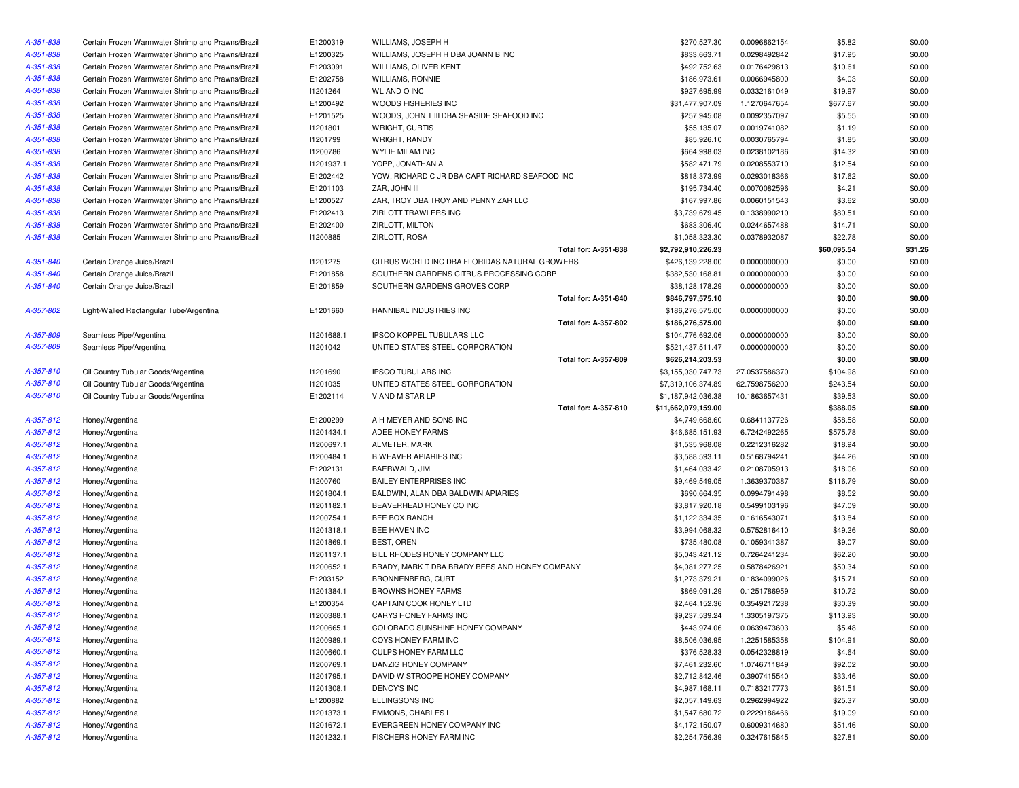| A-351-838 | Certain Frozen Warmwater Shrimp and Prawns/Brazil | E1200319   | WILLIAMS, JOSEPH H                             |                      | \$270,527.30        | 0.0096862154  | \$5.82      | \$0.00  |
|-----------|---------------------------------------------------|------------|------------------------------------------------|----------------------|---------------------|---------------|-------------|---------|
| A-351-838 | Certain Frozen Warmwater Shrimp and Prawns/Brazil | E1200325   | WILLIAMS, JOSEPH H DBA JOANN B INC             |                      | \$833,663.71        | 0.0298492842  | \$17.95     | \$0.00  |
| A-351-838 | Certain Frozen Warmwater Shrimp and Prawns/Brazil | E1203091   | WILLIAMS, OLIVER KENT                          |                      | \$492,752.63        | 0.0176429813  | \$10.61     | \$0.00  |
| A-351-838 | Certain Frozen Warmwater Shrimp and Prawns/Brazil | E1202758   | WILLIAMS, RONNIE                               |                      | \$186,973.61        | 0.0066945800  | \$4.03      | \$0.00  |
| A-351-838 | Certain Frozen Warmwater Shrimp and Prawns/Brazil | 11201264   | <b>WL AND O INC</b>                            |                      | \$927,695.99        | 0.0332161049  | \$19.97     | \$0.00  |
| A-351-838 | Certain Frozen Warmwater Shrimp and Prawns/Brazil | E1200492   | WOODS FISHERIES INC                            |                      | \$31,477,907.09     | 1.1270647654  | \$677.67    | \$0.00  |
| A-351-838 | Certain Frozen Warmwater Shrimp and Prawns/Brazil | E1201525   | WOODS, JOHN T III DBA SEASIDE SEAFOOD INC      |                      | \$257,945.08        | 0.0092357097  | \$5.55      | \$0.00  |
| A-351-838 | Certain Frozen Warmwater Shrimp and Prawns/Brazil | 11201801   | WRIGHT, CURTIS                                 |                      | \$55,135.07         | 0.0019741082  | \$1.19      | \$0.00  |
| A-351-838 | Certain Frozen Warmwater Shrimp and Prawns/Brazil | 11201799   | WRIGHT, RANDY                                  |                      | \$85,926.10         | 0.0030765794  | \$1.85      | \$0.00  |
| A-351-838 | Certain Frozen Warmwater Shrimp and Prawns/Brazil | 11200786   | WYLIE MILAM INC                                |                      | \$664,998.03        | 0.0238102186  | \$14.32     | \$0.00  |
| A-351-838 | Certain Frozen Warmwater Shrimp and Prawns/Brazil | 11201937.1 | YOPP, JONATHAN A                               |                      | \$582,471.79        | 0.0208553710  | \$12.54     | \$0.00  |
| A-351-838 | Certain Frozen Warmwater Shrimp and Prawns/Brazil | E1202442   | YOW, RICHARD C JR DBA CAPT RICHARD SEAFOOD INC |                      | \$818,373.99        | 0.0293018366  | \$17.62     | \$0.00  |
| A-351-838 | Certain Frozen Warmwater Shrimp and Prawns/Brazil | E1201103   | ZAR, JOHN III                                  |                      | \$195,734.40        | 0.0070082596  | \$4.21      | \$0.00  |
| A-351-838 | Certain Frozen Warmwater Shrimp and Prawns/Brazil | E1200527   | ZAR, TROY DBA TROY AND PENNY ZAR LLC           |                      | \$167,997.86        | 0.0060151543  | \$3.62      | \$0.00  |
| A-351-838 | Certain Frozen Warmwater Shrimp and Prawns/Brazil | E1202413   | ZIRLOTT TRAWLERS INC                           |                      | \$3,739,679.45      | 0.1338990210  | \$80.51     | \$0.00  |
| A-351-838 | Certain Frozen Warmwater Shrimp and Prawns/Brazil | E1202400   | ZIRLOTT, MILTON                                |                      | \$683,306.40        | 0.0244657488  | \$14.71     | \$0.00  |
| A-351-838 | Certain Frozen Warmwater Shrimp and Prawns/Brazil | 11200885   | ZIRLOTT, ROSA                                  |                      | \$1,058,323.30      | 0.0378932087  | \$22.78     | \$0.00  |
|           |                                                   |            |                                                | Total for: A-351-838 | \$2,792,910,226.23  |               | \$60,095.54 | \$31.26 |
| A-351-840 | Certain Orange Juice/Brazil                       | 11201275   | CITRUS WORLD INC DBA FLORIDAS NATURAL GROWERS  |                      | \$426,139,228.00    | 0.0000000000  | \$0.00      | \$0.00  |
| A-351-840 | Certain Orange Juice/Brazil                       | E1201858   | SOUTHERN GARDENS CITRUS PROCESSING CORP        |                      | \$382,530,168.81    | 0.0000000000  | \$0.00      | \$0.00  |
| A-351-840 | Certain Orange Juice/Brazil                       | E1201859   | SOUTHERN GARDENS GROVES CORP                   |                      | \$38,128,178.29     | 0.0000000000  | \$0.00      | \$0.00  |
|           |                                                   |            |                                                | Total for: A-351-840 | \$846,797,575.10    |               | \$0.00      | \$0.00  |
| A-357-802 | Light-Walled Rectangular Tube/Argentina           | E1201660   | HANNIBAL INDUSTRIES INC                        |                      | \$186,276,575.00    | 0.0000000000  | \$0.00      | \$0.00  |
|           |                                                   |            |                                                | Total for: A-357-802 | \$186,276,575.00    |               | \$0.00      | \$0.00  |
| A-357-809 | Seamless Pipe/Argentina                           | 11201688.1 | <b>IPSCO KOPPEL TUBULARS LLC</b>               |                      | \$104,776,692.06    | 0.0000000000  | \$0.00      | \$0.00  |
| A-357-809 | Seamless Pipe/Argentina                           | 11201042   | UNITED STATES STEEL CORPORATION                |                      | \$521,437,511.47    | 0.0000000000  | \$0.00      | \$0.00  |
|           |                                                   |            |                                                | Total for: A-357-809 | \$626,214,203.53    |               | \$0.00      | \$0.00  |
| A-357-810 | Oil Country Tubular Goods/Argentina               | 11201690   | <b>IPSCO TUBULARS INC</b>                      |                      | \$3,155,030,747.73  | 27.0537586370 | \$104.98    | \$0.00  |
| A-357-810 | Oil Country Tubular Goods/Argentina               | 11201035   | UNITED STATES STEEL CORPORATION                |                      | \$7,319,106,374.89  | 62.7598756200 | \$243.54    | \$0.00  |
| A-357-810 | Oil Country Tubular Goods/Argentina               | E1202114   | V AND M STAR LP                                |                      | \$1,187,942,036.38  | 10.1863657431 | \$39.53     | \$0.00  |
|           |                                                   |            |                                                | Total for: A-357-810 | \$11,662,079,159.00 |               | \$388.05    | \$0.00  |
| A-357-812 | Honey/Argentina                                   | E1200299   | A H MEYER AND SONS INC                         |                      | \$4,749,668.60      | 0.6841137726  | \$58.58     | \$0.00  |
| A-357-812 | Honey/Argentina                                   | 11201434.1 | ADEE HONEY FARMS                               |                      | \$46,685,151.93     | 6.7242492265  | \$575.78    | \$0.00  |
| A-357-812 | Honey/Argentina                                   | 11200697.1 | ALMETER, MARK                                  |                      | \$1,535,968.08      | 0.2212316282  | \$18.94     | \$0.00  |
| A-357-812 | Honey/Argentina                                   | 11200484.1 | <b>B WEAVER APIARIES INC</b>                   |                      | \$3,588,593.11      | 0.5168794241  | \$44.26     | \$0.00  |
| A-357-812 | Honey/Argentina                                   | E1202131   | BAERWALD, JIM                                  |                      | \$1,464,033.42      | 0.2108705913  | \$18.06     | \$0.00  |
| A-357-812 | Honey/Argentina                                   | 11200760   | <b>BAILEY ENTERPRISES INC</b>                  |                      | \$9,469,549.05      | 1.3639370387  | \$116.79    | \$0.00  |
| A-357-812 | Honey/Argentina                                   | 11201804.1 | BALDWIN, ALAN DBA BALDWIN APIARIES             |                      | \$690,664.35        | 0.0994791498  | \$8.52      | \$0.00  |
| A-357-812 | Honey/Argentina                                   | 11201182.1 | BEAVERHEAD HONEY CO INC                        |                      | \$3,817,920.18      | 0.5499103196  | \$47.09     | \$0.00  |
| A-357-812 | Honey/Argentina                                   | 11200754.1 | BEE BOX RANCH                                  |                      | \$1,122,334.35      | 0.1616543071  | \$13.84     | \$0.00  |
| A-357-812 | Honey/Argentina                                   | 11201318.1 | BEE HAVEN INC                                  |                      | \$3,994,068.32      | 0.5752816410  | \$49.26     | \$0.00  |
| A-357-812 | Honey/Argentina                                   | 11201869.1 | <b>BEST, OREN</b>                              |                      | \$735,480.08        | 0.1059341387  | \$9.07      | \$0.00  |
| A-357-812 | Honey/Argentina                                   | 11201137.1 | BILL RHODES HONEY COMPANY LLC                  |                      | \$5,043,421.12      | 0.7264241234  | \$62.20     | \$0.00  |
| A-357-812 | Honey/Argentina                                   | I1200652.1 | BRADY, MARK T DBA BRADY BEES AND HONEY COMPANY |                      | \$4,081,277.25      | 0.5878426921  | \$50.34     | \$0.00  |
| A-357-812 | Honey/Argentina                                   | E1203152   | BRONNENBERG, CURT                              |                      | \$1,273,379.21      | 0.1834099026  | \$15.71     | \$0.00  |
| A-357-812 | Honey/Argentina                                   | 11201384.1 | <b>BROWNS HONEY FARMS</b>                      |                      | \$869,091.29        | 0.1251786959  | \$10.72     | \$0.00  |
| A-357-812 | Honey/Argentina                                   | E1200354   | CAPTAIN COOK HONEY LTD                         |                      | \$2,464,152.36      | 0.3549217238  | \$30.39     | \$0.00  |
| A-357-812 | Honey/Argentina                                   | 11200388.1 | CARYS HONEY FARMS INC                          |                      | \$9,237,539.24      | 1.3305197375  | \$113.93    | \$0.00  |
| A-357-812 | Honey/Argentina                                   | I1200665.1 | COLORADO SUNSHINE HONEY COMPANY                |                      | \$443,974.06        | 0.0639473603  | \$5.48      | \$0.00  |
| A-357-812 | Honey/Argentina                                   | 11200989.1 | COYS HONEY FARM INC                            |                      | \$8,506,036.95      | 1.2251585358  | \$104.91    | \$0.00  |
| A-357-812 | Honey/Argentina                                   | 11200660.1 | CULPS HONEY FARM LLC                           |                      | \$376,528.33        | 0.0542328819  | \$4.64      | \$0.00  |
| A-357-812 | Honey/Argentina                                   | 11200769.1 | DANZIG HONEY COMPANY                           |                      | \$7,461,232.60      | 1.0746711849  | \$92.02     | \$0.00  |
| A-357-812 | Honey/Argentina                                   | 11201795.1 | DAVID W STROOPE HONEY COMPANY                  |                      | \$2,712,842.46      | 0.3907415540  | \$33.46     | \$0.00  |
| A-357-812 | Honey/Argentina                                   | 11201308.1 | DENCY'S INC                                    |                      | \$4,987,168.11      | 0.7183217773  | \$61.51     | \$0.00  |
| A-357-812 | Honey/Argentina                                   | E1200882   | ELLINGSONS INC                                 |                      | \$2,057,149.63      | 0.2962994922  | \$25.37     | \$0.00  |
| A-357-812 | Honey/Argentina                                   | 11201373.1 | EMMONS, CHARLES L                              |                      | \$1,547,680.72      | 0.2229186466  | \$19.09     | \$0.00  |
| A-357-812 | Honey/Argentina                                   | 11201672.1 | EVERGREEN HONEY COMPANY INC                    |                      | \$4,172,150.07      | 0.6009314680  | \$51.46     | \$0.00  |
| A-357-812 | Honey/Argentina                                   | 11201232.1 | FISCHERS HONEY FARM INC                        |                      | \$2,254,756.39      | 0.3247615845  | \$27.81     | \$0.00  |
|           |                                                   |            |                                                |                      |                     |               |             |         |

|                    |                             | \$270,527.30        | 0.0096862154  | \$5.82      | \$0.00  |
|--------------------|-----------------------------|---------------------|---------------|-------------|---------|
| B INC              |                             | \$833,663.71        | 0.0298492842  | \$17.95     | \$0.00  |
|                    |                             | \$492,752.63        | 0.0176429813  | \$10.61     | \$0.00  |
|                    |                             | \$186,973.61        | 0.0066945800  | \$4.03      | \$0.00  |
|                    |                             | \$927,695.99        | 0.0332161049  | \$19.97     | \$0.00  |
|                    |                             | \$31,477,907.09     | 1.1270647654  | \$677.67    | \$0.00  |
| <b>SEAFOOD INC</b> |                             | \$257,945.08        | 0.0092357097  | \$5.55      | \$0.00  |
|                    |                             | \$55,135.07         | 0.0019741082  | \$1.19      | \$0.00  |
|                    |                             | \$85,926.10         | 0.0030765794  | \$1.85      | \$0.00  |
|                    |                             | \$664,998.03        | 0.0238102186  | \$14.32     | \$0.00  |
|                    |                             | \$582,471.79        | 0.0208553710  | \$12.54     | \$0.00  |
| CHARD SEAFOOD INC  |                             | \$818,373.99        | 0.0293018366  | \$17.62     | \$0.00  |
|                    |                             | \$195,734.40        | 0.0070082596  | \$4.21      | \$0.00  |
| ZAR LLC            |                             | \$167,997.86        | 0.0060151543  | \$3.62      | \$0.00  |
|                    |                             | \$3,739,679.45      | 0.1338990210  | \$80.51     | \$0.00  |
|                    |                             | \$683,306.40        | 0.0244657488  | \$14.71     | \$0.00  |
|                    |                             | \$1,058,323.30      | 0.0378932087  | \$22.78     | \$0.00  |
|                    | Total for: A-351-838        | \$2,792,910,226.23  |               | \$60,095.54 | \$31.26 |
| S NATURAL GROWERS  |                             | \$426,139,228.00    | 0.0000000000  | \$0.00      | \$0.00  |
| OCESSING CORP      |                             | \$382,530,168.81    | 0.0000000000  | \$0.00      | \$0.00  |
| ORP                |                             | \$38,128,178.29     | 0.0000000000  | \$0.00      | \$0.00  |
|                    | <b>Total for: A-351-840</b> | \$846,797,575.10    |               | \$0.00      | \$0.00  |
|                    |                             | \$186,276,575.00    | 0.0000000000  | \$0.00      | \$0.00  |
|                    | <b>Total for: A-357-802</b> | \$186,276,575.00    |               | \$0.00      | \$0.00  |
|                    |                             | \$104,776,692.06    | 0.0000000000  | \$0.00      | \$0.00  |
| tion               |                             | \$521,437,511.47    | 0.0000000000  | \$0.00      | \$0.00  |
|                    | Total for: A-357-809        | \$626,214,203.53    |               | \$0.00      | \$0.00  |
|                    |                             | \$3,155,030,747.73  | 27.0537586370 | \$104.98    | \$0.00  |
| TION               |                             | \$7,319,106,374.89  | 62.7598756200 | \$243.54    | \$0.00  |
|                    |                             | \$1,187,942,036.38  | 10.1863657431 | \$39.53     | \$0.00  |
|                    | Total for: A-357-810        | \$11,662,079,159.00 |               | \$388.05    | \$0.00  |
|                    |                             | \$4,749,668.60      | 0.6841137726  | \$58.58     | \$0.00  |
|                    |                             | \$46,685,151.93     | 6.7242492265  | \$575.78    | \$0.00  |
|                    |                             | \$1,535,968.08      | 0.2212316282  | \$18.94     | \$0.00  |
|                    |                             | \$3,588,593.11      | 0.5168794241  | \$44.26     | \$0.00  |
|                    |                             | \$1,464,033.42      | 0.2108705913  | \$18.06     | \$0.00  |
|                    |                             | \$9,469,549.05      | 1.3639370387  | \$116.79    | \$0.00  |
| IARIES             |                             | \$690,664.35        | 0.0994791498  | \$8.52      | \$0.00  |
|                    |                             | \$3,817,920.18      | 0.5499103196  | \$47.09     | \$0.00  |
|                    |                             | \$1,122,334.35      | 0.1616543071  | \$13.84     | \$0.00  |
|                    |                             | \$3,994,068.32      | 0.5752816410  | \$49.26     | \$0.00  |
|                    |                             | \$735,480.08        | 0.1059341387  | \$9.07      | \$0.00  |
| LC                 |                             | \$5,043,421.12      | 0.7264241234  | \$62.20     | \$0.00  |
| AND HONEY COMPANY  |                             | \$4,081,277.25      | 0.5878426921  | \$50.34     | \$0.00  |
|                    |                             | \$1,273,379.21      | 0.1834099026  | \$15.71     | \$0.00  |
|                    |                             | \$869,091.29        | 0.1251786959  | \$10.72     | \$0.00  |
|                    |                             | \$2,464,152.36      | 0.3549217238  | \$30.39     | \$0.00  |
|                    |                             | \$9,237,539.24      | 1.3305197375  | \$113.93    | \$0.00  |
| MPANY              |                             | \$443,974.06        | 0.0639473603  | \$5.48      | \$0.00  |
|                    |                             | \$8,506,036.95      | 1.2251585358  | \$104.91    | \$0.00  |
|                    |                             | \$376,528.33        | 0.0542328819  | \$4.64      | \$0.00  |
|                    |                             | \$7,461,232.60      | 1.0746711849  | \$92.02     | \$0.00  |
| ANY                |                             | \$2,712,842.46      | 0.3907415540  | \$33.46     | \$0.00  |
|                    |                             | \$4,987,168.11      | 0.7183217773  | \$61.51     | \$0.00  |
|                    |                             | \$2,057,149.63      | 0.2962994922  | \$25.37     | \$0.00  |
|                    |                             | \$1,547,680.72      | 0.2229186466  | \$19.09     | \$0.00  |
| С                  |                             | \$4,172,150.07      | 0.6009314680  | \$51.46     | \$0.00  |
|                    |                             |                     |               |             |         |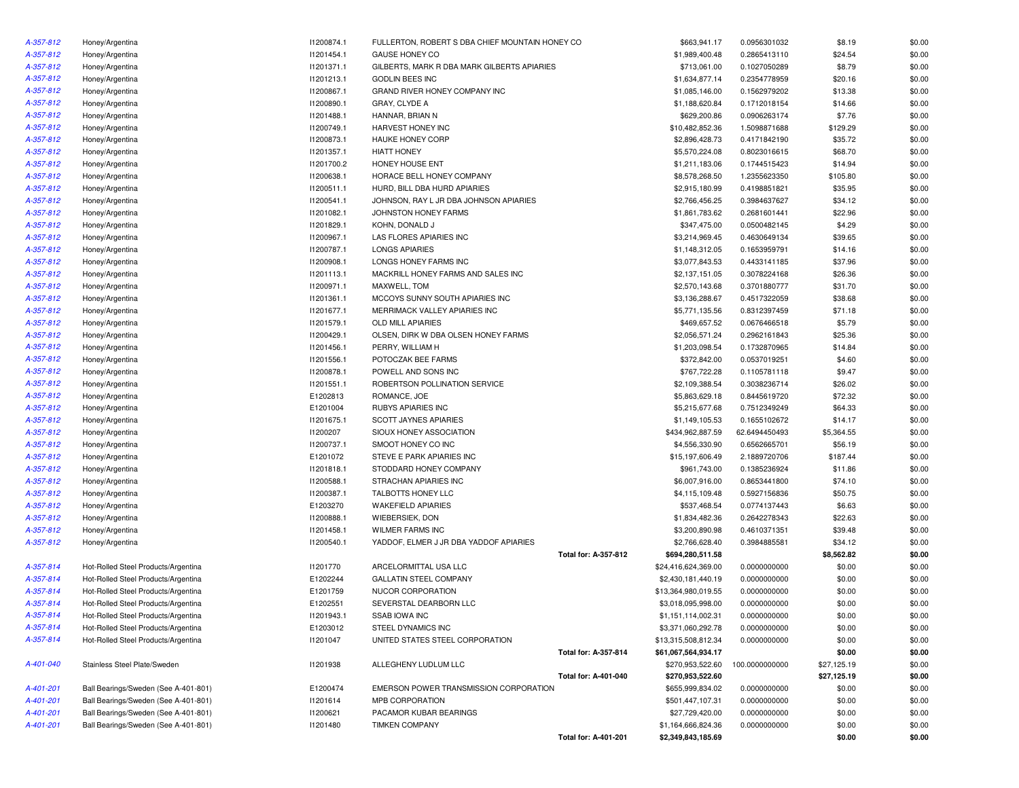| A-357-812 | Honey/Argentina                      | 11200874.1 | FULLERTON, ROBERT S DBA CHIEF MOUNTAIN HONEY CO |                      | \$663,941.17        | 0.0956301032                 | \$8.19      | \$0.00 |
|-----------|--------------------------------------|------------|-------------------------------------------------|----------------------|---------------------|------------------------------|-------------|--------|
| A-357-812 | Honey/Argentina                      | 11201454.1 | GAUSE HONEY CO                                  |                      | \$1,989,400.48      | 0.2865413110                 | \$24.54     | \$0.00 |
| A-357-812 | Honey/Argentina                      | 11201371.1 | GILBERTS, MARK R DBA MARK GILBERTS APIARIES     |                      | \$713,061.00        | 0.1027050289                 | \$8.79      | \$0.00 |
| A-357-812 | Honey/Argentina                      | 11201213.1 | GODLIN BEES INC                                 |                      | \$1,634,877.14      | 0.2354778959                 | \$20.16     | \$0.00 |
| A-357-812 | Honey/Argentina                      | 11200867.1 | GRAND RIVER HONEY COMPANY INC                   |                      | \$1,085,146.00      | 0.1562979202                 | \$13.38     | \$0.00 |
| A-357-812 | Honey/Argentina                      | 11200890.1 | GRAY, CLYDE A                                   |                      | \$1,188,620.84      | 0.1712018154                 | \$14.66     | \$0.00 |
| A-357-812 | Honey/Argentina                      | 11201488.1 | HANNAR, BRIAN N                                 |                      | \$629,200.86        | 0.0906263174                 | \$7.76      | \$0.00 |
| A-357-812 | Honey/Argentina                      | 11200749.1 | HARVEST HONEY INC                               |                      | \$10,482,852.36     | 1.5098871688                 | \$129.29    | \$0.00 |
| A-357-812 | Honey/Argentina                      | 11200873.1 | <b>HAUKE HONEY CORP</b>                         |                      | \$2,896,428.73      | 0.4171842190                 | \$35.72     | \$0.00 |
| A-357-812 | Honey/Argentina                      | 11201357.1 | <b>HIATT HONEY</b>                              |                      | \$5,570,224.08      | 0.8023016615                 | \$68.70     | \$0.00 |
| A-357-812 | Honey/Argentina                      | 11201700.2 | HONEY HOUSE ENT                                 |                      | \$1,211,183.06      | 0.1744515423                 | \$14.94     | \$0.00 |
| A-357-812 | Honey/Argentina                      | 11200638.1 | HORACE BELL HONEY COMPANY                       |                      | \$8,578,268.50      | 1.2355623350                 | \$105.80    | \$0.00 |
| A-357-812 | Honey/Argentina                      | 11200511.1 | HURD, BILL DBA HURD APIARIES                    |                      | \$2,915,180.99      | 0.4198851821                 | \$35.95     | \$0.00 |
| A-357-812 | Honey/Argentina                      | 11200541.1 | JOHNSON, RAY L JR DBA JOHNSON APIARIES          |                      | \$2,766,456.25      | 0.3984637627                 | \$34.12     | \$0.00 |
| A-357-812 | Honey/Argentina                      | 11201082.1 | JOHNSTON HONEY FARMS                            |                      | \$1,861,783.62      | 0.2681601441                 | \$22.96     | \$0.00 |
| A-357-812 | Honey/Argentina                      | 11201829.1 | KOHN, DONALD J                                  |                      | \$347,475.00        | 0.0500482145                 | \$4.29      | \$0.00 |
| A-357-812 | Honey/Argentina                      | 11200967.1 | LAS FLORES APIARIES INC                         |                      | \$3,214,969.45      | 0.4630649134                 | \$39.65     | \$0.00 |
| A-357-812 | Honey/Argentina                      | 11200787.1 | <b>LONGS APIARIES</b>                           |                      | \$1,148,312.05      | 0.1653959791                 | \$14.16     | \$0.00 |
| A-357-812 | Honey/Argentina                      | 11200908.1 | LONGS HONEY FARMS INC                           |                      | \$3,077,843.53      | 0.4433141185                 | \$37.96     | \$0.00 |
| A-357-812 | Honey/Argentina                      | 11201113.1 | MACKRILL HONEY FARMS AND SALES INC              |                      | \$2,137,151.05      | 0.3078224168                 | \$26.36     | \$0.00 |
| A-357-812 | Honey/Argentina                      | 11200971.1 | MAXWELL, TOM                                    |                      | \$2,570,143.68      | 0.3701880777                 | \$31.70     | \$0.00 |
| A-357-812 | Honey/Argentina                      | 11201361.1 | MCCOYS SUNNY SOUTH APIARIES INC                 |                      | \$3,136,288.67      | 0.4517322059                 | \$38.68     | \$0.00 |
| A-357-812 | Honey/Argentina                      | 11201677.1 | MERRIMACK VALLEY APIARIES INC                   |                      | \$5,771,135.56      | 0.8312397459                 | \$71.18     | \$0.00 |
| A-357-812 |                                      | 11201579.1 | <b>OLD MILL APIARIES</b>                        |                      | \$469,657.52        |                              | \$5.79      | \$0.00 |
| A-357-812 | Honey/Argentina                      | 11200429.1 | OLSEN. DIRK W DBA OLSEN HONEY FARMS             |                      | \$2,056,571.24      | 0.0676466518                 | \$25.36     | \$0.00 |
| A-357-812 | Honey/Argentina                      | 11201456.1 | PERRY, WILLIAM H                                |                      | \$1,203,098.54      | 0.2962161843<br>0.1732870965 | \$14.84     | \$0.00 |
|           | Honey/Argentina                      |            |                                                 |                      |                     |                              |             |        |
| A-357-812 | Honey/Argentina                      | I1201556.1 | POTOCZAK BEE FARMS<br>POWELL AND SONS INC       |                      | \$372,842.00        | 0.0537019251                 | \$4.60      | \$0.00 |
| A-357-812 | Honey/Argentina                      | 11200878.1 |                                                 |                      | \$767,722.28        | 0.1105781118                 | \$9.47      | \$0.00 |
| A-357-812 | Honey/Argentina                      | 11201551.1 | ROBERTSON POLLINATION SERVICE                   |                      | \$2,109,388.54      | 0.3038236714                 | \$26.02     | \$0.00 |
| A-357-812 | Honey/Argentina                      | E1202813   | ROMANCE, JOE                                    |                      | \$5,863,629.18      | 0.8445619720                 | \$72.32     | \$0.00 |
| A-357-812 | Honey/Argentina                      | E1201004   | <b>RUBYS APIARIES INC</b>                       |                      | \$5,215,677.68      | 0.7512349249                 | \$64.33     | \$0.00 |
| A-357-812 | Honey/Argentina                      | 11201675.1 | <b>SCOTT JAYNES APIARIES</b>                    |                      | \$1,149,105.53      | 0.1655102672                 | \$14.17     | \$0.00 |
| A-357-812 | Honey/Argentina                      | I1200207   | SIOUX HONEY ASSOCIATION                         |                      | \$434,962,887.59    | 62.6494450493                | \$5,364.55  | \$0.00 |
| A-357-812 | Honey/Argentina                      | 11200737.1 | SMOOT HONEY CO INC                              |                      | \$4,556,330.90      | 0.6562665701                 | \$56.19     | \$0.00 |
| A-357-812 | Honey/Argentina                      | E1201072   | STEVE E PARK APIARIES INC                       |                      | \$15,197,606.49     | 2.1889720706                 | \$187.44    | \$0.00 |
| A-357-812 | Honey/Argentina                      | 11201818.1 | STODDARD HONEY COMPANY                          |                      | \$961,743.00        | 0.1385236924                 | \$11.86     | \$0.00 |
| A-357-812 | Honey/Argentina                      | 11200588.1 | STRACHAN APIARIES INC                           |                      | \$6,007,916.00      | 0.8653441800                 | \$74.10     | \$0.00 |
| A-357-812 | Honey/Argentina                      | 11200387.1 | TALBOTTS HONEY LLC                              |                      | \$4,115,109.48      | 0.5927156836                 | \$50.75     | \$0.00 |
| A-357-812 | Honey/Argentina                      | E1203270   | <b>WAKEFIELD APIARIES</b>                       |                      | \$537,468.54        | 0.0774137443                 | \$6.63      | \$0.00 |
| A-357-812 | Honey/Argentina                      | I1200888.1 | WIEBERSIEK, DON                                 |                      | \$1,834,482.36      | 0.2642278343                 | \$22.63     | \$0.00 |
| A-357-812 | Honey/Argentina                      | 11201458.1 | <b>WILMER FARMS INC</b>                         |                      | \$3,200,890.98      | 0.4610371351                 | \$39.48     | \$0.00 |
| A-357-812 | Honey/Argentina                      | 11200540.1 | YADDOF, ELMER J JR DBA YADDOF APIARIES          |                      | \$2,766,628.40      | 0.3984885581                 | \$34.12     | \$0.00 |
|           |                                      |            |                                                 | Total for: A-357-812 | \$694,280,511.58    |                              | \$8,562.82  | \$0.00 |
| A-357-814 | Hot-Rolled Steel Products/Argentina  | 11201770   | ARCELORMITTAL USA LLC                           |                      | \$24,416,624,369.00 | 0.0000000000                 | \$0.00      | \$0.00 |
| A-357-814 | Hot-Rolled Steel Products/Argentina  | E1202244   | <b>GALLATIN STEEL COMPANY</b>                   |                      | \$2,430,181,440.19  | 0.0000000000                 | \$0.00      | \$0.00 |
| A-357-814 | Hot-Rolled Steel Products/Argentina  | E1201759   | NUCOR CORPORATION                               |                      | \$13,364,980,019.55 | 0.0000000000                 | \$0.00      | \$0.00 |
| A-357-814 | Hot-Rolled Steel Products/Argentina  | E1202551   | SEVERSTAL DEARBORN LLC                          |                      | \$3,018,095,998.00  | 0.0000000000                 | \$0.00      | \$0.00 |
| A-357-814 | Hot-Rolled Steel Products/Argentina  | 11201943.1 | <b>SSAB IOWA INC</b>                            |                      | \$1,151,114,002.31  | 0.0000000000                 | \$0.00      | \$0.00 |
| A-357-814 | Hot-Rolled Steel Products/Argentina  | E1203012   | STEEL DYNAMICS INC                              |                      | \$3,371,060,292.78  | 0.0000000000                 | \$0.00      | \$0.00 |
| A-357-814 | Hot-Rolled Steel Products/Argentina  | I1201047   | UNITED STATES STEEL CORPORATION                 |                      | \$13,315,508,812.34 | 0.0000000000                 | \$0.00      | \$0.00 |
|           |                                      |            |                                                 | Total for: A-357-814 | \$61,067,564,934.17 |                              | \$0.00      | \$0.00 |
| A-401-040 | Stainless Steel Plate/Sweden         | 11201938   | ALLEGHENY LUDLUM LLC                            |                      | \$270,953,522.60    | 100.0000000000               | \$27,125.19 | \$0.00 |
|           |                                      |            |                                                 | Total for: A-401-040 | \$270,953,522.60    |                              | \$27,125.19 | \$0.00 |
| A-401-201 | Ball Bearings/Sweden (See A-401-801) | E1200474   | EMERSON POWER TRANSMISSION CORPORATION          |                      | \$655,999,834.02    | 0.0000000000                 | \$0.00      | \$0.00 |
| A-401-201 | Ball Bearings/Sweden (See A-401-801) | 11201614   | MPB CORPORATION                                 |                      | \$501,447,107.31    | 0.0000000000                 | \$0.00      | \$0.00 |
| A-401-201 | Ball Bearings/Sweden (See A-401-801) | I1200621   | PACAMOR KUBAR BEARINGS                          |                      | \$27,729,420.00     | 0.0000000000                 | \$0.00      | \$0.00 |
| A-401-201 | Ball Bearings/Sweden (See A-401-801) | 11201480   | <b>TIMKEN COMPANY</b>                           |                      | \$1,164,666,824.36  | 0.0000000000                 | \$0.00      | \$0.00 |
|           |                                      |            |                                                 | Total for: A-401-201 | \$2,349,843,185.69  |                              | \$0.00      | \$0.00 |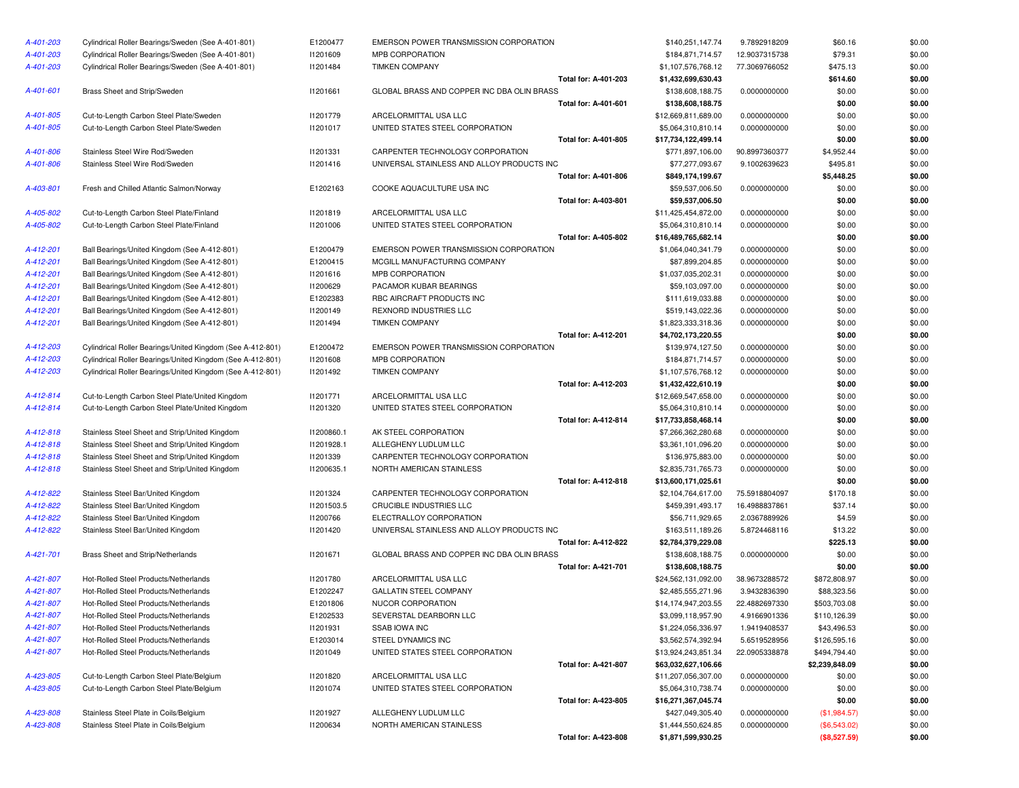| A-401-203 | Cylindrical Roller Bearings/Sweden (See A-401-801)         | E1200477               | EMERSON POWER TRANSMISSION CORPORATION                   |                             | \$140,251,147.74                          | 9.7892918209                 | \$60.16          | \$0.00           |
|-----------|------------------------------------------------------------|------------------------|----------------------------------------------------------|-----------------------------|-------------------------------------------|------------------------------|------------------|------------------|
| A-401-203 | Cylindrical Roller Bearings/Sweden (See A-401-801)         | 11201609               | MPB CORPORATION                                          |                             | \$184,871,714.57                          | 12.9037315738                | \$79.31          | \$0.00           |
| A-401-203 | Cylindrical Roller Bearings/Sweden (See A-401-801)         | 11201484               | <b>TIMKEN COMPANY</b>                                    |                             | \$1,107,576,768.12                        | 77.3069766052                | \$475.13         | \$0.00           |
|           |                                                            |                        |                                                          | <b>Total for: A-401-203</b> | \$1,432,699,630.43                        |                              | \$614.60         | \$0.00           |
| A-401-601 | Brass Sheet and Strip/Sweden                               | 11201661               | GLOBAL BRASS AND COPPER INC DBA OLIN BRASS               |                             | \$138,608,188.75                          | 0.0000000000                 | \$0.00           | \$0.00           |
|           |                                                            |                        |                                                          | Total for: A-401-601        | \$138,608,188.75                          |                              | \$0.00           | \$0.00           |
| A-401-805 | Cut-to-Length Carbon Steel Plate/Sweden                    | 11201779               | ARCELORMITTAL USA LLC                                    |                             | \$12,669,811,689.00                       | 0.0000000000                 | \$0.00           | \$0.00           |
| A-401-805 | Cut-to-Length Carbon Steel Plate/Sweden                    | 11201017               | UNITED STATES STEEL CORPORATION                          |                             | \$5,064,310,810.14                        | 0.0000000000                 | \$0.00           | \$0.00           |
|           |                                                            |                        |                                                          | Total for: A-401-805        | \$17,734,122,499.14                       |                              | \$0.00           | \$0.00           |
| A-401-806 | Stainless Steel Wire Rod/Sweden                            | 11201331               | CARPENTER TECHNOLOGY CORPORATION                         |                             | \$771,897,106.00                          | 90.8997360377                | \$4,952.44       | \$0.00           |
| A-401-806 | Stainless Steel Wire Rod/Sweden                            | 11201416               | UNIVERSAL STAINLESS AND ALLOY PRODUCTS INC               |                             | \$77,277,093.67                           | 9.1002639623                 | \$495.81         | \$0.00           |
|           |                                                            |                        |                                                          | Total for: A-401-806        | \$849,174,199.67                          |                              | \$5,448.25       | \$0.00           |
| A-403-801 | Fresh and Chilled Atlantic Salmon/Norway                   | E1202163               | COOKE AQUACULTURE USA INC                                |                             | \$59,537,006.50                           | 0.0000000000                 | \$0.00           | \$0.00           |
|           |                                                            |                        |                                                          | Total for: A-403-801        | \$59,537,006.50                           |                              | \$0.00           | \$0.00           |
| A-405-802 | Cut-to-Length Carbon Steel Plate/Finland                   | 11201819               | ARCELORMITTAL USA LLC                                    |                             | \$11,425,454,872.00                       | 0.0000000000                 | \$0.00           | \$0.00           |
| A-405-802 | Cut-to-Length Carbon Steel Plate/Finland                   | 11201006               | UNITED STATES STEEL CORPORATION                          |                             | \$5,064,310,810.14                        | 0.0000000000                 | \$0.00           | \$0.00           |
|           |                                                            |                        |                                                          | Total for: A-405-802        | \$16,489,765,682.14                       |                              | \$0.00           | \$0.00           |
| A-412-201 | Ball Bearings/United Kingdom (See A-412-801)               | E1200479               | EMERSON POWER TRANSMISSION CORPORATION                   |                             | \$1,064,040,341.79                        | 0.0000000000                 | \$0.00           | \$0.00           |
| A-412-201 | Ball Bearings/United Kingdom (See A-412-801)               | E1200415               | MCGILL MANUFACTURING COMPANY                             |                             | \$87,899,204.85                           | 0.0000000000                 | \$0.00           | \$0.00           |
| A-412-201 | Ball Bearings/United Kingdom (See A-412-801)               | 11201616               | MPB CORPORATION                                          |                             | \$1,037,035,202.31                        | 0.0000000000                 | \$0.00           | \$0.00           |
| A-412-201 | Ball Bearings/United Kingdom (See A-412-801)               | 11200629               | PACAMOR KUBAR BEARINGS                                   |                             | \$59,103,097.00                           | 0.0000000000                 | \$0.00           | \$0.00           |
| A-412-201 | Ball Bearings/United Kingdom (See A-412-801)               | E1202383               | RBC AIRCRAFT PRODUCTS INC                                |                             | \$111,619,033.88                          | 0.0000000000                 | \$0.00           | \$0.00           |
| A-412-201 | Ball Bearings/United Kingdom (See A-412-801)               | 11200149               | <b>REXNORD INDUSTRIES LLC</b>                            |                             | \$519,143,022.36                          | 0.0000000000                 | \$0.00           | \$0.00           |
| A-412-201 | Ball Bearings/United Kingdom (See A-412-801)               | 11201494               | <b>TIMKEN COMPANY</b>                                    |                             | \$1,823,333,318.36                        | 0.0000000000                 | \$0.00           | \$0.00           |
|           |                                                            |                        |                                                          | <b>Total for: A-412-201</b> | \$4,702,173,220.55                        |                              | \$0.00           | \$0.00           |
| A-412-203 | Cylindrical Roller Bearings/United Kingdom (See A-412-801) | E1200472               | EMERSON POWER TRANSMISSION CORPORATION                   |                             | \$139,974,127.50                          | 0.0000000000                 | \$0.00           | \$0.00           |
| A-412-203 | Cylindrical Roller Bearings/United Kingdom (See A-412-801) | 11201608               | MPB CORPORATION                                          |                             | \$184,871,714.57                          | 0.0000000000                 | \$0.00           | \$0.00           |
| A-412-203 | Cylindrical Roller Bearings/United Kingdom (See A-412-801) | 11201492               | <b>TIMKEN COMPANY</b>                                    |                             | \$1,107,576,768.12                        | 0.0000000000                 | \$0.00           | \$0.00           |
|           |                                                            |                        |                                                          | <b>Total for: A-412-203</b> | \$1,432,422,610.19                        |                              | \$0.00           | \$0.00           |
| A-412-814 | Cut-to-Length Carbon Steel Plate/United Kingdom            | 11201771               | ARCELORMITTAL USA LLC                                    |                             | \$12,669,547,658.00                       | 0.0000000000                 | \$0.00           | \$0.00           |
| A-412-814 | Cut-to-Length Carbon Steel Plate/United Kingdom            | 11201320               | UNITED STATES STEEL CORPORATION                          |                             | \$5,064,310,810.14                        | 0.0000000000                 | \$0.00           | \$0.00           |
| A-412-818 | Stainless Steel Sheet and Strip/United Kingdom             | 11200860.1             | AK STEEL CORPORATION                                     | <b>Total for: A-412-814</b> | \$17,733,858,468.14<br>\$7,266,362,280.68 |                              | \$0.00           | \$0.00<br>\$0.00 |
| A-412-818 | Stainless Steel Sheet and Strip/United Kingdom             |                        |                                                          |                             |                                           | 0.0000000000                 | \$0.00           | \$0.00           |
| A-412-818 | Stainless Steel Sheet and Strip/United Kingdom             | 11201928.1<br>11201339 | ALLEGHENY LUDLUM LLC<br>CARPENTER TECHNOLOGY CORPORATION |                             | \$3,361,101,096.20                        | 0.0000000000                 | \$0.00           | \$0.00           |
| A-412-818 | Stainless Steel Sheet and Strip/United Kingdom             | 11200635.1             | NORTH AMERICAN STAINLESS                                 |                             | \$136,975,883.00<br>\$2,835,731,765.73    | 0.0000000000<br>0.0000000000 | \$0.00<br>\$0.00 | \$0.00           |
|           |                                                            |                        |                                                          | Total for: A-412-818        | \$13,600,171,025.61                       |                              | \$0.00           | \$0.00           |
| A-412-822 | Stainless Steel Bar/United Kingdom                         | 11201324               | CARPENTER TECHNOLOGY CORPORATION                         |                             | \$2,104,764,617.00                        | 75.5918804097                | \$170.18         | \$0.00           |
| A-412-822 | Stainless Steel Bar/United Kingdom                         | 11201503.5             | CRUCIBLE INDUSTRIES LLC                                  |                             | \$459,391,493.17                          | 16.4988837861                | \$37.14          | \$0.00           |
| A-412-822 | Stainless Steel Bar/United Kingdom                         | 11200766               | ELECTRALLOY CORPORATION                                  |                             | \$56,711,929.65                           | 2.0367889926                 | \$4.59           | \$0.00           |
| A-412-822 | Stainless Steel Bar/United Kingdom                         | 11201420               | UNIVERSAL STAINLESS AND ALLOY PRODUCTS INC               |                             | \$163,511,189.26                          | 5.8724468116                 | \$13.22          | \$0.00           |
|           |                                                            |                        |                                                          | Total for: A-412-822        | \$2,784,379,229.08                        |                              | \$225.13         | \$0.00           |
| A-421-701 | Brass Sheet and Strip/Netherlands                          | 11201671               | GLOBAL BRASS AND COPPER INC DBA OLIN BRASS               |                             | \$138,608,188.75                          | 0.0000000000                 | \$0.00           | \$0.00           |
|           |                                                            |                        |                                                          | <b>Total for: A-421-701</b> | \$138,608,188.75                          |                              | \$0.00           | \$0.00           |
| A-421-807 | Hot-Rolled Steel Products/Netherlands                      | 11201780               | ARCELORMITTAL USA LLC                                    |                             | \$24,562,131,092.00                       | 38.9673288572                | \$872,808.97     | \$0.00           |
| A-421-807 | Hot-Rolled Steel Products/Netherlands                      | E1202247               | GALLATIN STEEL COMPANY                                   |                             | \$2,485,555,271.96                        | 3.9432836390                 | \$88,323.56      | \$0.00           |
| A-421-807 | Hot-Rolled Steel Products/Netherlands                      | E1201806               | NUCOR CORPORATION                                        |                             | \$14,174,947,203.55                       | 22.4882697330                | \$503,703.08     | \$0.00           |
| A-421-807 | Hot-Rolled Steel Products/Netherlands                      | E1202533               | SEVERSTAL DEARBORN LLC                                   |                             | \$3,099,118,957.90                        | 4.9166901336                 | \$110,126.39     | \$0.00           |
| A-421-807 | Hot-Rolled Steel Products/Netherlands                      | 11201931               | SSAB IOWA INC                                            |                             | \$1,224,056,336.97                        | 1.9419408537                 | \$43,496.53      | \$0.00           |
| A-421-807 | Hot-Rolled Steel Products/Netherlands                      | E1203014               | STEEL DYNAMICS INC                                       |                             | \$3,562,574,392.94                        | 5.6519528956                 | \$126,595.16     | \$0.00           |
| A-421-807 | Hot-Rolled Steel Products/Netherlands                      | 11201049               | UNITED STATES STEEL CORPORATION                          |                             | \$13,924,243,851.34                       | 22.0905338878                | \$494,794.40     | \$0.00           |
|           |                                                            |                        |                                                          | <b>Total for: A-421-807</b> | \$63,032,627,106.66                       |                              | \$2,239,848.09   | \$0.00           |
| A-423-805 | Cut-to-Length Carbon Steel Plate/Belgium                   | 11201820               | ARCELORMITTAL USA LLC                                    |                             | \$11,207,056,307.00                       | 0.0000000000                 | \$0.00           | \$0.00           |
| A-423-805 | Cut-to-Length Carbon Steel Plate/Belgium                   | 11201074               | UNITED STATES STEEL CORPORATION                          |                             | \$5,064,310,738.74                        | 0.0000000000                 | \$0.00           | \$0.00           |
|           |                                                            |                        |                                                          | Total for: A-423-805        | \$16,271,367,045.74                       |                              | \$0.00           | \$0.00           |
| A-423-808 | Stainless Steel Plate in Coils/Belgium                     | 11201927               | ALLEGHENY LUDLUM LLC                                     |                             | \$427,049,305.40                          | 0.0000000000                 | (\$1,984.57)     | \$0.00           |
| A-423-808 | Stainless Steel Plate in Coils/Belgium                     | 11200634               | NORTH AMERICAN STAINLESS                                 |                             | \$1,444,550,624.85                        | 0.0000000000                 | $(\$6,543.02)$   | \$0.00           |
|           |                                                            |                        |                                                          | Total for: A-423-808        | \$1,871,599,930.25                        |                              | (SR 527 59)      | \$0.00           |

| WER TRANSMISSION CORPORATION           |                             | \$140,251,147.74    | 9.7892918209  | \$60.16        | \$0.00 |
|----------------------------------------|-----------------------------|---------------------|---------------|----------------|--------|
| ATION                                  |                             | \$184,871,714.57    | 12.9037315738 | \$79.31        | \$0.00 |
| ANY                                    |                             | \$1,107,576,768.12  | 77.3069766052 | \$475.13       | \$0.00 |
|                                        | Total for: A-401-203        | \$1,432,699,630.43  |               | \$614.60       | \$0.00 |
| S AND COPPER INC DBA OLIN BRASS        |                             | \$138,608,188.75    | 0.0000000000  | \$0.00         | \$0.00 |
|                                        | Total for: A-401-601        | \$138,608,188.75    |               | \$0.00         | \$0.00 |
| AL USA LLC                             |                             | \$12,669,811,689.00 | 0.0000000000  | \$0.00         | \$0.00 |
| <b>IS STEEL CORPORATION</b>            |                             | \$5,064,310,810.14  | 0.0000000000  | \$0.00         | \$0.00 |
|                                        | Total for: A-401-805        | \$17,734,122,499.14 |               | \$0.00         | \$0.00 |
| ECHNOLOGY CORPORATION                  |                             | \$771,897,106.00    | 90.8997360377 | \$4,952.44     | \$0.00 |
| <b>TAINLESS AND ALLOY PRODUCTS INC</b> |                             | \$77,277,093.67     | 9.1002639623  | \$495.81       | \$0.00 |
|                                        | <b>Total for: A-401-806</b> | \$849,174,199.67    |               | \$5,448.25     | \$0.00 |
| CULTURE USA INC                        |                             | \$59,537,006.50     | 0.0000000000  | \$0.00         | \$0.00 |
|                                        | <b>Total for: A-403-801</b> | \$59,537,006.50     |               | \$0.00         | \$0.00 |
| AL USA LLC                             |                             | \$11,425,454,872.00 | 0.0000000000  | \$0.00         | \$0.00 |
| <b>IS STEEL CORPORATION</b>            |                             | \$5,064,310,810.14  | 0.0000000000  | \$0.00         | \$0.00 |
|                                        | Total for: A-405-802        | \$16,489,765,682.14 |               | \$0.00         | \$0.00 |
| WER TRANSMISSION CORPORATION           |                             | \$1,064,040,341.79  | 0.0000000000  | \$0.00         | \$0.00 |
| <b>FACTURING COMPANY</b>               |                             | \$87,899,204.85     | 0.0000000000  | \$0.00         | \$0.00 |
| ATION                                  |                             | \$1,037,035,202.31  | 0.0000000000  | \$0.00         | \$0.00 |
| <b>BAR BEARINGS</b>                    |                             | \$59,103,097.00     | 0.0000000000  | \$0.00         | \$0.00 |
| T PRODUCTS INC                         |                             | \$111,619,033.88    | 0.0000000000  | \$0.00         | \$0.00 |
| USTRIES LLC                            |                             | \$519,143,022.36    | 0.0000000000  | \$0.00         | \$0.00 |
| ANY                                    |                             | \$1,823,333,318.36  | 0.0000000000  | \$0.00         | \$0.00 |
|                                        | <b>Total for: A-412-201</b> | \$4,702,173,220.55  |               | \$0.00         | \$0.00 |
| WER TRANSMISSION CORPORATION           |                             | \$139,974,127.50    | 0.0000000000  | \$0.00         | \$0.00 |
| ATION                                  |                             | \$184,871,714.57    | 0.0000000000  | \$0.00         | \$0.00 |
| ANY                                    |                             | \$1,107,576,768.12  | 0.0000000000  | \$0.00         | \$0.00 |
|                                        | Total for: A-412-203        | \$1,432,422,610.19  |               | \$0.00         | \$0.00 |
| AL USA LLC <sup>.</sup>                |                             | \$12,669,547,658.00 | 0.0000000000  | \$0.00         | \$0.00 |
| <b>IS STEEL CORPORATION</b>            |                             | \$5,064,310,810.14  | 0.0000000000  | \$0.00         | \$0.00 |
|                                        | Total for: A-412-814        | \$17,733,858,468.14 |               | \$0.00         | \$0.00 |
| RPORATION                              |                             | \$7,266,362,280.68  | 0.0000000000  | \$0.00         | \$0.00 |
| UDLUM LLC                              |                             | \$3,361,101,096.20  | 0.0000000000  | \$0.00         | \$0.00 |
| ECHNOLOGY CORPORATION                  |                             | \$136,975,883.00    | 0.0000000000  | \$0.00         | \$0.00 |
| <b>CAN STAINLESS</b>                   |                             | \$2,835,731,765.73  | 0.0000000000  | \$0.00         | \$0.00 |
|                                        | Total for: A-412-818        | \$13,600,171,025.61 |               | \$0.00         | \$0.00 |
| ECHNOLOGY CORPORATION                  |                             | \$2,104,764,617.00  | 75.5918804097 | \$170.18       | \$0.00 |
| USTRIES LLC                            |                             | \$459,391,493.17    | 16.4988837861 | \$37.14        | \$0.00 |
| CORPORATION                            |                             | \$56,711,929.65     | 2.0367889926  | \$4.59         | \$0.00 |
| <b>FAINLESS AND ALLOY PRODUCTS INC</b> |                             | \$163,511,189.26    | 5.8724468116  | \$13.22        | \$0.00 |
|                                        | Total for: A-412-822        | \$2,784,379,229.08  |               | \$225.13       | \$0.00 |
| S AND COPPER INC DBA OLIN BRASS        |                             | \$138,608,188.75    | 0.0000000000  | \$0.00         | \$0.00 |
|                                        | <b>Total for: A-421-701</b> | \$138,608,188.75    |               | \$0.00         | \$0.00 |
| AL USA LLC                             |                             | \$24,562,131,092.00 | 38.9673288572 | \$872,808.97   | \$0.00 |
| EL COMPANY                             |                             | \$2,485,555,271.96  | 3.9432836390  | \$88,323.56    | \$0.00 |
| ORATION                                |                             | \$14,174,947,203.55 | 22.4882697330 | \$503,703.08   | \$0.00 |
| EARBORN LLC                            |                             | \$3,099,118,957.90  | 4.9166901336  | \$110,126.39   | \$0.00 |
| С                                      |                             | \$1,224,056,336.97  | 1.9419408537  | \$43,496.53    | \$0.00 |
| <b>IICS INC</b>                        |                             | \$3,562,574,392.94  | 5.6519528956  | \$126,595.16   | \$0.00 |
| <b>IS STEEL CORPORATION</b>            |                             | \$13,924,243,851.34 | 22.0905338878 | \$494,794.40   | \$0.00 |
|                                        | Total for: A-421-807        | \$63,032,627,106.66 |               | \$2,239,848.09 | \$0.00 |
| AL USA LLC                             |                             | \$11,207,056,307.00 | 0.0000000000  | \$0.00         | \$0.00 |
| <b>IS STEEL CORPORATION</b>            |                             | \$5,064,310,738.74  | 0.0000000000  | \$0.00         | \$0.00 |
|                                        | Total for: A-423-805        | \$16,271,367,045.74 |               | \$0.00         | \$0.00 |
| UDLUM LLC                              |                             | \$427,049,305.40    | 0.0000000000  | (\$1,984.57)   | \$0.00 |
| <b>CAN STAINLESS</b>                   |                             | \$1,444,550,624.85  | 0.0000000000  | (\$6,543.02)   | \$0.00 |
|                                        | Total for: A-423-808        | \$1,871,599,930.25  |               | (\$8,527.59)   | \$0.00 |
|                                        |                             |                     |               |                |        |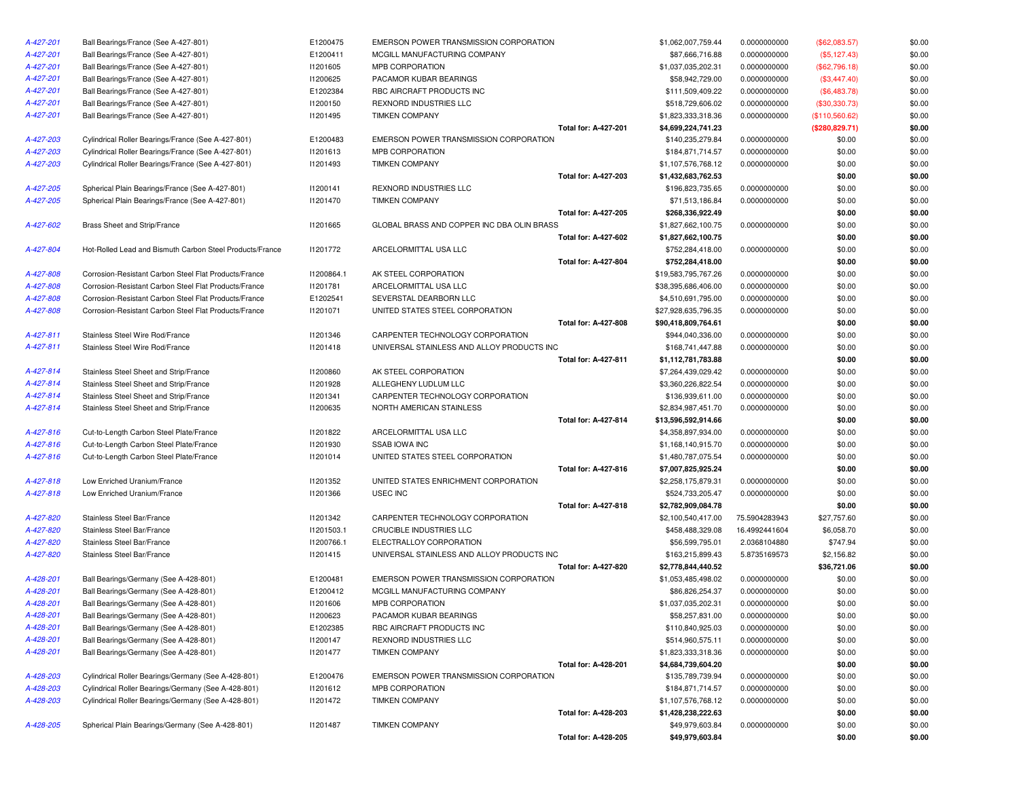| A-427-201              | Ball Bearings/France (See A-427-801)                     | E1200475   | EMERSON POWER TRANSMISSION CORPORATION          |                             | \$1,062,007,759.44                    | 0.0000000000                 | $(\$62,083.57)$ | \$0.00 |
|------------------------|----------------------------------------------------------|------------|-------------------------------------------------|-----------------------------|---------------------------------------|------------------------------|-----------------|--------|
| A-427-201              | Ball Bearings/France (See A-427-801)                     | E1200411   | MCGILL MANUFACTURING COMPANY                    |                             | \$87,666,716.88                       | 0.0000000000                 | (\$5,127.43)    | \$0.00 |
| A-427-201              | Ball Bearings/France (See A-427-801)                     | 11201605   | MPB CORPORATION                                 |                             | \$1,037,035,202.31                    | 0.0000000000                 | (\$62,796.18)   | \$0.00 |
| A-427-201              | Ball Bearings/France (See A-427-801)                     | I1200625   | PACAMOR KUBAR BEARINGS                          |                             | \$58,942,729.00                       | 0.0000000000                 | (\$3,447.40)    | \$0.00 |
| A-427-201              | Ball Bearings/France (See A-427-801)                     | E1202384   | RBC AIRCRAFT PRODUCTS INC                       |                             | \$111,509,409.22                      | 0.0000000000                 | (\$6,483.78)    | \$0.00 |
| A-427-201              | Ball Bearings/France (See A-427-801)                     | 11200150   | REXNORD INDUSTRIES LLC                          |                             | \$518,729,606.02                      | 0.0000000000                 | (\$30,330.73)   | \$0.00 |
| A-427-201              | Ball Bearings/France (See A-427-801)                     | 11201495   | <b>TIMKEN COMPANY</b>                           |                             | \$1,823,333,318.36                    | 0.0000000000                 | (\$110,560.62)  | \$0.00 |
|                        |                                                          |            |                                                 | <b>Total for: A-427-201</b> | \$4,699,224,741.23                    |                              | (\$280,829.71)  | \$0.00 |
| A-427-203              | Cylindrical Roller Bearings/France (See A-427-801)       | E1200483   | EMERSON POWER TRANSMISSION CORPORATION          |                             | \$140,235,279.84                      | 0.0000000000                 | \$0.00          | \$0.00 |
| A-427-203              | Cylindrical Roller Bearings/France (See A-427-801)       | 11201613   | MPB CORPORATION                                 |                             | \$184,871,714.57                      | 0.0000000000                 | \$0.00          | \$0.00 |
| A-427-203              | Cylindrical Roller Bearings/France (See A-427-801)       | 11201493   | <b>TIMKEN COMPANY</b>                           |                             | \$1,107,576,768.12                    | 0.0000000000                 | \$0.00          | \$0.00 |
|                        |                                                          |            |                                                 | <b>Total for: A-427-203</b> | \$1,432,683,762.53                    |                              | \$0.00          | \$0.00 |
| A-427-205              | Spherical Plain Bearings/France (See A-427-801)          | 11200141   | REXNORD INDUSTRIES LLC                          |                             | \$196,823,735.65                      | 0.0000000000                 | \$0.00          | \$0.00 |
| A-427-205              | Spherical Plain Bearings/France (See A-427-801)          | 11201470   | <b>TIMKEN COMPANY</b>                           |                             | \$71,513,186.84                       | 0.0000000000                 | \$0.00          | \$0.00 |
|                        |                                                          |            |                                                 | Total for: A-427-205        | \$268,336,922.49                      |                              | \$0.00          | \$0.00 |
| A-427-602              | Brass Sheet and Strip/France                             | 11201665   | GLOBAL BRASS AND COPPER INC DBA OLIN BRASS      |                             | \$1,827,662,100.75                    | 0.0000000000                 | \$0.00          | \$0.00 |
|                        |                                                          |            |                                                 | Total for: A-427-602        | \$1,827,662,100.75                    |                              | \$0.00          | \$0.00 |
| A-427-804              | Hot-Rolled Lead and Bismuth Carbon Steel Products/France | 11201772   | ARCELORMITTAL USA LLC                           |                             | \$752,284,418.00                      | 0.0000000000                 | \$0.00          | \$0.00 |
|                        |                                                          |            |                                                 | <b>Total for: A-427-804</b> | \$752,284,418.00                      |                              | \$0.00          | \$0.00 |
| A-427-808              | Corrosion-Resistant Carbon Steel Flat Products/France    | 11200864.1 | AK STEEL CORPORATION                            |                             | \$19,583,795,767.26                   | 0.0000000000                 | \$0.00          | \$0.00 |
| A-427-808              | Corrosion-Resistant Carbon Steel Flat Products/France    | 11201781   | ARCELORMITTAL USA LLC                           |                             | \$38,395,686,406.00                   | 0.0000000000                 | \$0.00          | \$0.00 |
| A-427-808              | Corrosion-Resistant Carbon Steel Flat Products/France    | E1202541   | SEVERSTAL DEARBORN LLC                          |                             | \$4,510,691,795.00                    | 0.0000000000                 | \$0.00          | \$0.00 |
| A-427-808              | Corrosion-Resistant Carbon Steel Flat Products/France    | 11201071   | UNITED STATES STEEL CORPORATION                 |                             | \$27,928,635,796.35                   | 0.0000000000                 | \$0.00          | \$0.00 |
|                        |                                                          |            |                                                 | Total for: A-427-808        | \$90,418,809,764.61                   |                              | \$0.00          | \$0.00 |
| A-427-811              | Stainless Steel Wire Rod/France                          | 11201346   | CARPENTER TECHNOLOGY CORPORATION                |                             | \$944,040,336.00                      | 0.0000000000                 | \$0.00          | \$0.00 |
| A-427-811              | Stainless Steel Wire Rod/France                          | 11201418   | UNIVERSAL STAINLESS AND ALLOY PRODUCTS INC      |                             | \$168,741,447.88                      | 0.0000000000                 | \$0.00          | \$0.00 |
|                        |                                                          |            |                                                 | Total for: A-427-811        | \$1,112,781,783.88                    |                              | \$0.00          | \$0.00 |
| A-427-814              | Stainless Steel Sheet and Strip/France                   | 11200860   | AK STEEL CORPORATION                            |                             | \$7,264,439,029.42                    | 0.0000000000                 | \$0.00          | \$0.00 |
| A-427-814              | Stainless Steel Sheet and Strip/France                   | 11201928   | ALLEGHENY LUDLUM LLC                            |                             | \$3,360,226,822.54                    | 0.0000000000                 | \$0.00          | \$0.00 |
| A-427-814              | Stainless Steel Sheet and Strip/France                   | 11201341   | CARPENTER TECHNOLOGY CORPORATION                |                             | \$136,939,611.00                      | 0.0000000000                 | \$0.00          | \$0.00 |
| A-427-814              | Stainless Steel Sheet and Strip/France                   | I1200635   | NORTH AMERICAN STAINLESS                        |                             | \$2,834,987,451.70                    | 0.0000000000                 | \$0.00          | \$0.00 |
|                        |                                                          |            |                                                 | <b>Total for: A-427-814</b> | \$13,596,592,914.66                   |                              | \$0.00          | \$0.00 |
| A-427-816              | Cut-to-Length Carbon Steel Plate/France                  | 11201822   | ARCELORMITTAL USA LLC                           |                             | \$4,358,897,934.00                    | 0.0000000000                 | \$0.00          | \$0.00 |
| A-427-816              | Cut-to-Length Carbon Steel Plate/France                  | 11201930   | <b>SSAB IOWA INC</b>                            |                             | \$1,168,140,915.70                    | 0.0000000000                 | \$0.00          | \$0.00 |
| A-427-816              | Cut-to-Length Carbon Steel Plate/France                  | 11201014   | UNITED STATES STEEL CORPORATION                 |                             | \$1,480,787,075.54                    | 0.0000000000                 | \$0.00          | \$0.00 |
|                        |                                                          |            |                                                 | Total for: A-427-816        | \$7,007,825,925.24                    |                              | \$0.00          | \$0.00 |
| A-427-818              | Low Enriched Uranium/France                              | 11201352   | UNITED STATES ENRICHMENT CORPORATION            |                             | \$2,258,175,879.31                    | 0.0000000000                 | \$0.00          | \$0.00 |
| A-427-818              | Low Enriched Uranium/France                              | 11201366   | USEC INC                                        |                             | \$524,733,205.47                      | 0.0000000000                 | \$0.00          | \$0.00 |
|                        |                                                          |            |                                                 | Total for: A-427-818        | \$2,782,909,084.78                    |                              | \$0.00          | \$0.00 |
| A-427-820              | Stainless Steel Bar/France                               | 11201342   | CARPENTER TECHNOLOGY CORPORATION                |                             | \$2,100,540,417.00                    | 75.5904283943                | \$27,757.60     | \$0.00 |
| A-427-820              | Stainless Steel Bar/France                               | 11201503.1 | CRUCIBLE INDUSTRIES LLC                         |                             | \$458,488,329.08                      | 16.4992441604                | \$6,058.70      | \$0.00 |
| A-427-820              | Stainless Steel Bar/France                               | 11200766.1 | ELECTRALLOY CORPORATION                         |                             | \$56,599,795.01                       | 2.0368104880                 | \$747.94        | \$0.00 |
| A-427-820              | Stainless Steel Bar/France                               | 11201415   | UNIVERSAL STAINLESS AND ALLOY PRODUCTS INC      |                             | \$163,215,899.43                      | 5.8735169573                 | \$2,156.82      | \$0.00 |
|                        |                                                          |            |                                                 | <b>Total for: A-427-820</b> | \$2,778,844,440.52                    |                              | \$36,721.06     | \$0.00 |
| A-428-201              |                                                          |            | EMERSON POWER TRANSMISSION CORPORATION          |                             |                                       |                              |                 | \$0.00 |
|                        | Ball Bearings/Germany (See A-428-801)                    | E1200481   |                                                 |                             | \$1,053,485,498.02<br>\$86,826,254.37 | 0.0000000000<br>0.0000000000 | \$0.00          |        |
| A-428-201              | Ball Bearings/Germany (See A-428-801)                    | E1200412   | MCGILL MANUFACTURING COMPANY<br>MPB CORPORATION |                             |                                       |                              | \$0.00          | \$0.00 |
| A-428-201<br>A-428-201 | Ball Bearings/Germany (See A-428-801)                    | 11201606   |                                                 |                             | \$1,037,035,202.31                    | 0.0000000000                 | \$0.00          | \$0.00 |
|                        | Ball Bearings/Germany (See A-428-801)                    | 11200623   | PACAMOR KUBAR BEARINGS                          |                             | \$58,257,831.00                       | 0.0000000000                 | \$0.00          | \$0.00 |
| A-428-201              | Ball Bearings/Germany (See A-428-801)                    | E1202385   | RBC AIRCRAFT PRODUCTS INC                       |                             | \$110,840,925.03                      | 0.0000000000                 | \$0.00          | \$0.00 |
| A-428-201              | Ball Bearings/Germany (See A-428-801)                    | 11200147   | REXNORD INDUSTRIES LLC                          |                             | \$514,960,575.11                      | 0.0000000000                 | \$0.00          | \$0.00 |
| A-428-201              | Ball Bearings/Germany (See A-428-801)                    | 11201477   | <b>TIMKEN COMPANY</b>                           |                             | \$1,823,333,318.36                    | 0.0000000000                 | \$0.00          | \$0.00 |
|                        |                                                          |            |                                                 | <b>Total for: A-428-201</b> | \$4,684,739,604.20                    |                              | \$0.00          | \$0.00 |
| A-428-203              | Cylindrical Roller Bearings/Germany (See A-428-801)      | E1200476   | EMERSON POWER TRANSMISSION CORPORATION          |                             | \$135,789,739.94                      | 0.0000000000                 | \$0.00          | \$0.00 |
| A-428-203              | Cylindrical Roller Bearings/Germany (See A-428-801)      | 11201612   | MPB CORPORATION                                 |                             | \$184,871,714.57                      | 0.0000000000                 | \$0.00          | \$0.00 |
| A-428-203              | Cylindrical Roller Bearings/Germany (See A-428-801)      | 11201472   | <b>TIMKEN COMPANY</b>                           |                             | \$1,107,576,768.12                    | 0.0000000000                 | \$0.00          | \$0.00 |
|                        |                                                          |            |                                                 | Total for: A-428-203        | \$1,428,238,222.63                    |                              | \$0.00          | \$0.00 |
| A-428-205              | Spherical Plain Bearings/Germany (See A-428-801)         | 11201487   | <b>TIMKEN COMPANY</b>                           |                             | \$49,979,603.84                       | 0.0000000000                 | \$0.00          | \$0.00 |
|                        |                                                          |            |                                                 | Total for: A-428-205        | \$49,979,603.84                       |                              | \$0.00          | \$0.00 |

| IN POWER TRANSMISSION CORPORATION    |                             | \$1,062,007,759.44  | 0.0000000000  | (\$62,083.57)   | \$0.00 |
|--------------------------------------|-----------------------------|---------------------|---------------|-----------------|--------|
| MANUFACTURING COMPANY                |                             | \$87,666,716.88     | 0.0000000000  | (\$5,127.43)    | \$0.00 |
| RPORATION                            |                             | \$1,037,035,202.31  | 0.0000000000  | (\$62,796.18)   | \$0.00 |
| R KUBAR BEARINGS                     |                             | \$58,942,729.00     | 0.0000000000  | (\$3,447.40)    | \$0.00 |
| CRAFT PRODUCTS INC                   |                             | \$111,509,409.22    | 0.0000000000  | (\$6,483.78)    | \$0.00 |
| <b>ID INDUSTRIES LLC</b>             |                             | \$518,729,606.02    | 0.0000000000  | (\$30,330.73)   | \$0.00 |
| COMPANY                              |                             | \$1,823,333,318.36  | 0.0000000000  | (\$110,560.62)  | \$0.00 |
|                                      | Total for: A-427-201        | \$4,699,224,741.23  |               | (\$280, 829.71) | \$0.00 |
| IN POWER TRANSMISSION CORPORATION    |                             | \$140,235,279.84    | 0.0000000000  | \$0.00          | \$0.00 |
| RPORATION                            |                             | \$184,871,714.57    | 0.0000000000  | \$0.00          | \$0.00 |
| COMPANY                              |                             | \$1,107,576,768.12  | 0.0000000000  | \$0.00          | \$0.00 |
|                                      | Total for: A-427-203        | \$1,432,683,762.53  |               | \$0.00          | \$0.00 |
| <b>ID INDUSTRIES LLC</b>             |                             | \$196,823,735.65    | 0.0000000000  | \$0.00          | \$0.00 |
| COMPANY                              |                             | \$71,513,186.84     | 0.0000000000  | \$0.00          | \$0.00 |
|                                      | Total for: A-427-205        | \$268,336,922.49    |               | \$0.00          | \$0.00 |
| BRASS AND COPPER INC DBA OLIN BRASS  |                             | \$1,827,662,100.75  | 0.0000000000  | \$0.00          | \$0.00 |
|                                      | Total for: A-427-602        | \$1,827,662,100.75  |               | \$0.00          | \$0.00 |
| RMITTAL USA LLC                      |                             | \$752,284,418.00    | 0.0000000000  | \$0.00          | \$0.00 |
|                                      | Total for: A-427-804        | \$752,284,418.00    |               | \$0.00          | \$0.00 |
| L CORPORATION                        |                             | \$19,583,795,767.26 | 0.0000000000  | \$0.00          | \$0.00 |
| RMITTAL USA LLC                      |                             | \$38,395,686,406.00 | 0.0000000000  | \$0.00          | \$0.00 |
| TAL DEARBORN LLC                     |                             | \$4,510,691,795.00  | 0.0000000000  | \$0.00          | \$0.00 |
| STATES STEEL CORPORATION             |                             | \$27,928,635,796.35 | 0.0000000000  | \$0.00          | \$0.00 |
|                                      | Total for: A-427-808        | \$90,418,809,764.61 |               | \$0.00          | \$0.00 |
| TER TECHNOLOGY CORPORATION           |                             | \$944,040,336.00    | 0.0000000000  | \$0.00          | \$0.00 |
| SAL STAINLESS AND ALLOY PRODUCTS INC |                             | \$168,741,447.88    | 0.0000000000  | \$0.00          | \$0.00 |
|                                      | Total for: A-427-811        | \$1,112,781,783.88  |               | \$0.00          | \$0.00 |
| L CORPORATION                        |                             | \$7,264,439,029.42  | 0.0000000000  | \$0.00          | \$0.00 |
| ENY LUDLUM LLC                       |                             | \$3,360,226,822.54  | 0.0000000000  | \$0.00          | \$0.00 |
| TER TECHNOLOGY CORPORATION           |                             | \$136,939,611.00    | 0.0000000000  | \$0.00          | \$0.00 |
| AMERICAN STAINLESS                   |                             | \$2,834,987,451.70  | 0.0000000000  | \$0.00          | \$0.00 |
|                                      | Total for: A-427-814        | \$13,596,592,914.66 |               | \$0.00          | \$0.00 |
| RMITTAL USA LLC                      |                             | \$4,358,897,934.00  | 0.0000000000  | \$0.00          | \$0.00 |
| WA INC                               |                             | \$1,168,140,915.70  | 0.0000000000  | \$0.00          | \$0.00 |
| STATES STEEL CORPORATION             |                             | \$1,480,787,075.54  | 0.0000000000  | \$0.00          | \$0.00 |
|                                      | Total for: A-427-816        | \$7,007,825,925.24  |               | \$0.00          | \$0.00 |
| STATES ENRICHMENT CORPORATION        |                             | \$2,258,175,879.31  | 0.0000000000  | \$0.00          | \$0.00 |
| С                                    |                             | \$524,733,205.47    | 0.0000000000  | \$0.00          | \$0.00 |
|                                      | Total for: A-427-818        | \$2,782,909,084.78  |               | \$0.00          | \$0.00 |
| TER TECHNOLOGY CORPORATION           |                             | \$2,100,540,417.00  | 75.5904283943 | \$27,757.60     | \$0.00 |
| E INDUSTRIES LLC                     |                             | \$458,488,329.08    | 16.4992441604 | \$6,058.70      | \$0.00 |
| <b>ALLOY CORPORATION</b>             |                             | \$56,599,795.01     | 2.0368104880  | \$747.94        | \$0.00 |
| SAL STAINLESS AND ALLOY PRODUCTS INC |                             | \$163,215,899.43    | 5.8735169573  | \$2,156.82      | \$0.00 |
|                                      | Total for: A-427-820        | \$2,778,844,440.52  |               | \$36,721.06     | \$0.00 |
| IN POWER TRANSMISSION CORPORATION    |                             | \$1,053,485,498.02  | 0.0000000000  | \$0.00          | \$0.00 |
| MANUFACTURING COMPANY                |                             | \$86,826,254.37     | 0.0000000000  | \$0.00          | \$0.00 |
| RPORATION                            |                             | \$1,037,035,202.31  | 0.0000000000  | \$0.00          | \$0.00 |
| R KUBAR BEARINGS                     |                             | \$58,257,831.00     | 0.0000000000  | \$0.00          | \$0.00 |
| CRAFT PRODUCTS INC                   |                             | \$110,840,925.03    | 0.0000000000  | \$0.00          | \$0.00 |
| <b>ID INDUSTRIES LLC</b>             |                             | \$514,960,575.11    | 0.0000000000  | \$0.00          | \$0.00 |
| COMPANY                              |                             | \$1,823,333,318.36  | 0.0000000000  | \$0.00          | \$0.00 |
|                                      | Total for: A-428-201        | \$4,684,739,604.20  |               | \$0.00          | \$0.00 |
| IN POWER TRANSMISSION CORPORATION    |                             | \$135,789,739.94    | 0.0000000000  | \$0.00          | \$0.00 |
| RPORATION                            |                             | \$184,871,714.57    | 0.0000000000  | \$0.00          | \$0.00 |
| COMPANY                              |                             | \$1,107,576,768.12  | 0.0000000000  | \$0.00          | \$0.00 |
|                                      | <b>Total for: A-428-203</b> | \$1,428,238,222.63  |               | \$0.00          | \$0.00 |
| COMPANY                              |                             | \$49,979,603.84     | 0.0000000000  | \$0.00          | \$0.00 |
|                                      | Total for: A-428-205        | \$49,979,603.84     |               | \$0.00          | \$0.00 |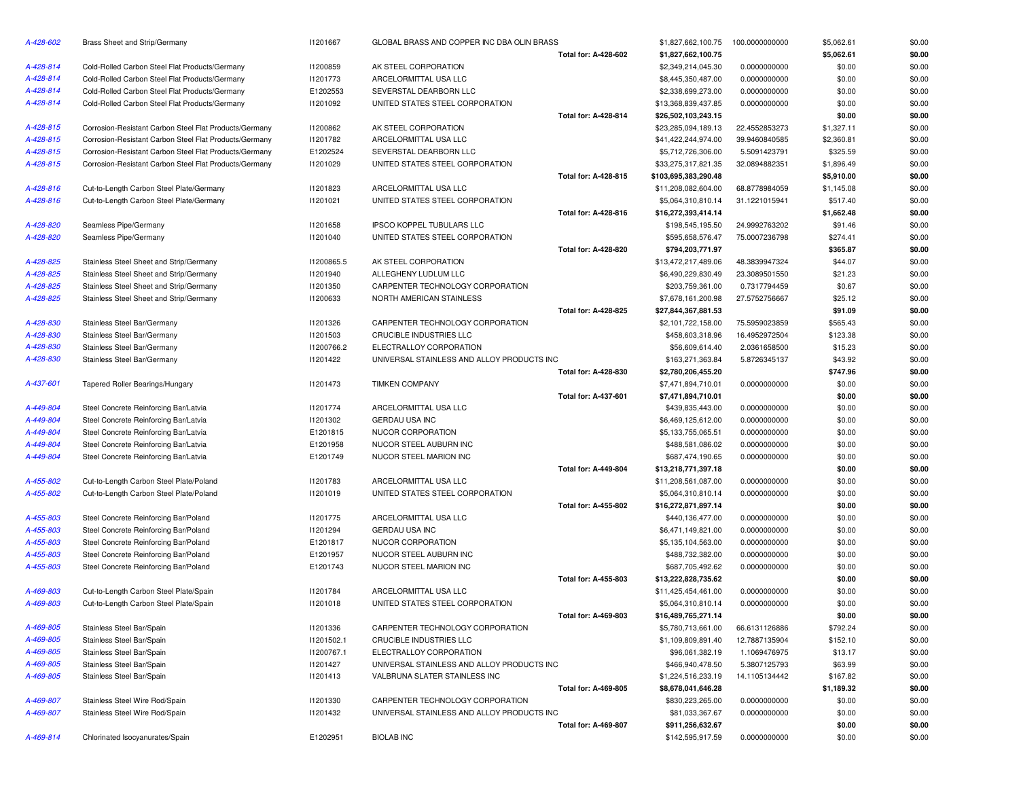| A-428-602 | Brass Sheet and Strip/Germany                          | 11201667   | GLOBAL BRASS AND COPPER INC DBA OLIN BRASS |                             | \$1,827,662,100.75   | 100.0000000000 | \$5,062.61 | \$0.00 |
|-----------|--------------------------------------------------------|------------|--------------------------------------------|-----------------------------|----------------------|----------------|------------|--------|
|           |                                                        |            |                                            | Total for: A-428-602        | \$1,827,662,100.75   |                | \$5,062.61 | \$0.00 |
| A-428-814 | Cold-Rolled Carbon Steel Flat Products/Germany         | I1200859   | AK STEEL CORPORATION                       |                             | \$2,349,214,045.30   | 0.0000000000   | \$0.00     | \$0.00 |
| A-428-814 | Cold-Rolled Carbon Steel Flat Products/Germany         | 11201773   | ARCELORMITTAL USA LLC                      |                             | \$8,445,350,487.00   | 0.0000000000   | \$0.00     | \$0.00 |
| A-428-814 | Cold-Rolled Carbon Steel Flat Products/Germany         | E1202553   | SEVERSTAL DEARBORN LLC                     |                             | \$2,338,699,273.00   | 0.0000000000   | \$0.00     | \$0.00 |
| A-428-814 | Cold-Rolled Carbon Steel Flat Products/Germany         | 11201092   | UNITED STATES STEEL CORPORATION            |                             | \$13,368,839,437.85  | 0.0000000000   | \$0.00     | \$0.00 |
|           |                                                        |            |                                            | Total for: A-428-814        | \$26,502,103,243.15  |                | \$0.00     | \$0.00 |
| A-428-815 | Corrosion-Resistant Carbon Steel Flat Products/Germany | 11200862   | AK STEEL CORPORATION                       |                             | \$23,285,094,189.13  | 22.4552853273  | \$1,327.11 | \$0.00 |
| A-428-815 | Corrosion-Resistant Carbon Steel Flat Products/Germany | 11201782   | ARCELORMITTAL USA LLC                      |                             | \$41,422,244,974.00  | 39.9460840585  | \$2,360.81 | \$0.00 |
| A-428-815 | Corrosion-Resistant Carbon Steel Flat Products/Germany | E1202524   | SEVERSTAL DEARBORN LLC                     |                             | \$5,712,726,306.00   | 5.5091423791   | \$325.59   | \$0.00 |
| A-428-815 | Corrosion-Resistant Carbon Steel Flat Products/Germany | 11201029   | UNITED STATES STEEL CORPORATION            |                             | \$33,275,317,821.35  | 32.0894882351  | \$1,896.49 | \$0.00 |
|           |                                                        |            |                                            | Total for: A-428-815        | \$103,695,383,290.48 |                | \$5,910.00 | \$0.00 |
| A-428-816 | Cut-to-Length Carbon Steel Plate/Germany               | 11201823   | ARCELORMITTAL USA LLC                      |                             | \$11,208,082,604.00  | 68.8778984059  | \$1,145.08 | \$0.00 |
| A-428-816 | Cut-to-Length Carbon Steel Plate/Germany               | 11201021   | UNITED STATES STEEL CORPORATION            |                             | \$5,064,310,810.14   | 31.1221015941  | \$517.40   | \$0.00 |
|           |                                                        |            |                                            | Total for: A-428-816        | \$16,272,393,414.14  |                | \$1,662.48 | \$0.00 |
| A-428-820 | Seamless Pipe/Germany                                  | 11201658   | IPSCO KOPPEL TUBULARS LLC                  |                             | \$198,545,195.50     | 24.9992763202  | \$91.46    | \$0.00 |
| A-428-820 | Seamless Pipe/Germany                                  | 11201040   | UNITED STATES STEEL CORPORATION            |                             | \$595,658,576.47     | 75.0007236798  | \$274.41   | \$0.00 |
|           |                                                        |            |                                            | Total for: A-428-820        | \$794,203,771.97     |                | \$365.87   | \$0.00 |
| A-428-825 | Stainless Steel Sheet and Strip/Germany                | I1200865.5 | AK STEEL CORPORATION                       |                             | \$13,472,217,489.06  | 48.3839947324  | \$44.07    | \$0.00 |
| A-428-825 | Stainless Steel Sheet and Strip/Germany                | 11201940   | ALLEGHENY LUDLUM LLC                       |                             | \$6,490,229,830.49   | 23.3089501550  | \$21.23    | \$0.00 |
| A-428-825 | Stainless Steel Sheet and Strip/Germany                | 11201350   | CARPENTER TECHNOLOGY CORPORATION           |                             | \$203,759,361.00     | 0.7317794459   | \$0.67     | \$0.00 |
| A-428-825 | Stainless Steel Sheet and Strip/Germany                | 11200633   | NORTH AMERICAN STAINLESS                   |                             | \$7,678,161,200.98   | 27.5752756667  | \$25.12    | \$0.00 |
|           |                                                        |            |                                            | Total for: A-428-825        | \$27,844,367,881.53  |                | \$91.09    | \$0.00 |
| A-428-830 | Stainless Steel Bar/Germany                            | 11201326   | CARPENTER TECHNOLOGY CORPORATION           |                             | \$2,101,722,158.00   | 75.5959023859  | \$565.43   | \$0.00 |
| A-428-830 | Stainless Steel Bar/Germany                            | 11201503   | CRUCIBLE INDUSTRIES LLC                    |                             | \$458,603,318.96     | 16.4952972504  | \$123.38   | \$0.00 |
| A-428-830 | Stainless Steel Bar/Germany                            | 11200766.2 | ELECTRALLOY CORPORATION                    |                             | \$56,609,614.40      | 2.0361658500   | \$15.23    | \$0.00 |
| A-428-830 | Stainless Steel Bar/Germany                            | 11201422   | UNIVERSAL STAINLESS AND ALLOY PRODUCTS INC |                             | \$163,271,363.84     | 5.8726345137   | \$43.92    | \$0.00 |
|           |                                                        |            |                                            | Total for: A-428-830        | \$2,780,206,455.20   |                | \$747.96   | \$0.00 |
| A-437-601 | Tapered Roller Bearings/Hungary                        | 11201473   | <b>TIMKEN COMPANY</b>                      |                             | \$7,471,894,710.01   | 0.0000000000   | \$0.00     | \$0.00 |
|           |                                                        |            |                                            | <b>Total for: A-437-601</b> | \$7,471,894,710.01   |                | \$0.00     | \$0.00 |
| A-449-804 | Steel Concrete Reinforcing Bar/Latvia                  | 11201774   | ARCELORMITTAL USA LLC                      |                             | \$439,835,443.00     | 0.0000000000   | \$0.00     | \$0.00 |
| A-449-804 | Steel Concrete Reinforcing Bar/Latvia                  | 11201302   | <b>GERDAU USA INC</b>                      |                             | \$6,469,125,612.00   | 0.0000000000   | \$0.00     | \$0.00 |
| A-449-804 | Steel Concrete Reinforcing Bar/Latvia                  | E1201815   | NUCOR CORPORATION                          |                             | \$5,133,755,065.51   | 0.0000000000   | \$0.00     | \$0.00 |
| A-449-804 | Steel Concrete Reinforcing Bar/Latvia                  | E1201958   | NUCOR STEEL AUBURN INC                     |                             | \$488,581,086.02     | 0.0000000000   | \$0.00     | \$0.00 |
| A-449-804 | Steel Concrete Reinforcing Bar/Latvia                  | E1201749   | NUCOR STEEL MARION INC                     |                             | \$687,474,190.65     | 0.0000000000   | \$0.00     | \$0.00 |
|           |                                                        |            |                                            | Total for: A-449-804        | \$13,218,771,397.18  |                | \$0.00     | \$0.00 |
| A-455-802 | Cut-to-Length Carbon Steel Plate/Poland                | 11201783   | ARCELORMITTAL USA LLC                      |                             | \$11,208,561,087.00  | 0.0000000000   | \$0.00     | \$0.00 |
| A-455-802 | Cut-to-Length Carbon Steel Plate/Poland                | 11201019   | UNITED STATES STEEL CORPORATION            |                             | \$5,064,310,810.14   | 0.0000000000   | \$0.00     | \$0.00 |
|           |                                                        |            |                                            | Total for: A-455-802        | \$16,272,871,897.14  |                | \$0.00     | \$0.00 |
| A-455-803 | Steel Concrete Reinforcing Bar/Poland                  | 11201775   | ARCELORMITTAL USA LLC                      |                             | \$440,136,477.00     | 0.0000000000   | \$0.00     | \$0.00 |
| A-455-803 | Steel Concrete Reinforcing Bar/Poland                  | 11201294   | <b>GERDAU USA INC</b>                      |                             | \$6,471,149,821.00   | 0.0000000000   | \$0.00     | \$0.00 |
| A-455-803 | Steel Concrete Reinforcing Bar/Poland                  | E1201817   | NUCOR CORPORATION                          |                             | \$5,135,104,563.00   | 0.0000000000   | \$0.00     | \$0.00 |
| A-455-803 | Steel Concrete Reinforcing Bar/Poland                  | E1201957   | NUCOR STEEL AUBURN INC                     |                             | \$488,732,382.00     | 0.0000000000   | \$0.00     | \$0.00 |
| A-455-803 | Steel Concrete Reinforcing Bar/Poland                  | E1201743   | NUCOR STEEL MARION INC                     |                             | \$687,705,492.62     | 0.0000000000   | \$0.00     | \$0.00 |
|           |                                                        |            |                                            | Total for: A-455-803        | \$13,222,828,735.62  |                | \$0.00     | \$0.00 |
| A-469-803 | Cut-to-Length Carbon Steel Plate/Spain                 | 11201784   | ARCELORMITTAL USA LLC                      |                             | \$11,425,454,461.00  | 0.0000000000   | \$0.00     | \$0.00 |
| A-469-803 | Cut-to-Length Carbon Steel Plate/Spain                 | 11201018   | UNITED STATES STEEL CORPORATION            |                             | \$5,064,310,810.14   | 0.0000000000   | \$0.00     | \$0.00 |
|           |                                                        |            |                                            | Total for: A-469-803        | \$16,489,765,271.14  |                | \$0.00     | \$0.00 |
| A-469-805 | Stainless Steel Bar/Spain                              | 11201336   | CARPENTER TECHNOLOGY CORPORATION           |                             | \$5,780,713,661.00   | 66.6131126886  | \$792.24   | \$0.00 |
| A-469-805 | Stainless Steel Bar/Spain                              | 11201502.1 | CRUCIBLE INDUSTRIES LLC                    |                             | \$1,109,809,891.40   | 12.7887135904  | \$152.10   | \$0.00 |
| A-469-805 | Stainless Steel Bar/Spain                              | 11200767.1 | ELECTRALLOY CORPORATION                    |                             | \$96,061,382.19      | 1.1069476975   | \$13.17    | \$0.00 |
| A-469-805 | Stainless Steel Bar/Spain                              | 11201427   | UNIVERSAL STAINLESS AND ALLOY PRODUCTS INC |                             | \$466,940,478.50     | 5.3807125793   | \$63.99    | \$0.00 |
| A-469-805 | Stainless Steel Bar/Spain                              | 11201413   | VALBRUNA SLATER STAINLESS INC              |                             | \$1,224,516,233.19   | 14.1105134442  | \$167.82   | \$0.00 |
|           |                                                        |            |                                            | Total for: A-469-805        | \$8,678,041,646.28   |                | \$1,189.32 | \$0.00 |
| A-469-807 | Stainless Steel Wire Rod/Spain                         | 11201330   | CARPENTER TECHNOLOGY CORPORATION           |                             | \$830,223,265.00     | 0.0000000000   | \$0.00     | \$0.00 |
| A-469-807 | Stainless Steel Wire Rod/Spain                         | 11201432   | UNIVERSAL STAINLESS AND ALLOY PRODUCTS INC |                             | \$81,033,367.67      | 0.0000000000   | \$0.00     | \$0.00 |
|           |                                                        |            |                                            | Total for: A-469-807        | \$911,256,632.67     |                | \$0.00     | \$0.00 |
| A-469-814 | Chlorinated Isocyanurates/Spain                        | E1202951   | <b>BIOLAB INC</b>                          |                             | \$142,595,917.59     | 0.0000000000   | \$0.00     | \$0.00 |
|           |                                                        |            |                                            |                             |                      |                |            |        |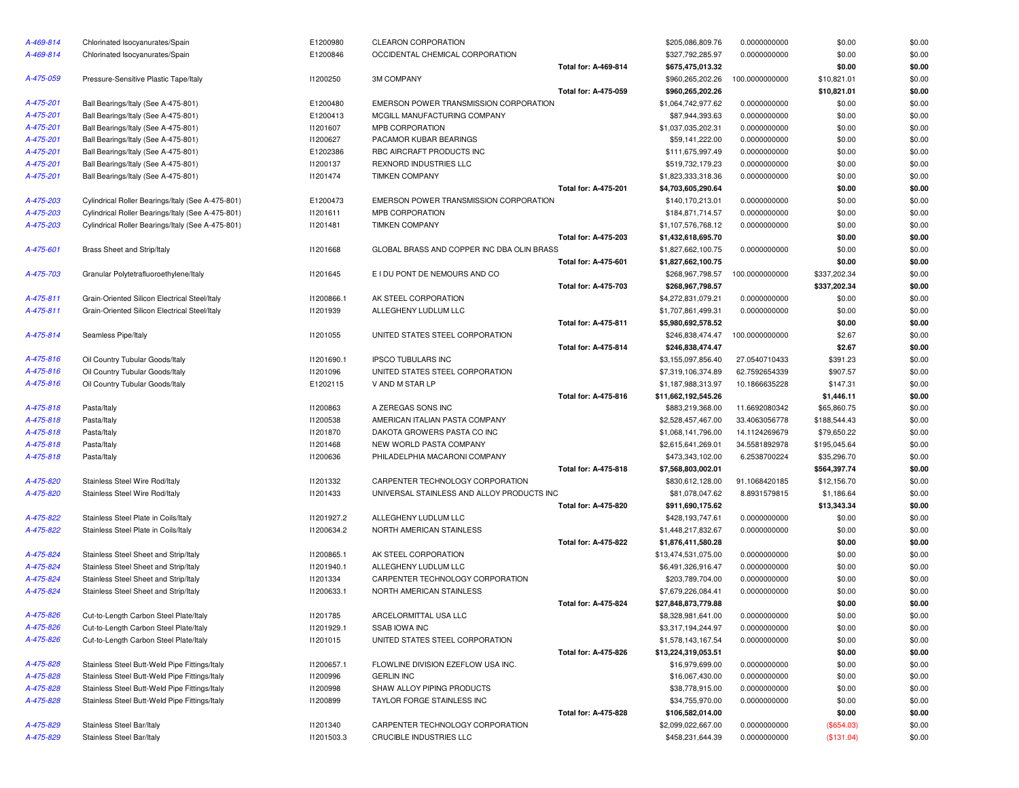| A-469-814 | Chlorinated Isocyanurates/Spain                   | E1200980   | CLEARON CORPORATION                        |                             | \$205,086,809.76    | 0.0000000000   | \$0.00       | \$0.00 |
|-----------|---------------------------------------------------|------------|--------------------------------------------|-----------------------------|---------------------|----------------|--------------|--------|
| A-469-814 | Chlorinated Isocyanurates/Spain                   | E1200846   | OCCIDENTAL CHEMICAL CORPORATION            |                             | \$327,792,285.97    | 0.0000000000   | \$0.00       | \$0.00 |
|           |                                                   |            |                                            | Total for: A-469-814        | \$675,475,013.32    |                | \$0.00       | \$0.00 |
| A-475-059 | Pressure-Sensitive Plastic Tape/Italy             | 11200250   | <b>3M COMPANY</b>                          |                             | \$960,265,202.26    | 100.0000000000 | \$10,821.01  | \$0.00 |
|           |                                                   |            |                                            | <b>Total for: A-475-059</b> | \$960,265,202.26    |                | \$10,821.01  | \$0.00 |
| A-475-201 | Ball Bearings/Italy (See A-475-801)               | E1200480   | EMERSON POWER TRANSMISSION CORPORATION     |                             | \$1,064,742,977.62  | 0.0000000000   | \$0.00       | \$0.00 |
| A-475-201 | Ball Bearings/Italy (See A-475-801)               | E1200413   | MCGILL MANUFACTURING COMPANY               |                             | \$87,944,393.63     | 0.0000000000   | \$0.00       | \$0.00 |
| A-475-201 | Ball Bearings/Italy (See A-475-801)               | 11201607   | MPB CORPORATION                            |                             | \$1,037,035,202.31  | 0.0000000000   | \$0.00       | \$0.00 |
| A-475-201 | Ball Bearings/Italy (See A-475-801)               | I1200627   | PACAMOR KUBAR BEARINGS                     |                             | \$59,141,222.00     | 0.0000000000   | \$0.00       | \$0.00 |
| A-475-201 | Ball Bearings/Italy (See A-475-801)               | E1202386   | RBC AIRCRAFT PRODUCTS INC                  |                             | \$111,675,997.49    | 0.0000000000   | \$0.00       | \$0.00 |
| A-475-201 | Ball Bearings/Italy (See A-475-801)               | 11200137   | REXNORD INDUSTRIES LLC                     |                             | \$519,732,179.23    | 0.0000000000   | \$0.00       | \$0.00 |
| A-475-201 | Ball Bearings/Italy (See A-475-801)               | 11201474   | <b>TIMKEN COMPANY</b>                      |                             | \$1,823,333,318.36  | 0.0000000000   | \$0.00       | \$0.00 |
|           |                                                   |            |                                            | <b>Total for: A-475-201</b> | \$4,703,605,290.64  |                | \$0.00       | \$0.00 |
| A-475-203 | Cylindrical Roller Bearings/Italy (See A-475-801) | E1200473   | EMERSON POWER TRANSMISSION CORPORATION     |                             | \$140,170,213.01    | 0.0000000000   | \$0.00       | \$0.00 |
| A-475-203 | Cylindrical Roller Bearings/Italy (See A-475-801) | 11201611   | MPB CORPORATION                            |                             | \$184,871,714.57    | 0.0000000000   | \$0.00       | \$0.00 |
| A-475-203 | Cylindrical Roller Bearings/Italy (See A-475-801) | 11201481   | <b>TIMKEN COMPANY</b>                      |                             | \$1,107,576,768.12  | 0.0000000000   | \$0.00       | \$0.00 |
|           |                                                   |            |                                            | <b>Total for: A-475-203</b> | \$1,432,618,695.70  |                | \$0.00       | \$0.00 |
| A-475-601 | Brass Sheet and Strip/Italy                       | 11201668   | GLOBAL BRASS AND COPPER INC DBA OLIN BRASS |                             | \$1,827,662,100.75  | 0.0000000000   | \$0.00       | \$0.00 |
|           |                                                   |            |                                            | <b>Total for: A-475-601</b> | \$1,827,662,100.75  |                | \$0.00       | \$0.00 |
| A-475-703 | Granular Polytetrafluoroethylene/Italy            | 11201645   | E I DU PONT DE NEMOURS AND CO              |                             | \$268,967,798.57    | 100.0000000000 | \$337,202.34 | \$0.00 |
|           |                                                   |            |                                            | <b>Total for: A-475-703</b> | \$268,967,798.57    |                | \$337,202.34 | \$0.00 |
| A-475-811 | Grain-Oriented Silicon Electrical Steel/Italy     | I1200866.1 | AK STEEL CORPORATION                       |                             | \$4,272,831,079.21  | 0.0000000000   | \$0.00       | \$0.00 |
| A-475-811 | Grain-Oriented Silicon Electrical Steel/Italy     | 11201939   | ALLEGHENY LUDLUM LLC                       |                             | \$1,707,861,499.31  | 0.0000000000   | \$0.00       | \$0.00 |
|           |                                                   |            |                                            | Total for: A-475-811        | \$5,980,692,578.52  |                | \$0.00       | \$0.00 |
| A-475-814 | Seamless Pipe/Italy                               | 11201055   | UNITED STATES STEEL CORPORATION            |                             | \$246,838,474.47    | 100.0000000000 | \$2.67       | \$0.00 |
|           |                                                   |            |                                            | <b>Total for: A-475-814</b> | \$246,838,474.47    |                | \$2.67       | \$0.00 |
| A-475-816 | Oil Country Tubular Goods/Italy                   | 11201690.1 | <b>IPSCO TUBULARS INC</b>                  |                             | \$3,155,097,856.40  | 27.0540710433  | \$391.23     | \$0.00 |
| A-475-816 | Oil Country Tubular Goods/Italy                   | 11201096   | UNITED STATES STEEL CORPORATION            |                             | \$7,319,106,374.89  | 62.7592654339  | \$907.57     | \$0.00 |
| A-475-816 | Oil Country Tubular Goods/Italy                   | E1202115   | V AND M STAR LP                            |                             | \$1,187,988,313.97  | 10.1866635228  | \$147.31     | \$0.00 |
|           |                                                   |            |                                            | <b>Total for: A-475-816</b> | \$11,662,192,545.26 |                | \$1,446.11   | \$0.00 |
| A-475-818 | Pasta/Italy                                       | 11200863   | A ZEREGAS SONS INC                         |                             | \$883,219,368.00    | 11.6692080342  | \$65,860.75  | \$0.00 |
| A-475-818 | Pasta/Italy                                       | 11200538   | AMERICAN ITALIAN PASTA COMPANY             |                             | \$2,528,457,467.00  | 33.4063056778  | \$188,544.43 | \$0.00 |
| A-475-818 | Pasta/Italy                                       | 11201870   | DAKOTA GROWERS PASTA CO INC                |                             | \$1,068,141,796.00  | 14.1124269679  | \$79,650.22  | \$0.00 |
| A-475-818 | Pasta/Italy                                       | 11201468   | NEW WORLD PASTA COMPANY                    |                             | \$2,615,641,269.01  | 34.5581892978  | \$195,045.64 | \$0.00 |
| A-475-818 | Pasta/Italy                                       | 11200636   | PHILADELPHIA MACARONI COMPANY              |                             | \$473,343,102.00    | 6.2538700224   | \$35,296.70  | \$0.00 |
|           |                                                   |            |                                            | Total for: A-475-818        | \$7,568,803,002.01  |                | \$564,397.74 | \$0.00 |
| A-475-820 | Stainless Steel Wire Rod/Italy                    | 11201332   | CARPENTER TECHNOLOGY CORPORATION           |                             | \$830,612,128.00    | 91.1068420185  | \$12,156.70  | \$0.00 |
| A-475-820 | Stainless Steel Wire Rod/Italy                    | 11201433   | UNIVERSAL STAINLESS AND ALLOY PRODUCTS INC |                             | \$81,078,047.62     | 8.8931579815   | \$1,186.64   | \$0.00 |
|           |                                                   |            |                                            | <b>Total for: A-475-820</b> | \$911,690,175.62    |                | \$13,343.34  | \$0.00 |
| A-475-822 | Stainless Steel Plate in Coils/Italy              | 11201927.2 | ALLEGHENY LUDLUM LLC                       |                             | \$428,193,747.61    | 0.0000000000   | \$0.00       | \$0.00 |
| A-475-822 | Stainless Steel Plate in Coils/Italy              | 11200634.2 | NORTH AMERICAN STAINLESS                   |                             | \$1,448,217,832.67  | 0.0000000000   | \$0.00       | \$0.00 |
|           |                                                   |            |                                            | Total for: A-475-822        | \$1,876,411,580.28  |                | \$0.00       | \$0.00 |
| A-475-824 | Stainless Steel Sheet and Strip/Italy             | 11200865.1 | AK STEEL CORPORATION                       |                             | \$13,474,531,075.00 | 0.0000000000   | \$0.00       | \$0.00 |
| A-475-824 | Stainless Steel Sheet and Strip/Italy             | 11201940.1 | ALLEGHENY LUDLUM LLC                       |                             | \$6,491,326,916.47  | 0.0000000000   | \$0.00       | \$0.00 |
| A-475-824 | Stainless Steel Sheet and Strip/Italy             | 11201334   | CARPENTER TECHNOLOGY CORPORATION           |                             | \$203,789,704.00    | 0.0000000000   | \$0.00       | \$0.00 |
| A-475-824 | Stainless Steel Sheet and Strip/Italy             | 11200633.1 | NORTH AMERICAN STAINLESS                   |                             | \$7,679,226,084.41  | 0.0000000000   | \$0.00       | \$0.00 |
|           |                                                   |            |                                            | <b>Total for: A-475-824</b> | \$27,848,873,779.88 |                | \$0.00       | \$0.00 |
| A-475-826 | Cut-to-Length Carbon Steel Plate/Italy            | 11201785   | ARCELORMITTAL USA LLC                      |                             | \$8,328,981,641.00  | 0.0000000000   | \$0.00       | \$0.00 |
| A-475-826 | Cut-to-Length Carbon Steel Plate/Italy            | 11201929.1 | <b>SSAB IOWA INC</b>                       |                             | \$3,317,194,244.97  | 0.0000000000   | \$0.00       | \$0.00 |
| A-475-826 | Cut-to-Length Carbon Steel Plate/Italy            | 11201015   | UNITED STATES STEEL CORPORATION            |                             | \$1,578,143,167.54  | 0.0000000000   | \$0.00       | \$0.00 |
|           |                                                   |            |                                            | <b>Total for: A-475-826</b> | \$13,224,319,053.51 |                | \$0.00       | \$0.00 |
| A-475-828 | Stainless Steel Butt-Weld Pipe Fittings/Italy     | 11200657.1 | FLOWLINE DIVISION EZEFLOW USA INC.         |                             | \$16,979,699.00     | 0.0000000000   | \$0.00       | \$0.00 |
| A-475-828 | Stainless Steel Butt-Weld Pipe Fittings/Italy     | 11200996   | <b>GERLIN INC</b>                          |                             | \$16,067,430.00     | 0.0000000000   | \$0.00       | \$0.00 |
| A-475-828 | Stainless Steel Butt-Weld Pipe Fittings/Italy     | 11200998   | SHAW ALLOY PIPING PRODUCTS                 |                             | \$38,778,915.00     | 0.0000000000   | \$0.00       | \$0.00 |
| A-475-828 | Stainless Steel Butt-Weld Pipe Fittings/Italy     | 11200899   | TAYLOR FORGE STAINLESS INC                 |                             | \$34,755,970.00     | 0.0000000000   | \$0.00       | \$0.00 |
|           |                                                   |            |                                            | <b>Total for: A-475-828</b> | \$106,582,014.00    |                | \$0.00       | \$0.00 |
| A-475-829 | Stainless Steel Bar/Italy                         | 11201340   | CARPENTER TECHNOLOGY CORPORATION           |                             | \$2,099,022,667.00  | 0.0000000000   | (\$654.03)   | \$0.00 |
| A-475-829 | Stainless Steel Bar/Italy                         | 11201503.3 | CRUCIBLE INDUSTRIES LLC                    |                             | \$458,231,644.39    | 0.0000000000   | (\$131.04)   | \$0.00 |

| CORPORATION                        |                             | \$205,086,809.76    | 0.0000000000   | \$0.00       | \$0.00 |
|------------------------------------|-----------------------------|---------------------|----------------|--------------|--------|
| AL CHEMICAL CORPORATION            |                             | \$327,792,285.97    | 0.0000000000   | \$0.00       | \$0.00 |
|                                    | Total for: A-469-814        | \$675,475,013.32    |                | \$0.00       | \$0.00 |
| ١NY                                |                             | \$960,265,202.26    | 100.0000000000 | \$10,821.01  | \$0.00 |
|                                    | Total for: A-475-059        | \$960,265,202.26    |                | \$10,821.01  | \$0.00 |
| POWER TRANSMISSION CORPORATION     |                             | \$1,064,742,977.62  | 0.0000000000   | \$0.00       | \$0.00 |
| ANUFACTURING COMPANY               |                             | \$87,944,393.63     | 0.0000000000   | \$0.00       | \$0.00 |
| <b>PORATION</b>                    |                             | \$1,037,035,202.31  | 0.0000000000   | \$0.00       | \$0.00 |
| KUBAR BEARINGS                     |                             | \$59,141,222.00     | 0.0000000000   | \$0.00       | \$0.00 |
| RAFT PRODUCTS INC                  |                             | \$111,675,997.49    | 0.0000000000   | \$0.00       | \$0.00 |
| <b>INDUSTRIES LLC</b>              |                             | \$519,732,179.23    | 0.0000000000   | \$0.00       | \$0.00 |
| <b>DMPANY</b>                      |                             | \$1,823,333,318.36  | 0.0000000000   | \$0.00       | \$0.00 |
|                                    | <b>Total for: A-475-201</b> | \$4,703,605,290.64  |                | \$0.00       | \$0.00 |
| POWER TRANSMISSION CORPORATION     |                             | \$140,170,213.01    | 0.0000000000   | \$0.00       | \$0.00 |
| <b>PORATION</b>                    |                             | \$184,871,714.57    | 0.0000000000   | \$0.00       | \$0.00 |
| <b>DMPANY</b>                      |                             | \$1,107,576,768.12  | 0.0000000000   | \$0.00       | \$0.00 |
|                                    | <b>Total for: A-475-203</b> | \$1,432,618,695.70  |                | \$0.00       | \$0.00 |
| RASS AND COPPER INC DBA OLIN BRASS |                             | \$1,827,662,100.75  | 0.0000000000   | \$0.00       | \$0.00 |
|                                    | Total for: A-475-601        | \$1,827,662,100.75  |                | \$0.00       | \$0.00 |
| NT DE NEMOURS AND CO               |                             | \$268,967,798.57    | 100.0000000000 | \$337,202.34 | \$0.00 |
|                                    | <b>Total for: A-475-703</b> | \$268,967,798.57    |                | \$337,202.34 | \$0.00 |
| CORPORATION                        |                             | \$4,272,831,079.21  | 0.0000000000   | \$0.00       | \$0.00 |
| <b>JY LUDLUM LLC</b>               |                             | \$1,707,861,499.31  | 0.0000000000   | \$0.00       | \$0.00 |
|                                    | Total for: A-475-811        |                     |                | \$0.00       | \$0.00 |
| ATES STEEL CORPORATION             |                             | \$5,980,692,578.52  |                |              |        |
|                                    | <b>Total for: A-475-814</b> | \$246,838,474.47    | 100.0000000000 | \$2.67       | \$0.00 |
|                                    |                             | \$246,838,474.47    |                | \$2.67       | \$0.00 |
| <b>BULARS INC</b>                  |                             | \$3,155,097,856.40  | 27.0540710433  | \$391.23     | \$0.00 |
| ATES STEEL CORPORATION             |                             | \$7,319,106,374.89  | 62.7592654339  | \$907.57     | \$0.00 |
| TAR LP                             |                             | \$1,187,988,313.97  | 10.1866635228  | \$147.31     | \$0.00 |
|                                    | Total for: A-475-816        | \$11,662,192,545.26 |                | \$1,446.11   | \$0.00 |
| S SONS INC                         |                             | \$883,219,368.00    | 11.6692080342  | \$65,860.75  | \$0.00 |
| I ITALIAN PASTA COMPANY            |                             | \$2,528,457,467.00  | 33.4063056778  | \$188,544.43 | \$0.00 |
| ROWERS PASTA CO INC                |                             | \$1,068,141,796.00  | 14.1124269679  | \$79,650.22  | \$0.00 |
| <b>ILD PASTA COMPANY</b>           |                             | \$2,615,641,269.01  | 34.5581892978  | \$195,045.64 | \$0.00 |
| PHIA MACARONI COMPANY              |                             | \$473,343,102.00    | 6.2538700224   | \$35,296.70  | \$0.00 |
|                                    | Total for: A-475-818        | \$7,568,803,002.01  |                | \$564,397.74 | \$0.00 |
| ER TECHNOLOGY CORPORATION          |                             | \$830,612,128.00    | 91.1068420185  | \$12,156.70  | \$0.00 |
| L STAINLESS AND ALLOY PRODUCTS INC |                             | \$81,078,047.62     | 8.8931579815   | \$1,186.64   | \$0.00 |
|                                    | <b>Total for: A-475-820</b> | \$911,690,175.62    |                | \$13,343.34  | \$0.00 |
| <b>JY LUDLUM LLC</b>               |                             | \$428,193,747.61    | 0.0000000000   | \$0.00       | \$0.00 |
| <b>IERICAN STAINLESS</b>           |                             | \$1,448,217,832.67  | 0.0000000000   | \$0.00       | \$0.00 |
|                                    | Total for: A-475-822        | \$1,876,411,580.28  |                | \$0.00       | \$0.00 |
| CORPORATION                        |                             | \$13,474,531,075.00 | 0.0000000000   | \$0.00       | \$0.00 |
| <b>JY LUDLUM LLC</b>               |                             | \$6,491,326,916.47  | 0.0000000000   | \$0.00       | \$0.00 |
| ER TECHNOLOGY CORPORATION          |                             | \$203,789,704.00    | 0.0000000000   | \$0.00       | \$0.00 |
| IERICAN STAINLESS                  |                             | \$7,679,226,084.41  | 0.0000000000   | \$0.00       | \$0.00 |
|                                    | <b>Total for: A-475-824</b> | \$27,848,873,779.88 |                | \$0.00       | \$0.00 |
| MITTAL USA LLC                     |                             | \$8,328,981,641.00  | 0.0000000000   | \$0.00       | \$0.00 |
| A INC                              |                             | \$3,317,194,244.97  | 0.0000000000   | \$0.00       | \$0.00 |
| ATES STEEL CORPORATION             |                             | \$1,578,143,167.54  | 0.0000000000   | \$0.00       | \$0.00 |
|                                    | Total for: A-475-826        | \$13,224,319,053.51 |                | \$0.00       | \$0.00 |
| DIVISION EZEFLOW USA INC.          |                             | \$16,979,699.00     | 0.0000000000   | \$0.00       | \$0.00 |
| С                                  |                             | \$16,067,430.00     | 0.0000000000   | \$0.00       | \$0.00 |
| OY PIPING PRODUCTS                 |                             | \$38,778,915.00     | 0.0000000000   | \$0.00       | \$0.00 |
| ORGE STAINLESS INC                 |                             | \$34,755,970.00     | 0.0000000000   | \$0.00       | \$0.00 |
|                                    | Total for: A-475-828        | \$106,582,014.00    |                | \$0.00       | \$0.00 |
| ER TECHNOLOGY CORPORATION          |                             | \$2,099,022,667.00  | 0.0000000000   | (\$654.03)   | \$0.00 |
|                                    |                             |                     |                |              |        |
| <b>INDUSTRIES LLC</b>              |                             | \$458,231,644.39    | 0.0000000000   | (\$131.04)   | \$0.00 |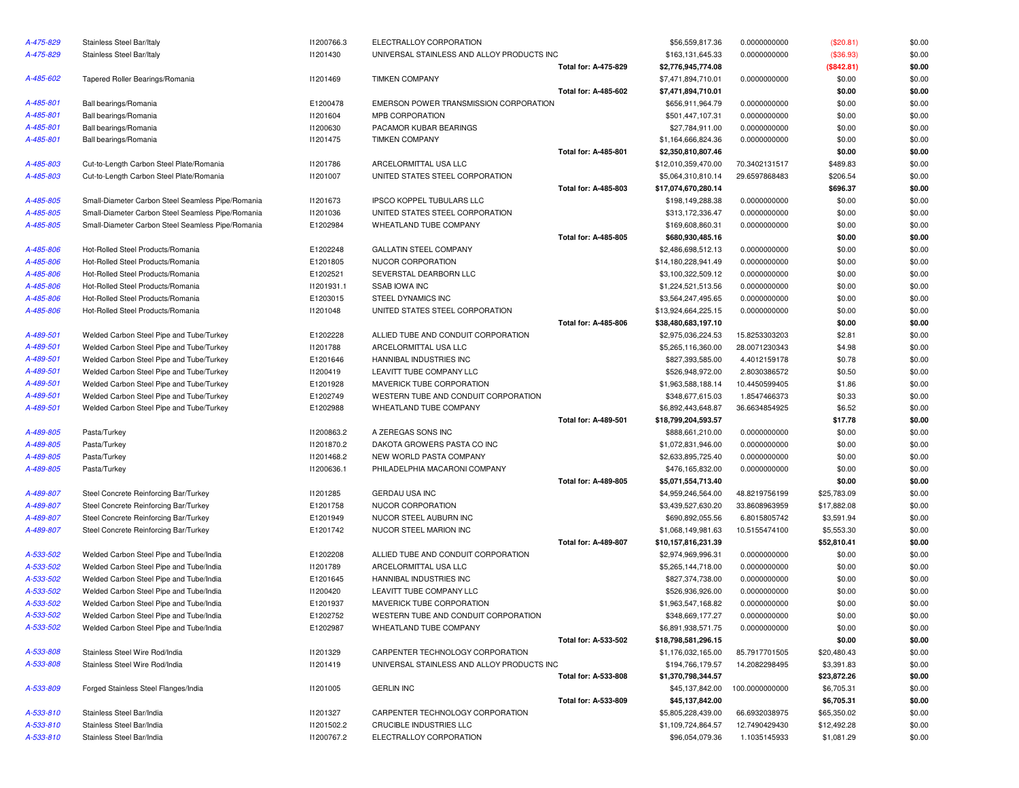| A-475-829 | Stainless Steel Bar/Italy                         | I1200766.3 | ELECTRALLOY CORPORATION                    |                             | \$56,559,817.36     | 0.0000000000   | (\$20.81)   | \$0.00           |
|-----------|---------------------------------------------------|------------|--------------------------------------------|-----------------------------|---------------------|----------------|-------------|------------------|
| A-475-829 | Stainless Steel Bar/Italy                         | 11201430   | UNIVERSAL STAINLESS AND ALLOY PRODUCTS INC |                             | \$163,131,645.33    | 0.0000000000   | (\$36.93)   | \$0.00           |
|           |                                                   |            |                                            | Total for: A-475-829        | \$2,776,945,774.08  |                | (\$842.81)  | \$0.00           |
| A-485-602 | Tapered Roller Bearings/Romania                   | 11201469   | <b>TIMKEN COMPANY</b>                      |                             | \$7,471,894,710.01  | 0.0000000000   | \$0.00      | \$0.00           |
|           |                                                   |            |                                            | Total for: A-485-602        | \$7,471,894,710.01  |                | \$0.00      | \$0.00           |
| A-485-801 | Ball bearings/Romania                             | E1200478   | EMERSON POWER TRANSMISSION CORPORATION     |                             | \$656,911,964.79    | 0.0000000000   | \$0.00      | \$0.00           |
| A-485-801 | Ball bearings/Romania                             | 11201604   | MPB CORPORATION                            |                             | \$501,447,107.31    | 0.0000000000   | \$0.00      | \$0.00           |
| A-485-801 | Ball bearings/Romania                             | 11200630   | PACAMOR KUBAR BEARINGS                     |                             | \$27,784,911.00     | 0.0000000000   | \$0.00      | \$0.00           |
| A-485-801 | Ball bearings/Romania                             | 11201475   | <b>TIMKEN COMPANY</b>                      |                             | \$1,164,666,824.36  | 0.0000000000   | \$0.00      | \$0.00           |
|           |                                                   |            |                                            | <b>Total for: A-485-801</b> | \$2,350,810,807.46  |                | \$0.00      | \$0.00           |
| A-485-803 | Cut-to-Length Carbon Steel Plate/Romania          | 11201786   | ARCELORMITTAL USA LLC                      |                             | \$12,010,359,470.00 | 70.3402131517  | \$489.83    | \$0.00           |
| A-485-803 | Cut-to-Length Carbon Steel Plate/Romania          | 11201007   | UNITED STATES STEEL CORPORATION            |                             | \$5,064,310,810.14  | 29.6597868483  | \$206.54    | \$0.00           |
|           |                                                   |            |                                            | Total for: A-485-803        | \$17,074,670,280.14 |                | \$696.37    | \$0.00           |
| A-485-805 | Small-Diameter Carbon Steel Seamless Pipe/Romania | 11201673   | IPSCO KOPPEL TUBULARS LLC                  |                             | \$198,149,288.38    | 0.0000000000   | \$0.00      | \$0.00           |
| A-485-805 | Small-Diameter Carbon Steel Seamless Pipe/Romania | 11201036   | UNITED STATES STEEL CORPORATION            |                             | \$313,172,336.47    | 0.0000000000   | \$0.00      | \$0.00           |
| A-485-805 | Small-Diameter Carbon Steel Seamless Pipe/Romania | E1202984   | WHEATLAND TUBE COMPANY                     |                             | \$169,608,860.31    | 0.0000000000   | \$0.00      | \$0.00           |
|           |                                                   |            |                                            | Total for: A-485-805        | \$680,930,485.16    |                | \$0.00      | \$0.00           |
| A-485-806 | Hot-Rolled Steel Products/Romania                 | E1202248   | <b>GALLATIN STEEL COMPANY</b>              |                             | \$2,486,698,512.13  | 0.0000000000   | \$0.00      | \$0.00           |
| A-485-806 | Hot-Rolled Steel Products/Romania                 | E1201805   | NUCOR CORPORATION                          |                             | \$14,180,228,941.49 | 0.0000000000   | \$0.00      | \$0.00           |
| A-485-806 | Hot-Rolled Steel Products/Romania                 | E1202521   | SEVERSTAL DEARBORN LLC                     |                             | \$3,100,322,509.12  | 0.0000000000   | \$0.00      | \$0.00           |
| A-485-806 | Hot-Rolled Steel Products/Romania                 | 11201931.1 | <b>SSAB IOWA INC</b>                       |                             | \$1,224,521,513.56  | 0.0000000000   | \$0.00      | \$0.00           |
| A-485-806 | Hot-Rolled Steel Products/Romania                 | E1203015   | STEEL DYNAMICS INC                         |                             | \$3,564,247,495.65  | 0.0000000000   | \$0.00      | \$0.00           |
| A-485-806 | Hot-Rolled Steel Products/Romania                 | 11201048   | UNITED STATES STEEL CORPORATION            |                             | \$13,924,664,225.15 | 0.0000000000   | \$0.00      | \$0.00           |
|           |                                                   |            |                                            | Total for: A-485-806        | \$38,480,683,197.10 |                | \$0.00      | \$0.00           |
| A-489-501 | Welded Carbon Steel Pipe and Tube/Turkey          | E1202228   | ALLIED TUBE AND CONDUIT CORPORATION        |                             | \$2,975,036,224.53  | 15.8253303203  | \$2.81      | \$0.00           |
| A-489-501 | Welded Carbon Steel Pipe and Tube/Turkey          | 11201788   | ARCELORMITTAL USA LLC                      |                             | \$5,265,116,360.00  | 28.0071230343  | \$4.98      | \$0.00           |
| A-489-501 | Welded Carbon Steel Pipe and Tube/Turkey          | E1201646   | HANNIBAL INDUSTRIES INC                    |                             | \$827,393,585.00    | 4.4012159178   | \$0.78      | \$0.00           |
| A-489-501 | Welded Carbon Steel Pipe and Tube/Turkey          | 11200419   | LEAVITT TUBE COMPANY LLC                   |                             | \$526,948,972.00    | 2.8030386572   | \$0.50      | \$0.00           |
| A-489-501 | Welded Carbon Steel Pipe and Tube/Turkey          | E1201928   | MAVERICK TUBE CORPORATION                  |                             | \$1,963,588,188.14  | 10.4450599405  | \$1.86      | \$0.00           |
| A-489-501 | Welded Carbon Steel Pipe and Tube/Turkey          | E1202749   | WESTERN TUBE AND CONDUIT CORPORATION       |                             | \$348,677,615.03    | 1.8547466373   | \$0.33      | \$0.00           |
| A-489-501 | Welded Carbon Steel Pipe and Tube/Turkey          | E1202988   | WHEATLAND TUBE COMPANY                     |                             | \$6,892,443,648.87  | 36.6634854925  | \$6.52      | \$0.00           |
|           |                                                   |            |                                            | <b>Total for: A-489-501</b> | \$18,799,204,593.57 |                | \$17.78     | \$0.00           |
| A-489-805 | Pasta/Turkey                                      | 11200863.2 | A ZEREGAS SONS INC                         |                             | \$888,661,210.00    | 0.0000000000   | \$0.00      | \$0.00           |
| A-489-805 |                                                   | 11201870.2 | DAKOTA GROWERS PASTA CO INC                |                             |                     |                |             |                  |
|           | Pasta/Turkey                                      |            |                                            |                             | \$1,072,831,946.00  | 0.0000000000   | \$0.00      | \$0.00<br>\$0.00 |
| A-489-805 | Pasta/Turkey                                      | 11201468.2 | NEW WORLD PASTA COMPANY                    |                             | \$2,633,895,725.40  | 0.0000000000   | \$0.00      |                  |
| A-489-805 | Pasta/Turkey                                      | 11200636.1 | PHILADELPHIA MACARONI COMPANY              |                             | \$476,165,832.00    | 0.0000000000   | \$0.00      | \$0.00           |
|           |                                                   |            |                                            | <b>Total for: A-489-805</b> | \$5,071,554,713.40  |                | \$0.00      | \$0.00           |
| A-489-807 | Steel Concrete Reinforcing Bar/Turkey             | 11201285   | <b>GERDAU USA INC</b>                      |                             | \$4,959,246,564.00  | 48.8219756199  | \$25,783.09 | \$0.00           |
| A-489-807 | Steel Concrete Reinforcing Bar/Turkey             | E1201758   | NUCOR CORPORATION                          |                             | \$3,439,527,630.20  | 33.8608963959  | \$17,882.08 | \$0.00           |
| A-489-807 | Steel Concrete Reinforcing Bar/Turkey             | E1201949   | NUCOR STEEL AUBURN INC                     |                             | \$690,892,055.56    | 6.8015805742   | \$3,591.94  | \$0.00           |
| A-489-807 | Steel Concrete Reinforcing Bar/Turkey             | E1201742   | NUCOR STEEL MARION INC                     |                             | \$1,068,149,981.63  | 10.5155474100  | \$5,553.30  | \$0.00           |
|           |                                                   |            |                                            | <b>Total for: A-489-807</b> | \$10,157,816,231.39 |                | \$52,810.41 | \$0.00           |
| A-533-502 | Welded Carbon Steel Pipe and Tube/India           | E1202208   | ALLIED TUBE AND CONDUIT CORPORATION        |                             | \$2,974,969,996.31  | 0.0000000000   | \$0.00      | \$0.00           |
| A-533-502 | Welded Carbon Steel Pipe and Tube/India           | 11201789   | ARCELORMITTAL USA LLC                      |                             | \$5,265,144,718.00  | 0.0000000000   | \$0.00      | \$0.00           |
| A-533-502 | Welded Carbon Steel Pipe and Tube/India           | E1201645   | HANNIBAL INDUSTRIES INC                    |                             | \$827,374,738.00    | 0.0000000000   | \$0.00      | \$0.00           |
| A-533-502 | Welded Carbon Steel Pipe and Tube/India           | 11200420   | LEAVITT TUBE COMPANY LLC                   |                             | \$526,936,926.00    | 0.0000000000   | \$0.00      | \$0.00           |
| A-533-502 | Welded Carbon Steel Pipe and Tube/India           | E1201937   | MAVERICK TUBE CORPORATION                  |                             | \$1,963,547,168.82  | 0.0000000000   | \$0.00      | \$0.00           |
| A-533-502 | Welded Carbon Steel Pipe and Tube/India           | E1202752   | WESTERN TUBE AND CONDUIT CORPORATION       |                             | \$348,669,177.27    | 0.0000000000   | \$0.00      | \$0.00           |
| A-533-502 | Welded Carbon Steel Pipe and Tube/India           | E1202987   | WHEATLAND TUBE COMPANY                     |                             | \$6,891,938,571.75  | 0.0000000000   | \$0.00      | \$0.00           |
|           |                                                   |            |                                            | Total for: A-533-502        | \$18,798,581,296.15 |                | \$0.00      | \$0.00           |
| A-533-808 | Stainless Steel Wire Rod/India                    | 11201329   | CARPENTER TECHNOLOGY CORPORATION           |                             | \$1,176,032,165.00  | 85.7917701505  | \$20,480.43 | \$0.00           |
| A-533-808 | Stainless Steel Wire Rod/India                    | 11201419   | UNIVERSAL STAINLESS AND ALLOY PRODUCTS INC |                             | \$194,766,179.57    | 14.2082298495  | \$3,391.83  | \$0.00           |
|           |                                                   |            |                                            | Total for: A-533-808        | \$1,370,798,344.57  |                | \$23,872.26 | \$0.00           |
| A-533-809 | Forged Stainless Steel Flanges/India              | 11201005   | <b>GERLIN INC</b>                          |                             | \$45,137,842.00     | 100.0000000000 | \$6,705.31  | \$0.00           |
|           |                                                   |            |                                            | Total for: A-533-809        | \$45,137,842.00     |                | \$6,705.31  | \$0.00           |
| A-533-810 | Stainless Steel Bar/India                         | 11201327   | CARPENTER TECHNOLOGY CORPORATION           |                             | \$5,805,228,439.00  | 66.6932038975  | \$65,350.02 | \$0.00           |
| A-533-810 | Stainless Steel Bar/India                         | 11201502.2 | CRUCIBLE INDUSTRIES LLC                    |                             | \$1,109,724,864.57  | 12.7490429430  | \$12,492.28 | \$0.00           |
| A-533-810 | Stainless Steel Bar/India                         | 11200767.2 | ELECTRALLOY CORPORATION                    |                             | \$96,054,079.36     | 1.1035145933   | \$1,081.29  | \$0.00           |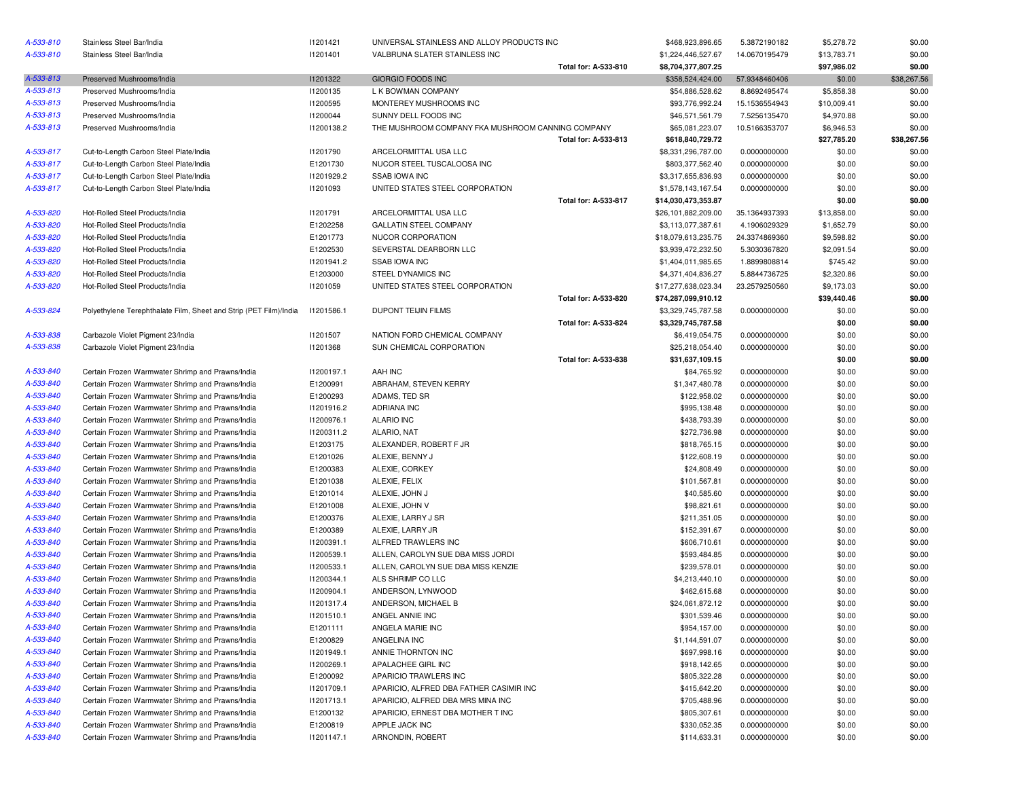| A-533-810 | Stainless Steel Bar/India                                         | 11201421   | UNIVERSAL STAINLESS AND ALLOY PRODUCTS INC        |                      | \$468,923,896.65    | 5.3872190182  | \$5,278.72  | \$0.00           |
|-----------|-------------------------------------------------------------------|------------|---------------------------------------------------|----------------------|---------------------|---------------|-------------|------------------|
| A-533-810 | Stainless Steel Bar/India                                         | 11201401   | VALBRUNA SLATER STAINLESS INC                     |                      | \$1,224,446,527.67  | 14.0670195479 | \$13,783.71 | \$0.00           |
|           |                                                                   |            |                                                   | Total for: A-533-810 | \$8,704,377,807.25  |               | \$97,986.02 | \$0.00           |
| A-533-813 | Preserved Mushrooms/India                                         | 11201322   | <b>GIORGIO FOODS INC</b>                          |                      | \$358,524,424.00    | 57.9348460406 | \$0.00      | \$38,267.56      |
| A-533-813 | Preserved Mushrooms/India                                         | 11200135   | L K BOWMAN COMPANY                                |                      | \$54,886,528.62     | 8.8692495474  | \$5,858.38  | \$0.00           |
| A-533-813 | Preserved Mushrooms/India                                         | 11200595   | MONTEREY MUSHROOMS INC                            |                      | \$93,776,992.24     | 15.1536554943 | \$10,009.41 | \$0.00           |
| A-533-813 | Preserved Mushrooms/India                                         | 11200044   | SUNNY DELL FOODS INC                              |                      | \$46,571,561.79     | 7.5256135470  | \$4,970.88  | \$0.00           |
| A-533-813 | Preserved Mushrooms/India                                         | 11200138.2 | THE MUSHROOM COMPANY FKA MUSHROOM CANNING COMPANY |                      | \$65,081,223.07     | 10.5166353707 | \$6,946.53  | \$0.00           |
|           |                                                                   |            |                                                   | Total for: A-533-813 | \$618,840,729.72    |               | \$27,785.20 | \$38,267.56      |
| A-533-817 | Cut-to-Length Carbon Steel Plate/India                            | 11201790   | ARCELORMITTAL USA LLC                             |                      | \$8,331,296,787.00  | 0.0000000000  | \$0.00      | \$0.00           |
| A-533-817 | Cut-to-Length Carbon Steel Plate/India                            | E1201730   | NUCOR STEEL TUSCALOOSA INC                        |                      | \$803,377,562.40    | 0.0000000000  | \$0.00      | \$0.00           |
| A-533-817 | Cut-to-Length Carbon Steel Plate/India                            | 11201929.2 | <b>SSAB IOWA INC</b>                              |                      | \$3,317,655,836.93  | 0.0000000000  | \$0.00      | \$0.00           |
| A-533-817 | Cut-to-Length Carbon Steel Plate/India                            | 11201093   | UNITED STATES STEEL CORPORATION                   |                      | \$1,578,143,167.54  | 0.0000000000  | \$0.00      | \$0.00           |
|           |                                                                   |            |                                                   | Total for: A-533-817 | \$14,030,473,353.87 |               | \$0.00      | \$0.00           |
| A-533-820 | Hot-Rolled Steel Products/India                                   | 11201791   | ARCELORMITTAL USA LLC                             |                      | \$26,101,882,209.00 | 35.1364937393 | \$13,858.00 | \$0.00           |
| A-533-820 | Hot-Rolled Steel Products/India                                   | E1202258   | <b>GALLATIN STEEL COMPANY</b>                     |                      | \$3,113,077,387.61  | 4.1906029329  | \$1,652.79  | \$0.00           |
| A-533-820 | Hot-Rolled Steel Products/India                                   | E1201773   | NUCOR CORPORATION                                 |                      | \$18,079,613,235.75 | 24.3374869360 | \$9,598.82  | \$0.00           |
| A-533-820 | Hot-Rolled Steel Products/India                                   | E1202530   | SEVERSTAL DEARBORN LLC                            |                      | \$3,939,472,232.50  | 5.3030367820  | \$2,091.54  | \$0.00           |
| A-533-820 | Hot-Rolled Steel Products/India                                   | 11201941.2 | <b>SSAB IOWA INC</b>                              |                      | \$1,404,011,985.65  | 1.8899808814  | \$745.42    | \$0.00           |
| A-533-820 | Hot-Rolled Steel Products/India                                   | E1203000   | STEEL DYNAMICS INC                                |                      | \$4,371,404,836.27  | 5.8844736725  | \$2,320.86  | \$0.00           |
| A-533-820 | Hot-Rolled Steel Products/India                                   | I1201059   | UNITED STATES STEEL CORPORATION                   |                      | \$17,277,638,023.34 | 23.2579250560 | \$9,173.03  | \$0.00           |
|           |                                                                   |            |                                                   | Total for: A-533-820 | \$74,287,099,910.12 |               | \$39,440.46 | \$0.00           |
| A-533-824 | Polyethylene Terephthalate Film, Sheet and Strip (PET Film)/India | 11201586.1 | DUPONT TEIJIN FILMS                               |                      | \$3,329,745,787.58  | 0.0000000000  | \$0.00      | \$0.00           |
|           |                                                                   |            |                                                   | Total for: A-533-824 | \$3,329,745,787.58  |               | \$0.00      | \$0.00           |
| A-533-838 | Carbazole Violet Pigment 23/India                                 | 11201507   | NATION FORD CHEMICAL COMPANY                      |                      | \$6,419,054.75      | 0.0000000000  | \$0.00      | \$0.00           |
| A-533-838 | Carbazole Violet Pigment 23/India                                 | 11201368   | SUN CHEMICAL CORPORATION                          |                      | \$25,218,054.40     | 0.0000000000  | \$0.00      | \$0.00           |
|           |                                                                   |            |                                                   | Total for: A-533-838 | \$31,637,109.15     |               | \$0.00      | \$0.00           |
| A-533-840 | Certain Frozen Warmwater Shrimp and Prawns/India                  | 11200197.1 | AAH INC                                           |                      | \$84,765.92         | 0.0000000000  | \$0.00      | \$0.00           |
| A-533-840 | Certain Frozen Warmwater Shrimp and Prawns/India                  | E1200991   | ABRAHAM, STEVEN KERRY                             |                      | \$1,347,480.78      | 0.0000000000  | \$0.00      | \$0.00           |
| A-533-840 | Certain Frozen Warmwater Shrimp and Prawns/India                  | E1200293   | ADAMS, TED SR                                     |                      | \$122,958.02        | 0.0000000000  | \$0.00      | \$0.00           |
| A-533-840 | Certain Frozen Warmwater Shrimp and Prawns/India                  | 11201916.2 | <b>ADRIANA INC</b>                                |                      | \$995,138.48        | 0.0000000000  | \$0.00      | \$0.00           |
| A-533-840 | Certain Frozen Warmwater Shrimp and Prawns/India                  | 11200976.1 | <b>ALARIO INC</b>                                 |                      | \$438,793.39        | 0.0000000000  | \$0.00      | \$0.00           |
| A-533-840 | Certain Frozen Warmwater Shrimp and Prawns/India                  | 11200311.2 | ALARIO, NAT                                       |                      | \$272,736.98        | 0.0000000000  | \$0.00      | \$0.00           |
| A-533-840 | Certain Frozen Warmwater Shrimp and Prawns/India                  | E1203175   | ALEXANDER, ROBERT F JR                            |                      | \$818,765.15        | 0.0000000000  | \$0.00      | \$0.00           |
| A-533-840 | Certain Frozen Warmwater Shrimp and Prawns/India                  | E1201026   | ALEXIE, BENNY J                                   |                      | \$122,608.19        | 0.0000000000  | \$0.00      | \$0.00           |
| A-533-840 | Certain Frozen Warmwater Shrimp and Prawns/India                  | E1200383   | ALEXIE, CORKEY                                    |                      | \$24,808.49         | 0.0000000000  | \$0.00      | \$0.00           |
| A-533-840 |                                                                   |            | ALEXIE, FELIX                                     |                      |                     |               |             |                  |
| A-533-840 | Certain Frozen Warmwater Shrimp and Prawns/India                  | E1201038   |                                                   |                      | \$101,567.81        | 0.0000000000  | \$0.00      | \$0.00           |
|           | Certain Frozen Warmwater Shrimp and Prawns/India                  | E1201014   | ALEXIE, JOHN J                                    |                      | \$40,585.60         | 0.0000000000  | \$0.00      | \$0.00           |
| A-533-840 | Certain Frozen Warmwater Shrimp and Prawns/India                  | E1201008   | ALEXIE, JOHN V                                    |                      | \$98,821.61         | 0.0000000000  | \$0.00      | \$0.00<br>\$0.00 |
| A-533-840 | Certain Frozen Warmwater Shrimp and Prawns/India                  | E1200376   | ALEXIE, LARRY J SR                                |                      | \$211,351.05        | 0.0000000000  | \$0.00      |                  |
| A-533-840 | Certain Frozen Warmwater Shrimp and Prawns/India                  | E1200389   | ALEXIE, LARRY JR<br>ALFRED TRAWLERS INC           |                      | \$152,391.67        | 0.0000000000  | \$0.00      | \$0.00           |
| A-533-840 | Certain Frozen Warmwater Shrimp and Prawns/India                  | 11200391.1 |                                                   |                      | \$606,710.61        | 0.0000000000  | \$0.00      | \$0.00           |
| A-533-840 | Certain Frozen Warmwater Shrimp and Prawns/India                  | 11200539.1 | ALLEN, CAROLYN SUE DBA MISS JORDI                 |                      | \$593,484.85        | 0.0000000000  | \$0.00      | \$0.00           |
| A-533-840 | Certain Frozen Warmwater Shrimp and Prawns/India                  | 11200533.1 | ALLEN, CAROLYN SUE DBA MISS KENZIE                |                      | \$239,578.01        | 0.0000000000  | \$0.00      | \$0.00           |
| A-533-840 | Certain Frozen Warmwater Shrimp and Prawns/India                  | 11200344.1 | ALS SHRIMP CO LLC                                 |                      | \$4,213,440.10      | 0.0000000000  | \$0.00      | \$0.00           |
| A-533-840 | Certain Frozen Warmwater Shrimp and Prawns/India                  | 11200904.1 | ANDERSON, LYNWOOD                                 |                      | \$462,615.68        | 0.0000000000  | \$0.00      | \$0.00           |
| A-533-840 | Certain Frozen Warmwater Shrimp and Prawns/India                  | 11201317.4 | ANDERSON, MICHAEL B                               |                      | \$24,061,872.12     | 0.0000000000  | \$0.00      | \$0.00           |
| A-533-840 | Certain Frozen Warmwater Shrimp and Prawns/India                  | 11201510.1 | ANGEL ANNIE INC                                   |                      | \$301,539.46        | 0.0000000000  | \$0.00      | \$0.00           |
| A-533-840 | Certain Frozen Warmwater Shrimp and Prawns/India                  | E1201111   | ANGELA MARIE INC                                  |                      | \$954,157.00        | 0.0000000000  | \$0.00      | \$0.00           |
| A-533-840 | Certain Frozen Warmwater Shrimp and Prawns/India                  | E1200829   | ANGELINA INC                                      |                      | \$1,144,591.07      | 0.0000000000  | \$0.00      | \$0.00           |
| A-533-840 | Certain Frozen Warmwater Shrimp and Prawns/India                  | 11201949.1 | ANNIE THORNTON INC                                |                      | \$697,998.16        | 0.0000000000  | \$0.00      | \$0.00           |
| A-533-840 | Certain Frozen Warmwater Shrimp and Prawns/India                  | 11200269.1 | APALACHEE GIRL INC                                |                      | \$918,142.65        | 0.0000000000  | \$0.00      | \$0.00           |
| A-533-840 | Certain Frozen Warmwater Shrimp and Prawns/India                  | E1200092   | APARICIO TRAWLERS INC                             |                      | \$805,322.28        | 0.0000000000  | \$0.00      | \$0.00           |
| A-533-840 | Certain Frozen Warmwater Shrimp and Prawns/India                  | 11201709.1 | APARICIO, ALFRED DBA FATHER CASIMIR INC           |                      | \$415,642.20        | 0.0000000000  | \$0.00      | \$0.00           |
| A-533-840 | Certain Frozen Warmwater Shrimp and Prawns/India                  | 11201713.1 | APARICIO, ALFRED DBA MRS MINA INC                 |                      | \$705,488.96        | 0.0000000000  | \$0.00      | \$0.00           |
| A-533-840 | Certain Frozen Warmwater Shrimp and Prawns/India                  | E1200132   | APARICIO, ERNEST DBA MOTHER T INC                 |                      | \$805,307.61        | 0.0000000000  | \$0.00      | \$0.00           |
| A-533-840 | Certain Frozen Warmwater Shrimp and Prawns/India                  | E1200819   | APPLE JACK INC                                    |                      | \$330,052.35        | 0.0000000000  | \$0.00      | \$0.00           |
| A-533-840 | Certain Frozen Warmwater Shrimp and Prawns/India                  | 11201147.1 | ARNONDIN, ROBERT                                  |                      | \$114,633.31        | 0.0000000000  | \$0.00      | \$0.00           |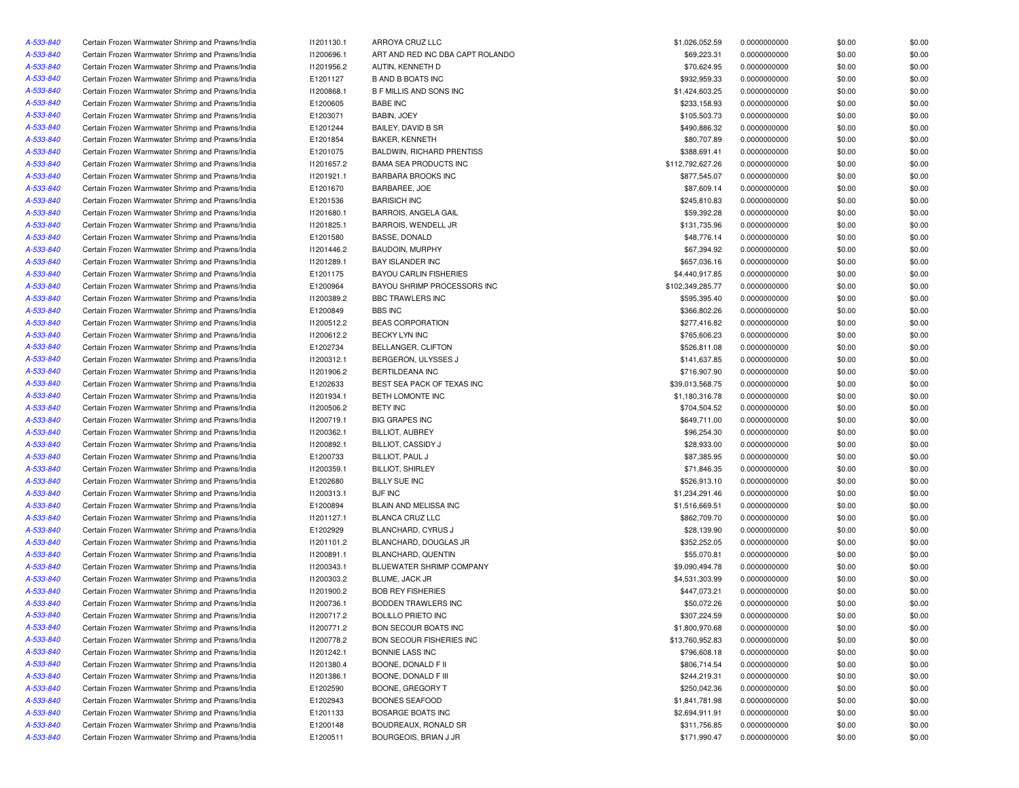| A-533-840 | Certain Frozen Warmwater Shrimp and Prawns/India | 11201130.1 | ARROYA CRUZ LLC                  | \$1,026,052.59   | 0.0000000000 | \$0.00 | \$0.00 |
|-----------|--------------------------------------------------|------------|----------------------------------|------------------|--------------|--------|--------|
| A-533-840 | Certain Frozen Warmwater Shrimp and Prawns/India | I1200696.1 | ART AND RED INC DBA CAPT ROLANDO | \$69,223.31      | 0.0000000000 | \$0.00 | \$0.00 |
| A-533-840 | Certain Frozen Warmwater Shrimp and Prawns/India | 11201956.2 | AUTIN, KENNETH D                 | \$70,624.95      | 0.0000000000 | \$0.00 | \$0.00 |
| A-533-840 | Certain Frozen Warmwater Shrimp and Prawns/India | E1201127   | <b>B AND B BOATS INC</b>         | \$932,959.33     | 0.0000000000 | \$0.00 | \$0.00 |
| A-533-840 | Certain Frozen Warmwater Shrimp and Prawns/India | I1200868.1 | <b>B F MILLIS AND SONS INC</b>   | \$1,424,603.25   | 0.0000000000 | \$0.00 | \$0.00 |
| A-533-840 | Certain Frozen Warmwater Shrimp and Prawns/India | E1200605   | <b>BABE INC</b>                  | \$233,158.93     | 0.0000000000 | \$0.00 | \$0.00 |
| A-533-840 | Certain Frozen Warmwater Shrimp and Prawns/India | E1203071   | BABIN, JOEY                      | \$105,503.73     | 0.0000000000 | \$0.00 | \$0.00 |
| A-533-840 | Certain Frozen Warmwater Shrimp and Prawns/India | E1201244   | BAILEY, DAVID B SR               | \$490,886.32     | 0.0000000000 | \$0.00 | \$0.00 |
| A-533-840 | Certain Frozen Warmwater Shrimp and Prawns/India | E1201854   | <b>BAKER, KENNETH</b>            | \$80,707.89      | 0.0000000000 | \$0.00 | \$0.00 |
| A-533-840 | Certain Frozen Warmwater Shrimp and Prawns/India | E1201075   | <b>BALDWIN, RICHARD PRENTISS</b> | \$388,691.41     | 0.0000000000 | \$0.00 | \$0.00 |
| A-533-840 | Certain Frozen Warmwater Shrimp and Prawns/India | 11201657.2 | <b>BAMA SEA PRODUCTS INC</b>     | \$112,792,627.26 | 0.0000000000 | \$0.00 | \$0.00 |
| A-533-840 | Certain Frozen Warmwater Shrimp and Prawns/India | 11201921.1 | <b>BARBARA BROOKS INC</b>        | \$877,545.07     | 0.0000000000 | \$0.00 | \$0.00 |
| A-533-840 | Certain Frozen Warmwater Shrimp and Prawns/India | E1201670   | BARBAREE, JOE                    | \$87,609.14      | 0.0000000000 | \$0.00 | \$0.00 |
| A-533-840 | Certain Frozen Warmwater Shrimp and Prawns/India | E1201536   | <b>BARISICH INC</b>              | \$245,810.83     | 0.0000000000 | \$0.00 | \$0.00 |
| A-533-840 | Certain Frozen Warmwater Shrimp and Prawns/India | 11201680.1 | <b>BARROIS, ANGELA GAIL</b>      | \$59,392.28      | 0.0000000000 | \$0.00 | \$0.00 |
| A-533-840 | Certain Frozen Warmwater Shrimp and Prawns/India | 11201825.1 | BARROIS, WENDELL JR              | \$131,735.96     | 0.0000000000 | \$0.00 | \$0.00 |
| A-533-840 | Certain Frozen Warmwater Shrimp and Prawns/India | E1201580   | BASSE, DONALD                    | \$48,776.14      | 0.0000000000 | \$0.00 | \$0.00 |
| A-533-840 | Certain Frozen Warmwater Shrimp and Prawns/India | 11201446.2 | <b>BAUDOIN, MURPHY</b>           | \$67,394.92      | 0.0000000000 | \$0.00 | \$0.00 |
| A-533-840 | Certain Frozen Warmwater Shrimp and Prawns/India | 11201289.1 | <b>BAY ISLANDER INC</b>          | \$657,036.16     | 0.0000000000 | \$0.00 | \$0.00 |
| A-533-840 | Certain Frozen Warmwater Shrimp and Prawns/India | E1201175   | <b>BAYOU CARLIN FISHERIES</b>    | \$4,440,917.85   | 0.0000000000 | \$0.00 | \$0.00 |
| A-533-840 | Certain Frozen Warmwater Shrimp and Prawns/India | E1200964   | BAYOU SHRIMP PROCESSORS INC      | \$102,349,285.77 | 0.0000000000 | \$0.00 | \$0.00 |
|           | Certain Frozen Warmwater Shrimp and Prawns/India | 11200389.2 | BBC TRAWLERS INC                 | \$595,395.40     | 0.0000000000 | \$0.00 | \$0.00 |
| A-533-840 |                                                  |            |                                  |                  |              |        |        |
| A-533-840 | Certain Frozen Warmwater Shrimp and Prawns/India | E1200849   | <b>BBS INC</b>                   | \$366,802.26     | 0.0000000000 | \$0.00 | \$0.00 |
| A-533-840 | Certain Frozen Warmwater Shrimp and Prawns/India | 11200512.2 | <b>BEAS CORPORATION</b>          | \$277,416.82     | 0.0000000000 | \$0.00 | \$0.00 |
| A-533-840 | Certain Frozen Warmwater Shrimp and Prawns/India | 11200612.2 | BECKY LYN INC                    | \$765,606.23     | 0.0000000000 | \$0.00 | \$0.00 |
| A-533-840 | Certain Frozen Warmwater Shrimp and Prawns/India | E1202734   | BELLANGER, CLIFTON               | \$526,811.08     | 0.0000000000 | \$0.00 | \$0.00 |
| A-533-840 | Certain Frozen Warmwater Shrimp and Prawns/India | 11200312.1 | BERGERON, ULYSSES J              | \$141,637.85     | 0.0000000000 | \$0.00 | \$0.00 |
| A-533-840 | Certain Frozen Warmwater Shrimp and Prawns/India | 11201906.2 | BERTILDEANA INC                  | \$716,907.90     | 0.0000000000 | \$0.00 | \$0.00 |
| A-533-840 | Certain Frozen Warmwater Shrimp and Prawns/India | E1202633   | BEST SEA PACK OF TEXAS INC       | \$39,013,568.75  | 0.0000000000 | \$0.00 | \$0.00 |
| A-533-840 | Certain Frozen Warmwater Shrimp and Prawns/India | 11201934.1 | BETH LOMONTE INC                 | \$1,180,316.78   | 0.0000000000 | \$0.00 | \$0.00 |
| A-533-840 | Certain Frozen Warmwater Shrimp and Prawns/India | I1200506.2 | <b>BETY INC</b>                  | \$704,504.52     | 0.0000000000 | \$0.00 | \$0.00 |
| A-533-840 | Certain Frozen Warmwater Shrimp and Prawns/India | 11200719.1 | <b>BIG GRAPES INC</b>            | \$649,711.00     | 0.0000000000 | \$0.00 | \$0.00 |
| A-533-840 | Certain Frozen Warmwater Shrimp and Prawns/India | 11200362.1 | BILLIOT, AUBREY                  | \$96,254.30      | 0.0000000000 | \$0.00 | \$0.00 |
| A-533-840 | Certain Frozen Warmwater Shrimp and Prawns/India | 11200892.1 | <b>BILLIOT, CASSIDY J</b>        | \$28,933.00      | 0.0000000000 | \$0.00 | \$0.00 |
| A-533-840 | Certain Frozen Warmwater Shrimp and Prawns/India | E1200733   | BILLIOT, PAUL J                  | \$87,385.95      | 0.0000000000 | \$0.00 | \$0.00 |
| A-533-840 | Certain Frozen Warmwater Shrimp and Prawns/India | 11200359.1 | <b>BILLIOT, SHIRLEY</b>          | \$71,846.35      | 0.0000000000 | \$0.00 | \$0.00 |
| A-533-840 | Certain Frozen Warmwater Shrimp and Prawns/India | E1202680   | <b>BILLY SUE INC</b>             | \$526,913.10     | 0.0000000000 | \$0.00 | \$0.00 |
| A-533-840 | Certain Frozen Warmwater Shrimp and Prawns/India | 11200313.1 | <b>BJF INC</b>                   | \$1,234,291.46   | 0.0000000000 | \$0.00 | \$0.00 |
| A-533-840 | Certain Frozen Warmwater Shrimp and Prawns/India | E1200894   | BLAIN AND MELISSA INC            | \$1,516,669.51   | 0.0000000000 | \$0.00 | \$0.00 |
| A-533-840 | Certain Frozen Warmwater Shrimp and Prawns/India | 11201127.1 | <b>BLANCA CRUZ LLC</b>           | \$862,709.70     | 0.0000000000 | \$0.00 | \$0.00 |
| A-533-840 | Certain Frozen Warmwater Shrimp and Prawns/India | E1202929   | BLANCHARD, CYRUS J               | \$28,139.90      | 0.0000000000 | \$0.00 | \$0.00 |
| A-533-840 | Certain Frozen Warmwater Shrimp and Prawns/India | 11201101.2 | BLANCHARD, DOUGLAS JR            | \$352,252.05     | 0.0000000000 | \$0.00 | \$0.00 |
| A-533-840 | Certain Frozen Warmwater Shrimp and Prawns/India | 11200891.1 | <b>BLANCHARD, QUENTIN</b>        | \$55,070.81      | 0.0000000000 | \$0.00 | \$0.00 |
| A-533-840 | Certain Frozen Warmwater Shrimp and Prawns/India | 11200343.1 | BLUEWATER SHRIMP COMPANY         | \$9,090,494.78   | 0.0000000000 | \$0.00 | \$0.00 |
| A-533-840 | Certain Frozen Warmwater Shrimp and Prawns/India | 11200303.2 | BLUME, JACK JR                   | \$4,531,303.99   | 0.0000000000 | \$0.00 | \$0.00 |
| A-533-840 | Certain Frozen Warmwater Shrimp and Prawns/India | 11201900.2 | <b>BOB REY FISHERIES</b>         | \$447,073.21     | 0.0000000000 | \$0.00 | \$0.00 |
| A-533-840 | Certain Frozen Warmwater Shrimp and Prawns/India | 11200736.1 | <b>BODDEN TRAWLERS INC</b>       | \$50,072.26      | 0.0000000000 | \$0.00 | \$0.00 |
| A-533-840 | Certain Frozen Warmwater Shrimp and Prawns/India | 11200717.2 | <b>BOLILLO PRIETO INC</b>        | \$307,224.59     | 0.0000000000 | \$0.00 | \$0.00 |
| A-533-840 | Certain Frozen Warmwater Shrimp and Prawns/India | 11200771.2 | BON SECOUR BOATS INC             | \$1,800,970.68   | 0.0000000000 | \$0.00 | \$0.00 |
| A-533-840 | Certain Frozen Warmwater Shrimp and Prawns/India | 11200778.2 | BON SECOUR FISHERIES INC         | \$13,760,952.83  | 0.0000000000 | \$0.00 | \$0.00 |
| A-533-840 | Certain Frozen Warmwater Shrimp and Prawns/India | 11201242.1 | BONNIE LASS INC                  | \$796,608.18     | 0.0000000000 | \$0.00 | \$0.00 |
| A-533-840 | Certain Frozen Warmwater Shrimp and Prawns/India | 11201380.4 | BOONE, DONALD F II               | \$806,714.54     | 0.0000000000 | \$0.00 | \$0.00 |
| A-533-840 | Certain Frozen Warmwater Shrimp and Prawns/India | 11201386.1 | BOONE, DONALD F III              | \$244,219.31     | 0.0000000000 | \$0.00 | \$0.00 |
| A-533-840 | Certain Frozen Warmwater Shrimp and Prawns/India | E1202590   | BOONE, GREGORY T                 | \$250,042.36     | 0.0000000000 | \$0.00 | \$0.00 |
| A-533-840 | Certain Frozen Warmwater Shrimp and Prawns/India | E1202943   | <b>BOONES SEAFOOD</b>            | \$1,841,781.98   | 0.0000000000 | \$0.00 | \$0.00 |
| A-533-840 | Certain Frozen Warmwater Shrimp and Prawns/India | E1201133   | BOSARGE BOATS INC                | \$2,694,911.91   | 0.0000000000 | \$0.00 | \$0.00 |
| A-533-840 | Certain Frozen Warmwater Shrimp and Prawns/India | E1200148   | BOUDREAUX, RONALD SR             | \$311,756.85     | 0.0000000000 | \$0.00 | \$0.00 |
| A-533-840 | Certain Frozen Warmwater Shrimp and Prawns/India | E1200511   | BOURGEOIS, BRIAN J JR            | \$171,990.47     | 0.0000000000 | \$0.00 | \$0.00 |
|           |                                                  |            |                                  |                  |              |        |        |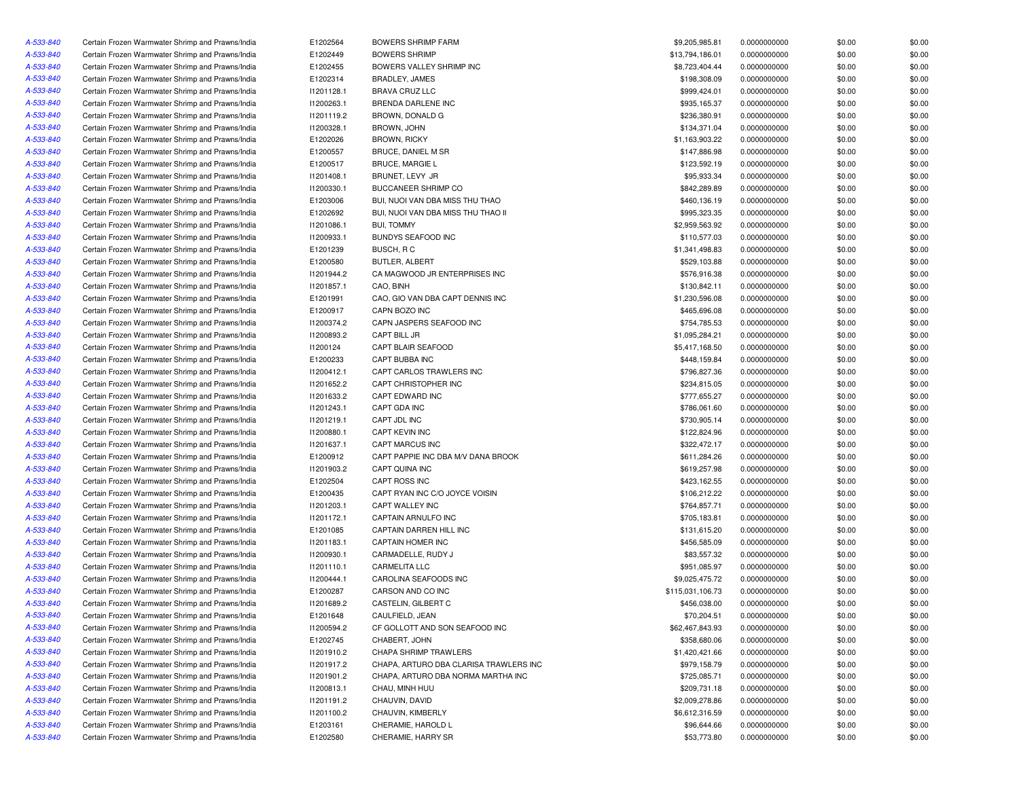| A-533-840 | Certain Frozen Warmwater Shrimp and Prawns/India | E1202564   | <b>BOWERS SHRIMP FARM</b>              | \$9,205,985.81   | 0.0000000000 | \$0.00 | \$0.00 |
|-----------|--------------------------------------------------|------------|----------------------------------------|------------------|--------------|--------|--------|
| A-533-840 | Certain Frozen Warmwater Shrimp and Prawns/India | E1202449   | <b>BOWERS SHRIMP</b>                   | \$13,794,186.01  | 0.0000000000 | \$0.00 | \$0.00 |
| A-533-840 | Certain Frozen Warmwater Shrimp and Prawns/India | E1202455   | BOWERS VALLEY SHRIMP INC               | \$8,723,404.44   | 0.0000000000 | \$0.00 | \$0.00 |
| A-533-840 | Certain Frozen Warmwater Shrimp and Prawns/India | E1202314   | BRADLEY, JAMES                         | \$198,308.09     | 0.0000000000 | \$0.00 | \$0.00 |
| A-533-840 | Certain Frozen Warmwater Shrimp and Prawns/India | 11201128.1 | <b>BRAVA CRUZ LLC</b>                  | \$999,424.01     | 0.0000000000 | \$0.00 | \$0.00 |
| A-533-840 | Certain Frozen Warmwater Shrimp and Prawns/India | 11200263.1 | BRENDA DARLENE INC                     | \$935,165.37     | 0.0000000000 | \$0.00 | \$0.00 |
| A-533-840 | Certain Frozen Warmwater Shrimp and Prawns/India | 11201119.2 | BROWN, DONALD G                        | \$236,380.91     | 0.0000000000 | \$0.00 | \$0.00 |
| A-533-840 | Certain Frozen Warmwater Shrimp and Prawns/India | 11200328.1 | BROWN, JOHN                            | \$134,371.04     | 0.0000000000 | \$0.00 | \$0.00 |
| A-533-840 | Certain Frozen Warmwater Shrimp and Prawns/India | E1202026   | <b>BROWN, RICKY</b>                    | \$1,163,903.22   | 0.0000000000 | \$0.00 | \$0.00 |
| A-533-840 | Certain Frozen Warmwater Shrimp and Prawns/India | E1200557   | BRUCE, DANIEL M SR                     | \$147,886.98     | 0.0000000000 | \$0.00 | \$0.00 |
| A-533-840 | Certain Frozen Warmwater Shrimp and Prawns/India | E1200517   | <b>BRUCE, MARGIE L</b>                 | \$123,592.19     | 0.0000000000 | \$0.00 | \$0.00 |
| A-533-840 | Certain Frozen Warmwater Shrimp and Prawns/India | 11201408.1 | BRUNET, LEVY JR                        | \$95,933.34      | 0.0000000000 | \$0.00 | \$0.00 |
| A-533-840 | Certain Frozen Warmwater Shrimp and Prawns/India | 11200330.1 | <b>BUCCANEER SHRIMP CO</b>             | \$842,289.89     | 0.0000000000 | \$0.00 | \$0.00 |
| A-533-840 | Certain Frozen Warmwater Shrimp and Prawns/India | E1203006   | BUI, NUOI VAN DBA MISS THU THAO        | \$460,136.19     | 0.0000000000 | \$0.00 | \$0.00 |
| A-533-840 | Certain Frozen Warmwater Shrimp and Prawns/India | E1202692   | BUI, NUOI VAN DBA MISS THU THAO II     | \$995,323.35     | 0.0000000000 | \$0.00 | \$0.00 |
| A-533-840 | Certain Frozen Warmwater Shrimp and Prawns/India | 11201086.1 | <b>BUI. TOMMY</b>                      | \$2,959,563.92   | 0.0000000000 | \$0.00 | \$0.00 |
| A-533-840 | Certain Frozen Warmwater Shrimp and Prawns/India | 11200933.1 | BUNDYS SEAFOOD INC                     | \$110,577.03     | 0.0000000000 | \$0.00 | \$0.00 |
| A-533-840 | Certain Frozen Warmwater Shrimp and Prawns/India | E1201239   | BUSCH, RC                              | \$1,341,498.83   | 0.0000000000 | \$0.00 | \$0.00 |
| A-533-840 | Certain Frozen Warmwater Shrimp and Prawns/India | E1200580   | <b>BUTLER, ALBERT</b>                  | \$529,103.88     | 0.0000000000 | \$0.00 | \$0.00 |
| A-533-840 |                                                  |            | CA MAGWOOD JR ENTERPRISES INC          |                  |              |        |        |
|           | Certain Frozen Warmwater Shrimp and Prawns/India | 11201944.2 |                                        | \$576,916.38     | 0.0000000000 | \$0.00 | \$0.00 |
| A-533-840 | Certain Frozen Warmwater Shrimp and Prawns/India | 11201857.1 | CAO, BINH                              | \$130,842.11     | 0.0000000000 | \$0.00 | \$0.00 |
| A-533-840 | Certain Frozen Warmwater Shrimp and Prawns/India | E1201991   | CAO, GIO VAN DBA CAPT DENNIS INC       | \$1,230,596.08   | 0.0000000000 | \$0.00 | \$0.00 |
| A-533-840 | Certain Frozen Warmwater Shrimp and Prawns/India | E1200917   | CAPN BOZO INC                          | \$465,696.08     | 0.0000000000 | \$0.00 | \$0.00 |
| A-533-840 | Certain Frozen Warmwater Shrimp and Prawns/India | 11200374.2 | CAPN JASPERS SEAFOOD INC               | \$754,785.53     | 0.0000000000 | \$0.00 | \$0.00 |
| A-533-840 | Certain Frozen Warmwater Shrimp and Prawns/India | 11200893.2 | CAPT BILL JR                           | \$1,095,284.21   | 0.0000000000 | \$0.00 | \$0.00 |
| A-533-840 | Certain Frozen Warmwater Shrimp and Prawns/India | 11200124   | CAPT BLAIR SEAFOOD                     | \$5,417,168.50   | 0.0000000000 | \$0.00 | \$0.00 |
| A-533-840 | Certain Frozen Warmwater Shrimp and Prawns/India | E1200233   | CAPT BUBBA INC                         | \$448,159.84     | 0.0000000000 | \$0.00 | \$0.00 |
| A-533-840 | Certain Frozen Warmwater Shrimp and Prawns/India | 11200412.1 | CAPT CARLOS TRAWLERS INC               | \$796,827.36     | 0.0000000000 | \$0.00 | \$0.00 |
| A-533-840 | Certain Frozen Warmwater Shrimp and Prawns/India | 11201652.2 | CAPT CHRISTOPHER INC                   | \$234,815.05     | 0.0000000000 | \$0.00 | \$0.00 |
| A-533-840 | Certain Frozen Warmwater Shrimp and Prawns/India | 11201633.2 | CAPT EDWARD INC                        | \$777,655.27     | 0.0000000000 | \$0.00 | \$0.00 |
| A-533-840 | Certain Frozen Warmwater Shrimp and Prawns/India | 11201243.1 | CAPT GDA INC                           | \$786,061.60     | 0.0000000000 | \$0.00 | \$0.00 |
| A-533-840 | Certain Frozen Warmwater Shrimp and Prawns/India | 11201219.1 | CAPT JDL INC                           | \$730,905.14     | 0.0000000000 | \$0.00 | \$0.00 |
| A-533-840 | Certain Frozen Warmwater Shrimp and Prawns/India | 11200880.1 | CAPT KEVIN INC                         | \$122,824.96     | 0.0000000000 | \$0.00 | \$0.00 |
| A-533-840 | Certain Frozen Warmwater Shrimp and Prawns/India | 11201637.1 | CAPT MARCUS INC                        | \$322,472.17     | 0.0000000000 | \$0.00 | \$0.00 |
| A-533-840 | Certain Frozen Warmwater Shrimp and Prawns/India | E1200912   | CAPT PAPPIE INC DBA M/V DANA BROOK     | \$611,284.26     | 0.0000000000 | \$0.00 | \$0.00 |
| A-533-840 | Certain Frozen Warmwater Shrimp and Prawns/India | 11201903.2 | CAPT QUINA INC                         | \$619,257.98     | 0.0000000000 | \$0.00 | \$0.00 |
| A-533-840 | Certain Frozen Warmwater Shrimp and Prawns/India | E1202504   | CAPT ROSS INC                          | \$423,162.55     | 0.0000000000 | \$0.00 | \$0.00 |
| A-533-840 | Certain Frozen Warmwater Shrimp and Prawns/India | E1200435   | CAPT RYAN INC C/O JOYCE VOISIN         | \$106,212.22     | 0.0000000000 | \$0.00 | \$0.00 |
| A-533-840 | Certain Frozen Warmwater Shrimp and Prawns/India | 11201203.1 | CAPT WALLEY INC                        | \$764,857.71     | 0.0000000000 | \$0.00 | \$0.00 |
| A-533-840 | Certain Frozen Warmwater Shrimp and Prawns/India | 11201172.1 | CAPTAIN ARNULFO INC                    | \$705,183.81     | 0.0000000000 | \$0.00 | \$0.00 |
| A-533-840 | Certain Frozen Warmwater Shrimp and Prawns/India | E1201085   | CAPTAIN DARREN HILL INC                | \$131,615.20     | 0.0000000000 | \$0.00 | \$0.00 |
| A-533-840 | Certain Frozen Warmwater Shrimp and Prawns/India | 11201183.1 | CAPTAIN HOMER INC                      | \$456,585.09     | 0.0000000000 | \$0.00 | \$0.00 |
| A-533-840 | Certain Frozen Warmwater Shrimp and Prawns/India | 11200930.1 | CARMADELLE, RUDY J                     | \$83,557,32      | 0.0000000000 | \$0.00 | \$0.00 |
| A-533-840 | Certain Frozen Warmwater Shrimp and Prawns/India | 11201110.1 | <b>CARMELITA LLC</b>                   | \$951,085.97     | 0.0000000000 | \$0.00 | \$0.00 |
| A-533-840 | Certain Frozen Warmwater Shrimp and Prawns/India | 11200444.1 | CAROLINA SEAFOODS INC                  | \$9,025,475.72   | 0.0000000000 | \$0.00 | \$0.00 |
| A-533-840 | Certain Frozen Warmwater Shrimp and Prawns/India | E1200287   | CARSON AND CO INC                      | \$115,031,106.73 | 0.0000000000 | \$0.00 | \$0.00 |
| A-533-840 | Certain Frozen Warmwater Shrimp and Prawns/India | 11201689.2 | CASTELIN, GILBERT C                    | \$456,038.00     | 0.0000000000 | \$0.00 | \$0.00 |
| A-533-840 | Certain Frozen Warmwater Shrimp and Prawns/India | E1201648   | CAULFIELD, JEAN                        | \$70,204.51      | 0.0000000000 | \$0.00 | \$0.00 |
| A-533-840 | Certain Frozen Warmwater Shrimp and Prawns/India | 11200594.2 | CF GOLLOTT AND SON SEAFOOD INC         | \$62,467,843.93  | 0.0000000000 | \$0.00 | \$0.00 |
| A-533-840 | Certain Frozen Warmwater Shrimp and Prawns/India | E1202745   | CHABERT, JOHN                          | \$358,680.06     | 0.0000000000 | \$0.00 | \$0.00 |
|           | Certain Frozen Warmwater Shrimp and Prawns/India |            | CHAPA SHRIMP TRAWLERS                  |                  |              |        |        |
| A-533-840 | Certain Frozen Warmwater Shrimp and Prawns/India | 11201910.2 |                                        | \$1,420,421.66   | 0.0000000000 | \$0.00 | \$0.00 |
| A-533-840 |                                                  | 11201917.2 | CHAPA, ARTURO DBA CLARISA TRAWLERS INC | \$979,158.79     | 0.0000000000 | \$0.00 | \$0.00 |
| A-533-840 | Certain Frozen Warmwater Shrimp and Prawns/India | 11201901.2 | CHAPA, ARTURO DBA NORMA MARTHA INC     | \$725,085.71     | 0.0000000000 | \$0.00 | \$0.00 |
| A-533-840 | Certain Frozen Warmwater Shrimp and Prawns/India | 11200813.1 | CHAU, MINH HUU                         | \$209,731.18     | 0.0000000000 | \$0.00 | \$0.00 |
| A-533-840 | Certain Frozen Warmwater Shrimp and Prawns/India | 11201191.2 | CHAUVIN, DAVID                         | \$2,009,278.86   | 0.0000000000 | \$0.00 | \$0.00 |
| A-533-840 | Certain Frozen Warmwater Shrimp and Prawns/India | 11201100.2 | CHAUVIN, KIMBERLY                      | \$6,612,316.59   | 0.0000000000 | \$0.00 | \$0.00 |
| A-533-840 | Certain Frozen Warmwater Shrimp and Prawns/India | E1203161   | CHERAMIE, HAROLD L                     | \$96,644.66      | 0.0000000000 | \$0.00 | \$0.00 |
| A-533-840 | Certain Frozen Warmwater Shrimp and Prawns/India | E1202580   | CHERAMIE, HARRY SR                     | \$53,773.80      | 0.0000000000 | \$0.00 | \$0.00 |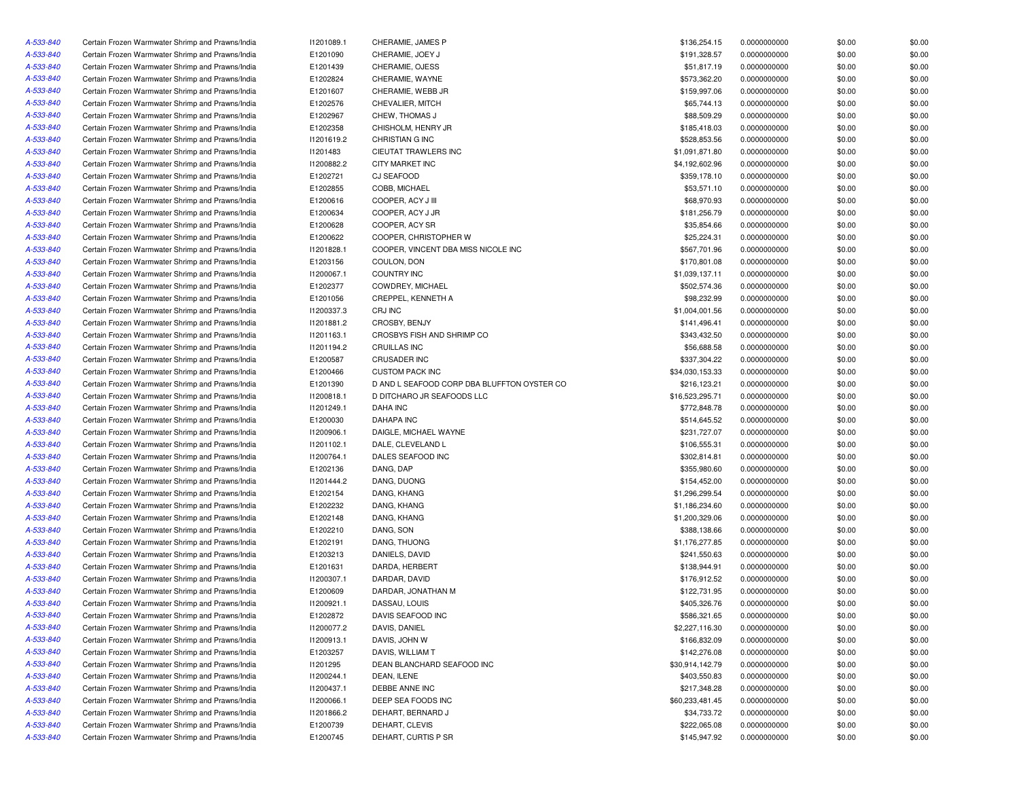| A-533-840 | Certain Frozen Warmwater Shrimp and Prawns/India                                                     | 11201089.1 | CHERAMIE, JAMES P                           | \$136,254.15                   | 0.0000000000                 | \$0.00 | \$0.00 |
|-----------|------------------------------------------------------------------------------------------------------|------------|---------------------------------------------|--------------------------------|------------------------------|--------|--------|
| A-533-840 | Certain Frozen Warmwater Shrimp and Prawns/India                                                     | E1201090   | CHERAMIE, JOEY J                            | \$191,328.57                   | 0.0000000000                 | \$0.00 | \$0.00 |
| A-533-840 | Certain Frozen Warmwater Shrimp and Prawns/India                                                     | E1201439   | CHERAMIE, OJESS                             | \$51,817.19                    | 0.0000000000                 | \$0.00 | \$0.00 |
| A-533-840 | Certain Frozen Warmwater Shrimp and Prawns/India                                                     | E1202824   | CHERAMIE, WAYNE                             | \$573,362.20                   | 0.0000000000                 | \$0.00 | \$0.00 |
| A-533-840 | Certain Frozen Warmwater Shrimp and Prawns/India                                                     | E1201607   | CHERAMIE, WEBB JR                           | \$159,997.06                   | 0.0000000000                 | \$0.00 | \$0.00 |
| A-533-840 | Certain Frozen Warmwater Shrimp and Prawns/India                                                     | E1202576   | CHEVALIER, MITCH                            | \$65,744.13                    | 0.0000000000                 | \$0.00 | \$0.00 |
| A-533-840 | Certain Frozen Warmwater Shrimp and Prawns/India                                                     | E1202967   | CHEW, THOMAS J                              | \$88,509.29                    | 0.0000000000                 | \$0.00 | \$0.00 |
| A-533-840 | Certain Frozen Warmwater Shrimp and Prawns/India                                                     | E1202358   | CHISHOLM, HENRY JR                          | \$185,418.03                   | 0.0000000000                 | \$0.00 | \$0.00 |
| A-533-840 | Certain Frozen Warmwater Shrimp and Prawns/India                                                     | 11201619.2 | CHRISTIAN G INC                             | \$528,853.56                   | 0.0000000000                 | \$0.00 | \$0.00 |
| A-533-840 | Certain Frozen Warmwater Shrimp and Prawns/India                                                     | 11201483   | CIEUTAT TRAWLERS INC                        | \$1,091,871.80                 | 0.0000000000                 | \$0.00 | \$0.00 |
| A-533-840 | Certain Frozen Warmwater Shrimp and Prawns/India                                                     | 11200882.2 | <b>CITY MARKET INC</b>                      | \$4,192,602.96                 | 0.0000000000                 | \$0.00 | \$0.00 |
| A-533-840 | Certain Frozen Warmwater Shrimp and Prawns/India                                                     | E1202721   | <b>CJ SEAFOOD</b>                           | \$359,178.10                   | 0.0000000000                 | \$0.00 | \$0.00 |
| A-533-840 | Certain Frozen Warmwater Shrimp and Prawns/India                                                     | E1202855   | COBB, MICHAEL                               | \$53,571.10                    | 0.0000000000                 | \$0.00 | \$0.00 |
| A-533-840 | Certain Frozen Warmwater Shrimp and Prawns/India                                                     | E1200616   | COOPER, ACY J III                           | \$68,970.93                    | 0.0000000000                 | \$0.00 | \$0.00 |
| A-533-840 | Certain Frozen Warmwater Shrimp and Prawns/India                                                     | E1200634   | COOPER, ACY J JR                            | \$181,256.79                   | 0.0000000000                 | \$0.00 | \$0.00 |
| A-533-840 | Certain Frozen Warmwater Shrimp and Prawns/India                                                     | E1200628   | COOPER, ACY SR                              | \$35,854.66                    | 0.0000000000                 | \$0.00 | \$0.00 |
| A-533-840 | Certain Frozen Warmwater Shrimp and Prawns/India                                                     | E1200622   | COOPER, CHRISTOPHER W                       | \$25,224.31                    | 0.0000000000                 | \$0.00 | \$0.00 |
| A-533-840 | Certain Frozen Warmwater Shrimp and Prawns/India                                                     | 11201828.1 | COOPER, VINCENT DBA MISS NICOLE INC         | \$567,701.96                   | 0.0000000000                 | \$0.00 | \$0.00 |
| A-533-840 | Certain Frozen Warmwater Shrimp and Prawns/India                                                     | E1203156   | COULON, DON                                 | \$170,801.08                   | 0.0000000000                 | \$0.00 | \$0.00 |
| A-533-840 | Certain Frozen Warmwater Shrimp and Prawns/India                                                     | 11200067.1 | <b>COUNTRY INC</b>                          | \$1,039,137.11                 |                              | \$0.00 | \$0.00 |
|           |                                                                                                      |            |                                             |                                | 0.0000000000                 |        |        |
| A-533-840 | Certain Frozen Warmwater Shrimp and Prawns/India<br>Certain Frozen Warmwater Shrimp and Prawns/India | E1202377   | COWDREY, MICHAEL                            | \$502,574.36                   | 0.0000000000<br>0.0000000000 | \$0.00 | \$0.00 |
| A-533-840 |                                                                                                      | E1201056   | CREPPEL, KENNETH A                          | \$98,232.99                    |                              | \$0.00 | \$0.00 |
| A-533-840 | Certain Frozen Warmwater Shrimp and Prawns/India                                                     | 11200337.3 | CRJ INC                                     | \$1,004,001.56                 | 0.0000000000                 | \$0.00 | \$0.00 |
| A-533-840 | Certain Frozen Warmwater Shrimp and Prawns/India                                                     | 11201881.2 | CROSBY, BENJY                               | \$141,496.41                   | 0.0000000000                 | \$0.00 | \$0.00 |
| A-533-840 | Certain Frozen Warmwater Shrimp and Prawns/India                                                     | 11201163.1 | CROSBYS FISH AND SHRIMP CO                  | \$343,432.50                   | 0.0000000000                 | \$0.00 | \$0.00 |
| A-533-840 | Certain Frozen Warmwater Shrimp and Prawns/India                                                     | 11201194.2 | CRUILLAS INC                                | \$56,688.58                    | 0.0000000000                 | \$0.00 | \$0.00 |
| A-533-840 | Certain Frozen Warmwater Shrimp and Prawns/India                                                     | E1200587   | <b>CRUSADER INC</b>                         | \$337.304.22                   | 0.0000000000                 | \$0.00 | \$0.00 |
| A-533-840 | Certain Frozen Warmwater Shrimp and Prawns/India                                                     | E1200466   | <b>CUSTOM PACK INC</b>                      | \$34,030,153.33                | 0.0000000000                 | \$0.00 | \$0.00 |
| A-533-840 | Certain Frozen Warmwater Shrimp and Prawns/India                                                     | E1201390   | D AND L SEAFOOD CORP DBA BLUFFTON OYSTER CO | \$216,123.21                   | 0.0000000000                 | \$0.00 | \$0.00 |
| A-533-840 | Certain Frozen Warmwater Shrimp and Prawns/India                                                     | 11200818.1 | D DITCHARO JR SEAFOODS LLC                  | \$16,523,295.71                | 0.0000000000                 | \$0.00 | \$0.00 |
| A-533-840 | Certain Frozen Warmwater Shrimp and Prawns/India                                                     | 11201249.1 | <b>DAHA INC</b>                             | \$772,848.78                   | 0.0000000000                 | \$0.00 | \$0.00 |
| A-533-840 | Certain Frozen Warmwater Shrimp and Prawns/India                                                     | E1200030   | <b>DAHAPA INC</b>                           | \$514,645.52                   | 0.0000000000                 | \$0.00 | \$0.00 |
| A-533-840 | Certain Frozen Warmwater Shrimp and Prawns/India                                                     | 11200906.1 | DAIGLE, MICHAEL WAYNE                       | \$231,727.07                   | 0.0000000000                 | \$0.00 | \$0.00 |
| A-533-840 | Certain Frozen Warmwater Shrimp and Prawns/India                                                     | 11201102.1 | DALE, CLEVELAND L                           | \$106,555.31                   | 0.0000000000                 | \$0.00 | \$0.00 |
| A-533-840 | Certain Frozen Warmwater Shrimp and Prawns/India                                                     | 11200764.1 | DALES SEAFOOD INC                           | \$302,814.81                   | 0.0000000000                 | \$0.00 | \$0.00 |
| A-533-840 | Certain Frozen Warmwater Shrimp and Prawns/India                                                     | E1202136   | DANG, DAP                                   | \$355,980.60                   | 0.0000000000                 | \$0.00 | \$0.00 |
| A-533-840 | Certain Frozen Warmwater Shrimp and Prawns/India                                                     | 11201444.2 | DANG, DUONG                                 | \$154,452.00                   | 0.0000000000                 | \$0.00 | \$0.00 |
| A-533-840 | Certain Frozen Warmwater Shrimp and Prawns/India                                                     | E1202154   | DANG, KHANG                                 | \$1,296,299.54                 | 0.0000000000                 | \$0.00 | \$0.00 |
| A-533-840 | Certain Frozen Warmwater Shrimp and Prawns/India                                                     | E1202232   | DANG, KHANG                                 | \$1,186,234.60                 | 0.0000000000                 | \$0.00 | \$0.00 |
| A-533-840 | Certain Frozen Warmwater Shrimp and Prawns/India                                                     | E1202148   | DANG, KHANG                                 | \$1,200,329.06                 | 0.0000000000                 | \$0.00 | \$0.00 |
| A-533-840 | Certain Frozen Warmwater Shrimp and Prawns/India                                                     | E1202210   | DANG, SON                                   | \$388,138.66                   | 0.0000000000                 | \$0.00 | \$0.00 |
| A-533-840 | Certain Frozen Warmwater Shrimp and Prawns/India                                                     | E1202191   | DANG, THUONG                                | \$1,176,277.85                 | 0.0000000000                 | \$0.00 | \$0.00 |
| A-533-840 | Certain Frozen Warmwater Shrimp and Prawns/India                                                     | E1203213   | DANIELS, DAVID                              | \$241,550.63                   | 0.0000000000                 | \$0.00 | \$0.00 |
| A-533-840 | Certain Frozen Warmwater Shrimp and Prawns/India                                                     | E1201631   | DARDA, HERBERT                              | \$138,944.91                   | 0.0000000000                 | \$0.00 | \$0.00 |
| A-533-840 | Certain Frozen Warmwater Shrimp and Prawns/India                                                     | 11200307.1 | DARDAR, DAVID                               | \$176,912.52                   | 0.0000000000                 | \$0.00 | \$0.00 |
| A-533-840 | Certain Frozen Warmwater Shrimp and Prawns/India                                                     | E1200609   | DARDAR, JONATHAN M                          | \$122,731.95                   | 0.0000000000                 | \$0.00 | \$0.00 |
| A-533-840 | Certain Frozen Warmwater Shrimp and Prawns/India                                                     | 11200921.1 | DASSAU, LOUIS                               | \$405,326.76                   | 0.0000000000                 | \$0.00 | \$0.00 |
| A-533-840 | Certain Frozen Warmwater Shrimp and Prawns/India                                                     | E1202872   | DAVIS SEAFOOD INC                           | \$586,321.65                   | 0.0000000000                 | \$0.00 | \$0.00 |
| A-533-840 | Certain Frozen Warmwater Shrimp and Prawns/India                                                     | I1200077.2 | DAVIS, DANIEL                               | \$2,227,116.30                 | 0.0000000000                 | \$0.00 | \$0.00 |
| A-533-840 | Certain Frozen Warmwater Shrimp and Prawns/India                                                     | 11200913.1 | DAVIS, JOHN W                               | \$166,832.09                   | 0.0000000000                 | \$0.00 | \$0.00 |
| A-533-840 | Certain Frozen Warmwater Shrimp and Prawns/India                                                     | E1203257   | DAVIS, WILLIAM T                            | \$142,276.08                   | 0.0000000000                 | \$0.00 | \$0.00 |
| A-533-840 | Certain Frozen Warmwater Shrimp and Prawns/India                                                     | 11201295   | DEAN BLANCHARD SEAFOOD INC                  | \$30,914,142.79                | 0.0000000000                 | \$0.00 | \$0.00 |
| A-533-840 | Certain Frozen Warmwater Shrimp and Prawns/India                                                     | 11200244.1 | DEAN, ILENE                                 | \$403,550.83                   | 0.0000000000                 | \$0.00 | \$0.00 |
| A-533-840 | Certain Frozen Warmwater Shrimp and Prawns/India                                                     | 11200437.1 | DEBBE ANNE INC                              | \$217,348.28                   | 0.0000000000                 | \$0.00 | \$0.00 |
|           | Certain Frozen Warmwater Shrimp and Prawns/India                                                     |            |                                             |                                |                              |        |        |
| A-533-840 |                                                                                                      | 11200066.1 | DEEP SEA FOODS INC                          | \$60,233,481.45<br>\$34,733.72 | 0.0000000000                 | \$0.00 | \$0.00 |
| A-533-840 | Certain Frozen Warmwater Shrimp and Prawns/India                                                     | 11201866.2 | DEHART, BERNARD J                           |                                | 0.0000000000                 | \$0.00 | \$0.00 |
| A-533-840 | Certain Frozen Warmwater Shrimp and Prawns/India                                                     | E1200739   | DEHART, CLEVIS                              | \$222,065.08                   | 0.0000000000                 | \$0.00 | \$0.00 |
| A-533-840 | Certain Frozen Warmwater Shrimp and Prawns/India                                                     | E1200745   | DEHART, CURTIS P SR                         | \$145,947.92                   | 0.0000000000                 | \$0.00 | \$0.00 |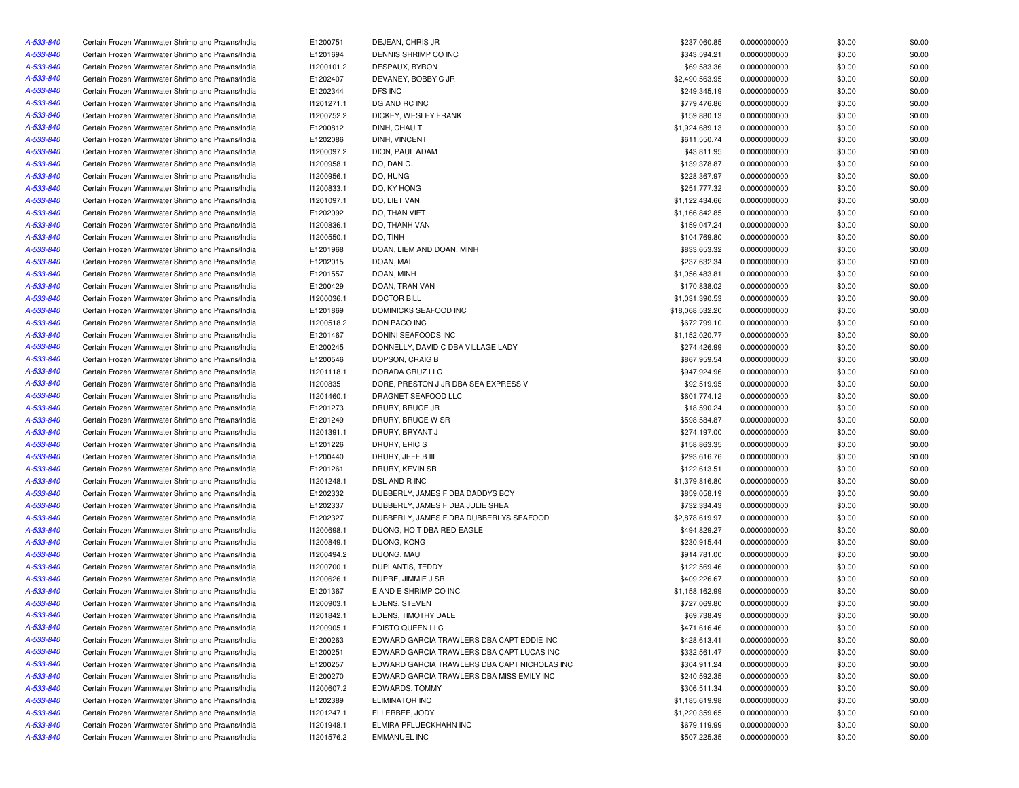| A-533-840 | Certain Frozen Warmwater Shrimp and Prawns/India | E1200751   | DEJEAN, CHRIS JR                             | \$237,060.85    | 0.0000000000 | \$0.00 | \$0.00 |
|-----------|--------------------------------------------------|------------|----------------------------------------------|-----------------|--------------|--------|--------|
| A-533-840 | Certain Frozen Warmwater Shrimp and Prawns/India | E1201694   | DENNIS SHRIMP CO INC                         | \$343,594.21    | 0.0000000000 | \$0.00 | \$0.00 |
| A-533-840 | Certain Frozen Warmwater Shrimp and Prawns/India | 11200101.2 | DESPAUX, BYRON                               | \$69,583.36     | 0.0000000000 | \$0.00 | \$0.00 |
| A-533-840 | Certain Frozen Warmwater Shrimp and Prawns/India | E1202407   | DEVANEY, BOBBY C JR                          | \$2,490,563.95  | 0.0000000000 | \$0.00 | \$0.00 |
| A-533-840 | Certain Frozen Warmwater Shrimp and Prawns/India | E1202344   | DFS INC                                      | \$249,345.19    | 0.0000000000 | \$0.00 | \$0.00 |
| A-533-840 | Certain Frozen Warmwater Shrimp and Prawns/India | 11201271.1 | DG AND RC INC                                | \$779,476.86    | 0.0000000000 | \$0.00 | \$0.00 |
| A-533-840 | Certain Frozen Warmwater Shrimp and Prawns/India | 11200752.2 | DICKEY, WESLEY FRANK                         | \$159,880.13    | 0.0000000000 | \$0.00 | \$0.00 |
| A-533-840 | Certain Frozen Warmwater Shrimp and Prawns/India | E1200812   | DINH, CHAU T                                 | \$1,924,689.13  | 0.0000000000 | \$0.00 | \$0.00 |
| A-533-840 | Certain Frozen Warmwater Shrimp and Prawns/India | E1202086   | DINH, VINCENT                                | \$611,550.74    | 0.0000000000 | \$0.00 | \$0.00 |
| A-533-840 | Certain Frozen Warmwater Shrimp and Prawns/India | 11200097.2 | DION, PAUL ADAM                              | \$43,811.95     | 0.0000000000 | \$0.00 | \$0.00 |
| A-533-840 | Certain Frozen Warmwater Shrimp and Prawns/India | 11200958.1 | DO, DAN C.                                   | \$139,378.87    | 0.0000000000 | \$0.00 | \$0.00 |
| A-533-840 | Certain Frozen Warmwater Shrimp and Prawns/India | 11200956.1 | DO, HUNG                                     | \$228,367.97    | 0.0000000000 | \$0.00 | \$0.00 |
| A-533-840 | Certain Frozen Warmwater Shrimp and Prawns/India | 11200833.1 | DO, KY HONG                                  | \$251,777.32    | 0.0000000000 | \$0.00 | \$0.00 |
| A-533-840 | Certain Frozen Warmwater Shrimp and Prawns/India | 11201097.1 | DO, LIET VAN                                 | \$1,122,434.66  | 0.0000000000 | \$0.00 | \$0.00 |
| A-533-840 | Certain Frozen Warmwater Shrimp and Prawns/India | E1202092   | DO, THAN VIET                                | \$1,166,842.85  | 0.0000000000 | \$0.00 | \$0.00 |
| A-533-840 | Certain Frozen Warmwater Shrimp and Prawns/India | 11200836.1 | DO, THANH VAN                                | \$159,047.24    | 0.0000000000 | \$0.00 | \$0.00 |
| A-533-840 | Certain Frozen Warmwater Shrimp and Prawns/India | 11200550.1 | DO, TINH                                     | \$104,769.80    | 0.0000000000 | \$0.00 | \$0.00 |
| A-533-840 | Certain Frozen Warmwater Shrimp and Prawns/India | E1201968   | DOAN, LIEM AND DOAN, MINH                    | \$833,653.32    | 0.0000000000 | \$0.00 | \$0.00 |
| A-533-840 | Certain Frozen Warmwater Shrimp and Prawns/India | E1202015   | DOAN, MAI                                    | \$237,632.34    | 0.0000000000 | \$0.00 | \$0.00 |
| A-533-840 | Certain Frozen Warmwater Shrimp and Prawns/India | E1201557   | DOAN, MINH                                   | \$1,056,483.81  | 0.0000000000 | \$0.00 | \$0.00 |
| A-533-840 | Certain Frozen Warmwater Shrimp and Prawns/India | E1200429   | DOAN, TRAN VAN                               | \$170,838.02    | 0.0000000000 | \$0.00 | \$0.00 |
| A-533-840 | Certain Frozen Warmwater Shrimp and Prawns/India | 11200036.1 | <b>DOCTOR BILL</b>                           | \$1,031,390.53  | 0.0000000000 | \$0.00 | \$0.00 |
| A-533-840 | Certain Frozen Warmwater Shrimp and Prawns/India | E1201869   | DOMINICKS SEAFOOD INC                        | \$18,068,532.20 | 0.0000000000 | \$0.00 | \$0.00 |
| A-533-840 | Certain Frozen Warmwater Shrimp and Prawns/India | 11200518.2 | DON PACO INC                                 | \$672,799.10    | 0.0000000000 | \$0.00 | \$0.00 |
| A-533-840 | Certain Frozen Warmwater Shrimp and Prawns/India | E1201467   | DONINI SEAFOODS INC                          | \$1,152,020.77  | 0.0000000000 | \$0.00 | \$0.00 |
| A-533-840 | Certain Frozen Warmwater Shrimp and Prawns/India | E1200245   | DONNELLY, DAVID C DBA VILLAGE LADY           | \$274,426.99    | 0.0000000000 | \$0.00 | \$0.00 |
| A-533-840 | Certain Frozen Warmwater Shrimp and Prawns/India | E1200546   | DOPSON, CRAIG B                              | \$867,959.54    | 0.0000000000 | \$0.00 | \$0.00 |
| A-533-840 | Certain Frozen Warmwater Shrimp and Prawns/India | 11201118.1 | DORADA CRUZ LLC                              | \$947,924.96    | 0.0000000000 | \$0.00 | \$0.00 |
| A-533-840 | Certain Frozen Warmwater Shrimp and Prawns/India | 11200835   | DORE, PRESTON J JR DBA SEA EXPRESS V         | \$92,519.95     | 0.0000000000 | \$0.00 | \$0.00 |
| A-533-840 | Certain Frozen Warmwater Shrimp and Prawns/India | 11201460.1 | DRAGNET SEAFOOD LLC                          | \$601,774.12    | 0.0000000000 | \$0.00 | \$0.00 |
| A-533-840 | Certain Frozen Warmwater Shrimp and Prawns/India | E1201273   | DRURY, BRUCE JR                              | \$18,590.24     | 0.0000000000 | \$0.00 | \$0.00 |
| A-533-840 | Certain Frozen Warmwater Shrimp and Prawns/India | E1201249   | DRURY, BRUCE W SR                            | \$598,584.87    | 0.0000000000 | \$0.00 | \$0.00 |
|           | Certain Frozen Warmwater Shrimp and Prawns/India | 11201391.1 | DRURY, BRYANT J                              | \$274,197.00    |              | \$0.00 | \$0.00 |
| A-533-840 |                                                  |            |                                              |                 | 0.0000000000 |        |        |
| A-533-840 | Certain Frozen Warmwater Shrimp and Prawns/India | E1201226   | DRURY, ERIC S                                | \$158,863.35    | 0.0000000000 | \$0.00 | \$0.00 |
| A-533-840 | Certain Frozen Warmwater Shrimp and Prawns/India | E1200440   | DRURY, JEFF B III                            | \$293,616.76    | 0.0000000000 | \$0.00 | \$0.00 |
| A-533-840 | Certain Frozen Warmwater Shrimp and Prawns/India | E1201261   | DRURY, KEVIN SR                              | \$122,613.51    | 0.0000000000 | \$0.00 | \$0.00 |
| A-533-840 | Certain Frozen Warmwater Shrimp and Prawns/India | 11201248.1 | DSL AND R INC                                | \$1,379,816.80  | 0.0000000000 | \$0.00 | \$0.00 |
| A-533-840 | Certain Frozen Warmwater Shrimp and Prawns/India | E1202332   | DUBBERLY, JAMES F DBA DADDYS BOY             | \$859,058.19    | 0.0000000000 | \$0.00 | \$0.00 |
| A-533-840 | Certain Frozen Warmwater Shrimp and Prawns/India | E1202337   | DUBBERLY, JAMES F DBA JULIE SHEA             | \$732,334.43    | 0.0000000000 | \$0.00 | \$0.00 |
| A-533-840 | Certain Frozen Warmwater Shrimp and Prawns/India | E1202327   | DUBBERLY, JAMES F DBA DUBBERLYS SEAFOOD      | \$2,878,619.97  | 0.0000000000 | \$0.00 | \$0.00 |
| A-533-840 | Certain Frozen Warmwater Shrimp and Prawns/India | 11200698.1 | DUONG, HO T DBA RED EAGLE                    | \$494,829.27    | 0.0000000000 | \$0.00 | \$0.00 |
| A-533-840 | Certain Frozen Warmwater Shrimp and Prawns/India | 11200849.1 | DUONG, KONG                                  | \$230,915.44    | 0.0000000000 | \$0.00 | \$0.00 |
| A-533-840 | Certain Frozen Warmwater Shrimp and Prawns/India | 11200494.2 | DUONG, MAU                                   | \$914,781.00    | 0.0000000000 | \$0.00 | \$0.00 |
| A-533-840 | Certain Frozen Warmwater Shrimp and Prawns/India | 11200700.1 | DUPLANTIS, TEDDY                             | \$122,569.46    | 0.0000000000 | \$0.00 | \$0.00 |
| A-533-840 | Certain Frozen Warmwater Shrimp and Prawns/India | 11200626.1 | DUPRE, JIMMIE J SR                           | \$409,226.67    | 0.0000000000 | \$0.00 | \$0.00 |
| A-533-840 | Certain Frozen Warmwater Shrimp and Prawns/India | E1201367   | E AND E SHRIMP CO INC                        | \$1,158,162.99  | 0.0000000000 | \$0.00 | \$0.00 |
| A-533-840 | Certain Frozen Warmwater Shrimp and Prawns/India | 11200903.1 | EDENS, STEVEN                                | \$727,069.80    | 0.0000000000 | \$0.00 | \$0.00 |
| A-533-840 | Certain Frozen Warmwater Shrimp and Prawns/India | 11201842.1 | EDENS, TIMOTHY DALE                          | \$69,738.49     | 0.0000000000 | \$0.00 | \$0.00 |
| A-533-840 | Certain Frozen Warmwater Shrimp and Prawns/India | 11200905.1 | EDISTO QUEEN LLC                             | \$471,616.46    | 0.0000000000 | \$0.00 | \$0.00 |
| A-533-840 | Certain Frozen Warmwater Shrimp and Prawns/India | E1200263   | EDWARD GARCIA TRAWLERS DBA CAPT EDDIE INC    | \$428,613.41    | 0.0000000000 | \$0.00 | \$0.00 |
| A-533-840 | Certain Frozen Warmwater Shrimp and Prawns/India | E1200251   | EDWARD GARCIA TRAWLERS DBA CAPT LUCAS INC    | \$332,561.47    | 0.0000000000 | \$0.00 | \$0.00 |
| A-533-840 | Certain Frozen Warmwater Shrimp and Prawns/India | E1200257   | EDWARD GARCIA TRAWLERS DBA CAPT NICHOLAS INC | \$304,911.24    | 0.0000000000 | \$0.00 | \$0.00 |
| A-533-840 | Certain Frozen Warmwater Shrimp and Prawns/India | E1200270   | EDWARD GARCIA TRAWLERS DBA MISS EMILY INC    | \$240,592.35    | 0.0000000000 | \$0.00 | \$0.00 |
| A-533-840 | Certain Frozen Warmwater Shrimp and Prawns/India | 11200607.2 | EDWARDS, TOMMY                               | \$306,511.34    | 0.0000000000 | \$0.00 | \$0.00 |
| A-533-840 | Certain Frozen Warmwater Shrimp and Prawns/India | E1202389   | <b>ELIMINATOR INC</b>                        | \$1,185,619.98  | 0.0000000000 | \$0.00 | \$0.00 |
| A-533-840 | Certain Frozen Warmwater Shrimp and Prawns/India | 11201247.1 | ELLERBEE, JODY                               | \$1,220,359.65  | 0.0000000000 | \$0.00 | \$0.00 |
| A-533-840 | Certain Frozen Warmwater Shrimp and Prawns/India | 11201948.1 | ELMIRA PFLUECKHAHN INC                       | \$679,119.99    | 0.0000000000 | \$0.00 | \$0.00 |
| A-533-840 | Certain Frozen Warmwater Shrimp and Prawns/India | 11201576.2 | <b>EMMANUEL INC</b>                          | \$507,225.35    | 0.0000000000 | \$0.00 | \$0.00 |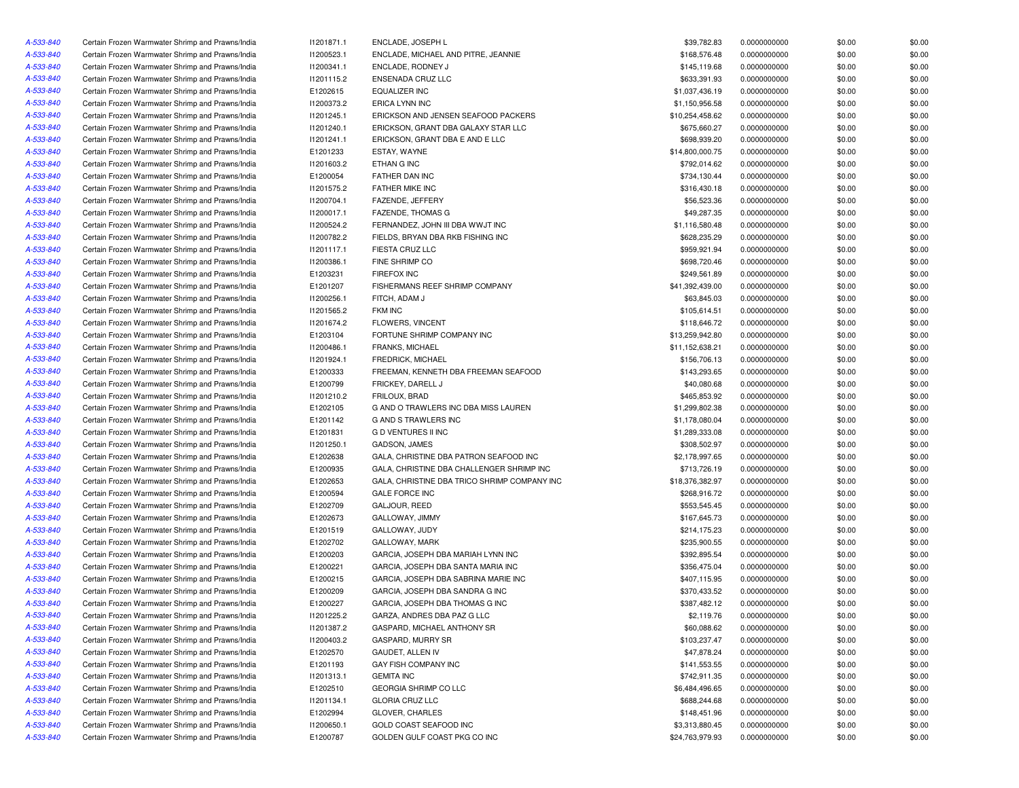| A-533-840 | Certain Frozen Warmwater Shrimp and Prawns/India | 11201871.1 | ENCLADE, JOSEPH L                            | \$39,782.83     | 0.0000000000 | \$0.00 | \$0.00 |
|-----------|--------------------------------------------------|------------|----------------------------------------------|-----------------|--------------|--------|--------|
| A-533-840 | Certain Frozen Warmwater Shrimp and Prawns/India | 11200523.1 | ENCLADE, MICHAEL AND PITRE, JEANNIE          | \$168,576.48    | 0.0000000000 | \$0.00 | \$0.00 |
| A-533-840 | Certain Frozen Warmwater Shrimp and Prawns/India | 11200341.1 | ENCLADE, RODNEY J                            | \$145,119.68    | 0.0000000000 | \$0.00 | \$0.00 |
| A-533-840 | Certain Frozen Warmwater Shrimp and Prawns/India | 11201115.2 | ENSENADA CRUZ LLC                            | \$633,391.93    | 0.0000000000 | \$0.00 | \$0.00 |
| A-533-840 | Certain Frozen Warmwater Shrimp and Prawns/India | E1202615   | <b>EQUALIZER INC</b>                         | \$1,037,436.19  | 0.0000000000 | \$0.00 | \$0.00 |
| A-533-840 | Certain Frozen Warmwater Shrimp and Prawns/India | 11200373.2 | <b>ERICA LYNN INC</b>                        | \$1,150,956.58  | 0.0000000000 | \$0.00 | \$0.00 |
| A-533-840 | Certain Frozen Warmwater Shrimp and Prawns/India | 11201245.1 | ERICKSON AND JENSEN SEAFOOD PACKERS          | \$10,254,458.62 | 0.0000000000 | \$0.00 | \$0.00 |
| A-533-840 | Certain Frozen Warmwater Shrimp and Prawns/India | 11201240.1 | ERICKSON, GRANT DBA GALAXY STAR LLC          | \$675,660.27    | 0.0000000000 | \$0.00 | \$0.00 |
| A-533-840 | Certain Frozen Warmwater Shrimp and Prawns/India | 11201241.1 | ERICKSON, GRANT DBA E AND E LLC              | \$698,939.20    | 0.0000000000 | \$0.00 | \$0.00 |
| A-533-840 | Certain Frozen Warmwater Shrimp and Prawns/India | E1201233   | ESTAY, WAYNE                                 | \$14,800,000.75 | 0.0000000000 | \$0.00 | \$0.00 |
| A-533-840 | Certain Frozen Warmwater Shrimp and Prawns/India | 11201603.2 | ETHAN G INC                                  | \$792,014.62    | 0.0000000000 | \$0.00 | \$0.00 |
| A-533-840 | Certain Frozen Warmwater Shrimp and Prawns/India | E1200054   | FATHER DAN INC                               | \$734,130.44    | 0.0000000000 | \$0.00 | \$0.00 |
| A-533-840 | Certain Frozen Warmwater Shrimp and Prawns/India | 11201575.2 | FATHER MIKE INC                              | \$316,430.18    | 0.0000000000 | \$0.00 | \$0.00 |
| A-533-840 | Certain Frozen Warmwater Shrimp and Prawns/India | 11200704.1 | FAZENDE, JEFFERY                             | \$56,523.36     | 0.0000000000 | \$0.00 | \$0.00 |
| A-533-840 | Certain Frozen Warmwater Shrimp and Prawns/India | 11200017.1 | <b>FAZENDE, THOMAS G</b>                     | \$49,287.35     | 0.0000000000 | \$0.00 | \$0.00 |
| A-533-840 | Certain Frozen Warmwater Shrimp and Prawns/India | 11200524.2 | FERNANDEZ, JOHN III DBA WWJT INC             | \$1,116,580.48  | 0.0000000000 | \$0.00 | \$0.00 |
| A-533-840 | Certain Frozen Warmwater Shrimp and Prawns/India | 11200782.2 | FIELDS, BRYAN DBA RKB FISHING INC            | \$628,235.29    | 0.0000000000 | \$0.00 | \$0.00 |
| A-533-840 | Certain Frozen Warmwater Shrimp and Prawns/India | 11201117.1 | FIESTA CRUZ LLC                              | \$959,921.94    |              | \$0.00 | \$0.00 |
|           |                                                  |            | FINE SHRIMP CO                               | \$698,720.46    | 0.0000000000 |        |        |
| A-533-840 | Certain Frozen Warmwater Shrimp and Prawns/India | 11200386.1 |                                              |                 | 0.0000000000 | \$0.00 | \$0.00 |
| A-533-840 | Certain Frozen Warmwater Shrimp and Prawns/India | E1203231   | <b>FIREFOX INC</b>                           | \$249,561.89    | 0.0000000000 | \$0.00 | \$0.00 |
| A-533-840 | Certain Frozen Warmwater Shrimp and Prawns/India | E1201207   | FISHERMANS REEF SHRIMP COMPANY               | \$41,392,439.00 | 0.0000000000 | \$0.00 | \$0.00 |
| A-533-840 | Certain Frozen Warmwater Shrimp and Prawns/India | 11200256.1 | FITCH, ADAM J                                | \$63,845.03     | 0.0000000000 | \$0.00 | \$0.00 |
| A-533-840 | Certain Frozen Warmwater Shrimp and Prawns/India | 11201565.2 | <b>FKM INC</b>                               | \$105,614.51    | 0.0000000000 | \$0.00 | \$0.00 |
| A-533-840 | Certain Frozen Warmwater Shrimp and Prawns/India | 11201674.2 | <b>FLOWERS, VINCENT</b>                      | \$118,646.72    | 0.0000000000 | \$0.00 | \$0.00 |
| A-533-840 | Certain Frozen Warmwater Shrimp and Prawns/India | E1203104   | FORTUNE SHRIMP COMPANY INC                   | \$13,259,942.80 | 0.0000000000 | \$0.00 | \$0.00 |
| A-533-840 | Certain Frozen Warmwater Shrimp and Prawns/India | 11200486.1 | FRANKS, MICHAEL                              | \$11,152,638.21 | 0.0000000000 | \$0.00 | \$0.00 |
| A-533-840 | Certain Frozen Warmwater Shrimp and Prawns/India | 11201924.1 | <b>FREDRICK, MICHAEL</b>                     | \$156,706.13    | 0.0000000000 | \$0.00 | \$0.00 |
| A-533-840 | Certain Frozen Warmwater Shrimp and Prawns/India | E1200333   | FREEMAN, KENNETH DBA FREEMAN SEAFOOD         | \$143,293.65    | 0.0000000000 | \$0.00 | \$0.00 |
| A-533-840 | Certain Frozen Warmwater Shrimp and Prawns/India | E1200799   | FRICKEY, DARELL J                            | \$40,080.68     | 0.0000000000 | \$0.00 | \$0.00 |
| A-533-840 | Certain Frozen Warmwater Shrimp and Prawns/India | 11201210.2 | FRILOUX, BRAD                                | \$465,853.92    | 0.0000000000 | \$0.00 | \$0.00 |
| A-533-840 | Certain Frozen Warmwater Shrimp and Prawns/India | E1202105   | G AND O TRAWLERS INC DBA MISS LAUREN         | \$1,299,802.38  | 0.0000000000 | \$0.00 | \$0.00 |
| A-533-840 | Certain Frozen Warmwater Shrimp and Prawns/India | E1201142   | G AND S TRAWLERS INC                         | \$1,178,080.04  | 0.0000000000 | \$0.00 | \$0.00 |
| A-533-840 | Certain Frozen Warmwater Shrimp and Prawns/India | E1201831   | G D VENTURES II INC                          | \$1,289,333.08  | 0.0000000000 | \$0.00 | \$0.00 |
| A-533-840 | Certain Frozen Warmwater Shrimp and Prawns/India | 11201250.1 | GADSON, JAMES                                | \$308,502.97    | 0.0000000000 | \$0.00 | \$0.00 |
| A-533-840 | Certain Frozen Warmwater Shrimp and Prawns/India | E1202638   | GALA, CHRISTINE DBA PATRON SEAFOOD INC       | \$2,178,997.65  | 0.0000000000 | \$0.00 | \$0.00 |
| A-533-840 | Certain Frozen Warmwater Shrimp and Prawns/India | E1200935   | GALA, CHRISTINE DBA CHALLENGER SHRIMP INC    | \$713,726.19    | 0.0000000000 | \$0.00 | \$0.00 |
| A-533-840 | Certain Frozen Warmwater Shrimp and Prawns/India | E1202653   | GALA, CHRISTINE DBA TRICO SHRIMP COMPANY INC | \$18,376,382.97 | 0.0000000000 | \$0.00 | \$0.00 |
| A-533-840 | Certain Frozen Warmwater Shrimp and Prawns/India | E1200594   | <b>GALE FORCE INC</b>                        | \$268,916.72    | 0.0000000000 | \$0.00 | \$0.00 |
| A-533-840 | Certain Frozen Warmwater Shrimp and Prawns/India | E1202709   | GALJOUR, REED                                | \$553,545.45    | 0.0000000000 | \$0.00 | \$0.00 |
| A-533-840 | Certain Frozen Warmwater Shrimp and Prawns/India | E1202673   | GALLOWAY, JIMMY                              | \$167,645.73    | 0.0000000000 | \$0.00 | \$0.00 |
| A-533-840 | Certain Frozen Warmwater Shrimp and Prawns/India | E1201519   | GALLOWAY, JUDY                               | \$214,175.23    | 0.0000000000 | \$0.00 | \$0.00 |
| A-533-840 | Certain Frozen Warmwater Shrimp and Prawns/India | E1202702   | GALLOWAY, MARK                               | \$235,900.55    | 0.0000000000 | \$0.00 | \$0.00 |
| A-533-840 | Certain Frozen Warmwater Shrimp and Prawns/India | E1200203   | GARCIA, JOSEPH DBA MARIAH LYNN INC           | \$392,895.54    | 0.0000000000 | \$0.00 | \$0.00 |
| A-533-840 | Certain Frozen Warmwater Shrimp and Prawns/India | E1200221   | GARCIA, JOSEPH DBA SANTA MARIA INC           | \$356,475.04    | 0.0000000000 | \$0.00 | \$0.00 |
| A-533-840 | Certain Frozen Warmwater Shrimp and Prawns/India | E1200215   | GARCIA, JOSEPH DBA SABRINA MARIE INC         | \$407,115.95    | 0.0000000000 | \$0.00 | \$0.00 |
| A-533-840 | Certain Frozen Warmwater Shrimp and Prawns/India | E1200209   | GARCIA, JOSEPH DBA SANDRA G INC              | \$370,433.52    | 0.0000000000 | \$0.00 | \$0.00 |
| A-533-840 | Certain Frozen Warmwater Shrimp and Prawns/India | E1200227   | GARCIA, JOSEPH DBA THOMAS G INC              | \$387,482.12    | 0.0000000000 | \$0.00 | \$0.00 |
| A-533-840 | Certain Frozen Warmwater Shrimp and Prawns/India | 11201225.2 | GARZA, ANDRES DBA PAZ G LLC                  | \$2,119.76      | 0.0000000000 | \$0.00 | \$0.00 |
|           | Certain Frozen Warmwater Shrimp and Prawns/India |            |                                              | \$60,088.62     |              |        |        |
| A-533-840 |                                                  | 11201387.2 | GASPARD, MICHAEL ANTHONY SR                  |                 | 0.0000000000 | \$0.00 | \$0.00 |
| A-533-840 | Certain Frozen Warmwater Shrimp and Prawns/India | I1200403.2 | GASPARD, MURRY SR                            | \$103,237.47    | 0.0000000000 | \$0.00 | \$0.00 |
| A-533-840 | Certain Frozen Warmwater Shrimp and Prawns/India | E1202570   | GAUDET, ALLEN IV                             | \$47,878.24     | 0.0000000000 | \$0.00 | \$0.00 |
| A-533-840 | Certain Frozen Warmwater Shrimp and Prawns/India | E1201193   | GAY FISH COMPANY INC                         | \$141,553.55    | 0.0000000000 | \$0.00 | \$0.00 |
| A-533-840 | Certain Frozen Warmwater Shrimp and Prawns/India | 11201313.1 | <b>GEMITA INC</b>                            | \$742,911.35    | 0.0000000000 | \$0.00 | \$0.00 |
| A-533-840 | Certain Frozen Warmwater Shrimp and Prawns/India | E1202510   | GEORGIA SHRIMP CO LLC                        | \$6,484,496.65  | 0.0000000000 | \$0.00 | \$0.00 |
| A-533-840 | Certain Frozen Warmwater Shrimp and Prawns/India | 11201134.1 | <b>GLORIA CRUZ LLC</b>                       | \$688,244.68    | 0.0000000000 | \$0.00 | \$0.00 |
| A-533-840 | Certain Frozen Warmwater Shrimp and Prawns/India | E1202994   | GLOVER, CHARLES                              | \$148,451.96    | 0.0000000000 | \$0.00 | \$0.00 |
| A-533-840 | Certain Frozen Warmwater Shrimp and Prawns/India | 11200650.1 | GOLD COAST SEAFOOD INC                       | \$3,313,880.45  | 0.0000000000 | \$0.00 | \$0.00 |
| A-533-840 | Certain Frozen Warmwater Shrimp and Prawns/India | E1200787   | GOLDEN GULF COAST PKG CO INC                 | \$24,763,979.93 | 0.0000000000 | \$0.00 | \$0.00 |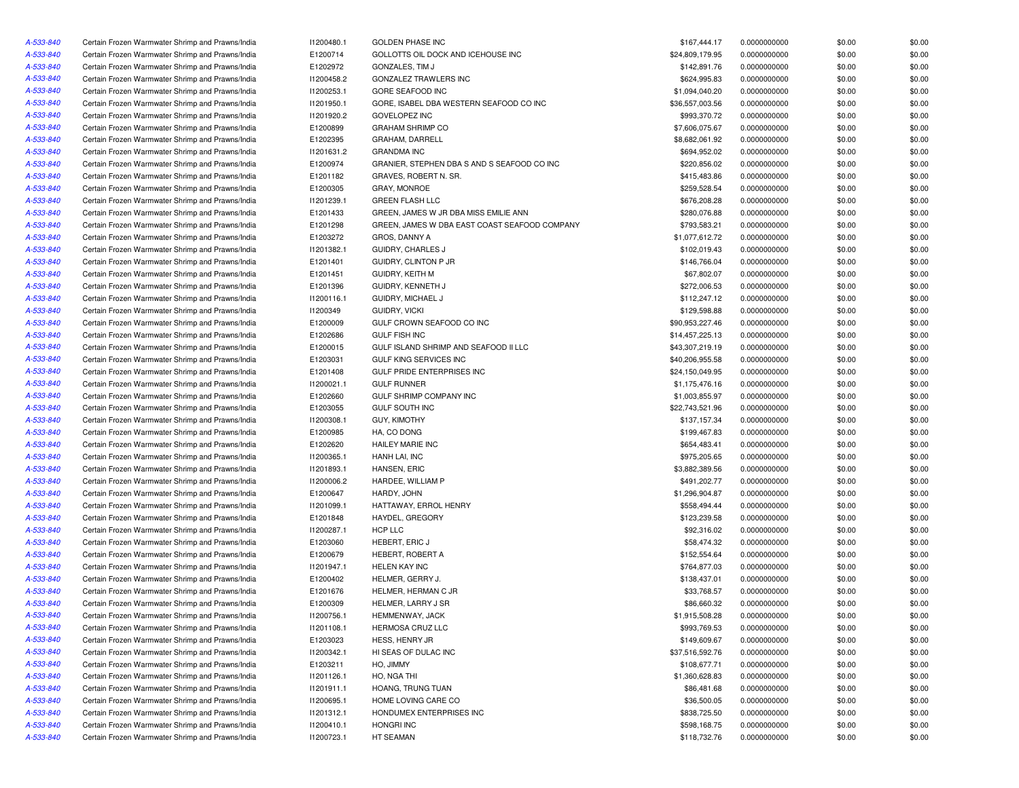| A-533-840 | Certain Frozen Warmwater Shrimp and Prawns/India | 11200480.1 | <b>GOLDEN PHASE INC</b>                       | \$167,444.17    | 0.0000000000 | \$0.00 | \$0.00 |
|-----------|--------------------------------------------------|------------|-----------------------------------------------|-----------------|--------------|--------|--------|
| A-533-840 | Certain Frozen Warmwater Shrimp and Prawns/India | E1200714   | GOLLOTTS OIL DOCK AND ICEHOUSE INC            | \$24,809,179.95 | 0.0000000000 | \$0.00 | \$0.00 |
| A-533-840 | Certain Frozen Warmwater Shrimp and Prawns/India | E1202972   | GONZALES, TIM J                               | \$142,891.76    | 0.0000000000 | \$0.00 | \$0.00 |
| A-533-840 | Certain Frozen Warmwater Shrimp and Prawns/India | 11200458.2 | GONZALEZ TRAWLERS INC                         | \$624,995.83    | 0.0000000000 | \$0.00 | \$0.00 |
| A-533-840 | Certain Frozen Warmwater Shrimp and Prawns/India | 11200253.1 | GORE SEAFOOD INC                              | \$1,094,040.20  | 0.0000000000 | \$0.00 | \$0.00 |
| A-533-840 | Certain Frozen Warmwater Shrimp and Prawns/India | 11201950.1 | GORE, ISABEL DBA WESTERN SEAFOOD CO INC       | \$36,557,003.56 | 0.0000000000 | \$0.00 | \$0.00 |
| A-533-840 | Certain Frozen Warmwater Shrimp and Prawns/India | 11201920.2 | <b>GOVELOPEZ INC</b>                          | \$993,370.72    | 0.0000000000 | \$0.00 | \$0.00 |
| A-533-840 | Certain Frozen Warmwater Shrimp and Prawns/India | E1200899   | <b>GRAHAM SHRIMP CO</b>                       | \$7,606,075.67  | 0.0000000000 | \$0.00 | \$0.00 |
| A-533-840 | Certain Frozen Warmwater Shrimp and Prawns/India | E1202395   | GRAHAM, DARRELL                               | \$8,682,061.92  | 0.0000000000 | \$0.00 | \$0.00 |
| A-533-840 | Certain Frozen Warmwater Shrimp and Prawns/India | 11201631.2 | <b>GRANDMA INC</b>                            | \$694,952.02    | 0.0000000000 | \$0.00 | \$0.00 |
| A-533-840 | Certain Frozen Warmwater Shrimp and Prawns/India | E1200974   | GRANIER, STEPHEN DBA S AND S SEAFOOD CO INC   | \$220,856.02    | 0.0000000000 | \$0.00 | \$0.00 |
| A-533-840 | Certain Frozen Warmwater Shrimp and Prawns/India | E1201182   | GRAVES, ROBERT N. SR.                         | \$415,483.86    | 0.0000000000 | \$0.00 | \$0.00 |
| A-533-840 | Certain Frozen Warmwater Shrimp and Prawns/India | E1200305   | <b>GRAY, MONROE</b>                           | \$259,528.54    | 0.0000000000 | \$0.00 | \$0.00 |
| A-533-840 | Certain Frozen Warmwater Shrimp and Prawns/India | 11201239.1 | <b>GREEN FLASH LLC</b>                        | \$676,208.28    | 0.0000000000 | \$0.00 | \$0.00 |
| A-533-840 | Certain Frozen Warmwater Shrimp and Prawns/India | E1201433   | GREEN, JAMES W JR DBA MISS EMILIE ANN         | \$280,076.88    | 0.0000000000 | \$0.00 | \$0.00 |
| A-533-840 | Certain Frozen Warmwater Shrimp and Prawns/India | E1201298   | GREEN, JAMES W DBA EAST COAST SEAFOOD COMPANY | \$793,583.21    |              | \$0.00 | \$0.00 |
|           | Certain Frozen Warmwater Shrimp and Prawns/India |            |                                               |                 | 0.0000000000 |        |        |
| A-533-840 |                                                  | E1203272   | GROS, DANNY A                                 | \$1,077,612.72  | 0.0000000000 | \$0.00 | \$0.00 |
| A-533-840 | Certain Frozen Warmwater Shrimp and Prawns/India | 11201382.1 | GUIDRY, CHARLES J                             | \$102,019.43    | 0.0000000000 | \$0.00 | \$0.00 |
| A-533-840 | Certain Frozen Warmwater Shrimp and Prawns/India | E1201401   | GUIDRY, CLINTON P JR                          | \$146,766.04    | 0.0000000000 | \$0.00 | \$0.00 |
| A-533-840 | Certain Frozen Warmwater Shrimp and Prawns/India | E1201451   | GUIDRY, KEITH M                               | \$67,802.07     | 0.0000000000 | \$0.00 | \$0.00 |
| A-533-840 | Certain Frozen Warmwater Shrimp and Prawns/India | E1201396   | GUIDRY, KENNETH J                             | \$272,006.53    | 0.0000000000 | \$0.00 | \$0.00 |
| A-533-840 | Certain Frozen Warmwater Shrimp and Prawns/India | 11200116.1 | GUIDRY, MICHAEL J                             | \$112,247.12    | 0.0000000000 | \$0.00 | \$0.00 |
| A-533-840 | Certain Frozen Warmwater Shrimp and Prawns/India | 11200349   | <b>GUIDRY, VICKI</b>                          | \$129,598.88    | 0.0000000000 | \$0.00 | \$0.00 |
| A-533-840 | Certain Frozen Warmwater Shrimp and Prawns/India | E1200009   | GULF CROWN SEAFOOD CO INC                     | \$90,953,227.46 | 0.0000000000 | \$0.00 | \$0.00 |
| A-533-840 | Certain Frozen Warmwater Shrimp and Prawns/India | E1202686   | <b>GULF FISH INC</b>                          | \$14,457,225.13 | 0.0000000000 | \$0.00 | \$0.00 |
| A-533-840 | Certain Frozen Warmwater Shrimp and Prawns/India | E1200015   | GULF ISLAND SHRIMP AND SEAFOOD II LLC         | \$43,307,219.19 | 0.0000000000 | \$0.00 | \$0.00 |
| A-533-840 | Certain Frozen Warmwater Shrimp and Prawns/India | E1203031   | <b>GULF KING SERVICES INC</b>                 | \$40,206,955.58 | 0.0000000000 | \$0.00 | \$0.00 |
| A-533-840 | Certain Frozen Warmwater Shrimp and Prawns/India | E1201408   | GULF PRIDE ENTERPRISES INC                    | \$24,150,049.95 | 0.0000000000 | \$0.00 | \$0.00 |
| A-533-840 | Certain Frozen Warmwater Shrimp and Prawns/India | 11200021.1 | <b>GULF RUNNER</b>                            | \$1,175,476.16  | 0.0000000000 | \$0.00 | \$0.00 |
| A-533-840 | Certain Frozen Warmwater Shrimp and Prawns/India | E1202660   | GULF SHRIMP COMPANY INC                       | \$1,003,855.97  | 0.0000000000 | \$0.00 | \$0.00 |
| A-533-840 | Certain Frozen Warmwater Shrimp and Prawns/India | E1203055   | <b>GULF SOUTH INC</b>                         | \$22,743,521.96 | 0.0000000000 | \$0.00 | \$0.00 |
| A-533-840 | Certain Frozen Warmwater Shrimp and Prawns/India | 11200308.1 | <b>GUY, KIMOTHY</b>                           | \$137,157.34    | 0.0000000000 | \$0.00 | \$0.00 |
| A-533-840 | Certain Frozen Warmwater Shrimp and Prawns/India | E1200985   | HA, CO DONG                                   | \$199,467.83    | 0.0000000000 | \$0.00 | \$0.00 |
| A-533-840 | Certain Frozen Warmwater Shrimp and Prawns/India | E1202620   | <b>HAILEY MARIE INC</b>                       | \$654,483.41    | 0.0000000000 | \$0.00 | \$0.00 |
| A-533-840 | Certain Frozen Warmwater Shrimp and Prawns/India | I1200365.1 | HANH LAI, INC                                 | \$975,205.65    | 0.0000000000 | \$0.00 | \$0.00 |
| A-533-840 | Certain Frozen Warmwater Shrimp and Prawns/India | 11201893.1 | HANSEN, ERIC                                  | \$3,882,389.56  | 0.0000000000 | \$0.00 | \$0.00 |
| A-533-840 | Certain Frozen Warmwater Shrimp and Prawns/India | I1200006.2 | HARDEE, WILLIAM P                             | \$491,202.77    | 0.0000000000 | \$0.00 | \$0.00 |
| A-533-840 | Certain Frozen Warmwater Shrimp and Prawns/India | E1200647   | HARDY, JOHN                                   | \$1,296,904.87  | 0.0000000000 | \$0.00 | \$0.00 |
| A-533-840 | Certain Frozen Warmwater Shrimp and Prawns/India | 11201099.1 | HATTAWAY, ERROL HENRY                         | \$558,494.44    | 0.0000000000 | \$0.00 | \$0.00 |
| A-533-840 | Certain Frozen Warmwater Shrimp and Prawns/India | E1201848   | HAYDEL, GREGORY                               | \$123,239.58    | 0.0000000000 | \$0.00 | \$0.00 |
| A-533-840 | Certain Frozen Warmwater Shrimp and Prawns/India | I1200287.1 | HCP LLC                                       | \$92,316.02     | 0.0000000000 | \$0.00 | \$0.00 |
| A-533-840 | Certain Frozen Warmwater Shrimp and Prawns/India | E1203060   | <b>HEBERT, ERIC J</b>                         | \$58,474.32     | 0.0000000000 | \$0.00 | \$0.00 |
| A-533-840 | Certain Frozen Warmwater Shrimp and Prawns/India | E1200679   | HEBERT, ROBERT A                              | \$152,554.64    | 0.0000000000 | \$0.00 | \$0.00 |
| A-533-840 | Certain Frozen Warmwater Shrimp and Prawns/India | 11201947.1 | <b>HELEN KAY INC</b>                          | \$764,877.03    | 0.0000000000 | \$0.00 | \$0.00 |
| A-533-840 |                                                  |            | HELMER, GERRY J.                              | \$138,437.01    |              |        | \$0.00 |
|           | Certain Frozen Warmwater Shrimp and Prawns/India | E1200402   |                                               |                 | 0.0000000000 | \$0.00 |        |
| A-533-840 | Certain Frozen Warmwater Shrimp and Prawns/India | E1201676   | HELMER, HERMAN C JR                           | \$33,768.57     | 0.0000000000 | \$0.00 | \$0.00 |
| A-533-840 | Certain Frozen Warmwater Shrimp and Prawns/India | E1200309   | HELMER, LARRY J SR                            | \$86,660.32     | 0.0000000000 | \$0.00 | \$0.00 |
| A-533-840 | Certain Frozen Warmwater Shrimp and Prawns/India | 11200756.1 | HEMMENWAY, JACK                               | \$1,915,508.28  | 0.0000000000 | \$0.00 | \$0.00 |
| A-533-840 | Certain Frozen Warmwater Shrimp and Prawns/India | 11201108.1 | HERMOSA CRUZ LLC                              | \$993,769.53    | 0.0000000000 | \$0.00 | \$0.00 |
| A-533-840 | Certain Frozen Warmwater Shrimp and Prawns/India | E1203023   | HESS, HENRY JR                                | \$149,609.67    | 0.0000000000 | \$0.00 | \$0.00 |
| A-533-840 | Certain Frozen Warmwater Shrimp and Prawns/India | 11200342.1 | HI SEAS OF DULAC INC                          | \$37,516,592.76 | 0.0000000000 | \$0.00 | \$0.00 |
| A-533-840 | Certain Frozen Warmwater Shrimp and Prawns/India | E1203211   | HO, JIMMY                                     | \$108,677.71    | 0.0000000000 | \$0.00 | \$0.00 |
| A-533-840 | Certain Frozen Warmwater Shrimp and Prawns/India | 11201126.1 | HO, NGA THI                                   | \$1,360,628.83  | 0.0000000000 | \$0.00 | \$0.00 |
| A-533-840 | Certain Frozen Warmwater Shrimp and Prawns/India | 11201911.1 | HOANG, TRUNG TUAN                             | \$86,481.68     | 0.0000000000 | \$0.00 | \$0.00 |
| A-533-840 | Certain Frozen Warmwater Shrimp and Prawns/India | 11200695.1 | HOME LOVING CARE CO                           | \$36,500.05     | 0.0000000000 | \$0.00 | \$0.00 |
| A-533-840 | Certain Frozen Warmwater Shrimp and Prawns/India | 11201312.1 | HONDUMEX ENTERPRISES INC                      | \$838,725.50    | 0.0000000000 | \$0.00 | \$0.00 |
| A-533-840 | Certain Frozen Warmwater Shrimp and Prawns/India | 11200410.1 | <b>HONGRI INC</b>                             | \$598,168.75    | 0.0000000000 | \$0.00 | \$0.00 |
| A-533-840 | Certain Frozen Warmwater Shrimp and Prawns/India | 11200723.1 | HT SEAMAN                                     | \$118,732.76    | 0.0000000000 | \$0.00 | \$0.00 |
|           |                                                  |            |                                               |                 |              |        |        |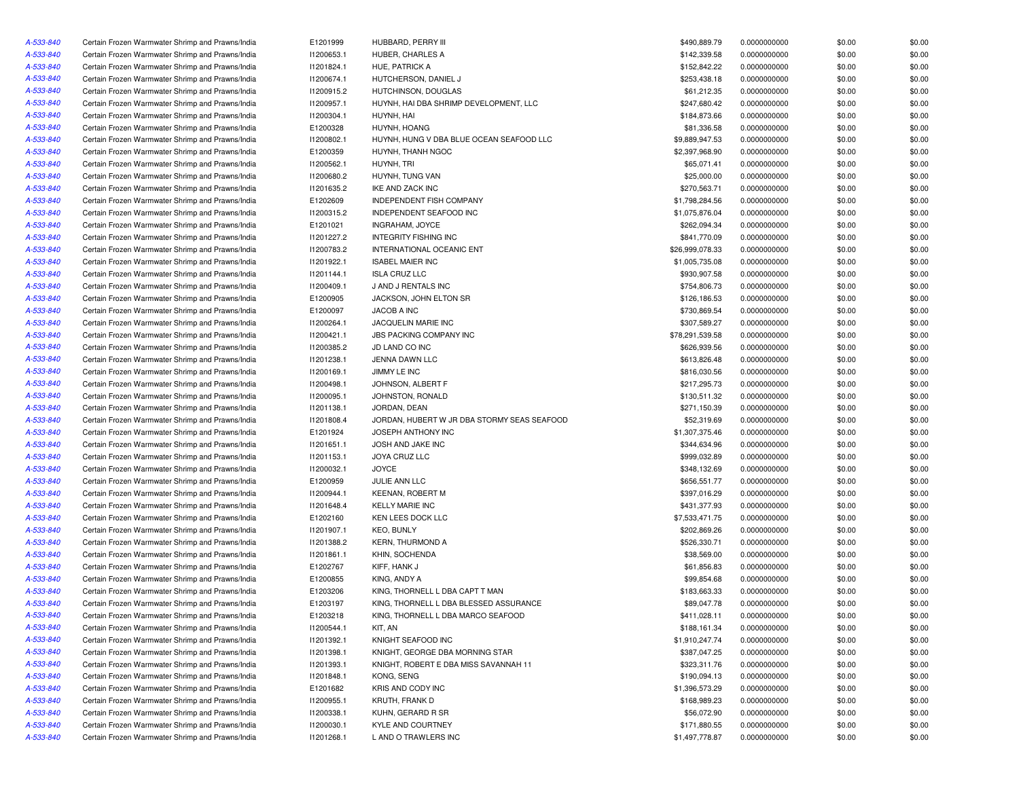| A-533-840 | Certain Frozen Warmwater Shrimp and Prawns/India | E1201999   | HUBBARD, PERRY III                          | \$490,889.79    | 0.0000000000 | \$0.00 | \$0.00 |
|-----------|--------------------------------------------------|------------|---------------------------------------------|-----------------|--------------|--------|--------|
| A-533-840 | Certain Frozen Warmwater Shrimp and Prawns/India | I1200653.1 | HUBER, CHARLES A                            | \$142,339.58    | 0.0000000000 | \$0.00 | \$0.00 |
| A-533-840 | Certain Frozen Warmwater Shrimp and Prawns/India | 11201824.1 | HUE, PATRICK A                              | \$152,842.22    | 0.0000000000 | \$0.00 | \$0.00 |
| A-533-840 | Certain Frozen Warmwater Shrimp and Prawns/India | 11200674.1 | HUTCHERSON, DANIEL J                        | \$253,438.18    | 0.0000000000 | \$0.00 | \$0.00 |
| A-533-840 | Certain Frozen Warmwater Shrimp and Prawns/India | 11200915.2 | HUTCHINSON, DOUGLAS                         | \$61,212.35     | 0.0000000000 | \$0.00 | \$0.00 |
| A-533-840 | Certain Frozen Warmwater Shrimp and Prawns/India | I1200957.1 | HUYNH, HAI DBA SHRIMP DEVELOPMENT, LLC      | \$247,680.42    | 0.0000000000 | \$0.00 | \$0.00 |
| A-533-840 | Certain Frozen Warmwater Shrimp and Prawns/India | 11200304.1 | HUYNH, HAI                                  | \$184,873.66    | 0.0000000000 | \$0.00 | \$0.00 |
| A-533-840 | Certain Frozen Warmwater Shrimp and Prawns/India | E1200328   | HUYNH, HOANG                                | \$81,336.58     | 0.0000000000 | \$0.00 | \$0.00 |
| A-533-840 | Certain Frozen Warmwater Shrimp and Prawns/India | I1200802.1 | HUYNH, HUNG V DBA BLUE OCEAN SEAFOOD LLC    | \$9,889,947.53  | 0.0000000000 | \$0.00 | \$0.00 |
| A-533-840 | Certain Frozen Warmwater Shrimp and Prawns/India | E1200359   | HUYNH, THANH NGOC                           | \$2,397,968.90  | 0.0000000000 | \$0.00 | \$0.00 |
| A-533-840 | Certain Frozen Warmwater Shrimp and Prawns/India | 11200562.1 | HUYNH, TRI                                  | \$65,071.41     | 0.0000000000 | \$0.00 | \$0.00 |
| A-533-840 | Certain Frozen Warmwater Shrimp and Prawns/India | 11200680.2 | HUYNH, TUNG VAN                             | \$25,000.00     | 0.0000000000 | \$0.00 | \$0.00 |
| A-533-840 | Certain Frozen Warmwater Shrimp and Prawns/India | 11201635.2 | IKE AND ZACK INC                            | \$270,563.71    | 0.0000000000 | \$0.00 | \$0.00 |
| A-533-840 | Certain Frozen Warmwater Shrimp and Prawns/India | E1202609   | <b>INDEPENDENT FISH COMPANY</b>             | \$1,798,284.56  | 0.0000000000 | \$0.00 | \$0.00 |
| A-533-840 | Certain Frozen Warmwater Shrimp and Prawns/India | 11200315.2 | <b>INDEPENDENT SEAFOOD INC</b>              | \$1,075,876.04  | 0.0000000000 | \$0.00 | \$0.00 |
| A-533-840 | Certain Frozen Warmwater Shrimp and Prawns/India | E1201021   | INGRAHAM, JOYCE                             | \$262,094.34    | 0.0000000000 | \$0.00 | \$0.00 |
| A-533-840 | Certain Frozen Warmwater Shrimp and Prawns/India | 11201227.2 | INTEGRITY FISHING INC                       | \$841,770.09    | 0.0000000000 | \$0.00 | \$0.00 |
| A-533-840 | Certain Frozen Warmwater Shrimp and Prawns/India | 11200783.2 | INTERNATIONAL OCEANIC ENT                   | \$26,999,078.33 | 0.0000000000 | \$0.00 | \$0.00 |
| A-533-840 | Certain Frozen Warmwater Shrimp and Prawns/India | 11201922.1 | <b>ISABEL MAIER INC</b>                     | \$1,005,735.08  | 0.0000000000 | \$0.00 | \$0.00 |
| A-533-840 | Certain Frozen Warmwater Shrimp and Prawns/India | 11201144.1 | <b>ISLA CRUZ LLC</b>                        | \$930,907.58    | 0.0000000000 | \$0.00 | \$0.00 |
| A-533-840 | Certain Frozen Warmwater Shrimp and Prawns/India | I1200409.1 | J AND J RENTALS INC                         | \$754,806.73    | 0.0000000000 | \$0.00 | \$0.00 |
| A-533-840 | Certain Frozen Warmwater Shrimp and Prawns/India | E1200905   | JACKSON, JOHN ELTON SR                      | \$126,186.53    | 0.0000000000 | \$0.00 | \$0.00 |
|           |                                                  |            | JACOB A INC                                 |                 |              |        |        |
| A-533-840 | Certain Frozen Warmwater Shrimp and Prawns/India | E1200097   |                                             | \$730,869.54    | 0.0000000000 | \$0.00 | \$0.00 |
| A-533-840 | Certain Frozen Warmwater Shrimp and Prawns/India | 11200264.1 | JACQUELIN MARIE INC                         | \$307,589.27    | 0.0000000000 | \$0.00 | \$0.00 |
| A-533-840 | Certain Frozen Warmwater Shrimp and Prawns/India | 11200421.1 | <b>JBS PACKING COMPANY INC</b>              | \$78,291,539.58 | 0.0000000000 | \$0.00 | \$0.00 |
| A-533-840 | Certain Frozen Warmwater Shrimp and Prawns/India | 11200385.2 | JD LAND CO INC                              | \$626,939.56    | 0.0000000000 | \$0.00 | \$0.00 |
| A-533-840 | Certain Frozen Warmwater Shrimp and Prawns/India | 11201238.1 | <b>JENNA DAWN LLC</b>                       | \$613,826.48    | 0.0000000000 | \$0.00 | \$0.00 |
| A-533-840 | Certain Frozen Warmwater Shrimp and Prawns/India | 11200169.1 | JIMMY LE INC                                | \$816,030.56    | 0.0000000000 | \$0.00 | \$0.00 |
| A-533-840 | Certain Frozen Warmwater Shrimp and Prawns/India | 11200498.1 | JOHNSON, ALBERT F                           | \$217,295.73    | 0.0000000000 | \$0.00 | \$0.00 |
| A-533-840 | Certain Frozen Warmwater Shrimp and Prawns/India | 11200095.1 | JOHNSTON, RONALD                            | \$130,511.32    | 0.0000000000 | \$0.00 | \$0.00 |
| A-533-840 | Certain Frozen Warmwater Shrimp and Prawns/India | 11201138.1 | JORDAN, DEAN                                | \$271,150.39    | 0.0000000000 | \$0.00 | \$0.00 |
| A-533-840 | Certain Frozen Warmwater Shrimp and Prawns/India | 11201808.4 | JORDAN, HUBERT W JR DBA STORMY SEAS SEAFOOD | \$52,319.69     | 0.0000000000 | \$0.00 | \$0.00 |
| A-533-840 | Certain Frozen Warmwater Shrimp and Prawns/India | E1201924   | JOSEPH ANTHONY INC                          | \$1,307,375.46  | 0.0000000000 | \$0.00 | \$0.00 |
| A-533-840 | Certain Frozen Warmwater Shrimp and Prawns/India | 11201651.1 | JOSH AND JAKE INC                           | \$344,634.96    | 0.0000000000 | \$0.00 | \$0.00 |
| A-533-840 | Certain Frozen Warmwater Shrimp and Prawns/India | 11201153.1 | <b>JOYA CRUZ LLC</b>                        | \$999,032.89    | 0.0000000000 | \$0.00 | \$0.00 |
| A-533-840 | Certain Frozen Warmwater Shrimp and Prawns/India | 11200032.1 | <b>JOYCE</b>                                | \$348,132.69    | 0.0000000000 | \$0.00 | \$0.00 |
| A-533-840 | Certain Frozen Warmwater Shrimp and Prawns/India | E1200959   | JULIE ANN LLC                               | \$656,551.77    | 0.0000000000 | \$0.00 | \$0.00 |
| A-533-840 | Certain Frozen Warmwater Shrimp and Prawns/India | 11200944.1 | <b>KEENAN, ROBERT M</b>                     | \$397,016.29    | 0.0000000000 | \$0.00 | \$0.00 |
| A-533-840 | Certain Frozen Warmwater Shrimp and Prawns/India | 11201648.4 | <b>KELLY MARIE INC</b>                      | \$431,377.93    | 0.0000000000 | \$0.00 | \$0.00 |
| A-533-840 | Certain Frozen Warmwater Shrimp and Prawns/India | E1202160   | KEN LEES DOCK LLC                           | \$7,533,471.75  | 0.0000000000 | \$0.00 | \$0.00 |
| A-533-840 | Certain Frozen Warmwater Shrimp and Prawns/India | 11201907.1 | <b>KEO, BUNLY</b>                           | \$202,869.26    | 0.0000000000 | \$0.00 | \$0.00 |
| A-533-840 | Certain Frozen Warmwater Shrimp and Prawns/India | 11201388.2 | <b>KERN, THURMOND A</b>                     | \$526,330.71    | 0.0000000000 | \$0.00 | \$0.00 |
| A-533-840 | Certain Frozen Warmwater Shrimp and Prawns/India | 11201861.1 | KHIN, SOCHENDA                              | \$38,569.00     | 0.0000000000 | \$0.00 | \$0.00 |
| A-533-840 | Certain Frozen Warmwater Shrimp and Prawns/India | E1202767   | KIFF, HANK J                                | \$61,856.83     | 0.0000000000 | \$0.00 | \$0.00 |
| A-533-840 | Certain Frozen Warmwater Shrimp and Prawns/India | E1200855   | KING, ANDY A                                | \$99,854.68     | 0.0000000000 | \$0.00 | \$0.00 |
| A-533-840 | Certain Frozen Warmwater Shrimp and Prawns/India | E1203206   | KING, THORNELL L DBA CAPT T MAN             | \$183,663.33    | 0.0000000000 | \$0.00 | \$0.00 |
| A-533-840 | Certain Frozen Warmwater Shrimp and Prawns/India | E1203197   | KING. THORNELL L DBA BLESSED ASSURANCE      | \$89,047.78     | 0.0000000000 | \$0.00 | \$0.00 |
| A-533-840 | Certain Frozen Warmwater Shrimp and Prawns/India | E1203218   | KING, THORNELL L DBA MARCO SEAFOOD          | \$411,028.11    | 0.0000000000 | \$0.00 | \$0.00 |
| A-533-840 | Certain Frozen Warmwater Shrimp and Prawns/India | 11200544.1 | KIT, AN                                     | \$188,161.34    | 0.0000000000 | \$0.00 | \$0.00 |
| A-533-840 | Certain Frozen Warmwater Shrimp and Prawns/India | 11201392.1 | KNIGHT SEAFOOD INC                          | \$1,910,247.74  | 0.0000000000 | \$0.00 | \$0.00 |
| A-533-840 | Certain Frozen Warmwater Shrimp and Prawns/India | 11201398.1 | KNIGHT, GEORGE DBA MORNING STAR             | \$387,047.25    | 0.0000000000 | \$0.00 | \$0.00 |
| A-533-840 | Certain Frozen Warmwater Shrimp and Prawns/India | 11201393.1 | KNIGHT, ROBERT E DBA MISS SAVANNAH 11       | \$323,311.76    | 0.0000000000 | \$0.00 | \$0.00 |
| A-533-840 | Certain Frozen Warmwater Shrimp and Prawns/India | 11201848.1 | KONG, SENG                                  | \$190,094.13    | 0.0000000000 | \$0.00 | \$0.00 |
| A-533-840 | Certain Frozen Warmwater Shrimp and Prawns/India | E1201682   | KRIS AND CODY INC                           | \$1,396,573.29  | 0.0000000000 | \$0.00 | \$0.00 |
| A-533-840 | Certain Frozen Warmwater Shrimp and Prawns/India | I1200955.1 | KRUTH, FRANK D                              | \$168,989.23    | 0.0000000000 | \$0.00 | \$0.00 |
| A-533-840 | Certain Frozen Warmwater Shrimp and Prawns/India | 11200338.1 | KUHN, GERARD R SR                           | \$56,072.90     | 0.0000000000 | \$0.00 | \$0.00 |
| A-533-840 | Certain Frozen Warmwater Shrimp and Prawns/India | 11200030.1 | KYLE AND COURTNEY                           | \$171,880.55    | 0.0000000000 | \$0.00 | \$0.00 |
| A-533-840 | Certain Frozen Warmwater Shrimp and Prawns/India | 11201268.1 | L AND O TRAWLERS INC                        | \$1,497,778.87  | 0.0000000000 | \$0.00 | \$0.00 |
|           |                                                  |            |                                             |                 |              |        |        |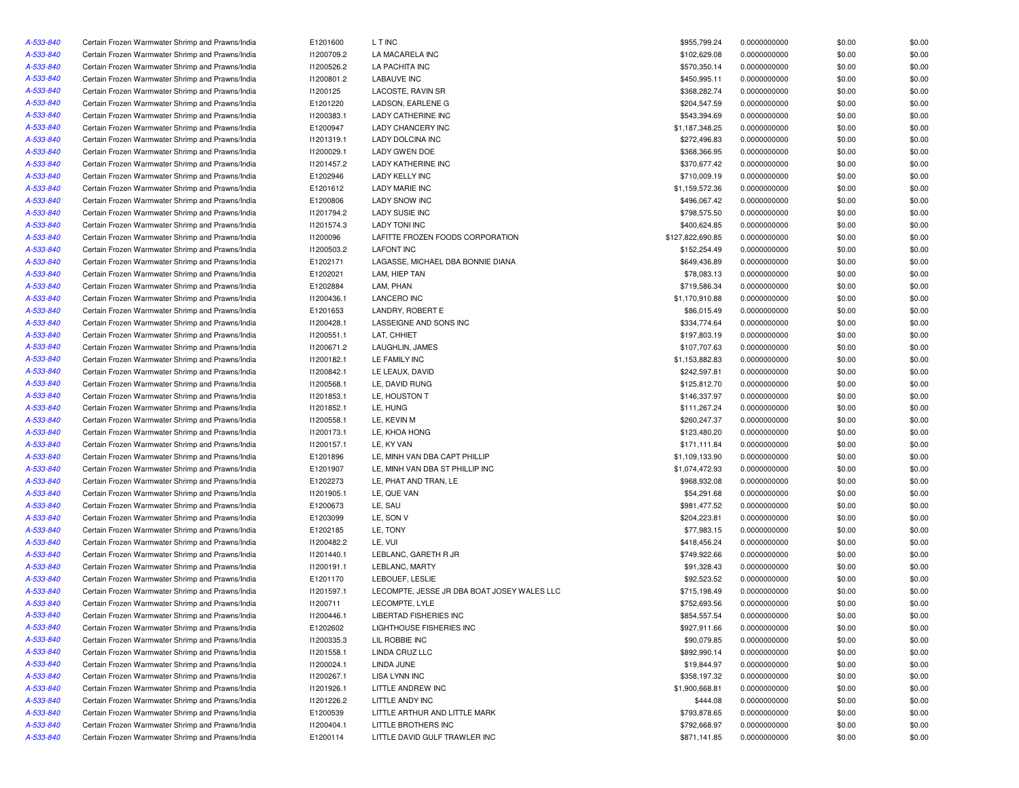| A-533-840              | Certain Frozen Warmwater Shrimp and Prawns/India | E1201600   | L T INC                                     | \$955,799.24     | 0.0000000000 | \$0.00 | \$0.00           |
|------------------------|--------------------------------------------------|------------|---------------------------------------------|------------------|--------------|--------|------------------|
| A-533-840              | Certain Frozen Warmwater Shrimp and Prawns/India | 11200709.2 | LA MACARELA INC                             | \$102,629.08     | 0.0000000000 | \$0.00 | \$0.00           |
| A-533-840              | Certain Frozen Warmwater Shrimp and Prawns/India | 11200526.2 | LA PACHITA INC                              | \$570,350.14     | 0.0000000000 | \$0.00 | \$0.00           |
| A-533-840              | Certain Frozen Warmwater Shrimp and Prawns/India | 11200801.2 | <b>LABAUVE INC</b>                          | \$450,995.11     | 0.0000000000 | \$0.00 | \$0.00           |
| A-533-840              | Certain Frozen Warmwater Shrimp and Prawns/India | 11200125   | LACOSTE, RAVIN SR                           | \$368,282.74     | 0.0000000000 | \$0.00 | \$0.00           |
| A-533-840              | Certain Frozen Warmwater Shrimp and Prawns/India | E1201220   | LADSON, EARLENE G                           | \$204,547.59     | 0.0000000000 | \$0.00 | \$0.00           |
| A-533-840              | Certain Frozen Warmwater Shrimp and Prawns/India | 11200383.1 | <b>LADY CATHERINE INC</b>                   | \$543,394.69     | 0.0000000000 | \$0.00 | \$0.00           |
| A-533-840              | Certain Frozen Warmwater Shrimp and Prawns/India | E1200947   | <b>LADY CHANCERY INC</b>                    | \$1,187,348.25   | 0.0000000000 | \$0.00 | \$0.00           |
| A-533-840              | Certain Frozen Warmwater Shrimp and Prawns/India | 11201319.1 | LADY DOLCINA INC                            | \$272,496.83     | 0.0000000000 | \$0.00 | \$0.00           |
| A-533-840              | Certain Frozen Warmwater Shrimp and Prawns/India | I1200029.1 | <b>LADY GWEN DOE</b>                        | \$368,366.95     | 0.0000000000 | \$0.00 | \$0.00           |
| A-533-840              | Certain Frozen Warmwater Shrimp and Prawns/India | 11201457.2 | <b>LADY KATHERINE INC</b>                   | \$370,677.42     | 0.0000000000 | \$0.00 | \$0.00           |
| A-533-840              | Certain Frozen Warmwater Shrimp and Prawns/India | E1202946   | LADY KELLY INC                              | \$710,009.19     | 0.0000000000 | \$0.00 | \$0.00           |
| A-533-840              | Certain Frozen Warmwater Shrimp and Prawns/India | E1201612   | <b>LADY MARIE INC</b>                       | \$1,159,572.36   | 0.0000000000 | \$0.00 | \$0.00           |
| A-533-840              | Certain Frozen Warmwater Shrimp and Prawns/India | E1200806   | <b>LADY SNOW INC</b>                        | \$496,067.42     | 0.0000000000 | \$0.00 | \$0.00           |
| A-533-840              | Certain Frozen Warmwater Shrimp and Prawns/India | 11201794.2 | LADY SUSIE INC                              | \$798,575.50     | 0.0000000000 | \$0.00 | \$0.00           |
| A-533-840              | Certain Frozen Warmwater Shrimp and Prawns/India | 11201574.3 | <b>LADY TONI INC</b>                        | \$400,624.85     | 0.0000000000 | \$0.00 | \$0.00           |
| A-533-840              | Certain Frozen Warmwater Shrimp and Prawns/India | 11200096   | LAFITTE FROZEN FOODS CORPORATION            | \$127,822,690.85 | 0.0000000000 | \$0.00 | \$0.00           |
| A-533-840              | Certain Frozen Warmwater Shrimp and Prawns/India | 11200503.2 | <b>LAFONT INC</b>                           | \$152,254.49     | 0.0000000000 | \$0.00 | \$0.00           |
| A-533-840              | Certain Frozen Warmwater Shrimp and Prawns/India | E1202171   | LAGASSE, MICHAEL DBA BONNIE DIANA           | \$649,436.89     | 0.0000000000 | \$0.00 | \$0.00           |
| A-533-840              | Certain Frozen Warmwater Shrimp and Prawns/India | E1202021   | LAM. HIEP TAN                               | \$78,083.13      | 0.0000000000 | \$0.00 | \$0.00           |
| A-533-840              | Certain Frozen Warmwater Shrimp and Prawns/India | E1202884   | LAM, PHAN                                   | \$719,586.34     | 0.0000000000 | \$0.00 | \$0.00           |
| A-533-840              | Certain Frozen Warmwater Shrimp and Prawns/India | 11200436.1 | <b>LANCERO INC</b>                          | \$1,170,910.88   | 0.0000000000 | \$0.00 | \$0.00           |
| A-533-840              | Certain Frozen Warmwater Shrimp and Prawns/India | E1201653   | LANDRY, ROBERT E                            | \$86,015.49      | 0.0000000000 | \$0.00 | \$0.00           |
| A-533-840              | Certain Frozen Warmwater Shrimp and Prawns/India | I1200428.1 | LASSEIGNE AND SONS INC                      | \$334,774.64     | 0.0000000000 | \$0.00 | \$0.00           |
| A-533-840              | Certain Frozen Warmwater Shrimp and Prawns/India | 11200551.1 | LAT. CHHIET                                 | \$197,803.19     | 0.0000000000 | \$0.00 | \$0.00           |
| A-533-840              | Certain Frozen Warmwater Shrimp and Prawns/India | 11200671.2 | LAUGHLIN, JAMES                             | \$107,707.63     | 0.0000000000 | \$0.00 | \$0.00           |
| A-533-840              | Certain Frozen Warmwater Shrimp and Prawns/India | 11200182.1 | LE FAMILY INC                               | \$1,153,882.83   | 0.0000000000 | \$0.00 | \$0.00           |
| A-533-840              | Certain Frozen Warmwater Shrimp and Prawns/India | 11200842.1 | LE LEAUX, DAVID                             | \$242,597.81     | 0.0000000000 | \$0.00 | \$0.00           |
| A-533-840              | Certain Frozen Warmwater Shrimp and Prawns/India | 11200568.1 | LE, DAVID RUNG                              | \$125,812.70     | 0.0000000000 | \$0.00 | \$0.00           |
| A-533-840              | Certain Frozen Warmwater Shrimp and Prawns/India | 11201853.1 | LE, HOUSTON T                               | \$146,337.97     | 0.0000000000 | \$0.00 | \$0.00           |
| A-533-840              | Certain Frozen Warmwater Shrimp and Prawns/India | 11201852.1 | LE, HUNG                                    | \$111,267.24     | 0.0000000000 | \$0.00 | \$0.00           |
| A-533-840              | Certain Frozen Warmwater Shrimp and Prawns/India | 11200558.1 | LE, KEVIN M                                 | \$260,247.37     | 0.0000000000 | \$0.00 | \$0.00           |
| A-533-840              | Certain Frozen Warmwater Shrimp and Prawns/India | 11200173.1 | LE, KHOA HONG                               | \$123,480.20     | 0.0000000000 | \$0.00 | \$0.00           |
| A-533-840              | Certain Frozen Warmwater Shrimp and Prawns/India | 11200157.1 | LE, KY VAN                                  | \$171,111.84     | 0.0000000000 | \$0.00 | \$0.00           |
| A-533-840              | Certain Frozen Warmwater Shrimp and Prawns/India | E1201896   | LE, MINH VAN DBA CAPT PHILLIP               | \$1,109,133.90   | 0.0000000000 | \$0.00 | \$0.00           |
|                        | Certain Frozen Warmwater Shrimp and Prawns/India | E1201907   | LE, MINH VAN DBA ST PHILLIP INC             |                  | 0.0000000000 | \$0.00 | \$0.00           |
| A-533-840<br>A-533-840 |                                                  | E1202273   | LE, PHAT AND TRAN, LE                       | \$1,074,472.93   |              |        | \$0.00           |
| A-533-840              | Certain Frozen Warmwater Shrimp and Prawns/India |            | LE, QUE VAN                                 | \$968,932.08     | 0.0000000000 | \$0.00 |                  |
|                        | Certain Frozen Warmwater Shrimp and Prawns/India | 11201905.1 | LE, SAU                                     | \$54,291.68      | 0.0000000000 | \$0.00 | \$0.00           |
| A-533-840              | Certain Frozen Warmwater Shrimp and Prawns/India | E1200673   |                                             | \$981,477.52     | 0.0000000000 | \$0.00 | \$0.00<br>\$0.00 |
| A-533-840              | Certain Frozen Warmwater Shrimp and Prawns/India | E1203099   | LE, SON V                                   | \$204,223.81     | 0.0000000000 | \$0.00 |                  |
| A-533-840              | Certain Frozen Warmwater Shrimp and Prawns/India | E1202185   | LE, TONY                                    | \$77,983.15      | 0.0000000000 | \$0.00 | \$0.00           |
| A-533-840              | Certain Frozen Warmwater Shrimp and Prawns/India | 11200482.2 | LE, VUI                                     | \$418,456.24     | 0.0000000000 | \$0.00 | \$0.00           |
| A-533-840              | Certain Frozen Warmwater Shrimp and Prawns/India | 11201440.1 | LEBLANC, GARETH R JR                        | \$749,922.66     | 0.0000000000 | \$0.00 | \$0.00           |
| A-533-840              | Certain Frozen Warmwater Shrimp and Prawns/India | 11200191.1 | LEBLANC, MARTY                              | \$91,328.43      | 0.0000000000 | \$0.00 | \$0.00           |
| A-533-840              | Certain Frozen Warmwater Shrimp and Prawns/India | E1201170   | LEBOUEF, LESLIE                             | \$92,523.52      | 0.0000000000 | \$0.00 | \$0.00           |
| A-533-840              | Certain Frozen Warmwater Shrimp and Prawns/India | 11201597.1 | LECOMPTE. JESSE JR DBA BOAT JOSEY WALES LLC | \$715,198.49     | 0.0000000000 | \$0.00 | \$0.00           |
| A-533-840              | Certain Frozen Warmwater Shrimp and Prawns/India | 11200711   | LECOMPTE, LYLE                              | \$752,693.56     | 0.0000000000 | \$0.00 | \$0.00           |
| A-533-840              | Certain Frozen Warmwater Shrimp and Prawns/India | 11200446.1 | LIBERTAD FISHERIES INC                      | \$854,557.54     | 0.0000000000 | \$0.00 | \$0.00           |
| A-533-840              | Certain Frozen Warmwater Shrimp and Prawns/India | E1202602   | LIGHTHOUSE FISHERIES INC                    | \$927,911.66     | 0.0000000000 | \$0.00 | \$0.00           |
| A-533-840              | Certain Frozen Warmwater Shrimp and Prawns/India | 11200335.3 | LIL ROBBIE INC                              | \$90,079.85      | 0.0000000000 | \$0.00 | \$0.00           |
| A-533-840              | Certain Frozen Warmwater Shrimp and Prawns/India | 11201558.1 | LINDA CRUZ LLC                              | \$892,990.14     | 0.0000000000 | \$0.00 | \$0.00           |
| A-533-840              | Certain Frozen Warmwater Shrimp and Prawns/India | 11200024.1 | LINDA JUNE                                  | \$19,844.97      | 0.0000000000 | \$0.00 | \$0.00           |
| A-533-840              | Certain Frozen Warmwater Shrimp and Prawns/India | 11200267.1 | LISA LYNN INC                               | \$358,197.32     | 0.0000000000 | \$0.00 | \$0.00           |
| A-533-840              | Certain Frozen Warmwater Shrimp and Prawns/India | 11201926.1 | LITTLE ANDREW INC                           | \$1,900,668.81   | 0.0000000000 | \$0.00 | \$0.00           |
| A-533-840              | Certain Frozen Warmwater Shrimp and Prawns/India | 11201226.2 | LITTLE ANDY INC                             | \$444.08         | 0.0000000000 | \$0.00 | \$0.00           |
| A-533-840              | Certain Frozen Warmwater Shrimp and Prawns/India | E1200539   | LITTLE ARTHUR AND LITTLE MARK               | \$793,878.65     | 0.0000000000 | \$0.00 | \$0.00           |
| A-533-840              | Certain Frozen Warmwater Shrimp and Prawns/India | 11200404.1 | LITTLE BROTHERS INC                         | \$792,668.97     | 0.0000000000 | \$0.00 | \$0.00           |
| A-533-840              | Certain Frozen Warmwater Shrimp and Prawns/India | E1200114   | LITTLE DAVID GULF TRAWLER INC               | \$871,141.85     | 0.0000000000 | \$0.00 | \$0.00           |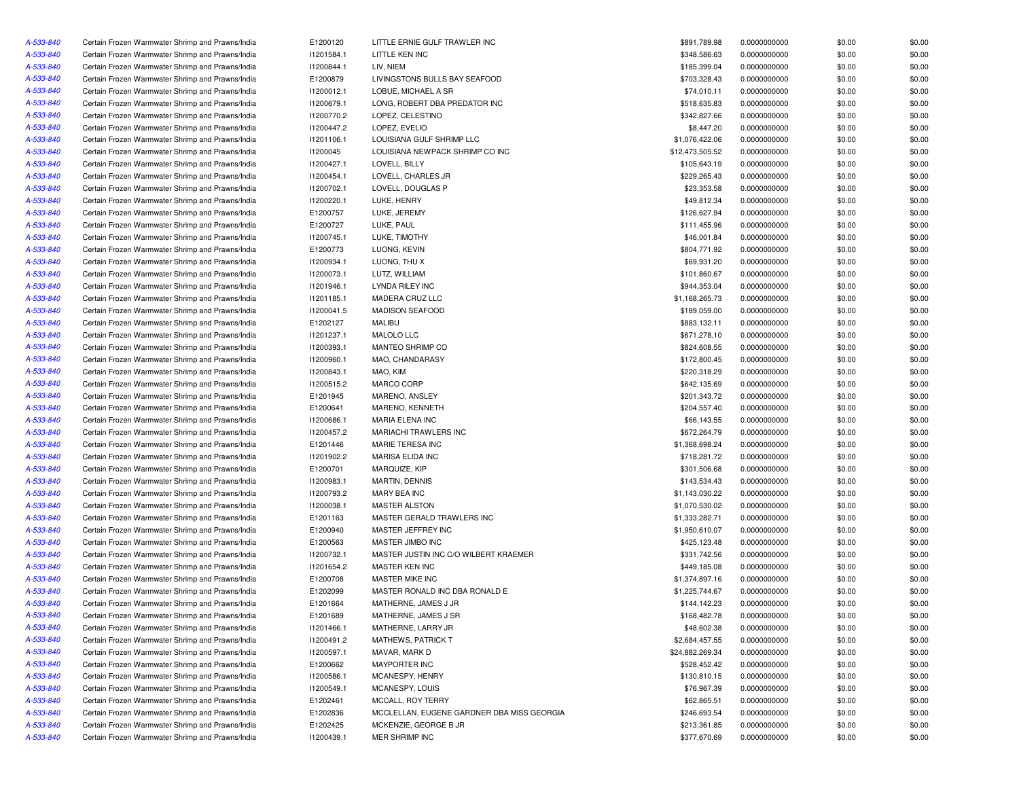| A-533-840              | Certain Frozen Warmwater Shrimp and Prawns/India                                                     | E1200120                 | LITTLE ERNIE GULF TRAWLER INC              | \$891,789.98                | 0.0000000000                 | \$0.00           | \$0.00 |
|------------------------|------------------------------------------------------------------------------------------------------|--------------------------|--------------------------------------------|-----------------------------|------------------------------|------------------|--------|
| A-533-840              | Certain Frozen Warmwater Shrimp and Prawns/India                                                     | 11201584.1               | LITTLE KEN INC                             | \$348,586.63                | 0.0000000000                 | \$0.00           | \$0.00 |
| A-533-840              | Certain Frozen Warmwater Shrimp and Prawns/India                                                     | 11200844.1               | LIV, NIEM                                  | \$185,399.04                | 0.0000000000                 | \$0.00           | \$0.00 |
| A-533-840              | Certain Frozen Warmwater Shrimp and Prawns/India                                                     | E1200879                 | LIVINGSTONS BULLS BAY SEAFOOD              | \$703,328.43                | 0.0000000000                 | \$0.00           | \$0.00 |
| A-533-840              | Certain Frozen Warmwater Shrimp and Prawns/India                                                     | 11200012.1               | LOBUE, MICHAEL A SR                        | \$74,010.11                 | 0.0000000000                 | \$0.00           | \$0.00 |
| A-533-840              | Certain Frozen Warmwater Shrimp and Prawns/India                                                     | 11200679.1               | LONG, ROBERT DBA PREDATOR INC              | \$518,635.83                | 0.0000000000                 | \$0.00           | \$0.00 |
| A-533-840              | Certain Frozen Warmwater Shrimp and Prawns/India                                                     | 11200770.2               | LOPEZ, CELESTINO                           | \$342,827.66                | 0.0000000000                 | \$0.00           | \$0.00 |
| A-533-840              | Certain Frozen Warmwater Shrimp and Prawns/India                                                     | I1200447.2               | LOPEZ, EVELIO                              | \$8,447.20                  | 0.0000000000                 | \$0.00           | \$0.00 |
| A-533-840              | Certain Frozen Warmwater Shrimp and Prawns/India                                                     | 11201106.1               | LOUISIANA GULF SHRIMP LLC                  | \$1,076,422.06              | 0.0000000000                 | \$0.00           | \$0.00 |
| A-533-840              | Certain Frozen Warmwater Shrimp and Prawns/India                                                     | 11200045                 | LOUISIANA NEWPACK SHRIMP CO INC            | \$12,473,505.52             | 0.0000000000                 | \$0.00           | \$0.00 |
| A-533-840              | Certain Frozen Warmwater Shrimp and Prawns/India                                                     | 11200427.1               | LOVELL, BILLY                              | \$105,643.19                | 0.0000000000                 | \$0.00           | \$0.00 |
| A-533-840              |                                                                                                      |                          |                                            |                             |                              |                  | \$0.00 |
| A-533-840              | Certain Frozen Warmwater Shrimp and Prawns/India                                                     | 11200454.1               | LOVELL, CHARLES JR                         | \$229,265.43<br>\$23,353.58 | 0.0000000000                 | \$0.00           | \$0.00 |
| A-533-840              | Certain Frozen Warmwater Shrimp and Prawns/India<br>Certain Frozen Warmwater Shrimp and Prawns/India | 11200702.1<br>11200220.1 | LOVELL, DOUGLAS P<br>LUKE, HENRY           | \$49,812.34                 | 0.0000000000<br>0.0000000000 | \$0.00<br>\$0.00 | \$0.00 |
|                        | Certain Frozen Warmwater Shrimp and Prawns/India                                                     | E1200757                 | LUKE, JEREMY                               | \$126,627.94                | 0.0000000000                 | \$0.00           | \$0.00 |
| A-533-840              |                                                                                                      |                          |                                            |                             |                              |                  |        |
| A-533-840              | Certain Frozen Warmwater Shrimp and Prawns/India                                                     | E1200727                 | LUKE, PAUL                                 | \$111,455.96                | 0.0000000000                 | \$0.00           | \$0.00 |
| A-533-840              | Certain Frozen Warmwater Shrimp and Prawns/India                                                     | 11200745.1               | LUKE, TIMOTHY                              | \$46,001.84                 | 0.0000000000                 | \$0.00           | \$0.00 |
| A-533-840              | Certain Frozen Warmwater Shrimp and Prawns/India                                                     | E1200773                 | LUONG, KEVIN                               | \$804,771.92                | 0.0000000000                 | \$0.00           | \$0.00 |
| A-533-840              | Certain Frozen Warmwater Shrimp and Prawns/India                                                     | 11200934.1               | LUONG, THU X                               | \$69,931.20                 | 0.0000000000                 | \$0.00           | \$0.00 |
| A-533-840              | Certain Frozen Warmwater Shrimp and Prawns/India                                                     | 11200073.1               | LUTZ, WILLIAM                              | \$101,860.67                | 0.0000000000                 | \$0.00           | \$0.00 |
| A-533-840              | Certain Frozen Warmwater Shrimp and Prawns/India                                                     | 11201946.1               | LYNDA RILEY INC                            | \$944,353.04                | 0.0000000000                 | \$0.00           | \$0.00 |
| A-533-840              | Certain Frozen Warmwater Shrimp and Prawns/India                                                     | 11201185.1               | MADERA CRUZ LLC                            | \$1,168,265.73              | 0.0000000000                 | \$0.00           | \$0.00 |
| A-533-840              | Certain Frozen Warmwater Shrimp and Prawns/India                                                     | 11200041.5               | <b>MADISON SEAFOOD</b>                     | \$189,059.00                | 0.0000000000                 | \$0.00           | \$0.00 |
| A-533-840              | Certain Frozen Warmwater Shrimp and Prawns/India                                                     | E1202127                 | <b>MALIBU</b>                              | \$883,132.11                | 0.0000000000                 | \$0.00           | \$0.00 |
| A-533-840              | Certain Frozen Warmwater Shrimp and Prawns/India                                                     | 11201237.1               | MALOLO LLC                                 | \$671,278.10                | 0.0000000000                 | \$0.00           | \$0.00 |
| A-533-840              | Certain Frozen Warmwater Shrimp and Prawns/India                                                     | 11200393.1               | MANTEO SHRIMP CO                           | \$824,608.55                | 0.0000000000                 | \$0.00           | \$0.00 |
| A-533-840              | Certain Frozen Warmwater Shrimp and Prawns/India                                                     | 11200960.1               | MAO, CHANDARASY                            | \$172,800.45                | 0.0000000000                 | \$0.00           | \$0.00 |
| A-533-840              | Certain Frozen Warmwater Shrimp and Prawns/India                                                     | 11200843.1               | MAO, KIM                                   | \$220,318.29                | 0.0000000000                 | \$0.00           | \$0.00 |
| A-533-840              | Certain Frozen Warmwater Shrimp and Prawns/India                                                     | 11200515.2               | MARCO CORP                                 | \$642,135.69                | 0.0000000000                 | \$0.00           | \$0.00 |
| A-533-840              | Certain Frozen Warmwater Shrimp and Prawns/India                                                     | E1201945                 | MARENO, ANSLEY                             | \$201,343.72                | 0.0000000000                 | \$0.00           | \$0.00 |
| A-533-840              | Certain Frozen Warmwater Shrimp and Prawns/India                                                     | E1200641                 | MARENO, KENNETH                            | \$204,557.40                | 0.0000000000                 | \$0.00           | \$0.00 |
| A-533-840              | Certain Frozen Warmwater Shrimp and Prawns/India                                                     | 11200686.1               | MARIA ELENA INC                            | \$66,143.55                 | 0.0000000000                 | \$0.00           | \$0.00 |
| A-533-840              | Certain Frozen Warmwater Shrimp and Prawns/India                                                     | I1200457.2               | MARIACHI TRAWLERS INC                      | \$672,264.79                | 0.0000000000                 | \$0.00           | \$0.00 |
| A-533-840              | Certain Frozen Warmwater Shrimp and Prawns/India                                                     | E1201446                 | MARIE TERESA INC                           | \$1,368,698.24              | 0.0000000000                 | \$0.00           | \$0.00 |
| A-533-840              | Certain Frozen Warmwater Shrimp and Prawns/India                                                     | 11201902.2               | MARISA ELIDA INC                           | \$718,281.72                | 0.0000000000                 | \$0.00           | \$0.00 |
| A-533-840              | Certain Frozen Warmwater Shrimp and Prawns/India                                                     | E1200701                 | MARQUIZE, KIP                              | \$301,506.68                | 0.0000000000                 | \$0.00           | \$0.00 |
| A-533-840              | Certain Frozen Warmwater Shrimp and Prawns/India                                                     | 11200983.1               | <b>MARTIN, DENNIS</b>                      | \$143,534.43                | 0.0000000000                 | \$0.00           | \$0.00 |
| A-533-840              | Certain Frozen Warmwater Shrimp and Prawns/India                                                     | 11200793.2               | MARY BEA INC                               | \$1,143,030.22              | 0.0000000000                 | \$0.00           | \$0.00 |
| A-533-840              | Certain Frozen Warmwater Shrimp and Prawns/India                                                     | 11200038.1               | <b>MASTER ALSTON</b>                       | \$1,070,530.02              | 0.0000000000                 | \$0.00           | \$0.00 |
| A-533-840              | Certain Frozen Warmwater Shrimp and Prawns/India                                                     | E1201163                 | MASTER GERALD TRAWLERS INC                 | \$1,333,282.71              | 0.0000000000                 | \$0.00           | \$0.00 |
| A-533-840              | Certain Frozen Warmwater Shrimp and Prawns/India                                                     | E1200940                 | MASTER JEFFREY INC                         | \$1,950,610.07              | 0.0000000000                 | \$0.00           | \$0.00 |
| A-533-840              | Certain Frozen Warmwater Shrimp and Prawns/India                                                     | E1200563                 | MASTER JIMBO INC                           | \$425,123.48                | 0.0000000000                 | \$0.00           | \$0.00 |
| A-533-840              | Certain Frozen Warmwater Shrimp and Prawns/India                                                     | 11200732.1               | MASTER JUSTIN INC C/O WILBERT KRAEMER      | \$331,742.56                | 0.0000000000                 | \$0.00           | \$0.00 |
| A-533-840              | Certain Frozen Warmwater Shrimp and Prawns/India                                                     | 11201654.2               | MASTER KEN INC                             | \$449,185.08                | 0.0000000000                 | \$0.00           | \$0.00 |
| A-533-840              | Certain Frozen Warmwater Shrimp and Prawns/India                                                     | E1200708                 | MASTER MIKE INC                            | \$1,374,897.16              | 0.0000000000                 | \$0.00           | \$0.00 |
| A-533-840              | Certain Frozen Warmwater Shrimp and Prawns/India                                                     | E1202099                 | MASTER RONALD INC DBA RONALD E             | \$1,225,744.67              | 0.0000000000                 | \$0.00           | \$0.00 |
| A-533-840              | Certain Frozen Warmwater Shrimp and Prawns/India                                                     | E1201664                 | MATHERNE, JAMES J JR                       | \$144,142.23                | 0.0000000000                 | \$0.00           | \$0.00 |
| A-533-840              | Certain Frozen Warmwater Shrimp and Prawns/India                                                     | E1201689                 | MATHERNE, JAMES J SR                       | \$168,482.78                | 0.0000000000                 | \$0.00           | \$0.00 |
|                        | Certain Frozen Warmwater Shrimp and Prawns/India                                                     | 11201466.1               | MATHERNE, LARRY JR                         | \$48,602.38                 | 0.0000000000                 | \$0.00           | \$0.00 |
| A-533-840<br>A-533-840 | Certain Frozen Warmwater Shrimp and Prawns/India                                                     | 11200491.2               | <b>MATHEWS, PATRICK T</b>                  |                             | 0.0000000000                 |                  |        |
|                        |                                                                                                      |                          | MAVAR, MARK D                              | \$2,684,457.55              |                              | \$0.00           | \$0.00 |
| A-533-840              | Certain Frozen Warmwater Shrimp and Prawns/India                                                     | 11200597.1               |                                            | \$24,882,269.34             | 0.0000000000                 | \$0.00           | \$0.00 |
| A-533-840              | Certain Frozen Warmwater Shrimp and Prawns/India                                                     | E1200662                 | MAYPORTER INC                              | \$528,452.42                | 0.0000000000                 | \$0.00           | \$0.00 |
| A-533-840              | Certain Frozen Warmwater Shrimp and Prawns/India                                                     | 11200586.1               | MCANESPY, HENRY                            | \$130,810.15                | 0.0000000000                 | \$0.00           | \$0.00 |
| A-533-840              | Certain Frozen Warmwater Shrimp and Prawns/India                                                     | 11200549.1               | MCANESPY, LOUIS                            | \$76,967.39                 | 0.0000000000                 | \$0.00           | \$0.00 |
| A-533-840              | Certain Frozen Warmwater Shrimp and Prawns/India                                                     | E1202461                 | MCCALL, ROY TERRY                          | \$62,865.51                 | 0.0000000000                 | \$0.00           | \$0.00 |
| A-533-840              | Certain Frozen Warmwater Shrimp and Prawns/India                                                     | E1202836                 | MCCLELLAN, EUGENE GARDNER DBA MISS GEORGIA | \$246,693.54                | 0.0000000000                 | \$0.00           | \$0.00 |
| A-533-840              | Certain Frozen Warmwater Shrimp and Prawns/India                                                     | E1202425                 | MCKENZIE, GEORGE B JR                      | \$213,361.85                | 0.0000000000                 | \$0.00           | \$0.00 |
| A-533-840              | Certain Frozen Warmwater Shrimp and Prawns/India                                                     | 11200439.1               | MER SHRIMP INC                             | \$377,670.69                | 0.0000000000                 | \$0.00           | \$0.00 |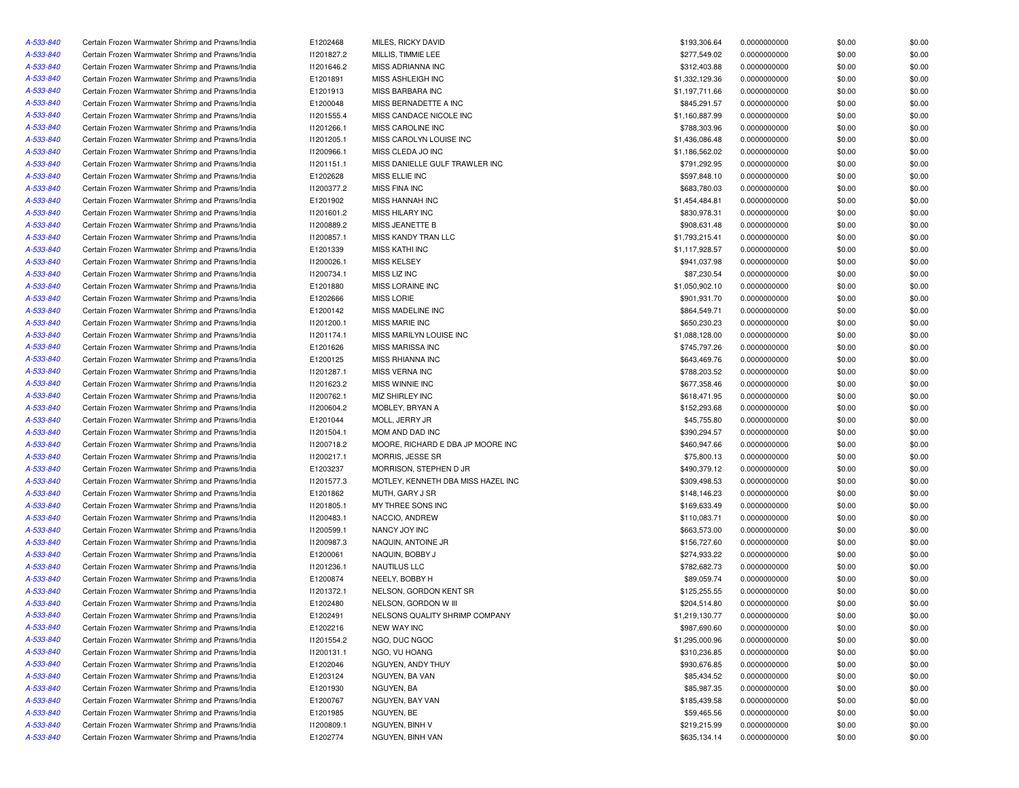| A-533-840              | Certain Frozen Warmwater Shrimp and Prawns/India | E1202468   | MILES, RICKY DAVID                 | \$193,306.64   | 0.0000000000                 | \$0.00 | \$0.00 |
|------------------------|--------------------------------------------------|------------|------------------------------------|----------------|------------------------------|--------|--------|
| A-533-840              | Certain Frozen Warmwater Shrimp and Prawns/India | 11201827.2 | MILLIS, TIMMIE LEE                 | \$277,549.02   | 0.0000000000                 | \$0.00 | \$0.00 |
| A-533-840              | Certain Frozen Warmwater Shrimp and Prawns/India | 11201646.2 | MISS ADRIANNA INC                  | \$312,403.88   | 0.0000000000                 | \$0.00 | \$0.00 |
| A-533-840              | Certain Frozen Warmwater Shrimp and Prawns/India | E1201891   | MISS ASHLEIGH INC                  | \$1,332,129.36 | 0.0000000000                 | \$0.00 | \$0.00 |
| A-533-840              | Certain Frozen Warmwater Shrimp and Prawns/India | E1201913   | MISS BARBARA INC                   | \$1,197,711.66 | 0.0000000000                 | \$0.00 | \$0.00 |
| A-533-840              | Certain Frozen Warmwater Shrimp and Prawns/India | E1200048   | MISS BERNADETTE A INC              | \$845,291.57   | 0.0000000000                 | \$0.00 | \$0.00 |
| A-533-840              | Certain Frozen Warmwater Shrimp and Prawns/India | 11201555.4 | MISS CANDACE NICOLE INC            | \$1,160,887.99 | 0.0000000000                 | \$0.00 | \$0.00 |
| A-533-840              | Certain Frozen Warmwater Shrimp and Prawns/India | 11201266.1 | MISS CAROLINE INC                  | \$788,303.96   | 0.0000000000                 | \$0.00 | \$0.00 |
| A-533-840              | Certain Frozen Warmwater Shrimp and Prawns/India | 11201205.1 | MISS CAROLYN LOUISE INC            | \$1,436,086.48 | 0.0000000000                 | \$0.00 | \$0.00 |
| A-533-840              | Certain Frozen Warmwater Shrimp and Prawns/India | 11200966.1 | MISS CLEDA JO INC                  | \$1,186,562.02 | 0.0000000000                 | \$0.00 | \$0.00 |
| A-533-840              | Certain Frozen Warmwater Shrimp and Prawns/India | 11201151.1 | MISS DANIELLE GULF TRAWLER INC     | \$791,292.95   | 0.0000000000                 | \$0.00 | \$0.00 |
| A-533-840              | Certain Frozen Warmwater Shrimp and Prawns/India | E1202628   | MISS ELLIE INC                     | \$597,848.10   | 0.0000000000                 | \$0.00 | \$0.00 |
| A-533-840              | Certain Frozen Warmwater Shrimp and Prawns/India | 11200377.2 | <b>MISS FINA INC</b>               | \$683,780.03   | 0.0000000000                 | \$0.00 | \$0.00 |
| A-533-840              | Certain Frozen Warmwater Shrimp and Prawns/India | E1201902   | <b>MISS HANNAH INC</b>             | \$1,454,484.81 | 0.0000000000                 | \$0.00 | \$0.00 |
| A-533-840              | Certain Frozen Warmwater Shrimp and Prawns/India | 11201601.2 | <b>MISS HILARY INC</b>             | \$830,978.31   | 0.0000000000                 | \$0.00 | \$0.00 |
| A-533-840              | Certain Frozen Warmwater Shrimp and Prawns/India | 11200889.2 | MISS JEANETTE B                    | \$908,631.48   | 0.0000000000                 | \$0.00 | \$0.00 |
| A-533-840              | Certain Frozen Warmwater Shrimp and Prawns/India | 11200857.1 | MISS KANDY TRAN LLC                | \$1,793,215.41 | 0.0000000000                 | \$0.00 | \$0.00 |
| A-533-840              | Certain Frozen Warmwater Shrimp and Prawns/India | E1201339   | <b>MISS KATHI INC</b>              | \$1,117,928.57 | 0.0000000000                 | \$0.00 | \$0.00 |
| A-533-840              | Certain Frozen Warmwater Shrimp and Prawns/India | I1200026.1 | <b>MISS KELSEY</b>                 | \$941,037.98   | 0.0000000000                 | \$0.00 | \$0.00 |
| A-533-840              | Certain Frozen Warmwater Shrimp and Prawns/India | 11200734.1 | MISS LIZ INC                       | \$87,230.54    | 0.0000000000                 | \$0.00 | \$0.00 |
| A-533-840              | Certain Frozen Warmwater Shrimp and Prawns/India | E1201880   | MISS LORAINE INC                   | \$1,050,902.10 | 0.0000000000                 | \$0.00 | \$0.00 |
| A-533-840              | Certain Frozen Warmwater Shrimp and Prawns/India | E1202666   | <b>MISS LORIE</b>                  | \$901,931.70   | 0.0000000000                 | \$0.00 | \$0.00 |
| A-533-840              | Certain Frozen Warmwater Shrimp and Prawns/India | E1200142   | MISS MADELINE INC                  | \$864,549.71   | 0.0000000000                 | \$0.00 | \$0.00 |
| A-533-840              | Certain Frozen Warmwater Shrimp and Prawns/India | 11201200.1 | <b>MISS MARIE INC</b>              | \$650,230.23   | 0.0000000000                 | \$0.00 | \$0.00 |
| A-533-840              | Certain Frozen Warmwater Shrimp and Prawns/India | 11201174.1 | MISS MARILYN LOUISE INC            | \$1,088,128.00 | 0.0000000000                 | \$0.00 | \$0.00 |
| A-533-840              | Certain Frozen Warmwater Shrimp and Prawns/India | E1201626   | MISS MARISSA INC                   | \$745,797.26   | 0.0000000000                 | \$0.00 | \$0.00 |
| A-533-840              | Certain Frozen Warmwater Shrimp and Prawns/India | E1200125   | MISS RHIANNA INC                   | \$643,469.76   | 0.0000000000                 | \$0.00 | \$0.00 |
| A-533-840              | Certain Frozen Warmwater Shrimp and Prawns/India | 11201287.1 | MISS VERNA INC                     | \$788,203.52   | 0.0000000000                 | \$0.00 | \$0.00 |
| A-533-840              | Certain Frozen Warmwater Shrimp and Prawns/India | 11201623.2 | MISS WINNIE INC                    | \$677,358.46   | 0.0000000000                 | \$0.00 | \$0.00 |
| A-533-840              | Certain Frozen Warmwater Shrimp and Prawns/India | 11200762.1 | MIZ SHIRLEY INC                    | \$618,471.95   | 0.0000000000                 | \$0.00 | \$0.00 |
| A-533-840              | Certain Frozen Warmwater Shrimp and Prawns/India | 11200604.2 | MOBLEY, BRYAN A                    | \$152,293.68   | 0.0000000000                 | \$0.00 | \$0.00 |
| A-533-840              | Certain Frozen Warmwater Shrimp and Prawns/India | E1201044   | MOLL, JERRY JR                     | \$45,755.80    | 0.0000000000                 | \$0.00 | \$0.00 |
| A-533-840              | Certain Frozen Warmwater Shrimp and Prawns/India | 11201504.1 | MOM AND DAD INC                    | \$390,294.57   | 0.0000000000                 | \$0.00 | \$0.00 |
| A-533-840              | Certain Frozen Warmwater Shrimp and Prawns/India | 11200718.2 | MOORE, RICHARD E DBA JP MOORE INC  | \$460,947.66   | 0.0000000000                 | \$0.00 | \$0.00 |
| A-533-840              | Certain Frozen Warmwater Shrimp and Prawns/India | 11200217.1 | MORRIS, JESSE SR                   | \$75,800.13    | 0.0000000000                 | \$0.00 | \$0.00 |
| A-533-840              | Certain Frozen Warmwater Shrimp and Prawns/India | E1203237   | MORRISON, STEPHEN D JR             | \$490,379.12   | 0.0000000000                 | \$0.00 | \$0.00 |
| A-533-840              | Certain Frozen Warmwater Shrimp and Prawns/India | 11201577.3 | MOTLEY, KENNETH DBA MISS HAZEL INC | \$309,498.53   | 0.0000000000                 | \$0.00 | \$0.00 |
| A-533-840              | Certain Frozen Warmwater Shrimp and Prawns/India | E1201862   | MUTH, GARY J SR                    | \$148,146.23   | 0.0000000000                 | \$0.00 | \$0.00 |
| A-533-840              | Certain Frozen Warmwater Shrimp and Prawns/India | 11201805.1 | MY THREE SONS INC                  | \$169,633.49   | 0.0000000000                 | \$0.00 | \$0.00 |
| A-533-840              | Certain Frozen Warmwater Shrimp and Prawns/India | 11200483.1 | NACCIO, ANDREW                     | \$110,083.71   | 0.0000000000                 | \$0.00 | \$0.00 |
| A-533-840              | Certain Frozen Warmwater Shrimp and Prawns/India | 11200599.1 | NANCY JOY INC                      | \$663,573.00   | 0.0000000000                 | \$0.00 | \$0.00 |
|                        | Certain Frozen Warmwater Shrimp and Prawns/India | I1200987.3 | NAQUIN, ANTOINE JR                 | \$156,727.60   |                              | \$0.00 | \$0.00 |
| A-533-840              | Certain Frozen Warmwater Shrimp and Prawns/India | E1200061   | NAQUIN, BOBBY J                    | \$274,933.22   | 0.0000000000<br>0.0000000000 | \$0.00 | \$0.00 |
| A-533-840<br>A-533-840 | Certain Frozen Warmwater Shrimp and Prawns/India | 11201236.1 | NAUTILUS LLC                       | \$782,682.73   | 0.0000000000                 | \$0.00 | \$0.00 |
| A-533-840              | Certain Frozen Warmwater Shrimp and Prawns/India |            |                                    |                |                              |        |        |
|                        | Certain Frozen Warmwater Shrimp and Prawns/India | E1200874   | NEELY, BOBBY H                     | \$89,059.74    | 0.0000000000                 | \$0.00 | \$0.00 |
| A-533-840              | Certain Frozen Warmwater Shrimp and Prawns/India | 11201372.1 | NELSON, GORDON KENT SR             | \$125,255.55   | 0.0000000000                 | \$0.00 | \$0.00 |
| A-533-840              |                                                  | E1202480   | NELSON, GORDON W III               | \$204,514.80   | 0.0000000000                 | \$0.00 | \$0.00 |
| A-533-840              | Certain Frozen Warmwater Shrimp and Prawns/India | E1202491   | NELSONS QUALITY SHRIMP COMPANY     | \$1,219,130.77 | 0.0000000000                 | \$0.00 | \$0.00 |
| A-533-840              | Certain Frozen Warmwater Shrimp and Prawns/India | E1202216   | NEW WAY INC                        | \$987,690.60   | 0.0000000000                 | \$0.00 | \$0.00 |
| A-533-840              | Certain Frozen Warmwater Shrimp and Prawns/India | 11201554.2 | NGO, DUC NGOC                      | \$1,295,000.96 | 0.0000000000                 | \$0.00 | \$0.00 |
| A-533-840              | Certain Frozen Warmwater Shrimp and Prawns/India | 11200131.1 | NGO, VU HOANG                      | \$310,236.85   | 0.0000000000                 | \$0.00 | \$0.00 |
| A-533-840              | Certain Frozen Warmwater Shrimp and Prawns/India | E1202046   | NGUYEN, ANDY THUY                  | \$930,676.85   | 0.0000000000                 | \$0.00 | \$0.00 |
| A-533-840              | Certain Frozen Warmwater Shrimp and Prawns/India | E1203124   | NGUYEN, BA VAN                     | \$85,434.52    | 0.0000000000                 | \$0.00 | \$0.00 |
| A-533-840              | Certain Frozen Warmwater Shrimp and Prawns/India | E1201930   | NGUYEN, BA                         | \$85,987.35    | 0.0000000000                 | \$0.00 | \$0.00 |
| A-533-840              | Certain Frozen Warmwater Shrimp and Prawns/India | E1200767   | NGUYEN, BAY VAN                    | \$185,439.58   | 0.0000000000                 | \$0.00 | \$0.00 |
| A-533-840              | Certain Frozen Warmwater Shrimp and Prawns/India | E1201985   | NGUYEN, BE                         | \$59,465.56    | 0.0000000000                 | \$0.00 | \$0.00 |
| A-533-840              | Certain Frozen Warmwater Shrimp and Prawns/India | 11200809.1 | NGUYEN, BINH V                     | \$219,215.99   | 0.0000000000                 | \$0.00 | \$0.00 |
| A-533-840              | Certain Frozen Warmwater Shrimp and Prawns/India | E1202774   | NGUYEN, BINH VAN                   | \$635,134.14   | 0.0000000000                 | \$0.00 | \$0.00 |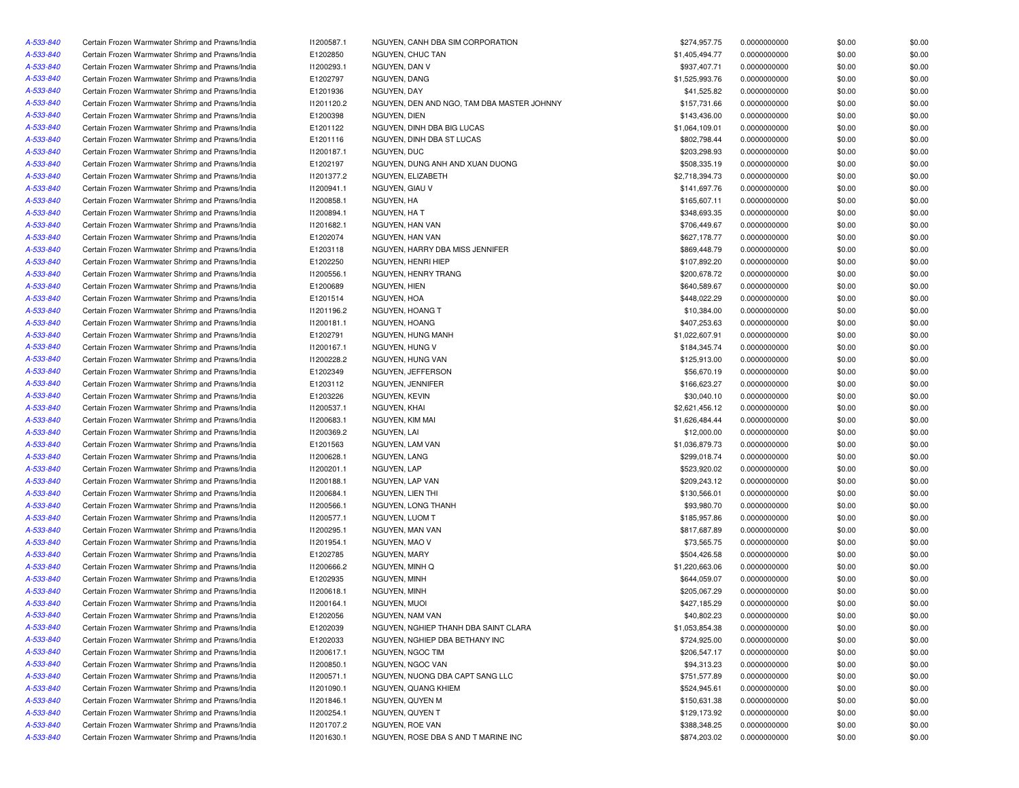| A-533-840 | Certain Frozen Warmwater Shrimp and Prawns/India | 11200587.1 | NGUYEN, CANH DBA SIM CORPORATION           | \$274,957.75   | 0.0000000000 | \$0.00 | \$0.00 |
|-----------|--------------------------------------------------|------------|--------------------------------------------|----------------|--------------|--------|--------|
| A-533-840 | Certain Frozen Warmwater Shrimp and Prawns/India | E1202850   | NGUYEN, CHUC TAN                           | \$1,405,494.77 | 0.0000000000 | \$0.00 | \$0.00 |
| A-533-840 | Certain Frozen Warmwater Shrimp and Prawns/India | I1200293.1 | NGUYEN, DAN V                              | \$937,407.71   | 0.0000000000 | \$0.00 | \$0.00 |
| A-533-840 | Certain Frozen Warmwater Shrimp and Prawns/India | E1202797   | NGUYEN, DANG                               | \$1,525,993.76 | 0.0000000000 | \$0.00 | \$0.00 |
| A-533-840 | Certain Frozen Warmwater Shrimp and Prawns/India | E1201936   | NGUYEN, DAY                                | \$41,525.82    | 0.0000000000 | \$0.00 | \$0.00 |
| A-533-840 | Certain Frozen Warmwater Shrimp and Prawns/India | 11201120.2 | NGUYEN, DEN AND NGO, TAM DBA MASTER JOHNNY | \$157,731.66   | 0.0000000000 | \$0.00 | \$0.00 |
| A-533-840 | Certain Frozen Warmwater Shrimp and Prawns/India | E1200398   | NGUYEN, DIEN                               | \$143,436.00   | 0.0000000000 | \$0.00 | \$0.00 |
| A-533-840 | Certain Frozen Warmwater Shrimp and Prawns/India | E1201122   | NGUYEN, DINH DBA BIG LUCAS                 | \$1,064,109.01 | 0.0000000000 | \$0.00 | \$0.00 |
| A-533-840 | Certain Frozen Warmwater Shrimp and Prawns/India | E1201116   | NGUYEN, DINH DBA ST LUCAS                  | \$802,798.44   | 0.0000000000 | \$0.00 | \$0.00 |
| A-533-840 | Certain Frozen Warmwater Shrimp and Prawns/India | 11200187.1 | NGUYEN, DUC                                | \$203,298.93   | 0.0000000000 | \$0.00 | \$0.00 |
| A-533-840 | Certain Frozen Warmwater Shrimp and Prawns/India | E1202197   | NGUYEN, DUNG ANH AND XUAN DUONG            | \$508,335.19   | 0.0000000000 | \$0.00 | \$0.00 |
| A-533-840 | Certain Frozen Warmwater Shrimp and Prawns/India | 11201377.2 | NGUYEN, ELIZABETH                          | \$2,718,394.73 | 0.0000000000 | \$0.00 | \$0.00 |
| A-533-840 | Certain Frozen Warmwater Shrimp and Prawns/India | 11200941.1 | NGUYEN, GIAU V                             | \$141,697.76   | 0.0000000000 | \$0.00 | \$0.00 |
| A-533-840 | Certain Frozen Warmwater Shrimp and Prawns/India | 11200858.1 | NGUYEN, HA                                 | \$165,607.11   | 0.0000000000 | \$0.00 | \$0.00 |
| A-533-840 | Certain Frozen Warmwater Shrimp and Prawns/India | 11200894.1 | NGUYEN, HA T                               | \$348,693.35   | 0.0000000000 | \$0.00 | \$0.00 |
| A-533-840 | Certain Frozen Warmwater Shrimp and Prawns/India | 11201682.1 | NGUYEN, HAN VAN                            | \$706,449.67   | 0.0000000000 | \$0.00 | \$0.00 |
| A-533-840 | Certain Frozen Warmwater Shrimp and Prawns/India | E1202074   | NGUYEN, HAN VAN                            | \$627,178.77   | 0.0000000000 | \$0.00 | \$0.00 |
| A-533-840 | Certain Frozen Warmwater Shrimp and Prawns/India | E1203118   | NGUYEN, HARRY DBA MISS JENNIFER            | \$869,448.79   | 0.0000000000 | \$0.00 | \$0.00 |
|           |                                                  |            | NGUYEN, HENRI HIEP                         |                |              |        |        |
| A-533-840 | Certain Frozen Warmwater Shrimp and Prawns/India | E1202250   |                                            | \$107,892.20   | 0.0000000000 | \$0.00 | \$0.00 |
| A-533-840 | Certain Frozen Warmwater Shrimp and Prawns/India | I1200556.1 | NGUYEN, HENRY TRANG                        | \$200,678.72   | 0.0000000000 | \$0.00 | \$0.00 |
| A-533-840 | Certain Frozen Warmwater Shrimp and Prawns/India | E1200689   | NGUYEN, HIEN                               | \$640,589.67   | 0.0000000000 | \$0.00 | \$0.00 |
| A-533-840 | Certain Frozen Warmwater Shrimp and Prawns/India | E1201514   | NGUYEN, HOA                                | \$448,022.29   | 0.0000000000 | \$0.00 | \$0.00 |
| A-533-840 | Certain Frozen Warmwater Shrimp and Prawns/India | 11201196.2 | NGUYEN, HOANG T                            | \$10,384.00    | 0.0000000000 | \$0.00 | \$0.00 |
| A-533-840 | Certain Frozen Warmwater Shrimp and Prawns/India | 11200181.1 | NGUYEN, HOANG                              | \$407,253.63   | 0.0000000000 | \$0.00 | \$0.00 |
| A-533-840 | Certain Frozen Warmwater Shrimp and Prawns/India | E1202791   | NGUYEN, HUNG MANH                          | \$1,022,607.91 | 0.0000000000 | \$0.00 | \$0.00 |
| A-533-840 | Certain Frozen Warmwater Shrimp and Prawns/India | 11200167.1 | NGUYEN, HUNG V                             | \$184,345.74   | 0.0000000000 | \$0.00 | \$0.00 |
| A-533-840 | Certain Frozen Warmwater Shrimp and Prawns/India | 11200228.2 | NGUYEN, HUNG VAN                           | \$125,913.00   | 0.0000000000 | \$0.00 | \$0.00 |
| A-533-840 | Certain Frozen Warmwater Shrimp and Prawns/India | E1202349   | NGUYEN, JEFFERSON                          | \$56,670.19    | 0.0000000000 | \$0.00 | \$0.00 |
| A-533-840 | Certain Frozen Warmwater Shrimp and Prawns/India | E1203112   | NGUYEN, JENNIFER                           | \$166,623.27   | 0.0000000000 | \$0.00 | \$0.00 |
| A-533-840 | Certain Frozen Warmwater Shrimp and Prawns/India | E1203226   | NGUYEN, KEVIN                              | \$30,040.10    | 0.0000000000 | \$0.00 | \$0.00 |
| A-533-840 | Certain Frozen Warmwater Shrimp and Prawns/India | 11200537.1 | NGUYEN, KHAI                               | \$2,621,456.12 | 0.0000000000 | \$0.00 | \$0.00 |
| A-533-840 | Certain Frozen Warmwater Shrimp and Prawns/India | 11200683.1 | NGUYEN, KIM MAI                            | \$1,626,484.44 | 0.0000000000 | \$0.00 | \$0.00 |
| A-533-840 | Certain Frozen Warmwater Shrimp and Prawns/India | 11200369.2 | NGUYEN, LAI                                | \$12,000.00    | 0.0000000000 | \$0.00 | \$0.00 |
| A-533-840 | Certain Frozen Warmwater Shrimp and Prawns/India | E1201563   | NGUYEN, LAM VAN                            | \$1,036,879.73 | 0.0000000000 | \$0.00 | \$0.00 |
| A-533-840 | Certain Frozen Warmwater Shrimp and Prawns/India | 11200628.1 | NGUYEN, LANG                               | \$299,018.74   | 0.0000000000 | \$0.00 | \$0.00 |
| A-533-840 | Certain Frozen Warmwater Shrimp and Prawns/India | 11200201.1 | NGUYEN, LAP                                | \$523,920.02   | 0.0000000000 | \$0.00 | \$0.00 |
| A-533-840 | Certain Frozen Warmwater Shrimp and Prawns/India | 11200188.1 | NGUYEN, LAP VAN                            | \$209,243.12   | 0.0000000000 | \$0.00 | \$0.00 |
| A-533-840 | Certain Frozen Warmwater Shrimp and Prawns/India | 11200684.1 | NGUYEN, LIEN THI                           | \$130,566.01   | 0.0000000000 | \$0.00 | \$0.00 |
| A-533-840 | Certain Frozen Warmwater Shrimp and Prawns/India | I1200566.1 | NGUYEN, LONG THANH                         | \$93,980.70    | 0.0000000000 | \$0.00 | \$0.00 |
| A-533-840 | Certain Frozen Warmwater Shrimp and Prawns/India | I1200577.1 | NGUYEN, LUOM T                             | \$185,957.86   | 0.0000000000 | \$0.00 | \$0.00 |
| A-533-840 | Certain Frozen Warmwater Shrimp and Prawns/India | 11200295.1 | NGUYEN, MAN VAN                            | \$817,687.89   | 0.0000000000 | \$0.00 | \$0.00 |
| A-533-840 | Certain Frozen Warmwater Shrimp and Prawns/India | 11201954.1 | NGUYEN, MAO V                              | \$73,565.75    | 0.0000000000 | \$0.00 | \$0.00 |
| A-533-840 | Certain Frozen Warmwater Shrimp and Prawns/India | E1202785   | NGUYEN, MARY                               | \$504,426.58   | 0.0000000000 | \$0.00 | \$0.00 |
| A-533-840 | Certain Frozen Warmwater Shrimp and Prawns/India | I1200666.2 | NGUYEN, MINH Q                             | \$1,220,663.06 | 0.0000000000 | \$0.00 | \$0.00 |
| A-533-840 | Certain Frozen Warmwater Shrimp and Prawns/India | E1202935   | NGUYEN, MINH                               | \$644,059.07   | 0.0000000000 | \$0.00 | \$0.00 |
| A-533-840 | Certain Frozen Warmwater Shrimp and Prawns/India | 11200618.1 | NGUYEN, MINH                               | \$205,067.29   | 0.0000000000 | \$0.00 | \$0.00 |
| A-533-840 | Certain Frozen Warmwater Shrimp and Prawns/India | 11200164.1 | NGUYEN, MUOI                               | \$427,185.29   | 0.0000000000 | \$0.00 | \$0.00 |
| A-533-840 | Certain Frozen Warmwater Shrimp and Prawns/India | E1202056   | NGUYEN, NAM VAN                            | \$40,802.23    | 0.0000000000 | \$0.00 | \$0.00 |
| A-533-840 | Certain Frozen Warmwater Shrimp and Prawns/India | E1202039   | NGUYEN, NGHIEP THANH DBA SAINT CLARA       |                |              |        | \$0.00 |
|           | Certain Frozen Warmwater Shrimp and Prawns/India |            | NGUYEN, NGHIEP DBA BETHANY INC             | \$1,053,854.38 | 0.0000000000 | \$0.00 |        |
| A-533-840 |                                                  | E1202033   |                                            | \$724,925.00   | 0.0000000000 | \$0.00 | \$0.00 |
| A-533-840 | Certain Frozen Warmwater Shrimp and Prawns/India | 11200617.1 | NGUYEN, NGOC TIM                           | \$206,547.17   | 0.0000000000 | \$0.00 | \$0.00 |
| A-533-840 | Certain Frozen Warmwater Shrimp and Prawns/India | I1200850.1 | NGUYEN, NGOC VAN                           | \$94,313.23    | 0.0000000000 | \$0.00 | \$0.00 |
| A-533-840 | Certain Frozen Warmwater Shrimp and Prawns/India | 11200571.1 | NGUYEN, NUONG DBA CAPT SANG LLC            | \$751,577.89   | 0.0000000000 | \$0.00 | \$0.00 |
| A-533-840 | Certain Frozen Warmwater Shrimp and Prawns/India | 11201090.1 | NGUYEN, QUANG KHIEM                        | \$524,945.61   | 0.0000000000 | \$0.00 | \$0.00 |
| A-533-840 | Certain Frozen Warmwater Shrimp and Prawns/India | 11201846.1 | NGUYEN, QUYEN M                            | \$150,631.38   | 0.0000000000 | \$0.00 | \$0.00 |
| A-533-840 | Certain Frozen Warmwater Shrimp and Prawns/India | 11200254.1 | NGUYEN, QUYEN T                            | \$129,173.92   | 0.0000000000 | \$0.00 | \$0.00 |
| A-533-840 | Certain Frozen Warmwater Shrimp and Prawns/India | 11201707.2 | NGUYEN, ROE VAN                            | \$388,348.25   | 0.0000000000 | \$0.00 | \$0.00 |
| A-533-840 | Certain Frozen Warmwater Shrimp and Prawns/India | 11201630.1 | NGUYEN, ROSE DBA S AND T MARINE INC        | \$874,203.02   | 0.0000000000 | \$0.00 | \$0.00 |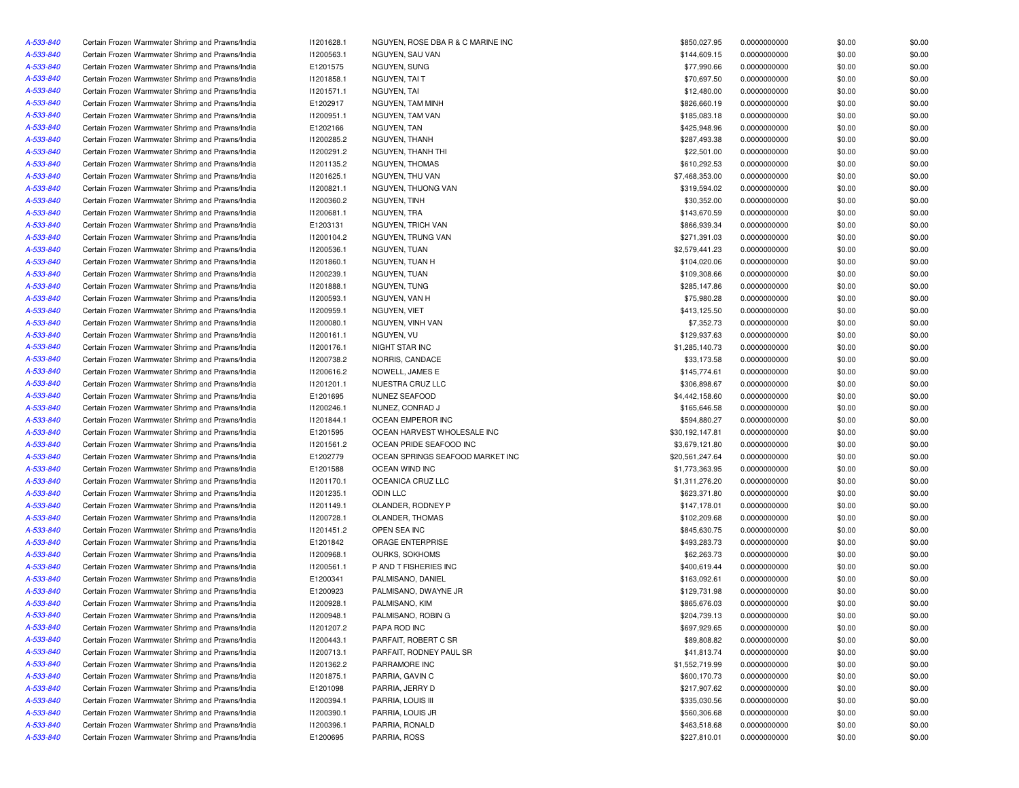| A-533-840 | Certain Frozen Warmwater Shrimp and Prawns/India | 11201628.1 | NGUYEN, ROSE DBA R & C MARINE INC | \$850,027.95    | 0.0000000000 | \$0.00 | \$0.00 |
|-----------|--------------------------------------------------|------------|-----------------------------------|-----------------|--------------|--------|--------|
| A-533-840 | Certain Frozen Warmwater Shrimp and Prawns/India | 11200563.1 | NGUYEN, SAU VAN                   | \$144,609.15    | 0.0000000000 | \$0.00 | \$0.00 |
| A-533-840 | Certain Frozen Warmwater Shrimp and Prawns/India | E1201575   | NGUYEN, SUNG                      | \$77,990.66     | 0.0000000000 | \$0.00 | \$0.00 |
| A-533-840 | Certain Frozen Warmwater Shrimp and Prawns/India | 11201858.1 | NGUYEN, TAI T                     | \$70,697.50     | 0.0000000000 | \$0.00 | \$0.00 |
| A-533-840 | Certain Frozen Warmwater Shrimp and Prawns/India | 11201571.1 | NGUYEN, TAI                       | \$12,480.00     | 0.0000000000 | \$0.00 | \$0.00 |
| A-533-840 | Certain Frozen Warmwater Shrimp and Prawns/India | E1202917   | NGUYEN, TAM MINH                  | \$826,660.19    | 0.0000000000 | \$0.00 | \$0.00 |
| A-533-840 | Certain Frozen Warmwater Shrimp and Prawns/India | 11200951.1 | NGUYEN, TAM VAN                   | \$185,083.18    | 0.0000000000 | \$0.00 | \$0.00 |
| A-533-840 | Certain Frozen Warmwater Shrimp and Prawns/India | E1202166   | NGUYEN, TAN                       | \$425,948.96    | 0.0000000000 | \$0.00 | \$0.00 |
| A-533-840 | Certain Frozen Warmwater Shrimp and Prawns/India | 11200285.2 | NGUYEN, THANH                     | \$287,493.38    | 0.0000000000 | \$0.00 | \$0.00 |
| A-533-840 | Certain Frozen Warmwater Shrimp and Prawns/India | 11200291.2 | NGUYEN, THANH THI                 | \$22,501.00     | 0.0000000000 | \$0.00 | \$0.00 |
| A-533-840 | Certain Frozen Warmwater Shrimp and Prawns/India | 11201135.2 | NGUYEN, THOMAS                    | \$610,292.53    | 0.0000000000 | \$0.00 | \$0.00 |
| A-533-840 | Certain Frozen Warmwater Shrimp and Prawns/India | 11201625.1 | NGUYEN, THU VAN                   | \$7,468,353.00  | 0.0000000000 | \$0.00 | \$0.00 |
| A-533-840 | Certain Frozen Warmwater Shrimp and Prawns/India | 11200821.1 | NGUYEN. THUONG VAN                | \$319,594.02    | 0.0000000000 | \$0.00 | \$0.00 |
| A-533-840 | Certain Frozen Warmwater Shrimp and Prawns/India | 11200360.2 | NGUYEN, TINH                      | \$30,352.00     | 0.0000000000 | \$0.00 | \$0.00 |
| A-533-840 | Certain Frozen Warmwater Shrimp and Prawns/India | 11200681.1 | NGUYEN, TRA                       | \$143,670.59    | 0.0000000000 | \$0.00 | \$0.00 |
|           |                                                  |            | <b>NGUYEN, TRICH VAN</b>          |                 |              |        |        |
| A-533-840 | Certain Frozen Warmwater Shrimp and Prawns/India | E1203131   |                                   | \$866,939.34    | 0.0000000000 | \$0.00 | \$0.00 |
| A-533-840 | Certain Frozen Warmwater Shrimp and Prawns/India | 11200104.2 | NGUYEN, TRUNG VAN                 | \$271,391.03    | 0.0000000000 | \$0.00 | \$0.00 |
| A-533-840 | Certain Frozen Warmwater Shrimp and Prawns/India | 11200536.1 | NGUYEN, TUAN                      | \$2,579,441.23  | 0.0000000000 | \$0.00 | \$0.00 |
| A-533-840 | Certain Frozen Warmwater Shrimp and Prawns/India | 11201860.1 | NGUYEN, TUAN H                    | \$104,020.06    | 0.0000000000 | \$0.00 | \$0.00 |
| A-533-840 | Certain Frozen Warmwater Shrimp and Prawns/India | 11200239.1 | NGUYEN, TUAN                      | \$109,308.66    | 0.0000000000 | \$0.00 | \$0.00 |
| A-533-840 | Certain Frozen Warmwater Shrimp and Prawns/India | 11201888.1 | NGUYEN, TUNG                      | \$285,147.86    | 0.0000000000 | \$0.00 | \$0.00 |
| A-533-840 | Certain Frozen Warmwater Shrimp and Prawns/India | 11200593.1 | NGUYEN, VAN H                     | \$75,980.28     | 0.0000000000 | \$0.00 | \$0.00 |
| A-533-840 | Certain Frozen Warmwater Shrimp and Prawns/India | 11200959.1 | NGUYEN, VIET                      | \$413,125.50    | 0.0000000000 | \$0.00 | \$0.00 |
| A-533-840 | Certain Frozen Warmwater Shrimp and Prawns/India | 11200080.1 | NGUYEN, VINH VAN                  | \$7,352.73      | 0.0000000000 | \$0.00 | \$0.00 |
| A-533-840 | Certain Frozen Warmwater Shrimp and Prawns/India | 11200161.1 | NGUYEN, VU                        | \$129,937.63    | 0.0000000000 | \$0.00 | \$0.00 |
| A-533-840 | Certain Frozen Warmwater Shrimp and Prawns/India | 11200176.1 | NIGHT STAR INC                    | \$1,285,140.73  | 0.0000000000 | \$0.00 | \$0.00 |
| A-533-840 | Certain Frozen Warmwater Shrimp and Prawns/India | 11200738.2 | NORRIS, CANDACE                   | \$33,173.58     | 0.0000000000 | \$0.00 | \$0.00 |
| A-533-840 | Certain Frozen Warmwater Shrimp and Prawns/India | 11200616.2 | NOWELL, JAMES E                   | \$145,774.61    | 0.0000000000 | \$0.00 | \$0.00 |
| A-533-840 | Certain Frozen Warmwater Shrimp and Prawns/India | 11201201.1 | NUESTRA CRUZ LLC                  | \$306,898.67    | 0.0000000000 | \$0.00 | \$0.00 |
| A-533-840 | Certain Frozen Warmwater Shrimp and Prawns/India | E1201695   | NUNEZ SEAFOOD                     | \$4,442,158.60  | 0.0000000000 | \$0.00 | \$0.00 |
| A-533-840 | Certain Frozen Warmwater Shrimp and Prawns/India | 11200246.1 | NUNEZ, CONRAD J                   | \$165,646.58    | 0.0000000000 | \$0.00 | \$0.00 |
| A-533-840 | Certain Frozen Warmwater Shrimp and Prawns/India | 11201844.1 | OCEAN EMPEROR INC                 | \$594,880.27    | 0.0000000000 | \$0.00 | \$0.00 |
| A-533-840 | Certain Frozen Warmwater Shrimp and Prawns/India | E1201595   | OCEAN HARVEST WHOLESALE INC       | \$30,192,147.81 | 0.0000000000 | \$0.00 | \$0.00 |
| A-533-840 | Certain Frozen Warmwater Shrimp and Prawns/India | 11201561.2 | OCEAN PRIDE SEAFOOD INC           | \$3,679,121.80  | 0.0000000000 | \$0.00 | \$0.00 |
| A-533-840 | Certain Frozen Warmwater Shrimp and Prawns/India | E1202779   | OCEAN SPRINGS SEAFOOD MARKET INC  | \$20,561,247.64 | 0.0000000000 | \$0.00 | \$0.00 |
| A-533-840 | Certain Frozen Warmwater Shrimp and Prawns/India | E1201588   | OCEAN WIND INC                    | \$1,773,363.95  | 0.0000000000 | \$0.00 | \$0.00 |
| A-533-840 | Certain Frozen Warmwater Shrimp and Prawns/India | 11201170.1 | OCEANICA CRUZ LLC                 | \$1,311,276.20  | 0.0000000000 | \$0.00 | \$0.00 |
| A-533-840 | Certain Frozen Warmwater Shrimp and Prawns/India | 11201235.1 | <b>ODIN LLC</b>                   | \$623,371.80    | 0.0000000000 | \$0.00 | \$0.00 |
| A-533-840 | Certain Frozen Warmwater Shrimp and Prawns/India | 11201149.1 | OLANDER, RODNEY P                 | \$147,178.01    | 0.0000000000 | \$0.00 | \$0.00 |
| A-533-840 | Certain Frozen Warmwater Shrimp and Prawns/India | 11200728.1 | OLANDER, THOMAS                   | \$102,209.68    | 0.0000000000 | \$0.00 | \$0.00 |
| A-533-840 | Certain Frozen Warmwater Shrimp and Prawns/India | 11201451.2 | OPEN SEA INC                      | \$845,630.75    | 0.0000000000 | \$0.00 | \$0.00 |
| A-533-840 | Certain Frozen Warmwater Shrimp and Prawns/India | E1201842   | ORAGE ENTERPRISE                  | \$493,283.73    | 0.0000000000 | \$0.00 | \$0.00 |
| A-533-840 | Certain Frozen Warmwater Shrimp and Prawns/India | 11200968.1 | OURKS, SOKHOMS                    | \$62,263.73     | 0.0000000000 | \$0.00 | \$0.00 |
| A-533-840 | Certain Frozen Warmwater Shrimp and Prawns/India | 11200561.1 | P AND T FISHERIES INC             | \$400,619.44    | 0.0000000000 | \$0.00 | \$0.00 |
|           |                                                  |            |                                   |                 |              |        |        |
| A-533-840 | Certain Frozen Warmwater Shrimp and Prawns/India | E1200341   | PALMISANO, DANIEL                 | \$163,092.61    | 0.0000000000 | \$0.00 | \$0.00 |
| A-533-840 | Certain Frozen Warmwater Shrimp and Prawns/India | E1200923   | PALMISANO, DWAYNE JR              | \$129,731.98    | 0.0000000000 | \$0.00 | \$0.00 |
| A-533-840 | Certain Frozen Warmwater Shrimp and Prawns/India | 11200928.1 | PALMISANO, KIM                    | \$865,676.03    | 0.0000000000 | \$0.00 | \$0.00 |
| A-533-840 | Certain Frozen Warmwater Shrimp and Prawns/India | 11200948.1 | PALMISANO, ROBIN G                | \$204,739.13    | 0.0000000000 | \$0.00 | \$0.00 |
| A-533-840 | Certain Frozen Warmwater Shrimp and Prawns/India | 11201207.2 | PAPA ROD INC                      | \$697,929.65    | 0.0000000000 | \$0.00 | \$0.00 |
| A-533-840 | Certain Frozen Warmwater Shrimp and Prawns/India | 11200443.1 | PARFAIT, ROBERT C SR              | \$89,808.82     | 0.0000000000 | \$0.00 | \$0.00 |
| A-533-840 | Certain Frozen Warmwater Shrimp and Prawns/India | 11200713.1 | PARFAIT, RODNEY PAUL SR           | \$41,813.74     | 0.0000000000 | \$0.00 | \$0.00 |
| A-533-840 | Certain Frozen Warmwater Shrimp and Prawns/India | 11201362.2 | PARRAMORE INC                     | \$1,552,719.99  | 0.0000000000 | \$0.00 | \$0.00 |
| A-533-840 | Certain Frozen Warmwater Shrimp and Prawns/India | 11201875.1 | PARRIA, GAVIN C                   | \$600,170.73    | 0.0000000000 | \$0.00 | \$0.00 |
| A-533-840 | Certain Frozen Warmwater Shrimp and Prawns/India | E1201098   | PARRIA, JERRY D                   | \$217,907.62    | 0.0000000000 | \$0.00 | \$0.00 |
| A-533-840 | Certain Frozen Warmwater Shrimp and Prawns/India | 11200394.1 | PARRIA, LOUIS III                 | \$335,030.56    | 0.0000000000 | \$0.00 | \$0.00 |
| A-533-840 | Certain Frozen Warmwater Shrimp and Prawns/India | 11200390.1 | PARRIA, LOUIS JR                  | \$560,306.68    | 0.0000000000 | \$0.00 | \$0.00 |
| A-533-840 | Certain Frozen Warmwater Shrimp and Prawns/India | 11200396.1 | PARRIA, RONALD                    | \$463,518.68    | 0.0000000000 | \$0.00 | \$0.00 |
| A-533-840 | Certain Frozen Warmwater Shrimp and Prawns/India | E1200695   | PARRIA, ROSS                      | \$227,810.01    | 0.0000000000 | \$0.00 | \$0.00 |
|           |                                                  |            |                                   |                 |              |        |        |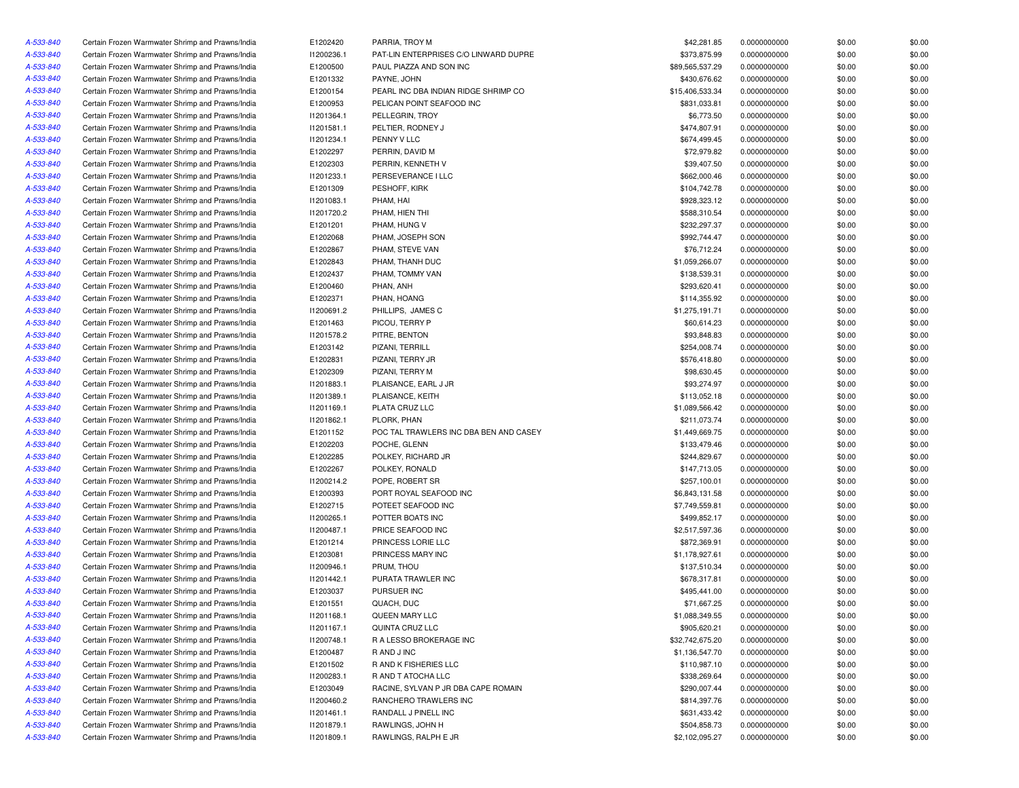| A-533-840 | Certain Frozen Warmwater Shrimp and Prawns/India | E1202420             | PARRIA, TROY M                         | \$42,281.85     | 0.0000000000 | \$0.00 | \$0.00           |
|-----------|--------------------------------------------------|----------------------|----------------------------------------|-----------------|--------------|--------|------------------|
| A-533-840 | Certain Frozen Warmwater Shrimp and Prawns/India | 11200236.1           | PAT-LIN ENTERPRISES C/O LINWARD DUPRE  | \$373,875.99    | 0.0000000000 | \$0.00 | \$0.00           |
| A-533-840 | Certain Frozen Warmwater Shrimp and Prawns/India | E1200500             | PAUL PIAZZA AND SON INC                | \$89,565,537.29 | 0.0000000000 | \$0.00 | \$0.00           |
| A-533-840 | Certain Frozen Warmwater Shrimp and Prawns/India | E1201332             | PAYNE, JOHN                            | \$430,676.62    | 0.0000000000 | \$0.00 | \$0.00           |
| A-533-840 | Certain Frozen Warmwater Shrimp and Prawns/India | E1200154             | PEARL INC DBA INDIAN RIDGE SHRIMP CO   | \$15,406,533.34 | 0.0000000000 | \$0.00 | \$0.00           |
| A-533-840 | Certain Frozen Warmwater Shrimp and Prawns/India | E1200953             | PELICAN POINT SEAFOOD INC              | \$831,033.81    | 0.0000000000 | \$0.00 | \$0.00           |
| A-533-840 | Certain Frozen Warmwater Shrimp and Prawns/India | 11201364.1           | PELLEGRIN, TROY                        | \$6,773.50      | 0.0000000000 | \$0.00 | \$0.00           |
| A-533-840 | Certain Frozen Warmwater Shrimp and Prawns/India | 11201581.1           | PELTIER, RODNEY J                      | \$474,807.91    | 0.0000000000 | \$0.00 | \$0.00           |
| A-533-840 |                                                  | 11201234.1           | PENNY V LLC                            | \$674,499.45    |              |        | \$0.00           |
|           | Certain Frozen Warmwater Shrimp and Prawns/India |                      |                                        |                 | 0.0000000000 | \$0.00 |                  |
| A-533-840 | Certain Frozen Warmwater Shrimp and Prawns/India | E1202297             | PERRIN, DAVID M                        | \$72,979.82     | 0.0000000000 | \$0.00 | \$0.00           |
| A-533-840 | Certain Frozen Warmwater Shrimp and Prawns/India | E1202303             | PERRIN, KENNETH V                      | \$39,407.50     | 0.0000000000 | \$0.00 | \$0.00           |
| A-533-840 | Certain Frozen Warmwater Shrimp and Prawns/India | 11201233.1           | PERSEVERANCE I LLC                     | \$662,000.46    | 0.0000000000 | \$0.00 | \$0.00           |
| A-533-840 | Certain Frozen Warmwater Shrimp and Prawns/India | E1201309             | PESHOFF, KIRK                          | \$104,742.78    | 0.0000000000 | \$0.00 | \$0.00           |
| A-533-840 | Certain Frozen Warmwater Shrimp and Prawns/India | 11201083.1           | PHAM, HAI                              | \$928,323.12    | 0.0000000000 | \$0.00 | \$0.00           |
| A-533-840 | Certain Frozen Warmwater Shrimp and Prawns/India | 11201720.2           | PHAM, HIEN THI                         | \$588,310.54    | 0.0000000000 | \$0.00 | \$0.00           |
| A-533-840 | Certain Frozen Warmwater Shrimp and Prawns/India | E1201201             | PHAM, HUNG V                           | \$232,297.37    | 0.0000000000 | \$0.00 | \$0.00           |
| A-533-840 | Certain Frozen Warmwater Shrimp and Prawns/India | E1202068             | PHAM, JOSEPH SON                       | \$992,744.47    | 0.0000000000 | \$0.00 | \$0.00           |
| A-533-840 | Certain Frozen Warmwater Shrimp and Prawns/India | E1202867             | PHAM, STEVE VAN                        | \$76,712.24     | 0.0000000000 | \$0.00 | \$0.00           |
| A-533-840 | Certain Frozen Warmwater Shrimp and Prawns/India | E1202843             | PHAM, THANH DUC                        | \$1,059,266.07  | 0.0000000000 | \$0.00 | \$0.00           |
| A-533-840 | Certain Frozen Warmwater Shrimp and Prawns/India | E1202437             | PHAM, TOMMY VAN                        | \$138,539.31    | 0.0000000000 | \$0.00 | \$0.00           |
| A-533-840 | Certain Frozen Warmwater Shrimp and Prawns/India | E1200460             | PHAN, ANH                              | \$293,620.41    | 0.0000000000 | \$0.00 | \$0.00           |
| A-533-840 | Certain Frozen Warmwater Shrimp and Prawns/India | E1202371             | PHAN, HOANG                            | \$114,355.92    | 0.0000000000 | \$0.00 | \$0.00           |
| A-533-840 | Certain Frozen Warmwater Shrimp and Prawns/India | 11200691.2           | PHILLIPS, JAMES C                      | \$1,275,191.71  | 0.0000000000 | \$0.00 | \$0.00           |
| A-533-840 | Certain Frozen Warmwater Shrimp and Prawns/India | E1201463             | PICOU, TERRY P                         | \$60,614.23     | 0.0000000000 | \$0.00 | \$0.00           |
| A-533-840 | Certain Frozen Warmwater Shrimp and Prawns/India | 11201578.2           | PITRE, BENTON                          | \$93,848.83     | 0.0000000000 | \$0.00 | \$0.00           |
| A-533-840 | Certain Frozen Warmwater Shrimp and Prawns/India | E1203142             | PIZANI, TERRILL                        | \$254,008.74    | 0.0000000000 | \$0.00 | \$0.00           |
| A-533-840 | Certain Frozen Warmwater Shrimp and Prawns/India | E1202831             | PIZANI, TERRY JR                       | \$576,418.80    | 0.0000000000 | \$0.00 | \$0.00           |
| A-533-840 | Certain Frozen Warmwater Shrimp and Prawns/India | E1202309             | PIZANI, TERRY M                        | \$98,630.45     | 0.0000000000 | \$0.00 | \$0.00           |
| A-533-840 | Certain Frozen Warmwater Shrimp and Prawns/India | 11201883.1           | PLAISANCE, EARL J JR                   | \$93,274.97     | 0.0000000000 | \$0.00 | \$0.00           |
| A-533-840 | Certain Frozen Warmwater Shrimp and Prawns/India | 11201389.1           | PLAISANCE, KEITH                       | \$113,052.18    | 0.0000000000 | \$0.00 | \$0.00           |
| A-533-840 | Certain Frozen Warmwater Shrimp and Prawns/India | 11201169.1           | PLATA CRUZ LLC                         | \$1,089,566.42  | 0.0000000000 | \$0.00 | \$0.00           |
| A-533-840 | Certain Frozen Warmwater Shrimp and Prawns/India | 11201862.1           | PLORK, PHAN                            | \$211,073.74    | 0.0000000000 | \$0.00 | \$0.00           |
| A-533-840 | Certain Frozen Warmwater Shrimp and Prawns/India | E1201152             | POC TAL TRAWLERS INC DBA BEN AND CASEY | \$1,449,669.75  | 0.0000000000 | \$0.00 | \$0.00           |
| A-533-840 | Certain Frozen Warmwater Shrimp and Prawns/India |                      | POCHE, GLENN                           | \$133,479.46    |              |        |                  |
|           |                                                  | E1202203             |                                        |                 | 0.0000000000 | \$0.00 | \$0.00           |
| A-533-840 | Certain Frozen Warmwater Shrimp and Prawns/India | E1202285<br>E1202267 | POLKEY, RICHARD JR                     | \$244,829.67    | 0.0000000000 | \$0.00 | \$0.00<br>\$0.00 |
| A-533-840 | Certain Frozen Warmwater Shrimp and Prawns/India |                      | POLKEY, RONALD                         | \$147,713.05    | 0.0000000000 | \$0.00 |                  |
| A-533-840 | Certain Frozen Warmwater Shrimp and Prawns/India | 11200214.2           | POPE, ROBERT SR                        | \$257,100.01    | 0.0000000000 | \$0.00 | \$0.00           |
| A-533-840 | Certain Frozen Warmwater Shrimp and Prawns/India | E1200393             | PORT ROYAL SEAFOOD INC                 | \$6,843,131.58  | 0.0000000000 | \$0.00 | \$0.00           |
| A-533-840 | Certain Frozen Warmwater Shrimp and Prawns/India | E1202715             | POTEET SEAFOOD INC                     | \$7,749,559.81  | 0.0000000000 | \$0.00 | \$0.00           |
| A-533-840 | Certain Frozen Warmwater Shrimp and Prawns/India | 11200265.1           | POTTER BOATS INC                       | \$499,852.17    | 0.0000000000 | \$0.00 | \$0.00           |
| A-533-840 | Certain Frozen Warmwater Shrimp and Prawns/India | 11200487.1           | PRICE SEAFOOD INC                      | \$2,517,597.36  | 0.0000000000 | \$0.00 | \$0.00           |
| A-533-840 | Certain Frozen Warmwater Shrimp and Prawns/India | E1201214             | PRINCESS LORIE LLC                     | \$872,369.91    | 0.0000000000 | \$0.00 | \$0.00           |
| A-533-840 | Certain Frozen Warmwater Shrimp and Prawns/India | E1203081             | PRINCESS MARY INC                      | \$1,178,927.61  | 0.0000000000 | \$0.00 | \$0.00           |
| A-533-840 | Certain Frozen Warmwater Shrimp and Prawns/India | I1200946.1           | PRUM. THOU                             | \$137,510.34    | 0.0000000000 | \$0.00 | \$0.00           |
| A-533-840 | Certain Frozen Warmwater Shrimp and Prawns/India | 11201442.1           | PURATA TRAWLER INC                     | \$678,317.81    | 0.0000000000 | \$0.00 | \$0.00           |
| A-533-840 | Certain Frozen Warmwater Shrimp and Prawns/India | E1203037             | PURSUER INC                            | \$495,441.00    | 0.0000000000 | \$0.00 | \$0.00           |
| A-533-840 | Certain Frozen Warmwater Shrimp and Prawns/India | E1201551             | QUACH, DUC                             | \$71.667.25     | 0.0000000000 | \$0.00 | \$0.00           |
| A-533-840 | Certain Frozen Warmwater Shrimp and Prawns/India | 11201168.1           | QUEEN MARY LLC                         | \$1,088,349.55  | 0.0000000000 | \$0.00 | \$0.00           |
| A-533-840 | Certain Frozen Warmwater Shrimp and Prawns/India | 11201167.1           | QUINTA CRUZ LLC                        | \$905,620.21    | 0.0000000000 | \$0.00 | \$0.00           |
| A-533-840 | Certain Frozen Warmwater Shrimp and Prawns/India | 11200748.1           | R A LESSO BROKERAGE INC                | \$32,742,675.20 | 0.0000000000 | \$0.00 | \$0.00           |
| A-533-840 | Certain Frozen Warmwater Shrimp and Prawns/India | E1200487             | R AND J INC                            | \$1,136,547.70  | 0.0000000000 | \$0.00 | \$0.00           |
| A-533-840 | Certain Frozen Warmwater Shrimp and Prawns/India | E1201502             | R AND K FISHERIES LLC                  | \$110,987.10    | 0.0000000000 | \$0.00 | \$0.00           |
| A-533-840 | Certain Frozen Warmwater Shrimp and Prawns/India | 11200283.1           | R AND T ATOCHA LLC                     | \$338,269.64    | 0.0000000000 | \$0.00 | \$0.00           |
| A-533-840 | Certain Frozen Warmwater Shrimp and Prawns/India | E1203049             | RACINE, SYLVAN P JR DBA CAPE ROMAIN    | \$290,007.44    | 0.0000000000 | \$0.00 | \$0.00           |
| A-533-840 | Certain Frozen Warmwater Shrimp and Prawns/India | 11200460.2           | RANCHERO TRAWLERS INC                  | \$814,397.76    | 0.0000000000 | \$0.00 | \$0.00           |
| A-533-840 | Certain Frozen Warmwater Shrimp and Prawns/India | 11201461.1           | RANDALL J PINELL INC                   | \$631,433.42    | 0.0000000000 | \$0.00 | \$0.00           |
| A-533-840 | Certain Frozen Warmwater Shrimp and Prawns/India | 11201879.1           | RAWLINGS, JOHN H                       | \$504,858.73    | 0.0000000000 | \$0.00 | \$0.00           |
| A-533-840 | Certain Frozen Warmwater Shrimp and Prawns/India | 11201809.1           | RAWLINGS, RALPH E JR                   | \$2,102,095.27  | 0.0000000000 | \$0.00 | \$0.00           |
|           |                                                  |                      |                                        |                 |              |        |                  |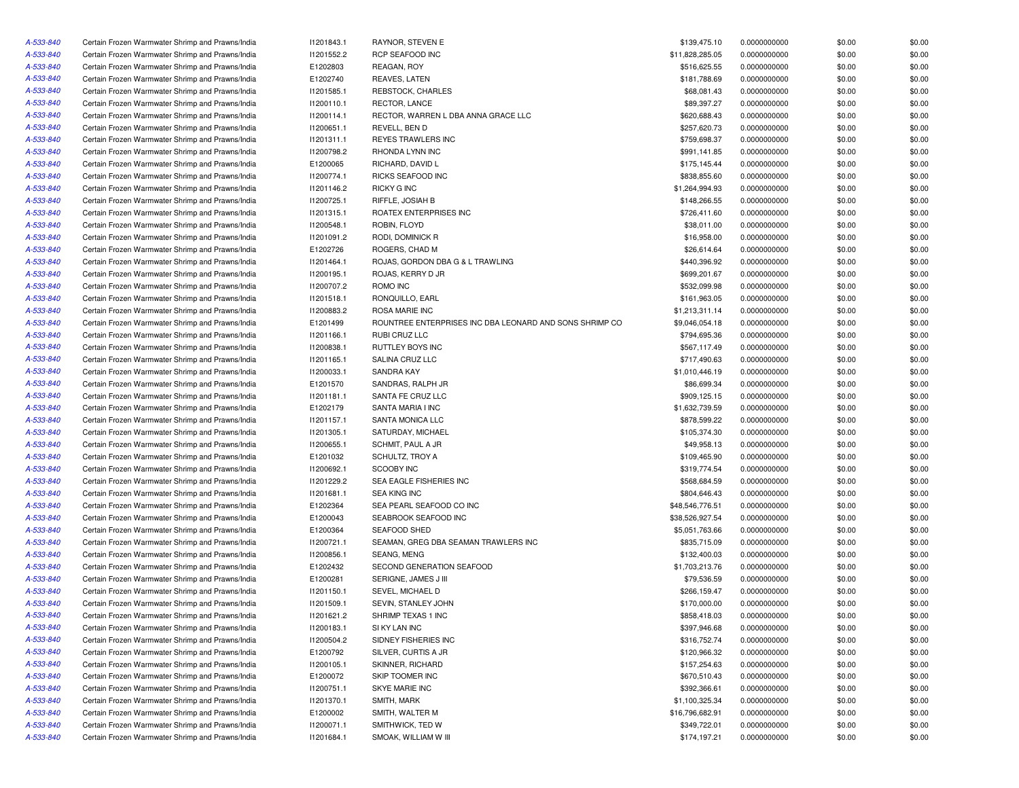| A-533-840 | Certain Frozen Warmwater Shrimp and Prawns/India | 11201843.1 | RAYNOR, STEVEN E                                        | \$139,475.10    | 0.0000000000 | \$0.00 | \$0.00 |
|-----------|--------------------------------------------------|------------|---------------------------------------------------------|-----------------|--------------|--------|--------|
| A-533-840 | Certain Frozen Warmwater Shrimp and Prawns/India | 11201552.2 | <b>RCP SEAFOOD INC</b>                                  | \$11,828,285.05 | 0.0000000000 | \$0.00 | \$0.00 |
| A-533-840 | Certain Frozen Warmwater Shrimp and Prawns/India | E1202803   | REAGAN, ROY                                             | \$516,625.55    | 0.0000000000 | \$0.00 | \$0.00 |
| A-533-840 | Certain Frozen Warmwater Shrimp and Prawns/India | E1202740   | REAVES, LATEN                                           | \$181,788.69    | 0.0000000000 | \$0.00 | \$0.00 |
| A-533-840 | Certain Frozen Warmwater Shrimp and Prawns/India | I1201585.1 | REBSTOCK, CHARLES                                       | \$68,081.43     | 0.0000000000 | \$0.00 | \$0.00 |
| A-533-840 | Certain Frozen Warmwater Shrimp and Prawns/India | 11200110.1 | RECTOR, LANCE                                           | \$89,397.27     | 0.0000000000 | \$0.00 | \$0.00 |
| A-533-840 | Certain Frozen Warmwater Shrimp and Prawns/India | 11200114.1 | RECTOR, WARREN L DBA ANNA GRACE LLC                     | \$620,688.43    | 0.0000000000 | \$0.00 | \$0.00 |
| A-533-840 | Certain Frozen Warmwater Shrimp and Prawns/India | 11200651.1 | REVELL, BEN D                                           | \$257,620.73    | 0.0000000000 | \$0.00 | \$0.00 |
| A-533-840 | Certain Frozen Warmwater Shrimp and Prawns/India | 11201311.1 | REYES TRAWLERS INC                                      | \$759,698.37    | 0.0000000000 | \$0.00 | \$0.00 |
| A-533-840 | Certain Frozen Warmwater Shrimp and Prawns/India | 11200798.2 | RHONDA LYNN INC                                         | \$991,141.85    | 0.0000000000 | \$0.00 | \$0.00 |
| A-533-840 | Certain Frozen Warmwater Shrimp and Prawns/India | E1200065   | RICHARD, DAVID L                                        | \$175,145.44    | 0.0000000000 | \$0.00 | \$0.00 |
| A-533-840 | Certain Frozen Warmwater Shrimp and Prawns/India | 11200774.1 | RICKS SEAFOOD INC                                       | \$838,855.60    | 0.0000000000 | \$0.00 | \$0.00 |
| A-533-840 | Certain Frozen Warmwater Shrimp and Prawns/India | 11201146.2 | RICKY G INC                                             | \$1,264,994.93  | 0.0000000000 | \$0.00 | \$0.00 |
| A-533-840 | Certain Frozen Warmwater Shrimp and Prawns/India | 11200725.1 | RIFFLE, JOSIAH B                                        | \$148,266.55    | 0.0000000000 | \$0.00 | \$0.00 |
| A-533-840 | Certain Frozen Warmwater Shrimp and Prawns/India | 11201315.1 | ROATEX ENTERPRISES INC                                  | \$726,411.60    | 0.0000000000 | \$0.00 | \$0.00 |
| A-533-840 | Certain Frozen Warmwater Shrimp and Prawns/India | 11200548.1 | ROBIN, FLOYD                                            | \$38,011.00     | 0.0000000000 | \$0.00 | \$0.00 |
| A-533-840 | Certain Frozen Warmwater Shrimp and Prawns/India | 11201091.2 | RODI, DOMINICK R                                        | \$16,958.00     | 0.0000000000 | \$0.00 | \$0.00 |
| A-533-840 | Certain Frozen Warmwater Shrimp and Prawns/India | E1202726   | ROGERS, CHAD M                                          | \$26,614.64     | 0.0000000000 | \$0.00 | \$0.00 |
| A-533-840 | Certain Frozen Warmwater Shrimp and Prawns/India | 11201464.1 | ROJAS, GORDON DBA G & L TRAWLING                        | \$440,396.92    | 0.0000000000 | \$0.00 | \$0.00 |
|           |                                                  |            |                                                         |                 |              |        |        |
| A-533-840 | Certain Frozen Warmwater Shrimp and Prawns/India | 11200195.1 | ROJAS, KERRY D JR                                       | \$699,201.67    | 0.0000000000 | \$0.00 | \$0.00 |
| A-533-840 | Certain Frozen Warmwater Shrimp and Prawns/India | 11200707.2 | ROMO INC                                                | \$532,099.98    | 0.0000000000 | \$0.00 | \$0.00 |
| A-533-840 | Certain Frozen Warmwater Shrimp and Prawns/India | 11201518.1 | RONQUILLO, EARL                                         | \$161,963.05    | 0.0000000000 | \$0.00 | \$0.00 |
| A-533-840 | Certain Frozen Warmwater Shrimp and Prawns/India | 11200883.2 | ROSA MARIE INC                                          | \$1,213,311.14  | 0.0000000000 | \$0.00 | \$0.00 |
| A-533-840 | Certain Frozen Warmwater Shrimp and Prawns/India | E1201499   | ROUNTREE ENTERPRISES INC DBA LEONARD AND SONS SHRIMP CO | \$9,046,054.18  | 0.0000000000 | \$0.00 | \$0.00 |
| A-533-840 | Certain Frozen Warmwater Shrimp and Prawns/India | 11201166.1 | RUBI CRUZ LLC                                           | \$794,695.36    | 0.0000000000 | \$0.00 | \$0.00 |
| A-533-840 | Certain Frozen Warmwater Shrimp and Prawns/India | 11200838.1 | RUTTLEY BOYS INC                                        | \$567,117.49    | 0.0000000000 | \$0.00 | \$0.00 |
| A-533-840 | Certain Frozen Warmwater Shrimp and Prawns/India | 11201165.1 | SALINA CRUZ LLC                                         | \$717,490.63    | 0.0000000000 | \$0.00 | \$0.00 |
| A-533-840 | Certain Frozen Warmwater Shrimp and Prawns/India | 11200033.1 | <b>SANDRA KAY</b>                                       | \$1,010,446.19  | 0.0000000000 | \$0.00 | \$0.00 |
| A-533-840 | Certain Frozen Warmwater Shrimp and Prawns/India | E1201570   | SANDRAS, RALPH JR                                       | \$86,699.34     | 0.0000000000 | \$0.00 | \$0.00 |
| A-533-840 | Certain Frozen Warmwater Shrimp and Prawns/India | 11201181.1 | SANTA FE CRUZ LLC                                       | \$909,125.15    | 0.0000000000 | \$0.00 | \$0.00 |
| A-533-840 | Certain Frozen Warmwater Shrimp and Prawns/India | E1202179   | SANTA MARIA I INC                                       | \$1,632,739.59  | 0.0000000000 | \$0.00 | \$0.00 |
| A-533-840 | Certain Frozen Warmwater Shrimp and Prawns/India | 11201157.1 | SANTA MONICA LLC                                        | \$878,599.22    | 0.0000000000 | \$0.00 | \$0.00 |
| A-533-840 | Certain Frozen Warmwater Shrimp and Prawns/India | 11201305.1 | SATURDAY, MICHAEL                                       | \$105,374.30    | 0.0000000000 | \$0.00 | \$0.00 |
| A-533-840 | Certain Frozen Warmwater Shrimp and Prawns/India | 11200655.1 | SCHMIT, PAUL A JR                                       | \$49,958.13     | 0.0000000000 | \$0.00 | \$0.00 |
| A-533-840 | Certain Frozen Warmwater Shrimp and Prawns/India | E1201032   | SCHULTZ, TROY A                                         | \$109,465.90    | 0.0000000000 | \$0.00 | \$0.00 |
| A-533-840 | Certain Frozen Warmwater Shrimp and Prawns/India | 11200692.1 | SCOOBY INC                                              | \$319,774.54    | 0.0000000000 | \$0.00 | \$0.00 |
| A-533-840 | Certain Frozen Warmwater Shrimp and Prawns/India | 11201229.2 | SEA EAGLE FISHERIES INC                                 | \$568,684.59    | 0.0000000000 | \$0.00 | \$0.00 |
| A-533-840 | Certain Frozen Warmwater Shrimp and Prawns/India | 11201681.1 | <b>SEA KING INC</b>                                     | \$804,646.43    | 0.0000000000 | \$0.00 | \$0.00 |
| A-533-840 | Certain Frozen Warmwater Shrimp and Prawns/India | E1202364   | SEA PEARL SEAFOOD CO INC                                | \$48,546,776.51 | 0.0000000000 | \$0.00 | \$0.00 |
| A-533-840 | Certain Frozen Warmwater Shrimp and Prawns/India | E1200043   | SEABROOK SEAFOOD INC                                    | \$38,526,927.54 | 0.0000000000 | \$0.00 | \$0.00 |
| A-533-840 | Certain Frozen Warmwater Shrimp and Prawns/India | E1200364   | SEAFOOD SHED                                            | \$5,051,763.66  | 0.0000000000 | \$0.00 | \$0.00 |
| A-533-840 | Certain Frozen Warmwater Shrimp and Prawns/India | 11200721.1 | SEAMAN, GREG DBA SEAMAN TRAWLERS INC                    | \$835,715.09    | 0.0000000000 | \$0.00 | \$0.00 |
| A-533-840 | Certain Frozen Warmwater Shrimp and Prawns/India | I1200856.1 | SEANG, MENG                                             | \$132,400.03    | 0.0000000000 | \$0.00 | \$0.00 |
| A-533-840 | Certain Frozen Warmwater Shrimp and Prawns/India | E1202432   | SECOND GENERATION SEAFOOD                               | \$1,703,213.76  | 0.0000000000 | \$0.00 | \$0.00 |
| A-533-840 | Certain Frozen Warmwater Shrimp and Prawns/India | E1200281   | SERIGNE, JAMES J III                                    | \$79,536.59     | 0.0000000000 | \$0.00 | \$0.00 |
| A-533-840 | Certain Frozen Warmwater Shrimp and Prawns/India | 11201150.1 | SEVEL. MICHAEL D                                        | \$266,159.47    | 0.0000000000 | \$0.00 | \$0.00 |
| A-533-840 | Certain Frozen Warmwater Shrimp and Prawns/India | 11201509.1 | SEVIN, STANLEY JOHN                                     | \$170,000.00    | 0.0000000000 | \$0.00 | \$0.00 |
|           | Certain Frozen Warmwater Shrimp and Prawns/India |            |                                                         |                 | 0.0000000000 |        |        |
| A-533-840 |                                                  | 11201621.2 | SHRIMP TEXAS 1 INC                                      | \$858,418.03    |              | \$0.00 | \$0.00 |
| A-533-840 | Certain Frozen Warmwater Shrimp and Prawns/India | 11200183.1 | SI KY LAN INC                                           | \$397,946.68    | 0.0000000000 | \$0.00 | \$0.00 |
| A-533-840 | Certain Frozen Warmwater Shrimp and Prawns/India | 11200504.2 | SIDNEY FISHERIES INC                                    | \$316,752.74    | 0.0000000000 | \$0.00 | \$0.00 |
| A-533-840 | Certain Frozen Warmwater Shrimp and Prawns/India | E1200792   | SILVER, CURTIS A JR                                     | \$120,966.32    | 0.0000000000 | \$0.00 | \$0.00 |
| A-533-840 | Certain Frozen Warmwater Shrimp and Prawns/India | 11200105.1 | SKINNER, RICHARD                                        | \$157,254.63    | 0.0000000000 | \$0.00 | \$0.00 |
| A-533-840 | Certain Frozen Warmwater Shrimp and Prawns/India | E1200072   | SKIP TOOMER INC                                         | \$670,510.43    | 0.0000000000 | \$0.00 | \$0.00 |
| A-533-840 | Certain Frozen Warmwater Shrimp and Prawns/India | 11200751.1 | SKYE MARIE INC                                          | \$392,366.61    | 0.0000000000 | \$0.00 | \$0.00 |
| A-533-840 | Certain Frozen Warmwater Shrimp and Prawns/India | 11201370.1 | SMITH, MARK                                             | \$1,100,325.34  | 0.0000000000 | \$0.00 | \$0.00 |
| A-533-840 | Certain Frozen Warmwater Shrimp and Prawns/India | E1200002   | SMITH, WALTER M                                         | \$16,796,682.91 | 0.0000000000 | \$0.00 | \$0.00 |
| A-533-840 | Certain Frozen Warmwater Shrimp and Prawns/India | 11200071.1 | SMITHWICK, TED W                                        | \$349,722.01    | 0.0000000000 | \$0.00 | \$0.00 |
| A-533-840 | Certain Frozen Warmwater Shrimp and Prawns/India | 11201684.1 | SMOAK, WILLIAM W III                                    | \$174,197.21    | 0.0000000000 | \$0.00 | \$0.00 |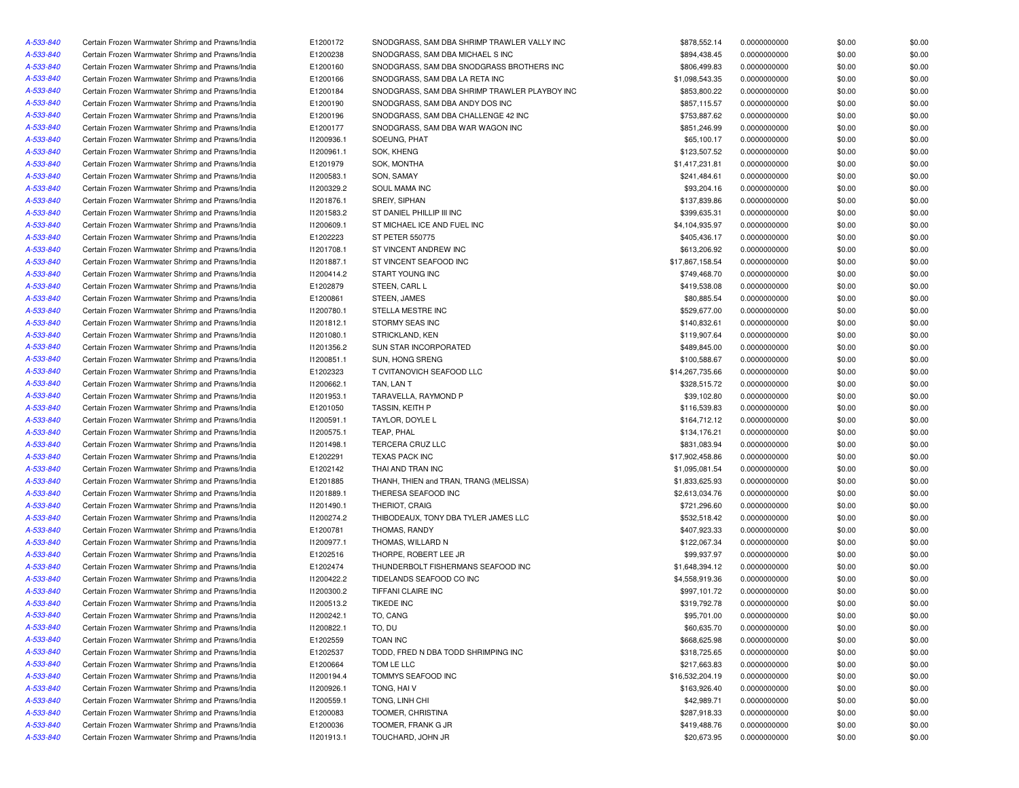| A-533-840 | Certain Frozen Warmwater Shrimp and Prawns/India | E1200172   | SNODGRASS, SAM DBA SHRIMP TRAWLER VALLY INC   | \$878,552.14    | 0.0000000000 | \$0.00 | \$0.00 |
|-----------|--------------------------------------------------|------------|-----------------------------------------------|-----------------|--------------|--------|--------|
| A-533-840 | Certain Frozen Warmwater Shrimp and Prawns/India | E1200238   | SNODGRASS, SAM DBA MICHAEL S INC              | \$894,438.45    | 0.0000000000 | \$0.00 | \$0.00 |
| A-533-840 | Certain Frozen Warmwater Shrimp and Prawns/India | E1200160   | SNODGRASS, SAM DBA SNODGRASS BROTHERS INC     | \$806,499.83    | 0.0000000000 | \$0.00 | \$0.00 |
| A-533-840 | Certain Frozen Warmwater Shrimp and Prawns/India | E1200166   | SNODGRASS, SAM DBA LA RETA INC                | \$1.098.543.35  | 0.0000000000 | \$0.00 | \$0.00 |
| A-533-840 | Certain Frozen Warmwater Shrimp and Prawns/India | E1200184   | SNODGRASS, SAM DBA SHRIMP TRAWLER PLAYBOY INC | \$853,800.22    | 0.0000000000 | \$0.00 | \$0.00 |
| A-533-840 | Certain Frozen Warmwater Shrimp and Prawns/India | E1200190   | SNODGRASS, SAM DBA ANDY DOS INC               | \$857,115.57    | 0.0000000000 | \$0.00 | \$0.00 |
| A-533-840 | Certain Frozen Warmwater Shrimp and Prawns/India | E1200196   | SNODGRASS, SAM DBA CHALLENGE 42 INC           | \$753,887.62    | 0.0000000000 | \$0.00 | \$0.00 |
| A-533-840 | Certain Frozen Warmwater Shrimp and Prawns/India | E1200177   | SNODGRASS, SAM DBA WAR WAGON INC              | \$851,246.99    | 0.0000000000 | \$0.00 | \$0.00 |
| A-533-840 | Certain Frozen Warmwater Shrimp and Prawns/India | 11200936.1 | SOEUNG, PHAT                                  | \$65,100.17     | 0.0000000000 | \$0.00 | \$0.00 |
| A-533-840 | Certain Frozen Warmwater Shrimp and Prawns/India | 11200961.1 | SOK, KHENG                                    | \$123,507.52    | 0.0000000000 | \$0.00 | \$0.00 |
| A-533-840 | Certain Frozen Warmwater Shrimp and Prawns/India | E1201979   | SOK, MONTHA                                   | \$1,417,231.81  | 0.0000000000 | \$0.00 | \$0.00 |
| A-533-840 | Certain Frozen Warmwater Shrimp and Prawns/India | 11200583.1 | SON, SAMAY                                    | \$241,484.61    | 0.0000000000 | \$0.00 | \$0.00 |
| A-533-840 | Certain Frozen Warmwater Shrimp and Prawns/India | 11200329.2 | SOUL MAMA INC                                 | \$93,204.16     | 0.0000000000 | \$0.00 | \$0.00 |
| A-533-840 | Certain Frozen Warmwater Shrimp and Prawns/India | 11201876.1 | SREIY, SIPHAN                                 | \$137,839.86    | 0.0000000000 | \$0.00 | \$0.00 |
| A-533-840 | Certain Frozen Warmwater Shrimp and Prawns/India | 11201583.2 | ST DANIEL PHILLIP III INC                     | \$399,635.31    | 0.0000000000 | \$0.00 | \$0.00 |
| A-533-840 |                                                  |            |                                               |                 |              |        |        |
|           | Certain Frozen Warmwater Shrimp and Prawns/India | 11200609.1 | ST MICHAEL ICE AND FUEL INC                   | \$4,104,935.97  | 0.0000000000 | \$0.00 | \$0.00 |
| A-533-840 | Certain Frozen Warmwater Shrimp and Prawns/India | E1202223   | <b>ST PETER 550775</b>                        | \$405,436.17    | 0.0000000000 | \$0.00 | \$0.00 |
| A-533-840 | Certain Frozen Warmwater Shrimp and Prawns/India | 11201708.1 | ST VINCENT ANDREW INC                         | \$613,206.92    | 0.0000000000 | \$0.00 | \$0.00 |
| A-533-840 | Certain Frozen Warmwater Shrimp and Prawns/India | 11201887.1 | ST VINCENT SEAFOOD INC                        | \$17,867,158.54 | 0.0000000000 | \$0.00 | \$0.00 |
| A-533-840 | Certain Frozen Warmwater Shrimp and Prawns/India | 11200414.2 | START YOUNG INC                               | \$749,468.70    | 0.0000000000 | \$0.00 | \$0.00 |
| A-533-840 | Certain Frozen Warmwater Shrimp and Prawns/India | E1202879   | STEEN, CARL L                                 | \$419,538.08    | 0.0000000000 | \$0.00 | \$0.00 |
| A-533-840 | Certain Frozen Warmwater Shrimp and Prawns/India | E1200861   | STEEN, JAMES                                  | \$80,885.54     | 0.0000000000 | \$0.00 | \$0.00 |
| A-533-840 | Certain Frozen Warmwater Shrimp and Prawns/India | 11200780.1 | STELLA MESTRE INC                             | \$529,677.00    | 0.0000000000 | \$0.00 | \$0.00 |
| A-533-840 | Certain Frozen Warmwater Shrimp and Prawns/India | 11201812.1 | STORMY SEAS INC                               | \$140,832.61    | 0.0000000000 | \$0.00 | \$0.00 |
| A-533-840 | Certain Frozen Warmwater Shrimp and Prawns/India | 11201080.1 | STRICKLAND, KEN                               | \$119,907.64    | 0.0000000000 | \$0.00 | \$0.00 |
| A-533-840 | Certain Frozen Warmwater Shrimp and Prawns/India | 11201356.2 | <b>SUN STAR INCORPORATED</b>                  | \$489,845.00    | 0.0000000000 | \$0.00 | \$0.00 |
| A-533-840 | Certain Frozen Warmwater Shrimp and Prawns/India | 11200851.1 | SUN, HONG SRENG                               | \$100,588.67    | 0.0000000000 | \$0.00 | \$0.00 |
| A-533-840 | Certain Frozen Warmwater Shrimp and Prawns/India | E1202323   | T CVITANOVICH SEAFOOD LLC                     | \$14,267,735.66 | 0.0000000000 | \$0.00 | \$0.00 |
| A-533-840 | Certain Frozen Warmwater Shrimp and Prawns/India | 11200662.1 | TAN. LAN T                                    | \$328,515.72    | 0.0000000000 | \$0.00 | \$0.00 |
| A-533-840 | Certain Frozen Warmwater Shrimp and Prawns/India | 11201953.1 | TARAVELLA, RAYMOND P                          | \$39,102.80     | 0.0000000000 | \$0.00 | \$0.00 |
| A-533-840 | Certain Frozen Warmwater Shrimp and Prawns/India | E1201050   | TASSIN, KEITH P                               | \$116,539.83    | 0.0000000000 | \$0.00 | \$0.00 |
| A-533-840 | Certain Frozen Warmwater Shrimp and Prawns/India | 11200591.1 | TAYLOR, DOYLE L                               | \$164,712.12    | 0.0000000000 | \$0.00 | \$0.00 |
| A-533-840 | Certain Frozen Warmwater Shrimp and Prawns/India | 11200575.1 | TEAP, PHAL                                    | \$134,176.21    | 0.0000000000 | \$0.00 | \$0.00 |
| A-533-840 | Certain Frozen Warmwater Shrimp and Prawns/India | 11201498.1 | TERCERA CRUZ LLC                              | \$831,083.94    | 0.0000000000 | \$0.00 | \$0.00 |
| A-533-840 | Certain Frozen Warmwater Shrimp and Prawns/India | E1202291   | <b>TEXAS PACK INC</b>                         | \$17,902,458.86 | 0.0000000000 | \$0.00 | \$0.00 |
| A-533-840 | Certain Frozen Warmwater Shrimp and Prawns/India | E1202142   | THAI AND TRAN INC                             | \$1,095,081.54  | 0.0000000000 | \$0.00 | \$0.00 |
| A-533-840 | Certain Frozen Warmwater Shrimp and Prawns/India | E1201885   | THANH, THIEN and TRAN, TRANG (MELISSA)        | \$1,833,625.93  | 0.0000000000 | \$0.00 | \$0.00 |
| A-533-840 | Certain Frozen Warmwater Shrimp and Prawns/India | 11201889.1 | THERESA SEAFOOD INC                           | \$2,613,034.76  | 0.0000000000 | \$0.00 | \$0.00 |
| A-533-840 | Certain Frozen Warmwater Shrimp and Prawns/India | 11201490.1 | THERIOT, CRAIG                                | \$721,296.60    | 0.0000000000 | \$0.00 | \$0.00 |
| A-533-840 | Certain Frozen Warmwater Shrimp and Prawns/India | 11200274.2 | THIBODEAUX, TONY DBA TYLER JAMES LLC          | \$532,518.42    | 0.0000000000 | \$0.00 | \$0.00 |
| A-533-840 | Certain Frozen Warmwater Shrimp and Prawns/India | E1200781   | THOMAS, RANDY                                 | \$407,923.33    | 0.0000000000 | \$0.00 | \$0.00 |
| A-533-840 | Certain Frozen Warmwater Shrimp and Prawns/India | 11200977.1 | THOMAS, WILLARD N                             | \$122,067.34    | 0.0000000000 | \$0.00 | \$0.00 |
| A-533-840 | Certain Frozen Warmwater Shrimp and Prawns/India | E1202516   | THORPE, ROBERT LEE JR                         | \$99,937.97     | 0.0000000000 | \$0.00 | \$0.00 |
| A-533-840 | Certain Frozen Warmwater Shrimp and Prawns/India | E1202474   | THUNDERBOLT FISHERMANS SEAFOOD INC            | \$1,648,394.12  | 0.0000000000 | \$0.00 | \$0.00 |
| A-533-840 |                                                  | 11200422.2 | TIDELANDS SEAFOOD CO INC                      |                 |              |        |        |
|           | Certain Frozen Warmwater Shrimp and Prawns/India |            | TIFFANI CLAIRE INC                            | \$4,558,919.36  | 0.0000000000 | \$0.00 | \$0.00 |
| A-533-840 | Certain Frozen Warmwater Shrimp and Prawns/India | 11200300.2 |                                               | \$997,101.72    | 0.0000000000 | \$0.00 | \$0.00 |
| A-533-840 | Certain Frozen Warmwater Shrimp and Prawns/India | 11200513.2 | <b>TIKEDE INC</b>                             | \$319,792.78    | 0.0000000000 | \$0.00 | \$0.00 |
| A-533-840 | Certain Frozen Warmwater Shrimp and Prawns/India | 11200242.1 | TO, CANG                                      | \$95,701.00     | 0.0000000000 | \$0.00 | \$0.00 |
| A-533-840 | Certain Frozen Warmwater Shrimp and Prawns/India | 11200822.1 | TO, DU                                        | \$60,635.70     | 0.0000000000 | \$0.00 | \$0.00 |
| A-533-840 | Certain Frozen Warmwater Shrimp and Prawns/India | E1202559   | <b>TOAN INC</b>                               | \$668,625.98    | 0.0000000000 | \$0.00 | \$0.00 |
| A-533-840 | Certain Frozen Warmwater Shrimp and Prawns/India | E1202537   | TODD, FRED N DBA TODD SHRIMPING INC           | \$318,725.65    | 0.0000000000 | \$0.00 | \$0.00 |
| A-533-840 | Certain Frozen Warmwater Shrimp and Prawns/India | E1200664   | TOM LE LLC                                    | \$217,663.83    | 0.0000000000 | \$0.00 | \$0.00 |
| A-533-840 | Certain Frozen Warmwater Shrimp and Prawns/India | 11200194.4 | TOMMYS SEAFOOD INC                            | \$16,532,204.19 | 0.0000000000 | \$0.00 | \$0.00 |
| A-533-840 | Certain Frozen Warmwater Shrimp and Prawns/India | 11200926.1 | TONG, HAIV                                    | \$163,926.40    | 0.0000000000 | \$0.00 | \$0.00 |
| A-533-840 | Certain Frozen Warmwater Shrimp and Prawns/India | 11200559.1 | TONG, LINH CHI                                | \$42,989.71     | 0.0000000000 | \$0.00 | \$0.00 |
| A-533-840 | Certain Frozen Warmwater Shrimp and Prawns/India | E1200083   | TOOMER, CHRISTINA                             | \$287,918.33    | 0.0000000000 | \$0.00 | \$0.00 |
| A-533-840 | Certain Frozen Warmwater Shrimp and Prawns/India | E1200036   | TOOMER, FRANK G JR                            | \$419,488.76    | 0.0000000000 | \$0.00 | \$0.00 |
| A-533-840 | Certain Frozen Warmwater Shrimp and Prawns/India | 11201913.1 | TOUCHARD, JOHN JR                             | \$20,673.95     | 0.0000000000 | \$0.00 | \$0.00 |
|           |                                                  |            |                                               |                 |              |        |        |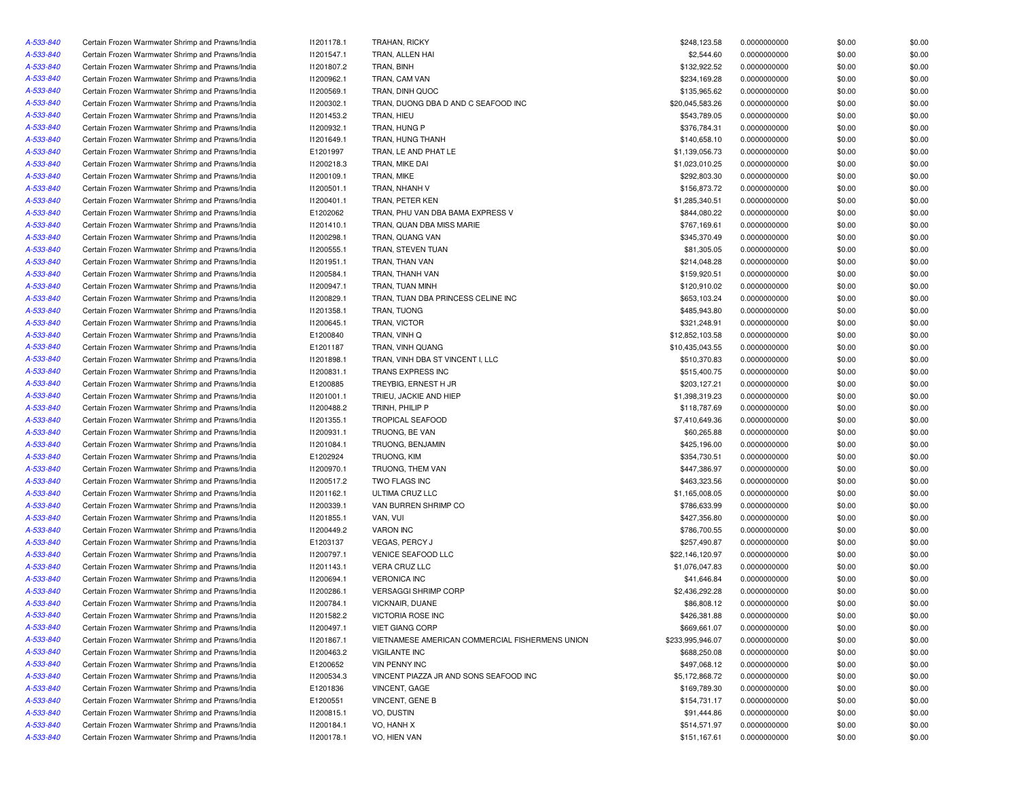| A-533-840 | Certain Frozen Warmwater Shrimp and Prawns/India | 11201178.1 | <b>TRAHAN, RICKY</b>                            | \$248,123.58     | 0.0000000000 | \$0.00 | \$0.00 |
|-----------|--------------------------------------------------|------------|-------------------------------------------------|------------------|--------------|--------|--------|
| A-533-840 | Certain Frozen Warmwater Shrimp and Prawns/India | 11201547.1 | TRAN, ALLEN HAI                                 | \$2,544.60       | 0.0000000000 | \$0.00 | \$0.00 |
| A-533-840 | Certain Frozen Warmwater Shrimp and Prawns/India | 11201807.2 | TRAN, BINH                                      | \$132,922.52     | 0.0000000000 | \$0.00 | \$0.00 |
| A-533-840 | Certain Frozen Warmwater Shrimp and Prawns/India | 11200962.1 | TRAN, CAM VAN                                   | \$234,169.28     | 0.0000000000 | \$0.00 | \$0.00 |
| A-533-840 | Certain Frozen Warmwater Shrimp and Prawns/India | 11200569.1 | TRAN, DINH QUOC                                 | \$135,965.62     | 0.0000000000 | \$0.00 | \$0.00 |
| A-533-840 | Certain Frozen Warmwater Shrimp and Prawns/India | 11200302.1 | TRAN, DUONG DBA D AND C SEAFOOD INC             | \$20,045,583.26  | 0.0000000000 | \$0.00 | \$0.00 |
| A-533-840 | Certain Frozen Warmwater Shrimp and Prawns/India | 11201453.2 | TRAN, HIEU                                      | \$543,789.05     | 0.0000000000 | \$0.00 | \$0.00 |
| A-533-840 | Certain Frozen Warmwater Shrimp and Prawns/India | 11200932.1 | TRAN, HUNG P                                    | \$376,784.31     | 0.0000000000 | \$0.00 | \$0.00 |
| A-533-840 | Certain Frozen Warmwater Shrimp and Prawns/India | 11201649.1 | TRAN, HUNG THANH                                | \$140,658.10     | 0.0000000000 | \$0.00 | \$0.00 |
| A-533-840 | Certain Frozen Warmwater Shrimp and Prawns/India | E1201997   | TRAN, LE AND PHAT LE                            | \$1,139,056.73   | 0.0000000000 | \$0.00 | \$0.00 |
| A-533-840 | Certain Frozen Warmwater Shrimp and Prawns/India | 11200218.3 | TRAN, MIKE DAI                                  | \$1,023,010.25   | 0.0000000000 | \$0.00 | \$0.00 |
| A-533-840 | Certain Frozen Warmwater Shrimp and Prawns/India | 11200109.1 | TRAN, MIKE                                      | \$292,803.30     | 0.0000000000 | \$0.00 | \$0.00 |
| A-533-840 | Certain Frozen Warmwater Shrimp and Prawns/India | 11200501.1 | TRAN, NHANH V                                   | \$156,873.72     | 0.0000000000 | \$0.00 | \$0.00 |
|           |                                                  |            | TRAN, PETER KEN                                 |                  | 0.0000000000 |        |        |
| A-533-840 | Certain Frozen Warmwater Shrimp and Prawns/India | 11200401.1 |                                                 | \$1,285,340.51   |              | \$0.00 | \$0.00 |
| A-533-840 | Certain Frozen Warmwater Shrimp and Prawns/India | E1202062   | TRAN, PHU VAN DBA BAMA EXPRESS V                | \$844,080.22     | 0.0000000000 | \$0.00 | \$0.00 |
| A-533-840 | Certain Frozen Warmwater Shrimp and Prawns/India | 11201410.1 | TRAN, QUAN DBA MISS MARIE                       | \$767.169.61     | 0.0000000000 | \$0.00 | \$0.00 |
| A-533-840 | Certain Frozen Warmwater Shrimp and Prawns/India | I1200298.1 | TRAN, QUANG VAN                                 | \$345,370.49     | 0.0000000000 | \$0.00 | \$0.00 |
| A-533-840 | Certain Frozen Warmwater Shrimp and Prawns/India | 11200555.1 | TRAN, STEVEN TUAN                               | \$81,305.05      | 0.0000000000 | \$0.00 | \$0.00 |
| A-533-840 | Certain Frozen Warmwater Shrimp and Prawns/India | 11201951.1 | TRAN, THAN VAN                                  | \$214,048.28     | 0.0000000000 | \$0.00 | \$0.00 |
| A-533-840 | Certain Frozen Warmwater Shrimp and Prawns/India | 11200584.1 | TRAN, THANH VAN                                 | \$159,920.51     | 0.0000000000 | \$0.00 | \$0.00 |
| A-533-840 | Certain Frozen Warmwater Shrimp and Prawns/India | 11200947.1 | TRAN, TUAN MINH                                 | \$120,910.02     | 0.0000000000 | \$0.00 | \$0.00 |
| A-533-840 | Certain Frozen Warmwater Shrimp and Prawns/India | 11200829.1 | TRAN, TUAN DBA PRINCESS CELINE INC              | \$653,103.24     | 0.0000000000 | \$0.00 | \$0.00 |
| A-533-840 | Certain Frozen Warmwater Shrimp and Prawns/India | 11201358.1 | TRAN, TUONG                                     | \$485,943.80     | 0.0000000000 | \$0.00 | \$0.00 |
| A-533-840 | Certain Frozen Warmwater Shrimp and Prawns/India | 11200645.1 | TRAN, VICTOR                                    | \$321,248.91     | 0.0000000000 | \$0.00 | \$0.00 |
| A-533-840 | Certain Frozen Warmwater Shrimp and Prawns/India | E1200840   | TRAN, VINH Q                                    | \$12,852,103.58  | 0.0000000000 | \$0.00 | \$0.00 |
| A-533-840 | Certain Frozen Warmwater Shrimp and Prawns/India | E1201187   | TRAN. VINH QUANG                                | \$10,435,043.55  | 0.0000000000 | \$0.00 | \$0.00 |
| A-533-840 | Certain Frozen Warmwater Shrimp and Prawns/India | 11201898.1 | TRAN, VINH DBA ST VINCENT I, LLC                | \$510,370.83     | 0.0000000000 | \$0.00 | \$0.00 |
| A-533-840 | Certain Frozen Warmwater Shrimp and Prawns/India | 11200831.1 | TRANS EXPRESS INC                               | \$515,400.75     | 0.0000000000 | \$0.00 | \$0.00 |
| A-533-840 | Certain Frozen Warmwater Shrimp and Prawns/India | E1200885   | TREYBIG, ERNEST H JR                            | \$203,127.21     | 0.0000000000 | \$0.00 | \$0.00 |
| A-533-840 | Certain Frozen Warmwater Shrimp and Prawns/India | 11201001.1 | TRIEU, JACKIE AND HIEP                          | \$1,398,319.23   | 0.0000000000 | \$0.00 | \$0.00 |
| A-533-840 | Certain Frozen Warmwater Shrimp and Prawns/India | I1200488.2 | TRINH, PHILIP P                                 | \$118,787.69     | 0.0000000000 | \$0.00 | \$0.00 |
| A-533-840 | Certain Frozen Warmwater Shrimp and Prawns/India | 11201355.1 | <b>TROPICAL SEAFOOD</b>                         | \$7,410,649.36   | 0.0000000000 | \$0.00 | \$0.00 |
| A-533-840 | Certain Frozen Warmwater Shrimp and Prawns/India | 11200931.1 | TRUONG, BE VAN                                  | \$60,265.88      | 0.0000000000 | \$0.00 | \$0.00 |
| A-533-840 | Certain Frozen Warmwater Shrimp and Prawns/India | 11201084.1 | TRUONG, BENJAMIN                                | \$425,196.00     | 0.0000000000 | \$0.00 | \$0.00 |
| A-533-840 | Certain Frozen Warmwater Shrimp and Prawns/India | E1202924   | TRUONG, KIM                                     | \$354,730.51     | 0.0000000000 | \$0.00 | \$0.00 |
| A-533-840 | Certain Frozen Warmwater Shrimp and Prawns/India | 11200970.1 | TRUONG, THEM VAN                                | \$447,386.97     | 0.0000000000 | \$0.00 | \$0.00 |
| A-533-840 | Certain Frozen Warmwater Shrimp and Prawns/India | 11200517.2 | TWO FLAGS INC                                   | \$463,323.56     | 0.0000000000 | \$0.00 | \$0.00 |
| A-533-840 | Certain Frozen Warmwater Shrimp and Prawns/India | 11201162.1 | ULTIMA CRUZ LLC                                 | \$1,165,008.05   | 0.0000000000 | \$0.00 | \$0.00 |
|           | Certain Frozen Warmwater Shrimp and Prawns/India | 11200339.1 | VAN BURREN SHRIMP CO                            | \$786,633.99     | 0.0000000000 | \$0.00 | \$0.00 |
| A-533-840 |                                                  |            |                                                 |                  |              |        |        |
| A-533-840 | Certain Frozen Warmwater Shrimp and Prawns/India | 11201855.1 | VAN, VUI                                        | \$427,356.80     | 0.0000000000 | \$0.00 | \$0.00 |
| A-533-840 | Certain Frozen Warmwater Shrimp and Prawns/India | 11200449.2 | <b>VARON INC</b>                                | \$786,700.55     | 0.0000000000 | \$0.00 | \$0.00 |
| A-533-840 | Certain Frozen Warmwater Shrimp and Prawns/India | E1203137   | <b>VEGAS, PERCY J</b>                           | \$257,490.87     | 0.0000000000 | \$0.00 | \$0.00 |
| A-533-840 | Certain Frozen Warmwater Shrimp and Prawns/India | 11200797.1 | VENICE SEAFOOD LLC                              | \$22,146,120.97  | 0.0000000000 | \$0.00 | \$0.00 |
| A-533-840 | Certain Frozen Warmwater Shrimp and Prawns/India | 11201143.1 | VERA CRUZ LLC                                   | \$1,076,047.83   | 0.0000000000 | \$0.00 | \$0.00 |
| A-533-840 | Certain Frozen Warmwater Shrimp and Prawns/India | 11200694.1 | <b>VERONICA INC</b>                             | \$41,646.84      | 0.0000000000 | \$0.00 | \$0.00 |
| A-533-840 | Certain Frozen Warmwater Shrimp and Prawns/India | 11200286.1 | <b>VERSAGGI SHRIMP CORP</b>                     | \$2,436,292.28   | 0.0000000000 | \$0.00 | \$0.00 |
| A-533-840 | Certain Frozen Warmwater Shrimp and Prawns/India | 11200784.1 | <b>VICKNAIR, DUANE</b>                          | \$86,808.12      | 0.0000000000 | \$0.00 | \$0.00 |
| A-533-840 | Certain Frozen Warmwater Shrimp and Prawns/India | 11201582.2 | VICTORIA ROSE INC                               | \$426,381.88     | 0.0000000000 | \$0.00 | \$0.00 |
| A-533-840 | Certain Frozen Warmwater Shrimp and Prawns/India | 11200497.1 | <b>VIET GIANG CORP</b>                          | \$669,661.07     | 0.0000000000 | \$0.00 | \$0.00 |
| A-533-840 | Certain Frozen Warmwater Shrimp and Prawns/India | 11201867.1 | VIETNAMESE AMERICAN COMMERCIAL FISHERMENS UNION | \$233,995,946.07 | 0.0000000000 | \$0.00 | \$0.00 |
| A-533-840 | Certain Frozen Warmwater Shrimp and Prawns/India | I1200463.2 | <b>VIGILANTE INC</b>                            | \$688,250.08     | 0.0000000000 | \$0.00 | \$0.00 |
| A-533-840 | Certain Frozen Warmwater Shrimp and Prawns/India | E1200652   | <b>VIN PENNY INC</b>                            | \$497,068.12     | 0.0000000000 | \$0.00 | \$0.00 |
| A-533-840 | Certain Frozen Warmwater Shrimp and Prawns/India | 11200534.3 | VINCENT PIAZZA JR AND SONS SEAFOOD INC          | \$5,172,868.72   | 0.0000000000 | \$0.00 | \$0.00 |
| A-533-840 | Certain Frozen Warmwater Shrimp and Prawns/India | E1201836   | VINCENT, GAGE                                   | \$169,789.30     | 0.0000000000 | \$0.00 | \$0.00 |
| A-533-840 | Certain Frozen Warmwater Shrimp and Prawns/India | E1200551   | VINCENT, GENE B                                 | \$154,731.17     | 0.0000000000 | \$0.00 | \$0.00 |
| A-533-840 | Certain Frozen Warmwater Shrimp and Prawns/India | 11200815.1 | VO, DUSTIN                                      | \$91,444.86      | 0.0000000000 | \$0.00 | \$0.00 |
| A-533-840 | Certain Frozen Warmwater Shrimp and Prawns/India | 11200184.1 | VO, HANH X                                      | \$514,571.97     | 0.0000000000 | \$0.00 | \$0.00 |
| A-533-840 | Certain Frozen Warmwater Shrimp and Prawns/India | 11200178.1 | VO, HIEN VAN                                    | \$151,167.61     | 0.0000000000 | \$0.00 | \$0.00 |
|           |                                                  |            |                                                 |                  |              |        |        |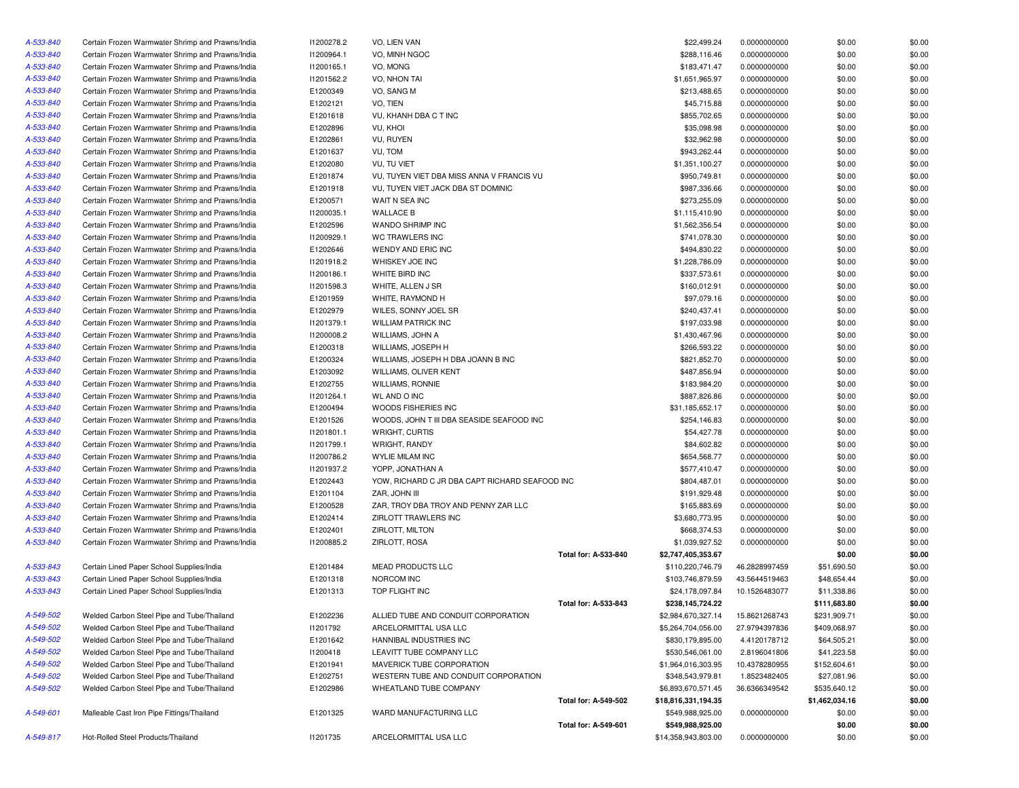| A-533-840 | Certain Frozen Warmwater Shrimp and Prawns/India | 11200278.2 | VO, LIEN VAN                                   |                      | \$22,499.24         | 0.0000000000  | \$0.00         | \$0.00 |
|-----------|--------------------------------------------------|------------|------------------------------------------------|----------------------|---------------------|---------------|----------------|--------|
| A-533-840 | Certain Frozen Warmwater Shrimp and Prawns/India | I1200964.1 | VO, MINH NGOC                                  |                      | \$288,116.46        | 0.0000000000  | \$0.00         | \$0.00 |
| A-533-840 | Certain Frozen Warmwater Shrimp and Prawns/India | I1200165.1 | VO, MONG                                       |                      | \$183,471.47        | 0.0000000000  | \$0.00         | \$0.00 |
| A-533-840 | Certain Frozen Warmwater Shrimp and Prawns/India | 11201562.2 | <b>VO. NHON TAI</b>                            |                      | \$1,651,965.97      | 0.0000000000  | \$0.00         | \$0.00 |
| A-533-840 | Certain Frozen Warmwater Shrimp and Prawns/India | E1200349   | VO, SANG M                                     |                      | \$213,488.65        | 0.0000000000  | \$0.00         | \$0.00 |
| A-533-840 | Certain Frozen Warmwater Shrimp and Prawns/India | E1202121   | VO, TIEN                                       |                      | \$45,715.88         | 0.0000000000  | \$0.00         | \$0.00 |
| A-533-840 | Certain Frozen Warmwater Shrimp and Prawns/India | E1201618   | VU, KHANH DBA C T INC                          |                      | \$855,702.65        | 0.0000000000  | \$0.00         | \$0.00 |
| A-533-840 | Certain Frozen Warmwater Shrimp and Prawns/India | E1202896   | VU, KHOI                                       |                      | \$35,098.98         | 0.0000000000  | \$0.00         | \$0.00 |
| A-533-840 | Certain Frozen Warmwater Shrimp and Prawns/India | E1202861   | VU, RUYEN                                      |                      | \$32,962.98         | 0.0000000000  | \$0.00         | \$0.00 |
| A-533-840 | Certain Frozen Warmwater Shrimp and Prawns/India | E1201637   | VU, TOM                                        |                      | \$943,262.44        | 0.0000000000  | \$0.00         | \$0.00 |
| A-533-840 | Certain Frozen Warmwater Shrimp and Prawns/India | E1202080   | VU, TU VIET                                    |                      | \$1,351,100.27      | 0.0000000000  | \$0.00         | \$0.00 |
| A-533-840 | Certain Frozen Warmwater Shrimp and Prawns/India | E1201874   | VU, TUYEN VIET DBA MISS ANNA V FRANCIS VU      |                      | \$950,749.81        | 0.0000000000  | \$0.00         | \$0.00 |
| A-533-840 | Certain Frozen Warmwater Shrimp and Prawns/India | E1201918   | VU, TUYEN VIET JACK DBA ST DOMINIC             |                      | \$987,336.66        | 0.0000000000  | \$0.00         | \$0.00 |
| A-533-840 | Certain Frozen Warmwater Shrimp and Prawns/India | E1200571   | WAIT N SEA INC                                 |                      | \$273,255.09        | 0.0000000000  | \$0.00         | \$0.00 |
| A-533-840 | Certain Frozen Warmwater Shrimp and Prawns/India | I1200035.1 | <b>WALLACE B</b>                               |                      | \$1,115,410.90      | 0.0000000000  | \$0.00         | \$0.00 |
| A-533-840 | Certain Frozen Warmwater Shrimp and Prawns/India | E1202596   | WANDO SHRIMP INC                               |                      | \$1,562,356.54      | 0.0000000000  | \$0.00         | \$0.00 |
| A-533-840 | Certain Frozen Warmwater Shrimp and Prawns/India | 11200929.1 | WC TRAWLERS INC                                |                      | \$741,078.30        | 0.0000000000  | \$0.00         | \$0.00 |
| A-533-840 | Certain Frozen Warmwater Shrimp and Prawns/India | E1202646   | WENDY AND ERIC INC                             |                      | \$494,830.22        | 0.0000000000  | \$0.00         | \$0.00 |
| A-533-840 | Certain Frozen Warmwater Shrimp and Prawns/India | 11201918.2 | WHISKEY JOE INC                                |                      | \$1,228,786.09      | 0.0000000000  | \$0.00         | \$0.00 |
| A-533-840 | Certain Frozen Warmwater Shrimp and Prawns/India | 11200186.1 | WHITE BIRD INC                                 |                      | \$337,573.61        | 0.0000000000  | \$0.00         | \$0.00 |
| A-533-840 | Certain Frozen Warmwater Shrimp and Prawns/India | 11201598.3 | WHITE, ALLEN J SR                              |                      | \$160,012.91        | 0.0000000000  | \$0.00         | \$0.00 |
| A-533-840 | Certain Frozen Warmwater Shrimp and Prawns/India | E1201959   | WHITE, RAYMOND H                               |                      | \$97,079.16         | 0.0000000000  | \$0.00         | \$0.00 |
| A-533-840 | Certain Frozen Warmwater Shrimp and Prawns/India | E1202979   | WILES, SONNY JOEL SR                           |                      | \$240,437.41        | 0.0000000000  | \$0.00         | \$0.00 |
| A-533-840 | Certain Frozen Warmwater Shrimp and Prawns/India | 11201379.1 | <b>WILLIAM PATRICK INC</b>                     |                      | \$197,033.98        | 0.0000000000  | \$0.00         | \$0.00 |
| A-533-840 | Certain Frozen Warmwater Shrimp and Prawns/India | 11200008.2 | WILLIAMS, JOHN A                               |                      | \$1,430,467.96      | 0.0000000000  | \$0.00         | \$0.00 |
| A-533-840 | Certain Frozen Warmwater Shrimp and Prawns/India | E1200318   | WILLIAMS, JOSEPH H                             |                      | \$266,593.22        | 0.0000000000  | \$0.00         | \$0.00 |
| A-533-840 | Certain Frozen Warmwater Shrimp and Prawns/India | E1200324   | WILLIAMS, JOSEPH H DBA JOANN B INC             |                      | \$821,852.70        | 0.0000000000  | \$0.00         | \$0.00 |
| A-533-840 | Certain Frozen Warmwater Shrimp and Prawns/India | E1203092   | WILLIAMS, OLIVER KENT                          |                      | \$487,856.94        | 0.0000000000  | \$0.00         | \$0.00 |
| A-533-840 | Certain Frozen Warmwater Shrimp and Prawns/India | E1202755   | <b>WILLIAMS, RONNIE</b>                        |                      | \$183,984.20        | 0.0000000000  | \$0.00         | \$0.00 |
| A-533-840 | Certain Frozen Warmwater Shrimp and Prawns/India | 11201264.1 | <b>WL AND O INC</b>                            |                      | \$887,826.86        | 0.0000000000  | \$0.00         | \$0.00 |
| A-533-840 | Certain Frozen Warmwater Shrimp and Prawns/India | E1200494   | WOODS FISHERIES INC                            |                      | \$31,185,652.17     | 0.0000000000  | \$0.00         | \$0.00 |
| A-533-840 | Certain Frozen Warmwater Shrimp and Prawns/India | E1201526   | WOODS, JOHN T III DBA SEASIDE SEAFOOD INC      |                      | \$254,146.83        | 0.0000000000  | \$0.00         | \$0.00 |
| A-533-840 | Certain Frozen Warmwater Shrimp and Prawns/India | 11201801.1 | WRIGHT, CURTIS                                 |                      | \$54,427.78         | 0.0000000000  | \$0.00         | \$0.00 |
| A-533-840 | Certain Frozen Warmwater Shrimp and Prawns/India | 11201799.1 | WRIGHT, RANDY                                  |                      | \$84,602.82         | 0.0000000000  | \$0.00         | \$0.00 |
| A-533-840 | Certain Frozen Warmwater Shrimp and Prawns/India | 11200786.2 | <b>WYLIE MILAM INC</b>                         |                      | \$654,568.77        | 0.0000000000  | \$0.00         | \$0.00 |
| A-533-840 | Certain Frozen Warmwater Shrimp and Prawns/India | 11201937.2 | YOPP, JONATHAN A                               |                      | \$577,410.47        | 0.0000000000  | \$0.00         | \$0.00 |
| A-533-840 | Certain Frozen Warmwater Shrimp and Prawns/India | E1202443   | YOW, RICHARD C JR DBA CAPT RICHARD SEAFOOD INC |                      | \$804,487.01        | 0.0000000000  | \$0.00         | \$0.00 |
| A-533-840 | Certain Frozen Warmwater Shrimp and Prawns/India | E1201104   | ZAR, JOHN III                                  |                      | \$191,929.48        | 0.0000000000  | \$0.00         | \$0.00 |
| A-533-840 | Certain Frozen Warmwater Shrimp and Prawns/India | E1200528   | ZAR, TROY DBA TROY AND PENNY ZAR LLC           |                      | \$165,883.69        | 0.0000000000  | \$0.00         | \$0.00 |
| A-533-840 | Certain Frozen Warmwater Shrimp and Prawns/India | E1202414   | ZIRLOTT TRAWLERS INC                           |                      | \$3,680,773.95      | 0.0000000000  | \$0.00         | \$0.00 |
| A-533-840 | Certain Frozen Warmwater Shrimp and Prawns/India | E1202401   | ZIRLOTT, MILTON                                |                      | \$668,374.53        | 0.0000000000  | \$0.00         | \$0.00 |
| A-533-840 | Certain Frozen Warmwater Shrimp and Prawns/India | 11200885.2 | ZIRLOTT, ROSA                                  |                      | \$1,039,927.52      | 0.0000000000  | \$0.00         | \$0.00 |
|           |                                                  |            |                                                | Total for: A-533-840 | \$2,747,405,353.67  |               | \$0.00         | \$0.00 |
| A-533-843 | Certain Lined Paper School Supplies/India        | E1201484   | MEAD PRODUCTS LLC                              |                      | \$110,220,746.79    | 46.2828997459 | \$51,690.50    | \$0.00 |
| A-533-843 | Certain Lined Paper School Supplies/India        | E1201318   | NORCOM INC                                     |                      | \$103,746,879.59    | 43.5644519463 | \$48,654.44    | \$0.00 |
| A-533-843 | Certain Lined Paper School Supplies/India        | E1201313   | TOP FLIGHT INC                                 |                      | \$24,178,097.84     | 10.1526483077 | \$11,338.86    | \$0.00 |
|           |                                                  |            |                                                | Total for: A-533-843 | \$238,145,724.22    |               | \$111,683.80   | \$0.00 |
| A-549-502 | Welded Carbon Steel Pipe and Tube/Thailand       | E1202236   | ALLIED TUBE AND CONDUIT CORPORATION            |                      | \$2,984,670,327.14  | 15.8621268743 | \$231,909.71   | \$0.00 |
| A-549-502 | Welded Carbon Steel Pipe and Tube/Thailand       | 11201792   | ARCELORMITTAL USA LLC                          |                      | \$5,264,704,056.00  | 27.9794397836 | \$409,068.97   | \$0.00 |
| A-549-502 | Welded Carbon Steel Pipe and Tube/Thailand       | E1201642   | HANNIBAL INDUSTRIES INC                        |                      | \$830,179,895.00    | 4.4120178712  | \$64,505.21    | \$0.00 |
| A-549-502 | Welded Carbon Steel Pipe and Tube/Thailand       | 11200418   | LEAVITT TUBE COMPANY LLC                       |                      | \$530,546,061.00    | 2.8196041806  | \$41,223.58    | \$0.00 |
| A-549-502 | Welded Carbon Steel Pipe and Tube/Thailand       | E1201941   | MAVERICK TUBE CORPORATION                      |                      | \$1,964,016,303.95  | 10.4378280955 | \$152,604.61   | \$0.00 |
| A-549-502 | Welded Carbon Steel Pipe and Tube/Thailand       | E1202751   | WESTERN TUBE AND CONDUIT CORPORATION           |                      | \$348,543,979.81    | 1.8523482405  | \$27,081.96    | \$0.00 |
| A-549-502 | Welded Carbon Steel Pipe and Tube/Thailand       | E1202986   | WHEATLAND TUBE COMPANY                         |                      | \$6,893,670,571.45  | 36.6366349542 | \$535,640.12   | \$0.00 |
|           |                                                  |            |                                                | Total for: A-549-502 | \$18,816,331,194.35 |               | \$1,462,034.16 | \$0.00 |
| A-549-601 | Malleable Cast Iron Pipe Fittings/Thailand       | E1201325   | WARD MANUFACTURING LLC                         |                      | \$549,988,925.00    | 0.0000000000  | \$0.00         | \$0.00 |
|           |                                                  |            |                                                | Total for: A-549-601 | \$549,988,925.00    |               | \$0.00         | \$0.00 |
| A-549-817 | Hot-Rolled Steel Products/Thailand               | 11201735   | ARCELORMITTAL USA LLC                          |                      | \$14,358,943,803.00 | 0.0000000000  | \$0.00         | \$0.00 |
|           |                                                  |            |                                                |                      |                     |               |                |        |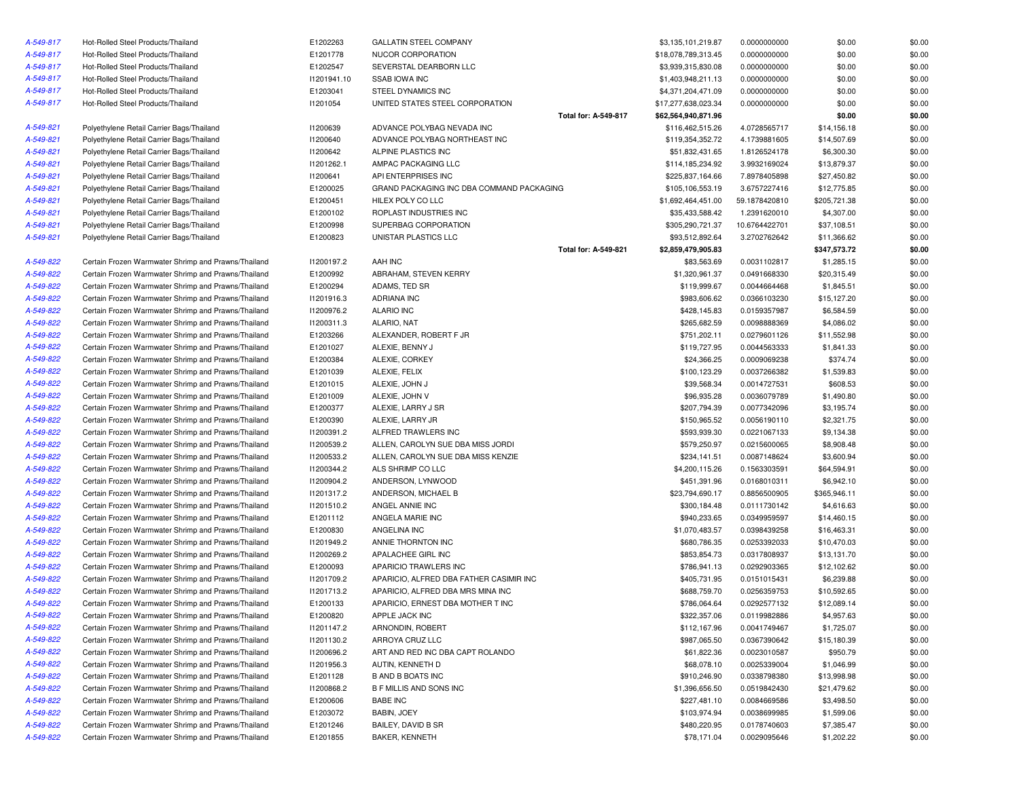| A-549-817 | Hot-Rolled Steel Products/Thailand                  | E1202263    | <b>GALLATIN STEEL COMPANY</b>             |                      | \$3,135,101,219.87  | 0.0000000000  | \$0.00       | \$0.00 |
|-----------|-----------------------------------------------------|-------------|-------------------------------------------|----------------------|---------------------|---------------|--------------|--------|
| A-549-817 | Hot-Rolled Steel Products/Thailand                  | E1201778    | NUCOR CORPORATION                         |                      | \$18,078,789,313.45 | 0.0000000000  | \$0.00       | \$0.00 |
| A-549-817 | Hot-Rolled Steel Products/Thailand                  | E1202547    | SEVERSTAL DEARBORN LLC                    |                      | \$3,939,315,830.08  | 0.0000000000  | \$0.00       | \$0.00 |
| A-549-817 | Hot-Rolled Steel Products/Thailand                  | 11201941.10 | <b>SSAB IOWA INC</b>                      |                      | \$1,403,948,211.13  | 0.0000000000  | \$0.00       | \$0.00 |
| A-549-817 | Hot-Rolled Steel Products/Thailand                  | E1203041    | STEEL DYNAMICS INC                        |                      | \$4,371,204,471.09  | 0.0000000000  | \$0.00       | \$0.00 |
| A-549-817 | Hot-Rolled Steel Products/Thailand                  | 11201054    | UNITED STATES STEEL CORPORATION           |                      | \$17,277,638,023.34 | 0.0000000000  | \$0.00       | \$0.00 |
|           |                                                     |             |                                           | Total for: A-549-817 | \$62,564,940,871.96 |               | \$0.00       | \$0.00 |
| A-549-821 | Polyethylene Retail Carrier Bags/Thailand           | 11200639    | ADVANCE POLYBAG NEVADA INC                |                      | \$116,462,515.26    | 4.0728565717  | \$14,156.18  | \$0.00 |
| A-549-821 | Polyethylene Retail Carrier Bags/Thailand           | 11200640    | ADVANCE POLYBAG NORTHEAST INC             |                      | \$119,354,352.72    | 4.1739881605  | \$14,507.69  | \$0.00 |
| A-549-821 | Polyethylene Retail Carrier Bags/Thailand           | 11200642    | ALPINE PLASTICS INC                       |                      | \$51,832,431.65     | 1.8126524178  | \$6,300.30   | \$0.00 |
| A-549-821 | Polyethylene Retail Carrier Bags/Thailand           | 11201262.1  | AMPAC PACKAGING LLC                       |                      | \$114,185,234.92    | 3.9932169024  | \$13,879.37  | \$0.00 |
| A-549-821 | Polyethylene Retail Carrier Bags/Thailand           | 11200641    | API ENTERPRISES INC                       |                      | \$225,837,164.66    | 7.8978405898  | \$27,450.82  | \$0.00 |
| A-549-821 | Polyethylene Retail Carrier Bags/Thailand           | E1200025    | GRAND PACKAGING INC DBA COMMAND PACKAGING |                      | \$105,106,553.19    | 3.6757227416  | \$12,775.85  | \$0.00 |
| A-549-821 | Polyethylene Retail Carrier Bags/Thailand           | E1200451    | HILEX POLY CO LLC                         |                      | \$1,692,464,451.00  | 59.1878420810 | \$205,721.38 | \$0.00 |
| A-549-821 | Polyethylene Retail Carrier Bags/Thailand           | E1200102    | ROPLAST INDUSTRIES INC                    |                      | \$35,433,588.42     | 1.2391620010  | \$4,307.00   | \$0.00 |
| A-549-821 | Polyethylene Retail Carrier Bags/Thailand           | E1200998    | SUPERBAG CORPORATION                      |                      | \$305,290,721.37    | 10.6764422701 | \$37,108.51  | \$0.00 |
| A-549-821 | Polyethylene Retail Carrier Bags/Thailand           | E1200823    | UNISTAR PLASTICS LLC                      |                      | \$93,512,892.64     | 3.2702762642  | \$11,366.62  | \$0.00 |
|           |                                                     |             |                                           | Total for: A-549-821 | \$2,859,479,905.83  |               | \$347,573.72 | \$0.00 |
| A-549-822 | Certain Frozen Warmwater Shrimp and Prawns/Thailand | 11200197.2  | AAH INC                                   |                      | \$83,563.69         | 0.0031102817  | \$1,285.15   | \$0.00 |
| A-549-822 | Certain Frozen Warmwater Shrimp and Prawns/Thailand | E1200992    | ABRAHAM, STEVEN KERRY                     |                      | \$1,320,961.37      | 0.0491668330  | \$20,315.49  | \$0.00 |
| A-549-822 | Certain Frozen Warmwater Shrimp and Prawns/Thailand | E1200294    | ADAMS, TED SR                             |                      | \$119,999.67        | 0.0044664468  | \$1,845.51   | \$0.00 |
| A-549-822 | Certain Frozen Warmwater Shrimp and Prawns/Thailand | 11201916.3  | ADRIANA INC                               |                      | \$983,606.62        | 0.0366103230  | \$15,127.20  | \$0.00 |
| A-549-822 | Certain Frozen Warmwater Shrimp and Prawns/Thailand | 11200976.2  | <b>ALARIO INC</b>                         |                      | \$428,145.83        | 0.0159357987  | \$6,584.59   | \$0.00 |
| A-549-822 | Certain Frozen Warmwater Shrimp and Prawns/Thailand | 11200311.3  | ALARIO, NAT                               |                      | \$265,682.59        | 0.0098888369  | \$4,086.02   | \$0.00 |
| A-549-822 | Certain Frozen Warmwater Shrimp and Prawns/Thailand | E1203266    | ALEXANDER, ROBERT F JR                    |                      | \$751,202.11        | 0.0279601126  | \$11,552.98  | \$0.00 |
| A-549-822 | Certain Frozen Warmwater Shrimp and Prawns/Thailand | E1201027    | ALEXIE, BENNY J                           |                      | \$119,727.95        | 0.0044563333  | \$1,841.33   | \$0.00 |
| A-549-822 | Certain Frozen Warmwater Shrimp and Prawns/Thailand | E1200384    | ALEXIE, CORKEY                            |                      | \$24,366.25         | 0.0009069238  | \$374.74     | \$0.00 |
| A-549-822 | Certain Frozen Warmwater Shrimp and Prawns/Thailand | E1201039    | ALEXIE, FELIX                             |                      | \$100,123.29        | 0.0037266382  | \$1,539.83   | \$0.00 |
| A-549-822 | Certain Frozen Warmwater Shrimp and Prawns/Thailand | E1201015    | ALEXIE, JOHN J                            |                      | \$39,568.34         | 0.0014727531  | \$608.53     | \$0.00 |
| A-549-822 | Certain Frozen Warmwater Shrimp and Prawns/Thailand | E1201009    | ALEXIE, JOHN V                            |                      | \$96,935.28         | 0.0036079789  | \$1,490.80   | \$0.00 |
| A-549-822 | Certain Frozen Warmwater Shrimp and Prawns/Thailand | E1200377    | ALEXIE, LARRY J SR                        |                      | \$207,794.39        | 0.0077342096  | \$3,195.74   | \$0.00 |
| A-549-822 | Certain Frozen Warmwater Shrimp and Prawns/Thailand | E1200390    | ALEXIE, LARRY JR                          |                      | \$150,965.52        | 0.0056190110  | \$2,321.75   | \$0.00 |
| A-549-822 | Certain Frozen Warmwater Shrimp and Prawns/Thailand | 11200391.2  | ALFRED TRAWLERS INC                       |                      | \$593,939.30        | 0.0221067133  | \$9,134.38   | \$0.00 |
| A-549-822 | Certain Frozen Warmwater Shrimp and Prawns/Thailand | 11200539.2  | ALLEN, CAROLYN SUE DBA MISS JORDI         |                      | \$579,250.97        | 0.0215600065  | \$8,908.48   | \$0.00 |
| A-549-822 | Certain Frozen Warmwater Shrimp and Prawns/Thailand | 11200533.2  | ALLEN, CAROLYN SUE DBA MISS KENZIE        |                      | \$234,141.51        | 0.0087148624  | \$3,600.94   | \$0.00 |
| A-549-822 | Certain Frozen Warmwater Shrimp and Prawns/Thailand | 11200344.2  | ALS SHRIMP CO LLC                         |                      | \$4,200,115.26      | 0.1563303591  | \$64,594.91  | \$0.00 |
| A-549-822 | Certain Frozen Warmwater Shrimp and Prawns/Thailand | 11200904.2  | ANDERSON, LYNWOOD                         |                      | \$451,391.96        | 0.0168010311  | \$6,942.10   | \$0.00 |
| A-549-822 | Certain Frozen Warmwater Shrimp and Prawns/Thailand | 11201317.2  | ANDERSON, MICHAEL B                       |                      | \$23,794,690.17     | 0.8856500905  | \$365,946.11 | \$0.00 |
| A-549-822 | Certain Frozen Warmwater Shrimp and Prawns/Thailand | 11201510.2  | ANGEL ANNIE INC                           |                      | \$300,184.48        | 0.0111730142  | \$4,616.63   | \$0.00 |
| A-549-822 | Certain Frozen Warmwater Shrimp and Prawns/Thailand | E1201112    | ANGELA MARIE INC                          |                      | \$940,233.65        | 0.0349959597  | \$14,460.15  | \$0.00 |
| A-549-822 | Certain Frozen Warmwater Shrimp and Prawns/Thailand | E1200830    | ANGELINA INC                              |                      | \$1,070,483.57      | 0.0398439258  | \$16,463.31  | \$0.00 |
| A-549-822 | Certain Frozen Warmwater Shrimp and Prawns/Thailand | 11201949.2  | ANNIE THORNTON INC                        |                      | \$680,786.35        | 0.0253392033  | \$10,470.03  | \$0.00 |
| A-549-822 | Certain Frozen Warmwater Shrimp and Prawns/Thailand | 11200269.2  | APALACHEE GIRL INC                        |                      | \$853,854.73        | 0.0317808937  | \$13,131.70  | \$0.00 |
| A-549-822 | Certain Frozen Warmwater Shrimp and Prawns/Thailand | E1200093    | APARICIO TRAWLERS INC                     |                      | \$786,941.13        | 0.0292903365  | \$12,102.62  | \$0.00 |
| A-549-822 | Certain Frozen Warmwater Shrimp and Prawns/Thailand | 11201709.2  | APARICIO, ALFRED DBA FATHER CASIMIR INC   |                      | \$405,731.95        | 0.0151015431  | \$6,239.88   | \$0.00 |
| A-549-822 | Certain Frozen Warmwater Shrimp and Prawns/Thailand | 11201713.2  | APARICIO, ALFRED DBA MRS MINA INC         |                      | \$688,759.70        | 0.0256359753  | \$10,592.65  | \$0.00 |
| A-549-822 | Certain Frozen Warmwater Shrimp and Prawns/Thailand | E1200133    | APARICIO, ERNEST DBA MOTHER T INC         |                      | \$786,064.64        | 0.0292577132  | \$12,089.14  | \$0.00 |
| A-549-822 | Certain Frozen Warmwater Shrimp and Prawns/Thailand | E1200820    | APPLE JACK INC                            |                      | \$322,357.06        | 0.0119982886  | \$4,957.63   | \$0.00 |
| A-549-822 | Certain Frozen Warmwater Shrimp and Prawns/Thailand | 11201147.2  | ARNONDIN, ROBERT                          |                      | \$112,167.96        | 0.0041749467  | \$1,725.07   | \$0.00 |
| A-549-822 | Certain Frozen Warmwater Shrimp and Prawns/Thailand | 11201130.2  | ARROYA CRUZ LLC                           |                      | \$987,065.50        | 0.0367390642  | \$15,180.39  | \$0.00 |
| A-549-822 | Certain Frozen Warmwater Shrimp and Prawns/Thailand | 11200696.2  | ART AND RED INC DBA CAPT ROLANDO          |                      | \$61,822.36         | 0.0023010587  | \$950.79     | \$0.00 |
| A-549-822 | Certain Frozen Warmwater Shrimp and Prawns/Thailand | I1201956.3  | AUTIN, KENNETH D                          |                      | \$68,078.10         | 0.0025339004  | \$1,046.99   | \$0.00 |
| A-549-822 | Certain Frozen Warmwater Shrimp and Prawns/Thailand | E1201128    | <b>B AND B BOATS INC</b>                  |                      | \$910,246.90        | 0.0338798380  | \$13,998.98  | \$0.00 |
| A-549-822 | Certain Frozen Warmwater Shrimp and Prawns/Thailand | 11200868.2  | B F MILLIS AND SONS INC                   |                      | \$1,396,656.50      | 0.0519842430  | \$21,479.62  | \$0.00 |
| A-549-822 | Certain Frozen Warmwater Shrimp and Prawns/Thailand | E1200606    | <b>BABE INC</b>                           |                      | \$227,481.10        | 0.0084669586  | \$3,498.50   | \$0.00 |
| A-549-822 | Certain Frozen Warmwater Shrimp and Prawns/Thailand | E1203072    | BABIN, JOEY                               |                      | \$103,974.94        | 0.0038699985  | \$1,599.06   | \$0.00 |
| A-549-822 | Certain Frozen Warmwater Shrimp and Prawns/Thailand | E1201246    | BAILEY, DAVID B SR                        |                      | \$480,220.95        | 0.0178740603  | \$7,385.47   | \$0.00 |
| A-549-822 | Certain Frozen Warmwater Shrimp and Prawns/Thailand | E1201855    | BAKER, KENNETH                            |                      | \$78,171.04         | 0.0029095646  | \$1,202.22   | \$0.00 |
|           |                                                     |             |                                           |                      |                     |               |              |        |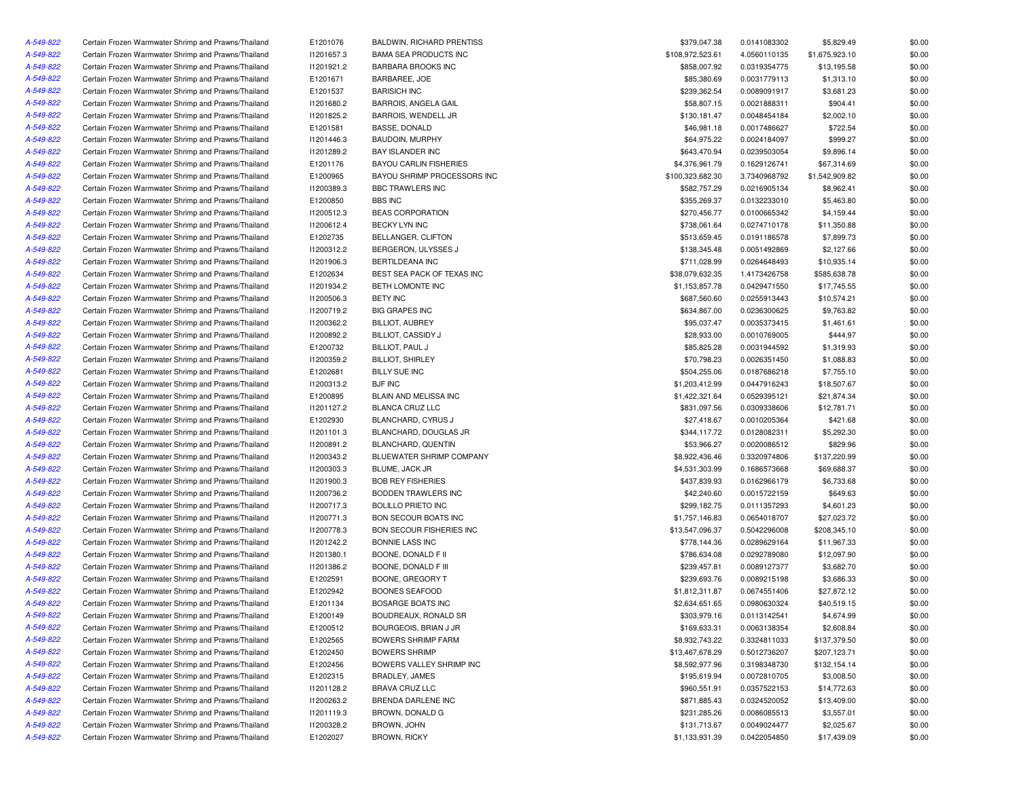| A-549-822 | Certain Frozen Warmwater Shrimp and Prawns/Thailand                                                        | E1201076   | <b>BALDWIN, RICHARD PRENTISS</b> | \$379,047.38     | 0.0141083302 | \$5,829.49     | \$0.00 |
|-----------|------------------------------------------------------------------------------------------------------------|------------|----------------------------------|------------------|--------------|----------------|--------|
| A-549-822 | Certain Frozen Warmwater Shrimp and Prawns/Thailand                                                        | I1201657.3 | <b>BAMA SEA PRODUCTS INC</b>     | \$108,972,523.61 | 4.0560110135 | \$1,675,923.10 | \$0.00 |
| A-549-822 | Certain Frozen Warmwater Shrimp and Prawns/Thailand                                                        | 11201921.2 | <b>BARBARA BROOKS INC</b>        | \$858,007.92     | 0.0319354775 | \$13,195.58    | \$0.00 |
| A-549-822 | Certain Frozen Warmwater Shrimp and Prawns/Thailand                                                        | E1201671   | BARBAREE, JOE                    | \$85,380.69      | 0.0031779113 | \$1,313.10     | \$0.00 |
| A-549-822 | Certain Frozen Warmwater Shrimp and Prawns/Thailand                                                        | E1201537   | <b>BARISICH INC</b>              | \$239,362.54     | 0.0089091917 | \$3,681.23     | \$0.00 |
| A-549-822 | Certain Frozen Warmwater Shrimp and Prawns/Thailand                                                        | 11201680.2 | BARROIS, ANGELA GAIL             | \$58,807.15      | 0.0021888311 | \$904.41       | \$0.00 |
| A-549-822 | Certain Frozen Warmwater Shrimp and Prawns/Thailand                                                        | 11201825.2 | BARROIS, WENDELL JR              | \$130,181.47     | 0.0048454184 | \$2,002.10     | \$0.00 |
| A-549-822 | Certain Frozen Warmwater Shrimp and Prawns/Thailand                                                        | E1201581   | <b>BASSE, DONALD</b>             | \$46,981.18      | 0.0017486627 | \$722.54       | \$0.00 |
| A-549-822 | Certain Frozen Warmwater Shrimp and Prawns/Thailand                                                        | 11201446.3 | <b>BAUDOIN, MURPHY</b>           | \$64,975.22      | 0.0024184097 | \$999.27       | \$0.00 |
| A-549-822 | Certain Frozen Warmwater Shrimp and Prawns/Thailand                                                        | 11201289.2 | <b>BAY ISLANDER INC</b>          | \$643,470.94     | 0.0239503054 | \$9,896.14     | \$0.00 |
| A-549-822 | Certain Frozen Warmwater Shrimp and Prawns/Thailand                                                        | E1201176   | <b>BAYOU CARLIN FISHERIES</b>    | \$4,376,961.79   | 0.1629126741 | \$67,314.69    | \$0.00 |
|           |                                                                                                            |            |                                  |                  |              |                |        |
| A-549-822 | Certain Frozen Warmwater Shrimp and Prawns/Thailand                                                        | E1200965   | BAYOU SHRIMP PROCESSORS INC      | \$100,323,682.30 | 3.7340968792 | \$1,542,909.82 | \$0.00 |
| A-549-822 | Certain Frozen Warmwater Shrimp and Prawns/Thailand                                                        | I1200389.3 | BBC TRAWLERS INC                 | \$582,757.29     | 0.0216905134 | \$8,962.41     | \$0.00 |
| A-549-822 | Certain Frozen Warmwater Shrimp and Prawns/Thailand                                                        | E1200850   | <b>BBS INC</b>                   | \$355,269.37     | 0.0132233010 | \$5,463.80     | \$0.00 |
| A-549-822 | Certain Frozen Warmwater Shrimp and Prawns/Thailand                                                        | 11200512.3 | <b>BEAS CORPORATION</b>          | \$270,456.77     | 0.0100665342 | \$4,159.44     | \$0.00 |
| A-549-822 | Certain Frozen Warmwater Shrimp and Prawns/Thailand                                                        | 11200612.4 | BECKY LYN INC                    | \$738,061.64     | 0.0274710178 | \$11,350.88    | \$0.00 |
| A-549-822 | Certain Frozen Warmwater Shrimp and Prawns/Thailand                                                        | E1202735   | BELLANGER, CLIFTON               | \$513,659.45     | 0.0191186578 | \$7,899.73     | \$0.00 |
| A-549-822 | Certain Frozen Warmwater Shrimp and Prawns/Thailand                                                        | 11200312.2 | BERGERON, ULYSSES J              | \$138,345.48     | 0.0051492869 | \$2,127.66     | \$0.00 |
| A-549-822 | Certain Frozen Warmwater Shrimp and Prawns/Thailand                                                        | I1201906.3 | BERTILDEANA INC                  | \$711,028.99     | 0.0264648493 | \$10,935.14    | \$0.00 |
| A-549-822 | Certain Frozen Warmwater Shrimp and Prawns/Thailand                                                        | E1202634   | BEST SEA PACK OF TEXAS INC       | \$38,079,632.35  | 1.4173426758 | \$585,638.78   | \$0.00 |
| A-549-822 | Certain Frozen Warmwater Shrimp and Prawns/Thailand                                                        | 11201934.2 | BETH LOMONTE INC                 | \$1,153,857.78   | 0.0429471550 | \$17,745.55    | \$0.00 |
| A-549-822 | Certain Frozen Warmwater Shrimp and Prawns/Thailand                                                        | 11200506.3 | <b>BETY INC</b>                  | \$687,560.60     | 0.0255913443 | \$10,574.21    | \$0.00 |
| A-549-822 | Certain Frozen Warmwater Shrimp and Prawns/Thailand                                                        | 11200719.2 | <b>BIG GRAPES INC</b>            | \$634,867.00     | 0.0236300625 | \$9,763.82     | \$0.00 |
| A-549-822 | Certain Frozen Warmwater Shrimp and Prawns/Thailand                                                        | 11200362.2 | <b>BILLIOT, AUBREY</b>           | \$95,037.47      | 0.0035373415 | \$1,461.61     | \$0.00 |
| A-549-822 | Certain Frozen Warmwater Shrimp and Prawns/Thailand                                                        | 11200892.2 | BILLIOT, CASSIDY J               | \$28,933.00      | 0.0010769005 | \$444.97       | \$0.00 |
| A-549-822 | Certain Frozen Warmwater Shrimp and Prawns/Thailand                                                        | E1200732   | BILLIOT, PAUL J                  | \$85,825.28      | 0.0031944592 | \$1,319.93     | \$0.00 |
| A-549-822 | Certain Frozen Warmwater Shrimp and Prawns/Thailand                                                        | 11200359.2 | <b>BILLIOT, SHIRLEY</b>          | \$70,798.23      | 0.0026351450 | \$1,088.83     | \$0.00 |
| A-549-822 | Certain Frozen Warmwater Shrimp and Prawns/Thailand                                                        | E1202681   | <b>BILLY SUE INC</b>             | \$504,255.06     | 0.0187686218 | \$7,755.10     | \$0.00 |
| A-549-822 | Certain Frozen Warmwater Shrimp and Prawns/Thailand                                                        | 11200313.2 | <b>BJF INC</b>                   | \$1,203,412.99   | 0.0447916243 | \$18,507.67    | \$0.00 |
| A-549-822 | Certain Frozen Warmwater Shrimp and Prawns/Thailand                                                        | E1200895   | BLAIN AND MELISSA INC            | \$1,422,321.64   | 0.0529395121 | \$21,874.34    | \$0.00 |
| A-549-822 | Certain Frozen Warmwater Shrimp and Prawns/Thailand                                                        | 11201127.2 | BLANCA CRUZ LLC                  | \$831,097.56     | 0.0309338606 | \$12,781.71    | \$0.00 |
| A-549-822 | Certain Frozen Warmwater Shrimp and Prawns/Thailand                                                        | E1202930   | BLANCHARD, CYRUS J               | \$27,418.67      | 0.0010205364 | \$421.68       | \$0.00 |
| A-549-822 | Certain Frozen Warmwater Shrimp and Prawns/Thailand                                                        | 11201101.3 | BLANCHARD, DOUGLAS JR            | \$344,117.72     | 0.0128082311 | \$5,292.30     | \$0.00 |
| A-549-822 | Certain Frozen Warmwater Shrimp and Prawns/Thailand                                                        | 11200891.2 | BLANCHARD, QUENTIN               | \$53,966.27      | 0.0020086512 | \$829.96       | \$0.00 |
| A-549-822 | Certain Frozen Warmwater Shrimp and Prawns/Thailand                                                        | 11200343.2 | BLUEWATER SHRIMP COMPANY         | \$8,922,436.46   | 0.3320974806 | \$137,220.99   | \$0.00 |
| A-549-822 | Certain Frozen Warmwater Shrimp and Prawns/Thailand                                                        | 11200303.3 | BLUME, JACK JR                   | \$4,531,303.99   | 0.1686573668 | \$69,688.37    | \$0.00 |
| A-549-822 | Certain Frozen Warmwater Shrimp and Prawns/Thailand                                                        | I1201900.3 | <b>BOB REY FISHERIES</b>         | \$437,839.93     | 0.0162966179 | \$6,733.68     | \$0.00 |
| A-549-822 | Certain Frozen Warmwater Shrimp and Prawns/Thailand                                                        | 11200736.2 | BODDEN TRAWLERS INC              | \$42,240.60      | 0.0015722159 | \$649.63       | \$0.00 |
| A-549-822 | Certain Frozen Warmwater Shrimp and Prawns/Thailand                                                        | 11200717.3 | <b>BOLILLO PRIETO INC</b>        | \$299,182.75     | 0.0111357293 | \$4,601.23     | \$0.00 |
| A-549-822 | Certain Frozen Warmwater Shrimp and Prawns/Thailand                                                        | 11200771.3 | BON SECOUR BOATS INC             | \$1,757,146.83   | 0.0654018707 | \$27,023.72    | \$0.00 |
| A-549-822 | Certain Frozen Warmwater Shrimp and Prawns/Thailand                                                        | 11200778.3 | BON SECOUR FISHERIES INC         | \$13,547,096.37  | 0.5042296008 | \$208,345.10   | \$0.00 |
| A-549-822 | Certain Frozen Warmwater Shrimp and Prawns/Thailand                                                        | 11201242.2 | BONNIE LASS INC                  | \$778,144.36     | 0.0289629164 | \$11,967.33    | \$0.00 |
| A-549-822 | Certain Frozen Warmwater Shrimp and Prawns/Thailand                                                        | 11201380.1 | BOONE, DONALD F II               | \$786,634.08     | 0.0292789080 | \$12,097.90    | \$0.00 |
| A-549-822 | Certain Frozen Warmwater Shrimp and Prawns/Thailand                                                        | 11201386.2 | BOONE, DONALD F III              | \$239,457.81     | 0.0089127377 | \$3,682.70     | \$0.00 |
| A-549-822 | Certain Frozen Warmwater Shrimp and Prawns/Thailand                                                        | E1202591   | BOONE, GREGORY T                 | \$239,693.76     | 0.0089215198 | \$3,686.33     | \$0.00 |
| A-549-822 | Certain Frozen Warmwater Shrimp and Prawns/Thailand                                                        | E1202942   | <b>BOONES SEAFOOD</b>            | \$1,812,311.87   | 0.0674551406 | \$27,872.12    | \$0.00 |
| A-549-822 | Certain Frozen Warmwater Shrimp and Prawns/Thailand                                                        | E1201134   | <b>BOSARGE BOATS INC</b>         | \$2,634,651.65   | 0.0980630324 | \$40,519.15    | \$0.00 |
|           |                                                                                                            |            |                                  |                  |              |                |        |
| A-549-822 | Certain Frozen Warmwater Shrimp and Prawns/Thailand<br>Certain Frozen Warmwater Shrimp and Prawns/Thailand | E1200149   | BOUDREAUX, RONALD SR             | \$303,979.16     | 0.0113142541 | \$4,674.99     | \$0.00 |
| A-549-822 |                                                                                                            | E1200512   | BOURGEOIS, BRIAN J JR            | \$169,633.31     | 0.0063138354 | \$2,608.84     | \$0.00 |
| A-549-822 | Certain Frozen Warmwater Shrimp and Prawns/Thailand                                                        | E1202565   | <b>BOWERS SHRIMP FARM</b>        | \$8,932,743.22   | 0.3324811033 | \$137,379.50   | \$0.00 |
| A-549-822 | Certain Frozen Warmwater Shrimp and Prawns/Thailand                                                        | E1202450   | <b>BOWERS SHRIMP</b>             | \$13,467,678.29  | 0.5012736207 | \$207,123.71   | \$0.00 |
| A-549-822 | Certain Frozen Warmwater Shrimp and Prawns/Thailand                                                        | E1202456   | BOWERS VALLEY SHRIMP INC         | \$8,592,977.96   | 0.3198348730 | \$132,154.14   | \$0.00 |
| A-549-822 | Certain Frozen Warmwater Shrimp and Prawns/Thailand                                                        | E1202315   | BRADLEY, JAMES                   | \$195,619.94     | 0.0072810705 | \$3,008.50     | \$0.00 |
| A-549-822 | Certain Frozen Warmwater Shrimp and Prawns/Thailand                                                        | 11201128.2 | BRAVA CRUZ LLC                   | \$960,551.91     | 0.0357522153 | \$14,772.63    | \$0.00 |
| A-549-822 | Certain Frozen Warmwater Shrimp and Prawns/Thailand                                                        | 11200263.2 | BRENDA DARLENE INC               | \$871,885.43     | 0.0324520052 | \$13,409.00    | \$0.00 |
| A-549-822 | Certain Frozen Warmwater Shrimp and Prawns/Thailand                                                        | 11201119.3 | BROWN, DONALD G                  | \$231,285.26     | 0.0086085513 | \$3,557.01     | \$0.00 |
| A-549-822 | Certain Frozen Warmwater Shrimp and Prawns/Thailand                                                        | 11200328.2 | <b>BROWN, JOHN</b>               | \$131,713.67     | 0.0049024477 | \$2,025.67     | \$0.00 |
| A-549-822 | Certain Frozen Warmwater Shrimp and Prawns/Thailand                                                        | E1202027   | <b>BROWN, RICKY</b>              | \$1,133,931.39   | 0.0422054850 | \$17,439.09    | \$0.00 |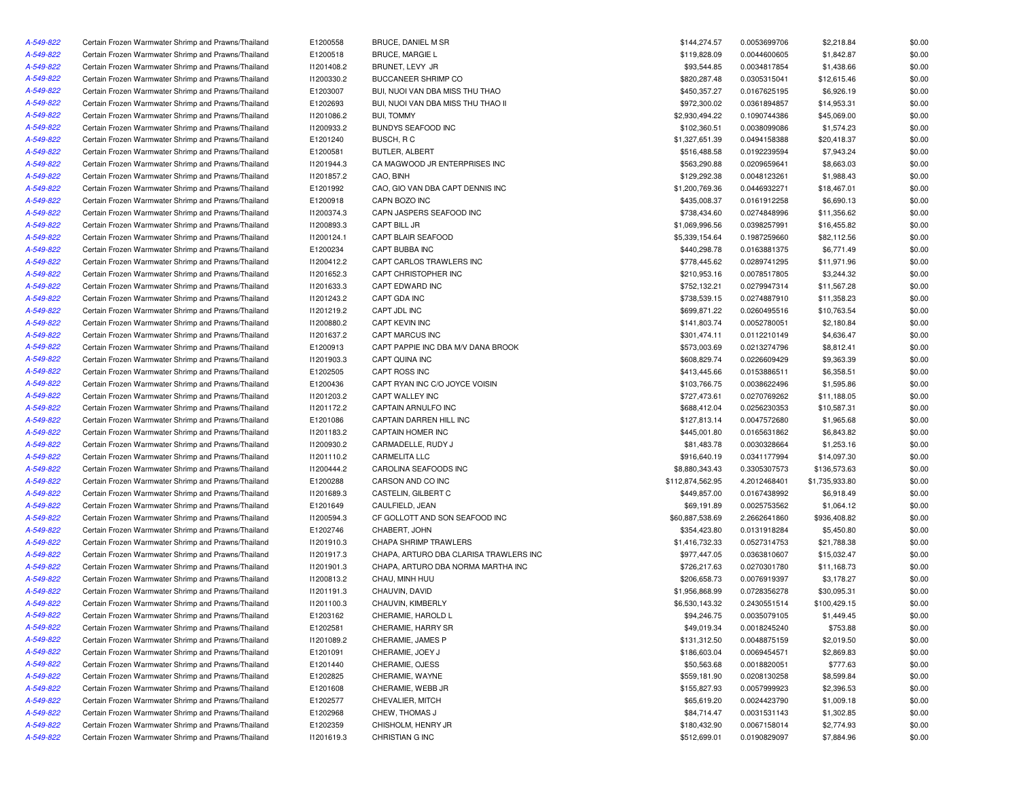| A-549-822 | Certain Frozen Warmwater Shrimp and Prawns/Thailand | E1200558   | BRUCE, DANIEL M SR                     | \$144,274.57     | 0.0053699706 | \$2,218.84     | \$0.00 |
|-----------|-----------------------------------------------------|------------|----------------------------------------|------------------|--------------|----------------|--------|
| A-549-822 | Certain Frozen Warmwater Shrimp and Prawns/Thailand | E1200518   | <b>BRUCE, MARGIE L</b>                 | \$119,828.09     | 0.0044600605 | \$1,842.87     | \$0.00 |
| A-549-822 | Certain Frozen Warmwater Shrimp and Prawns/Thailand | 11201408.2 | BRUNET, LEVY JR                        | \$93,544.85      | 0.0034817854 | \$1,438.66     | \$0.00 |
| A-549-822 | Certain Frozen Warmwater Shrimp and Prawns/Thailand | 11200330.2 | <b>BUCCANEER SHRIMP CO</b>             | \$820,287.48     | 0.0305315041 | \$12,615.46    | \$0.00 |
| A-549-822 | Certain Frozen Warmwater Shrimp and Prawns/Thailand | E1203007   | BUI, NUOI VAN DBA MISS THU THAO        | \$450,357.27     | 0.0167625195 | \$6,926.19     | \$0.00 |
| A-549-822 | Certain Frozen Warmwater Shrimp and Prawns/Thailand | E1202693   | BUI, NUOI VAN DBA MISS THU THAO II     | \$972,300.02     | 0.0361894857 | \$14,953.31    | \$0.00 |
| A-549-822 | Certain Frozen Warmwater Shrimp and Prawns/Thailand | 11201086.2 | <b>BUI, TOMMY</b>                      | \$2,930,494.22   | 0.1090744386 | \$45,069.00    | \$0.00 |
| A-549-822 | Certain Frozen Warmwater Shrimp and Prawns/Thailand | 11200933.2 | <b>BUNDYS SEAFOOD INC</b>              | \$102,360.51     | 0.0038099086 | \$1,574.23     | \$0.00 |
| A-549-822 | Certain Frozen Warmwater Shrimp and Prawns/Thailand | E1201240   | BUSCH, RC                              | \$1,327,651.39   | 0.0494158388 | \$20,418.37    | \$0.00 |
| A-549-822 | Certain Frozen Warmwater Shrimp and Prawns/Thailand | E1200581   | <b>BUTLER, ALBERT</b>                  | \$516,488.58     | 0.0192239594 | \$7,943.24     | \$0.00 |
| A-549-822 | Certain Frozen Warmwater Shrimp and Prawns/Thailand | 11201944.3 | CA MAGWOOD JR ENTERPRISES INC          | \$563,290.88     | 0.0209659641 | \$8,663.03     | \$0.00 |
| A-549-822 | Certain Frozen Warmwater Shrimp and Prawns/Thailand | 11201857.2 | CAO, BINH                              | \$129,292.38     | 0.0048123261 | \$1,988.43     | \$0.00 |
| A-549-822 | Certain Frozen Warmwater Shrimp and Prawns/Thailand | E1201992   | CAO, GIO VAN DBA CAPT DENNIS INC       | \$1,200,769.36   | 0.0446932271 | \$18,467.01    | \$0.00 |
|           | Certain Frozen Warmwater Shrimp and Prawns/Thailand |            | CAPN BOZO INC                          |                  |              |                |        |
| A-549-822 |                                                     | E1200918   |                                        | \$435,008.37     | 0.0161912258 | \$6,690.13     | \$0.00 |
| A-549-822 | Certain Frozen Warmwater Shrimp and Prawns/Thailand | 11200374.3 | CAPN JASPERS SEAFOOD INC               | \$738,434.60     | 0.0274848996 | \$11,356.62    | \$0.00 |
| A-549-822 | Certain Frozen Warmwater Shrimp and Prawns/Thailand | 11200893.3 | CAPT BILL JR                           | \$1,069,996.56   | 0.0398257991 | \$16,455.82    | \$0.00 |
| A-549-822 | Certain Frozen Warmwater Shrimp and Prawns/Thailand | 11200124.1 | CAPT BLAIR SEAFOOD                     | \$5,339,154.64   | 0.1987259660 | \$82,112.56    | \$0.00 |
| A-549-822 | Certain Frozen Warmwater Shrimp and Prawns/Thailand | E1200234   | CAPT BUBBA INC                         | \$440,298.78     | 0.0163881375 | \$6,771.49     | \$0.00 |
| A-549-822 | Certain Frozen Warmwater Shrimp and Prawns/Thailand | 11200412.2 | CAPT CARLOS TRAWLERS INC               | \$778,445.62     | 0.0289741295 | \$11,971.96    | \$0.00 |
| A-549-822 | Certain Frozen Warmwater Shrimp and Prawns/Thailand | 11201652.3 | CAPT CHRISTOPHER INC                   | \$210,953.16     | 0.0078517805 | \$3,244.32     | \$0.00 |
| A-549-822 | Certain Frozen Warmwater Shrimp and Prawns/Thailand | 11201633.3 | CAPT EDWARD INC                        | \$752,132.21     | 0.0279947314 | \$11,567.28    | \$0.00 |
| A-549-822 | Certain Frozen Warmwater Shrimp and Prawns/Thailand | 11201243.2 | CAPT GDA INC                           | \$738,539.15     | 0.0274887910 | \$11,358.23    | \$0.00 |
| A-549-822 | Certain Frozen Warmwater Shrimp and Prawns/Thailand | 11201219.2 | CAPT JDL INC                           | \$699,871.22     | 0.0260495516 | \$10,763.54    | \$0.00 |
| A-549-822 | Certain Frozen Warmwater Shrimp and Prawns/Thailand | 11200880.2 | CAPT KEVIN INC                         | \$141,803.74     | 0.0052780051 | \$2,180.84     | \$0.00 |
| A-549-822 | Certain Frozen Warmwater Shrimp and Prawns/Thailand | 11201637.2 | CAPT MARCUS INC                        | \$301,474.11     | 0.0112210149 | \$4,636.47     | \$0.00 |
| A-549-822 | Certain Frozen Warmwater Shrimp and Prawns/Thailand | E1200913   | CAPT PAPPIE INC DBA M/V DANA BROOK     | \$573,003.69     | 0.0213274796 | \$8,812.41     | \$0.00 |
| A-549-822 | Certain Frozen Warmwater Shrimp and Prawns/Thailand | 11201903.3 | CAPT QUINA INC                         | \$608,829.74     | 0.0226609429 | \$9,363.39     | \$0.00 |
| A-549-822 | Certain Frozen Warmwater Shrimp and Prawns/Thailand | E1202505   | CAPT ROSS INC                          | \$413,445.66     | 0.0153886511 | \$6,358.51     | \$0.00 |
| A-549-822 | Certain Frozen Warmwater Shrimp and Prawns/Thailand | E1200436   | CAPT RYAN INC C/O JOYCE VOISIN         | \$103,766.75     | 0.0038622496 | \$1,595.86     | \$0.00 |
| A-549-822 | Certain Frozen Warmwater Shrimp and Prawns/Thailand | 11201203.2 | CAPT WALLEY INC                        | \$727,473.61     | 0.0270769262 | \$11,188.05    | \$0.00 |
| A-549-822 | Certain Frozen Warmwater Shrimp and Prawns/Thailand | 11201172.2 | CAPTAIN ARNULFO INC                    | \$688,412.04     | 0.0256230353 | \$10,587.31    | \$0.00 |
| A-549-822 | Certain Frozen Warmwater Shrimp and Prawns/Thailand | E1201086   | CAPTAIN DARREN HILL INC                | \$127,813.14     | 0.0047572680 | \$1,965.68     | \$0.00 |
| A-549-822 | Certain Frozen Warmwater Shrimp and Prawns/Thailand | 11201183.2 | CAPTAIN HOMER INC                      | \$445,001.80     | 0.0165631862 | \$6,843.82     | \$0.00 |
| A-549-822 | Certain Frozen Warmwater Shrimp and Prawns/Thailand | 11200930.2 | CARMADELLE, RUDY J                     | \$81,483.78      | 0.0030328664 | \$1,253.16     | \$0.00 |
| A-549-822 | Certain Frozen Warmwater Shrimp and Prawns/Thailand | 11201110.2 | <b>CARMELITA LLC</b>                   | \$916,640.19     | 0.0341177994 | \$14,097.30    | \$0.00 |
| A-549-822 | Certain Frozen Warmwater Shrimp and Prawns/Thailand | 11200444.2 | CAROLINA SEAFOODS INC                  | \$8,880,343.43   | 0.3305307573 | \$136,573.63   | \$0.00 |
| A-549-822 | Certain Frozen Warmwater Shrimp and Prawns/Thailand | E1200288   | CARSON AND CO INC                      | \$112,874,562.95 | 4.2012468401 | \$1,735,933.80 | \$0.00 |
| A-549-822 | Certain Frozen Warmwater Shrimp and Prawns/Thailand | 11201689.3 | CASTELIN, GILBERT C                    | \$449,857.00     | 0.0167438992 | \$6,918.49     | \$0.00 |
| A-549-822 | Certain Frozen Warmwater Shrimp and Prawns/Thailand | E1201649   | CAULFIELD, JEAN                        | \$69,191.89      | 0.0025753562 | \$1,064.12     | \$0.00 |
| A-549-822 | Certain Frozen Warmwater Shrimp and Prawns/Thailand | I1200594.3 | CF GOLLOTT AND SON SEAFOOD INC         | \$60,887,538.69  | 2.2662641860 | \$936,408.82   | \$0.00 |
| A-549-822 |                                                     |            |                                        |                  |              |                |        |
|           | Certain Frozen Warmwater Shrimp and Prawns/Thailand | E1202746   | CHABERT, JOHN                          | \$354,423.80     | 0.0131918284 | \$5,450.80     | \$0.00 |
| A-549-822 | Certain Frozen Warmwater Shrimp and Prawns/Thailand | 11201910.3 | CHAPA SHRIMP TRAWLERS                  | \$1,416,732.33   | 0.0527314753 | \$21,788.38    | \$0.00 |
| A-549-822 | Certain Frozen Warmwater Shrimp and Prawns/Thailand | 11201917.3 | CHAPA, ARTURO DBA CLARISA TRAWLERS INC | \$977,447.05     | 0.0363810607 | \$15,032.47    | \$0.00 |
| A-549-822 | Certain Frozen Warmwater Shrimp and Prawns/Thailand | 11201901.3 | CHAPA, ARTURO DBA NORMA MARTHA INC     | \$726,217.63     | 0.0270301780 | \$11,168.73    | \$0.00 |
| A-549-822 | Certain Frozen Warmwater Shrimp and Prawns/Thailand | 11200813.2 | CHAU, MINH HUU                         | \$206,658.73     | 0.0076919397 | \$3,178.27     | \$0.00 |
| A-549-822 | Certain Frozen Warmwater Shrimp and Prawns/Thailand | 11201191.3 | CHAUVIN, DAVID                         | \$1,956,868.99   | 0.0728356278 | \$30,095.31    | \$0.00 |
| A-549-822 | Certain Frozen Warmwater Shrimp and Prawns/Thailand | 11201100.3 | CHAUVIN, KIMBERLY                      | \$6,530,143.32   | 0.2430551514 | \$100,429.15   | \$0.00 |
| A-549-822 | Certain Frozen Warmwater Shrimp and Prawns/Thailand | E1203162   | CHERAMIE, HAROLD L                     | \$94,246.75      | 0.0035079105 | \$1,449.45     | \$0.00 |
| A-549-822 | Certain Frozen Warmwater Shrimp and Prawns/Thailand | E1202581   | CHERAMIE, HARRY SR                     | \$49,019.34      | 0.0018245240 | \$753.88       | \$0.00 |
| A-549-822 | Certain Frozen Warmwater Shrimp and Prawns/Thailand | 11201089.2 | CHERAMIE, JAMES P                      | \$131,312.50     | 0.0048875159 | \$2,019.50     | \$0.00 |
| A-549-822 | Certain Frozen Warmwater Shrimp and Prawns/Thailand | E1201091   | CHERAMIE, JOEY J                       | \$186,603.04     | 0.0069454571 | \$2,869.83     | \$0.00 |
| A-549-822 | Certain Frozen Warmwater Shrimp and Prawns/Thailand | E1201440   | CHERAMIE, OJESS                        | \$50,563.68      | 0.0018820051 | \$777.63       | \$0.00 |
| A-549-822 | Certain Frozen Warmwater Shrimp and Prawns/Thailand | E1202825   | CHERAMIE, WAYNE                        | \$559,181.90     | 0.0208130258 | \$8,599.84     | \$0.00 |
| A-549-822 | Certain Frozen Warmwater Shrimp and Prawns/Thailand | E1201608   | CHERAMIE, WEBB JR                      | \$155,827.93     | 0.0057999923 | \$2,396.53     | \$0.00 |
| A-549-822 | Certain Frozen Warmwater Shrimp and Prawns/Thailand | E1202577   | CHEVALIER, MITCH                       | \$65,619.20      | 0.0024423790 | \$1,009.18     | \$0.00 |
| A-549-822 | Certain Frozen Warmwater Shrimp and Prawns/Thailand | E1202968   | CHEW, THOMAS J                         | \$84,714.47      | 0.0031531143 | \$1,302.85     | \$0.00 |
| A-549-822 | Certain Frozen Warmwater Shrimp and Prawns/Thailand | E1202359   | CHISHOLM, HENRY JR                     | \$180,432.90     | 0.0067158014 | \$2,774.93     | \$0.00 |
| A-549-822 | Certain Frozen Warmwater Shrimp and Prawns/Thailand | 11201619.3 | CHRISTIAN G INC                        | \$512,699.01     | 0.0190829097 | \$7,884.96     | \$0.00 |
|           |                                                     |            |                                        |                  |              |                |        |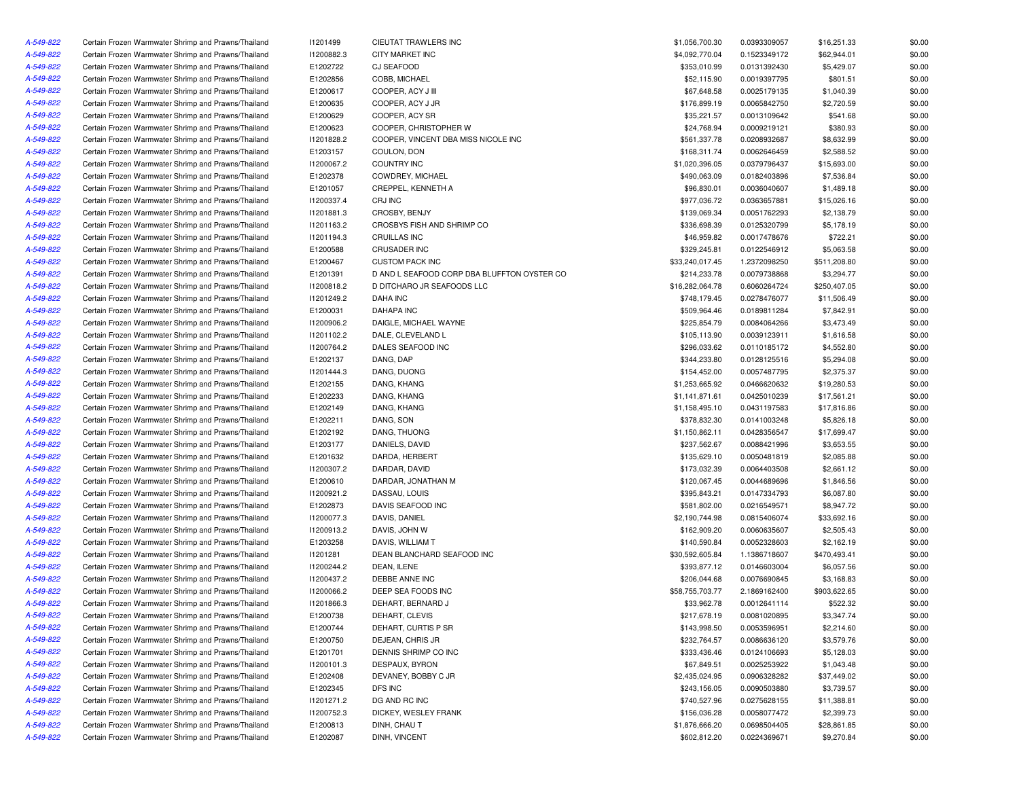| A-549-822              | Certain Frozen Warmwater Shrimp and Prawns/Thailand                                                        | 11201499   | CIEUTAT TRAWLERS INC                           | \$1,056,700.30                  | 0.0393309057                 | \$16,251.33  | \$0.00 |
|------------------------|------------------------------------------------------------------------------------------------------------|------------|------------------------------------------------|---------------------------------|------------------------------|--------------|--------|
| A-549-822              | Certain Frozen Warmwater Shrimp and Prawns/Thailand                                                        | I1200882.3 | CITY MARKET INC                                | \$4,092,770.04                  | 0.1523349172                 | \$62,944.01  | \$0.00 |
| A-549-822              | Certain Frozen Warmwater Shrimp and Prawns/Thailand                                                        | E1202722   | <b>CJ SEAFOOD</b>                              | \$353,010.99                    | 0.0131392430                 | \$5,429.07   | \$0.00 |
| A-549-822              | Certain Frozen Warmwater Shrimp and Prawns/Thailand                                                        | E1202856   | COBB, MICHAEL                                  | \$52,115.90                     | 0.0019397795                 | \$801.51     | \$0.00 |
| A-549-822              | Certain Frozen Warmwater Shrimp and Prawns/Thailand                                                        | E1200617   | COOPER, ACY J III                              | \$67,648.58                     | 0.0025179135                 | \$1,040.39   | \$0.00 |
| A-549-822              | Certain Frozen Warmwater Shrimp and Prawns/Thailand                                                        | E1200635   | COOPER, ACY J JR                               | \$176,899.19                    | 0.0065842750                 | \$2,720.59   | \$0.00 |
| A-549-822              | Certain Frozen Warmwater Shrimp and Prawns/Thailand                                                        | E1200629   | COOPER, ACY SR                                 | \$35,221.57                     | 0.0013109642                 | \$541.68     | \$0.00 |
| A-549-822              | Certain Frozen Warmwater Shrimp and Prawns/Thailand                                                        | E1200623   | COOPER, CHRISTOPHER W                          | \$24,768.94                     | 0.0009219121                 | \$380.93     | \$0.00 |
| A-549-822              | Certain Frozen Warmwater Shrimp and Prawns/Thailand                                                        | 11201828.2 | COOPER, VINCENT DBA MISS NICOLE INC            | \$561,337.78                    | 0.0208932687                 | \$8,632.99   | \$0.00 |
| A-549-822              | Certain Frozen Warmwater Shrimp and Prawns/Thailand                                                        | E1203157   | COULON, DON                                    | \$168,311.74                    | 0.0062646459                 | \$2,588.52   | \$0.00 |
| A-549-822              | Certain Frozen Warmwater Shrimp and Prawns/Thailand                                                        | 11200067.2 | <b>COUNTRY INC</b>                             | \$1,020,396.05                  | 0.0379796437                 | \$15,693.00  | \$0.00 |
| A-549-822              | Certain Frozen Warmwater Shrimp and Prawns/Thailand                                                        | E1202378   | COWDREY, MICHAEL                               | \$490,063.09                    | 0.0182403896                 | \$7,536.84   | \$0.00 |
| A-549-822              | Certain Frozen Warmwater Shrimp and Prawns/Thailand                                                        | E1201057   | CREPPEL, KENNETH A                             | \$96,830.01                     | 0.0036040607                 | \$1,489.18   | \$0.00 |
| A-549-822              | Certain Frozen Warmwater Shrimp and Prawns/Thailand                                                        | 11200337.4 | CRJ INC                                        | \$977,036.72                    | 0.0363657881                 | \$15,026.16  | \$0.00 |
| A-549-822              | Certain Frozen Warmwater Shrimp and Prawns/Thailand                                                        | 11201881.3 | CROSBY, BENJY                                  | \$139,069.34                    | 0.0051762293                 | \$2,138.79   | \$0.00 |
| A-549-822              | Certain Frozen Warmwater Shrimp and Prawns/Thailand                                                        | 11201163.2 | CROSBYS FISH AND SHRIMP CO                     | \$336,698.39                    | 0.0125320799                 | \$5,178.19   | \$0.00 |
| A-549-822              | Certain Frozen Warmwater Shrimp and Prawns/Thailand                                                        | 11201194.3 | <b>CRUILLAS INC</b>                            | \$46,959.82                     | 0.0017478676                 | \$722.21     | \$0.00 |
| A-549-822              | Certain Frozen Warmwater Shrimp and Prawns/Thailand                                                        | E1200588   | <b>CRUSADER INC</b>                            | \$329,245.81                    | 0.0122546912                 | \$5,063.58   | \$0.00 |
| A-549-822              | Certain Frozen Warmwater Shrimp and Prawns/Thailand                                                        | E1200467   | <b>CUSTOM PACK INC</b>                         | \$33,240,017.45                 | 1.2372098250                 | \$511,208.80 | \$0.00 |
| A-549-822              | Certain Frozen Warmwater Shrimp and Prawns/Thailand                                                        | E1201391   | D AND L SEAFOOD CORP DBA BLUFFTON OYSTER CO    | \$214,233.78                    | 0.0079738868                 | \$3,294.77   | \$0.00 |
| A-549-822              | Certain Frozen Warmwater Shrimp and Prawns/Thailand                                                        | 11200818.2 | D DITCHARO JR SEAFOODS LLC                     | \$16,282,064.78                 | 0.6060264724                 | \$250,407.05 | \$0.00 |
| A-549-822              | Certain Frozen Warmwater Shrimp and Prawns/Thailand                                                        | 11201249.2 | <b>DAHA INC</b>                                | \$748,179.45                    | 0.0278476077                 | \$11,506.49  | \$0.00 |
| A-549-822              | Certain Frozen Warmwater Shrimp and Prawns/Thailand                                                        | E1200031   | <b>DAHAPA INC</b>                              | \$509,964.46                    | 0.0189811284                 | \$7,842.91   | \$0.00 |
| A-549-822              | Certain Frozen Warmwater Shrimp and Prawns/Thailand                                                        | 11200906.2 | DAIGLE, MICHAEL WAYNE                          | \$225,854.79                    | 0.0084064266                 | \$3,473.49   | \$0.00 |
| A-549-822              | Certain Frozen Warmwater Shrimp and Prawns/Thailand                                                        | 11201102.2 | DALE, CLEVELAND L                              | \$105,113.90                    | 0.0039123911                 | \$1,616.58   | \$0.00 |
| A-549-822              | Certain Frozen Warmwater Shrimp and Prawns/Thailand                                                        | 11200764.2 | DALES SEAFOOD INC                              | \$296,033.62                    | 0.0110185172                 | \$4,552.80   | \$0.00 |
| A-549-822              | Certain Frozen Warmwater Shrimp and Prawns/Thailand                                                        | E1202137   | DANG, DAP                                      | \$344,233.80                    | 0.0128125516                 | \$5,294.08   | \$0.00 |
| A-549-822              | Certain Frozen Warmwater Shrimp and Prawns/Thailand                                                        | 11201444.3 | DANG, DUONG                                    | \$154,452.00                    | 0.0057487795                 | \$2,375.37   | \$0.00 |
| A-549-822              | Certain Frozen Warmwater Shrimp and Prawns/Thailand                                                        | E1202155   | DANG, KHANG                                    | \$1,253,665.92                  | 0.0466620632                 | \$19,280.53  | \$0.00 |
| A-549-822              | Certain Frozen Warmwater Shrimp and Prawns/Thailand                                                        | E1202233   | DANG, KHANG                                    | \$1,141,871.61                  | 0.0425010239                 | \$17,561.21  | \$0.00 |
| A-549-822              | Certain Frozen Warmwater Shrimp and Prawns/Thailand                                                        | E1202149   | DANG, KHANG                                    | \$1,158,495.10                  | 0.0431197583                 | \$17,816.86  | \$0.00 |
| A-549-822              | Certain Frozen Warmwater Shrimp and Prawns/Thailand                                                        | E1202211   | DANG, SON                                      | \$378,832.30                    | 0.0141003248                 | \$5,826.18   | \$0.00 |
| A-549-822              | Certain Frozen Warmwater Shrimp and Prawns/Thailand                                                        | E1202192   | DANG, THUONG                                   | \$1,150,862.11                  | 0.0428356547                 | \$17,699.47  | \$0.00 |
| A-549-822              | Certain Frozen Warmwater Shrimp and Prawns/Thailand                                                        | E1203177   | DANIELS, DAVID                                 | \$237,562.67                    | 0.0088421996                 | \$3,653.55   | \$0.00 |
| A-549-822              | Certain Frozen Warmwater Shrimp and Prawns/Thailand                                                        | E1201632   | DARDA, HERBERT                                 | \$135,629.10                    | 0.0050481819                 | \$2,085.88   | \$0.00 |
| A-549-822              | Certain Frozen Warmwater Shrimp and Prawns/Thailand                                                        | 11200307.2 | DARDAR, DAVID                                  | \$173,032.39                    | 0.0064403508                 | \$2,661.12   | \$0.00 |
| A-549-822              | Certain Frozen Warmwater Shrimp and Prawns/Thailand                                                        | E1200610   | DARDAR, JONATHAN M                             | \$120,067.45                    | 0.0044689696                 | \$1,846.56   | \$0.00 |
| A-549-822              | Certain Frozen Warmwater Shrimp and Prawns/Thailand                                                        | 11200921.2 | DASSAU, LOUIS                                  | \$395,843.21                    | 0.0147334793                 | \$6,087.80   | \$0.00 |
| A-549-822              |                                                                                                            | E1202873   | DAVIS SEAFOOD INC                              | \$581,802.00                    |                              | \$8,947.72   | \$0.00 |
|                        | Certain Frozen Warmwater Shrimp and Prawns/Thailand<br>Certain Frozen Warmwater Shrimp and Prawns/Thailand | I1200077.3 | DAVIS, DANIEL                                  | \$2,190,744.98                  | 0.0216549571                 | \$33,692.16  | \$0.00 |
| A-549-822<br>A-549-822 |                                                                                                            |            |                                                |                                 | 0.0815406074                 |              |        |
|                        | Certain Frozen Warmwater Shrimp and Prawns/Thailand                                                        | 11200913.2 | DAVIS, JOHN W                                  | \$162,909.20                    | 0.0060635607                 | \$2,505.43   | \$0.00 |
| A-549-822              | Certain Frozen Warmwater Shrimp and Prawns/Thailand<br>Certain Frozen Warmwater Shrimp and Prawns/Thailand | E1203258   | DAVIS, WILLIAM T<br>DEAN BLANCHARD SEAFOOD INC | \$140,590.84<br>\$30,592,605.84 | 0.0052328603                 | \$2,162.19   | \$0.00 |
| A-549-822              |                                                                                                            | 11201281   |                                                |                                 | 1.1386718607                 | \$470,493.41 | \$0.00 |
| A-549-822<br>A-549-822 | Certain Frozen Warmwater Shrimp and Prawns/Thailand                                                        | 11200244.2 | DEAN, ILENE                                    | \$393,877.12                    | 0.0146603004                 | \$6,057.56   | \$0.00 |
|                        | Certain Frozen Warmwater Shrimp and Prawns/Thailand                                                        | 11200437.2 | DEBBE ANNE INC                                 | \$206,044.68                    | 0.0076690845<br>2.1869162400 | \$3,168.83   | \$0.00 |
| A-549-822              | Certain Frozen Warmwater Shrimp and Prawns/Thailand                                                        | 11200066.2 | DEEP SEA FOODS INC                             | \$58,755,703.77                 |                              | \$903,622.65 | \$0.00 |
| A-549-822              | Certain Frozen Warmwater Shrimp and Prawns/Thailand                                                        | 11201866.3 | DEHART, BERNARD J                              | \$33,962.78                     | 0.0012641114                 | \$522.32     | \$0.00 |
| A-549-822              | Certain Frozen Warmwater Shrimp and Prawns/Thailand                                                        | E1200738   | DEHART, CLEVIS                                 | \$217,678.19                    | 0.0081020895                 | \$3,347.74   | \$0.00 |
| A-549-822              | Certain Frozen Warmwater Shrimp and Prawns/Thailand                                                        | E1200744   | DEHART, CURTIS P SR                            | \$143,998.50                    | 0.0053596951                 | \$2,214.60   | \$0.00 |
| A-549-822              | Certain Frozen Warmwater Shrimp and Prawns/Thailand                                                        | E1200750   | DEJEAN, CHRIS JR                               | \$232,764.57                    | 0.0086636120                 | \$3,579.76   | \$0.00 |
| A-549-822              | Certain Frozen Warmwater Shrimp and Prawns/Thailand                                                        | E1201701   | DENNIS SHRIMP CO INC                           | \$333,436.46                    | 0.0124106693                 | \$5,128.03   | \$0.00 |
| A-549-822              | Certain Frozen Warmwater Shrimp and Prawns/Thailand                                                        | I1200101.3 | DESPAUX, BYRON                                 | \$67,849.51                     | 0.0025253922                 | \$1,043.48   | \$0.00 |
| A-549-822              | Certain Frozen Warmwater Shrimp and Prawns/Thailand                                                        | E1202408   | DEVANEY, BOBBY C JR                            | \$2,435,024.95                  | 0.0906328282                 | \$37,449.02  | \$0.00 |
| A-549-822              | Certain Frozen Warmwater Shrimp and Prawns/Thailand                                                        | E1202345   | DFS INC                                        | \$243,156.05                    | 0.0090503880                 | \$3,739.57   | \$0.00 |
| A-549-822              | Certain Frozen Warmwater Shrimp and Prawns/Thailand                                                        | 11201271.2 | DG AND RC INC                                  | \$740,527.96                    | 0.0275628155                 | \$11,388.81  | \$0.00 |
| A-549-822              | Certain Frozen Warmwater Shrimp and Prawns/Thailand                                                        | I1200752.3 | DICKEY, WESLEY FRANK                           | \$156,036.28                    | 0.0058077472                 | \$2,399.73   | \$0.00 |
| A-549-822              | Certain Frozen Warmwater Shrimp and Prawns/Thailand                                                        | E1200813   | DINH, CHAU T                                   | \$1,876,666.20                  | 0.0698504405                 | \$28,861.85  | \$0.00 |
| A-549-822              | Certain Frozen Warmwater Shrimp and Prawns/Thailand                                                        | E1202087   | DINH, VINCENT                                  | \$602,812.20                    | 0.0224369671                 | \$9,270.84   | \$0.00 |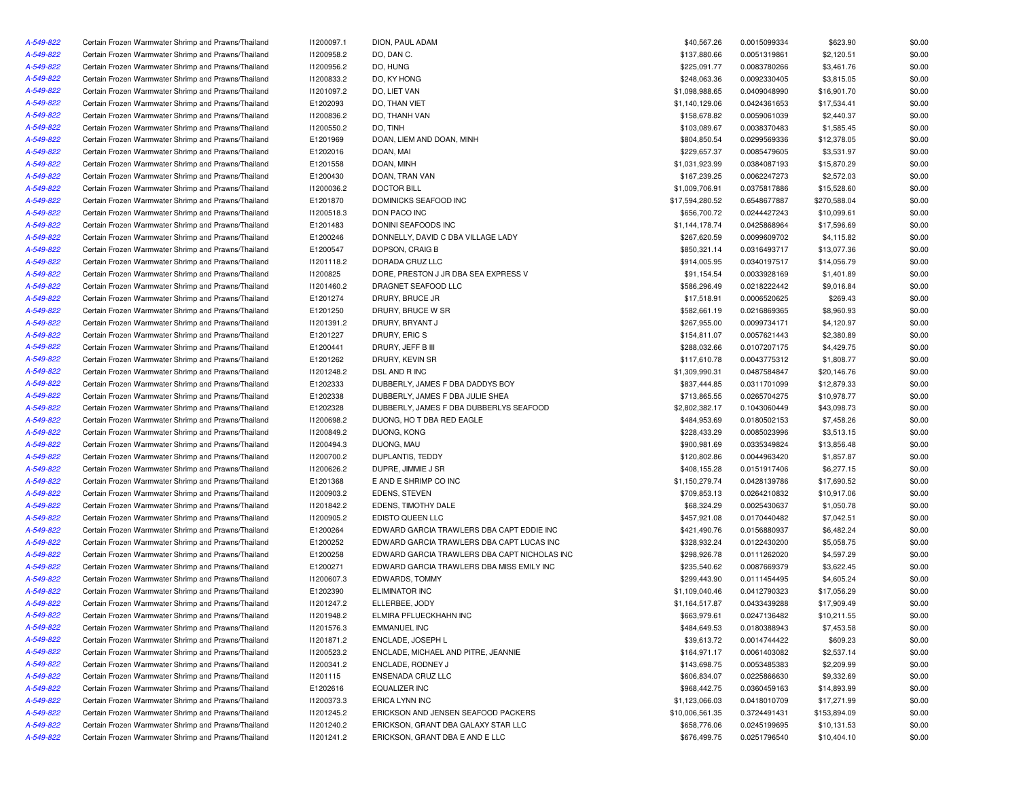| A-549-822              | Certain Frozen Warmwater Shrimp and Prawns/Thailand | 11200097.1 | DION, PAUL ADAM                              | \$40,567.26     | 0.0015099334                 | \$623.90     | \$0.00 |
|------------------------|-----------------------------------------------------|------------|----------------------------------------------|-----------------|------------------------------|--------------|--------|
| A-549-822              | Certain Frozen Warmwater Shrimp and Prawns/Thailand | 11200958.2 | DO, DAN C.                                   | \$137,880.66    | 0.0051319861                 | \$2,120.51   | \$0.00 |
| A-549-822              | Certain Frozen Warmwater Shrimp and Prawns/Thailand | 11200956.2 | DO, HUNG                                     | \$225,091.77    | 0.0083780266                 | \$3,461.76   | \$0.00 |
| A-549-822              | Certain Frozen Warmwater Shrimp and Prawns/Thailand | 11200833.2 | DO, KY HONG                                  | \$248,063.36    | 0.0092330405                 | \$3,815.05   | \$0.00 |
| A-549-822              | Certain Frozen Warmwater Shrimp and Prawns/Thailand | 11201097.2 | DO, LIET VAN                                 | \$1,098,988.65  | 0.0409048990                 | \$16,901.70  | \$0.00 |
| A-549-822              | Certain Frozen Warmwater Shrimp and Prawns/Thailand | E1202093   | DO, THAN VIET                                | \$1,140,129.06  | 0.0424361653                 | \$17,534.41  | \$0.00 |
| A-549-822              | Certain Frozen Warmwater Shrimp and Prawns/Thailand | 11200836.2 | DO, THANH VAN                                | \$158,678.82    | 0.0059061039                 | \$2,440.37   | \$0.00 |
| A-549-822              | Certain Frozen Warmwater Shrimp and Prawns/Thailand | 11200550.2 | DO, TINH                                     | \$103,089.67    | 0.0038370483                 | \$1,585.45   | \$0.00 |
| A-549-822              | Certain Frozen Warmwater Shrimp and Prawns/Thailand | E1201969   | DOAN, LIEM AND DOAN, MINH                    | \$804,850.54    | 0.0299569336                 | \$12,378.05  | \$0.00 |
| A-549-822              | Certain Frozen Warmwater Shrimp and Prawns/Thailand | E1202016   | DOAN, MAI                                    | \$229,657.37    | 0.0085479605                 | \$3,531.97   | \$0.00 |
| A-549-822              | Certain Frozen Warmwater Shrimp and Prawns/Thailand | E1201558   | DOAN, MINH                                   | \$1,031,923.99  | 0.0384087193                 | \$15,870.29  | \$0.00 |
| A-549-822              | Certain Frozen Warmwater Shrimp and Prawns/Thailand | E1200430   | DOAN, TRAN VAN                               | \$167,239.25    | 0.0062247273                 | \$2,572.03   | \$0.00 |
| A-549-822              | Certain Frozen Warmwater Shrimp and Prawns/Thailand | 11200036.2 | <b>DOCTOR BILL</b>                           | \$1,009,706.91  | 0.0375817886                 | \$15,528.60  | \$0.00 |
| A-549-822              | Certain Frozen Warmwater Shrimp and Prawns/Thailand | E1201870   | DOMINICKS SEAFOOD INC                        | \$17,594,280.52 | 0.6548677887                 | \$270,588.04 | \$0.00 |
| A-549-822              | Certain Frozen Warmwater Shrimp and Prawns/Thailand | 11200518.3 | DON PACO INC                                 | \$656,700.72    | 0.0244427243                 | \$10,099.61  | \$0.00 |
| A-549-822              | Certain Frozen Warmwater Shrimp and Prawns/Thailand | E1201483   | DONINI SEAFOODS INC                          | \$1,144,178.74  | 0.0425868964                 | \$17,596.69  | \$0.00 |
| A-549-822              | Certain Frozen Warmwater Shrimp and Prawns/Thailand | E1200246   | DONNELLY, DAVID C DBA VILLAGE LADY           | \$267,620.59    | 0.0099609702                 | \$4,115.82   | \$0.00 |
| A-549-822              | Certain Frozen Warmwater Shrimp and Prawns/Thailand | E1200547   | DOPSON, CRAIG B                              | \$850,321.14    | 0.0316493717                 | \$13,077.36  | \$0.00 |
| A-549-822              | Certain Frozen Warmwater Shrimp and Prawns/Thailand | 11201118.2 | DORADA CRUZ LLC                              | \$914,005.95    | 0.0340197517                 | \$14,056.79  | \$0.00 |
| A-549-822              | Certain Frozen Warmwater Shrimp and Prawns/Thailand | 11200825   | DORE, PRESTON J JR DBA SEA EXPRESS V         | \$91,154.54     | 0.0033928169                 | \$1,401.89   | \$0.00 |
| A-549-822              | Certain Frozen Warmwater Shrimp and Prawns/Thailand | 11201460.2 | DRAGNET SEAFOOD LLC                          | \$586,296.49    | 0.0218222442                 | \$9,016.84   | \$0.00 |
| A-549-822              | Certain Frozen Warmwater Shrimp and Prawns/Thailand | E1201274   | DRURY, BRUCE JR                              | \$17,518.91     | 0.0006520625                 | \$269.43     | \$0.00 |
| A-549-822              | Certain Frozen Warmwater Shrimp and Prawns/Thailand | E1201250   | DRURY, BRUCE W SR                            | \$582,661.19    | 0.0216869365                 | \$8,960.93   | \$0.00 |
| A-549-822              | Certain Frozen Warmwater Shrimp and Prawns/Thailand | 11201391.2 | DRURY, BRYANT J                              | \$267,955.00    | 0.0099734171                 | \$4,120.97   | \$0.00 |
| A-549-822              | Certain Frozen Warmwater Shrimp and Prawns/Thailand | E1201227   | DRURY, ERIC S                                | \$154,811.07    | 0.0057621443                 | \$2,380.89   | \$0.00 |
| A-549-822              | Certain Frozen Warmwater Shrimp and Prawns/Thailand | E1200441   | DRURY, JEFF B III                            | \$288,032.66    | 0.0107207175                 | \$4,429.75   | \$0.00 |
| A-549-822              | Certain Frozen Warmwater Shrimp and Prawns/Thailand | E1201262   | DRURY, KEVIN SR                              | \$117,610.78    | 0.0043775312                 | \$1,808.77   | \$0.00 |
| A-549-822              | Certain Frozen Warmwater Shrimp and Prawns/Thailand | 11201248.2 | DSL AND R INC                                | \$1,309,990.31  | 0.0487584847                 | \$20,146.76  | \$0.00 |
| A-549-822              | Certain Frozen Warmwater Shrimp and Prawns/Thailand | E1202333   | DUBBERLY, JAMES F DBA DADDYS BOY             | \$837,444.85    | 0.0311701099                 | \$12,879.33  | \$0.00 |
| A-549-822              | Certain Frozen Warmwater Shrimp and Prawns/Thailand | E1202338   | DUBBERLY, JAMES F DBA JULIE SHEA             | \$713,865.55    | 0.0265704275                 | \$10,978.77  | \$0.00 |
| A-549-822              | Certain Frozen Warmwater Shrimp and Prawns/Thailand | E1202328   | DUBBERLY, JAMES F DBA DUBBERLYS SEAFOOD      | \$2,802,382.17  | 0.1043060449                 | \$43,098.73  | \$0.00 |
| A-549-822              | Certain Frozen Warmwater Shrimp and Prawns/Thailand | 11200698.2 | DUONG, HO T DBA RED EAGLE                    | \$484,953.69    |                              | \$7,458.26   | \$0.00 |
|                        | Certain Frozen Warmwater Shrimp and Prawns/Thailand | 11200849.2 | DUONG, KONG                                  | \$228,433.29    | 0.0180502153<br>0.0085023996 | \$3,513.15   | \$0.00 |
| A-549-822<br>A-549-822 |                                                     |            |                                              | \$900,981.69    |                              |              |        |
|                        | Certain Frozen Warmwater Shrimp and Prawns/Thailand | I1200494.3 | DUONG, MAU                                   |                 | 0.0335349824                 | \$13,856.48  | \$0.00 |
| A-549-822              | Certain Frozen Warmwater Shrimp and Prawns/Thailand | 11200700.2 | DUPLANTIS, TEDDY                             | \$120,802.86    | 0.0044963420                 | \$1,857.87   | \$0.00 |
| A-549-822              | Certain Frozen Warmwater Shrimp and Prawns/Thailand | 11200626.2 | DUPRE, JIMMIE J SR                           | \$408,155.28    | 0.0151917406                 | \$6,277.15   | \$0.00 |
| A-549-822              | Certain Frozen Warmwater Shrimp and Prawns/Thailand | E1201368   | E AND E SHRIMP CO INC                        | \$1,150,279.74  | 0.0428139786                 | \$17,690.52  | \$0.00 |
| A-549-822              | Certain Frozen Warmwater Shrimp and Prawns/Thailand | 11200903.2 | <b>EDENS, STEVEN</b>                         | \$709,853.13    | 0.0264210832                 | \$10,917.06  | \$0.00 |
| A-549-822              | Certain Frozen Warmwater Shrimp and Prawns/Thailand | 11201842.2 | EDENS, TIMOTHY DALE                          | \$68,324.29     | 0.0025430637                 | \$1,050.78   | \$0.00 |
| A-549-822              | Certain Frozen Warmwater Shrimp and Prawns/Thailand | 11200905.2 | EDISTO QUEEN LLC                             | \$457,921.08    | 0.0170440482                 | \$7,042.51   | \$0.00 |
| A-549-822              | Certain Frozen Warmwater Shrimp and Prawns/Thailand | E1200264   | EDWARD GARCIA TRAWLERS DBA CAPT EDDIE INC    | \$421,490.76    | 0.0156880937                 | \$6,482.24   | \$0.00 |
| A-549-822              | Certain Frozen Warmwater Shrimp and Prawns/Thailand | E1200252   | EDWARD GARCIA TRAWLERS DBA CAPT LUCAS INC    | \$328,932.24    | 0.0122430200                 | \$5,058.75   | \$0.00 |
| A-549-822              | Certain Frozen Warmwater Shrimp and Prawns/Thailand | E1200258   | EDWARD GARCIA TRAWLERS DBA CAPT NICHOLAS INC | \$298,926.78    | 0.0111262020                 | \$4,597.29   | \$0.00 |
| A-549-822              | Certain Frozen Warmwater Shrimp and Prawns/Thailand | E1200271   | EDWARD GARCIA TRAWLERS DBA MISS EMILY INC    | \$235,540.62    | 0.0087669379                 | \$3,622.45   | \$0.00 |
| A-549-822              | Certain Frozen Warmwater Shrimp and Prawns/Thailand | I1200607.3 | EDWARDS, TOMMY                               | \$299,443.90    | 0.0111454495                 | \$4,605.24   | \$0.00 |
| A-549-822              | Certain Frozen Warmwater Shrimp and Prawns/Thailand | E1202390   | <b>ELIMINATOR INC</b>                        | \$1,109,040.46  | 0.0412790323                 | \$17,056.29  | \$0.00 |
| A-549-822              | Certain Frozen Warmwater Shrimp and Prawns/Thailand | 11201247.2 | ELLERBEE, JODY                               | \$1,164,517.87  | 0.0433439288                 | \$17,909.49  | \$0.00 |
| A-549-822              | Certain Frozen Warmwater Shrimp and Prawns/Thailand | 11201948.2 | ELMIRA PFLUECKHAHN INC                       | \$663,979.61    | 0.0247136482                 | \$10,211.55  | \$0.00 |
| A-549-822              | Certain Frozen Warmwater Shrimp and Prawns/Thailand | 11201576.3 | <b>EMMANUEL INC</b>                          | \$484,649.53    | 0.0180388943                 | \$7,453.58   | \$0.00 |
| A-549-822              | Certain Frozen Warmwater Shrimp and Prawns/Thailand | 11201871.2 | ENCLADE, JOSEPH L                            | \$39,613.72     | 0.0014744422                 | \$609.23     | \$0.00 |
| A-549-822              | Certain Frozen Warmwater Shrimp and Prawns/Thailand | 11200523.2 | ENCLADE, MICHAEL AND PITRE, JEANNIE          | \$164,971.17    | 0.0061403082                 | \$2,537.14   | \$0.00 |
| A-549-822              | Certain Frozen Warmwater Shrimp and Prawns/Thailand | 11200341.2 | ENCLADE, RODNEY J                            | \$143,698.75    | 0.0053485383                 | \$2,209.99   | \$0.00 |
| A-549-822              | Certain Frozen Warmwater Shrimp and Prawns/Thailand | 11201115   | ENSENADA CRUZ LLC                            | \$606,834.07    | 0.0225866630                 | \$9,332.69   | \$0.00 |
| A-549-822              | Certain Frozen Warmwater Shrimp and Prawns/Thailand | E1202616   | <b>EQUALIZER INC</b>                         | \$968,442.75    | 0.0360459163                 | \$14,893.99  | \$0.00 |
| A-549-822              | Certain Frozen Warmwater Shrimp and Prawns/Thailand | 11200373.3 | ERICA LYNN INC                               | \$1,123,066.03  | 0.0418010709                 | \$17,271.99  | \$0.00 |
| A-549-822              | Certain Frozen Warmwater Shrimp and Prawns/Thailand | 11201245.2 | ERICKSON AND JENSEN SEAFOOD PACKERS          | \$10,006,561.35 | 0.3724491431                 | \$153,894.09 | \$0.00 |
| A-549-822              | Certain Frozen Warmwater Shrimp and Prawns/Thailand | 11201240.2 | ERICKSON, GRANT DBA GALAXY STAR LLC          | \$658,776.06    | 0.0245199695                 | \$10,131.53  | \$0.00 |
| A-549-822              | Certain Frozen Warmwater Shrimp and Prawns/Thailand | 11201241.2 | ERICKSON, GRANT DBA E AND E LLC              | \$676,499.75    | 0.0251796540                 | \$10,404.10  | \$0.00 |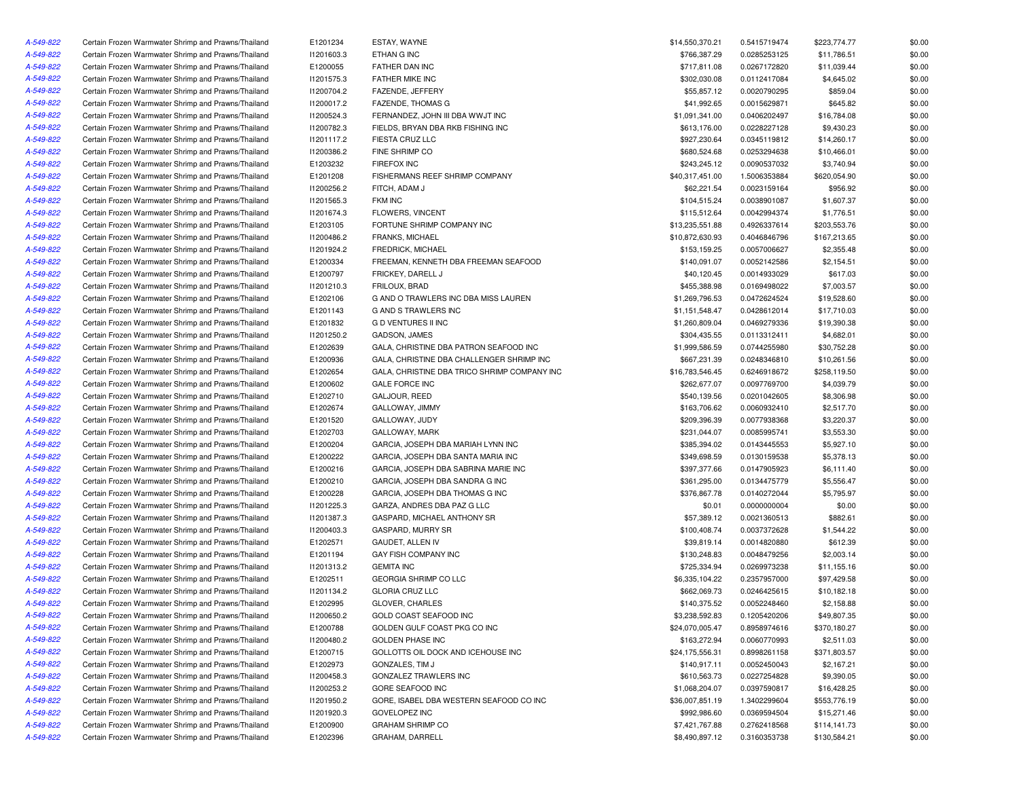| A-549-822 | Certain Frozen Warmwater Shrimp and Prawns/Thailand | E1201234   | ESTAY, WAYNE                                 | \$14,550,370.21 | 0.5415719474 | \$223,774.77 | \$0.00 |
|-----------|-----------------------------------------------------|------------|----------------------------------------------|-----------------|--------------|--------------|--------|
| A-549-822 | Certain Frozen Warmwater Shrimp and Prawns/Thailand | 11201603.3 | ETHAN G INC                                  | \$766,387.29    | 0.0285253125 | \$11,786.51  | \$0.00 |
| A-549-822 | Certain Frozen Warmwater Shrimp and Prawns/Thailand | E1200055   | FATHER DAN INC                               | \$717,811.08    | 0.0267172820 | \$11,039.44  | \$0.00 |
| A-549-822 | Certain Frozen Warmwater Shrimp and Prawns/Thailand | 11201575.3 | FATHER MIKE INC                              | \$302,030.08    | 0.0112417084 | \$4,645.02   | \$0.00 |
| A-549-822 | Certain Frozen Warmwater Shrimp and Prawns/Thailand | 11200704.2 | FAZENDE, JEFFERY                             | \$55,857.12     | 0.0020790295 | \$859.04     | \$0.00 |
| A-549-822 | Certain Frozen Warmwater Shrimp and Prawns/Thailand | 11200017.2 | <b>FAZENDE, THOMAS G</b>                     | \$41,992.65     | 0.0015629871 | \$645.82     | \$0.00 |
| A-549-822 | Certain Frozen Warmwater Shrimp and Prawns/Thailand | 11200524.3 | FERNANDEZ, JOHN III DBA WWJT INC             | \$1,091,341.00  | 0.0406202497 | \$16,784.08  | \$0.00 |
| A-549-822 | Certain Frozen Warmwater Shrimp and Prawns/Thailand | 11200782.3 | FIELDS, BRYAN DBA RKB FISHING INC            | \$613,176.00    | 0.0228227128 | \$9,430.23   | \$0.00 |
| A-549-822 | Certain Frozen Warmwater Shrimp and Prawns/Thailand | 11201117.2 | FIESTA CRUZ LLC                              | \$927,230.64    | 0.0345119812 | \$14,260.17  | \$0.00 |
| A-549-822 | Certain Frozen Warmwater Shrimp and Prawns/Thailand | 11200386.2 | FINE SHRIMP CO                               | \$680,524.68    | 0.0253294638 | \$10,466.01  | \$0.00 |
| A-549-822 | Certain Frozen Warmwater Shrimp and Prawns/Thailand | E1203232   | <b>FIREFOX INC</b>                           | \$243,245.12    | 0.0090537032 | \$3,740.94   | \$0.00 |
| A-549-822 | Certain Frozen Warmwater Shrimp and Prawns/Thailand | E1201208   | FISHERMANS REEF SHRIMP COMPANY               | \$40,317,451.00 | 1.5006353884 | \$620,054.90 | \$0.00 |
| A-549-822 | Certain Frozen Warmwater Shrimp and Prawns/Thailand | 11200256.2 | FITCH, ADAM J                                | \$62,221.54     | 0.0023159164 | \$956.92     | \$0.00 |
| A-549-822 | Certain Frozen Warmwater Shrimp and Prawns/Thailand | 11201565.3 | <b>FKM INC</b>                               | \$104,515.24    | 0.0038901087 | \$1,607.37   | \$0.00 |
| A-549-822 | Certain Frozen Warmwater Shrimp and Prawns/Thailand | 11201674.3 | FLOWERS, VINCENT                             | \$115,512.64    | 0.0042994374 | \$1,776.51   | \$0.00 |
| A-549-822 | Certain Frozen Warmwater Shrimp and Prawns/Thailand | E1203105   | FORTUNE SHRIMP COMPANY INC                   | \$13,235,551.88 | 0.4926337614 | \$203,553.76 | \$0.00 |
| A-549-822 | Certain Frozen Warmwater Shrimp and Prawns/Thailand | 11200486.2 | <b>FRANKS, MICHAEL</b>                       | \$10,872,630.93 | 0.4046846796 | \$167,213.65 | \$0.00 |
| A-549-822 | Certain Frozen Warmwater Shrimp and Prawns/Thailand | 11201924.2 | <b>FREDRICK, MICHAEL</b>                     | \$153,159.25    | 0.0057006627 | \$2,355.48   | \$0.00 |
|           |                                                     |            |                                              |                 |              |              |        |
| A-549-822 | Certain Frozen Warmwater Shrimp and Prawns/Thailand | E1200334   | FREEMAN, KENNETH DBA FREEMAN SEAFOOD         | \$140,091.07    | 0.0052142586 | \$2,154.51   | \$0.00 |
| A-549-822 | Certain Frozen Warmwater Shrimp and Prawns/Thailand | E1200797   | FRICKEY, DARELL J                            | \$40,120.45     | 0.0014933029 | \$617.03     | \$0.00 |
| A-549-822 | Certain Frozen Warmwater Shrimp and Prawns/Thailand | 11201210.3 | FRILOUX, BRAD                                | \$455,388.98    | 0.0169498022 | \$7,003.57   | \$0.00 |
| A-549-822 | Certain Frozen Warmwater Shrimp and Prawns/Thailand | E1202106   | G AND O TRAWLERS INC DBA MISS LAUREN         | \$1,269,796.53  | 0.0472624524 | \$19,528.60  | \$0.00 |
| A-549-822 | Certain Frozen Warmwater Shrimp and Prawns/Thailand | E1201143   | G AND S TRAWLERS INC                         | \$1,151,548.47  | 0.0428612014 | \$17,710.03  | \$0.00 |
| A-549-822 | Certain Frozen Warmwater Shrimp and Prawns/Thailand | E1201832   | <b>GD VENTURES II INC</b>                    | \$1,260,809.04  | 0.0469279336 | \$19,390.38  | \$0.00 |
| A-549-822 | Certain Frozen Warmwater Shrimp and Prawns/Thailand | 11201250.2 | GADSON, JAMES                                | \$304,435.55    | 0.0113312411 | \$4,682.01   | \$0.00 |
| A-549-822 | Certain Frozen Warmwater Shrimp and Prawns/Thailand | E1202639   | GALA, CHRISTINE DBA PATRON SEAFOOD INC       | \$1,999,586.59  | 0.0744255980 | \$30,752.28  | \$0.00 |
| A-549-822 | Certain Frozen Warmwater Shrimp and Prawns/Thailand | E1200936   | GALA, CHRISTINE DBA CHALLENGER SHRIMP INC    | \$667,231.39    | 0.0248346810 | \$10,261.56  | \$0.00 |
| A-549-822 | Certain Frozen Warmwater Shrimp and Prawns/Thailand | E1202654   | GALA, CHRISTINE DBA TRICO SHRIMP COMPANY INC | \$16,783,546.45 | 0.6246918672 | \$258,119.50 | \$0.00 |
| A-549-822 | Certain Frozen Warmwater Shrimp and Prawns/Thailand | E1200602   | <b>GALE FORCE INC</b>                        | \$262,677.07    | 0.0097769700 | \$4,039.79   | \$0.00 |
| A-549-822 | Certain Frozen Warmwater Shrimp and Prawns/Thailand | E1202710   | GALJOUR, REED                                | \$540,139.56    | 0.0201042605 | \$8,306.98   | \$0.00 |
| A-549-822 | Certain Frozen Warmwater Shrimp and Prawns/Thailand | E1202674   | GALLOWAY, JIMMY                              | \$163,706.62    | 0.0060932410 | \$2,517.70   | \$0.00 |
| A-549-822 | Certain Frozen Warmwater Shrimp and Prawns/Thailand | E1201520   | GALLOWAY, JUDY                               | \$209,396.39    | 0.0077938368 | \$3,220.37   | \$0.00 |
| A-549-822 | Certain Frozen Warmwater Shrimp and Prawns/Thailand | E1202703   | GALLOWAY, MARK                               | \$231,044.07    | 0.0085995741 | \$3,553.30   | \$0.00 |
| A-549-822 | Certain Frozen Warmwater Shrimp and Prawns/Thailand | E1200204   | GARCIA, JOSEPH DBA MARIAH LYNN INC           | \$385,394.02    | 0.0143445553 | \$5,927.10   | \$0.00 |
| A-549-822 | Certain Frozen Warmwater Shrimp and Prawns/Thailand | E1200222   | GARCIA, JOSEPH DBA SANTA MARIA INC           | \$349,698.59    | 0.0130159538 | \$5,378.13   | \$0.00 |
| A-549-822 | Certain Frozen Warmwater Shrimp and Prawns/Thailand | E1200216   | GARCIA, JOSEPH DBA SABRINA MARIE INC         | \$397,377.66    | 0.0147905923 | \$6,111.40   | \$0.00 |
| A-549-822 | Certain Frozen Warmwater Shrimp and Prawns/Thailand | E1200210   | GARCIA, JOSEPH DBA SANDRA G INC              | \$361,295.00    | 0.0134475779 | \$5,556.47   | \$0.00 |
| A-549-822 | Certain Frozen Warmwater Shrimp and Prawns/Thailand | E1200228   | GARCIA, JOSEPH DBA THOMAS G INC              | \$376,867.78    | 0.0140272044 | \$5,795.97   | \$0.00 |
| A-549-822 | Certain Frozen Warmwater Shrimp and Prawns/Thailand | 11201225.3 | GARZA, ANDRES DBA PAZ G LLC                  | \$0.01          | 0.0000000004 | \$0.00       | \$0.00 |
| A-549-822 | Certain Frozen Warmwater Shrimp and Prawns/Thailand | 11201387.3 | GASPARD, MICHAEL ANTHONY SR                  | \$57,389.12     | 0.0021360513 | \$882.61     | \$0.00 |
| A-549-822 | Certain Frozen Warmwater Shrimp and Prawns/Thailand | 11200403.3 | GASPARD, MURRY SR                            | \$100,408.74    | 0.0037372628 | \$1,544.22   | \$0.00 |
| A-549-822 | Certain Frozen Warmwater Shrimp and Prawns/Thailand | E1202571   | GAUDET, ALLEN IV                             | \$39,819.14     | 0.0014820880 | \$612.39     | \$0.00 |
| A-549-822 | Certain Frozen Warmwater Shrimp and Prawns/Thailand | E1201194   | GAY FISH COMPANY INC                         | \$130,248.83    | 0.0048479256 | \$2,003.14   | \$0.00 |
| A-549-822 | Certain Frozen Warmwater Shrimp and Prawns/Thailand | 11201313.2 | <b>GEMITA INC</b>                            | \$725,334.94    | 0.0269973238 | \$11,155.16  | \$0.00 |
| A-549-822 | Certain Frozen Warmwater Shrimp and Prawns/Thailand | E1202511   | GEORGIA SHRIMP CO LLC                        | \$6,335,104.22  | 0.2357957000 | \$97,429.58  | \$0.00 |
| A-549-822 | Certain Frozen Warmwater Shrimp and Prawns/Thailand | 11201134.2 | <b>GLORIA CRUZ LLC</b>                       | \$662,069.73    | 0.0246425615 | \$10,182.18  | \$0.00 |
| A-549-822 | Certain Frozen Warmwater Shrimp and Prawns/Thailand | E1202995   | GLOVER, CHARLES                              | \$140,375.52    | 0.0052248460 | \$2,158.88   | \$0.00 |
| A-549-822 |                                                     |            |                                              |                 |              |              |        |
|           | Certain Frozen Warmwater Shrimp and Prawns/Thailand | 11200650.2 | GOLD COAST SEAFOOD INC                       | \$3,238,592.83  | 0.1205420206 | \$49,807.35  | \$0.00 |
| A-549-822 | Certain Frozen Warmwater Shrimp and Prawns/Thailand | E1200788   | GOLDEN GULF COAST PKG CO INC                 | \$24,070,005.47 | 0.8958974616 | \$370,180.27 | \$0.00 |
| A-549-822 | Certain Frozen Warmwater Shrimp and Prawns/Thailand | I1200480.2 | GOLDEN PHASE INC                             | \$163,272.94    | 0.0060770993 | \$2,511.03   | \$0.00 |
| A-549-822 | Certain Frozen Warmwater Shrimp and Prawns/Thailand | E1200715   | GOLLOTTS OIL DOCK AND ICEHOUSE INC           | \$24,175,556.31 | 0.8998261158 | \$371,803.57 | \$0.00 |
| A-549-822 | Certain Frozen Warmwater Shrimp and Prawns/Thailand | E1202973   | GONZALES, TIM J                              | \$140,917.11    | 0.0052450043 | \$2,167.21   | \$0.00 |
| A-549-822 | Certain Frozen Warmwater Shrimp and Prawns/Thailand | I1200458.3 | GONZALEZ TRAWLERS INC                        | \$610,563.73    | 0.0227254828 | \$9,390.05   | \$0.00 |
| A-549-822 | Certain Frozen Warmwater Shrimp and Prawns/Thailand | 11200253.2 | GORE SEAFOOD INC                             | \$1,068,204.07  | 0.0397590817 | \$16,428.25  | \$0.00 |
| A-549-822 | Certain Frozen Warmwater Shrimp and Prawns/Thailand | 11201950.2 | GORE, ISABEL DBA WESTERN SEAFOOD CO INC      | \$36,007,851.19 | 1.3402299604 | \$553,776.19 | \$0.00 |
| A-549-822 | Certain Frozen Warmwater Shrimp and Prawns/Thailand | 11201920.3 | GOVELOPEZ INC                                | \$992,986.60    | 0.0369594504 | \$15,271.46  | \$0.00 |
| A-549-822 | Certain Frozen Warmwater Shrimp and Prawns/Thailand | E1200900   | <b>GRAHAM SHRIMP CO</b>                      | \$7,421,767.88  | 0.2762418568 | \$114,141.73 | \$0.00 |
| A-549-822 | Certain Frozen Warmwater Shrimp and Prawns/Thailand | E1202396   | GRAHAM, DARRELL                              | \$8,490,897.12  | 0.3160353738 | \$130,584.21 | \$0.00 |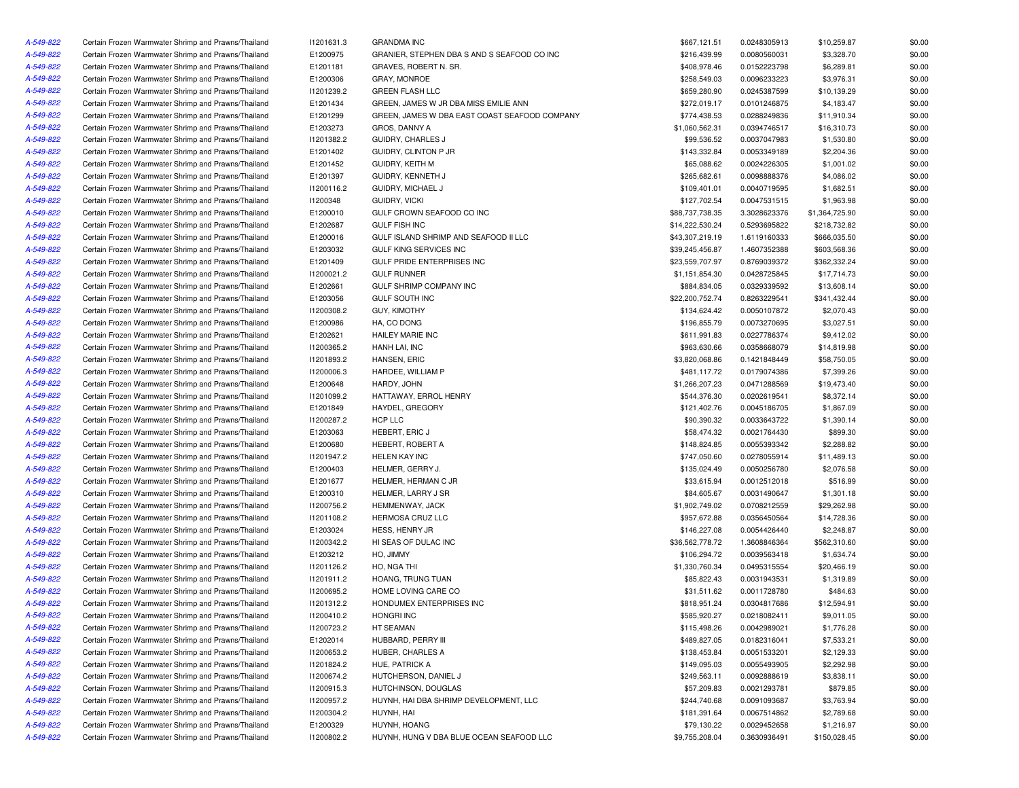| A-549-822 | Certain Frozen Warmwater Shrimp and Prawns/Thailand | 11201631.3 | <b>GRANDMA INC</b>                            | \$667,121.51                    | 0.0248305913                 | \$10,259.87    | \$0.00 |
|-----------|-----------------------------------------------------|------------|-----------------------------------------------|---------------------------------|------------------------------|----------------|--------|
| A-549-822 | Certain Frozen Warmwater Shrimp and Prawns/Thailand | E1200975   | GRANIER, STEPHEN DBA S AND S SEAFOOD CO INC   | \$216,439.99                    | 0.0080560031                 | \$3,328.70     | \$0.00 |
| A-549-822 | Certain Frozen Warmwater Shrimp and Prawns/Thailand | E1201181   | GRAVES, ROBERT N. SR.                         | \$408,978.46                    | 0.0152223798                 | \$6,289.81     | \$0.00 |
| A-549-822 | Certain Frozen Warmwater Shrimp and Prawns/Thailand | E1200306   | <b>GRAY, MONROE</b>                           | \$258,549.03                    | 0.0096233223                 | \$3,976.31     | \$0.00 |
| A-549-822 | Certain Frozen Warmwater Shrimp and Prawns/Thailand | 11201239.2 | <b>GREEN FLASH LLC</b>                        | \$659,280.90                    | 0.0245387599                 | \$10,139.29    | \$0.00 |
| A-549-822 | Certain Frozen Warmwater Shrimp and Prawns/Thailand | E1201434   | GREEN, JAMES W JR DBA MISS EMILIE ANN         | \$272,019.17                    | 0.0101246875                 | \$4,183.47     | \$0.00 |
| A-549-822 | Certain Frozen Warmwater Shrimp and Prawns/Thailand | E1201299   | GREEN. JAMES W DBA EAST COAST SEAFOOD COMPANY | \$774,438.53                    | 0.0288249836                 | \$11,910.34    | \$0.00 |
| A-549-822 | Certain Frozen Warmwater Shrimp and Prawns/Thailand | E1203273   | GROS, DANNY A                                 | \$1,060,562.31                  | 0.0394746517                 | \$16,310.73    | \$0.00 |
| A-549-822 | Certain Frozen Warmwater Shrimp and Prawns/Thailand | 11201382.2 | GUIDRY, CHARLES J                             | \$99,536.52                     | 0.0037047983                 | \$1,530.80     | \$0.00 |
| A-549-822 | Certain Frozen Warmwater Shrimp and Prawns/Thailand | E1201402   | GUIDRY, CLINTON P JR                          | \$143,332.84                    | 0.0053349189                 | \$2,204.36     | \$0.00 |
| A-549-822 | Certain Frozen Warmwater Shrimp and Prawns/Thailand | E1201452   | GUIDRY, KEITH M                               | \$65,088.62                     | 0.0024226305                 | \$1,001.02     | \$0.00 |
| A-549-822 | Certain Frozen Warmwater Shrimp and Prawns/Thailand |            | GUIDRY, KENNETH J                             |                                 |                              |                | \$0.00 |
| A-549-822 | Certain Frozen Warmwater Shrimp and Prawns/Thailand | E1201397   | GUIDRY, MICHAEL J                             | \$265,682.61                    | 0.0098888376                 | \$4,086.02     |        |
|           |                                                     | 11200116.2 | <b>GUIDRY, VICKI</b>                          | \$109,401.01                    | 0.0040719595                 | \$1,682.51     | \$0.00 |
| A-549-822 | Certain Frozen Warmwater Shrimp and Prawns/Thailand | 11200348   | GULF CROWN SEAFOOD CO INC                     | \$127,702.54<br>\$88,737,738.35 | 0.0047531515<br>3.3028623376 | \$1,963.98     | \$0.00 |
| A-549-822 | Certain Frozen Warmwater Shrimp and Prawns/Thailand | E1200010   |                                               |                                 |                              | \$1,364,725.90 | \$0.00 |
| A-549-822 | Certain Frozen Warmwater Shrimp and Prawns/Thailand | E1202687   | <b>GULF FISH INC</b>                          | \$14,222,530.24                 | 0.5293695822                 | \$218,732.82   | \$0.00 |
| A-549-822 | Certain Frozen Warmwater Shrimp and Prawns/Thailand | E1200016   | GULF ISLAND SHRIMP AND SEAFOOD II LLC         | \$43,307,219.19                 | 1.6119160333                 | \$666,035.50   | \$0.00 |
| A-549-822 | Certain Frozen Warmwater Shrimp and Prawns/Thailand | E1203032   | <b>GULF KING SERVICES INC</b>                 | \$39,245,456.87                 | 1.4607352388                 | \$603,568.36   | \$0.00 |
| A-549-822 | Certain Frozen Warmwater Shrimp and Prawns/Thailand | E1201409   | GULF PRIDE ENTERPRISES INC                    | \$23,559,707.97                 | 0.8769039372                 | \$362,332.24   | \$0.00 |
| A-549-822 | Certain Frozen Warmwater Shrimp and Prawns/Thailand | 11200021.2 | <b>GULF RUNNER</b>                            | \$1,151,854.30                  | 0.0428725845                 | \$17,714.73    | \$0.00 |
| A-549-822 | Certain Frozen Warmwater Shrimp and Prawns/Thailand | E1202661   | GULF SHRIMP COMPANY INC                       | \$884,834.05                    | 0.0329339592                 | \$13,608.14    | \$0.00 |
| A-549-822 | Certain Frozen Warmwater Shrimp and Prawns/Thailand | E1203056   | GULF SOUTH INC                                | \$22,200,752.74                 | 0.8263229541                 | \$341,432.44   | \$0.00 |
| A-549-822 | Certain Frozen Warmwater Shrimp and Prawns/Thailand | 11200308.2 | <b>GUY, KIMOTHY</b>                           | \$134,624.42                    | 0.0050107872                 | \$2,070.43     | \$0.00 |
| A-549-822 | Certain Frozen Warmwater Shrimp and Prawns/Thailand | E1200986   | HA, CO DONG                                   | \$196,855.79                    | 0.0073270695                 | \$3,027.51     | \$0.00 |
| A-549-822 | Certain Frozen Warmwater Shrimp and Prawns/Thailand | E1202621   | <b>HAILEY MARIE INC</b>                       | \$611,991.83                    | 0.0227786374                 | \$9,412.02     | \$0.00 |
| A-549-822 | Certain Frozen Warmwater Shrimp and Prawns/Thailand | 11200365.2 | HANH LAI, INC                                 | \$963,630.66                    | 0.0358668079                 | \$14,819.98    | \$0.00 |
| A-549-822 | Certain Frozen Warmwater Shrimp and Prawns/Thailand | 11201893.2 | HANSEN, ERIC                                  | \$3,820,068.86                  | 0.1421848449                 | \$58,750.05    | \$0.00 |
| A-549-822 | Certain Frozen Warmwater Shrimp and Prawns/Thailand | 11200006.3 | HARDEE, WILLIAM P                             | \$481,117.72                    | 0.0179074386                 | \$7,399.26     | \$0.00 |
| A-549-822 | Certain Frozen Warmwater Shrimp and Prawns/Thailand | E1200648   | HARDY, JOHN                                   | \$1,266,207.23                  | 0.0471288569                 | \$19,473.40    | \$0.00 |
| A-549-822 | Certain Frozen Warmwater Shrimp and Prawns/Thailand | 11201099.2 | HATTAWAY, ERROL HENRY                         | \$544,376.30                    | 0.0202619541                 | \$8,372.14     | \$0.00 |
| A-549-822 | Certain Frozen Warmwater Shrimp and Prawns/Thailand | E1201849   | HAYDEL, GREGORY                               | \$121,402.76                    | 0.0045186705                 | \$1,867.09     | \$0.00 |
| A-549-822 | Certain Frozen Warmwater Shrimp and Prawns/Thailand | 11200287.2 | HCP LLC                                       | \$90,390.32                     | 0.0033643722                 | \$1,390.14     | \$0.00 |
| A-549-822 | Certain Frozen Warmwater Shrimp and Prawns/Thailand | E1203063   | HEBERT, ERIC J                                | \$58,474.32                     | 0.0021764430                 | \$899.30       | \$0.00 |
| A-549-822 | Certain Frozen Warmwater Shrimp and Prawns/Thailand | E1200680   | HEBERT, ROBERT A                              | \$148,824.85                    | 0.0055393342                 | \$2,288.82     | \$0.00 |
| A-549-822 | Certain Frozen Warmwater Shrimp and Prawns/Thailand | 11201947.2 | <b>HELEN KAY INC</b>                          | \$747,050.60                    | 0.0278055914                 | \$11,489.13    | \$0.00 |
| A-549-822 | Certain Frozen Warmwater Shrimp and Prawns/Thailand | E1200403   | HELMER, GERRY J.                              | \$135,024.49                    | 0.0050256780                 | \$2,076.58     | \$0.00 |
| A-549-822 | Certain Frozen Warmwater Shrimp and Prawns/Thailand | E1201677   | HELMER, HERMAN C JR                           | \$33,615.94                     | 0.0012512018                 | \$516.99       | \$0.00 |
| A-549-822 | Certain Frozen Warmwater Shrimp and Prawns/Thailand | E1200310   | HELMER, LARRY J SR                            | \$84,605.67                     | 0.0031490647                 | \$1,301.18     | \$0.00 |
| A-549-822 | Certain Frozen Warmwater Shrimp and Prawns/Thailand | 11200756.2 | HEMMENWAY, JACK                               | \$1,902,749.02                  | 0.0708212559                 | \$29,262.98    | \$0.00 |
| A-549-822 | Certain Frozen Warmwater Shrimp and Prawns/Thailand | 11201108.2 | HERMOSA CRUZ LLC                              | \$957,672.88                    | 0.0356450564                 | \$14,728.36    | \$0.00 |
| A-549-822 | Certain Frozen Warmwater Shrimp and Prawns/Thailand | E1203024   | HESS, HENRY JR                                | \$146,227.08                    | 0.0054426440                 | \$2,248.87     | \$0.00 |
| A-549-822 | Certain Frozen Warmwater Shrimp and Prawns/Thailand | 11200342.2 | HI SEAS OF DULAC INC                          | \$36,562,778.72                 | 1.3608846364                 | \$562,310.60   | \$0.00 |
| A-549-822 | Certain Frozen Warmwater Shrimp and Prawns/Thailand | E1203212   | HO, JIMMY                                     | \$106,294.72                    | 0.0039563418                 | \$1,634.74     | \$0.00 |
| A-549-822 | Certain Frozen Warmwater Shrimp and Prawns/Thailand | 11201126.2 | HO, NGA THI                                   | \$1,330,760.34                  | 0.0495315554                 | \$20,466.19    | \$0.00 |
| A-549-822 | Certain Frozen Warmwater Shrimp and Prawns/Thailand | 11201911.2 | HOANG, TRUNG TUAN                             | \$85,822.43                     | 0.0031943531                 | \$1,319.89     | \$0.00 |
| A-549-822 | Certain Frozen Warmwater Shrimp and Prawns/Thailand | I1200695.2 | HOME LOVING CARE CO                           | \$31,511.62                     | 0.0011728780                 | \$484.63       | \$0.00 |
| A-549-822 | Certain Frozen Warmwater Shrimp and Prawns/Thailand | 11201312.2 | HONDUMEX ENTERPRISES INC                      | \$818,951.24                    | 0.0304817686                 | \$12,594.91    | \$0.00 |
| A-549-822 | Certain Frozen Warmwater Shrimp and Prawns/Thailand | 11200410.2 | HONGRI INC                                    | \$585.920.27                    | 0.0218082411                 | \$9,011.05     | \$0.00 |
| A-549-822 | Certain Frozen Warmwater Shrimp and Prawns/Thailand | 11200723.2 | HT SEAMAN                                     | \$115,498.26                    | 0.0042989021                 | \$1,776.28     | \$0.00 |
| A-549-822 | Certain Frozen Warmwater Shrimp and Prawns/Thailand | E1202014   | HUBBARD, PERRY III                            | \$489,827.05                    | 0.0182316041                 | \$7,533.21     | \$0.00 |
| A-549-822 | Certain Frozen Warmwater Shrimp and Prawns/Thailand | 11200653.2 | HUBER, CHARLES A                              | \$138,453.84                    | 0.0051533201                 | \$2,129.33     | \$0.00 |
| A-549-822 | Certain Frozen Warmwater Shrimp and Prawns/Thailand | 11201824.2 | HUE, PATRICK A                                | \$149,095.03                    | 0.0055493905                 | \$2,292.98     | \$0.00 |
| A-549-822 | Certain Frozen Warmwater Shrimp and Prawns/Thailand | 11200674.2 | HUTCHERSON, DANIEL J                          | \$249,563.11                    | 0.0092888619                 | \$3,838.11     | \$0.00 |
| A-549-822 | Certain Frozen Warmwater Shrimp and Prawns/Thailand | 11200915.3 | HUTCHINSON, DOUGLAS                           | \$57,209.83                     | 0.0021293781                 | \$879.85       | \$0.00 |
| A-549-822 | Certain Frozen Warmwater Shrimp and Prawns/Thailand | 11200957.2 | HUYNH, HAI DBA SHRIMP DEVELOPMENT, LLC        | \$244,740.68                    | 0.0091093687                 | \$3,763.94     | \$0.00 |
| A-549-822 | Certain Frozen Warmwater Shrimp and Prawns/Thailand | 11200304.2 | HUYNH, HAI                                    | \$181,391.64                    | 0.0067514862                 | \$2,789.68     | \$0.00 |
| A-549-822 | Certain Frozen Warmwater Shrimp and Prawns/Thailand | E1200329   | HUYNH, HOANG                                  | \$79,130.22                     | 0.0029452658                 | \$1,216.97     | \$0.00 |
| A-549-822 | Certain Frozen Warmwater Shrimp and Prawns/Thailand | 11200802.2 | HUYNH, HUNG V DBA BLUE OCEAN SEAFOOD LLC      | \$9,755,208.04                  | 0.3630936491                 | \$150,028.45   | \$0.00 |
|           |                                                     |            |                                               |                                 |                              |                |        |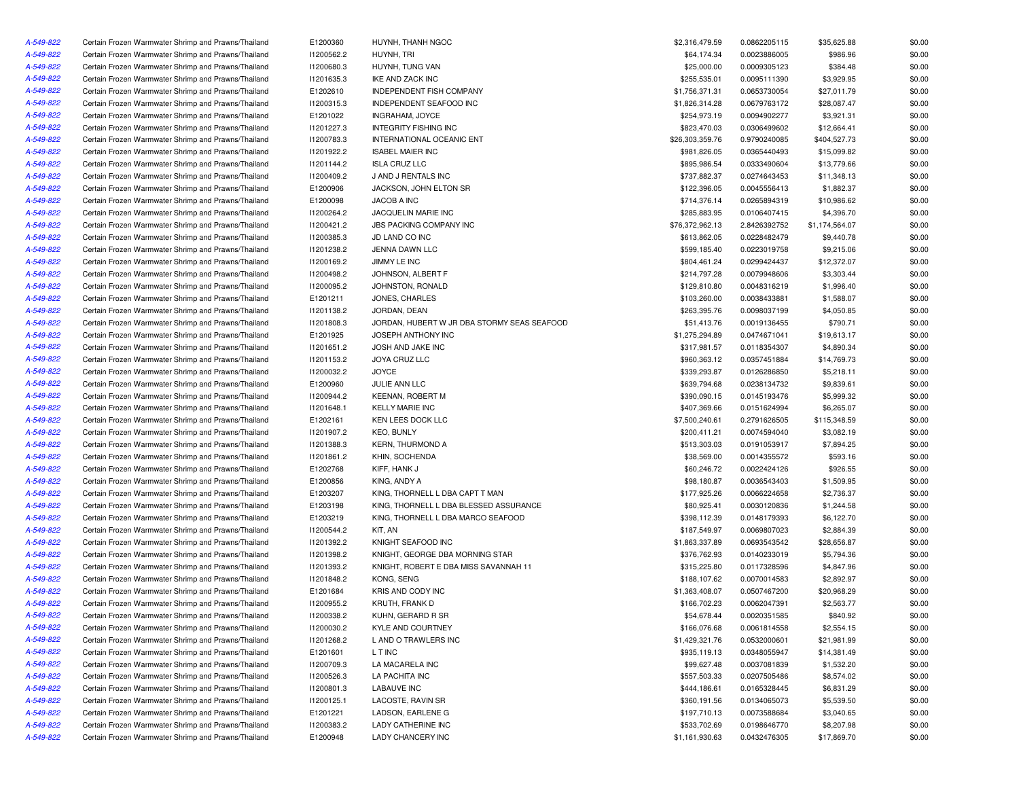| A-549-822 | Certain Frozen Warmwater Shrimp and Prawns/Thailand | E1200360   | HUYNH, THANH NGOC                           | \$2,316,479.59  | 0.0862205115 | \$35,625.88    | \$0.00 |
|-----------|-----------------------------------------------------|------------|---------------------------------------------|-----------------|--------------|----------------|--------|
| A-549-822 | Certain Frozen Warmwater Shrimp and Prawns/Thailand | 11200562.2 | HUYNH, TRI                                  | \$64,174.34     | 0.0023886005 | \$986.96       | \$0.00 |
| A-549-822 | Certain Frozen Warmwater Shrimp and Prawns/Thailand | 11200680.3 | HUYNH, TUNG VAN                             | \$25,000.00     | 0.0009305123 | \$384.48       | \$0.00 |
| A-549-822 | Certain Frozen Warmwater Shrimp and Prawns/Thailand | 11201635.3 | IKE AND ZACK INC                            | \$255,535.01    | 0.0095111390 | \$3,929.95     | \$0.00 |
| A-549-822 | Certain Frozen Warmwater Shrimp and Prawns/Thailand | E1202610   | INDEPENDENT FISH COMPANY                    | \$1,756,371.31  | 0.0653730054 | \$27,011.79    | \$0.00 |
| A-549-822 | Certain Frozen Warmwater Shrimp and Prawns/Thailand | 11200315.3 | INDEPENDENT SEAFOOD INC                     | \$1,826,314.28  | 0.0679763172 | \$28,087.47    | \$0.00 |
| A-549-822 | Certain Frozen Warmwater Shrimp and Prawns/Thailand | E1201022   | <b>INGRAHAM, JOYCE</b>                      | \$254,973.19    | 0.0094902277 | \$3,921.31     | \$0.00 |
| A-549-822 | Certain Frozen Warmwater Shrimp and Prawns/Thailand | 11201227.3 | <b>INTEGRITY FISHING INC</b>                | \$823,470.03    | 0.0306499602 | \$12,664.41    | \$0.00 |
| A-549-822 | Certain Frozen Warmwater Shrimp and Prawns/Thailand | 11200783.3 | INTERNATIONAL OCEANIC ENT                   | \$26,303,359.76 | 0.9790240085 | \$404,527.73   | \$0.00 |
| A-549-822 | Certain Frozen Warmwater Shrimp and Prawns/Thailand | 11201922.2 | <b>ISABEL MAIER INC</b>                     | \$981,826.05    | 0.0365440493 | \$15,099.82    | \$0.00 |
| A-549-822 | Certain Frozen Warmwater Shrimp and Prawns/Thailand | 11201144.2 | <b>ISLA CRUZ LLC</b>                        | \$895,986.54    | 0.0333490604 | \$13,779.66    | \$0.00 |
| A-549-822 | Certain Frozen Warmwater Shrimp and Prawns/Thailand | 11200409.2 | J AND J RENTALS INC                         | \$737,882.37    | 0.0274643453 | \$11,348.13    | \$0.00 |
| A-549-822 | Certain Frozen Warmwater Shrimp and Prawns/Thailand | E1200906   | JACKSON, JOHN ELTON SR                      | \$122,396.05    | 0.0045556413 | \$1,882.37     | \$0.00 |
|           |                                                     |            | JACOB A INC                                 |                 |              |                |        |
| A-549-822 | Certain Frozen Warmwater Shrimp and Prawns/Thailand | E1200098   |                                             | \$714,376.14    | 0.0265894319 | \$10,986.62    | \$0.00 |
| A-549-822 | Certain Frozen Warmwater Shrimp and Prawns/Thailand | 11200264.2 | JACQUELIN MARIE INC                         | \$285,883.95    | 0.0106407415 | \$4,396.70     | \$0.00 |
| A-549-822 | Certain Frozen Warmwater Shrimp and Prawns/Thailand | 11200421.2 | <b>JBS PACKING COMPANY INC</b>              | \$76,372,962.13 | 2.8426392752 | \$1,174,564.07 | \$0.00 |
| A-549-822 | Certain Frozen Warmwater Shrimp and Prawns/Thailand | 11200385.3 | JD LAND CO INC                              | \$613,862.05    | 0.0228482479 | \$9,440.78     | \$0.00 |
| A-549-822 | Certain Frozen Warmwater Shrimp and Prawns/Thailand | 11201238.2 | JENNA DAWN LLC                              | \$599,185.40    | 0.0223019758 | \$9,215.06     | \$0.00 |
| A-549-822 | Certain Frozen Warmwater Shrimp and Prawns/Thailand | 11200169.2 | JIMMY LE INC                                | \$804,461.24    | 0.0299424437 | \$12,372.07    | \$0.00 |
| A-549-822 | Certain Frozen Warmwater Shrimp and Prawns/Thailand | 11200498.2 | JOHNSON, ALBERT F                           | \$214,797.28    | 0.0079948606 | \$3,303.44     | \$0.00 |
| A-549-822 | Certain Frozen Warmwater Shrimp and Prawns/Thailand | 11200095.2 | JOHNSTON, RONALD                            | \$129,810.80    | 0.0048316219 | \$1,996.40     | \$0.00 |
| A-549-822 | Certain Frozen Warmwater Shrimp and Prawns/Thailand | E1201211   | JONES, CHARLES                              | \$103,260.00    | 0.0038433881 | \$1,588.07     | \$0.00 |
| A-549-822 | Certain Frozen Warmwater Shrimp and Prawns/Thailand | 11201138.2 | JORDAN, DEAN                                | \$263,395.76    | 0.0098037199 | \$4,050.85     | \$0.00 |
| A-549-822 | Certain Frozen Warmwater Shrimp and Prawns/Thailand | 11201808.3 | JORDAN, HUBERT W JR DBA STORMY SEAS SEAFOOD | \$51,413.76     | 0.0019136455 | \$790.71       | \$0.00 |
| A-549-822 | Certain Frozen Warmwater Shrimp and Prawns/Thailand | E1201925   | JOSEPH ANTHONY INC                          | \$1,275,294.89  | 0.0474671041 | \$19,613.17    | \$0.00 |
| A-549-822 | Certain Frozen Warmwater Shrimp and Prawns/Thailand | 11201651.2 | JOSH AND JAKE INC                           | \$317,981.57    | 0.0118354307 | \$4,890.34     | \$0.00 |
| A-549-822 | Certain Frozen Warmwater Shrimp and Prawns/Thailand | 11201153.2 | <b>JOYA CRUZ LLC</b>                        | \$960,363.12    | 0.0357451884 | \$14,769.73    | \$0.00 |
| A-549-822 | Certain Frozen Warmwater Shrimp and Prawns/Thailand | 11200032.2 | <b>JOYCE</b>                                | \$339,293.87    | 0.0126286850 | \$5,218.11     | \$0.00 |
| A-549-822 | Certain Frozen Warmwater Shrimp and Prawns/Thailand | E1200960   | JULIE ANN LLC                               | \$639,794.68    | 0.0238134732 | \$9,839.61     | \$0.00 |
| A-549-822 | Certain Frozen Warmwater Shrimp and Prawns/Thailand | 11200944.2 | KEENAN, ROBERT M                            | \$390,090.15    | 0.0145193476 | \$5,999.32     | \$0.00 |
| A-549-822 | Certain Frozen Warmwater Shrimp and Prawns/Thailand | 11201648.1 | <b>KELLY MARIE INC</b>                      | \$407,369.66    | 0.0151624994 | \$6,265.07     | \$0.00 |
| A-549-822 | Certain Frozen Warmwater Shrimp and Prawns/Thailand | E1202161   | KEN LEES DOCK LLC                           | \$7,500,240.61  | 0.2791626505 | \$115,348.59   | \$0.00 |
| A-549-822 | Certain Frozen Warmwater Shrimp and Prawns/Thailand | 11201907.2 | KEO, BUNLY                                  | \$200,411.21    | 0.0074594040 | \$3,082.19     | \$0.00 |
| A-549-822 | Certain Frozen Warmwater Shrimp and Prawns/Thailand | 11201388.3 | <b>KERN, THURMOND A</b>                     | \$513,303.03    | 0.0191053917 | \$7,894.25     | \$0.00 |
| A-549-822 | Certain Frozen Warmwater Shrimp and Prawns/Thailand | 11201861.2 | KHIN, SOCHENDA                              | \$38,569.00     | 0.0014355572 | \$593.16       | \$0.00 |
| A-549-822 | Certain Frozen Warmwater Shrimp and Prawns/Thailand | E1202768   | KIFF, HANK J                                | \$60,246.72     | 0.0022424126 | \$926.55       | \$0.00 |
| A-549-822 | Certain Frozen Warmwater Shrimp and Prawns/Thailand | E1200856   | KING, ANDY A                                | \$98,180.87     | 0.0036543403 | \$1,509.95     | \$0.00 |
| A-549-822 |                                                     |            |                                             |                 |              |                |        |
|           | Certain Frozen Warmwater Shrimp and Prawns/Thailand | E1203207   | KING, THORNELL L DBA CAPT T MAN             | \$177,925.26    | 0.0066224658 | \$2,736.37     | \$0.00 |
| A-549-822 | Certain Frozen Warmwater Shrimp and Prawns/Thailand | E1203198   | KING, THORNELL L DBA BLESSED ASSURANCE      | \$80,925.41     | 0.0030120836 | \$1,244.58     | \$0.00 |
| A-549-822 | Certain Frozen Warmwater Shrimp and Prawns/Thailand | E1203219   | KING, THORNELL L DBA MARCO SEAFOOD          | \$398,112.39    | 0.0148179393 | \$6,122.70     | \$0.00 |
| A-549-822 | Certain Frozen Warmwater Shrimp and Prawns/Thailand | 11200544.2 | KIT, AN                                     | \$187,549.97    | 0.0069807023 | \$2,884.39     | \$0.00 |
| A-549-822 | Certain Frozen Warmwater Shrimp and Prawns/Thailand | 11201392.2 | KNIGHT SEAFOOD INC                          | \$1,863,337.89  | 0.0693543542 | \$28,656.87    | \$0.00 |
| A-549-822 | Certain Frozen Warmwater Shrimp and Prawns/Thailand | 11201398.2 | KNIGHT, GEORGE DBA MORNING STAR             | \$376,762.93    | 0.0140233019 | \$5,794.36     | \$0.00 |
| A-549-822 | Certain Frozen Warmwater Shrimp and Prawns/Thailand | 11201393.2 | KNIGHT, ROBERT E DBA MISS SAVANNAH 11       | \$315,225.80    | 0.0117328596 | \$4,847.96     | \$0.00 |
| A-549-822 | Certain Frozen Warmwater Shrimp and Prawns/Thailand | 11201848.2 | KONG, SENG                                  | \$188,107.62    | 0.0070014583 | \$2,892.97     | \$0.00 |
| A-549-822 | Certain Frozen Warmwater Shrimp and Prawns/Thailand | E1201684   | KRIS AND CODY INC                           | \$1,363,408.07  | 0.0507467200 | \$20,968.29    | \$0.00 |
| A-549-822 | Certain Frozen Warmwater Shrimp and Prawns/Thailand | I1200955.2 | KRUTH, FRANK D                              | \$166,702.23    | 0.0062047391 | \$2,563.77     | \$0.00 |
| A-549-822 | Certain Frozen Warmwater Shrimp and Prawns/Thailand | 11200338.2 | KUHN, GERARD R SR                           | \$54,678.44     | 0.0020351585 | \$840.92       | \$0.00 |
| A-549-822 | Certain Frozen Warmwater Shrimp and Prawns/Thailand | 11200030.2 | KYLE AND COURTNEY                           | \$166,076.68    | 0.0061814558 | \$2,554.15     | \$0.00 |
| A-549-822 | Certain Frozen Warmwater Shrimp and Prawns/Thailand | 11201268.2 | L AND O TRAWLERS INC                        | \$1,429,321.76  | 0.0532000601 | \$21,981.99    | \$0.00 |
| A-549-822 | Certain Frozen Warmwater Shrimp and Prawns/Thailand | E1201601   | L T INC                                     | \$935,119.13    | 0.0348055947 | \$14,381.49    | \$0.00 |
| A-549-822 | Certain Frozen Warmwater Shrimp and Prawns/Thailand | I1200709.3 | LA MACARELA INC                             | \$99,627.48     | 0.0037081839 | \$1,532.20     | \$0.00 |
| A-549-822 | Certain Frozen Warmwater Shrimp and Prawns/Thailand | I1200526.3 | LA PACHITA INC                              | \$557,503.33    | 0.0207505486 | \$8,574.02     | \$0.00 |
| A-549-822 | Certain Frozen Warmwater Shrimp and Prawns/Thailand | 11200801.3 | LABAUVE INC                                 | \$444,186.61    | 0.0165328445 | \$6,831.29     | \$0.00 |
| A-549-822 | Certain Frozen Warmwater Shrimp and Prawns/Thailand | 11200125.1 | LACOSTE, RAVIN SR                           | \$360,191.56    | 0.0134065073 | \$5,539.50     | \$0.00 |
| A-549-822 | Certain Frozen Warmwater Shrimp and Prawns/Thailand | E1201221   | LADSON, EARLENE G                           | \$197,710.13    | 0.0073588684 | \$3,040.65     | \$0.00 |
| A-549-822 | Certain Frozen Warmwater Shrimp and Prawns/Thailand | 11200383.2 | LADY CATHERINE INC                          | \$533,702.69    | 0.0198646770 | \$8,207.98     | \$0.00 |
| A-549-822 | Certain Frozen Warmwater Shrimp and Prawns/Thailand | E1200948   | LADY CHANCERY INC                           | \$1,161,930.63  | 0.0432476305 | \$17,869.70    | \$0.00 |
|           |                                                     |            |                                             |                 |              |                |        |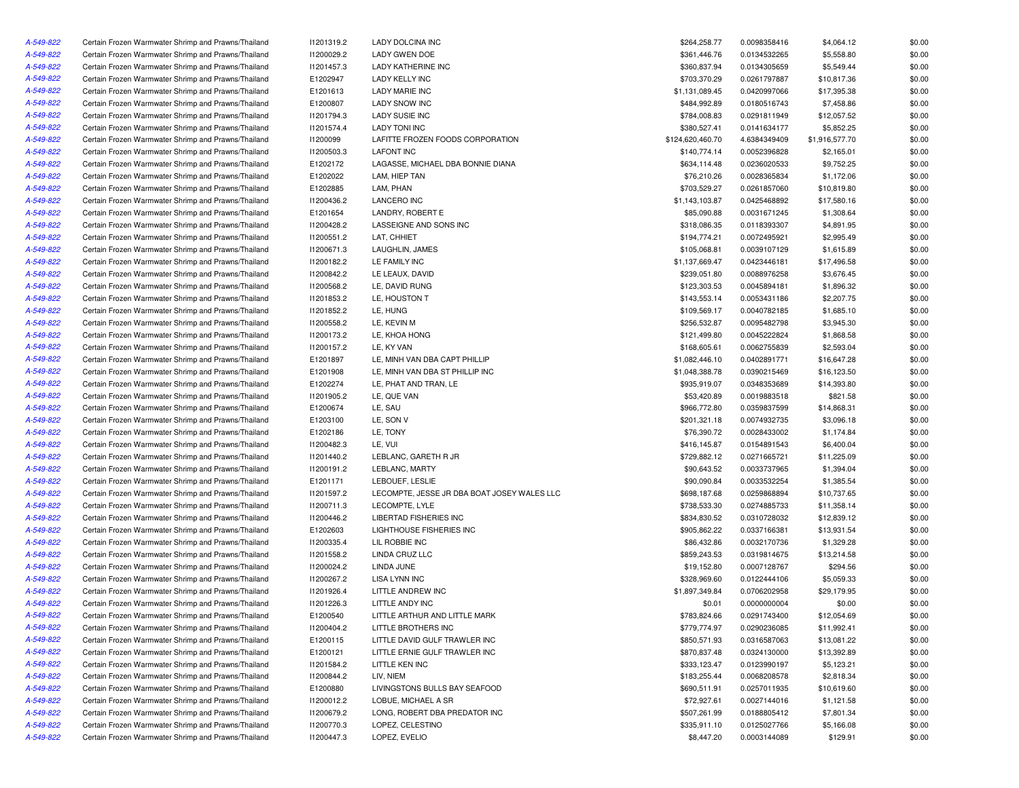| A-549-822 | Certain Frozen Warmwater Shrimp and Prawns/Thailand | 11201319.2      | LADY DOLCINA INC                            | \$264,258.77     | 0.0098358416 | \$4,064.12     | \$0.00 |
|-----------|-----------------------------------------------------|-----------------|---------------------------------------------|------------------|--------------|----------------|--------|
| A-549-822 | Certain Frozen Warmwater Shrimp and Prawns/Thailand | 11200029.2      | <b>LADY GWEN DOE</b>                        | \$361,446.76     | 0.0134532265 | \$5,558.80     | \$0.00 |
| A-549-822 | Certain Frozen Warmwater Shrimp and Prawns/Thailand | 11201457.3      | <b>LADY KATHERINE INC</b>                   | \$360,837.94     | 0.0134305659 | \$5,549.44     | \$0.00 |
| A-549-822 | Certain Frozen Warmwater Shrimp and Prawns/Thailand | E1202947        | LADY KELLY INC                              | \$703,370.29     | 0.0261797887 | \$10,817.36    | \$0.00 |
| A-549-822 | Certain Frozen Warmwater Shrimp and Prawns/Thailand | E1201613        | <b>LADY MARIE INC</b>                       | \$1,131,089.45   | 0.0420997066 | \$17,395.38    | \$0.00 |
| A-549-822 | Certain Frozen Warmwater Shrimp and Prawns/Thailand | E1200807        | <b>LADY SNOW INC</b>                        | \$484,992.89     | 0.0180516743 | \$7,458.86     | \$0.00 |
| A-549-822 | Certain Frozen Warmwater Shrimp and Prawns/Thailand | 11201794.3      | <b>LADY SUSIE INC</b>                       | \$784,008.83     | 0.0291811949 | \$12,057.52    | \$0.00 |
| A-549-822 | Certain Frozen Warmwater Shrimp and Prawns/Thailand | 11201574.4      | <b>LADY TONI INC</b>                        | \$380,527.41     | 0.0141634177 | \$5,852.25     | \$0.00 |
| A-549-822 | Certain Frozen Warmwater Shrimp and Prawns/Thailand | <b>I1200099</b> | LAFITTE FROZEN FOODS CORPORATION            | \$124,620,460.70 | 4.6384349409 | \$1,916,577.70 | \$0.00 |
| A-549-822 | Certain Frozen Warmwater Shrimp and Prawns/Thailand | 11200503.3      | <b>LAFONT INC</b>                           | \$140,774.14     | 0.0052396828 | \$2,165.01     | \$0.00 |
| A-549-822 | Certain Frozen Warmwater Shrimp and Prawns/Thailand | E1202172        | LAGASSE, MICHAEL DBA BONNIE DIANA           | \$634,114.48     | 0.0236020533 | \$9,752.25     | \$0.00 |
| A-549-822 | Certain Frozen Warmwater Shrimp and Prawns/Thailand | E1202022        | LAM, HIEP TAN                               | \$76,210.26      | 0.0028365834 | \$1,172.06     | \$0.00 |
| A-549-822 | Certain Frozen Warmwater Shrimp and Prawns/Thailand | E1202885        | LAM, PHAN                                   | \$703,529.27     | 0.0261857060 | \$10,819.80    | \$0.00 |
| A-549-822 | Certain Frozen Warmwater Shrimp and Prawns/Thailand | 11200436.2      | <b>LANCERO INC</b>                          | \$1,143,103.87   | 0.0425468892 | \$17,580.16    | \$0.00 |
| A-549-822 | Certain Frozen Warmwater Shrimp and Prawns/Thailand | E1201654        | LANDRY, ROBERT E                            | \$85,090.88      | 0.0031671245 | \$1,308.64     | \$0.00 |
| A-549-822 | Certain Frozen Warmwater Shrimp and Prawns/Thailand | 11200428.2      | LASSEIGNE AND SONS INC                      | \$318,086.35     | 0.0118393307 | \$4,891.95     | \$0.00 |
| A-549-822 | Certain Frozen Warmwater Shrimp and Prawns/Thailand | 11200551.2      | LAT, CHHIET                                 | \$194,774.21     | 0.0072495921 | \$2,995.49     | \$0.00 |
| A-549-822 | Certain Frozen Warmwater Shrimp and Prawns/Thailand | I1200671.3      | LAUGHLIN, JAMES                             | \$105,068.81     | 0.0039107129 | \$1,615.89     | \$0.00 |
|           | Certain Frozen Warmwater Shrimp and Prawns/Thailand | 11200182.2      | LE FAMILY INC                               | \$1,137,669.47   | 0.0423446181 | \$17,496.58    | \$0.00 |
| A-549-822 |                                                     |                 |                                             |                  |              |                |        |
| A-549-822 | Certain Frozen Warmwater Shrimp and Prawns/Thailand | 11200842.2      | LE LEAUX, DAVID                             | \$239,051.80     | 0.0088976258 | \$3,676.45     | \$0.00 |
| A-549-822 | Certain Frozen Warmwater Shrimp and Prawns/Thailand | 11200568.2      | LE, DAVID RUNG                              | \$123,303.53     | 0.0045894181 | \$1,896.32     | \$0.00 |
| A-549-822 | Certain Frozen Warmwater Shrimp and Prawns/Thailand | 11201853.2      | LE, HOUSTON T                               | \$143,553.14     | 0.0053431186 | \$2,207.75     | \$0.00 |
| A-549-822 | Certain Frozen Warmwater Shrimp and Prawns/Thailand | 11201852.2      | LE. HUNG                                    | \$109,569.17     | 0.0040782185 | \$1,685.10     | \$0.00 |
| A-549-822 | Certain Frozen Warmwater Shrimp and Prawns/Thailand | I1200558.2      | LE. KEVIN M                                 | \$256,532.87     | 0.0095482798 | \$3,945.30     | \$0.00 |
| A-549-822 | Certain Frozen Warmwater Shrimp and Prawns/Thailand | 11200173.2      | LE. KHOA HONG                               | \$121,499.80     | 0.0045222824 | \$1,868.58     | \$0.00 |
| A-549-822 | Certain Frozen Warmwater Shrimp and Prawns/Thailand | 11200157.2      | LE. KY VAN                                  | \$168,605.61     | 0.0062755839 | \$2,593.04     | \$0.00 |
| A-549-822 | Certain Frozen Warmwater Shrimp and Prawns/Thailand | E1201897        | LE, MINH VAN DBA CAPT PHILLIP               | \$1,082,446.10   | 0.0402891771 | \$16,647.28    | \$0.00 |
| A-549-822 | Certain Frozen Warmwater Shrimp and Prawns/Thailand | E1201908        | LE. MINH VAN DBA ST PHILLIP INC             | \$1,048,388.78   | 0.0390215469 | \$16,123.50    | \$0.00 |
| A-549-822 | Certain Frozen Warmwater Shrimp and Prawns/Thailand | E1202274        | LE, PHAT AND TRAN, LE                       | \$935,919.07     | 0.0348353689 | \$14,393.80    | \$0.00 |
| A-549-822 | Certain Frozen Warmwater Shrimp and Prawns/Thailand | 11201905.2      | LE. QUE VAN                                 | \$53,420.89      | 0.0019883518 | \$821.58       | \$0.00 |
| A-549-822 | Certain Frozen Warmwater Shrimp and Prawns/Thailand | E1200674        | LE, SAU                                     | \$966,772.80     | 0.0359837599 | \$14,868.31    | \$0.00 |
| A-549-822 | Certain Frozen Warmwater Shrimp and Prawns/Thailand | E1203100        | LE, SON V                                   | \$201,321.18     | 0.0074932735 | \$3,096.18     | \$0.00 |
| A-549-822 | Certain Frozen Warmwater Shrimp and Prawns/Thailand | E1202186        | LE, TONY                                    | \$76,390.72      | 0.0028433002 | \$1,174.84     | \$0.00 |
| A-549-822 | Certain Frozen Warmwater Shrimp and Prawns/Thailand | 11200482.3      | LE, VUI                                     | \$416,145.87     | 0.0154891543 | \$6,400.04     | \$0.00 |
| A-549-822 | Certain Frozen Warmwater Shrimp and Prawns/Thailand | 11201440.2      | LEBLANC, GARETH R JR                        | \$729,882.12     | 0.0271665721 | \$11,225.09    | \$0.00 |
| A-549-822 | Certain Frozen Warmwater Shrimp and Prawns/Thailand | 11200191.2      | LEBLANC, MARTY                              | \$90,643.52      | 0.0033737965 | \$1,394.04     | \$0.00 |
| A-549-822 | Certain Frozen Warmwater Shrimp and Prawns/Thailand | E1201171        | LEBOUEF, LESLIE                             | \$90,090.84      | 0.0033532254 | \$1,385.54     | \$0.00 |
| A-549-822 | Certain Frozen Warmwater Shrimp and Prawns/Thailand | 11201597.2      | LECOMPTE, JESSE JR DBA BOAT JOSEY WALES LLC | \$698,187.68     | 0.0259868894 | \$10,737.65    | \$0.00 |
| A-549-822 | Certain Frozen Warmwater Shrimp and Prawns/Thailand | 11200711.3      | LECOMPTE, LYLE                              | \$738,533.30     | 0.0274885733 | \$11,358.14    | \$0.00 |
| A-549-822 | Certain Frozen Warmwater Shrimp and Prawns/Thailand | I1200446.2      | LIBERTAD FISHERIES INC                      | \$834,830.52     | 0.0310728032 | \$12,839.12    | \$0.00 |
| A-549-822 | Certain Frozen Warmwater Shrimp and Prawns/Thailand | E1202603        | LIGHTHOUSE FISHERIES INC                    | \$905,862.22     | 0.0337166381 | \$13,931.54    | \$0.00 |
| A-549-822 | Certain Frozen Warmwater Shrimp and Prawns/Thailand | 11200335.4      | LIL ROBBIE INC                              | \$86,432.86      | 0.0032170736 | \$1,329.28     | \$0.00 |
| A-549-822 | Certain Frozen Warmwater Shrimp and Prawns/Thailand | 11201558.2      | LINDA CRUZ LLC                              | \$859,243.53     | 0.0319814675 | \$13,214.58    | \$0.00 |
| A-549-822 | Certain Frozen Warmwater Shrimp and Prawns/Thailand | 11200024.2      | LINDA JUNE                                  | \$19,152.80      | 0.0007128767 | \$294.56       | \$0.00 |
| A-549-822 | Certain Frozen Warmwater Shrimp and Prawns/Thailand | 11200267.2      | LISA LYNN INC                               | \$328,969.60     | 0.0122444106 | \$5,059.33     | \$0.00 |
| A-549-822 | Certain Frozen Warmwater Shrimp and Prawns/Thailand | 11201926.4      | LITTLE ANDREW INC                           | \$1,897,349.84   | 0.0706202958 | \$29,179.95    | \$0.00 |
| A-549-822 | Certain Frozen Warmwater Shrimp and Prawns/Thailand | 11201226.3      | LITTLE ANDY INC                             | \$0.01           | 0.0000000004 | \$0.00         | \$0.00 |
| A-549-822 | Certain Frozen Warmwater Shrimp and Prawns/Thailand | E1200540        | LITTLE ARTHUR AND LITTLE MARK               | \$783,824.66     |              |                |        |
|           | Certain Frozen Warmwater Shrimp and Prawns/Thailand |                 |                                             |                  | 0.0291743400 | \$12,054.69    | \$0.00 |
| A-549-822 |                                                     | 11200404.2      | LITTLE BROTHERS INC                         | \$779,774.97     | 0.0290236085 | \$11,992.41    | \$0.00 |
| A-549-822 | Certain Frozen Warmwater Shrimp and Prawns/Thailand | E1200115        | LITTLE DAVID GULF TRAWLER INC               | \$850,571.93     | 0.0316587063 | \$13,081.22    | \$0.00 |
| A-549-822 | Certain Frozen Warmwater Shrimp and Prawns/Thailand | E1200121        | LITTLE ERNIE GULF TRAWLER INC               | \$870,837.48     | 0.0324130000 | \$13,392.89    | \$0.00 |
| A-549-822 | Certain Frozen Warmwater Shrimp and Prawns/Thailand | 11201584.2      | LITTLE KEN INC                              | \$333,123.47     | 0.0123990197 | \$5,123.21     | \$0.00 |
| A-549-822 | Certain Frozen Warmwater Shrimp and Prawns/Thailand | 11200844.2      | LIV, NIEM                                   | \$183,255.44     | 0.0068208578 | \$2,818.34     | \$0.00 |
| A-549-822 | Certain Frozen Warmwater Shrimp and Prawns/Thailand | E1200880        | LIVINGSTONS BULLS BAY SEAFOOD               | \$690,511.91     | 0.0257011935 | \$10,619.60    | \$0.00 |
| A-549-822 | Certain Frozen Warmwater Shrimp and Prawns/Thailand | 11200012.2      | LOBUE, MICHAEL A SR                         | \$72,927.61      | 0.0027144016 | \$1,121.58     | \$0.00 |
| A-549-822 | Certain Frozen Warmwater Shrimp and Prawns/Thailand | 11200679.2      | LONG, ROBERT DBA PREDATOR INC               | \$507,261.99     | 0.0188805412 | \$7,801.34     | \$0.00 |
| A-549-822 | Certain Frozen Warmwater Shrimp and Prawns/Thailand | I1200770.3      | LOPEZ, CELESTINO                            | \$335,911.10     | 0.0125027766 | \$5,166.08     | \$0.00 |
| A-549-822 | Certain Frozen Warmwater Shrimp and Prawns/Thailand | 11200447.3      | LOPEZ, EVELIO                               | \$8,447.20       | 0.0003144089 | \$129.91       | \$0.00 |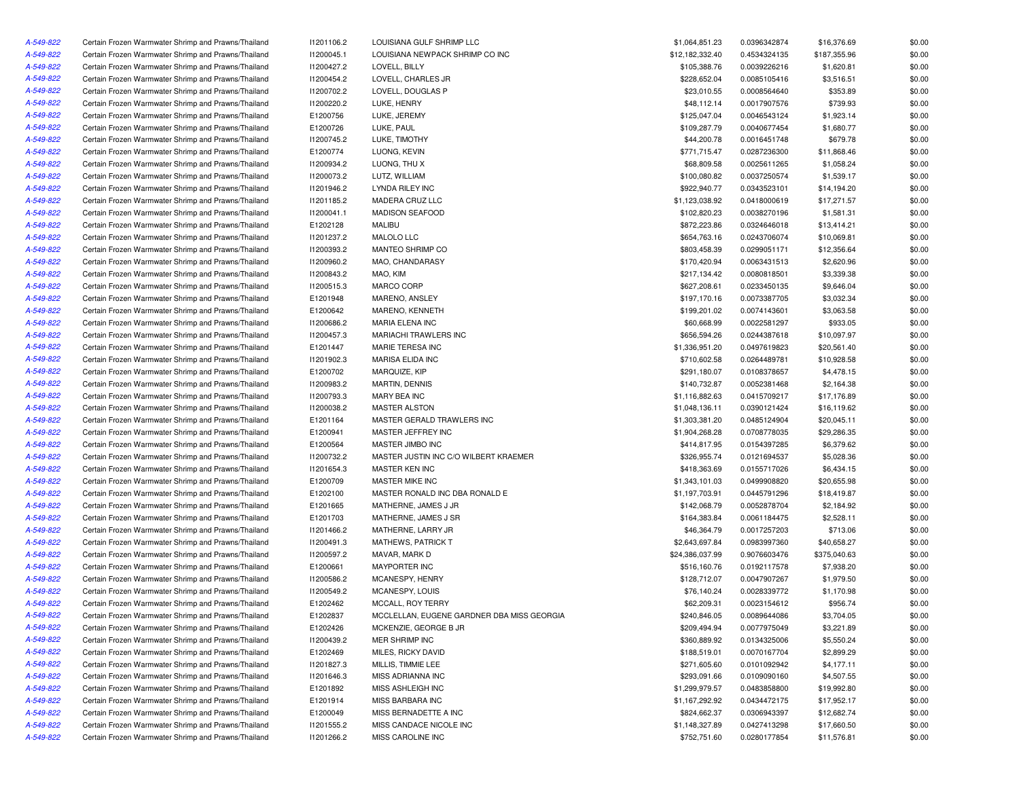| A-549-822 | Certain Frozen Warmwater Shrimp and Prawns/Thailand                                                        | 11201106.2 | LOUISIANA GULF SHRIMP LLC                  | \$1,064,851.23              | 0.0396342874 | \$16,376.69            | \$0.00 |
|-----------|------------------------------------------------------------------------------------------------------------|------------|--------------------------------------------|-----------------------------|--------------|------------------------|--------|
| A-549-822 | Certain Frozen Warmwater Shrimp and Prawns/Thailand                                                        | I1200045.1 | LOUISIANA NEWPACK SHRIMP CO INC            | \$12,182,332.40             | 0.4534324135 | \$187,355.96           | \$0.00 |
| A-549-822 | Certain Frozen Warmwater Shrimp and Prawns/Thailand                                                        | 11200427.2 | LOVELL, BILLY                              | \$105,388.76                | 0.0039226216 | \$1,620.81             | \$0.00 |
| A-549-822 | Certain Frozen Warmwater Shrimp and Prawns/Thailand                                                        | I1200454.2 | LOVELL, CHARLES JR                         | \$228,652.04                | 0.0085105416 | \$3,516.51             | \$0.00 |
| A-549-822 | Certain Frozen Warmwater Shrimp and Prawns/Thailand                                                        | 11200702.2 | LOVELL, DOUGLAS P                          | \$23,010.55                 | 0.0008564640 | \$353.89               | \$0.00 |
| A-549-822 | Certain Frozen Warmwater Shrimp and Prawns/Thailand                                                        | 11200220.2 | LUKE, HENRY                                | \$48,112.14                 | 0.0017907576 | \$739.93               | \$0.00 |
| A-549-822 | Certain Frozen Warmwater Shrimp and Prawns/Thailand                                                        | E1200756   | LUKE, JEREMY                               | \$125,047.04                | 0.0046543124 | \$1,923.14             | \$0.00 |
| A-549-822 | Certain Frozen Warmwater Shrimp and Prawns/Thailand                                                        | E1200726   | LUKE, PAUL                                 | \$109,287.79                | 0.0040677454 | \$1,680.77             | \$0.00 |
| A-549-822 | Certain Frozen Warmwater Shrimp and Prawns/Thailand                                                        | 11200745.2 | LUKE, TIMOTHY                              | \$44,200.78                 | 0.0016451748 | \$679.78               | \$0.00 |
| A-549-822 | Certain Frozen Warmwater Shrimp and Prawns/Thailand                                                        | E1200774   | LUONG, KEVIN                               | \$771,715.47                | 0.0287236300 | \$11,868.46            | \$0.00 |
| A-549-822 | Certain Frozen Warmwater Shrimp and Prawns/Thailand                                                        | I1200934.2 | LUONG, THU X                               | \$68,809.58                 | 0.0025611265 | \$1,058.24             | \$0.00 |
| A-549-822 | Certain Frozen Warmwater Shrimp and Prawns/Thailand                                                        | 11200073.2 | LUTZ, WILLIAM                              | \$100,080.82                | 0.0037250574 | \$1,539.17             | \$0.00 |
| A-549-822 | Certain Frozen Warmwater Shrimp and Prawns/Thailand                                                        | 11201946.2 | LYNDA RILEY INC                            | \$922,940.77                | 0.0343523101 | \$14,194.20            | \$0.00 |
| A-549-822 | Certain Frozen Warmwater Shrimp and Prawns/Thailand                                                        | 11201185.2 | MADERA CRUZ LLC                            | \$1,123,038.92              | 0.0418000619 | \$17,271.57            | \$0.00 |
| A-549-822 | Certain Frozen Warmwater Shrimp and Prawns/Thailand                                                        | 11200041.1 | <b>MADISON SEAFOOD</b>                     | \$102,820.23                | 0.0038270196 | \$1,581.31             | \$0.00 |
| A-549-822 | Certain Frozen Warmwater Shrimp and Prawns/Thailand                                                        | E1202128   | <b>MALIBU</b>                              | \$872,223.86                | 0.0324646018 | \$13,414.21            | \$0.00 |
| A-549-822 | Certain Frozen Warmwater Shrimp and Prawns/Thailand                                                        | 11201237.2 | MALOLO LLC                                 | \$654,763.16                | 0.0243706074 | \$10,069.81            | \$0.00 |
| A-549-822 | Certain Frozen Warmwater Shrimp and Prawns/Thailand                                                        | 11200393.2 | MANTEO SHRIMP CO                           | \$803,458.39                | 0.0299051171 | \$12,356.64            | \$0.00 |
| A-549-822 | Certain Frozen Warmwater Shrimp and Prawns/Thailand                                                        | I1200960.2 | MAO, CHANDARASY                            | \$170,420.94                | 0.0063431513 | \$2,620.96             | \$0.00 |
| A-549-822 | Certain Frozen Warmwater Shrimp and Prawns/Thailand                                                        | 11200843.2 | MAO, KIM                                   | \$217,134.42                | 0.0080818501 | \$3,339.38             | \$0.00 |
| A-549-822 | Certain Frozen Warmwater Shrimp and Prawns/Thailand                                                        | I1200515.3 | MARCO CORP                                 | \$627,208.61                | 0.0233450135 | \$9,646.04             | \$0.00 |
| A-549-822 | Certain Frozen Warmwater Shrimp and Prawns/Thailand                                                        | E1201948   | MARENO, ANSLEY                             | \$197,170.16                | 0.0073387705 | \$3,032.34             | \$0.00 |
| A-549-822 |                                                                                                            |            |                                            |                             |              |                        | \$0.00 |
| A-549-822 | Certain Frozen Warmwater Shrimp and Prawns/Thailand                                                        | E1200642   | MARENO, KENNETH                            | \$199,201.02<br>\$60,668.99 | 0.0074143601 | \$3,063.58<br>\$933.05 | \$0.00 |
|           | Certain Frozen Warmwater Shrimp and Prawns/Thailand<br>Certain Frozen Warmwater Shrimp and Prawns/Thailand | 11200686.2 | MARIA ELENA INC<br>MARIACHI TRAWLERS INC   |                             | 0.0022581297 |                        |        |
| A-549-822 |                                                                                                            | I1200457.3 |                                            | \$656,594.26                | 0.0244387618 | \$10,097.97            | \$0.00 |
| A-549-822 | Certain Frozen Warmwater Shrimp and Prawns/Thailand                                                        | E1201447   | MARIE TERESA INC                           | \$1,336,951.20              | 0.0497619823 | \$20,561.40            | \$0.00 |
| A-549-822 | Certain Frozen Warmwater Shrimp and Prawns/Thailand                                                        | 11201902.3 | MARISA ELIDA INC                           | \$710,602.58                | 0.0264489781 | \$10,928.58            | \$0.00 |
| A-549-822 | Certain Frozen Warmwater Shrimp and Prawns/Thailand                                                        | E1200702   | MARQUIZE, KIP                              | \$291,180.07                | 0.0108378657 | \$4,478.15             | \$0.00 |
| A-549-822 | Certain Frozen Warmwater Shrimp and Prawns/Thailand                                                        | 11200983.2 | MARTIN, DENNIS                             | \$140,732.87                | 0.0052381468 | \$2,164.38             | \$0.00 |
| A-549-822 | Certain Frozen Warmwater Shrimp and Prawns/Thailand                                                        | 11200793.3 | MARY BEA INC                               | \$1,116,882.63              | 0.0415709217 | \$17,176.89            | \$0.00 |
| A-549-822 | Certain Frozen Warmwater Shrimp and Prawns/Thailand                                                        | 11200038.2 | <b>MASTER ALSTON</b>                       | \$1,048,136.11              | 0.0390121424 | \$16,119.62            | \$0.00 |
| A-549-822 | Certain Frozen Warmwater Shrimp and Prawns/Thailand                                                        | E1201164   | MASTER GERALD TRAWLERS INC                 | \$1,303,381.20              | 0.0485124904 | \$20,045.11            | \$0.00 |
| A-549-822 | Certain Frozen Warmwater Shrimp and Prawns/Thailand                                                        | E1200941   | MASTER JEFFREY INC                         | \$1,904,268.28              | 0.0708778035 | \$29,286.35            | \$0.00 |
| A-549-822 | Certain Frozen Warmwater Shrimp and Prawns/Thailand                                                        | E1200564   | MASTER JIMBO INC                           | \$414,817.95                | 0.0154397285 | \$6,379.62             | \$0.00 |
| A-549-822 | Certain Frozen Warmwater Shrimp and Prawns/Thailand                                                        | 11200732.2 | MASTER JUSTIN INC C/O WILBERT KRAEMER      | \$326,955.74                | 0.0121694537 | \$5,028.36             | \$0.00 |
| A-549-822 | Certain Frozen Warmwater Shrimp and Prawns/Thailand                                                        | I1201654.3 | MASTER KEN INC                             | \$418,363.69                | 0.0155717026 | \$6,434.15             | \$0.00 |
| A-549-822 | Certain Frozen Warmwater Shrimp and Prawns/Thailand                                                        | E1200709   | MASTER MIKE INC                            | \$1,343,101.03              | 0.0499908820 | \$20,655.98            | \$0.00 |
| A-549-822 | Certain Frozen Warmwater Shrimp and Prawns/Thailand                                                        | E1202100   | MASTER RONALD INC DBA RONALD E             | \$1,197,703.91              | 0.0445791296 | \$18,419.87            | \$0.00 |
| A-549-822 | Certain Frozen Warmwater Shrimp and Prawns/Thailand                                                        | E1201665   | MATHERNE, JAMES J JR                       | \$142,068.79                | 0.0052878704 | \$2,184.92             | \$0.00 |
| A-549-822 | Certain Frozen Warmwater Shrimp and Prawns/Thailand                                                        | E1201703   | MATHERNE, JAMES J SR                       | \$164,383.84                | 0.0061184475 | \$2,528.11             | \$0.00 |
| A-549-822 | Certain Frozen Warmwater Shrimp and Prawns/Thailand                                                        | 11201466.2 | MATHERNE, LARRY JR                         | \$46,364.79                 | 0.0017257203 | \$713.06               | \$0.00 |
| A-549-822 | Certain Frozen Warmwater Shrimp and Prawns/Thailand                                                        | 11200491.3 | MATHEWS, PATRICK T                         | \$2,643,697.84              | 0.0983997360 | \$40,658.27            | \$0.00 |
| A-549-822 | Certain Frozen Warmwater Shrimp and Prawns/Thailand                                                        | 11200597.2 | MAVAR, MARK D                              | \$24,386,037.99             | 0.9076603476 | \$375,040.63           | \$0.00 |
| A-549-822 | Certain Frozen Warmwater Shrimp and Prawns/Thailand                                                        | E1200661   | <b>MAYPORTER INC</b>                       | \$516,160.76                | 0.0192117578 | \$7,938.20             | \$0.00 |
| A-549-822 | Certain Frozen Warmwater Shrimp and Prawns/Thailand                                                        | 11200586.2 | MCANESPY, HENRY                            | \$128,712.07                | 0.0047907267 | \$1,979.50             | \$0.00 |
| A-549-822 | Certain Frozen Warmwater Shrimp and Prawns/Thailand                                                        | 11200549.2 | MCANESPY, LOUIS                            | \$76,140.24                 | 0.0028339772 | \$1,170.98             | \$0.00 |
| A-549-822 | Certain Frozen Warmwater Shrimp and Prawns/Thailand                                                        | E1202462   | MCCALL, ROY TERRY                          | \$62,209.31                 | 0.0023154612 | \$956.74               | \$0.00 |
| A-549-822 | Certain Frozen Warmwater Shrimp and Prawns/Thailand                                                        | E1202837   | MCCLELLAN, EUGENE GARDNER DBA MISS GEORGIA | \$240,846.05                | 0.0089644086 | \$3,704.05             | \$0.00 |
| A-549-822 | Certain Frozen Warmwater Shrimp and Prawns/Thailand                                                        | E1202426   | MCKENZIE, GEORGE B JR                      | \$209,494.94                | 0.0077975049 | \$3,221.89             | \$0.00 |
| A-549-822 | Certain Frozen Warmwater Shrimp and Prawns/Thailand                                                        | I1200439.2 | MER SHRIMP INC                             | \$360,889.92                | 0.0134325006 | \$5,550.24             | \$0.00 |
| A-549-822 | Certain Frozen Warmwater Shrimp and Prawns/Thailand                                                        | E1202469   | MILES, RICKY DAVID                         | \$188,519.01                | 0.0070167704 | \$2,899.29             | \$0.00 |
| A-549-822 | Certain Frozen Warmwater Shrimp and Prawns/Thailand                                                        | 11201827.3 | MILLIS, TIMMIE LEE                         | \$271,605.60                | 0.0101092942 | \$4,177.11             | \$0.00 |
| A-549-822 | Certain Frozen Warmwater Shrimp and Prawns/Thailand                                                        | I1201646.3 | MISS ADRIANNA INC                          | \$293,091.66                | 0.0109090160 | \$4,507.55             | \$0.00 |
| A-549-822 | Certain Frozen Warmwater Shrimp and Prawns/Thailand                                                        | E1201892   | MISS ASHLEIGH INC                          | \$1,299,979.57              | 0.0483858800 | \$19,992.80            | \$0.00 |
| A-549-822 | Certain Frozen Warmwater Shrimp and Prawns/Thailand                                                        | E1201914   | MISS BARBARA INC                           | \$1,167,292.92              | 0.0434472175 | \$17,952.17            | \$0.00 |
| A-549-822 | Certain Frozen Warmwater Shrimp and Prawns/Thailand                                                        | E1200049   | MISS BERNADETTE A INC                      | \$824,662.37                | 0.0306943397 | \$12,682.74            | \$0.00 |
| A-549-822 | Certain Frozen Warmwater Shrimp and Prawns/Thailand                                                        | 11201555.2 | MISS CANDACE NICOLE INC                    | \$1,148,327.89              | 0.0427413298 | \$17,660.50            | \$0.00 |
| A-549-822 | Certain Frozen Warmwater Shrimp and Prawns/Thailand                                                        | 11201266.2 | MISS CAROLINE INC                          | \$752,751.60                | 0.0280177854 | \$11,576.81            | \$0.00 |
|           |                                                                                                            |            |                                            |                             |              |                        |        |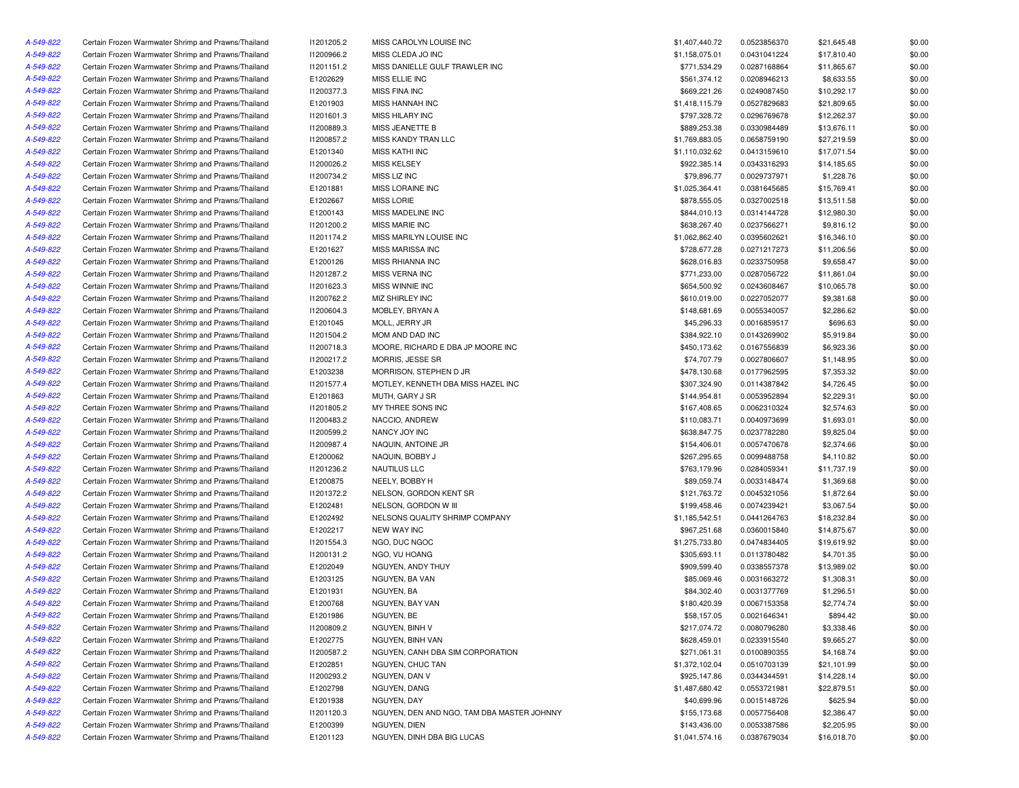| A-549-822 | Certain Frozen Warmwater Shrimp and Prawns/Thailand | 11201205.2 | MISS CAROLYN LOUISE INC                    | \$1,407,440.72 | 0.0523856370 | \$21,645.48 | \$0.00 |
|-----------|-----------------------------------------------------|------------|--------------------------------------------|----------------|--------------|-------------|--------|
| A-549-822 | Certain Frozen Warmwater Shrimp and Prawns/Thailand | I1200966.2 | MISS CLEDA JO INC                          | \$1,158,075.01 | 0.0431041224 | \$17,810.40 | \$0.00 |
| A-549-822 | Certain Frozen Warmwater Shrimp and Prawns/Thailand | 11201151.2 | MISS DANIELLE GULF TRAWLER INC             | \$771,534.29   | 0.0287168864 | \$11,865.67 | \$0.00 |
| A-549-822 | Certain Frozen Warmwater Shrimp and Prawns/Thailand | E1202629   | MISS ELLIE INC                             | \$561,374.12   | 0.0208946213 | \$8,633.55  | \$0.00 |
| A-549-822 | Certain Frozen Warmwater Shrimp and Prawns/Thailand | 11200377.3 | MISS FINA INC                              | \$669,221.26   | 0.0249087450 | \$10,292.17 | \$0.00 |
| A-549-822 | Certain Frozen Warmwater Shrimp and Prawns/Thailand | E1201903   | <b>MISS HANNAH INC</b>                     | \$1,418,115.79 | 0.0527829683 | \$21,809.65 | \$0.00 |
| A-549-822 | Certain Frozen Warmwater Shrimp and Prawns/Thailand | 11201601.3 | <b>MISS HILARY INC</b>                     | \$797,328.72   | 0.0296769678 | \$12,262.37 | \$0.00 |
| A-549-822 | Certain Frozen Warmwater Shrimp and Prawns/Thailand | 11200889.3 | MISS JEANETTE B                            | \$889,253.38   | 0.0330984489 | \$13,676.11 | \$0.00 |
| A-549-822 | Certain Frozen Warmwater Shrimp and Prawns/Thailand | I1200857.2 | MISS KANDY TRAN LLC                        | \$1,769,883.05 | 0.0658759190 | \$27,219.59 | \$0.00 |
| A-549-822 | Certain Frozen Warmwater Shrimp and Prawns/Thailand | E1201340   | <b>MISS KATHI INC</b>                      | \$1,110,032.62 | 0.0413159610 | \$17,071.54 | \$0.00 |
| A-549-822 | Certain Frozen Warmwater Shrimp and Prawns/Thailand | 11200026.2 | MISS KELSEY                                | \$922,385.14   | 0.0343316293 | \$14,185.65 | \$0.00 |
| A-549-822 | Certain Frozen Warmwater Shrimp and Prawns/Thailand | 11200734.2 | MISS LIZ INC                               | \$79,896.77    | 0.0029737971 | \$1,228.76  | \$0.00 |
| A-549-822 | Certain Frozen Warmwater Shrimp and Prawns/Thailand | E1201881   | MISS LORAINE INC                           | \$1,025,364.41 | 0.0381645685 | \$15,769.41 | \$0.00 |
| A-549-822 | Certain Frozen Warmwater Shrimp and Prawns/Thailand | E1202667   | <b>MISS LORIE</b>                          | \$878,555.05   | 0.0327002518 | \$13,511.58 | \$0.00 |
| A-549-822 | Certain Frozen Warmwater Shrimp and Prawns/Thailand | E1200143   | MISS MADELINE INC                          | \$844,010.13   | 0.0314144728 | \$12,980.30 | \$0.00 |
| A-549-822 | Certain Frozen Warmwater Shrimp and Prawns/Thailand | 11201200.2 | <b>MISS MARIE INC</b>                      | \$638,267.40   | 0.0237566271 | \$9,816.12  | \$0.00 |
| A-549-822 | Certain Frozen Warmwater Shrimp and Prawns/Thailand | 11201174.2 | MISS MARILYN LOUISE INC                    | \$1,062,862.40 | 0.0395602621 | \$16,346.10 | \$0.00 |
| A-549-822 | Certain Frozen Warmwater Shrimp and Prawns/Thailand | E1201627   | MISS MARISSA INC                           | \$728,677.28   | 0.0271217273 | \$11,206.56 | \$0.00 |
| A-549-822 | Certain Frozen Warmwater Shrimp and Prawns/Thailand | E1200126   | MISS RHIANNA INC                           | \$628,016.83   | 0.0233750958 | \$9,658.47  | \$0.00 |
| A-549-822 | Certain Frozen Warmwater Shrimp and Prawns/Thailand | 11201287.2 | MISS VERNA INC                             | \$771,233.00   | 0.0287056722 | \$11,861.04 | \$0.00 |
| A-549-822 | Certain Frozen Warmwater Shrimp and Prawns/Thailand | 11201623.3 | MISS WINNIE INC                            | \$654,500.92   | 0.0243608467 | \$10,065.78 | \$0.00 |
| A-549-822 | Certain Frozen Warmwater Shrimp and Prawns/Thailand | 11200762.2 | MIZ SHIRLEY INC                            | \$610,019.00   | 0.0227052077 | \$9,381.68  | \$0.00 |
| A-549-822 | Certain Frozen Warmwater Shrimp and Prawns/Thailand |            |                                            | \$148,681.69   |              |             | \$0.00 |
|           |                                                     | I1200604.3 | MOBLEY, BRYAN A                            |                | 0.0055340057 | \$2,286.62  |        |
| A-549-822 | Certain Frozen Warmwater Shrimp and Prawns/Thailand | E1201045   | MOLL, JERRY JR<br>MOM AND DAD INC          | \$45,296.33    | 0.0016859517 | \$696.63    | \$0.00 |
| A-549-822 | Certain Frozen Warmwater Shrimp and Prawns/Thailand | 11201504.2 |                                            | \$384,922.10   | 0.0143269902 | \$5,919.84  | \$0.00 |
| A-549-822 | Certain Frozen Warmwater Shrimp and Prawns/Thailand | 11200718.3 | MOORE, RICHARD E DBA JP MOORE INC          | \$450,173.62   | 0.0167556839 | \$6,923.36  | \$0.00 |
| A-549-822 | Certain Frozen Warmwater Shrimp and Prawns/Thailand | 11200217.2 | MORRIS, JESSE SR                           | \$74,707.79    | 0.0027806607 | \$1,148.95  | \$0.00 |
| A-549-822 | Certain Frozen Warmwater Shrimp and Prawns/Thailand | E1203238   | MORRISON, STEPHEN D JR                     | \$478,130.68   | 0.0177962595 | \$7,353.32  | \$0.00 |
| A-549-822 | Certain Frozen Warmwater Shrimp and Prawns/Thailand | 11201577.4 | MOTLEY, KENNETH DBA MISS HAZEL INC         | \$307,324.90   | 0.0114387842 | \$4,726.45  | \$0.00 |
| A-549-822 | Certain Frozen Warmwater Shrimp and Prawns/Thailand | E1201863   | MUTH, GARY J SR                            | \$144,954.81   | 0.0053952894 | \$2,229.31  | \$0.00 |
| A-549-822 | Certain Frozen Warmwater Shrimp and Prawns/Thailand | 11201805.2 | MY THREE SONS INC                          | \$167,408.65   | 0.0062310324 | \$2,574.63  | \$0.00 |
| A-549-822 | Certain Frozen Warmwater Shrimp and Prawns/Thailand | 11200483.2 | NACCIO, ANDREW                             | \$110,083.71   | 0.0040973699 | \$1,693.01  | \$0.00 |
| A-549-822 | Certain Frozen Warmwater Shrimp and Prawns/Thailand | 11200599.2 | NANCY JOY INC                              | \$638,847.75   | 0.0237782280 | \$9,825.04  | \$0.00 |
| A-549-822 | Certain Frozen Warmwater Shrimp and Prawns/Thailand | 11200987.4 | NAQUIN, ANTOINE JR                         | \$154,406.01   | 0.0057470678 | \$2,374.66  | \$0.00 |
| A-549-822 | Certain Frozen Warmwater Shrimp and Prawns/Thailand | E1200062   | NAQUIN, BOBBY J                            | \$267,295.65   | 0.0099488758 | \$4,110.82  | \$0.00 |
| A-549-822 | Certain Frozen Warmwater Shrimp and Prawns/Thailand | 11201236.2 | NAUTILUS LLC                               | \$763,179.96   | 0.0284059341 | \$11,737.19 | \$0.00 |
| A-549-822 | Certain Frozen Warmwater Shrimp and Prawns/Thailand | E1200875   | NEELY, BOBBY H                             | \$89,059.74    | 0.0033148474 | \$1,369.68  | \$0.00 |
| A-549-822 | Certain Frozen Warmwater Shrimp and Prawns/Thailand | 11201372.2 | NELSON, GORDON KENT SR                     | \$121,763.72   | 0.0045321056 | \$1,872.64  | \$0.00 |
| A-549-822 | Certain Frozen Warmwater Shrimp and Prawns/Thailand | E1202481   | NELSON, GORDON W III                       | \$199,458.46   | 0.0074239421 | \$3,067.54  | \$0.00 |
| A-549-822 | Certain Frozen Warmwater Shrimp and Prawns/Thailand | E1202492   | NELSONS QUALITY SHRIMP COMPANY             | \$1,185,542.51 | 0.0441264763 | \$18,232.84 | \$0.00 |
| A-549-822 | Certain Frozen Warmwater Shrimp and Prawns/Thailand | E1202217   | <b>NEW WAY INC</b>                         | \$967,251.68   | 0.0360015840 | \$14,875.67 | \$0.00 |
| A-549-822 | Certain Frozen Warmwater Shrimp and Prawns/Thailand | 11201554.3 | NGO, DUC NGOC                              | \$1,275,733.80 | 0.0474834405 | \$19,619.92 | \$0.00 |
| A-549-822 | Certain Frozen Warmwater Shrimp and Prawns/Thailand | 11200131.2 | NGO, VU HOANG                              | \$305,693.11   | 0.0113780482 | \$4,701.35  | \$0.00 |
| A-549-822 | Certain Frozen Warmwater Shrimp and Prawns/Thailand | E1202049   | NGUYEN, ANDY THUY                          | \$909,599.40   | 0.0338557378 | \$13,989.02 | \$0.00 |
| A-549-822 | Certain Frozen Warmwater Shrimp and Prawns/Thailand | E1203125   | NGUYEN, BA VAN                             | \$85,069.46    | 0.0031663272 | \$1,308.31  | \$0.00 |
| A-549-822 | Certain Frozen Warmwater Shrimp and Prawns/Thailand | E1201931   | NGUYEN, BA                                 | \$84,302.40    | 0.0031377769 | \$1,296.51  | \$0.00 |
| A-549-822 | Certain Frozen Warmwater Shrimp and Prawns/Thailand | E1200768   | NGUYEN, BAY VAN                            | \$180,420.39   | 0.0067153358 | \$2,774.74  | \$0.00 |
| A-549-822 | Certain Frozen Warmwater Shrimp and Prawns/Thailand | E1201986   | NGUYEN, BE                                 | \$58,157.05    | 0.0021646341 | \$894.42    | \$0.00 |
| A-549-822 | Certain Frozen Warmwater Shrimp and Prawns/Thailand | 11200809.2 | NGUYEN, BINH V                             | \$217,074.72   | 0.0080796280 | \$3,338.46  | \$0.00 |
| A-549-822 | Certain Frozen Warmwater Shrimp and Prawns/Thailand | E1202775   | NGUYEN, BINH VAN                           | \$628,459.01   | 0.0233915540 | \$9,665.27  | \$0.00 |
| A-549-822 | Certain Frozen Warmwater Shrimp and Prawns/Thailand | 11200587.2 | NGUYEN, CANH DBA SIM CORPORATION           | \$271,061.31   | 0.0100890355 | \$4,168.74  | \$0.00 |
| A-549-822 | Certain Frozen Warmwater Shrimp and Prawns/Thailand | E1202851   | NGUYEN, CHUC TAN                           | \$1,372,102.04 | 0.0510703139 | \$21,101.99 | \$0.00 |
| A-549-822 | Certain Frozen Warmwater Shrimp and Prawns/Thailand | 11200293.2 | NGUYEN, DAN V                              | \$925,147.86   | 0.0344344591 | \$14,228.14 | \$0.00 |
| A-549-822 | Certain Frozen Warmwater Shrimp and Prawns/Thailand | E1202798   | NGUYEN, DANG                               | \$1,487,680.42 | 0.0553721981 | \$22,879.51 | \$0.00 |
| A-549-822 | Certain Frozen Warmwater Shrimp and Prawns/Thailand | E1201938   | NGUYEN, DAY                                | \$40,699.96    | 0.0015148726 | \$625.94    | \$0.00 |
| A-549-822 | Certain Frozen Warmwater Shrimp and Prawns/Thailand | 11201120.3 | NGUYEN, DEN AND NGO, TAM DBA MASTER JOHNNY | \$155,173.68   | 0.0057756408 | \$2,386.47  | \$0.00 |
| A-549-822 | Certain Frozen Warmwater Shrimp and Prawns/Thailand | E1200399   | NGUYEN, DIEN                               | \$143,436.00   | 0.0053387586 | \$2,205.95  | \$0.00 |
| A-549-822 | Certain Frozen Warmwater Shrimp and Prawns/Thailand | E1201123   | NGUYEN, DINH DBA BIG LUCAS                 | \$1,041,574.16 | 0.0387679034 | \$16,018.70 | \$0.00 |
|           |                                                     |            |                                            |                |              |             |        |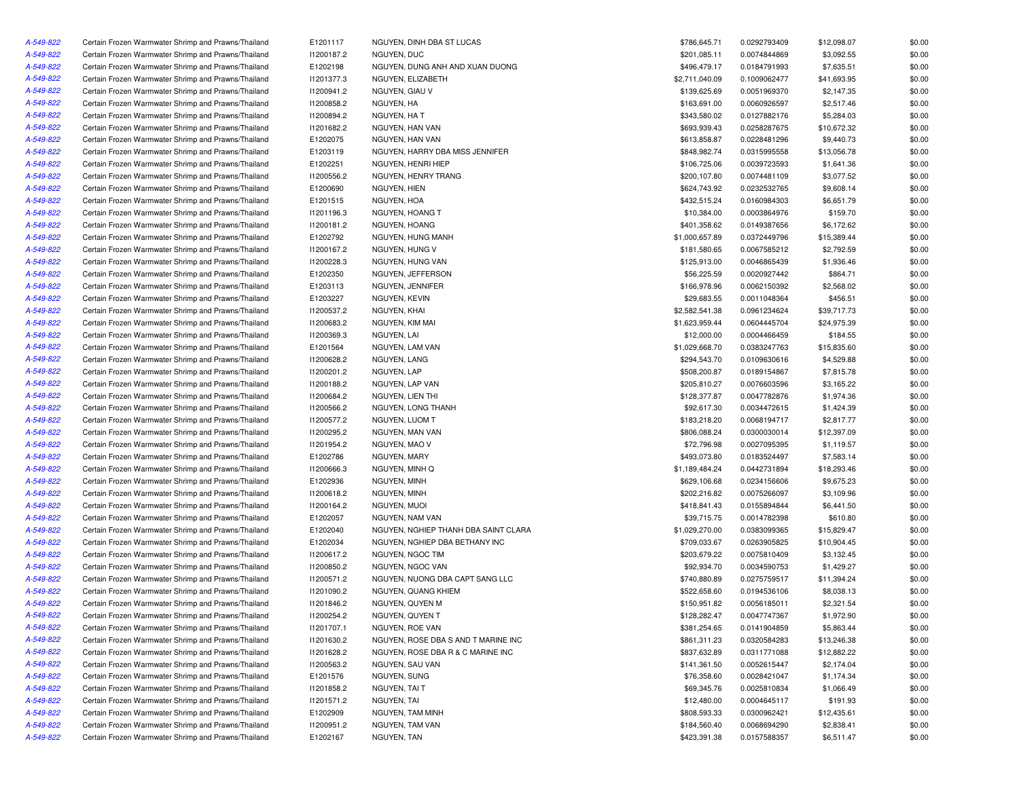| A-549-822 | Certain Frozen Warmwater Shrimp and Prawns/Thailand                                                        | E1201117                 | NGUYEN, DINH DBA ST LUCAS            | \$786,645.71                     | 0.0292793409                 | \$12,098.07 | \$0.00 |
|-----------|------------------------------------------------------------------------------------------------------------|--------------------------|--------------------------------------|----------------------------------|------------------------------|-------------|--------|
| A-549-822 | Certain Frozen Warmwater Shrimp and Prawns/Thailand                                                        | 11200187.2               | NGUYEN, DUC                          | \$201,085.11                     | 0.0074844869                 | \$3,092.55  | \$0.00 |
| A-549-822 | Certain Frozen Warmwater Shrimp and Prawns/Thailand                                                        | E1202198                 | NGUYEN, DUNG ANH AND XUAN DUONG      | \$496,479.17                     | 0.0184791993                 | \$7,635.51  | \$0.00 |
| A-549-822 | Certain Frozen Warmwater Shrimp and Prawns/Thailand                                                        | 11201377.3               | NGUYEN, ELIZABETH                    | \$2,711,040.09                   | 0.1009062477                 | \$41,693.95 | \$0.00 |
| A-549-822 | Certain Frozen Warmwater Shrimp and Prawns/Thailand                                                        | 11200941.2               | NGUYEN, GIAU V                       | \$139,625.69                     | 0.0051969370                 | \$2,147.35  | \$0.00 |
| A-549-822 | Certain Frozen Warmwater Shrimp and Prawns/Thailand                                                        | I1200858.2               | NGUYEN, HA                           | \$163,691.00                     | 0.0060926597                 | \$2,517.46  | \$0.00 |
| A-549-822 | Certain Frozen Warmwater Shrimp and Prawns/Thailand                                                        | 11200894.2               | NGUYEN, HA T                         | \$343,580.02                     | 0.0127882176                 | \$5,284.03  | \$0.00 |
| A-549-822 | Certain Frozen Warmwater Shrimp and Prawns/Thailand                                                        | 11201682.2               | NGUYEN, HAN VAN                      | \$693,939.43                     | 0.0258287675                 | \$10,672.32 | \$0.00 |
| A-549-822 | Certain Frozen Warmwater Shrimp and Prawns/Thailand                                                        | E1202075                 | NGUYEN, HAN VAN                      | \$613,858.87                     | 0.0228481296                 | \$9,440.73  | \$0.00 |
| A-549-822 | Certain Frozen Warmwater Shrimp and Prawns/Thailand                                                        | E1203119                 | NGUYEN, HARRY DBA MISS JENNIFER      | \$848,982.74                     | 0.0315995558                 | \$13,056.78 | \$0.00 |
| A-549-822 | Certain Frozen Warmwater Shrimp and Prawns/Thailand                                                        | E1202251                 | NGUYEN, HENRI HIEP                   | \$106,725.06                     | 0.0039723593                 | \$1,641.36  | \$0.00 |
| A-549-822 | Certain Frozen Warmwater Shrimp and Prawns/Thailand                                                        | 11200556.2               | NGUYEN, HENRY TRANG                  | \$200,107.80                     | 0.0074481109                 | \$3,077.52  | \$0.00 |
| A-549-822 | Certain Frozen Warmwater Shrimp and Prawns/Thailand                                                        | E1200690                 | NGUYEN, HIEN                         | \$624,743.92                     | 0.0232532765                 | \$9,608.14  | \$0.00 |
| A-549-822 | Certain Frozen Warmwater Shrimp and Prawns/Thailand                                                        | E1201515                 | NGUYEN, HOA                          | \$432,515.24                     | 0.0160984303                 | \$6,651.79  | \$0.00 |
| A-549-822 | Certain Frozen Warmwater Shrimp and Prawns/Thailand                                                        | 11201196.3               | NGUYEN, HOANG T                      | \$10,384.00                      | 0.0003864976                 | \$159.70    | \$0.00 |
| A-549-822 | Certain Frozen Warmwater Shrimp and Prawns/Thailand                                                        | 11200181.2               | NGUYEN, HOANG                        | \$401,358.62                     | 0.0149387656                 | \$6,172.62  | \$0.00 |
| A-549-822 | Certain Frozen Warmwater Shrimp and Prawns/Thailand                                                        | E1202792                 | NGUYEN, HUNG MANH                    | \$1,000,657.89                   | 0.0372449796                 | \$15,389.44 | \$0.00 |
| A-549-822 | Certain Frozen Warmwater Shrimp and Prawns/Thailand                                                        | 11200167.2               | NGUYEN, HUNG V                       | \$181,580.65                     | 0.0067585212                 | \$2,792.59  | \$0.00 |
| A-549-822 | Certain Frozen Warmwater Shrimp and Prawns/Thailand                                                        | I1200228.3               | NGUYEN, HUNG VAN                     | \$125,913.00                     | 0.0046865439                 | \$1,936.46  | \$0.00 |
| A-549-822 | Certain Frozen Warmwater Shrimp and Prawns/Thailand                                                        | E1202350                 | NGUYEN, JEFFERSON                    | \$56,225.59                      | 0.0020927442                 | \$864.71    | \$0.00 |
| A-549-822 | Certain Frozen Warmwater Shrimp and Prawns/Thailand                                                        | E1203113                 | NGUYEN, JENNIFER                     | \$166,978.96                     | 0.0062150392                 | \$2,568.02  | \$0.00 |
| A-549-822 | Certain Frozen Warmwater Shrimp and Prawns/Thailand                                                        | E1203227                 | NGUYEN, KEVIN                        | \$29.683.55                      | 0.0011048364                 | \$456.51    | \$0.00 |
| A-549-822 |                                                                                                            |                          |                                      |                                  |                              |             | \$0.00 |
| A-549-822 | Certain Frozen Warmwater Shrimp and Prawns/Thailand<br>Certain Frozen Warmwater Shrimp and Prawns/Thailand | 11200537.2<br>11200683.2 | NGUYEN, KHAI                         | \$2,582,541.38<br>\$1,623,959.44 | 0.0961234624<br>0.0604445704 | \$39,717.73 |        |
|           |                                                                                                            |                          | NGUYEN, KIM MAI                      |                                  |                              | \$24,975.39 | \$0.00 |
| A-549-822 | Certain Frozen Warmwater Shrimp and Prawns/Thailand                                                        | 11200369.3               | NGUYEN, LAI                          | \$12,000.00<br>\$1,029,668.70    | 0.0004466459                 | \$184.55    | \$0.00 |
| A-549-822 | Certain Frozen Warmwater Shrimp and Prawns/Thailand                                                        | E1201564                 | NGUYEN, LAM VAN                      |                                  | 0.0383247763                 | \$15,835.60 | \$0.00 |
| A-549-822 | Certain Frozen Warmwater Shrimp and Prawns/Thailand                                                        | 11200628.2               | NGUYEN, LANG                         | \$294,543.70                     | 0.0109630616                 | \$4,529.88  | \$0.00 |
| A-549-822 | Certain Frozen Warmwater Shrimp and Prawns/Thailand                                                        | 11200201.2               | NGUYEN, LAP                          | \$508,200.87                     | 0.0189154867                 | \$7,815.78  | \$0.00 |
| A-549-822 | Certain Frozen Warmwater Shrimp and Prawns/Thailand                                                        | 11200188.2               | NGUYEN, LAP VAN                      | \$205,810.27                     | 0.0076603596                 | \$3,165.22  | \$0.00 |
| A-549-822 | Certain Frozen Warmwater Shrimp and Prawns/Thailand                                                        | I1200684.2               | NGUYEN, LIEN THI                     | \$128,377.87                     | 0.0047782876                 | \$1,974.36  | \$0.00 |
| A-549-822 | Certain Frozen Warmwater Shrimp and Prawns/Thailand                                                        | I1200566.2               | NGUYEN, LONG THANH                   | \$92,617.30                      | 0.0034472615                 | \$1,424.39  | \$0.00 |
| A-549-822 | Certain Frozen Warmwater Shrimp and Prawns/Thailand                                                        | I1200577.2               | NGUYEN, LUOM T                       | \$183,218.20                     | 0.0068194717                 | \$2,817.77  | \$0.00 |
| A-549-822 | Certain Frozen Warmwater Shrimp and Prawns/Thailand                                                        | 11200295.2               | NGUYEN, MAN VAN                      | \$806,088.24                     | 0.0300030014                 | \$12,397.09 | \$0.00 |
| A-549-822 | Certain Frozen Warmwater Shrimp and Prawns/Thailand                                                        | 11201954.2               | NGUYEN, MAO V                        | \$72,796.98                      | 0.0027095395                 | \$1,119.57  | \$0.00 |
| A-549-822 | Certain Frozen Warmwater Shrimp and Prawns/Thailand                                                        | E1202786                 | NGUYEN, MARY                         | \$493,073.80                     | 0.0183524497                 | \$7,583.14  | \$0.00 |
| A-549-822 | Certain Frozen Warmwater Shrimp and Prawns/Thailand                                                        | I1200666.3               | NGUYEN, MINH Q                       | \$1,189,484.24                   | 0.0442731894                 | \$18,293.46 | \$0.00 |
| A-549-822 | Certain Frozen Warmwater Shrimp and Prawns/Thailand                                                        | E1202936                 | NGUYEN, MINH                         | \$629,106.68                     | 0.0234156606                 | \$9,675.23  | \$0.00 |
| A-549-822 | Certain Frozen Warmwater Shrimp and Prawns/Thailand                                                        | 11200618.2               | NGUYEN, MINH                         | \$202,216.82                     | 0.0075266097                 | \$3,109.96  | \$0.00 |
| A-549-822 | Certain Frozen Warmwater Shrimp and Prawns/Thailand                                                        | 11200164.2               | NGUYEN, MUOI                         | \$418,841.43                     | 0.0155894844                 | \$6,441.50  | \$0.00 |
| A-549-822 | Certain Frozen Warmwater Shrimp and Prawns/Thailand                                                        | E1202057                 | NGUYEN, NAM VAN                      | \$39,715.75                      | 0.0014782398                 | \$610.80    | \$0.00 |
| A-549-822 | Certain Frozen Warmwater Shrimp and Prawns/Thailand                                                        | E1202040                 | NGUYEN, NGHIEP THANH DBA SAINT CLARA | \$1,029,270.00                   | 0.0383099365                 | \$15,829.47 | \$0.00 |
| A-549-822 | Certain Frozen Warmwater Shrimp and Prawns/Thailand                                                        | E1202034                 | NGUYEN, NGHIEP DBA BETHANY INC       | \$709,033.67                     | 0.0263905825                 | \$10,904.45 | \$0.00 |
| A-549-822 | Certain Frozen Warmwater Shrimp and Prawns/Thailand                                                        | I1200617.2               | NGUYEN, NGOC TIM                     | \$203,679.22                     | 0.0075810409                 | \$3,132.45  | \$0.00 |
| A-549-822 | Certain Frozen Warmwater Shrimp and Prawns/Thailand                                                        | I1200850.2               | NGUYEN, NGOC VAN                     | \$92,934.70                      | 0.0034590753                 | \$1,429.27  | \$0.00 |
| A-549-822 | Certain Frozen Warmwater Shrimp and Prawns/Thailand                                                        | 11200571.2               | NGUYEN, NUONG DBA CAPT SANG LLC      | \$740,880.89                     | 0.0275759517                 | \$11,394.24 | \$0.00 |
| A-549-822 | Certain Frozen Warmwater Shrimp and Prawns/Thailand                                                        | 11201090.2               | NGUYEN, QUANG KHIEM                  | \$522,658.60                     | 0.0194536106                 | \$8,038.13  | \$0.00 |
| A-549-822 | Certain Frozen Warmwater Shrimp and Prawns/Thailand                                                        | 11201846.2               | NGUYEN, QUYEN M                      | \$150,951.82                     | 0.0056185011                 | \$2,321.54  | \$0.00 |
| A-549-822 | Certain Frozen Warmwater Shrimp and Prawns/Thailand                                                        | 11200254.2               | NGUYEN, QUYEN T                      | \$128,282.47                     | 0.0047747367                 | \$1,972.90  | \$0.00 |
| A-549-822 | Certain Frozen Warmwater Shrimp and Prawns/Thailand                                                        | 11201707.1               | NGUYEN, ROE VAN                      | \$381,254.65                     | 0.0141904859                 | \$5,863.44  | \$0.00 |
| A-549-822 | Certain Frozen Warmwater Shrimp and Prawns/Thailand                                                        | 11201630.2               | NGUYEN, ROSE DBA S AND T MARINE INC  | \$861,311.23                     | 0.0320584283                 | \$13,246.38 | \$0.00 |
| A-549-822 | Certain Frozen Warmwater Shrimp and Prawns/Thailand                                                        | 11201628.2               | NGUYEN, ROSE DBA R & C MARINE INC    | \$837,632.89                     | 0.0311771088                 | \$12,882.22 | \$0.00 |
| A-549-822 | Certain Frozen Warmwater Shrimp and Prawns/Thailand                                                        | 11200563.2               | NGUYEN, SAU VAN                      | \$141,361.50                     | 0.0052615447                 | \$2,174.04  | \$0.00 |
| A-549-822 | Certain Frozen Warmwater Shrimp and Prawns/Thailand                                                        | E1201576                 | NGUYEN, SUNG                         | \$76,358.60                      | 0.0028421047                 | \$1,174.34  | \$0.00 |
| A-549-822 | Certain Frozen Warmwater Shrimp and Prawns/Thailand                                                        | 11201858.2               | NGUYEN, TAI T                        | \$69,345.76                      | 0.0025810834                 | \$1,066.49  | \$0.00 |
| A-549-822 | Certain Frozen Warmwater Shrimp and Prawns/Thailand                                                        | 11201571.2               | NGUYEN, TAI                          | \$12,480.00                      | 0.0004645117                 | \$191.93    | \$0.00 |
| A-549-822 | Certain Frozen Warmwater Shrimp and Prawns/Thailand                                                        | E1202909                 | NGUYEN, TAM MINH                     | \$808,593.33                     | 0.0300962421                 | \$12,435.61 | \$0.00 |
| A-549-822 | Certain Frozen Warmwater Shrimp and Prawns/Thailand                                                        | 11200951.2               | NGUYEN, TAM VAN                      | \$184,560.40                     | 0.0068694290                 | \$2,838.41  | \$0.00 |
| A-549-822 | Certain Frozen Warmwater Shrimp and Prawns/Thailand                                                        | E1202167                 | NGUYEN, TAN                          | \$423,391.38                     | 0.0157588357                 | \$6,511.47  | \$0.00 |
|           |                                                                                                            |                          |                                      |                                  |                              |             |        |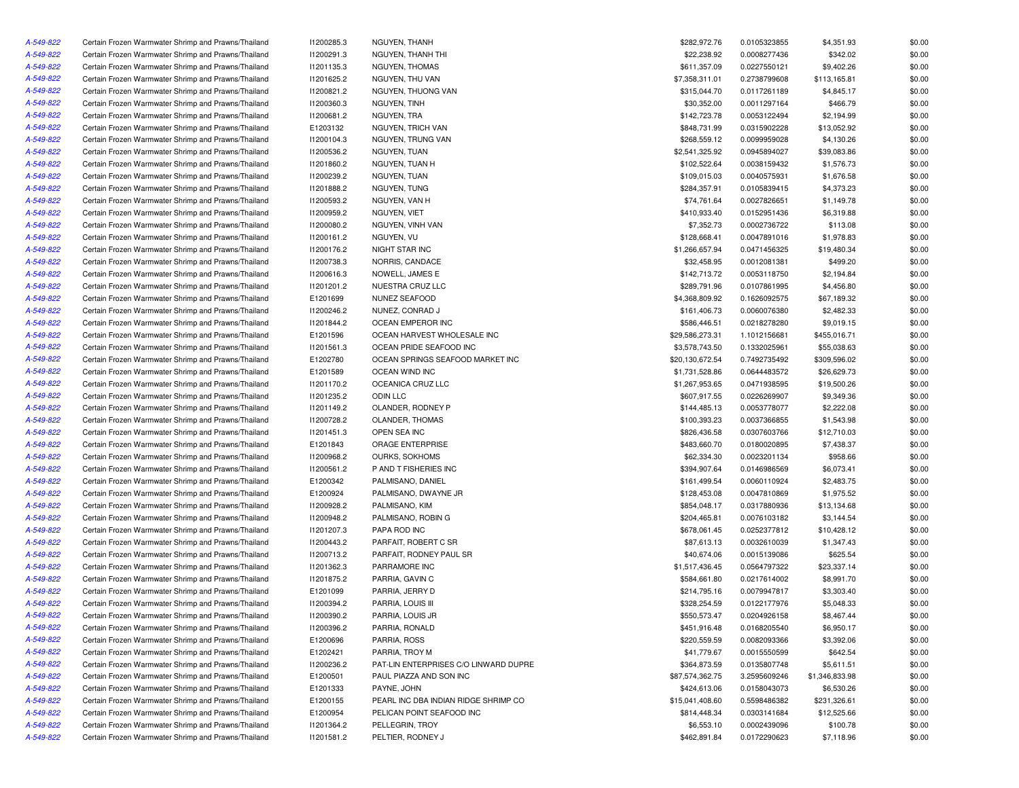| A-549-822 | Certain Frozen Warmwater Shrimp and Prawns/Thailand | 11200285.3               | NGUYEN, THANH                         | \$282,972.76    | 0.0105323855 | \$4,351.93     | \$0.00 |
|-----------|-----------------------------------------------------|--------------------------|---------------------------------------|-----------------|--------------|----------------|--------|
| A-549-822 | Certain Frozen Warmwater Shrimp and Prawns/Thailand | 11200291.3               | NGUYEN, THANH THI                     | \$22,238.92     | 0.0008277436 | \$342.02       | \$0.00 |
| A-549-822 | Certain Frozen Warmwater Shrimp and Prawns/Thailand | 11201135.3               | NGUYEN, THOMAS                        | \$611,357.09    | 0.0227550121 | \$9,402.26     | \$0.00 |
| A-549-822 | Certain Frozen Warmwater Shrimp and Prawns/Thailand | 11201625.2               | NGUYEN, THU VAN                       | \$7,358,311.01  | 0.2738799608 | \$113,165.81   | \$0.00 |
| A-549-822 | Certain Frozen Warmwater Shrimp and Prawns/Thailand | 11200821.2               | NGUYEN, THUONG VAN                    | \$315,044.70    | 0.0117261189 | \$4,845.17     | \$0.00 |
| A-549-822 | Certain Frozen Warmwater Shrimp and Prawns/Thailand | 11200360.3               | NGUYEN, TINH                          | \$30,352.00     | 0.0011297164 | \$466.79       | \$0.00 |
| A-549-822 | Certain Frozen Warmwater Shrimp and Prawns/Thailand | 11200681.2               | NGUYEN, TRA                           | \$142,723.78    | 0.0053122494 | \$2,194.99     | \$0.00 |
| A-549-822 | Certain Frozen Warmwater Shrimp and Prawns/Thailand | E1203132                 | <b>NGUYEN, TRICH VAN</b>              | \$848,731.99    | 0.0315902228 | \$13,052.92    | \$0.00 |
| A-549-822 | Certain Frozen Warmwater Shrimp and Prawns/Thailand | 11200104.3               | NGUYEN, TRUNG VAN                     | \$268,559.12    | 0.0099959028 | \$4,130.26     | \$0.00 |
| A-549-822 | Certain Frozen Warmwater Shrimp and Prawns/Thailand | 11200536.2               | NGUYEN, TUAN                          | \$2,541,325.92  | 0.0945894027 | \$39,083.86    | \$0.00 |
| A-549-822 | Certain Frozen Warmwater Shrimp and Prawns/Thailand | 11201860.2               | NGUYEN, TUAN H                        | \$102,522.64    | 0.0038159432 | \$1,576.73     | \$0.00 |
| A-549-822 | Certain Frozen Warmwater Shrimp and Prawns/Thailand | 11200239.2               | NGUYEN, TUAN                          | \$109,015.03    | 0.0040575931 | \$1,676.58     | \$0.00 |
| A-549-822 | Certain Frozen Warmwater Shrimp and Prawns/Thailand | 11201888.2               | NGUYEN, TUNG                          | \$284,357.91    | 0.0105839415 | \$4,373.23     | \$0.00 |
| A-549-822 | Certain Frozen Warmwater Shrimp and Prawns/Thailand | 11200593.2               | NGUYEN, VAN H                         | \$74,761.64     | 0.0027826651 | \$1,149.78     | \$0.00 |
| A-549-822 | Certain Frozen Warmwater Shrimp and Prawns/Thailand | I1200959.2               | NGUYEN, VIET                          | \$410,933.40    | 0.0152951436 | \$6,319.88     | \$0.00 |
| A-549-822 | Certain Frozen Warmwater Shrimp and Prawns/Thailand | 11200080.2               | NGUYEN, VINH VAN                      | \$7,352.73      | 0.0002736722 | \$113.08       | \$0.00 |
| A-549-822 | Certain Frozen Warmwater Shrimp and Prawns/Thailand | 11200161.2               | NGUYEN, VU                            | \$128,668.41    | 0.0047891016 | \$1,978.83     | \$0.00 |
| A-549-822 | Certain Frozen Warmwater Shrimp and Prawns/Thailand | 11200176.2               | NIGHT STAR INC                        | \$1,266,657.94  | 0.0471456325 | \$19,480.34    | \$0.00 |
| A-549-822 | Certain Frozen Warmwater Shrimp and Prawns/Thailand | 11200738.3               | NORRIS, CANDACE                       | \$32,458.95     | 0.0012081381 | \$499.20       | \$0.00 |
| A-549-822 | Certain Frozen Warmwater Shrimp and Prawns/Thailand | 11200616.3               | NOWELL, JAMES E                       | \$142,713.72    | 0.0053118750 | \$2,194.84     | \$0.00 |
| A-549-822 | Certain Frozen Warmwater Shrimp and Prawns/Thailand | 11201201.2               | NUESTRA CRUZ LLC                      | \$289,791.96    | 0.0107861995 | \$4,456.80     | \$0.00 |
| A-549-822 | Certain Frozen Warmwater Shrimp and Prawns/Thailand | E1201699                 | NUNEZ SEAFOOD                         | \$4,368,809.92  | 0.1626092575 | \$67,189.32    | \$0.00 |
| A-549-822 | Certain Frozen Warmwater Shrimp and Prawns/Thailand | 11200246.2               | NUNEZ, CONRAD J                       | \$161,406.73    | 0.0060076380 | \$2,482.33     | \$0.00 |
| A-549-822 | Certain Frozen Warmwater Shrimp and Prawns/Thailand | 11201844.2               | OCEAN EMPEROR INC                     | \$586,446.51    | 0.0218278280 | \$9,019.15     | \$0.00 |
| A-549-822 | Certain Frozen Warmwater Shrimp and Prawns/Thailand | E1201596                 | OCEAN HARVEST WHOLESALE INC           | \$29,586,273.31 | 1.1012156681 | \$455,016.71   | \$0.00 |
| A-549-822 | Certain Frozen Warmwater Shrimp and Prawns/Thailand | 11201561.3               | OCEAN PRIDE SEAFOOD INC               | \$3,578,743.50  | 0.1332025961 | \$55,038.63    | \$0.00 |
| A-549-822 | Certain Frozen Warmwater Shrimp and Prawns/Thailand | E1202780                 | OCEAN SPRINGS SEAFOOD MARKET INC      | \$20,130,672.54 | 0.7492735492 | \$309,596.02   | \$0.00 |
| A-549-822 | Certain Frozen Warmwater Shrimp and Prawns/Thailand | E1201589                 | OCEAN WIND INC                        | \$1,731,528.86  | 0.0644483572 | \$26,629.73    | \$0.00 |
| A-549-822 | Certain Frozen Warmwater Shrimp and Prawns/Thailand | 11201170.2               | OCEANICA CRUZ LLC                     | \$1,267,953.65  | 0.0471938595 | \$19,500.26    | \$0.00 |
| A-549-822 | Certain Frozen Warmwater Shrimp and Prawns/Thailand | 11201235.2               | <b>ODIN LLC</b>                       | \$607,917.55    | 0.0226269907 | \$9,349.36     | \$0.00 |
| A-549-822 |                                                     |                          |                                       | \$144,485.13    |              |                | \$0.00 |
| A-549-822 | Certain Frozen Warmwater Shrimp and Prawns/Thailand | 11201149.2<br>11200728.2 | OLANDER, RODNEY P                     |                 | 0.0053778077 | \$2,222.08     |        |
|           | Certain Frozen Warmwater Shrimp and Prawns/Thailand |                          | OLANDER, THOMAS<br>OPEN SEA INC       | \$100,393.23    | 0.0037366855 | \$1,543.98     | \$0.00 |
| A-549-822 | Certain Frozen Warmwater Shrimp and Prawns/Thailand | 11201451.3               |                                       | \$826,436.58    | 0.0307603766 | \$12,710.03    | \$0.00 |
| A-549-822 | Certain Frozen Warmwater Shrimp and Prawns/Thailand | E1201843                 | ORAGE ENTERPRISE                      | \$483,660.70    | 0.0180020895 | \$7,438.37     | \$0.00 |
| A-549-822 | Certain Frozen Warmwater Shrimp and Prawns/Thailand | 11200968.2               | OURKS, SOKHOMS                        | \$62,334.30     | 0.0023201134 | \$958.66       | \$0.00 |
| A-549-822 | Certain Frozen Warmwater Shrimp and Prawns/Thailand | 11200561.2               | P AND T FISHERIES INC                 | \$394,907.64    | 0.0146986569 | \$6,073.41     | \$0.00 |
| A-549-822 | Certain Frozen Warmwater Shrimp and Prawns/Thailand | E1200342                 | PALMISANO, DANIEL                     | \$161,499.54    | 0.0060110924 | \$2,483.75     | \$0.00 |
| A-549-822 | Certain Frozen Warmwater Shrimp and Prawns/Thailand | E1200924                 | PALMISANO, DWAYNE JR                  | \$128,453.08    | 0.0047810869 | \$1,975.52     | \$0.00 |
| A-549-822 | Certain Frozen Warmwater Shrimp and Prawns/Thailand | 11200928.2               | PALMISANO, KIM                        | \$854,048.17    | 0.0317880936 | \$13,134.68    | \$0.00 |
| A-549-822 | Certain Frozen Warmwater Shrimp and Prawns/Thailand | 11200948.2               | PALMISANO, ROBIN G                    | \$204,465.81    | 0.0076103182 | \$3,144.54     | \$0.00 |
| A-549-822 | Certain Frozen Warmwater Shrimp and Prawns/Thailand | 11201207.3               | PAPA ROD INC                          | \$678,061.45    | 0.0252377812 | \$10,428.12    | \$0.00 |
| A-549-822 | Certain Frozen Warmwater Shrimp and Prawns/Thailand | 11200443.2               | PARFAIT, ROBERT C SR                  | \$87,613.13     | 0.0032610039 | \$1,347.43     | \$0.00 |
| A-549-822 | Certain Frozen Warmwater Shrimp and Prawns/Thailand | 11200713.2               | PARFAIT, RODNEY PAUL SR               | \$40,674.06     | 0.0015139086 | \$625.54       | \$0.00 |
| A-549-822 | Certain Frozen Warmwater Shrimp and Prawns/Thailand | 11201362.3               | PARRAMORE INC                         | \$1,517,436.45  | 0.0564797322 | \$23,337.14    | \$0.00 |
| A-549-822 | Certain Frozen Warmwater Shrimp and Prawns/Thailand | 11201875.2               | PARRIA, GAVIN C                       | \$584,661.80    | 0.0217614002 | \$8,991.70     | \$0.00 |
| A-549-822 | Certain Frozen Warmwater Shrimp and Prawns/Thailand | E1201099                 | PARRIA, JERRY D                       | \$214,795.16    | 0.0079947817 | \$3,303.40     | \$0.00 |
| A-549-822 | Certain Frozen Warmwater Shrimp and Prawns/Thailand | 11200394.2               | PARRIA, LOUIS III                     | \$328,254.59    | 0.0122177976 | \$5,048.33     | \$0.00 |
| A-549-822 | Certain Frozen Warmwater Shrimp and Prawns/Thailand | 11200390.2               | PARRIA, LOUIS JR                      | \$550,573.47    | 0.0204926158 | \$8,467.44     | \$0.00 |
| A-549-822 | Certain Frozen Warmwater Shrimp and Prawns/Thailand | 11200396.2               | PARRIA, RONALD                        | \$451,916.48    | 0.0168205540 | \$6,950.17     | \$0.00 |
| A-549-822 | Certain Frozen Warmwater Shrimp and Prawns/Thailand | E1200696                 | PARRIA, ROSS                          | \$220,559.59    | 0.0082093366 | \$3,392.06     | \$0.00 |
| A-549-822 | Certain Frozen Warmwater Shrimp and Prawns/Thailand | E1202421                 | PARRIA, TROY M                        | \$41,779.67     | 0.0015550599 | \$642.54       | \$0.00 |
| A-549-822 | Certain Frozen Warmwater Shrimp and Prawns/Thailand | 11200236.2               | PAT-LIN ENTERPRISES C/O LINWARD DUPRE | \$364,873.59    | 0.0135807748 | \$5,611.51     | \$0.00 |
| A-549-822 | Certain Frozen Warmwater Shrimp and Prawns/Thailand | E1200501                 | PAUL PIAZZA AND SON INC               | \$87,574,362.75 | 3.2595609246 | \$1,346,833.98 | \$0.00 |
| A-549-822 | Certain Frozen Warmwater Shrimp and Prawns/Thailand | E1201333                 | PAYNE, JOHN                           | \$424,613.06    | 0.0158043073 | \$6,530.26     | \$0.00 |
| A-549-822 | Certain Frozen Warmwater Shrimp and Prawns/Thailand | E1200155                 | PEARL INC DBA INDIAN RIDGE SHRIMP CO  | \$15,041,408.60 | 0.5598486382 | \$231,326.61   | \$0.00 |
| A-549-822 | Certain Frozen Warmwater Shrimp and Prawns/Thailand | E1200954                 | PELICAN POINT SEAFOOD INC             | \$814,448.34    | 0.0303141684 | \$12,525.66    | \$0.00 |
| A-549-822 | Certain Frozen Warmwater Shrimp and Prawns/Thailand | 11201364.2               | PELLEGRIN, TROY                       | \$6,553.10      | 0.0002439096 | \$100.78       | \$0.00 |
| A-549-822 | Certain Frozen Warmwater Shrimp and Prawns/Thailand | 11201581.2               | PELTIER, RODNEY J                     | \$462,891.84    | 0.0172290623 | \$7,118.96     | \$0.00 |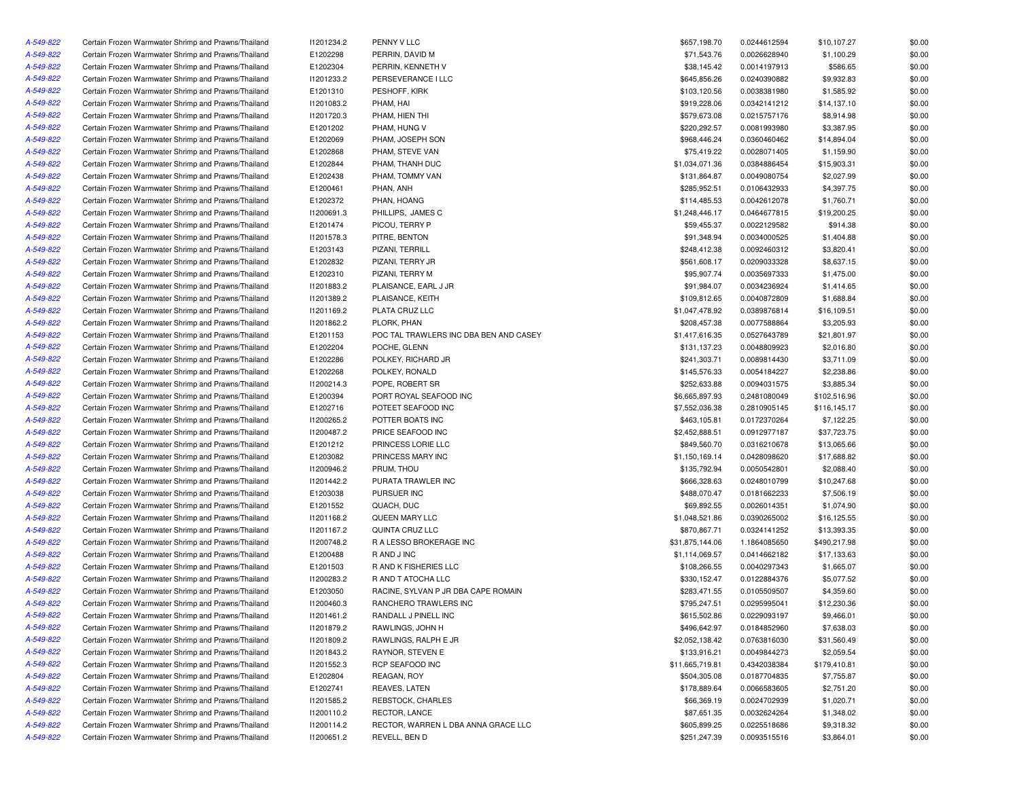| A-549-822 | Certain Frozen Warmwater Shrimp and Prawns/Thailand | 11201234.2 | PENNY V LLC                            | \$657,198.70    | 0.0244612594 | \$10,107.27  | \$0.00           |
|-----------|-----------------------------------------------------|------------|----------------------------------------|-----------------|--------------|--------------|------------------|
| A-549-822 | Certain Frozen Warmwater Shrimp and Prawns/Thailand | E1202298   | PERRIN, DAVID M                        | \$71,543.76     | 0.0026628940 | \$1,100.29   | \$0.00           |
| A-549-822 | Certain Frozen Warmwater Shrimp and Prawns/Thailand | E1202304   | PERRIN, KENNETH V                      | \$38,145.42     | 0.0014197913 | \$586.65     | \$0.00           |
| A-549-822 | Certain Frozen Warmwater Shrimp and Prawns/Thailand | 11201233.2 | PERSEVERANCE I LLC                     | \$645,856.26    | 0.0240390882 | \$9,932.83   | \$0.00           |
| A-549-822 | Certain Frozen Warmwater Shrimp and Prawns/Thailand | E1201310   | PESHOFF, KIRK                          | \$103,120.56    | 0.0038381980 | \$1,585.92   | \$0.00           |
| A-549-822 | Certain Frozen Warmwater Shrimp and Prawns/Thailand | 11201083.2 | PHAM, HAI                              | \$919,228.06    | 0.0342141212 | \$14,137.10  | \$0.00           |
| A-549-822 | Certain Frozen Warmwater Shrimp and Prawns/Thailand | 11201720.3 | PHAM, HIEN THI                         | \$579,673.08    | 0.0215757176 | \$8,914.98   | \$0.00           |
| A-549-822 | Certain Frozen Warmwater Shrimp and Prawns/Thailand | E1201202   | PHAM, HUNG V                           | \$220,292.57    | 0.0081993980 | \$3,387.95   | \$0.00           |
| A-549-822 | Certain Frozen Warmwater Shrimp and Prawns/Thailand | E1202069   | PHAM, JOSEPH SON                       | \$968,446.24    | 0.0360460462 | \$14,894.04  | \$0.00           |
| A-549-822 | Certain Frozen Warmwater Shrimp and Prawns/Thailand | E1202868   | PHAM, STEVE VAN                        | \$75,419.22     | 0.0028071405 | \$1,159.90   | \$0.00           |
| A-549-822 | Certain Frozen Warmwater Shrimp and Prawns/Thailand | E1202844   | PHAM. THANH DUC                        | \$1,034,071.36  | 0.0384886454 | \$15,903.31  | \$0.00           |
| A-549-822 | Certain Frozen Warmwater Shrimp and Prawns/Thailand | E1202438   | PHAM, TOMMY VAN                        | \$131,864.87    | 0.0049080754 | \$2,027.99   | \$0.00           |
| A-549-822 | Certain Frozen Warmwater Shrimp and Prawns/Thailand | E1200461   | PHAN, ANH                              | \$285,952.51    | 0.0106432933 | \$4,397.75   | \$0.00           |
| A-549-822 | Certain Frozen Warmwater Shrimp and Prawns/Thailand | E1202372   | PHAN, HOANG                            | \$114,485.53    | 0.0042612078 | \$1,760.71   | \$0.00           |
| A-549-822 | Certain Frozen Warmwater Shrimp and Prawns/Thailand | 11200691.3 | PHILLIPS, JAMES C                      | \$1,248,446.17  | 0.0464677815 | \$19,200.25  | \$0.00           |
| A-549-822 | Certain Frozen Warmwater Shrimp and Prawns/Thailand | E1201474   | PICOU, TERRY P                         | \$59,455.37     | 0.0022129582 | \$914.38     | \$0.00           |
| A-549-822 | Certain Frozen Warmwater Shrimp and Prawns/Thailand | 11201578.3 | PITRE, BENTON                          | \$91,348.94     | 0.0034000525 | \$1,404.88   | \$0.00           |
| A-549-822 | Certain Frozen Warmwater Shrimp and Prawns/Thailand | E1203143   | PIZANI, TERRILL                        | \$248,412.38    | 0.0092460312 | \$3,820.41   | \$0.00           |
| A-549-822 | Certain Frozen Warmwater Shrimp and Prawns/Thailand | E1202832   | PIZANI, TERRY JR                       | \$561,608.17    | 0.0209033328 | \$8,637.15   | \$0.00           |
| A-549-822 | Certain Frozen Warmwater Shrimp and Prawns/Thailand | E1202310   | PIZANI, TERRY M                        | \$95,907.74     | 0.0035697333 | \$1,475.00   | \$0.00           |
| A-549-822 | Certain Frozen Warmwater Shrimp and Prawns/Thailand | 11201883.2 | PLAISANCE, EARL J JR                   | \$91,984.07     | 0.0034236924 | \$1,414.65   | \$0.00           |
| A-549-822 | Certain Frozen Warmwater Shrimp and Prawns/Thailand | 11201389.2 | PLAISANCE, KEITH                       | \$109,812.65    | 0.0040872809 | \$1,688.84   | \$0.00           |
| A-549-822 | Certain Frozen Warmwater Shrimp and Prawns/Thailand | 11201169.2 | PLATA CRUZ LLC                         | \$1,047,478.92  | 0.0389876814 | \$16,109.51  | \$0.00           |
| A-549-822 | Certain Frozen Warmwater Shrimp and Prawns/Thailand | 11201862.2 | PLORK, PHAN                            | \$208,457.38    | 0.0077588864 | \$3,205.93   | \$0.00           |
| A-549-822 | Certain Frozen Warmwater Shrimp and Prawns/Thailand | E1201153   | POC TAL TRAWLERS INC DBA BEN AND CASEY | \$1,417,616.35  | 0.0527643789 | \$21,801.97  | \$0.00           |
| A-549-822 | Certain Frozen Warmwater Shrimp and Prawns/Thailand | E1202204   | POCHE, GLENN                           | \$131,137.23    | 0.0048809923 | \$2,016.80   | \$0.00           |
| A-549-822 | Certain Frozen Warmwater Shrimp and Prawns/Thailand | E1202286   | POLKEY, RICHARD JR                     | \$241,303.71    | 0.0089814430 | \$3,711.09   | \$0.00           |
| A-549-822 | Certain Frozen Warmwater Shrimp and Prawns/Thailand | E1202268   | POLKEY, RONALD                         | \$145,576.33    | 0.0054184227 | \$2,238.86   | \$0.00           |
| A-549-822 | Certain Frozen Warmwater Shrimp and Prawns/Thailand | 11200214.3 | POPE, ROBERT SR                        | \$252,633.88    | 0.0094031575 | \$3,885.34   | \$0.00           |
| A-549-822 | Certain Frozen Warmwater Shrimp and Prawns/Thailand | E1200394   | PORT ROYAL SEAFOOD INC                 | \$6,665,897.93  | 0.2481080049 | \$102,516.96 | \$0.00           |
| A-549-822 | Certain Frozen Warmwater Shrimp and Prawns/Thailand | E1202716   | POTEET SEAFOOD INC                     | \$7,552,036.38  | 0.2810905145 | \$116,145.17 | \$0.00           |
| A-549-822 | Certain Frozen Warmwater Shrimp and Prawns/Thailand | 11200265.2 | POTTER BOATS INC                       | \$463,105.81    | 0.0172370264 | \$7,122.25   | \$0.00           |
| A-549-822 | Certain Frozen Warmwater Shrimp and Prawns/Thailand | 11200487.2 | PRICE SEAFOOD INC                      | \$2,452,888.51  | 0.0912977187 | \$37,723.75  | \$0.00           |
| A-549-822 | Certain Frozen Warmwater Shrimp and Prawns/Thailand | E1201212   | PRINCESS LORIE LLC                     | \$849,560.70    | 0.0316210678 | \$13,065.66  | \$0.00           |
| A-549-822 | Certain Frozen Warmwater Shrimp and Prawns/Thailand | E1203082   | PRINCESS MARY INC                      | \$1,150,169.14  | 0.0428098620 | \$17,688.82  | \$0.00           |
| A-549-822 | Certain Frozen Warmwater Shrimp and Prawns/Thailand | 11200946.2 | PRUM, THOU                             | \$135,792.94    | 0.0050542801 | \$2,088.40   | \$0.00           |
| A-549-822 | Certain Frozen Warmwater Shrimp and Prawns/Thailand | 11201442.2 | PURATA TRAWLER INC                     | \$666,328.63    | 0.0248010799 | \$10,247.68  | \$0.00           |
| A-549-822 | Certain Frozen Warmwater Shrimp and Prawns/Thailand | E1203038   | PURSUER INC                            | \$488,070.47    | 0.0181662233 | \$7,506.19   | \$0.00           |
| A-549-822 | Certain Frozen Warmwater Shrimp and Prawns/Thailand | E1201552   | QUACH, DUC                             | \$69,892.55     | 0.0026014351 | \$1,074.90   | \$0.00           |
| A-549-822 | Certain Frozen Warmwater Shrimp and Prawns/Thailand | 11201168.2 | QUEEN MARY LLC                         | \$1,048,521.86  | 0.0390265002 | \$16,125.55  | \$0.00           |
| A-549-822 | Certain Frozen Warmwater Shrimp and Prawns/Thailand | 11201167.2 | QUINTA CRUZ LLC                        | \$870,867.71    | 0.0324141252 | \$13,393.35  | \$0.00           |
| A-549-822 | Certain Frozen Warmwater Shrimp and Prawns/Thailand | 11200748.2 | R A LESSO BROKERAGE INC                | \$31,875,144.06 | 1.1864085650 | \$490,217.98 | \$0.00           |
| A-549-822 | Certain Frozen Warmwater Shrimp and Prawns/Thailand | E1200488   | R AND J INC                            | \$1,114,069.57  | 0.0414662182 | \$17,133.63  | \$0.00           |
| A-549-822 | Certain Frozen Warmwater Shrimp and Prawns/Thailand | E1201503   | R AND K FISHERIES LLC                  | \$108,266.55    | 0.0040297343 | \$1,665.07   | \$0.00           |
| A-549-822 | Certain Frozen Warmwater Shrimp and Prawns/Thailand | 11200283.2 | R AND T ATOCHA LLC                     | \$330,152.47    | 0.0122884376 | \$5,077.52   | \$0.00           |
|           | Certain Frozen Warmwater Shrimp and Prawns/Thailand |            | RACINE, SYLVAN P JR DBA CAPE ROMAIN    |                 |              |              |                  |
| A-549-822 |                                                     | E1203050   |                                        | \$283,471.55    | 0.0105509507 | \$4,359.60   | \$0.00<br>\$0.00 |
| A-549-822 | Certain Frozen Warmwater Shrimp and Prawns/Thailand | I1200460.3 | RANCHERO TRAWLERS INC                  | \$795,247.51    | 0.0295995041 | \$12,230.36  |                  |
| A-549-822 | Certain Frozen Warmwater Shrimp and Prawns/Thailand | 11201461.2 | RANDALL J PINELL INC                   | \$615,502.86    | 0.0229093197 | \$9,466.01   | \$0.00           |
| A-549-822 | Certain Frozen Warmwater Shrimp and Prawns/Thailand | 11201879.2 | RAWLINGS, JOHN H                       | \$496,642.97    | 0.0184852960 | \$7,638.03   | \$0.00           |
| A-549-822 | Certain Frozen Warmwater Shrimp and Prawns/Thailand | 11201809.2 | RAWLINGS, RALPH E JR                   | \$2,052,138.42  | 0.0763816030 | \$31,560.49  | \$0.00           |
| A-549-822 | Certain Frozen Warmwater Shrimp and Prawns/Thailand | 11201843.2 | RAYNOR, STEVEN E                       | \$133,916.21    | 0.0049844273 | \$2,059.54   | \$0.00           |
| A-549-822 | Certain Frozen Warmwater Shrimp and Prawns/Thailand | 11201552.3 | RCP SEAFOOD INC                        | \$11,665,719.81 | 0.4342038384 | \$179,410.81 | \$0.00           |
| A-549-822 | Certain Frozen Warmwater Shrimp and Prawns/Thailand | E1202804   | REAGAN, ROY                            | \$504,305.08    | 0.0187704835 | \$7,755.87   | \$0.00           |
| A-549-822 | Certain Frozen Warmwater Shrimp and Prawns/Thailand | E1202741   | REAVES, LATEN                          | \$178,889.64    | 0.0066583605 | \$2,751.20   | \$0.00           |
| A-549-822 | Certain Frozen Warmwater Shrimp and Prawns/Thailand | 11201585.2 | REBSTOCK, CHARLES                      | \$66,369.19     | 0.0024702939 | \$1,020.71   | \$0.00           |
| A-549-822 | Certain Frozen Warmwater Shrimp and Prawns/Thailand | 11200110.2 | RECTOR, LANCE                          | \$87,651.35     | 0.0032624264 | \$1,348.02   | \$0.00           |
| A-549-822 | Certain Frozen Warmwater Shrimp and Prawns/Thailand | 11200114.2 | RECTOR, WARREN L DBA ANNA GRACE LLC    | \$605,899.25    | 0.0225518686 | \$9,318.32   | \$0.00           |
| A-549-822 | Certain Frozen Warmwater Shrimp and Prawns/Thailand | 11200651.2 | REVELL, BEN D                          | \$251,247.39    | 0.0093515516 | \$3,864.01   | \$0.00           |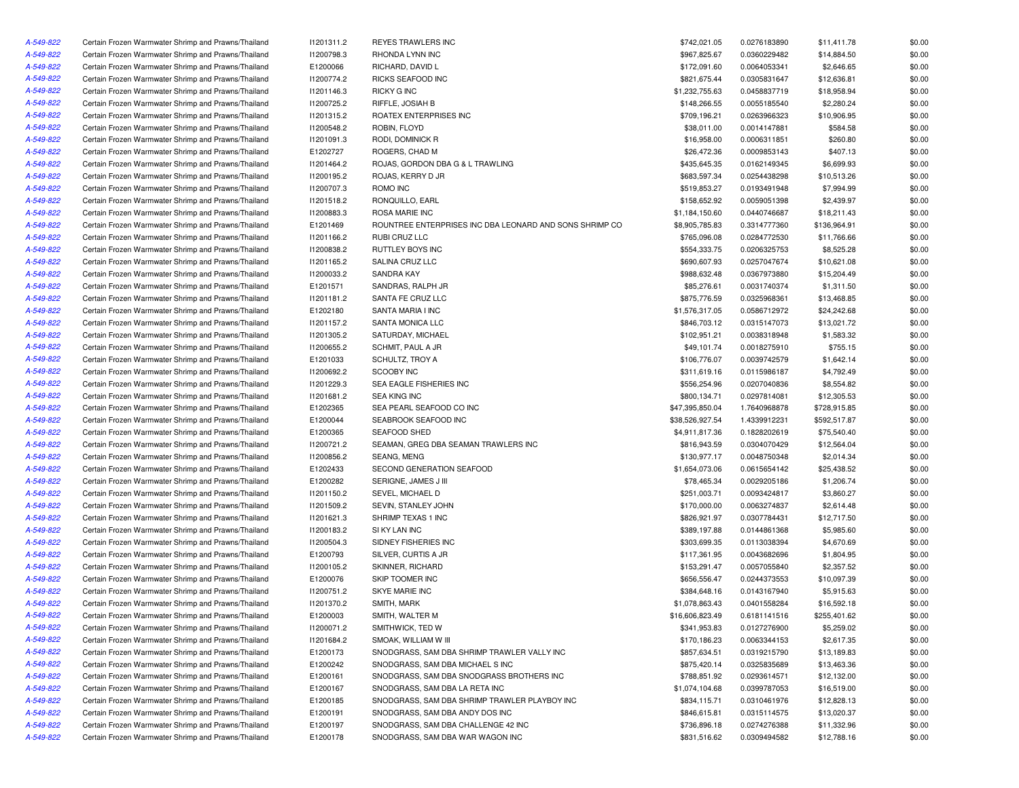| A-549-822              | Certain Frozen Warmwater Shrimp and Prawns/Thailand | 11201311.2 | <b>REYES TRAWLERS INC</b>                               | \$742,021.05    | 0.0276183890                 | \$11,411.78  | \$0.00 |
|------------------------|-----------------------------------------------------|------------|---------------------------------------------------------|-----------------|------------------------------|--------------|--------|
| A-549-822              | Certain Frozen Warmwater Shrimp and Prawns/Thailand | I1200798.3 | RHONDA LYNN INC                                         | \$967,825.67    | 0.0360229482                 | \$14,884.50  | \$0.00 |
| A-549-822              | Certain Frozen Warmwater Shrimp and Prawns/Thailand | E1200066   | RICHARD, DAVID L                                        | \$172,091.60    | 0.0064053341                 | \$2,646.65   | \$0.00 |
| A-549-822              | Certain Frozen Warmwater Shrimp and Prawns/Thailand | 11200774.2 | RICKS SEAFOOD INC                                       | \$821,675.44    | 0.0305831647                 | \$12,636.81  | \$0.00 |
| A-549-822              | Certain Frozen Warmwater Shrimp and Prawns/Thailand | 11201146.3 | <b>RICKY G INC</b>                                      | \$1,232,755.63  | 0.0458837719                 | \$18,958.94  | \$0.00 |
| A-549-822              | Certain Frozen Warmwater Shrimp and Prawns/Thailand | 11200725.2 | RIFFLE, JOSIAH B                                        | \$148,266.55    | 0.0055185540                 | \$2,280.24   | \$0.00 |
| A-549-822              | Certain Frozen Warmwater Shrimp and Prawns/Thailand | 11201315.2 | ROATEX ENTERPRISES INC                                  | \$709,196.21    | 0.0263966323                 | \$10,906.95  | \$0.00 |
| A-549-822              | Certain Frozen Warmwater Shrimp and Prawns/Thailand | 11200548.2 | ROBIN, FLOYD                                            | \$38,011.00     | 0.0014147881                 | \$584.58     | \$0.00 |
| A-549-822              | Certain Frozen Warmwater Shrimp and Prawns/Thailand | 11201091.3 | RODI, DOMINICK R                                        | \$16,958.00     | 0.0006311851                 | \$260.80     | \$0.00 |
| A-549-822              | Certain Frozen Warmwater Shrimp and Prawns/Thailand | E1202727   | ROGERS, CHAD M                                          | \$26,472.36     | 0.0009853143                 | \$407.13     | \$0.00 |
| A-549-822              | Certain Frozen Warmwater Shrimp and Prawns/Thailand | 11201464.2 | ROJAS, GORDON DBA G & L TRAWLING                        | \$435,645.35    | 0.0162149345                 | \$6,699.93   | \$0.00 |
| A-549-822              | Certain Frozen Warmwater Shrimp and Prawns/Thailand | 11200195.2 | ROJAS, KERRY D JR                                       | \$683,597.34    | 0.0254438298                 | \$10,513.26  | \$0.00 |
| A-549-822              | Certain Frozen Warmwater Shrimp and Prawns/Thailand | I1200707.3 | ROMO INC                                                | \$519,853.27    | 0.0193491948                 | \$7,994.99   | \$0.00 |
| A-549-822              | Certain Frozen Warmwater Shrimp and Prawns/Thailand | 11201518.2 | RONQUILLO, EARL                                         | \$158,652.92    | 0.0059051398                 | \$2,439.97   | \$0.00 |
| A-549-822              | Certain Frozen Warmwater Shrimp and Prawns/Thailand | 11200883.3 | ROSA MARIE INC                                          | \$1,184,150.60  | 0.0440746687                 | \$18,211.43  | \$0.00 |
| A-549-822              | Certain Frozen Warmwater Shrimp and Prawns/Thailand | E1201469   | ROUNTREE ENTERPRISES INC DBA LEONARD AND SONS SHRIMP CO | \$8,905,785.83  | 0.3314777360                 | \$136,964.91 | \$0.00 |
| A-549-822              | Certain Frozen Warmwater Shrimp and Prawns/Thailand | 11201166.2 | RUBI CRUZ LLC                                           | \$765,096.08    | 0.0284772530                 | \$11,766.66  | \$0.00 |
| A-549-822              | Certain Frozen Warmwater Shrimp and Prawns/Thailand | 11200838.2 | RUTTLEY BOYS INC                                        | \$554,333.75    | 0.0206325753                 | \$8,525.28   | \$0.00 |
| A-549-822              | Certain Frozen Warmwater Shrimp and Prawns/Thailand | 11201165.2 | SALINA CRUZ LLC                                         | \$690,607.93    | 0.0257047674                 | \$10,621.08  | \$0.00 |
| A-549-822              | Certain Frozen Warmwater Shrimp and Prawns/Thailand | 11200033.2 | SANDRA KAY                                              | \$988,632.48    | 0.0367973880                 | \$15,204.49  | \$0.00 |
| A-549-822              | Certain Frozen Warmwater Shrimp and Prawns/Thailand | E1201571   | SANDRAS, RALPH JR                                       | \$85,276.61     | 0.0031740374                 | \$1,311.50   | \$0.00 |
| A-549-822              | Certain Frozen Warmwater Shrimp and Prawns/Thailand | 11201181.2 | SANTA FE CRUZ LLC                                       | \$875,776.59    | 0.0325968361                 | \$13,468.85  | \$0.00 |
| A-549-822              | Certain Frozen Warmwater Shrimp and Prawns/Thailand | E1202180   | SANTA MARIA I INC                                       | \$1,576,317.05  | 0.0586712972                 | \$24,242.68  | \$0.00 |
| A-549-822              | Certain Frozen Warmwater Shrimp and Prawns/Thailand | 11201157.2 | SANTA MONICA LLC                                        | \$846,703.12    | 0.0315147073                 | \$13,021.72  | \$0.00 |
| A-549-822              | Certain Frozen Warmwater Shrimp and Prawns/Thailand | 11201305.2 | SATURDAY, MICHAEL                                       | \$102,951.21    | 0.0038318948                 | \$1,583.32   | \$0.00 |
| A-549-822              | Certain Frozen Warmwater Shrimp and Prawns/Thailand | I1200655.2 | SCHMIT, PAUL A JR                                       | \$49,101.74     | 0.0018275910                 | \$755.15     | \$0.00 |
| A-549-822              | Certain Frozen Warmwater Shrimp and Prawns/Thailand | E1201033   | SCHULTZ, TROY A                                         | \$106,776.07    | 0.0039742579                 | \$1,642.14   | \$0.00 |
| A-549-822              | Certain Frozen Warmwater Shrimp and Prawns/Thailand | 11200692.2 | <b>SCOOBY INC</b>                                       | \$311,619.16    | 0.0115986187                 | \$4,792.49   | \$0.00 |
| A-549-822              | Certain Frozen Warmwater Shrimp and Prawns/Thailand | 11201229.3 | SEA EAGLE FISHERIES INC                                 | \$556,254.96    | 0.0207040836                 | \$8,554.82   | \$0.00 |
| A-549-822              | Certain Frozen Warmwater Shrimp and Prawns/Thailand | 11201681.2 | <b>SEA KING INC</b>                                     | \$800,134.71    | 0.0297814081                 | \$12,305.53  | \$0.00 |
| A-549-822              | Certain Frozen Warmwater Shrimp and Prawns/Thailand | E1202365   | SEA PEARL SEAFOOD CO INC                                | \$47,395,850.04 | 1.7640968878                 | \$728,915.85 | \$0.00 |
| A-549-822              | Certain Frozen Warmwater Shrimp and Prawns/Thailand | E1200044   | SEABROOK SEAFOOD INC                                    | \$38,526,927.54 |                              | \$592,517.87 | \$0.00 |
|                        | Certain Frozen Warmwater Shrimp and Prawns/Thailand | E1200365   | SEAFOOD SHED                                            | \$4,911,817.36  | 1.4339912231<br>0.1828202619 | \$75,540.40  | \$0.00 |
| A-549-822<br>A-549-822 |                                                     |            |                                                         | \$816,943.59    |                              |              | \$0.00 |
|                        | Certain Frozen Warmwater Shrimp and Prawns/Thailand | 11200721.2 | SEAMAN, GREG DBA SEAMAN TRAWLERS INC                    |                 | 0.0304070429                 | \$12,564.04  |        |
| A-549-822              | Certain Frozen Warmwater Shrimp and Prawns/Thailand | I1200856.2 | SEANG, MENG                                             | \$130,977.17    | 0.0048750348                 | \$2,014.34   | \$0.00 |
| A-549-822<br>A-549-822 | Certain Frozen Warmwater Shrimp and Prawns/Thailand | E1202433   | SECOND GENERATION SEAFOOD                               | \$1,654,073.06  | 0.0615654142                 | \$25,438.52  | \$0.00 |
|                        | Certain Frozen Warmwater Shrimp and Prawns/Thailand | E1200282   | SERIGNE, JAMES J III                                    | \$78,465.34     | 0.0029205186                 | \$1,206.74   | \$0.00 |
| A-549-822              | Certain Frozen Warmwater Shrimp and Prawns/Thailand | 11201150.2 | SEVEL, MICHAEL D                                        | \$251,003.71    | 0.0093424817                 | \$3,860.27   | \$0.00 |
| A-549-822              | Certain Frozen Warmwater Shrimp and Prawns/Thailand | 11201509.2 | SEVIN, STANLEY JOHN                                     | \$170,000.00    | 0.0063274837                 | \$2,614.48   | \$0.00 |
| A-549-822              | Certain Frozen Warmwater Shrimp and Prawns/Thailand | 11201621.3 | SHRIMP TEXAS 1 INC                                      | \$826,921.97    | 0.0307784431                 | \$12,717.50  | \$0.00 |
| A-549-822              | Certain Frozen Warmwater Shrimp and Prawns/Thailand | 11200183.2 | SI KY LAN INC                                           | \$389,197.88    | 0.0144861368                 | \$5,985.60   | \$0.00 |
| A-549-822              | Certain Frozen Warmwater Shrimp and Prawns/Thailand | 11200504.3 | SIDNEY FISHERIES INC                                    | \$303,699.35    | 0.0113038394                 | \$4,670.69   | \$0.00 |
| A-549-822              | Certain Frozen Warmwater Shrimp and Prawns/Thailand | E1200793   | SILVER, CURTIS A JR                                     | \$117,361.95    | 0.0043682696                 | \$1,804.95   | \$0.00 |
| A-549-822              | Certain Frozen Warmwater Shrimp and Prawns/Thailand | 11200105.2 | SKINNER, RICHARD                                        | \$153,291.47    | 0.0057055840                 | \$2,357.52   | \$0.00 |
| A-549-822              | Certain Frozen Warmwater Shrimp and Prawns/Thailand | E1200076   | SKIP TOOMER INC                                         | \$656,556.47    | 0.0244373553                 | \$10,097.39  | \$0.00 |
| A-549-822              | Certain Frozen Warmwater Shrimp and Prawns/Thailand | 11200751.2 | SKYE MARIE INC                                          | \$384,648.16    | 0.0143167940                 | \$5,915.63   | \$0.00 |
| A-549-822              | Certain Frozen Warmwater Shrimp and Prawns/Thailand | 11201370.2 | SMITH, MARK                                             | \$1,078,863.43  | 0.0401558284                 | \$16,592.18  | \$0.00 |
| A-549-822              | Certain Frozen Warmwater Shrimp and Prawns/Thailand | E1200003   | SMITH, WALTER M                                         | \$16,606,823.49 | 0.6181141516                 | \$255,401.62 | \$0.00 |
| A-549-822              | Certain Frozen Warmwater Shrimp and Prawns/Thailand | 11200071.2 | SMITHWICK, TED W                                        | \$341,953.83    | 0.0127276900                 | \$5,259.02   | \$0.00 |
| A-549-822              | Certain Frozen Warmwater Shrimp and Prawns/Thailand | 11201684.2 | SMOAK, WILLIAM W III                                    | \$170,186.23    | 0.0063344153                 | \$2,617.35   | \$0.00 |
| A-549-822              | Certain Frozen Warmwater Shrimp and Prawns/Thailand | E1200173   | SNODGRASS, SAM DBA SHRIMP TRAWLER VALLY INC             | \$857,634.51    | 0.0319215790                 | \$13,189.83  | \$0.00 |
| A-549-822              | Certain Frozen Warmwater Shrimp and Prawns/Thailand | E1200242   | SNODGRASS, SAM DBA MICHAEL S INC                        | \$875,420.14    | 0.0325835689                 | \$13,463.36  | \$0.00 |
| A-549-822              | Certain Frozen Warmwater Shrimp and Prawns/Thailand | E1200161   | SNODGRASS, SAM DBA SNODGRASS BROTHERS INC               | \$788,851.92    | 0.0293614571                 | \$12,132.00  | \$0.00 |
| A-549-822              | Certain Frozen Warmwater Shrimp and Prawns/Thailand | E1200167   | SNODGRASS, SAM DBA LA RETA INC                          | \$1,074,104.68  | 0.0399787053                 | \$16,519.00  | \$0.00 |
| A-549-822              | Certain Frozen Warmwater Shrimp and Prawns/Thailand | E1200185   | SNODGRASS, SAM DBA SHRIMP TRAWLER PLAYBOY INC           | \$834,115.71    | 0.0310461976                 | \$12,828.13  | \$0.00 |
| A-549-822              | Certain Frozen Warmwater Shrimp and Prawns/Thailand | E1200191   | SNODGRASS, SAM DBA ANDY DOS INC                         | \$846,615.81    | 0.0315114575                 | \$13,020.37  | \$0.00 |
| A-549-822              | Certain Frozen Warmwater Shrimp and Prawns/Thailand | E1200197   | SNODGRASS, SAM DBA CHALLENGE 42 INC                     | \$736,896.18    | 0.0274276388                 | \$11,332.96  | \$0.00 |
| A-549-822              | Certain Frozen Warmwater Shrimp and Prawns/Thailand | E1200178   | SNODGRASS, SAM DBA WAR WAGON INC                        | \$831,516.62    | 0.0309494582                 | \$12,788.16  | \$0.00 |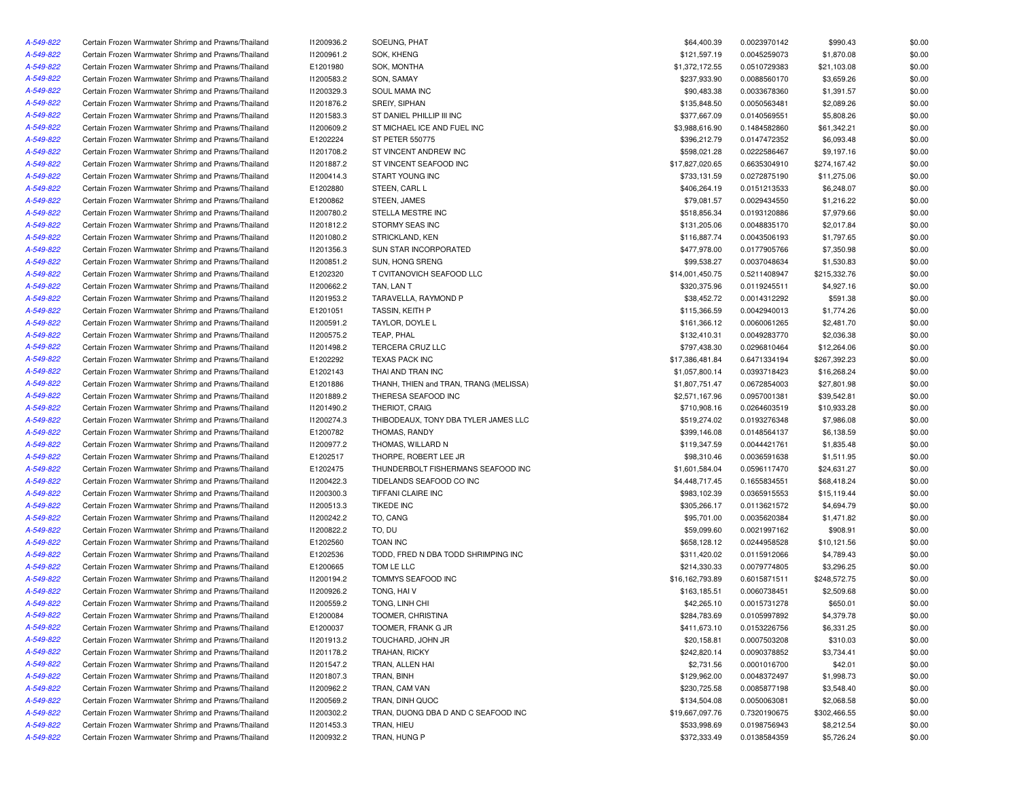| A-549-822 | Certain Frozen Warmwater Shrimp and Prawns/Thailand                                                        | 11200936.2             | SOEUNG, PHAT                           | \$64,400.39     | 0.0023970142 | \$990.43     | \$0.00 |
|-----------|------------------------------------------------------------------------------------------------------------|------------------------|----------------------------------------|-----------------|--------------|--------------|--------|
| A-549-822 | Certain Frozen Warmwater Shrimp and Prawns/Thailand                                                        | 11200961.2             | SOK, KHENG                             | \$121,597.19    | 0.0045259073 | \$1,870.08   | \$0.00 |
| A-549-822 | Certain Frozen Warmwater Shrimp and Prawns/Thailand                                                        | E1201980               | SOK, MONTHA                            | \$1,372,172.55  | 0.0510729383 | \$21,103.08  | \$0.00 |
| A-549-822 | Certain Frozen Warmwater Shrimp and Prawns/Thailand                                                        | 11200583.2             | SON, SAMAY                             | \$237,933.90    | 0.0088560170 | \$3,659.26   | \$0.00 |
| A-549-822 | Certain Frozen Warmwater Shrimp and Prawns/Thailand                                                        | 11200329.3             | SOUL MAMA INC                          | \$90,483.38     | 0.0033678360 | \$1,391.57   | \$0.00 |
| A-549-822 | Certain Frozen Warmwater Shrimp and Prawns/Thailand                                                        | 11201876.2             | SREIY, SIPHAN                          | \$135,848.50    | 0.0050563481 | \$2,089.26   | \$0.00 |
| A-549-822 | Certain Frozen Warmwater Shrimp and Prawns/Thailand                                                        | 11201583.3             | ST DANIEL PHILLIP III INC              | \$377,667.09    | 0.0140569551 | \$5,808.26   | \$0.00 |
| A-549-822 | Certain Frozen Warmwater Shrimp and Prawns/Thailand                                                        | 11200609.2             | ST MICHAEL ICE AND FUEL INC            | \$3,988,616.90  | 0.1484582860 | \$61,342.21  | \$0.00 |
| A-549-822 | Certain Frozen Warmwater Shrimp and Prawns/Thailand                                                        | E1202224               | <b>ST PETER 550775</b>                 | \$396,212.79    | 0.0147472352 | \$6,093.48   | \$0.00 |
| A-549-822 | Certain Frozen Warmwater Shrimp and Prawns/Thailand                                                        | 11201708.2             | ST VINCENT ANDREW INC                  | \$598,021.28    | 0.0222586467 | \$9,197.16   | \$0.00 |
| A-549-822 | Certain Frozen Warmwater Shrimp and Prawns/Thailand                                                        | 11201887.2             | ST VINCENT SEAFOOD INC                 | \$17,827,020.65 | 0.6635304910 | \$274,167.42 | \$0.00 |
| A-549-822 | Certain Frozen Warmwater Shrimp and Prawns/Thailand                                                        | 11200414.3             | START YOUNG INC                        | \$733,131.59    | 0.0272875190 | \$11,275.06  | \$0.00 |
| A-549-822 | Certain Frozen Warmwater Shrimp and Prawns/Thailand                                                        | E1202880               | STEEN, CARL L                          | \$406,264.19    | 0.0151213533 | \$6,248.07   | \$0.00 |
| A-549-822 | Certain Frozen Warmwater Shrimp and Prawns/Thailand                                                        | E1200862               | STEEN, JAMES                           | \$79,081.57     | 0.0029434550 | \$1,216.22   | \$0.00 |
| A-549-822 | Certain Frozen Warmwater Shrimp and Prawns/Thailand                                                        | 11200780.2             | STELLA MESTRE INC                      | \$518,856.34    | 0.0193120886 | \$7,979.66   | \$0.00 |
| A-549-822 | Certain Frozen Warmwater Shrimp and Prawns/Thailand                                                        | 11201812.2             | STORMY SEAS INC                        | \$131,205.06    | 0.0048835170 | \$2,017.84   | \$0.00 |
| A-549-822 | Certain Frozen Warmwater Shrimp and Prawns/Thailand                                                        | 11201080.2             | STRICKLAND, KEN                        | \$116,887.74    | 0.0043506193 | \$1,797.65   | \$0.00 |
| A-549-822 | Certain Frozen Warmwater Shrimp and Prawns/Thailand                                                        | 11201356.3             | SUN STAR INCORPORATED                  | \$477,978.00    | 0.0177905766 | \$7,350.98   | \$0.00 |
| A-549-822 | Certain Frozen Warmwater Shrimp and Prawns/Thailand                                                        | 11200851.2             | SUN, HONG SRENG                        | \$99,538.27     | 0.0037048634 | \$1,530.83   | \$0.00 |
| A-549-822 |                                                                                                            | E1202320               |                                        |                 |              |              |        |
|           | Certain Frozen Warmwater Shrimp and Prawns/Thailand<br>Certain Frozen Warmwater Shrimp and Prawns/Thailand |                        | T CVITANOVICH SEAFOOD LLC              | \$14,001,450.75 | 0.5211408947 | \$215,332.76 | \$0.00 |
| A-549-822 |                                                                                                            | 11200662.2             | TAN, LAN T                             | \$320,375.96    | 0.0119245511 | \$4,927.16   | \$0.00 |
| A-549-822 | Certain Frozen Warmwater Shrimp and Prawns/Thailand                                                        | 11201953.2             | TARAVELLA, RAYMOND P                   | \$38,452.72     | 0.0014312292 | \$591.38     | \$0.00 |
| A-549-822 | Certain Frozen Warmwater Shrimp and Prawns/Thailand                                                        | E1201051               | <b>TASSIN, KEITH P</b>                 | \$115,366.59    | 0.0042940013 | \$1,774.26   | \$0.00 |
| A-549-822 | Certain Frozen Warmwater Shrimp and Prawns/Thailand                                                        | 11200591.2             | TAYLOR, DOYLE L                        | \$161,366.12    | 0.0060061265 | \$2,481.70   | \$0.00 |
| A-549-822 | Certain Frozen Warmwater Shrimp and Prawns/Thailand                                                        | 11200575.2             | TEAP, PHAL                             | \$132,410.31    | 0.0049283770 | \$2,036.38   | \$0.00 |
| A-549-822 | Certain Frozen Warmwater Shrimp and Prawns/Thailand                                                        | 11201498.2             | TERCERA CRUZ LLC                       | \$797,438.30    | 0.0296810464 | \$12,264.06  | \$0.00 |
| A-549-822 | Certain Frozen Warmwater Shrimp and Prawns/Thailand                                                        | E1202292               | <b>TEXAS PACK INC</b>                  | \$17,386,481.84 | 0.6471334194 | \$267,392.23 | \$0.00 |
| A-549-822 | Certain Frozen Warmwater Shrimp and Prawns/Thailand                                                        | E1202143               | THAI AND TRAN INC                      | \$1,057,800.14  | 0.0393718423 | \$16,268.24  | \$0.00 |
| A-549-822 | Certain Frozen Warmwater Shrimp and Prawns/Thailand                                                        | E1201886               | THANH, THIEN and TRAN, TRANG (MELISSA) | \$1,807,751.47  | 0.0672854003 | \$27,801.98  | \$0.00 |
| A-549-822 | Certain Frozen Warmwater Shrimp and Prawns/Thailand                                                        | 11201889.2             | THERESA SEAFOOD INC                    | \$2,571,167.96  | 0.0957001381 | \$39,542.81  | \$0.00 |
| A-549-822 | Certain Frozen Warmwater Shrimp and Prawns/Thailand                                                        | 11201490.2             | THERIOT, CRAIG                         | \$710,908.16    | 0.0264603519 | \$10,933.28  | \$0.00 |
| A-549-822 | Certain Frozen Warmwater Shrimp and Prawns/Thailand                                                        | I1200274.3             | THIBODEAUX, TONY DBA TYLER JAMES LLC   | \$519,274.02    | 0.0193276348 | \$7,986.08   | \$0.00 |
| A-549-822 | Certain Frozen Warmwater Shrimp and Prawns/Thailand                                                        | E1200782               | THOMAS, RANDY                          | \$399,146.08    | 0.0148564137 | \$6,138.59   | \$0.00 |
| A-549-822 | Certain Frozen Warmwater Shrimp and Prawns/Thailand                                                        | I1200977.2             | THOMAS, WILLARD N                      | \$119,347.59    | 0.0044421761 | \$1,835.48   | \$0.00 |
| A-549-822 | Certain Frozen Warmwater Shrimp and Prawns/Thailand                                                        | E1202517               | THORPE, ROBERT LEE JR                  | \$98,310.46     | 0.0036591638 | \$1,511.95   | \$0.00 |
| A-549-822 | Certain Frozen Warmwater Shrimp and Prawns/Thailand                                                        | E1202475               | THUNDERBOLT FISHERMANS SEAFOOD INC     | \$1,601,584.04  | 0.0596117470 | \$24,631.27  | \$0.00 |
| A-549-822 | Certain Frozen Warmwater Shrimp and Prawns/Thailand                                                        | 11200422.3             | TIDELANDS SEAFOOD CO INC               | \$4,448,717.45  | 0.1655834551 | \$68,418.24  | \$0.00 |
| A-549-822 | Certain Frozen Warmwater Shrimp and Prawns/Thailand                                                        | 11200300.3             | TIFFANI CLAIRE INC                     | \$983,102.39    | 0.0365915553 | \$15,119.44  | \$0.00 |
| A-549-822 | Certain Frozen Warmwater Shrimp and Prawns/Thailand                                                        | 11200513.3             | <b>TIKEDE INC</b>                      | \$305,266.17    | 0.0113621572 | \$4,694.79   | \$0.00 |
| A-549-822 | Certain Frozen Warmwater Shrimp and Prawns/Thailand                                                        | 11200242.2             | TO, CANG                               | \$95,701.00     | 0.0035620384 | \$1,471.82   | \$0.00 |
| A-549-822 | Certain Frozen Warmwater Shrimp and Prawns/Thailand                                                        | 11200822.2             | TO, DU                                 | \$59,099.60     | 0.0021997162 | \$908.91     | \$0.00 |
| A-549-822 | Certain Frozen Warmwater Shrimp and Prawns/Thailand                                                        | E1202560               | <b>TOAN INC</b>                        | \$658,128.12    | 0.0244958528 | \$10,121.56  | \$0.00 |
| A-549-822 | Certain Frozen Warmwater Shrimp and Prawns/Thailand                                                        | E1202536               | TODD, FRED N DBA TODD SHRIMPING INC    | \$311,420.02    | 0.0115912066 | \$4,789.43   | \$0.00 |
| A-549-822 | Certain Frozen Warmwater Shrimp and Prawns/Thailand                                                        | E1200665               | TOM LE LLC                             | \$214,330.33    | 0.0079774805 | \$3,296.25   | \$0.00 |
| A-549-822 | Certain Frozen Warmwater Shrimp and Prawns/Thailand                                                        | 11200194.2             | TOMMYS SEAFOOD INC                     | \$16,162,793.89 | 0.6015871511 | \$248,572.75 | \$0.00 |
| A-549-822 | Certain Frozen Warmwater Shrimp and Prawns/Thailand                                                        | 11200926.2             | TONG, HAIV                             | \$163,185.51    | 0.0060738451 | \$2,509.68   | \$0.00 |
| A-549-822 | Certain Frozen Warmwater Shrimp and Prawns/Thailand                                                        | 11200559.2             | TONG, LINH CHI                         | \$42,265.10     | 0.0015731278 | \$650.01     | \$0.00 |
| A-549-822 | Certain Frozen Warmwater Shrimp and Prawns/Thailand                                                        | E1200084               | TOOMER, CHRISTINA                      | \$284,783.69    | 0.0105997892 | \$4,379.78   | \$0.00 |
|           |                                                                                                            |                        | TOOMER, FRANK G JR                     |                 |              |              |        |
| A-549-822 | Certain Frozen Warmwater Shrimp and Prawns/Thailand                                                        | E1200037<br>11201913.2 | TOUCHARD, JOHN JR                      | \$411,673.10    | 0.0153226756 | \$6,331.25   | \$0.00 |
| A-549-822 | Certain Frozen Warmwater Shrimp and Prawns/Thailand                                                        |                        |                                        | \$20,158.81     | 0.0007503208 | \$310.03     | \$0.00 |
| A-549-822 | Certain Frozen Warmwater Shrimp and Prawns/Thailand                                                        | 11201178.2             | TRAHAN, RICKY                          | \$242,820.14    | 0.0090378852 | \$3,734.41   | \$0.00 |
| A-549-822 | Certain Frozen Warmwater Shrimp and Prawns/Thailand                                                        | 11201547.2             | TRAN, ALLEN HAI                        | \$2,731.56      | 0.0001016700 | \$42.01      | \$0.00 |
| A-549-822 | Certain Frozen Warmwater Shrimp and Prawns/Thailand                                                        | 11201807.3             | TRAN, BINH                             | \$129,962.00    | 0.0048372497 | \$1,998.73   | \$0.00 |
| A-549-822 | Certain Frozen Warmwater Shrimp and Prawns/Thailand                                                        | 11200962.2             | TRAN, CAM VAN                          | \$230,725.58    | 0.0085877198 | \$3,548.40   | \$0.00 |
| A-549-822 | Certain Frozen Warmwater Shrimp and Prawns/Thailand                                                        | 11200569.2             | TRAN, DINH QUOC                        | \$134,504.08    | 0.0050063081 | \$2,068.58   | \$0.00 |
| A-549-822 | Certain Frozen Warmwater Shrimp and Prawns/Thailand                                                        | 11200302.2             | TRAN, DUONG DBA D AND C SEAFOOD INC    | \$19,667,097.76 | 0.7320190675 | \$302,466.55 | \$0.00 |
| A-549-822 | Certain Frozen Warmwater Shrimp and Prawns/Thailand                                                        | 11201453.3             | TRAN, HIEU                             | \$533,998.69    | 0.0198756943 | \$8,212.54   | \$0.00 |
| A-549-822 | Certain Frozen Warmwater Shrimp and Prawns/Thailand                                                        | 11200932.2             | TRAN, HUNG P                           | \$372,333.49    | 0.0138584359 | \$5,726.24   | \$0.00 |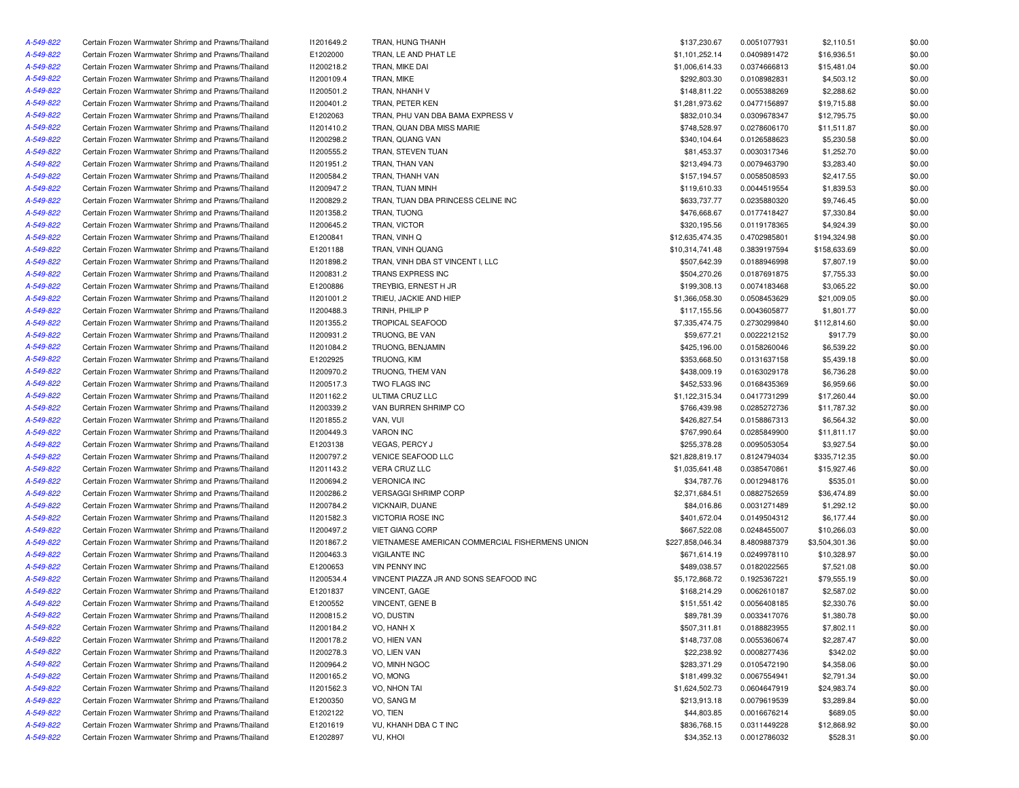| A-549-822 | Certain Frozen Warmwater Shrimp and Prawns/Thailand | 11201649.2 | TRAN, HUNG THANH                                | \$137,230.67     | 0.0051077931 | \$2,110.51     | \$0.00 |
|-----------|-----------------------------------------------------|------------|-------------------------------------------------|------------------|--------------|----------------|--------|
| A-549-822 | Certain Frozen Warmwater Shrimp and Prawns/Thailand | E1202000   | TRAN, LE AND PHAT LE                            | \$1,101,252.14   | 0.0409891472 | \$16,936.51    | \$0.00 |
| A-549-822 | Certain Frozen Warmwater Shrimp and Prawns/Thailand | 11200218.2 | TRAN, MIKE DAI                                  | \$1,006,614.33   | 0.0374666813 | \$15,481.04    | \$0.00 |
| A-549-822 | Certain Frozen Warmwater Shrimp and Prawns/Thailand | 11200109.4 | TRAN, MIKE                                      | \$292,803.30     | 0.0108982831 | \$4,503.12     | \$0.00 |
| A-549-822 | Certain Frozen Warmwater Shrimp and Prawns/Thailand | 11200501.2 | TRAN, NHANH V                                   | \$148,811.22     | 0.0055388269 | \$2,288.62     | \$0.00 |
| A-549-822 | Certain Frozen Warmwater Shrimp and Prawns/Thailand | 11200401.2 | TRAN, PETER KEN                                 | \$1,281,973.62   | 0.0477156897 | \$19,715.88    | \$0.00 |
| A-549-822 | Certain Frozen Warmwater Shrimp and Prawns/Thailand | E1202063   | TRAN, PHU VAN DBA BAMA EXPRESS V                | \$832,010.34     | 0.0309678347 | \$12,795.75    | \$0.00 |
| A-549-822 | Certain Frozen Warmwater Shrimp and Prawns/Thailand | 11201410.2 | TRAN, QUAN DBA MISS MARIE                       | \$748,528.97     | 0.0278606170 | \$11,511.87    | \$0.00 |
| A-549-822 | Certain Frozen Warmwater Shrimp and Prawns/Thailand | 11200298.2 | TRAN, QUANG VAN                                 | \$340,104.64     | 0.0126588623 | \$5,230.58     | \$0.00 |
| A-549-822 | Certain Frozen Warmwater Shrimp and Prawns/Thailand | I1200555.2 | TRAN, STEVEN TUAN                               | \$81,453.37      | 0.0030317346 | \$1,252.70     | \$0.00 |
| A-549-822 | Certain Frozen Warmwater Shrimp and Prawns/Thailand | 11201951.2 | TRAN, THAN VAN                                  | \$213,494.73     | 0.0079463790 | \$3,283.40     | \$0.00 |
| A-549-822 | Certain Frozen Warmwater Shrimp and Prawns/Thailand | 11200584.2 | TRAN, THANH VAN                                 | \$157,194.57     | 0.0058508593 | \$2,417.55     | \$0.00 |
| A-549-822 | Certain Frozen Warmwater Shrimp and Prawns/Thailand | 11200947.2 | TRAN, TUAN MINH                                 | \$119,610.33     | 0.0044519554 | \$1,839.53     | \$0.00 |
| A-549-822 | Certain Frozen Warmwater Shrimp and Prawns/Thailand | 11200829.2 | TRAN, TUAN DBA PRINCESS CELINE INC              | \$633,737.77     | 0.0235880320 | \$9,746.45     | \$0.00 |
| A-549-822 | Certain Frozen Warmwater Shrimp and Prawns/Thailand | 11201358.2 | TRAN, TUONG                                     | \$476,668.67     | 0.0177418427 | \$7,330.84     | \$0.00 |
| A-549-822 | Certain Frozen Warmwater Shrimp and Prawns/Thailand | I1200645.2 | TRAN, VICTOR                                    | \$320,195.56     | 0.0119178365 | \$4,924.39     | \$0.00 |
| A-549-822 | Certain Frozen Warmwater Shrimp and Prawns/Thailand | E1200841   | TRAN, VINH Q                                    | \$12,635,474.35  | 0.4702985801 | \$194,324.98   | \$0.00 |
|           |                                                     |            |                                                 |                  |              |                |        |
| A-549-822 | Certain Frozen Warmwater Shrimp and Prawns/Thailand | E1201188   | TRAN, VINH QUANG                                | \$10,314,741.48  | 0.3839197594 | \$158,633.69   | \$0.00 |
| A-549-822 | Certain Frozen Warmwater Shrimp and Prawns/Thailand | 11201898.2 | TRAN, VINH DBA ST VINCENT I, LLC                | \$507,642.39     | 0.0188946998 | \$7,807.19     | \$0.00 |
| A-549-822 | Certain Frozen Warmwater Shrimp and Prawns/Thailand | 11200831.2 | TRANS EXPRESS INC                               | \$504,270.26     | 0.0187691875 | \$7,755.33     | \$0.00 |
| A-549-822 | Certain Frozen Warmwater Shrimp and Prawns/Thailand | E1200886   | TREYBIG, ERNEST H JR                            | \$199,308.13     | 0.0074183468 | \$3,065.22     | \$0.00 |
| A-549-822 | Certain Frozen Warmwater Shrimp and Prawns/Thailand | 11201001.2 | TRIEU, JACKIE AND HIEP                          | \$1,366,058.30   | 0.0508453629 | \$21,009.05    | \$0.00 |
| A-549-822 | Certain Frozen Warmwater Shrimp and Prawns/Thailand | I1200488.3 | TRINH, PHILIP P                                 | \$117,155.56     | 0.0043605877 | \$1,801.77     | \$0.00 |
| A-549-822 | Certain Frozen Warmwater Shrimp and Prawns/Thailand | 11201355.2 | <b>TROPICAL SEAFOOD</b>                         | \$7,335,474.75   | 0.2730299840 | \$112,814.60   | \$0.00 |
| A-549-822 | Certain Frozen Warmwater Shrimp and Prawns/Thailand | 11200931.2 | TRUONG, BE VAN                                  | \$59,677.21      | 0.0022212152 | \$917.79       | \$0.00 |
| A-549-822 | Certain Frozen Warmwater Shrimp and Prawns/Thailand | 11201084.2 | TRUONG, BENJAMIN                                | \$425,196.00     | 0.0158260046 | \$6,539.22     | \$0.00 |
| A-549-822 | Certain Frozen Warmwater Shrimp and Prawns/Thailand | E1202925   | TRUONG, KIM                                     | \$353,668.50     | 0.0131637158 | \$5,439.18     | \$0.00 |
| A-549-822 | Certain Frozen Warmwater Shrimp and Prawns/Thailand | 11200970.2 | TRUONG. THEM VAN                                | \$438,009.19     | 0.0163029178 | \$6,736.28     | \$0.00 |
| A-549-822 | Certain Frozen Warmwater Shrimp and Prawns/Thailand | 11200517.3 | <b>TWO FLAGS INC</b>                            | \$452,533.96     | 0.0168435369 | \$6,959.66     | \$0.00 |
| A-549-822 | Certain Frozen Warmwater Shrimp and Prawns/Thailand | 11201162.2 | ULTIMA CRUZ LLC                                 | \$1,122,315.34   | 0.0417731299 | \$17,260.44    | \$0.00 |
| A-549-822 | Certain Frozen Warmwater Shrimp and Prawns/Thailand | 11200339.2 | VAN BURREN SHRIMP CO                            | \$766,439.98     | 0.0285272736 | \$11,787.32    | \$0.00 |
| A-549-822 | Certain Frozen Warmwater Shrimp and Prawns/Thailand | 11201855.2 | VAN, VUI                                        | \$426,827.54     | 0.0158867313 | \$6,564.32     | \$0.00 |
| A-549-822 | Certain Frozen Warmwater Shrimp and Prawns/Thailand | 11200449.3 | <b>VARON INC</b>                                | \$767,990.64     | 0.0285849900 | \$11,811.17    | \$0.00 |
| A-549-822 | Certain Frozen Warmwater Shrimp and Prawns/Thailand | E1203138   | <b>VEGAS, PERCY J</b>                           | \$255,378.28     | 0.0095053054 | \$3,927.54     | \$0.00 |
| A-549-822 | Certain Frozen Warmwater Shrimp and Prawns/Thailand | 11200797.2 | <b>VENICE SEAFOOD LLC</b>                       | \$21,828,819.17  | 0.8124794034 | \$335,712.35   | \$0.00 |
| A-549-822 | Certain Frozen Warmwater Shrimp and Prawns/Thailand | 11201143.2 | VERA CRUZ LLC                                   | \$1,035,641.48   | 0.0385470861 | \$15,927.46    | \$0.00 |
| A-549-822 | Certain Frozen Warmwater Shrimp and Prawns/Thailand | 11200694.2 | <b>VERONICA INC</b>                             | \$34,787.76      | 0.0012948176 | \$535.01       | \$0.00 |
| A-549-822 | Certain Frozen Warmwater Shrimp and Prawns/Thailand | 11200286.2 | <b>VERSAGGI SHRIMP CORP</b>                     | \$2,371,684.51   | 0.0882752659 | \$36,474.89    | \$0.00 |
| A-549-822 | Certain Frozen Warmwater Shrimp and Prawns/Thailand | 11200784.2 | VICKNAIR, DUANE                                 | \$84,016.86      | 0.0031271489 | \$1,292.12     | \$0.00 |
| A-549-822 | Certain Frozen Warmwater Shrimp and Prawns/Thailand | 11201582.3 | <b>VICTORIA ROSE INC</b>                        | \$401,672.04     | 0.0149504312 | \$6,177.44     | \$0.00 |
| A-549-822 | Certain Frozen Warmwater Shrimp and Prawns/Thailand | 11200497.2 | <b>VIET GIANG CORP</b>                          | \$667,522.08     | 0.0248455007 | \$10,266.03    | \$0.00 |
| A-549-822 | Certain Frozen Warmwater Shrimp and Prawns/Thailand | 11201867.2 | VIETNAMESE AMERICAN COMMERCIAL FISHERMENS UNION | \$227,858,046.34 | 8.4809887379 | \$3,504,301.36 | \$0.00 |
| A-549-822 | Certain Frozen Warmwater Shrimp and Prawns/Thailand | 11200463.3 | <b>VIGILANTE INC</b>                            | \$671,614.19     | 0.0249978110 | \$10,328.97    | \$0.00 |
| A-549-822 | Certain Frozen Warmwater Shrimp and Prawns/Thailand | E1200653   | <b>VIN PENNY INC</b>                            | \$489,038.57     | 0.0182022565 | \$7,521.08     | \$0.00 |
| A-549-822 |                                                     |            | VINCENT PIAZZA JR AND SONS SEAFOOD INC          |                  |              |                |        |
|           | Certain Frozen Warmwater Shrimp and Prawns/Thailand | 11200534.4 |                                                 | \$5,172,868.72   | 0.1925367221 | \$79,555.19    | \$0.00 |
| A-549-822 | Certain Frozen Warmwater Shrimp and Prawns/Thailand | E1201837   | VINCENT, GAGE                                   | \$168,214.29     | 0.0062610187 | \$2,587.02     | \$0.00 |
| A-549-822 | Certain Frozen Warmwater Shrimp and Prawns/Thailand | E1200552   | VINCENT, GENE B                                 | \$151,551.42     | 0.0056408185 | \$2,330.76     | \$0.00 |
| A-549-822 | Certain Frozen Warmwater Shrimp and Prawns/Thailand | 11200815.2 | VO, DUSTIN                                      | \$89,781.39      | 0.0033417076 | \$1,380.78     | \$0.00 |
| A-549-822 | Certain Frozen Warmwater Shrimp and Prawns/Thailand | 11200184.2 | VO, HANH X                                      | \$507,311.81     | 0.0188823955 | \$7,802.11     | \$0.00 |
| A-549-822 | Certain Frozen Warmwater Shrimp and Prawns/Thailand | 11200178.2 | VO, HIEN VAN                                    | \$148,737.08     | 0.0055360674 | \$2,287.47     | \$0.00 |
| A-549-822 | Certain Frozen Warmwater Shrimp and Prawns/Thailand | 11200278.3 | VO, LIEN VAN                                    | \$22,238.92      | 0.0008277436 | \$342.02       | \$0.00 |
| A-549-822 | Certain Frozen Warmwater Shrimp and Prawns/Thailand | 11200964.2 | VO, MINH NGOC                                   | \$283,371.29     | 0.0105472190 | \$4,358.06     | \$0.00 |
| A-549-822 | Certain Frozen Warmwater Shrimp and Prawns/Thailand | 11200165.2 | VO, MONG                                        | \$181,499.32     | 0.0067554941 | \$2,791.34     | \$0.00 |
| A-549-822 | Certain Frozen Warmwater Shrimp and Prawns/Thailand | 11201562.3 | VO, NHON TAI                                    | \$1,624,502.73   | 0.0604647919 | \$24,983.74    | \$0.00 |
| A-549-822 | Certain Frozen Warmwater Shrimp and Prawns/Thailand | E1200350   | VO, SANG M                                      | \$213,913.18     | 0.0079619539 | \$3,289.84     | \$0.00 |
| A-549-822 | Certain Frozen Warmwater Shrimp and Prawns/Thailand | E1202122   | VO, TIEN                                        | \$44,803.85      | 0.0016676214 | \$689.05       | \$0.00 |
| A-549-822 | Certain Frozen Warmwater Shrimp and Prawns/Thailand | E1201619   | VU, KHANH DBA C T INC                           | \$836,768.15     | 0.0311449228 | \$12,868.92    | \$0.00 |
| A-549-822 | Certain Frozen Warmwater Shrimp and Prawns/Thailand | E1202897   | VU, KHOI                                        | \$34,352.13      | 0.0012786032 | \$528.31       | \$0.00 |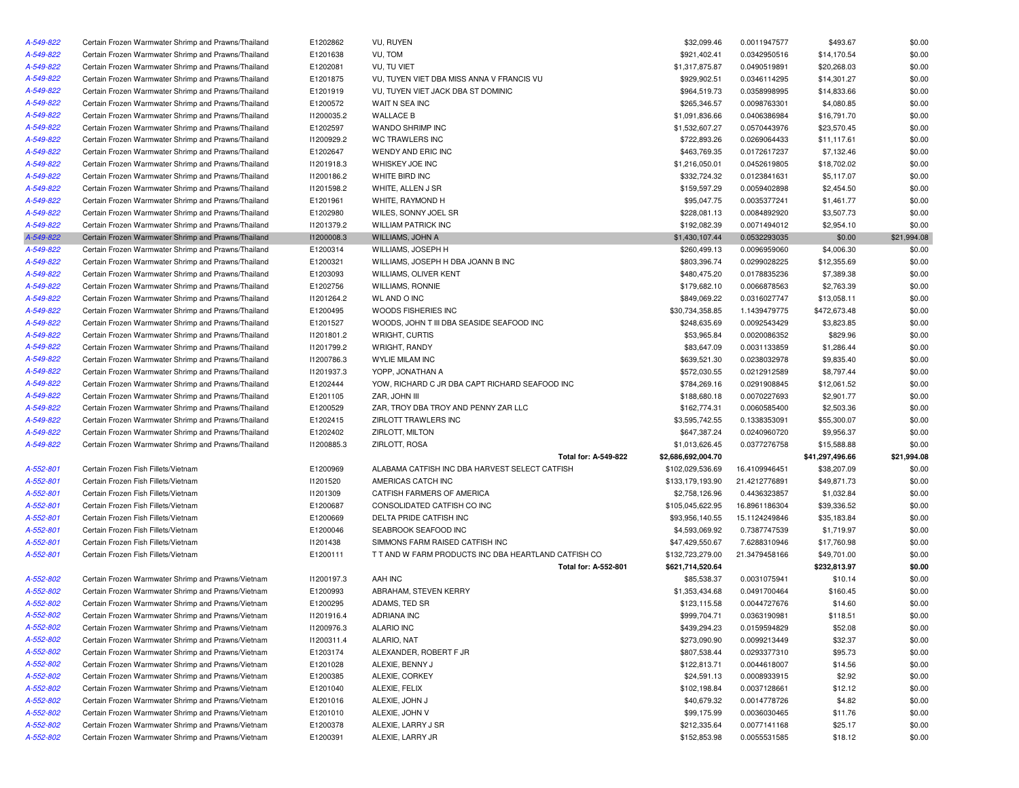| A-549-822 | Certain Frozen Warmwater Shrimp and Prawns/Thailand                                                        | E1202862             | VU, RUYEN                                            | \$32,099.46        | 0.0011947577  | \$493.67        | \$0.00           |
|-----------|------------------------------------------------------------------------------------------------------------|----------------------|------------------------------------------------------|--------------------|---------------|-----------------|------------------|
| A-549-822 | Certain Frozen Warmwater Shrimp and Prawns/Thailand                                                        | E1201638             | VU, TOM                                              | \$921,402.41       | 0.0342950516  | \$14,170.54     | \$0.00           |
| A-549-822 | Certain Frozen Warmwater Shrimp and Prawns/Thailand                                                        | E1202081             | VU, TU VIET                                          | \$1,317,875.87     | 0.0490519891  | \$20,268.03     | \$0.00           |
| A-549-822 | Certain Frozen Warmwater Shrimp and Prawns/Thailand                                                        | E1201875             | VU, TUYEN VIET DBA MISS ANNA V FRANCIS VU            | \$929,902.51       | 0.0346114295  | \$14,301.27     | \$0.00           |
| A-549-822 | Certain Frozen Warmwater Shrimp and Prawns/Thailand                                                        | E1201919             | VU, TUYEN VIET JACK DBA ST DOMINIC                   | \$964,519.73       | 0.0358998995  | \$14,833.66     | \$0.00           |
| A-549-822 | Certain Frozen Warmwater Shrimp and Prawns/Thailand                                                        | E1200572             | WAIT N SEA INC                                       | \$265,346.57       | 0.0098763301  | \$4,080.85      | \$0.00           |
| A-549-822 | Certain Frozen Warmwater Shrimp and Prawns/Thailand                                                        | 11200035.2           | <b>WALLACE B</b>                                     | \$1,091,836.66     | 0.0406386984  | \$16,791.70     | \$0.00           |
| A-549-822 | Certain Frozen Warmwater Shrimp and Prawns/Thailand                                                        | E1202597             | WANDO SHRIMP INC                                     | \$1,532,607.27     | 0.0570443976  | \$23,570.45     | \$0.00           |
| A-549-822 | Certain Frozen Warmwater Shrimp and Prawns/Thailand                                                        | 11200929.2           | WC TRAWLERS INC                                      | \$722,893.26       | 0.0269064433  | \$11,117.61     | \$0.00           |
| A-549-822 | Certain Frozen Warmwater Shrimp and Prawns/Thailand                                                        | E1202647             | WENDY AND ERIC INC                                   | \$463,769.35       | 0.0172617237  | \$7,132.46      | \$0.00           |
| A-549-822 | Certain Frozen Warmwater Shrimp and Prawns/Thailand                                                        | 11201918.3           | WHISKEY JOE INC                                      | \$1,216,050.01     | 0.0452619805  | \$18,702.02     | \$0.00           |
| A-549-822 | Certain Frozen Warmwater Shrimp and Prawns/Thailand                                                        | 11200186.2           | WHITE BIRD INC                                       | \$332,724.32       | 0.0123841631  | \$5,117.07      | \$0.00           |
| A-549-822 | Certain Frozen Warmwater Shrimp and Prawns/Thailand                                                        | 11201598.2           | WHITE, ALLEN J SR                                    | \$159,597.29       | 0.0059402898  | \$2,454.50      | \$0.00           |
| A-549-822 | Certain Frozen Warmwater Shrimp and Prawns/Thailand                                                        | E1201961             | WHITE, RAYMOND H                                     | \$95,047.75        | 0.0035377241  | \$1,461.77      | \$0.00           |
| A-549-822 | Certain Frozen Warmwater Shrimp and Prawns/Thailand                                                        | E1202980             | WILES, SONNY JOEL SR                                 | \$228,081.13       | 0.0084892920  | \$3,507.73      | \$0.00           |
| A-549-822 | Certain Frozen Warmwater Shrimp and Prawns/Thailand                                                        | 11201379.2           | <b>WILLIAM PATRICK INC</b>                           | \$192,082.39       | 0.0071494012  | \$2,954.10      | \$0.00           |
| A-549-822 | Certain Frozen Warmwater Shrimp and Prawns/Thailand                                                        | I1200008.3           | WILLIAMS, JOHN A                                     | \$1,430,107.44     | 0.0532293035  | \$0.00          | \$21,994.08      |
| A-549-822 | Certain Frozen Warmwater Shrimp and Prawns/Thailand                                                        | E1200314             | WILLIAMS, JOSEPH H                                   | \$260,499.13       | 0.0096959060  | \$4,006.30      | \$0.00           |
| A-549-822 | Certain Frozen Warmwater Shrimp and Prawns/Thailand                                                        | E1200321             | WILLIAMS, JOSEPH H DBA JOANN B INC                   | \$803,396.74       | 0.0299028225  | \$12,355.69     | \$0.00           |
| A-549-822 | Certain Frozen Warmwater Shrimp and Prawns/Thailand                                                        | E1203093             | WILLIAMS, OLIVER KENT                                | \$480,475.20       | 0.0178835236  | \$7,389.38      | \$0.00           |
| A-549-822 | Certain Frozen Warmwater Shrimp and Prawns/Thailand                                                        | E1202756             | <b>WILLIAMS, RONNIE</b>                              | \$179,682.10       | 0.0066878563  | \$2,763.39      | \$0.00           |
| A-549-822 | Certain Frozen Warmwater Shrimp and Prawns/Thailand                                                        | 11201264.2           | <b>WL AND O INC</b>                                  | \$849,069.22       | 0.0316027747  | \$13,058.11     | \$0.00           |
| A-549-822 |                                                                                                            |                      | WOODS FISHERIES INC                                  | \$30,734,358.85    |               |                 |                  |
| A-549-822 | Certain Frozen Warmwater Shrimp and Prawns/Thailand                                                        | E1200495<br>E1201527 | WOODS, JOHN T III DBA SEASIDE SEAFOOD INC            | \$248,635.69       | 1.1439479775  | \$472,673.48    | \$0.00           |
|           | Certain Frozen Warmwater Shrimp and Prawns/Thailand<br>Certain Frozen Warmwater Shrimp and Prawns/Thailand |                      |                                                      |                    | 0.0092543429  | \$3,823.85      | \$0.00<br>\$0.00 |
| A-549-822 | Certain Frozen Warmwater Shrimp and Prawns/Thailand                                                        | 11201801.2           | WRIGHT, CURTIS<br>WRIGHT, RANDY                      | \$53,965.84        | 0.0020086352  | \$829.96        |                  |
| A-549-822 |                                                                                                            | 11201799.2           |                                                      | \$83,647.09        | 0.0031133859  | \$1,286.44      | \$0.00           |
| A-549-822 | Certain Frozen Warmwater Shrimp and Prawns/Thailand                                                        | 11200786.3           | WYLIE MILAM INC                                      | \$639,521.30       | 0.0238032978  | \$9,835.40      | \$0.00           |
| A-549-822 | Certain Frozen Warmwater Shrimp and Prawns/Thailand                                                        | 11201937.3           | YOPP. JONATHAN A                                     | \$572,030.55       | 0.0212912589  | \$8,797.44      | \$0.00           |
| A-549-822 | Certain Frozen Warmwater Shrimp and Prawns/Thailand                                                        | E1202444             | YOW, RICHARD C JR DBA CAPT RICHARD SEAFOOD INC       | \$784,269.16       | 0.0291908845  | \$12,061.52     | \$0.00           |
| A-549-822 | Certain Frozen Warmwater Shrimp and Prawns/Thailand                                                        | E1201105             | ZAR, JOHN III                                        | \$188,680.18       | 0.0070227693  | \$2,901.77      | \$0.00           |
| A-549-822 | Certain Frozen Warmwater Shrimp and Prawns/Thailand                                                        | E1200529             | ZAR. TROY DBA TROY AND PENNY ZAR LLC                 | \$162,774.31       | 0.0060585400  | \$2,503.36      | \$0.00           |
| A-549-822 | Certain Frozen Warmwater Shrimp and Prawns/Thailand                                                        | E1202415             | ZIRLOTT TRAWLERS INC                                 | \$3,595,742.55     | 0.1338353091  | \$55,300.07     | \$0.00           |
| A-549-822 | Certain Frozen Warmwater Shrimp and Prawns/Thailand                                                        | E1202402             | ZIRLOTT, MILTON                                      | \$647,387.24       | 0.0240960720  | \$9,956.37      | \$0.00           |
| A-549-822 | Certain Frozen Warmwater Shrimp and Prawns/Thailand                                                        | 11200885.3           | ZIRLOTT, ROSA                                        | \$1,013,626.45     | 0.0377276758  | \$15,588.88     | \$0.00           |
|           |                                                                                                            |                      | Total for: A-549-822                                 | \$2,686,692,004.70 |               | \$41,297,496.66 | \$21,994.08      |
| A-552-801 | Certain Frozen Fish Fillets/Vietnam                                                                        | E1200969             | ALABAMA CATFISH INC DBA HARVEST SELECT CATFISH       | \$102,029,536.69   | 16.4109946451 | \$38,207.09     | \$0.00           |
| A-552-801 | Certain Frozen Fish Fillets/Vietnam                                                                        | 11201520             | AMERICAS CATCH INC                                   | \$133,179,193.90   | 21.4212776891 | \$49,871.73     | \$0.00           |
| A-552-801 | Certain Frozen Fish Fillets/Vietnam                                                                        | 11201309             | CATFISH FARMERS OF AMERICA                           | \$2,758,126.96     | 0.4436323857  | \$1,032.84      | \$0.00           |
| A-552-801 | Certain Frozen Fish Fillets/Vietnam                                                                        | E1200687             | CONSOLIDATED CATFISH CO INC                          | \$105,045,622.95   | 16.8961186304 | \$39,336.52     | \$0.00           |
| A-552-801 | Certain Frozen Fish Fillets/Vietnam                                                                        | E1200669             | DELTA PRIDE CATFISH INC                              | \$93,956,140.55    | 15.1124249846 | \$35,183.84     | \$0.00           |
| A-552-801 | Certain Frozen Fish Fillets/Vietnam                                                                        | E1200046             | SEABROOK SEAFOOD INC                                 | \$4,593,069.92     | 0.7387747539  | \$1,719.97      | \$0.00           |
| A-552-801 | Certain Frozen Fish Fillets/Vietnam                                                                        | 11201438             | SIMMONS FARM RAISED CATFISH INC                      | \$47,429,550.67    | 7.6288310946  | \$17,760.98     | \$0.00           |
| A-552-801 | Certain Frozen Fish Fillets/Vietnam                                                                        | E1200111             | T T AND W FARM PRODUCTS INC DBA HEARTLAND CATFISH CO | \$132,723,279.00   | 21.3479458166 | \$49,701.00     | \$0.00           |
|           |                                                                                                            |                      | Total for: A-552-801                                 | \$621,714,520.64   |               | \$232,813.97    | \$0.00           |
| A-552-802 | Certain Frozen Warmwater Shrimp and Prawns/Vietnam                                                         | 11200197.3           | AAH INC                                              | \$85,538.37        | 0.0031075941  | \$10.14         | \$0.00           |
| A-552-802 | Certain Frozen Warmwater Shrimp and Prawns/Vietnam                                                         | E1200993             | ABRAHAM, STEVEN KERRY                                | \$1,353,434.68     | 0.0491700464  | \$160.45        | \$0.00           |
| A-552-802 | Certain Frozen Warmwater Shrimp and Prawns/Vietnam                                                         | E1200295             | ADAMS, TED SR                                        | \$123,115.58       | 0.0044727676  | \$14.60         | \$0.00           |
| A-552-802 | Certain Frozen Warmwater Shrimp and Prawns/Vietnam                                                         | 11201916.4           | <b>ADRIANA INC</b>                                   | \$999,704.71       | 0.0363190981  | \$118.51        | \$0.00           |
| A-552-802 | Certain Frozen Warmwater Shrimp and Prawns/Vietnam                                                         | 11200976.3           | <b>ALARIO INC</b>                                    | \$439,294.23       | 0.0159594829  | \$52.08         | \$0.00           |
| A-552-802 | Certain Frozen Warmwater Shrimp and Prawns/Vietnam                                                         | 11200311.4           | ALARIO, NAT                                          | \$273,090.90       | 0.0099213449  | \$32.37         | \$0.00           |
| A-552-802 | Certain Frozen Warmwater Shrimp and Prawns/Vietnam                                                         | E1203174             | ALEXANDER, ROBERT F JR                               | \$807,538.44       | 0.0293377310  | \$95.73         | \$0.00           |
| A-552-802 | Certain Frozen Warmwater Shrimp and Prawns/Vietnam                                                         | E1201028             | ALEXIE, BENNY J                                      | \$122,813.71       | 0.0044618007  | \$14.56         | \$0.00           |
| A-552-802 | Certain Frozen Warmwater Shrimp and Prawns/Vietnam                                                         | E1200385             | ALEXIE, CORKEY                                       | \$24,591.13        | 0.0008933915  | \$2.92          | \$0.00           |
| A-552-802 | Certain Frozen Warmwater Shrimp and Prawns/Vietnam                                                         | E1201040             | ALEXIE, FELIX                                        | \$102,198.84       | 0.0037128661  | \$12.12         | \$0.00           |
| A-552-802 | Certain Frozen Warmwater Shrimp and Prawns/Vietnam                                                         | E1201016             | ALEXIE, JOHN J                                       | \$40,679.32        | 0.0014778726  | \$4.82          | \$0.00           |
| A-552-802 | Certain Frozen Warmwater Shrimp and Prawns/Vietnam                                                         | E1201010             | ALEXIE, JOHN V                                       | \$99,175.99        | 0.0036030465  | \$11.76         | \$0.00           |
| A-552-802 | Certain Frozen Warmwater Shrimp and Prawns/Vietnam                                                         | E1200378             | ALEXIE, LARRY J SR                                   | \$212,335.64       | 0.0077141168  | \$25.17         | \$0.00           |
| A-552-802 | Certain Frozen Warmwater Shrimp and Prawns/Vietnam                                                         | E1200391             | ALEXIE, LARRY JR                                     | \$152,853.98       | 0.0055531585  | \$18.12         | \$0.00           |
|           |                                                                                                            |                      |                                                      |                    |               |                 |                  |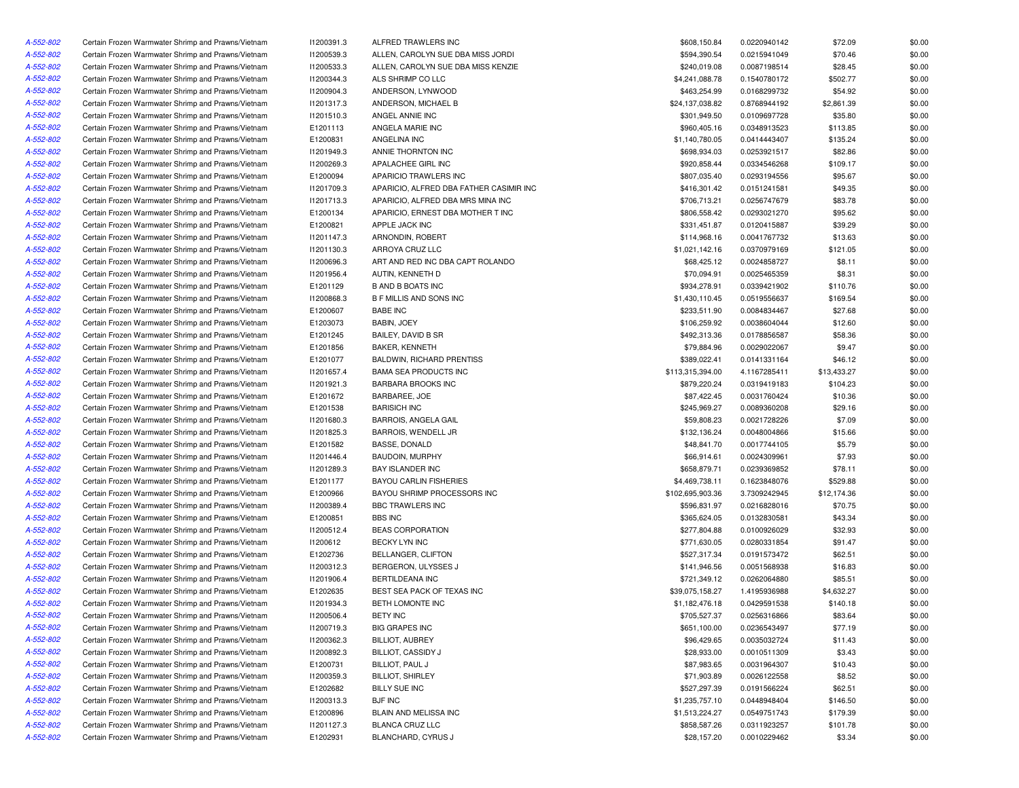| A-552-802              | Certain Frozen Warmwater Shrimp and Prawns/Vietnam                                                       | 11200391.3 | ALFRED TRAWLERS INC                                  | \$608,150.84                      | 0.0220940142 | \$72.09     | \$0.00 |
|------------------------|----------------------------------------------------------------------------------------------------------|------------|------------------------------------------------------|-----------------------------------|--------------|-------------|--------|
| A-552-802              | Certain Frozen Warmwater Shrimp and Prawns/Vietnam                                                       | 11200539.3 | ALLEN, CAROLYN SUE DBA MISS JORDI                    | \$594,390.54                      | 0.0215941049 | \$70.46     | \$0.00 |
| A-552-802              | Certain Frozen Warmwater Shrimp and Prawns/Vietnam                                                       | 11200533.3 | ALLEN, CAROLYN SUE DBA MISS KENZIE                   | \$240,019.08                      | 0.0087198514 | \$28.45     | \$0.00 |
| A-552-802              | Certain Frozen Warmwater Shrimp and Prawns/Vietnam                                                       | 11200344.3 | ALS SHRIMP CO LLC                                    | \$4,241,088.78                    | 0.1540780172 | \$502.77    | \$0.00 |
| A-552-802              | Certain Frozen Warmwater Shrimp and Prawns/Vietnam                                                       | I1200904.3 | ANDERSON, LYNWOOD                                    | \$463,254.99                      | 0.0168299732 | \$54.92     | \$0.00 |
| A-552-802              | Certain Frozen Warmwater Shrimp and Prawns/Vietnam                                                       | 11201317.3 | ANDERSON, MICHAEL B                                  | \$24,137,038.82                   | 0.8768944192 | \$2,861.39  | \$0.00 |
| A-552-802              | Certain Frozen Warmwater Shrimp and Prawns/Vietnam                                                       | 11201510.3 | ANGEL ANNIE INC                                      | \$301,949.50                      | 0.0109697728 | \$35.80     | \$0.00 |
| A-552-802              | Certain Frozen Warmwater Shrimp and Prawns/Vietnam                                                       | E1201113   | ANGELA MARIE INC                                     | \$960,405.16                      | 0.0348913523 | \$113.85    | \$0.00 |
| A-552-802              | Certain Frozen Warmwater Shrimp and Prawns/Vietnam                                                       | E1200831   | ANGELINA INC                                         | \$1,140,780.05                    | 0.0414443407 | \$135.24    | \$0.00 |
| A-552-802              | Certain Frozen Warmwater Shrimp and Prawns/Vietnam                                                       | I1201949.3 | ANNIE THORNTON INC                                   | \$698,934.03                      | 0.0253921517 | \$82.86     | \$0.00 |
| A-552-802              | Certain Frozen Warmwater Shrimp and Prawns/Vietnam                                                       | I1200269.3 | APALACHEE GIRL INC                                   | \$920,858.44                      | 0.0334546268 | \$109.17    | \$0.00 |
| A-552-802              | Certain Frozen Warmwater Shrimp and Prawns/Vietnam                                                       | E1200094   | APARICIO TRAWLERS INC                                | \$807,035.40                      | 0.0293194556 | \$95.67     | \$0.00 |
| A-552-802              | Certain Frozen Warmwater Shrimp and Prawns/Vietnam                                                       | 11201709.3 | APARICIO, ALFRED DBA FATHER CASIMIR INC              | \$416,301.42                      | 0.0151241581 | \$49.35     | \$0.00 |
| A-552-802              | Certain Frozen Warmwater Shrimp and Prawns/Vietnam                                                       | 11201713.3 | APARICIO. ALFRED DBA MRS MINA INC                    | \$706,713.21                      | 0.0256747679 | \$83.78     | \$0.00 |
| A-552-802              | Certain Frozen Warmwater Shrimp and Prawns/Vietnam                                                       | E1200134   | APARICIO. ERNEST DBA MOTHER T INC                    | \$806,558.42                      | 0.0293021270 | \$95.62     | \$0.00 |
| A-552-802              | Certain Frozen Warmwater Shrimp and Prawns/Vietnam                                                       | E1200821   | APPLE JACK INC                                       | \$331,451.87                      | 0.0120415887 | \$39.29     | \$0.00 |
| A-552-802              | Certain Frozen Warmwater Shrimp and Prawns/Vietnam                                                       | 11201147.3 | ARNONDIN, ROBERT                                     | \$114,968.16                      | 0.0041767732 | \$13.63     | \$0.00 |
| A-552-802              | Certain Frozen Warmwater Shrimp and Prawns/Vietnam                                                       | 11201130.3 | ARROYA CRUZ LLC                                      | \$1,021,142.16                    | 0.0370979169 | \$121.05    | \$0.00 |
| A-552-802              | Certain Frozen Warmwater Shrimp and Prawns/Vietnam                                                       | I1200696.3 | ART AND RED INC DBA CAPT ROLANDO                     | \$68,425.12                       | 0.0024858727 | \$8.11      | \$0.00 |
| A-552-802              | Certain Frozen Warmwater Shrimp and Prawns/Vietnam                                                       | 11201956.4 | AUTIN, KENNETH D                                     | \$70,094.91                       | 0.0025465359 | \$8.31      | \$0.00 |
| A-552-802              | Certain Frozen Warmwater Shrimp and Prawns/Vietnam                                                       | E1201129   | <b>B AND B BOATS INC</b>                             | \$934,278.91                      | 0.0339421902 | \$110.76    | \$0.00 |
| A-552-802              | Certain Frozen Warmwater Shrimp and Prawns/Vietnam                                                       | I1200868.3 | B F MILLIS AND SONS INC                              | \$1,430,110.45                    | 0.0519556637 | \$169.54    | \$0.00 |
| A-552-802              | Certain Frozen Warmwater Shrimp and Prawns/Vietnam                                                       | E1200607   | <b>BABE INC</b>                                      | \$233,511.90                      | 0.0084834467 | \$27.68     | \$0.00 |
| A-552-802              | Certain Frozen Warmwater Shrimp and Prawns/Vietnam                                                       | E1203073   | BABIN, JOEY                                          | \$106,259.92                      | 0.0038604044 | \$12.60     | \$0.00 |
| A-552-802              | Certain Frozen Warmwater Shrimp and Prawns/Vietnam                                                       | E1201245   | BAILEY, DAVID B SR                                   | \$492,313.36                      | 0.0178856587 | \$58.36     | \$0.00 |
| A-552-802              | Certain Frozen Warmwater Shrimp and Prawns/Vietnam                                                       | E1201856   | <b>BAKER, KENNETH</b>                                | \$79,884.96                       | 0.0029022067 | \$9.47      | \$0.00 |
| A-552-802              | Certain Frozen Warmwater Shrimp and Prawns/Vietnam                                                       | E1201077   | <b>BALDWIN, RICHARD PRENTISS</b>                     | \$389.022.41                      | 0.0141331164 | \$46.12     | \$0.00 |
| A-552-802              | Certain Frozen Warmwater Shrimp and Prawns/Vietnam                                                       | 11201657.4 | <b>BAMA SEA PRODUCTS INC</b>                         | \$113,315,394.00                  | 4.1167285411 | \$13,433.27 | \$0.00 |
| A-552-802              | Certain Frozen Warmwater Shrimp and Prawns/Vietnam                                                       | 11201921.3 | <b>BARBARA BROOKS INC</b>                            | \$879,220.24                      | 0.0319419183 | \$104.23    | \$0.00 |
| A-552-802              | Certain Frozen Warmwater Shrimp and Prawns/Vietnam                                                       | E1201672   | BARBAREE, JOE                                        | \$87,422.45                       | 0.0031760424 | \$10.36     | \$0.00 |
| A-552-802              | Certain Frozen Warmwater Shrimp and Prawns/Vietnam                                                       | E1201538   | <b>BARISICH INC</b>                                  | \$245,969.27                      | 0.0089360208 | \$29.16     | \$0.00 |
| A-552-802              | Certain Frozen Warmwater Shrimp and Prawns/Vietnam                                                       | 11201680.3 | <b>BARROIS, ANGELA GAIL</b>                          | \$59,808.23                       | 0.0021728226 | \$7.09      | \$0.00 |
| A-552-802              | Certain Frozen Warmwater Shrimp and Prawns/Vietnam                                                       | 11201825.3 | BARROIS, WENDELL JR                                  | \$132,136.24                      | 0.0048004866 | \$15.66     | \$0.00 |
| A-552-802              | Certain Frozen Warmwater Shrimp and Prawns/Vietnam                                                       | E1201582   | BASSE, DONALD                                        | \$48,841.70                       | 0.0017744105 | \$5.79      | \$0.00 |
| A-552-802              | Certain Frozen Warmwater Shrimp and Prawns/Vietnam                                                       | 11201446.4 | <b>BAUDOIN, MURPHY</b>                               | \$66,914.61                       | 0.0024309961 | \$7.93      | \$0.00 |
| A-552-802              | Certain Frozen Warmwater Shrimp and Prawns/Vietnam                                                       | 11201289.3 | <b>BAY ISLANDER INC</b>                              | \$658,879.71                      | 0.0239369852 | \$78.11     | \$0.00 |
| A-552-802              | Certain Frozen Warmwater Shrimp and Prawns/Vietnam                                                       | E1201177   | <b>BAYOU CARLIN FISHERIES</b>                        | \$4,469,738.11                    | 0.1623848076 | \$529.88    | \$0.00 |
| A-552-802              | Certain Frozen Warmwater Shrimp and Prawns/Vietnam                                                       | E1200966   | BAYOU SHRIMP PROCESSORS INC                          | \$102,695,903.36                  | 3.7309242945 | \$12,174.36 | \$0.00 |
| A-552-802              | Certain Frozen Warmwater Shrimp and Prawns/Vietnam                                                       | 11200389.4 | <b>BBC TRAWLERS INC</b>                              | \$596,831.97                      | 0.0216828016 | \$70.75     | \$0.00 |
| A-552-802              | Certain Frozen Warmwater Shrimp and Prawns/Vietnam                                                       | E1200851   | <b>BBS INC</b>                                       | \$365,624.05                      | 0.0132830581 | \$43.34     | \$0.00 |
| A-552-802              | Certain Frozen Warmwater Shrimp and Prawns/Vietnam                                                       | 11200512.4 | <b>BEAS CORPORATION</b>                              | \$277,804.88                      | 0.0100926029 | \$32.93     | \$0.00 |
| A-552-802              | Certain Frozen Warmwater Shrimp and Prawns/Vietnam                                                       | 11200612   | <b>BECKY LYN INC</b>                                 | \$771,630.05                      | 0.0280331854 | \$91.47     | \$0.00 |
| A-552-802              | Certain Frozen Warmwater Shrimp and Prawns/Vietnam                                                       | E1202736   | BELLANGER, CLIFTON                                   | \$527,317.34                      | 0.0191573472 | \$62.51     | \$0.00 |
| A-552-802              | Certain Frozen Warmwater Shrimp and Prawns/Vietnam                                                       | 11200312.3 | BERGERON, ULYSSES J                                  | \$141,946.56                      | 0.0051568938 | \$16.83     | \$0.00 |
| A-552-802              |                                                                                                          |            |                                                      |                                   |              |             |        |
|                        | Certain Frozen Warmwater Shrimp and Prawns/Vietnam                                                       | 11201906.4 | <b>BERTILDEANA INC</b><br>BEST SEA PACK OF TEXAS INC | \$721,349.12                      | 0.0262064880 | \$85.51     | \$0.00 |
| A-552-802<br>A-552-802 | Certain Frozen Warmwater Shrimp and Prawns/Vietnam<br>Certain Frozen Warmwater Shrimp and Prawns/Vietnam | E1202635   |                                                      | \$39,075,158.27<br>\$1,182,476.18 | 1.4195936988 | \$4,632.27  | \$0.00 |
|                        |                                                                                                          | 11201934.3 | BETH LOMONTE INC                                     |                                   | 0.0429591538 | \$140.18    | \$0.00 |
| A-552-802              | Certain Frozen Warmwater Shrimp and Prawns/Vietnam                                                       | 11200506.4 | <b>BETY INC</b>                                      | \$705,527.37                      | 0.0256316866 | \$83.64     | \$0.00 |
| A-552-802              | Certain Frozen Warmwater Shrimp and Prawns/Vietnam                                                       | 11200719.3 | <b>BIG GRAPES INC</b>                                | \$651,100.00                      | 0.0236543497 | \$77.19     | \$0.00 |
| A-552-802              | Certain Frozen Warmwater Shrimp and Prawns/Vietnam                                                       | 11200362.3 | <b>BILLIOT, AUBREY</b>                               | \$96,429.65                       | 0.0035032724 | \$11.43     | \$0.00 |
| A-552-802              | Certain Frozen Warmwater Shrimp and Prawns/Vietnam                                                       | I1200892.3 | BILLIOT, CASSIDY J                                   | \$28,933.00                       | 0.0010511309 | \$3.43      | \$0.00 |
| A-552-802              | Certain Frozen Warmwater Shrimp and Prawns/Vietnam                                                       | E1200731   | BILLIOT, PAUL J                                      | \$87,983.65                       | 0.0031964307 | \$10.43     | \$0.00 |
| A-552-802              | Certain Frozen Warmwater Shrimp and Prawns/Vietnam                                                       | 11200359.3 | <b>BILLIOT, SHIRLEY</b>                              | \$71,903.89                       | 0.0026122558 | \$8.52      | \$0.00 |
| A-552-802              | Certain Frozen Warmwater Shrimp and Prawns/Vietnam                                                       | E1202682   | <b>BILLY SUE INC</b>                                 | \$527,297.39                      | 0.0191566224 | \$62.51     | \$0.00 |
| A-552-802              | Certain Frozen Warmwater Shrimp and Prawns/Vietnam                                                       | 11200313.3 | <b>BJF INC</b>                                       | \$1,235,757.10                    | 0.0448948404 | \$146.50    | \$0.00 |
| A-552-802              | Certain Frozen Warmwater Shrimp and Prawns/Vietnam                                                       | E1200896   | BLAIN AND MELISSA INC                                | \$1,513,224.27                    | 0.0549751743 | \$179.39    | \$0.00 |
| A-552-802              | Certain Frozen Warmwater Shrimp and Prawns/Vietnam                                                       | 11201127.3 | BLANCA CRUZ LLC                                      | \$858,587.26                      | 0.0311923257 | \$101.78    | \$0.00 |
| A-552-802              | Certain Frozen Warmwater Shrimp and Prawns/Vietnam                                                       | E1202931   | BLANCHARD, CYRUS J                                   | \$28,157.20                       | 0.0010229462 | \$3.34      | \$0.00 |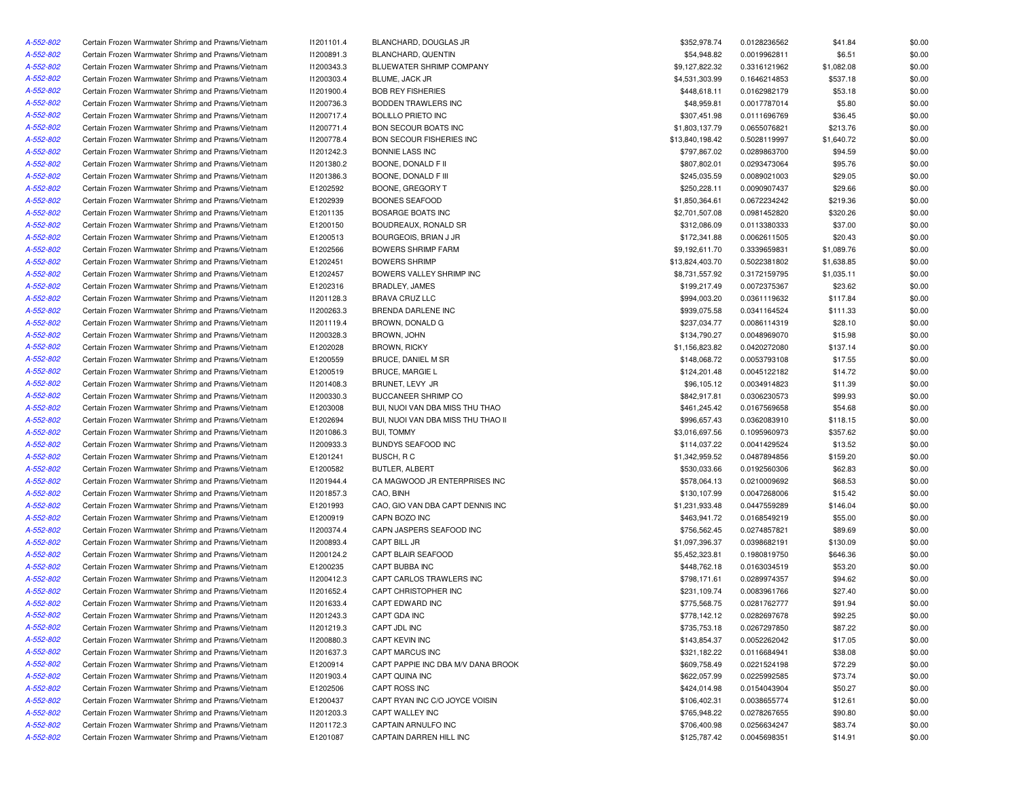| A-552-802 | Certain Frozen Warmwater Shrimp and Prawns/Vietnam | 11201101.4 | BLANCHARD, DOUGLAS JR              | \$352,978.74    | 0.0128236562 | \$41.84    | \$0.00 |
|-----------|----------------------------------------------------|------------|------------------------------------|-----------------|--------------|------------|--------|
| A-552-802 | Certain Frozen Warmwater Shrimp and Prawns/Vietnam | 11200891.3 | BLANCHARD, QUENTIN                 | \$54,948.82     | 0.0019962811 | \$6.51     | \$0.00 |
| A-552-802 | Certain Frozen Warmwater Shrimp and Prawns/Vietnam | 11200343.3 | BLUEWATER SHRIMP COMPANY           | \$9,127,822.32  | 0.3316121962 | \$1,082.08 | \$0.00 |
| A-552-802 | Certain Frozen Warmwater Shrimp and Prawns/Vietnam | 11200303.4 | BLUME, JACK JR                     | \$4,531,303.99  | 0.1646214853 | \$537.18   | \$0.00 |
| A-552-802 | Certain Frozen Warmwater Shrimp and Prawns/Vietnam | 11201900.4 | <b>BOB REY FISHERIES</b>           | \$448,618.11    | 0.0162982179 | \$53.18    | \$0.00 |
| A-552-802 | Certain Frozen Warmwater Shrimp and Prawns/Vietnam | 11200736.3 | BODDEN TRAWLERS INC                | \$48,959.81     | 0.0017787014 | \$5.80     | \$0.00 |
| A-552-802 | Certain Frozen Warmwater Shrimp and Prawns/Vietnam | 11200717.4 | <b>BOLILLO PRIETO INC</b>          | \$307,451.98    | 0.0111696769 | \$36.45    | \$0.00 |
| A-552-802 | Certain Frozen Warmwater Shrimp and Prawns/Vietnam | 11200771.4 | <b>BON SECOUR BOATS INC</b>        | \$1,803,137.79  | 0.0655076821 | \$213.76   | \$0.00 |
| A-552-802 | Certain Frozen Warmwater Shrimp and Prawns/Vietnam | 11200778.4 | BON SECOUR FISHERIES INC           | \$13,840,198.42 | 0.5028119997 | \$1,640.72 | \$0.00 |
| A-552-802 | Certain Frozen Warmwater Shrimp and Prawns/Vietnam | 11201242.3 | <b>BONNIE LASS INC</b>             | \$797,867.02    | 0.0289863700 | \$94.59    | \$0.00 |
| A-552-802 | Certain Frozen Warmwater Shrimp and Prawns/Vietnam | 11201380.2 | BOONE, DONALD F II                 | \$807,802.01    | 0.0293473064 | \$95.76    | \$0.00 |
| A-552-802 | Certain Frozen Warmwater Shrimp and Prawns/Vietnam | 11201386.3 | BOONE, DONALD F III                | \$245,035.59    | 0.0089021003 | \$29.05    | \$0.00 |
| A-552-802 | Certain Frozen Warmwater Shrimp and Prawns/Vietnam | E1202592   | BOONE, GREGORY T                   | \$250,228.11    | 0.0090907437 | \$29.66    | \$0.00 |
| A-552-802 | Certain Frozen Warmwater Shrimp and Prawns/Vietnam | E1202939   | <b>BOONES SEAFOOD</b>              | \$1,850,364.61  | 0.0672234242 | \$219.36   | \$0.00 |
| A-552-802 | Certain Frozen Warmwater Shrimp and Prawns/Vietnam | E1201135   | <b>BOSARGE BOATS INC</b>           | \$2,701,507.08  | 0.0981452820 | \$320.26   | \$0.00 |
| A-552-802 | Certain Frozen Warmwater Shrimp and Prawns/Vietnam | E1200150   | BOUDREAUX, RONALD SR               | \$312,086.09    | 0.0113380333 | \$37.00    | \$0.00 |
| A-552-802 | Certain Frozen Warmwater Shrimp and Prawns/Vietnam | E1200513   | BOURGEOIS, BRIAN J JR              | \$172,341.88    | 0.0062611505 | \$20.43    | \$0.00 |
| A-552-802 | Certain Frozen Warmwater Shrimp and Prawns/Vietnam | E1202566   | <b>BOWERS SHRIMP FARM</b>          | \$9,192,611.70  | 0.3339659831 | \$1,089.76 | \$0.00 |
| A-552-802 | Certain Frozen Warmwater Shrimp and Prawns/Vietnam | E1202451   | <b>BOWERS SHRIMP</b>               | \$13,824,403.70 | 0.5022381802 | \$1,638.85 | \$0.00 |
| A-552-802 |                                                    |            |                                    |                 |              |            |        |
|           | Certain Frozen Warmwater Shrimp and Prawns/Vietnam | E1202457   | BOWERS VALLEY SHRIMP INC           | \$8,731,557.92  | 0.3172159795 | \$1,035.11 | \$0.00 |
| A-552-802 | Certain Frozen Warmwater Shrimp and Prawns/Vietnam | E1202316   | <b>BRADLEY, JAMES</b>              | \$199,217.49    | 0.0072375367 | \$23.62    | \$0.00 |
| A-552-802 | Certain Frozen Warmwater Shrimp and Prawns/Vietnam | 11201128.3 | <b>BRAVA CRUZ LLC</b>              | \$994,003.20    | 0.0361119632 | \$117.84   | \$0.00 |
| A-552-802 | Certain Frozen Warmwater Shrimp and Prawns/Vietnam | 11200263.3 | BRENDA DARLENE INC                 | \$939,075.58    | 0.0341164524 | \$111.33   | \$0.00 |
| A-552-802 | Certain Frozen Warmwater Shrimp and Prawns/Vietnam | 11201119.4 | BROWN, DONALD G                    | \$237,034.77    | 0.0086114319 | \$28.10    | \$0.00 |
| A-552-802 | Certain Frozen Warmwater Shrimp and Prawns/Vietnam | 11200328.3 | BROWN, JOHN                        | \$134,790.27    | 0.0048969070 | \$15.98    | \$0.00 |
| A-552-802 | Certain Frozen Warmwater Shrimp and Prawns/Vietnam | E1202028   | <b>BROWN, RICKY</b>                | \$1,156,823.82  | 0.0420272080 | \$137.14   | \$0.00 |
| A-552-802 | Certain Frozen Warmwater Shrimp and Prawns/Vietnam | E1200559   | <b>BRUCE, DANIEL M SR</b>          | \$148,068.72    | 0.0053793108 | \$17.55    | \$0.00 |
| A-552-802 | Certain Frozen Warmwater Shrimp and Prawns/Vietnam | E1200519   | <b>BRUCE, MARGIE L</b>             | \$124,201.48    | 0.0045122182 | \$14.72    | \$0.00 |
| A-552-802 | Certain Frozen Warmwater Shrimp and Prawns/Vietnam | 11201408.3 | BRUNET, LEVY JR                    | \$96,105.12     | 0.0034914823 | \$11.39    | \$0.00 |
| A-552-802 | Certain Frozen Warmwater Shrimp and Prawns/Vietnam | 11200330.3 | BUCCANEER SHRIMP CO                | \$842,917.81    | 0.0306230573 | \$99.93    | \$0.00 |
| A-552-802 | Certain Frozen Warmwater Shrimp and Prawns/Vietnam | E1203008   | BUI, NUOI VAN DBA MISS THU THAO    | \$461,245.42    | 0.0167569658 | \$54.68    | \$0.00 |
| A-552-802 | Certain Frozen Warmwater Shrimp and Prawns/Vietnam | E1202694   | BUI, NUOI VAN DBA MISS THU THAO II | \$996,657.43    | 0.0362083910 | \$118.15   | \$0.00 |
| A-552-802 | Certain Frozen Warmwater Shrimp and Prawns/Vietnam | 11201086.3 | <b>BUI, TOMMY</b>                  | \$3,016,697.56  | 0.1095960973 | \$357.62   | \$0.00 |
| A-552-802 | Certain Frozen Warmwater Shrimp and Prawns/Vietnam | 11200933.3 | <b>BUNDYS SEAFOOD INC</b>          | \$114,037.22    | 0.0041429524 | \$13.52    | \$0.00 |
| A-552-802 | Certain Frozen Warmwater Shrimp and Prawns/Vietnam | E1201241   | BUSCH, R C                         | \$1,342,959.52  | 0.0487894856 | \$159.20   | \$0.00 |
| A-552-802 | Certain Frozen Warmwater Shrimp and Prawns/Vietnam | E1200582   | BUTLER, ALBERT                     | \$530,033.66    | 0.0192560306 | \$62.83    | \$0.00 |
| A-552-802 | Certain Frozen Warmwater Shrimp and Prawns/Vietnam | 11201944.4 | CA MAGWOOD JR ENTERPRISES INC      | \$578,064.13    | 0.0210009692 | \$68.53    | \$0.00 |
| A-552-802 | Certain Frozen Warmwater Shrimp and Prawns/Vietnam | 11201857.3 | CAO, BINH                          | \$130,107.99    | 0.0047268006 | \$15.42    | \$0.00 |
| A-552-802 | Certain Frozen Warmwater Shrimp and Prawns/Vietnam | E1201993   | CAO, GIO VAN DBA CAPT DENNIS INC   | \$1,231,933.48  | 0.0447559289 | \$146.04   | \$0.00 |
| A-552-802 | Certain Frozen Warmwater Shrimp and Prawns/Vietnam | E1200919   | CAPN BOZO INC                      | \$463,941.72    | 0.0168549219 | \$55.00    | \$0.00 |
| A-552-802 | Certain Frozen Warmwater Shrimp and Prawns/Vietnam | 11200374.4 | CAPN JASPERS SEAFOOD INC           | \$756,562.45    | 0.0274857821 | \$89.69    | \$0.00 |
| A-552-802 | Certain Frozen Warmwater Shrimp and Prawns/Vietnam | 11200893.4 | CAPT BILL JR                       | \$1,097,396.37  | 0.0398682191 | \$130.09   | \$0.00 |
| A-552-802 | Certain Frozen Warmwater Shrimp and Prawns/Vietnam | 11200124.2 | CAPT BLAIR SEAFOOD                 | \$5,452,323.81  | 0.1980819750 | \$646.36   | \$0.00 |
| A-552-802 | Certain Frozen Warmwater Shrimp and Prawns/Vietnam | E1200235   | CAPT BUBBA INC                     | \$448,762.18    | 0.0163034519 | \$53.20    | \$0.00 |
| A-552-802 | Certain Frozen Warmwater Shrimp and Prawns/Vietnam | 11200412.3 | CAPT CARLOS TRAWLERS INC           | \$798,171.61    | 0.0289974357 | \$94.62    | \$0.00 |
| A-552-802 | Certain Frozen Warmwater Shrimp and Prawns/Vietnam | 11201652.4 | CAPT CHRISTOPHER INC               | \$231,109.74    | 0.0083961766 | \$27.40    | \$0.00 |
| A-552-802 | Certain Frozen Warmwater Shrimp and Prawns/Vietnam | 11201633.4 | CAPT EDWARD INC                    | \$775,568.75    | 0.0281762777 | \$91.94    | \$0.00 |
| A-552-802 | Certain Frozen Warmwater Shrimp and Prawns/Vietnam | 11201243.3 | CAPT GDA INC                       | \$778,142.12    | 0.0282697678 | \$92.25    | \$0.00 |
| A-552-802 |                                                    |            |                                    | \$735,753.18    |              |            |        |
|           | Certain Frozen Warmwater Shrimp and Prawns/Vietnam | 11201219.3 | CAPT JDL INC                       | \$143,854.37    | 0.0267297850 | \$87.22    | \$0.00 |
| A-552-802 | Certain Frozen Warmwater Shrimp and Prawns/Vietnam | 11200880.3 | CAPT KEVIN INC                     |                 | 0.0052262042 | \$17.05    | \$0.00 |
| A-552-802 | Certain Frozen Warmwater Shrimp and Prawns/Vietnam | 11201637.3 | CAPT MARCUS INC                    | \$321,182.22    | 0.0116684941 | \$38.08    | \$0.00 |
| A-552-802 | Certain Frozen Warmwater Shrimp and Prawns/Vietnam | E1200914   | CAPT PAPPIE INC DBA M/V DANA BROOK | \$609,758.49    | 0.0221524198 | \$72.29    | \$0.00 |
| A-552-802 | Certain Frozen Warmwater Shrimp and Prawns/Vietnam | 11201903.4 | CAPT QUINA INC                     | \$622,057.99    | 0.0225992585 | \$73.74    | \$0.00 |
| A-552-802 | Certain Frozen Warmwater Shrimp and Prawns/Vietnam | E1202506   | CAPT ROSS INC                      | \$424,014.98    | 0.0154043904 | \$50.27    | \$0.00 |
| A-552-802 | Certain Frozen Warmwater Shrimp and Prawns/Vietnam | E1200437   | CAPT RYAN INC C/O JOYCE VOISIN     | \$106,402.31    | 0.0038655774 | \$12.61    | \$0.00 |
| A-552-802 | Certain Frozen Warmwater Shrimp and Prawns/Vietnam | 11201203.3 | CAPT WALLEY INC                    | \$765,948.22    | 0.0278267655 | \$90.80    | \$0.00 |
| A-552-802 | Certain Frozen Warmwater Shrimp and Prawns/Vietnam | 11201172.3 | CAPTAIN ARNULFO INC                | \$706,400.98    | 0.0256634247 | \$83.74    | \$0.00 |
| A-552-802 | Certain Frozen Warmwater Shrimp and Prawns/Vietnam | E1201087   | CAPTAIN DARREN HILL INC            | \$125,787.42    | 0.0045698351 | \$14.91    | \$0.00 |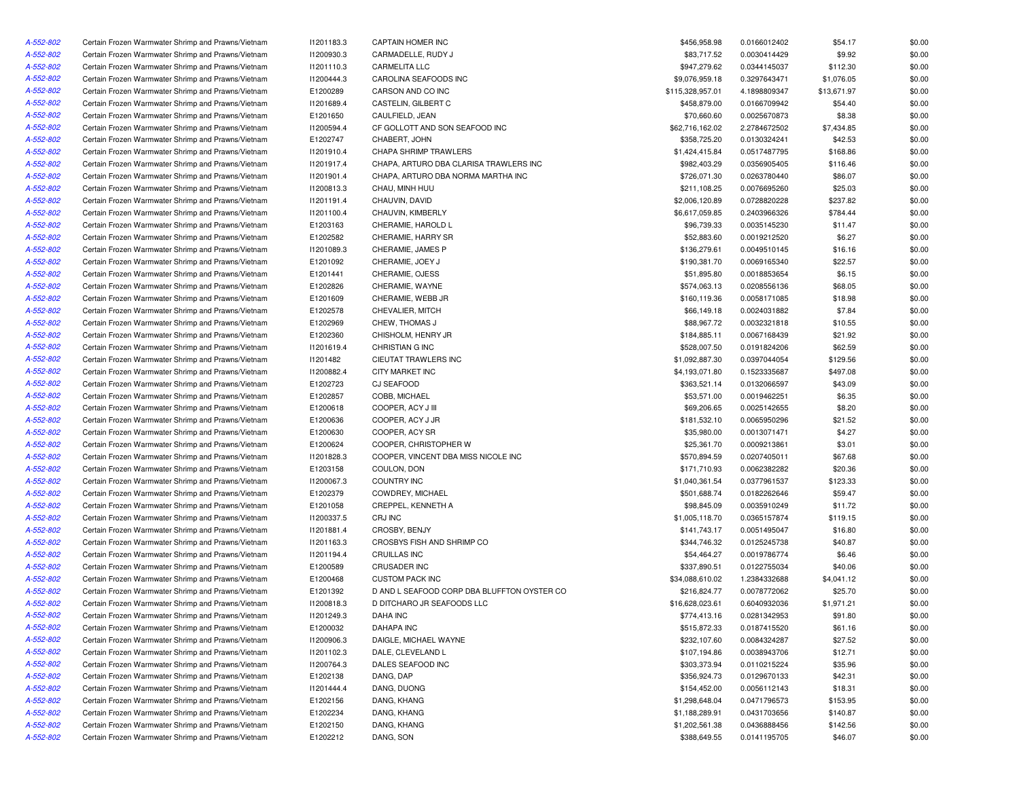| A-552-802 | Certain Frozen Warmwater Shrimp and Prawns/Vietnam | 11201183.3 | CAPTAIN HOMER INC                           | \$456,958.98     | 0.0166012402 | \$54.17     | \$0.00 |
|-----------|----------------------------------------------------|------------|---------------------------------------------|------------------|--------------|-------------|--------|
| A-552-802 | Certain Frozen Warmwater Shrimp and Prawns/Vietnam | 11200930.3 | CARMADELLE, RUDY J                          | \$83,717.52      | 0.0030414429 | \$9.92      | \$0.00 |
| A-552-802 | Certain Frozen Warmwater Shrimp and Prawns/Vietnam | 11201110.3 | <b>CARMELITA LLC</b>                        | \$947,279.62     | 0.0344145037 | \$112.30    | \$0.00 |
| A-552-802 | Certain Frozen Warmwater Shrimp and Prawns/Vietnam | I1200444.3 | CAROLINA SEAFOODS INC                       | \$9,076,959.18   | 0.3297643471 | \$1,076.05  | \$0.00 |
| A-552-802 | Certain Frozen Warmwater Shrimp and Prawns/Vietnam | E1200289   | CARSON AND CO INC                           | \$115,328,957.01 | 4.1898809347 | \$13,671.97 | \$0.00 |
| A-552-802 | Certain Frozen Warmwater Shrimp and Prawns/Vietnam | 11201689.4 | CASTELIN, GILBERT C                         | \$458,879.00     | 0.0166709942 | \$54.40     | \$0.00 |
| A-552-802 | Certain Frozen Warmwater Shrimp and Prawns/Vietnam | E1201650   | CAULFIELD, JEAN                             | \$70,660.60      | 0.0025670873 | \$8.38      | \$0.00 |
| A-552-802 | Certain Frozen Warmwater Shrimp and Prawns/Vietnam | 11200594.4 | CF GOLLOTT AND SON SEAFOOD INC              | \$62,716,162.02  | 2.2784672502 | \$7,434.85  | \$0.00 |
| A-552-802 | Certain Frozen Warmwater Shrimp and Prawns/Vietnam | E1202747   | CHABERT, JOHN                               | \$358,725.20     | 0.0130324241 | \$42.53     | \$0.00 |
| A-552-802 | Certain Frozen Warmwater Shrimp and Prawns/Vietnam | 11201910.4 | CHAPA SHRIMP TRAWLERS                       | \$1,424,415.84   | 0.0517487795 | \$168.86    | \$0.00 |
| A-552-802 | Certain Frozen Warmwater Shrimp and Prawns/Vietnam | 11201917.4 | CHAPA, ARTURO DBA CLARISA TRAWLERS INC      | \$982,403.29     | 0.0356905405 | \$116.46    | \$0.00 |
| A-552-802 | Certain Frozen Warmwater Shrimp and Prawns/Vietnam | 11201901.4 | CHAPA, ARTURO DBA NORMA MARTHA INC          | \$726,071.30     | 0.0263780440 | \$86.07     | \$0.00 |
| A-552-802 | Certain Frozen Warmwater Shrimp and Prawns/Vietnam | 11200813.3 | CHAU, MINH HUU                              | \$211,108.25     | 0.0076695260 | \$25.03     | \$0.00 |
| A-552-802 | Certain Frozen Warmwater Shrimp and Prawns/Vietnam | 11201191.4 | CHAUVIN, DAVID                              | \$2,006,120.89   | 0.0728820228 | \$237.82    | \$0.00 |
| A-552-802 | Certain Frozen Warmwater Shrimp and Prawns/Vietnam | 11201100.4 | CHAUVIN, KIMBERLY                           | \$6,617,059.85   | 0.2403966326 | \$784.44    | \$0.00 |
| A-552-802 | Certain Frozen Warmwater Shrimp and Prawns/Vietnam |            | CHERAMIE, HAROLD L                          |                  |              |             |        |
|           |                                                    | E1203163   |                                             | \$96,739.33      | 0.0035145230 | \$11.47     | \$0.00 |
| A-552-802 | Certain Frozen Warmwater Shrimp and Prawns/Vietnam | E1202582   | CHERAMIE, HARRY SR                          | \$52,883.60      | 0.0019212520 | \$6.27      | \$0.00 |
| A-552-802 | Certain Frozen Warmwater Shrimp and Prawns/Vietnam | 11201089.3 | CHERAMIE, JAMES P                           | \$136,279.61     | 0.0049510145 | \$16.16     | \$0.00 |
| A-552-802 | Certain Frozen Warmwater Shrimp and Prawns/Vietnam | E1201092   | CHERAMIE, JOEY J                            | \$190,381.70     | 0.0069165340 | \$22.57     | \$0.00 |
| A-552-802 | Certain Frozen Warmwater Shrimp and Prawns/Vietnam | E1201441   | CHERAMIE, OJESS                             | \$51,895.80      | 0.0018853654 | \$6.15      | \$0.00 |
| A-552-802 | Certain Frozen Warmwater Shrimp and Prawns/Vietnam | E1202826   | CHERAMIE, WAYNE                             | \$574,063.13     | 0.0208556136 | \$68.05     | \$0.00 |
| A-552-802 | Certain Frozen Warmwater Shrimp and Prawns/Vietnam | E1201609   | CHERAMIE, WEBB JR                           | \$160,119.36     | 0.0058171085 | \$18.98     | \$0.00 |
| A-552-802 | Certain Frozen Warmwater Shrimp and Prawns/Vietnam | E1202578   | CHEVALIER, MITCH                            | \$66,149.18      | 0.0024031882 | \$7.84      | \$0.00 |
| A-552-802 | Certain Frozen Warmwater Shrimp and Prawns/Vietnam | E1202969   | CHEW, THOMAS J                              | \$88,967.72      | 0.0032321818 | \$10.55     | \$0.00 |
| A-552-802 | Certain Frozen Warmwater Shrimp and Prawns/Vietnam | E1202360   | CHISHOLM, HENRY JR                          | \$184,885.11     | 0.0067168439 | \$21.92     | \$0.00 |
| A-552-802 | Certain Frozen Warmwater Shrimp and Prawns/Vietnam | 11201619.4 | CHRISTIAN G INC                             | \$528,007.50     | 0.0191824206 | \$62.59     | \$0.00 |
| A-552-802 | Certain Frozen Warmwater Shrimp and Prawns/Vietnam | 11201482   | <b>CIEUTAT TRAWLERS INC</b>                 | \$1,092,887.30   | 0.0397044054 | \$129.56    | \$0.00 |
| A-552-802 | Certain Frozen Warmwater Shrimp and Prawns/Vietnam | 11200882.4 | CITY MARKET INC                             | \$4,193,071.80   | 0.1523335687 | \$497.08    | \$0.00 |
| A-552-802 | Certain Frozen Warmwater Shrimp and Prawns/Vietnam | E1202723   | <b>CJ SEAFOOD</b>                           | \$363,521.14     | 0.0132066597 | \$43.09     | \$0.00 |
| A-552-802 | Certain Frozen Warmwater Shrimp and Prawns/Vietnam | E1202857   | COBB, MICHAEL                               | \$53,571.00      | 0.0019462251 | \$6.35      | \$0.00 |
| A-552-802 | Certain Frozen Warmwater Shrimp and Prawns/Vietnam | E1200618   | COOPER, ACY J III                           | \$69,206.65      | 0.0025142655 | \$8.20      | \$0.00 |
| A-552-802 | Certain Frozen Warmwater Shrimp and Prawns/Vietnam | E1200636   | COOPER, ACY J JR                            | \$181,532.10     | 0.0065950296 | \$21.52     | \$0.00 |
| A-552-802 | Certain Frozen Warmwater Shrimp and Prawns/Vietnam | E1200630   | COOPER, ACY SR                              | \$35,980.00      | 0.0013071471 | \$4.27      | \$0.00 |
| A-552-802 | Certain Frozen Warmwater Shrimp and Prawns/Vietnam | E1200624   | COOPER, CHRISTOPHER W                       | \$25,361.70      | 0.0009213861 | \$3.01      | \$0.00 |
| A-552-802 | Certain Frozen Warmwater Shrimp and Prawns/Vietnam | 11201828.3 | COOPER, VINCENT DBA MISS NICOLE INC         | \$570,894.59     | 0.0207405011 | \$67.68     | \$0.00 |
| A-552-802 | Certain Frozen Warmwater Shrimp and Prawns/Vietnam | E1203158   | COULON, DON                                 | \$171,710.93     | 0.0062382282 | \$20.36     | \$0.00 |
| A-552-802 | Certain Frozen Warmwater Shrimp and Prawns/Vietnam | I1200067.3 | <b>COUNTRY INC</b>                          | \$1,040,361.54   | 0.0377961537 | \$123.33    | \$0.00 |
| A-552-802 | Certain Frozen Warmwater Shrimp and Prawns/Vietnam | E1202379   | COWDREY, MICHAEL                            | \$501,688.74     | 0.0182262646 | \$59.47     | \$0.00 |
| A-552-802 | Certain Frozen Warmwater Shrimp and Prawns/Vietnam | E1201058   | CREPPEL, KENNETH A                          | \$98,845.09      | 0.0035910249 | \$11.72     | \$0.00 |
| A-552-802 | Certain Frozen Warmwater Shrimp and Prawns/Vietnam | 11200337.5 | CRJ INC                                     | \$1,005,118.70   | 0.0365157874 | \$119.15    | \$0.00 |
| A-552-802 | Certain Frozen Warmwater Shrimp and Prawns/Vietnam | 11201881.4 | CROSBY, BENJY                               | \$141,743.17     | 0.0051495047 | \$16.80     | \$0.00 |
| A-552-802 | Certain Frozen Warmwater Shrimp and Prawns/Vietnam | 11201163.3 | CROSBYS FISH AND SHRIMP CO                  | \$344,746.32     | 0.0125245738 | \$40.87     | \$0.00 |
| A-552-802 | Certain Frozen Warmwater Shrimp and Prawns/Vietnam | 11201194.4 | <b>CRUILLAS INC</b>                         | \$54,464.27      | 0.0019786774 | \$6.46      | \$0.00 |
| A-552-802 | Certain Frozen Warmwater Shrimp and Prawns/Vietnam | E1200589   | <b>CRUSADER INC</b>                         | \$337,890.51     | 0.0122755034 | \$40.06     | \$0.00 |
| A-552-802 | Certain Frozen Warmwater Shrimp and Prawns/Vietnam | E1200468   | <b>CUSTOM PACK INC</b>                      | \$34,088,610.02  | 1.2384332688 | \$4,041.12  | \$0.00 |
| A-552-802 | Certain Frozen Warmwater Shrimp and Prawns/Vietnam | E1201392   | D AND L SEAFOOD CORP DBA BLUFFTON OYSTER CO | \$216,824.77     | 0.0078772062 | \$25.70     | \$0.00 |
| A-552-802 |                                                    | 11200818.3 | D DITCHARO JR SEAFOODS LLC                  | \$16,628,023.61  |              |             | \$0.00 |
|           | Certain Frozen Warmwater Shrimp and Prawns/Vietnam |            |                                             |                  | 0.6040932036 | \$1,971.21  |        |
| A-552-802 | Certain Frozen Warmwater Shrimp and Prawns/Vietnam | 11201249.3 | <b>DAHA INC</b>                             | \$774,413.16     | 0.0281342953 | \$91.80     | \$0.00 |
| A-552-802 | Certain Frozen Warmwater Shrimp and Prawns/Vietnam | E1200032   | DAHAPA INC                                  | \$515,872.33     | 0.0187415520 | \$61.16     | \$0.00 |
| A-552-802 | Certain Frozen Warmwater Shrimp and Prawns/Vietnam | I1200906.3 | DAIGLE, MICHAEL WAYNE                       | \$232,107.60     | 0.0084324287 | \$27.52     | \$0.00 |
| A-552-802 | Certain Frozen Warmwater Shrimp and Prawns/Vietnam | 11201102.3 | DALE, CLEVELAND L                           | \$107,194.86     | 0.0038943706 | \$12.71     | \$0.00 |
| A-552-802 | Certain Frozen Warmwater Shrimp and Prawns/Vietnam | I1200764.3 | DALES SEAFOOD INC                           | \$303,373.94     | 0.0110215224 | \$35.96     | \$0.00 |
| A-552-802 | Certain Frozen Warmwater Shrimp and Prawns/Vietnam | E1202138   | DANG, DAP                                   | \$356,924.73     | 0.0129670133 | \$42.31     | \$0.00 |
| A-552-802 | Certain Frozen Warmwater Shrimp and Prawns/Vietnam | 11201444.4 | DANG, DUONG                                 | \$154,452.00     | 0.0056112143 | \$18.31     | \$0.00 |
| A-552-802 | Certain Frozen Warmwater Shrimp and Prawns/Vietnam | E1202156   | DANG, KHANG                                 | \$1,298,648.04   | 0.0471796573 | \$153.95    | \$0.00 |
| A-552-802 | Certain Frozen Warmwater Shrimp and Prawns/Vietnam | E1202234   | DANG, KHANG                                 | \$1,188,289.91   | 0.0431703656 | \$140.87    | \$0.00 |
| A-552-802 | Certain Frozen Warmwater Shrimp and Prawns/Vietnam | E1202150   | DANG, KHANG                                 | \$1,202,561.38   | 0.0436888456 | \$142.56    | \$0.00 |
| A-552-802 | Certain Frozen Warmwater Shrimp and Prawns/Vietnam | E1202212   | DANG, SON                                   | \$388,649.55     | 0.0141195705 | \$46.07     | \$0.00 |
|           |                                                    |            |                                             |                  |              |             |        |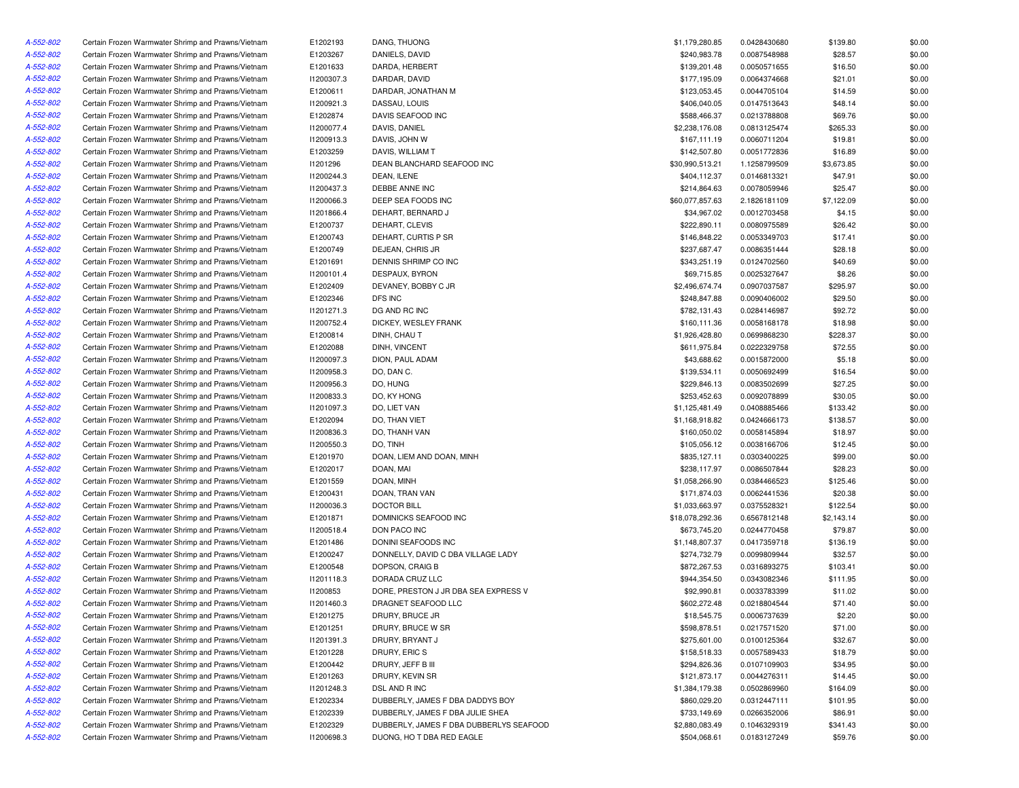| A-552-802 | Certain Frozen Warmwater Shrimp and Prawns/Vietnam | E1202193   | DANG, THUONG                            | \$1,179,280.85  | 0.0428430680                 | \$139.80   | \$0.00 |
|-----------|----------------------------------------------------|------------|-----------------------------------------|-----------------|------------------------------|------------|--------|
| A-552-802 | Certain Frozen Warmwater Shrimp and Prawns/Vietnam | E1203267   | DANIELS, DAVID                          | \$240,983.78    | 0.0087548988                 | \$28.57    | \$0.00 |
| A-552-802 | Certain Frozen Warmwater Shrimp and Prawns/Vietnam | E1201633   | DARDA, HERBERT                          | \$139,201.48    | 0.0050571655                 | \$16.50    | \$0.00 |
| A-552-802 | Certain Frozen Warmwater Shrimp and Prawns/Vietnam | I1200307.3 | DARDAR, DAVID                           | \$177,195.09    | 0.0064374668                 | \$21.01    | \$0.00 |
| A-552-802 | Certain Frozen Warmwater Shrimp and Prawns/Vietnam | E1200611   | DARDAR, JONATHAN M                      | \$123,053.45    | 0.0044705104                 | \$14.59    | \$0.00 |
| A-552-802 | Certain Frozen Warmwater Shrimp and Prawns/Vietnam | 11200921.3 | DASSAU, LOUIS                           | \$406,040.05    | 0.0147513643                 | \$48.14    | \$0.00 |
| A-552-802 | Certain Frozen Warmwater Shrimp and Prawns/Vietnam | E1202874   | DAVIS SEAFOOD INC                       | \$588,466.37    | 0.0213788808                 | \$69.76    | \$0.00 |
| A-552-802 | Certain Frozen Warmwater Shrimp and Prawns/Vietnam | I1200077.4 | <b>DAVIS, DANIEL</b>                    | \$2,238,176.08  | 0.0813125474                 | \$265.33   | \$0.00 |
| A-552-802 | Certain Frozen Warmwater Shrimp and Prawns/Vietnam | 11200913.3 | DAVIS, JOHN W                           | \$167,111.19    | 0.0060711204                 | \$19.81    | \$0.00 |
| A-552-802 | Certain Frozen Warmwater Shrimp and Prawns/Vietnam | E1203259   | DAVIS, WILLIAM T                        | \$142,507.80    | 0.0051772836                 | \$16.89    | \$0.00 |
| A-552-802 | Certain Frozen Warmwater Shrimp and Prawns/Vietnam | 11201296   | DEAN BLANCHARD SEAFOOD INC              | \$30,990,513.21 | 1.1258799509                 | \$3,673.85 | \$0.00 |
| A-552-802 | Certain Frozen Warmwater Shrimp and Prawns/Vietnam | 11200244.3 | DEAN, ILENE                             | \$404,112.37    | 0.0146813321                 | \$47.91    | \$0.00 |
| A-552-802 | Certain Frozen Warmwater Shrimp and Prawns/Vietnam | 11200437.3 | DEBBE ANNE INC                          | \$214,864.63    | 0.0078059946                 | \$25.47    | \$0.00 |
| A-552-802 | Certain Frozen Warmwater Shrimp and Prawns/Vietnam | 11200066.3 | DEEP SEA FOODS INC                      | \$60,077,857.63 | 2.1826181109                 | \$7,122.09 | \$0.00 |
| A-552-802 | Certain Frozen Warmwater Shrimp and Prawns/Vietnam | 11201866.4 | DEHART, BERNARD J                       | \$34,967.02     | 0.0012703458                 | \$4.15     | \$0.00 |
| A-552-802 | Certain Frozen Warmwater Shrimp and Prawns/Vietnam | E1200737   | DEHART, CLEVIS                          | \$222,890.11    | 0.0080975589                 | \$26.42    | \$0.00 |
| A-552-802 | Certain Frozen Warmwater Shrimp and Prawns/Vietnam | E1200743   | DEHART, CURTIS P SR                     | \$146,848.22    | 0.0053349703                 | \$17.41    | \$0.00 |
| A-552-802 | Certain Frozen Warmwater Shrimp and Prawns/Vietnam | E1200749   | DEJEAN, CHRIS JR                        | \$237,687.47    | 0.0086351444                 | \$28.18    | \$0.00 |
| A-552-802 | Certain Frozen Warmwater Shrimp and Prawns/Vietnam | E1201691   | DENNIS SHRIMP CO INC                    | \$343,251.19    | 0.0124702560                 | \$40.69    | \$0.00 |
| A-552-802 | Certain Frozen Warmwater Shrimp and Prawns/Vietnam | 11200101.4 | DESPAUX, BYRON                          | \$69,715.85     | 0.0025327647                 | \$8.26     | \$0.00 |
| A-552-802 | Certain Frozen Warmwater Shrimp and Prawns/Vietnam | E1202409   | DEVANEY, BOBBY C JR                     | \$2,496,674.74  | 0.0907037587                 | \$295.97   | \$0.00 |
| A-552-802 | Certain Frozen Warmwater Shrimp and Prawns/Vietnam | E1202346   | DFS INC                                 | \$248,847.88    | 0.0090406002                 | \$29.50    | \$0.00 |
| A-552-802 | Certain Frozen Warmwater Shrimp and Prawns/Vietnam | 11201271.3 | DG AND RC INC                           | \$782,131.43    | 0.0284146987                 | \$92.72    | \$0.00 |
| A-552-802 | Certain Frozen Warmwater Shrimp and Prawns/Vietnam | 11200752.4 | DICKEY, WESLEY FRANK                    | \$160,111.36    | 0.0058168178                 | \$18.98    | \$0.00 |
| A-552-802 | Certain Frozen Warmwater Shrimp and Prawns/Vietnam | E1200814   | DINH, CHAU T                            | \$1,926,428.80  | 0.0699868230                 | \$228.37   | \$0.00 |
| A-552-802 | Certain Frozen Warmwater Shrimp and Prawns/Vietnam | E1202088   | DINH, VINCENT                           | \$611,975.84    | 0.0222329758                 | \$72.55    | \$0.00 |
| A-552-802 | Certain Frozen Warmwater Shrimp and Prawns/Vietnam | I1200097.3 | DION, PAUL ADAM                         | \$43,688.62     | 0.0015872000                 | \$5.18     | \$0.00 |
| A-552-802 | Certain Frozen Warmwater Shrimp and Prawns/Vietnam | I1200958.3 | DO, DAN C.                              | \$139,534.11    | 0.0050692499                 | \$16.54    | \$0.00 |
| A-552-802 | Certain Frozen Warmwater Shrimp and Prawns/Vietnam | I1200956.3 | DO, HUNG                                | \$229,846.13    | 0.0083502699                 | \$27.25    | \$0.00 |
| A-552-802 |                                                    |            | DO. KY HONG                             | \$253.452.63    |                              |            |        |
|           | Certain Frozen Warmwater Shrimp and Prawns/Vietnam | 11200833.3 | DO. LIET VAN                            |                 | 0.0092078899<br>0.0408885466 | \$30.05    | \$0.00 |
| A-552-802 | Certain Frozen Warmwater Shrimp and Prawns/Vietnam | I1201097.3 |                                         | \$1,125,481.49  |                              | \$133.42   | \$0.00 |
| A-552-802 | Certain Frozen Warmwater Shrimp and Prawns/Vietnam | E1202094   | DO, THAN VIET                           | \$1,168,918.82  | 0.0424666173                 | \$138.57   | \$0.00 |
| A-552-802 | Certain Frozen Warmwater Shrimp and Prawns/Vietnam | 11200836.3 | DO, THANH VAN                           | \$160,050.02    | 0.0058145894                 | \$18.97    | \$0.00 |
| A-552-802 | Certain Frozen Warmwater Shrimp and Prawns/Vietnam | I1200550.3 | DO, TINH                                | \$105,056.12    | 0.0038166706                 | \$12.45    | \$0.00 |
| A-552-802 | Certain Frozen Warmwater Shrimp and Prawns/Vietnam | E1201970   | DOAN, LIEM AND DOAN, MINH               | \$835,127.11    | 0.0303400225                 | \$99.00    | \$0.00 |
| A-552-802 | Certain Frozen Warmwater Shrimp and Prawns/Vietnam | E1202017   | DOAN, MAI                               | \$238,117.97    | 0.0086507844                 | \$28.23    | \$0.00 |
| A-552-802 | Certain Frozen Warmwater Shrimp and Prawns/Vietnam | E1201559   | DOAN, MINH                              | \$1,058,266.90  | 0.0384466523                 | \$125.46   | \$0.00 |
| A-552-802 | Certain Frozen Warmwater Shrimp and Prawns/Vietnam | E1200431   | DOAN, TRAN VAN                          | \$171,874.03    | 0.0062441536                 | \$20.38    | \$0.00 |
| A-552-802 | Certain Frozen Warmwater Shrimp and Prawns/Vietnam | 11200036.3 | <b>DOCTOR BILL</b>                      | \$1,033,663.97  | 0.0375528321                 | \$122.54   | \$0.00 |
| A-552-802 | Certain Frozen Warmwater Shrimp and Prawns/Vietnam | E1201871   | DOMINICKS SEAFOOD INC                   | \$18,078,292.36 | 0.6567812148                 | \$2,143.14 | \$0.00 |
| A-552-802 | Certain Frozen Warmwater Shrimp and Prawns/Vietnam | 11200518.4 | DON PACO INC                            | \$673,745.20    | 0.0244770458                 | \$79.87    | \$0.00 |
| A-552-802 | Certain Frozen Warmwater Shrimp and Prawns/Vietnam | E1201486   | DONINI SEAFOODS INC                     | \$1,148,807.37  | 0.0417359718                 | \$136.19   | \$0.00 |
| A-552-802 | Certain Frozen Warmwater Shrimp and Prawns/Vietnam | E1200247   | DONNELLY, DAVID C DBA VILLAGE LADY      | \$274,732.79    | 0.0099809944                 | \$32.57    | \$0.00 |
| A-552-802 | Certain Frozen Warmwater Shrimp and Prawns/Vietnam | E1200548   | DOPSON, CRAIG B                         | \$872,267.53    | 0.0316893275                 | \$103.41   | \$0.00 |
| A-552-802 | Certain Frozen Warmwater Shrimp and Prawns/Vietnam | 11201118.3 | DORADA CRUZ LLC                         | \$944,354.50    | 0.0343082346                 | \$111.95   | \$0.00 |
| A-552-802 | Certain Frozen Warmwater Shrimp and Prawns/Vietnam | 11200853   | DORE, PRESTON J JR DBA SEA EXPRESS V    | \$92,990.81     | 0.0033783399                 | \$11.02    | \$0.00 |
| A-552-802 | Certain Frozen Warmwater Shrimp and Prawns/Vietnam | 11201460.3 | DRAGNET SEAFOOD LLC                     | \$602,272.48    | 0.0218804544                 | \$71.40    | \$0.00 |
| A-552-802 | Certain Frozen Warmwater Shrimp and Prawns/Vietnam | E1201275   | DRURY, BRUCE JR                         | \$18,545.75     | 0.0006737639                 | \$2.20     | \$0.00 |
| A-552-802 | Certain Frozen Warmwater Shrimp and Prawns/Vietnam | E1201251   | DRURY, BRUCE W SR                       | \$598,878.51    | 0.0217571520                 | \$71.00    | \$0.00 |
| A-552-802 | Certain Frozen Warmwater Shrimp and Prawns/Vietnam | 11201391.3 | DRURY, BRYANT J                         | \$275,601.00    | 0.0100125364                 | \$32.67    | \$0.00 |
| A-552-802 | Certain Frozen Warmwater Shrimp and Prawns/Vietnam | E1201228   | DRURY, ERIC S                           | \$158,518.33    | 0.0057589433                 | \$18.79    | \$0.00 |
| A-552-802 | Certain Frozen Warmwater Shrimp and Prawns/Vietnam | E1200442   | DRURY, JEFF B III                       | \$294,826.36    | 0.0107109903                 | \$34.95    | \$0.00 |
| A-552-802 | Certain Frozen Warmwater Shrimp and Prawns/Vietnam | E1201263   | DRURY, KEVIN SR                         | \$121,873.17    | 0.0044276311                 | \$14.45    | \$0.00 |
| A-552-802 | Certain Frozen Warmwater Shrimp and Prawns/Vietnam | 11201248.3 | DSL AND R INC                           | \$1,384,179.38  | 0.0502869960                 | \$164.09   | \$0.00 |
| A-552-802 | Certain Frozen Warmwater Shrimp and Prawns/Vietnam | E1202334   | DUBBERLY, JAMES F DBA DADDYS BOY        | \$860,029.20    | 0.0312447111                 | \$101.95   | \$0.00 |
| A-552-802 | Certain Frozen Warmwater Shrimp and Prawns/Vietnam | E1202339   | DUBBERLY, JAMES F DBA JULIE SHEA        | \$733,149.69    | 0.0266352006                 | \$86.91    | \$0.00 |
| A-552-802 | Certain Frozen Warmwater Shrimp and Prawns/Vietnam | E1202329   | DUBBERLY, JAMES F DBA DUBBERLYS SEAFOOD | \$2,880,083.49  | 0.1046329319                 | \$341.43   | \$0.00 |
| A-552-802 | Certain Frozen Warmwater Shrimp and Prawns/Vietnam | 11200698.3 | DUONG, HO T DBA RED EAGLE               | \$504,068.61    | 0.0183127249                 | \$59.76    | \$0.00 |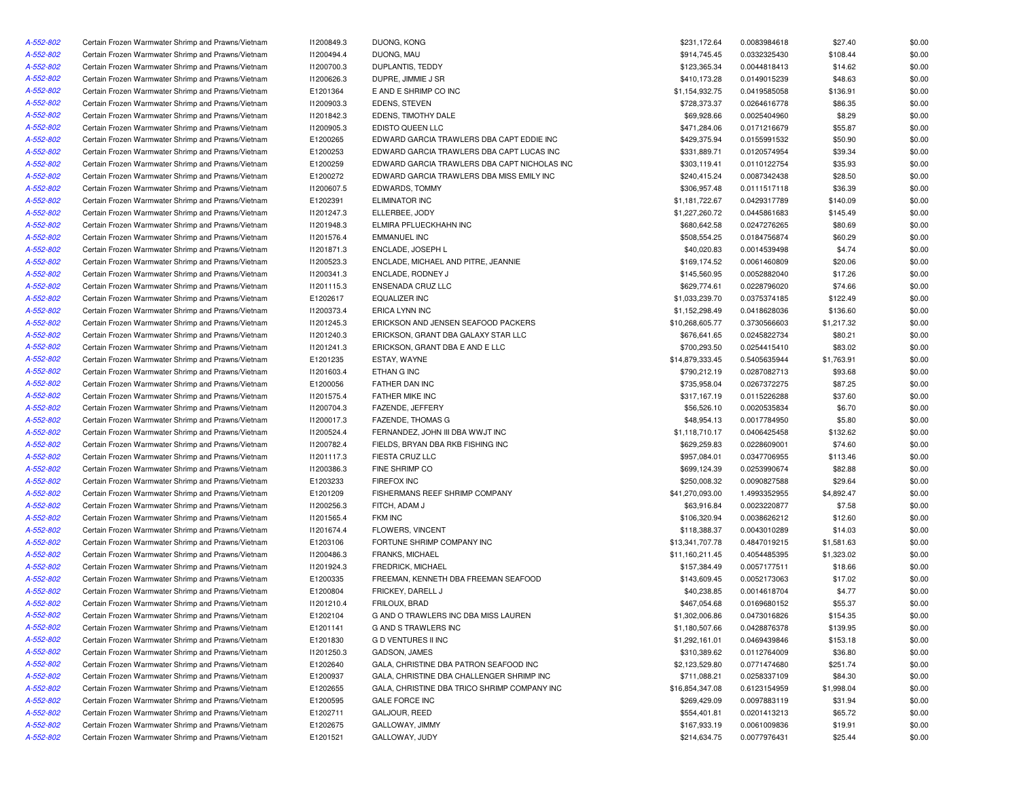| A-552-802 | Certain Frozen Warmwater Shrimp and Prawns/Vietnam | 11200849.3 | DUONG, KONG                                  | \$231,172.64    | 0.0083984618 | \$27.40    | \$0.00           |
|-----------|----------------------------------------------------|------------|----------------------------------------------|-----------------|--------------|------------|------------------|
| A-552-802 | Certain Frozen Warmwater Shrimp and Prawns/Vietnam | 11200494.4 | DUONG, MAU                                   | \$914,745.45    | 0.0332325430 | \$108.44   | \$0.00           |
| A-552-802 | Certain Frozen Warmwater Shrimp and Prawns/Vietnam | I1200700.3 | DUPLANTIS, TEDDY                             | \$123,365.34    | 0.0044818413 | \$14.62    | \$0.00           |
| A-552-802 | Certain Frozen Warmwater Shrimp and Prawns/Vietnam | I1200626.3 | DUPRE, JIMMIE J SR                           | \$410,173.28    | 0.0149015239 | \$48.63    | \$0.00           |
| A-552-802 | Certain Frozen Warmwater Shrimp and Prawns/Vietnam | E1201364   | E AND E SHRIMP CO INC                        | \$1,154,932.75  | 0.0419585058 | \$136.91   | \$0.00           |
| A-552-802 | Certain Frozen Warmwater Shrimp and Prawns/Vietnam | 11200903.3 | <b>EDENS, STEVEN</b>                         | \$728,373.37    | 0.0264616778 | \$86.35    | \$0.00           |
| A-552-802 | Certain Frozen Warmwater Shrimp and Prawns/Vietnam | 11201842.3 | EDENS, TIMOTHY DALE                          | \$69,928.66     | 0.0025404960 | \$8.29     | \$0.00           |
| A-552-802 | Certain Frozen Warmwater Shrimp and Prawns/Vietnam | I1200905.3 | EDISTO QUEEN LLC                             | \$471,284.06    | 0.0171216679 | \$55.87    | \$0.00           |
| A-552-802 | Certain Frozen Warmwater Shrimp and Prawns/Vietnam | E1200265   | EDWARD GARCIA TRAWLERS DBA CAPT EDDIE INC    | \$429,375.94    | 0.0155991532 | \$50.90    | \$0.00           |
| A-552-802 | Certain Frozen Warmwater Shrimp and Prawns/Vietnam | E1200253   | EDWARD GARCIA TRAWLERS DBA CAPT LUCAS INC    | \$331,889.71    | 0.0120574954 | \$39.34    | \$0.00           |
| A-552-802 | Certain Frozen Warmwater Shrimp and Prawns/Vietnam | E1200259   | EDWARD GARCIA TRAWLERS DBA CAPT NICHOLAS INC | \$303,119.41    | 0.0110122754 | \$35.93    | \$0.00           |
| A-552-802 | Certain Frozen Warmwater Shrimp and Prawns/Vietnam | E1200272   | EDWARD GARCIA TRAWLERS DBA MISS EMILY INC    | \$240,415.24    | 0.0087342438 | \$28.50    | \$0.00           |
| A-552-802 | Certain Frozen Warmwater Shrimp and Prawns/Vietnam | I1200607.5 | <b>EDWARDS, TOMMY</b>                        | \$306,957.48    | 0.0111517118 | \$36.39    | \$0.00           |
| A-552-802 | Certain Frozen Warmwater Shrimp and Prawns/Vietnam | E1202391   | <b>ELIMINATOR INC</b>                        | \$1,181,722.67  | 0.0429317789 | \$140.09   | \$0.00           |
| A-552-802 | Certain Frozen Warmwater Shrimp and Prawns/Vietnam | 11201247.3 | ELLERBEE, JODY                               | \$1,227,260.72  | 0.0445861683 | \$145.49   | \$0.00           |
| A-552-802 | Certain Frozen Warmwater Shrimp and Prawns/Vietnam | 11201948.3 | ELMIRA PFLUECKHAHN INC                       | \$680,642.58    | 0.0247276265 | \$80.69    | \$0.00           |
| A-552-802 | Certain Frozen Warmwater Shrimp and Prawns/Vietnam | 11201576.4 | <b>EMMANUEL INC</b>                          | \$508,554.25    | 0.0184756874 | \$60.29    | \$0.00           |
| A-552-802 | Certain Frozen Warmwater Shrimp and Prawns/Vietnam | 11201871.3 | ENCLADE, JOSEPH L                            | \$40,020.83     | 0.0014539498 | \$4.74     | \$0.00           |
| A-552-802 | Certain Frozen Warmwater Shrimp and Prawns/Vietnam | 11200523.3 | ENCLADE, MICHAEL AND PITRE, JEANNIE          | \$169,174.52    | 0.0061460809 | \$20.06    | \$0.00           |
| A-552-802 | Certain Frozen Warmwater Shrimp and Prawns/Vietnam | 11200341.3 | ENCLADE, RODNEY J                            | \$145,560.95    | 0.0052882040 | \$17.26    | \$0.00           |
| A-552-802 | Certain Frozen Warmwater Shrimp and Prawns/Vietnam | 11201115.3 | ENSENADA CRUZ LLC                            | \$629,774.61    | 0.0228796020 | \$74.66    | \$0.00           |
| A-552-802 | Certain Frozen Warmwater Shrimp and Prawns/Vietnam | E1202617   | <b>EQUALIZER INC</b>                         | \$1,033,239.70  | 0.0375374185 | \$122.49   | \$0.00           |
| A-552-802 | Certain Frozen Warmwater Shrimp and Prawns/Vietnam | 11200373.4 | <b>ERICA LYNN INC</b>                        | \$1,152,298.49  | 0.0418628036 | \$136.60   | \$0.00           |
| A-552-802 | Certain Frozen Warmwater Shrimp and Prawns/Vietnam | 11201245.3 | ERICKSON AND JENSEN SEAFOOD PACKERS          | \$10,268,605.77 | 0.3730566603 | \$1,217.32 | \$0.00           |
| A-552-802 | Certain Frozen Warmwater Shrimp and Prawns/Vietnam | 11201240.3 | ERICKSON, GRANT DBA GALAXY STAR LLC          | \$676,641.65    | 0.0245822734 | \$80.21    | \$0.00           |
| A-552-802 | Certain Frozen Warmwater Shrimp and Prawns/Vietnam | 11201241.3 | ERICKSON, GRANT DBA E AND E LLC              | \$700,293.50    | 0.0254415410 | \$83.02    | \$0.00           |
| A-552-802 | Certain Frozen Warmwater Shrimp and Prawns/Vietnam | E1201235   | ESTAY, WAYNE                                 | \$14,879,333.45 | 0.5405635944 | \$1,763.91 | \$0.00           |
| A-552-802 | Certain Frozen Warmwater Shrimp and Prawns/Vietnam | 11201603.4 | ETHAN G INC                                  | \$790,212.19    | 0.0287082713 | \$93.68    | \$0.00           |
| A-552-802 | Certain Frozen Warmwater Shrimp and Prawns/Vietnam | E1200056   | FATHER DAN INC                               | \$735,958.04    | 0.0267372275 | \$87.25    | \$0.00           |
| A-552-802 | Certain Frozen Warmwater Shrimp and Prawns/Vietnam | 11201575.4 | FATHER MIKE INC                              | \$317,167.19    | 0.0115226288 | \$37.60    | \$0.00           |
| A-552-802 | Certain Frozen Warmwater Shrimp and Prawns/Vietnam | I1200704.3 | FAZENDE, JEFFERY                             | \$56,526.10     | 0.0020535834 | \$6.70     | \$0.00           |
| A-552-802 | Certain Frozen Warmwater Shrimp and Prawns/Vietnam | 11200017.3 | <b>FAZENDE, THOMAS G</b>                     | \$48,954.13     | 0.0017784950 | \$5.80     | \$0.00           |
| A-552-802 | Certain Frozen Warmwater Shrimp and Prawns/Vietnam | 11200524.4 | FERNANDEZ, JOHN III DBA WWJT INC             | \$1,118,710.17  | 0.0406425458 | \$132.62   | \$0.00           |
| A-552-802 | Certain Frozen Warmwater Shrimp and Prawns/Vietnam | 11200782.4 | FIELDS, BRYAN DBA RKB FISHING INC            | \$629,259.83    | 0.0228609001 | \$74.60    | \$0.00           |
| A-552-802 | Certain Frozen Warmwater Shrimp and Prawns/Vietnam | 11201117.3 | FIESTA CRUZ LLC                              | \$957,084.01    | 0.0347706955 | \$113.46   | \$0.00           |
| A-552-802 | Certain Frozen Warmwater Shrimp and Prawns/Vietnam | 11200386.3 | FINE SHRIMP CO                               | \$699,124.39    | 0.0253990674 | \$82.88    | \$0.00           |
| A-552-802 | Certain Frozen Warmwater Shrimp and Prawns/Vietnam | E1203233   | <b>FIREFOX INC</b>                           | \$250,008.32    | 0.0090827588 | \$29.64    | \$0.00           |
| A-552-802 | Certain Frozen Warmwater Shrimp and Prawns/Vietnam | E1201209   | FISHERMANS REEF SHRIMP COMPANY               | \$41,270,093.00 | 1.4993352955 | \$4,892.47 | \$0.00           |
| A-552-802 | Certain Frozen Warmwater Shrimp and Prawns/Vietnam | I1200256.3 | FITCH, ADAM J                                | \$63,916.84     | 0.0023220877 | \$7.58     | \$0.00           |
| A-552-802 | Certain Frozen Warmwater Shrimp and Prawns/Vietnam | 11201565.4 | <b>FKM INC</b>                               | \$106,320.94    | 0.0038626212 | \$12.60    | \$0.00           |
| A-552-802 | Certain Frozen Warmwater Shrimp and Prawns/Vietnam | 11201674.4 | FLOWERS, VINCENT                             | \$118,388.37    | 0.0043010289 | \$14.03    | \$0.00           |
| A-552-802 | Certain Frozen Warmwater Shrimp and Prawns/Vietnam | E1203106   | FORTUNE SHRIMP COMPANY INC                   | \$13,341,707.78 | 0.4847019215 | \$1,581.63 | \$0.00           |
| A-552-802 | Certain Frozen Warmwater Shrimp and Prawns/Vietnam | I1200486.3 | <b>FRANKS, MICHAEL</b>                       | \$11,160,211.45 | 0.4054485395 | \$1,323.02 | \$0.00           |
| A-552-802 | Certain Frozen Warmwater Shrimp and Prawns/Vietnam | 11201924.3 | FREDRICK, MICHAEL                            | \$157,384.49    | 0.0057177511 | \$18.66    | \$0.00           |
| A-552-802 | Certain Frozen Warmwater Shrimp and Prawns/Vietnam | E1200335   | FREEMAN, KENNETH DBA FREEMAN SEAFOOD         | \$143,609.45    | 0.0052173063 | \$17.02    | \$0.00           |
| A-552-802 |                                                    |            | FRICKEY, DARELL J                            |                 | 0.0014618704 |            |                  |
|           | Certain Frozen Warmwater Shrimp and Prawns/Vietnam | E1200804   |                                              | \$40,238.85     | 0.0169680152 | \$4.77     | \$0.00<br>\$0.00 |
| A-552-802 | Certain Frozen Warmwater Shrimp and Prawns/Vietnam | 11201210.4 | FRILOUX, BRAD                                | \$467,054.68    |              | \$55.37    |                  |
| A-552-802 | Certain Frozen Warmwater Shrimp and Prawns/Vietnam | E1202104   | G AND O TRAWLERS INC DBA MISS LAUREN         | \$1,302,006.86  | 0.0473016826 | \$154.35   | \$0.00           |
| A-552-802 | Certain Frozen Warmwater Shrimp and Prawns/Vietnam | E1201141   | G AND S TRAWLERS INC                         | \$1,180,507.66  | 0.0428876378 | \$139.95   | \$0.00           |
| A-552-802 | Certain Frozen Warmwater Shrimp and Prawns/Vietnam | E1201830   | <b>GD VENTURES II INC</b>                    | \$1,292,161.01  | 0.0469439846 | \$153.18   | \$0.00           |
| A-552-802 | Certain Frozen Warmwater Shrimp and Prawns/Vietnam | 11201250.3 | GADSON, JAMES                                | \$310,389.62    | 0.0112764009 | \$36.80    | \$0.00           |
| A-552-802 | Certain Frozen Warmwater Shrimp and Prawns/Vietnam | E1202640   | GALA, CHRISTINE DBA PATRON SEAFOOD INC       | \$2,123,529.80  | 0.0771474680 | \$251.74   | \$0.00           |
| A-552-802 | Certain Frozen Warmwater Shrimp and Prawns/Vietnam | E1200937   | GALA, CHRISTINE DBA CHALLENGER SHRIMP INC    | \$711,088.21    | 0.0258337109 | \$84.30    | \$0.00           |
| A-552-802 | Certain Frozen Warmwater Shrimp and Prawns/Vietnam | E1202655   | GALA, CHRISTINE DBA TRICO SHRIMP COMPANY INC | \$16,854,347.08 | 0.6123154959 | \$1,998.04 | \$0.00           |
| A-552-802 | Certain Frozen Warmwater Shrimp and Prawns/Vietnam | E1200595   | <b>GALE FORCE INC</b>                        | \$269,429.09    | 0.0097883119 | \$31.94    | \$0.00           |
| A-552-802 | Certain Frozen Warmwater Shrimp and Prawns/Vietnam | E1202711   | GALJOUR, REED                                | \$554,401.81    | 0.0201413213 | \$65.72    | \$0.00           |
| A-552-802 | Certain Frozen Warmwater Shrimp and Prawns/Vietnam | E1202675   | GALLOWAY, JIMMY                              | \$167,933.19    | 0.0061009836 | \$19.91    | \$0.00           |
| A-552-802 | Certain Frozen Warmwater Shrimp and Prawns/Vietnam | E1201521   | GALLOWAY, JUDY                               | \$214,634.75    | 0.0077976431 | \$25.44    | \$0.00           |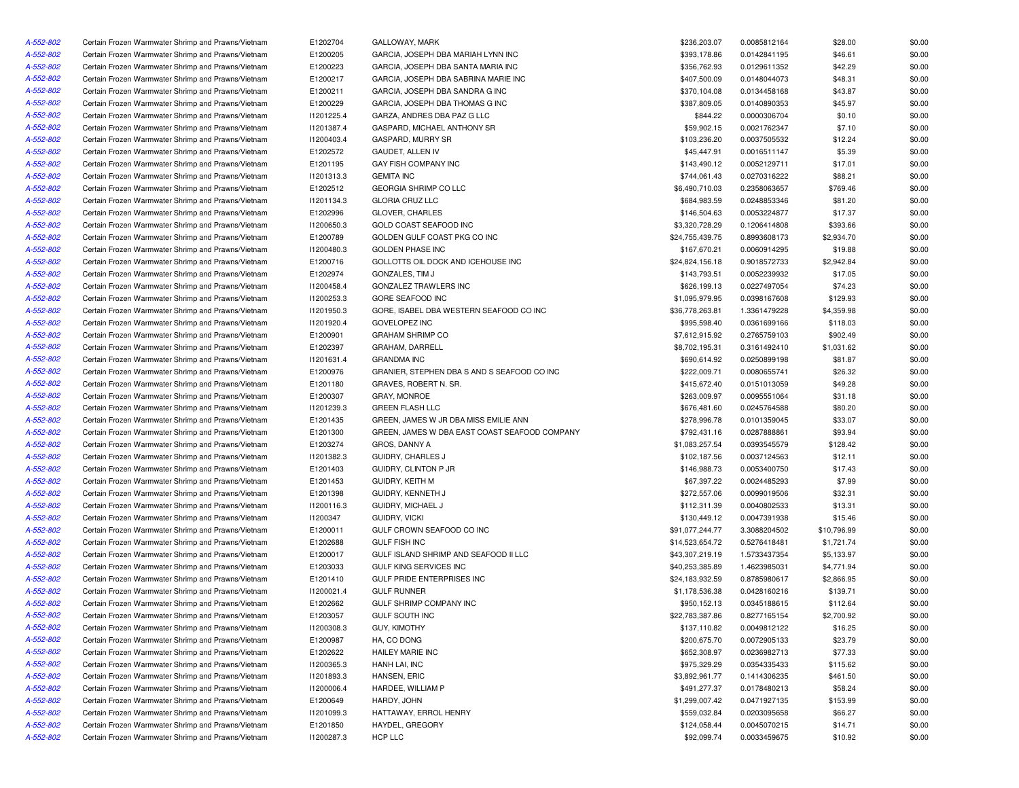| A-552-802 | Certain Frozen Warmwater Shrimp and Prawns/Vietnam | E1202704   | GALLOWAY, MARK                                | \$236,203.07    | 0.0085812164 | \$28.00     | \$0.00 |
|-----------|----------------------------------------------------|------------|-----------------------------------------------|-----------------|--------------|-------------|--------|
| A-552-802 | Certain Frozen Warmwater Shrimp and Prawns/Vietnam | E1200205   | GARCIA, JOSEPH DBA MARIAH LYNN INC            | \$393,178.86    | 0.0142841195 | \$46.61     | \$0.00 |
| A-552-802 | Certain Frozen Warmwater Shrimp and Prawns/Vietnam | E1200223   | GARCIA, JOSEPH DBA SANTA MARIA INC            | \$356,762.93    | 0.0129611352 | \$42.29     | \$0.00 |
| A-552-802 | Certain Frozen Warmwater Shrimp and Prawns/Vietnam | E1200217   | GARCIA, JOSEPH DBA SABRINA MARIE INC          | \$407,500.09    | 0.0148044073 | \$48.31     | \$0.00 |
| A-552-802 | Certain Frozen Warmwater Shrimp and Prawns/Vietnam | E1200211   | GARCIA, JOSEPH DBA SANDRA G INC               | \$370,104.08    | 0.0134458168 | \$43.87     | \$0.00 |
| A-552-802 | Certain Frozen Warmwater Shrimp and Prawns/Vietnam | E1200229   | GARCIA, JOSEPH DBA THOMAS G INC               | \$387,809.05    | 0.0140890353 | \$45.97     | \$0.00 |
| A-552-802 | Certain Frozen Warmwater Shrimp and Prawns/Vietnam | 11201225.4 | GARZA, ANDRES DBA PAZ G LLC                   | \$844.22        | 0.0000306704 | \$0.10      | \$0.00 |
| A-552-802 | Certain Frozen Warmwater Shrimp and Prawns/Vietnam | 11201387.4 | GASPARD, MICHAEL ANTHONY SR                   | \$59,902.15     | 0.0021762347 | \$7.10      | \$0.00 |
| A-552-802 | Certain Frozen Warmwater Shrimp and Prawns/Vietnam | 11200403.4 | GASPARD, MURRY SR                             | \$103,236.20    | 0.0037505532 | \$12.24     | \$0.00 |
| A-552-802 | Certain Frozen Warmwater Shrimp and Prawns/Vietnam | E1202572   | GAUDET, ALLEN IV                              | \$45,447.91     | 0.0016511147 | \$5.39      | \$0.00 |
| A-552-802 | Certain Frozen Warmwater Shrimp and Prawns/Vietnam | E1201195   | GAY FISH COMPANY INC                          | \$143,490.12    | 0.0052129711 | \$17.01     | \$0.00 |
| A-552-802 | Certain Frozen Warmwater Shrimp and Prawns/Vietnam | 11201313.3 | <b>GEMITA INC</b>                             | \$744,061.43    | 0.0270316222 | \$88.21     | \$0.00 |
| A-552-802 | Certain Frozen Warmwater Shrimp and Prawns/Vietnam | E1202512   | GEORGIA SHRIMP CO LLC                         | \$6,490,710.03  | 0.2358063657 | \$769.46    | \$0.00 |
| A-552-802 | Certain Frozen Warmwater Shrimp and Prawns/Vietnam | 11201134.3 | <b>GLORIA CRUZ LLC</b>                        | \$684,983.59    | 0.0248853346 | \$81.20     | \$0.00 |
| A-552-802 | Certain Frozen Warmwater Shrimp and Prawns/Vietnam | E1202996   | GLOVER, CHARLES                               | \$146,504.63    | 0.0053224877 | \$17.37     | \$0.00 |
| A-552-802 | Certain Frozen Warmwater Shrimp and Prawns/Vietnam | 11200650.3 | <b>GOLD COAST SEAFOOD INC</b>                 | \$3,320,728.29  | 0.1206414808 | \$393.66    | \$0.00 |
| A-552-802 | Certain Frozen Warmwater Shrimp and Prawns/Vietnam | E1200789   | GOLDEN GULF COAST PKG CO INC                  | \$24,755,439.75 | 0.8993608173 | \$2,934.70  | \$0.00 |
| A-552-802 | Certain Frozen Warmwater Shrimp and Prawns/Vietnam | I1200480.3 | GOLDEN PHASE INC                              | \$167,670.21    | 0.0060914295 | \$19.88     | \$0.00 |
| A-552-802 | Certain Frozen Warmwater Shrimp and Prawns/Vietnam | E1200716   | GOLLOTTS OIL DOCK AND ICEHOUSE INC            | \$24,824,156.18 | 0.9018572733 | \$2,942.84  | \$0.00 |
| A-552-802 | Certain Frozen Warmwater Shrimp and Prawns/Vietnam | E1202974   | GONZALES, TIM J                               | \$143,793.51    | 0.0052239932 | \$17.05     | \$0.00 |
| A-552-802 | Certain Frozen Warmwater Shrimp and Prawns/Vietnam | I1200458.4 | GONZALEZ TRAWLERS INC                         | \$626,199.13    | 0.0227497054 | \$74.23     | \$0.00 |
| A-552-802 | Certain Frozen Warmwater Shrimp and Prawns/Vietnam | 11200253.3 | GORE SEAFOOD INC                              | \$1,095,979.95  | 0.0398167608 | \$129.93    | \$0.00 |
| A-552-802 | Certain Frozen Warmwater Shrimp and Prawns/Vietnam | 11201950.3 | GORE, ISABEL DBA WESTERN SEAFOOD CO INC       | \$36,778,263.81 | 1.3361479228 | \$4,359.98  | \$0.00 |
| A-552-802 | Certain Frozen Warmwater Shrimp and Prawns/Vietnam | 11201920.4 | <b>GOVELOPEZ INC</b>                          | \$995,598.40    | 0.0361699166 | \$118.03    | \$0.00 |
| A-552-802 | Certain Frozen Warmwater Shrimp and Prawns/Vietnam | E1200901   | <b>GRAHAM SHRIMP CO</b>                       | \$7,612,915.92  | 0.2765759103 | \$902.49    | \$0.00 |
| A-552-802 | Certain Frozen Warmwater Shrimp and Prawns/Vietnam | E1202397   | GRAHAM, DARRELL                               | \$8,702,195.31  | 0.3161492410 | \$1,031.62  | \$0.00 |
| A-552-802 | Certain Frozen Warmwater Shrimp and Prawns/Vietnam | 11201631.4 | <b>GRANDMA INC</b>                            | \$690,614.92    | 0.0250899198 | \$81.87     | \$0.00 |
| A-552-802 | Certain Frozen Warmwater Shrimp and Prawns/Vietnam | E1200976   | GRANIER. STEPHEN DBA S AND S SEAFOOD CO INC   | \$222,009.71    | 0.0080655741 | \$26.32     | \$0.00 |
| A-552-802 | Certain Frozen Warmwater Shrimp and Prawns/Vietnam | E1201180   | GRAVES, ROBERT N. SR.                         | \$415,672.40    | 0.0151013059 | \$49.28     | \$0.00 |
| A-552-802 | Certain Frozen Warmwater Shrimp and Prawns/Vietnam | E1200307   | GRAY, MONROE                                  | \$263,009.97    | 0.0095551064 | \$31.18     | \$0.00 |
| A-552-802 | Certain Frozen Warmwater Shrimp and Prawns/Vietnam | 11201239.3 | <b>GREEN FLASH LLC</b>                        | \$676,481.60    | 0.0245764588 | \$80.20     | \$0.00 |
| A-552-802 | Certain Frozen Warmwater Shrimp and Prawns/Vietnam | E1201435   | GREEN, JAMES W JR DBA MISS EMILIE ANN         | \$278,996.78    | 0.0101359045 | \$33.07     | \$0.00 |
| A-552-802 | Certain Frozen Warmwater Shrimp and Prawns/Vietnam | E1201300   | GREEN, JAMES W DBA EAST COAST SEAFOOD COMPANY | \$792,431.16    | 0.0287888861 | \$93.94     | \$0.00 |
| A-552-802 | Certain Frozen Warmwater Shrimp and Prawns/Vietnam | E1203274   | GROS, DANNY A                                 | \$1,083,257.54  | 0.0393545579 | \$128.42    | \$0.00 |
| A-552-802 | Certain Frozen Warmwater Shrimp and Prawns/Vietnam | 11201382.3 | GUIDRY, CHARLES J                             | \$102,187.56    | 0.0037124563 | \$12.11     | \$0.00 |
| A-552-802 | Certain Frozen Warmwater Shrimp and Prawns/Vietnam | E1201403   | GUIDRY, CLINTON P JR                          | \$146,988.73    | 0.0053400750 | \$17.43     | \$0.00 |
| A-552-802 | Certain Frozen Warmwater Shrimp and Prawns/Vietnam | E1201453   | GUIDRY, KEITH M                               | \$67,397.22     | 0.0024485293 | \$7.99      | \$0.00 |
| A-552-802 | Certain Frozen Warmwater Shrimp and Prawns/Vietnam | E1201398   | GUIDRY, KENNETH J                             | \$272,557.06    | 0.0099019506 | \$32.31     | \$0.00 |
| A-552-802 | Certain Frozen Warmwater Shrimp and Prawns/Vietnam | 11200116.3 | GUIDRY, MICHAEL J                             | \$112,311.39    | 0.0040802533 | \$13.31     | \$0.00 |
| A-552-802 | Certain Frozen Warmwater Shrimp and Prawns/Vietnam | I1200347   | GUIDRY, VICKI                                 | \$130,449.12    | 0.0047391938 | \$15.46     | \$0.00 |
| A-552-802 | Certain Frozen Warmwater Shrimp and Prawns/Vietnam | E1200011   | GULF CROWN SEAFOOD CO INC                     | \$91,077,244.77 | 3.3088204502 | \$10,796.99 | \$0.00 |
| A-552-802 | Certain Frozen Warmwater Shrimp and Prawns/Vietnam | E1202688   | <b>GULF FISH INC</b>                          | \$14,523,654.72 | 0.5276418481 | \$1,721.74  | \$0.00 |
| A-552-802 | Certain Frozen Warmwater Shrimp and Prawns/Vietnam | E1200017   | GULF ISLAND SHRIMP AND SEAFOOD II LLC         | \$43,307,219.19 | 1.5733437354 | \$5,133.97  | \$0.00 |
| A-552-802 | Certain Frozen Warmwater Shrimp and Prawns/Vietnam | E1203033   | GULF KING SERVICES INC                        | \$40,253,385.89 | 1.4623985031 | \$4,771.94  | \$0.00 |
| A-552-802 | Certain Frozen Warmwater Shrimp and Prawns/Vietnam | E1201410   | <b>GULF PRIDE ENTERPRISES INC</b>             | \$24,183,932.59 | 0.8785980617 | \$2,866.95  | \$0.00 |
| A-552-802 | Certain Frozen Warmwater Shrimp and Prawns/Vietnam | 11200021.4 | <b>GULF RUNNER</b>                            | \$1,178,536.38  | 0.0428160216 | \$139.71    | \$0.00 |
| A-552-802 | Certain Frozen Warmwater Shrimp and Prawns/Vietnam | E1202662   | GULF SHRIMP COMPANY INC                       | \$950,152.13    | 0.0345188615 | \$112.64    | \$0.00 |
| A-552-802 | Certain Frozen Warmwater Shrimp and Prawns/Vietnam | E1203057   | GULF SOUTH INC                                | \$22,783,387.86 | 0.8277165154 | \$2,700.92  | \$0.00 |
| A-552-802 | Certain Frozen Warmwater Shrimp and Prawns/Vietnam | 11200308.3 | GUY, KIMOTHY                                  | \$137,110.82    | 0.0049812122 | \$16.25     | \$0.00 |
| A-552-802 | Certain Frozen Warmwater Shrimp and Prawns/Vietnam | E1200987   | HA, CO DONG                                   | \$200,675.70    | 0.0072905133 | \$23.79     | \$0.00 |
| A-552-802 | Certain Frozen Warmwater Shrimp and Prawns/Vietnam | E1202622   | HAILEY MARIE INC                              | \$652,308.97    | 0.0236982713 | \$77.33     | \$0.00 |
| A-552-802 | Certain Frozen Warmwater Shrimp and Prawns/Vietnam | 11200365.3 | HANH LAI, INC                                 | \$975,329.29    | 0.0354335433 | \$115.62    | \$0.00 |
| A-552-802 | Certain Frozen Warmwater Shrimp and Prawns/Vietnam | 11201893.3 | HANSEN, ERIC                                  | \$3,892,961.77  | 0.1414306235 | \$461.50    | \$0.00 |
| A-552-802 | Certain Frozen Warmwater Shrimp and Prawns/Vietnam | 11200006.4 | HARDEE, WILLIAM P                             | \$491,277.37    | 0.0178480213 | \$58.24     | \$0.00 |
| A-552-802 | Certain Frozen Warmwater Shrimp and Prawns/Vietnam | E1200649   | HARDY, JOHN                                   | \$1,299,007.42  | 0.0471927135 | \$153.99    | \$0.00 |
| A-552-802 | Certain Frozen Warmwater Shrimp and Prawns/Vietnam | 11201099.3 | HATTAWAY, ERROL HENRY                         | \$559,032.84    | 0.0203095658 | \$66.27     | \$0.00 |
| A-552-802 | Certain Frozen Warmwater Shrimp and Prawns/Vietnam | E1201850   | HAYDEL, GREGORY                               | \$124,058.44    | 0.0045070215 | \$14.71     | \$0.00 |
| A-552-802 | Certain Frozen Warmwater Shrimp and Prawns/Vietnam | I1200287.3 | HCP LLC                                       | \$92,099.74     | 0.0033459675 | \$10.92     | \$0.00 |
|           |                                                    |            |                                               |                 |              |             |        |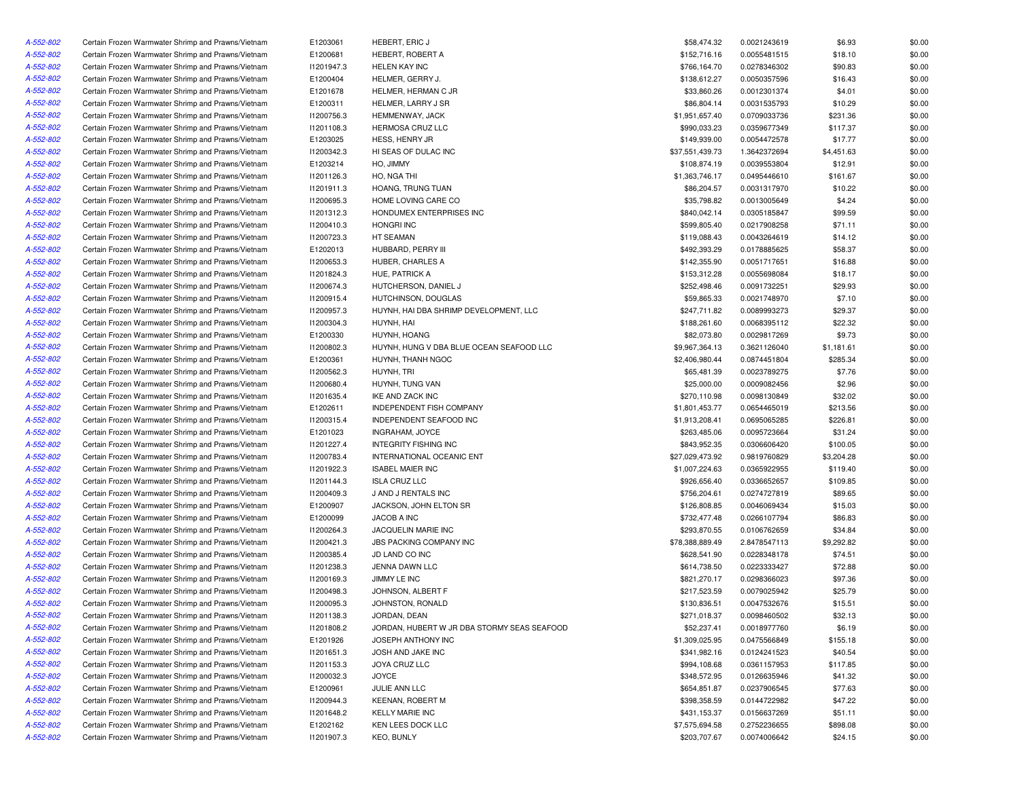| A-552-802              | Certain Frozen Warmwater Shrimp and Prawns/Vietnam                                                       | E1203061   | <b>HEBERT, ERIC J</b>                                             | \$58,474.32     | 0.0021243619                 | \$6.93     | \$0.00           |
|------------------------|----------------------------------------------------------------------------------------------------------|------------|-------------------------------------------------------------------|-----------------|------------------------------|------------|------------------|
| A-552-802              | Certain Frozen Warmwater Shrimp and Prawns/Vietnam                                                       | E1200681   | HEBERT, ROBERT A                                                  | \$152,716.16    | 0.0055481515                 | \$18.10    | \$0.00           |
| A-552-802              | Certain Frozen Warmwater Shrimp and Prawns/Vietnam                                                       | 11201947.3 | <b>HELEN KAY INC</b>                                              | \$766,164.70    | 0.0278346302                 | \$90.83    | \$0.00           |
| A-552-802              | Certain Frozen Warmwater Shrimp and Prawns/Vietnam                                                       | E1200404   | HELMER, GERRY J.                                                  | \$138,612.27    | 0.0050357596                 | \$16.43    | \$0.00           |
| A-552-802              | Certain Frozen Warmwater Shrimp and Prawns/Vietnam                                                       | E1201678   | HELMER, HERMAN C JR                                               | \$33,860.26     | 0.0012301374                 | \$4.01     | \$0.00           |
| A-552-802              | Certain Frozen Warmwater Shrimp and Prawns/Vietnam                                                       | E1200311   | HELMER, LARRY J SR                                                | \$86,804.14     | 0.0031535793                 | \$10.29    | \$0.00           |
| A-552-802              | Certain Frozen Warmwater Shrimp and Prawns/Vietnam                                                       | 11200756.3 | HEMMENWAY, JACK                                                   | \$1,951,657.40  | 0.0709033736                 | \$231.36   | \$0.00           |
| A-552-802              | Certain Frozen Warmwater Shrimp and Prawns/Vietnam                                                       | 11201108.3 | <b>HERMOSA CRUZ LLC</b>                                           | \$990,033.23    | 0.0359677349                 | \$117.37   | \$0.00           |
| A-552-802              | Certain Frozen Warmwater Shrimp and Prawns/Vietnam                                                       | E1203025   | HESS, HENRY JR                                                    | \$149,939.00    | 0.0054472578                 | \$17.77    | \$0.00           |
| A-552-802              | Certain Frozen Warmwater Shrimp and Prawns/Vietnam                                                       | 11200342.3 | HI SEAS OF DULAC INC                                              | \$37,551,439.73 | 1.3642372694                 | \$4,451.63 | \$0.00           |
| A-552-802              | Certain Frozen Warmwater Shrimp and Prawns/Vietnam                                                       | E1203214   | HO, JIMMY                                                         | \$108,874.19    | 0.0039553804                 | \$12.91    | \$0.00           |
| A-552-802              | Certain Frozen Warmwater Shrimp and Prawns/Vietnam                                                       | 11201126.3 | HO, NGA THI                                                       | \$1,363,746.17  | 0.0495446610                 | \$161.67   | \$0.00           |
| A-552-802              | Certain Frozen Warmwater Shrimp and Prawns/Vietnam                                                       | 11201911.3 | HOANG, TRUNG TUAN                                                 | \$86,204.57     | 0.0031317970                 | \$10.22    | \$0.00           |
| A-552-802              | Certain Frozen Warmwater Shrimp and Prawns/Vietnam                                                       | I1200695.3 | HOME LOVING CARE CO                                               | \$35,798.82     | 0.0013005649                 | \$4.24     | \$0.00           |
| A-552-802              | Certain Frozen Warmwater Shrimp and Prawns/Vietnam                                                       | 11201312.3 | HONDUMEX ENTERPRISES INC                                          | \$840,042.14    | 0.0305185847                 | \$99.59    | \$0.00           |
| A-552-802              | Certain Frozen Warmwater Shrimp and Prawns/Vietnam                                                       | 11200410.3 | <b>HONGRI INC</b>                                                 | \$599,805.40    | 0.0217908258                 | \$71.11    | \$0.00           |
| A-552-802              | Certain Frozen Warmwater Shrimp and Prawns/Vietnam                                                       | 11200723.3 | HT SEAMAN                                                         | \$119,088.43    | 0.0043264619                 | \$14.12    | \$0.00           |
| A-552-802              | Certain Frozen Warmwater Shrimp and Prawns/Vietnam                                                       | E1202013   | HUBBARD, PERRY III                                                | \$492,393.29    | 0.0178885625                 | \$58.37    | \$0.00           |
| A-552-802              | Certain Frozen Warmwater Shrimp and Prawns/Vietnam                                                       | 11200653.3 | HUBER, CHARLES A                                                  | \$142,355.90    | 0.0051717651                 | \$16.88    | \$0.00           |
| A-552-802              | Certain Frozen Warmwater Shrimp and Prawns/Vietnam                                                       | 11201824.3 | HUE, PATRICK A                                                    | \$153,312.28    | 0.0055698084                 | \$18.17    | \$0.00           |
| A-552-802              | Certain Frozen Warmwater Shrimp and Prawns/Vietnam                                                       | 11200674.3 | HUTCHERSON, DANIEL J                                              | \$252,498.46    | 0.0091732251                 | \$29.93    | \$0.00           |
| A-552-802              | Certain Frozen Warmwater Shrimp and Prawns/Vietnam                                                       | 11200915.4 | HUTCHINSON, DOUGLAS                                               | \$59,865.33     | 0.0021748970                 | \$7.10     | \$0.00           |
| A-552-802              | Certain Frozen Warmwater Shrimp and Prawns/Vietnam                                                       | I1200957.3 | HUYNH, HAI DBA SHRIMP DEVELOPMENT, LLC                            | \$247,711.82    | 0.0089993273                 | \$29.37    | \$0.00           |
| A-552-802              | Certain Frozen Warmwater Shrimp and Prawns/Vietnam                                                       | 11200304.3 | HUYNH, HAI                                                        | \$188,261.60    | 0.0068395112                 | \$22.32    | \$0.00           |
| A-552-802              | Certain Frozen Warmwater Shrimp and Prawns/Vietnam                                                       | E1200330   | HUYNH, HOANG                                                      | \$82,073.80     | 0.0029817269                 | \$9.73     | \$0.00           |
| A-552-802              | Certain Frozen Warmwater Shrimp and Prawns/Vietnam                                                       | 11200802.3 | HUYNH, HUNG V DBA BLUE OCEAN SEAFOOD LLC                          | \$9,967,364.13  | 0.3621126040                 | \$1,181.61 | \$0.00           |
| A-552-802              | Certain Frozen Warmwater Shrimp and Prawns/Vietnam                                                       | E1200361   | HUYNH, THANH NGOC                                                 | \$2,406,980.44  | 0.0874451804                 | \$285.34   | \$0.00           |
| A-552-802              | Certain Frozen Warmwater Shrimp and Prawns/Vietnam                                                       | 11200562.3 | HUYNH, TRI                                                        | \$65,481.39     | 0.0023789275                 | \$7.76     | \$0.00           |
| A-552-802              | Certain Frozen Warmwater Shrimp and Prawns/Vietnam                                                       | 11200680.4 | HUYNH, TUNG VAN                                                   | \$25,000.00     | 0.0009082456                 | \$2.96     | \$0.00           |
| A-552-802              | Certain Frozen Warmwater Shrimp and Prawns/Vietnam                                                       | 11201635.4 | IKE AND ZACK INC                                                  | \$270,110.98    | 0.0098130849                 | \$32.02    | \$0.00           |
| A-552-802              | Certain Frozen Warmwater Shrimp and Prawns/Vietnam                                                       | E1202611   | <b>INDEPENDENT FISH COMPANY</b>                                   | \$1,801,453.77  | 0.0654465019                 | \$213.56   | \$0.00           |
| A-552-802              | Certain Frozen Warmwater Shrimp and Prawns/Vietnam                                                       | 11200315.4 | INDEPENDENT SEAFOOD INC                                           | \$1,913,208.41  | 0.0695065285                 | \$226.81   | \$0.00           |
| A-552-802              | Certain Frozen Warmwater Shrimp and Prawns/Vietnam                                                       | E1201023   | INGRAHAM, JOYCE                                                   | \$263,485.06    | 0.0095723664                 | \$31.24    | \$0.00           |
| A-552-802              | Certain Frozen Warmwater Shrimp and Prawns/Vietnam                                                       | 11201227.4 | <b>INTEGRITY FISHING INC</b>                                      | \$843,952.35    | 0.0306606420                 | \$100.05   | \$0.00           |
| A-552-802              | Certain Frozen Warmwater Shrimp and Prawns/Vietnam                                                       | 11200783.4 | INTERNATIONAL OCEANIC ENT                                         | \$27,029,473.92 | 0.9819760829                 | \$3,204.28 | \$0.00           |
| A-552-802              | Certain Frozen Warmwater Shrimp and Prawns/Vietnam                                                       | 11201922.3 | <b>ISABEL MAIER INC</b>                                           | \$1,007,224.63  | 0.0365922955                 | \$119.40   | \$0.00           |
| A-552-802              | Certain Frozen Warmwater Shrimp and Prawns/Vietnam                                                       | 11201144.3 | <b>ISLA CRUZ LLC</b>                                              | \$926,656.40    | 0.0336652657                 | \$109.85   | \$0.00           |
| A-552-802              | Certain Frozen Warmwater Shrimp and Prawns/Vietnam                                                       | 11200409.3 | J AND J RENTALS INC                                               | \$756,204.61    | 0.0274727819                 | \$89.65    | \$0.00           |
| A-552-802              | Certain Frozen Warmwater Shrimp and Prawns/Vietnam                                                       | E1200907   | JACKSON, JOHN ELTON SR                                            | \$126,808.85    | 0.0046069434                 | \$15.03    | \$0.00           |
| A-552-802              | Certain Frozen Warmwater Shrimp and Prawns/Vietnam                                                       | E1200099   | JACOB A INC                                                       | \$732,477.48    | 0.0266107794                 | \$86.83    | \$0.00           |
| A-552-802              | Certain Frozen Warmwater Shrimp and Prawns/Vietnam                                                       | 11200264.3 | JACQUELIN MARIE INC                                               | \$293,870.55    | 0.0106762659                 | \$34.84    | \$0.00           |
| A-552-802              | Certain Frozen Warmwater Shrimp and Prawns/Vietnam                                                       | 11200421.3 | <b>JBS PACKING COMPANY INC</b>                                    | \$78,388,889.49 |                              | \$9,292.82 | \$0.00           |
| A-552-802              | Certain Frozen Warmwater Shrimp and Prawns/Vietnam                                                       | 11200385.4 | JD LAND CO INC                                                    | \$628,541.90    | 2.8478547113<br>0.0228348178 | \$74.51    | \$0.00           |
|                        | Certain Frozen Warmwater Shrimp and Prawns/Vietnam                                                       | 11201238.3 | JENNA DAWN LLC                                                    | \$614,738.50    | 0.0223333427                 | \$72.88    | \$0.00           |
| A-552-802<br>A-552-802 | Certain Frozen Warmwater Shrimp and Prawns/Vietnam                                                       |            |                                                                   |                 | 0.0298366023                 |            |                  |
|                        |                                                                                                          | 11200169.3 | JIMMY LE INC                                                      | \$821,270.17    |                              | \$97.36    | \$0.00           |
| A-552-802              | Certain Frozen Warmwater Shrimp and Prawns/Vietnam<br>Certain Frozen Warmwater Shrimp and Prawns/Vietnam | 11200498.3 | JOHNSON, ALBERT F                                                 | \$217,523.59    | 0.0079025942                 | \$25.79    | \$0.00<br>\$0.00 |
| A-552-802              |                                                                                                          | I1200095.3 | JOHNSTON, RONALD                                                  | \$130,836.51    | 0.0047532676                 | \$15.51    |                  |
| A-552-802              | Certain Frozen Warmwater Shrimp and Prawns/Vietnam                                                       | 11201138.3 | JORDAN, DEAN                                                      | \$271,018.37    | 0.0098460502                 | \$32.13    | \$0.00           |
| A-552-802              | Certain Frozen Warmwater Shrimp and Prawns/Vietnam                                                       | 11201808.2 | JORDAN, HUBERT W JR DBA STORMY SEAS SEAFOOD<br>JOSEPH ANTHONY INC | \$52,237.41     | 0.0018977760                 | \$6.19     | \$0.00           |
| A-552-802              | Certain Frozen Warmwater Shrimp and Prawns/Vietnam                                                       | E1201926   |                                                                   | \$1,309,025.95  | 0.0475566849                 | \$155.18   | \$0.00           |
| A-552-802              | Certain Frozen Warmwater Shrimp and Prawns/Vietnam                                                       | 11201651.3 | JOSH AND JAKE INC                                                 | \$341,982.16    | 0.0124241523                 | \$40.54    | \$0.00           |
| A-552-802              | Certain Frozen Warmwater Shrimp and Prawns/Vietnam                                                       | 11201153.3 | JOYA CRUZ LLC                                                     | \$994,108.68    | 0.0361157953                 | \$117.85   | \$0.00           |
| A-552-802              | Certain Frozen Warmwater Shrimp and Prawns/Vietnam                                                       | 11200032.3 | JOYCE                                                             | \$348,572.95    | 0.0126635946                 | \$41.32    | \$0.00           |
| A-552-802              | Certain Frozen Warmwater Shrimp and Prawns/Vietnam                                                       | E1200961   | JULIE ANN LLC                                                     | \$654,851.87    | 0.0237906545                 | \$77.63    | \$0.00           |
| A-552-802              | Certain Frozen Warmwater Shrimp and Prawns/Vietnam                                                       | 11200944.3 | KEENAN, ROBERT M                                                  | \$398,358.59    | 0.0144722982                 | \$47.22    | \$0.00           |
| A-552-802              | Certain Frozen Warmwater Shrimp and Prawns/Vietnam                                                       | 11201648.2 | <b>KELLY MARIE INC</b>                                            | \$431,153.37    | 0.0156637269                 | \$51.11    | \$0.00           |
| A-552-802              | Certain Frozen Warmwater Shrimp and Prawns/Vietnam                                                       | E1202162   | KEN LEES DOCK LLC                                                 | \$7,575,694.58  | 0.2752236655                 | \$898.08   | \$0.00           |
| A-552-802              | Certain Frozen Warmwater Shrimp and Prawns/Vietnam                                                       | 11201907.3 | <b>KEO, BUNLY</b>                                                 | \$203,707.67    | 0.0074006642                 | \$24.15    | \$0.00           |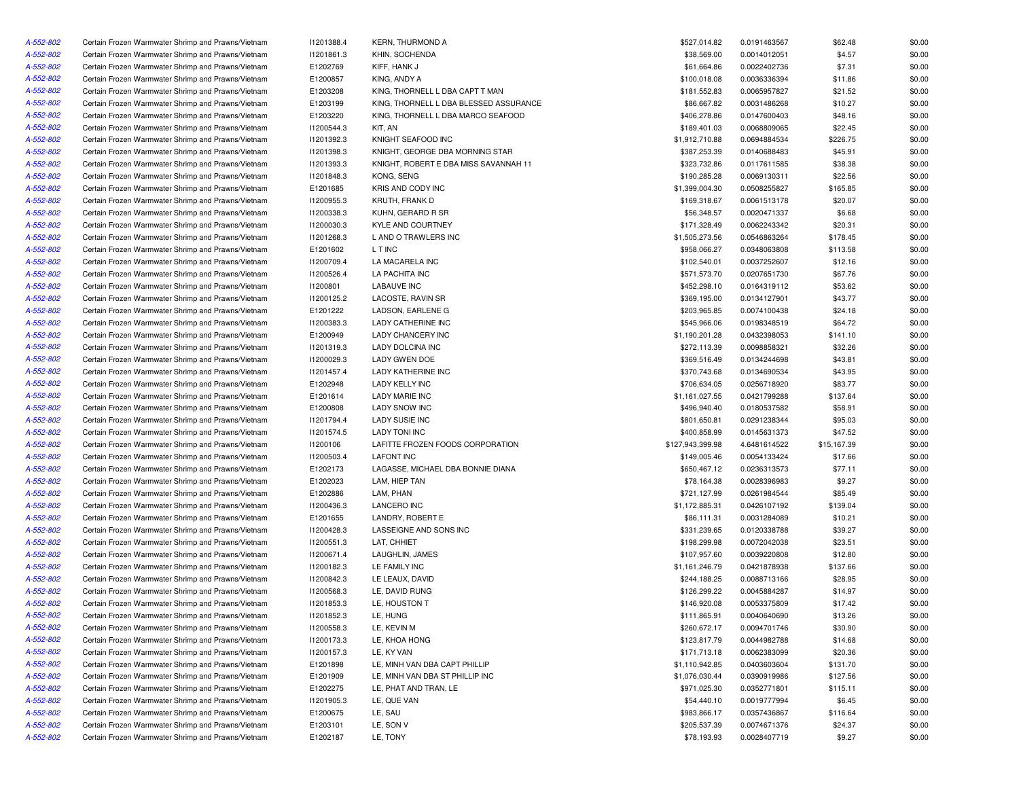| A-552-802 | Certain Frozen Warmwater Shrimp and Prawns/Vietnam | 11201388.4 | <b>KERN, THURMOND A</b>                | \$527,014.82     | 0.0191463567 | \$62.48     | \$0.00 |
|-----------|----------------------------------------------------|------------|----------------------------------------|------------------|--------------|-------------|--------|
| A-552-802 | Certain Frozen Warmwater Shrimp and Prawns/Vietnam | 11201861.3 | KHIN, SOCHENDA                         | \$38,569.00      | 0.0014012051 | \$4.57      | \$0.00 |
| A-552-802 | Certain Frozen Warmwater Shrimp and Prawns/Vietnam | E1202769   | KIFF, HANK J                           | \$61,664.86      | 0.0022402736 | \$7.31      | \$0.00 |
| A-552-802 | Certain Frozen Warmwater Shrimp and Prawns/Vietnam | E1200857   | KING, ANDY A                           | \$100,018.08     | 0.0036336394 | \$11.86     | \$0.00 |
| A-552-802 | Certain Frozen Warmwater Shrimp and Prawns/Vietnam | E1203208   | KING, THORNELL L DBA CAPT T MAN        | \$181,552.83     | 0.0065957827 | \$21.52     | \$0.00 |
| A-552-802 | Certain Frozen Warmwater Shrimp and Prawns/Vietnam | E1203199   | KING, THORNELL L DBA BLESSED ASSURANCE | \$86,667.82      | 0.0031486268 | \$10.27     | \$0.00 |
| A-552-802 | Certain Frozen Warmwater Shrimp and Prawns/Vietnam | E1203220   | KING, THORNELL L DBA MARCO SEAFOOD     | \$406,278.86     | 0.0147600403 | \$48.16     | \$0.00 |
| A-552-802 | Certain Frozen Warmwater Shrimp and Prawns/Vietnam | 11200544.3 | KIT, AN                                | \$189,401.03     | 0.0068809065 | \$22.45     | \$0.00 |
| A-552-802 | Certain Frozen Warmwater Shrimp and Prawns/Vietnam | 11201392.3 | KNIGHT SEAFOOD INC                     | \$1,912,710.88   | 0.0694884534 | \$226.75    | \$0.00 |
| A-552-802 | Certain Frozen Warmwater Shrimp and Prawns/Vietnam | 11201398.3 | KNIGHT, GEORGE DBA MORNING STAR        | \$387,253.39     | 0.0140688483 | \$45.91     | \$0.00 |
| A-552-802 | Certain Frozen Warmwater Shrimp and Prawns/Vietnam | 11201393.3 | KNIGHT, ROBERT E DBA MISS SAVANNAH 11  | \$323,732.86     | 0.0117611585 | \$38.38     | \$0.00 |
| A-552-802 | Certain Frozen Warmwater Shrimp and Prawns/Vietnam | 11201848.3 | KONG, SENG                             | \$190,285.28     | 0.0069130311 | \$22.56     | \$0.00 |
| A-552-802 | Certain Frozen Warmwater Shrimp and Prawns/Vietnam | E1201685   | KRIS AND CODY INC                      | \$1,399,004.30   | 0.0508255827 | \$165.85    | \$0.00 |
| A-552-802 | Certain Frozen Warmwater Shrimp and Prawns/Vietnam | I1200955.3 | KRUTH, FRANK D                         | \$169,318.67     | 0.0061513178 | \$20.07     | \$0.00 |
| A-552-802 | Certain Frozen Warmwater Shrimp and Prawns/Vietnam | 11200338.3 | KUHN, GERARD R SR                      | \$56,348.57      | 0.0020471337 | \$6.68      | \$0.00 |
| A-552-802 | Certain Frozen Warmwater Shrimp and Prawns/Vietnam |            | KYLE AND COURTNEY                      |                  |              |             |        |
|           |                                                    | 11200030.3 |                                        | \$171,328.49     | 0.0062243342 | \$20.31     | \$0.00 |
| A-552-802 | Certain Frozen Warmwater Shrimp and Prawns/Vietnam | 11201268.3 | L AND O TRAWLERS INC                   | \$1,505,273.56   | 0.0546863264 | \$178.45    | \$0.00 |
| A-552-802 | Certain Frozen Warmwater Shrimp and Prawns/Vietnam | E1201602   | L T INC                                | \$958,066.27     | 0.0348063808 | \$113.58    | \$0.00 |
| A-552-802 | Certain Frozen Warmwater Shrimp and Prawns/Vietnam | 11200709.4 | LA MACARELA INC                        | \$102,540.01     | 0.0037252607 | \$12.16     | \$0.00 |
| A-552-802 | Certain Frozen Warmwater Shrimp and Prawns/Vietnam | 11200526.4 | LA PACHITA INC                         | \$571,573.70     | 0.0207651730 | \$67.76     | \$0.00 |
| A-552-802 | Certain Frozen Warmwater Shrimp and Prawns/Vietnam | 11200801   | LABAUVE INC                            | \$452,298.10     | 0.0164319112 | \$53.62     | \$0.00 |
| A-552-802 | Certain Frozen Warmwater Shrimp and Prawns/Vietnam | 11200125.2 | LACOSTE, RAVIN SR                      | \$369,195.00     | 0.0134127901 | \$43.77     | \$0.00 |
| A-552-802 | Certain Frozen Warmwater Shrimp and Prawns/Vietnam | E1201222   | LADSON, EARLENE G                      | \$203,965.85     | 0.0074100438 | \$24.18     | \$0.00 |
| A-552-802 | Certain Frozen Warmwater Shrimp and Prawns/Vietnam | 11200383.3 | <b>LADY CATHERINE INC</b>              | \$545,966.06     | 0.0198348519 | \$64.72     | \$0.00 |
| A-552-802 | Certain Frozen Warmwater Shrimp and Prawns/Vietnam | E1200949   | LADY CHANCERY INC                      | \$1,190,201.28   | 0.0432398053 | \$141.10    | \$0.00 |
| A-552-802 | Certain Frozen Warmwater Shrimp and Prawns/Vietnam | 11201319.3 | LADY DOLCINA INC                       | \$272,113.39     | 0.0098858321 | \$32.26     | \$0.00 |
| A-552-802 | Certain Frozen Warmwater Shrimp and Prawns/Vietnam | 11200029.3 | LADY GWEN DOE                          | \$369,516.49     | 0.0134244698 | \$43.81     | \$0.00 |
| A-552-802 | Certain Frozen Warmwater Shrimp and Prawns/Vietnam | 11201457.4 | LADY KATHERINE INC                     | \$370,743.68     | 0.0134690534 | \$43.95     | \$0.00 |
| A-552-802 | Certain Frozen Warmwater Shrimp and Prawns/Vietnam | E1202948   | <b>LADY KELLY INC</b>                  | \$706,634.05     | 0.0256718920 | \$83.77     | \$0.00 |
| A-552-802 | Certain Frozen Warmwater Shrimp and Prawns/Vietnam | E1201614   | <b>LADY MARIE INC</b>                  | \$1,161,027.55   | 0.0421799288 | \$137.64    | \$0.00 |
| A-552-802 | Certain Frozen Warmwater Shrimp and Prawns/Vietnam | E1200808   | <b>LADY SNOW INC</b>                   | \$496,940.40     | 0.0180537582 | \$58.91     | \$0.00 |
| A-552-802 | Certain Frozen Warmwater Shrimp and Prawns/Vietnam | 11201794.4 | LADY SUSIE INC                         | \$801,650.81     | 0.0291238344 | \$95.03     | \$0.00 |
| A-552-802 | Certain Frozen Warmwater Shrimp and Prawns/Vietnam | 11201574.5 | <b>LADY TONI INC</b>                   | \$400,858.99     | 0.0145631373 | \$47.52     | \$0.00 |
| A-552-802 | Certain Frozen Warmwater Shrimp and Prawns/Vietnam | 11200106   | LAFITTE FROZEN FOODS CORPORATION       | \$127,943,399.98 | 4.6481614522 | \$15,167.39 | \$0.00 |
| A-552-802 | Certain Frozen Warmwater Shrimp and Prawns/Vietnam | 11200503.4 | <b>LAFONT INC</b>                      | \$149,005.46     | 0.0054133424 | \$17.66     | \$0.00 |
| A-552-802 | Certain Frozen Warmwater Shrimp and Prawns/Vietnam | E1202173   | LAGASSE, MICHAEL DBA BONNIE DIANA      | \$650,467.12     | 0.0236313573 | \$77.11     | \$0.00 |
| A-552-802 | Certain Frozen Warmwater Shrimp and Prawns/Vietnam | E1202023   | LAM, HIEP TAN                          | \$78,164.38      | 0.0028396983 | \$9.27      | \$0.00 |
| A-552-802 | Certain Frozen Warmwater Shrimp and Prawns/Vietnam | E1202886   | LAM, PHAN                              | \$721,127.99     | 0.0261984544 | \$85.49     | \$0.00 |
| A-552-802 | Certain Frozen Warmwater Shrimp and Prawns/Vietnam | 11200436.3 | <b>LANCERO INC</b>                     | \$1,172,885.31   | 0.0426107192 | \$139.04    | \$0.00 |
| A-552-802 | Certain Frozen Warmwater Shrimp and Prawns/Vietnam | E1201655   | LANDRY, ROBERT E                       | \$86,111.31      | 0.0031284089 | \$10.21     | \$0.00 |
| A-552-802 | Certain Frozen Warmwater Shrimp and Prawns/Vietnam | 11200428.3 | LASSEIGNE AND SONS INC                 | \$331,239.65     | 0.0120338788 | \$39.27     | \$0.00 |
| A-552-802 | Certain Frozen Warmwater Shrimp and Prawns/Vietnam | 11200551.3 | LAT, CHHIET                            | \$198,299.98     | 0.0072042038 | \$23.51     | \$0.00 |
| A-552-802 | Certain Frozen Warmwater Shrimp and Prawns/Vietnam | 11200671.4 | LAUGHLIN, JAMES                        | \$107,957.60     | 0.0039220808 | \$12.80     | \$0.00 |
| A-552-802 | Certain Frozen Warmwater Shrimp and Prawns/Vietnam | 11200182.3 | LE FAMILY INC                          | \$1,161,246.79   | 0.0421878938 | \$137.66    | \$0.00 |
| A-552-802 | Certain Frozen Warmwater Shrimp and Prawns/Vietnam | 11200842.3 | LE LEAUX, DAVID                        | \$244,188.25     | 0.0088713166 | \$28.95     | \$0.00 |
| A-552-802 | Certain Frozen Warmwater Shrimp and Prawns/Vietnam | 11200568.3 | LE, DAVID RUNG                         | \$126,299.22     | 0.0045884287 | \$14.97     | \$0.00 |
| A-552-802 | Certain Frozen Warmwater Shrimp and Prawns/Vietnam | 11201853.3 | LE, HOUSTON T                          | \$146,920.08     | 0.0053375809 | \$17.42     | \$0.00 |
| A-552-802 |                                                    |            |                                        |                  | 0.0040640690 |             |        |
|           | Certain Frozen Warmwater Shrimp and Prawns/Vietnam | 11201852.3 | LE, HUNG                               | \$111,865.91     |              | \$13.26     | \$0.00 |
| A-552-802 | Certain Frozen Warmwater Shrimp and Prawns/Vietnam | 11200558.3 | LE, KEVIN M                            | \$260,672.17     | 0.0094701746 | \$30.90     | \$0.00 |
| A-552-802 | Certain Frozen Warmwater Shrimp and Prawns/Vietnam | 11200173.3 | LE, KHOA HONG                          | \$123,817.79     | 0.0044982788 | \$14.68     | \$0.00 |
| A-552-802 | Certain Frozen Warmwater Shrimp and Prawns/Vietnam | 11200157.3 | LE, KY VAN                             | \$171,713.18     | 0.0062383099 | \$20.36     | \$0.00 |
| A-552-802 | Certain Frozen Warmwater Shrimp and Prawns/Vietnam | E1201898   | LE, MINH VAN DBA CAPT PHILLIP          | \$1,110,942.85   | 0.0403603604 | \$131.70    | \$0.00 |
| A-552-802 | Certain Frozen Warmwater Shrimp and Prawns/Vietnam | E1201909   | LE, MINH VAN DBA ST PHILLIP INC        | \$1,076,030.44   | 0.0390919986 | \$127.56    | \$0.00 |
| A-552-802 | Certain Frozen Warmwater Shrimp and Prawns/Vietnam | E1202275   | LE, PHAT AND TRAN, LE                  | \$971,025.30     | 0.0352771801 | \$115.11    | \$0.00 |
| A-552-802 | Certain Frozen Warmwater Shrimp and Prawns/Vietnam | 11201905.3 | LE, QUE VAN                            | \$54,440.10      | 0.0019777994 | \$6.45      | \$0.00 |
| A-552-802 | Certain Frozen Warmwater Shrimp and Prawns/Vietnam | E1200675   | LE, SAU                                | \$983,866.17     | 0.0357436867 | \$116.64    | \$0.00 |
| A-552-802 | Certain Frozen Warmwater Shrimp and Prawns/Vietnam | E1203101   | LE, SON V                              | \$205,537.39     | 0.0074671376 | \$24.37     | \$0.00 |
| A-552-802 | Certain Frozen Warmwater Shrimp and Prawns/Vietnam | E1202187   | LE, TONY                               | \$78,193.93      | 0.0028407719 | \$9.27      | \$0.00 |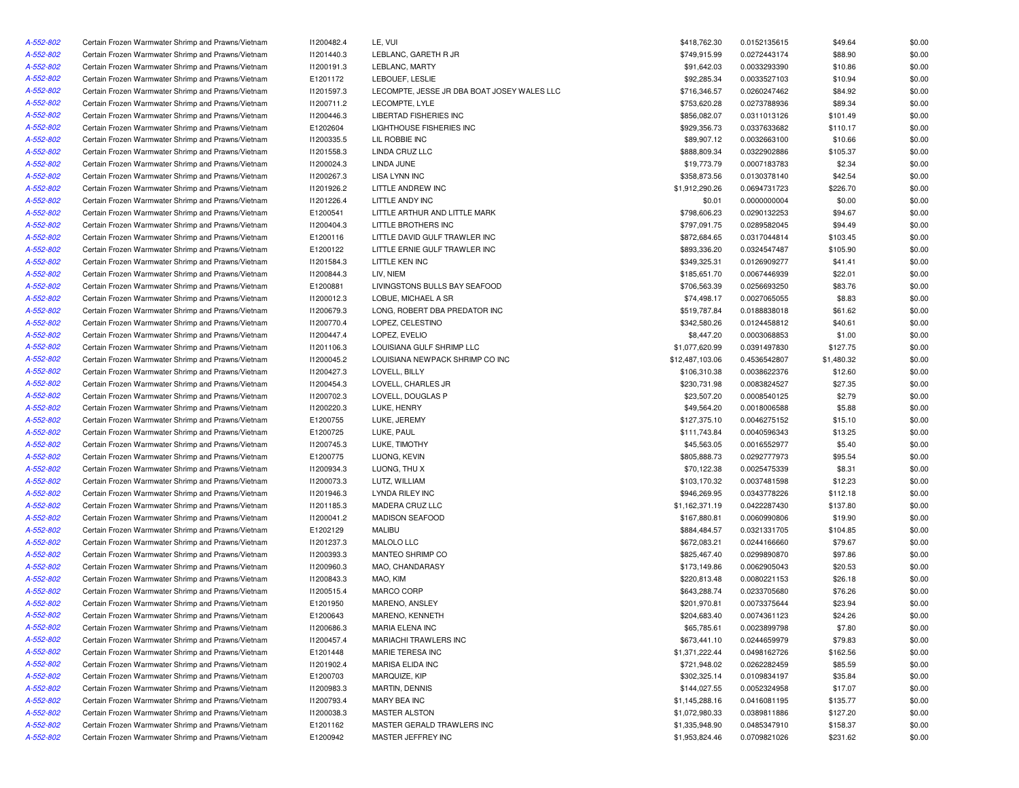| A-552-802 | Certain Frozen Warmwater Shrimp and Prawns/Vietnam | 11200482.4 | LE, VUI                                     | \$418,762.30    | 0.0152135615 | \$49.64    | \$0.00 |
|-----------|----------------------------------------------------|------------|---------------------------------------------|-----------------|--------------|------------|--------|
| A-552-802 | Certain Frozen Warmwater Shrimp and Prawns/Vietnam | 11201440.3 | LEBLANC, GARETH R JR                        | \$749,915.99    | 0.0272443174 | \$88.90    | \$0.00 |
| A-552-802 | Certain Frozen Warmwater Shrimp and Prawns/Vietnam | 11200191.3 | LEBLANC, MARTY                              | \$91,642.03     | 0.0033293390 | \$10.86    | \$0.00 |
| A-552-802 | Certain Frozen Warmwater Shrimp and Prawns/Vietnam | E1201172   | LEBOUEF, LESLIE                             | \$92,285.34     | 0.0033527103 | \$10.94    | \$0.00 |
| A-552-802 | Certain Frozen Warmwater Shrimp and Prawns/Vietnam | I1201597.3 | LECOMPTE, JESSE JR DBA BOAT JOSEY WALES LLC | \$716,346.57    | 0.0260247462 | \$84.92    | \$0.00 |
| A-552-802 | Certain Frozen Warmwater Shrimp and Prawns/Vietnam | 11200711.2 | LECOMPTE, LYLE                              | \$753,620.28    | 0.0273788936 | \$89.34    | \$0.00 |
| A-552-802 | Certain Frozen Warmwater Shrimp and Prawns/Vietnam | I1200446.3 | LIBERTAD FISHERIES INC                      | \$856,082.07    | 0.0311013126 | \$101.49   | \$0.00 |
| A-552-802 | Certain Frozen Warmwater Shrimp and Prawns/Vietnam | E1202604   | LIGHTHOUSE FISHERIES INC                    | \$929,356.73    | 0.0337633682 | \$110.17   | \$0.00 |
| A-552-802 | Certain Frozen Warmwater Shrimp and Prawns/Vietnam | I1200335.5 | LIL ROBBIE INC                              | \$89,907.12     | 0.0032663100 | \$10.66    | \$0.00 |
| A-552-802 | Certain Frozen Warmwater Shrimp and Prawns/Vietnam | 11201558.3 | LINDA CRUZ LLC                              | \$888,809.34    | 0.0322902886 | \$105.37   | \$0.00 |
| A-552-802 | Certain Frozen Warmwater Shrimp and Prawns/Vietnam | I1200024.3 | LINDA JUNE                                  | \$19,773.79     | 0.0007183783 | \$2.34     | \$0.00 |
| A-552-802 | Certain Frozen Warmwater Shrimp and Prawns/Vietnam | I1200267.3 | LISA LYNN INC                               | \$358,873.56    | 0.0130378140 | \$42.54    | \$0.00 |
| A-552-802 | Certain Frozen Warmwater Shrimp and Prawns/Vietnam | 11201926.2 | LITTLE ANDREW INC                           | \$1,912,290.26  | 0.0694731723 | \$226.70   | \$0.00 |
| A-552-802 | Certain Frozen Warmwater Shrimp and Prawns/Vietnam | 11201226.4 | LITTLE ANDY INC                             | \$0.01          | 0.0000000004 | \$0.00     | \$0.00 |
| A-552-802 | Certain Frozen Warmwater Shrimp and Prawns/Vietnam | E1200541   | LITTLE ARTHUR AND LITTLE MARK               | \$798,606.23    | 0.0290132253 | \$94.67    | \$0.00 |
| A-552-802 | Certain Frozen Warmwater Shrimp and Prawns/Vietnam | I1200404.3 | LITTLE BROTHERS INC                         | \$797,091.75    | 0.0289582045 | \$94.49    | \$0.00 |
| A-552-802 | Certain Frozen Warmwater Shrimp and Prawns/Vietnam | E1200116   | LITTLE DAVID GULF TRAWLER INC               | \$872,684.65    | 0.0317044814 | \$103.45   | \$0.00 |
| A-552-802 | Certain Frozen Warmwater Shrimp and Prawns/Vietnam | E1200122   | LITTLE ERNIE GULF TRAWLER INC               | \$893,336.20    |              | \$105.90   | \$0.00 |
|           |                                                    |            | LITTLE KEN INC                              | \$349,325.31    | 0.0324547487 |            |        |
| A-552-802 | Certain Frozen Warmwater Shrimp and Prawns/Vietnam | 11201584.3 |                                             |                 | 0.0126909277 | \$41.41    | \$0.00 |
| A-552-802 | Certain Frozen Warmwater Shrimp and Prawns/Vietnam | 11200844.3 | LIV, NIEM                                   | \$185,651.70    | 0.0067446939 | \$22.01    | \$0.00 |
| A-552-802 | Certain Frozen Warmwater Shrimp and Prawns/Vietnam | E1200881   | LIVINGSTONS BULLS BAY SEAFOOD               | \$706,563.39    | 0.0256693250 | \$83.76    | \$0.00 |
| A-552-802 | Certain Frozen Warmwater Shrimp and Prawns/Vietnam | I1200012.3 | LOBUE, MICHAEL A SR                         | \$74,498.17     | 0.0027065055 | \$8.83     | \$0.00 |
| A-552-802 | Certain Frozen Warmwater Shrimp and Prawns/Vietnam | I1200679.3 | LONG, ROBERT DBA PREDATOR INC               | \$519,787.84    | 0.0188838018 | \$61.62    | \$0.00 |
| A-552-802 | Certain Frozen Warmwater Shrimp and Prawns/Vietnam | 11200770.4 | LOPEZ, CELESTINO                            | \$342,580.26    | 0.0124458812 | \$40.61    | \$0.00 |
| A-552-802 | Certain Frozen Warmwater Shrimp and Prawns/Vietnam | 11200447.4 | LOPEZ. EVELIO                               | \$8,447.20      | 0.0003068853 | \$1.00     | \$0.00 |
| A-552-802 | Certain Frozen Warmwater Shrimp and Prawns/Vietnam | 11201106.3 | LOUISIANA GULF SHRIMP LLC                   | \$1,077,620.99  | 0.0391497830 | \$127.75   | \$0.00 |
| A-552-802 | Certain Frozen Warmwater Shrimp and Prawns/Vietnam | I1200045.2 | LOUISIANA NEWPACK SHRIMP CO INC             | \$12,487,103.06 | 0.4536542807 | \$1,480.32 | \$0.00 |
| A-552-802 | Certain Frozen Warmwater Shrimp and Prawns/Vietnam | I1200427.3 | LOVELL, BILLY                               | \$106,310.38    | 0.0038622376 | \$12.60    | \$0.00 |
| A-552-802 | Certain Frozen Warmwater Shrimp and Prawns/Vietnam | I1200454.3 | LOVELL, CHARLES JR                          | \$230,731.98    | 0.0083824527 | \$27.35    | \$0.00 |
| A-552-802 | Certain Frozen Warmwater Shrimp and Prawns/Vietnam | I1200702.3 | LOVELL, DOUGLAS P                           | \$23,507.20     | 0.0008540125 | \$2.79     | \$0.00 |
| A-552-802 | Certain Frozen Warmwater Shrimp and Prawns/Vietnam | I1200220.3 | LUKE, HENRY                                 | \$49,564.20     | 0.0018006588 | \$5.88     | \$0.00 |
| A-552-802 | Certain Frozen Warmwater Shrimp and Prawns/Vietnam | E1200755   | LUKE, JEREMY                                | \$127,375.10    | 0.0046275152 | \$15.10    | \$0.00 |
| A-552-802 | Certain Frozen Warmwater Shrimp and Prawns/Vietnam | E1200725   | LUKE, PAUL                                  | \$111,743.84    | 0.0040596343 | \$13.25    | \$0.00 |
| A-552-802 | Certain Frozen Warmwater Shrimp and Prawns/Vietnam | I1200745.3 | LUKE, TIMOTHY                               | \$45,563.05     | 0.0016552977 | \$5.40     | \$0.00 |
| A-552-802 | Certain Frozen Warmwater Shrimp and Prawns/Vietnam | E1200775   | LUONG, KEVIN                                | \$805,888.73    | 0.0292777973 | \$95.54    | \$0.00 |
| A-552-802 | Certain Frozen Warmwater Shrimp and Prawns/Vietnam | 11200934.3 | LUONG, THU X                                | \$70,122.38     | 0.0025475339 | \$8.31     | \$0.00 |
| A-552-802 | Certain Frozen Warmwater Shrimp and Prawns/Vietnam | I1200073.3 | LUTZ, WILLIAM                               | \$103,170.32    | 0.0037481598 | \$12.23    | \$0.00 |
| A-552-802 | Certain Frozen Warmwater Shrimp and Prawns/Vietnam | 11201946.3 | LYNDA RILEY INC                             | \$946,269.95    | 0.0343778226 | \$112.18   | \$0.00 |
| A-552-802 | Certain Frozen Warmwater Shrimp and Prawns/Vietnam | 11201185.3 | MADERA CRUZ LLC                             | \$1,162,371.19  | 0.0422287430 | \$137.80   | \$0.00 |
| A-552-802 | Certain Frozen Warmwater Shrimp and Prawns/Vietnam | 11200041.2 | <b>MADISON SEAFOOD</b>                      | \$167,880.81    | 0.0060990806 | \$19.90    | \$0.00 |
| A-552-802 | Certain Frozen Warmwater Shrimp and Prawns/Vietnam | E1202129   | <b>MALIBU</b>                               | \$884,484.57    | 0.0321331705 | \$104.85   | \$0.00 |
| A-552-802 | Certain Frozen Warmwater Shrimp and Prawns/Vietnam | 11201237.3 | MALOLO LLC                                  | \$672,083.21    | 0.0244166660 | \$79.67    | \$0.00 |
| A-552-802 | Certain Frozen Warmwater Shrimp and Prawns/Vietnam | 11200393.3 | MANTEO SHRIMP CO                            | \$825,467.40    | 0.0299890870 | \$97.86    | \$0.00 |
| A-552-802 | Certain Frozen Warmwater Shrimp and Prawns/Vietnam | I1200960.3 | MAO, CHANDARASY                             | \$173,149.86    | 0.0062905043 | \$20.53    | \$0.00 |
| A-552-802 | Certain Frozen Warmwater Shrimp and Prawns/Vietnam | 11200843.3 | MAO, KIM                                    | \$220,813.48    | 0.0080221153 | \$26.18    | \$0.00 |
| A-552-802 | Certain Frozen Warmwater Shrimp and Prawns/Vietnam | I1200515.4 | MARCO CORP                                  | \$643,288.74    | 0.0233705680 | \$76.26    | \$0.00 |
| A-552-802 | Certain Frozen Warmwater Shrimp and Prawns/Vietnam | E1201950   | MARENO, ANSLEY                              | \$201,970.81    | 0.0073375644 | \$23.94    | \$0.00 |
| A-552-802 | Certain Frozen Warmwater Shrimp and Prawns/Vietnam | E1200643   | MARENO, KENNETH                             | \$204,683.40    | 0.0074361123 | \$24.26    | \$0.00 |
| A-552-802 |                                                    |            |                                             |                 |              |            |        |
|           | Certain Frozen Warmwater Shrimp and Prawns/Vietnam | I1200686.3 | MARIA ELENA INC<br>MARIACHI TRAWLERS INC    | \$65,785.61     | 0.0023899798 | \$7.80     | \$0.00 |
| A-552-802 | Certain Frozen Warmwater Shrimp and Prawns/Vietnam | I1200457.4 |                                             | \$673,441.10    | 0.0244659979 | \$79.83    | \$0.00 |
| A-552-802 | Certain Frozen Warmwater Shrimp and Prawns/Vietnam | E1201448   | MARIE TERESA INC                            | \$1,371,222.44  | 0.0498162726 | \$162.56   | \$0.00 |
| A-552-802 | Certain Frozen Warmwater Shrimp and Prawns/Vietnam | 11201902.4 | MARISA ELIDA INC                            | \$721,948.02    | 0.0262282459 | \$85.59    | \$0.00 |
| A-552-802 | Certain Frozen Warmwater Shrimp and Prawns/Vietnam | E1200703   | MARQUIZE, KIP                               | \$302,325.14    | 0.0109834197 | \$35.84    | \$0.00 |
| A-552-802 | Certain Frozen Warmwater Shrimp and Prawns/Vietnam | 11200983.3 | MARTIN, DENNIS                              | \$144,027.55    | 0.0052324958 | \$17.07    | \$0.00 |
| A-552-802 | Certain Frozen Warmwater Shrimp and Prawns/Vietnam | 11200793.4 | MARY BEA INC                                | \$1,145,288.16  | 0.0416081195 | \$135.77   | \$0.00 |
| A-552-802 | Certain Frozen Warmwater Shrimp and Prawns/Vietnam | 11200038.3 | <b>MASTER ALSTON</b>                        | \$1,072,980.33  | 0.0389811886 | \$127.20   | \$0.00 |
| A-552-802 | Certain Frozen Warmwater Shrimp and Prawns/Vietnam | E1201162   | MASTER GERALD TRAWLERS INC                  | \$1,335,948.90  | 0.0485347910 | \$158.37   | \$0.00 |
| A-552-802 | Certain Frozen Warmwater Shrimp and Prawns/Vietnam | E1200942   | MASTER JEFFREY INC                          | \$1,953,824.46  | 0.0709821026 | \$231.62   | \$0.00 |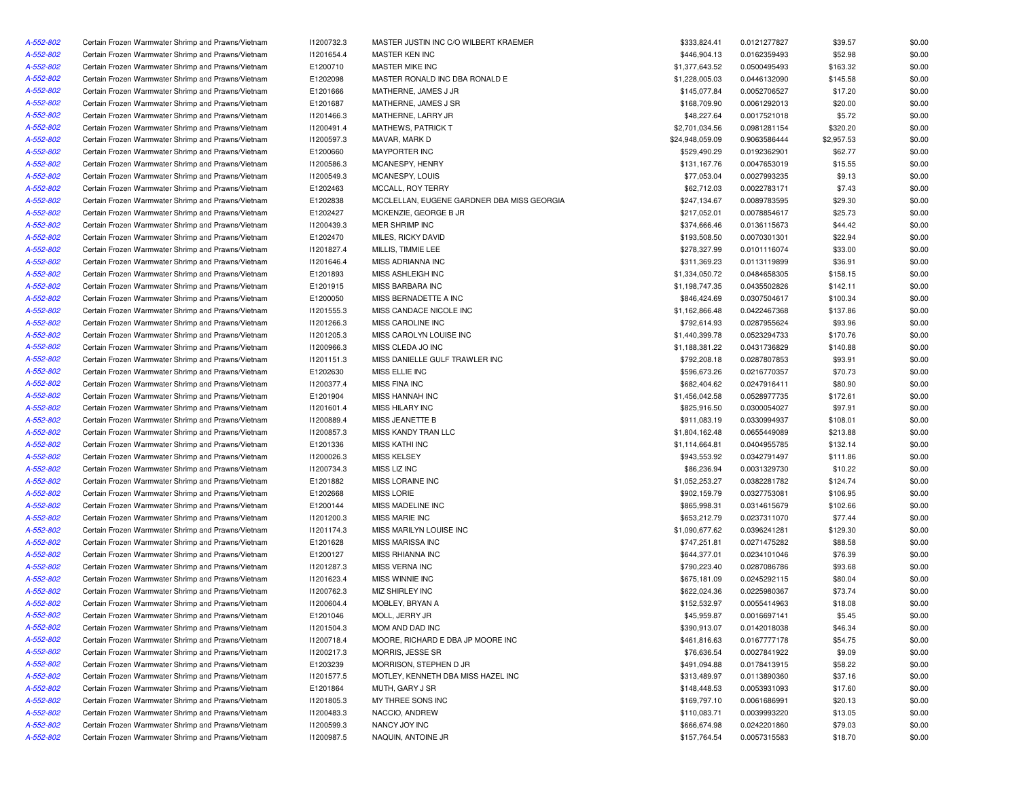| A-552-802 | Certain Frozen Warmwater Shrimp and Prawns/Vietnam | 11200732.3 | MASTER JUSTIN INC C/O WILBERT KRAEMER      | \$333,824.41    | 0.0121277827 | \$39.57    | \$0.00 |
|-----------|----------------------------------------------------|------------|--------------------------------------------|-----------------|--------------|------------|--------|
| A-552-802 | Certain Frozen Warmwater Shrimp and Prawns/Vietnam | 11201654.4 | MASTER KEN INC                             | \$446,904.13    | 0.0162359493 | \$52.98    | \$0.00 |
| A-552-802 | Certain Frozen Warmwater Shrimp and Prawns/Vietnam | E1200710   | MASTER MIKE INC                            | \$1,377,643.52  | 0.0500495493 | \$163.32   | \$0.00 |
| A-552-802 | Certain Frozen Warmwater Shrimp and Prawns/Vietnam | E1202098   | MASTER RONALD INC DBA RONALD E             | \$1,228,005.03  | 0.0446132090 | \$145.58   | \$0.00 |
| A-552-802 | Certain Frozen Warmwater Shrimp and Prawns/Vietnam | E1201666   | MATHERNE, JAMES J JR                       | \$145,077.84    | 0.0052706527 | \$17.20    | \$0.00 |
| A-552-802 | Certain Frozen Warmwater Shrimp and Prawns/Vietnam | E1201687   | MATHERNE, JAMES J SR                       | \$168,709.90    | 0.0061292013 | \$20.00    | \$0.00 |
| A-552-802 | Certain Frozen Warmwater Shrimp and Prawns/Vietnam | I1201466.3 | MATHERNE, LARRY JR                         | \$48,227.64     | 0.0017521018 | \$5.72     | \$0.00 |
| A-552-802 | Certain Frozen Warmwater Shrimp and Prawns/Vietnam | 11200491.4 | <b>MATHEWS, PATRICK T</b>                  | \$2,701,034.56  | 0.0981281154 | \$320.20   | \$0.00 |
| A-552-802 | Certain Frozen Warmwater Shrimp and Prawns/Vietnam | 11200597.3 | MAVAR, MARK D                              | \$24,948,059.09 | 0.9063586444 | \$2,957.53 | \$0.00 |
| A-552-802 | Certain Frozen Warmwater Shrimp and Prawns/Vietnam | E1200660   | <b>MAYPORTER INC</b>                       | \$529,490.29    | 0.0192362901 | \$62.77    | \$0.00 |
| A-552-802 | Certain Frozen Warmwater Shrimp and Prawns/Vietnam | I1200586.3 | MCANESPY, HENRY                            | \$131,167.76    | 0.0047653019 | \$15.55    | \$0.00 |
| A-552-802 | Certain Frozen Warmwater Shrimp and Prawns/Vietnam | 11200549.3 | MCANESPY, LOUIS                            | \$77,053.04     | 0.0027993235 | \$9.13     | \$0.00 |
| A-552-802 | Certain Frozen Warmwater Shrimp and Prawns/Vietnam | E1202463   | MCCALL, ROY TERRY                          | \$62,712.03     | 0.0022783171 | \$7.43     | \$0.00 |
| A-552-802 | Certain Frozen Warmwater Shrimp and Prawns/Vietnam | E1202838   | MCCLELLAN. EUGENE GARDNER DBA MISS GEORGIA | \$247,134.67    | 0.0089783595 | \$29.30    | \$0.00 |
| A-552-802 | Certain Frozen Warmwater Shrimp and Prawns/Vietnam | E1202427   | MCKENZIE, GEORGE B JR                      | \$217,052.01    | 0.0078854617 | \$25.73    | \$0.00 |
| A-552-802 | Certain Frozen Warmwater Shrimp and Prawns/Vietnam | 11200439.3 | MER SHRIMP INC                             | \$374,666.46    | 0.0136115673 | \$44.42    | \$0.00 |
| A-552-802 | Certain Frozen Warmwater Shrimp and Prawns/Vietnam | E1202470   | MILES, RICKY DAVID                         | \$193,508.50    | 0.0070301301 | \$22.94    | \$0.00 |
| A-552-802 | Certain Frozen Warmwater Shrimp and Prawns/Vietnam | 11201827.4 | MILLIS, TIMMIE LEE                         | \$278,327.99    | 0.0101116074 | \$33.00    | \$0.00 |
| A-552-802 | Certain Frozen Warmwater Shrimp and Prawns/Vietnam | 11201646.4 | MISS ADRIANNA INC                          | \$311,369.23    | 0.0113119899 | \$36.91    | \$0.00 |
| A-552-802 | Certain Frozen Warmwater Shrimp and Prawns/Vietnam | E1201893   | MISS ASHLEIGH INC                          | \$1,334,050.72  | 0.0484658305 | \$158.15   | \$0.00 |
| A-552-802 | Certain Frozen Warmwater Shrimp and Prawns/Vietnam | E1201915   | MISS BARBARA INC                           | \$1,198,747.35  | 0.0435502826 | \$142.11   | \$0.00 |
| A-552-802 | Certain Frozen Warmwater Shrimp and Prawns/Vietnam | E1200050   | MISS BERNADETTE A INC                      | \$846,424.69    | 0.0307504617 | \$100.34   | \$0.00 |
| A-552-802 | Certain Frozen Warmwater Shrimp and Prawns/Vietnam | 11201555.3 | MISS CANDACE NICOLE INC                    | \$1,162,866.48  | 0.0422467368 | \$137.86   | \$0.00 |
| A-552-802 | Certain Frozen Warmwater Shrimp and Prawns/Vietnam | 11201266.3 | MISS CAROLINE INC                          | \$792,614.93    | 0.0287955624 | \$93.96    | \$0.00 |
| A-552-802 | Certain Frozen Warmwater Shrimp and Prawns/Vietnam | 11201205.3 | MISS CAROLYN LOUISE INC                    | \$1,440,399.78  | 0.0523294733 | \$170.76   | \$0.00 |
| A-552-802 | Certain Frozen Warmwater Shrimp and Prawns/Vietnam | I1200966.3 | MISS CLEDA JO INC                          | \$1,188,381.22  | 0.0431736829 | \$140.88   | \$0.00 |
| A-552-802 | Certain Frozen Warmwater Shrimp and Prawns/Vietnam | 11201151.3 | MISS DANIELLE GULF TRAWLER INC             | \$792,208.18    | 0.0287807853 | \$93.91    | \$0.00 |
| A-552-802 | Certain Frozen Warmwater Shrimp and Prawns/Vietnam | E1202630   | MISS ELLIE INC                             | \$596,673.26    | 0.0216770357 | \$70.73    | \$0.00 |
| A-552-802 | Certain Frozen Warmwater Shrimp and Prawns/Vietnam | 11200377.4 | <b>MISS FINA INC</b>                       | \$682,404.62    |              | \$80.90    | \$0.00 |
|           |                                                    |            |                                            |                 | 0.0247916411 |            |        |
| A-552-802 | Certain Frozen Warmwater Shrimp and Prawns/Vietnam | E1201904   | MISS HANNAH INC                            | \$1,456,042.58  | 0.0528977735 | \$172.61   | \$0.00 |
| A-552-802 | Certain Frozen Warmwater Shrimp and Prawns/Vietnam | 11201601.4 | MISS HILARY INC                            | \$825,916.50    | 0.0300054027 | \$97.91    | \$0.00 |
| A-552-802 | Certain Frozen Warmwater Shrimp and Prawns/Vietnam | 11200889.4 | MISS JEANETTE B                            | \$911,083.19    | 0.0330994937 | \$108.01   | \$0.00 |
| A-552-802 | Certain Frozen Warmwater Shrimp and Prawns/Vietnam | I1200857.3 | MISS KANDY TRAN LLC                        | \$1,804,162.48  | 0.0655449089 | \$213.88   | \$0.00 |
| A-552-802 | Certain Frozen Warmwater Shrimp and Prawns/Vietnam | E1201336   | <b>MISS KATHI INC</b>                      | \$1,114,664.81  | 0.0404955785 | \$132.14   | \$0.00 |
| A-552-802 | Certain Frozen Warmwater Shrimp and Prawns/Vietnam | I1200026.3 | <b>MISS KELSEY</b>                         | \$943,553.92    | 0.0342791497 | \$111.86   | \$0.00 |
| A-552-802 | Certain Frozen Warmwater Shrimp and Prawns/Vietnam | 11200734.3 | MISS LIZ INC                               | \$86,236.94     | 0.0031329730 | \$10.22    | \$0.00 |
| A-552-802 | Certain Frozen Warmwater Shrimp and Prawns/Vietnam | E1201882   | MISS LORAINE INC                           | \$1,052,253.27  | 0.0382281782 | \$124.74   | \$0.00 |
| A-552-802 | Certain Frozen Warmwater Shrimp and Prawns/Vietnam | E1202668   | <b>MISS LORIE</b>                          | \$902,159.79    | 0.0327753081 | \$106.95   | \$0.00 |
| A-552-802 | Certain Frozen Warmwater Shrimp and Prawns/Vietnam | E1200144   | MISS MADELINE INC                          | \$865,998.31    | 0.0314615679 | \$102.66   | \$0.00 |
| A-552-802 | Certain Frozen Warmwater Shrimp and Prawns/Vietnam | I1201200.3 | MISS MARIE INC                             | \$653,212.79    | 0.0237311070 | \$77.44    | \$0.00 |
| A-552-802 | Certain Frozen Warmwater Shrimp and Prawns/Vietnam | 11201174.3 | MISS MARILYN LOUISE INC                    | \$1,090,677.62  | 0.0396241281 | \$129.30   | \$0.00 |
| A-552-802 | Certain Frozen Warmwater Shrimp and Prawns/Vietnam | E1201628   | <b>MISS MARISSA INC</b>                    | \$747,251.81    | 0.0271475282 | \$88.58    | \$0.00 |
| A-552-802 | Certain Frozen Warmwater Shrimp and Prawns/Vietnam | E1200127   | <b>MISS RHIANNA INC</b>                    | \$644,377.01    | 0.0234101046 | \$76.39    | \$0.00 |
| A-552-802 | Certain Frozen Warmwater Shrimp and Prawns/Vietnam | 11201287.3 | MISS VERNA INC                             | \$790,223.40    | 0.0287086786 | \$93.68    | \$0.00 |
| A-552-802 | Certain Frozen Warmwater Shrimp and Prawns/Vietnam | 11201623.4 | MISS WINNIE INC                            | \$675,181.09    | 0.0245292115 | \$80.04    | \$0.00 |
| A-552-802 | Certain Frozen Warmwater Shrimp and Prawns/Vietnam | 11200762.3 | MIZ SHIRLEY INC                            | \$622,024.36    | 0.0225980367 | \$73.74    | \$0.00 |
| A-552-802 | Certain Frozen Warmwater Shrimp and Prawns/Vietnam | 11200604.4 | MOBLEY, BRYAN A                            | \$152,532.97    | 0.0055414963 | \$18.08    | \$0.00 |
| A-552-802 | Certain Frozen Warmwater Shrimp and Prawns/Vietnam | E1201046   | MOLL, JERRY JR                             | \$45,959.87     | 0.0016697141 | \$5.45     | \$0.00 |
| A-552-802 | Certain Frozen Warmwater Shrimp and Prawns/Vietnam | 11201504.3 | MOM AND DAD INC                            | \$390,913.07    | 0.0142018038 | \$46.34    | \$0.00 |
| A-552-802 | Certain Frozen Warmwater Shrimp and Prawns/Vietnam | 11200718.4 | MOORE, RICHARD E DBA JP MOORE INC          | \$461,816.63    | 0.0167777178 | \$54.75    | \$0.00 |
| A-552-802 | Certain Frozen Warmwater Shrimp and Prawns/Vietnam | 11200217.3 | MORRIS, JESSE SR                           | \$76,636.54     | 0.0027841922 | \$9.09     | \$0.00 |
| A-552-802 | Certain Frozen Warmwater Shrimp and Prawns/Vietnam | E1203239   | MORRISON, STEPHEN D JR                     | \$491,094.88    | 0.0178413915 | \$58.22    | \$0.00 |
| A-552-802 | Certain Frozen Warmwater Shrimp and Prawns/Vietnam | 11201577.5 | MOTLEY, KENNETH DBA MISS HAZEL INC         | \$313,489.97    | 0.0113890360 | \$37.16    | \$0.00 |
| A-552-802 | Certain Frozen Warmwater Shrimp and Prawns/Vietnam | E1201864   | MUTH, GARY J SR                            | \$148,448.53    | 0.0053931093 | \$17.60    | \$0.00 |
| A-552-802 | Certain Frozen Warmwater Shrimp and Prawns/Vietnam | 11201805.3 | MY THREE SONS INC                          | \$169,797.10    | 0.0061686991 | \$20.13    | \$0.00 |
| A-552-802 | Certain Frozen Warmwater Shrimp and Prawns/Vietnam | 11200483.3 | NACCIO, ANDREW                             | \$110,083.71    | 0.0039993220 | \$13.05    | \$0.00 |
| A-552-802 | Certain Frozen Warmwater Shrimp and Prawns/Vietnam | I1200599.3 | NANCY JOY INC                              | \$666,674.98    | 0.0242201860 | \$79.03    | \$0.00 |
| A-552-802 | Certain Frozen Warmwater Shrimp and Prawns/Vietnam | I1200987.5 | NAQUIN, ANTOINE JR                         | \$157,764.54    | 0.0057315583 | \$18.70    | \$0.00 |
|           |                                                    |            |                                            |                 |              |            |        |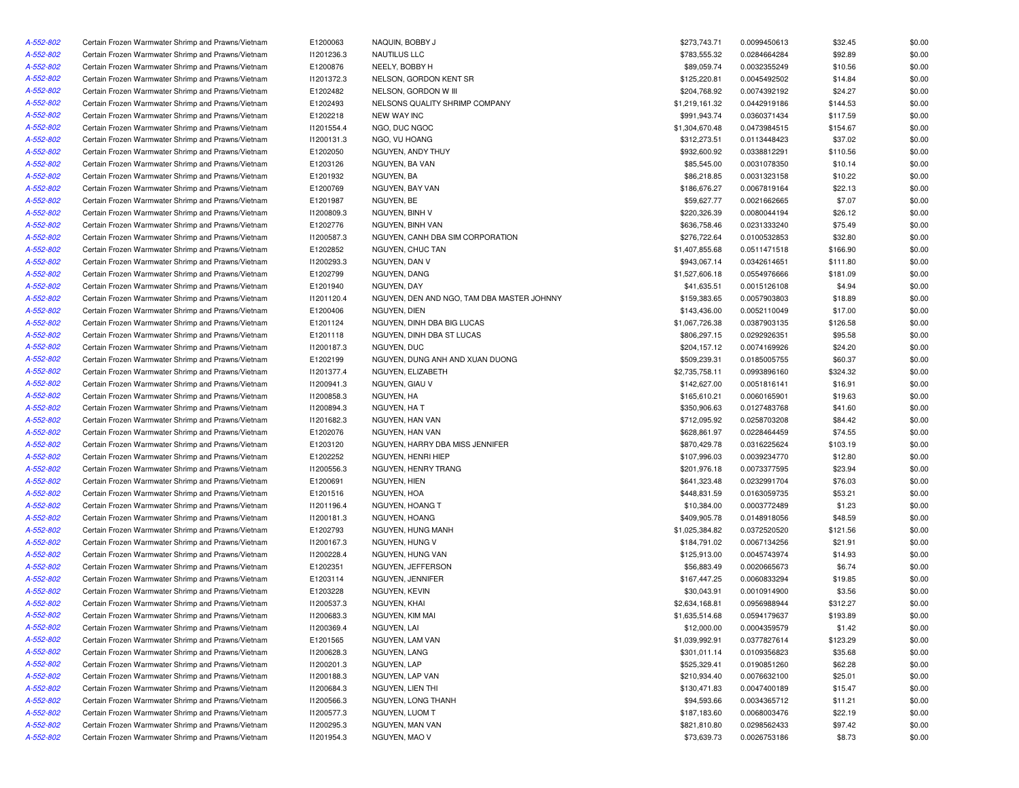| A-552-802              | Certain Frozen Warmwater Shrimp and Prawns/Vietnam | E1200063   | NAQUIN, BOBBY J                            | \$273,743.71   | 0.0099450613 | \$32.45  | \$0.00 |
|------------------------|----------------------------------------------------|------------|--------------------------------------------|----------------|--------------|----------|--------|
| A-552-802              | Certain Frozen Warmwater Shrimp and Prawns/Vietnam | 11201236.3 | NAUTILUS LLC                               | \$783,555.32   | 0.0284664284 | \$92.89  | \$0.00 |
| A-552-802              | Certain Frozen Warmwater Shrimp and Prawns/Vietnam | E1200876   | NEELY, BOBBY H                             | \$89,059.74    | 0.0032355249 | \$10.56  | \$0.00 |
| A-552-802              | Certain Frozen Warmwater Shrimp and Prawns/Vietnam | 11201372.3 | NELSON, GORDON KENT SR                     | \$125,220.81   | 0.0045492502 | \$14.84  | \$0.00 |
| A-552-802              | Certain Frozen Warmwater Shrimp and Prawns/Vietnam | E1202482   | NELSON, GORDON W III                       | \$204,768.92   | 0.0074392192 | \$24.27  | \$0.00 |
| A-552-802              | Certain Frozen Warmwater Shrimp and Prawns/Vietnam | E1202493   | NELSONS QUALITY SHRIMP COMPANY             | \$1,219,161.32 | 0.0442919186 | \$144.53 | \$0.00 |
| A-552-802              | Certain Frozen Warmwater Shrimp and Prawns/Vietnam | E1202218   | <b>NEW WAY INC</b>                         | \$991,943.74   | 0.0360371434 | \$117.59 | \$0.00 |
| A-552-802              | Certain Frozen Warmwater Shrimp and Prawns/Vietnam | 11201554.4 | NGO, DUC NGOC                              | \$1,304,670.48 | 0.0473984515 | \$154.67 | \$0.00 |
| A-552-802              | Certain Frozen Warmwater Shrimp and Prawns/Vietnam | 11200131.3 | NGO, VU HOANG                              | \$312,273.51   | 0.0113448423 | \$37.02  | \$0.00 |
| A-552-802              | Certain Frozen Warmwater Shrimp and Prawns/Vietnam | E1202050   | NGUYEN, ANDY THUY                          | \$932,600.92   | 0.0338812291 | \$110.56 | \$0.00 |
| A-552-802              | Certain Frozen Warmwater Shrimp and Prawns/Vietnam | E1203126   | NGUYEN, BA VAN                             | \$85,545.00    | 0.0031078350 | \$10.14  | \$0.00 |
| A-552-802              | Certain Frozen Warmwater Shrimp and Prawns/Vietnam | E1201932   | NGUYEN, BA                                 | \$86,218.85    | 0.0031323158 | \$10.22  | \$0.00 |
| A-552-802              | Certain Frozen Warmwater Shrimp and Prawns/Vietnam | E1200769   | NGUYEN, BAY VAN                            | \$186,676.27   | 0.0067819164 | \$22.13  | \$0.00 |
| A-552-802              | Certain Frozen Warmwater Shrimp and Prawns/Vietnam | E1201987   | NGUYEN, BE                                 | \$59,627.77    | 0.0021662665 | \$7.07   | \$0.00 |
| A-552-802              | Certain Frozen Warmwater Shrimp and Prawns/Vietnam | 11200809.3 | NGUYEN, BINH V                             | \$220,326.39   | 0.0080044194 | \$26.12  | \$0.00 |
| A-552-802              | Certain Frozen Warmwater Shrimp and Prawns/Vietnam | E1202776   | NGUYEN, BINH VAN                           | \$636,758.46   | 0.0231333240 | \$75.49  | \$0.00 |
|                        |                                                    |            | NGUYEN, CANH DBA SIM CORPORATION           |                |              |          |        |
| A-552-802              | Certain Frozen Warmwater Shrimp and Prawns/Vietnam | 11200587.3 |                                            | \$276,722.64   | 0.0100532853 | \$32.80  | \$0.00 |
| A-552-802              | Certain Frozen Warmwater Shrimp and Prawns/Vietnam | E1202852   | NGUYEN, CHUC TAN                           | \$1,407,855.68 | 0.0511471518 | \$166.90 | \$0.00 |
| A-552-802              | Certain Frozen Warmwater Shrimp and Prawns/Vietnam | 11200293.3 | NGUYEN, DAN V                              | \$943,067.14   | 0.0342614651 | \$111.80 | \$0.00 |
| A-552-802              | Certain Frozen Warmwater Shrimp and Prawns/Vietnam | E1202799   | NGUYEN, DANG                               | \$1,527,606.18 | 0.0554976666 | \$181.09 | \$0.00 |
| A-552-802              | Certain Frozen Warmwater Shrimp and Prawns/Vietnam | E1201940   | NGUYEN, DAY                                | \$41,635.51    | 0.0015126108 | \$4.94   | \$0.00 |
| A-552-802              | Certain Frozen Warmwater Shrimp and Prawns/Vietnam | 11201120.4 | NGUYEN, DEN AND NGO, TAM DBA MASTER JOHNNY | \$159,383.65   | 0.0057903803 | \$18.89  | \$0.00 |
| A-552-802              | Certain Frozen Warmwater Shrimp and Prawns/Vietnam | E1200406   | NGUYEN, DIEN                               | \$143,436.00   | 0.0052110049 | \$17.00  | \$0.00 |
| A-552-802              | Certain Frozen Warmwater Shrimp and Prawns/Vietnam | E1201124   | NGUYEN, DINH DBA BIG LUCAS                 | \$1,067,726.38 | 0.0387903135 | \$126.58 | \$0.00 |
| A-552-802              | Certain Frozen Warmwater Shrimp and Prawns/Vietnam | E1201118   | NGUYEN, DINH DBA ST LUCAS                  | \$806,297.15   | 0.0292926351 | \$95.58  | \$0.00 |
| A-552-802              | Certain Frozen Warmwater Shrimp and Prawns/Vietnam | 11200187.3 | NGUYEN, DUC                                | \$204,157.12   | 0.0074169926 | \$24.20  | \$0.00 |
| A-552-802              | Certain Frozen Warmwater Shrimp and Prawns/Vietnam | E1202199   | NGUYEN, DUNG ANH AND XUAN DUONG            | \$509,239.31   | 0.0185005755 | \$60.37  | \$0.00 |
| A-552-802              | Certain Frozen Warmwater Shrimp and Prawns/Vietnam | 11201377.4 | NGUYEN, ELIZABETH                          | \$2,735,758.11 | 0.0993896160 | \$324.32 | \$0.00 |
| A-552-802              | Certain Frozen Warmwater Shrimp and Prawns/Vietnam | 11200941.3 | NGUYEN, GIAU V                             | \$142,627.00   | 0.0051816141 | \$16.91  | \$0.00 |
| A-552-802              | Certain Frozen Warmwater Shrimp and Prawns/Vietnam | 11200858.3 | NGUYEN, HA                                 | \$165,610.21   | 0.0060165901 | \$19.63  | \$0.00 |
| A-552-802              | Certain Frozen Warmwater Shrimp and Prawns/Vietnam | 11200894.3 | NGUYEN, HA T                               | \$350,906.63   | 0.0127483768 | \$41.60  | \$0.00 |
| A-552-802              | Certain Frozen Warmwater Shrimp and Prawns/Vietnam | 11201682.3 | NGUYEN, HAN VAN                            | \$712,095.92   | 0.0258703208 | \$84.42  | \$0.00 |
| A-552-802              | Certain Frozen Warmwater Shrimp and Prawns/Vietnam | E1202076   | NGUYEN, HAN VAN                            | \$628,861.97   | 0.0228464459 | \$74.55  | \$0.00 |
| A-552-802              | Certain Frozen Warmwater Shrimp and Prawns/Vietnam | E1203120   | NGUYEN, HARRY DBA MISS JENNIFER            | \$870,429.78   | 0.0316225624 | \$103.19 | \$0.00 |
| A-552-802              | Certain Frozen Warmwater Shrimp and Prawns/Vietnam | E1202252   | NGUYEN, HENRI HIEP                         | \$107,996.03   | 0.0039234770 | \$12.80  | \$0.00 |
| A-552-802              | Certain Frozen Warmwater Shrimp and Prawns/Vietnam | 11200556.3 | NGUYEN, HENRY TRANG                        | \$201,976.18   | 0.0073377595 | \$23.94  | \$0.00 |
| A-552-802              | Certain Frozen Warmwater Shrimp and Prawns/Vietnam | E1200691   | NGUYEN, HIEN                               | \$641,323.48   | 0.0232991704 | \$76.03  | \$0.00 |
| A-552-802              | Certain Frozen Warmwater Shrimp and Prawns/Vietnam | E1201516   | NGUYEN, HOA                                | \$448,831.59   | 0.0163059735 | \$53.21  | \$0.00 |
| A-552-802              | Certain Frozen Warmwater Shrimp and Prawns/Vietnam | 11201196.4 | NGUYEN, HOANG T                            | \$10,384.00    | 0.0003772489 | \$1.23   | \$0.00 |
| A-552-802              | Certain Frozen Warmwater Shrimp and Prawns/Vietnam | 11200181.3 | NGUYEN, HOANG                              | \$409,905.78   | 0.0148918056 | \$48.59  | \$0.00 |
| A-552-802              | Certain Frozen Warmwater Shrimp and Prawns/Vietnam | E1202793   | NGUYEN, HUNG MANH                          | \$1,025,384.82 | 0.0372520520 | \$121.56 | \$0.00 |
| A-552-802              | Certain Frozen Warmwater Shrimp and Prawns/Vietnam | 11200167.3 | NGUYEN, HUNG V                             | \$184,791.02   | 0.0067134256 | \$21.91  | \$0.00 |
| A-552-802              | Certain Frozen Warmwater Shrimp and Prawns/Vietnam | 11200228.4 | NGUYEN, HUNG VAN                           | \$125,913.00   | 0.0045743974 | \$14.93  | \$0.00 |
| A-552-802              | Certain Frozen Warmwater Shrimp and Prawns/Vietnam | E1202351   | NGUYEN, JEFFERSON                          | \$56,883.49    | 0.0020665673 | \$6.74   | \$0.00 |
| A-552-802              | Certain Frozen Warmwater Shrimp and Prawns/Vietnam | E1203114   | NGUYEN, JENNIFER                           | \$167,447.25   | 0.0060833294 | \$19.85  | \$0.00 |
| A-552-802              | Certain Frozen Warmwater Shrimp and Prawns/Vietnam | E1203228   | NGUYEN, KEVIN                              | \$30,043.91    | 0.0010914900 | \$3.56   | \$0.00 |
| A-552-802              | Certain Frozen Warmwater Shrimp and Prawns/Vietnam | 11200537.3 | NGUYEN, KHAI                               | \$2,634,168.81 | 0.0956988944 | \$312.27 | \$0.00 |
| A-552-802              | Certain Frozen Warmwater Shrimp and Prawns/Vietnam | 11200683.3 | NGUYEN, KIM MAI                            | \$1,635,514.68 | 0.0594179637 | \$193.89 | \$0.00 |
|                        | Certain Frozen Warmwater Shrimp and Prawns/Vietnam | 11200369.4 | NGUYEN, LAI                                |                |              |          | \$0.00 |
| A-552-802<br>A-552-802 |                                                    |            |                                            | \$12,000.00    | 0.0004359579 | \$1.42   |        |
|                        | Certain Frozen Warmwater Shrimp and Prawns/Vietnam | E1201565   | NGUYEN, LAM VAN                            | \$1,039,992.91 | 0.0377827614 | \$123.29 | \$0.00 |
| A-552-802              | Certain Frozen Warmwater Shrimp and Prawns/Vietnam | 11200628.3 | NGUYEN, LANG                               | \$301,011.14   | 0.0109356823 | \$35.68  | \$0.00 |
| A-552-802              | Certain Frozen Warmwater Shrimp and Prawns/Vietnam | 11200201.3 | NGUYEN, LAP                                | \$525,329.41   | 0.0190851260 | \$62.28  | \$0.00 |
| A-552-802              | Certain Frozen Warmwater Shrimp and Prawns/Vietnam | 11200188.3 | NGUYEN, LAP VAN                            | \$210,934.40   | 0.0076632100 | \$25.01  | \$0.00 |
| A-552-802              | Certain Frozen Warmwater Shrimp and Prawns/Vietnam | 11200684.3 | NGUYEN, LIEN THI                           | \$130,471.83   | 0.0047400189 | \$15.47  | \$0.00 |
| A-552-802              | Certain Frozen Warmwater Shrimp and Prawns/Vietnam | I1200566.3 | NGUYEN, LONG THANH                         | \$94,593.66    | 0.0034365712 | \$11.21  | \$0.00 |
| A-552-802              | Certain Frozen Warmwater Shrimp and Prawns/Vietnam | I1200577.3 | NGUYEN, LUOM T                             | \$187,183.60   | 0.0068003476 | \$22.19  | \$0.00 |
| A-552-802              | Certain Frozen Warmwater Shrimp and Prawns/Vietnam | 11200295.3 | NGUYEN, MAN VAN                            | \$821,810.80   | 0.0298562433 | \$97.42  | \$0.00 |
| A-552-802              | Certain Frozen Warmwater Shrimp and Prawns/Vietnam | 11201954.3 | NGUYEN, MAO V                              | \$73,639.73    | 0.0026753186 | \$8.73   | \$0.00 |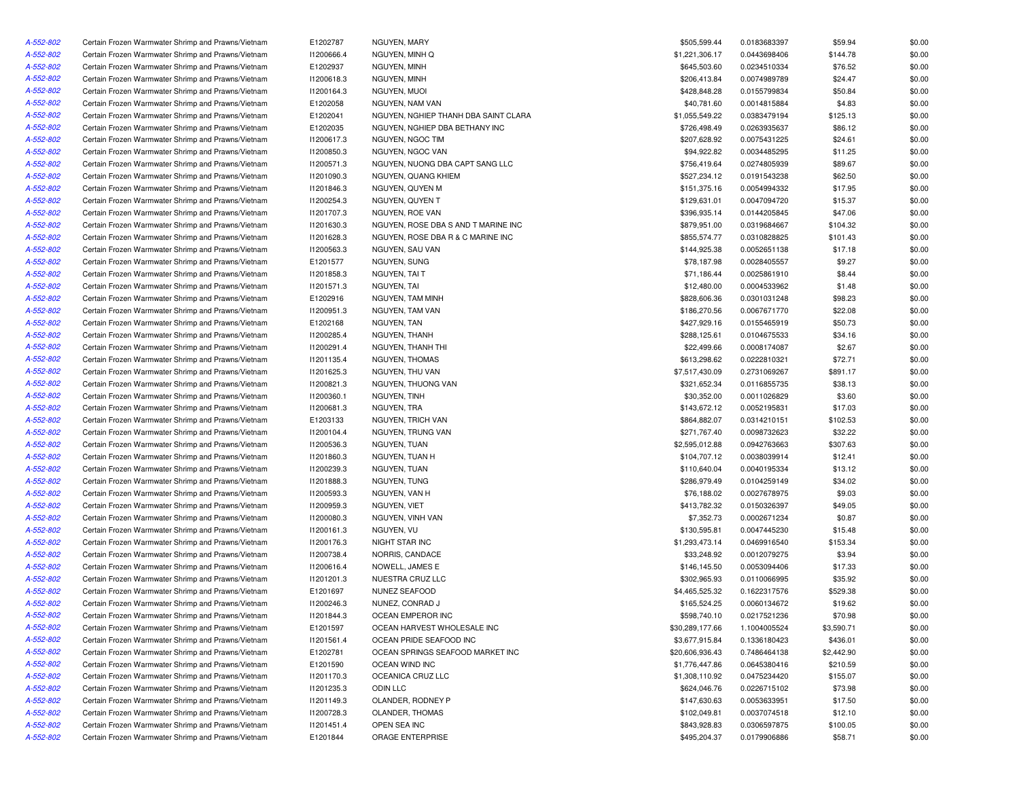| A-552-802 | Certain Frozen Warmwater Shrimp and Prawns/Vietnam | E1202787   | NGUYEN, MARY                         | \$505,599.44    | 0.0183683397 | \$59.94    | \$0.00 |
|-----------|----------------------------------------------------|------------|--------------------------------------|-----------------|--------------|------------|--------|
| A-552-802 | Certain Frozen Warmwater Shrimp and Prawns/Vietnam | 11200666.4 | NGUYEN, MINH Q                       | \$1,221,306.17  | 0.0443698406 | \$144.78   | \$0.00 |
| A-552-802 | Certain Frozen Warmwater Shrimp and Prawns/Vietnam | E1202937   | NGUYEN, MINH                         | \$645,503.60    | 0.0234510334 | \$76.52    | \$0.00 |
| A-552-802 | Certain Frozen Warmwater Shrimp and Prawns/Vietnam | 11200618.3 | NGUYEN, MINH                         | \$206,413.84    | 0.0074989789 | \$24.47    | \$0.00 |
| A-552-802 | Certain Frozen Warmwater Shrimp and Prawns/Vietnam | 11200164.3 | NGUYEN, MUOI                         | \$428,848.28    | 0.0155799834 | \$50.84    | \$0.00 |
| A-552-802 | Certain Frozen Warmwater Shrimp and Prawns/Vietnam | E1202058   | NGUYEN, NAM VAN                      | \$40,781.60     | 0.0014815884 | \$4.83     | \$0.00 |
| A-552-802 | Certain Frozen Warmwater Shrimp and Prawns/Vietnam | E1202041   | NGUYEN, NGHIEP THANH DBA SAINT CLARA | \$1,055,549.22  | 0.0383479194 | \$125.13   | \$0.00 |
| A-552-802 | Certain Frozen Warmwater Shrimp and Prawns/Vietnam | E1202035   | NGUYEN, NGHIEP DBA BETHANY INC       | \$726,498.49    | 0.0263935637 | \$86.12    | \$0.00 |
| A-552-802 | Certain Frozen Warmwater Shrimp and Prawns/Vietnam | I1200617.3 | NGUYEN, NGOC TIM                     | \$207,628.92    | 0.0075431225 | \$24.61    | \$0.00 |
| A-552-802 | Certain Frozen Warmwater Shrimp and Prawns/Vietnam | I1200850.3 | NGUYEN, NGOC VAN                     | \$94,922.82     | 0.0034485295 | \$11.25    | \$0.00 |
| A-552-802 | Certain Frozen Warmwater Shrimp and Prawns/Vietnam | 11200571.3 | NGUYEN, NUONG DBA CAPT SANG LLC      | \$756,419.64    | 0.0274805939 | \$89.67    | \$0.00 |
| A-552-802 | Certain Frozen Warmwater Shrimp and Prawns/Vietnam | 11201090.3 | NGUYEN, QUANG KHIEM                  | \$527,234.12    | 0.0191543238 | \$62.50    | \$0.00 |
| A-552-802 | Certain Frozen Warmwater Shrimp and Prawns/Vietnam | 11201846.3 | NGUYEN, QUYEN M                      | \$151,375.16    | 0.0054994332 | \$17.95    | \$0.00 |
| A-552-802 | Certain Frozen Warmwater Shrimp and Prawns/Vietnam | I1200254.3 | NGUYEN, QUYEN T                      | \$129,631.01    | 0.0047094720 | \$15.37    | \$0.00 |
| A-552-802 | Certain Frozen Warmwater Shrimp and Prawns/Vietnam | 11201707.3 | NGUYEN, ROE VAN                      | \$396,935.14    | 0.0144205845 | \$47.06    | \$0.00 |
| A-552-802 | Certain Frozen Warmwater Shrimp and Prawns/Vietnam |            |                                      |                 |              |            |        |
|           |                                                    | 11201630.3 | NGUYEN, ROSE DBA S AND T MARINE INC  | \$879,951.00    | 0.0319684667 | \$104.32   | \$0.00 |
| A-552-802 | Certain Frozen Warmwater Shrimp and Prawns/Vietnam | 11201628.3 | NGUYEN, ROSE DBA R & C MARINE INC    | \$855,574.77    | 0.0310828825 | \$101.43   | \$0.00 |
| A-552-802 | Certain Frozen Warmwater Shrimp and Prawns/Vietnam | 11200563.3 | NGUYEN, SAU VAN                      | \$144,925.38    | 0.0052651138 | \$17.18    | \$0.00 |
| A-552-802 | Certain Frozen Warmwater Shrimp and Prawns/Vietnam | E1201577   | NGUYEN, SUNG                         | \$78,187.98     | 0.0028405557 | \$9.27     | \$0.00 |
| A-552-802 | Certain Frozen Warmwater Shrimp and Prawns/Vietnam | 11201858.3 | NGUYEN, TAI T                        | \$71,186.44     | 0.0025861910 | \$8.44     | \$0.00 |
| A-552-802 | Certain Frozen Warmwater Shrimp and Prawns/Vietnam | 11201571.3 | NGUYEN, TAI                          | \$12,480.00     | 0.0004533962 | \$1.48     | \$0.00 |
| A-552-802 | Certain Frozen Warmwater Shrimp and Prawns/Vietnam | E1202916   | NGUYEN, TAM MINH                     | \$828,606.36    | 0.0301031248 | \$98.23    | \$0.00 |
| A-552-802 | Certain Frozen Warmwater Shrimp and Prawns/Vietnam | 11200951.3 | NGUYEN, TAM VAN                      | \$186,270.56    | 0.0067671770 | \$22.08    | \$0.00 |
| A-552-802 | Certain Frozen Warmwater Shrimp and Prawns/Vietnam | E1202168   | NGUYEN, TAN                          | \$427,929.16    | 0.0155465919 | \$50.73    | \$0.00 |
| A-552-802 | Certain Frozen Warmwater Shrimp and Prawns/Vietnam | 11200285.4 | NGUYEN, THANH                        | \$288,125.61    | 0.0104675533 | \$34.16    | \$0.00 |
| A-552-802 | Certain Frozen Warmwater Shrimp and Prawns/Vietnam | 11200291.4 | NGUYEN, THANH THI                    | \$22,499.66     | 0.0008174087 | \$2.67     | \$0.00 |
| A-552-802 | Certain Frozen Warmwater Shrimp and Prawns/Vietnam | 11201135.4 | NGUYEN, THOMAS                       | \$613,298.62    | 0.0222810321 | \$72.71    | \$0.00 |
| A-552-802 | Certain Frozen Warmwater Shrimp and Prawns/Vietnam | 11201625.3 | NGUYEN, THU VAN                      | \$7,517,430.09  | 0.2731069267 | \$891.17   | \$0.00 |
| A-552-802 | Certain Frozen Warmwater Shrimp and Prawns/Vietnam | 11200821.3 | NGUYEN, THUONG VAN                   | \$321,652.34    | 0.0116855735 | \$38.13    | \$0.00 |
| A-552-802 | Certain Frozen Warmwater Shrimp and Prawns/Vietnam | 11200360.1 | NGUYEN, TINH                         | \$30,352.00     | 0.0011026829 | \$3.60     | \$0.00 |
| A-552-802 | Certain Frozen Warmwater Shrimp and Prawns/Vietnam | 11200681.3 | NGUYEN, TRA                          | \$143,672.12    | 0.0052195831 | \$17.03    | \$0.00 |
| A-552-802 | Certain Frozen Warmwater Shrimp and Prawns/Vietnam | E1203133   | NGUYEN, TRICH VAN                    | \$864,882.07    | 0.0314210151 | \$102.53   | \$0.00 |
| A-552-802 | Certain Frozen Warmwater Shrimp and Prawns/Vietnam | 11200104.4 | NGUYEN, TRUNG VAN                    | \$271,767.40    | 0.0098732623 | \$32.22    | \$0.00 |
| A-552-802 | Certain Frozen Warmwater Shrimp and Prawns/Vietnam | 11200536.3 | NGUYEN, TUAN                         | \$2,595,012.88  | 0.0942763663 | \$307.63   | \$0.00 |
| A-552-802 | Certain Frozen Warmwater Shrimp and Prawns/Vietnam | 11201860.3 | NGUYEN, TUAN H                       | \$104,707.12    | 0.0038039914 | \$12.41    | \$0.00 |
| A-552-802 | Certain Frozen Warmwater Shrimp and Prawns/Vietnam | 11200239.3 | NGUYEN, TUAN                         | \$110,640.04    | 0.0040195334 | \$13.12    | \$0.00 |
| A-552-802 | Certain Frozen Warmwater Shrimp and Prawns/Vietnam | 11201888.3 | NGUYEN, TUNG                         | \$286,979.49    | 0.0104259149 | \$34.02    | \$0.00 |
| A-552-802 | Certain Frozen Warmwater Shrimp and Prawns/Vietnam | I1200593.3 | NGUYEN, VAN H                        | \$76,188.02     | 0.0027678975 | \$9.03     | \$0.00 |
| A-552-802 | Certain Frozen Warmwater Shrimp and Prawns/Vietnam | I1200959.3 | NGUYEN, VIET                         | \$413,782.32    | 0.0150326397 | \$49.05    | \$0.00 |
| A-552-802 | Certain Frozen Warmwater Shrimp and Prawns/Vietnam | I1200080.3 | NGUYEN, VINH VAN                     | \$7,352.73      | 0.0002671234 | \$0.87     | \$0.00 |
| A-552-802 | Certain Frozen Warmwater Shrimp and Prawns/Vietnam | 11200161.3 | NGUYEN, VU                           | \$130,595.81    | 0.0047445230 | \$15.48    | \$0.00 |
| A-552-802 | Certain Frozen Warmwater Shrimp and Prawns/Vietnam | I1200176.3 | NIGHT STAR INC                       | \$1,293,473.14  | 0.0469916540 | \$153.34   | \$0.00 |
| A-552-802 | Certain Frozen Warmwater Shrimp and Prawns/Vietnam | 11200738.4 | NORRIS, CANDACE                      | \$33,248.92     | 0.0012079275 | \$3.94     | \$0.00 |
| A-552-802 | Certain Frozen Warmwater Shrimp and Prawns/Vietnam | 11200616.4 | NOWELL, JAMES E                      | \$146,145.50    | 0.0053094406 | \$17.33    | \$0.00 |
| A-552-802 |                                                    |            | NUESTRA CRUZ LLC                     |                 |              |            |        |
|           | Certain Frozen Warmwater Shrimp and Prawns/Vietnam | 11201201.3 |                                      | \$302,965.93    | 0.0110066995 | \$35.92    | \$0.00 |
| A-552-802 | Certain Frozen Warmwater Shrimp and Prawns/Vietnam | E1201697   | NUNEZ SEAFOOD                        | \$4,465,525.32  | 0.1622317576 | \$529.38   | \$0.00 |
| A-552-802 | Certain Frozen Warmwater Shrimp and Prawns/Vietnam | I1200246.3 | NUNEZ, CONRAD J                      | \$165,524.25    | 0.0060134672 | \$19.62    | \$0.00 |
| A-552-802 | Certain Frozen Warmwater Shrimp and Prawns/Vietnam | 11201844.3 | OCEAN EMPEROR INC                    | \$598,740.10    | 0.0217521236 | \$70.98    | \$0.00 |
| A-552-802 | Certain Frozen Warmwater Shrimp and Prawns/Vietnam | E1201597   | OCEAN HARVEST WHOLESALE INC          | \$30,289,177.66 | 1.1004005524 | \$3,590.71 | \$0.00 |
| A-552-802 | Certain Frozen Warmwater Shrimp and Prawns/Vietnam | 11201561.4 | OCEAN PRIDE SEAFOOD INC              | \$3,677,915.84  | 0.1336180423 | \$436.01   | \$0.00 |
| A-552-802 | Certain Frozen Warmwater Shrimp and Prawns/Vietnam | E1202781   | OCEAN SPRINGS SEAFOOD MARKET INC     | \$20,606,936.43 | 0.7486464138 | \$2,442.90 | \$0.00 |
| A-552-802 | Certain Frozen Warmwater Shrimp and Prawns/Vietnam | E1201590   | OCEAN WIND INC                       | \$1,776,447.86  | 0.0645380416 | \$210.59   | \$0.00 |
| A-552-802 | Certain Frozen Warmwater Shrimp and Prawns/Vietnam | 11201170.3 | OCEANICA CRUZ LLC                    | \$1,308,110.92  | 0.0475234420 | \$155.07   | \$0.00 |
| A-552-802 | Certain Frozen Warmwater Shrimp and Prawns/Vietnam | 11201235.3 | ODIN LLC                             | \$624,046.76    | 0.0226715102 | \$73.98    | \$0.00 |
| A-552-802 | Certain Frozen Warmwater Shrimp and Prawns/Vietnam | 11201149.3 | OLANDER, RODNEY P                    | \$147,630.63    | 0.0053633951 | \$17.50    | \$0.00 |
| A-552-802 | Certain Frozen Warmwater Shrimp and Prawns/Vietnam | 11200728.3 | OLANDER, THOMAS                      | \$102,049.81    | 0.0037074518 | \$12.10    | \$0.00 |
| A-552-802 | Certain Frozen Warmwater Shrimp and Prawns/Vietnam | 11201451.4 | OPEN SEA INC                         | \$843,928.83    | 0.0306597875 | \$100.05   | \$0.00 |
| A-552-802 | Certain Frozen Warmwater Shrimp and Prawns/Vietnam | E1201844   | ORAGE ENTERPRISE                     | \$495,204.37    | 0.0179906886 | \$58.71    | \$0.00 |
|           |                                                    |            |                                      |                 |              |            |        |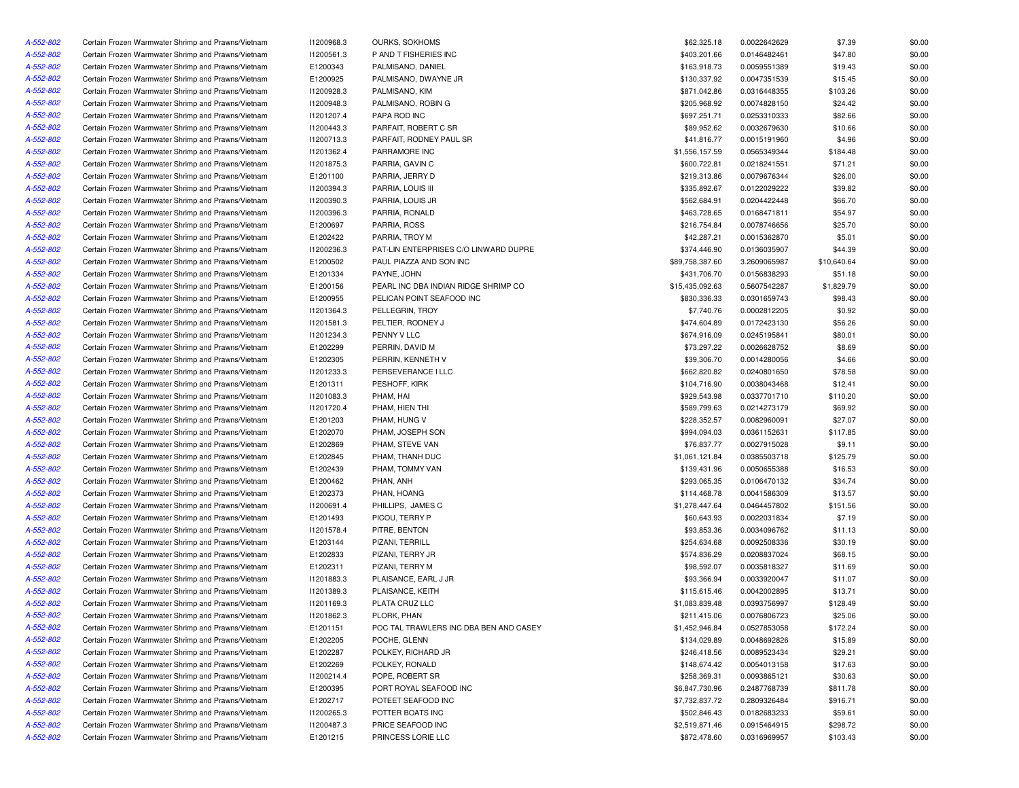| A-552-802 | Certain Frozen Warmwater Shrimp and Prawns/Vietnam | 11200968.3 | OURKS, SOKHOMS                         | \$62,325.18     | 0.0022642629 | \$7.39      | \$0.00 |
|-----------|----------------------------------------------------|------------|----------------------------------------|-----------------|--------------|-------------|--------|
| A-552-802 | Certain Frozen Warmwater Shrimp and Prawns/Vietnam | 11200561.3 | P AND T FISHERIES INC                  | \$403,201.66    | 0.0146482461 | \$47.80     | \$0.00 |
| A-552-802 | Certain Frozen Warmwater Shrimp and Prawns/Vietnam | E1200343   | PALMISANO, DANIEL                      | \$163,918.73    | 0.0059551389 | \$19.43     | \$0.00 |
| A-552-802 | Certain Frozen Warmwater Shrimp and Prawns/Vietnam | E1200925   | PALMISANO, DWAYNE JR                   | \$130,337.92    | 0.0047351539 | \$15.45     | \$0.00 |
| A-552-802 | Certain Frozen Warmwater Shrimp and Prawns/Vietnam | I1200928.3 | PALMISANO, KIM                         | \$871,042.86    | 0.0316448355 | \$103.26    | \$0.00 |
| A-552-802 | Certain Frozen Warmwater Shrimp and Prawns/Vietnam | 11200948.3 | PALMISANO, ROBIN G                     | \$205,968.92    | 0.0074828150 | \$24.42     | \$0.00 |
| A-552-802 | Certain Frozen Warmwater Shrimp and Prawns/Vietnam | 11201207.4 | PAPA ROD INC                           | \$697,251.71    | 0.0253310333 | \$82.66     | \$0.00 |
| A-552-802 | Certain Frozen Warmwater Shrimp and Prawns/Vietnam | 11200443.3 | PARFAIT, ROBERT C SR                   | \$89,952.62     | 0.0032679630 | \$10.66     | \$0.00 |
| A-552-802 | Certain Frozen Warmwater Shrimp and Prawns/Vietnam | 11200713.3 | PARFAIT, RODNEY PAUL SR                | \$41,816.77     | 0.0015191960 | \$4.96      | \$0.00 |
| A-552-802 | Certain Frozen Warmwater Shrimp and Prawns/Vietnam | 11201362.4 | PARRAMORE INC                          | \$1,556,157.59  | 0.0565349344 | \$184.48    | \$0.00 |
| A-552-802 | Certain Frozen Warmwater Shrimp and Prawns/Vietnam | 11201875.3 | PARRIA, GAVIN C                        | \$600,722.81    | 0.0218241551 | \$71.21     | \$0.00 |
| A-552-802 | Certain Frozen Warmwater Shrimp and Prawns/Vietnam | E1201100   | PARRIA, JERRY D                        | \$219,313.86    | 0.0079676344 | \$26.00     | \$0.00 |
| A-552-802 | Certain Frozen Warmwater Shrimp and Prawns/Vietnam | 11200394.3 | PARRIA, LOUIS III                      | \$335,892.67    | 0.0122029222 | \$39.82     | \$0.00 |
| A-552-802 | Certain Frozen Warmwater Shrimp and Prawns/Vietnam | 11200390.3 | PARRIA, LOUIS JR                       | \$562,684.91    | 0.0204422448 | \$66.70     | \$0.00 |
| A-552-802 | Certain Frozen Warmwater Shrimp and Prawns/Vietnam | 11200396.3 | PARRIA, RONALD                         | \$463,728.65    | 0.0168471811 | \$54.97     | \$0.00 |
| A-552-802 | Certain Frozen Warmwater Shrimp and Prawns/Vietnam | E1200697   | PARRIA, ROSS                           | \$216,754.84    | 0.0078746656 | \$25.70     | \$0.00 |
| A-552-802 | Certain Frozen Warmwater Shrimp and Prawns/Vietnam | E1202422   | PARRIA, TROY M                         | \$42,287.21     | 0.0015362870 | \$5.01      | \$0.00 |
| A-552-802 | Certain Frozen Warmwater Shrimp and Prawns/Vietnam | 11200236.3 | PAT-LIN ENTERPRISES C/O LINWARD DUPRE  | \$374,446.90    | 0.0136035907 | \$44.39     | \$0.00 |
| A-552-802 | Certain Frozen Warmwater Shrimp and Prawns/Vietnam | E1200502   | PAUL PIAZZA AND SON INC                | \$89,758,387.60 | 3.2609065987 |             | \$0.00 |
|           |                                                    |            |                                        |                 |              | \$10,640.64 |        |
| A-552-802 | Certain Frozen Warmwater Shrimp and Prawns/Vietnam | E1201334   | PAYNE, JOHN                            | \$431,706.70    | 0.0156838293 | \$51.18     | \$0.00 |
| A-552-802 | Certain Frozen Warmwater Shrimp and Prawns/Vietnam | E1200156   | PEARL INC DBA INDIAN RIDGE SHRIMP CO   | \$15,435,092.63 | 0.5607542287 | \$1,829.79  | \$0.00 |
| A-552-802 | Certain Frozen Warmwater Shrimp and Prawns/Vietnam | E1200955   | PELICAN POINT SEAFOOD INC              | \$830,336.33    | 0.0301659743 | \$98.43     | \$0.00 |
| A-552-802 | Certain Frozen Warmwater Shrimp and Prawns/Vietnam | 11201364.3 | PELLEGRIN, TROY                        | \$7,740.76      | 0.0002812205 | \$0.92      | \$0.00 |
| A-552-802 | Certain Frozen Warmwater Shrimp and Prawns/Vietnam | 11201581.3 | PELTIER, RODNEY J                      | \$474,604.89    | 0.0172423130 | \$56.26     | \$0.00 |
| A-552-802 | Certain Frozen Warmwater Shrimp and Prawns/Vietnam | 11201234.3 | PENNY V LLC                            | \$674,916.09    | 0.0245195841 | \$80.01     | \$0.00 |
| A-552-802 | Certain Frozen Warmwater Shrimp and Prawns/Vietnam | E1202299   | PERRIN, DAVID M                        | \$73,297.22     | 0.0026628752 | \$8.69      | \$0.00 |
| A-552-802 | Certain Frozen Warmwater Shrimp and Prawns/Vietnam | E1202305   | PERRIN, KENNETH V                      | \$39,306.70     | 0.0014280056 | \$4.66      | \$0.00 |
| A-552-802 | Certain Frozen Warmwater Shrimp and Prawns/Vietnam | 11201233.3 | PERSEVERANCE I LLC                     | \$662,820.82    | 0.0240801650 | \$78.58     | \$0.00 |
| A-552-802 | Certain Frozen Warmwater Shrimp and Prawns/Vietnam | E1201311   | PESHOFF, KIRK                          | \$104,716.90    | 0.0038043468 | \$12.41     | \$0.00 |
| A-552-802 | Certain Frozen Warmwater Shrimp and Prawns/Vietnam | 11201083.3 | PHAM, HAI                              | \$929,543.98    | 0.0337701710 | \$110.20    | \$0.00 |
| A-552-802 | Certain Frozen Warmwater Shrimp and Prawns/Vietnam | 11201720.4 | PHAM, HIEN THI                         | \$589,799.63    | 0.0214273179 | \$69.92     | \$0.00 |
| A-552-802 | Certain Frozen Warmwater Shrimp and Prawns/Vietnam | E1201203   | PHAM, HUNG V                           | \$228,352.57    | 0.0082960091 | \$27.07     | \$0.00 |
| A-552-802 | Certain Frozen Warmwater Shrimp and Prawns/Vietnam | E1202070   | PHAM, JOSEPH SON                       | \$994,094.03    | 0.0361152631 | \$117.85    | \$0.00 |
| A-552-802 | Certain Frozen Warmwater Shrimp and Prawns/Vietnam | E1202869   | PHAM, STEVE VAN                        | \$76,837.77     | 0.0027915028 | \$9.11      | \$0.00 |
| A-552-802 | Certain Frozen Warmwater Shrimp and Prawns/Vietnam | E1202845   | PHAM, THANH DUC                        | \$1,061,121.84  | 0.0385503718 | \$125.79    | \$0.00 |
| A-552-802 | Certain Frozen Warmwater Shrimp and Prawns/Vietnam | E1202439   | PHAM, TOMMY VAN                        | \$139,431.96    | 0.0050655388 | \$16.53     | \$0.00 |
| A-552-802 | Certain Frozen Warmwater Shrimp and Prawns/Vietnam | E1200462   | PHAN, ANH                              | \$293,065.35    | 0.0106470132 | \$34.74     | \$0.00 |
| A-552-802 | Certain Frozen Warmwater Shrimp and Prawns/Vietnam | E1202373   | PHAN, HOANG                            | \$114,468.78    | 0.0041586309 | \$13.57     | \$0.00 |
| A-552-802 | Certain Frozen Warmwater Shrimp and Prawns/Vietnam | 11200691.4 | PHILLIPS, JAMES C                      | \$1,278,447.64  | 0.0464457802 | \$151.56    | \$0.00 |
| A-552-802 | Certain Frozen Warmwater Shrimp and Prawns/Vietnam | E1201493   | PICOU, TERRY P                         | \$60,643.93     | 0.0022031834 | \$7.19      | \$0.00 |
| A-552-802 | Certain Frozen Warmwater Shrimp and Prawns/Vietnam | 11201578.4 | PITRE, BENTON                          | \$93,853.36     | 0.0034096762 | \$11.13     | \$0.00 |
| A-552-802 | Certain Frozen Warmwater Shrimp and Prawns/Vietnam | E1203144   | PIZANI, TERRILL                        | \$254,634.68    | 0.0092508336 | \$30.19     | \$0.00 |
| A-552-802 | Certain Frozen Warmwater Shrimp and Prawns/Vietnam | E1202833   | PIZANI, TERRY JR                       | \$574,836.29    | 0.0208837024 | \$68.15     | \$0.00 |
| A-552-802 | Certain Frozen Warmwater Shrimp and Prawns/Vietnam | E1202311   | PIZANI, TERRY M                        | \$98,592.07     | 0.0035818327 | \$11.69     | \$0.00 |
| A-552-802 | Certain Frozen Warmwater Shrimp and Prawns/Vietnam | 11201883.3 | PLAISANCE, EARL J JR                   | \$93,366.94     | 0.0033920047 | \$11.07     | \$0.00 |
| A-552-802 |                                                    | 11201389.3 | PLAISANCE, KEITH                       | \$115,615.46    | 0.0042002895 | \$13.71     | \$0.00 |
|           | Certain Frozen Warmwater Shrimp and Prawns/Vietnam | 11201169.3 |                                        |                 |              |             |        |
| A-552-802 | Certain Frozen Warmwater Shrimp and Prawns/Vietnam |            | PLATA CRUZ LLC                         | \$1,083,839.48  | 0.0393756997 | \$128.49    | \$0.00 |
| A-552-802 | Certain Frozen Warmwater Shrimp and Prawns/Vietnam | 11201862.3 | PLORK, PHAN                            | \$211,415.06    | 0.0076806723 | \$25.06     | \$0.00 |
| A-552-802 | Certain Frozen Warmwater Shrimp and Prawns/Vietnam | E1201151   | POC TAL TRAWLERS INC DBA BEN AND CASEY | \$1,452,946.84  | 0.0527853058 | \$172.24    | \$0.00 |
| A-552-802 | Certain Frozen Warmwater Shrimp and Prawns/Vietnam | E1202205   | POCHE, GLENN                           | \$134,029.89    | 0.0048692826 | \$15.89     | \$0.00 |
| A-552-802 | Certain Frozen Warmwater Shrimp and Prawns/Vietnam | E1202287   | POLKEY, RICHARD JR                     | \$246,418.56    | 0.0089523434 | \$29.21     | \$0.00 |
| A-552-802 | Certain Frozen Warmwater Shrimp and Prawns/Vietnam | E1202269   | POLKEY, RONALD                         | \$148,674.42    | 0.0054013158 | \$17.63     | \$0.00 |
| A-552-802 | Certain Frozen Warmwater Shrimp and Prawns/Vietnam | 11200214.4 | POPE, ROBERT SR                        | \$258,369.31    | 0.0093865121 | \$30.63     | \$0.00 |
| A-552-802 | Certain Frozen Warmwater Shrimp and Prawns/Vietnam | E1200395   | PORT ROYAL SEAFOOD INC                 | \$6,847,730.96  | 0.2487768739 | \$811.78    | \$0.00 |
| A-552-802 | Certain Frozen Warmwater Shrimp and Prawns/Vietnam | E1202717   | POTEET SEAFOOD INC                     | \$7,732,837.72  | 0.2809326484 | \$916.71    | \$0.00 |
| A-552-802 | Certain Frozen Warmwater Shrimp and Prawns/Vietnam | I1200265.3 | POTTER BOATS INC                       | \$502,846.43    | 0.0182683233 | \$59.61     | \$0.00 |
| A-552-802 | Certain Frozen Warmwater Shrimp and Prawns/Vietnam | I1200487.3 | PRICE SEAFOOD INC                      | \$2,519,871.46  | 0.0915464915 | \$298.72    | \$0.00 |
| A-552-802 | Certain Frozen Warmwater Shrimp and Prawns/Vietnam | E1201215   | PRINCESS LORIE LLC                     | \$872,478.60    | 0.0316969957 | \$103.43    | \$0.00 |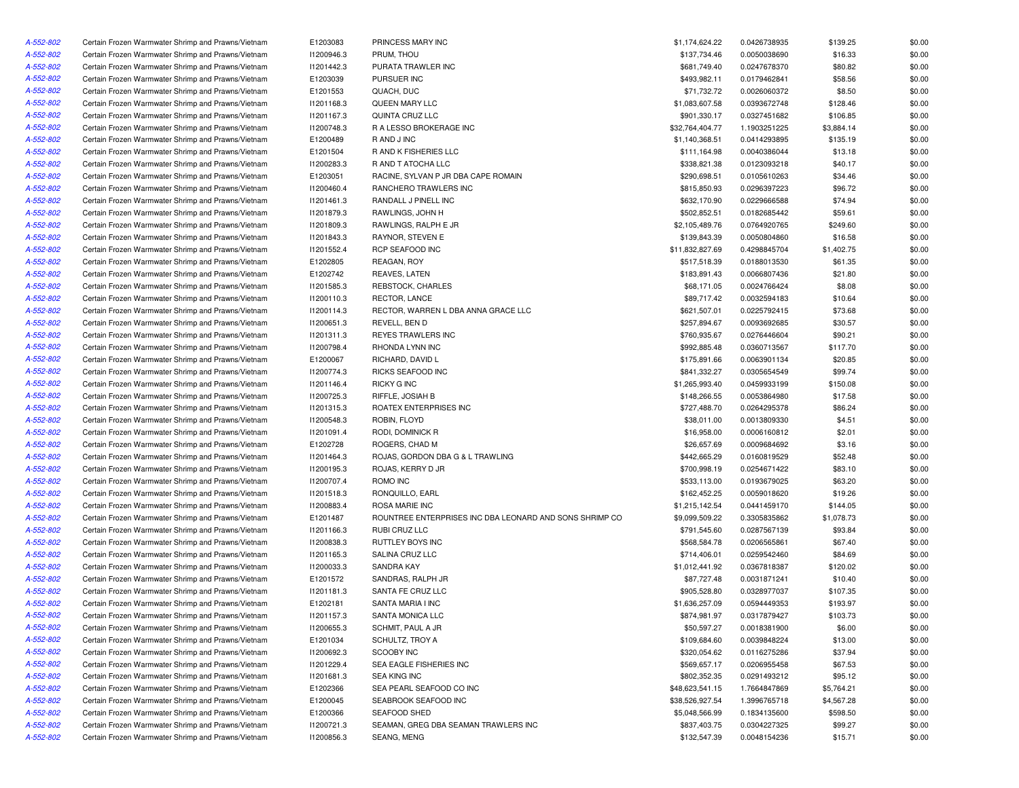| A-552-802 | Certain Frozen Warmwater Shrimp and Prawns/Vietnam | E1203083   | PRINCESS MARY INC                                       | \$1,174,624.22  | 0.0426738935 | \$139.25   | \$0.00 |
|-----------|----------------------------------------------------|------------|---------------------------------------------------------|-----------------|--------------|------------|--------|
| A-552-802 | Certain Frozen Warmwater Shrimp and Prawns/Vietnam | 11200946.3 | PRUM, THOU                                              | \$137,734.46    | 0.0050038690 | \$16.33    | \$0.00 |
| A-552-802 | Certain Frozen Warmwater Shrimp and Prawns/Vietnam | 11201442.3 | PURATA TRAWLER INC                                      | \$681,749.40    | 0.0247678370 | \$80.82    | \$0.00 |
| A-552-802 | Certain Frozen Warmwater Shrimp and Prawns/Vietnam | E1203039   | PURSUER INC                                             | \$493,982.11    | 0.0179462841 | \$58.56    | \$0.00 |
| A-552-802 | Certain Frozen Warmwater Shrimp and Prawns/Vietnam | E1201553   | QUACH, DUC                                              | \$71,732.72     | 0.0026060372 | \$8.50     | \$0.00 |
| A-552-802 | Certain Frozen Warmwater Shrimp and Prawns/Vietnam | 11201168.3 | QUEEN MARY LLC                                          | \$1,083,607.58  | 0.0393672748 | \$128.46   | \$0.00 |
| A-552-802 | Certain Frozen Warmwater Shrimp and Prawns/Vietnam | 11201167.3 | QUINTA CRUZ LLC                                         | \$901,330.17    | 0.0327451682 | \$106.85   | \$0.00 |
| A-552-802 | Certain Frozen Warmwater Shrimp and Prawns/Vietnam | 11200748.3 | R A LESSO BROKERAGE INC                                 | \$32,764,404.77 | 1.1903251225 | \$3,884.14 | \$0.00 |
| A-552-802 | Certain Frozen Warmwater Shrimp and Prawns/Vietnam | E1200489   | R AND J INC                                             | \$1,140,368.51  | 0.0414293895 | \$135.19   | \$0.00 |
| A-552-802 | Certain Frozen Warmwater Shrimp and Prawns/Vietnam | E1201504   | R AND K FISHERIES LLC                                   | \$111,164.98    | 0.0040386044 | \$13.18    | \$0.00 |
| A-552-802 | Certain Frozen Warmwater Shrimp and Prawns/Vietnam | 11200283.3 | R AND T ATOCHA LLC                                      | \$338,821.38    | 0.0123093218 | \$40.17    | \$0.00 |
| A-552-802 | Certain Frozen Warmwater Shrimp and Prawns/Vietnam | E1203051   | RACINE, SYLVAN P JR DBA CAPE ROMAIN                     | \$290,698.51    | 0.0105610263 | \$34.46    | \$0.00 |
| A-552-802 | Certain Frozen Warmwater Shrimp and Prawns/Vietnam | 11200460.4 | RANCHERO TRAWLERS INC                                   | \$815,850.93    | 0.0296397223 | \$96.72    | \$0.00 |
| A-552-802 | Certain Frozen Warmwater Shrimp and Prawns/Vietnam | 11201461.3 | RANDALL J PINELL INC                                    | \$632,170.90    | 0.0229666588 | \$74.94    | \$0.00 |
| A-552-802 | Certain Frozen Warmwater Shrimp and Prawns/Vietnam | 11201879.3 | RAWLINGS, JOHN H                                        | \$502,852.51    | 0.0182685442 | \$59.61    | \$0.00 |
| A-552-802 | Certain Frozen Warmwater Shrimp and Prawns/Vietnam | 11201809.3 | RAWLINGS, RALPH E JR                                    | \$2,105,489.76  | 0.0764920765 | \$249.60   | \$0.00 |
| A-552-802 | Certain Frozen Warmwater Shrimp and Prawns/Vietnam | 11201843.3 | RAYNOR, STEVEN E                                        | \$139,843.39    | 0.0050804860 | \$16.58    | \$0.00 |
| A-552-802 | Certain Frozen Warmwater Shrimp and Prawns/Vietnam | 11201552.4 | RCP SEAFOOD INC                                         | \$11,832,827.69 | 0.4298845704 | \$1,402.75 | \$0.00 |
| A-552-802 | Certain Frozen Warmwater Shrimp and Prawns/Vietnam | E1202805   | REAGAN, ROY                                             | \$517,518.39    | 0.0188013530 | \$61.35    | \$0.00 |
| A-552-802 | Certain Frozen Warmwater Shrimp and Prawns/Vietnam | E1202742   | REAVES, LATEN                                           | \$183,891.43    | 0.0066807436 | \$21.80    | \$0.00 |
| A-552-802 | Certain Frozen Warmwater Shrimp and Prawns/Vietnam | 11201585.3 | REBSTOCK, CHARLES                                       | \$68,171.05     | 0.0024766424 | \$8.08     | \$0.00 |
| A-552-802 | Certain Frozen Warmwater Shrimp and Prawns/Vietnam | 11200110.3 | RECTOR, LANCE                                           | \$89,717.42     | 0.0032594183 | \$10.64    | \$0.00 |
| A-552-802 | Certain Frozen Warmwater Shrimp and Prawns/Vietnam | 11200114.3 | RECTOR, WARREN L DBA ANNA GRACE LLC                     | \$621,507.01    | 0.0225792415 | \$73.68    | \$0.00 |
| A-552-802 | Certain Frozen Warmwater Shrimp and Prawns/Vietnam | 11200651.3 | REVELL, BEN D                                           | \$257,894.67    | 0.0093692685 | \$30.57    | \$0.00 |
| A-552-802 | Certain Frozen Warmwater Shrimp and Prawns/Vietnam | 11201311.3 | REYES TRAWLERS INC                                      | \$760,935.67    | 0.0276446604 | \$90.21    | \$0.00 |
| A-552-802 | Certain Frozen Warmwater Shrimp and Prawns/Vietnam | 11200798.4 | RHONDA LYNN INC                                         | \$992,885.48    | 0.0360713567 | \$117.70   | \$0.00 |
| A-552-802 | Certain Frozen Warmwater Shrimp and Prawns/Vietnam | E1200067   | RICHARD, DAVID L                                        | \$175,891.66    | 0.0063901134 | \$20.85    | \$0.00 |
| A-552-802 | Certain Frozen Warmwater Shrimp and Prawns/Vietnam | I1200774.3 | RICKS SEAFOOD INC                                       | \$841,332.27    | 0.0305654549 | \$99.74    | \$0.00 |
| A-552-802 | Certain Frozen Warmwater Shrimp and Prawns/Vietnam | 11201146.4 | <b>RICKY G INC</b>                                      | \$1,265,993.40  | 0.0459933199 | \$150.08   | \$0.00 |
| A-552-802 | Certain Frozen Warmwater Shrimp and Prawns/Vietnam | 11200725.3 | RIFFLE, JOSIAH B                                        | \$148,266.55    | 0.0053864980 | \$17.58    | \$0.00 |
| A-552-802 | Certain Frozen Warmwater Shrimp and Prawns/Vietnam | 11201315.3 | ROATEX ENTERPRISES INC                                  | \$727,488.70    | 0.0264295378 | \$86.24    | \$0.00 |
| A-552-802 | Certain Frozen Warmwater Shrimp and Prawns/Vietnam | 11200548.3 | ROBIN, FLOYD                                            | \$38,011.00     | 0.0013809330 | \$4.51     | \$0.00 |
| A-552-802 | Certain Frozen Warmwater Shrimp and Prawns/Vietnam | 11201091.4 | RODI, DOMINICK R                                        | \$16,958.00     | 0.0006160812 | \$2.01     | \$0.00 |
| A-552-802 |                                                    |            | ROGERS, CHAD M                                          |                 |              |            |        |
|           | Certain Frozen Warmwater Shrimp and Prawns/Vietnam | E1202728   |                                                         | \$26,657.69     | 0.0009684692 | \$3.16     | \$0.00 |
| A-552-802 | Certain Frozen Warmwater Shrimp and Prawns/Vietnam | 11201464.3 | ROJAS, GORDON DBA G & L TRAWLING                        | \$442,665.29    | 0.0160819529 | \$52.48    | \$0.00 |
| A-552-802 | Certain Frozen Warmwater Shrimp and Prawns/Vietnam | 11200195.3 | ROJAS, KERRY D JR                                       | \$700,998.19    | 0.0254671422 | \$83.10    | \$0.00 |
| A-552-802 | Certain Frozen Warmwater Shrimp and Prawns/Vietnam | 11200707.4 | ROMO INC                                                | \$533,113.00    | 0.0193679025 | \$63.20    | \$0.00 |
| A-552-802 | Certain Frozen Warmwater Shrimp and Prawns/Vietnam | 11201518.3 | RONQUILLO, EARL                                         | \$162,452.25    | 0.0059018620 | \$19.26    | \$0.00 |
| A-552-802 | Certain Frozen Warmwater Shrimp and Prawns/Vietnam | 11200883.4 | ROSA MARIE INC                                          | \$1,215,142.54  | 0.0441459170 | \$144.05   | \$0.00 |
| A-552-802 | Certain Frozen Warmwater Shrimp and Prawns/Vietnam | E1201487   | ROUNTREE ENTERPRISES INC DBA LEONARD AND SONS SHRIMP CO | \$9,099,509.22  | 0.3305835862 | \$1,078.73 | \$0.00 |
| A-552-802 | Certain Frozen Warmwater Shrimp and Prawns/Vietnam | 11201166.3 | RUBI CRUZ LLC                                           | \$791,545.60    | 0.0287567139 | \$93.84    | \$0.00 |
| A-552-802 | Certain Frozen Warmwater Shrimp and Prawns/Vietnam | 11200838.3 | RUTTLEY BOYS INC                                        | \$568,584.78    | 0.0206565861 | \$67.40    | \$0.00 |
| A-552-802 | Certain Frozen Warmwater Shrimp and Prawns/Vietnam | 11201165.3 | SALINA CRUZ LLC                                         | \$714,406.01    | 0.0259542460 | \$84.69    | \$0.00 |
| A-552-802 | Certain Frozen Warmwater Shrimp and Prawns/Vietnam | 11200033.3 | <b>SANDRA KAY</b>                                       | \$1,012,441.92  | 0.0367818387 | \$120.02   | \$0.00 |
| A-552-802 | Certain Frozen Warmwater Shrimp and Prawns/Vietnam | E1201572   | SANDRAS, RALPH JR                                       | \$87,727.48     | 0.0031871241 | \$10.40    | \$0.00 |
| A-552-802 | Certain Frozen Warmwater Shrimp and Prawns/Vietnam | 11201181.3 | SANTA FE CRUZ LLC                                       | \$905,528.80    | 0.0328977037 | \$107.35   | \$0.00 |
| A-552-802 | Certain Frozen Warmwater Shrimp and Prawns/Vietnam | E1202181   | SANTA MARIA I INC                                       | \$1,636,257.09  | 0.0594449353 | \$193.97   | \$0.00 |
| A-552-802 | Certain Frozen Warmwater Shrimp and Prawns/Vietnam | 11201157.3 | SANTA MONICA LLC                                        | \$874,981.97    | 0.0317879427 | \$103.73   | \$0.00 |
| A-552-802 | Certain Frozen Warmwater Shrimp and Prawns/Vietnam | I1200655.3 | SCHMIT, PAUL A JR                                       | \$50,597.27     | 0.0018381900 | \$6.00     | \$0.00 |
| A-552-802 | Certain Frozen Warmwater Shrimp and Prawns/Vietnam | E1201034   | SCHULTZ, TROY A                                         | \$109,684.60    | 0.0039848224 | \$13.00    | \$0.00 |
| A-552-802 | Certain Frozen Warmwater Shrimp and Prawns/Vietnam | 11200692.3 | SCOOBY INC                                              | \$320,054.62    | 0.0116275286 | \$37.94    | \$0.00 |
| A-552-802 | Certain Frozen Warmwater Shrimp and Prawns/Vietnam | 11201229.4 | SEA EAGLE FISHERIES INC                                 | \$569,657.17    | 0.0206955458 | \$67.53    | \$0.00 |
| A-552-802 | Certain Frozen Warmwater Shrimp and Prawns/Vietnam | 11201681.3 | SEA KING INC                                            | \$802,352.35    | 0.0291493212 | \$95.12    | \$0.00 |
| A-552-802 | Certain Frozen Warmwater Shrimp and Prawns/Vietnam | E1202366   | SEA PEARL SEAFOOD CO INC                                | \$48,623,541.15 | 1.7664847869 | \$5,764.21 | \$0.00 |
| A-552-802 | Certain Frozen Warmwater Shrimp and Prawns/Vietnam | E1200045   | SEABROOK SEAFOOD INC                                    | \$38,526,927.54 | 1.3996765718 | \$4,567.28 | \$0.00 |
| A-552-802 | Certain Frozen Warmwater Shrimp and Prawns/Vietnam | E1200366   | SEAFOOD SHED                                            | \$5,048,566.99  | 0.1834135600 | \$598.50   | \$0.00 |
| A-552-802 | Certain Frozen Warmwater Shrimp and Prawns/Vietnam | 11200721.3 | SEAMAN, GREG DBA SEAMAN TRAWLERS INC                    | \$837,403.75    | 0.0304227325 | \$99.27    | \$0.00 |
| A-552-802 | Certain Frozen Warmwater Shrimp and Prawns/Vietnam | 11200856.3 | SEANG, MENG                                             | \$132,547.39    | 0.0048154236 | \$15.71    | \$0.00 |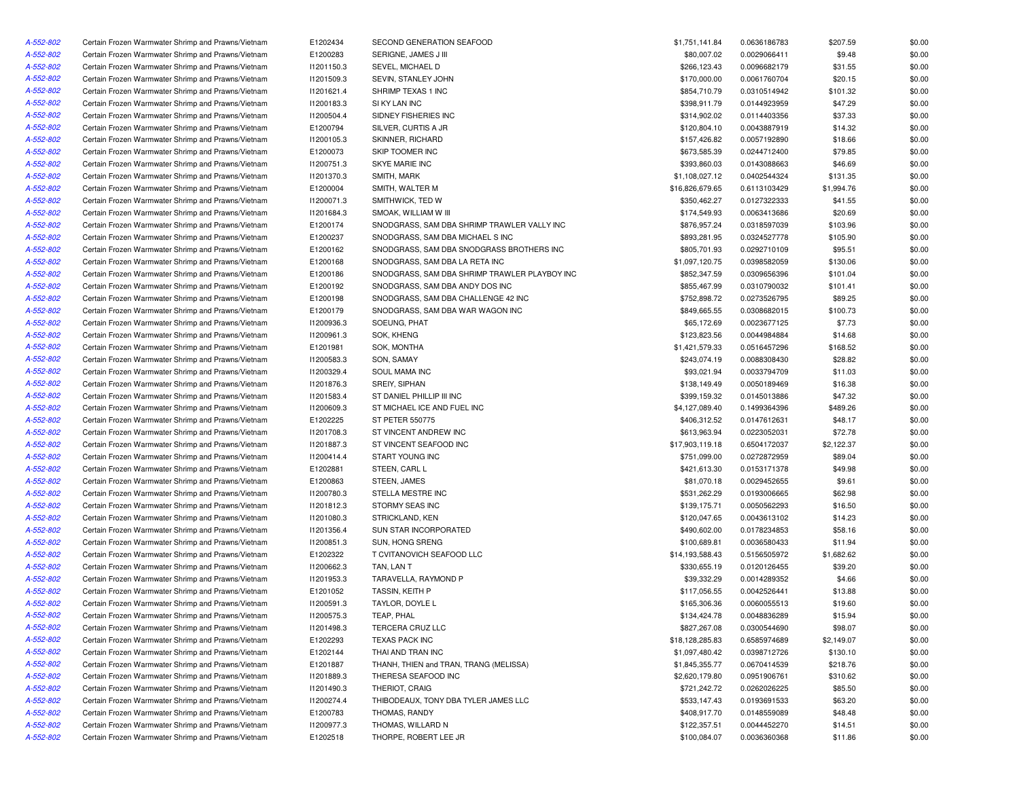| A-552-802              | Certain Frozen Warmwater Shrimp and Prawns/Vietnam | E1202434   | SECOND GENERATION SEAFOOD                     | \$1,751,141.84  | 0.0636186783 | \$207.59   | \$0.00 |
|------------------------|----------------------------------------------------|------------|-----------------------------------------------|-----------------|--------------|------------|--------|
| A-552-802              | Certain Frozen Warmwater Shrimp and Prawns/Vietnam | E1200283   | SERIGNE, JAMES J III                          | \$80,007.02     | 0.0029066411 | \$9.48     | \$0.00 |
| A-552-802              | Certain Frozen Warmwater Shrimp and Prawns/Vietnam | 11201150.3 | SEVEL, MICHAEL D                              | \$266,123.43    | 0.0096682179 | \$31.55    | \$0.00 |
| A-552-802              | Certain Frozen Warmwater Shrimp and Prawns/Vietnam | I1201509.3 | SEVIN, STANLEY JOHN                           | \$170,000.00    | 0.0061760704 | \$20.15    | \$0.00 |
| A-552-802              | Certain Frozen Warmwater Shrimp and Prawns/Vietnam | 11201621.4 | SHRIMP TEXAS 1 INC                            | \$854,710.79    | 0.0310514942 | \$101.32   | \$0.00 |
| A-552-802              | Certain Frozen Warmwater Shrimp and Prawns/Vietnam | 11200183.3 | SI KY LAN INC                                 | \$398,911.79    | 0.0144923959 | \$47.29    | \$0.00 |
| A-552-802              | Certain Frozen Warmwater Shrimp and Prawns/Vietnam | 11200504.4 | SIDNEY FISHERIES INC                          | \$314,902.02    | 0.0114403356 | \$37.33    | \$0.00 |
| A-552-802              | Certain Frozen Warmwater Shrimp and Prawns/Vietnam | E1200794   | SILVER, CURTIS A JR                           | \$120,804.10    | 0.0043887919 | \$14.32    | \$0.00 |
| A-552-802              | Certain Frozen Warmwater Shrimp and Prawns/Vietnam | I1200105.3 | SKINNER, RICHARD                              | \$157,426.82    | 0.0057192890 | \$18.66    | \$0.00 |
| A-552-802              | Certain Frozen Warmwater Shrimp and Prawns/Vietnam | E1200073   | SKIP TOOMER INC                               | \$673,585.39    | 0.0244712400 | \$79.85    | \$0.00 |
| A-552-802              | Certain Frozen Warmwater Shrimp and Prawns/Vietnam | 11200751.3 | <b>SKYE MARIE INC</b>                         | \$393,860.03    | 0.0143088663 | \$46.69    | \$0.00 |
| A-552-802              | Certain Frozen Warmwater Shrimp and Prawns/Vietnam | 11201370.3 | SMITH, MARK                                   | \$1,108,027.12  | 0.0402544324 | \$131.35   | \$0.00 |
| A-552-802              | Certain Frozen Warmwater Shrimp and Prawns/Vietnam | E1200004   | SMITH, WALTER M                               | \$16,826,679.65 | 0.6113103429 | \$1,994.76 | \$0.00 |
| A-552-802              | Certain Frozen Warmwater Shrimp and Prawns/Vietnam | I1200071.3 | SMITHWICK, TED W                              | \$350,462.27    | 0.0127322333 | \$41.55    | \$0.00 |
| A-552-802              | Certain Frozen Warmwater Shrimp and Prawns/Vietnam | 11201684.3 | SMOAK, WILLIAM W III                          | \$174,549.93    | 0.0063413686 | \$20.69    | \$0.00 |
| A-552-802              | Certain Frozen Warmwater Shrimp and Prawns/Vietnam | E1200174   | SNODGRASS, SAM DBA SHRIMP TRAWLER VALLY INC   | \$876,957.24    | 0.0318597039 | \$103.96   | \$0.00 |
| A-552-802              | Certain Frozen Warmwater Shrimp and Prawns/Vietnam | E1200237   | SNODGRASS, SAM DBA MICHAEL S INC              | \$893,281.95    | 0.0324527778 | \$105.90   | \$0.00 |
| A-552-802              | Certain Frozen Warmwater Shrimp and Prawns/Vietnam | E1200162   | SNODGRASS, SAM DBA SNODGRASS BROTHERS INC     | \$805,701.93    | 0.0292710109 | \$95.51    | \$0.00 |
| A-552-802              | Certain Frozen Warmwater Shrimp and Prawns/Vietnam | E1200168   | SNODGRASS, SAM DBA LA RETA INC                | \$1,097,120.75  | 0.0398582059 | \$130.06   | \$0.00 |
| A-552-802              | Certain Frozen Warmwater Shrimp and Prawns/Vietnam | E1200186   | SNODGRASS, SAM DBA SHRIMP TRAWLER PLAYBOY INC | \$852,347.59    | 0.0309656396 | \$101.04   | \$0.00 |
| A-552-802              | Certain Frozen Warmwater Shrimp and Prawns/Vietnam | E1200192   | SNODGRASS, SAM DBA ANDY DOS INC               | \$855,467.99    | 0.0310790032 | \$101.41   | \$0.00 |
| A-552-802              | Certain Frozen Warmwater Shrimp and Prawns/Vietnam | E1200198   | SNODGRASS, SAM DBA CHALLENGE 42 INC           | \$752,898.72    | 0.0273526795 | \$89.25    | \$0.00 |
| A-552-802              | Certain Frozen Warmwater Shrimp and Prawns/Vietnam | E1200179   | SNODGRASS, SAM DBA WAR WAGON INC              | \$849,665.55    | 0.0308682015 | \$100.73   | \$0.00 |
| A-552-802              | Certain Frozen Warmwater Shrimp and Prawns/Vietnam | 11200936.3 | SOEUNG, PHAT                                  | \$65,172.69     | 0.0023677125 | \$7.73     | \$0.00 |
| A-552-802              | Certain Frozen Warmwater Shrimp and Prawns/Vietnam | 11200961.3 | SOK, KHENG                                    | \$123,823.56    | 0.0044984884 | \$14.68    | \$0.00 |
| A-552-802              | Certain Frozen Warmwater Shrimp and Prawns/Vietnam | E1201981   | SOK, MONTHA                                   | \$1,421,579.33  | 0.0516457296 | \$168.52   | \$0.00 |
| A-552-802              | Certain Frozen Warmwater Shrimp and Prawns/Vietnam | 11200583.3 | SON, SAMAY                                    | \$243,074.19    | 0.0088308430 | \$28.82    | \$0.00 |
| A-552-802              | Certain Frozen Warmwater Shrimp and Prawns/Vietnam | 11200329.4 | <b>SOUL MAMA INC</b>                          | \$93,021.94     | 0.0033794709 | \$11.03    | \$0.00 |
| A-552-802              | Certain Frozen Warmwater Shrimp and Prawns/Vietnam | 11201876.3 | SREIY, SIPHAN                                 | \$138,149.49    | 0.0050189469 | \$16.38    | \$0.00 |
| A-552-802              | Certain Frozen Warmwater Shrimp and Prawns/Vietnam | 11201583.4 | ST DANIEL PHILLIP III INC                     | \$399,159.32    | 0.0145013886 | \$47.32    | \$0.00 |
| A-552-802              | Certain Frozen Warmwater Shrimp and Prawns/Vietnam | I1200609.3 | ST MICHAEL ICE AND FUEL INC                   | \$4,127,089.40  | 0.1499364396 | \$489.26   | \$0.00 |
| A-552-802              | Certain Frozen Warmwater Shrimp and Prawns/Vietnam | E1202225   | <b>ST PETER 550775</b>                        | \$406,312.52    | 0.0147612631 | \$48.17    | \$0.00 |
|                        | Certain Frozen Warmwater Shrimp and Prawns/Vietnam | 11201708.3 | ST VINCENT ANDREW INC                         | \$613,963.94    | 0.0223052031 | \$72.78    | \$0.00 |
| A-552-802<br>A-552-802 |                                                    | 11201887.3 | ST VINCENT SEAFOOD INC                        |                 |              |            | \$0.00 |
|                        | Certain Frozen Warmwater Shrimp and Prawns/Vietnam |            |                                               | \$17,903,119.18 | 0.6504172037 | \$2,122.37 |        |
| A-552-802              | Certain Frozen Warmwater Shrimp and Prawns/Vietnam | 11200414.4 | START YOUNG INC                               | \$751,099.00    | 0.0272872959 | \$89.04    | \$0.00 |
| A-552-802              | Certain Frozen Warmwater Shrimp and Prawns/Vietnam | E1202881   | STEEN, CARL L                                 | \$421,613.30    | 0.0153171378 | \$49.98    | \$0.00 |
| A-552-802              | Certain Frozen Warmwater Shrimp and Prawns/Vietnam | E1200863   | STEEN, JAMES                                  | \$81,070.18     | 0.0029452655 | \$9.61     | \$0.00 |
| A-552-802              | Certain Frozen Warmwater Shrimp and Prawns/Vietnam | I1200780.3 | STELLA MESTRE INC                             | \$531,262.29    | 0.0193006665 | \$62.98    | \$0.00 |
| A-552-802              | Certain Frozen Warmwater Shrimp and Prawns/Vietnam | 11201812.3 | STORMY SEAS INC                               | \$139,175.71    | 0.0050562293 | \$16.50    | \$0.00 |
| A-552-802              | Certain Frozen Warmwater Shrimp and Prawns/Vietnam | 11201080.3 | STRICKLAND, KEN                               | \$120,047.65    | 0.0043613102 | \$14.23    | \$0.00 |
| A-552-802              | Certain Frozen Warmwater Shrimp and Prawns/Vietnam | 11201356.4 | SUN STAR INCORPORATED                         | \$490,602.00    | 0.0178234853 | \$58.16    | \$0.00 |
| A-552-802              | Certain Frozen Warmwater Shrimp and Prawns/Vietnam | 11200851.3 | SUN, HONG SRENG                               | \$100,689.81    | 0.0036580433 | \$11.94    | \$0.00 |
| A-552-802              | Certain Frozen Warmwater Shrimp and Prawns/Vietnam | E1202322   | T CVITANOVICH SEAFOOD LLC                     | \$14,193,588.43 | 0.5156505972 | \$1,682.62 | \$0.00 |
| A-552-802              | Certain Frozen Warmwater Shrimp and Prawns/Vietnam | 11200662.3 | TAN, LAN T                                    | \$330,655.19    | 0.0120126455 | \$39.20    | \$0.00 |
| A-552-802              | Certain Frozen Warmwater Shrimp and Prawns/Vietnam | 11201953.3 | TARAVELLA, RAYMOND P                          | \$39.332.29     | 0.0014289352 | \$4.66     | \$0.00 |
| A-552-802              | Certain Frozen Warmwater Shrimp and Prawns/Vietnam | E1201052   | TASSIN, KEITH P                               | \$117,056.55    | 0.0042526441 | \$13.88    | \$0.00 |
| A-552-802              | Certain Frozen Warmwater Shrimp and Prawns/Vietnam | I1200591.3 | TAYLOR, DOYLE L                               | \$165,306.36    | 0.0060055513 | \$19.60    | \$0.00 |
| A-552-802              | Certain Frozen Warmwater Shrimp and Prawns/Vietnam | 11200575.3 | TEAP, PHAL                                    | \$134,424.78    | 0.0048836289 | \$15.94    | \$0.00 |
| A-552-802              | Certain Frozen Warmwater Shrimp and Prawns/Vietnam | 11201498.3 | TERCERA CRUZ LLC                              | \$827,267.08    | 0.0300544690 | \$98.07    | \$0.00 |
| A-552-802              | Certain Frozen Warmwater Shrimp and Prawns/Vietnam | E1202293   | TEXAS PACK INC                                | \$18,128,285.83 | 0.6585974689 | \$2,149.07 | \$0.00 |
| A-552-802              | Certain Frozen Warmwater Shrimp and Prawns/Vietnam | E1202144   | THAI AND TRAN INC                             | \$1,097,480.42  | 0.0398712726 | \$130.10   | \$0.00 |
| A-552-802              | Certain Frozen Warmwater Shrimp and Prawns/Vietnam | E1201887   | THANH, THIEN and TRAN, TRANG (MELISSA)        | \$1,845,355.77  | 0.0670414539 | \$218.76   | \$0.00 |
| A-552-802              | Certain Frozen Warmwater Shrimp and Prawns/Vietnam | 11201889.3 | THERESA SEAFOOD INC                           | \$2,620,179.80  | 0.0951906761 | \$310.62   | \$0.00 |
| A-552-802              | Certain Frozen Warmwater Shrimp and Prawns/Vietnam | 11201490.3 | THERIOT, CRAIG                                | \$721,242.72    | 0.0262026225 | \$85.50    | \$0.00 |
| A-552-802              | Certain Frozen Warmwater Shrimp and Prawns/Vietnam | 11200274.4 | THIBODEAUX, TONY DBA TYLER JAMES LLC          | \$533,147.43    | 0.0193691533 | \$63.20    | \$0.00 |
| A-552-802              | Certain Frozen Warmwater Shrimp and Prawns/Vietnam | E1200783   | THOMAS, RANDY                                 | \$408,917.70    | 0.0148559089 | \$48.48    | \$0.00 |
| A-552-802              | Certain Frozen Warmwater Shrimp and Prawns/Vietnam | I1200977.3 | THOMAS, WILLARD N                             | \$122,357.51    | 0.0044452270 | \$14.51    | \$0.00 |
| A-552-802              | Certain Frozen Warmwater Shrimp and Prawns/Vietnam | E1202518   | THORPE, ROBERT LEE JR                         | \$100,084.07    | 0.0036360368 | \$11.86    | \$0.00 |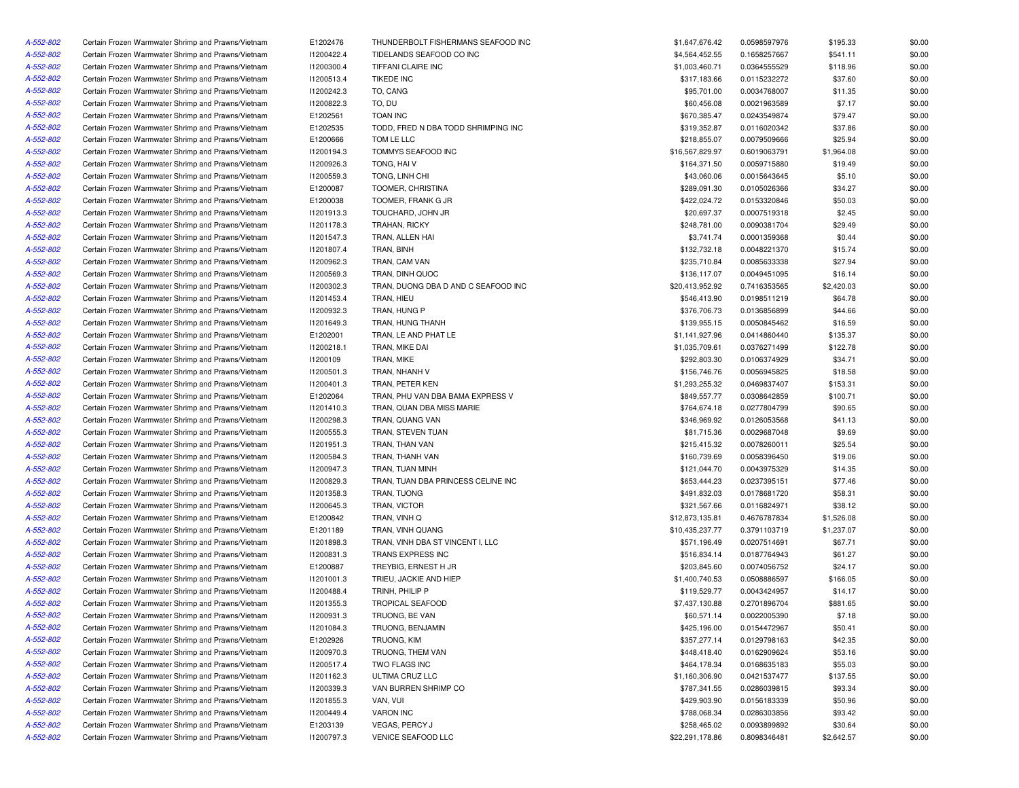| A-552-802 | Certain Frozen Warmwater Shrimp and Prawns/Vietnam | E1202476   | THUNDERBOLT FISHERMANS SEAFOOD INC  | \$1,647,676.42  | 0.0598597976 | \$195.33   | \$0.00 |
|-----------|----------------------------------------------------|------------|-------------------------------------|-----------------|--------------|------------|--------|
| A-552-802 | Certain Frozen Warmwater Shrimp and Prawns/Vietnam | 11200422.4 | TIDELANDS SEAFOOD CO INC            | \$4,564,452.55  | 0.1658257667 | \$541.11   | \$0.00 |
| A-552-802 | Certain Frozen Warmwater Shrimp and Prawns/Vietnam | 11200300.4 | TIFFANI CLAIRE INC                  | \$1,003,460.71  | 0.0364555529 | \$118.96   | \$0.00 |
| A-552-802 | Certain Frozen Warmwater Shrimp and Prawns/Vietnam | 11200513.4 | <b>TIKEDE INC</b>                   | \$317,183.66    | 0.0115232272 | \$37.60    | \$0.00 |
| A-552-802 | Certain Frozen Warmwater Shrimp and Prawns/Vietnam | 11200242.3 | TO, CANG                            | \$95,701.00     | 0.0034768007 | \$11.35    | \$0.00 |
| A-552-802 | Certain Frozen Warmwater Shrimp and Prawns/Vietnam | 11200822.3 | TO, DU                              | \$60,456.08     | 0.0021963589 | \$7.17     | \$0.00 |
| A-552-802 | Certain Frozen Warmwater Shrimp and Prawns/Vietnam | E1202561   | <b>TOAN INC</b>                     | \$670,385.47    | 0.0243549874 | \$79.47    | \$0.00 |
| A-552-802 | Certain Frozen Warmwater Shrimp and Prawns/Vietnam | E1202535   | TODD, FRED N DBA TODD SHRIMPING INC | \$319,352.87    | 0.0116020342 | \$37.86    | \$0.00 |
| A-552-802 | Certain Frozen Warmwater Shrimp and Prawns/Vietnam | E1200666   | TOM LE LLC                          | \$218,855.07    | 0.0079509666 | \$25.94    | \$0.00 |
| A-552-802 | Certain Frozen Warmwater Shrimp and Prawns/Vietnam | I1200194.3 | TOMMYS SEAFOOD INC                  | \$16,567,829.97 | 0.6019063791 | \$1,964.08 | \$0.00 |
| A-552-802 | Certain Frozen Warmwater Shrimp and Prawns/Vietnam | I1200926.3 | TONG, HAIV                          | \$164,371.50    | 0.0059715880 | \$19.49    | \$0.00 |
| A-552-802 | Certain Frozen Warmwater Shrimp and Prawns/Vietnam | I1200559.3 | TONG, LINH CHI                      | \$43,060.06     | 0.0015643645 | \$5.10     | \$0.00 |
| A-552-802 | Certain Frozen Warmwater Shrimp and Prawns/Vietnam | E1200087   | TOOMER, CHRISTINA                   | \$289,091.30    | 0.0105026366 | \$34.27    | \$0.00 |
| A-552-802 | Certain Frozen Warmwater Shrimp and Prawns/Vietnam | E1200038   | TOOMER, FRANK G JR                  | \$422,024.72    | 0.0153320846 | \$50.03    | \$0.00 |
| A-552-802 | Certain Frozen Warmwater Shrimp and Prawns/Vietnam | 11201913.3 | TOUCHARD, JOHN JR                   | \$20,697.37     | 0.0007519318 | \$2.45     | \$0.00 |
| A-552-802 | Certain Frozen Warmwater Shrimp and Prawns/Vietnam | 11201178.3 | TRAHAN, RICKY                       | \$248,781.00    | 0.0090381704 | \$29.49    | \$0.00 |
| A-552-802 |                                                    |            |                                     | \$3,741.74      |              |            | \$0.00 |
|           | Certain Frozen Warmwater Shrimp and Prawns/Vietnam | 11201547.3 | TRAN, ALLEN HAI                     |                 | 0.0001359368 | \$0.44     |        |
| A-552-802 | Certain Frozen Warmwater Shrimp and Prawns/Vietnam | 11201807.4 | TRAN, BINH                          | \$132,732.18    | 0.0048221370 | \$15.74    | \$0.00 |
| A-552-802 | Certain Frozen Warmwater Shrimp and Prawns/Vietnam | I1200962.3 | TRAN, CAM VAN                       | \$235,710.84    | 0.0085633338 | \$27.94    | \$0.00 |
| A-552-802 | Certain Frozen Warmwater Shrimp and Prawns/Vietnam | 11200569.3 | TRAN, DINH QUOC                     | \$136,117.07    | 0.0049451095 | \$16.14    | \$0.00 |
| A-552-802 | Certain Frozen Warmwater Shrimp and Prawns/Vietnam | 11200302.3 | TRAN, DUONG DBA D AND C SEAFOOD INC | \$20,413,952.92 | 0.7416353565 | \$2,420.03 | \$0.00 |
| A-552-802 | Certain Frozen Warmwater Shrimp and Prawns/Vietnam | 11201453.4 | TRAN, HIEU                          | \$546,413.90    | 0.0198511219 | \$64.78    | \$0.00 |
| A-552-802 | Certain Frozen Warmwater Shrimp and Prawns/Vietnam | I1200932.3 | TRAN, HUNG P                        | \$376,706.73    | 0.0136856899 | \$44.66    | \$0.00 |
| A-552-802 | Certain Frozen Warmwater Shrimp and Prawns/Vietnam | I1201649.3 | TRAN, HUNG THANH                    | \$139,955.15    | 0.0050845462 | \$16.59    | \$0.00 |
| A-552-802 | Certain Frozen Warmwater Shrimp and Prawns/Vietnam | E1202001   | TRAN, LE AND PHAT LE                | \$1,141,927.96  | 0.0414860440 | \$135.37   | \$0.00 |
| A-552-802 | Certain Frozen Warmwater Shrimp and Prawns/Vietnam | 11200218.1 | TRAN, MIKE DAI                      | \$1,035,709.61  | 0.0376271499 | \$122.78   | \$0.00 |
| A-552-802 | Certain Frozen Warmwater Shrimp and Prawns/Vietnam | 11200109   | TRAN, MIKE                          | \$292,803.30    | 0.0106374929 | \$34.71    | \$0.00 |
| A-552-802 | Certain Frozen Warmwater Shrimp and Prawns/Vietnam | 11200501.3 | TRAN, NHANH V                       | \$156,746.76    | 0.0056945825 | \$18.58    | \$0.00 |
| A-552-802 | Certain Frozen Warmwater Shrimp and Prawns/Vietnam | I1200401.3 | TRAN, PETER KEN                     | \$1,293,255.32  | 0.0469837407 | \$153.31   | \$0.00 |
| A-552-802 | Certain Frozen Warmwater Shrimp and Prawns/Vietnam | E1202064   | TRAN. PHU VAN DBA BAMA EXPRESS V    | \$849,557.77    | 0.0308642859 | \$100.71   | \$0.00 |
| A-552-802 | Certain Frozen Warmwater Shrimp and Prawns/Vietnam | 11201410.3 | TRAN, QUAN DBA MISS MARIE           | \$764,674.18    | 0.0277804799 | \$90.65    | \$0.00 |
| A-552-802 | Certain Frozen Warmwater Shrimp and Prawns/Vietnam | I1200298.3 | TRAN, QUANG VAN                     | \$346,969.92    | 0.0126053568 | \$41.13    | \$0.00 |
| A-552-802 | Certain Frozen Warmwater Shrimp and Prawns/Vietnam | I1200555.3 | TRAN, STEVEN TUAN                   | \$81,715.36     | 0.0029687048 | \$9.69     | \$0.00 |
| A-552-802 | Certain Frozen Warmwater Shrimp and Prawns/Vietnam | 11201951.3 | TRAN, THAN VAN                      | \$215,415.32    | 0.0078260011 | \$25.54    | \$0.00 |
| A-552-802 | Certain Frozen Warmwater Shrimp and Prawns/Vietnam | I1200584.3 | TRAN, THANH VAN                     | \$160,739.69    | 0.0058396450 | \$19.06    | \$0.00 |
| A-552-802 | Certain Frozen Warmwater Shrimp and Prawns/Vietnam | I1200947.3 | TRAN, TUAN MINH                     | \$121,044.70    | 0.0043975329 | \$14.35    | \$0.00 |
| A-552-802 | Certain Frozen Warmwater Shrimp and Prawns/Vietnam | 11200829.3 | TRAN, TUAN DBA PRINCESS CELINE INC  | \$653,444.23    | 0.0237395151 | \$77.46    | \$0.00 |
| A-552-802 | Certain Frozen Warmwater Shrimp and Prawns/Vietnam | 11201358.3 | TRAN, TUONG                         | \$491,832.03    | 0.0178681720 | \$58.31    | \$0.00 |
| A-552-802 | Certain Frozen Warmwater Shrimp and Prawns/Vietnam | I1200645.3 | TRAN, VICTOR                        | \$321,567.66    | 0.0116824971 | \$38.12    | \$0.00 |
| A-552-802 | Certain Frozen Warmwater Shrimp and Prawns/Vietnam | E1200842   | TRAN, VINH Q                        | \$12,873,135.81 | 0.4676787834 | \$1,526.08 | \$0.00 |
| A-552-802 | Certain Frozen Warmwater Shrimp and Prawns/Vietnam | E1201189   | TRAN, VINH QUANG                    | \$10,435,237.77 | 0.3791103719 | \$1,237.07 | \$0.00 |
| A-552-802 | Certain Frozen Warmwater Shrimp and Prawns/Vietnam | 11201898.3 | TRAN, VINH DBA ST VINCENT I, LLC    | \$571,196.49    | 0.0207514691 | \$67.71    | \$0.00 |
| A-552-802 | Certain Frozen Warmwater Shrimp and Prawns/Vietnam | 11200831.3 | TRANS EXPRESS INC                   | \$516,834.14    | 0.0187764943 | \$61.27    | \$0.00 |
| A-552-802 | Certain Frozen Warmwater Shrimp and Prawns/Vietnam | E1200887   | TREYBIG, ERNEST H JR                | \$203,845.60    | 0.0074056752 | \$24.17    | \$0.00 |
|           |                                                    |            |                                     |                 |              |            |        |
| A-552-802 | Certain Frozen Warmwater Shrimp and Prawns/Vietnam | 11201001.3 | TRIEU, JACKIE AND HIEP              | \$1,400,740.53  | 0.0508886597 | \$166.05   | \$0.00 |
| A-552-802 | Certain Frozen Warmwater Shrimp and Prawns/Vietnam | 11200488.4 | TRINH, PHILIP P                     | \$119,529.77    | 0.0043424957 | \$14.17    | \$0.00 |
| A-552-802 | Certain Frozen Warmwater Shrimp and Prawns/Vietnam | I1201355.3 | <b>TROPICAL SEAFOOD</b>             | \$7,437,130.88  | 0.2701896704 | \$881.65   | \$0.00 |
| A-552-802 | Certain Frozen Warmwater Shrimp and Prawns/Vietnam | 11200931.3 | TRUONG, BE VAN                      | \$60,571.14     | 0.0022005390 | \$7.18     | \$0.00 |
| A-552-802 | Certain Frozen Warmwater Shrimp and Prawns/Vietnam | 11201084.3 | TRUONG, BENJAMIN                    | \$425,196.00    | 0.0154472967 | \$50.41    | \$0.00 |
| A-552-802 | Certain Frozen Warmwater Shrimp and Prawns/Vietnam | E1202926   | TRUONG, KIM                         | \$357,277.14    | 0.0129798163 | \$42.35    | \$0.00 |
| A-552-802 | Certain Frozen Warmwater Shrimp and Prawns/Vietnam | 11200970.3 | TRUONG, THEM VAN                    | \$448,418.40    | 0.0162909624 | \$53.16    | \$0.00 |
| A-552-802 | Certain Frozen Warmwater Shrimp and Prawns/Vietnam | 11200517.4 | TWO FLAGS INC                       | \$464,178.34    | 0.0168635183 | \$55.03    | \$0.00 |
| A-552-802 | Certain Frozen Warmwater Shrimp and Prawns/Vietnam | 11201162.3 | ULTIMA CRUZ LLC                     | \$1,160,306.90  | 0.0421537477 | \$137.55   | \$0.00 |
| A-552-802 | Certain Frozen Warmwater Shrimp and Prawns/Vietnam | 11200339.3 | VAN BURREN SHRIMP CO                | \$787,341.55    | 0.0286039815 | \$93.34    | \$0.00 |
| A-552-802 | Certain Frozen Warmwater Shrimp and Prawns/Vietnam | I1201855.3 | VAN, VUI                            | \$429,903.90    | 0.0156183339 | \$50.96    | \$0.00 |
| A-552-802 | Certain Frozen Warmwater Shrimp and Prawns/Vietnam | 11200449.4 | <b>VARON INC</b>                    | \$788,068.34    | 0.0286303856 | \$93.42    | \$0.00 |
| A-552-802 | Certain Frozen Warmwater Shrimp and Prawns/Vietnam | E1203139   | VEGAS, PERCY J                      | \$258,465.02    | 0.0093899892 | \$30.64    | \$0.00 |
| A-552-802 | Certain Frozen Warmwater Shrimp and Prawns/Vietnam | 11200797.3 | VENICE SEAFOOD LLC                  | \$22,291,178.86 | 0.8098346481 | \$2,642.57 | \$0.00 |
|           |                                                    |            |                                     |                 |              |            |        |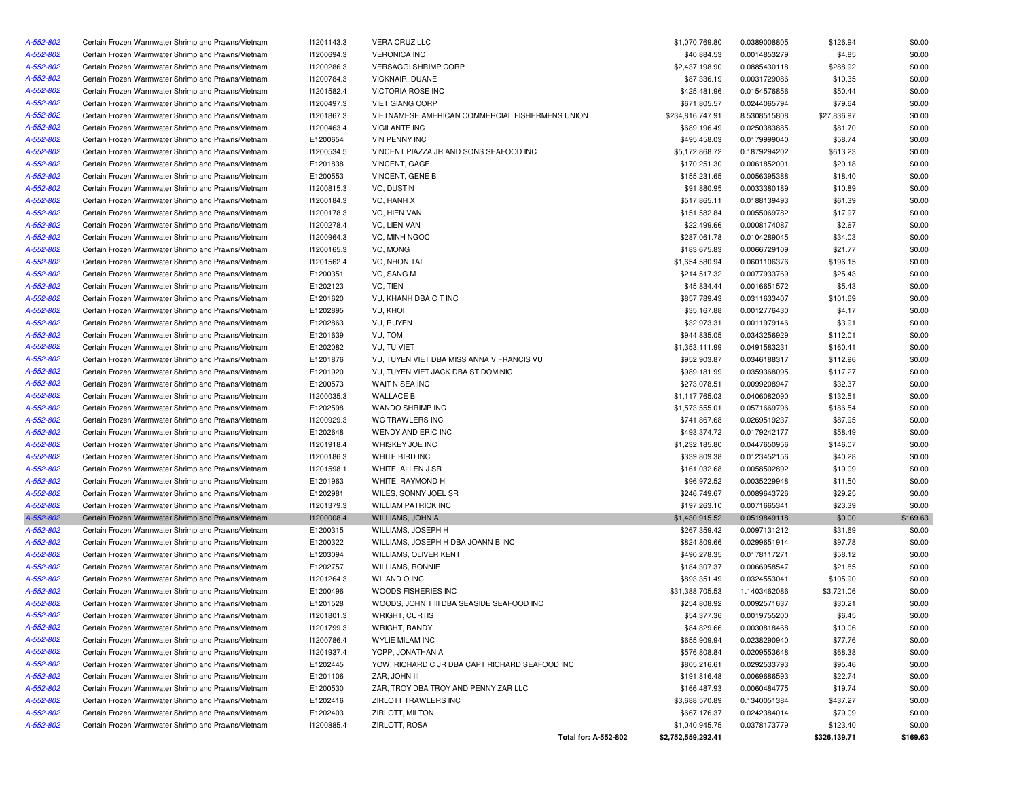| A-552-802 | Certain Frozen Warmwater Shrimp and Prawns/Vietnam | 11201143.3 | <b>VERA CRUZ LLC</b>                            | \$1,070,769.80     | 0.0389008805 | \$126.94     | \$0.00   |
|-----------|----------------------------------------------------|------------|-------------------------------------------------|--------------------|--------------|--------------|----------|
| A-552-802 | Certain Frozen Warmwater Shrimp and Prawns/Vietnam | I1200694.3 | <b>VERONICA INC</b>                             | \$40,884.53        | 0.0014853279 | \$4.85       | \$0.00   |
| A-552-802 | Certain Frozen Warmwater Shrimp and Prawns/Vietnam | I1200286.3 | VERSAGGI SHRIMP CORP                            | \$2,437,198.90     | 0.0885430118 | \$288.92     | \$0.00   |
| A-552-802 | Certain Frozen Warmwater Shrimp and Prawns/Vietnam | I1200784.3 | <b>VICKNAIR, DUANE</b>                          | \$87,336.19        | 0.0031729086 | \$10.35      | \$0.00   |
| A-552-802 | Certain Frozen Warmwater Shrimp and Prawns/Vietnam | 11201582.4 | VICTORIA ROSE INC                               | \$425,481.96       | 0.0154576856 | \$50.44      | \$0.00   |
| A-552-802 | Certain Frozen Warmwater Shrimp and Prawns/Vietnam | I1200497.3 | <b>VIET GIANG CORP</b>                          | \$671,805.57       | 0.0244065794 | \$79.64      | \$0.00   |
| A-552-802 | Certain Frozen Warmwater Shrimp and Prawns/Vietnam | 11201867.3 | VIETNAMESE AMERICAN COMMERCIAL FISHERMENS UNION | \$234,816,747.91   | 8.5308515808 | \$27,836.97  | \$0.00   |
| A-552-802 | Certain Frozen Warmwater Shrimp and Prawns/Vietnam | 11200463.4 | <b>VIGILANTE INC</b>                            | \$689,196.49       | 0.0250383885 | \$81.70      | \$0.00   |
| A-552-802 | Certain Frozen Warmwater Shrimp and Prawns/Vietnam | E1200654   | <b>VIN PENNY INC</b>                            | \$495,458.03       | 0.0179999040 | \$58.74      | \$0.00   |
| A-552-802 | Certain Frozen Warmwater Shrimp and Prawns/Vietnam | I1200534.5 | VINCENT PIAZZA JR AND SONS SEAFOOD INC          | \$5,172,868.72     | 0.1879294202 | \$613.23     | \$0.00   |
| A-552-802 | Certain Frozen Warmwater Shrimp and Prawns/Vietnam | E1201838   | VINCENT, GAGE                                   | \$170,251.30       | 0.0061852001 | \$20.18      | \$0.00   |
| A-552-802 | Certain Frozen Warmwater Shrimp and Prawns/Vietnam | E1200553   | <b>VINCENT, GENE B</b>                          | \$155,231.65       | 0.0056395388 | \$18.40      | \$0.00   |
| A-552-802 | Certain Frozen Warmwater Shrimp and Prawns/Vietnam | 11200815.3 | VO, DUSTIN                                      | \$91,880.95        | 0.0033380189 | \$10.89      | \$0.00   |
| A-552-802 | Certain Frozen Warmwater Shrimp and Prawns/Vietnam | 11200184.3 | VO, HANH X                                      | \$517,865.11       | 0.0188139493 | \$61.39      | \$0.00   |
| A-552-802 | Certain Frozen Warmwater Shrimp and Prawns/Vietnam | 11200178.3 | VO, HIEN VAN                                    | \$151,582.84       | 0.0055069782 | \$17.97      | \$0.00   |
| A-552-802 | Certain Frozen Warmwater Shrimp and Prawns/Vietnam | 11200278.4 | VO, LIEN VAN                                    | \$22,499.66        | 0.0008174087 | \$2.67       | \$0.00   |
| A-552-802 | Certain Frozen Warmwater Shrimp and Prawns/Vietnam | I1200964.3 | VO, MINH NGOC                                   | \$287,061.78       | 0.0104289045 | \$34.03      | \$0.00   |
| A-552-802 | Certain Frozen Warmwater Shrimp and Prawns/Vietnam | I1200165.3 | VO, MONG                                        | \$183,675.83       | 0.0066729109 | \$21.77      | \$0.00   |
| A-552-802 | Certain Frozen Warmwater Shrimp and Prawns/Vietnam | 11201562.4 | VO, NHON TAI                                    | \$1,654,580.94     | 0.0601106376 | \$196.15     | \$0.00   |
| A-552-802 | Certain Frozen Warmwater Shrimp and Prawns/Vietnam | E1200351   | VO, SANG M                                      | \$214,517.32       | 0.0077933769 | \$25.43      | \$0.00   |
| A-552-802 | Certain Frozen Warmwater Shrimp and Prawns/Vietnam | E1202123   | VO, TIEN                                        | \$45,834.44        | 0.0016651572 | \$5.43       | \$0.00   |
| A-552-802 | Certain Frozen Warmwater Shrimp and Prawns/Vietnam |            | VU, KHANH DBA C T INC                           | \$857,789.43       |              |              | \$0.00   |
|           |                                                    | E1201620   |                                                 |                    | 0.0311633407 | \$101.69     |          |
| A-552-802 | Certain Frozen Warmwater Shrimp and Prawns/Vietnam | E1202895   | VU, KHOI                                        | \$35,167.88        | 0.0012776430 | \$4.17       | \$0.00   |
| A-552-802 | Certain Frozen Warmwater Shrimp and Prawns/Vietnam | E1202863   | VU, RUYEN                                       | \$32,973.31        | 0.0011979146 | \$3.91       | \$0.00   |
| A-552-802 | Certain Frozen Warmwater Shrimp and Prawns/Vietnam | E1201639   | VU, TOM                                         | \$944,835.05       | 0.0343256929 | \$112.01     | \$0.00   |
| A-552-802 | Certain Frozen Warmwater Shrimp and Prawns/Vietnam | E1202082   | <b>VU, TU VIET</b>                              | \$1,353,111.99     | 0.0491583231 | \$160.41     | \$0.00   |
| A-552-802 | Certain Frozen Warmwater Shrimp and Prawns/Vietnam | E1201876   | VU, TUYEN VIET DBA MISS ANNA V FRANCIS VU       | \$952,903.87       | 0.0346188317 | \$112.96     | \$0.00   |
| A-552-802 | Certain Frozen Warmwater Shrimp and Prawns/Vietnam | E1201920   | VU, TUYEN VIET JACK DBA ST DOMINIC              | \$989,181.99       | 0.0359368095 | \$117.27     | \$0.00   |
| A-552-802 | Certain Frozen Warmwater Shrimp and Prawns/Vietnam | E1200573   | WAIT N SEA INC                                  | \$273,078.51       | 0.0099208947 | \$32.37      | \$0.00   |
| A-552-802 | Certain Frozen Warmwater Shrimp and Prawns/Vietnam | 11200035.3 | <b>WALLACE B</b>                                | \$1,117,765.03     | 0.0406082090 | \$132.51     | \$0.00   |
| A-552-802 | Certain Frozen Warmwater Shrimp and Prawns/Vietnam | E1202598   | WANDO SHRIMP INC                                | \$1,573,555.01     | 0.0571669796 | \$186.54     | \$0.00   |
| A-552-802 | Certain Frozen Warmwater Shrimp and Prawns/Vietnam | I1200929.3 | WC TRAWLERS INC                                 | \$741,867.68       | 0.0269519237 | \$87.95      | \$0.00   |
| A-552-802 | Certain Frozen Warmwater Shrimp and Prawns/Vietnam | E1202648   | WENDY AND ERIC INC                              | \$493,374.72       | 0.0179242177 | \$58.49      | \$0.00   |
| A-552-802 | Certain Frozen Warmwater Shrimp and Prawns/Vietnam | 11201918.4 | WHISKEY JOE INC                                 | \$1,232,185.80     | 0.0447650956 | \$146.07     | \$0.00   |
| A-552-802 | Certain Frozen Warmwater Shrimp and Prawns/Vietnam | 11200186.3 | WHITE BIRD INC                                  | \$339,809.38       | 0.0123452156 | \$40.28      | \$0.00   |
| A-552-802 | Certain Frozen Warmwater Shrimp and Prawns/Vietnam | 11201598.1 | WHITE, ALLEN J SR                               | \$161,032.68       | 0.0058502892 | \$19.09      | \$0.00   |
| A-552-802 | Certain Frozen Warmwater Shrimp and Prawns/Vietnam | E1201963   | WHITE, RAYMOND H                                | \$96,972.52        | 0.0035229948 | \$11.50      | \$0.00   |
| A-552-802 | Certain Frozen Warmwater Shrimp and Prawns/Vietnam | E1202981   | WILES, SONNY JOEL SR                            | \$246,749.67       | 0.0089643726 | \$29.25      | \$0.00   |
| A-552-802 | Certain Frozen Warmwater Shrimp and Prawns/Vietnam | 11201379.3 | <b>WILLIAM PATRICK INC</b>                      | \$197,263.10       | 0.0071665341 | \$23.39      | \$0.00   |
| A-552-802 | Certain Frozen Warmwater Shrimp and Prawns/Vietnam | 11200008.4 | WILLIAMS, JOHN A                                | \$1,430,915.52     | 0.0519849118 | \$0.00       | \$169.63 |
| A-552-802 | Certain Frozen Warmwater Shrimp and Prawns/Vietnam | E1200315   | WILLIAMS, JOSEPH H                              | \$267,359.42       | 0.0097131212 | \$31.69      | \$0.00   |
| A-552-802 | Certain Frozen Warmwater Shrimp and Prawns/Vietnam | E1200322   | WILLIAMS, JOSEPH H DBA JOANN B INC              | \$824,809.66       | 0.0299651914 | \$97.78      | \$0.00   |
| A-552-802 | Certain Frozen Warmwater Shrimp and Prawns/Vietnam | E1203094   | WILLIAMS, OLIVER KENT                           | \$490,278.35       | 0.0178117271 | \$58.12      | \$0.00   |
| A-552-802 | Certain Frozen Warmwater Shrimp and Prawns/Vietnam | E1202757   | WILLIAMS, RONNIE                                | \$184,307.37       | 0.0066958547 | \$21.85      | \$0.00   |
| A-552-802 | Certain Frozen Warmwater Shrimp and Prawns/Vietnam | 11201264.3 | <b>WL AND O INC</b>                             | \$893,351.49       | 0.0324553041 | \$105.90     | \$0.00   |
| A-552-802 | Certain Frozen Warmwater Shrimp and Prawns/Vietnam | E1200496   | WOODS FISHERIES INC                             | \$31,388,705.53    | 1.1403462086 | \$3,721.06   | \$0.00   |
| A-552-802 | Certain Frozen Warmwater Shrimp and Prawns/Vietnam | E1201528   | WOODS, JOHN T III DBA SEASIDE SEAFOOD INC       | \$254,808.92       | 0.0092571637 | \$30.21      | \$0.00   |
| A-552-802 | Certain Frozen Warmwater Shrimp and Prawns/Vietnam | 11201801.3 | WRIGHT, CURTIS                                  | \$54,377.36        | 0.0019755200 | \$6.45       | \$0.00   |
| A-552-802 | Certain Frozen Warmwater Shrimp and Prawns/Vietnam | 11201799.3 | WRIGHT, RANDY                                   | \$84,829.66        | 0.0030818468 | \$10.06      | \$0.00   |
| A-552-802 | Certain Frozen Warmwater Shrimp and Prawns/Vietnam | 11200786.4 | WYLIE MILAM INC                                 | \$655,909.94       | 0.0238290940 | \$77.76      | \$0.00   |
| A-552-802 | Certain Frozen Warmwater Shrimp and Prawns/Vietnam | 11201937.4 | YOPP, JONATHAN A                                | \$576,808.84       | 0.0209553648 | \$68.38      | \$0.00   |
| A-552-802 | Certain Frozen Warmwater Shrimp and Prawns/Vietnam | E1202445   | YOW, RICHARD C JR DBA CAPT RICHARD SEAFOOD INC  | \$805,216.61       | 0.0292533793 | \$95.46      | \$0.00   |
| A-552-802 | Certain Frozen Warmwater Shrimp and Prawns/Vietnam | E1201106   | ZAR, JOHN III                                   | \$191,816.48       | 0.0069686593 | \$22.74      | \$0.00   |
| A-552-802 | Certain Frozen Warmwater Shrimp and Prawns/Vietnam | E1200530   | ZAR, TROY DBA TROY AND PENNY ZAR LLC            | \$166,487.93       | 0.0060484775 | \$19.74      | \$0.00   |
| A-552-802 | Certain Frozen Warmwater Shrimp and Prawns/Vietnam | E1202416   | ZIRLOTT TRAWLERS INC                            | \$3,688,570.89     | 0.1340051384 | \$437.27     | \$0.00   |
| A-552-802 | Certain Frozen Warmwater Shrimp and Prawns/Vietnam | E1202403   | ZIRLOTT, MILTON                                 | \$667,176.37       | 0.0242384014 | \$79.09      | \$0.00   |
| A-552-802 | Certain Frozen Warmwater Shrimp and Prawns/Vietnam | 11200885.4 | ZIRLOTT, ROSA                                   | \$1,040,945.75     | 0.0378173779 | \$123.40     | \$0.00   |
|           |                                                    |            | Total for: A-552-802                            | \$2,752,559,292.41 |              | \$326,139.71 | \$169.63 |
|           |                                                    |            |                                                 |                    |              |              |          |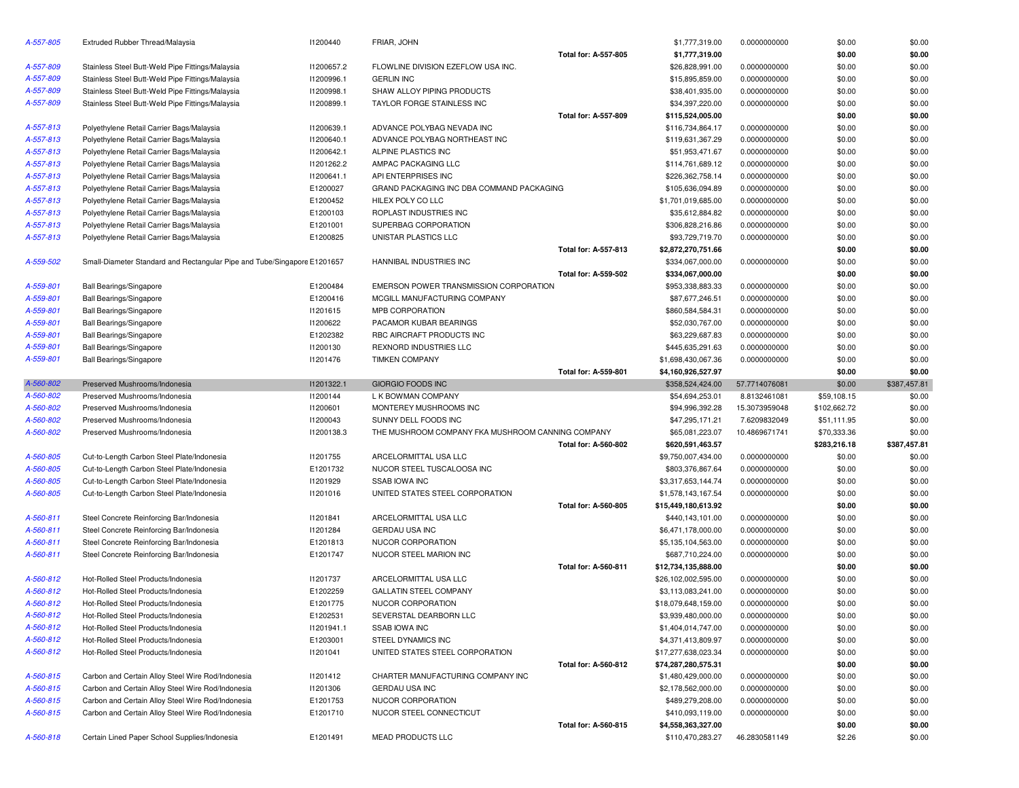| A-557-805 | Extruded Rubber Thread/Malaysia                                          | 11200440   | FRIAR, JOHN                                       |                             | \$1,777,319.00      | 0.0000000000  | \$0.00       | \$0.00       |
|-----------|--------------------------------------------------------------------------|------------|---------------------------------------------------|-----------------------------|---------------------|---------------|--------------|--------------|
|           |                                                                          |            |                                                   | Total for: A-557-805        | \$1,777,319.00      |               | \$0.00       | \$0.00       |
| A-557-809 | Stainless Steel Butt-Weld Pipe Fittings/Malaysia                         | I1200657.2 | FLOWLINE DIVISION EZEFLOW USA INC.                |                             | \$26,828,991.00     | 0.0000000000  | \$0.00       | \$0.00       |
| A-557-809 | Stainless Steel Butt-Weld Pipe Fittings/Malaysia                         | I1200996.1 | <b>GERLIN INC</b>                                 |                             | \$15,895,859.00     | 0.0000000000  | \$0.00       | \$0.00       |
| A-557-809 | Stainless Steel Butt-Weld Pipe Fittings/Malaysia                         | 11200998.1 | SHAW ALLOY PIPING PRODUCTS                        |                             | \$38,401,935.00     | 0.0000000000  | \$0.00       | \$0.00       |
| A-557-809 | Stainless Steel Butt-Weld Pipe Fittings/Malaysia                         | I1200899.1 | TAYLOR FORGE STAINLESS INC                        |                             | \$34,397,220.00     | 0.0000000000  | \$0.00       | \$0.00       |
|           |                                                                          |            |                                                   | <b>Total for: A-557-809</b> | \$115,524,005.00    |               | \$0.00       | \$0.00       |
| A-557-813 | Polyethylene Retail Carrier Bags/Malaysia                                | 11200639.1 | ADVANCE POLYBAG NEVADA INC                        |                             | \$116,734,864.17    | 0.0000000000  | \$0.00       | \$0.00       |
| A-557-813 | Polyethylene Retail Carrier Bags/Malaysia                                | I1200640.1 | ADVANCE POLYBAG NORTHEAST INC                     |                             | \$119,631,367.29    | 0.0000000000  | \$0.00       | \$0.00       |
| A-557-813 | Polyethylene Retail Carrier Bags/Malaysia                                | 11200642.1 | ALPINE PLASTICS INC                               |                             | \$51,953,471.67     | 0.0000000000  | \$0.00       | \$0.00       |
| A-557-813 | Polyethylene Retail Carrier Bags/Malaysia                                | 11201262.2 | AMPAC PACKAGING LLC                               |                             | \$114,761,689.12    | 0.0000000000  | \$0.00       | \$0.00       |
| A-557-813 | Polyethylene Retail Carrier Bags/Malaysia                                | 11200641.1 | API ENTERPRISES INC                               |                             | \$226,362,758.14    | 0.0000000000  | \$0.00       | \$0.00       |
| A-557-813 | Polyethylene Retail Carrier Bags/Malaysia                                | E1200027   | GRAND PACKAGING INC DBA COMMAND PACKAGING         |                             | \$105,636,094.89    | 0.0000000000  | \$0.00       | \$0.00       |
| A-557-813 | Polyethylene Retail Carrier Bags/Malaysia                                | E1200452   | HILEX POLY CO LLC                                 |                             | \$1,701,019,685.00  | 0.0000000000  | \$0.00       | \$0.00       |
| A-557-813 | Polyethylene Retail Carrier Bags/Malaysia                                | E1200103   | ROPLAST INDUSTRIES INC                            |                             | \$35,612,884.82     | 0.0000000000  | \$0.00       | \$0.00       |
| A-557-813 | Polyethylene Retail Carrier Bags/Malaysia                                | E1201001   | SUPERBAG CORPORATION                              |                             | \$306,828,216.86    | 0.0000000000  | \$0.00       | \$0.00       |
| A-557-813 | Polyethylene Retail Carrier Bags/Malaysia                                | E1200825   | UNISTAR PLASTICS LLC                              |                             | \$93,729,719.70     | 0.0000000000  | \$0.00       | \$0.00       |
|           |                                                                          |            |                                                   | Total for: A-557-813        | \$2,872,270,751.66  |               | \$0.00       | \$0.00       |
| A-559-502 | Small-Diameter Standard and Rectangular Pipe and Tube/Singapore E1201657 |            | HANNIBAL INDUSTRIES INC                           |                             | \$334,067,000.00    | 0.0000000000  | \$0.00       | \$0.00       |
|           |                                                                          |            |                                                   | Total for: A-559-502        | \$334,067,000.00    |               | \$0.00       | \$0.00       |
| A-559-801 | <b>Ball Bearings/Singapore</b>                                           | E1200484   | EMERSON POWER TRANSMISSION CORPORATION            |                             | \$953,338,883.33    | 0.0000000000  | \$0.00       | \$0.00       |
| A-559-801 | <b>Ball Bearings/Singapore</b>                                           | E1200416   | MCGILL MANUFACTURING COMPANY                      |                             | \$87,677,246.51     | 0.0000000000  | \$0.00       | \$0.00       |
| A-559-801 | <b>Ball Bearings/Singapore</b>                                           | 11201615   | MPB CORPORATION                                   |                             | \$860,584,584.31    | 0.0000000000  | \$0.00       | \$0.00       |
| A-559-801 | <b>Ball Bearings/Singapore</b>                                           | 11200622   | PACAMOR KUBAR BEARINGS                            |                             | \$52,030,767.00     | 0.0000000000  | \$0.00       | \$0.00       |
| A-559-801 | <b>Ball Bearings/Singapore</b>                                           | E1202382   | RBC AIRCRAFT PRODUCTS INC                         |                             | \$63,229,687.83     | 0.0000000000  | \$0.00       | \$0.00       |
| A-559-801 | <b>Ball Bearings/Singapore</b>                                           | 11200130   | REXNORD INDUSTRIES LLC                            |                             | \$445,635,291.63    | 0.0000000000  | \$0.00       | \$0.00       |
| A-559-801 | <b>Ball Bearings/Singapore</b>                                           | 11201476   | <b>TIMKEN COMPANY</b>                             |                             | \$1,698,430,067.36  | 0.0000000000  | \$0.00       | \$0.00       |
|           |                                                                          |            |                                                   | Total for: A-559-801        | \$4,160,926,527.97  |               | \$0.00       | \$0.00       |
| A-560-802 | Preserved Mushrooms/Indonesia                                            | 11201322.1 | GIORGIO FOODS INC                                 |                             | \$358,524,424.00    | 57.7714076081 | \$0.00       | \$387,457.81 |
| A-560-802 | Preserved Mushrooms/Indonesia                                            | 11200144   | L K BOWMAN COMPANY                                |                             | \$54,694,253.01     | 8.8132461081  | \$59,108.15  | \$0.00       |
| A-560-802 | Preserved Mushrooms/Indonesia                                            | 11200601   | MONTEREY MUSHROOMS INC                            |                             | \$94,996,392.28     | 15.3073959048 | \$102,662.72 | \$0.00       |
| A-560-802 | Preserved Mushrooms/Indonesia                                            | 11200043   | SUNNY DELL FOODS INC                              |                             | \$47,295,171.21     | 7.6209832049  | \$51,111.95  | \$0.00       |
| A-560-802 | Preserved Mushrooms/Indonesia                                            | 11200138.3 | THE MUSHROOM COMPANY FKA MUSHROOM CANNING COMPANY |                             | \$65,081,223.07     | 10.4869671741 | \$70,333.36  | \$0.00       |
|           |                                                                          |            |                                                   | Total for: A-560-802        | \$620,591,463.57    |               | \$283,216.18 | \$387,457.81 |
| A-560-805 | Cut-to-Length Carbon Steel Plate/Indonesia                               | 11201755   | ARCELORMITTAL USA LLC                             |                             | \$9,750,007,434.00  | 0.0000000000  | \$0.00       | \$0.00       |
| A-560-805 | Cut-to-Length Carbon Steel Plate/Indonesia                               | E1201732   | NUCOR STEEL TUSCALOOSA INC                        |                             | \$803,376,867.64    | 0.0000000000  | \$0.00       | \$0.00       |
| A-560-805 | Cut-to-Length Carbon Steel Plate/Indonesia                               | 11201929   | <b>SSAB IOWA INC</b>                              |                             | \$3,317,653,144.74  | 0.0000000000  | \$0.00       | \$0.00       |
| A-560-805 | Cut-to-Length Carbon Steel Plate/Indonesia                               | 11201016   | UNITED STATES STEEL CORPORATION                   |                             | \$1,578,143,167.54  | 0.0000000000  | \$0.00       | \$0.00       |
|           |                                                                          |            |                                                   | Total for: A-560-805        | \$15,449,180,613.92 |               | \$0.00       | \$0.00       |
| A-560-811 | Steel Concrete Reinforcing Bar/Indonesia                                 | 11201841   | ARCELORMITTAL USA LLC                             |                             | \$440,143,101.00    | 0.0000000000  | \$0.00       | \$0.00       |
| A-560-811 | Steel Concrete Reinforcing Bar/Indonesia                                 | 11201284   | <b>GERDAU USA INC</b>                             |                             | \$6,471,178,000.00  | 0.0000000000  | \$0.00       | \$0.00       |
| A-560-811 | Steel Concrete Reinforcing Bar/Indonesia                                 | E1201813   | NUCOR CORPORATION                                 |                             | \$5,135,104,563.00  | 0.0000000000  | \$0.00       | \$0.00       |
| A-560-811 | Steel Concrete Reinforcing Bar/Indonesia                                 | E1201747   | NUCOR STEEL MARION INC                            |                             | \$687,710,224.00    | 0.0000000000  | \$0.00       | \$0.00       |
|           |                                                                          |            |                                                   | Total for: A-560-811        | \$12,734,135,888.00 |               | \$0.00       | \$0.00       |
| A-560-812 | Hot-Rolled Steel Products/Indonesia                                      | 11201737   | ARCELORMITTAL USA LLC                             |                             | \$26,102,002,595.00 | 0.0000000000  | \$0.00       | \$0.00       |
| A-560-812 | Hot-Rolled Steel Products/Indonesia                                      | E1202259   | GALLATIN STEEL COMPANY                            |                             | \$3,113,083,241.00  | 0.0000000000  | \$0.00       | \$0.00       |
| A-560-812 | Hot-Rolled Steel Products/Indonesia                                      | E1201775   | NUCOR CORPORATION                                 |                             | \$18,079,648,159.00 | 0.0000000000  | \$0.00       | \$0.00       |
| A-560-812 | Hot-Rolled Steel Products/Indonesia                                      | E1202531   | SEVERSTAL DEARBORN LLC                            |                             | \$3,939,480,000.00  | 0.0000000000  | \$0.00       | \$0.00       |
| A-560-812 | Hot-Rolled Steel Products/Indonesia                                      | 11201941.1 | SSAB IOWA INC                                     |                             | \$1,404,014,747.00  | 0.0000000000  | \$0.00       | \$0.00       |
| A-560-812 | Hot-Rolled Steel Products/Indonesia                                      | E1203001   | STEEL DYNAMICS INC                                |                             | \$4,371,413,809.97  | 0.0000000000  | \$0.00       | \$0.00       |
| A-560-812 | Hot-Rolled Steel Products/Indonesia                                      | 11201041   | UNITED STATES STEEL CORPORATION                   |                             | \$17,277,638,023.34 | 0.0000000000  | \$0.00       | \$0.00       |
|           |                                                                          |            |                                                   | Total for: A-560-812        | \$74,287,280,575.31 |               | \$0.00       | \$0.00       |
| A-560-815 | Carbon and Certain Alloy Steel Wire Rod/Indonesia                        | 11201412   | CHARTER MANUFACTURING COMPANY INC                 |                             | \$1,480,429,000.00  | 0.0000000000  | \$0.00       | \$0.00       |
| A-560-815 | Carbon and Certain Alloy Steel Wire Rod/Indonesia                        | 11201306   | GERDAU USA INC                                    |                             | \$2,178,562,000.00  | 0.0000000000  | \$0.00       | \$0.00       |
| A-560-815 | Carbon and Certain Alloy Steel Wire Rod/Indonesia                        | E1201753   | NUCOR CORPORATION                                 |                             | \$489,279,208.00    | 0.0000000000  | \$0.00       | \$0.00       |
| A-560-815 | Carbon and Certain Alloy Steel Wire Rod/Indonesia                        | E1201710   | NUCOR STEEL CONNECTICUT                           |                             | \$410,093,119.00    | 0.0000000000  | \$0.00       | \$0.00       |
|           |                                                                          |            |                                                   | Total for: A-560-815        | \$4,558,363,327.00  |               | \$0.00       | \$0.00       |
| A-560-818 | Certain Lined Paper School Supplies/Indonesia                            | E1201491   | MEAD PRODUCTS LLC                                 |                             | \$110,470,283.27    | 46.2830581149 | \$2.26       | \$0.00       |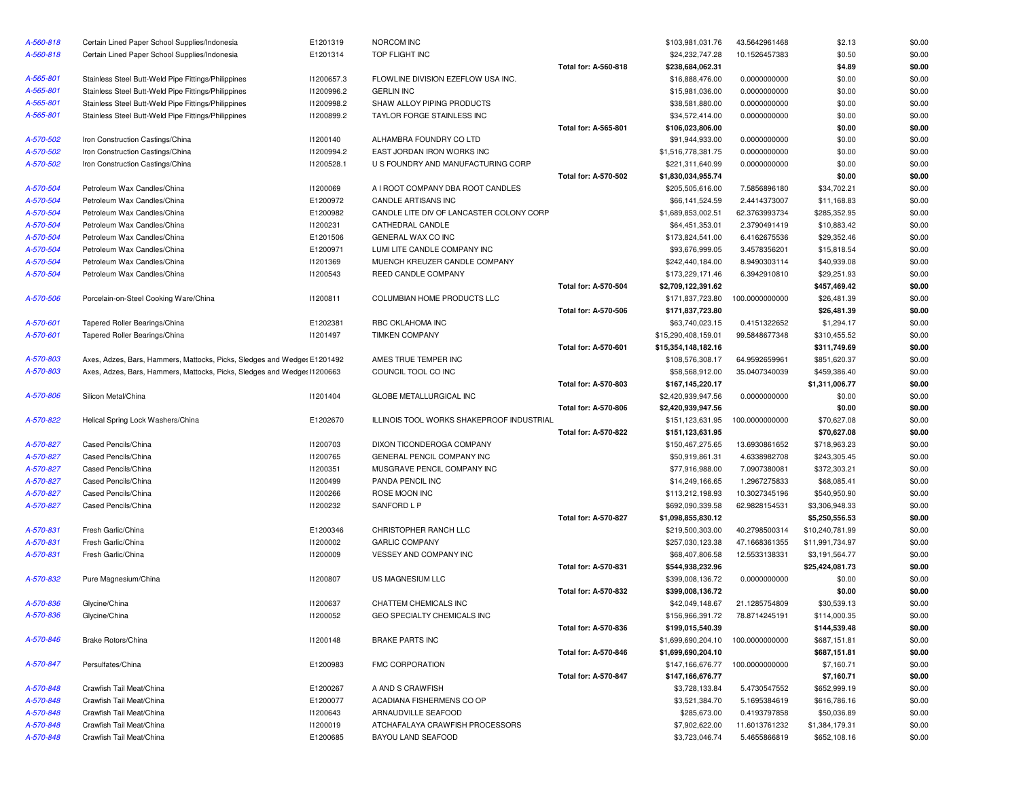| A-560-818 | Certain Lined Paper School Supplies/Indonesia                            | E1201319   | NORCOM INC                                |                             | \$103,981,031.76                       | 43.5642961468  | \$2.13                     | \$0.00 |
|-----------|--------------------------------------------------------------------------|------------|-------------------------------------------|-----------------------------|----------------------------------------|----------------|----------------------------|--------|
| A-560-818 | Certain Lined Paper School Supplies/Indonesia                            | E1201314   | TOP FLIGHT INC                            |                             | \$24,232,747.28                        | 10.1526457383  | \$0.50                     | \$0.00 |
|           |                                                                          |            |                                           | Total for: A-560-818        | \$238,684,062.31                       |                | \$4.89                     | \$0.00 |
| A-565-801 | Stainless Steel Butt-Weld Pipe Fittings/Philippines                      | 11200657.3 | FLOWLINE DIVISION EZEFLOW USA INC.        |                             | \$16,888,476.00                        | 0.0000000000   | \$0.00                     | \$0.00 |
| A-565-801 | Stainless Steel Butt-Weld Pipe Fittings/Philippines                      | 11200996.2 | <b>GERLIN INC</b>                         |                             | \$15,981,036.00                        | 0.0000000000   | \$0.00                     | \$0.00 |
| A-565-801 | Stainless Steel Butt-Weld Pipe Fittings/Philippines                      | 11200998.2 | SHAW ALLOY PIPING PRODUCTS                |                             | \$38,581,880.00                        | 0.0000000000   | \$0.00                     | \$0.00 |
| A-565-801 | Stainless Steel Butt-Weld Pipe Fittings/Philippines                      | 11200899.2 | TAYLOR FORGE STAINLESS INC                |                             | \$34,572,414.00                        | 0.0000000000   | \$0.00                     | \$0.00 |
|           |                                                                          |            |                                           | <b>Total for: A-565-801</b> | \$106,023,806.00                       |                | \$0.00                     | \$0.00 |
| A-570-502 | Iron Construction Castings/China                                         | 11200140   | ALHAMBRA FOUNDRY CO LTD                   |                             | \$91,944,933.00                        | 0.0000000000   | \$0.00                     | \$0.00 |
| A-570-502 | Iron Construction Castings/China                                         | 11200994.2 | EAST JORDAN IRON WORKS INC                |                             | \$1,516,778,381.75                     | 0.0000000000   | \$0.00                     | \$0.00 |
| A-570-502 | Iron Construction Castings/China                                         | 11200528.1 | U S FOUNDRY AND MANUFACTURING CORP        |                             | \$221,311,640.99                       | 0.0000000000   | \$0.00                     | \$0.00 |
|           |                                                                          |            |                                           | Total for: A-570-502        | \$1,830,034,955.74                     |                | \$0.00                     | \$0.00 |
| A-570-504 | Petroleum Wax Candles/China                                              | 11200069   | A I ROOT COMPANY DBA ROOT CANDLES         |                             | \$205,505,616.00                       | 7.5856896180   | \$34,702.21                | \$0.00 |
| A-570-504 | Petroleum Wax Candles/China                                              | E1200972   | CANDLE ARTISANS INC                       |                             | \$66,141,524.59                        | 2.4414373007   | \$11,168.83                | \$0.00 |
| A-570-504 | Petroleum Wax Candles/China                                              | E1200982   | CANDLE LITE DIV OF LANCASTER COLONY CORP  |                             | \$1,689,853,002.51                     | 62.3763993734  | \$285,352.95               | \$0.00 |
| A-570-504 | Petroleum Wax Candles/China                                              | 11200231   | CATHEDRAL CANDLE                          |                             | \$64,451,353.01                        | 2.3790491419   | \$10,883.42                | \$0.00 |
| A-570-504 | Petroleum Wax Candles/China                                              | E1201506   | GENERAL WAX CO INC                        |                             | \$173,824,541.00                       | 6.4162675536   | \$29,352.46                | \$0.00 |
| A-570-504 | Petroleum Wax Candles/China                                              | E1200971   | LUMI LITE CANDLE COMPANY INC              |                             | \$93,676,999.05                        | 3.4578356201   | \$15,818.54                | \$0.00 |
| A-570-504 | Petroleum Wax Candles/China                                              | 11201369   | MUENCH KREUZER CANDLE COMPANY             |                             | \$242,440,184.00                       | 8.9490303114   | \$40,939.08                | \$0.00 |
| A-570-504 | Petroleum Wax Candles/China                                              | 11200543   | REED CANDLE COMPANY                       |                             | \$173,229,171.46                       | 6.3942910810   | \$29,251.93                | \$0.00 |
|           |                                                                          |            |                                           | Total for: A-570-504        | \$2,709,122,391.62                     |                | \$457,469.42               | \$0.00 |
| A-570-506 | Porcelain-on-Steel Cooking Ware/China                                    | 11200811   | COLUMBIAN HOME PRODUCTS LLC               |                             | \$171,837,723.80                       | 100.0000000000 | \$26,481.39                | \$0.00 |
|           |                                                                          |            |                                           | Total for: A-570-506        |                                        |                |                            | \$0.00 |
|           |                                                                          |            | RBC OKLAHOMA INC                          |                             | \$171,837,723.80                       |                | \$26,481.39                |        |
| A-570-601 | Tapered Roller Bearings/China                                            | E1202381   |                                           |                             | \$63,740,023.15<br>\$15,290,408,159.01 | 0.4151322652   | \$1,294.17<br>\$310,455.52 | \$0.00 |
| A-570-601 | Tapered Roller Bearings/China                                            | 11201497   | <b>TIMKEN COMPANY</b>                     | <b>Total for: A-570-601</b> |                                        | 99.5848677348  |                            | \$0.00 |
|           |                                                                          |            |                                           |                             | \$15,354,148,182.16                    |                | \$311,749.69               | \$0.00 |
| A-570-803 | Axes, Adzes, Bars, Hammers, Mattocks, Picks, Sledges and Wedges E1201492 |            | AMES TRUE TEMPER INC                      |                             | \$108,576,308.17                       | 64.9592659961  | \$851,620.37               | \$0.00 |
| A-570-803 | Axes, Adzes, Bars, Hammers, Mattocks, Picks, Sledges and Wedges I1200663 |            | COUNCIL TOOL CO INC                       |                             | \$58,568,912.00                        | 35.0407340039  | \$459,386.40               | \$0.00 |
|           |                                                                          |            |                                           | Total for: A-570-803        | \$167,145,220.17                       |                | \$1,311,006.77             | \$0.00 |
| A-570-806 | Silicon Metal/China                                                      | 11201404   | GLOBE METALLURGICAL INC                   |                             | \$2,420,939,947.56                     | 0.0000000000   | \$0.00                     | \$0.00 |
|           |                                                                          |            |                                           | Total for: A-570-806        | \$2,420,939,947.56                     |                | \$0.00                     | \$0.00 |
| A-570-822 | Helical Spring Lock Washers/China                                        | E1202670   | ILLINOIS TOOL WORKS SHAKEPROOF INDUSTRIAL |                             | \$151,123,631.95                       | 100.0000000000 | \$70,627.08                | \$0.00 |
|           |                                                                          |            |                                           | Total for: A-570-822        | \$151,123,631.95                       |                | \$70,627.08                | \$0.00 |
| A-570-827 | Cased Pencils/China                                                      | 11200703   | DIXON TICONDEROGA COMPANY                 |                             | \$150,467,275.65                       | 13.6930861652  | \$718,963.23               | \$0.00 |
| A-570-827 | Cased Pencils/China                                                      | 11200765   | GENERAL PENCIL COMPANY INC                |                             | \$50,919,861.31                        | 4.6338982708   | \$243,305.45               | \$0.00 |
| A-570-827 | Cased Pencils/China                                                      | 11200351   | MUSGRAVE PENCIL COMPANY INC               |                             | \$77,916,988.00                        | 7.0907380081   | \$372,303.21               | \$0.00 |
| A-570-827 | Cased Pencils/China                                                      | 11200499   | PANDA PENCIL INC                          |                             | \$14,249,166.65                        | 1.2967275833   | \$68,085.41                | \$0.00 |
| A-570-827 | Cased Pencils/China                                                      | 11200266   | ROSE MOON INC                             |                             | \$113,212,198.93                       | 10.3027345196  | \$540,950.90               | \$0.00 |
| A-570-827 | Cased Pencils/China                                                      | 11200232   | SANFORD L P                               |                             | \$692,090,339.58                       | 62.9828154531  | \$3,306,948.33             | \$0.00 |
|           |                                                                          |            |                                           | Total for: A-570-827        | \$1,098,855,830.12                     |                | \$5,250,556.53             | \$0.00 |
| A-570-831 | Fresh Garlic/China                                                       | E1200346   | CHRISTOPHER RANCH LLC                     |                             | \$219,500,303.00                       | 40.2798500314  | \$10,240,781.99            | \$0.00 |
| A-570-831 | Fresh Garlic/China                                                       | 11200002   | <b>GARLIC COMPANY</b>                     |                             | \$257,030,123.38                       | 47.1668361355  | \$11,991,734.97            | \$0.00 |
| A-570-831 | Fresh Garlic/China                                                       | 11200009   | VESSEY AND COMPANY INC                    |                             | \$68,407,806.58                        | 12.5533138331  | \$3,191,564.77             | \$0.00 |
|           |                                                                          |            |                                           | Total for: A-570-831        | \$544,938,232.96                       |                | \$25,424,081.73            | \$0.00 |
| A-570-832 | Pure Magnesium/China                                                     | 11200807   | US MAGNESIUM LLC                          |                             | \$399,008,136.72                       | 0.0000000000   | \$0.00                     | \$0.00 |
|           |                                                                          |            |                                           | <b>Total for: A-570-832</b> | \$399,008,136.72                       |                | \$0.00                     | \$0.00 |
| A-570-836 | Glycine/China                                                            | 11200637   | CHATTEM CHEMICALS INC                     |                             | \$42,049,148.67                        | 21.1285754809  | \$30,539.13                | \$0.00 |
| A-570-836 | Glycine/China                                                            | 11200052   | GEO SPECIALTY CHEMICALS INC               |                             | \$156,966,391.72                       | 78.8714245191  | \$114,000.35               | \$0.00 |
|           |                                                                          |            |                                           | Total for: A-570-836        | \$199,015,540.39                       |                | \$144,539.48               | \$0.00 |
| A-570-846 | Brake Rotors/China                                                       | 11200148   | <b>BRAKE PARTS INC</b>                    |                             | \$1,699,690,204.10                     | 100.0000000000 | \$687,151.81               | \$0.00 |
|           |                                                                          |            |                                           | Total for: A-570-846        | \$1,699,690,204.10                     |                | \$687,151.81               | \$0.00 |
| A-570-847 | Persulfates/China                                                        | E1200983   | <b>FMC CORPORATION</b>                    |                             | \$147,166,676.77                       | 100.0000000000 | \$7,160.71                 | \$0.00 |
|           |                                                                          |            |                                           | Total for: A-570-847        | \$147,166,676.77                       |                | \$7,160.71                 | \$0.00 |
| A-570-848 | Crawfish Tail Meat/China                                                 | E1200267   | A AND S CRAWFISH                          |                             | \$3,728,133.84                         | 5.4730547552   | \$652,999.19               | \$0.00 |
| A-570-848 | Crawfish Tail Meat/China                                                 | E1200077   | ACADIANA FISHERMENS CO OP                 |                             | \$3,521,384.70                         | 5.1695384619   | \$616,786.16               | \$0.00 |
| A-570-848 | Crawfish Tail Meat/China                                                 | 11200643   | ARNAUDVILLE SEAFOOD                       |                             | \$285,673.00                           | 0.4193797858   | \$50,036.89                | \$0.00 |
| A-570-848 | Crawfish Tail Meat/China                                                 | 11200019   | ATCHAFALAYA CRAWFISH PROCESSORS           |                             | \$7,902,622.00                         | 11.6013761232  | \$1,384,179.31             | \$0.00 |
| A-570-848 | Crawfish Tail Meat/China                                                 | E1200685   | BAYOU LAND SEAFOOD                        |                             | \$3,723,046.74                         | 5.4655866819   | \$652,108.16               | \$0.00 |
|           |                                                                          |            |                                           |                             |                                        |                |                            |        |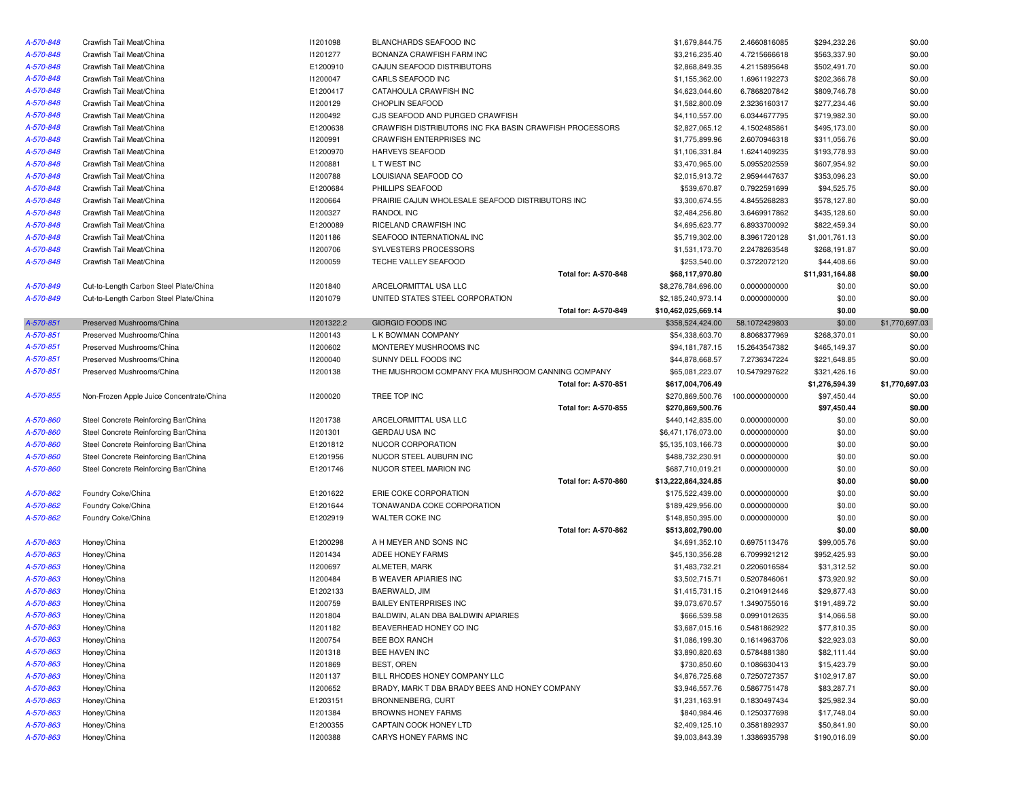| A-570-848 | Crawfish Tail Meat/China                 | 11201098        | BLANCHARDS SEAFOOD INC                                  |                      | \$1,679,844.75      | 2.4660816085   | \$294,232.26    | \$0.00         |
|-----------|------------------------------------------|-----------------|---------------------------------------------------------|----------------------|---------------------|----------------|-----------------|----------------|
| A-570-848 | Crawfish Tail Meat/China                 | 11201277        | BONANZA CRAWFISH FARM INC                               |                      | \$3,216,235.40      | 4.7215666618   | \$563,337.90    | \$0.00         |
| A-570-848 | Crawfish Tail Meat/China                 | E1200910        | CAJUN SEAFOOD DISTRIBUTORS                              |                      | \$2,868,849.35      | 4.2115895648   | \$502,491.70    | \$0.00         |
| A-570-848 | Crawfish Tail Meat/China                 | I1200047        | CARLS SEAFOOD INC                                       |                      | \$1,155,362.00      | 1.6961192273   | \$202,366.78    | \$0.00         |
| A-570-848 | Crawfish Tail Meat/China                 | E1200417        | CATAHOULA CRAWFISH INC                                  |                      | \$4,623,044.60      | 6.7868207842   | \$809,746.78    | \$0.00         |
| A-570-848 | Crawfish Tail Meat/China                 | 11200129        | CHOPLIN SEAFOOD                                         |                      | \$1,582,800.09      | 2.3236160317   | \$277,234.46    | \$0.00         |
| A-570-848 | Crawfish Tail Meat/China                 | 11200492        | CJS SEAFOOD AND PURGED CRAWFISH                         |                      | \$4,110,557.00      | 6.0344677795   | \$719,982.30    | \$0.00         |
| A-570-848 | Crawfish Tail Meat/China                 | E1200638        | CRAWFISH DISTRIBUTORS INC FKA BASIN CRAWFISH PROCESSORS |                      | \$2,827,065.12      | 4.1502485861   | \$495,173.00    | \$0.00         |
| A-570-848 | Crawfish Tail Meat/China                 | 11200991        | <b>CRAWFISH ENTERPRISES INC</b>                         |                      | \$1,775,899.96      | 2.6070946318   | \$311,056.76    | \$0.00         |
| A-570-848 | Crawfish Tail Meat/China                 | E1200970        | HARVEYS SEAFOOD                                         |                      | \$1,106,331.84      | 1.6241409235   | \$193,778.93    | \$0.00         |
| A-570-848 | Crawfish Tail Meat/China                 | 11200881        | L T WEST INC                                            |                      | \$3,470,965.00      | 5.0955202559   | \$607,954.92    | \$0.00         |
| A-570-848 | Crawfish Tail Meat/China                 | 11200788        | LOUISIANA SEAFOOD CO                                    |                      | \$2,015,913.72      | 2.9594447637   | \$353,096.23    | \$0.00         |
| A-570-848 | Crawfish Tail Meat/China                 | E1200684        | PHILLIPS SEAFOOD                                        |                      | \$539,670.87        | 0.7922591699   | \$94,525.75     | \$0.00         |
| A-570-848 | Crawfish Tail Meat/China                 | 11200664        | PRAIRIE CAJUN WHOLESALE SEAFOOD DISTRIBUTORS INC        |                      | \$3,300,674.55      | 4.8455268283   | \$578,127.80    | \$0.00         |
| A-570-848 | Crawfish Tail Meat/China                 | I1200327        | <b>RANDOL INC</b>                                       |                      | \$2,484,256.80      | 3.6469917862   | \$435,128.60    | \$0.00         |
| A-570-848 | Crawfish Tail Meat/China                 | E1200089        | RICELAND CRAWFISH INC                                   |                      | \$4,695,623.77      | 6.8933700092   | \$822,459.34    | \$0.00         |
| A-570-848 | Crawfish Tail Meat/China                 | 11201186        | SEAFOOD INTERNATIONAL INC                               |                      | \$5,719,302.00      | 8.3961720128   | \$1,001,761.13  | \$0.00         |
| A-570-848 | Crawfish Tail Meat/China                 | 11200706        | SYLVESTERS PROCESSORS                                   |                      | \$1,531,173.70      | 2.2478263548   | \$268,191.87    | \$0.00         |
| A-570-848 | Crawfish Tail Meat/China                 | 11200059        | TECHE VALLEY SEAFOOD                                    |                      | \$253,540.00        | 0.3722072120   | \$44,408.66     | \$0.00         |
|           |                                          |                 |                                                         | Total for: A-570-848 | \$68,117,970.80     |                | \$11,931,164.88 | \$0.00         |
| A-570-849 | Cut-to-Length Carbon Steel Plate/China   | 11201840        | ARCELORMITTAL USA LLC                                   |                      | \$8,276,784,696.00  | 0.0000000000   | \$0.00          | \$0.00         |
| A-570-849 | Cut-to-Length Carbon Steel Plate/China   | 11201079        | UNITED STATES STEEL CORPORATION                         |                      | \$2,185,240,973.14  | 0.0000000000   | \$0.00          | \$0.00         |
|           |                                          |                 |                                                         | Total for: A-570-849 | \$10,462,025,669.14 |                | \$0.00          | \$0.00         |
| A-570-851 | Preserved Mushrooms/China                | 11201322.2      | GIORGIO FOODS INC                                       |                      | \$358,524,424.00    | 58.1072429803  | \$0.00          | \$1,770,697.03 |
| A-570-851 | Preserved Mushrooms/China                | 11200143        | L K BOWMAN COMPANY                                      |                      | \$54,338,603.70     | 8.8068377969   | \$268,370.01    | \$0.00         |
| A-570-851 | Preserved Mushrooms/China                | 11200602        | MONTEREY MUSHROOMS INC                                  |                      | \$94,181,787.15     | 15.2643547382  | \$465,149.37    | \$0.00         |
| A-570-851 | Preserved Mushrooms/China                | I1200040        | SUNNY DELL FOODS INC                                    |                      | \$44,878,668.57     | 7.2736347224   | \$221,648.85    | \$0.00         |
| A-570-851 | Preserved Mushrooms/China                | 11200138        | THE MUSHROOM COMPANY FKA MUSHROOM CANNING COMPANY       |                      | \$65,081,223.07     | 10.5479297622  | \$321,426.16    | \$0.00         |
|           |                                          |                 |                                                         | Total for: A-570-851 | \$617,004,706.49    |                | \$1,276,594.39  | \$1,770,697.03 |
| A-570-855 | Non-Frozen Apple Juice Concentrate/China | <b>I1200020</b> | TREE TOP INC                                            |                      | \$270,869,500.76    | 100.0000000000 | \$97,450.44     | \$0.00         |
|           |                                          |                 |                                                         | Total for: A-570-855 | \$270,869,500.76    |                | \$97,450.44     | \$0.00         |
| A-570-860 | Steel Concrete Reinforcing Bar/China     | 11201738        | ARCELORMITTAL USA LLC                                   |                      | \$440,142,835.00    | 0.0000000000   | \$0.00          | \$0.00         |
| A-570-860 | Steel Concrete Reinforcing Bar/China     | 11201301        | <b>GERDAU USA INC</b>                                   |                      | \$6,471,176,073.00  | 0.0000000000   | \$0.00          | \$0.00         |
| A-570-860 | Steel Concrete Reinforcing Bar/China     | E1201812        | NUCOR CORPORATION                                       |                      | \$5,135,103,166.73  | 0.0000000000   | \$0.00          | \$0.00         |
| A-570-860 | Steel Concrete Reinforcing Bar/China     | E1201956        | NUCOR STEEL AUBURN INC                                  |                      | \$488,732,230.91    | 0.0000000000   | \$0.00          | \$0.00         |
| A-570-860 | Steel Concrete Reinforcing Bar/China     | E1201746        | NUCOR STEEL MARION INC                                  |                      | \$687,710,019.21    | 0.0000000000   | \$0.00          | \$0.00         |
|           |                                          |                 |                                                         | Total for: A-570-860 | \$13,222,864,324.85 |                | \$0.00          | \$0.00         |
| A-570-862 | Foundry Coke/China                       | E1201622        | ERIE COKE CORPORATION                                   |                      | \$175,522,439.00    | 0.0000000000   | \$0.00          | \$0.00         |
| A-570-862 | Foundry Coke/China                       | E1201644        | TONAWANDA COKE CORPORATION                              |                      | \$189,429,956.00    | 0.0000000000   | \$0.00          | \$0.00         |
| A-570-862 | Foundry Coke/China                       | E1202919        | WALTER COKE INC                                         |                      | \$148,850,395.00    | 0.0000000000   | \$0.00          | \$0.00         |
|           |                                          |                 |                                                         | Total for: A-570-862 | \$513,802,790.00    |                | \$0.00          | \$0.00         |
| A-570-863 | Honey/China                              | E1200298        | A H MEYER AND SONS INC                                  |                      | \$4,691,352.10      | 0.6975113476   | \$99,005.76     | \$0.00         |
| A-570-863 | Honey/China                              | 11201434        | ADEE HONEY FARMS                                        |                      | \$45,130,356.28     | 6.7099921212   | \$952,425.93    | \$0.00         |
| A-570-863 | Honey/China                              | 11200697        | ALMETER, MARK                                           |                      | \$1,483,732.21      | 0.2206016584   | \$31,312.52     | \$0.00         |
| A-570-863 | Honey/China                              | 11200484        | <b>B WEAVER APIARIES INC</b>                            |                      | \$3,502,715.71      | 0.5207846061   | \$73,920.92     | \$0.00         |
| A-570-863 | Honey/China                              | E1202133        | BAERWALD, JIM                                           |                      | \$1,415,731.15      | 0.2104912446   | \$29,877.43     | \$0.00         |
| A-570-863 | Honey/China                              | I1200759        | <b>BAILEY ENTERPRISES INC</b>                           |                      | \$9,073,670.57      | 1.3490755016   | \$191,489.72    | \$0.00         |
| A-570-863 | Honey/China                              | 11201804        | BALDWIN, ALAN DBA BALDWIN APIARIES                      |                      | \$666,539.58        | 0.0991012635   | \$14,066.58     | \$0.00         |
| A-570-863 | Honey/China                              | 11201182        | BEAVERHEAD HONEY CO INC                                 |                      | \$3,687,015.16      | 0.5481862922   | \$77,810.35     | \$0.00         |
| A-570-863 | Honey/China                              | 11200754        | BEE BOX RANCH                                           |                      | \$1,086,199.30      | 0.1614963706   | \$22,923.03     | \$0.00         |
| A-570-863 | Honey/China                              | 11201318        | BEE HAVEN INC                                           |                      | \$3,890,820.63      | 0.5784881380   | \$82,111.44     | \$0.00         |
| A-570-863 | Honey/China                              | 11201869        | BEST, OREN                                              |                      | \$730,850.60        | 0.1086630413   | \$15,423.79     | \$0.00         |
| A-570-863 | Honey/China                              | 11201137        | BILL RHODES HONEY COMPANY LLC                           |                      | \$4,876,725.68      | 0.7250727357   | \$102,917.87    | \$0.00         |
| A-570-863 | Honey/China                              | 11200652        | BRADY, MARK T DBA BRADY BEES AND HONEY COMPANY          |                      | \$3,946,557.76      | 0.5867751478   | \$83,287.71     | \$0.00         |
| A-570-863 | Honey/China                              | E1203151        | BRONNENBERG, CURT                                       |                      | \$1,231,163.91      | 0.1830497434   | \$25,982.34     | \$0.00         |
| A-570-863 | Honey/China                              | 11201384        | <b>BROWNS HONEY FARMS</b>                               |                      | \$840,984.46        | 0.1250377698   | \$17,748.04     | \$0.00         |
| A-570-863 | Honey/China                              | E1200355        | CAPTAIN COOK HONEY LTD                                  |                      | \$2,409,125.10      | 0.3581892937   | \$50,841.90     | \$0.00         |
| A-570-863 | Honey/China                              | 11200388        | CARYS HONEY FARMS INC                                   |                      | \$9,003,843.39      | 1.3386935798   | \$190,016.09    | \$0.00         |
|           |                                          |                 |                                                         |                      |                     |                |                 |                |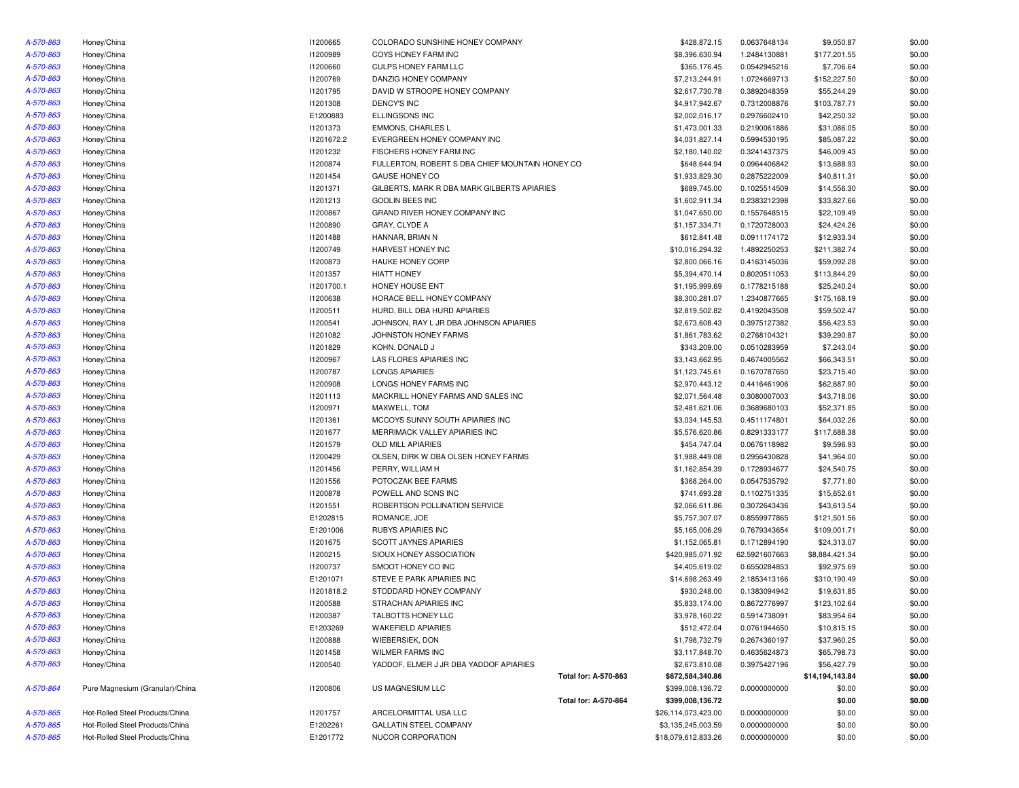| A-570-863 | Honey/China                     | I1200665        | COLORADO SUNSHINE HONEY COMPANY                 |                      | \$428,872.15        | 0.0637648134  | \$9,050.87      | \$0.00 |
|-----------|---------------------------------|-----------------|-------------------------------------------------|----------------------|---------------------|---------------|-----------------|--------|
| A-570-863 | Honey/China                     | 11200989        | COYS HONEY FARM INC                             |                      | \$8,396,630.94      | 1.2484130881  | \$177,201.55    | \$0.00 |
| A-570-863 | Honey/China                     | 11200660        | <b>CULPS HONEY FARM LLC</b>                     |                      | \$365,176.45        | 0.0542945216  | \$7,706.64      | \$0.00 |
| A-570-863 | Honey/China                     | 11200769        | DANZIG HONEY COMPANY                            |                      | \$7,213,244.91      | 1.0724669713  | \$152,227.50    | \$0.00 |
| A-570-863 | Honey/China                     | I1201795        | DAVID W STROOPE HONEY COMPANY                   |                      | \$2,617,730.78      | 0.3892048359  | \$55,244.29     | \$0.00 |
| A-570-863 | Honey/China                     | 11201308        | <b>DENCY'S INC</b>                              |                      | \$4,917,942.67      | 0.7312008876  | \$103,787.71    | \$0.00 |
| A-570-863 | Honey/China                     | E1200883        | <b>ELLINGSONS INC</b>                           |                      | \$2,002,016.17      | 0.2976602410  | \$42,250.32     | \$0.00 |
| A-570-863 | Honey/China                     | 11201373        | <b>EMMONS, CHARLES L</b>                        |                      | \$1,473,001.33      | 0.2190061886  | \$31,086.05     | \$0.00 |
| A-570-863 | Honey/China                     | 11201672.2      | EVERGREEN HONEY COMPANY INC                     |                      | \$4,031,827.14      | 0.5994530195  | \$85,087.22     | \$0.00 |
| A-570-863 | Honey/China                     | 11201232        | FISCHERS HONEY FARM INC                         |                      | \$2,180,140.02      | 0.3241437375  | \$46,009.43     | \$0.00 |
| A-570-863 | Honey/China                     | I1200874        | FULLERTON, ROBERT S DBA CHIEF MOUNTAIN HONEY CO |                      | \$648,644.94        | 0.0964406842  | \$13,688.93     | \$0.00 |
| A-570-863 | Honey/China                     | I1201454        | <b>GAUSE HONEY CO</b>                           |                      | \$1,933,829.30      | 0.2875222009  | \$40,811.31     | \$0.00 |
| A-570-863 | Honey/China                     | 11201371        | GILBERTS, MARK R DBA MARK GILBERTS APIARIES     |                      | \$689,745.00        | 0.1025514509  | \$14,556.30     | \$0.00 |
| A-570-863 | Honey/China                     | 11201213        | <b>GODLIN BEES INC</b>                          |                      | \$1,602,911.34      | 0.2383212398  | \$33,827.66     | \$0.00 |
| A-570-863 | Honey/China                     | I1200867        | GRAND RIVER HONEY COMPANY INC                   |                      | \$1,047,650.00      | 0.1557648515  | \$22,109.49     | \$0.00 |
| A-570-863 | Honey/China                     | 11200890        | GRAY, CLYDE A                                   |                      | \$1,157,334.71      | 0.1720728003  | \$24,424.26     | \$0.00 |
| A-570-863 |                                 |                 |                                                 |                      |                     |               |                 | \$0.00 |
|           | Honey/China                     | 11201488        | HANNAR, BRIAN N                                 |                      | \$612,841.48        | 0.0911174172  | \$12,933.34     |        |
| A-570-863 | Honey/China                     | I1200749        | HARVEST HONEY INC                               |                      | \$10,016,294.32     | 1.4892250253  | \$211,382.74    | \$0.00 |
| A-570-863 | Honey/China                     | <b>I1200873</b> | <b>HAUKE HONEY CORP</b>                         |                      | \$2,800,066.16      | 0.4163145036  | \$59,092.28     | \$0.00 |
| A-570-863 | Honey/China                     | I1201357        | <b>HIATT HONEY</b>                              |                      | \$5,394,470.14      | 0.8020511053  | \$113,844.29    | \$0.00 |
| A-570-863 | Honey/China                     | 11201700.1      | HONEY HOUSE ENT                                 |                      | \$1,195,999.69      | 0.1778215188  | \$25,240.24     | \$0.00 |
| A-570-863 | Honey/China                     | 11200638        | HORACE BELL HONEY COMPANY                       |                      | \$8,300,281.07      | 1.2340877665  | \$175,168.19    | \$0.00 |
| A-570-863 | Honey/China                     | 11200511        | HURD, BILL DBA HURD APIARIES                    |                      | \$2,819,502.82      | 0.4192043508  | \$59,502.47     | \$0.00 |
| A-570-863 | Honey/China                     | I1200541        | JOHNSON, RAY L JR DBA JOHNSON APIARIES          |                      | \$2,673,608.43      | 0.3975127382  | \$56,423.53     | \$0.00 |
| A-570-863 | Honey/China                     | 11201082        | JOHNSTON HONEY FARMS                            |                      | \$1,861,783.62      | 0.2768104321  | \$39,290.87     | \$0.00 |
| A-570-863 | Honey/China                     | I1201829        | KOHN, DONALD J                                  |                      | \$343,209.00        | 0.0510283959  | \$7,243.04      | \$0.00 |
| A-570-863 | Honey/China                     | I1200967        | LAS FLORES APIARIES INC                         |                      | \$3,143,662.95      | 0.4674005562  | \$66,343.51     | \$0.00 |
| A-570-863 | Honey/China                     | I1200787        | <b>LONGS APIARIES</b>                           |                      | \$1,123,745.61      | 0.1670787650  | \$23,715.40     | \$0.00 |
| A-570-863 | Honey/China                     | 11200908        | LONGS HONEY FARMS INC                           |                      | \$2,970,443.12      | 0.4416461906  | \$62,687.90     | \$0.00 |
| A-570-863 | Honey/China                     | 11201113        | MACKRILL HONEY FARMS AND SALES INC              |                      | \$2,071,564.48      | 0.3080007003  | \$43,718.06     | \$0.00 |
| A-570-863 | Honey/China                     | I1200971        | MAXWELL, TOM                                    |                      | \$2,481,621.06      | 0.3689680103  | \$52,371.85     | \$0.00 |
| A-570-863 | Honey/China                     | 11201361        | MCCOYS SUNNY SOUTH APIARIES INC                 |                      | \$3,034,145.53      | 0.4511174801  | \$64,032.26     | \$0.00 |
| A-570-863 | Honey/China                     | I1201677        | MERRIMACK VALLEY APIARIES INC                   |                      | \$5,576,620.86      | 0.8291333177  | \$117,688.38    | \$0.00 |
| A-570-863 | Honey/China                     | I1201579        | <b>OLD MILL APIARIES</b>                        |                      | \$454,747.04        | 0.0676118982  | \$9,596.93      | \$0.00 |
| A-570-863 | Honey/China                     | I1200429        | OLSEN, DIRK W DBA OLSEN HONEY FARMS             |                      | \$1,988,449.08      | 0.2956430828  | \$41,964.00     | \$0.00 |
| A-570-863 | Honey/China                     | I1201456        | PERRY, WILLIAM H                                |                      | \$1,162,854.39      | 0.1728934677  | \$24,540.75     | \$0.00 |
| A-570-863 | Honey/China                     | I1201556        | POTOCZAK BEE FARMS                              |                      | \$368,264.00        | 0.0547535792  | \$7,771.80      | \$0.00 |
| A-570-863 | Honey/China                     | <b>I1200878</b> | POWELL AND SONS INC                             |                      | \$741,693.28        | 0.1102751335  | \$15,652.61     | \$0.00 |
| A-570-863 | Honey/China                     | 11201551        | ROBERTSON POLLINATION SERVICE                   |                      | \$2,066,611.86      | 0.3072643436  | \$43,613.54     | \$0.00 |
| A-570-863 | Honey/China                     | E1202815        | ROMANCE, JOE                                    |                      | \$5,757,307.07      | 0.8559977865  | \$121,501.56    | \$0.00 |
| A-570-863 | Honey/China                     | E1201006        | RUBYS APIARIES INC                              |                      | \$5,165,006.29      | 0.7679343654  | \$109,001.71    | \$0.00 |
| A-570-863 | Honey/China                     | 11201675        | <b>SCOTT JAYNES APIARIES</b>                    |                      | \$1,152,065.81      | 0.1712894190  | \$24,313.07     | \$0.00 |
| A-570-863 | Honey/China                     | I1200215        | SIOUX HONEY ASSOCIATION                         |                      | \$420,985,071.92    | 62.5921607663 | \$8,884,421.34  | \$0.00 |
| A-570-863 | Honey/China                     | I1200737        | SMOOT HONEY CO INC                              |                      | \$4,405,619.02      | 0.6550284853  | \$92,975.69     | \$0.00 |
| A-570-863 | Honey/China                     | E1201071        | STEVE E PARK APIARIES INC                       |                      | \$14,698,263.49     | 2.1853413166  | \$310,190.49    | \$0.00 |
|           |                                 |                 | STODDARD HONEY COMPANY                          |                      |                     |               |                 |        |
| A-570-863 | Honey/China                     | 11201818.2      |                                                 |                      | \$930,248.00        | 0.1383094942  | \$19,631.85     | \$0.00 |
| A-570-863 | Honey/China                     | 11200588        | STRACHAN APIARIES INC                           |                      | \$5,833,174.00      | 0.8672776997  | \$123,102.64    | \$0.00 |
| A-570-863 | Honey/China                     | 11200387        | TALBOTTS HONEY LLC                              |                      | \$3,978,160.22      | 0.5914738091  | \$83,954.64     | \$0.00 |
| A-570-863 | Honey/China                     | E1203269        | <b>WAKEFIELD APIARIES</b>                       |                      | \$512,472.04        | 0.0761944650  | \$10,815.15     | \$0.00 |
| A-570-863 | Honey/China                     | 11200888        | WIEBERSIEK, DON                                 |                      | \$1,798,732.79      | 0.2674360197  | \$37,960.25     | \$0.00 |
| A-570-863 | Honey/China                     | 11201458        | WILMER FARMS INC                                |                      | \$3,117,848.70      | 0.4635624873  | \$65,798.73     | \$0.00 |
| A-570-863 | Honey/China                     | 11200540        | YADDOF, ELMER J JR DBA YADDOF APIARIES          |                      | \$2,673,810.08      | 0.3975427196  | \$56,427.79     | \$0.00 |
|           |                                 |                 |                                                 | Total for: A-570-863 | \$672,584,340.86    |               | \$14,194,143.84 | \$0.00 |
| A-570-864 | Pure Magnesium (Granular)/China | 11200806        | US MAGNESIUM LLC                                |                      | \$399,008,136.72    | 0.0000000000  | \$0.00          | \$0.00 |
|           |                                 |                 |                                                 | Total for: A-570-864 | \$399,008,136.72    |               | \$0.00          | \$0.00 |
| A-570-865 | Hot-Rolled Steel Products/China | I1201757        | ARCELORMITTAL USA LLC                           |                      | \$26,114,073,423.00 | 0.0000000000  | \$0.00          | \$0.00 |
| A-570-865 | Hot-Rolled Steel Products/China | E1202261        | GALLATIN STEEL COMPANY                          |                      | \$3,135,245,003.59  | 0.0000000000  | \$0.00          | \$0.00 |
| A-570-865 | Hot-Rolled Steel Products/China | E1201772        | NUCOR CORPORATION                               |                      | \$18,079,612,833.26 | 0.0000000000  | \$0.00          | \$0.00 |
|           |                                 |                 |                                                 |                      |                     |               |                 |        |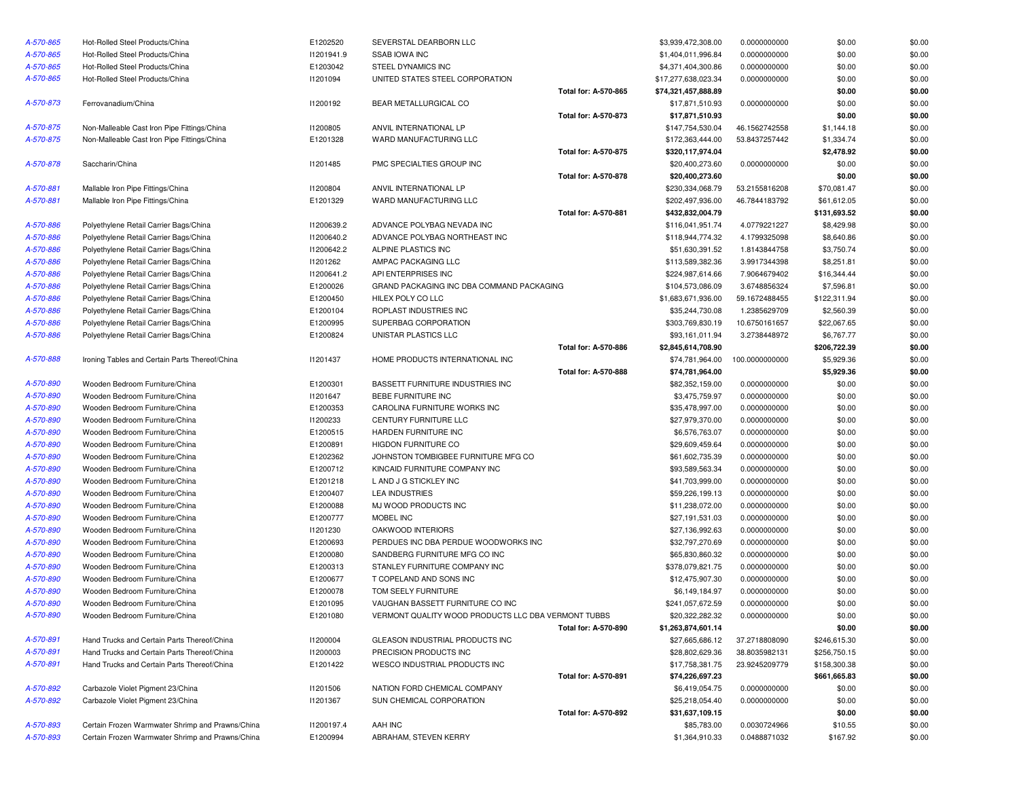| A-570-865              | Hot-Rolled Steel Products/China                  | E1202520        | SEVERSTAL DEARBORN LLC                                                |                      | \$3,939,472,308.00  | 0.0000000000   | \$0.00       | \$0.00 |
|------------------------|--------------------------------------------------|-----------------|-----------------------------------------------------------------------|----------------------|---------------------|----------------|--------------|--------|
| A-570-865              | Hot-Rolled Steel Products/China                  | 11201941.9      | <b>SSAB IOWA INC</b>                                                  |                      | \$1,404,011,996.84  | 0.0000000000   | \$0.00       | \$0.00 |
| A-570-865              | Hot-Rolled Steel Products/China                  | E1203042        | STEEL DYNAMICS INC                                                    |                      | \$4,371,404,300.86  | 0.0000000000   | \$0.00       | \$0.00 |
| A-570-865              | Hot-Rolled Steel Products/China                  | 11201094        | UNITED STATES STEEL CORPORATION                                       |                      | \$17,277,638,023.34 | 0.0000000000   | \$0.00       | \$0.00 |
|                        |                                                  |                 |                                                                       | Total for: A-570-865 | \$74,321,457,888.89 |                | \$0.00       | \$0.00 |
| A-570-873              | Ferrovanadium/China                              | 11200192        | BEAR METALLURGICAL CO                                                 |                      | \$17,871,510.93     | 0.0000000000   | \$0.00       | \$0.00 |
|                        |                                                  |                 |                                                                       | Total for: A-570-873 | \$17,871,510.93     |                | \$0.00       | \$0.00 |
| A-570-875              | Non-Malleable Cast Iron Pipe Fittings/China      | 11200805        | ANVIL INTERNATIONAL LP                                                |                      | \$147,754,530.04    | 46.1562742558  | \$1,144.18   | \$0.00 |
| A-570-875              | Non-Malleable Cast Iron Pipe Fittings/China      | E1201328        | WARD MANUFACTURING LLC                                                |                      | \$172,363,444.00    | 53.8437257442  | \$1,334.74   | \$0.00 |
|                        |                                                  |                 |                                                                       | Total for: A-570-875 | \$320,117,974.04    |                | \$2,478.92   | \$0.00 |
| A-570-878              | Saccharin/China                                  | 11201485        | PMC SPECIALTIES GROUP INC                                             |                      | \$20,400,273.60     | 0.0000000000   | \$0.00       | \$0.00 |
|                        |                                                  |                 |                                                                       | Total for: A-570-878 | \$20,400,273.60     |                | \$0.00       | \$0.00 |
| A-570-881              | Mallable Iron Pipe Fittings/China                | 11200804        | ANVIL INTERNATIONAL LP                                                |                      | \$230,334,068.79    | 53.2155816208  | \$70,081.47  | \$0.00 |
| A-570-881              | Mallable Iron Pipe Fittings/China                | E1201329        | WARD MANUFACTURING LLC                                                |                      | \$202,497,936.00    | 46.7844183792  | \$61,612.05  | \$0.00 |
|                        |                                                  |                 |                                                                       | Total for: A-570-881 | \$432,832,004.79    |                | \$131,693.52 | \$0.00 |
| A-570-886              | Polyethylene Retail Carrier Bags/China           | 11200639.2      | ADVANCE POLYBAG NEVADA INC                                            |                      | \$116,041,951.74    | 4.0779221227   | \$8,429.98   | \$0.00 |
| A-570-886              | Polyethylene Retail Carrier Bags/China           | 11200640.2      | ADVANCE POLYBAG NORTHEAST INC                                         |                      | \$118,944,774.32    | 4.1799325098   | \$8,640.86   | \$0.00 |
| A-570-886              | Polyethylene Retail Carrier Bags/China           | 11200642.2      | ALPINE PLASTICS INC                                                   |                      | \$51,630,391.52     | 1.8143844758   | \$3,750.74   | \$0.00 |
| A-570-886              | Polyethylene Retail Carrier Bags/China           | 11201262        | AMPAC PACKAGING LLC                                                   |                      | \$113,589,382.36    | 3.9917344398   | \$8,251.81   | \$0.00 |
| A-570-886              | Polyethylene Retail Carrier Bags/China           | 11200641.2      | API ENTERPRISES INC                                                   |                      | \$224,987,614.66    | 7.9064679402   | \$16,344.44  | \$0.00 |
| A-570-886              | Polyethylene Retail Carrier Bags/China           | E1200026        | GRAND PACKAGING INC DBA COMMAND PACKAGING                             |                      | \$104,573,086.09    | 3.6748856324   | \$7,596.81   | \$0.00 |
| A-570-886              | Polyethylene Retail Carrier Bags/China           | E1200450        | HILEX POLY CO LLC                                                     |                      | \$1,683,671,936.00  | 59.1672488455  | \$122,311.94 | \$0.00 |
| A-570-886              | Polyethylene Retail Carrier Bags/China           | E1200104        | ROPLAST INDUSTRIES INC                                                |                      | \$35,244,730.08     | 1.2385629709   | \$2,560.39   | \$0.00 |
| A-570-886              | Polyethylene Retail Carrier Bags/China           | E1200995        | SUPERBAG CORPORATION                                                  |                      | \$303,769,830.19    | 10.6750161657  | \$22,067.65  | \$0.00 |
| A-570-886              | Polyethylene Retail Carrier Bags/China           | E1200824        | UNISTAR PLASTICS LLC                                                  |                      | \$93,161,011.94     | 3.2738448972   | \$6,767.77   | \$0.00 |
|                        |                                                  |                 |                                                                       | Total for: A-570-886 | \$2,845,614,708.90  |                | \$206,722.39 | \$0.00 |
| A-570-888              | Ironing Tables and Certain Parts Thereof/China   | 11201437        | HOME PRODUCTS INTERNATIONAL INC                                       |                      | \$74,781,964.00     | 100.0000000000 | \$5,929.36   | \$0.00 |
|                        |                                                  |                 |                                                                       | Total for: A-570-888 | \$74,781,964.00     |                | \$5,929.36   | \$0.00 |
| A-570-890              | Wooden Bedroom Furniture/China                   | E1200301        | BASSETT FURNITURE INDUSTRIES INC                                      |                      | \$82,352,159.00     | 0.0000000000   | \$0.00       | \$0.00 |
| A-570-890              | Wooden Bedroom Furniture/China                   | 11201647        | BEBE FURNITURE INC                                                    |                      | \$3,475,759.97      | 0.0000000000   | \$0.00       | \$0.00 |
| A-570-890              | Wooden Bedroom Furniture/China                   | E1200353        | CAROLINA FURNITURE WORKS INC                                          |                      | \$35,478,997.00     | 0.0000000000   | \$0.00       | \$0.00 |
| A-570-890              | Wooden Bedroom Furniture/China                   | 11200233        | CENTURY FURNITURE LLC                                                 |                      | \$27,979,370.00     | 0.0000000000   | \$0.00       | \$0.00 |
| A-570-890              | Wooden Bedroom Furniture/China                   | E1200515        | HARDEN FURNITURE INC                                                  |                      | \$6,576,763.07      | 0.0000000000   | \$0.00       | \$0.00 |
| A-570-890              | Wooden Bedroom Furniture/China                   | E1200891        | <b>HIGDON FURNITURE CO</b>                                            |                      | \$29,609,459.64     | 0.0000000000   | \$0.00       | \$0.00 |
| A-570-890              | Wooden Bedroom Furniture/China                   | E1202362        | JOHNSTON TOMBIGBEE FURNITURE MFG CO                                   |                      | \$61,602,735.39     | 0.0000000000   | \$0.00       | \$0.00 |
| A-570-890              | Wooden Bedroom Furniture/China                   | E1200712        | KINCAID FURNITURE COMPANY INC                                         |                      | \$93,589,563.34     | 0.0000000000   | \$0.00       | \$0.00 |
|                        |                                                  |                 |                                                                       |                      |                     |                |              |        |
| A-570-890<br>A-570-890 | Wooden Bedroom Furniture/China                   | E1201218        | L AND J G STICKLEY INC                                                |                      | \$41,703,999.00     | 0.0000000000   | \$0.00       | \$0.00 |
|                        | Wooden Bedroom Furniture/China                   | E1200407        | <b>LEA INDUSTRIES</b>                                                 |                      | \$59,226,199.13     | 0.0000000000   | \$0.00       | \$0.00 |
| A-570-890              | Wooden Bedroom Furniture/China                   | E1200088        | MJ WOOD PRODUCTS INC                                                  |                      | \$11,238,072.00     | 0.0000000000   | \$0.00       | \$0.00 |
| A-570-890              | Wooden Bedroom Furniture/China                   | E1200777        | MOBEL INC                                                             |                      | \$27,191,531.03     | 0.0000000000   | \$0.00       | \$0.00 |
| A-570-890              | Wooden Bedroom Furniture/China                   | 11201230        | OAKWOOD INTERIORS                                                     |                      | \$27,136,992.63     | 0.0000000000   | \$0.00       | \$0.00 |
| A-570-890              | Wooden Bedroom Furniture/China                   | E1200693        | PERDUES INC DBA PERDUE WOODWORKS INC<br>SANDBERG FURNITURE MFG CO INC |                      | \$32,797,270.69     | 0.0000000000   | \$0.00       | \$0.00 |
| A-570-890              | Wooden Bedroom Furniture/China                   | E1200080        |                                                                       |                      | \$65,830,860.32     | 0.0000000000   | \$0.00       | \$0.00 |
| A-570-890              | Wooden Bedroom Furniture/China                   | E1200313        | STANLEY FURNITURE COMPANY INC                                         |                      | \$378,079,821.75    | 0.0000000000   | \$0.00       | \$0.00 |
| A-570-890              | Wooden Bedroom Furniture/China                   | E1200677        | T COPELAND AND SONS INC                                               |                      | \$12,475,907.30     | 0.0000000000   | \$0.00       | \$0.00 |
| A-570-890              | Wooden Bedroom Furniture/China                   | E1200078        | TOM SEELY FURNITURE                                                   |                      | \$6,149,184.97      | 0.0000000000   | \$0.00       | \$0.00 |
| A-570-890              | Wooden Bedroom Furniture/China                   | E1201095        | VAUGHAN BASSETT FURNITURE CO INC                                      |                      | \$241,057,672.59    | 0.0000000000   | \$0.00       | \$0.00 |
| A-570-890              | Wooden Bedroom Furniture/China                   | E1201080        | VERMONT QUALITY WOOD PRODUCTS LLC DBA VERMONT TUBBS                   |                      | \$20,322,282.32     | 0.0000000000   | \$0.00       | \$0.00 |
|                        |                                                  |                 |                                                                       | Total for: A-570-890 | \$1,263,874,601.14  |                | \$0.00       | \$0.00 |
| A-570-891              | Hand Trucks and Certain Parts Thereof/China      | <b>I1200004</b> | GLEASON INDUSTRIAL PRODUCTS INC                                       |                      | \$27,665,686.12     | 37.2718808090  | \$246,615.30 | \$0.00 |
| A-570-891              | Hand Trucks and Certain Parts Thereof/China      | 11200003        | PRECISION PRODUCTS INC                                                |                      | \$28,802,629.36     | 38.8035982131  | \$256,750.15 | \$0.00 |
| A-570-891              | Hand Trucks and Certain Parts Thereof/China      | E1201422        | WESCO INDUSTRIAL PRODUCTS INC                                         |                      | \$17,758,381.75     | 23.9245209779  | \$158,300.38 | \$0.00 |
|                        |                                                  |                 |                                                                       | Total for: A-570-891 | \$74,226,697.23     |                | \$661,665.83 | \$0.00 |
| A-570-892              | Carbazole Violet Pigment 23/China                | 11201506        | NATION FORD CHEMICAL COMPANY                                          |                      | \$6,419,054.75      | 0.0000000000   | \$0.00       | \$0.00 |
| A-570-892              | Carbazole Violet Pigment 23/China                | 11201367        | SUN CHEMICAL CORPORATION                                              |                      | \$25,218,054.40     | 0.0000000000   | \$0.00       | \$0.00 |
|                        |                                                  |                 |                                                                       | Total for: A-570-892 | \$31,637,109.15     |                | \$0.00       | \$0.00 |
| A-570-893              | Certain Frozen Warmwater Shrimp and Prawns/China | 11200197.4      | AAH INC                                                               |                      | \$85,783.00         | 0.0030724966   | \$10.55      | \$0.00 |
| A-570-893              | Certain Frozen Warmwater Shrimp and Prawns/China | E1200994        | ABRAHAM, STEVEN KERRY                                                 |                      | \$1,364,910.33      | 0.0488871032   | \$167.92     | \$0.00 |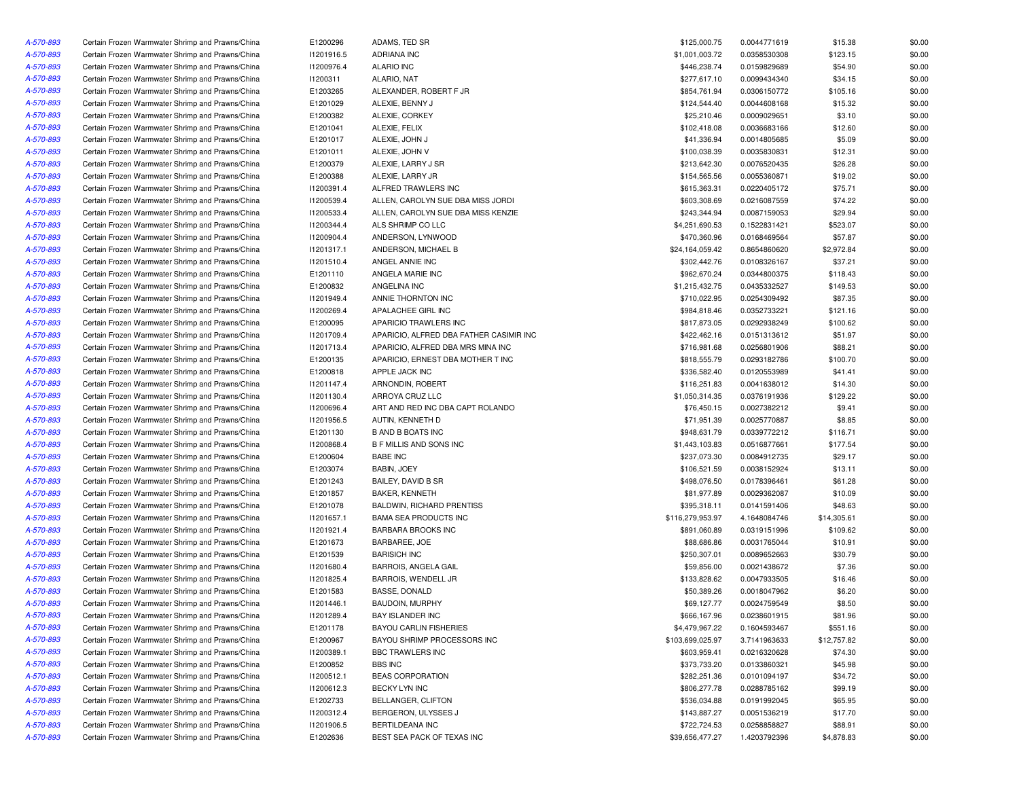| A-570-893 | Certain Frozen Warmwater Shrimp and Prawns/China | E1200296   | ADAMS, TED SR                           | \$125,000.75     | 0.0044771619 | \$15.38     | \$0.00 |
|-----------|--------------------------------------------------|------------|-----------------------------------------|------------------|--------------|-------------|--------|
| A-570-893 | Certain Frozen Warmwater Shrimp and Prawns/China | 11201916.5 | <b>ADRIANA INC</b>                      | \$1,001,003.72   | 0.0358530308 | \$123.15    | \$0.00 |
| A-570-893 | Certain Frozen Warmwater Shrimp and Prawns/China | 11200976.4 | <b>ALARIO INC</b>                       | \$446,238.74     | 0.0159829689 | \$54.90     | \$0.00 |
| A-570-893 | Certain Frozen Warmwater Shrimp and Prawns/China | 11200311   | ALARIO, NAT                             | \$277,617.10     | 0.0099434340 | \$34.15     | \$0.00 |
| A-570-893 | Certain Frozen Warmwater Shrimp and Prawns/China | E1203265   | ALEXANDER, ROBERT F JR                  | \$854,761.94     | 0.0306150772 | \$105.16    | \$0.00 |
| A-570-893 | Certain Frozen Warmwater Shrimp and Prawns/China | E1201029   | ALEXIE, BENNY J                         | \$124,544.40     | 0.0044608168 | \$15.32     | \$0.00 |
| A-570-893 | Certain Frozen Warmwater Shrimp and Prawns/China | E1200382   | ALEXIE, CORKEY                          | \$25,210.46      | 0.0009029651 | \$3.10      | \$0.00 |
| A-570-893 | Certain Frozen Warmwater Shrimp and Prawns/China | E1201041   | ALEXIE. FELIX                           | \$102,418.08     | 0.0036683166 | \$12.60     | \$0.00 |
| A-570-893 | Certain Frozen Warmwater Shrimp and Prawns/China | E1201017   | ALEXIE, JOHN J                          | \$41,336.94      | 0.0014805685 | \$5.09      | \$0.00 |
| A-570-893 | Certain Frozen Warmwater Shrimp and Prawns/China | E1201011   | ALEXIE, JOHN V                          | \$100,038.39     | 0.0035830831 | \$12.31     | \$0.00 |
| A-570-893 | Certain Frozen Warmwater Shrimp and Prawns/China | E1200379   | ALEXIE, LARRY J SR                      | \$213,642.30     | 0.0076520435 | \$26.28     | \$0.00 |
| A-570-893 | Certain Frozen Warmwater Shrimp and Prawns/China | E1200388   | ALEXIE, LARRY JR                        | \$154,565.56     | 0.0055360871 | \$19.02     | \$0.00 |
| A-570-893 | Certain Frozen Warmwater Shrimp and Prawns/China | 11200391.4 | ALFRED TRAWLERS INC                     | \$615,363.31     | 0.0220405172 | \$75.71     | \$0.00 |
| A-570-893 | Certain Frozen Warmwater Shrimp and Prawns/China | 11200539.4 | ALLEN, CAROLYN SUE DBA MISS JORDI       | \$603.308.69     | 0.0216087559 | \$74.22     | \$0.00 |
| A-570-893 | Certain Frozen Warmwater Shrimp and Prawns/China | 11200533.4 | ALLEN, CAROLYN SUE DBA MISS KENZIE      | \$243,344.94     | 0.0087159053 | \$29.94     | \$0.00 |
| A-570-893 | Certain Frozen Warmwater Shrimp and Prawns/China | 11200344.4 | ALS SHRIMP CO LLC                       | \$4,251,690.53   | 0.1522831421 | \$523.07    | \$0.00 |
| A-570-893 | Certain Frozen Warmwater Shrimp and Prawns/China | 11200904.4 | ANDERSON, LYNWOOD                       | \$470,360.96     | 0.0168469564 | \$57.87     | \$0.00 |
| A-570-893 | Certain Frozen Warmwater Shrimp and Prawns/China | 11201317.1 | ANDERSON, MICHAEL B                     | \$24,164,059.42  | 0.8654860620 | \$2,972.84  | \$0.00 |
| A-570-893 | Certain Frozen Warmwater Shrimp and Prawns/China | 11201510.4 | ANGEL ANNIE INC                         | \$302,442.76     | 0.0108326167 | \$37.21     | \$0.00 |
| A-570-893 | Certain Frozen Warmwater Shrimp and Prawns/China | E1201110   | ANGELA MARIE INC                        | \$962,670.24     | 0.0344800375 | \$118.43    | \$0.00 |
| A-570-893 | Certain Frozen Warmwater Shrimp and Prawns/China | E1200832   | ANGELINA INC                            | \$1,215,432.75   | 0.0435332527 | \$149.53    | \$0.00 |
| A-570-893 | Certain Frozen Warmwater Shrimp and Prawns/China | 11201949.4 | ANNIE THORNTON INC                      | \$710,022.95     | 0.0254309492 | \$87.35     | \$0.00 |
| A-570-893 | Certain Frozen Warmwater Shrimp and Prawns/China | I1200269.4 | APALACHEE GIRL INC                      | \$984,818.46     | 0.0352733221 | \$121.16    | \$0.00 |
| A-570-893 | Certain Frozen Warmwater Shrimp and Prawns/China | E1200095   | APARICIO TRAWLERS INC                   | \$817,873.05     | 0.0292938249 | \$100.62    | \$0.00 |
| A-570-893 | Certain Frozen Warmwater Shrimp and Prawns/China | 11201709.4 | APARICIO, ALFRED DBA FATHER CASIMIR INC | \$422,462.16     | 0.0151313612 | \$51.97     | \$0.00 |
| A-570-893 | Certain Frozen Warmwater Shrimp and Prawns/China | 11201713.4 | APARICIO, ALFRED DBA MRS MINA INC       | \$716,981.68     | 0.0256801906 | \$88.21     | \$0.00 |
| A-570-893 | Certain Frozen Warmwater Shrimp and Prawns/China | E1200135   | APARICIO, ERNEST DBA MOTHER T INC       | \$818,555.79     | 0.0293182786 | \$100.70    | \$0.00 |
| A-570-893 | Certain Frozen Warmwater Shrimp and Prawns/China | E1200818   | APPLE JACK INC                          | \$336,582.40     | 0.0120553989 | \$41.41     | \$0.00 |
| A-570-893 | Certain Frozen Warmwater Shrimp and Prawns/China | 11201147.4 | ARNONDIN, ROBERT                        | \$116,251.83     | 0.0041638012 | \$14.30     | \$0.00 |
| A-570-893 | Certain Frozen Warmwater Shrimp and Prawns/China | 11201130.4 | ARROYA CRUZ LLC                         | \$1,050,314.35   | 0.0376191936 | \$129.22    | \$0.00 |
| A-570-893 | Certain Frozen Warmwater Shrimp and Prawns/China | 11200696.4 | ART AND RED INC DBA CAPT ROLANDO        | \$76,450.15      | 0.0027382212 | \$9.41      | \$0.00 |
| A-570-893 | Certain Frozen Warmwater Shrimp and Prawns/China | 11201956.5 | AUTIN, KENNETH D                        | \$71,951.39      | 0.0025770887 | \$8.85      | \$0.00 |
| A-570-893 | Certain Frozen Warmwater Shrimp and Prawns/China | E1201130   | <b>B AND B BOATS INC</b>                | \$948,631.79     | 0.0339772212 | \$116.71    | \$0.00 |
| A-570-893 | Certain Frozen Warmwater Shrimp and Prawns/China | 11200868.4 | <b>B F MILLIS AND SONS INC</b>          | \$1,443,103.83   | 0.0516877661 | \$177.54    | \$0.00 |
| A-570-893 | Certain Frozen Warmwater Shrimp and Prawns/China | E1200604   | <b>BABE INC</b>                         | \$237,073.30     | 0.0084912735 | \$29.17     | \$0.00 |
| A-570-893 | Certain Frozen Warmwater Shrimp and Prawns/China | E1203074   | <b>BABIN, JOEY</b>                      | \$106,521.59     | 0.0038152924 | \$13.11     | \$0.00 |
| A-570-893 | Certain Frozen Warmwater Shrimp and Prawns/China | E1201243   | BAILEY, DAVID B SR                      | \$498,076.50     | 0.0178396461 | \$61.28     | \$0.00 |
| A-570-893 | Certain Frozen Warmwater Shrimp and Prawns/China | E1201857   | <b>BAKER, KENNETH</b>                   | \$81,977.89      | 0.0029362087 | \$10.09     | \$0.00 |
| A-570-893 | Certain Frozen Warmwater Shrimp and Prawns/China | E1201078   | <b>BALDWIN, RICHARD PRENTISS</b>        | \$395,318.11     | 0.0141591406 | \$48.63     | \$0.00 |
| A-570-893 | Certain Frozen Warmwater Shrimp and Prawns/China | 11201657.1 | <b>BAMA SEA PRODUCTS INC</b>            | \$116,279,953.97 | 4.1648084746 | \$14,305.61 | \$0.00 |
| A-570-893 | Certain Frozen Warmwater Shrimp and Prawns/China | 11201921.4 | <b>BARBARA BROOKS INC</b>               | \$891,060.89     | 0.0319151996 | \$109.62    | \$0.00 |
| A-570-893 | Certain Frozen Warmwater Shrimp and Prawns/China | E1201673   | BARBAREE, JOE                           | \$88,686.86      | 0.0031765044 | \$10.91     | \$0.00 |
|           | Certain Frozen Warmwater Shrimp and Prawns/China | E1201539   | <b>BARISICH INC</b>                     | \$250,307.01     | 0.0089652663 | \$30.79     | \$0.00 |
| A-570-893 | Certain Frozen Warmwater Shrimp and Prawns/China | 11201680.4 | <b>BARROIS, ANGELA GAIL</b>             | \$59,856.00      | 0.0021438672 | \$7.36      | \$0.00 |
| A-570-893 |                                                  |            |                                         |                  |              |             |        |
| A-570-893 | Certain Frozen Warmwater Shrimp and Prawns/China | 11201825.4 | BARROIS, WENDELL JR                     | \$133,828.62     | 0.0047933505 | \$16.46     | \$0.00 |
| A-570-893 | Certain Frozen Warmwater Shrimp and Prawns/China | E1201583   | <b>BASSE, DONALD</b>                    | \$50,389.26      | 0.0018047962 | \$6.20      | \$0.00 |
| A-570-893 | Certain Frozen Warmwater Shrimp and Prawns/China | 11201446.1 | <b>BAUDOIN, MURPHY</b>                  | \$69,127.77      | 0.0024759549 | \$8.50      | \$0.00 |
| A-570-893 | Certain Frozen Warmwater Shrimp and Prawns/China | 11201289.4 | <b>BAY ISLANDER INC</b>                 | \$666,167.96     | 0.0238601915 | \$81.96     | \$0.00 |
| A-570-893 | Certain Frozen Warmwater Shrimp and Prawns/China | E1201178   | <b>BAYOU CARLIN FISHERIES</b>           | \$4,479,967.22   | 0.1604593467 | \$551.16    | \$0.00 |
| A-570-893 | Certain Frozen Warmwater Shrimp and Prawns/China | E1200967   | BAYOU SHRIMP PROCESSORS INC             | \$103,699,025.97 | 3.7141963633 | \$12,757.82 | \$0.00 |
| A-570-893 | Certain Frozen Warmwater Shrimp and Prawns/China | 11200389.1 | BBC TRAWLERS INC                        | \$603,959.41     | 0.0216320628 | \$74.30     | \$0.00 |
| A-570-893 | Certain Frozen Warmwater Shrimp and Prawns/China | E1200852   | <b>BBS INC</b>                          | \$373,733.20     | 0.0133860321 | \$45.98     | \$0.00 |
| A-570-893 | Certain Frozen Warmwater Shrimp and Prawns/China | 11200512.1 | <b>BEAS CORPORATION</b>                 | \$282,251.36     | 0.0101094197 | \$34.72     | \$0.00 |
| A-570-893 | Certain Frozen Warmwater Shrimp and Prawns/China | 11200612.3 | BECKY LYN INC                           | \$806,277.78     | 0.0288785162 | \$99.19     | \$0.00 |
| A-570-893 | Certain Frozen Warmwater Shrimp and Prawns/China | E1202733   | BELLANGER, CLIFTON                      | \$536,034.88     | 0.0191992045 | \$65.95     | \$0.00 |
| A-570-893 | Certain Frozen Warmwater Shrimp and Prawns/China | 11200312.4 | BERGERON, ULYSSES J                     | \$143,887.27     | 0.0051536219 | \$17.70     | \$0.00 |
| A-570-893 | Certain Frozen Warmwater Shrimp and Prawns/China | I1201906.5 | BERTILDEANA INC                         | \$722,724.53     | 0.0258858827 | \$88.91     | \$0.00 |
| A-570-893 | Certain Frozen Warmwater Shrimp and Prawns/China | E1202636   | BEST SEA PACK OF TEXAS INC              | \$39,656,477.27  | 1.4203792396 | \$4,878.83  | \$0.00 |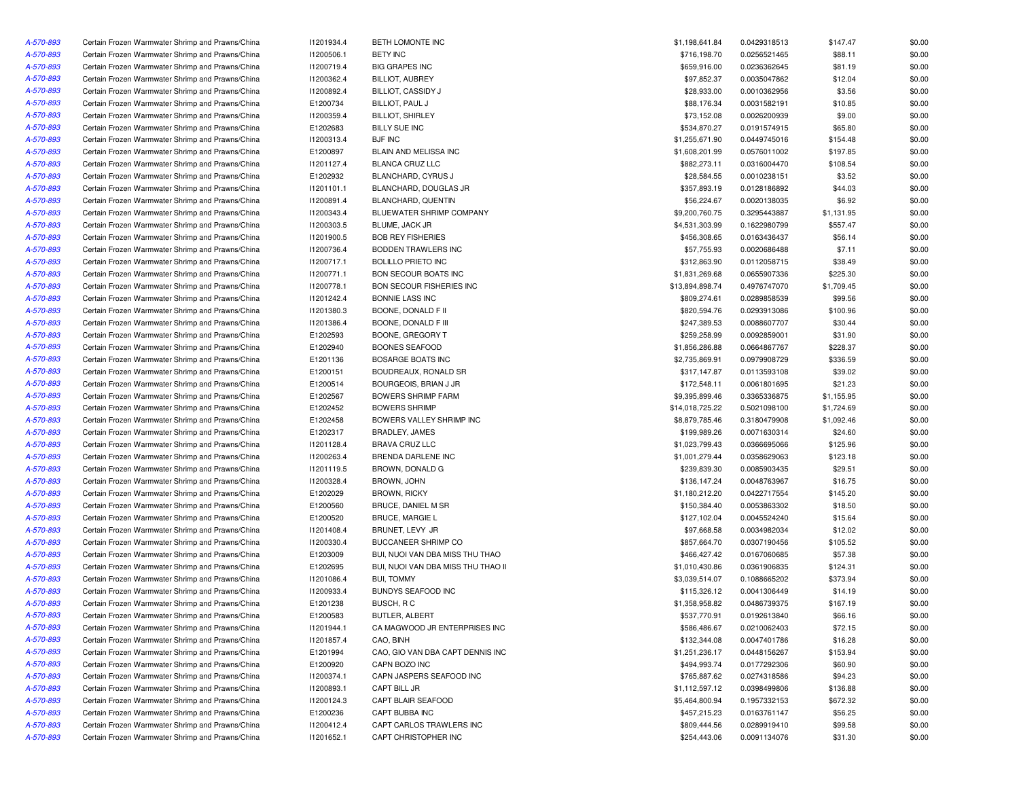| A-570-893 | Certain Frozen Warmwater Shrimp and Prawns/China | 11201934.4 | BETH LOMONTE INC                   | \$1,198,641.84  | 0.0429318513 | \$147.47   | \$0.00 |
|-----------|--------------------------------------------------|------------|------------------------------------|-----------------|--------------|------------|--------|
| A-570-893 | Certain Frozen Warmwater Shrimp and Prawns/China | 11200506.1 | <b>BETY INC</b>                    | \$716,198.70    | 0.0256521465 | \$88.11    | \$0.00 |
| A-570-893 | Certain Frozen Warmwater Shrimp and Prawns/China | 11200719.4 | <b>BIG GRAPES INC</b>              | \$659,916.00    | 0.0236362645 | \$81.19    | \$0.00 |
| A-570-893 | Certain Frozen Warmwater Shrimp and Prawns/China | 11200362.4 | <b>BILLIOT, AUBREY</b>             | \$97,852.37     | 0.0035047862 | \$12.04    | \$0.00 |
| A-570-893 | Certain Frozen Warmwater Shrimp and Prawns/China | 11200892.4 | <b>BILLIOT, CASSIDY J</b>          | \$28,933.00     | 0.0010362956 | \$3.56     | \$0.00 |
| A-570-893 | Certain Frozen Warmwater Shrimp and Prawns/China | E1200734   | BILLIOT, PAUL J                    | \$88,176.34     | 0.0031582191 | \$10.85    | \$0.00 |
| A-570-893 | Certain Frozen Warmwater Shrimp and Prawns/China | 11200359.4 | <b>BILLIOT, SHIRLEY</b>            | \$73,152.08     | 0.0026200939 | \$9.00     | \$0.00 |
| A-570-893 | Certain Frozen Warmwater Shrimp and Prawns/China | E1202683   | <b>BILLY SUE INC</b>               | \$534,870.27    | 0.0191574915 | \$65.80    | \$0.00 |
| A-570-893 | Certain Frozen Warmwater Shrimp and Prawns/China | 11200313.4 | <b>BJF INC</b>                     | \$1,255,671.90  | 0.0449745016 | \$154.48   | \$0.00 |
| A-570-893 | Certain Frozen Warmwater Shrimp and Prawns/China | E1200897   | BLAIN AND MELISSA INC              | \$1,608,201.99  | 0.0576011002 | \$197.85   | \$0.00 |
| A-570-893 | Certain Frozen Warmwater Shrimp and Prawns/China | 11201127.4 | BLANCA CRUZ LLC                    | \$882,273.11    | 0.0316004470 | \$108.54   | \$0.00 |
| A-570-893 | Certain Frozen Warmwater Shrimp and Prawns/China | E1202932   | BLANCHARD, CYRUS J                 | \$28,584.55     | 0.0010238151 | \$3.52     | \$0.00 |
| A-570-893 | Certain Frozen Warmwater Shrimp and Prawns/China | 11201101.1 | BLANCHARD, DOUGLAS JR              | \$357,893.19    | 0.0128186892 | \$44.03    | \$0.00 |
| A-570-893 | Certain Frozen Warmwater Shrimp and Prawns/China | 11200891.4 | BLANCHARD, QUENTIN                 | \$56,224.67     | 0.0020138035 | \$6.92     | \$0.00 |
| A-570-893 | Certain Frozen Warmwater Shrimp and Prawns/China | 11200343.4 | BLUEWATER SHRIMP COMPANY           | \$9,200,760.75  | 0.3295443887 | \$1,131.95 | \$0.00 |
| A-570-893 | Certain Frozen Warmwater Shrimp and Prawns/China | 11200303.5 | BLUME, JACK JR                     | \$4,531,303.99  | 0.1622980799 | \$557.47   | \$0.00 |
| A-570-893 | Certain Frozen Warmwater Shrimp and Prawns/China | I1201900.5 | <b>BOB REY FISHERIES</b>           | \$456,308.65    | 0.0163436437 | \$56.14    | \$0.00 |
| A-570-893 | Certain Frozen Warmwater Shrimp and Prawns/China | 11200736.4 | BODDEN TRAWLERS INC                | \$57,755.93     | 0.0020686488 | \$7.11     | \$0.00 |
|           | Certain Frozen Warmwater Shrimp and Prawns/China | 11200717.1 | <b>BOLILLO PRIETO INC</b>          | \$312,863.90    | 0.0112058715 | \$38.49    | \$0.00 |
| A-570-893 |                                                  |            |                                    |                 |              |            |        |
| A-570-893 | Certain Frozen Warmwater Shrimp and Prawns/China | 11200771.1 | BON SECOUR BOATS INC               | \$1,831,269.68  | 0.0655907336 | \$225.30   | \$0.00 |
| A-570-893 | Certain Frozen Warmwater Shrimp and Prawns/China | 11200778.1 | BON SECOUR FISHERIES INC           | \$13,894,898.74 | 0.4976747070 | \$1,709.45 | \$0.00 |
| A-570-893 | Certain Frozen Warmwater Shrimp and Prawns/China | 11201242.4 | <b>BONNIE LASS INC</b>             | \$809,274.61    | 0.0289858539 | \$99.56    | \$0.00 |
| A-570-893 | Certain Frozen Warmwater Shrimp and Prawns/China | 11201380.3 | BOONE, DONALD F II                 | \$820,594.76    | 0.0293913086 | \$100.96   | \$0.00 |
| A-570-893 | Certain Frozen Warmwater Shrimp and Prawns/China | 11201386.4 | BOONE, DONALD F III                | \$247,389.53    | 0.0088607707 | \$30.44    | \$0.00 |
| A-570-893 | Certain Frozen Warmwater Shrimp and Prawns/China | E1202593   | BOONE, GREGORY T                   | \$259,258.99    | 0.0092859001 | \$31.90    | \$0.00 |
| A-570-893 | Certain Frozen Warmwater Shrimp and Prawns/China | E1202940   | <b>BOONES SEAFOOD</b>              | \$1,856,286.88  | 0.0664867767 | \$228.37   | \$0.00 |
| A-570-893 | Certain Frozen Warmwater Shrimp and Prawns/China | E1201136   | <b>BOSARGE BOATS INC</b>           | \$2,735,869.91  | 0.0979908729 | \$336.59   | \$0.00 |
| A-570-893 | Certain Frozen Warmwater Shrimp and Prawns/China | E1200151   | BOUDREAUX, RONALD SR               | \$317,147.87    | 0.0113593108 | \$39.02    | \$0.00 |
| A-570-893 | Certain Frozen Warmwater Shrimp and Prawns/China | E1200514   | BOURGEOIS, BRIAN J JR              | \$172,548.11    | 0.0061801695 | \$21.23    | \$0.00 |
| A-570-893 | Certain Frozen Warmwater Shrimp and Prawns/China | E1202567   | <b>BOWERS SHRIMP FARM</b>          | \$9,395,899.46  | 0.3365336875 | \$1,155.95 | \$0.00 |
| A-570-893 | Certain Frozen Warmwater Shrimp and Prawns/China | E1202452   | <b>BOWERS SHRIMP</b>               | \$14,018,725.22 | 0.5021098100 | \$1,724.69 | \$0.00 |
| A-570-893 | Certain Frozen Warmwater Shrimp and Prawns/China | E1202458   | BOWERS VALLEY SHRIMP INC           | \$8,879,785.46  | 0.3180479908 | \$1,092.46 | \$0.00 |
| A-570-893 | Certain Frozen Warmwater Shrimp and Prawns/China | E1202317   | BRADLEY, JAMES                     | \$199,989.26    | 0.0071630314 | \$24.60    | \$0.00 |
| A-570-893 | Certain Frozen Warmwater Shrimp and Prawns/China | 11201128.4 | <b>BRAVA CRUZ LLC</b>              | \$1,023,799.43  | 0.0366695066 | \$125.96   | \$0.00 |
| A-570-893 | Certain Frozen Warmwater Shrimp and Prawns/China | 11200263.4 | BRENDA DARLENE INC                 | \$1,001,279.44  | 0.0358629063 | \$123.18   | \$0.00 |
| A-570-893 | Certain Frozen Warmwater Shrimp and Prawns/China | 11201119.5 | BROWN, DONALD G                    | \$239,839.30    | 0.0085903435 | \$29.51    | \$0.00 |
| A-570-893 | Certain Frozen Warmwater Shrimp and Prawns/China | 11200328.4 | BROWN, JOHN                        | \$136,147.24    | 0.0048763967 | \$16.75    | \$0.00 |
| A-570-893 | Certain Frozen Warmwater Shrimp and Prawns/China | E1202029   | <b>BROWN, RICKY</b>                | \$1,180,212.20  | 0.0422717554 | \$145.20   | \$0.00 |
| A-570-893 | Certain Frozen Warmwater Shrimp and Prawns/China | E1200560   | BRUCE, DANIEL M SR                 | \$150,384.40    | 0.0053863302 | \$18.50    | \$0.00 |
| A-570-893 | Certain Frozen Warmwater Shrimp and Prawns/China | E1200520   | <b>BRUCE, MARGIE L</b>             | \$127,102.04    | 0.0045524240 | \$15.64    | \$0.00 |
| A-570-893 | Certain Frozen Warmwater Shrimp and Prawns/China | 11201408.4 | BRUNET, LEVY JR                    | \$97,668.58     | 0.0034982034 | \$12.02    | \$0.00 |
| A-570-893 | Certain Frozen Warmwater Shrimp and Prawns/China | 11200330.4 | <b>BUCCANEER SHRIMP CO</b>         | \$857,664.70    | 0.0307190456 | \$105.52   | \$0.00 |
| A-570-893 | Certain Frozen Warmwater Shrimp and Prawns/China | E1203009   | BUI, NUOI VAN DBA MISS THU THAO    | \$466,427.42    | 0.0167060685 | \$57.38    | \$0.00 |
| A-570-893 | Certain Frozen Warmwater Shrimp and Prawns/China | E1202695   | BUI, NUOI VAN DBA MISS THU THAO II | \$1,010,430.86  | 0.0361906835 | \$124.31   | \$0.00 |
| A-570-893 | Certain Frozen Warmwater Shrimp and Prawns/China | 11201086.4 | <b>BUI, TOMMY</b>                  | \$3,039,514.07  | 0.1088665202 | \$373.94   | \$0.00 |
| A-570-893 | Certain Frozen Warmwater Shrimp and Prawns/China | 11200933.4 | <b>BUNDYS SEAFOOD INC</b>          | \$115,326.12    | 0.0041306449 | \$14.19    | \$0.00 |
| A-570-893 | Certain Frozen Warmwater Shrimp and Prawns/China | E1201238   | BUSCH, R C                         | \$1,358,958.82  | 0.0486739375 | \$167.19   | \$0.00 |
| A-570-893 | Certain Frozen Warmwater Shrimp and Prawns/China | E1200583   | BUTLER, ALBERT                     | \$537,770.91    | 0.0192613840 | \$66.16    | \$0.00 |
|           |                                                  |            | CA MAGWOOD JR ENTERPRISES INC      | \$586,486.67    |              |            |        |
| A-570-893 | Certain Frozen Warmwater Shrimp and Prawns/China | 11201944.1 | CAO, BINH                          |                 | 0.0210062403 | \$72.15    | \$0.00 |
| A-570-893 | Certain Frozen Warmwater Shrimp and Prawns/China | 11201857.4 |                                    | \$132,344.08    | 0.0047401786 | \$16.28    | \$0.00 |
| A-570-893 | Certain Frozen Warmwater Shrimp and Prawns/China | E1201994   | CAO, GIO VAN DBA CAPT DENNIS INC   | \$1,251,236.17  | 0.0448156267 | \$153.94   | \$0.00 |
| A-570-893 | Certain Frozen Warmwater Shrimp and Prawns/China | E1200920   | CAPN BOZO INC                      | \$494,993.74    | 0.0177292306 | \$60.90    | \$0.00 |
| A-570-893 | Certain Frozen Warmwater Shrimp and Prawns/China | 11200374.1 | CAPN JASPERS SEAFOOD INC           | \$765,887.62    | 0.0274318586 | \$94.23    | \$0.00 |
| A-570-893 | Certain Frozen Warmwater Shrimp and Prawns/China | 11200893.1 | CAPT BILL JR                       | \$1,112,597.12  | 0.0398499806 | \$136.88   | \$0.00 |
| A-570-893 | Certain Frozen Warmwater Shrimp and Prawns/China | 11200124.3 | CAPT BLAIR SEAFOOD                 | \$5,464,800.94  | 0.1957332153 | \$672.32   | \$0.00 |
| A-570-893 | Certain Frozen Warmwater Shrimp and Prawns/China | E1200236   | CAPT BUBBA INC                     | \$457,215.23    | 0.0163761147 | \$56.25    | \$0.00 |
| A-570-893 | Certain Frozen Warmwater Shrimp and Prawns/China | 11200412.4 | CAPT CARLOS TRAWLERS INC           | \$809,444.56    | 0.0289919410 | \$99.58    | \$0.00 |
| A-570-893 | Certain Frozen Warmwater Shrimp and Prawns/China | 11201652.1 | CAPT CHRISTOPHER INC               | \$254,443.06    | 0.0091134076 | \$31.30    | \$0.00 |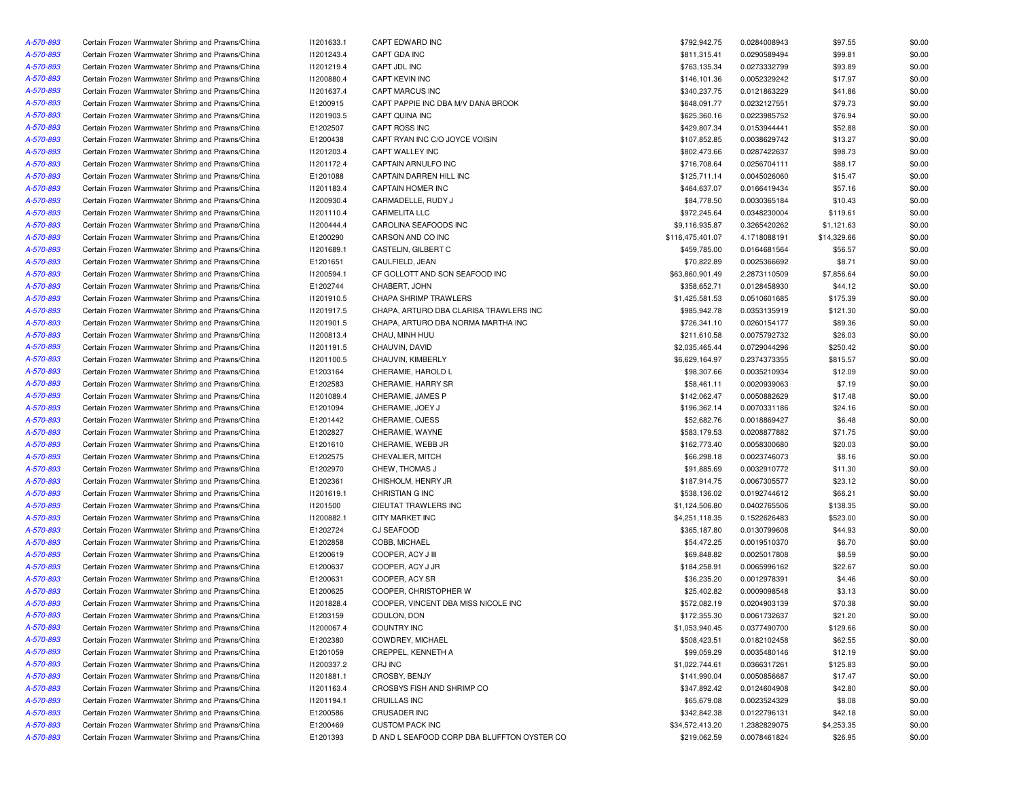| A-570-893 | Certain Frozen Warmwater Shrimp and Prawns/China | 11201633.1 | CAPT EDWARD INC                             | \$792,942.75     | 0.0284008943 | \$97.55     | \$0.00 |
|-----------|--------------------------------------------------|------------|---------------------------------------------|------------------|--------------|-------------|--------|
| A-570-893 | Certain Frozen Warmwater Shrimp and Prawns/China | 11201243.4 | CAPT GDA INC                                | \$811,315.41     | 0.0290589494 | \$99.81     | \$0.00 |
| A-570-893 | Certain Frozen Warmwater Shrimp and Prawns/China | 11201219.4 | CAPT JDL INC                                | \$763,135.34     | 0.0273332799 | \$93.89     | \$0.00 |
| A-570-893 | Certain Frozen Warmwater Shrimp and Prawns/China | 11200880.4 | CAPT KEVIN INC                              | \$146,101.36     | 0.0052329242 | \$17.97     | \$0.00 |
| A-570-893 | Certain Frozen Warmwater Shrimp and Prawns/China | 11201637.4 | CAPT MARCUS INC                             | \$340,237.75     | 0.0121863229 | \$41.86     | \$0.00 |
| A-570-893 | Certain Frozen Warmwater Shrimp and Prawns/China | E1200915   | CAPT PAPPIE INC DBA M/V DANA BROOK          | \$648,091.77     | 0.0232127551 | \$79.73     | \$0.00 |
| A-570-893 | Certain Frozen Warmwater Shrimp and Prawns/China | I1201903.5 | CAPT QUINA INC                              | \$625,360.16     | 0.0223985752 | \$76.94     | \$0.00 |
| A-570-893 | Certain Frozen Warmwater Shrimp and Prawns/China | E1202507   | CAPT ROSS INC                               | \$429,807.34     | 0.0153944441 | \$52.88     | \$0.00 |
| A-570-893 | Certain Frozen Warmwater Shrimp and Prawns/China | E1200438   | CAPT RYAN INC C/O JOYCE VOISIN              | \$107,852.85     | 0.0038629742 | \$13.27     | \$0.00 |
| A-570-893 | Certain Frozen Warmwater Shrimp and Prawns/China | 11201203.4 | CAPT WALLEY INC                             | \$802,473.66     | 0.0287422637 | \$98.73     | \$0.00 |
| A-570-893 | Certain Frozen Warmwater Shrimp and Prawns/China | 11201172.4 | CAPTAIN ARNULFO INC                         | \$716,708.64     | 0.0256704111 | \$88.17     | \$0.00 |
| A-570-893 | Certain Frozen Warmwater Shrimp and Prawns/China | E1201088   | CAPTAIN DARREN HILL INC                     | \$125,711.14     | 0.0045026060 | \$15.47     | \$0.00 |
| A-570-893 | Certain Frozen Warmwater Shrimp and Prawns/China | 11201183.4 | CAPTAIN HOMER INC                           | \$464,637.07     |              | \$57.16     | \$0.00 |
|           |                                                  |            |                                             |                  | 0.0166419434 |             |        |
| A-570-893 | Certain Frozen Warmwater Shrimp and Prawns/China | 11200930.4 | CARMADELLE, RUDY J                          | \$84,778.50      | 0.0030365184 | \$10.43     | \$0.00 |
| A-570-893 | Certain Frozen Warmwater Shrimp and Prawns/China | 11201110.4 | <b>CARMELITA LLC</b>                        | \$972,245.64     | 0.0348230004 | \$119.61    | \$0.00 |
| A-570-893 | Certain Frozen Warmwater Shrimp and Prawns/China | 11200444.4 | CAROLINA SEAFOODS INC                       | \$9,116,935.87   | 0.3265420262 | \$1,121.63  | \$0.00 |
| A-570-893 | Certain Frozen Warmwater Shrimp and Prawns/China | E1200290   | CARSON AND CO INC                           | \$116,475,401.07 | 4.1718088191 | \$14,329.66 | \$0.00 |
| A-570-893 | Certain Frozen Warmwater Shrimp and Prawns/China | 11201689.1 | CASTELIN, GILBERT C                         | \$459,785.00     | 0.0164681564 | \$56.57     | \$0.00 |
| A-570-893 | Certain Frozen Warmwater Shrimp and Prawns/China | E1201651   | CAULFIELD, JEAN                             | \$70,822.89      | 0.0025366692 | \$8.71      | \$0.00 |
| A-570-893 | Certain Frozen Warmwater Shrimp and Prawns/China | 11200594.1 | CF GOLLOTT AND SON SEAFOOD INC              | \$63,860,901.49  | 2.2873110509 | \$7,856.64  | \$0.00 |
| A-570-893 | Certain Frozen Warmwater Shrimp and Prawns/China | E1202744   | CHABERT, JOHN                               | \$358,652.71     | 0.0128458930 | \$44.12     | \$0.00 |
| A-570-893 | Certain Frozen Warmwater Shrimp and Prawns/China | 11201910.5 | CHAPA SHRIMP TRAWLERS                       | \$1,425,581.53   | 0.0510601685 | \$175.39    | \$0.00 |
| A-570-893 | Certain Frozen Warmwater Shrimp and Prawns/China | 11201917.5 | CHAPA, ARTURO DBA CLARISA TRAWLERS INC      | \$985,942.78     | 0.0353135919 | \$121.30    | \$0.00 |
| A-570-893 | Certain Frozen Warmwater Shrimp and Prawns/China | 11201901.5 | CHAPA, ARTURO DBA NORMA MARTHA INC          | \$726,341.10     | 0.0260154177 | \$89.36     | \$0.00 |
| A-570-893 | Certain Frozen Warmwater Shrimp and Prawns/China | 11200813.4 | CHAU, MINH HUU                              | \$211,610.58     | 0.0075792732 | \$26.03     | \$0.00 |
| A-570-893 | Certain Frozen Warmwater Shrimp and Prawns/China | 11201191.5 | CHAUVIN, DAVID                              | \$2,035,465.44   | 0.0729044296 | \$250.42    | \$0.00 |
| A-570-893 | Certain Frozen Warmwater Shrimp and Prawns/China | 11201100.5 | CHAUVIN, KIMBERLY                           | \$6,629,164.97   | 0.2374373355 | \$815.57    | \$0.00 |
| A-570-893 | Certain Frozen Warmwater Shrimp and Prawns/China | E1203164   | CHERAMIE, HAROLD L                          | \$98,307.66      | 0.0035210934 | \$12.09     | \$0.00 |
| A-570-893 | Certain Frozen Warmwater Shrimp and Prawns/China | E1202583   | CHERAMIE, HARRY SR                          | \$58,461.11      | 0.0020939063 | \$7.19      | \$0.00 |
| A-570-893 | Certain Frozen Warmwater Shrimp and Prawns/China | 11201089.4 | CHERAMIE, JAMES P                           | \$142,062.47     | 0.0050882629 | \$17.48     | \$0.00 |
| A-570-893 | Certain Frozen Warmwater Shrimp and Prawns/China | E1201094   | CHERAMIE, JOEY J                            | \$196,362.14     | 0.0070331186 | \$24.16     | \$0.00 |
| A-570-893 | Certain Frozen Warmwater Shrimp and Prawns/China | E1201442   | CHERAMIE, OJESS                             | \$52,682.76      | 0.0018869427 | \$6.48      | \$0.00 |
| A-570-893 | Certain Frozen Warmwater Shrimp and Prawns/China | E1202827   | CHERAMIE, WAYNE                             | \$583,179.53     | 0.0208877882 | \$71.75     | \$0.00 |
| A-570-893 | Certain Frozen Warmwater Shrimp and Prawns/China | E1201610   | CHERAMIE, WEBB JR                           | \$162,773.40     | 0.0058300680 | \$20.03     | \$0.00 |
| A-570-893 | Certain Frozen Warmwater Shrimp and Prawns/China | E1202575   | CHEVALIER, MITCH                            | \$66,298.18      | 0.0023746073 | \$8.16      | \$0.00 |
| A-570-893 | Certain Frozen Warmwater Shrimp and Prawns/China | E1202970   | CHEW, THOMAS J                              | \$91,885.69      | 0.0032910772 | \$11.30     | \$0.00 |
| A-570-893 | Certain Frozen Warmwater Shrimp and Prawns/China | E1202361   | CHISHOLM, HENRY JR                          | \$187,914.75     | 0.0067305577 | \$23.12     | \$0.00 |
| A-570-893 |                                                  |            |                                             |                  |              |             |        |
|           | Certain Frozen Warmwater Shrimp and Prawns/China | 11201619.1 | CHRISTIAN G INC                             | \$538,136.02     | 0.0192744612 | \$66.21     | \$0.00 |
| A-570-893 | Certain Frozen Warmwater Shrimp and Prawns/China | 11201500   | CIEUTAT TRAWLERS INC                        | \$1,124,506.80   | 0.0402765506 | \$138.35    | \$0.00 |
| A-570-893 | Certain Frozen Warmwater Shrimp and Prawns/China | 11200882.1 | CITY MARKET INC                             | \$4,251,118.35   | 0.1522626483 | \$523.00    | \$0.00 |
| A-570-893 | Certain Frozen Warmwater Shrimp and Prawns/China | E1202724   | <b>CJ SEAFOOD</b>                           | \$365,187.80     | 0.0130799608 | \$44.93     | \$0.00 |
| A-570-893 | Certain Frozen Warmwater Shrimp and Prawns/China | E1202858   | COBB, MICHAEL                               | \$54,472.25      | 0.0019510370 | \$6.70      | \$0.00 |
| A-570-893 | Certain Frozen Warmwater Shrimp and Prawns/China | E1200619   | COOPER, ACY J III                           | \$69,848.82      | 0.0025017808 | \$8.59      | \$0.00 |
| A-570-893 | Certain Frozen Warmwater Shrimp and Prawns/China | E1200637   | COOPER, ACY J JR                            | \$184,258.91     | 0.0065996162 | \$22.67     | \$0.00 |
| A-570-893 | Certain Frozen Warmwater Shrimp and Prawns/China | E1200631   | COOPER, ACY SR                              | \$36,235.20      | 0.0012978391 | \$4.46      | \$0.00 |
| A-570-893 | Certain Frozen Warmwater Shrimp and Prawns/China | E1200625   | COOPER, CHRISTOPHER W                       | \$25,402.82      | 0.0009098548 | \$3.13      | \$0.00 |
| A-570-893 | Certain Frozen Warmwater Shrimp and Prawns/China | 11201828.4 | COOPER, VINCENT DBA MISS NICOLE INC         | \$572,082.19     | 0.0204903139 | \$70.38     | \$0.00 |
| A-570-893 | Certain Frozen Warmwater Shrimp and Prawns/China | E1203159   | COULON, DON                                 | \$172,355.30     | 0.0061732637 | \$21.20     | \$0.00 |
| A-570-893 | Certain Frozen Warmwater Shrimp and Prawns/China | I1200067.4 | <b>COUNTRY INC</b>                          | \$1,053,940.45   | 0.0377490700 | \$129.66    | \$0.00 |
| A-570-893 | Certain Frozen Warmwater Shrimp and Prawns/China | E1202380   | COWDREY, MICHAEL                            | \$508,423.51     | 0.0182102458 | \$62.55     | \$0.00 |
| A-570-893 | Certain Frozen Warmwater Shrimp and Prawns/China | E1201059   | CREPPEL, KENNETH A                          | \$99,059.29      | 0.0035480146 | \$12.19     | \$0.00 |
| A-570-893 | Certain Frozen Warmwater Shrimp and Prawns/China | 11200337.2 | CRJ INC                                     | \$1,022,744.61   | 0.0366317261 | \$125.83    | \$0.00 |
| A-570-893 | Certain Frozen Warmwater Shrimp and Prawns/China | 11201881.1 | CROSBY, BENJY                               | \$141,990.04     | 0.0050856687 | \$17.47     | \$0.00 |
| A-570-893 | Certain Frozen Warmwater Shrimp and Prawns/China | 11201163.4 | CROSBYS FISH AND SHRIMP CO                  | \$347,892.42     | 0.0124604908 | \$42.80     | \$0.00 |
| A-570-893 | Certain Frozen Warmwater Shrimp and Prawns/China | 11201194.1 | <b>CRUILLAS INC</b>                         | \$65,679.08      | 0.0023524329 | \$8.08      | \$0.00 |
| A-570-893 | Certain Frozen Warmwater Shrimp and Prawns/China | E1200586   | CRUSADER INC                                | \$342,842.38     | 0.0122796131 | \$42.18     | \$0.00 |
| A-570-893 | Certain Frozen Warmwater Shrimp and Prawns/China | E1200469   | <b>CUSTOM PACK INC</b>                      | \$34,572,413.20  | 1.2382829075 | \$4,253.35  | \$0.00 |
| A-570-893 | Certain Frozen Warmwater Shrimp and Prawns/China | E1201393   | D AND L SEAFOOD CORP DBA BLUFFTON OYSTER CO | \$219,062.59     | 0.0078461824 | \$26.95     | \$0.00 |
|           |                                                  |            |                                             |                  |              |             |        |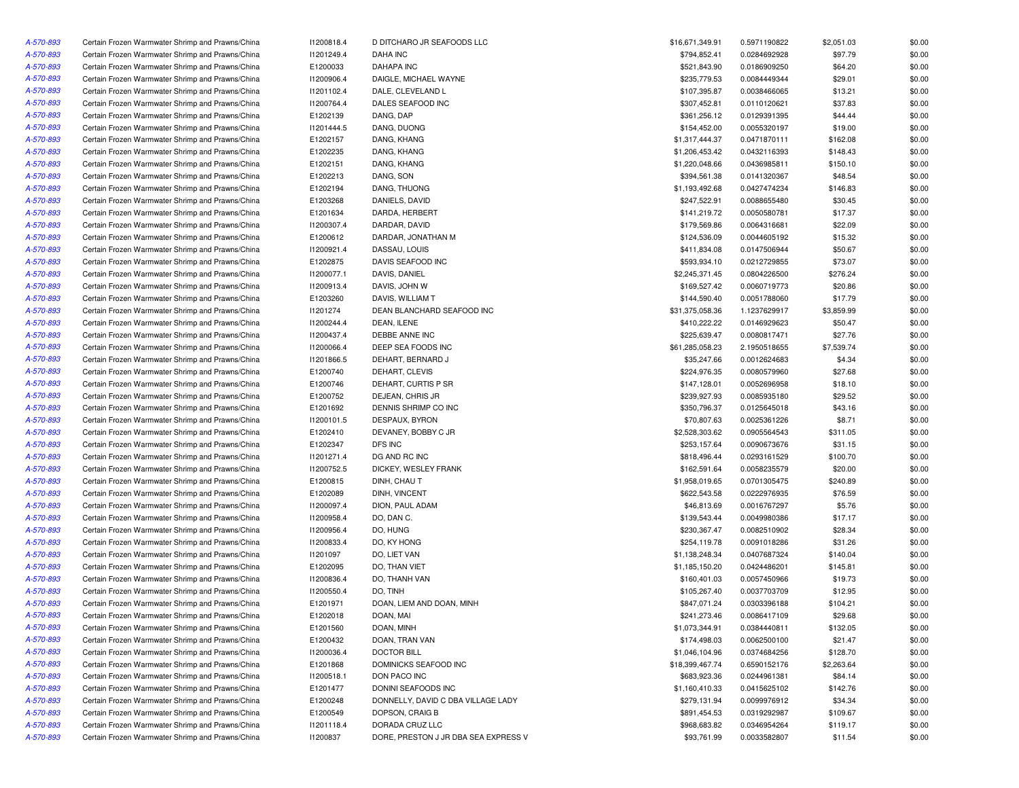| A-570-893 | Certain Frozen Warmwater Shrimp and Prawns/China | 11200818.4 | D DITCHARO JR SEAFOODS LLC           | \$16,671,349.91 | 0.5971190822 | \$2,051.03 | \$0.00 |
|-----------|--------------------------------------------------|------------|--------------------------------------|-----------------|--------------|------------|--------|
| A-570-893 | Certain Frozen Warmwater Shrimp and Prawns/China | 11201249.4 | DAHA INC                             | \$794,852.41    | 0.0284692928 | \$97.79    | \$0.00 |
| A-570-893 | Certain Frozen Warmwater Shrimp and Prawns/China | E1200033   | <b>DAHAPA INC</b>                    | \$521,843.90    | 0.0186909250 | \$64.20    | \$0.00 |
| A-570-893 | Certain Frozen Warmwater Shrimp and Prawns/China | 11200906.4 | DAIGLE, MICHAEL WAYNE                | \$235,779.53    | 0.0084449344 | \$29.01    | \$0.00 |
| A-570-893 | Certain Frozen Warmwater Shrimp and Prawns/China | 11201102.4 | DALE, CLEVELAND L                    | \$107,395.87    | 0.0038466065 | \$13.21    | \$0.00 |
| A-570-893 | Certain Frozen Warmwater Shrimp and Prawns/China | 11200764.4 | DALES SEAFOOD INC                    | \$307,452.81    | 0.0110120621 | \$37.83    | \$0.00 |
| A-570-893 | Certain Frozen Warmwater Shrimp and Prawns/China | E1202139   | DANG, DAP                            | \$361,256.12    | 0.0129391395 | \$44.44    | \$0.00 |
| A-570-893 | Certain Frozen Warmwater Shrimp and Prawns/China | 11201444.5 | DANG, DUONG                          | \$154,452.00    | 0.0055320197 | \$19.00    | \$0.00 |
| A-570-893 | Certain Frozen Warmwater Shrimp and Prawns/China | E1202157   | DANG, KHANG                          | \$1,317,444.37  | 0.0471870111 | \$162.08   | \$0.00 |
| A-570-893 | Certain Frozen Warmwater Shrimp and Prawns/China | E1202235   | DANG, KHANG                          | \$1,206,453.42  | 0.0432116393 | \$148.43   | \$0.00 |
| A-570-893 | Certain Frozen Warmwater Shrimp and Prawns/China | E1202151   | DANG, KHANG                          | \$1,220,048.66  | 0.0436985811 | \$150.10   | \$0.00 |
| A-570-893 | Certain Frozen Warmwater Shrimp and Prawns/China | E1202213   | DANG, SON                            | \$394,561.38    | 0.0141320367 | \$48.54    | \$0.00 |
| A-570-893 | Certain Frozen Warmwater Shrimp and Prawns/China | E1202194   | DANG, THUONG                         | \$1,193,492.68  | 0.0427474234 | \$146.83   | \$0.00 |
| A-570-893 | Certain Frozen Warmwater Shrimp and Prawns/China | E1203268   | DANIELS, DAVID                       | \$247,522.91    | 0.0088655480 | \$30.45    | \$0.00 |
| A-570-893 | Certain Frozen Warmwater Shrimp and Prawns/China | E1201634   | DARDA, HERBERT                       | \$141,219.72    | 0.0050580781 | \$17.37    | \$0.00 |
| A-570-893 | Certain Frozen Warmwater Shrimp and Prawns/China | 11200307.4 | DARDAR, DAVID                        | \$179,569.86    | 0.0064316681 | \$22.09    | \$0.00 |
| A-570-893 |                                                  | E1200612   |                                      | \$124,536.09    |              | \$15.32    | \$0.00 |
|           | Certain Frozen Warmwater Shrimp and Prawns/China |            | DARDAR, JONATHAN M                   |                 | 0.0044605192 |            |        |
| A-570-893 | Certain Frozen Warmwater Shrimp and Prawns/China | 11200921.4 | DASSAU, LOUIS                        | \$411,834.08    | 0.0147506944 | \$50.67    | \$0.00 |
| A-570-893 | Certain Frozen Warmwater Shrimp and Prawns/China | E1202875   | DAVIS SEAFOOD INC                    | \$593,934.10    | 0.0212729855 | \$73.07    | \$0.00 |
| A-570-893 | Certain Frozen Warmwater Shrimp and Prawns/China | 11200077.1 | DAVIS, DANIEL                        | \$2,245,371.45  | 0.0804226500 | \$276.24   | \$0.00 |
| A-570-893 | Certain Frozen Warmwater Shrimp and Prawns/China | 11200913.4 | DAVIS, JOHN W                        | \$169,527.42    | 0.0060719773 | \$20.86    | \$0.00 |
| A-570-893 | Certain Frozen Warmwater Shrimp and Prawns/China | E1203260   | DAVIS, WILLIAM T                     | \$144,590.40    | 0.0051788060 | \$17.79    | \$0.00 |
| A-570-893 | Certain Frozen Warmwater Shrimp and Prawns/China | 11201274   | DEAN BLANCHARD SEAFOOD INC           | \$31,375,058.36 | 1.1237629917 | \$3,859.99 | \$0.00 |
| A-570-893 | Certain Frozen Warmwater Shrimp and Prawns/China | 11200244.4 | DEAN, ILENE                          | \$410,222.22    | 0.0146929623 | \$50.47    | \$0.00 |
| A-570-893 | Certain Frozen Warmwater Shrimp and Prawns/China | 11200437.4 | DEBBE ANNE INC                       | \$225,639.47    | 0.0080817471 | \$27.76    | \$0.00 |
| A-570-893 | Certain Frozen Warmwater Shrimp and Prawns/China | 11200066.4 | DEEP SEA FOODS INC                   | \$61,285,058.23 | 2.1950518655 | \$7,539.74 | \$0.00 |
| A-570-893 | Certain Frozen Warmwater Shrimp and Prawns/China | I1201866.5 | DEHART, BERNARD J                    | \$35,247.66     | 0.0012624683 | \$4.34     | \$0.00 |
| A-570-893 | Certain Frozen Warmwater Shrimp and Prawns/China | E1200740   | DEHART, CLEVIS                       | \$224,976.35    | 0.0080579960 | \$27.68    | \$0.00 |
| A-570-893 | Certain Frozen Warmwater Shrimp and Prawns/China | E1200746   | DEHART, CURTIS P SR                  | \$147,128.01    | 0.0052696958 | \$18.10    | \$0.00 |
| A-570-893 | Certain Frozen Warmwater Shrimp and Prawns/China | E1200752   | DEJEAN, CHRIS JR                     | \$239,927.93    | 0.0085935180 | \$29.52    | \$0.00 |
| A-570-893 | Certain Frozen Warmwater Shrimp and Prawns/China | E1201692   | DENNIS SHRIMP CO INC                 | \$350,796.37    | 0.0125645018 | \$43.16    | \$0.00 |
| A-570-893 | Certain Frozen Warmwater Shrimp and Prawns/China | 11200101.5 | DESPAUX, BYRON                       | \$70,807.63     | 0.0025361226 | \$8.71     | \$0.00 |
| A-570-893 | Certain Frozen Warmwater Shrimp and Prawns/China | E1202410   | DEVANEY, BOBBY C JR                  | \$2,528,303.62  | 0.0905564543 | \$311.05   | \$0.00 |
| A-570-893 | Certain Frozen Warmwater Shrimp and Prawns/China | E1202347   | DFS INC                              | \$253,157.64    | 0.0090673676 | \$31.15    | \$0.00 |
| A-570-893 | Certain Frozen Warmwater Shrimp and Prawns/China | 11201271.4 | DG AND RC INC                        | \$818,496.44    | 0.0293161529 | \$100.70   | \$0.00 |
| A-570-893 | Certain Frozen Warmwater Shrimp and Prawns/China | 11200752.5 | DICKEY, WESLEY FRANK                 | \$162,591.64    | 0.0058235579 | \$20.00    | \$0.00 |
| A-570-893 | Certain Frozen Warmwater Shrimp and Prawns/China | E1200815   | DINH, CHAU T                         | \$1,958,019.65  | 0.0701305475 | \$240.89   | \$0.00 |
| A-570-893 | Certain Frozen Warmwater Shrimp and Prawns/China | E1202089   | DINH, VINCENT                        | \$622,543.58    | 0.0222976935 | \$76.59    | \$0.00 |
| A-570-893 | Certain Frozen Warmwater Shrimp and Prawns/China | I1200097.4 | DION, PAUL ADAM                      | \$46,813.69     | 0.0016767297 | \$5.76     | \$0.00 |
| A-570-893 | Certain Frozen Warmwater Shrimp and Prawns/China | 11200958.4 | DO, DAN C.                           | \$139,543.44    | 0.0049980386 | \$17.17    | \$0.00 |
| A-570-893 | Certain Frozen Warmwater Shrimp and Prawns/China | 11200956.4 | DO, HUNG                             | \$230,367.47    | 0.0082510902 | \$28.34    | \$0.00 |
| A-570-893 | Certain Frozen Warmwater Shrimp and Prawns/China | 11200833.4 | DO, KY HONG                          | \$254,119.78    | 0.0091018286 | \$31.26    | \$0.00 |
| A-570-893 | Certain Frozen Warmwater Shrimp and Prawns/China | 11201097   | DO, LIET VAN                         | \$1,138,248.34  | 0.0407687324 | \$140.04   | \$0.00 |
| A-570-893 | Certain Frozen Warmwater Shrimp and Prawns/China | E1202095   | DO, THAN VIET                        | \$1,185,150.20  | 0.0424486201 | \$145.81   | \$0.00 |
|           |                                                  |            |                                      |                 |              |            |        |
| A-570-893 | Certain Frozen Warmwater Shrimp and Prawns/China | 11200836.4 | DO, THANH VAN                        | \$160,401.03    | 0.0057450966 | \$19.73    | \$0.00 |
| A-570-893 | Certain Frozen Warmwater Shrimp and Prawns/China | I1200550.4 | DO, TINH                             | \$105,267.40    | 0.0037703709 | \$12.95    | \$0.00 |
| A-570-893 | Certain Frozen Warmwater Shrimp and Prawns/China | E1201971   | DOAN, LIEM AND DOAN, MINH            | \$847,071.24    | 0.0303396188 | \$104.21   | \$0.00 |
| A-570-893 | Certain Frozen Warmwater Shrimp and Prawns/China | E1202018   | DOAN, MAI                            | \$241,273.46    | 0.0086417109 | \$29.68    | \$0.00 |
| A-570-893 | Certain Frozen Warmwater Shrimp and Prawns/China | E1201560   | DOAN, MINH                           | \$1,073,344.91  | 0.0384440811 | \$132.05   | \$0.00 |
| A-570-893 | Certain Frozen Warmwater Shrimp and Prawns/China | E1200432   | DOAN, TRAN VAN                       | \$174,498.03    | 0.0062500100 | \$21.47    | \$0.00 |
| A-570-893 | Certain Frozen Warmwater Shrimp and Prawns/China | 11200036.4 | <b>DOCTOR BILL</b>                   | \$1,046,104.96  | 0.0374684256 | \$128.70   | \$0.00 |
| A-570-893 | Certain Frozen Warmwater Shrimp and Prawns/China | E1201868   | DOMINICKS SEAFOOD INC                | \$18,399,467.74 | 0.6590152176 | \$2,263.64 | \$0.00 |
| A-570-893 | Certain Frozen Warmwater Shrimp and Prawns/China | 11200518.1 | DON PACO INC                         | \$683,923.36    | 0.0244961381 | \$84.14    | \$0.00 |
| A-570-893 | Certain Frozen Warmwater Shrimp and Prawns/China | E1201477   | DONINI SEAFOODS INC                  | \$1,160,410.33  | 0.0415625102 | \$142.76   | \$0.00 |
| A-570-893 | Certain Frozen Warmwater Shrimp and Prawns/China | E1200248   | DONNELLY, DAVID C DBA VILLAGE LADY   | \$279,131.94    | 0.0099976912 | \$34.34    | \$0.00 |
| A-570-893 | Certain Frozen Warmwater Shrimp and Prawns/China | E1200549   | DOPSON, CRAIG B                      | \$891,454.53    | 0.0319292987 | \$109.67   | \$0.00 |
| A-570-893 | Certain Frozen Warmwater Shrimp and Prawns/China | 11201118.4 | DORADA CRUZ LLC                      | \$968,683.82    | 0.0346954264 | \$119.17   | \$0.00 |
| A-570-893 | Certain Frozen Warmwater Shrimp and Prawns/China | 11200837   | DORE, PRESTON J JR DBA SEA EXPRESS V | \$93,761.99     | 0.0033582807 | \$11.54    | \$0.00 |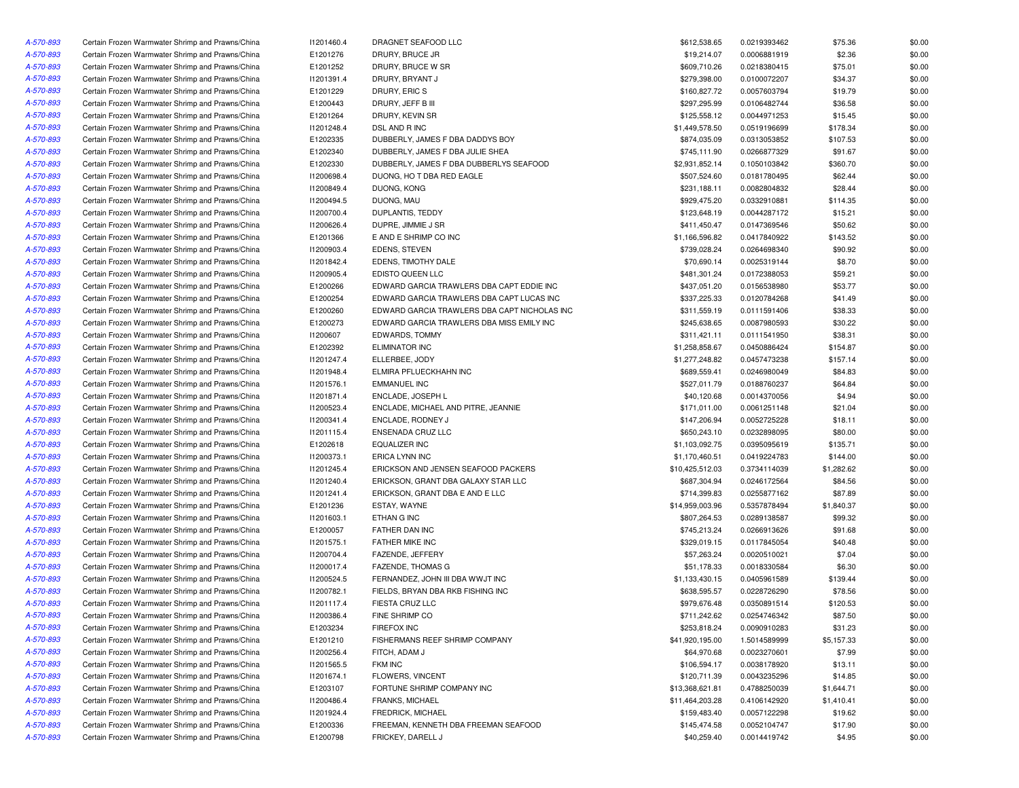| A-570-893 | Certain Frozen Warmwater Shrimp and Prawns/China | 11201460.4 | DRAGNET SEAFOOD LLC                          | \$612,538.65    | 0.0219393462 | \$75.36    | \$0.00 |
|-----------|--------------------------------------------------|------------|----------------------------------------------|-----------------|--------------|------------|--------|
| A-570-893 | Certain Frozen Warmwater Shrimp and Prawns/China | E1201276   | DRURY, BRUCE JR                              | \$19,214.07     | 0.0006881919 | \$2.36     | \$0.00 |
| A-570-893 | Certain Frozen Warmwater Shrimp and Prawns/China | E1201252   | DRURY, BRUCE W SR                            | \$609,710.26    | 0.0218380415 | \$75.01    | \$0.00 |
| A-570-893 | Certain Frozen Warmwater Shrimp and Prawns/China | 11201391.4 | DRURY, BRYANT J                              | \$279,398.00    | 0.0100072207 | \$34.37    | \$0.00 |
| A-570-893 | Certain Frozen Warmwater Shrimp and Prawns/China | E1201229   | DRURY, ERIC S                                | \$160,827.72    | 0.0057603794 | \$19.79    | \$0.00 |
| A-570-893 | Certain Frozen Warmwater Shrimp and Prawns/China | E1200443   | DRURY, JEFF B III                            | \$297,295.99    | 0.0106482744 | \$36.58    | \$0.00 |
| A-570-893 | Certain Frozen Warmwater Shrimp and Prawns/China | E1201264   | DRURY, KEVIN SR                              | \$125,558.12    | 0.0044971253 | \$15.45    | \$0.00 |
| A-570-893 | Certain Frozen Warmwater Shrimp and Prawns/China | 11201248.4 | DSL AND R INC                                | \$1,449,578.50  | 0.0519196699 | \$178.34   | \$0.00 |
| A-570-893 | Certain Frozen Warmwater Shrimp and Prawns/China | E1202335   | DUBBERLY, JAMES F DBA DADDYS BOY             | \$874,035.09    | 0.0313053852 | \$107.53   | \$0.00 |
| A-570-893 | Certain Frozen Warmwater Shrimp and Prawns/China | E1202340   | DUBBERLY, JAMES F DBA JULIE SHEA             | \$745,111.90    | 0.0266877329 | \$91.67    | \$0.00 |
| A-570-893 | Certain Frozen Warmwater Shrimp and Prawns/China | E1202330   | DUBBERLY, JAMES F DBA DUBBERLYS SEAFOOD      | \$2,931,852.14  | 0.1050103842 | \$360.70   | \$0.00 |
| A-570-893 | Certain Frozen Warmwater Shrimp and Prawns/China | 11200698.4 | DUONG, HO T DBA RED EAGLE                    | \$507,524.60    | 0.0181780495 | \$62.44    | \$0.00 |
| A-570-893 | Certain Frozen Warmwater Shrimp and Prawns/China | 11200849.4 | DUONG, KONG                                  | \$231,188.11    | 0.0082804832 | \$28.44    | \$0.00 |
| A-570-893 | Certain Frozen Warmwater Shrimp and Prawns/China | I1200494.5 | DUONG, MAU                                   | \$929.475.20    | 0.0332910881 | \$114.35   | \$0.00 |
| A-570-893 | Certain Frozen Warmwater Shrimp and Prawns/China | 11200700.4 | DUPLANTIS, TEDDY                             | \$123,648.19    | 0.0044287172 | \$15.21    | \$0.00 |
| A-570-893 | Certain Frozen Warmwater Shrimp and Prawns/China | 11200626.4 | DUPRE, JIMMIE J SR                           | \$411,450.47    | 0.0147369546 | \$50.62    | \$0.00 |
| A-570-893 | Certain Frozen Warmwater Shrimp and Prawns/China | E1201366   | E AND E SHRIMP CO INC                        | \$1,166,596.82  | 0.0417840922 | \$143.52   | \$0.00 |
| A-570-893 | Certain Frozen Warmwater Shrimp and Prawns/China | 11200903.4 | EDENS, STEVEN                                | \$739,028.24    | 0.0264698340 | \$90.92    | \$0.00 |
| A-570-893 | Certain Frozen Warmwater Shrimp and Prawns/China | 11201842.4 | EDENS, TIMOTHY DALE                          | \$70,690.14     | 0.0025319144 | \$8.70     | \$0.00 |
| A-570-893 | Certain Frozen Warmwater Shrimp and Prawns/China | 11200905.4 | <b>EDISTO QUEEN LLC</b>                      | \$481,301.24    | 0.0172388053 | \$59.21    | \$0.00 |
| A-570-893 | Certain Frozen Warmwater Shrimp and Prawns/China | E1200266   | EDWARD GARCIA TRAWLERS DBA CAPT EDDIE INC    | \$437,051.20    | 0.0156538980 | \$53.77    | \$0.00 |
| A-570-893 | Certain Frozen Warmwater Shrimp and Prawns/China | E1200254   | EDWARD GARCIA TRAWLERS DBA CAPT LUCAS INC    | \$337,225.33    | 0.0120784268 | \$41.49    | \$0.00 |
| A-570-893 | Certain Frozen Warmwater Shrimp and Prawns/China | E1200260   | EDWARD GARCIA TRAWLERS DBA CAPT NICHOLAS INC | \$311,559.19    | 0.0111591406 | \$38.33    | \$0.00 |
| A-570-893 | Certain Frozen Warmwater Shrimp and Prawns/China | E1200273   | EDWARD GARCIA TRAWLERS DBA MISS EMILY INC    | \$245,638.65    | 0.0087980593 | \$30.22    | \$0.00 |
| A-570-893 | Certain Frozen Warmwater Shrimp and Prawns/China | 11200607   | EDWARDS, TOMMY                               | \$311,421.11    | 0.0111541950 | \$38.31    | \$0.00 |
| A-570-893 | Certain Frozen Warmwater Shrimp and Prawns/China | E1202392   | <b>ELIMINATOR INC</b>                        | \$1,258,858.67  | 0.0450886424 | \$154.87   | \$0.00 |
| A-570-893 | Certain Frozen Warmwater Shrimp and Prawns/China | 11201247.4 | ELLERBEE, JODY                               | \$1,277,248.82  | 0.0457473238 | \$157.14   | \$0.00 |
| A-570-893 | Certain Frozen Warmwater Shrimp and Prawns/China | 11201948.4 | ELMIRA PFLUECKHAHN INC                       | \$689,559.41    | 0.0246980049 | \$84.83    | \$0.00 |
| A-570-893 | Certain Frozen Warmwater Shrimp and Prawns/China | 11201576.1 | <b>EMMANUEL INC</b>                          | \$527,011.79    | 0.0188760237 | \$64.84    | \$0.00 |
| A-570-893 | Certain Frozen Warmwater Shrimp and Prawns/China | 11201871.4 | ENCLADE, JOSEPH L                            | \$40,120.68     | 0.0014370056 | \$4.94     | \$0.00 |
| A-570-893 | Certain Frozen Warmwater Shrimp and Prawns/China | 11200523.4 | ENCLADE, MICHAEL AND PITRE, JEANNIE          | \$171,011.00    | 0.0061251148 | \$21.04    | \$0.00 |
| A-570-893 | Certain Frozen Warmwater Shrimp and Prawns/China | 11200341.4 | ENCLADE, RODNEY J                            | \$147,206.94    | 0.0052725228 | \$18.11    | \$0.00 |
| A-570-893 | Certain Frozen Warmwater Shrimp and Prawns/China | 11201115.4 | ENSENADA CRUZ LLC                            | \$650,243.10    | 0.0232898095 | \$80.00    | \$0.00 |
| A-570-893 | Certain Frozen Warmwater Shrimp and Prawns/China | E1202618   | <b>EQUALIZER INC</b>                         | \$1,103,092.75  | 0.0395095619 | \$135.71   | \$0.00 |
|           |                                                  |            | ERICA LYNN INC                               |                 |              |            |        |
| A-570-893 | Certain Frozen Warmwater Shrimp and Prawns/China | 11200373.1 | ERICKSON AND JENSEN SEAFOOD PACKERS          | \$1,170,460.51  | 0.0419224783 | \$144.00   | \$0.00 |
| A-570-893 | Certain Frozen Warmwater Shrimp and Prawns/China | 11201245.4 |                                              | \$10,425,512.03 | 0.3734114039 | \$1,282.62 | \$0.00 |
| A-570-893 | Certain Frozen Warmwater Shrimp and Prawns/China | 11201240.4 | ERICKSON, GRANT DBA GALAXY STAR LLC          | \$687,304.94    | 0.0246172564 | \$84.56    | \$0.00 |
| A-570-893 | Certain Frozen Warmwater Shrimp and Prawns/China | 11201241.4 | ERICKSON, GRANT DBA E AND E LLC              | \$714,399.83    | 0.0255877162 | \$87.89    | \$0.00 |
| A-570-893 | Certain Frozen Warmwater Shrimp and Prawns/China | E1201236   | ESTAY, WAYNE                                 | \$14,959,003.96 | 0.5357878494 | \$1,840.37 | \$0.00 |
| A-570-893 | Certain Frozen Warmwater Shrimp and Prawns/China | 11201603.1 | ETHAN G INC                                  | \$807,264.53    | 0.0289138587 | \$99.32    | \$0.00 |
| A-570-893 | Certain Frozen Warmwater Shrimp and Prawns/China | E1200057   | FATHER DAN INC                               | \$745,213.24    | 0.0266913626 | \$91.68    | \$0.00 |
| A-570-893 | Certain Frozen Warmwater Shrimp and Prawns/China | 11201575.1 | FATHER MIKE INC                              | \$329,019.15    | 0.0117845054 | \$40.48    | \$0.00 |
| A-570-893 | Certain Frozen Warmwater Shrimp and Prawns/China | 11200704.4 | FAZENDE, JEFFERY                             | \$57,263.24     | 0.0020510021 | \$7.04     | \$0.00 |
| A-570-893 | Certain Frozen Warmwater Shrimp and Prawns/China | 11200017.4 | FAZENDE, THOMAS G                            | \$51,178.33     | 0.0018330584 | \$6.30     | \$0.00 |
| A-570-893 | Certain Frozen Warmwater Shrimp and Prawns/China | I1200524.5 | FERNANDEZ. JOHN III DBA WWJT INC             | \$1,133,430.15  | 0.0405961589 | \$139.44   | \$0.00 |
| A-570-893 | Certain Frozen Warmwater Shrimp and Prawns/China | 11200782.1 | FIELDS. BRYAN DBA RKB FISHING INC            | \$638,595.57    | 0.0228726290 | \$78.56    | \$0.00 |
| A-570-893 | Certain Frozen Warmwater Shrimp and Prawns/China | 11201117.4 | FIESTA CRUZ LLC                              | \$979,676.48    | 0.0350891514 | \$120.53   | \$0.00 |
| A-570-893 | Certain Frozen Warmwater Shrimp and Prawns/China | 11200386.4 | FINE SHRIMP CO                               | \$711,242.62    | 0.0254746342 | \$87.50    | \$0.00 |
| A-570-893 | Certain Frozen Warmwater Shrimp and Prawns/China | E1203234   | <b>FIREFOX INC</b>                           | \$253,818.24    | 0.0090910283 | \$31.23    | \$0.00 |
| A-570-893 | Certain Frozen Warmwater Shrimp and Prawns/China | E1201210   | FISHERMANS REEF SHRIMP COMPANY               | \$41,920,195.00 | 1.5014589999 | \$5,157.33 | \$0.00 |
| A-570-893 | Certain Frozen Warmwater Shrimp and Prawns/China | 11200256.4 | FITCH, ADAM J                                | \$64,970.68     | 0.0023270601 | \$7.99     | \$0.00 |
| A-570-893 | Certain Frozen Warmwater Shrimp and Prawns/China | I1201565.5 | FKM INC                                      | \$106,594.17    | 0.0038178920 | \$13.11    | \$0.00 |
| A-570-893 | Certain Frozen Warmwater Shrimp and Prawns/China | 11201674.1 | FLOWERS, VINCENT                             | \$120,711.39    | 0.0043235296 | \$14.85    | \$0.00 |
| A-570-893 | Certain Frozen Warmwater Shrimp and Prawns/China | E1203107   | FORTUNE SHRIMP COMPANY INC                   | \$13,368,621.81 | 0.4788250039 | \$1,644.71 | \$0.00 |
| A-570-893 | Certain Frozen Warmwater Shrimp and Prawns/China | 11200486.4 | FRANKS, MICHAEL                              | \$11,464,203.28 | 0.4106142920 | \$1,410.41 | \$0.00 |
| A-570-893 | Certain Frozen Warmwater Shrimp and Prawns/China | 11201924.4 | FREDRICK, MICHAEL                            | \$159,483.40    | 0.0057122298 | \$19.62    | \$0.00 |
| A-570-893 | Certain Frozen Warmwater Shrimp and Prawns/China | E1200336   | FREEMAN, KENNETH DBA FREEMAN SEAFOOD         | \$145,474.58    | 0.0052104747 | \$17.90    | \$0.00 |
| A-570-893 | Certain Frozen Warmwater Shrimp and Prawns/China | E1200798   | FRICKEY, DARELL J                            | \$40,259.40     | 0.0014419742 | \$4.95     | \$0.00 |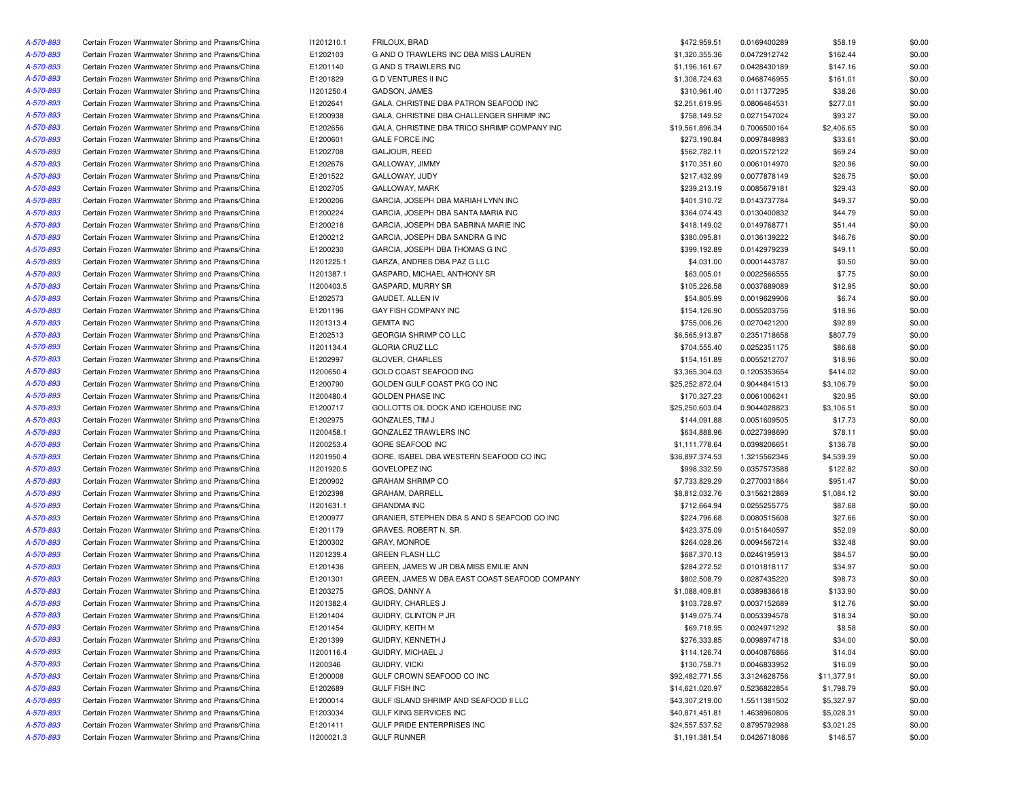| A-570-893 | Certain Frozen Warmwater Shrimp and Prawns/China | 11201210.1 | <b>FRILOUX, BRAD</b>                          | \$472,959.51    | 0.0169400289 | \$58.19     | \$0.00 |
|-----------|--------------------------------------------------|------------|-----------------------------------------------|-----------------|--------------|-------------|--------|
| A-570-893 | Certain Frozen Warmwater Shrimp and Prawns/China | E1202103   | G AND O TRAWLERS INC DBA MISS LAUREN          | \$1,320,355.36  | 0.0472912742 | \$162.44    | \$0.00 |
| A-570-893 | Certain Frozen Warmwater Shrimp and Prawns/China | E1201140   | G AND S TRAWLERS INC                          | \$1,196,161.67  | 0.0428430189 | \$147.16    | \$0.00 |
| A-570-893 | Certain Frozen Warmwater Shrimp and Prawns/China | E1201829   | <b>GD VENTURES II INC</b>                     | \$1,308,724.63  | 0.0468746955 | \$161.01    | \$0.00 |
| A-570-893 | Certain Frozen Warmwater Shrimp and Prawns/China | 11201250.4 | GADSON, JAMES                                 | \$310,961.40    | 0.0111377295 | \$38.26     | \$0.00 |
| A-570-893 | Certain Frozen Warmwater Shrimp and Prawns/China | E1202641   | GALA, CHRISTINE DBA PATRON SEAFOOD INC        | \$2,251,619.95  | 0.0806464531 | \$277.01    | \$0.00 |
| A-570-893 | Certain Frozen Warmwater Shrimp and Prawns/China | E1200938   | GALA, CHRISTINE DBA CHALLENGER SHRIMP INC     | \$758,149.52    | 0.0271547024 | \$93.27     | \$0.00 |
| A-570-893 | Certain Frozen Warmwater Shrimp and Prawns/China | E1202656   | GALA, CHRISTINE DBA TRICO SHRIMP COMPANY INC  | \$19,561,896.34 | 0.7006500164 | \$2,406.65  | \$0.00 |
| A-570-893 | Certain Frozen Warmwater Shrimp and Prawns/China | E1200601   | <b>GALE FORCE INC</b>                         | \$273,190.84    | 0.0097848983 | \$33.61     | \$0.00 |
| A-570-893 | Certain Frozen Warmwater Shrimp and Prawns/China | E1202708   | GALJOUR, REED                                 | \$562,782.11    | 0.0201572122 | \$69.24     | \$0.00 |
| A-570-893 | Certain Frozen Warmwater Shrimp and Prawns/China | E1202676   | GALLOWAY, JIMMY                               | \$170,351.60    | 0.0061014970 | \$20.96     | \$0.00 |
| A-570-893 | Certain Frozen Warmwater Shrimp and Prawns/China | E1201522   | GALLOWAY, JUDY                                | \$217,432.99    | 0.0077878149 | \$26.75     | \$0.00 |
| A-570-893 | Certain Frozen Warmwater Shrimp and Prawns/China | E1202705   | GALLOWAY, MARK                                | \$239,213.19    | 0.0085679181 | \$29.43     | \$0.00 |
| A-570-893 | Certain Frozen Warmwater Shrimp and Prawns/China | E1200206   | GARCIA, JOSEPH DBA MARIAH LYNN INC            | \$401,310.72    | 0.0143737784 | \$49.37     | \$0.00 |
| A-570-893 | Certain Frozen Warmwater Shrimp and Prawns/China | E1200224   | GARCIA, JOSEPH DBA SANTA MARIA INC            | \$364,074.43    | 0.0130400832 | \$44.79     | \$0.00 |
| A-570-893 | Certain Frozen Warmwater Shrimp and Prawns/China | E1200218   | GARCIA, JOSEPH DBA SABRINA MARIE INC          | \$418,149.02    | 0.0149768771 | \$51.44     | \$0.00 |
|           |                                                  | E1200212   | GARCIA, JOSEPH DBA SANDRA G INC               | \$380,095.81    |              |             |        |
| A-570-893 | Certain Frozen Warmwater Shrimp and Prawns/China |            |                                               |                 | 0.0136139222 | \$46.76     | \$0.00 |
| A-570-893 | Certain Frozen Warmwater Shrimp and Prawns/China | E1200230   | GARCIA, JOSEPH DBA THOMAS G INC               | \$399,192.89    | 0.0142979239 | \$49.11     | \$0.00 |
| A-570-893 | Certain Frozen Warmwater Shrimp and Prawns/China | 11201225.1 | GARZA, ANDRES DBA PAZ G LLC                   | \$4,031.00      | 0.0001443787 | \$0.50      | \$0.00 |
| A-570-893 | Certain Frozen Warmwater Shrimp and Prawns/China | 11201387.1 | GASPARD, MICHAEL ANTHONY SR                   | \$63,005.01     | 0.0022566555 | \$7.75      | \$0.00 |
| A-570-893 | Certain Frozen Warmwater Shrimp and Prawns/China | 11200403.5 | GASPARD, MURRY SR                             | \$105,226.58    | 0.0037689089 | \$12.95     | \$0.00 |
| A-570-893 | Certain Frozen Warmwater Shrimp and Prawns/China | E1202573   | GAUDET, ALLEN IV                              | \$54,805.99     | 0.0019629906 | \$6.74      | \$0.00 |
| A-570-893 | Certain Frozen Warmwater Shrimp and Prawns/China | E1201196   | GAY FISH COMPANY INC                          | \$154,126.90    | 0.0055203756 | \$18.96     | \$0.00 |
| A-570-893 | Certain Frozen Warmwater Shrimp and Prawns/China | 11201313.4 | <b>GEMITA INC</b>                             | \$755,006.26    | 0.0270421200 | \$92.89     | \$0.00 |
| A-570-893 | Certain Frozen Warmwater Shrimp and Prawns/China | E1202513   | GEORGIA SHRIMP CO LLC                         | \$6,565,913.87  | 0.2351718658 | \$807.79    | \$0.00 |
| A-570-893 | Certain Frozen Warmwater Shrimp and Prawns/China | 11201134.4 | <b>GLORIA CRUZ LLC</b>                        | \$704,555.40    | 0.0252351175 | \$86.68     | \$0.00 |
| A-570-893 | Certain Frozen Warmwater Shrimp and Prawns/China | E1202997   | <b>GLOVER, CHARLES</b>                        | \$154,151.89    | 0.0055212707 | \$18.96     | \$0.00 |
| A-570-893 | Certain Frozen Warmwater Shrimp and Prawns/China | 11200650.4 | GOLD COAST SEAFOOD INC                        | \$3,365,304.03  | 0.1205353654 | \$414.02    | \$0.00 |
| A-570-893 | Certain Frozen Warmwater Shrimp and Prawns/China | E1200790   | GOLDEN GULF COAST PKG CO INC                  | \$25,252,872.04 | 0.9044841513 | \$3,106.79  | \$0.00 |
| A-570-893 | Certain Frozen Warmwater Shrimp and Prawns/China | 11200480.4 | GOLDEN PHASE INC                              | \$170,327.23    | 0.0061006241 | \$20.95     | \$0.00 |
| A-570-893 | Certain Frozen Warmwater Shrimp and Prawns/China | E1200717   | GOLLOTTS OIL DOCK AND ICEHOUSE INC            | \$25,250,603.04 | 0.9044028823 | \$3,106.51  | \$0.00 |
| A-570-893 | Certain Frozen Warmwater Shrimp and Prawns/China | E1202975   | GONZALES, TIM J                               | \$144,091.88    | 0.0051609505 | \$17.73     | \$0.00 |
| A-570-893 | Certain Frozen Warmwater Shrimp and Prawns/China | 11200458.1 | GONZALEZ TRAWLERS INC                         | \$634,888.96    | 0.0227398690 | \$78.11     | \$0.00 |
| A-570-893 | Certain Frozen Warmwater Shrimp and Prawns/China | 11200253.4 | GORE SEAFOOD INC                              | \$1,111,778.64  | 0.0398206651 | \$136.78    | \$0.00 |
| A-570-893 | Certain Frozen Warmwater Shrimp and Prawns/China | 11201950.4 | GORE, ISABEL DBA WESTERN SEAFOOD CO INC       | \$36,897,374.53 | 1.3215562346 | \$4,539.39  | \$0.00 |
| A-570-893 | Certain Frozen Warmwater Shrimp and Prawns/China | I1201920.5 | <b>GOVELOPEZ INC</b>                          | \$998,332.59    | 0.0357573588 | \$122.82    | \$0.00 |
| A-570-893 | Certain Frozen Warmwater Shrimp and Prawns/China | E1200902   | <b>GRAHAM SHRIMP CO</b>                       | \$7,733,829.29  | 0.2770031864 | \$951.47    | \$0.00 |
| A-570-893 | Certain Frozen Warmwater Shrimp and Prawns/China | E1202398   | GRAHAM, DARRELL                               | \$8,812,032.76  | 0.3156212869 | \$1,084.12  | \$0.00 |
| A-570-893 | Certain Frozen Warmwater Shrimp and Prawns/China | 11201631.1 | <b>GRANDMA INC</b>                            | \$712,664.94    | 0.0255255775 | \$87.68     | \$0.00 |
| A-570-893 | Certain Frozen Warmwater Shrimp and Prawns/China | E1200977   | GRANIER, STEPHEN DBA S AND S SEAFOOD CO INC   | \$224,796.68    | 0.0080515608 | \$27.66     | \$0.00 |
| A-570-893 | Certain Frozen Warmwater Shrimp and Prawns/China | E1201179   | GRAVES, ROBERT N. SR.                         | \$423,375.09    | 0.0151640597 | \$52.09     | \$0.00 |
| A-570-893 | Certain Frozen Warmwater Shrimp and Prawns/China | E1200302   | GRAY, MONROE                                  | \$264.028.26    | 0.0094567214 | \$32.48     | \$0.00 |
| A-570-893 | Certain Frozen Warmwater Shrimp and Prawns/China | 11201239.4 | <b>GREEN FLASH LLC</b>                        | \$687,370.13    | 0.0246195913 | \$84.57     | \$0.00 |
| A-570-893 | Certain Frozen Warmwater Shrimp and Prawns/China | E1201436   | GREEN, JAMES W JR DBA MISS EMILIE ANN         | \$284,272.52    | 0.0101818117 | \$34.97     | \$0.00 |
| A-570-893 | Certain Frozen Warmwater Shrimp and Prawns/China | E1201301   | GREEN, JAMES W DBA EAST COAST SEAFOOD COMPANY | \$802,508.79    | 0.0287435220 | \$98.73     | \$0.00 |
| A-570-893 | Certain Frozen Warmwater Shrimp and Prawns/China | E1203275   | GROS, DANNY A                                 | \$1,088,409.81  | 0.0389836618 | \$133.90    | \$0.00 |
| A-570-893 | Certain Frozen Warmwater Shrimp and Prawns/China | 11201382.4 | GUIDRY, CHARLES J                             | \$103,728.97    | 0.0037152689 | \$12.76     | \$0.00 |
| A-570-893 |                                                  | E1201404   |                                               |                 |              |             |        |
|           | Certain Frozen Warmwater Shrimp and Prawns/China |            | GUIDRY, CLINTON P JR                          | \$149,075.74    | 0.0053394578 | \$18.34     | \$0.00 |
| A-570-893 | Certain Frozen Warmwater Shrimp and Prawns/China | E1201454   | GUIDRY, KEITH M                               | \$69,718.95     | 0.0024971292 | \$8.58      | \$0.00 |
| A-570-893 | Certain Frozen Warmwater Shrimp and Prawns/China | E1201399   | GUIDRY, KENNETH J                             | \$276,333.85    | 0.0098974718 | \$34.00     | \$0.00 |
| A-570-893 | Certain Frozen Warmwater Shrimp and Prawns/China | 11200116.4 | GUIDRY, MICHAEL J                             | \$114,126.74    | 0.0040876866 | \$14.04     | \$0.00 |
| A-570-893 | Certain Frozen Warmwater Shrimp and Prawns/China | 11200346   | GUIDRY, VICKI                                 | \$130,758.71    | 0.0046833952 | \$16.09     | \$0.00 |
| A-570-893 | Certain Frozen Warmwater Shrimp and Prawns/China | E1200008   | GULF CROWN SEAFOOD CO INC                     | \$92,482,771.55 | 3.3124628756 | \$11,377.91 | \$0.00 |
| A-570-893 | Certain Frozen Warmwater Shrimp and Prawns/China | E1202689   | <b>GULF FISH INC</b>                          | \$14,621,020.97 | 0.5236822854 | \$1,798.79  | \$0.00 |
| A-570-893 | Certain Frozen Warmwater Shrimp and Prawns/China | E1200014   | GULF ISLAND SHRIMP AND SEAFOOD II LLC         | \$43,307,219.00 | 1.5511381502 | \$5,327.97  | \$0.00 |
| A-570-893 | Certain Frozen Warmwater Shrimp and Prawns/China | E1203034   | GULF KING SERVICES INC                        | \$40,871,451.81 | 1.4638960806 | \$5,028.31  | \$0.00 |
| A-570-893 | Certain Frozen Warmwater Shrimp and Prawns/China | E1201411   | GULF PRIDE ENTERPRISES INC                    | \$24,557,537.52 | 0.8795792988 | \$3,021.25  | \$0.00 |
| A-570-893 | Certain Frozen Warmwater Shrimp and Prawns/China | 11200021.3 | <b>GULF RUNNER</b>                            | \$1,191,381.54  | 0.0426718086 | \$146.57    | \$0.00 |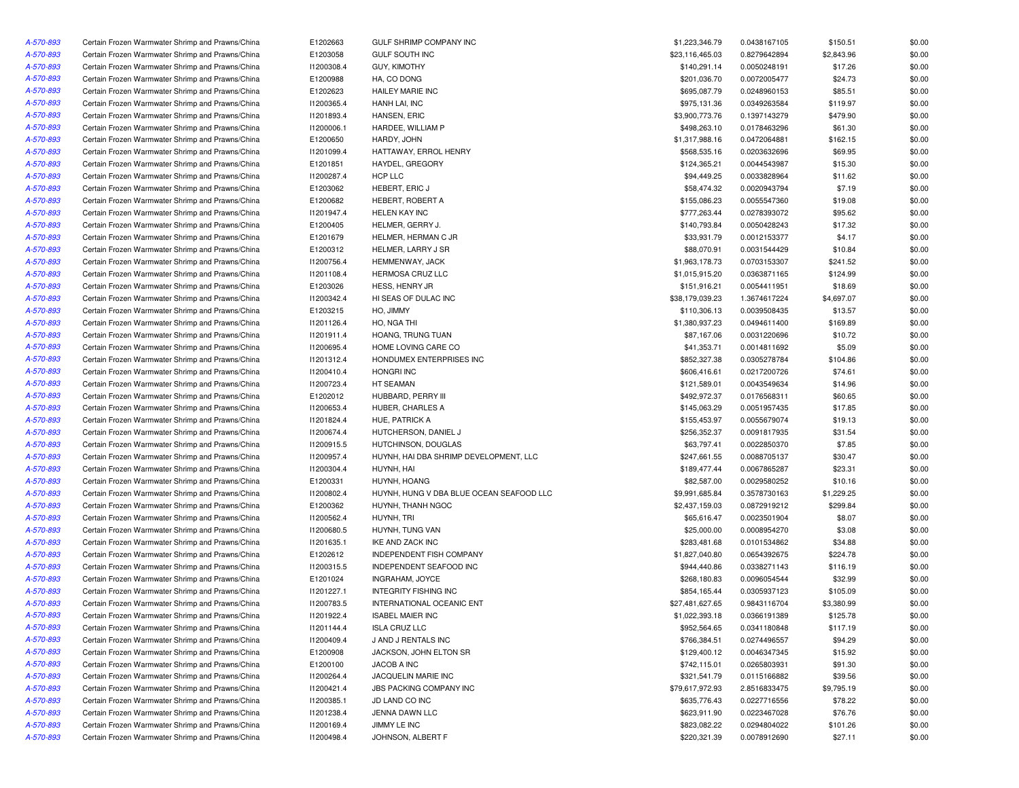| A-570-893 | Certain Frozen Warmwater Shrimp and Prawns/China | E1202663   | GULF SHRIMP COMPANY INC                  | \$1,223,346.79  | 0.0438167105 | \$150.51   | \$0.00 |
|-----------|--------------------------------------------------|------------|------------------------------------------|-----------------|--------------|------------|--------|
| A-570-893 | Certain Frozen Warmwater Shrimp and Prawns/China | E1203058   | <b>GULF SOUTH INC</b>                    | \$23,116,465.03 | 0.8279642894 | \$2,843.96 | \$0.00 |
| A-570-893 | Certain Frozen Warmwater Shrimp and Prawns/China | 11200308.4 | GUY, KIMOTHY                             | \$140,291.14    | 0.0050248191 | \$17.26    | \$0.00 |
| A-570-893 | Certain Frozen Warmwater Shrimp and Prawns/China | E1200988   | HA, CO DONG                              | \$201,036.70    | 0.0072005477 | \$24.73    | \$0.00 |
| A-570-893 | Certain Frozen Warmwater Shrimp and Prawns/China | E1202623   | <b>HAILEY MARIE INC</b>                  | \$695,087.79    | 0.0248960153 | \$85.51    | \$0.00 |
| A-570-893 | Certain Frozen Warmwater Shrimp and Prawns/China | 11200365.4 | HANH LAI, INC                            | \$975,131.36    | 0.0349263584 | \$119.97   | \$0.00 |
| A-570-893 | Certain Frozen Warmwater Shrimp and Prawns/China | 11201893.4 | HANSEN, ERIC                             | \$3,900,773.76  | 0.1397143279 | \$479.90   | \$0.00 |
| A-570-893 | Certain Frozen Warmwater Shrimp and Prawns/China | 11200006.1 | HARDEE, WILLIAM P                        | \$498,263.10    | 0.0178463296 | \$61.30    | \$0.00 |
| A-570-893 | Certain Frozen Warmwater Shrimp and Prawns/China | E1200650   | HARDY, JOHN                              | \$1,317,988.16  | 0.0472064881 | \$162.15   | \$0.00 |
| A-570-893 | Certain Frozen Warmwater Shrimp and Prawns/China | 11201099.4 | HATTAWAY, ERROL HENRY                    | \$568,535.16    | 0.0203632696 | \$69.95    | \$0.00 |
| A-570-893 | Certain Frozen Warmwater Shrimp and Prawns/China | E1201851   | HAYDEL, GREGORY                          | \$124,365.21    | 0.0044543987 | \$15.30    | \$0.00 |
| A-570-893 | Certain Frozen Warmwater Shrimp and Prawns/China | 11200287.4 | HCP LLC                                  | \$94,449.25     | 0.0033828964 | \$11.62    | \$0.00 |
| A-570-893 | Certain Frozen Warmwater Shrimp and Prawns/China | E1203062   | HEBERT, ERIC J                           | \$58,474.32     | 0.0020943794 | \$7.19     | \$0.00 |
| A-570-893 | Certain Frozen Warmwater Shrimp and Prawns/China | E1200682   | HEBERT, ROBERT A                         | \$155,086.23    | 0.0055547360 | \$19.08    | \$0.00 |
| A-570-893 | Certain Frozen Warmwater Shrimp and Prawns/China | 11201947.4 | <b>HELEN KAY INC</b>                     | \$777,263.44    | 0.0278393072 | \$95.62    | \$0.00 |
| A-570-893 | Certain Frozen Warmwater Shrimp and Prawns/China | E1200405   | HELMER, GERRY J.                         | \$140,793.84    | 0.0050428243 | \$17.32    | \$0.00 |
| A-570-893 | Certain Frozen Warmwater Shrimp and Prawns/China | E1201679   | HELMER, HERMAN C JR                      | \$33,931.79     | 0.0012153377 | \$4.17     | \$0.00 |
| A-570-893 | Certain Frozen Warmwater Shrimp and Prawns/China | E1200312   | HELMER, LARRY J SR                       | \$88,070.91     | 0.0031544429 | \$10.84    | \$0.00 |
| A-570-893 | Certain Frozen Warmwater Shrimp and Prawns/China | 11200756.4 | HEMMENWAY, JACK                          | \$1,963,178.73  | 0.0703153307 | \$241.52   | \$0.00 |
| A-570-893 | Certain Frozen Warmwater Shrimp and Prawns/China | 11201108.4 | HERMOSA CRUZ LLC                         | \$1,015,915.20  | 0.0363871165 | \$124.99   | \$0.00 |
| A-570-893 | Certain Frozen Warmwater Shrimp and Prawns/China | E1203026   | HESS, HENRY JR                           | \$151,916.21    | 0.0054411951 | \$18.69    | \$0.00 |
|           | Certain Frozen Warmwater Shrimp and Prawns/China | 11200342.4 | HI SEAS OF DULAC INC                     | \$38,179,039.23 | 1.3674617224 | \$4,697.07 | \$0.00 |
| A-570-893 |                                                  |            |                                          |                 |              |            |        |
| A-570-893 | Certain Frozen Warmwater Shrimp and Prawns/China | E1203215   | HO, JIMMY                                | \$110,306.13    | 0.0039508435 | \$13.57    | \$0.00 |
| A-570-893 | Certain Frozen Warmwater Shrimp and Prawns/China | 11201126.4 | HO, NGA THI                              | \$1,380,937.23  | 0.0494611400 | \$169.89   | \$0.00 |
| A-570-893 | Certain Frozen Warmwater Shrimp and Prawns/China | 11201911.4 | HOANG, TRUNG TUAN                        | \$87,167.06     | 0.0031220696 | \$10.72    | \$0.00 |
| A-570-893 | Certain Frozen Warmwater Shrimp and Prawns/China | 11200695.4 | HOME LOVING CARE CO                      | \$41,353.71     | 0.0014811692 | \$5.09     | \$0.00 |
| A-570-893 | Certain Frozen Warmwater Shrimp and Prawns/China | 11201312.4 | HONDUMEX ENTERPRISES INC                 | \$852,327.38    | 0.0305278784 | \$104.86   | \$0.00 |
| A-570-893 | Certain Frozen Warmwater Shrimp and Prawns/China | 11200410.4 | <b>HONGRI INC</b>                        | \$606,416.61    | 0.0217200726 | \$74.61    | \$0.00 |
| A-570-893 | Certain Frozen Warmwater Shrimp and Prawns/China | 11200723.4 | HT SEAMAN                                | \$121,589.01    | 0.0043549634 | \$14.96    | \$0.00 |
| A-570-893 | Certain Frozen Warmwater Shrimp and Prawns/China | E1202012   | HUBBARD, PERRY III                       | \$492,972.37    | 0.0176568311 | \$60.65    | \$0.00 |
| A-570-893 | Certain Frozen Warmwater Shrimp and Prawns/China | 11200653.4 | HUBER, CHARLES A                         | \$145,063.29    | 0.0051957435 | \$17.85    | \$0.00 |
| A-570-893 | Certain Frozen Warmwater Shrimp and Prawns/China | 11201824.4 | HUE, PATRICK A                           | \$155,453.97    | 0.0055679074 | \$19.13    | \$0.00 |
| A-570-893 | Certain Frozen Warmwater Shrimp and Prawns/China | 11200674.4 | HUTCHERSON, DANIEL J                     | \$256,352.37    | 0.0091817935 | \$31.54    | \$0.00 |
| A-570-893 | Certain Frozen Warmwater Shrimp and Prawns/China | 11200915.5 | HUTCHINSON, DOUGLAS                      | \$63,797.41     | 0.0022850370 | \$7.85     | \$0.00 |
| A-570-893 | Certain Frozen Warmwater Shrimp and Prawns/China | 11200957.4 | HUYNH, HAI DBA SHRIMP DEVELOPMENT, LLC   | \$247,661.55    | 0.0088705137 | \$30.47    | \$0.00 |
| A-570-893 | Certain Frozen Warmwater Shrimp and Prawns/China | 11200304.4 | HUYNH, HAI                               | \$189,477.44    | 0.0067865287 | \$23.31    | \$0.00 |
| A-570-893 | Certain Frozen Warmwater Shrimp and Prawns/China | E1200331   | HUYNH, HOANG                             | \$82,587.00     | 0.0029580252 | \$10.16    | \$0.00 |
| A-570-893 | Certain Frozen Warmwater Shrimp and Prawns/China | 11200802.4 | HUYNH, HUNG V DBA BLUE OCEAN SEAFOOD LLC | \$9,991,685.84  | 0.3578730163 | \$1,229.25 | \$0.00 |
| A-570-893 | Certain Frozen Warmwater Shrimp and Prawns/China | E1200362   | HUYNH, THANH NGOC                        | \$2,437,159.03  | 0.0872919212 | \$299.84   | \$0.00 |
| A-570-893 | Certain Frozen Warmwater Shrimp and Prawns/China | 11200562.4 | HUYNH, TRI                               | \$65,616.47     | 0.0023501904 | \$8.07     | \$0.00 |
| A-570-893 | Certain Frozen Warmwater Shrimp and Prawns/China | 11200680.5 | HUYNH, TUNG VAN                          | \$25,000.00     | 0.0008954270 | \$3.08     | \$0.00 |
| A-570-893 | Certain Frozen Warmwater Shrimp and Prawns/China | 11201635.1 | IKE AND ZACK INC                         | \$283,481.68    | 0.0101534862 | \$34.88    | \$0.00 |
| A-570-893 | Certain Frozen Warmwater Shrimp and Prawns/China | E1202612   | <b>INDEPENDENT FISH COMPANY</b>          | \$1,827,040.80  | 0.0654392675 | \$224.78   | \$0.00 |
| A-570-893 | Certain Frozen Warmwater Shrimp and Prawns/China | 11200315.5 | INDEPENDENT SEAFOOD INC                  | \$944,440.86    | 0.0338271143 | \$116.19   | \$0.00 |
| A-570-893 | Certain Frozen Warmwater Shrimp and Prawns/China | E1201024   | INGRAHAM, JOYCE                          | \$268,180.83    | 0.0096054544 | \$32.99    | \$0.00 |
| A-570-893 | Certain Frozen Warmwater Shrimp and Prawns/China | 11201227.1 | <b>INTEGRITY FISHING INC</b>             | \$854,165.44    | 0.0305937123 | \$105.09   | \$0.00 |
| A-570-893 | Certain Frozen Warmwater Shrimp and Prawns/China | 11200783.5 | INTERNATIONAL OCEANIC ENT                | \$27,481,627.65 | 0.9843116704 | \$3,380.99 | \$0.00 |
| A-570-893 | Certain Frozen Warmwater Shrimp and Prawns/China | 11201922.4 | <b>ISABEL MAIER INC</b>                  | \$1,022,393.18  | 0.0366191389 | \$125.78   | \$0.00 |
| A-570-893 | Certain Frozen Warmwater Shrimp and Prawns/China | 11201144.4 | <b>ISLA CRUZ LLC</b>                     | \$952,564.65    | 0.0341180848 | \$117.19   | \$0.00 |
| A-570-893 | Certain Frozen Warmwater Shrimp and Prawns/China | 11200409.4 | J AND J RENTALS INC                      | \$766,384.51    | 0.0274496557 | \$94.29    | \$0.00 |
| A-570-893 | Certain Frozen Warmwater Shrimp and Prawns/China | E1200908   | JACKSON, JOHN ELTON SR                   | \$129,400.12    | 0.0046347345 | \$15.92    | \$0.00 |
| A-570-893 | Certain Frozen Warmwater Shrimp and Prawns/China | E1200100   | JACOB A INC                              | \$742,115.01    | 0.0265803931 | \$91.30    | \$0.00 |
| A-570-893 | Certain Frozen Warmwater Shrimp and Prawns/China | 11200264.4 | JACQUELIN MARIE INC                      | \$321,541.79    | 0.0115166882 | \$39.56    | \$0.00 |
| A-570-893 | Certain Frozen Warmwater Shrimp and Prawns/China | 11200421.4 | JBS PACKING COMPANY INC                  | \$79,617,972.93 | 2.8516833475 | \$9,795.19 | \$0.00 |
| A-570-893 | Certain Frozen Warmwater Shrimp and Prawns/China | 11200385.1 | JD LAND CO INC                           | \$635,776.43    | 0.0227716556 | \$78.22    | \$0.00 |
| A-570-893 | Certain Frozen Warmwater Shrimp and Prawns/China | 11201238.4 | JENNA DAWN LLC                           | \$623,911.90    | 0.0223467028 | \$76.76    | \$0.00 |
| A-570-893 | Certain Frozen Warmwater Shrimp and Prawns/China | 11200169.4 | JIMMY LE INC                             | \$823,082.22    | 0.0294804022 | \$101.26   | \$0.00 |
| A-570-893 | Certain Frozen Warmwater Shrimp and Prawns/China | 11200498.4 | JOHNSON, ALBERT F                        | \$220,321.39    | 0.0078912690 | \$27.11    | \$0.00 |
|           |                                                  |            |                                          |                 |              |            |        |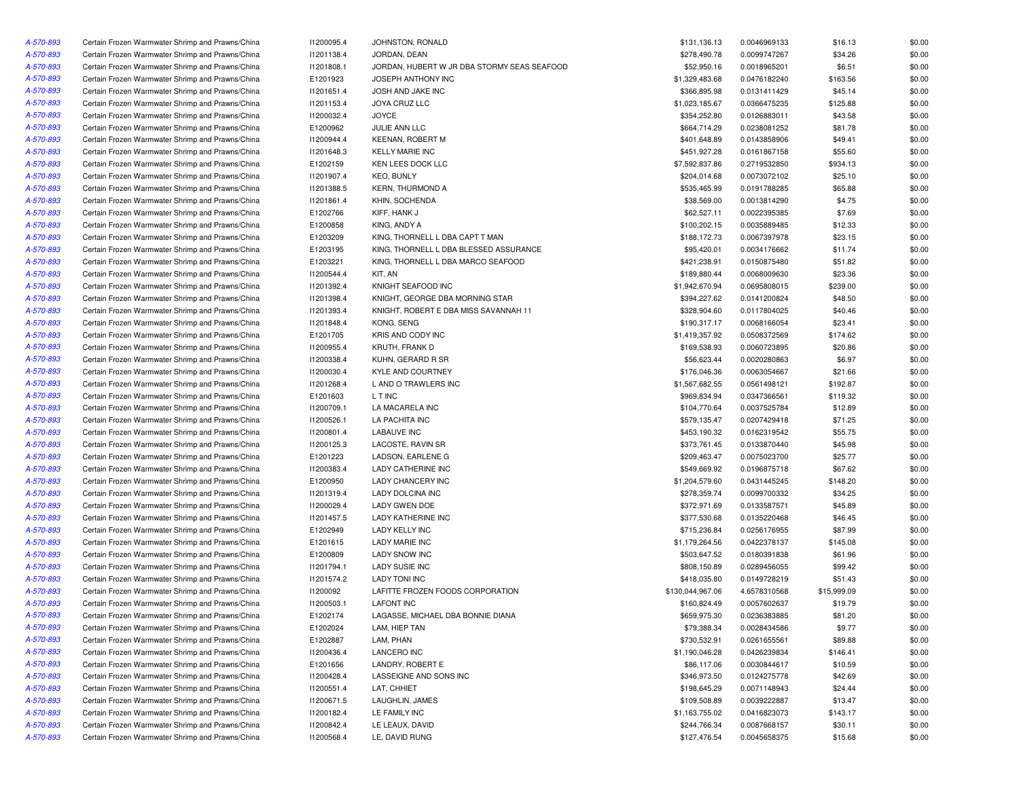| A-570-893 | Certain Frozen Warmwater Shrimp and Prawns/China | 11200095.4 | JOHNSTON, RONALD                            | \$131,136.13     | 0.0046969133 | \$16.13     | \$0.00 |
|-----------|--------------------------------------------------|------------|---------------------------------------------|------------------|--------------|-------------|--------|
| A-570-893 | Certain Frozen Warmwater Shrimp and Prawns/China | 11201138.4 | JORDAN, DEAN                                | \$278,490.78     | 0.0099747267 | \$34.26     | \$0.00 |
| A-570-893 | Certain Frozen Warmwater Shrimp and Prawns/China | 11201808.1 | JORDAN, HUBERT W JR DBA STORMY SEAS SEAFOOD | \$52,950.16      | 0.0018965201 | \$6.51      | \$0.00 |
| A-570-893 | Certain Frozen Warmwater Shrimp and Prawns/China | E1201923   | JOSEPH ANTHONY INC                          | \$1,329,483.68   | 0.0476182240 | \$163.56    | \$0.00 |
| A-570-893 | Certain Frozen Warmwater Shrimp and Prawns/China | 11201651.4 | JOSH AND JAKE INC                           | \$366,895.98     | 0.0131411429 | \$45.14     | \$0.00 |
| A-570-893 | Certain Frozen Warmwater Shrimp and Prawns/China | 11201153.4 | <b>JOYA CRUZ LLC</b>                        | \$1,023,185.67   | 0.0366475235 | \$125.88    | \$0.00 |
| A-570-893 | Certain Frozen Warmwater Shrimp and Prawns/China | 11200032.4 | JOYCE                                       | \$354,252.80     | 0.0126883011 | \$43.58     | \$0.00 |
| A-570-893 | Certain Frozen Warmwater Shrimp and Prawns/China | E1200962   | JULIE ANN LLC                               | \$664,714.29     | 0.0238081252 | \$81.78     | \$0.00 |
| A-570-893 | Certain Frozen Warmwater Shrimp and Prawns/China | 11200944.4 | <b>KEENAN, ROBERT M</b>                     | \$401,648.89     | 0.0143858906 | \$49.41     | \$0.00 |
| A-570-893 | Certain Frozen Warmwater Shrimp and Prawns/China | 11201648.3 | <b>KELLY MARIE INC</b>                      | \$451,927.28     | 0.0161867158 | \$55.60     | \$0.00 |
| A-570-893 | Certain Frozen Warmwater Shrimp and Prawns/China | E1202159   | KEN LEES DOCK LLC                           | \$7,592,837.86   | 0.2719532850 | \$934.13    | \$0.00 |
| A-570-893 | Certain Frozen Warmwater Shrimp and Prawns/China | 11201907.4 | <b>KEO, BUNLY</b>                           | \$204,014.68     | 0.0073072102 | \$25.10     | \$0.00 |
| A-570-893 | Certain Frozen Warmwater Shrimp and Prawns/China | 11201388.5 | <b>KERN, THURMOND A</b>                     | \$535,465.99     | 0.0191788285 | \$65.88     | \$0.00 |
|           |                                                  |            |                                             |                  |              |             |        |
| A-570-893 | Certain Frozen Warmwater Shrimp and Prawns/China | 11201861.4 | KHIN, SOCHENDA                              | \$38,569.00      | 0.0013814290 | \$4.75      | \$0.00 |
| A-570-893 | Certain Frozen Warmwater Shrimp and Prawns/China | E1202766   | KIFF, HANK J                                | \$62,527.11      | 0.0022395385 | \$7.69      | \$0.00 |
| A-570-893 | Certain Frozen Warmwater Shrimp and Prawns/China | E1200858   | KING, ANDY A                                | \$100,202.15     | 0.0035889485 | \$12.33     | \$0.00 |
| A-570-893 | Certain Frozen Warmwater Shrimp and Prawns/China | E1203209   | KING, THORNELL L DBA CAPT T MAN             | \$188,172.73     | 0.0067397978 | \$23.15     | \$0.00 |
| A-570-893 | Certain Frozen Warmwater Shrimp and Prawns/China | E1203195   | KING, THORNELL L DBA BLESSED ASSURANCE      | \$95,420.01      | 0.0034176662 | \$11.74     | \$0.00 |
| A-570-893 | Certain Frozen Warmwater Shrimp and Prawns/China | E1203221   | KING, THORNELL L DBA MARCO SEAFOOD          | \$421,238.91     | 0.0150875480 | \$51.82     | \$0.00 |
| A-570-893 | Certain Frozen Warmwater Shrimp and Prawns/China | 11200544.4 | KIT, AN                                     | \$189,880.44     | 0.0068009630 | \$23.36     | \$0.00 |
| A-570-893 | Certain Frozen Warmwater Shrimp and Prawns/China | 11201392.4 | KNIGHT SEAFOOD INC                          | \$1,942,670.94   | 0.0695808015 | \$239.00    | \$0.00 |
| A-570-893 | Certain Frozen Warmwater Shrimp and Prawns/China | 11201398.4 | KNIGHT, GEORGE DBA MORNING STAR             | \$394,227.62     | 0.0141200824 | \$48.50     | \$0.00 |
| A-570-893 | Certain Frozen Warmwater Shrimp and Prawns/China | 11201393.4 | KNIGHT, ROBERT E DBA MISS SAVANNAH 11       | \$328,904.60     | 0.0117804025 | \$40.46     | \$0.00 |
| A-570-893 | Certain Frozen Warmwater Shrimp and Prawns/China | 11201848.4 | KONG, SENG                                  | \$190,317.17     | 0.0068166054 | \$23.41     | \$0.00 |
| A-570-893 | Certain Frozen Warmwater Shrimp and Prawns/China | E1201705   | KRIS AND CODY INC                           | \$1,419,357.92   | 0.0508372569 | \$174.62    | \$0.00 |
| A-570-893 | Certain Frozen Warmwater Shrimp and Prawns/China | I1200955.4 | KRUTH, FRANK D                              | \$169,538.93     | 0.0060723895 | \$20.86     | \$0.00 |
| A-570-893 | Certain Frozen Warmwater Shrimp and Prawns/China | 11200338.4 | KUHN, GERARD R SR                           | \$56,623.44      | 0.0020280863 | \$6.97      | \$0.00 |
| A-570-893 | Certain Frozen Warmwater Shrimp and Prawns/China | 11200030.4 | KYLE AND COURTNEY                           | \$176,046.36     | 0.0063054667 | \$21.66     | \$0.00 |
| A-570-893 | Certain Frozen Warmwater Shrimp and Prawns/China | 11201268.4 | L AND O TRAWLERS INC                        | \$1,567,682.55   | 0.0561498121 | \$192.87    | \$0.00 |
| A-570-893 | Certain Frozen Warmwater Shrimp and Prawns/China | E1201603   | L T INC                                     | \$969,834.94     | 0.0347366561 | \$119.32    | \$0.00 |
| A-570-893 | Certain Frozen Warmwater Shrimp and Prawns/China | 11200709.1 | LA MACARELA INC                             | \$104,770.64     | 0.0037525784 | \$12.89     | \$0.00 |
| A-570-893 | Certain Frozen Warmwater Shrimp and Prawns/China | 11200526.1 | LA PACHITA INC                              | \$579,135.47     | 0.0207429418 | \$71.25     | \$0.00 |
| A-570-893 | Certain Frozen Warmwater Shrimp and Prawns/China | 11200801.4 | LABAUVE INC                                 | \$453,190.32     | 0.0162319542 | \$55.75     | \$0.00 |
| A-570-893 | Certain Frozen Warmwater Shrimp and Prawns/China | 11200125.3 | LACOSTE, RAVIN SR                           | \$373,761.45     | 0.0133870440 | \$45.98     | \$0.00 |
| A-570-893 | Certain Frozen Warmwater Shrimp and Prawns/China | E1201223   | LADSON, EARLENE G                           | \$209,463.47     | 0.0075023700 | \$25.77     | \$0.00 |
| A-570-893 | Certain Frozen Warmwater Shrimp and Prawns/China | 11200383.4 | <b>LADY CATHERINE INC</b>                   | \$549,669.92     | 0.0196875718 | \$67.62     | \$0.00 |
| A-570-893 | Certain Frozen Warmwater Shrimp and Prawns/China | E1200950   | <b>LADY CHANCERY INC</b>                    | \$1,204,579.60   | 0.0431445245 | \$148.20    | \$0.00 |
| A-570-893 |                                                  |            | LADY DOLCINA INC                            | \$278,359.74     |              | \$34.25     | \$0.00 |
|           | Certain Frozen Warmwater Shrimp and Prawns/China | 11201319.4 |                                             |                  | 0.0099700332 |             |        |
| A-570-893 | Certain Frozen Warmwater Shrimp and Prawns/China | 11200029.4 | LADY GWEN DOE                               | \$372,971.69     | 0.0133587571 | \$45.89     | \$0.00 |
| A-570-893 | Certain Frozen Warmwater Shrimp and Prawns/China | I1201457.5 | <b>LADY KATHERINE INC</b>                   | \$377,530.68     | 0.0135220468 | \$46.45     | \$0.00 |
| A-570-893 | Certain Frozen Warmwater Shrimp and Prawns/China | E1202949   | LADY KELLY INC                              | \$715,236.84     | 0.0256176955 | \$87.99     | \$0.00 |
| A-570-893 | Certain Frozen Warmwater Shrimp and Prawns/China | E1201615   | <b>LADY MARIE INC</b>                       | \$1,179,264.56   | 0.0422378137 | \$145.08    | \$0.00 |
| A-570-893 | Certain Frozen Warmwater Shrimp and Prawns/China | E1200809   | <b>LADY SNOW INC</b>                        | \$503,647.52     | 0.0180391838 | \$61.96     | \$0.00 |
| A-570-893 | Certain Frozen Warmwater Shrimp and Prawns/China | 11201794.1 | <b>LADY SUSIE INC</b>                       | \$808,150.89     | 0.0289456055 | \$99.42     | \$0.00 |
| A-570-893 | Certain Frozen Warmwater Shrimp and Prawns/China | 11201574.2 | <b>LADY TONI INC</b>                        | \$418,035.80     | 0.0149728219 | \$51.43     | \$0.00 |
| A-570-893 | Certain Frozen Warmwater Shrimp and Prawns/China | 11200092   | LAFITTE FROZEN FOODS CORPORATION            | \$130,044,967.06 | 4.6578310568 | \$15,999.09 | \$0.00 |
| A-570-893 | Certain Frozen Warmwater Shrimp and Prawns/China | 11200503.1 | <b>LAFONT INC</b>                           | \$160,824.49     | 0.0057602637 | \$19.79     | \$0.00 |
| A-570-893 | Certain Frozen Warmwater Shrimp and Prawns/China | E1202174   | LAGASSE, MICHAEL DBA BONNIE DIANA           | \$659,975.30     | 0.0236383885 | \$81.20     | \$0.00 |
| A-570-893 | Certain Frozen Warmwater Shrimp and Prawns/China | E1202024   | LAM, HIEP TAN                               | \$79,388.34      | 0.0028434586 | \$9.77      | \$0.00 |
| A-570-893 | Certain Frozen Warmwater Shrimp and Prawns/China | E1202887   | LAM, PHAN                                   | \$730,532.91     | 0.0261655561 | \$89.88     | \$0.00 |
| A-570-893 | Certain Frozen Warmwater Shrimp and Prawns/China | 11200436.4 | LANCERO INC                                 | \$1,190,046.28   | 0.0426239834 | \$146.41    | \$0.00 |
| A-570-893 | Certain Frozen Warmwater Shrimp and Prawns/China | E1201656   | LANDRY, ROBERT E                            | \$86,117.06      | 0.0030844617 | \$10.59     | \$0.00 |
| A-570-893 | Certain Frozen Warmwater Shrimp and Prawns/China | 11200428.4 | LASSEIGNE AND SONS INC                      | \$346,973.50     | 0.0124275778 | \$42.69     | \$0.00 |
| A-570-893 | Certain Frozen Warmwater Shrimp and Prawns/China | 11200551.4 | LAT, CHHIET                                 | \$198,645.29     | 0.0071148943 | \$24.44     | \$0.00 |
| A-570-893 | Certain Frozen Warmwater Shrimp and Prawns/China | 11200671.5 | LAUGHLIN, JAMES                             | \$109,508.89     | 0.0039222887 | \$13.47     | \$0.00 |
| A-570-893 | Certain Frozen Warmwater Shrimp and Prawns/China | 11200182.4 | LE FAMILY INC                               | \$1,163,755.02   | 0.0416823073 | \$143.17    | \$0.00 |
| A-570-893 | Certain Frozen Warmwater Shrimp and Prawns/China | 11200842.4 | LE LEAUX, DAVID                             | \$244,766.34     | 0.0087668157 | \$30.11     | \$0.00 |
| A-570-893 | Certain Frozen Warmwater Shrimp and Prawns/China | 11200568.4 | LE, DAVID RUNG                              | \$127,476.54     | 0.0045658375 | \$15.68     | \$0.00 |
|           |                                                  |            |                                             |                  |              |             |        |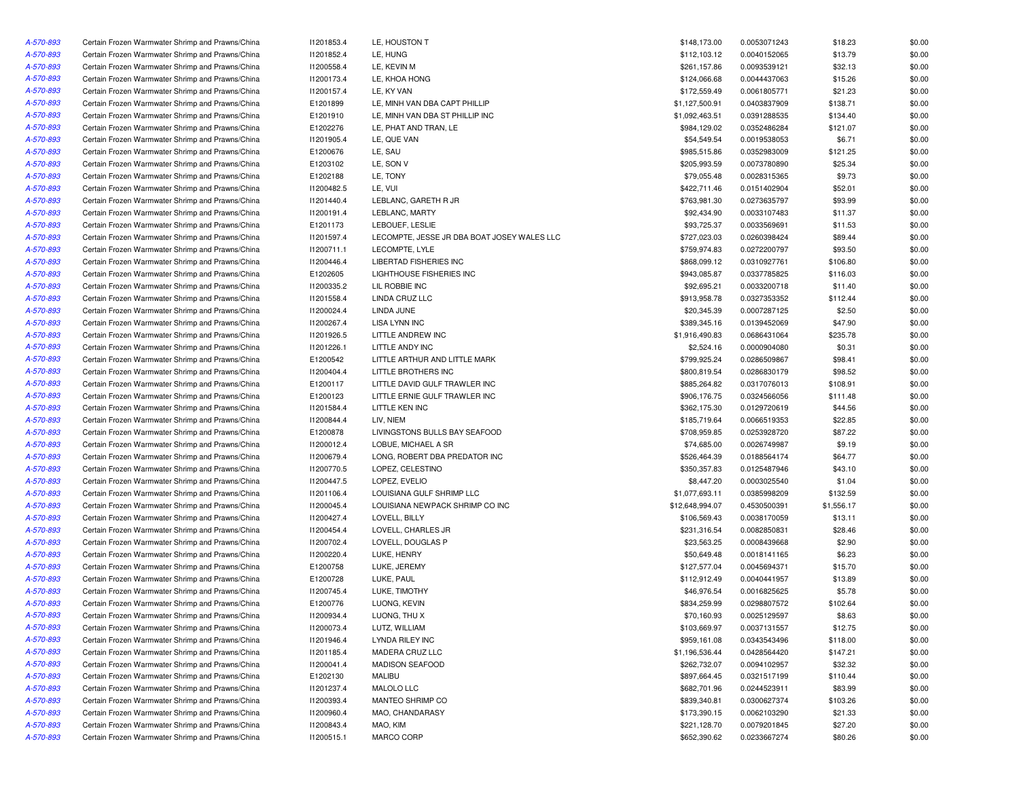| A-570-893 | Certain Frozen Warmwater Shrimp and Prawns/China | 11201853.4 | LE, HOUSTON T                               | \$148,173.00    | 0.0053071243 | \$18.23    | \$0.00 |
|-----------|--------------------------------------------------|------------|---------------------------------------------|-----------------|--------------|------------|--------|
| A-570-893 | Certain Frozen Warmwater Shrimp and Prawns/China | 11201852.4 | LE, HUNG                                    | \$112,103.12    | 0.0040152065 | \$13.79    | \$0.00 |
| A-570-893 | Certain Frozen Warmwater Shrimp and Prawns/China | 11200558.4 | LE, KEVIN M                                 | \$261,157.86    | 0.0093539121 | \$32.13    | \$0.00 |
| A-570-893 | Certain Frozen Warmwater Shrimp and Prawns/China | 11200173.4 | LE, KHOA HONG                               | \$124,066.68    | 0.0044437063 | \$15.26    | \$0.00 |
| A-570-893 | Certain Frozen Warmwater Shrimp and Prawns/China | 11200157.4 | LE, KY VAN                                  | \$172,559.49    | 0.0061805771 | \$21.23    | \$0.00 |
| A-570-893 | Certain Frozen Warmwater Shrimp and Prawns/China | E1201899   | LE, MINH VAN DBA CAPT PHILLIP               | \$1,127,500.91  | 0.0403837909 | \$138.71   | \$0.00 |
| A-570-893 | Certain Frozen Warmwater Shrimp and Prawns/China | E1201910   | LE, MINH VAN DBA ST PHILLIP INC             | \$1,092,463.51  | 0.0391288535 | \$134.40   | \$0.00 |
| A-570-893 | Certain Frozen Warmwater Shrimp and Prawns/China | E1202276   | LE, PHAT AND TRAN, LE                       | \$984,129.02    | 0.0352486284 | \$121.07   | \$0.00 |
| A-570-893 | Certain Frozen Warmwater Shrimp and Prawns/China | 11201905.4 | LE, QUE VAN                                 | \$54,549.54     | 0.0019538053 | \$6.71     | \$0.00 |
| A-570-893 | Certain Frozen Warmwater Shrimp and Prawns/China | E1200676   | LE, SAU                                     | \$985,515.86    | 0.0352983009 | \$121.25   | \$0.00 |
| A-570-893 | Certain Frozen Warmwater Shrimp and Prawns/China | E1203102   | LE, SON V                                   | \$205,993.59    | 0.0073780890 | \$25.34    | \$0.00 |
| A-570-893 | Certain Frozen Warmwater Shrimp and Prawns/China | E1202188   | LE, TONY                                    | \$79,055.48     | 0.0028315365 | \$9.73     | \$0.00 |
| A-570-893 | Certain Frozen Warmwater Shrimp and Prawns/China | I1200482.5 | LE, VUI                                     | \$422,711.46    | 0.0151402904 | \$52.01    | \$0.00 |
| A-570-893 | Certain Frozen Warmwater Shrimp and Prawns/China | 11201440.4 | LEBLANC, GARETH R JR                        | \$763,981.30    | 0.0273635797 | \$93.99    | \$0.00 |
| A-570-893 | Certain Frozen Warmwater Shrimp and Prawns/China | 11200191.4 | LEBLANC, MARTY                              | \$92,434.90     | 0.0033107483 | \$11.37    | \$0.00 |
| A-570-893 | Certain Frozen Warmwater Shrimp and Prawns/China | E1201173   | LEBOUEF, LESLIE                             | \$93,725.37     | 0.0033569691 | \$11.53    | \$0.00 |
| A-570-893 | Certain Frozen Warmwater Shrimp and Prawns/China | 11201597.4 | LECOMPTE, JESSE JR DBA BOAT JOSEY WALES LLC | \$727,023.03    | 0.0260398424 | \$89.44    | \$0.00 |
| A-570-893 | Certain Frozen Warmwater Shrimp and Prawns/China | 11200711.1 | LECOMPTE, LYLE                              | \$759,974.83    | 0.0272200797 | \$93.50    | \$0.00 |
|           | Certain Frozen Warmwater Shrimp and Prawns/China | I1200446.4 | LIBERTAD FISHERIES INC                      | \$868,099.12    | 0.0310927761 | \$106.80   | \$0.00 |
| A-570-893 |                                                  |            |                                             |                 |              |            |        |
| A-570-893 | Certain Frozen Warmwater Shrimp and Prawns/China | E1202605   | LIGHTHOUSE FISHERIES INC                    | \$943,085.87    | 0.0337785825 | \$116.03   | \$0.00 |
| A-570-893 | Certain Frozen Warmwater Shrimp and Prawns/China | 11200335.2 | LIL ROBBIE INC                              | \$92,695.21     | 0.0033200718 | \$11.40    | \$0.00 |
| A-570-893 | Certain Frozen Warmwater Shrimp and Prawns/China | 11201558.4 | LINDA CRUZ LLC                              | \$913,958.78    | 0.0327353352 | \$112.44   | \$0.00 |
| A-570-893 | Certain Frozen Warmwater Shrimp and Prawns/China | 11200024.4 | LINDA JUNE                                  | \$20,345.39     | 0.0007287125 | \$2.50     | \$0.00 |
| A-570-893 | Certain Frozen Warmwater Shrimp and Prawns/China | 11200267.4 | <b>LISA LYNN INC</b>                        | \$389,345.16    | 0.0139452069 | \$47.90    | \$0.00 |
| A-570-893 | Certain Frozen Warmwater Shrimp and Prawns/China | 11201926.5 | LITTLE ANDREW INC                           | \$1,916,490.83  | 0.0686431064 | \$235.78   | \$0.00 |
| A-570-893 | Certain Frozen Warmwater Shrimp and Prawns/China | 11201226.1 | LITTLE ANDY INC                             | \$2,524.16      | 0.0000904080 | \$0.31     | \$0.00 |
| A-570-893 | Certain Frozen Warmwater Shrimp and Prawns/China | E1200542   | LITTLE ARTHUR AND LITTLE MARK               | \$799.925.24    | 0.0286509867 | \$98.41    | \$0.00 |
| A-570-893 | Certain Frozen Warmwater Shrimp and Prawns/China | I1200404.4 | LITTLE BROTHERS INC                         | \$800,819.54    | 0.0286830179 | \$98.52    | \$0.00 |
| A-570-893 | Certain Frozen Warmwater Shrimp and Prawns/China | E1200117   | LITTLE DAVID GULF TRAWLER INC               | \$885,264.82    | 0.0317076013 | \$108.91   | \$0.00 |
| A-570-893 | Certain Frozen Warmwater Shrimp and Prawns/China | E1200123   | LITTLE ERNIE GULF TRAWLER INC               | \$906,176.75    | 0.0324566056 | \$111.48   | \$0.00 |
| A-570-893 | Certain Frozen Warmwater Shrimp and Prawns/China | 11201584.4 | LITTLE KEN INC                              | \$362,175.30    | 0.0129720619 | \$44.56    | \$0.00 |
| A-570-893 | Certain Frozen Warmwater Shrimp and Prawns/China | 11200844.4 | LIV, NIEM                                   | \$185,719.64    | 0.0066519353 | \$22.85    | \$0.00 |
| A-570-893 | Certain Frozen Warmwater Shrimp and Prawns/China | E1200878   | LIVINGSTONS BULLS BAY SEAFOOD               | \$708,959.85    | 0.0253928720 | \$87.22    | \$0.00 |
| A-570-893 | Certain Frozen Warmwater Shrimp and Prawns/China | 11200012.4 | LOBUE, MICHAEL A SR                         | \$74,685.00     | 0.0026749987 | \$9.19     | \$0.00 |
| A-570-893 | Certain Frozen Warmwater Shrimp and Prawns/China | 11200679.4 | LONG, ROBERT DBA PREDATOR INC               | \$526,464.39    | 0.0188564174 | \$64.77    | \$0.00 |
| A-570-893 | Certain Frozen Warmwater Shrimp and Prawns/China | I1200770.5 | LOPEZ, CELESTINO                            | \$350,357.83    | 0.0125487946 | \$43.10    | \$0.00 |
| A-570-893 | Certain Frozen Warmwater Shrimp and Prawns/China | I1200447.5 | LOPEZ, EVELIO                               | \$8,447.20      | 0.0003025540 | \$1.04     | \$0.00 |
| A-570-893 | Certain Frozen Warmwater Shrimp and Prawns/China | 11201106.4 | LOUISIANA GULF SHRIMP LLC                   | \$1,077,693.11  | 0.0385998209 | \$132.59   | \$0.00 |
| A-570-893 | Certain Frozen Warmwater Shrimp and Prawns/China | I1200045.4 | LOUISIANA NEWPACK SHRIMP CO INC             | \$12,648,994.07 | 0.4530500391 | \$1,556.17 | \$0.00 |
| A-570-893 | Certain Frozen Warmwater Shrimp and Prawns/China | I1200427.4 | LOVELL, BILLY                               | \$106,569.43    | 0.0038170059 | \$13.11    | \$0.00 |
| A-570-893 | Certain Frozen Warmwater Shrimp and Prawns/China | 11200454.4 | LOVELL, CHARLES JR                          | \$231,316.54    | 0.0082850831 | \$28.46    | \$0.00 |
| A-570-893 | Certain Frozen Warmwater Shrimp and Prawns/China | I1200702.4 | LOVELL, DOUGLAS P                           | \$23,563.25     | 0.0008439668 | \$2.90     | \$0.00 |
| A-570-893 | Certain Frozen Warmwater Shrimp and Prawns/China | I1200220.4 | LUKE, HENRY                                 | \$50,649.48     | 0.0018141165 | \$6.23     | \$0.00 |
| A-570-893 | Certain Frozen Warmwater Shrimp and Prawns/China | E1200758   | LUKE, JEREMY                                | \$127,577.04    | 0.0045694371 | \$15.70    | \$0.00 |
| A-570-893 | Certain Frozen Warmwater Shrimp and Prawns/China | E1200728   | LUKE, PAUL                                  | \$112,912.49    | 0.0040441957 | \$13.89    | \$0.00 |
| A-570-893 | Certain Frozen Warmwater Shrimp and Prawns/China | I1200745.4 | LUKE, TIMOTHY                               | \$46,976.54     | 0.0016825625 | \$5.78     | \$0.00 |
| A-570-893 | Certain Frozen Warmwater Shrimp and Prawns/China | E1200776   | LUONG, KEVIN                                | \$834,259.99    | 0.0298807572 | \$102.64   | \$0.00 |
|           |                                                  |            |                                             | \$70,160.93     |              |            |        |
| A-570-893 | Certain Frozen Warmwater Shrimp and Prawns/China | 11200934.4 | LUONG, THU X                                |                 | 0.0025129597 | \$8.63     | \$0.00 |
| A-570-893 | Certain Frozen Warmwater Shrimp and Prawns/China | 11200073.4 | LUTZ, WILLIAM                               | \$103,669.97    | 0.0037131557 | \$12.75    | \$0.00 |
| A-570-893 | Certain Frozen Warmwater Shrimp and Prawns/China | 11201946.4 | LYNDA RILEY INC                             | \$959,161.08    | 0.0343543496 | \$118.00   | \$0.00 |
| A-570-893 | Certain Frozen Warmwater Shrimp and Prawns/China | 11201185.4 | MADERA CRUZ LLC                             | \$1,196,536.44  | 0.0428564420 | \$147.21   | \$0.00 |
| A-570-893 | Certain Frozen Warmwater Shrimp and Prawns/China | 11200041.4 | MADISON SEAFOOD                             | \$262,732.07    | 0.0094102957 | \$32.32    | \$0.00 |
| A-570-893 | Certain Frozen Warmwater Shrimp and Prawns/China | E1202130   | MALIBU                                      | \$897,664.45    | 0.0321517199 | \$110.44   | \$0.00 |
| A-570-893 | Certain Frozen Warmwater Shrimp and Prawns/China | 11201237.4 | MALOLO LLC                                  | \$682,701.96    | 0.0244523911 | \$83.99    | \$0.00 |
| A-570-893 | Certain Frozen Warmwater Shrimp and Prawns/China | 11200393.4 | MANTEO SHRIMP CO                            | \$839,340.81    | 0.0300627374 | \$103.26   | \$0.00 |
| A-570-893 | Certain Frozen Warmwater Shrimp and Prawns/China | 11200960.4 | MAO, CHANDARASY                             | \$173,390.15    | 0.0062103290 | \$21.33    | \$0.00 |
| A-570-893 | Certain Frozen Warmwater Shrimp and Prawns/China | 11200843.4 | MAO, KIM                                    | \$221,128.70    | 0.0079201845 | \$27.20    | \$0.00 |
| A-570-893 | Certain Frozen Warmwater Shrimp and Prawns/China | 11200515.1 | MARCO CORP                                  | \$652,390.62    | 0.0233667274 | \$80.26    | \$0.00 |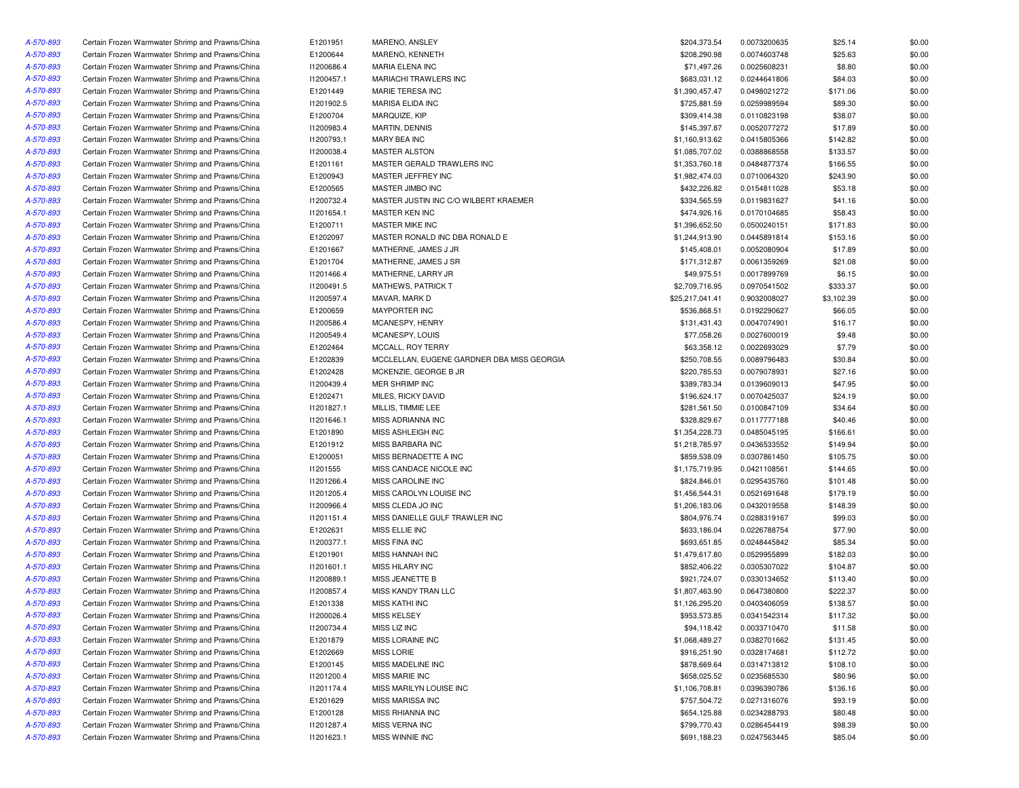| A-570-893 | Certain Frozen Warmwater Shrimp and Prawns/China                                                     | E1201951   | MARENO, ANSLEY                             | \$204,373.54    | 0.0073200635                 | \$25.14    | \$0.00 |
|-----------|------------------------------------------------------------------------------------------------------|------------|--------------------------------------------|-----------------|------------------------------|------------|--------|
| A-570-893 | Certain Frozen Warmwater Shrimp and Prawns/China                                                     | E1200644   | MARENO, KENNETH                            | \$208,290.98    | 0.0074603748                 | \$25.63    | \$0.00 |
| A-570-893 | Certain Frozen Warmwater Shrimp and Prawns/China                                                     | 11200686.4 | MARIA ELENA INC                            | \$71,497.26     | 0.0025608231                 | \$8.80     | \$0.00 |
| A-570-893 | Certain Frozen Warmwater Shrimp and Prawns/China                                                     | 11200457.1 | MARIACHI TRAWLERS INC                      | \$683,031.12    | 0.0244641806                 | \$84.03    | \$0.00 |
| A-570-893 | Certain Frozen Warmwater Shrimp and Prawns/China                                                     | E1201449   | MARIE TERESA INC                           | \$1,390,457.47  | 0.0498021272                 | \$171.06   | \$0.00 |
| A-570-893 | Certain Frozen Warmwater Shrimp and Prawns/China                                                     | I1201902.5 | <b>MARISA ELIDA INC</b>                    | \$725,881.59    | 0.0259989594                 | \$89.30    | \$0.00 |
| A-570-893 | Certain Frozen Warmwater Shrimp and Prawns/China                                                     | E1200704   | MARQUIZE, KIP                              | \$309,414.38    | 0.0110823198                 | \$38.07    | \$0.00 |
| A-570-893 | Certain Frozen Warmwater Shrimp and Prawns/China                                                     | 11200983.4 | <b>MARTIN, DENNIS</b>                      | \$145,397.87    | 0.0052077272                 | \$17.89    | \$0.00 |
| A-570-893 | Certain Frozen Warmwater Shrimp and Prawns/China                                                     | 11200793.1 | MARY BEA INC                               | \$1,160,913.62  | 0.0415805366                 | \$142.82   | \$0.00 |
| A-570-893 | Certain Frozen Warmwater Shrimp and Prawns/China                                                     | 11200038.4 | <b>MASTER ALSTON</b>                       | \$1,085,707.02  | 0.0388868558                 | \$133.57   | \$0.00 |
| A-570-893 | Certain Frozen Warmwater Shrimp and Prawns/China                                                     | E1201161   | MASTER GERALD TRAWLERS INC                 | \$1,353,760.18  | 0.0484877374                 | \$166.55   | \$0.00 |
| A-570-893 | Certain Frozen Warmwater Shrimp and Prawns/China                                                     | E1200943   | MASTER JEFFREY INC                         | \$1,982,474.03  | 0.0710064320                 | \$243.90   | \$0.00 |
| A-570-893 | Certain Frozen Warmwater Shrimp and Prawns/China                                                     | E1200565   | MASTER JIMBO INC                           | \$432,226.82    | 0.0154811028                 | \$53.18    | \$0.00 |
| A-570-893 | Certain Frozen Warmwater Shrimp and Prawns/China                                                     | 11200732.4 | MASTER JUSTIN INC C/O WILBERT KRAEMER      | \$334,565.59    | 0.0119831627                 | \$41.16    | \$0.00 |
| A-570-893 | Certain Frozen Warmwater Shrimp and Prawns/China                                                     | 11201654.1 | MASTER KEN INC                             | \$474,926.16    | 0.0170104685                 | \$58.43    | \$0.00 |
| A-570-893 | Certain Frozen Warmwater Shrimp and Prawns/China                                                     | E1200711   | MASTER MIKE INC                            | \$1,396,652.50  | 0.0500240151                 | \$171.83   | \$0.00 |
| A-570-893 | Certain Frozen Warmwater Shrimp and Prawns/China                                                     | E1202097   | MASTER RONALD INC DBA RONALD E             | \$1,244,913.90  | 0.0445891814                 | \$153.16   | \$0.00 |
| A-570-893 | Certain Frozen Warmwater Shrimp and Prawns/China                                                     | E1201667   | MATHERNE, JAMES J JR                       | \$145,408.01    | 0.0052080904                 | \$17.89    | \$0.00 |
| A-570-893 | Certain Frozen Warmwater Shrimp and Prawns/China                                                     | E1201704   | MATHERNE, JAMES J SR                       | \$171,312.87    | 0.0061359269                 | \$21.08    | \$0.00 |
| A-570-893 | Certain Frozen Warmwater Shrimp and Prawns/China                                                     | 11201466.4 | MATHERNE, LARRY JR                         | \$49,975.51     | 0.0017899769                 | \$6.15     | \$0.00 |
| A-570-893 | Certain Frozen Warmwater Shrimp and Prawns/China                                                     | I1200491.5 | MATHEWS, PATRICK T                         | \$2,709,716.95  | 0.0970541502                 | \$333.37   | \$0.00 |
| A-570-893 | Certain Frozen Warmwater Shrimp and Prawns/China                                                     | I1200597.4 | MAVAR, MARK D                              | \$25,217,041.41 | 0.9032008027                 | \$3,102.39 | \$0.00 |
|           |                                                                                                      |            |                                            |                 |                              |            |        |
| A-570-893 | Certain Frozen Warmwater Shrimp and Prawns/China<br>Certain Frozen Warmwater Shrimp and Prawns/China | E1200659   | MAYPORTER INC                              | \$536,868.51    | 0.0192290627<br>0.0047074901 | \$66.05    | \$0.00 |
| A-570-893 |                                                                                                      | 11200586.4 | MCANESPY, HENRY                            | \$131,431.43    |                              | \$16.17    | \$0.00 |
| A-570-893 | Certain Frozen Warmwater Shrimp and Prawns/China                                                     | 11200549.4 | MCANESPY, LOUIS                            | \$77,058.26     | 0.0027600019                 | \$9.48     | \$0.00 |
| A-570-893 | Certain Frozen Warmwater Shrimp and Prawns/China                                                     | E1202464   | MCCALL, ROY TERRY                          | \$63,358.12     | 0.0022693029                 | \$7.79     | \$0.00 |
| A-570-893 | Certain Frozen Warmwater Shrimp and Prawns/China                                                     | E1202839   | MCCLELLAN, EUGENE GARDNER DBA MISS GEORGIA | \$250,708.55    | 0.0089796483                 | \$30.84    | \$0.00 |
| A-570-893 | Certain Frozen Warmwater Shrimp and Prawns/China                                                     | E1202428   | MCKENZIE, GEORGE B JR                      | \$220,785.53    | 0.0079078931                 | \$27.16    | \$0.00 |
| A-570-893 | Certain Frozen Warmwater Shrimp and Prawns/China                                                     | 11200439.4 | MER SHRIMP INC                             | \$389,783.34    | 0.0139609013                 | \$47.95    | \$0.00 |
| A-570-893 | Certain Frozen Warmwater Shrimp and Prawns/China                                                     | E1202471   | MILES, RICKY DAVID                         | \$196,624.17    | 0.0070425037                 | \$24.19    | \$0.00 |
| A-570-893 | Certain Frozen Warmwater Shrimp and Prawns/China                                                     | 11201827.1 | MILLIS, TIMMIE LEE                         | \$281,561.50    | 0.0100847109                 | \$34.64    | \$0.00 |
| A-570-893 | Certain Frozen Warmwater Shrimp and Prawns/China                                                     | 11201646.1 | MISS ADRIANNA INC                          | \$328,829.67    | 0.0117777188                 | \$40.46    | \$0.00 |
| A-570-893 | Certain Frozen Warmwater Shrimp and Prawns/China                                                     | E1201890   | MISS ASHLEIGH INC                          | \$1,354,228.73  | 0.0485045195                 | \$166.61   | \$0.00 |
| A-570-893 | Certain Frozen Warmwater Shrimp and Prawns/China                                                     | E1201912   | MISS BARBARA INC                           | \$1,218,785.97  | 0.0436533552                 | \$149.94   | \$0.00 |
| A-570-893 | Certain Frozen Warmwater Shrimp and Prawns/China                                                     | E1200051   | MISS BERNADETTE A INC                      | \$859,538.09    | 0.0307861450                 | \$105.75   | \$0.00 |
| A-570-893 | Certain Frozen Warmwater Shrimp and Prawns/China                                                     | I1201555   | MISS CANDACE NICOLE INC                    | \$1,175,719.95  | 0.0421108561                 | \$144.65   | \$0.00 |
| A-570-893 | Certain Frozen Warmwater Shrimp and Prawns/China                                                     | 11201266.4 | MISS CAROLINE INC                          | \$824,846.01    | 0.0295435760                 | \$101.48   | \$0.00 |
| A-570-893 | Certain Frozen Warmwater Shrimp and Prawns/China                                                     | 11201205.4 | MISS CAROLYN LOUISE INC                    | \$1,456,544.31  | 0.0521691648                 | \$179.19   | \$0.00 |
| A-570-893 | Certain Frozen Warmwater Shrimp and Prawns/China                                                     | 11200966.4 | MISS CLEDA JO INC                          | \$1,206,183.06  | 0.0432019558                 | \$148.39   | \$0.00 |
| A-570-893 | Certain Frozen Warmwater Shrimp and Prawns/China                                                     | 11201151.4 | MISS DANIELLE GULF TRAWLER INC             | \$804,976.74    | 0.0288319167                 | \$99.03    | \$0.00 |
| A-570-893 | Certain Frozen Warmwater Shrimp and Prawns/China                                                     | E1202631   | MISS ELLIE INC                             | \$633,186.04    | 0.0226788754                 | \$77.90    | \$0.00 |
| A-570-893 | Certain Frozen Warmwater Shrimp and Prawns/China                                                     | 11200377.1 | <b>MISS FINA INC</b>                       | \$693,651.85    | 0.0248445842                 | \$85.34    | \$0.00 |
| A-570-893 | Certain Frozen Warmwater Shrimp and Prawns/China                                                     | E1201901   | MISS HANNAH INC                            | \$1,479,617.80  | 0.0529955899                 | \$182.03   | \$0.00 |
| A-570-893 | Certain Frozen Warmwater Shrimp and Prawns/China                                                     | 11201601.1 | MISS HILARY INC                            | \$852,406.22    | 0.0305307022                 | \$104.87   | \$0.00 |
| A-570-893 | Certain Frozen Warmwater Shrimp and Prawns/China                                                     | 11200889.1 | MISS JEANETTE B                            | \$921,724.07    | 0.0330134652                 | \$113.40   | \$0.00 |
| A-570-893 | Certain Frozen Warmwater Shrimp and Prawns/China                                                     | I1200857.4 | MISS KANDY TRAN LLC                        | \$1,807,463.90  | 0.0647380800                 | \$222.37   | \$0.00 |
| A-570-893 | Certain Frozen Warmwater Shrimp and Prawns/China                                                     | E1201338   | <b>MISS KATHI INC</b>                      | \$1,126,295.20  | 0.0403406059                 | \$138.57   | \$0.00 |
| A-570-893 | Certain Frozen Warmwater Shrimp and Prawns/China                                                     | 11200026.4 | MISS KELSEY                                | \$953,573.85    | 0.0341542314                 | \$117.32   | \$0.00 |
| A-570-893 | Certain Frozen Warmwater Shrimp and Prawns/China                                                     | 11200734.4 | MISS LIZ INC                               | \$94,118.42     | 0.0033710470                 | \$11.58    | \$0.00 |
| A-570-893 | Certain Frozen Warmwater Shrimp and Prawns/China                                                     | E1201879   | MISS LORAINE INC                           | \$1,068,489.27  | 0.0382701662                 | \$131.45   | \$0.00 |
| A-570-893 | Certain Frozen Warmwater Shrimp and Prawns/China                                                     | E1202669   | <b>MISS LORIE</b>                          | \$916,251.90    | 0.0328174681                 | \$112.72   | \$0.00 |
| A-570-893 | Certain Frozen Warmwater Shrimp and Prawns/China                                                     | E1200145   | MISS MADELINE INC                          | \$878,669.64    | 0.0314713812                 | \$108.10   | \$0.00 |
| A-570-893 | Certain Frozen Warmwater Shrimp and Prawns/China                                                     | 11201200.4 | MISS MARIE INC                             | \$658,025.52    | 0.0235685530                 | \$80.96    | \$0.00 |
| A-570-893 | Certain Frozen Warmwater Shrimp and Prawns/China                                                     | 11201174.4 | MISS MARILYN LOUISE INC                    | \$1,106,708.81  | 0.0396390786                 | \$136.16   | \$0.00 |
| A-570-893 | Certain Frozen Warmwater Shrimp and Prawns/China                                                     | E1201629   | MISS MARISSA INC                           | \$757,504.72    | 0.0271316076                 | \$93.19    | \$0.00 |
| A-570-893 | Certain Frozen Warmwater Shrimp and Prawns/China                                                     | E1200128   | MISS RHIANNA INC                           | \$654,125.88    | 0.0234288793                 | \$80.48    | \$0.00 |
| A-570-893 | Certain Frozen Warmwater Shrimp and Prawns/China                                                     | 11201287.4 | MISS VERNA INC                             | \$799,770.43    | 0.0286454419                 | \$98.39    | \$0.00 |
| A-570-893 | Certain Frozen Warmwater Shrimp and Prawns/China                                                     | 11201623.1 | MISS WINNIE INC                            | \$691,188.23    | 0.0247563445                 | \$85.04    | \$0.00 |
|           |                                                                                                      |            |                                            |                 |                              |            |        |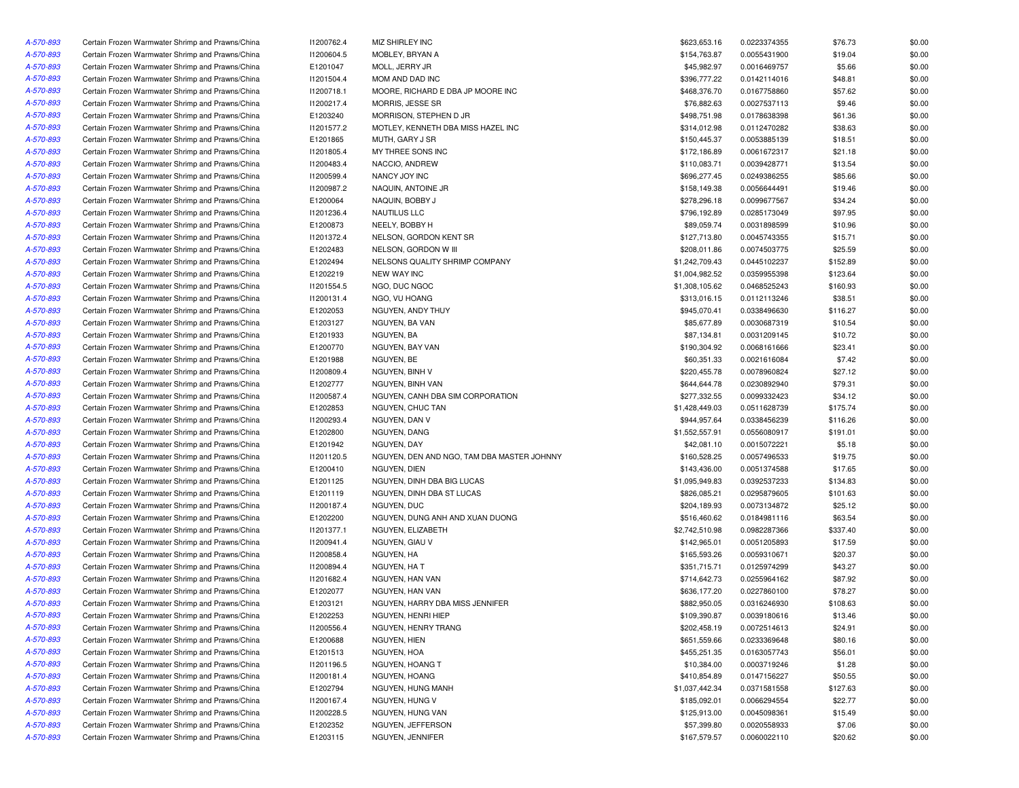| A-570-893 | Certain Frozen Warmwater Shrimp and Prawns/China                                                     | 11200762.4 | MIZ SHIRLEY INC                            | \$623,653.16   | 0.0223374355 | \$76.73  | \$0.00 |
|-----------|------------------------------------------------------------------------------------------------------|------------|--------------------------------------------|----------------|--------------|----------|--------|
| A-570-893 | Certain Frozen Warmwater Shrimp and Prawns/China                                                     | I1200604.5 | MOBLEY, BRYAN A                            | \$154,763.87   | 0.0055431900 | \$19.04  | \$0.00 |
| A-570-893 | Certain Frozen Warmwater Shrimp and Prawns/China                                                     | E1201047   | MOLL, JERRY JR                             | \$45,982.97    | 0.0016469757 | \$5.66   | \$0.00 |
| A-570-893 | Certain Frozen Warmwater Shrimp and Prawns/China                                                     | 11201504.4 | MOM AND DAD INC                            | \$396,777.22   | 0.0142114016 | \$48.81  | \$0.00 |
| A-570-893 | Certain Frozen Warmwater Shrimp and Prawns/China                                                     | 11200718.1 | MOORE, RICHARD E DBA JP MOORE INC          | \$468,376.70   | 0.0167758860 | \$57.62  | \$0.00 |
| A-570-893 | Certain Frozen Warmwater Shrimp and Prawns/China                                                     | 11200217.4 | MORRIS, JESSE SR                           | \$76,882.63    | 0.0027537113 | \$9.46   | \$0.00 |
| A-570-893 | Certain Frozen Warmwater Shrimp and Prawns/China                                                     | E1203240   | MORRISON, STEPHEN D JR                     | \$498,751.98   | 0.0178638398 | \$61.36  | \$0.00 |
| A-570-893 | Certain Frozen Warmwater Shrimp and Prawns/China                                                     | 11201577.2 | MOTLEY, KENNETH DBA MISS HAZEL INC         | \$314,012.98   | 0.0112470282 | \$38.63  | \$0.00 |
| A-570-893 | Certain Frozen Warmwater Shrimp and Prawns/China                                                     | E1201865   | MUTH, GARY J SR                            | \$150,445.37   | 0.0053885139 | \$18.51  | \$0.00 |
| A-570-893 | Certain Frozen Warmwater Shrimp and Prawns/China                                                     | 11201805.4 | MY THREE SONS INC                          | \$172,186.89   | 0.0061672317 | \$21.18  | \$0.00 |
| A-570-893 | Certain Frozen Warmwater Shrimp and Prawns/China                                                     | 11200483.4 | NACCIO, ANDREW                             | \$110,083.71   | 0.0039428771 | \$13.54  | \$0.00 |
| A-570-893 | Certain Frozen Warmwater Shrimp and Prawns/China                                                     | 11200599.4 | NANCY JOY INC                              | \$696,277.45   | 0.0249386255 | \$85.66  | \$0.00 |
| A-570-893 | Certain Frozen Warmwater Shrimp and Prawns/China                                                     | 11200987.2 | NAQUIN, ANTOINE JR                         | \$158,149.38   | 0.0056644491 | \$19.46  | \$0.00 |
| A-570-893 | Certain Frozen Warmwater Shrimp and Prawns/China                                                     | E1200064   | NAQUIN, BOBBY J                            | \$278,296.18   | 0.0099677567 | \$34.24  | \$0.00 |
| A-570-893 | Certain Frozen Warmwater Shrimp and Prawns/China                                                     | 11201236.4 | NAUTILUS LLC                               | \$796,192.89   | 0.0285173049 | \$97.95  | \$0.00 |
| A-570-893 | Certain Frozen Warmwater Shrimp and Prawns/China                                                     | E1200873   | NEELY, BOBBY H                             | \$89,059.74    | 0.0031898599 | \$10.96  | \$0.00 |
| A-570-893 | Certain Frozen Warmwater Shrimp and Prawns/China                                                     | 11201372.4 | NELSON, GORDON KENT SR                     | \$127,713.80   | 0.0045743355 | \$15.71  | \$0.00 |
| A-570-893 | Certain Frozen Warmwater Shrimp and Prawns/China                                                     | E1202483   | NELSON, GORDON W III                       | \$208,011.86   | 0.0074503775 | \$25.59  | \$0.00 |
| A-570-893 | Certain Frozen Warmwater Shrimp and Prawns/China                                                     | E1202494   | NELSONS QUALITY SHRIMP COMPANY             | \$1,242,709.43 | 0.0445102237 | \$152.89 | \$0.00 |
| A-570-893 |                                                                                                      | E1202219   | <b>NEW WAY INC</b>                         | \$1,004,982.52 |              | \$123.64 |        |
|           | Certain Frozen Warmwater Shrimp and Prawns/China<br>Certain Frozen Warmwater Shrimp and Prawns/China |            |                                            |                | 0.0359955398 |          | \$0.00 |
| A-570-893 |                                                                                                      | 11201554.5 | NGO, DUC NGOC                              | \$1,308,105.62 | 0.0468525243 | \$160.93 | \$0.00 |
| A-570-893 | Certain Frozen Warmwater Shrimp and Prawns/China                                                     | 11200131.4 | NGO, VU HOANG                              | \$313,016.15   | 0.0112113246 | \$38.51  | \$0.00 |
| A-570-893 | Certain Frozen Warmwater Shrimp and Prawns/China                                                     | E1202053   | NGUYEN, ANDY THUY                          | \$945,070.41   | 0.0338496630 | \$116.27 | \$0.00 |
| A-570-893 | Certain Frozen Warmwater Shrimp and Prawns/China                                                     | E1203127   | NGUYEN, BA VAN                             | \$85,677.89    | 0.0030687319 | \$10.54  | \$0.00 |
| A-570-893 | Certain Frozen Warmwater Shrimp and Prawns/China                                                     | E1201933   | NGUYEN, BA                                 | \$87,134.81    | 0.0031209145 | \$10.72  | \$0.00 |
| A-570-893 | Certain Frozen Warmwater Shrimp and Prawns/China                                                     | E1200770   | NGUYEN, BAY VAN                            | \$190,304.92   | 0.0068161666 | \$23.41  | \$0.00 |
| A-570-893 | Certain Frozen Warmwater Shrimp and Prawns/China                                                     | E1201988   | NGUYEN, BE                                 | \$60,351,33    | 0.0021616084 | \$7.42   | \$0.00 |
| A-570-893 | Certain Frozen Warmwater Shrimp and Prawns/China                                                     | 11200809.4 | NGUYEN, BINH V                             | \$220,455.78   | 0.0078960824 | \$27.12  | \$0.00 |
| A-570-893 | Certain Frozen Warmwater Shrimp and Prawns/China                                                     | E1202777   | NGUYEN, BINH VAN                           | \$644,644.78   | 0.0230892940 | \$79.31  | \$0.00 |
| A-570-893 | Certain Frozen Warmwater Shrimp and Prawns/China                                                     | 11200587.4 | NGUYEN, CANH DBA SIM CORPORATION           | \$277,332.55   | 0.0099332423 | \$34.12  | \$0.00 |
| A-570-893 | Certain Frozen Warmwater Shrimp and Prawns/China                                                     | E1202853   | NGUYEN, CHUC TAN                           | \$1,428,449.03 | 0.0511628739 | \$175.74 | \$0.00 |
| A-570-893 | Certain Frozen Warmwater Shrimp and Prawns/China                                                     | 11200293.4 | NGUYEN, DAN V                              | \$944,957.64   | 0.0338456239 | \$116.26 | \$0.00 |
| A-570-893 | Certain Frozen Warmwater Shrimp and Prawns/China                                                     | E1202800   | NGUYEN, DANG                               | \$1,552,557.91 | 0.0556080917 | \$191.01 | \$0.00 |
| A-570-893 | Certain Frozen Warmwater Shrimp and Prawns/China                                                     | E1201942   | NGUYEN, DAY                                | \$42,081.10    | 0.0015072221 | \$5.18   | \$0.00 |
| A-570-893 | Certain Frozen Warmwater Shrimp and Prawns/China                                                     | 11201120.5 | NGUYEN, DEN AND NGO, TAM DBA MASTER JOHNNY | \$160,528.25   | 0.0057496533 | \$19.75  | \$0.00 |
| A-570-893 | Certain Frozen Warmwater Shrimp and Prawns/China                                                     | E1200410   | NGUYEN, DIEN                               | \$143,436.00   | 0.0051374588 | \$17.65  | \$0.00 |
| A-570-893 | Certain Frozen Warmwater Shrimp and Prawns/China                                                     | E1201125   | NGUYEN, DINH DBA BIG LUCAS                 | \$1,095,949.83 | 0.0392537233 | \$134.83 | \$0.00 |
| A-570-893 | Certain Frozen Warmwater Shrimp and Prawns/China                                                     | E1201119   | NGUYEN, DINH DBA ST LUCAS                  | \$826,085.21   | 0.0295879605 | \$101.63 | \$0.00 |
| A-570-893 | Certain Frozen Warmwater Shrimp and Prawns/China                                                     | 11200187.4 | NGUYEN, DUC                                | \$204,189.93   | 0.0073134872 | \$25.12  | \$0.00 |
| A-570-893 | Certain Frozen Warmwater Shrimp and Prawns/China                                                     | E1202200   | NGUYEN, DUNG ANH AND XUAN DUONG            | \$516,460.62   | 0.0184981116 | \$63.54  | \$0.00 |
| A-570-893 | Certain Frozen Warmwater Shrimp and Prawns/China                                                     | 11201377.1 | NGUYEN, ELIZABETH                          | \$2,742,510.98 | 0.0982287366 | \$337.40 | \$0.00 |
| A-570-893 | Certain Frozen Warmwater Shrimp and Prawns/China                                                     | 11200941.4 | NGUYEN, GIAU V                             | \$142,965.01   | 0.0051205893 | \$17.59  | \$0.00 |
| A-570-893 | Certain Frozen Warmwater Shrimp and Prawns/China                                                     | 11200858.4 | NGUYEN, HA                                 | \$165,593.26   | 0.0059310671 | \$20.37  | \$0.00 |
| A-570-893 | Certain Frozen Warmwater Shrimp and Prawns/China                                                     | 11200894.4 | NGUYEN, HA T                               | \$351,715.71   | 0.0125974299 | \$43.27  | \$0.00 |
| A-570-893 | Certain Frozen Warmwater Shrimp and Prawns/China                                                     | 11201682.4 | NGUYEN, HAN VAN                            | \$714,642.73   | 0.0255964162 | \$87.92  | \$0.00 |
| A-570-893 | Certain Frozen Warmwater Shrimp and Prawns/China                                                     | E1202077   | NGUYEN, HAN VAN                            | \$636,177.20   | 0.0227860100 | \$78.27  | \$0.00 |
| A-570-893 | Certain Frozen Warmwater Shrimp and Prawns/China                                                     | E1203121   | NGUYEN, HARRY DBA MISS JENNIFER            | \$882,950.05   | 0.0316246930 | \$108.63 | \$0.00 |
| A-570-893 | Certain Frozen Warmwater Shrimp and Prawns/China                                                     | E1202253   | NGUYEN, HENRI HIEP                         | \$109,390.87   | 0.0039180616 | \$13.46  | \$0.00 |
|           |                                                                                                      |            |                                            |                |              |          |        |
| A-570-893 | Certain Frozen Warmwater Shrimp and Prawns/China                                                     | 11200556.4 | NGUYEN, HENRY TRANG                        | \$202,458.19   | 0.0072514613 | \$24.91  | \$0.00 |
| A-570-893 | Certain Frozen Warmwater Shrimp and Prawns/China                                                     | E1200688   | NGUYEN, HIEN                               | \$651,559.66   | 0.0233369648 | \$80.16  | \$0.00 |
| A-570-893 | Certain Frozen Warmwater Shrimp and Prawns/China                                                     | E1201513   | NGUYEN, HOA                                | \$455,251.35   | 0.0163057743 | \$56.01  | \$0.00 |
| A-570-893 | Certain Frozen Warmwater Shrimp and Prawns/China                                                     | 11201196.5 | NGUYEN, HOANG T                            | \$10,384.00    | 0.0003719246 | \$1.28   | \$0.00 |
| A-570-893 | Certain Frozen Warmwater Shrimp and Prawns/China                                                     | 11200181.4 | NGUYEN, HOANG                              | \$410,854.89   | 0.0147156227 | \$50.55  | \$0.00 |
| A-570-893 | Certain Frozen Warmwater Shrimp and Prawns/China                                                     | E1202794   | NGUYEN, HUNG MANH                          | \$1,037,442.34 | 0.0371581558 | \$127.63 | \$0.00 |
| A-570-893 | Certain Frozen Warmwater Shrimp and Prawns/China                                                     | 11200167.4 | NGUYEN, HUNG V                             | \$185,092.01   | 0.0066294554 | \$22.77  | \$0.00 |
| A-570-893 | Certain Frozen Warmwater Shrimp and Prawns/China                                                     | 11200228.5 | NGUYEN, HUNG VAN                           | \$125,913.00   | 0.0045098361 | \$15.49  | \$0.00 |
| A-570-893 | Certain Frozen Warmwater Shrimp and Prawns/China                                                     | E1202352   | NGUYEN, JEFFERSON                          | \$57,399.80    | 0.0020558933 | \$7.06   | \$0.00 |
| A-570-893 | Certain Frozen Warmwater Shrimp and Prawns/China                                                     | E1203115   | NGUYEN, JENNIFER                           | \$167,579.57   | 0.0060022110 | \$20.62  | \$0.00 |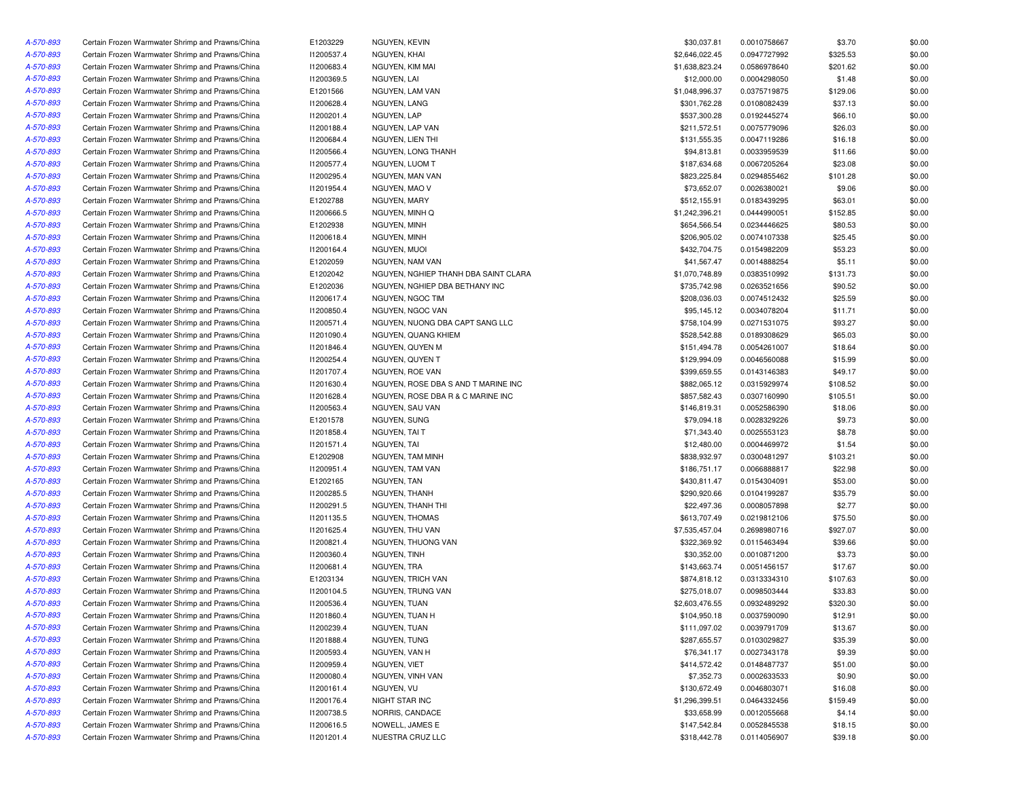| A-570-893 | Certain Frozen Warmwater Shrimp and Prawns/China | E1203229   | NGUYEN, KEVIN                        | \$30,037.81    | 0.0010758667 | \$3.70   | \$0.00 |
|-----------|--------------------------------------------------|------------|--------------------------------------|----------------|--------------|----------|--------|
| A-570-893 | Certain Frozen Warmwater Shrimp and Prawns/China | 11200537.4 | NGUYEN, KHAI                         | \$2,646,022.45 | 0.0947727992 | \$325.53 | \$0.00 |
| A-570-893 | Certain Frozen Warmwater Shrimp and Prawns/China | 11200683.4 | NGUYEN, KIM MAI                      | \$1,638,823.24 | 0.0586978640 | \$201.62 | \$0.00 |
| A-570-893 | Certain Frozen Warmwater Shrimp and Prawns/China | 11200369.5 | NGUYEN, LAI                          | \$12,000.00    | 0.0004298050 | \$1.48   | \$0.00 |
| A-570-893 | Certain Frozen Warmwater Shrimp and Prawns/China | E1201566   | NGUYEN, LAM VAN                      | \$1,048,996.37 | 0.0375719875 | \$129.06 | \$0.00 |
| A-570-893 | Certain Frozen Warmwater Shrimp and Prawns/China | 11200628.4 | NGUYEN. LANG                         | \$301,762.28   | 0.0108082439 | \$37.13  | \$0.00 |
| A-570-893 | Certain Frozen Warmwater Shrimp and Prawns/China | 11200201.4 | NGUYEN, LAP                          | \$537,300.28   | 0.0192445274 | \$66.10  | \$0.00 |
| A-570-893 | Certain Frozen Warmwater Shrimp and Prawns/China | 11200188.4 | NGUYEN, LAP VAN                      | \$211,572.51   | 0.0075779096 | \$26.03  | \$0.00 |
| A-570-893 | Certain Frozen Warmwater Shrimp and Prawns/China | 11200684.4 | NGUYEN, LIEN THI                     | \$131,555.35   | 0.0047119286 | \$16.18  | \$0.00 |
| A-570-893 | Certain Frozen Warmwater Shrimp and Prawns/China | 11200566.4 | NGUYEN, LONG THANH                   | \$94,813.81    | 0.0033959539 | \$11.66  | \$0.00 |
| A-570-893 | Certain Frozen Warmwater Shrimp and Prawns/China | 11200577.4 | NGUYEN, LUOM T                       | \$187,634.68   | 0.0067205264 | \$23.08  | \$0.00 |
| A-570-893 | Certain Frozen Warmwater Shrimp and Prawns/China | 11200295.4 | NGUYEN, MAN VAN                      | \$823,225.84   | 0.0294855462 | \$101.28 | \$0.00 |
| A-570-893 | Certain Frozen Warmwater Shrimp and Prawns/China | 11201954.4 | NGUYEN, MAO V                        | \$73,652.07    | 0.0026380021 | \$9.06   | \$0.00 |
| A-570-893 | Certain Frozen Warmwater Shrimp and Prawns/China | E1202788   | NGUYEN, MARY                         | \$512,155.91   | 0.0183439295 | \$63.01  | \$0.00 |
| A-570-893 | Certain Frozen Warmwater Shrimp and Prawns/China | I1200666.5 | NGUYEN, MINH Q                       | \$1,242,396.21 | 0.0444990051 | \$152.85 | \$0.00 |
| A-570-893 | Certain Frozen Warmwater Shrimp and Prawns/China | E1202938   | NGUYEN, MINH                         | \$654,566.54   | 0.0234446625 | \$80.53  | \$0.00 |
| A-570-893 | Certain Frozen Warmwater Shrimp and Prawns/China | 11200618.4 | NGUYEN, MINH                         | \$206,905.02   | 0.0074107338 | \$25.45  | \$0.00 |
| A-570-893 | Certain Frozen Warmwater Shrimp and Prawns/China | 11200164.4 | NGUYEN, MUOI                         | \$432,704.75   | 0.0154982209 | \$53.23  | \$0.00 |
| A-570-893 | Certain Frozen Warmwater Shrimp and Prawns/China | E1202059   | NGUYEN, NAM VAN                      | \$41,567.47    | 0.0014888254 | \$5.11   | \$0.00 |
| A-570-893 | Certain Frozen Warmwater Shrimp and Prawns/China | E1202042   | NGUYEN, NGHIEP THANH DBA SAINT CLARA | \$1,070,748.89 | 0.0383510992 | \$131.73 | \$0.00 |
| A-570-893 | Certain Frozen Warmwater Shrimp and Prawns/China | E1202036   | NGUYEN, NGHIEP DBA BETHANY INC       | \$735,742.98   | 0.0263521656 | \$90.52  | \$0.00 |
|           | Certain Frozen Warmwater Shrimp and Prawns/China | 11200617.4 | NGUYEN, NGOC TIM                     | \$208,036.03   | 0.0074512432 | \$25.59  | \$0.00 |
| A-570-893 |                                                  |            |                                      |                |              |          |        |
| A-570-893 | Certain Frozen Warmwater Shrimp and Prawns/China | 11200850.4 | NGUYEN, NGOC VAN                     | \$95,145.12    | 0.0034078204 | \$11.71  | \$0.00 |
| A-570-893 | Certain Frozen Warmwater Shrimp and Prawns/China | 11200571.4 | NGUYEN, NUONG DBA CAPT SANG LLC      | \$758,104.99   | 0.0271531075 | \$93.27  | \$0.00 |
| A-570-893 | Certain Frozen Warmwater Shrimp and Prawns/China | 11201090.4 | NGUYEN, QUANG KHIEM                  | \$528,542.88   | 0.0189308629 | \$65.03  | \$0.00 |
| A-570-893 | Certain Frozen Warmwater Shrimp and Prawns/China | 11201846.4 | NGUYEN, QUYEN M                      | \$151,494.78   | 0.0054261007 | \$18.64  | \$0.00 |
| A-570-893 | Certain Frozen Warmwater Shrimp and Prawns/China | 11200254.4 | NGUYEN, QUYEN T                      | \$129,994.09   | 0.0046560088 | \$15.99  | \$0.00 |
| A-570-893 | Certain Frozen Warmwater Shrimp and Prawns/China | 11201707.4 | NGUYEN, ROE VAN                      | \$399,659.55   | 0.0143146383 | \$49.17  | \$0.00 |
| A-570-893 | Certain Frozen Warmwater Shrimp and Prawns/China | 11201630.4 | NGUYEN, ROSE DBA S AND T MARINE INC  | \$882,065.12   | 0.0315929974 | \$108.52 | \$0.00 |
| A-570-893 | Certain Frozen Warmwater Shrimp and Prawns/China | 11201628.4 | NGUYEN, ROSE DBA R & C MARINE INC    | \$857,582.43   | 0.0307160990 | \$105.51 | \$0.00 |
| A-570-893 | Certain Frozen Warmwater Shrimp and Prawns/China | 11200563.4 | NGUYEN, SAU VAN                      | \$146,819.31   | 0.0052586390 | \$18.06  | \$0.00 |
| A-570-893 | Certain Frozen Warmwater Shrimp and Prawns/China | E1201578   | NGUYEN, SUNG                         | \$79,094.18    | 0.0028329226 | \$9.73   | \$0.00 |
| A-570-893 | Certain Frozen Warmwater Shrimp and Prawns/China | 11201858.4 | NGUYEN, TAI T                        | \$71,343.40    | 0.0025553123 | \$8.78   | \$0.00 |
| A-570-893 | Certain Frozen Warmwater Shrimp and Prawns/China | 11201571.4 | NGUYEN, TAI                          | \$12,480.00    | 0.0004469972 | \$1.54   | \$0.00 |
| A-570-893 | Certain Frozen Warmwater Shrimp and Prawns/China | E1202908   | NGUYEN, TAM MINH                     | \$838,932.97   | 0.0300481297 | \$103.21 | \$0.00 |
| A-570-893 | Certain Frozen Warmwater Shrimp and Prawns/China | 11200951.4 | NGUYEN, TAM VAN                      | \$186,751.17   | 0.0066888817 | \$22.98  | \$0.00 |
| A-570-893 | Certain Frozen Warmwater Shrimp and Prawns/China | E1202165   | NGUYEN, TAN                          | \$430,811.47   | 0.0154304091 | \$53.00  | \$0.00 |
| A-570-893 | Certain Frozen Warmwater Shrimp and Prawns/China | I1200285.5 | NGUYEN, THANH                        | \$290,920.66   | 0.0104199287 | \$35.79  | \$0.00 |
| A-570-893 | Certain Frozen Warmwater Shrimp and Prawns/China | I1200291.5 | NGUYEN, THANH THI                    | \$22,497.36    | 0.0008057898 | \$2.77   | \$0.00 |
| A-570-893 | Certain Frozen Warmwater Shrimp and Prawns/China | 11201135.5 | NGUYEN, THOMAS                       | \$613,707.49   | 0.0219812106 | \$75.50  | \$0.00 |
| A-570-893 | Certain Frozen Warmwater Shrimp and Prawns/China | 11201625.4 | NGUYEN, THU VAN                      | \$7,535,457.04 | 0.2698980716 | \$927.07 | \$0.00 |
| A-570-893 | Certain Frozen Warmwater Shrimp and Prawns/China | 11200821.4 | NGUYEN, THUONG VAN                   | \$322,369.92   | 0.0115463494 | \$39.66  | \$0.00 |
| A-570-893 | Certain Frozen Warmwater Shrimp and Prawns/China | 11200360.4 | NGUYEN, TINH                         | \$30,352.00    | 0.0010871200 | \$3.73   | \$0.00 |
| A-570-893 | Certain Frozen Warmwater Shrimp and Prawns/China | 11200681.4 | NGUYEN, TRA                          | \$143,663.74   | 0.0051456157 | \$17.67  | \$0.00 |
| A-570-893 | Certain Frozen Warmwater Shrimp and Prawns/China | E1203134   | NGUYEN, TRICH VAN                    | \$874,818.12   | 0.0313334310 | \$107.63 | \$0.00 |
| A-570-893 | Certain Frozen Warmwater Shrimp and Prawns/China | I1200104.5 | NGUYEN, TRUNG VAN                    | \$275,018.07   | 0.0098503444 | \$33.83  | \$0.00 |
| A-570-893 | Certain Frozen Warmwater Shrimp and Prawns/China | 11200536.4 | NGUYEN, TUAN                         | \$2,603,476.55 | 0.0932489292 | \$320.30 | \$0.00 |
| A-570-893 | Certain Frozen Warmwater Shrimp and Prawns/China | 11201860.4 | NGUYEN, TUAN H                       | \$104,950.18   | 0.0037590090 | \$12.91  | \$0.00 |
| A-570-893 | Certain Frozen Warmwater Shrimp and Prawns/China | 11200239.4 | NGUYEN, TUAN                         | \$111,097.02   | 0.0039791709 | \$13.67  | \$0.00 |
| A-570-893 | Certain Frozen Warmwater Shrimp and Prawns/China | 11201888.4 | NGUYEN, TUNG                         | \$287,655.57   | 0.0103029827 | \$35.39  | \$0.00 |
| A-570-893 | Certain Frozen Warmwater Shrimp and Prawns/China | 11200593.4 | NGUYEN, VAN H                        | \$76,341.17    | 0.0027343178 | \$9.39   | \$0.00 |
| A-570-893 | Certain Frozen Warmwater Shrimp and Prawns/China | I1200959.4 | NGUYEN, VIET                         | \$414,572.42   | 0.0148487737 | \$51.00  | \$0.00 |
| A-570-893 | Certain Frozen Warmwater Shrimp and Prawns/China | 11200080.4 | NGUYEN, VINH VAN                     | \$7,352.73     | 0.0002633533 | \$0.90   | \$0.00 |
| A-570-893 | Certain Frozen Warmwater Shrimp and Prawns/China | 11200161.4 | NGUYEN, VU                           | \$130,672.49   | 0.0046803071 | \$16.08  | \$0.00 |
| A-570-893 | Certain Frozen Warmwater Shrimp and Prawns/China | 11200176.4 | NIGHT STAR INC                       | \$1,296,399.51 | 0.0464332456 | \$159.49 | \$0.00 |
| A-570-893 | Certain Frozen Warmwater Shrimp and Prawns/China | 11200738.5 | NORRIS, CANDACE                      | \$33,658.99    | 0.0012055668 | \$4.14   | \$0.00 |
| A-570-893 | Certain Frozen Warmwater Shrimp and Prawns/China | 11200616.5 | NOWELL, JAMES E                      | \$147,542.84   | 0.0052845538 | \$18.15  | \$0.00 |
| A-570-893 | Certain Frozen Warmwater Shrimp and Prawns/China | 11201201.4 | NUESTRA CRUZ LLC                     | \$318,442.78   | 0.0114056907 | \$39.18  | \$0.00 |
|           |                                                  |            |                                      |                |              |          |        |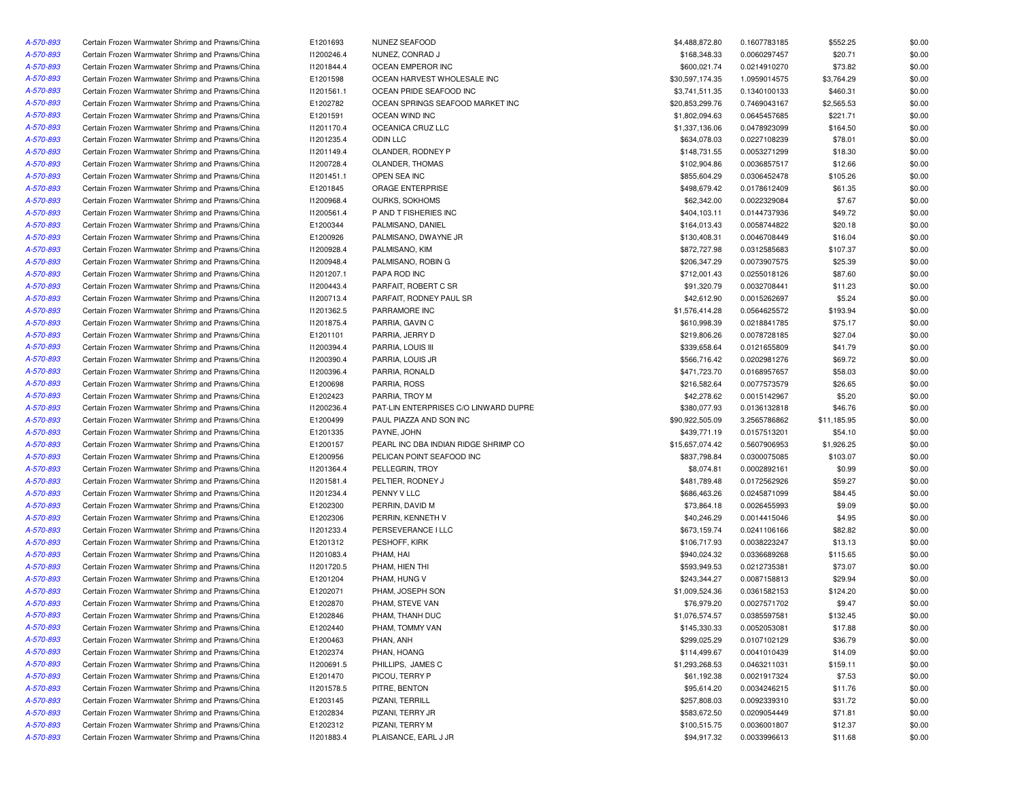| A-570-893 | Certain Frozen Warmwater Shrimp and Prawns/China | E1201693   | NUNEZ SEAFOOD                         | \$4,488,872.80  | 0.1607783185 | \$552.25    | \$0.00 |
|-----------|--------------------------------------------------|------------|---------------------------------------|-----------------|--------------|-------------|--------|
| A-570-893 | Certain Frozen Warmwater Shrimp and Prawns/China | 11200246.4 | NUNEZ, CONRAD J                       | \$168,348.33    | 0.0060297457 | \$20.71     | \$0.00 |
| A-570-893 | Certain Frozen Warmwater Shrimp and Prawns/China | 11201844.4 | OCEAN EMPEROR INC                     | \$600,021.74    | 0.0214910270 | \$73.82     | \$0.00 |
| A-570-893 | Certain Frozen Warmwater Shrimp and Prawns/China | E1201598   | OCEAN HARVEST WHOLESALE INC           | \$30,597,174.35 | 1.0959014575 | \$3,764.29  | \$0.00 |
| A-570-893 | Certain Frozen Warmwater Shrimp and Prawns/China | 11201561.1 | OCEAN PRIDE SEAFOOD INC               | \$3,741,511.35  | 0.1340100133 | \$460.31    | \$0.00 |
| A-570-893 | Certain Frozen Warmwater Shrimp and Prawns/China | E1202782   | OCEAN SPRINGS SEAFOOD MARKET INC      | \$20,853,299.76 | 0.7469043167 | \$2,565.53  | \$0.00 |
| A-570-893 | Certain Frozen Warmwater Shrimp and Prawns/China | E1201591   | <b>OCEAN WIND INC</b>                 | \$1,802,094.63  | 0.0645457685 | \$221.71    | \$0.00 |
| A-570-893 | Certain Frozen Warmwater Shrimp and Prawns/China | 11201170.4 | OCEANICA CRUZ LLC                     | \$1,337,136.06  | 0.0478923099 | \$164.50    | \$0.00 |
| A-570-893 | Certain Frozen Warmwater Shrimp and Prawns/China | 11201235.4 | ODIN LLC                              | \$634,078.03    | 0.0227108239 | \$78.01     | \$0.00 |
| A-570-893 | Certain Frozen Warmwater Shrimp and Prawns/China | 11201149.4 | OLANDER, RODNEY P                     | \$148,731.55    | 0.0053271299 | \$18.30     | \$0.00 |
| A-570-893 | Certain Frozen Warmwater Shrimp and Prawns/China | 11200728.4 | OLANDER, THOMAS                       | \$102,904.86    | 0.0036857517 | \$12.66     | \$0.00 |
| A-570-893 | Certain Frozen Warmwater Shrimp and Prawns/China | 11201451.1 | OPEN SEA INC                          | \$855,604.29    | 0.0306452478 | \$105.26    | \$0.00 |
| A-570-893 | Certain Frozen Warmwater Shrimp and Prawns/China | E1201845   | ORAGE ENTERPRISE                      | \$498,679.42    | 0.0178612409 | \$61.35     | \$0.00 |
|           | Certain Frozen Warmwater Shrimp and Prawns/China |            |                                       |                 |              |             | \$0.00 |
| A-570-893 |                                                  | 11200968.4 | OURKS, SOKHOMS                        | \$62,342.00     | 0.0022329084 | \$7.67      |        |
| A-570-893 | Certain Frozen Warmwater Shrimp and Prawns/China | 11200561.4 | P AND T FISHERIES INC                 | \$404,103.11    | 0.0144737936 | \$49.72     | \$0.00 |
| A-570-893 | Certain Frozen Warmwater Shrimp and Prawns/China | E1200344   | PALMISANO, DANIEL                     | \$164,013.43    | 0.0058744822 | \$20.18     | \$0.00 |
| A-570-893 | Certain Frozen Warmwater Shrimp and Prawns/China | E1200926   | PALMISANO, DWAYNE JR                  | \$130,408.31    | 0.0046708449 | \$16.04     | \$0.00 |
| A-570-893 | Certain Frozen Warmwater Shrimp and Prawns/China | 11200928.4 | PALMISANO, KIM                        | \$872,727.98    | 0.0312585683 | \$107.37    | \$0.00 |
| A-570-893 | Certain Frozen Warmwater Shrimp and Prawns/China | 11200948.4 | PALMISANO, ROBIN G                    | \$206,347.29    | 0.0073907575 | \$25.39     | \$0.00 |
| A-570-893 | Certain Frozen Warmwater Shrimp and Prawns/China | 11201207.1 | PAPA ROD INC                          | \$712,001.43    | 0.0255018126 | \$87.60     | \$0.00 |
| A-570-893 | Certain Frozen Warmwater Shrimp and Prawns/China | 11200443.4 | PARFAIT, ROBERT C SR                  | \$91,320.79     | 0.0032708441 | \$11.23     | \$0.00 |
| A-570-893 | Certain Frozen Warmwater Shrimp and Prawns/China | 11200713.4 | PARFAIT, RODNEY PAUL SR               | \$42,612.90     | 0.0015262697 | \$5.24      | \$0.00 |
| A-570-893 | Certain Frozen Warmwater Shrimp and Prawns/China | 11201362.5 | PARRAMORE INC                         | \$1,576,414.28  | 0.0564625572 | \$193.94    | \$0.00 |
| A-570-893 | Certain Frozen Warmwater Shrimp and Prawns/China | 11201875.4 | PARRIA, GAVIN C                       | \$610,998.39    | 0.0218841785 | \$75.17     | \$0.00 |
| A-570-893 | Certain Frozen Warmwater Shrimp and Prawns/China | E1201101   | PARRIA, JERRY D                       | \$219,806.26    | 0.0078728185 | \$27.04     | \$0.00 |
| A-570-893 | Certain Frozen Warmwater Shrimp and Prawns/China | 11200394.4 | PARRIA, LOUIS III                     | \$339,658.64    | 0.0121655809 | \$41.79     | \$0.00 |
| A-570-893 | Certain Frozen Warmwater Shrimp and Prawns/China | 11200390.4 | PARRIA, LOUIS JR                      | \$566,716.42    | 0.0202981276 | \$69.72     | \$0.00 |
| A-570-893 | Certain Frozen Warmwater Shrimp and Prawns/China | 11200396.4 | PARRIA, RONALD                        | \$471,723.70    | 0.0168957657 | \$58.03     | \$0.00 |
| A-570-893 | Certain Frozen Warmwater Shrimp and Prawns/China | E1200698   | PARRIA, ROSS                          | \$216,582.64    | 0.0077573579 | \$26.65     | \$0.00 |
| A-570-893 | Certain Frozen Warmwater Shrimp and Prawns/China | E1202423   | PARRIA, TROY M                        | \$42,278.62     | 0.0015142967 | \$5.20      | \$0.00 |
| A-570-893 | Certain Frozen Warmwater Shrimp and Prawns/China | 11200236.4 | PAT-LIN ENTERPRISES C/O LINWARD DUPRE | \$380,077.93    | 0.0136132818 | \$46.76     | \$0.00 |
| A-570-893 | Certain Frozen Warmwater Shrimp and Prawns/China | E1200499   | PAUL PIAZZA AND SON INC               | \$90,922,505.09 | 3.2565786862 | \$11,185.95 | \$0.00 |
| A-570-893 | Certain Frozen Warmwater Shrimp and Prawns/China | E1201335   | PAYNE, JOHN                           | \$439,771.19    | 0.0157513201 | \$54.10     | \$0.00 |
| A-570-893 | Certain Frozen Warmwater Shrimp and Prawns/China | E1200157   | PEARL INC DBA INDIAN RIDGE SHRIMP CO  | \$15,657,074.42 | 0.5607906953 | \$1,926.25  | \$0.00 |
| A-570-893 | Certain Frozen Warmwater Shrimp and Prawns/China | E1200956   | PELICAN POINT SEAFOOD INC             | \$837,798.84    | 0.0300075085 | \$103.07    | \$0.00 |
| A-570-893 | Certain Frozen Warmwater Shrimp and Prawns/China | 11201364.4 | PELLEGRIN, TROY                       | \$8,074.81      | 0.0002892161 | \$0.99      | \$0.00 |
| A-570-893 | Certain Frozen Warmwater Shrimp and Prawns/China | 11201581.4 | PELTIER, RODNEY J                     | \$481,789.48    | 0.0172562926 | \$59.27     | \$0.00 |
| A-570-893 | Certain Frozen Warmwater Shrimp and Prawns/China | 11201234.4 | PENNY V LLC                           | \$686,463.26    | 0.0245871099 | \$84.45     | \$0.00 |
| A-570-893 | Certain Frozen Warmwater Shrimp and Prawns/China | E1202300   | PERRIN, DAVID M                       | \$73,864.18     | 0.0026455993 | \$9.09      | \$0.00 |
| A-570-893 | Certain Frozen Warmwater Shrimp and Prawns/China | E1202306   | PERRIN, KENNETH V                     | \$40,246.29     | 0.0014415046 | \$4.95      | \$0.00 |
| A-570-893 | Certain Frozen Warmwater Shrimp and Prawns/China | 11201233.4 | PERSEVERANCE I LLC                    | \$673,159.74    | 0.0241106166 | \$82.82     | \$0.00 |
| A-570-893 | Certain Frozen Warmwater Shrimp and Prawns/China | E1201312   | PESHOFF, KIRK                         | \$106,717.93    | 0.0038223247 | \$13.13     | \$0.00 |
| A-570-893 | Certain Frozen Warmwater Shrimp and Prawns/China | 11201083.4 | PHAM, HAI                             | \$940,024.32    | 0.0336689268 | \$115.65    | \$0.00 |
| A-570-893 | Certain Frozen Warmwater Shrimp and Prawns/China | 11201720.5 | PHAM, HIEN THI                        | \$593,949.53    | 0.0212735381 | \$73.07     | \$0.00 |
| A-570-893 | Certain Frozen Warmwater Shrimp and Prawns/China | E1201204   | PHAM, HUNG V                          | \$243,344.27    | 0.0087158813 | \$29.94     | \$0.00 |
| A-570-893 | Certain Frozen Warmwater Shrimp and Prawns/China | E1202071   | PHAM, JOSEPH SON                      | \$1,009,524.36  | 0.0361582153 | \$124.20    | \$0.00 |
| A-570-893 | Certain Frozen Warmwater Shrimp and Prawns/China | E1202870   | PHAM, STEVE VAN                       | \$76,979.20     | 0.0027571702 | \$9.47      | \$0.00 |
| A-570-893 | Certain Frozen Warmwater Shrimp and Prawns/China | E1202846   | PHAM, THANH DUC                       | \$1,076,574.57  | 0.0385597581 | \$132.45    | \$0.00 |
| A-570-893 | Certain Frozen Warmwater Shrimp and Prawns/China | E1202440   | PHAM, TOMMY VAN                       | \$145,330.33    | 0.0052053081 | \$17.88     | \$0.00 |
| A-570-893 | Certain Frozen Warmwater Shrimp and Prawns/China | E1200463   | PHAN, ANH                             | \$299,025.29    | 0.0107102129 | \$36.79     | \$0.00 |
| A-570-893 | Certain Frozen Warmwater Shrimp and Prawns/China | E1202374   | PHAN, HOANG                           | \$114,499.67    | 0.0041010439 | \$14.09     | \$0.00 |
| A-570-893 | Certain Frozen Warmwater Shrimp and Prawns/China | I1200691.5 | PHILLIPS, JAMES C                     | \$1,293,268.53  | 0.0463211031 | \$159.11    | \$0.00 |
| A-570-893 | Certain Frozen Warmwater Shrimp and Prawns/China | E1201470   | PICOU, TERRY P                        | \$61,192.38     | 0.0021917324 | \$7.53      | \$0.00 |
| A-570-893 | Certain Frozen Warmwater Shrimp and Prawns/China | I1201578.5 | PITRE, BENTON                         | \$95,614.20     | 0.0034246215 | \$11.76     | \$0.00 |
| A-570-893 | Certain Frozen Warmwater Shrimp and Prawns/China | E1203145   | PIZANI, TERRILL                       | \$257,808.03    | 0.0092339310 | \$31.72     | \$0.00 |
| A-570-893 | Certain Frozen Warmwater Shrimp and Prawns/China | E1202834   | PIZANI, TERRY JR                      | \$583,672.50    | 0.0209054449 | \$71.81     | \$0.00 |
| A-570-893 | Certain Frozen Warmwater Shrimp and Prawns/China | E1202312   | PIZANI, TERRY M                       | \$100,515.75    | 0.0036001807 | \$12.37     | \$0.00 |
| A-570-893 | Certain Frozen Warmwater Shrimp and Prawns/China | 11201883.4 | PLAISANCE, EARL J JR                  | \$94,917.32     | 0.0033996613 | \$11.68     | \$0.00 |
|           |                                                  |            |                                       |                 |              |             |        |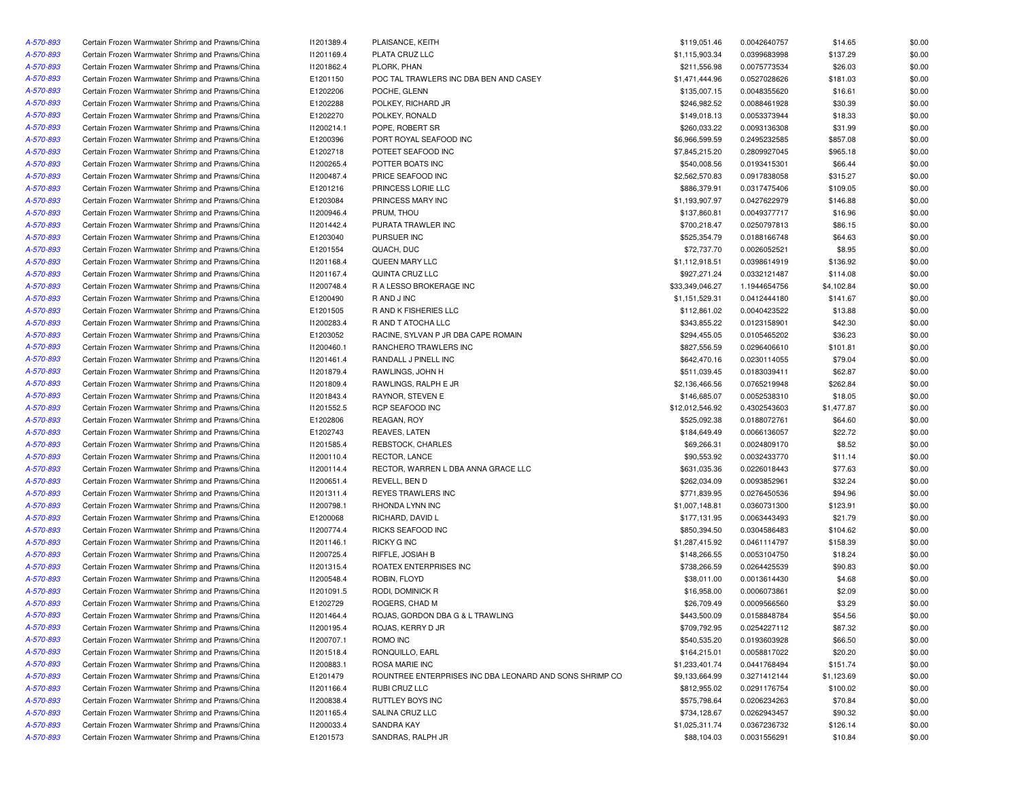| A-570-893 | Certain Frozen Warmwater Shrimp and Prawns/China | 11201389.4 | PLAISANCE, KEITH                                         | \$119,051.46    | 0.0042640757 | \$14.65    | \$0.00 |
|-----------|--------------------------------------------------|------------|----------------------------------------------------------|-----------------|--------------|------------|--------|
| A-570-893 | Certain Frozen Warmwater Shrimp and Prawns/China | 11201169.4 | PLATA CRUZ LLC                                           | \$1,115,903.34  | 0.0399683998 | \$137.29   | \$0.00 |
| A-570-893 | Certain Frozen Warmwater Shrimp and Prawns/China | 11201862.4 | PLORK, PHAN                                              | \$211,556.98    | 0.0075773534 | \$26.03    | \$0.00 |
| A-570-893 | Certain Frozen Warmwater Shrimp and Prawns/China | E1201150   | POC TAL TRAWLERS INC DBA BEN AND CASEY                   | \$1,471,444.96  | 0.0527028626 | \$181.03   | \$0.00 |
| A-570-893 | Certain Frozen Warmwater Shrimp and Prawns/China | E1202206   | POCHE, GLENN                                             | \$135,007.15    | 0.0048355620 | \$16.61    | \$0.00 |
| A-570-893 | Certain Frozen Warmwater Shrimp and Prawns/China | E1202288   | POLKEY, RICHARD JR                                       | \$246,982.52    | 0.0088461928 | \$30.39    | \$0.00 |
| A-570-893 | Certain Frozen Warmwater Shrimp and Prawns/China | E1202270   | POLKEY, RONALD                                           | \$149,018.13    | 0.0053373944 | \$18.33    | \$0.00 |
| A-570-893 | Certain Frozen Warmwater Shrimp and Prawns/China | 11200214.1 | POPE, ROBERT SR                                          | \$260,033.22    | 0.0093136308 | \$31.99    | \$0.00 |
| A-570-893 | Certain Frozen Warmwater Shrimp and Prawns/China | E1200396   | PORT ROYAL SEAFOOD INC                                   | \$6,966,599.59  | 0.2495232585 | \$857.08   | \$0.00 |
| A-570-893 | Certain Frozen Warmwater Shrimp and Prawns/China | E1202718   | POTEET SEAFOOD INC                                       | \$7,845,215.20  | 0.2809927045 | \$965.18   | \$0.00 |
| A-570-893 | Certain Frozen Warmwater Shrimp and Prawns/China | 11200265.4 | POTTER BOATS INC                                         | \$540,008.56    | 0.0193415301 | \$66.44    | \$0.00 |
| A-570-893 | Certain Frozen Warmwater Shrimp and Prawns/China | 11200487.4 | PRICE SEAFOOD INC                                        | \$2,562,570.83  | 0.0917838058 | \$315.27   | \$0.00 |
| A-570-893 | Certain Frozen Warmwater Shrimp and Prawns/China | E1201216   | PRINCESS LORIE LLC                                       | \$886,379.91    | 0.0317475406 | \$109.05   | \$0.00 |
| A-570-893 | Certain Frozen Warmwater Shrimp and Prawns/China | E1203084   | PRINCESS MARY INC                                        | \$1,193,907.97  | 0.0427622979 | \$146.88   | \$0.00 |
| A-570-893 | Certain Frozen Warmwater Shrimp and Prawns/China | 11200946.4 | PRUM, THOU                                               | \$137,860.81    | 0.0049377717 | \$16.96    | \$0.00 |
|           |                                                  |            |                                                          |                 |              |            |        |
| A-570-893 | Certain Frozen Warmwater Shrimp and Prawns/China | 11201442.4 | PURATA TRAWLER INC                                       | \$700,218.47    | 0.0250797813 | \$86.15    | \$0.00 |
| A-570-893 | Certain Frozen Warmwater Shrimp and Prawns/China | E1203040   | PURSUER INC                                              | \$525,354.79    | 0.0188166748 | \$64.63    | \$0.00 |
| A-570-893 | Certain Frozen Warmwater Shrimp and Prawns/China | E1201554   | QUACH, DUC                                               | \$72,737.70     | 0.0026052521 | \$8.95     | \$0.00 |
| A-570-893 | Certain Frozen Warmwater Shrimp and Prawns/China | 11201168.4 | QUEEN MARY LLC                                           | \$1,112,918.51  | 0.0398614919 | \$136.92   | \$0.00 |
| A-570-893 | Certain Frozen Warmwater Shrimp and Prawns/China | 11201167.4 | QUINTA CRUZ LLC                                          | \$927,271.24    | 0.0332121487 | \$114.08   | \$0.00 |
| A-570-893 | Certain Frozen Warmwater Shrimp and Prawns/China | 11200748.4 | R A LESSO BROKERAGE INC                                  | \$33,349,046.27 | 1.1944654756 | \$4,102.84 | \$0.00 |
| A-570-893 | Certain Frozen Warmwater Shrimp and Prawns/China | E1200490   | R AND J INC                                              | \$1,151,529.31  | 0.0412444180 | \$141.67   | \$0.00 |
| A-570-893 | Certain Frozen Warmwater Shrimp and Prawns/China | E1201505   | R AND K FISHERIES LLC                                    | \$112,861.02    | 0.0040423522 | \$13.88    | \$0.00 |
| A-570-893 | Certain Frozen Warmwater Shrimp and Prawns/China | 11200283.4 | R AND T ATOCHA LLC                                       | \$343,855.22    | 0.0123158901 | \$42.30    | \$0.00 |
| A-570-893 | Certain Frozen Warmwater Shrimp and Prawns/China | E1203052   | RACINE, SYLVAN P JR DBA CAPE ROMAIN                      | \$294,455.05    | 0.0105465202 | \$36.23    | \$0.00 |
| A-570-893 | Certain Frozen Warmwater Shrimp and Prawns/China | 11200460.1 | RANCHERO TRAWLERS INC                                    | \$827,556.59    | 0.0296406610 | \$101.81   | \$0.00 |
| A-570-893 | Certain Frozen Warmwater Shrimp and Prawns/China | 11201461.4 | RANDALL J PINELL INC                                     | \$642,470.16    | 0.0230114055 | \$79.04    | \$0.00 |
| A-570-893 | Certain Frozen Warmwater Shrimp and Prawns/China | 11201879.4 | RAWLINGS, JOHN H                                         | \$511,039.45    | 0.0183039411 | \$62.87    | \$0.00 |
| A-570-893 | Certain Frozen Warmwater Shrimp and Prawns/China | 11201809.4 | RAWLINGS, RALPH E JR                                     | \$2,136,466.56  | 0.0765219948 | \$262.84   | \$0.00 |
| A-570-893 | Certain Frozen Warmwater Shrimp and Prawns/China | 11201843.4 | RAYNOR, STEVEN E                                         | \$146,685.07    | 0.0052538310 | \$18.05    | \$0.00 |
| A-570-893 | Certain Frozen Warmwater Shrimp and Prawns/China | I1201552.5 | RCP SEAFOOD INC                                          | \$12,012,546.92 | 0.4302543603 | \$1,477.87 | \$0.00 |
| A-570-893 | Certain Frozen Warmwater Shrimp and Prawns/China | E1202806   | REAGAN, ROY                                              | \$525,092.38    | 0.0188072761 | \$64.60    | \$0.00 |
| A-570-893 | Certain Frozen Warmwater Shrimp and Prawns/China | E1202743   | REAVES, LATEN                                            | \$184,649.49    | 0.0066136057 | \$22.72    | \$0.00 |
| A-570-893 | Certain Frozen Warmwater Shrimp and Prawns/China | 11201585.4 | REBSTOCK, CHARLES                                        | \$69,266.31     | 0.0024809170 | \$8.52     | \$0.00 |
| A-570-893 | Certain Frozen Warmwater Shrimp and Prawns/China | 11200110.4 | RECTOR, LANCE                                            | \$90,553.92     | 0.0032433770 | \$11.14    | \$0.00 |
| A-570-893 | Certain Frozen Warmwater Shrimp and Prawns/China | 11200114.4 | RECTOR, WARREN L DBA ANNA GRACE LLC                      | \$631,035.36    | 0.0226018443 | \$77.63    | \$0.00 |
| A-570-893 | Certain Frozen Warmwater Shrimp and Prawns/China | 11200651.4 | REVELL, BEN D                                            | \$262,034.09    | 0.0093852961 | \$32.24    | \$0.00 |
| A-570-893 | Certain Frozen Warmwater Shrimp and Prawns/China | 11201311.4 | REYES TRAWLERS INC                                       | \$771,839.95    | 0.0276450536 | \$94.96    | \$0.00 |
| A-570-893 | Certain Frozen Warmwater Shrimp and Prawns/China | 11200798.1 | RHONDA LYNN INC                                          | \$1,007,148.81  | 0.0360731300 | \$123.91   | \$0.00 |
| A-570-893 | Certain Frozen Warmwater Shrimp and Prawns/China | E1200068   | RICHARD, DAVID L                                         | \$177,131.95    | 0.0063443493 | \$21.79    | \$0.00 |
| A-570-893 | Certain Frozen Warmwater Shrimp and Prawns/China | 11200774.4 | RICKS SEAFOOD INC                                        | \$850,394.50    | 0.0304586483 | \$104.62   | \$0.00 |
| A-570-893 | Certain Frozen Warmwater Shrimp and Prawns/China | 11201146.1 | <b>RICKY G INC</b>                                       | \$1,287,415.92  | 0.0461114797 | \$158.39   | \$0.00 |
| A-570-893 | Certain Frozen Warmwater Shrimp and Prawns/China | 11200725.4 | RIFFLE, JOSIAH B                                         | \$148,266.55    | 0.0053104750 | \$18.24    | \$0.00 |
| A-570-893 | Certain Frozen Warmwater Shrimp and Prawns/China | 11201315.4 | ROATEX ENTERPRISES INC                                   | \$738,266.59    | 0.0264425539 | \$90.83    | \$0.00 |
|           |                                                  |            |                                                          |                 |              |            |        |
| A-570-893 | Certain Frozen Warmwater Shrimp and Prawns/China | 11200548.4 | ROBIN, FLOYD                                             | \$38,011.00     | 0.0013614430 | \$4.68     | \$0.00 |
| A-570-893 | Certain Frozen Warmwater Shrimp and Prawns/China | 11201091.5 | RODI, DOMINICK R                                         | \$16,958.00     | 0.0006073861 | \$2.09     | \$0.00 |
| A-570-893 | Certain Frozen Warmwater Shrimp and Prawns/China | E1202729   | ROGERS, CHAD M                                           | \$26,709.49     | 0.0009566560 | \$3.29     | \$0.00 |
| A-570-893 | Certain Frozen Warmwater Shrimp and Prawns/China | 11201464.4 | ROJAS, GORDON DBA G & L TRAWLING                         | \$443,500.09    | 0.0158848784 | \$54.56    | \$0.00 |
| A-570-893 | Certain Frozen Warmwater Shrimp and Prawns/China | 11200195.4 | ROJAS, KERRY D JR                                        | \$709,792.95    | 0.0254227112 | \$87.32    | \$0.00 |
| A-570-893 | Certain Frozen Warmwater Shrimp and Prawns/China | 11200707.1 | ROMO INC                                                 | \$540,535.20    | 0.0193603928 | \$66.50    | \$0.00 |
| A-570-893 | Certain Frozen Warmwater Shrimp and Prawns/China | 11201518.4 | RONQUILLO, EARL                                          | \$164,215.01    | 0.0058817022 | \$20.20    | \$0.00 |
| A-570-893 | Certain Frozen Warmwater Shrimp and Prawns/China | 11200883.1 | ROSA MARIE INC                                           | \$1,233,401.74  | 0.0441768494 | \$151.74   | \$0.00 |
| A-570-893 | Certain Frozen Warmwater Shrimp and Prawns/China | E1201479   | ROUNTREE ENTERPRISES INC DBA LEONARD AND SONS SHRIMP CO. | \$9,133,664.99  | 0.3271412144 | \$1,123.69 | \$0.00 |
| A-570-893 | Certain Frozen Warmwater Shrimp and Prawns/China | 11201166.4 | RUBI CRUZ LLC                                            | \$812,955.02    | 0.0291176754 | \$100.02   | \$0.00 |
| A-570-893 | Certain Frozen Warmwater Shrimp and Prawns/China | 11200838.4 | RUTTLEY BOYS INC                                         | \$575,798.64    | 0.0206234263 | \$70.84    | \$0.00 |
| A-570-893 | Certain Frozen Warmwater Shrimp and Prawns/China | 11201165.4 | SALINA CRUZ LLC                                          | \$734,128.67    | 0.0262943457 | \$90.32    | \$0.00 |
| A-570-893 | Certain Frozen Warmwater Shrimp and Prawns/China | 11200033.4 | SANDRA KAY                                               | \$1,025,311.74  | 0.0367236732 | \$126.14   | \$0.00 |
| A-570-893 | Certain Frozen Warmwater Shrimp and Prawns/China | E1201573   | SANDRAS, RALPH JR                                        | \$88,104.03     | 0.0031556291 | \$10.84    | \$0.00 |
|           |                                                  |            |                                                          |                 |              |            |        |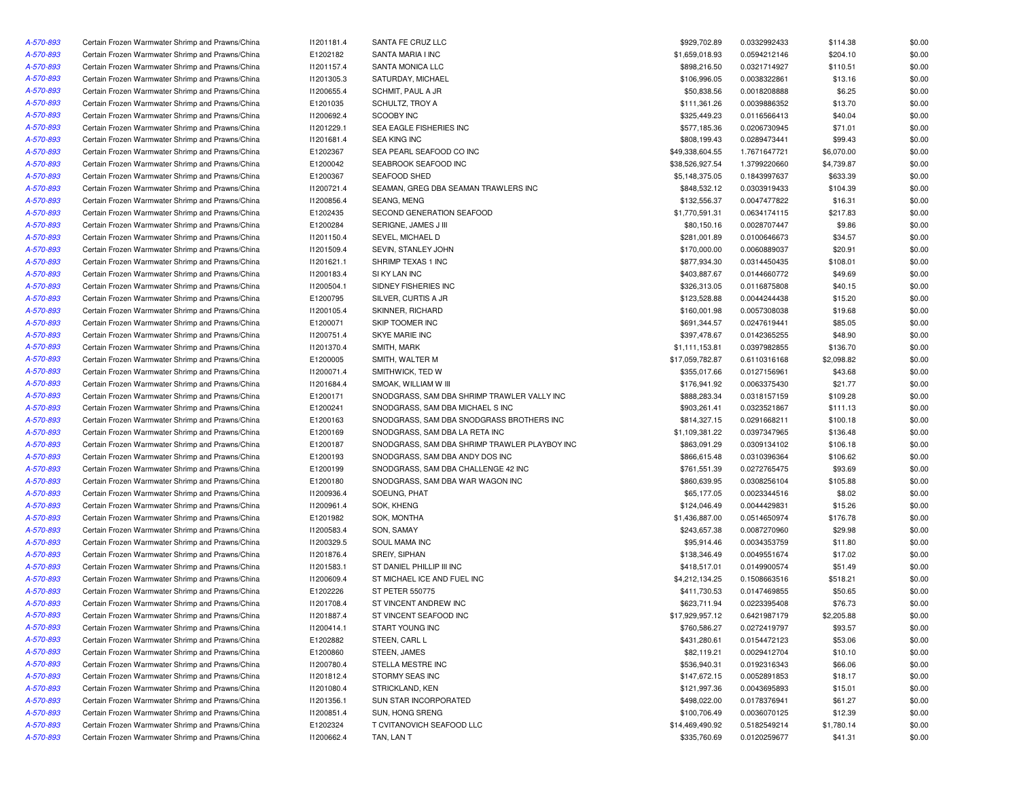| A-570-893 | Certain Frozen Warmwater Shrimp and Prawns/China | 11201181.4 | SANTA FE CRUZ LLC                             | \$929,702.89    | 0.0332992433 | \$114.38             | \$0.00 |
|-----------|--------------------------------------------------|------------|-----------------------------------------------|-----------------|--------------|----------------------|--------|
| A-570-893 | Certain Frozen Warmwater Shrimp and Prawns/China | E1202182   | SANTA MARIA I INC                             | \$1,659,018.93  | 0.0594212146 | \$204.10             | \$0.00 |
| A-570-893 | Certain Frozen Warmwater Shrimp and Prawns/China | 11201157.4 | SANTA MONICA LLC                              | \$898,216.50    | 0.0321714927 | \$110.51             | \$0.00 |
| A-570-893 | Certain Frozen Warmwater Shrimp and Prawns/China | 11201305.3 | SATURDAY, MICHAEL                             | \$106,996.05    | 0.0038322861 | \$13.16              | \$0.00 |
| A-570-893 | Certain Frozen Warmwater Shrimp and Prawns/China | 11200655.4 | SCHMIT, PAUL A JR                             | \$50,838.56     | 0.0018208888 | \$6.25               | \$0.00 |
| A-570-893 | Certain Frozen Warmwater Shrimp and Prawns/China | E1201035   | SCHULTZ, TROY A                               | \$111,361.26    | 0.0039886352 | \$13.70              | \$0.00 |
| A-570-893 | Certain Frozen Warmwater Shrimp and Prawns/China | 11200692.4 | SCOOBY INC                                    | \$325,449.23    | 0.0116566413 | \$40.04              | \$0.00 |
| A-570-893 | Certain Frozen Warmwater Shrimp and Prawns/China | 11201229.1 | SEA EAGLE FISHERIES INC                       | \$577,185.36    | 0.0206730945 | \$71.01              | \$0.00 |
| A-570-893 | Certain Frozen Warmwater Shrimp and Prawns/China | 11201681.4 | <b>SEA KING INC</b>                           | \$808,199.43    | 0.0289473441 | \$99.43              | \$0.00 |
| A-570-893 | Certain Frozen Warmwater Shrimp and Prawns/China | E1202367   | SEA PEARL SEAFOOD CO INC                      | \$49,338,604.55 | 1.7671647721 | \$6,070.00           | \$0.00 |
| A-570-893 | Certain Frozen Warmwater Shrimp and Prawns/China | E1200042   | SEABROOK SEAFOOD INC                          | \$38,526,927.54 | 1.3799220660 | \$4,739.87           | \$0.00 |
| A-570-893 | Certain Frozen Warmwater Shrimp and Prawns/China | E1200367   | <b>SEAFOOD SHED</b>                           | \$5,148,375.05  | 0.1843997637 | \$633.39             | \$0.00 |
| A-570-893 | Certain Frozen Warmwater Shrimp and Prawns/China | 11200721.4 | SEAMAN, GREG DBA SEAMAN TRAWLERS INC          | \$848,532.12    | 0.0303919433 | \$104.39             | \$0.00 |
| A-570-893 | Certain Frozen Warmwater Shrimp and Prawns/China | 11200856.4 | SEANG, MENG                                   | \$132,556.37    | 0.0047477822 | \$16.31              | \$0.00 |
| A-570-893 | Certain Frozen Warmwater Shrimp and Prawns/China | E1202435   | SECOND GENERATION SEAFOOD                     | \$1,770,591.31  | 0.0634174115 | \$217.83             | \$0.00 |
| A-570-893 | Certain Frozen Warmwater Shrimp and Prawns/China | E1200284   | SERIGNE, JAMES J III                          | \$80,150.16     | 0.0028707447 | \$9.86               | \$0.00 |
| A-570-893 | Certain Frozen Warmwater Shrimp and Prawns/China | 11201150.4 | SEVEL, MICHAEL D                              | \$281,001.89    | 0.0100646673 | \$34.57              | \$0.00 |
| A-570-893 | Certain Frozen Warmwater Shrimp and Prawns/China | 11201509.4 | SEVIN, STANLEY JOHN                           | \$170,000.00    | 0.0060889037 | \$20.91              | \$0.00 |
| A-570-893 | Certain Frozen Warmwater Shrimp and Prawns/China | 11201621.1 | SHRIMP TEXAS 1 INC                            | \$877,934.30    | 0.0314450435 | \$108.01             | \$0.00 |
| A-570-893 | Certain Frozen Warmwater Shrimp and Prawns/China | 11200183.4 | SI KY LAN INC                                 | \$403,887.67    | 0.0144660772 | \$49.69              | \$0.00 |
| A-570-893 | Certain Frozen Warmwater Shrimp and Prawns/China | 11200504.1 | SIDNEY FISHERIES INC                          | \$326,313.05    | 0.0116875808 | \$40.15              | \$0.00 |
| A-570-893 | Certain Frozen Warmwater Shrimp and Prawns/China | E1200795   | SILVER, CURTIS A JR                           | \$123,528.88    | 0.0044244438 | \$15.20              | \$0.00 |
| A-570-893 | Certain Frozen Warmwater Shrimp and Prawns/China | 11200105.4 | SKINNER, RICHARD                              | \$160,001.98    | 0.0057308038 | \$19.68              | \$0.00 |
| A-570-893 | Certain Frozen Warmwater Shrimp and Prawns/China | E1200071   | SKIP TOOMER INC                               | \$691,344.57    | 0.0247619441 | \$85.05              | \$0.00 |
| A-570-893 | Certain Frozen Warmwater Shrimp and Prawns/China | 11200751.4 | SKYE MARIE INC                                | \$397,478.67    | 0.0142365255 | \$48.90              | \$0.00 |
| A-570-893 | Certain Frozen Warmwater Shrimp and Prawns/China | 11201370.4 | SMITH, MARK                                   | \$1,111,153.81  | 0.0397982855 | \$136.70             | \$0.00 |
| A-570-893 | Certain Frozen Warmwater Shrimp and Prawns/China | E1200005   | SMITH, WALTER M                               | \$17,059,782.87 | 0.6110316168 | \$2,098.82           | \$0.00 |
| A-570-893 | Certain Frozen Warmwater Shrimp and Prawns/China | 11200071.4 | SMITHWICK, TED W                              | \$355,017.66    | 0.0127156961 | \$43.68              | \$0.00 |
| A-570-893 | Certain Frozen Warmwater Shrimp and Prawns/China | 11201684.4 | SMOAK, WILLIAM W III                          | \$176,941.92    | 0.0063375430 | \$21.77              | \$0.00 |
| A-570-893 | Certain Frozen Warmwater Shrimp and Prawns/China | E1200171   | SNODGRASS, SAM DBA SHRIMP TRAWLER VALLY INC   | \$888,283.34    | 0.0318157159 |                      | \$0.00 |
| A-570-893 | Certain Frozen Warmwater Shrimp and Prawns/China | E1200241   | SNODGRASS, SAM DBA MICHAEL S INC              | \$903,261.41    | 0.0323521867 | \$109.28<br>\$111.13 | \$0.00 |
| A-570-893 | Certain Frozen Warmwater Shrimp and Prawns/China | E1200163   | SNODGRASS, SAM DBA SNODGRASS BROTHERS INC     | \$814,327.15    | 0.0291668211 | \$100.18             | \$0.00 |
| A-570-893 | Certain Frozen Warmwater Shrimp and Prawns/China | E1200169   | SNODGRASS, SAM DBA LA RETA INC                | \$1,109,381.22  | 0.0397347965 | \$136.48             | \$0.00 |
| A-570-893 |                                                  |            |                                               |                 |              |                      |        |
|           | Certain Frozen Warmwater Shrimp and Prawns/China | E1200187   | SNODGRASS, SAM DBA SHRIMP TRAWLER PLAYBOY INC | \$863,091.29    | 0.0309134102 | \$106.18             | \$0.00 |
| A-570-893 | Certain Frozen Warmwater Shrimp and Prawns/China | E1200193   | SNODGRASS, SAM DBA ANDY DOS INC               | \$866,615.48    | 0.0310396364 | \$106.62             | \$0.00 |
| A-570-893 | Certain Frozen Warmwater Shrimp and Prawns/China | E1200199   | SNODGRASS, SAM DBA CHALLENGE 42 INC           | \$761,551.39    | 0.0272765475 | \$93.69              | \$0.00 |
| A-570-893 | Certain Frozen Warmwater Shrimp and Prawns/China | E1200180   | SNODGRASS, SAM DBA WAR WAGON INC              | \$860,639.95    | 0.0308256104 | \$105.88             | \$0.00 |
| A-570-893 | Certain Frozen Warmwater Shrimp and Prawns/China | 11200936.4 | SOEUNG, PHAT                                  | \$65,177.05     | 0.0023344516 | \$8.02               | \$0.00 |
| A-570-893 | Certain Frozen Warmwater Shrimp and Prawns/China | 11200961.4 | SOK, KHENG                                    | \$124,046.49    | 0.0044429831 | \$15.26              | \$0.00 |
| A-570-893 | Certain Frozen Warmwater Shrimp and Prawns/China | E1201982   | SOK, MONTHA                                   | \$1,436,887.00  | 0.0514650974 | \$176.78             | \$0.00 |
| A-570-893 | Certain Frozen Warmwater Shrimp and Prawns/China | 11200583.4 | SON, SAMAY                                    | \$243,657.38    | 0.0087270960 | \$29.98              | \$0.00 |
| A-570-893 | Certain Frozen Warmwater Shrimp and Prawns/China | 11200329.5 | SOUL MAMA INC                                 | \$95,914.46     | 0.0034353759 | \$11.80              | \$0.00 |
| A-570-893 | Certain Frozen Warmwater Shrimp and Prawns/China | 11201876.4 | SREIY, SIPHAN                                 | \$138,346.49    | 0.0049551674 | \$17.02              | \$0.00 |
| A-570-893 | Certain Frozen Warmwater Shrimp and Prawns/China | 11201583.1 | ST DANIEL PHILLIP III INC                     | \$418,517.01    | 0.0149900574 | \$51.49              | \$0.00 |
| A-570-893 | Certain Frozen Warmwater Shrimp and Prawns/China | 11200609.4 | ST MICHAEL ICE AND FUEL INC                   | \$4,212,134.25  | 0.1508663516 | \$518.21             | \$0.00 |
| A-570-893 | Certain Frozen Warmwater Shrimp and Prawns/China | E1202226   | <b>ST PETER 550775</b>                        | \$411,730.53    | 0.0147469855 | \$50.65              | \$0.00 |
| A-570-893 | Certain Frozen Warmwater Shrimp and Prawns/China | 11201708.4 | ST VINCENT ANDREW INC                         | \$623,711.94    | 0.0223395408 | \$76.73              | \$0.00 |
| A-570-893 | Certain Frozen Warmwater Shrimp and Prawns/China | 11201887.4 | ST VINCENT SEAFOOD INC                        | \$17,929,957.12 | 0.6421987179 | \$2,205.88           | \$0.00 |
| A-570-893 | Certain Frozen Warmwater Shrimp and Prawns/China | 11200414.1 | START YOUNG INC                               | \$760,586.27    | 0.0272419797 | \$93.57              | \$0.00 |
| A-570-893 | Certain Frozen Warmwater Shrimp and Prawns/China | E1202882   | STEEN, CARL L                                 | \$431,280.61    | 0.0154472123 | \$53.06              | \$0.00 |
| A-570-893 | Certain Frozen Warmwater Shrimp and Prawns/China | E1200860   | STEEN, JAMES                                  | \$82,119.21     | 0.0029412704 | \$10.10              | \$0.00 |
| A-570-893 | Certain Frozen Warmwater Shrimp and Prawns/China | 11200780.4 | STELLA MESTRE INC                             | \$536,940.31    | 0.0192316343 | \$66.06              | \$0.00 |
| A-570-893 | Certain Frozen Warmwater Shrimp and Prawns/China | 11201812.4 | STORMY SEAS INC                               | \$147,672.15    | 0.0052891853 | \$18.17              | \$0.00 |
| A-570-893 | Certain Frozen Warmwater Shrimp and Prawns/China | 11201080.4 | STRICKLAND, KEN                               | \$121,997.36    | 0.0043695893 | \$15.01              | \$0.00 |
| A-570-893 | Certain Frozen Warmwater Shrimp and Prawns/China | 11201356.1 | SUN STAR INCORPORATED                         | \$498,022.00    | 0.0178376941 | \$61.27              | \$0.00 |
| A-570-893 | Certain Frozen Warmwater Shrimp and Prawns/China | 11200851.4 | SUN, HONG SRENG                               | \$100,706.49    | 0.0036070125 | \$12.39              | \$0.00 |
| A-570-893 | Certain Frozen Warmwater Shrimp and Prawns/China | E1202324   | T CVITANOVICH SEAFOOD LLC                     | \$14,469,490.92 | 0.5182549214 | \$1,780.14           | \$0.00 |
| A-570-893 | Certain Frozen Warmwater Shrimp and Prawns/China | 11200662.4 | TAN, LAN T                                    | \$335,760.69    | 0.0120259677 | \$41.31              | \$0.00 |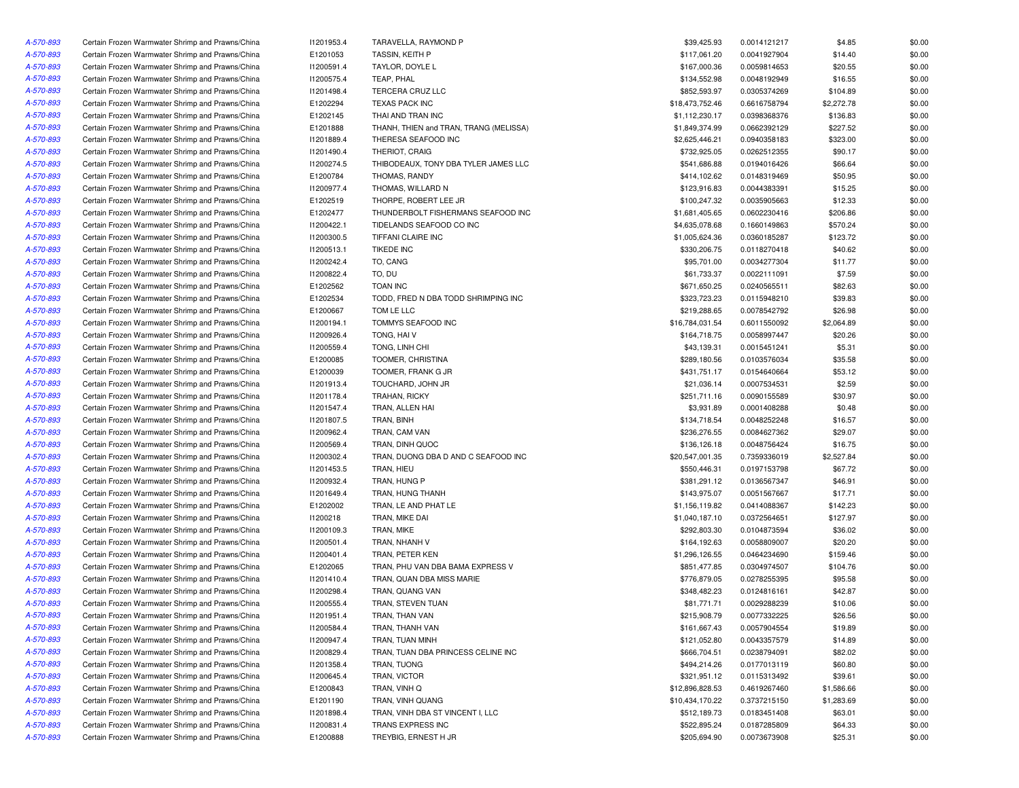| A-570-893 | Certain Frozen Warmwater Shrimp and Prawns/China | 11201953.4 | TARAVELLA, RAYMOND P                   | \$39,425.93     | 0.0014121217 | \$4.85     | \$0.00 |
|-----------|--------------------------------------------------|------------|----------------------------------------|-----------------|--------------|------------|--------|
| A-570-893 | Certain Frozen Warmwater Shrimp and Prawns/China | E1201053   | TASSIN, KEITH P                        | \$117,061.20    | 0.0041927904 | \$14.40    | \$0.00 |
| A-570-893 | Certain Frozen Warmwater Shrimp and Prawns/China | 11200591.4 | TAYLOR, DOYLE L                        | \$167,000.36    | 0.0059814653 | \$20.55    | \$0.00 |
| A-570-893 | Certain Frozen Warmwater Shrimp and Prawns/China | 11200575.4 | TEAP, PHAL                             | \$134,552.98    | 0.0048192949 | \$16.55    | \$0.00 |
| A-570-893 | Certain Frozen Warmwater Shrimp and Prawns/China | 11201498.4 | TERCERA CRUZ LLC                       | \$852,593.97    | 0.0305374269 | \$104.89   | \$0.00 |
| A-570-893 | Certain Frozen Warmwater Shrimp and Prawns/China | E1202294   | <b>TEXAS PACK INC</b>                  | \$18,473,752.46 | 0.6616758794 | \$2,272.78 | \$0.00 |
| A-570-893 | Certain Frozen Warmwater Shrimp and Prawns/China | E1202145   | THAI AND TRAN INC                      | \$1,112,230.17  | 0.0398368376 | \$136.83   | \$0.00 |
| A-570-893 | Certain Frozen Warmwater Shrimp and Prawns/China | E1201888   | THANH, THIEN and TRAN, TRANG (MELISSA) | \$1,849,374.99  | 0.0662392129 | \$227.52   | \$0.00 |
| A-570-893 | Certain Frozen Warmwater Shrimp and Prawns/China | 11201889.4 | THERESA SEAFOOD INC                    | \$2,625,446.21  | 0.0940358183 | \$323.00   | \$0.00 |
| A-570-893 | Certain Frozen Warmwater Shrimp and Prawns/China | 11201490.4 | THERIOT, CRAIG                         | \$732,925.05    | 0.0262512355 | \$90.17    | \$0.00 |
| A-570-893 | Certain Frozen Warmwater Shrimp and Prawns/China | I1200274.5 | THIBODEAUX, TONY DBA TYLER JAMES LLC   | \$541,686.88    | 0.0194016426 | \$66.64    | \$0.00 |
| A-570-893 | Certain Frozen Warmwater Shrimp and Prawns/China | E1200784   | THOMAS, RANDY                          | \$414,102.62    | 0.0148319469 | \$50.95    | \$0.00 |
| A-570-893 | Certain Frozen Warmwater Shrimp and Prawns/China | 11200977.4 | THOMAS, WILLARD N                      | \$123,916.83    | 0.0044383391 | \$15.25    | \$0.00 |
| A-570-893 | Certain Frozen Warmwater Shrimp and Prawns/China | E1202519   | THORPE, ROBERT LEE JR                  | \$100,247.32    | 0.0035905663 | \$12.33    | \$0.00 |
| A-570-893 | Certain Frozen Warmwater Shrimp and Prawns/China | E1202477   | THUNDERBOLT FISHERMANS SEAFOOD INC     | \$1,681,405.65  | 0.0602230416 | \$206.86   | \$0.00 |
| A-570-893 | Certain Frozen Warmwater Shrimp and Prawns/China | 11200422.1 | TIDELANDS SEAFOOD CO INC               | \$4,635,078.68  | 0.1660149863 | \$570.24   | \$0.00 |
| A-570-893 | Certain Frozen Warmwater Shrimp and Prawns/China | 11200300.5 | TIFFANI CLAIRE INC                     | \$1,005,624.36  | 0.0360185287 | \$123.72   | \$0.00 |
|           |                                                  |            | <b>TIKEDE INC</b>                      |                 |              |            | \$0.00 |
| A-570-893 | Certain Frozen Warmwater Shrimp and Prawns/China | 11200513.1 |                                        | \$330,206.75    | 0.0118270418 | \$40.62    |        |
| A-570-893 | Certain Frozen Warmwater Shrimp and Prawns/China | 11200242.4 | TO, CANG                               | \$95,701.00     | 0.0034277304 | \$11.77    | \$0.00 |
| A-570-893 | Certain Frozen Warmwater Shrimp and Prawns/China | 11200822.4 | TO, DU                                 | \$61,733.37     | 0.0022111091 | \$7.59     | \$0.00 |
| A-570-893 | Certain Frozen Warmwater Shrimp and Prawns/China | E1202562   | <b>TOAN INC</b>                        | \$671,650.25    | 0.0240565511 | \$82.63    | \$0.00 |
| A-570-893 | Certain Frozen Warmwater Shrimp and Prawns/China | E1202534   | TODD, FRED N DBA TODD SHRIMPING INC    | \$323,723.23    | 0.0115948210 | \$39.83    | \$0.00 |
| A-570-893 | Certain Frozen Warmwater Shrimp and Prawns/China | E1200667   | TOM LE LLC                             | \$219,288.65    | 0.0078542792 | \$26.98    | \$0.00 |
| A-570-893 | Certain Frozen Warmwater Shrimp and Prawns/China | 11200194.1 | TOMMYS SEAFOOD INC                     | \$16,784,031.54 | 0.6011550092 | \$2,064.89 | \$0.00 |
| A-570-893 | Certain Frozen Warmwater Shrimp and Prawns/China | 11200926.4 | TONG, HAIV                             | \$164,718.75    | 0.0058997447 | \$20.26    | \$0.00 |
| A-570-893 | Certain Frozen Warmwater Shrimp and Prawns/China | 11200559.4 | TONG, LINH CHI                         | \$43,139.31     | 0.0015451241 | \$5.31     | \$0.00 |
| A-570-893 | Certain Frozen Warmwater Shrimp and Prawns/China | E1200085   | TOOMER, CHRISTINA                      | \$289,180.56    | 0.0103576034 | \$35.58    | \$0.00 |
| A-570-893 | Certain Frozen Warmwater Shrimp and Prawns/China | E1200039   | TOOMER, FRANK G JR                     | \$431,751.17    | 0.0154640664 | \$53.12    | \$0.00 |
| A-570-893 | Certain Frozen Warmwater Shrimp and Prawns/China | 11201913.4 | TOUCHARD, JOHN JR                      | \$21,036.14     | 0.0007534531 | \$2.59     | \$0.00 |
| A-570-893 | Certain Frozen Warmwater Shrimp and Prawns/China | 11201178.4 | TRAHAN, RICKY                          | \$251,711.16    | 0.0090155589 | \$30.97    | \$0.00 |
| A-570-893 | Certain Frozen Warmwater Shrimp and Prawns/China | 11201547.4 | TRAN, ALLEN HAI                        | \$3,931.89      | 0.0001408288 | \$0.48     | \$0.00 |
| A-570-893 | Certain Frozen Warmwater Shrimp and Prawns/China | 11201807.5 | TRAN, BINH                             | \$134,718.54    | 0.0048252248 | \$16.57    | \$0.00 |
| A-570-893 | Certain Frozen Warmwater Shrimp and Prawns/China | 11200962.4 | TRAN, CAM VAN                          | \$236,276.55    | 0.0084627362 | \$29.07    | \$0.00 |
| A-570-893 | Certain Frozen Warmwater Shrimp and Prawns/China | 11200569.4 | TRAN, DINH QUOC                        | \$136,126.18    | 0.0048756424 | \$16.75    | \$0.00 |
| A-570-893 | Certain Frozen Warmwater Shrimp and Prawns/China | 11200302.4 | TRAN, DUONG DBA D AND C SEAFOOD INC    | \$20,547,001.35 | 0.7359336019 | \$2,527.84 | \$0.00 |
| A-570-893 | Certain Frozen Warmwater Shrimp and Prawns/China | 11201453.5 | TRAN, HIEU                             | \$550,446.31    | 0.0197153798 | \$67.72    | \$0.00 |
| A-570-893 | Certain Frozen Warmwater Shrimp and Prawns/China | 11200932.4 | TRAN, HUNG P                           | \$381,291.12    | 0.0136567347 | \$46.91    | \$0.00 |
| A-570-893 | Certain Frozen Warmwater Shrimp and Prawns/China | 11201649.4 | TRAN, HUNG THANH                       | \$143,975.07    | 0.0051567667 | \$17.71    | \$0.00 |
| A-570-893 | Certain Frozen Warmwater Shrimp and Prawns/China | E1202002   | TRAN, LE AND PHAT LE                   | \$1,156,119.82  | 0.0414088367 | \$142.23   | \$0.00 |
| A-570-893 | Certain Frozen Warmwater Shrimp and Prawns/China | 11200218   | TRAN, MIKE DAI                         | \$1,040,187.10  | 0.0372564651 | \$127.97   | \$0.00 |
| A-570-893 | Certain Frozen Warmwater Shrimp and Prawns/China | 11200109.3 | TRAN, MIKE                             | \$292,803.30    | 0.0104873594 | \$36.02    | \$0.00 |
| A-570-893 | Certain Frozen Warmwater Shrimp and Prawns/China | 11200501.4 | TRAN, NHANH V                          | \$164,192.63    | 0.0058809007 | \$20.20    | \$0.00 |
| A-570-893 | Certain Frozen Warmwater Shrimp and Prawns/China | 11200401.4 | TRAN, PETER KEN                        | \$1,296,126.55  | 0.0464234690 | \$159.46   | \$0.00 |
| A-570-893 | Certain Frozen Warmwater Shrimp and Prawns/China | E1202065   | TRAN, PHU VAN DBA BAMA EXPRESS V       | \$851,477.85    | 0.0304974507 | \$104.76   | \$0.00 |
| A-570-893 | Certain Frozen Warmwater Shrimp and Prawns/China | 11201410.4 | TRAN, QUAN DBA MISS MARIE              | \$776,879.05    | 0.0278255395 | \$95.58    | \$0.00 |
| A-570-893 | Certain Frozen Warmwater Shrimp and Prawns/China | 11200298.4 | TRAN, QUANG VAN                        | \$348,482.23    | 0.0124816161 | \$42.87    | \$0.00 |
| A-570-893 | Certain Frozen Warmwater Shrimp and Prawns/China | 11200555.4 | TRAN, STEVEN TUAN                      | \$81,771.71     | 0.0029288239 | \$10.06    | \$0.00 |
| A-570-893 | Certain Frozen Warmwater Shrimp and Prawns/China | 11201951.4 | TRAN, THAN VAN                         | \$215,908.79    | 0.0077332225 | \$26.56    | \$0.00 |
|           |                                                  |            |                                        |                 |              |            |        |
| A-570-893 | Certain Frozen Warmwater Shrimp and Prawns/China | 11200584.4 | TRAN, THANH VAN                        | \$161,667.43    | 0.0057904554 | \$19.89    | \$0.00 |
| A-570-893 | Certain Frozen Warmwater Shrimp and Prawns/China | 11200947.4 | TRAN, TUAN MINH                        | \$121,052.80    | 0.0043357579 | \$14.89    | \$0.00 |
| A-570-893 | Certain Frozen Warmwater Shrimp and Prawns/China | 11200829.4 | TRAN, TUAN DBA PRINCESS CELINE INC     | \$666,704.51    | 0.0238794091 | \$82.02    | \$0.00 |
| A-570-893 | Certain Frozen Warmwater Shrimp and Prawns/China | 11201358.4 | TRAN, TUONG                            | \$494,214.26    | 0.0177013119 | \$60.80    | \$0.00 |
| A-570-893 | Certain Frozen Warmwater Shrimp and Prawns/China | 11200645.4 | TRAN, VICTOR                           | \$321,951.12    | 0.0115313492 | \$39.61    | \$0.00 |
| A-570-893 | Certain Frozen Warmwater Shrimp and Prawns/China | E1200843   | TRAN, VINH Q                           | \$12,896,828.53 | 0.4619267460 | \$1,586.66 | \$0.00 |
| A-570-893 | Certain Frozen Warmwater Shrimp and Prawns/China | E1201190   | TRAN, VINH QUANG                       | \$10,434,170.22 | 0.3737215150 | \$1,283.69 | \$0.00 |
| A-570-893 | Certain Frozen Warmwater Shrimp and Prawns/China | 11201898.4 | TRAN, VINH DBA ST VINCENT I, LLC       | \$512,189.73    | 0.0183451408 | \$63.01    | \$0.00 |
| A-570-893 | Certain Frozen Warmwater Shrimp and Prawns/China | 11200831.4 | TRANS EXPRESS INC                      | \$522,895.24    | 0.0187285809 | \$64.33    | \$0.00 |
| A-570-893 | Certain Frozen Warmwater Shrimp and Prawns/China | E1200888   | TREYBIG, ERNEST H JR                   | \$205,694.90    | 0.0073673908 | \$25.31    | \$0.00 |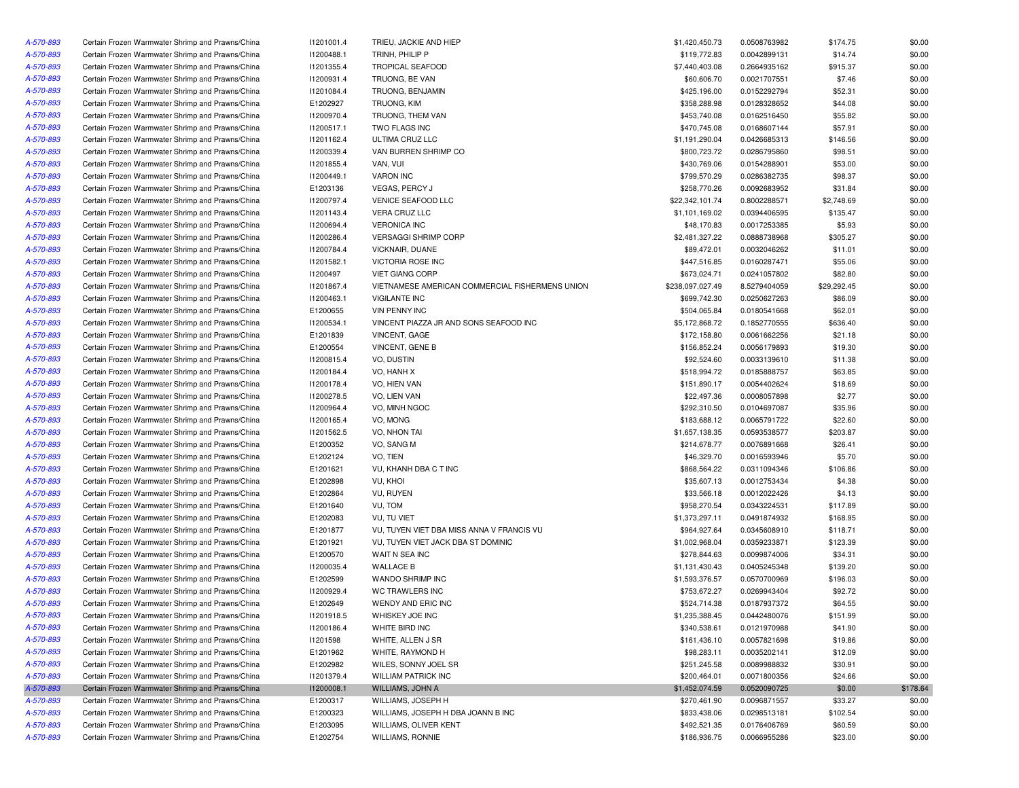| A-570-893 | Certain Frozen Warmwater Shrimp and Prawns/China | 11201001.4 | TRIEU, JACKIE AND HIEP                          | \$1,420,450.73              | 0.0508763982 | \$174.75            | \$0.00   |
|-----------|--------------------------------------------------|------------|-------------------------------------------------|-----------------------------|--------------|---------------------|----------|
| A-570-893 | Certain Frozen Warmwater Shrimp and Prawns/China | 11200488.1 | TRINH, PHILIP P                                 | \$119,772.83                | 0.0042899131 | \$14.74             | \$0.00   |
| A-570-893 | Certain Frozen Warmwater Shrimp and Prawns/China | 11201355.4 | <b>TROPICAL SEAFOOD</b>                         | \$7,440,403.08              | 0.2664935162 | \$915.37            | \$0.00   |
| A-570-893 | Certain Frozen Warmwater Shrimp and Prawns/China | 11200931.4 | TRUONG, BE VAN                                  | \$60,606.70                 | 0.0021707551 | \$7.46              | \$0.00   |
| A-570-893 | Certain Frozen Warmwater Shrimp and Prawns/China | 11201084.4 | TRUONG, BENJAMIN                                | \$425,196.00                | 0.0152292794 | \$52.31             | \$0.00   |
| A-570-893 | Certain Frozen Warmwater Shrimp and Prawns/China | E1202927   | TRUONG, KIM                                     | \$358,288.98                | 0.0128328652 | \$44.08             | \$0.00   |
| A-570-893 | Certain Frozen Warmwater Shrimp and Prawns/China | 11200970.4 | TRUONG, THEM VAN                                | \$453,740.08                | 0.0162516450 | \$55.82             | \$0.00   |
| A-570-893 | Certain Frozen Warmwater Shrimp and Prawns/China | 11200517.1 | TWO FLAGS INC                                   | \$470,745.08                | 0.0168607144 | \$57.91             | \$0.00   |
| A-570-893 | Certain Frozen Warmwater Shrimp and Prawns/China | 11201162.4 | ULTIMA CRUZ LLC                                 | \$1,191,290.04              | 0.0426685313 | \$146.56            | \$0.00   |
| A-570-893 | Certain Frozen Warmwater Shrimp and Prawns/China | 11200339.4 | VAN BURREN SHRIMP CO                            | \$800,723.72                | 0.0286795860 | \$98.51             | \$0.00   |
| A-570-893 | Certain Frozen Warmwater Shrimp and Prawns/China | 11201855.4 | VAN, VUI                                        | \$430,769.06                | 0.0154288901 | \$53.00             | \$0.00   |
| A-570-893 | Certain Frozen Warmwater Shrimp and Prawns/China | 11200449.1 | <b>VARON INC</b>                                | \$799,570.29                | 0.0286382735 | \$98.37             | \$0.00   |
| A-570-893 | Certain Frozen Warmwater Shrimp and Prawns/China | E1203136   | <b>VEGAS, PERCY J</b>                           | \$258,770.26                | 0.0092683952 | \$31.84             | \$0.00   |
| A-570-893 | Certain Frozen Warmwater Shrimp and Prawns/China | 11200797.4 | VENICE SEAFOOD LLC                              | \$22,342,101.74             | 0.8002288571 | \$2,748.69          | \$0.00   |
| A-570-893 | Certain Frozen Warmwater Shrimp and Prawns/China | 11201143.4 | <b>VERA CRUZ LLC</b>                            | \$1,101,169.02              | 0.0394406595 | \$135.47            | \$0.00   |
| A-570-893 | Certain Frozen Warmwater Shrimp and Prawns/China | 11200694.4 | <b>VERONICA INC</b>                             | \$48,170.83                 | 0.0017253385 | \$5.93              | \$0.00   |
| A-570-893 | Certain Frozen Warmwater Shrimp and Prawns/China | 11200286.4 | VERSAGGI SHRIMP CORP                            | \$2,481,327.22              | 0.0888738968 | \$305.27            | \$0.00   |
| A-570-893 | Certain Frozen Warmwater Shrimp and Prawns/China | 11200784.4 | VICKNAIR, DUANE                                 | \$89,472.01                 | 0.0032046262 | \$11.01             | \$0.00   |
| A-570-893 | Certain Frozen Warmwater Shrimp and Prawns/China | 11201582.1 | VICTORIA ROSE INC                               | \$447,516.85                | 0.0160287471 | \$55.06             | \$0.00   |
| A-570-893 | Certain Frozen Warmwater Shrimp and Prawns/China | 11200497   | <b>VIET GIANG CORP</b>                          | \$673,024.71                | 0.0241057802 | \$82.80             | \$0.00   |
| A-570-893 | Certain Frozen Warmwater Shrimp and Prawns/China | 11201867.4 | VIETNAMESE AMERICAN COMMERCIAL FISHERMENS UNION | \$238,097,027.49            | 8.5279404059 | \$29,292.45         | \$0.00   |
| A-570-893 | Certain Frozen Warmwater Shrimp and Prawns/China | 11200463.1 | <b>VIGILANTE INC</b>                            | \$699,742.30                | 0.0250627263 | \$86.09             | \$0.00   |
| A-570-893 | Certain Frozen Warmwater Shrimp and Prawns/China | E1200655   | <b>VIN PENNY INC</b>                            | \$504,065.84                | 0.0180541668 | \$62.01             | \$0.00   |
| A-570-893 | Certain Frozen Warmwater Shrimp and Prawns/China | 11200534.1 | VINCENT PIAZZA JR AND SONS SEAFOOD INC          | \$5,172,868.72              | 0.1852770555 | \$636.40            | \$0.00   |
| A-570-893 | Certain Frozen Warmwater Shrimp and Prawns/China | E1201839   | <b>VINCENT, GAGE</b>                            | \$172,158.80                | 0.0061662256 | \$21.18             | \$0.00   |
| A-570-893 | Certain Frozen Warmwater Shrimp and Prawns/China | E1200554   | VINCENT, GENE B                                 | \$156,852.24                | 0.0056179893 | \$19.30             | \$0.00   |
| A-570-893 | Certain Frozen Warmwater Shrimp and Prawns/China | 11200815.4 | VO, DUSTIN                                      | \$92,524.60                 | 0.0033139610 | \$11.38             | \$0.00   |
| A-570-893 | Certain Frozen Warmwater Shrimp and Prawns/China | 11200184.4 | VO, HANH X                                      | \$518,994.72                | 0.0185888757 | \$63.85             | \$0.00   |
| A-570-893 | Certain Frozen Warmwater Shrimp and Prawns/China | 11200178.4 | VO, HIEN VAN                                    | \$151,890.17                | 0.0054402624 | \$18.69             | \$0.00   |
| A-570-893 |                                                  | 11200278.5 |                                                 |                             |              |                     |          |
|           | Certain Frozen Warmwater Shrimp and Prawns/China |            | VO, LIEN VAN<br>VO. MINH NGOC                   | \$22,497.36<br>\$292,310.50 | 0.0008057898 | \$2.77              | \$0.00   |
| A-570-893 | Certain Frozen Warmwater Shrimp and Prawns/China | 11200964.4 |                                                 |                             | 0.0104697087 | \$35.96             | \$0.00   |
| A-570-893 | Certain Frozen Warmwater Shrimp and Prawns/China | 11200165.4 | VO, MONG                                        | \$183,688.12                | 0.0065791722 | \$22.60<br>\$203.87 | \$0.00   |
| A-570-893 | Certain Frozen Warmwater Shrimp and Prawns/China | 11201562.5 | VO, NHON TAI                                    | \$1,657,138.35              | 0.0593538577 |                     | \$0.00   |
| A-570-893 | Certain Frozen Warmwater Shrimp and Prawns/China | E1200352   | VO, SANG M                                      | \$214,678.77                | 0.0076891668 | \$26.41             | \$0.00   |
| A-570-893 | Certain Frozen Warmwater Shrimp and Prawns/China | E1202124   | VO, TIEN                                        | \$46,329.70                 | 0.0016593946 | \$5.70              | \$0.00   |
| A-570-893 | Certain Frozen Warmwater Shrimp and Prawns/China | E1201621   | VU, KHANH DBA C T INC                           | \$868,564.22                | 0.0311094346 | \$106.86            | \$0.00   |
| A-570-893 | Certain Frozen Warmwater Shrimp and Prawns/China | E1202898   | VU, KHOI                                        | \$35,607.13                 | 0.0012753434 | \$4.38              | \$0.00   |
| A-570-893 | Certain Frozen Warmwater Shrimp and Prawns/China | E1202864   | VU, RUYEN                                       | \$33,566.18                 | 0.0012022426 | \$4.13              | \$0.00   |
| A-570-893 | Certain Frozen Warmwater Shrimp and Prawns/China | E1201640   | VU, TOM                                         | \$958,270.54                | 0.0343224531 | \$117.89            | \$0.00   |
| A-570-893 | Certain Frozen Warmwater Shrimp and Prawns/China | E1202083   | VU, TU VIET                                     | \$1,373,297.11              | 0.0491874932 | \$168.95            | \$0.00   |
| A-570-893 | Certain Frozen Warmwater Shrimp and Prawns/China | E1201877   | VU, TUYEN VIET DBA MISS ANNA V FRANCIS VU       | \$964,927.64                | 0.0345608910 | \$118.71            | \$0.00   |
| A-570-893 | Certain Frozen Warmwater Shrimp and Prawns/China | E1201921   | VU, TUYEN VIET JACK DBA ST DOMINIC              | \$1,002,968.04              | 0.0359233871 | \$123.39            | \$0.00   |
| A-570-893 | Certain Frozen Warmwater Shrimp and Prawns/China | E1200570   | WAIT N SEA INC                                  | \$278,844.63                | 0.0099874006 | \$34.31             | \$0.00   |
| A-570-893 | Certain Frozen Warmwater Shrimp and Prawns/China | 11200035.4 | <b>WALLACE B</b>                                | \$1,131,430.43              | 0.0405245348 | \$139.20            | \$0.00   |
| A-570-893 | Certain Frozen Warmwater Shrimp and Prawns/China | E1202599   | WANDO SHRIMP INC                                | \$1,593,376.57              | 0.0570700969 | \$196.03            | \$0.00   |
| A-570-893 | Certain Frozen Warmwater Shrimp and Prawns/China | 11200929.4 | WC TRAWLERS INC                                 | \$753,672.27                | 0.0269943404 | \$92.72             | \$0.00   |
| A-570-893 | Certain Frozen Warmwater Shrimp and Prawns/China | E1202649   | WENDY AND ERIC INC                              | \$524,714.38                | 0.0187937372 | \$64.55             | \$0.00   |
| A-570-893 | Certain Frozen Warmwater Shrimp and Prawns/China | 11201918.5 | WHISKEY JOE INC                                 | \$1,235,388.45              | 0.0442480076 | \$151.99            | \$0.00   |
| A-570-893 | Certain Frozen Warmwater Shrimp and Prawns/China | 11200186.4 | WHITE BIRD INC                                  | \$340,538.61                | 0.0121970988 | \$41.90             | \$0.00   |
| A-570-893 | Certain Frozen Warmwater Shrimp and Prawns/China | 11201598   | WHITE, ALLEN J SR                               | \$161,436.10                | 0.0057821698 | \$19.86             | \$0.00   |
| A-570-893 | Certain Frozen Warmwater Shrimp and Prawns/China | E1201962   | WHITE, RAYMOND H                                | \$98,283.11                 | 0.0035202141 | \$12.09             | \$0.00   |
| A-570-893 | Certain Frozen Warmwater Shrimp and Prawns/China | E1202982   | WILES, SONNY JOEL SR                            | \$251,245.58                | 0.0089988832 | \$30.91             | \$0.00   |
| A-570-893 | Certain Frozen Warmwater Shrimp and Prawns/China | 11201379.4 | <b>WILLIAM PATRICK INC</b>                      | \$200,464.01                | 0.0071800356 | \$24.66             | \$0.00   |
| A-570-893 | Certain Frozen Warmwater Shrimp and Prawns/China | 11200008.1 | WILLIAMS, JOHN A                                | \$1,452,074.59              | 0.0520090725 | \$0.00              | \$178.64 |
| A-570-893 | Certain Frozen Warmwater Shrimp and Prawns/China | E1200317   | WILLIAMS, JOSEPH H                              | \$270,461.90                | 0.0096871557 | \$33.27             | \$0.00   |
| A-570-893 | Certain Frozen Warmwater Shrimp and Prawns/China | E1200323   | WILLIAMS, JOSEPH H DBA JOANN B INC              | \$833,438.06                | 0.0298513181 | \$102.54            | \$0.00   |
| A-570-893 | Certain Frozen Warmwater Shrimp and Prawns/China | E1203095   | WILLIAMS, OLIVER KENT                           | \$492,521.35                | 0.0176406769 | \$60.59             | \$0.00   |
| A-570-893 | Certain Frozen Warmwater Shrimp and Prawns/China | E1202754   | WILLIAMS, RONNIE                                | \$186,936.75                | 0.0066955286 | \$23.00             | \$0.00   |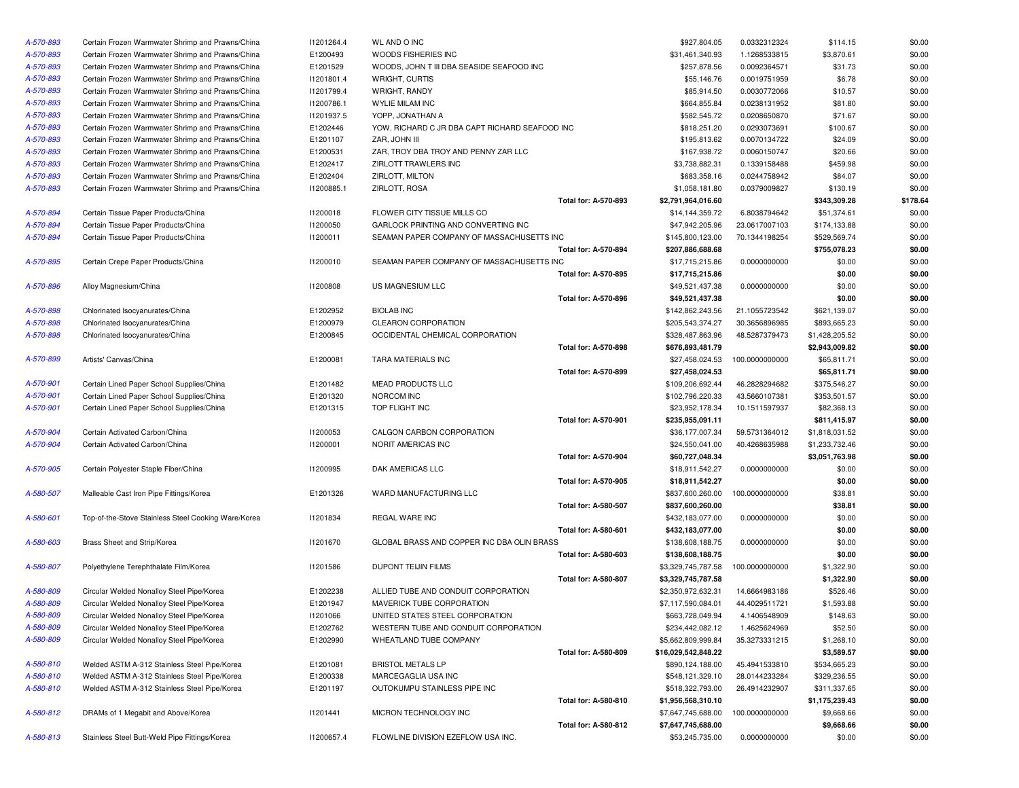| A-570-893 | Certain Frozen Warmwater Shrimp and Prawns/China    | 11201264.4      | WL AND O INC                                   |                             | \$927,804.05        | 0.0332312324   | \$114.15       | \$0.00   |
|-----------|-----------------------------------------------------|-----------------|------------------------------------------------|-----------------------------|---------------------|----------------|----------------|----------|
| A-570-893 | Certain Frozen Warmwater Shrimp and Prawns/China    | E1200493        | WOODS FISHERIES INC                            |                             | \$31,461,340.93     | 1.1268533815   | \$3,870.61     | \$0.00   |
| A-570-893 | Certain Frozen Warmwater Shrimp and Prawns/China    | E1201529        | WOODS, JOHN T III DBA SEASIDE SEAFOOD INC      |                             | \$257,878.56        | 0.0092364571   | \$31.73        | \$0.00   |
| A-570-893 | Certain Frozen Warmwater Shrimp and Prawns/China    | 11201801.4      | WRIGHT, CURTIS                                 |                             | \$55,146.76         | 0.0019751959   | \$6.78         | \$0.00   |
| A-570-893 | Certain Frozen Warmwater Shrimp and Prawns/China    | 11201799.4      | WRIGHT, RANDY                                  |                             | \$85,914.50         | 0.0030772066   | \$10.57        | \$0.00   |
| A-570-893 | Certain Frozen Warmwater Shrimp and Prawns/China    | 11200786.1      | <b>WYLIE MILAM INC</b>                         |                             | \$664,855.84        | 0.0238131952   | \$81.80        | \$0.00   |
| A-570-893 | Certain Frozen Warmwater Shrimp and Prawns/China    | 11201937.5      | YOPP, JONATHAN A                               |                             | \$582,545.72        | 0.0208650870   | \$71.67        | \$0.00   |
| A-570-893 | Certain Frozen Warmwater Shrimp and Prawns/China    | E1202446        | YOW, RICHARD C JR DBA CAPT RICHARD SEAFOOD INC |                             | \$818,251.20        | 0.0293073691   | \$100.67       | \$0.00   |
| A-570-893 | Certain Frozen Warmwater Shrimp and Prawns/China    | E1201107        | ZAR, JOHN III                                  |                             | \$195,813.62        | 0.0070134722   | \$24.09        | \$0.00   |
| A-570-893 | Certain Frozen Warmwater Shrimp and Prawns/China    | E1200531        | ZAR, TROY DBA TROY AND PENNY ZAR LLC           |                             | \$167,938.72        | 0.0060150747   | \$20.66        | \$0.00   |
| A-570-893 | Certain Frozen Warmwater Shrimp and Prawns/China    | E1202417        | ZIRLOTT TRAWLERS INC                           |                             | \$3,738,882.31      | 0.1339158488   | \$459.98       | \$0.00   |
| A-570-893 | Certain Frozen Warmwater Shrimp and Prawns/China    | E1202404        | ZIRLOTT, MILTON                                |                             | \$683,358.16        | 0.0244758942   | \$84.07        | \$0.00   |
| A-570-893 | Certain Frozen Warmwater Shrimp and Prawns/China    | 11200885.1      | ZIRLOTT, ROSA                                  |                             | \$1,058,181.80      | 0.0379009827   | \$130.19       | \$0.00   |
|           |                                                     |                 |                                                | Total for: A-570-893        | \$2,791,964,016.60  |                | \$343,309.28   | \$178.64 |
| A-570-894 | Certain Tissue Paper Products/China                 | 11200018        | FLOWER CITY TISSUE MILLS CO                    |                             | \$14,144,359.72     | 6.8038794642   | \$51,374.61    | \$0.00   |
| A-570-894 | Certain Tissue Paper Products/China                 | 11200050        | GARLOCK PRINTING AND CONVERTING INC            |                             | \$47,942,205.96     | 23.0617007103  | \$174,133.88   | \$0.00   |
| A-570-894 | Certain Tissue Paper Products/China                 | 11200011        | SEAMAN PAPER COMPANY OF MASSACHUSETTS INC      |                             | \$145,800,123.00    | 70.1344198254  | \$529,569.74   | \$0.00   |
|           |                                                     |                 |                                                | Total for: A-570-894        | \$207,886,688.68    |                | \$755,078.23   | \$0.00   |
| A-570-895 | Certain Crepe Paper Products/China                  | 11200010        | SEAMAN PAPER COMPANY OF MASSACHUSETTS INC      |                             | \$17,715,215.86     | 0.0000000000   | \$0.00         | \$0.00   |
|           |                                                     |                 |                                                | Total for: A-570-895        | \$17,715,215.86     |                | \$0.00         | \$0.00   |
| A-570-896 | Alloy Magnesium/China                               | 11200808        | US MAGNESIUM LLC                               |                             | \$49,521,437.38     | 0.0000000000   | \$0.00         | \$0.00   |
|           |                                                     |                 |                                                | Total for: A-570-896        | \$49,521,437.38     |                | \$0.00         | \$0.00   |
| A-570-898 | Chlorinated Isocyanurates/China                     | E1202952        | <b>BIOLAB INC</b>                              |                             | \$142,862,243.56    | 21.1055723542  | \$621,139.07   | \$0.00   |
| A-570-898 | Chlorinated Isocyanurates/China                     | E1200979        | <b>CLEARON CORPORATION</b>                     |                             | \$205,543,374.27    | 30.3656896985  | \$893,665.23   | \$0.00   |
| A-570-898 | Chlorinated Isocyanurates/China                     | E1200845        | OCCIDENTAL CHEMICAL CORPORATION                |                             | \$328,487,863.96    | 48.5287379473  | \$1,428,205.52 | \$0.00   |
|           |                                                     |                 |                                                | <b>Total for: A-570-898</b> | \$676,893,481.79    |                | \$2,943,009.82 | \$0.00   |
| A-570-899 | Artists' Canvas/China                               | E1200081        | TARA MATERIALS INC                             |                             | \$27,458,024.53     | 100.0000000000 | \$65,811.71    | \$0.00   |
|           |                                                     |                 |                                                | Total for: A-570-899        | \$27,458,024.53     |                | \$65,811.71    | \$0.00   |
| A-570-901 | Certain Lined Paper School Supplies/China           | E1201482        | MEAD PRODUCTS LLC                              |                             | \$109,206,692.44    | 46.2828294682  | \$375,546.27   | \$0.00   |
| A-570-901 | Certain Lined Paper School Supplies/China           | E1201320        | NORCOM INC                                     |                             | \$102,796,220.33    | 43.5660107381  | \$353,501.57   | \$0.00   |
| A-570-901 | Certain Lined Paper School Supplies/China           | E1201315        | TOP FLIGHT INC                                 |                             | \$23,952,178.34     | 10.1511597937  | \$82,368.13    | \$0.00   |
|           |                                                     |                 |                                                | <b>Total for: A-570-901</b> | \$235,955,091.11    |                | \$811,415.97   | \$0.00   |
| A-570-904 | Certain Activated Carbon/China                      | <b>I1200053</b> | CALGON CARBON CORPORATION                      |                             | \$36,177,007.34     | 59.5731364012  | \$1,818,031.52 | \$0.00   |
| A-570-904 | Certain Activated Carbon/China                      | 11200001        | NORIT AMERICAS INC                             |                             | \$24,550,041.00     | 40.4268635988  | \$1,233,732.46 | \$0.00   |
|           |                                                     |                 |                                                | <b>Total for: A-570-904</b> | \$60,727,048.34     |                | \$3,051,763.98 | \$0.00   |
| A-570-905 | Certain Polyester Staple Fiber/China                | 11200995        | DAK AMERICAS LLC                               |                             | \$18,911,542.27     | 0.0000000000   | \$0.00         | \$0.00   |
|           |                                                     |                 |                                                | Total for: A-570-905        | \$18,911,542.27     |                | \$0.00         | \$0.00   |
| A-580-507 | Malleable Cast Iron Pipe Fittings/Korea             | E1201326        | WARD MANUFACTURING LLC                         |                             | \$837,600,260.00    | 100.0000000000 | \$38.81        | \$0.00   |
|           |                                                     |                 |                                                | Total for: A-580-507        | \$837,600,260.00    |                | \$38.81        | \$0.00   |
| A-580-601 | Top-of-the-Stove Stainless Steel Cooking Ware/Korea | I1201834        | REGAL WARE INC                                 |                             | \$432,183,077.00    | 0.0000000000   | \$0.00         | \$0.00   |
|           |                                                     |                 |                                                | Total for: A-580-601        | \$432,183,077.00    |                | \$0.00         | \$0.00   |
| A-580-603 | Brass Sheet and Strip/Korea                         | 11201670        | GLOBAL BRASS AND COPPER INC DBA OLIN BRASS     |                             | \$138,608,188.75    | 0.0000000000   | \$0.00         | \$0.00   |
|           |                                                     |                 |                                                | Total for: A-580-603        | \$138,608,188.75    |                | \$0.00         | \$0.00   |
| A-580-807 | Polyethylene Terephthalate Film/Korea               | 11201586        | <b>DUPONT TEIJIN FILMS</b>                     |                             | \$3,329,745,787.58  | 100.0000000000 | \$1,322.90     | \$0.00   |
|           |                                                     |                 |                                                | <b>Total for: A-580-807</b> | \$3,329,745,787.58  |                | \$1,322.90     | \$0.00   |
| A-580-809 | Circular Welded Nonalloy Steel Pipe/Korea           | E1202238        | ALLIED TUBE AND CONDUIT CORPORATION            |                             | \$2,350,972,632.31  | 14.6664983186  | \$526.46       | \$0.00   |
| A-580-809 | Circular Welded Nonalloy Steel Pipe/Korea           | E1201947        | MAVERICK TUBE CORPORATION                      |                             | \$7,117,590,084.01  | 44.4029511721  | \$1,593.88     | \$0.00   |
| A-580-809 | Circular Welded Nonalloy Steel Pipe/Korea           | 11201066        | UNITED STATES STEEL CORPORATION                |                             | \$663,728,049.94    | 4.1406548909   | \$148.63       | \$0.00   |
| A-580-809 | Circular Welded Nonalloy Steel Pipe/Korea           | E1202762        | WESTERN TUBE AND CONDUIT CORPORATION           |                             | \$234,442,082.12    | 1.4625624969   | \$52.50        | \$0.00   |
| A-580-809 | Circular Welded Nonalloy Steel Pipe/Korea           | E1202990        | WHEATLAND TUBE COMPANY                         |                             | \$5,662,809,999.84  | 35.3273331215  | \$1,268.10     | \$0.00   |
|           |                                                     |                 |                                                | Total for: A-580-809        | \$16,029,542,848.22 |                | \$3,589.57     | \$0.00   |
| A-580-810 | Welded ASTM A-312 Stainless Steel Pipe/Korea        | E1201081        | <b>BRISTOL METALS LP</b>                       |                             | \$890,124,188.00    | 45.4941533810  | \$534,665.23   | \$0.00   |
| A-580-810 | Welded ASTM A-312 Stainless Steel Pipe/Korea        | E1200338        | MARCEGAGLIA USA INC                            |                             | \$548,121,329.10    | 28.0144233284  | \$329,236.55   | \$0.00   |
| A-580-810 | Welded ASTM A-312 Stainless Steel Pipe/Korea        | E1201197        | OUTOKUMPU STAINLESS PIPE INC                   |                             | \$518,322,793.00    | 26.4914232907  | \$311,337.65   | \$0.00   |
|           |                                                     |                 |                                                | Total for: A-580-810        | \$1,956,568,310.10  |                | \$1,175,239.43 | \$0.00   |
| A-580-812 | DRAMs of 1 Megabit and Above/Korea                  | 11201441        | MICRON TECHNOLOGY INC                          |                             | \$7,647,745,688.00  | 100.0000000000 | \$9,668.66     | \$0.00   |
|           |                                                     |                 |                                                | Total for: A-580-812        | \$7,647,745,688.00  |                | \$9,668.66     | \$0.00   |
| A-580-813 | Stainless Steel Butt-Weld Pipe Fittings/Korea       | 11200657.4      | FLOWLINE DIVISION EZEFLOW USA INC.             |                             | \$53,245,735.00     | 0.0000000000   | \$0.00         | \$0.00   |

| ≀ INC                                  |                             | \$927,804.05        | 0.0332312324   | \$114.15       | \$0.00   |
|----------------------------------------|-----------------------------|---------------------|----------------|----------------|----------|
| <b>ISHERIES INC</b>                    |                             | \$31,461,340.93     | 1.1268533815   | \$3,870.61     | \$0.00   |
| OHN T III DBA SEASIDE SEAFOOD INC      |                             | \$257,878.56        | 0.0092364571   | \$31.73        | \$0.00   |
| CURTIS                                 |                             | \$55,146.76         | 0.0019751959   | \$6.78         | \$0.00   |
| RANDY                                  |                             | \$85,914.50         | 0.0030772066   | \$10.57        | \$0.00   |
| AM INC                                 |                             | \$664,855.84        | 0.0238131952   | \$81.80        | \$0.00   |
| A MAHTAN                               |                             | \$582,545.72        | 0.0208650870   | \$71.67        | \$0.00   |
| HARD C JR DBA CAPT RICHARD SEAFOOD INC |                             | \$818,251.20        | 0.0293073691   | \$100.67       | \$0.00   |
| J III                                  |                             | \$195,813.62        | 0.0070134722   | \$24.09        | \$0.00   |
| Y DBA TROY AND PENNY ZAR LLC           |                             | \$167,938.72        | 0.0060150747   | \$20.66        | \$0.00   |
| <b>RAWLERS INC</b>                     |                             | \$3,738,882.31      | 0.1339158488   | \$459.98       | \$0.00   |
| MILTON                                 |                             | \$683,358.16        | 0.0244758942   | \$84.07        | \$0.00   |
| ROSA                                   |                             | \$1,058,181.80      | 0.0379009827   | \$130.19       | \$0.00   |
|                                        | <b>Total for: A-570-893</b> | \$2,791,964,016.60  |                | \$343,309.28   | \$178.64 |
| CITY TISSUE MILLS CO                   |                             | \$14,144,359.72     | 6.8038794642   | \$51,374.61    | \$0.00   |
| PRINTING AND CONVERTING INC            |                             | \$47,942,205.96     | 23.0617007103  | \$174,133.88   | \$0.00   |
| APER COMPANY OF MASSACHUSETTS INC      |                             | \$145,800,123.00    | 70.1344198254  | \$529,569.74   | \$0.00   |
|                                        | Total for: A-570-894        | \$207,886,688.68    |                | \$755,078.23   | \$0.00   |
| APER COMPANY OF MASSACHUSETTS INC      |                             | \$17,715,215.86     | 0.0000000000   | \$0.00         | \$0.00   |
|                                        | Total for: A-570-895        |                     |                | \$0.00         | \$0.00   |
| <b>ESIUM LLC</b>                       |                             | \$17,715,215.86     | 0.0000000000   |                |          |
|                                        | Total for: A-570-896        | \$49,521,437.38     |                | \$0.00         | \$0.00   |
|                                        |                             | \$49,521,437.38     |                | \$0.00         | \$0.00   |
| С                                      |                             | \$142,862,243.56    | 21.1055723542  | \$621,139.07   | \$0.00   |
| CORPORATION                            |                             | \$205,543,374.27    | 30.3656896985  | \$893,665.23   | \$0.00   |
| TAL CHEMICAL CORPORATION               |                             | \$328,487,863.96    | 48.5287379473  | \$1,428,205.52 | \$0.00   |
|                                        | Total for: A-570-898        | \$676,893,481.79    |                | \$2,943,009.82 | \$0.00   |
| <b>ERIALS INC</b>                      |                             | \$27,458,024.53     | 100.0000000000 | \$65,811.71    | \$0.00   |
|                                        | <b>Total for: A-570-899</b> | \$27,458,024.53     |                | \$65,811.71    | \$0.00   |
| <b>DDUCTS LLC</b>                      |                             | \$109,206,692.44    | 46.2828294682  | \$375,546.27   | \$0.00   |
| INC                                    |                             | \$102,796,220.33    | 43.5660107381  | \$353,501.57   | \$0.00   |
| IT INC                                 |                             | \$23,952,178.34     | 10.1511597937  | \$82,368.13    | \$0.00   |
|                                        | Total for: A-570-901        | \$235,955,091.11    |                | \$811,415.97   | \$0.00   |
| CARBON CORPORATION                     |                             | \$36,177,007.34     | 59.5731364012  | \$1,818,031.52 | \$0.00   |
| ERICAS INC                             |                             | \$24,550,041.00     | 40.4268635988  | \$1,233,732.46 | \$0.00   |
|                                        | Total for: A-570-904        | \$60,727,048.34     |                | \$3,051,763.98 | \$0.00   |
| RICAS LLC                              |                             | \$18,911,542.27     | 0.0000000000   | \$0.00         | \$0.00   |
|                                        | Total for: A-570-905        | \$18,911,542.27     |                | \$0.00         | \$0.00   |
| NUFACTURING LLC                        |                             | \$837,600,260.00    | 100.0000000000 | \$38.81        | \$0.00   |
|                                        | <b>Total for: A-580-507</b> | \$837,600,260.00    |                | \$38.81        | \$0.00   |
| ARE INC                                |                             | \$432,183,077.00    | 0.0000000000   | \$0.00         | \$0.00   |
|                                        | Total for: A-580-601        | \$432,183,077.00    |                | \$0.00         | \$0.00   |
| RASS AND COPPER INC DBA OLIN BRASS     |                             | \$138,608,188.75    | 0.0000000000   | \$0.00         | \$0.00   |
|                                        | Total for: A-580-603        | \$138,608,188.75    |                | \$0.00         | \$0.00   |
| <b>EIJIN FILMS</b>                     |                             | \$3,329,745,787.58  | 100.0000000000 | \$1,322.90     | \$0.00   |
|                                        | Total for: A-580-807        | \$3,329,745,787.58  |                | \$1,322.90     | \$0.00   |
| BE AND CONDUIT CORPORATION             |                             | \$2,350,972,632.31  | 14.6664983186  | \$526.46       | \$0.00   |
| <b>(TUBE CORPORATION</b>               |                             | \$7,117,590,084.01  | 44.4029511721  | \$1,593.88     | \$0.00   |
| TATES STEEL CORPORATION                |                             | \$663,728,049.94    |                | \$148.63       | \$0.00   |
| I TUBE AND CONDUIT CORPORATION         |                             | \$234,442,082.12    | 4.1406548909   |                | \$0.00   |
|                                        |                             |                     | 1.4625624969   | \$52.50        |          |
| ND TUBE COMPANY                        | Total for: A-580-809        | \$5,662,809,999.84  | 35.3273331215  | \$1,268.10     | \$0.00   |
|                                        |                             | \$16,029,542,848.22 |                | \$3,589.57     | \$0.00   |
| <i>I</i> ETALS LP                      |                             | \$890,124,188.00    | 45.4941533810  | \$534,665.23   | \$0.00   |
| GLIA USA INC                           |                             | \$548,121,329.10    | 28.0144233284  | \$329,236.55   | \$0.00   |
| IPU STAINLESS PIPE INC                 |                             | \$518,322,793.00    | 26.4914232907  | \$311,337.65   | \$0.00   |
|                                        | Total for: A-580-810        | \$1,956,568,310.10  |                | \$1,175,239.43 | \$0.00   |
| ECHNOLOGY INC                          |                             | \$7,647,745,688.00  | 100.0000000000 | \$9,668.66     | \$0.00   |
|                                        | Total for: A-580-812        | \$7,647,745,688.00  |                | \$9,668.66     | \$0.00   |
| E DIVISION EZEFLOW USA INC.            |                             | \$53,245,735.00     | 0.0000000000   | \$0.00         | \$0.00   |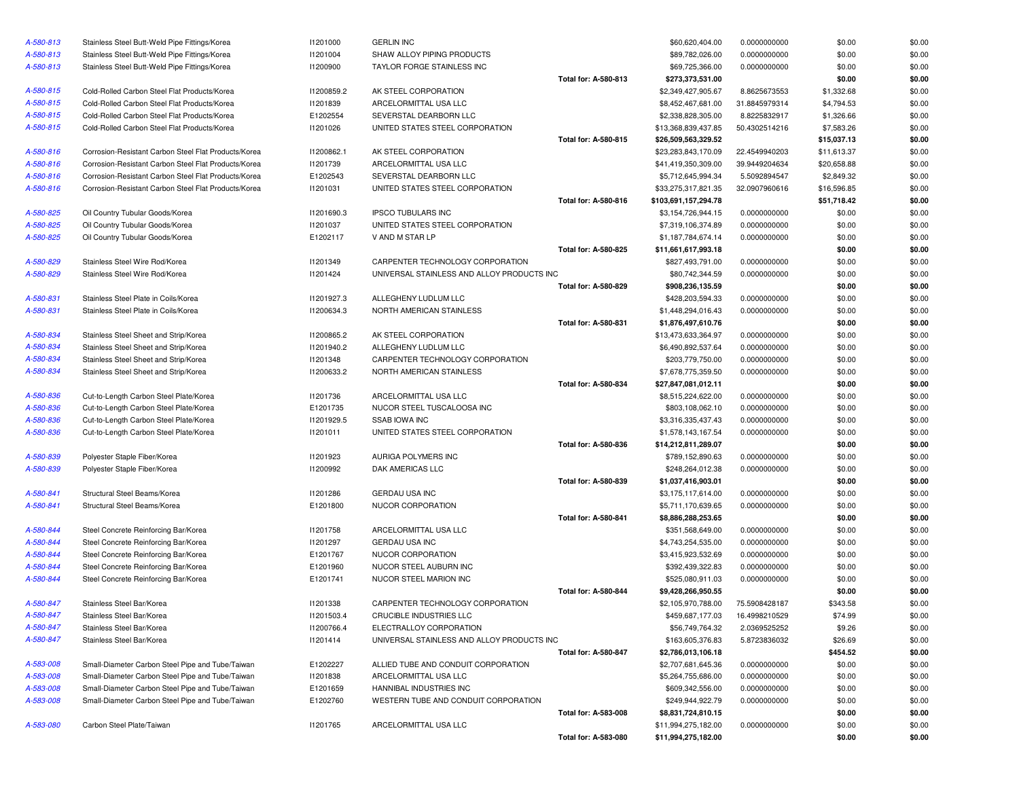| A-580-813 | Stainless Steel Butt-Weld Pipe Fittings/Korea        | 11201000   | <b>GERLIN INC</b>                          |                             | \$60,620,404.00      | 0.0000000000                 | \$0.00              | \$0.00           |
|-----------|------------------------------------------------------|------------|--------------------------------------------|-----------------------------|----------------------|------------------------------|---------------------|------------------|
| A-580-813 | Stainless Steel Butt-Weld Pipe Fittings/Korea        | 11201004   | SHAW ALLOY PIPING PRODUCTS                 |                             | \$89,782,026.00      | 0.0000000000                 | \$0.00              | \$0.00           |
| A-580-813 | Stainless Steel Butt-Weld Pipe Fittings/Korea        | 11200900   | TAYLOR FORGE STAINLESS INC                 |                             | \$69,725,366.00      | 0.0000000000                 | \$0.00              | \$0.00           |
|           |                                                      |            |                                            | Total for: A-580-813        | \$273,373,531.00     |                              | \$0.00              | \$0.00           |
| A-580-815 | Cold-Rolled Carbon Steel Flat Products/Korea         | I1200859.2 | AK STEEL CORPORATION                       |                             | \$2,349,427,905.67   | 8.8625673553                 | \$1,332.68          | \$0.00           |
| A-580-815 | Cold-Rolled Carbon Steel Flat Products/Korea         | 11201839   | ARCELORMITTAL USA LLC                      |                             | \$8,452,467,681.00   | 31.8845979314                | \$4,794.53          | \$0.00           |
| A-580-815 | Cold-Rolled Carbon Steel Flat Products/Korea         | E1202554   | SEVERSTAL DEARBORN LLC                     |                             | \$2,338,828,305.00   | 8.8225832917                 | \$1,326.66          | \$0.00           |
| A-580-815 | Cold-Rolled Carbon Steel Flat Products/Korea         | 11201026   | UNITED STATES STEEL CORPORATION            |                             | \$13,368,839,437.85  | 50.4302514216                | \$7,583.26          | \$0.00           |
|           |                                                      |            |                                            | Total for: A-580-815        | \$26,509,563,329.52  |                              | \$15,037.13         | \$0.00           |
| A-580-816 | Corrosion-Resistant Carbon Steel Flat Products/Korea | 11200862.1 | AK STEEL CORPORATION                       |                             | \$23,283,843,170.09  | 22.4549940203                | \$11,613.37         | \$0.00           |
| A-580-816 | Corrosion-Resistant Carbon Steel Flat Products/Korea | 11201739   | ARCELORMITTAL USA LLC                      |                             | \$41,419,350,309.00  | 39.9449204634                | \$20,658.88         | \$0.00           |
| A-580-816 | Corrosion-Resistant Carbon Steel Flat Products/Korea | E1202543   | SEVERSTAL DEARBORN LLC                     |                             | \$5,712,645,994.34   | 5.5092894547                 | \$2,849.32          | \$0.00           |
| A-580-816 | Corrosion-Resistant Carbon Steel Flat Products/Korea | 11201031   | UNITED STATES STEEL CORPORATION            |                             | \$33,275,317,821.35  | 32.0907960616                | \$16,596.85         | \$0.00           |
|           |                                                      |            |                                            | <b>Total for: A-580-816</b> | \$103,691,157,294.78 |                              | \$51,718.42         | \$0.00           |
| A-580-825 | Oil Country Tubular Goods/Korea                      | I1201690.3 | <b>IPSCO TUBULARS INC</b>                  |                             | \$3,154,726,944.15   | 0.0000000000                 | \$0.00              | \$0.00           |
| A-580-825 | Oil Country Tubular Goods/Korea                      | 11201037   | UNITED STATES STEEL CORPORATION            |                             | \$7,319,106,374.89   | 0.0000000000                 | \$0.00              | \$0.00           |
| A-580-825 | Oil Country Tubular Goods/Korea                      | E1202117   | V AND M STAR LP                            |                             | \$1,187,784,674.14   | 0.0000000000                 | \$0.00              | \$0.00           |
|           |                                                      |            |                                            | Total for: A-580-825        | \$11,661,617,993.18  |                              | \$0.00              | \$0.00           |
| A-580-829 | Stainless Steel Wire Rod/Korea                       | 11201349   | CARPENTER TECHNOLOGY CORPORATION           |                             | \$827,493,791.00     | 0.0000000000                 | \$0.00              | \$0.00           |
| A-580-829 | Stainless Steel Wire Rod/Korea                       | 11201424   | UNIVERSAL STAINLESS AND ALLOY PRODUCTS INC |                             | \$80,742,344.59      | 0.0000000000                 | \$0.00              | \$0.00           |
|           |                                                      |            |                                            | Total for: A-580-829        | \$908,236,135.59     |                              | \$0.00              | \$0.00           |
| A-580-831 | Stainless Steel Plate in Coils/Korea                 | 11201927.3 | ALLEGHENY LUDLUM LLC                       |                             | \$428,203,594.33     | 0.0000000000                 | \$0.00              | \$0.00           |
| A-580-831 | Stainless Steel Plate in Coils/Korea                 | 11200634.3 | NORTH AMERICAN STAINLESS                   |                             | \$1,448,294,016.43   | 0.0000000000                 | \$0.00              | \$0.00           |
|           |                                                      |            |                                            | Total for: A-580-831        | \$1,876,497,610.76   |                              | \$0.00              | \$0.00           |
| A-580-834 | Stainless Steel Sheet and Strip/Korea                | I1200865.2 | AK STEEL CORPORATION                       |                             | \$13,473,633,364.97  | 0.0000000000                 | \$0.00              | \$0.00           |
| A-580-834 | Stainless Steel Sheet and Strip/Korea                | 11201940.2 | ALLEGHENY LUDLUM LLC                       |                             | \$6,490,892,537.64   | 0.0000000000                 | \$0.00              | \$0.00           |
| A-580-834 | Stainless Steel Sheet and Strip/Korea                | 11201348   | CARPENTER TECHNOLOGY CORPORATION           |                             | \$203,779,750.00     | 0.0000000000                 | \$0.00              | \$0.00           |
| A-580-834 | Stainless Steel Sheet and Strip/Korea                | 11200633.2 | NORTH AMERICAN STAINLESS                   |                             | \$7,678,775,359.50   | 0.0000000000                 | \$0.00              | \$0.00           |
|           |                                                      |            |                                            | Total for: A-580-834        | \$27,847,081,012.11  |                              | \$0.00              | \$0.00           |
| A-580-836 | Cut-to-Length Carbon Steel Plate/Korea               | 11201736   | ARCELORMITTAL USA LLC                      |                             | \$8,515,224,622.00   | 0.0000000000                 | \$0.00              | \$0.00           |
| A-580-836 | Cut-to-Length Carbon Steel Plate/Korea               | E1201735   | NUCOR STEEL TUSCALOOSA INC                 |                             | \$803,108,062.10     | 0.0000000000                 | \$0.00              | \$0.00           |
| A-580-836 | Cut-to-Length Carbon Steel Plate/Korea               | I1201929.5 | <b>SSAB IOWA INC</b>                       |                             | \$3,316,335,437.43   | 0.0000000000                 | \$0.00              | \$0.00           |
| A-580-836 | Cut-to-Length Carbon Steel Plate/Korea               | 11201011   | UNITED STATES STEEL CORPORATION            |                             | \$1,578,143,167.54   | 0.0000000000                 | \$0.00              | \$0.00           |
|           |                                                      |            |                                            | Total for: A-580-836        | \$14,212,811,289.07  |                              | \$0.00              | \$0.00           |
| A-580-839 | Polyester Staple Fiber/Korea                         | 11201923   | AURIGA POLYMERS INC                        |                             | \$789,152,890.63     | 0.0000000000                 | \$0.00              | \$0.00           |
| A-580-839 | Polyester Staple Fiber/Korea                         | 11200992   | DAK AMERICAS LLC                           |                             | \$248,264,012.38     | 0.0000000000                 | \$0.00              | \$0.00           |
|           |                                                      |            |                                            | Total for: A-580-839        | \$1,037,416,903.01   |                              | \$0.00              | \$0.00           |
| A-580-841 | Structural Steel Beams/Korea                         | 11201286   | <b>GERDAU USA INC</b>                      |                             | \$3,175,117,614.00   | 0.0000000000                 | \$0.00              | \$0.00           |
| A-580-841 | Structural Steel Beams/Korea                         | E1201800   | NUCOR CORPORATION                          |                             | \$5,711,170,639.65   | 0.0000000000                 | \$0.00              | \$0.00           |
|           |                                                      |            |                                            | Total for: A-580-841        | \$8,886,288,253.65   |                              | \$0.00              | \$0.00           |
| A-580-844 | Steel Concrete Reinforcing Bar/Korea                 | 11201758   | ARCELORMITTAL USA LLC                      |                             | \$351,568,649.00     | 0.0000000000                 | \$0.00              | \$0.00           |
| A-580-844 | Steel Concrete Reinforcing Bar/Korea                 | 11201297   | <b>GERDAU USA INC</b>                      |                             | \$4,743,254,535.00   | 0.0000000000                 | \$0.00              | \$0.00           |
| A-580-844 | Steel Concrete Reinforcing Bar/Korea                 | E1201767   | NUCOR CORPORATION                          |                             | \$3,415,923,532.69   | 0.0000000000                 | \$0.00              | \$0.00           |
| A-580-844 | Steel Concrete Reinforcing Bar/Korea                 | E1201960   | NUCOR STEEL AUBURN INC                     |                             | \$392,439,322.83     | 0.0000000000                 | \$0.00              | \$0.00           |
| A-580-844 | Steel Concrete Reinforcing Bar/Korea                 | E1201741   | NUCOR STEEL MARION INC                     |                             | \$525,080,911.03     | 0.0000000000                 | \$0.00              | \$0.00           |
|           |                                                      |            |                                            | <b>Total for: A-580-844</b> | \$9,428,266,950.55   |                              | \$0.00              | \$0.00           |
| A-580-847 | Stainless Steel Bar/Korea                            | 11201338   | CARPENTER TECHNOLOGY CORPORATION           |                             | \$2,105,970,788.00   | 75.5908428187                | \$343.58            | \$0.00           |
| A-580-847 |                                                      |            |                                            |                             |                      | 16.4998210529                |                     |                  |
|           | Stainless Steel Bar/Korea                            | 11201503.4 | CRUCIBLE INDUSTRIES LLC                    |                             | \$459,687,177.03     |                              | \$74.99             | \$0.00           |
| A-580-847 | Stainless Steel Bar/Korea                            | 11200766.4 | ELECTRALLOY CORPORATION                    |                             | \$56,749,764.32      | 2.0369525252<br>5.8723836032 | \$9.26              | \$0.00           |
| A-580-847 | Stainless Steel Bar/Korea                            | 11201414   | UNIVERSAL STAINLESS AND ALLOY PRODUCTS INC | <b>Total for: A-580-847</b> | \$163,605,376.83     |                              | \$26.69<br>\$454.52 | \$0.00<br>\$0.00 |
|           |                                                      |            |                                            |                             | \$2,786,013,106.18   |                              |                     |                  |
| A-583-008 | Small-Diameter Carbon Steel Pipe and Tube/Taiwan     | E1202227   | ALLIED TUBE AND CONDUIT CORPORATION        |                             | \$2,707,681,645.36   | 0.0000000000                 | \$0.00              | \$0.00           |
| A-583-008 | Small-Diameter Carbon Steel Pipe and Tube/Taiwan     | 11201838   | ARCELORMITTAL USA LLC                      |                             | \$5,264,755,686.00   | 0.0000000000                 | \$0.00              | \$0.00           |
| A-583-008 | Small-Diameter Carbon Steel Pipe and Tube/Taiwan     | E1201659   | HANNIBAL INDUSTRIES INC                    |                             | \$609,342,556.00     | 0.0000000000                 | \$0.00              | \$0.00           |
| A-583-008 | Small-Diameter Carbon Steel Pipe and Tube/Taiwan     | E1202760   | WESTERN TUBE AND CONDUIT CORPORATION       |                             | \$249,944,922.79     | 0.0000000000                 | \$0.00              | \$0.00           |
|           |                                                      |            |                                            | Total for: A-583-008        | \$8,831,724,810.15   |                              | \$0.00              | \$0.00           |
| A-583-080 | Carbon Steel Plate/Taiwan                            | 11201765   | ARCELORMITTAL USA LLC                      |                             | \$11,994,275,182.00  | 0.0000000000                 | \$0.00              | \$0.00           |
|           |                                                      |            |                                            | Total for: A-583-080        | \$11,994,275,182.00  |                              | \$0.00              | \$0.00           |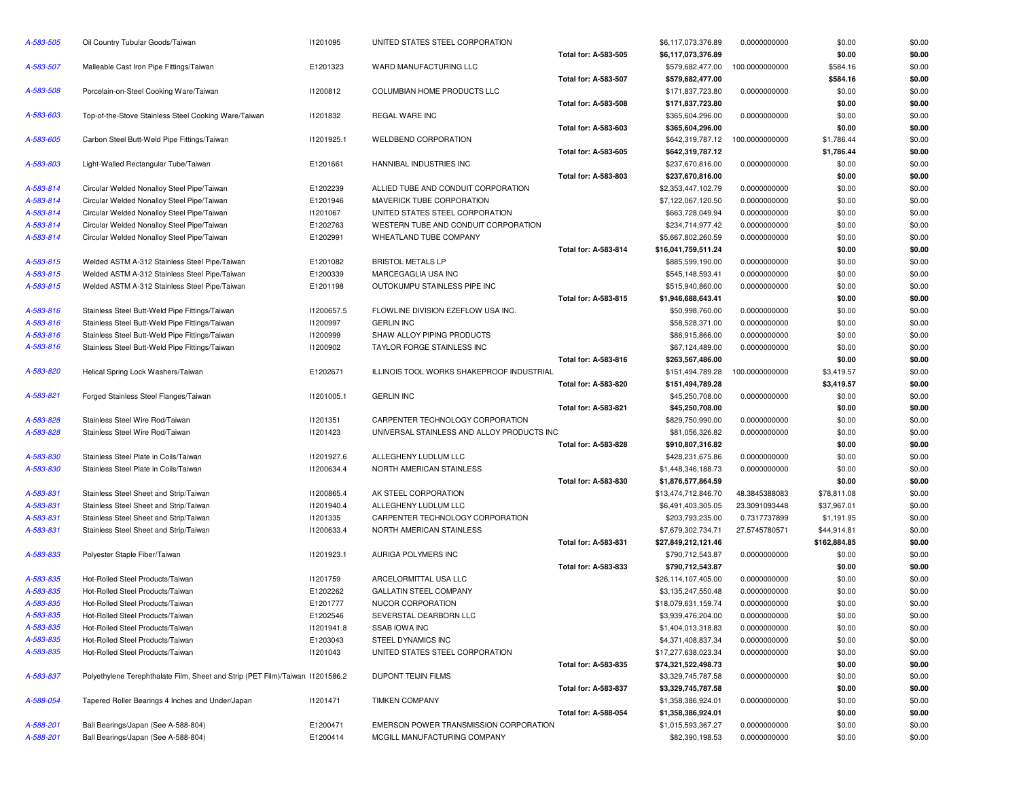| A-583-505 | Oil Country Tubular Goods/Taiwan                                              | I1201095   | UNITED STATES STEEL CORPORATION            |                      | \$6,117,073,376.89  | 0.0000000000   | \$0.00       | \$0.00 |
|-----------|-------------------------------------------------------------------------------|------------|--------------------------------------------|----------------------|---------------------|----------------|--------------|--------|
|           |                                                                               |            |                                            | Total for: A-583-505 | \$6,117,073,376.89  |                | \$0.00       | \$0.00 |
| A-583-507 | Malleable Cast Iron Pipe Fittings/Taiwan                                      | E1201323   | WARD MANUFACTURING LLC                     |                      | \$579,682,477.00    | 100.0000000000 | \$584.16     | \$0.00 |
|           |                                                                               |            |                                            | Total for: A-583-507 | \$579,682,477.00    |                | \$584.16     | \$0.00 |
| A-583-508 | Porcelain-on-Steel Cooking Ware/Taiwan                                        | 11200812   | COLUMBIAN HOME PRODUCTS LLC                |                      | \$171,837,723.80    | 0.0000000000   | \$0.00       | \$0.00 |
|           |                                                                               |            |                                            | Total for: A-583-508 | \$171,837,723.80    |                | \$0.00       | \$0.00 |
| A-583-603 | Top-of-the-Stove Stainless Steel Cooking Ware/Taiwan                          | 11201832   | REGAL WARE INC                             |                      | \$365,604,296.00    | 0.0000000000   | \$0.00       | \$0.00 |
|           |                                                                               |            |                                            | Total for: A-583-603 | \$365,604,296.00    |                | \$0.00       | \$0.00 |
| A-583-605 | Carbon Steel Butt-Weld Pipe Fittings/Taiwan                                   | 11201925.1 | WELDBEND CORPORATION                       |                      | \$642,319,787.12    | 100.0000000000 | \$1,786.44   | \$0.00 |
|           |                                                                               |            |                                            | Total for: A-583-605 | \$642,319,787.12    |                | \$1,786.44   | \$0.00 |
| A-583-803 | Light-Walled Rectangular Tube/Taiwan                                          | E1201661   | HANNIBAL INDUSTRIES INC                    |                      | \$237,670,816.00    | 0.0000000000   | \$0.00       | \$0.00 |
|           |                                                                               |            |                                            | Total for: A-583-803 | \$237,670,816.00    |                | \$0.00       | \$0.00 |
| A-583-814 | Circular Welded Nonalloy Steel Pipe/Taiwan                                    | E1202239   | ALLIED TUBE AND CONDUIT CORPORATION        |                      | \$2,353,447,102.79  | 0.0000000000   | \$0.00       | \$0.00 |
| A-583-814 | Circular Welded Nonalloy Steel Pipe/Taiwan                                    | E1201946   | MAVERICK TUBE CORPORATION                  |                      | \$7,122,067,120.50  | 0.0000000000   | \$0.00       | \$0.00 |
| A-583-814 | Circular Welded Nonalloy Steel Pipe/Taiwan                                    | I1201067   | UNITED STATES STEEL CORPORATION            |                      | \$663,728,049.94    | 0.0000000000   | \$0.00       | \$0.00 |
| A-583-814 | Circular Welded Nonalloy Steel Pipe/Taiwan                                    | E1202763   | WESTERN TUBE AND CONDUIT CORPORATION       |                      | \$234,714,977.42    | 0.0000000000   | \$0.00       | \$0.00 |
| A-583-814 | Circular Welded Nonalloy Steel Pipe/Taiwan                                    | E1202991   | WHEATLAND TUBE COMPANY                     |                      | \$5,667,802,260.59  | 0.0000000000   | \$0.00       | \$0.00 |
|           |                                                                               |            |                                            | Total for: A-583-814 | \$16,041,759,511.24 |                | \$0.00       | \$0.00 |
| A-583-815 | Welded ASTM A-312 Stainless Steel Pipe/Taiwan                                 | E1201082   | <b>BRISTOL METALS LP</b>                   |                      | \$885,599,190.00    | 0.0000000000   | \$0.00       | \$0.00 |
| A-583-815 | Welded ASTM A-312 Stainless Steel Pipe/Taiwan                                 | E1200339   | MARCEGAGLIA USA INC                        |                      | \$545,148,593.41    | 0.0000000000   | \$0.00       | \$0.00 |
| A-583-815 | Welded ASTM A-312 Stainless Steel Pipe/Taiwan                                 | E1201198   | OUTOKUMPU STAINLESS PIPE INC               |                      | \$515,940,860.00    | 0.0000000000   | \$0.00       | \$0.00 |
|           |                                                                               |            |                                            | Total for: A-583-815 | \$1,946,688,643.41  |                | \$0.00       | \$0.00 |
| A-583-816 | Stainless Steel Butt-Weld Pipe Fittings/Taiwan                                | I1200657.5 | FLOWLINE DIVISION EZEFLOW USA INC.         |                      | \$50,998,760.00     | 0.0000000000   | \$0.00       | \$0.00 |
| A-583-816 | Stainless Steel Butt-Weld Pipe Fittings/Taiwan                                | I1200997   | <b>GERLIN INC</b>                          |                      | \$58,528,371.00     | 0.0000000000   | \$0.00       | \$0.00 |
| A-583-816 | Stainless Steel Butt-Weld Pipe Fittings/Taiwan                                | 11200999   | SHAW ALLOY PIPING PRODUCTS                 |                      | \$86,915,866.00     | 0.0000000000   | \$0.00       | \$0.00 |
| A-583-816 | Stainless Steel Butt-Weld Pipe Fittings/Taiwan                                | 11200902   | TAYLOR FORGE STAINLESS INC                 |                      | \$67,124,489.00     | 0.0000000000   | \$0.00       | \$0.00 |
|           |                                                                               |            |                                            | Total for: A-583-816 | \$263,567,486.00    |                | \$0.00       | \$0.00 |
| A-583-820 | Helical Spring Lock Washers/Taiwan                                            | E1202671   | ILLINOIS TOOL WORKS SHAKEPROOF INDUSTRIAL  |                      | \$151,494,789.28    | 100.0000000000 | \$3,419.57   | \$0.00 |
|           |                                                                               |            |                                            | Total for: A-583-820 | \$151,494,789.28    |                | \$3,419.57   | \$0.00 |
| A-583-821 | Forged Stainless Steel Flanges/Taiwan                                         | 11201005.1 | <b>GERLIN INC</b>                          |                      | \$45,250,708.00     | 0.0000000000   | \$0.00       | \$0.00 |
|           |                                                                               |            |                                            | Total for: A-583-821 | \$45,250,708.00     |                | \$0.00       | \$0.00 |
| A-583-828 | Stainless Steel Wire Rod/Taiwan                                               | 11201351   | CARPENTER TECHNOLOGY CORPORATION           |                      | \$829,750,990.00    |                | \$0.00       | \$0.00 |
| A-583-828 | Stainless Steel Wire Rod/Taiwan                                               | 11201423   | UNIVERSAL STAINLESS AND ALLOY PRODUCTS INC |                      | \$81,056,326.82     | 0.0000000000   | \$0.00       | \$0.00 |
|           |                                                                               |            |                                            |                      |                     | 0.0000000000   |              |        |
|           |                                                                               |            |                                            | Total for: A-583-828 | \$910,807,316.82    |                | \$0.00       | \$0.00 |
| A-583-830 | Stainless Steel Plate in Coils/Taiwan                                         | 11201927.6 | ALLEGHENY LUDLUM LLC                       |                      | \$428,231,675.86    | 0.0000000000   | \$0.00       | \$0.00 |
| A-583-830 | Stainless Steel Plate in Coils/Taiwan                                         | 11200634.4 | NORTH AMERICAN STAINLESS                   |                      | \$1,448,346,188.73  | 0.0000000000   | \$0.00       | \$0.00 |
|           |                                                                               |            |                                            | Total for: A-583-830 | \$1,876,577,864.59  |                | \$0.00       | \$0.00 |
| A-583-831 | Stainless Steel Sheet and Strip/Taiwan                                        | 11200865.4 | AK STEEL CORPORATION                       |                      | \$13,474,712,846.70 | 48.3845388083  | \$78,811.08  | \$0.00 |
| A-583-831 | Stainless Steel Sheet and Strip/Taiwan                                        | 11201940.4 | ALLEGHENY LUDLUM LLC                       |                      | \$6,491,403,305.05  | 23.3091093448  | \$37,967.01  | \$0.00 |
| A-583-831 | Stainless Steel Sheet and Strip/Taiwan                                        | 11201335   | CARPENTER TECHNOLOGY CORPORATION           |                      | \$203,793,235.00    | 0.7317737899   | \$1,191.95   | \$0.00 |
| A-583-831 | Stainless Steel Sheet and Strip/Taiwan                                        | 11200633.4 | NORTH AMERICAN STAINLESS                   |                      | \$7,679,302,734.71  | 27.5745780571  | \$44,914.81  | \$0.00 |
|           |                                                                               |            |                                            | Total for: A-583-831 | \$27,849,212,121.46 |                | \$162,884.85 | \$0.00 |
| A-583-833 | Polyester Staple Fiber/Taiwan                                                 | 11201923.1 | AURIGA POLYMERS INC                        |                      | \$790,712,543.87    | 0.0000000000   | \$0.00       | \$0.00 |
|           |                                                                               |            |                                            | Total for: A-583-833 | \$790,712,543.87    |                | \$0.00       | \$0.00 |
| A-583-835 | Hot-Rolled Steel Products/Taiwan                                              | 11201759   | ARCELORMITTAL USA LLC                      |                      | \$26,114,107,405.00 | 0.0000000000   | \$0.00       | \$0.00 |
| A-583-835 | Hot-Rolled Steel Products/Taiwan                                              | E1202262   | <b>GALLATIN STEEL COMPANY</b>              |                      | \$3,135,247,550.48  | 0.0000000000   | \$0.00       | \$0.00 |
| A-583-835 | Hot-Rolled Steel Products/Taiwan                                              | E1201777   | NUCOR CORPORATION                          |                      | \$18,079,631,159.74 | 0.0000000000   | \$0.00       | \$0.00 |
| A-583-835 | Hot-Rolled Steel Products/Taiwan                                              | E1202546   | SEVERSTAL DEARBORN LLC                     |                      | \$3,939,476,204.00  | 0.0000000000   | \$0.00       | \$0.00 |
| A-583-835 | Hot-Rolled Steel Products/Taiwan                                              | 11201941.8 | SSAB IOWA INC                              |                      | \$1,404,013,318.83  | 0.0000000000   | \$0.00       | \$0.00 |
| A-583-835 | Hot-Rolled Steel Products/Taiwan                                              | E1203043   | STEEL DYNAMICS INC                         |                      | \$4,371,408,837.34  | 0.0000000000   | \$0.00       | \$0.00 |
| A-583-835 | Hot-Rolled Steel Products/Taiwan                                              | 11201043   | UNITED STATES STEEL CORPORATION            |                      | \$17,277,638,023.34 | 0.0000000000   | \$0.00       | \$0.00 |
|           |                                                                               |            |                                            | Total for: A-583-835 | \$74,321,522,498.73 |                | \$0.00       | \$0.00 |
| A-583-837 | Polyethylene Terephthalate Film, Sheet and Strip (PET Film)/Taiwan 11201586.2 |            | DUPONT TEIJIN FILMS                        |                      | \$3,329,745,787.58  | 0.0000000000   | \$0.00       | \$0.00 |
|           |                                                                               |            |                                            | Total for: A-583-837 | \$3,329,745,787.58  |                | \$0.00       | \$0.00 |
| A-588-054 | Tapered Roller Bearings 4 Inches and Under/Japan                              | 11201471   | <b>TIMKEN COMPANY</b>                      |                      | \$1,358,386,924.01  | 0.0000000000   | \$0.00       | \$0.00 |
|           |                                                                               |            |                                            | Total for: A-588-054 | \$1,358,386,924.01  |                | \$0.00       | \$0.00 |
| A-588-201 | Ball Bearings/Japan (See A-588-804)                                           | E1200471   | EMERSON POWER TRANSMISSION CORPORATION     |                      | \$1,015,593,367.27  | 0.0000000000   | \$0.00       | \$0.00 |
| A-588-201 | Ball Bearings/Japan (See A-588-804)                                           | E1200414   | MCGILL MANUFACTURING COMPANY               |                      | \$82,390,198.53     | 0.0000000000   | \$0.00       | \$0.00 |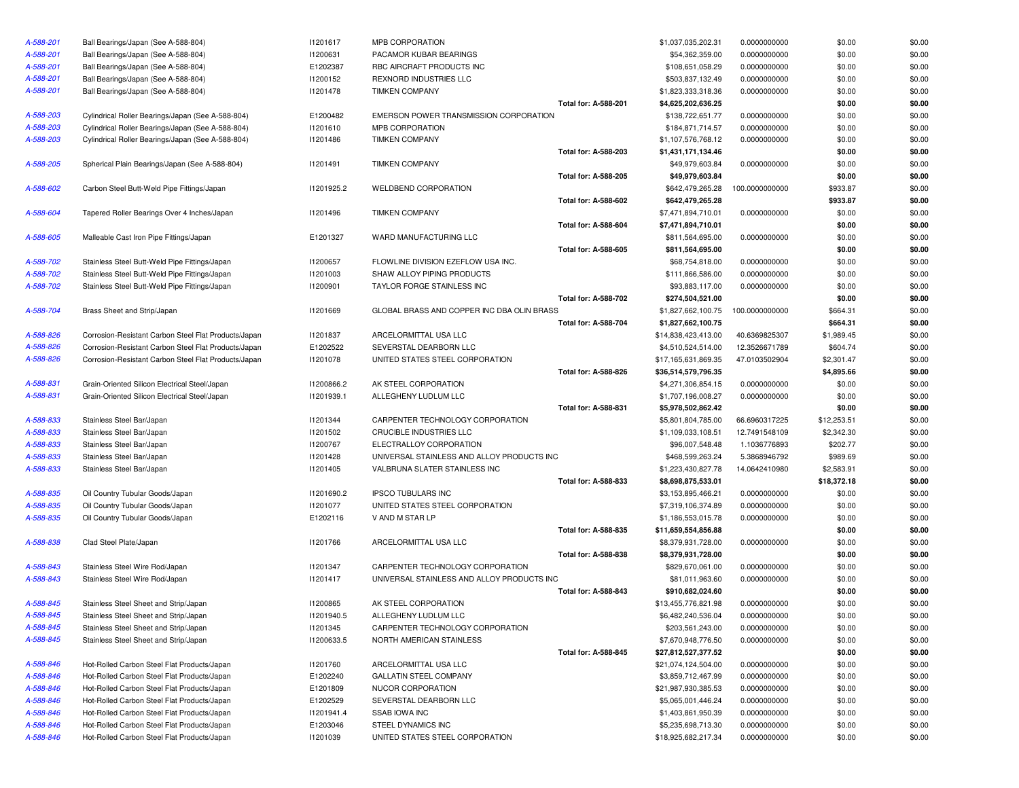| A-588-201              | Ball Bearings/Japan (See A-588-804)                                                        | 11201617        | <b>MPB CORPORATION</b>                     |                             | \$1,037,035,202.31                         | 0.0000000000                 | \$0.00      | \$0.00 |
|------------------------|--------------------------------------------------------------------------------------------|-----------------|--------------------------------------------|-----------------------------|--------------------------------------------|------------------------------|-------------|--------|
| A-588-201              | Ball Bearings/Japan (See A-588-804)                                                        | 11200631        | PACAMOR KUBAR BEARINGS                     |                             | \$54,362,359.00                            | 0.0000000000                 | \$0.00      | \$0.00 |
| A-588-201              | Ball Bearings/Japan (See A-588-804)                                                        | E1202387        | RBC AIRCRAFT PRODUCTS INC                  |                             | \$108,651,058.29                           | 0.0000000000                 | \$0.00      | \$0.00 |
| A-588-201              | Ball Bearings/Japan (See A-588-804)                                                        | 11200152        | REXNORD INDUSTRIES LLC                     |                             | \$503,837,132.49                           | 0.0000000000                 | \$0.00      | \$0.00 |
| A-588-201              | Ball Bearings/Japan (See A-588-804)                                                        | 11201478        | <b>TIMKEN COMPANY</b>                      |                             | \$1,823,333,318.36                         | 0.0000000000                 | \$0.00      | \$0.00 |
|                        |                                                                                            |                 |                                            | <b>Total for: A-588-201</b> | \$4,625,202,636.25                         |                              | \$0.00      | \$0.00 |
| A-588-203              | Cylindrical Roller Bearings/Japan (See A-588-804)                                          | E1200482        | EMERSON POWER TRANSMISSION CORPORATION     |                             | \$138,722,651.77                           | 0.0000000000                 | \$0.00      | \$0.00 |
| A-588-203              | Cylindrical Roller Bearings/Japan (See A-588-804)                                          | 11201610        | MPB CORPORATION                            |                             | \$184,871,714.57                           | 0.0000000000                 | \$0.00      | \$0.00 |
| A-588-203              | Cylindrical Roller Bearings/Japan (See A-588-804)                                          | 11201486        | <b>TIMKEN COMPANY</b>                      |                             | \$1,107,576,768.12                         | 0.0000000000                 | \$0.00      | \$0.00 |
|                        |                                                                                            |                 |                                            | Total for: A-588-203        | \$1,431,171,134.46                         |                              | \$0.00      | \$0.00 |
| A-588-205              | Spherical Plain Bearings/Japan (See A-588-804)                                             | 11201491        | <b>TIMKEN COMPANY</b>                      |                             | \$49,979,603.84                            | 0.0000000000                 | \$0.00      | \$0.00 |
|                        |                                                                                            |                 |                                            | <b>Total for: A-588-205</b> | \$49,979,603.84                            |                              | \$0.00      | \$0.00 |
| A-588-602              | Carbon Steel Butt-Weld Pipe Fittings/Japan                                                 | 11201925.2      | WELDBEND CORPORATION                       |                             | \$642,479,265.28                           | 100.0000000000               | \$933.87    | \$0.00 |
|                        |                                                                                            |                 |                                            | Total for: A-588-602        | \$642,479,265.28                           |                              | \$933.87    | \$0.00 |
| A-588-604              | Tapered Roller Bearings Over 4 Inches/Japan                                                | 11201496        | <b>TIMKEN COMPANY</b>                      |                             | \$7,471,894,710.01                         | 0.0000000000                 | \$0.00      | \$0.00 |
|                        |                                                                                            |                 |                                            | <b>Total for: A-588-604</b> | \$7,471,894,710.01                         |                              | \$0.00      | \$0.00 |
| A-588-605              | Malleable Cast Iron Pipe Fittings/Japan                                                    | E1201327        | WARD MANUFACTURING LLC                     |                             | \$811,564,695.00                           | 0.0000000000                 | \$0.00      | \$0.00 |
|                        |                                                                                            |                 |                                            | Total for: A-588-605        | \$811,564,695.00                           |                              | \$0.00      | \$0.00 |
| A-588-702              | Stainless Steel Butt-Weld Pipe Fittings/Japan                                              | I1200657        | FLOWLINE DIVISION EZEFLOW USA INC.         |                             | \$68,754,818.00                            | 0.0000000000                 | \$0.00      | \$0.00 |
| A-588-702              | Stainless Steel Butt-Weld Pipe Fittings/Japan                                              | 11201003        | SHAW ALLOY PIPING PRODUCTS                 |                             | \$111,866,586.00                           | 0.0000000000                 | \$0.00      | \$0.00 |
| A-588-702              | Stainless Steel Butt-Weld Pipe Fittings/Japan                                              | <b>I1200901</b> | TAYLOR FORGE STAINLESS INC                 |                             | \$93,883,117.00                            | 0.0000000000                 | \$0.00      | \$0.00 |
|                        |                                                                                            |                 |                                            | Total for: A-588-702        | \$274,504,521.00                           |                              | \$0.00      | \$0.00 |
| A-588-704              | Brass Sheet and Strip/Japan                                                                | 11201669        | GLOBAL BRASS AND COPPER INC DBA OLIN BRASS |                             | \$1,827,662,100.75                         | 100.0000000000               | \$664.31    | \$0.00 |
|                        |                                                                                            |                 |                                            | <b>Total for: A-588-704</b> | \$1,827,662,100.75                         |                              | \$664.31    | \$0.00 |
| A-588-826              | Corrosion-Resistant Carbon Steel Flat Products/Japan                                       | 11201837        | ARCELORMITTAL USA LLC                      |                             | \$14,838,423,413.00                        | 40.6369825307                | \$1,989.45  | \$0.00 |
| A-588-826              | Corrosion-Resistant Carbon Steel Flat Products/Japan                                       | E1202522        | SEVERSTAL DEARBORN LLC                     |                             | \$4,510,524,514.00                         | 12.3526671789                | \$604.74    | \$0.00 |
| A-588-826              | Corrosion-Resistant Carbon Steel Flat Products/Japan                                       | 11201078        | UNITED STATES STEEL CORPORATION            |                             | \$17,165,631,869.35                        | 47.0103502904                | \$2,301.47  | \$0.00 |
|                        |                                                                                            |                 |                                            | Total for: A-588-826        | \$36,514,579,796.35                        |                              | \$4,895.66  | \$0.00 |
| A-588-831              | Grain-Oriented Silicon Electrical Steel/Japan                                              | 11200866.2      | AK STEEL CORPORATION                       |                             | \$4,271,306,854.15                         | 0.0000000000                 | \$0.00      | \$0.00 |
| A-588-831              | Grain-Oriented Silicon Electrical Steel/Japan                                              | 11201939.1      | ALLEGHENY LUDLUM LLC                       |                             | \$1,707,196,008.27                         | 0.0000000000                 | \$0.00      | \$0.00 |
|                        |                                                                                            |                 |                                            | Total for: A-588-831        | \$5,978,502,862.42                         |                              | \$0.00      | \$0.00 |
| A-588-833              | Stainless Steel Bar/Japan                                                                  | 11201344        | CARPENTER TECHNOLOGY CORPORATION           |                             | \$5,801,804,785.00                         | 66.6960317225                | \$12,253.51 | \$0.00 |
| A-588-833              | Stainless Steel Bar/Japan                                                                  | 11201502        | CRUCIBLE INDUSTRIES LLC                    |                             | \$1,109,033,108.51                         | 12.7491548109                | \$2,342.30  | \$0.00 |
| A-588-833              | Stainless Steel Bar/Japan                                                                  | I1200767        | ELECTRALLOY CORPORATION                    |                             | \$96,007,548.48                            | 1.1036776893                 | \$202.77    | \$0.00 |
| A-588-833              | Stainless Steel Bar/Japan                                                                  | 11201428        | UNIVERSAL STAINLESS AND ALLOY PRODUCTS INC |                             | \$468,599,263.24                           | 5.3868946792                 | \$989.69    | \$0.00 |
| A-588-833              | Stainless Steel Bar/Japan                                                                  | I1201405        | VALBRUNA SLATER STAINLESS INC              |                             | \$1,223,430,827.78                         | 14.0642410980                | \$2,583.91  | \$0.00 |
|                        |                                                                                            |                 |                                            | Total for: A-588-833        | \$8,698,875,533.01                         |                              | \$18,372.18 | \$0.00 |
| A-588-835              | Oil Country Tubular Goods/Japan                                                            | 11201690.2      | <b>IPSCO TUBULARS INC</b>                  |                             | \$3,153,895,466.21                         | 0.0000000000                 | \$0.00      | \$0.00 |
| A-588-835              | Oil Country Tubular Goods/Japan                                                            | 11201077        | UNITED STATES STEEL CORPORATION            |                             | \$7,319,106,374.89                         | 0.0000000000                 | \$0.00      | \$0.00 |
| A-588-835              | Oil Country Tubular Goods/Japan                                                            | E1202116        | V AND M STAR LP                            |                             | \$1,186,553,015.78                         | 0.0000000000                 | \$0.00      | \$0.00 |
|                        |                                                                                            |                 |                                            | Total for: A-588-835        | \$11,659,554,856.88                        |                              | \$0.00      | \$0.00 |
| A-588-838              | Clad Steel Plate/Japan                                                                     | 11201766        | ARCELORMITTAL USA LLC                      |                             | \$8,379,931,728.00                         | 0.0000000000                 | \$0.00      | \$0.00 |
|                        |                                                                                            |                 |                                            | Total for: A-588-838        | \$8,379,931,728.00                         |                              | \$0.00      | \$0.00 |
| A-588-843              | Stainless Steel Wire Rod/Japan                                                             | 11201347        | CARPENTER TECHNOLOGY CORPORATION           |                             | \$829,670,061.00                           | 0.0000000000                 | \$0.00      | \$0.00 |
| A-588-843              | Stainless Steel Wire Rod/Japan                                                             | 11201417        | UNIVERSAL STAINLESS AND ALLOY PRODUCTS INC |                             | \$81,011,963.60                            | 0.0000000000                 | \$0.00      | \$0.00 |
|                        |                                                                                            |                 |                                            | Total for: A-588-843        | \$910,682,024.60                           |                              | \$0.00      | \$0.00 |
| A-588-845              | Stainless Steel Sheet and Strip/Japan                                                      | <b>I1200865</b> | AK STEEL CORPORATION                       |                             | \$13,455,776,821.98                        | 0.0000000000                 | \$0.00      | \$0.00 |
| A-588-845              | Stainless Steel Sheet and Strip/Japan                                                      | 11201940.5      | ALLEGHENY LUDLUM LLC                       |                             | \$6,482,240,536.04                         | 0.0000000000                 | \$0.00      | \$0.00 |
| A-588-845              |                                                                                            | 11201345        | CARPENTER TECHNOLOGY CORPORATION           |                             |                                            |                              |             | \$0.00 |
| A-588-845              | Stainless Steel Sheet and Strip/Japan<br>Stainless Steel Sheet and Strip/Japan             | I1200633.5      | NORTH AMERICAN STAINLESS                   |                             | \$203,561,243.00<br>\$7,670,948,776.50     | 0.0000000000                 | \$0.00      |        |
|                        |                                                                                            |                 |                                            | <b>Total for: A-588-845</b> |                                            | 0.0000000000                 | \$0.00      | \$0.00 |
| A-588-846              |                                                                                            |                 |                                            |                             | \$27,812,527,377.52<br>\$21,074,124,504.00 |                              | \$0.00      | \$0.00 |
|                        | Hot-Rolled Carbon Steel Flat Products/Japan                                                | 11201760        | ARCELORMITTAL USA LLC                      |                             |                                            | 0.0000000000                 | \$0.00      | \$0.00 |
| A-588-846              | Hot-Rolled Carbon Steel Flat Products/Japan<br>Hot-Rolled Carbon Steel Flat Products/Japan | E1202240        | <b>GALLATIN STEEL COMPANY</b>              |                             | \$3,859,712,467.99                         | 0.0000000000<br>0.0000000000 | \$0.00      | \$0.00 |
| A-588-846<br>A-588-846 |                                                                                            | E1201809        | NUCOR CORPORATION                          |                             | \$21,987,930,385.53                        |                              | \$0.00      | \$0.00 |
|                        | Hot-Rolled Carbon Steel Flat Products/Japan                                                | E1202529        | SEVERSTAL DEARBORN LLC                     |                             | \$5,065,001,446.24                         | 0.0000000000                 | \$0.00      | \$0.00 |
| A-588-846              | Hot-Rolled Carbon Steel Flat Products/Japan                                                | 11201941.4      | <b>SSAB IOWA INC</b>                       |                             | \$1,403,861,950.39                         | 0.0000000000                 | \$0.00      | \$0.00 |
| A-588-846              | Hot-Rolled Carbon Steel Flat Products/Japan                                                | E1203046        | STEEL DYNAMICS INC                         |                             | \$5,235,698,713.30                         | 0.0000000000                 | \$0.00      | \$0.00 |
| A-588-846              | Hot-Rolled Carbon Steel Flat Products/Japan                                                | 11201039        | UNITED STATES STEEL CORPORATION            |                             | \$18,925,682,217.34                        | 0.0000000000                 | \$0.00      | \$0.00 |

| ATION                                  | \$1,037,035,202.31  | 0.0000000000   | \$0.00      | \$0.00 |
|----------------------------------------|---------------------|----------------|-------------|--------|
| BAR BEARINGS                           | \$54,362,359.00     | 0.0000000000   | \$0.00      | \$0.00 |
| T PRODUCTS INC                         | \$108,651,058.29    | 0.0000000000   | \$0.00      | \$0.00 |
| USTRIES LLC                            | \$503,837,132.49    | 0.0000000000   | \$0.00      | \$0.00 |
| ANY                                    | \$1,823,333,318.36  | 0.0000000000   | \$0.00      | \$0.00 |
| Total for: A-588-201                   | \$4,625,202,636.25  |                | \$0.00      | \$0.00 |
| WER TRANSMISSION CORPORATION           | \$138,722,651.77    | 0.0000000000   | \$0.00      | \$0.00 |
| ATION                                  | \$184,871,714.57    | 0.0000000000   | \$0.00      | \$0.00 |
| ANY                                    | \$1,107,576,768.12  | 0.0000000000   | \$0.00      | \$0.00 |
| Total for: A-588-203                   | \$1,431,171,134.46  |                | \$0.00      | \$0.00 |
| ANY                                    | \$49,979,603.84     | 0.0000000000   | \$0.00      | \$0.00 |
| <b>Total for: A-588-205</b>            | \$49,979,603.84     |                | \$0.00      | \$0.00 |
| ORPORATION                             | \$642,479,265.28    | 100.0000000000 | \$933.87    | \$0.00 |
| Total for: A-588-602                   | \$642,479,265.28    |                | \$933.87    | \$0.00 |
| ANY                                    | \$7,471,894,710.01  | 0.0000000000   | \$0.00      | \$0.00 |
| Total for: A-588-604                   | \$7,471,894,710.01  |                | \$0.00      | \$0.00 |
| ACTURING LLC                           | \$811,564,695.00    | 0.0000000000   | \$0.00      | \$0.00 |
| Total for: A-588-605                   | \$811,564,695.00    |                | \$0.00      | \$0.00 |
| ISION EZEFLOW USA INC.                 | \$68,754,818.00     | 0.0000000000   | \$0.00      | \$0.00 |
| PIPING PRODUCTS                        | \$111,866,586.00    | 0.0000000000   | \$0.00      | \$0.00 |
| <b>IE STAINLESS INC</b>                | \$93,883,117.00     | 0.0000000000   | \$0.00      | \$0.00 |
| Total for: A-588-702                   | \$274,504,521.00    |                | \$0.00      | \$0.00 |
| S AND COPPER INC DBA OLIN BRASS        | \$1,827,662,100.75  | 100.0000000000 | \$664.31    | \$0.00 |
| Total for: A-588-704                   | \$1,827,662,100.75  |                | \$664.31    | \$0.00 |
| AL USA LLC                             | \$14,838,423,413.00 | 40.6369825307  | \$1,989.45  | \$0.00 |
| EARBORN LLC                            | \$4,510,524,514.00  | 12.3526671789  | \$604.74    | \$0.00 |
| <b>IS STEEL CORPORATION</b>            | \$17,165,631,869.35 | 47.0103502904  | \$2,301.47  | \$0.00 |
| Total for: A-588-826                   | \$36,514,579,796.35 |                | \$4,895.66  | \$0.00 |
| RPORATION                              | \$4,271,306,854.15  | 0.0000000000   | \$0.00      | \$0.00 |
| UDLUM LLC                              | \$1,707,196,008.27  | 0.0000000000   | \$0.00      | \$0.00 |
| Total for: A-588-831                   | \$5,978,502,862.42  |                | \$0.00      | \$0.00 |
| ECHNOLOGY CORPORATION                  | \$5,801,804,785.00  | 66.6960317225  | \$12,253.51 | \$0.00 |
| USTRIES LLC                            | \$1,109,033,108.51  | 12.7491548109  | \$2,342.30  | \$0.00 |
| CORPORATION                            | \$96,007,548.48     | 1.1036776893   | \$202.77    | \$0.00 |
| <b>TAINLESS AND ALLOY PRODUCTS INC</b> | \$468,599,263.24    | 5.3868946792   | \$989.69    | \$0.00 |
| ATER STAINLESS INC                     | \$1,223,430,827.78  | 14.0642410980  | \$2,583.91  | \$0.00 |
| Total for: A-588-833                   | \$8,698,875,533.01  |                | \$18,372.18 | \$0.00 |
| ARS INC                                | \$3,153,895,466.21  | 0.0000000000   | \$0.00      | \$0.00 |
| <b>IS STEEL CORPORATION</b>            | \$7,319,106,374.89  | 0.0000000000   | \$0.00      | \$0.00 |
| l LP                                   | \$1,186,553,015.78  | 0.0000000000   | \$0.00      | \$0.00 |
| Total for: A-588-835                   | \$11,659,554,856.88 |                | \$0.00      | \$0.00 |
| AL USA LLC                             | \$8,379,931,728.00  | 0.0000000000   | \$0.00      | \$0.00 |
| Total for: A-588-838                   | \$8,379,931,728.00  |                | \$0.00      | \$0.00 |
| <b>ECHNOLOGY CORPORATION</b>           | \$829,670,061.00    | 0.0000000000   | \$0.00      | \$0.00 |
| <b>TAINLESS AND ALLOY PRODUCTS INC</b> | \$81,011,963.60     | 0.0000000000   | \$0.00      | \$0.00 |
| Total for: A-588-843                   | \$910,682,024.60    |                | \$0.00      | \$0.00 |
| RPORATION                              | \$13,455,776,821.98 | 0.0000000000   | \$0.00      | \$0.00 |
| UDLUM LLC                              | \$6,482,240,536.04  | 0.0000000000   | \$0.00      | \$0.00 |
| ECHNOLOGY CORPORATION                  | \$203,561,243.00    | 0.0000000000   | \$0.00      | \$0.00 |
| <b>CAN STAINLESS</b>                   | \$7,670,948,776.50  | 0.0000000000   | \$0.00      | \$0.00 |
| Total for: A-588-845                   | \$27,812,527,377.52 |                | \$0.00      | \$0.00 |
| AL USA LLC                             | \$21,074,124,504.00 | 0.0000000000   | \$0.00      | \$0.00 |
| EL COMPANY                             | \$3,859,712,467.99  | 0.0000000000   | \$0.00      | \$0.00 |
| ORATION                                | \$21,987,930,385.53 | 0.0000000000   | \$0.00      | \$0.00 |
| EARBORN LLC                            | \$5,065,001,446.24  | 0.0000000000   | \$0.00      | \$0.00 |
| С                                      | \$1,403,861,950.39  | 0.0000000000   | \$0.00      | \$0.00 |
| <b>IICS INC</b>                        | \$5,235,698,713.30  | 0.0000000000   | \$0.00      | \$0.00 |
| S STEEL CORPORATION                    | \$18,925,682,217.34 | 0.0000000000   | \$0.00      | \$0.00 |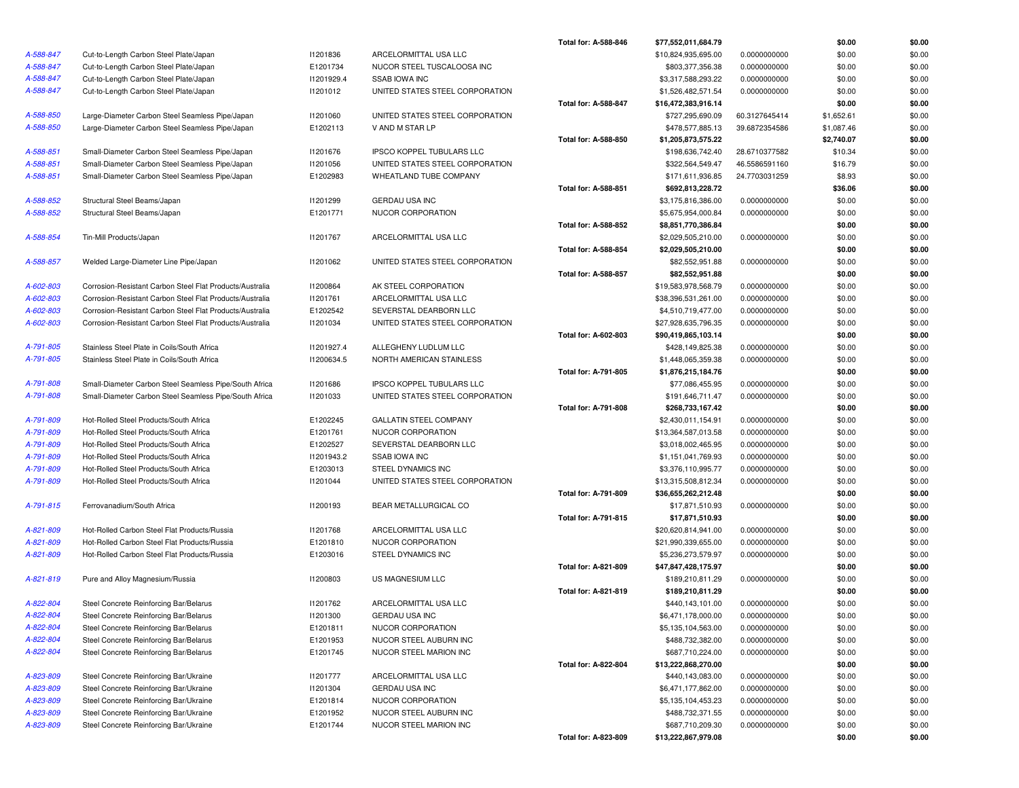|           |                                                          |            |                                  | Total for: A-588-846        | \$77,552,011,684.79 |               | \$0.00     | \$0.00 |
|-----------|----------------------------------------------------------|------------|----------------------------------|-----------------------------|---------------------|---------------|------------|--------|
| A-588-847 | Cut-to-Length Carbon Steel Plate/Japan                   | 11201836   | ARCELORMITTAL USA LLC            |                             | \$10,824,935,695.00 | 0.0000000000  | \$0.00     | \$0.00 |
| A-588-847 | Cut-to-Length Carbon Steel Plate/Japan                   | E1201734   | NUCOR STEEL TUSCALOOSA INC       |                             | \$803,377,356.38    | 0.0000000000  | \$0.00     | \$0.00 |
| A-588-847 | Cut-to-Length Carbon Steel Plate/Japan                   | 11201929.4 | <b>SSAB IOWA INC</b>             |                             | \$3,317,588,293.22  | 0.0000000000  | \$0.00     | \$0.00 |
| A-588-847 | Cut-to-Length Carbon Steel Plate/Japan                   | 11201012   | UNITED STATES STEEL CORPORATION  |                             | \$1,526,482,571.54  | 0.0000000000  | \$0.00     | \$0.00 |
|           |                                                          |            |                                  | Total for: A-588-847        | \$16,472,383,916.14 |               | \$0.00     | \$0.00 |
| A-588-850 | Large-Diameter Carbon Steel Seamless Pipe/Japan          | 11201060   | UNITED STATES STEEL CORPORATION  |                             | \$727,295,690.09    | 60.3127645414 | \$1,652.61 | \$0.00 |
| A-588-850 | Large-Diameter Carbon Steel Seamless Pipe/Japan          | E1202113   | V AND M STAR LP                  |                             | \$478,577,885.13    | 39.6872354586 | \$1,087.46 | \$0.00 |
|           |                                                          |            |                                  | Total for: A-588-850        | \$1,205,873,575.22  |               | \$2,740.07 | \$0.00 |
| A-588-851 | Small-Diameter Carbon Steel Seamless Pipe/Japan          | 11201676   | <b>IPSCO KOPPEL TUBULARS LLC</b> |                             | \$198,636,742.40    | 28.6710377582 | \$10.34    | \$0.00 |
| A-588-851 | Small-Diameter Carbon Steel Seamless Pipe/Japan          | 11201056   | UNITED STATES STEEL CORPORATION  |                             | \$322,564,549.47    | 46.5586591160 | \$16.79    | \$0.00 |
| A-588-851 | Small-Diameter Carbon Steel Seamless Pipe/Japan          | E1202983   | WHEATLAND TUBE COMPANY           |                             | \$171,611,936.85    | 24.7703031259 | \$8.93     | \$0.00 |
|           |                                                          |            |                                  | Total for: A-588-851        | \$692,813,228.72    |               | \$36.06    | \$0.00 |
| A-588-852 | Structural Steel Beams/Japan                             | 11201299   | <b>GERDAU USA INC</b>            |                             | \$3,175,816,386.00  | 0.0000000000  | \$0.00     | \$0.00 |
| A-588-852 | Structural Steel Beams/Japan                             | E1201771   | NUCOR CORPORATION                |                             | \$5,675,954,000.84  | 0.0000000000  | \$0.00     | \$0.00 |
|           |                                                          |            |                                  | Total for: A-588-852        | \$8,851,770,386.84  |               | \$0.00     | \$0.00 |
| A-588-854 | Tin-Mill Products/Japan                                  | 11201767   | ARCELORMITTAL USA LLC            |                             | \$2,029,505,210.00  | 0.0000000000  | \$0.00     | \$0.00 |
|           |                                                          |            |                                  | Total for: A-588-854        | \$2,029,505,210.00  |               | \$0.00     | \$0.00 |
| A-588-857 | Welded Large-Diameter Line Pipe/Japan                    | 11201062   | UNITED STATES STEEL CORPORATION  |                             | \$82,552,951.88     | 0.0000000000  | \$0.00     | \$0.00 |
|           |                                                          |            |                                  | Total for: A-588-857        | \$82,552,951.88     |               | \$0.00     | \$0.00 |
| A-602-803 | Corrosion-Resistant Carbon Steel Flat Products/Australia | 11200864   | AK STEEL CORPORATION             |                             | \$19,583,978,568.79 | 0.0000000000  | \$0.00     | \$0.00 |
| A-602-803 | Corrosion-Resistant Carbon Steel Flat Products/Australia | 11201761   | ARCELORMITTAL USA LLC            |                             | \$38,396,531,261.00 | 0.0000000000  | \$0.00     | \$0.00 |
| A-602-803 | Corrosion-Resistant Carbon Steel Flat Products/Australia | E1202542   | SEVERSTAL DEARBORN LLC           |                             | \$4,510,719,477.00  | 0.0000000000  | \$0.00     | \$0.00 |
| A-602-803 | Corrosion-Resistant Carbon Steel Flat Products/Australia | 11201034   | UNITED STATES STEEL CORPORATION  |                             | \$27,928,635,796.35 | 0.0000000000  | \$0.00     | \$0.00 |
|           |                                                          |            |                                  | Total for: A-602-803        | \$90,419,865,103.14 |               | \$0.00     | \$0.00 |
| A-791-805 | Stainless Steel Plate in Coils/South Africa              | 11201927.4 | ALLEGHENY LUDLUM LLC             |                             | \$428,149,825.38    | 0.0000000000  | \$0.00     | \$0.00 |
| A-791-805 | Stainless Steel Plate in Coils/South Africa              | I1200634.5 | NORTH AMERICAN STAINLESS         |                             | \$1,448,065,359.38  | 0.0000000000  | \$0.00     | \$0.00 |
|           |                                                          |            |                                  | Total for: A-791-805        | \$1,876,215,184.76  |               | \$0.00     | \$0.00 |
| A-791-808 | Small-Diameter Carbon Steel Seamless Pipe/South Africa   | 11201686   | IPSCO KOPPEL TUBULARS LLC        |                             | \$77,086,455.95     | 0.0000000000  | \$0.00     | \$0.00 |
| A-791-808 | Small-Diameter Carbon Steel Seamless Pipe/South Africa   | 11201033   | UNITED STATES STEEL CORPORATION  |                             | \$191,646,711.47    | 0.0000000000  | \$0.00     | \$0.00 |
|           |                                                          |            |                                  | Total for: A-791-808        | \$268,733,167.42    |               | \$0.00     | \$0.00 |
| A-791-809 | Hot-Rolled Steel Products/South Africa                   | E1202245   | <b>GALLATIN STEEL COMPANY</b>    |                             | \$2,430,011,154.91  | 0.0000000000  | \$0.00     | \$0.00 |
| A-791-809 | Hot-Rolled Steel Products/South Africa                   | E1201761   | NUCOR CORPORATION                |                             | \$13,364,587,013.58 | 0.0000000000  | \$0.00     | \$0.00 |
| A-791-809 | Hot-Rolled Steel Products/South Africa                   | E1202527   | SEVERSTAL DEARBORN LLC           |                             | \$3,018,002,465.95  | 0.0000000000  | \$0.00     | \$0.00 |
| A-791-809 | Hot-Rolled Steel Products/South Africa                   | 11201943.2 | <b>SSAB IOWA INC</b>             |                             | \$1,151,041,769.93  | 0.0000000000  | \$0.00     | \$0.00 |
| A-791-809 | Hot-Rolled Steel Products/South Africa                   | E1203013   | STEEL DYNAMICS INC               |                             | \$3,376,110,995.77  | 0.0000000000  | \$0.00     | \$0.00 |
| A-791-809 | Hot-Rolled Steel Products/South Africa                   | 11201044   | UNITED STATES STEEL CORPORATION  |                             | \$13,315,508,812.34 | 0.0000000000  | \$0.00     | \$0.00 |
|           |                                                          |            |                                  | Total for: A-791-809        | \$36,655,262,212.48 |               | \$0.00     | \$0.00 |
| A-791-815 | Ferrovanadium/South Africa                               | 11200193   | BEAR METALLURGICAL CO            |                             | \$17,871,510.93     | 0.0000000000  | \$0.00     | \$0.00 |
|           |                                                          |            |                                  | Total for: A-791-815        | \$17,871,510.93     |               | \$0.00     | \$0.00 |
| A-821-809 | Hot-Rolled Carbon Steel Flat Products/Russia             | 11201768   | ARCELORMITTAL USA LLC            |                             | \$20,620,814,941.00 | 0.0000000000  | \$0.00     | \$0.00 |
| A-821-809 | Hot-Rolled Carbon Steel Flat Products/Russia             | E1201810   | NUCOR CORPORATION                |                             | \$21,990,339,655.00 | 0.0000000000  | \$0.00     | \$0.00 |
| A-821-809 | Hot-Rolled Carbon Steel Flat Products/Russia             | E1203016   | STEEL DYNAMICS INC               |                             | \$5,236,273,579.97  | 0.0000000000  | \$0.00     | \$0.00 |
|           |                                                          |            |                                  | Total for: A-821-809        | \$47,847,428,175.97 |               | \$0.00     | \$0.00 |
| A-821-819 | Pure and Alloy Magnesium/Russia                          | 11200803   | US MAGNESIUM LLC                 |                             | \$189,210,811.29    | 0.0000000000  | \$0.00     | \$0.00 |
|           |                                                          |            |                                  | <b>Total for: A-821-819</b> | \$189,210,811.29    |               | \$0.00     | \$0.00 |
| A-822-804 | Steel Concrete Reinforcing Bar/Belarus                   | 11201762   | ARCELORMITTAL USA LLC            |                             | \$440,143,101.00    | 0.0000000000  | \$0.00     | \$0.00 |
| A-822-804 | Steel Concrete Reinforcing Bar/Belarus                   | 11201300   | <b>GERDAU USA INC</b>            |                             | \$6,471,178,000.00  | 0.0000000000  | \$0.00     | \$0.00 |
| A-822-804 | Steel Concrete Reinforcing Bar/Belarus                   | E1201811   | NUCOR CORPORATION                |                             | \$5,135,104,563.00  | 0.0000000000  | \$0.00     | \$0.00 |
| A-822-804 | Steel Concrete Reinforcing Bar/Belarus                   | E1201953   | NUCOR STEEL AUBURN INC           |                             | \$488,732,382.00    | 0.0000000000  | \$0.00     | \$0.00 |
| A-822-804 | Steel Concrete Reinforcing Bar/Belarus                   | E1201745   | NUCOR STEEL MARION INC           |                             | \$687,710,224.00    | 0.0000000000  | \$0.00     | \$0.00 |
|           |                                                          |            |                                  | Total for: A-822-804        | \$13,222,868,270.00 |               | \$0.00     | \$0.00 |
| A-823-809 | Steel Concrete Reinforcing Bar/Ukraine                   | 11201777   | ARCELORMITTAL USA LLC            |                             | \$440,143,083.00    | 0.0000000000  | \$0.00     | \$0.00 |
| A-823-809 | Steel Concrete Reinforcing Bar/Ukraine                   | 11201304   | GERDAU USA INC                   |                             | \$6,471,177,862.00  | 0.0000000000  | \$0.00     | \$0.00 |
| A-823-809 | Steel Concrete Reinforcing Bar/Ukraine                   | E1201814   | NUCOR CORPORATION                |                             | \$5,135,104,453.23  | 0.0000000000  | \$0.00     | \$0.00 |
| A-823-809 | Steel Concrete Reinforcing Bar/Ukraine                   | E1201952   | NUCOR STEEL AUBURN INC           |                             | \$488,732,371.55    | 0.0000000000  | \$0.00     | \$0.00 |
| A-823-809 | Steel Concrete Reinforcing Bar/Ukraine                   | E1201744   | NUCOR STEEL MARION INC           |                             | \$687,710,209.30    | 0.0000000000  | \$0.00     | \$0.00 |
|           |                                                          |            |                                  | Total for: A-823-809        | \$13,222,867,979.08 |               | \$0.00     | \$0.00 |
|           |                                                          |            |                                  |                             |                     |               |            |        |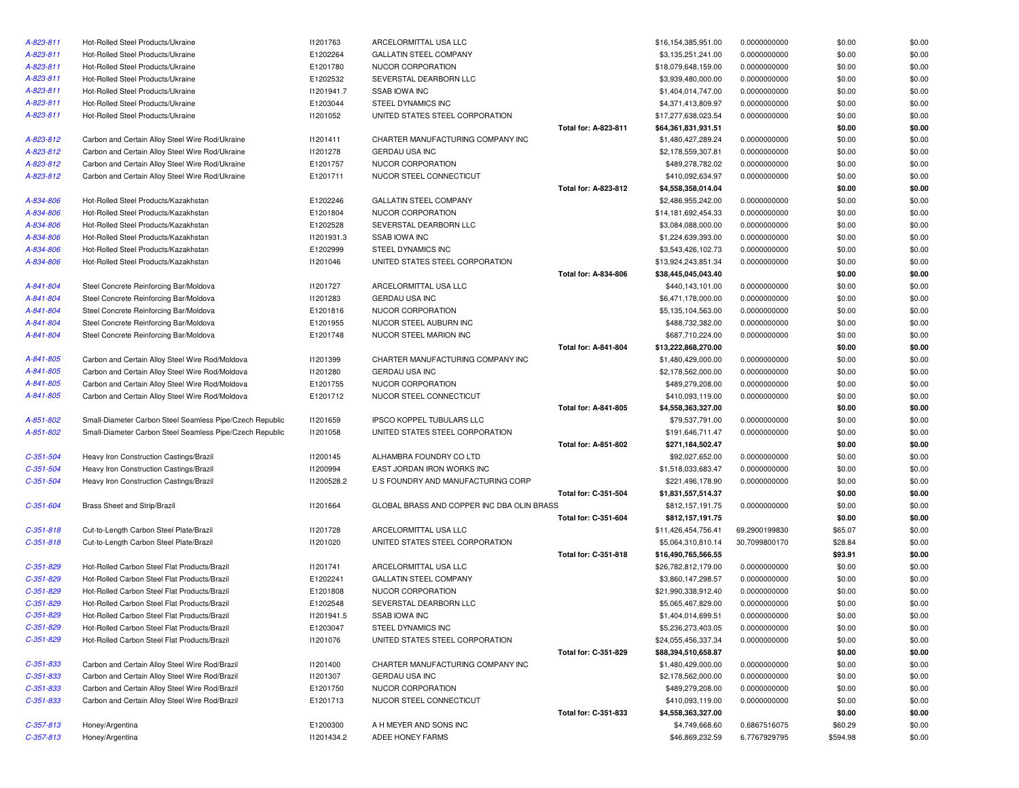| A-823-811       | Hot-Rolled Steel Products/Ukraine                        | 11201763        | ARCELORMITTAL USA LLC                      |                             | \$16,154,385,951.00 | 0.0000000000  | \$0.00   | \$0.00 |
|-----------------|----------------------------------------------------------|-----------------|--------------------------------------------|-----------------------------|---------------------|---------------|----------|--------|
| A-823-811       | Hot-Rolled Steel Products/Ukraine                        | E1202264        | <b>GALLATIN STEEL COMPANY</b>              |                             | \$3,135,251,241.00  | 0.0000000000  | \$0.00   | \$0.00 |
| A-823-811       | Hot-Rolled Steel Products/Ukraine                        | E1201780        | NUCOR CORPORATION                          |                             | \$18,079,648,159.00 | 0.0000000000  | \$0.00   | \$0.00 |
| A-823-811       | Hot-Rolled Steel Products/Ukraine                        | E1202532        | SEVERSTAL DEARBORN LLC                     |                             | \$3,939,480,000.00  | 0.0000000000  | \$0.00   | \$0.00 |
| A-823-811       | Hot-Rolled Steel Products/Ukraine                        | 11201941.7      | <b>SSAB IOWA INC</b>                       |                             | \$1,404,014,747.00  | 0.0000000000  | \$0.00   | \$0.00 |
| A-823-811       | Hot-Rolled Steel Products/Ukraine                        | E1203044        | STEEL DYNAMICS INC                         |                             | \$4,371,413,809.97  | 0.0000000000  | \$0.00   | \$0.00 |
| A-823-811       | Hot-Rolled Steel Products/Ukraine                        | 11201052        | UNITED STATES STEEL CORPORATION            |                             | \$17,277,638,023.54 | 0.0000000000  | \$0.00   | \$0.00 |
|                 |                                                          |                 |                                            | Total for: A-823-811        | \$64,361,831,931.51 |               | \$0.00   | \$0.00 |
| A-823-812       | Carbon and Certain Alloy Steel Wire Rod/Ukraine          | 11201411        | CHARTER MANUFACTURING COMPANY INC          |                             | \$1,480,427,289.24  | 0.0000000000  | \$0.00   | \$0.00 |
| A-823-812       | Carbon and Certain Alloy Steel Wire Rod/Ukraine          | 11201278        | <b>GERDAU USA INC</b>                      |                             | \$2,178,559,307.81  | 0.0000000000  | \$0.00   | \$0.00 |
| A-823-812       | Carbon and Certain Alloy Steel Wire Rod/Ukraine          | E1201757        | NUCOR CORPORATION                          |                             | \$489,278,782.02    | 0.0000000000  | \$0.00   | \$0.00 |
| A-823-812       | Carbon and Certain Alloy Steel Wire Rod/Ukraine          | E1201711        | NUCOR STEEL CONNECTICUT                    |                             | \$410,092,634.97    | 0.0000000000  | \$0.00   | \$0.00 |
|                 |                                                          |                 |                                            | Total for: A-823-812        | \$4,558,358,014.04  |               | \$0.00   | \$0.00 |
| A-834-806       | Hot-Rolled Steel Products/Kazakhstan                     | E1202246        | <b>GALLATIN STEEL COMPANY</b>              |                             | \$2,486,955,242.00  | 0.0000000000  | \$0.00   | \$0.00 |
| A-834-806       | Hot-Rolled Steel Products/Kazakhstan                     | E1201804        | NUCOR CORPORATION                          |                             | \$14,181,692,454.33 | 0.0000000000  | \$0.00   | \$0.00 |
| A-834-806       | Hot-Rolled Steel Products/Kazakhstan                     | E1202528        | SEVERSTAL DEARBORN LLC                     |                             | \$3,084,088,000.00  | 0.0000000000  | \$0.00   | \$0.00 |
| A-834-806       | Hot-Rolled Steel Products/Kazakhstan                     | 11201931.3      | <b>SSAB IOWA INC</b>                       |                             | \$1,224,639,393.00  | 0.0000000000  | \$0.00   | \$0.00 |
| A-834-806       | Hot-Rolled Steel Products/Kazakhstan                     | E1202999        | STEEL DYNAMICS INC                         |                             | \$3,543,426,102.73  | 0.0000000000  | \$0.00   | \$0.00 |
| A-834-806       | Hot-Rolled Steel Products/Kazakhstan                     | 11201046        | UNITED STATES STEEL CORPORATION            |                             | \$13,924,243,851.34 | 0.0000000000  | \$0.00   | \$0.00 |
|                 |                                                          |                 |                                            | Total for: A-834-806        | \$38,445,045,043.40 |               | \$0.00   | \$0.00 |
| A-841-804       | Steel Concrete Reinforcing Bar/Moldova                   | 11201727        | ARCELORMITTAL USA LLC                      |                             | \$440,143,101.00    | 0.0000000000  | \$0.00   | \$0.00 |
| A-841-804       | Steel Concrete Reinforcing Bar/Moldova                   | 11201283        | GERDAU USA INC                             |                             | \$6,471,178,000.00  | 0.0000000000  | \$0.00   | \$0.00 |
| A-841-804       | Steel Concrete Reinforcing Bar/Moldova                   | E1201816        | NUCOR CORPORATION                          |                             | \$5,135,104,563.00  | 0.0000000000  | \$0.00   | \$0.00 |
| A-841-804       | Steel Concrete Reinforcing Bar/Moldova                   | E1201955        | NUCOR STEEL AUBURN INC                     |                             | \$488,732,382.00    | 0.0000000000  | \$0.00   | \$0.00 |
| A-841-804       | Steel Concrete Reinforcing Bar/Moldova                   | E1201748        | NUCOR STEEL MARION INC                     |                             | \$687,710,224.00    | 0.0000000000  | \$0.00   | \$0.00 |
|                 |                                                          |                 |                                            | <b>Total for: A-841-804</b> | \$13,222,868,270.00 |               | \$0.00   | \$0.00 |
| A-841-805       | Carbon and Certain Alloy Steel Wire Rod/Moldova          | 11201399        | CHARTER MANUFACTURING COMPANY INC          |                             | \$1,480,429,000.00  | 0.0000000000  | \$0.00   | \$0.00 |
| A-841-805       | Carbon and Certain Alloy Steel Wire Rod/Moldova          | 11201280        | <b>GERDAU USA INC</b>                      |                             | \$2,178,562,000.00  | 0.0000000000  | \$0.00   | \$0.00 |
| A-841-805       | Carbon and Certain Alloy Steel Wire Rod/Moldova          | E1201755        | NUCOR CORPORATION                          |                             | \$489,279,208.00    | 0.0000000000  | \$0.00   | \$0.00 |
| A-841-805       | Carbon and Certain Alloy Steel Wire Rod/Moldova          | E1201712        | NUCOR STEEL CONNECTICUT                    |                             | \$410,093,119.00    | 0.0000000000  | \$0.00   | \$0.00 |
|                 |                                                          |                 |                                            | <b>Total for: A-841-805</b> | \$4,558,363,327.00  |               | \$0.00   | \$0.00 |
| A-851-802       | Small-Diameter Carbon Steel Seamless Pipe/Czech Republic | 11201659        | <b>IPSCO KOPPEL TUBULARS LLC</b>           |                             | \$79,537,791.00     | 0.0000000000  | \$0.00   | \$0.00 |
| A-851-802       | Small-Diameter Carbon Steel Seamless Pipe/Czech Republic | 11201058        | UNITED STATES STEEL CORPORATION            |                             | \$191,646,711.47    | 0.0000000000  | \$0.00   | \$0.00 |
|                 |                                                          |                 |                                            | Total for: A-851-802        | \$271,184,502.47    |               | \$0.00   | \$0.00 |
| $C-351-504$     | Heavy Iron Construction Castings/Brazil                  | 11200145        | ALHAMBRA FOUNDRY CO LTD                    |                             | \$92,027,652.00     | 0.0000000000  | \$0.00   | \$0.00 |
| $C-351-504$     | Heavy Iron Construction Castings/Brazil                  | <b>I1200994</b> | EAST JORDAN IRON WORKS INC                 |                             | \$1,518,033,683.47  | 0.0000000000  | \$0.00   | \$0.00 |
| $C-351-504$     | Heavy Iron Construction Castings/Brazil                  | 11200528.2      | U S FOUNDRY AND MANUFACTURING CORP         |                             | \$221,496,178.90    | 0.0000000000  | \$0.00   | \$0.00 |
|                 |                                                          |                 |                                            | Total for: C-351-504        | \$1,831,557,514.37  |               | \$0.00   | \$0.00 |
| $C - 351 - 604$ | Brass Sheet and Strip/Brazil                             | I1201664        | GLOBAL BRASS AND COPPER INC DBA OLIN BRASS |                             | \$812,157,191.75    | 0.0000000000  | \$0.00   | \$0.00 |
|                 |                                                          |                 |                                            | Total for: C-351-604        | \$812,157,191.75    |               | \$0.00   | \$0.00 |
| $C-351-818$     | Cut-to-Length Carbon Steel Plate/Brazil                  | 11201728        | ARCELORMITTAL USA LLC                      |                             | \$11,426,454,756.41 | 69.2900199830 | \$65.07  | \$0.00 |
| $C-351-818$     | Cut-to-Length Carbon Steel Plate/Brazil                  | 11201020        | UNITED STATES STEEL CORPORATION            |                             | \$5,064,310,810.14  | 30.7099800170 | \$28.84  | \$0.00 |
|                 |                                                          |                 |                                            | Total for: C-351-818        | \$16,490,765,566.55 |               | \$93.91  | \$0.00 |
| $C-351-829$     | Hot-Rolled Carbon Steel Flat Products/Brazil             | 11201741        | ARCELORMITTAL USA LLC                      |                             | \$26,782,812,179.00 | 0.0000000000  | \$0.00   | \$0.00 |
| $C-351-829$     | Hot-Rolled Carbon Steel Flat Products/Brazil             | E1202241        | <b>GALLATIN STEEL COMPANY</b>              |                             | \$3,860,147,298.57  | 0.0000000000  | \$0.00   | \$0.00 |
| $C-351-829$     | Hot-Rolled Carbon Steel Flat Products/Brazil             | E1201808        | NUCOR CORPORATION                          |                             | \$21,990,338,912.40 | 0.0000000000  | \$0.00   | \$0.00 |
| $C-351-829$     | Hot-Rolled Carbon Steel Flat Products/Brazil             | E1202548        | SEVERSTAL DEARBORN LLC                     |                             | \$5,065,467,829.00  | 0.0000000000  | \$0.00   | \$0.00 |
| $C-351-829$     | Hot-Rolled Carbon Steel Flat Products/Brazil             | 11201941.5      | SSAB IOWA INC                              |                             | \$1,404,014,699.51  | 0.0000000000  | \$0.00   | \$0.00 |
| $C-351-829$     | Hot-Rolled Carbon Steel Flat Products/Brazil             | E1203047        | STEEL DYNAMICS INC                         |                             | \$5,236,273,403.05  | 0.0000000000  | \$0.00   | \$0.00 |
| $C-351-829$     | Hot-Rolled Carbon Steel Flat Products/Brazil             | 11201076        | UNITED STATES STEEL CORPORATION            |                             | \$24,055,456,337.34 | 0.0000000000  | \$0.00   | \$0.00 |
|                 |                                                          |                 |                                            | Total for: C-351-829        | \$88,394,510,658.87 |               | \$0.00   | \$0.00 |
| $C - 351 - 833$ | Carbon and Certain Alloy Steel Wire Rod/Brazil           | 11201400        | CHARTER MANUFACTURING COMPANY INC          |                             | \$1,480,429,000.00  | 0.0000000000  | \$0.00   | \$0.00 |
| $C-351-833$     | Carbon and Certain Alloy Steel Wire Rod/Brazil           | 11201307        | GERDAU USA INC                             |                             | \$2,178,562,000.00  | 0.0000000000  | \$0.00   | \$0.00 |
| $C - 351 - 833$ | Carbon and Certain Alloy Steel Wire Rod/Brazil           | E1201750        | NUCOR CORPORATION                          |                             | \$489,279,208.00    | 0.0000000000  | \$0.00   | \$0.00 |
| $C - 351 - 833$ | Carbon and Certain Alloy Steel Wire Rod/Brazil           | E1201713        | NUCOR STEEL CONNECTICUT                    |                             | \$410,093,119.00    | 0.0000000000  | \$0.00   | \$0.00 |
|                 |                                                          |                 |                                            | Total for: C-351-833        | \$4,558,363,327.00  |               | \$0.00   | \$0.00 |
| $C-357-813$     | Honey/Argentina                                          | E1200300        | A H MEYER AND SONS INC                     |                             | \$4,749,668.60      | 0.6867516075  | \$60.29  | \$0.00 |
| $C-357-813$     | Honey/Argentina                                          | 11201434.2      | ADEE HONEY FARMS                           |                             | \$46,869,232.59     | 6.7767929795  | \$594.98 | \$0.00 |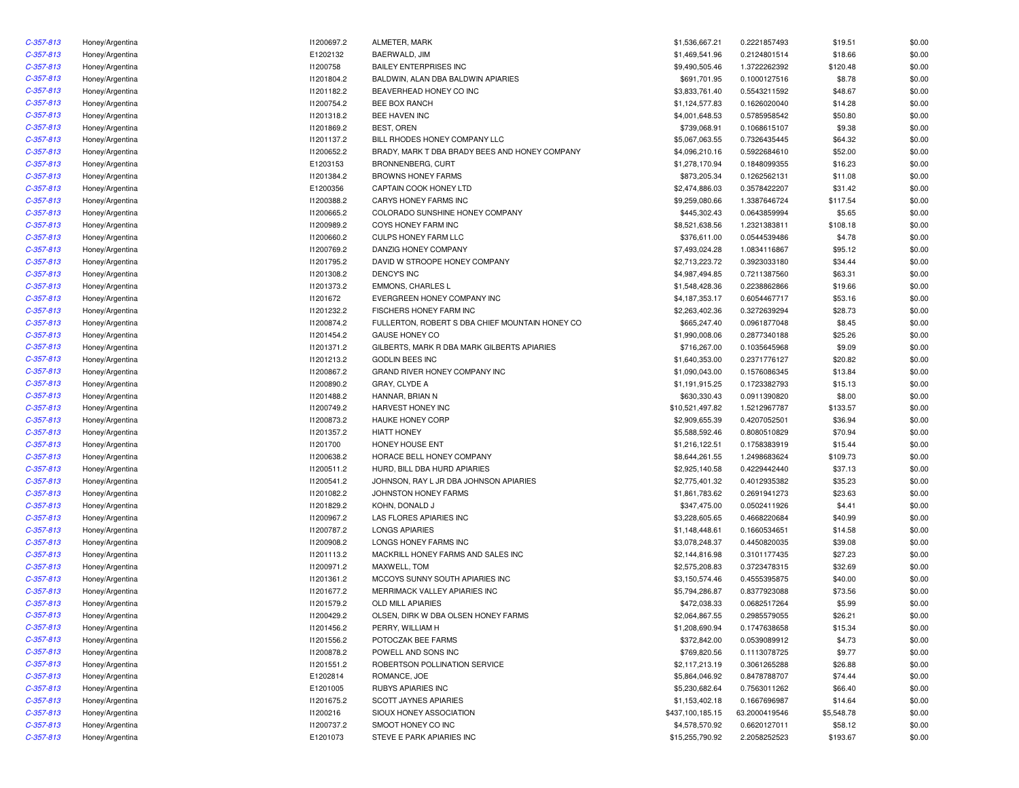| $C-357-813$ | Honey/Argentina | I1200697.2 | ALMETER, MARK                                   | \$1,536,667.21   | 0.2221857493  | \$19.51    | \$0.00 |
|-------------|-----------------|------------|-------------------------------------------------|------------------|---------------|------------|--------|
| $C-357-813$ | Honey/Argentina | E1202132   | BAERWALD, JIM                                   | \$1,469,541.96   | 0.2124801514  | \$18.66    | \$0.00 |
| $C-357-813$ | Honey/Argentina | 11200758   | <b>BAILEY ENTERPRISES INC</b>                   | \$9,490,505.46   | 1.3722262392  | \$120.48   | \$0.00 |
| $C-357-813$ | Honey/Argentina | 11201804.2 | BALDWIN, ALAN DBA BALDWIN APIARIES              | \$691,701.95     | 0.1000127516  | \$8.78     | \$0.00 |
| $C-357-813$ | Honey/Argentina | 11201182.2 | BEAVERHEAD HONEY CO INC                         | \$3,833,761.40   | 0.5543211592  | \$48.67    | \$0.00 |
| $C-357-813$ | Honey/Argentina | 11200754.2 | <b>BEE BOX RANCH</b>                            | \$1,124,577.83   | 0.1626020040  | \$14.28    | \$0.00 |
| $C-357-813$ | Honey/Argentina | 11201318.2 | BEE HAVEN INC                                   | \$4,001,648.53   | 0.5785958542  | \$50.80    | \$0.00 |
| $C-357-813$ | Honey/Argentina | 11201869.2 | <b>BEST, OREN</b>                               | \$739,068.91     | 0.1068615107  | \$9.38     | \$0.00 |
| $C-357-813$ | Honey/Argentina | 11201137.2 | BILL RHODES HONEY COMPANY LLC                   | \$5,067,063.55   | 0.7326435445  | \$64.32    | \$0.00 |
| $C-357-813$ | Honey/Argentina | 11200652.2 | BRADY, MARK T DBA BRADY BEES AND HONEY COMPANY  | \$4,096,210.16   | 0.5922684610  | \$52.00    | \$0.00 |
| $C-357-813$ | Honey/Argentina | E1203153   | BRONNENBERG, CURT                               | \$1,278,170.94   | 0.1848099355  | \$16.23    | \$0.00 |
| $C-357-813$ | Honey/Argentina | 11201384.2 | <b>BROWNS HONEY FARMS</b>                       | \$873,205.34     | 0.1262562131  | \$11.08    | \$0.00 |
| $C-357-813$ | Honey/Argentina | E1200356   | CAPTAIN COOK HONEY LTD                          | \$2,474,886.03   | 0.3578422207  | \$31.42    | \$0.00 |
| $C-357-813$ | Honey/Argentina | 11200388.2 | CARYS HONEY FARMS INC                           | \$9,259,080.66   | 1.3387646724  | \$117.54   | \$0.00 |
| $C-357-813$ | Honey/Argentina | 11200665.2 | COLORADO SUNSHINE HONEY COMPANY                 | \$445,302.43     | 0.0643859994  | \$5.65     | \$0.00 |
| $C-357-813$ | Honey/Argentina | 11200989.2 | COYS HONEY FARM INC                             | \$8,521,638.56   | 1.2321383811  | \$108.18   | \$0.00 |
| $C-357-813$ | Honey/Argentina | 11200660.2 | CULPS HONEY FARM LLC                            | \$376,611.00     | 0.0544539486  | \$4.78     | \$0.00 |
| $C-357-813$ | Honey/Argentina | 11200769.2 | DANZIG HONEY COMPANY                            | \$7,493,024.28   | 1.0834116867  | \$95.12    | \$0.00 |
| $C-357-813$ | Honey/Argentina | 11201795.2 | DAVID W STROOPE HONEY COMPANY                   | \$2,713,223.72   | 0.3923033180  | \$34.44    | \$0.00 |
| $C-357-813$ |                 | 11201308.2 | <b>DENCY'S INC</b>                              |                  |               | \$63.31    | \$0.00 |
|             | Honey/Argentina |            |                                                 | \$4,987,494.85   | 0.7211387560  |            |        |
| $C-357-813$ | Honey/Argentina | 11201373.2 | <b>EMMONS, CHARLES L</b>                        | \$1,548,428.36   | 0.2238862866  | \$19.66    | \$0.00 |
| $C-357-813$ | Honey/Argentina | 11201672   | EVERGREEN HONEY COMPANY INC                     | \$4,187,353.17   | 0.6054467717  | \$53.16    | \$0.00 |
| $C-357-813$ | Honey/Argentina | 11201232.2 | FISCHERS HONEY FARM INC                         | \$2,263,402.36   | 0.3272639294  | \$28.73    | \$0.00 |
| $C-357-813$ | Honey/Argentina | 11200874.2 | FULLERTON, ROBERT S DBA CHIEF MOUNTAIN HONEY CO | \$665,247.40     | 0.0961877048  | \$8.45     | \$0.00 |
| $C-357-813$ | Honey/Argentina | 11201454.2 | <b>GAUSE HONEY CO</b>                           | \$1,990,008.06   | 0.2877340188  | \$25.26    | \$0.00 |
| $C-357-813$ | Honey/Argentina | 11201371.2 | GILBERTS, MARK R DBA MARK GILBERTS APIARIES     | \$716,267.00     | 0.1035645968  | \$9.09     | \$0.00 |
| $C-357-813$ | Honey/Argentina | 11201213.2 | <b>GODLIN BEES INC</b>                          | \$1,640,353,00   | 0.2371776127  | \$20.82    | \$0.00 |
| $C-357-813$ | Honey/Argentina | 11200867.2 | GRAND RIVER HONEY COMPANY INC                   | \$1,090,043.00   | 0.1576086345  | \$13.84    | \$0.00 |
| $C-357-813$ | Honey/Argentina | 11200890.2 | GRAY, CLYDE A                                   | \$1,191,915.25   | 0.1723382793  | \$15.13    | \$0.00 |
| $C-357-813$ | Honey/Argentina | 11201488.2 | HANNAR, BRIAN N                                 | \$630,330.43     | 0.0911390820  | \$8.00     | \$0.00 |
| $C-357-813$ | Honey/Argentina | 11200749.2 | HARVEST HONEY INC                               | \$10,521,497.82  | 1.5212967787  | \$133.57   | \$0.00 |
| $C-357-813$ | Honey/Argentina | 11200873.2 | HAUKE HONEY CORP                                | \$2,909,655.39   | 0.4207052501  | \$36.94    | \$0.00 |
| $C-357-813$ | Honey/Argentina | 11201357.2 | <b>HIATT HONEY</b>                              | \$5,588,592.46   | 0.8080510829  | \$70.94    | \$0.00 |
| $C-357-813$ | Honey/Argentina | 11201700   | HONEY HOUSE ENT                                 | \$1,216,122.51   | 0.1758383919  | \$15.44    | \$0.00 |
| $C-357-813$ | Honey/Argentina | 11200638.2 | HORACE BELL HONEY COMPANY                       | \$8,644,261.55   | 1.2498683624  | \$109.73   | \$0.00 |
| $C-357-813$ | Honey/Argentina | 11200511.2 | HURD, BILL DBA HURD APIARIES                    | \$2,925,140.58   | 0.4229442440  | \$37.13    | \$0.00 |
| $C-357-813$ | Honey/Argentina | 11200541.2 | JOHNSON, RAY L JR DBA JOHNSON APIARIES          | \$2,775,401.32   | 0.4012935382  | \$35.23    | \$0.00 |
| $C-357-813$ | Honey/Argentina | 11201082.2 | JOHNSTON HONEY FARMS                            | \$1,861,783.62   | 0.2691941273  | \$23.63    | \$0.00 |
| $C-357-813$ | Honey/Argentina | 11201829.2 | KOHN, DONALD J                                  | \$347,475.00     | 0.0502411926  | \$4.41     | \$0.00 |
| $C-357-813$ | Honey/Argentina | 11200967.2 | LAS FLORES APIARIES INC                         | \$3,228,605.65   | 0.4668220684  | \$40.99    | \$0.00 |
| $C-357-813$ | Honey/Argentina | 11200787.2 | <b>LONGS APIARIES</b>                           | \$1,148,448.61   | 0.1660534651  | \$14.58    | \$0.00 |
| $C-357-813$ | Honey/Argentina | 11200908.2 | LONGS HONEY FARMS INC                           | \$3,078,248.37   | 0.4450820035  | \$39.08    | \$0.00 |
| $C-357-813$ | Honey/Argentina | 11201113.2 | MACKRILL HONEY FARMS AND SALES INC              | \$2,144,816.98   | 0.3101177435  | \$27.23    | \$0.00 |
| $C-357-813$ | Honey/Argentina | 11200971.2 | MAXWELL, TOM                                    | \$2,575,208.83   | 0.3723478315  | \$32.69    | \$0.00 |
| $C-357-813$ | Honey/Argentina | 11201361.2 | MCCOYS SUNNY SOUTH APIARIES INC                 | \$3,150,574.46   | 0.4555395875  | \$40.00    | \$0.00 |
| $C-357-813$ | Honey/Argentina | 11201677.2 | MERRIMACK VALLEY APIARIES INC                   | \$5,794,286.87   | 0.8377923088  | \$73.56    | \$0.00 |
| $C-357-813$ | Honey/Argentina | 11201579.2 | OLD MILL APIARIES                               | \$472,038.33     | 0.0682517264  | \$5.99     | \$0.00 |
| $C-357-813$ | Honey/Argentina | 11200429.2 | OLSEN, DIRK W DBA OLSEN HONEY FARMS             | \$2,064,867.55   | 0.2985579055  | \$26.21    | \$0.00 |
|             |                 |            |                                                 |                  | 0.1747638658  |            |        |
| $C-357-813$ | Honey/Argentina | 11201456.2 | PERRY, WILLIAM H                                | \$1,208,690.94   |               | \$15.34    | \$0.00 |
| $C-357-813$ | Honey/Argentina | 11201556.2 | POTOCZAK BEE FARMS                              | \$372,842.00     | 0.0539089912  | \$4.73     | \$0.00 |
| $C-357-813$ | Honey/Argentina | 11200878.2 | POWELL AND SONS INC                             | \$769,820.56     | 0.1113078725  | \$9.77     | \$0.00 |
| $C-357-813$ | Honey/Argentina | 11201551.2 | ROBERTSON POLLINATION SERVICE                   | \$2,117,213.19   | 0.3061265288  | \$26.88    | \$0.00 |
| $C-357-813$ | Honey/Argentina | E1202814   | ROMANCE, JOE                                    | \$5,864,046.92   | 0.8478788707  | \$74.44    | \$0.00 |
| $C-357-813$ | Honey/Argentina | E1201005   | RUBYS APIARIES INC                              | \$5,230,682.64   | 0.7563011262  | \$66.40    | \$0.00 |
| $C-357-813$ | Honey/Argentina | 11201675.2 | <b>SCOTT JAYNES APIARIES</b>                    | \$1,153,402.18   | 0.1667696987  | \$14.64    | \$0.00 |
| $C-357-813$ | Honey/Argentina | 11200216   | SIOUX HONEY ASSOCIATION                         | \$437,100,185.15 | 63.2000419546 | \$5,548.78 | \$0.00 |
| $C-357-813$ | Honey/Argentina | 11200737.2 | SMOOT HONEY CO INC                              | \$4,578,570.92   | 0.6620127011  | \$58.12    | \$0.00 |
| $C-357-813$ | Honey/Argentina | E1201073   | STEVE E PARK APIARIES INC                       | \$15,255,790.92  | 2.2058252523  | \$193.67   | \$0.00 |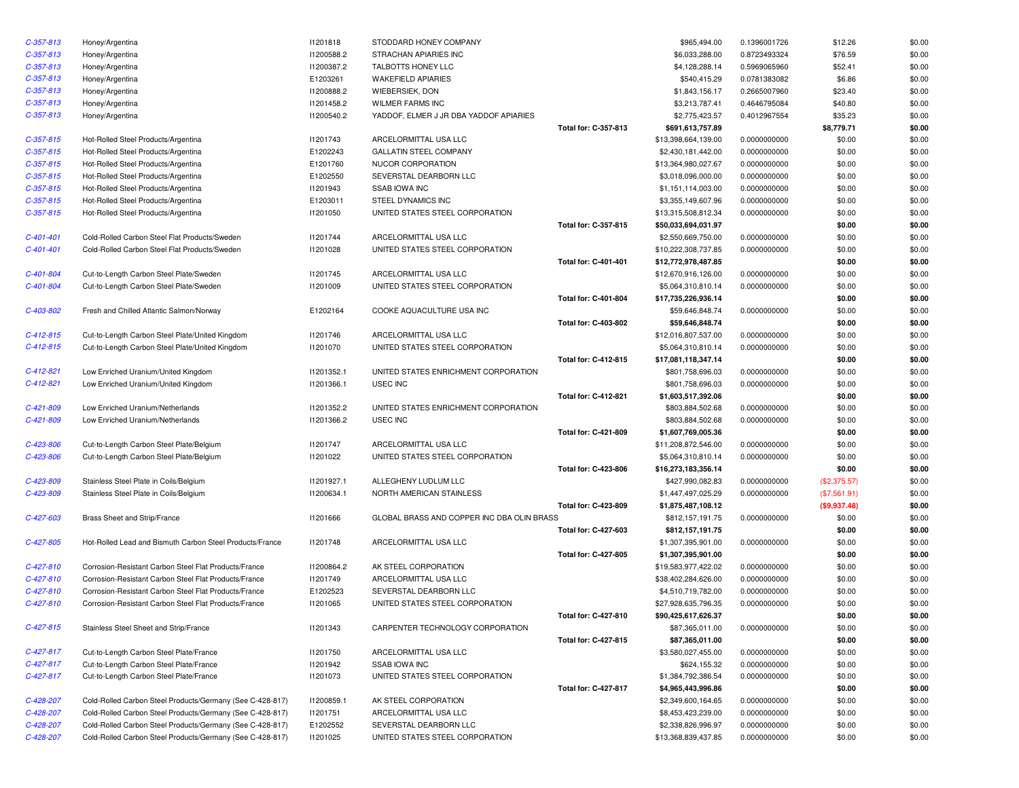| $C-357-813$ | Honey/Argentina                                           | 11201818   | STODDARD HONEY COMPANY                     |                             | \$965,494.00        | 0.1396001726 | \$12.26      | \$0.00 |
|-------------|-----------------------------------------------------------|------------|--------------------------------------------|-----------------------------|---------------------|--------------|--------------|--------|
| $C-357-813$ | Honey/Argentina                                           | 11200588.2 | STRACHAN APIARIES INC                      |                             | \$6,033,288.00      | 0.8723493324 | \$76.59      | \$0.00 |
| $C-357-813$ | Honey/Argentina                                           | 11200387.2 | TALBOTTS HONEY LLC                         |                             | \$4,128,288.14      | 0.5969065960 | \$52.41      | \$0.00 |
| $C-357-813$ | Honey/Argentina                                           | E1203261   | WAKEFIELD APIARIES                         |                             | \$540,415.29        | 0.0781383082 | \$6.86       | \$0.00 |
| $C-357-813$ | Honey/Argentina                                           | 11200888.2 | WIEBERSIEK, DON                            |                             | \$1,843,156.17      | 0.2665007960 | \$23.40      | \$0.00 |
| $C-357-813$ | Honey/Argentina                                           | 11201458.2 | WILMER FARMS INC                           |                             | \$3,213,787.41      | 0.4646795084 | \$40.80      | \$0.00 |
| $C-357-813$ | Honey/Argentina                                           | 11200540.2 | YADDOF, ELMER J JR DBA YADDOF APIARIES     |                             | \$2,775,423.57      | 0.4012967554 | \$35.23      | \$0.00 |
|             |                                                           |            |                                            | Total for: C-357-813        | \$691,613,757.89    |              | \$8,779.71   | \$0.00 |
| $C-357-815$ | Hot-Rolled Steel Products/Argentina                       | 11201743   | ARCELORMITTAL USA LLC                      |                             | \$13,398,664,139.00 | 0.0000000000 | \$0.00       | \$0.00 |
| $C-357-815$ | Hot-Rolled Steel Products/Argentina                       | E1202243   | <b>GALLATIN STEEL COMPANY</b>              |                             | \$2,430,181,442.00  | 0.0000000000 | \$0.00       | \$0.00 |
| $C-357-815$ | Hot-Rolled Steel Products/Argentina                       | E1201760   | NUCOR CORPORATION                          |                             | \$13,364,980,027.67 | 0.0000000000 | \$0.00       | \$0.00 |
| $C-357-815$ | Hot-Rolled Steel Products/Argentina                       | E1202550   | SEVERSTAL DEARBORN LLC                     |                             | \$3,018,096,000.00  | 0.0000000000 | \$0.00       | \$0.00 |
| $C-357-815$ | Hot-Rolled Steel Products/Argentina                       | 11201943   | <b>SSAB IOWA INC</b>                       |                             | \$1,151,114,003.00  | 0.0000000000 | \$0.00       | \$0.00 |
| $C-357-815$ | Hot-Rolled Steel Products/Argentina                       | E1203011   | STEEL DYNAMICS INC                         |                             | \$3,355,149,607.96  | 0.0000000000 | \$0.00       | \$0.00 |
| $C-357-815$ | Hot-Rolled Steel Products/Argentina                       | 11201050   | UNITED STATES STEEL CORPORATION            |                             | \$13,315,508,812.34 | 0.0000000000 | \$0.00       | \$0.00 |
|             |                                                           |            |                                            | Total for: C-357-815        | \$50,033,694,031.97 |              | \$0.00       | \$0.00 |
| $C-401-401$ | Cold-Rolled Carbon Steel Flat Products/Sweden             | 11201744   | ARCELORMITTAL USA LLC                      |                             | \$2,550,669,750.00  | 0.0000000000 | \$0.00       | \$0.00 |
| $C-401-401$ | Cold-Rolled Carbon Steel Flat Products/Sweden             | I1201028   | UNITED STATES STEEL CORPORATION            |                             | \$10,222,308,737.85 | 0.0000000000 | \$0.00       | \$0.00 |
|             |                                                           |            |                                            | Total for: C-401-401        | \$12,772,978,487.85 |              | \$0.00       | \$0.00 |
| C-401-804   | Cut-to-Length Carbon Steel Plate/Sweden                   | 11201745   | ARCELORMITTAL USA LLC                      |                             | \$12,670,916,126.00 | 0.0000000000 | \$0.00       | \$0.00 |
| $C-401-804$ | Cut-to-Length Carbon Steel Plate/Sweden                   | 11201009   | UNITED STATES STEEL CORPORATION            |                             | \$5,064,310,810.14  | 0.0000000000 | \$0.00       | \$0.00 |
|             |                                                           |            |                                            | Total for: C-401-804        | \$17,735,226,936.14 |              | \$0.00       | \$0.00 |
| C-403-802   | Fresh and Chilled Atlantic Salmon/Norway                  | E1202164   | COOKE AQUACULTURE USA INC                  |                             | \$59,646,848.74     | 0.0000000000 | \$0.00       | \$0.00 |
|             |                                                           |            |                                            | Total for: C-403-802        | \$59,646,848.74     |              | \$0.00       | \$0.00 |
| $C-412-815$ | Cut-to-Length Carbon Steel Plate/United Kingdom           | 11201746   | ARCELORMITTAL USA LLC                      |                             | \$12,016,807,537.00 | 0.0000000000 | \$0.00       | \$0.00 |
| $C-412-815$ | Cut-to-Length Carbon Steel Plate/United Kingdom           | 11201070   | UNITED STATES STEEL CORPORATION            |                             | \$5,064,310,810.14  | 0.0000000000 | \$0.00       | \$0.00 |
|             |                                                           |            |                                            | Total for: C-412-815        | \$17,081,118,347.14 |              | \$0.00       | \$0.00 |
| $C-412-821$ | Low Enriched Uranium/United Kingdom                       | 11201352.1 | UNITED STATES ENRICHMENT CORPORATION       |                             | \$801,758,696.03    | 0.0000000000 | \$0.00       | \$0.00 |
| $C-412-821$ | Low Enriched Uranium/United Kingdom                       | 11201366.1 | <b>USEC INC</b>                            |                             | \$801,758,696.03    | 0.0000000000 | \$0.00       | \$0.00 |
|             |                                                           |            |                                            | Total for: C-412-821        | \$1,603,517,392.06  |              | \$0.00       | \$0.00 |
| C-421-809   | Low Enriched Uranium/Netherlands                          | 11201352.2 | UNITED STATES ENRICHMENT CORPORATION       |                             | \$803,884,502.68    | 0.0000000000 | \$0.00       | \$0.00 |
| C-421-809   | Low Enriched Uranium/Netherlands                          | 11201366.2 | USEC INC                                   |                             | \$803,884,502.68    | 0.0000000000 | \$0.00       | \$0.00 |
|             |                                                           |            |                                            | Total for: C-421-809        | \$1,607,769,005.36  |              | \$0.00       | \$0.00 |
| C-423-806   | Cut-to-Length Carbon Steel Plate/Belgium                  | 11201747   | ARCELORMITTAL USA LLC                      |                             | \$11,208,872,546.00 | 0.0000000000 | \$0.00       | \$0.00 |
| C-423-806   | Cut-to-Length Carbon Steel Plate/Belgium                  | 11201022   | UNITED STATES STEEL CORPORATION            |                             | \$5,064,310,810.14  | 0.0000000000 | \$0.00       | \$0.00 |
|             |                                                           |            |                                            | Total for: C-423-806        | \$16,273,183,356.14 |              | \$0.00       | \$0.00 |
| C-423-809   | Stainless Steel Plate in Coils/Belgium                    | 11201927.1 | ALLEGHENY LUDLUM LLC                       |                             | \$427,990,082.83    | 0.0000000000 | (\$2,375.57) | \$0.00 |
| C-423-809   | Stainless Steel Plate in Coils/Belgium                    | 11200634.1 | NORTH AMERICAN STAINLESS                   |                             | \$1,447,497,025.29  | 0.0000000000 | (\$7,561.91) | \$0.00 |
|             |                                                           |            |                                            | Total for: C-423-809        | \$1,875,487,108.12  |              | (\$9,937.48) | \$0.00 |
| $C-427-603$ | Brass Sheet and Strip/France                              | 11201666   | GLOBAL BRASS AND COPPER INC DBA OLIN BRASS |                             | \$812,157,191.75    | 0.0000000000 | \$0.00       | \$0.00 |
|             |                                                           |            |                                            | Total for: C-427-603        | \$812,157,191.75    |              | \$0.00       | \$0.00 |
| $C-427-805$ | Hot-Rolled Lead and Bismuth Carbon Steel Products/France  | 11201748   | ARCELORMITTAL USA LLC                      |                             | \$1,307,395,901.00  | 0.0000000000 | \$0.00       | \$0.00 |
|             |                                                           |            |                                            | Total for: C-427-805        | \$1,307,395,901.00  |              | \$0.00       | \$0.00 |
| $C-427-810$ | Corrosion-Resistant Carbon Steel Flat Products/France     | 11200864.2 | AK STEEL CORPORATION                       |                             | \$19,583,977,422.02 | 0.0000000000 | \$0.00       | \$0.00 |
| $C-427-810$ | Corrosion-Resistant Carbon Steel Flat Products/France     | 11201749   | ARCELORMITTAL USA LLC                      |                             | \$38,402,284,626.00 | 0.0000000000 | \$0.00       | \$0.00 |
| C-427-810   | Corrosion-Resistant Carbon Steel Flat Products/France     | E1202523   | SEVERSTAL DEARBORN LLC                     |                             | \$4,510,719,782.00  | 0.0000000000 | \$0.00       | \$0.00 |
| $C-427-810$ | Corrosion-Resistant Carbon Steel Flat Products/France     | I1201065   | UNITED STATES STEEL CORPORATION            |                             | \$27,928,635,796.35 | 0.0000000000 | \$0.00       | \$0.00 |
|             |                                                           |            |                                            | <b>Total for: C-427-810</b> | \$90,425,617,626.37 |              | \$0.00       | \$0.00 |
| $C-427-815$ | Stainless Steel Sheet and Strip/France                    | 11201343   | CARPENTER TECHNOLOGY CORPORATION           |                             | \$87,365,011.00     | 0.0000000000 | \$0.00       | \$0.00 |
|             |                                                           |            |                                            | Total for: C-427-815        | \$87,365,011.00     |              | \$0.00       | \$0.00 |
| $C-427-817$ | Cut-to-Length Carbon Steel Plate/France                   | 11201750   | ARCELORMITTAL USA LLC                      |                             | \$3,580,027,455.00  | 0.0000000000 | \$0.00       | \$0.00 |
| $C-427-817$ | Cut-to-Length Carbon Steel Plate/France                   | 11201942   | <b>SSAB IOWA INC</b>                       |                             | \$624,155.32        | 0.0000000000 | \$0.00       | \$0.00 |
| $C-427-817$ | Cut-to-Length Carbon Steel Plate/France                   | 11201073   | UNITED STATES STEEL CORPORATION            |                             | \$1,384,792,386.54  | 0.0000000000 | \$0.00       | \$0.00 |
|             |                                                           |            |                                            | Total for: C-427-817        | \$4,965,443,996.86  |              | \$0.00       | \$0.00 |
| C-428-207   | Cold-Rolled Carbon Steel Products/Germany (See C-428-817) | I1200859.1 | AK STEEL CORPORATION                       |                             | \$2,349,600,164.65  | 0.0000000000 | \$0.00       | \$0.00 |
| C-428-207   | Cold-Rolled Carbon Steel Products/Germany (See C-428-817) | 11201751   | ARCELORMITTAL USA LLC                      |                             | \$8,453,423,239.00  | 0.0000000000 | \$0.00       | \$0.00 |
| C-428-207   | Cold-Rolled Carbon Steel Products/Germany (See C-428-817) | E1202552   | SEVERSTAL DEARBORN LLC                     |                             | \$2,338,826,996.97  | 0.0000000000 | \$0.00       | \$0.00 |
| C-428-207   | Cold-Rolled Carbon Steel Products/Germany (See C-428-817) | 11201025   | UNITED STATES STEEL CORPORATION            |                             | \$13,368,839,437.85 | 0.0000000000 | \$0.00       | \$0.00 |
|             |                                                           |            |                                            |                             |                     |              |              |        |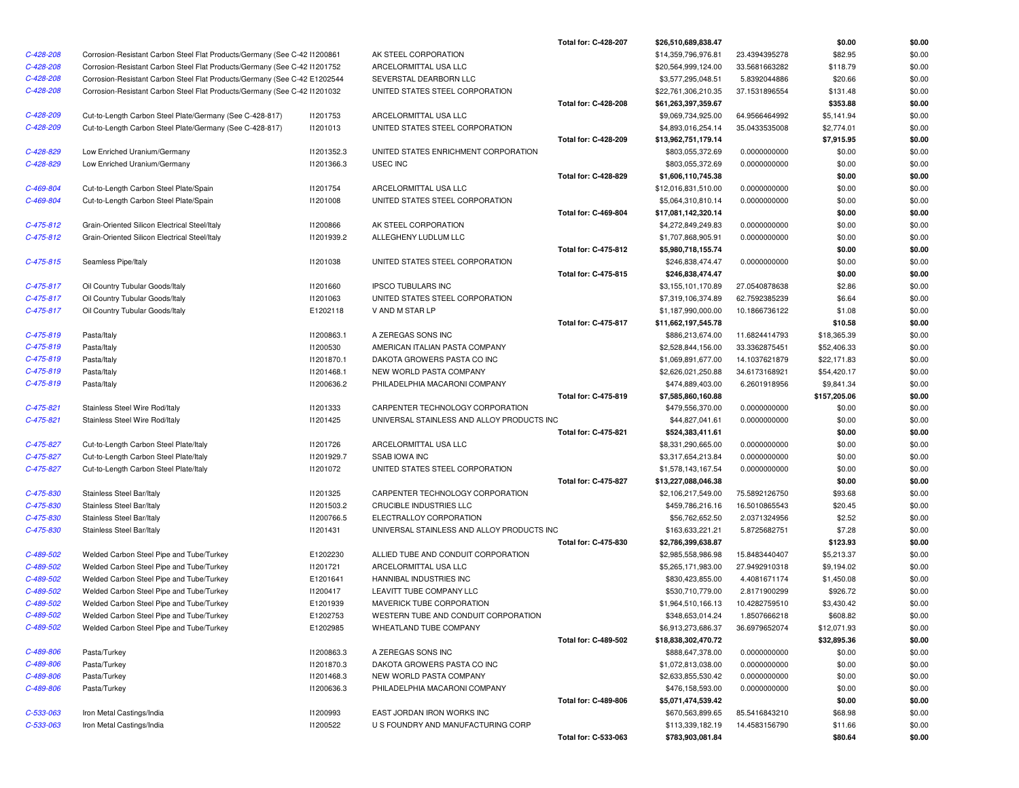|                            |                                                                           |                          |                                                        | <b>Total for: C-428-207</b> | \$26,510,689,838.47                    |                               | \$0.00                    | \$0.00           |
|----------------------------|---------------------------------------------------------------------------|--------------------------|--------------------------------------------------------|-----------------------------|----------------------------------------|-------------------------------|---------------------------|------------------|
| C-428-208                  | Corrosion-Resistant Carbon Steel Flat Products/Germany (See C-42 I1200861 |                          | AK STEEL CORPORATION                                   |                             | \$14,359,796,976.81                    | 23.4394395278                 | \$82.95                   | \$0.00           |
| C-428-208                  | Corrosion-Resistant Carbon Steel Flat Products/Germany (See C-42 I1201752 |                          | ARCELORMITTAL USA LLC                                  |                             | \$20,564,999,124.00                    | 33.5681663282                 | \$118.79                  | \$0.00           |
| C-428-208                  | Corrosion-Resistant Carbon Steel Flat Products/Germany (See C-42 E1202544 |                          | SEVERSTAL DEARBORN LLC                                 |                             | \$3,577,295,048.51                     | 5.8392044886                  | \$20.66                   | \$0.00           |
| C-428-208                  | Corrosion-Resistant Carbon Steel Flat Products/Germany (See C-42 I1201032 |                          | UNITED STATES STEEL CORPORATION                        |                             | \$22,761,306,210.35                    | 37.1531896554                 | \$131.48                  | \$0.00           |
|                            |                                                                           |                          |                                                        | Total for: C-428-208        | \$61,263,397,359.67                    |                               | \$353.88                  | \$0.00           |
| C-428-209                  | Cut-to-Length Carbon Steel Plate/Germany (See C-428-817)                  | 11201753                 | ARCELORMITTAL USA LLC                                  |                             | \$9,069,734,925.00                     | 64.9566464992                 | \$5,141.94                | \$0.00           |
| C-428-209                  | Cut-to-Length Carbon Steel Plate/Germany (See C-428-817)                  | 11201013                 | UNITED STATES STEEL CORPORATION                        |                             | \$4,893,016,254.14                     | 35.0433535008                 | \$2,774.01                | \$0.00           |
|                            |                                                                           |                          |                                                        | Total for: C-428-209        | \$13,962,751,179.14                    |                               | \$7,915.95                | \$0.00           |
| C-428-829                  | Low Enriched Uranium/Germany                                              | 11201352.3               | UNITED STATES ENRICHMENT CORPORATION                   |                             | \$803,055,372.69                       | 0.0000000000                  | \$0.00                    | \$0.00           |
| C-428-829                  | Low Enriched Uranium/Germany                                              | 11201366.3               | USEC INC                                               |                             | \$803,055,372.69                       | 0.0000000000                  | \$0.00                    | \$0.00           |
|                            |                                                                           |                          |                                                        | Total for: C-428-829        | \$1,606,110,745.38                     |                               | \$0.00                    | \$0.00           |
| C-469-804                  | Cut-to-Length Carbon Steel Plate/Spain                                    | 11201754                 | ARCELORMITTAL USA LLC                                  |                             | \$12,016,831,510.00                    | 0.0000000000                  | \$0.00                    | \$0.00           |
| C-469-804                  | Cut-to-Length Carbon Steel Plate/Spain                                    | 11201008                 | UNITED STATES STEEL CORPORATION                        |                             | \$5,064,310,810.14                     | 0.0000000000                  | \$0.00                    | \$0.00           |
|                            |                                                                           |                          |                                                        | Total for: C-469-804        | \$17,081,142,320.14                    |                               | \$0.00                    | \$0.00           |
| $C-475-812$                | Grain-Oriented Silicon Electrical Steel/Italy                             | 11200866                 | AK STEEL CORPORATION                                   |                             | \$4,272,849,249.83                     | 0.0000000000                  | \$0.00                    | \$0.00           |
| $C-475-812$                | Grain-Oriented Silicon Electrical Steel/Italy                             | 11201939.2               | ALLEGHENY LUDLUM LLC                                   |                             | \$1,707,868,905.91                     | 0.0000000000                  | \$0.00                    | \$0.00           |
|                            |                                                                           |                          |                                                        | Total for: C-475-812        | \$5,980,718,155.74                     |                               | \$0.00                    | \$0.00           |
| $C-475-815$                | Seamless Pipe/Italy                                                       | 11201038                 | UNITED STATES STEEL CORPORATION                        |                             | \$246,838,474.47                       | 0.0000000000                  | \$0.00                    | \$0.00           |
|                            |                                                                           |                          |                                                        | Total for: C-475-815        | \$246,838,474.47                       |                               | \$0.00                    | \$0.00           |
| $C-475-817$                | Oil Country Tubular Goods/Italy                                           | 11201660                 | <b>IPSCO TUBULARS INC</b>                              |                             | \$3,155,101,170.89                     | 27.0540878638                 | \$2.86                    | \$0.00           |
| $C-475-817$                | Oil Country Tubular Goods/Italy                                           | 11201063                 | UNITED STATES STEEL CORPORATION                        |                             | \$7,319,106,374.89                     | 62.7592385239                 | \$6.64                    | \$0.00           |
| $C-475-817$                | Oil Country Tubular Goods/Italy                                           | E1202118                 | V AND M STAR LP                                        |                             | \$1,187,990,000.00                     | 10.1866736122                 | \$1.08                    | \$0.00           |
|                            |                                                                           |                          |                                                        | <b>Total for: C-475-817</b> | \$11,662,197,545.78                    |                               | \$10.58                   | \$0.00           |
| $C-475-819$                | Pasta/Italy                                                               | 11200863.1               | A ZEREGAS SONS INC<br>AMERICAN ITALIAN PASTA COMPANY   |                             | \$886,213,674.00                       | 11.6824414793                 | \$18,365.39               | \$0.00<br>\$0.00 |
| $C-475-819$<br>C-475-819   | Pasta/Italy                                                               | 11200530                 |                                                        |                             | \$2,528,844,156.00                     | 33.3362875451                 | \$52,406.33               |                  |
|                            | Pasta/Italy                                                               | 11201870.1<br>I1201468.1 | DAKOTA GROWERS PASTA CO INC<br>NEW WORLD PASTA COMPANY |                             | \$1,069,891,677.00                     | 14.1037621879                 | \$22,171.83               | \$0.00<br>\$0.00 |
| $C-475-819$<br>$C-475-819$ | Pasta/Italy<br>Pasta/Italy                                                | 11200636.2               | PHILADELPHIA MACARONI COMPANY                          |                             | \$2,626,021,250.88<br>\$474,889,403.00 | 34.6173168921<br>6.2601918956 | \$54,420.17<br>\$9,841.34 | \$0.00           |
|                            |                                                                           |                          |                                                        | Total for: C-475-819        |                                        |                               |                           | \$0.00           |
| $C-475-821$                | Stainless Steel Wire Rod/Italy                                            | 11201333                 | CARPENTER TECHNOLOGY CORPORATION                       |                             | \$7,585,860,160.88<br>\$479,556,370.00 | 0.0000000000                  | \$157,205.06<br>\$0.00    | \$0.00           |
| $C-475-821$                | Stainless Steel Wire Rod/Italy                                            | 11201425                 | UNIVERSAL STAINLESS AND ALLOY PRODUCTS INC             |                             | \$44,827,041.61                        | 0.0000000000                  | \$0.00                    | \$0.00           |
|                            |                                                                           |                          |                                                        | <b>Total for: C-475-821</b> | \$524,383,411.61                       |                               | \$0.00                    | \$0.00           |
| C-475-827                  | Cut-to-Length Carbon Steel Plate/Italy                                    | 11201726                 | ARCELORMITTAL USA LLC                                  |                             | \$8,331,290,665.00                     | 0.0000000000                  | \$0.00                    | \$0.00           |
| C-475-827                  | Cut-to-Length Carbon Steel Plate/Italy                                    | 11201929.7               | <b>SSAB IOWA INC</b>                                   |                             | \$3,317,654,213.84                     | 0.0000000000                  | \$0.00                    | \$0.00           |
| C-475-827                  | Cut-to-Length Carbon Steel Plate/Italy                                    | 11201072                 | UNITED STATES STEEL CORPORATION                        |                             | \$1,578,143,167.54                     | 0.0000000000                  | \$0.00                    | \$0.00           |
|                            |                                                                           |                          |                                                        | Total for: C-475-827        | \$13,227,088,046.38                    |                               | \$0.00                    | \$0.00           |
| C-475-830                  | Stainless Steel Bar/Italy                                                 | 11201325                 | CARPENTER TECHNOLOGY CORPORATION                       |                             | \$2,106,217,549.00                     | 75.5892126750                 | \$93.68                   | \$0.00           |
| C-475-830                  | Stainless Steel Bar/Italy                                                 | 11201503.2               | CRUCIBLE INDUSTRIES LLC                                |                             | \$459,786,216.16                       | 16.5010865543                 | \$20.45                   | \$0.00           |
| C-475-830                  | Stainless Steel Bar/Italy                                                 | I1200766.5               | ELECTRALLOY CORPORATION                                |                             | \$56,762,652.50                        | 2.0371324956                  | \$2.52                    | \$0.00           |
| C-475-830                  | Stainless Steel Bar/Italy                                                 | 11201431                 | UNIVERSAL STAINLESS AND ALLOY PRODUCTS INC             |                             | \$163,633,221.21                       | 5.8725682751                  | \$7.28                    | \$0.00           |
|                            |                                                                           |                          |                                                        | Total for: C-475-830        | \$2,786,399,638.87                     |                               | \$123.93                  | \$0.00           |
| C-489-502                  | Welded Carbon Steel Pipe and Tube/Turkey                                  | E1202230                 | ALLIED TUBE AND CONDUIT CORPORATION                    |                             | \$2,985,558,986.98                     | 15.8483440407                 | \$5,213.37                | \$0.00           |
| C-489-502                  | Welded Carbon Steel Pipe and Tube/Turkey                                  | 11201721                 | ARCELORMITTAL USA LLC                                  |                             | \$5,265,171,983.00                     | 27.9492910318                 | \$9,194.02                | \$0.00           |
| C-489-502                  | Welded Carbon Steel Pipe and Tube/Turkey                                  | E1201641                 | HANNIBAL INDUSTRIES INC                                |                             | \$830,423,855.00                       | 4.4081671174                  | \$1,450.08                | \$0.00           |
| C-489-502                  | Welded Carbon Steel Pipe and Tube/Turkey                                  | I1200417                 | LEAVITT TUBE COMPANY LLC                               |                             | \$530,710,779.00                       | 2.8171900299                  | \$926.72                  | \$0.00           |
| C-489-502                  | Welded Carbon Steel Pipe and Tube/Turkey                                  | E1201939                 | MAVERICK TUBE CORPORATION                              |                             | \$1,964,510,166.13                     | 10.4282759510                 | \$3,430.42                | \$0.00           |
| C-489-502                  | Welded Carbon Steel Pipe and Tube/Turkey                                  | E1202753                 | WESTERN TUBE AND CONDUIT CORPORATION                   |                             | \$348,653,014.24                       | 1.8507666218                  | \$608.82                  | \$0.00           |
| C-489-502                  | Welded Carbon Steel Pipe and Tube/Turkey                                  | E1202985                 | WHEATLAND TUBE COMPANY                                 |                             | \$6,913,273,686.37                     | 36.6979652074                 | \$12,071.93               | \$0.00           |
|                            |                                                                           |                          |                                                        | Total for: C-489-502        | \$18,838,302,470.72                    |                               | \$32,895.36               | \$0.00           |
| C-489-806                  | Pasta/Turkey                                                              | 11200863.3               | A ZEREGAS SONS INC                                     |                             | \$888,647,378.00                       | 0.0000000000                  | \$0.00                    | \$0.00           |
| C-489-806                  | Pasta/Turkey                                                              | 11201870.3               | DAKOTA GROWERS PASTA CO INC                            |                             | \$1,072,813,038.00                     | 0.0000000000                  | \$0.00                    | \$0.00           |
| C-489-806                  | Pasta/Turkey                                                              | 11201468.3               | NEW WORLD PASTA COMPANY                                |                             | \$2,633,855,530.42                     | 0.0000000000                  | \$0.00                    | \$0.00           |
| C-489-806                  | Pasta/Turkey                                                              | 11200636.3               | PHILADELPHIA MACARONI COMPANY                          |                             | \$476,158,593.00                       | 0.0000000000                  | \$0.00                    | \$0.00           |
|                            |                                                                           |                          |                                                        |                             | \$5,071,474,539.42                     |                               | \$0.00                    | \$0.00           |
|                            |                                                                           |                          |                                                        | Total for: C-489-806        |                                        |                               |                           |                  |
| C-533-063                  | Iron Metal Castings/India                                                 | 11200993                 | EAST JORDAN IRON WORKS INC                             |                             | \$670,563,899.65                       | 85.5416843210                 | \$68.98                   | \$0.00           |
| C-533-063                  | Iron Metal Castings/India                                                 | 11200522                 | U S FOUNDRY AND MANUFACTURING CORP                     |                             | \$113,339,182.19                       | 14.4583156790                 | \$11.66                   | \$0.00           |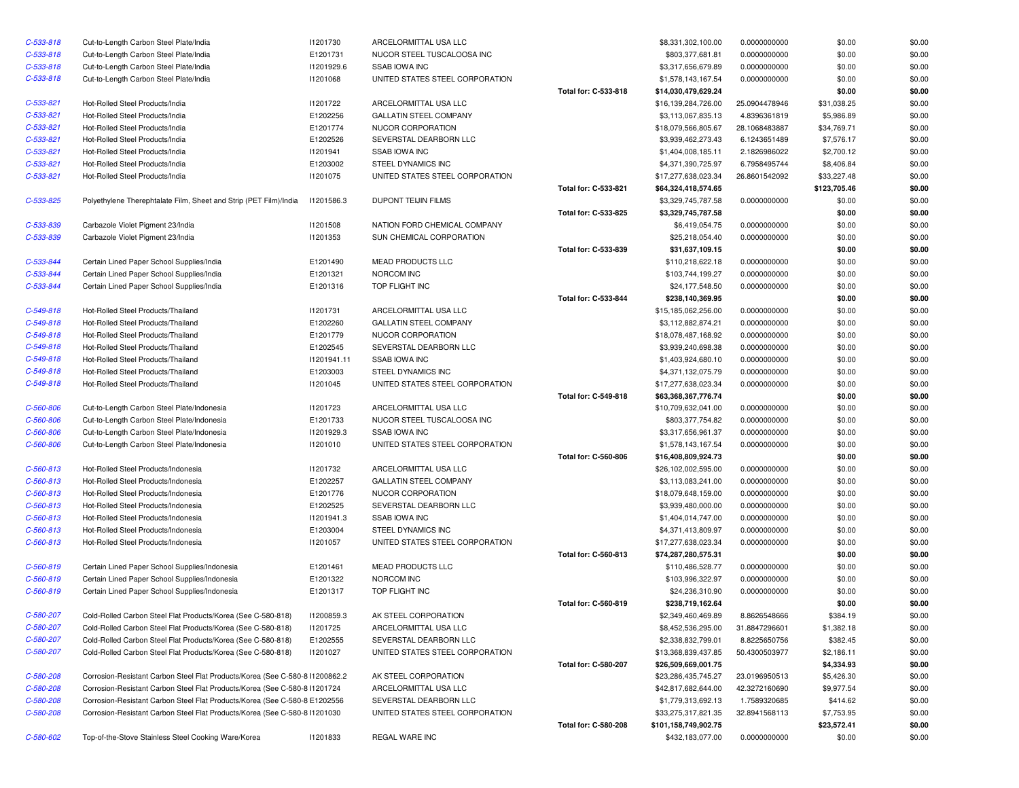| $C - 533 - 818$ | Cut-to-Length Carbon Steel Plate/India                                       | 11201730    | ARCELORMITTAL USA LLC           |                             | \$8,331,302,100.00                        | 0.0000000000                 | \$0.00           | \$0.00           |
|-----------------|------------------------------------------------------------------------------|-------------|---------------------------------|-----------------------------|-------------------------------------------|------------------------------|------------------|------------------|
| $C-533-818$     | Cut-to-Length Carbon Steel Plate/India                                       | E1201731    | NUCOR STEEL TUSCALOOSA INC      |                             | \$803,377,681.81                          | 0.0000000000                 | \$0.00           | \$0.00           |
| $C-533-818$     | Cut-to-Length Carbon Steel Plate/India                                       | 11201929.6  | <b>SSAB IOWA INC</b>            |                             | \$3,317,656,679.89                        | 0.0000000000                 | \$0.00           | \$0.00           |
| $C-533-818$     | Cut-to-Length Carbon Steel Plate/India                                       | 11201068    | UNITED STATES STEEL CORPORATION |                             | \$1,578,143,167.54                        | 0.0000000000                 | \$0.00           | \$0.00           |
|                 |                                                                              |             |                                 | Total for: C-533-818        | \$14,030,479,629.24                       |                              | \$0.00           | \$0.00           |
| $C-533-821$     | Hot-Rolled Steel Products/India                                              | 11201722    | ARCELORMITTAL USA LLC           |                             | \$16,139,284,726.00                       | 25.0904478946                | \$31,038.25      | \$0.00           |
| $C-533-821$     | Hot-Rolled Steel Products/India                                              | E1202256    | GALLATIN STEEL COMPANY          |                             | \$3,113,067,835.13                        | 4.8396361819                 | \$5,986.89       | \$0.00           |
| $C-533-821$     | Hot-Rolled Steel Products/India                                              | E1201774    | NUCOR CORPORATION               |                             | \$18,079,566,805.67                       | 28.1068483887                | \$34,769.71      | \$0.00           |
| $C-533-821$     | Hot-Rolled Steel Products/India                                              | E1202526    | SEVERSTAL DEARBORN LLC          |                             | \$3,939,462,273.43                        | 6.1243651489                 | \$7,576.17       | \$0.00           |
| $C-533-821$     | Hot-Rolled Steel Products/India                                              | 11201941    | <b>SSAB IOWA INC</b>            |                             | \$1,404,008,185.11                        | 2.1826986022                 | \$2,700.12       | \$0.00           |
| $C-533-821$     | Hot-Rolled Steel Products/India                                              | E1203002    | STEEL DYNAMICS INC              |                             | \$4,371,390,725.97                        | 6.7958495744                 | \$8,406.84       | \$0.00           |
| $C - 533 - 821$ | Hot-Rolled Steel Products/India                                              | 11201075    | UNITED STATES STEEL CORPORATION |                             | \$17,277,638,023.34                       | 26.8601542092                | \$33,227.48      | \$0.00           |
|                 |                                                                              |             |                                 | Total for: C-533-821        | \$64,324,418,574.65                       |                              | \$123,705.46     | \$0.00           |
| C-533-825       | Polyethylene Therephtalate Film, Sheet and Strip (PET Film)/India            | 11201586.3  | <b>DUPONT TEIJIN FILMS</b>      |                             | \$3,329,745,787.58                        | 0.0000000000                 | \$0.00           | \$0.00           |
|                 |                                                                              |             |                                 | Total for: C-533-825        | \$3,329,745,787.58                        |                              | \$0.00           | \$0.00           |
| C-533-839       | Carbazole Violet Pigment 23/India                                            | 11201508    | NATION FORD CHEMICAL COMPANY    |                             | \$6,419,054.75                            | 0.0000000000                 | \$0.00           | \$0.00           |
| C-533-839       | Carbazole Violet Pigment 23/India                                            | 11201353    | SUN CHEMICAL CORPORATION        |                             | \$25,218,054.40                           | 0.0000000000                 | \$0.00           | \$0.00           |
|                 |                                                                              |             |                                 | Total for: C-533-839        | \$31,637,109.15                           |                              | \$0.00           | \$0.00           |
| C-533-844       | Certain Lined Paper School Supplies/India                                    | E1201490    | MEAD PRODUCTS LLC               |                             | \$110,218,622.18                          | 0.0000000000                 | \$0.00           | \$0.00           |
| C-533-844       | Certain Lined Paper School Supplies/India                                    | E1201321    | NORCOM INC                      |                             | \$103,744,199.27                          | 0.0000000000                 | \$0.00           | \$0.00           |
| C-533-844       | Certain Lined Paper School Supplies/India                                    | E1201316    | TOP FLIGHT INC                  |                             | \$24,177,548.50                           | 0.0000000000                 | \$0.00           | \$0.00           |
|                 |                                                                              |             |                                 | <b>Total for: C-533-844</b> | \$238,140,369.95                          |                              | \$0.00           | \$0.00           |
| $C - 549 - 818$ | Hot-Rolled Steel Products/Thailand                                           | 11201731    | ARCELORMITTAL USA LLC           |                             | \$15,185,062,256.00                       | 0.0000000000                 | \$0.00           | \$0.00           |
| $C-549-818$     | Hot-Rolled Steel Products/Thailand                                           | E1202260    | <b>GALLATIN STEEL COMPANY</b>   |                             | \$3,112,882,874.21                        | 0.0000000000                 | \$0.00           | \$0.00           |
| $C-549-818$     | Hot-Rolled Steel Products/Thailand                                           | E1201779    | NUCOR CORPORATION               |                             | \$18,078,487,168.92                       | 0.0000000000                 | \$0.00           | \$0.00           |
| $C-549-818$     | Hot-Rolled Steel Products/Thailand                                           | E1202545    | SEVERSTAL DEARBORN LLC          |                             | \$3,939,240,698.38                        | 0.0000000000                 | \$0.00           | \$0.00           |
| $C-549-818$     | Hot-Rolled Steel Products/Thailand                                           | 11201941.11 | <b>SSAB IOWA INC</b>            |                             | \$1,403,924,680.10                        | 0.0000000000                 | \$0.00           | \$0.00           |
| $C-549-818$     | Hot-Rolled Steel Products/Thailand                                           | E1203003    | STEEL DYNAMICS INC              |                             | \$4,371,132,075.79                        | 0.0000000000                 | \$0.00           | \$0.00           |
| $C-549-818$     | Hot-Rolled Steel Products/Thailand                                           | 11201045    | UNITED STATES STEEL CORPORATION |                             | \$17,277,638,023.34                       | 0.0000000000                 | \$0.00           | \$0.00           |
|                 |                                                                              |             |                                 | Total for: C-549-818        | \$63,368,367,776.74                       |                              | \$0.00           | \$0.00           |
| C-560-806       | Cut-to-Length Carbon Steel Plate/Indonesia                                   | 11201723    | ARCELORMITTAL USA LLC           |                             | \$10,709,632,041.00                       | 0.0000000000                 | \$0.00           | \$0.00           |
| C-560-806       | Cut-to-Length Carbon Steel Plate/Indonesia                                   | E1201733    | NUCOR STEEL TUSCALOOSA INC      |                             | \$803,377,754.82                          | 0.0000000000                 | \$0.00           | \$0.00           |
| C-560-806       | Cut-to-Length Carbon Steel Plate/Indonesia                                   | 11201929.3  | <b>SSAB IOWA INC</b>            |                             | \$3,317,656,961.37                        | 0.0000000000                 | \$0.00           | \$0.00           |
| C-560-806       | Cut-to-Length Carbon Steel Plate/Indonesia                                   | 11201010    | UNITED STATES STEEL CORPORATION |                             | \$1,578,143,167.54                        | 0.0000000000                 | \$0.00           | \$0.00           |
| C-560-813       | Hot-Rolled Steel Products/Indonesia                                          | 11201732    | ARCELORMITTAL USA LLC           | Total for: C-560-806        | \$16,408,809,924.73                       |                              | \$0.00<br>\$0.00 | \$0.00<br>\$0.00 |
| $C - 560 - 813$ | Hot-Rolled Steel Products/Indonesia                                          | E1202257    | GALLATIN STEEL COMPANY          |                             | \$26,102,002,595.00<br>\$3,113,083,241.00 | 0.0000000000<br>0.0000000000 | \$0.00           | \$0.00           |
| C-560-813       | Hot-Rolled Steel Products/Indonesia                                          | E1201776    | NUCOR CORPORATION               |                             | \$18,079,648,159.00                       | 0.0000000000                 | \$0.00           | \$0.00           |
| C-560-813       | Hot-Rolled Steel Products/Indonesia                                          | E1202525    | SEVERSTAL DEARBORN LLC          |                             | \$3,939,480,000.00                        | 0.0000000000                 | \$0.00           | \$0.00           |
| $C - 560 - 813$ | Hot-Rolled Steel Products/Indonesia                                          | 11201941.3  | <b>SSAB IOWA INC</b>            |                             | \$1,404,014,747.00                        | 0.0000000000                 | \$0.00           | \$0.00           |
| C-560-813       | Hot-Rolled Steel Products/Indonesia                                          | E1203004    | STEEL DYNAMICS INC              |                             | \$4,371,413,809.97                        | 0.0000000000                 | \$0.00           | \$0.00           |
| C-560-813       | Hot-Rolled Steel Products/Indonesia                                          | 11201057    | UNITED STATES STEEL CORPORATION |                             | \$17,277,638,023.34                       | 0.0000000000                 | \$0.00           | \$0.00           |
|                 |                                                                              |             |                                 | Total for: C-560-813        | \$74,287,280,575.31                       |                              | \$0.00           | \$0.00           |
| C-560-819       | Certain Lined Paper School Supplies/Indonesia                                | E1201461    | MEAD PRODUCTS LLC               |                             | \$110,486,528.77                          | 0.0000000000                 | \$0.00           | \$0.00           |
| C-560-819       | Certain Lined Paper School Supplies/Indonesia                                | E1201322    | NORCOM INC                      |                             | \$103,996,322.97                          | 0.0000000000                 | \$0.00           | \$0.00           |
| C-560-819       | Certain Lined Paper School Supplies/Indonesia                                | E1201317    | TOP FLIGHT INC                  |                             | \$24,236,310.90                           | 0.0000000000                 | \$0.00           | \$0.00           |
|                 |                                                                              |             |                                 | Total for: C-560-819        | \$238,719,162.64                          |                              | \$0.00           | \$0.00           |
| C-580-207       | Cold-Rolled Carbon Steel Flat Products/Korea (See C-580-818)                 | 11200859.3  | AK STEEL CORPORATION            |                             | \$2,349,460,469.89                        | 8.8626548666                 | \$384.19         | \$0.00           |
| C-580-207       | Cold-Rolled Carbon Steel Flat Products/Korea (See C-580-818)                 | 11201725    | ARCELORMITTAL USA LLC           |                             | \$8,452,536,295.00                        | 31.8847296601                | \$1,382.18       | \$0.00           |
| C-580-207       | Cold-Rolled Carbon Steel Flat Products/Korea (See C-580-818)                 | E1202555    | SEVERSTAL DEARBORN LLC          |                             | \$2,338,832,799.01                        | 8.8225650756                 | \$382.45         | \$0.00           |
| C-580-207       | Cold-Rolled Carbon Steel Flat Products/Korea (See C-580-818)                 | 11201027    | UNITED STATES STEEL CORPORATION |                             | \$13,368,839,437.85                       | 50.4300503977                | \$2,186.11       | \$0.00           |
|                 |                                                                              |             |                                 | Total for: C-580-207        | \$26,509,669,001.75                       |                              | \$4,334.93       | \$0.00           |
| C-580-208       | Corrosion-Resistant Carbon Steel Flat Products/Korea (See C-580-8 I1200862.2 |             | AK STEEL CORPORATION            |                             | \$23,286,435,745.27                       | 23.0196950513                | \$5,426.30       | \$0.00           |
| C-580-208       | Corrosion-Resistant Carbon Steel Flat Products/Korea (See C-580-8 l1201724   |             | ARCELORMITTAL USA LLC           |                             | \$42,817,682,644.00                       | 42.3272160690                | \$9,977.54       | \$0.00           |
| C-580-208       | Corrosion-Resistant Carbon Steel Flat Products/Korea (See C-580-8 E1202556   |             | SEVERSTAL DEARBORN LLC          |                             | \$1,779,313,692.13                        | 1.7589320685                 | \$414.62         | \$0.00           |
| C-580-208       | Corrosion-Resistant Carbon Steel Flat Products/Korea (See C-580-8 l1201030   |             | UNITED STATES STEEL CORPORATION |                             | \$33,275,317,821.35                       | 32.8941568113                | \$7,753.95       | \$0.00           |
|                 |                                                                              |             |                                 | Total for: C-580-208        | \$101,158,749,902.75                      |                              | \$23,572.41      | \$0.00           |
| C-580-602       | Top-of-the-Stove Stainless Steel Cooking Ware/Korea                          | 11201833    | REGAL WARE INC                  |                             | \$432,183,077.00                          | 0.0000000000                 | \$0.00           | \$0.00           |
|                 |                                                                              |             |                                 |                             |                                           |                              |                  |                  |